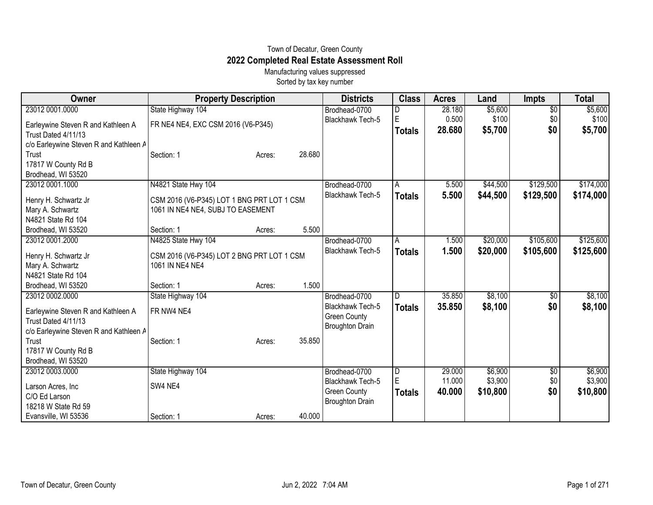## Town of Decatur, Green County **2022 Completed Real Estate Assessment Roll**

Manufacturing values suppressed Sorted by tax key number

| Owner                                           | <b>Property Description</b>                |        |        | <b>Districts</b>        | <b>Class</b>   | <b>Acres</b> | Land     | <b>Impts</b>    | <b>Total</b> |
|-------------------------------------------------|--------------------------------------------|--------|--------|-------------------------|----------------|--------------|----------|-----------------|--------------|
| 23012 0001.0000                                 | State Highway 104                          |        |        | Brodhead-0700           | D              | 28.180       | \$5,600  | $\overline{50}$ | \$5,600      |
| Earleywine Steven R and Kathleen A              | FR NE4 NE4, EXC CSM 2016 (V6-P345)         |        |        | <b>Blackhawk Tech-5</b> | E              | 0.500        | \$100    | \$0             | \$100        |
| Trust Dated 4/11/13                             |                                            |        |        |                         | <b>Totals</b>  | 28.680       | \$5,700  | \$0             | \$5,700      |
| c/o Earleywine Steven R and Kathleen A          |                                            |        |        |                         |                |              |          |                 |              |
| Trust                                           | Section: 1                                 | Acres: | 28.680 |                         |                |              |          |                 |              |
| 17817 W County Rd B                             |                                            |        |        |                         |                |              |          |                 |              |
| Brodhead, WI 53520                              |                                            |        |        |                         |                |              |          |                 |              |
| 23012 0001.1000                                 | N4821 State Hwy 104                        |        |        | Brodhead-0700           | A              | 5.500        | \$44,500 | \$129,500       | \$174,000    |
| Henry H. Schwartz Jr                            | CSM 2016 (V6-P345) LOT 1 BNG PRT LOT 1 CSM |        |        | Blackhawk Tech-5        | <b>Totals</b>  | 5.500        | \$44,500 | \$129,500       | \$174,000    |
| Mary A. Schwartz                                | 1061 IN NE4 NE4, SUBJ TO EASEMENT          |        |        |                         |                |              |          |                 |              |
| N4821 State Rd 104                              |                                            |        |        |                         |                |              |          |                 |              |
| Brodhead, WI 53520                              | Section: 1                                 | Acres: | 5.500  |                         |                |              |          |                 |              |
| 23012 0001.2000                                 | N4825 State Hwy 104                        |        |        | Brodhead-0700           | A              | 1.500        | \$20,000 | \$105,600       | \$125,600    |
| Henry H. Schwartz Jr                            | CSM 2016 (V6-P345) LOT 2 BNG PRT LOT 1 CSM |        |        | Blackhawk Tech-5        | <b>Totals</b>  | 1.500        | \$20,000 | \$105,600       | \$125,600    |
| Mary A. Schwartz                                | 1061 IN NE4 NE4                            |        |        |                         |                |              |          |                 |              |
| N4821 State Rd 104                              |                                            |        |        |                         |                |              |          |                 |              |
| Brodhead, WI 53520                              | Section: 1                                 | Acres: | 1.500  |                         |                |              |          |                 |              |
| 23012 0002.0000                                 | State Highway 104                          |        |        | Brodhead-0700           | D.             | 35.850       | \$8,100  | $\sqrt{6}$      | \$8,100      |
|                                                 |                                            |        |        | <b>Blackhawk Tech-5</b> | <b>Totals</b>  | 35.850       | \$8,100  | \$0             | \$8,100      |
| Earleywine Steven R and Kathleen A              | FR NW4 NE4                                 |        |        | <b>Green County</b>     |                |              |          |                 |              |
| Trust Dated 4/11/13                             |                                            |        |        | <b>Broughton Drain</b>  |                |              |          |                 |              |
| c/o Earleywine Steven R and Kathleen A<br>Trust | Section: 1                                 | Acres: | 35.850 |                         |                |              |          |                 |              |
| 17817 W County Rd B                             |                                            |        |        |                         |                |              |          |                 |              |
| Brodhead, WI 53520                              |                                            |        |        |                         |                |              |          |                 |              |
| 23012 0003.0000                                 | State Highway 104                          |        |        | Brodhead-0700           | $\overline{D}$ | 29.000       | \$6,900  | \$0             | \$6,900      |
|                                                 |                                            |        |        | <b>Blackhawk Tech-5</b> | E              | 11.000       | \$3,900  | \$0             | \$3,900      |
| Larson Acres, Inc.                              | SW4 NE4                                    |        |        | <b>Green County</b>     | <b>Totals</b>  | 40.000       | \$10,800 | \$0             | \$10,800     |
| C/O Ed Larson                                   |                                            |        |        | <b>Broughton Drain</b>  |                |              |          |                 |              |
| 18218 W State Rd 59                             |                                            |        | 40.000 |                         |                |              |          |                 |              |
| Evansville, WI 53536                            | Section: 1                                 | Acres: |        |                         |                |              |          |                 |              |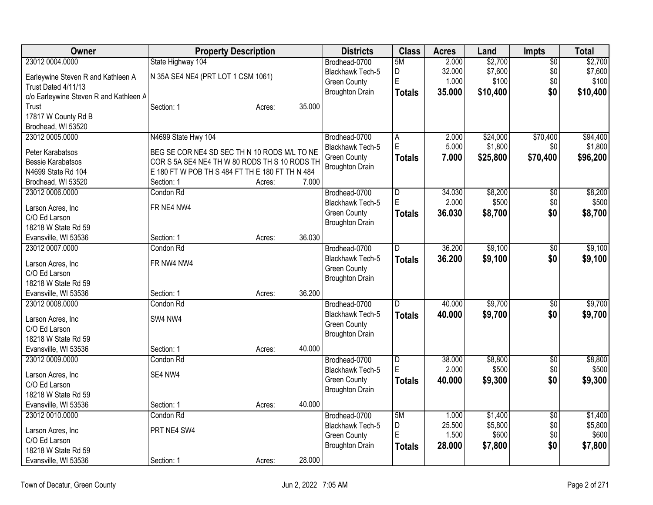| Owner                                  | <b>Property Description</b>                                                                   | <b>Districts</b> | <b>Class</b>            | <b>Acres</b>            | Land   | <b>Impts</b>     | Total           |                  |
|----------------------------------------|-----------------------------------------------------------------------------------------------|------------------|-------------------------|-------------------------|--------|------------------|-----------------|------------------|
| 23012 0004.0000                        | State Highway 104                                                                             |                  | Brodhead-0700           | 5M                      | 2.000  | \$2,700          | $\overline{60}$ | \$2,700          |
| Earleywine Steven R and Kathleen A     | N 35A SE4 NE4 (PRT LOT 1 CSM 1061)                                                            |                  | Blackhawk Tech-5        | D<br>E                  | 32.000 | \$7,600          | \$0             | \$7,600          |
| Trust Dated 4/11/13                    |                                                                                               |                  | <b>Green County</b>     |                         | 1.000  | \$100            | \$0             | \$100            |
| c/o Earleywine Steven R and Kathleen A |                                                                                               |                  | <b>Broughton Drain</b>  | Totals                  | 35.000 | \$10,400         | \$0             | \$10,400         |
| Trust                                  | Section: 1                                                                                    | Acres:           | 35.000                  |                         |        |                  |                 |                  |
| 17817 W County Rd B                    |                                                                                               |                  |                         |                         |        |                  |                 |                  |
| Brodhead, WI 53520                     |                                                                                               |                  |                         |                         |        |                  |                 |                  |
| 23012 0005.0000                        | N4699 State Hwy 104                                                                           |                  | Brodhead-0700           | A                       | 2.000  | \$24,000         | \$70,400        | \$94,400         |
| Peter Karabatsos                       |                                                                                               |                  | Blackhawk Tech-5        | E                       | 5.000  | \$1,800          | \$0             | \$1,800          |
| <b>Bessie Karabatsos</b>               | BEG SE COR NE4 SD SEC TH N 10 RODS M/L TO NE<br>COR S 5A SE4 NE4 TH W 80 RODS TH S 10 RODS TH |                  | <b>Green County</b>     | <b>Totals</b>           | 7.000  | \$25,800         | \$70,400        | \$96,200         |
| N4699 State Rd 104                     | E 180 FT W POB TH S 484 FT TH E 180 FT TH N 484                                               |                  | <b>Broughton Drain</b>  |                         |        |                  |                 |                  |
| Brodhead, WI 53520                     | Section: 1                                                                                    | Acres:           | 7.000                   |                         |        |                  |                 |                  |
| 23012 0006.0000                        | Condon Rd                                                                                     |                  | Brodhead-0700           | $\overline{D}$          | 34.030 | \$8,200          | \$0             | \$8,200          |
|                                        |                                                                                               |                  | <b>Blackhawk Tech-5</b> | E                       | 2.000  | \$500            | \$0             | \$500            |
| Larson Acres, Inc                      | FR NE4 NW4                                                                                    |                  | <b>Green County</b>     | <b>Totals</b>           | 36.030 | \$8,700          | \$0             | \$8,700          |
| C/O Ed Larson                          |                                                                                               |                  | <b>Broughton Drain</b>  |                         |        |                  |                 |                  |
| 18218 W State Rd 59                    |                                                                                               |                  |                         |                         |        |                  |                 |                  |
| Evansville, WI 53536                   | Section: 1                                                                                    | Acres:           | 36.030                  |                         |        |                  |                 |                  |
| 23012 0007.0000                        | Condon Rd                                                                                     |                  | Brodhead-0700           | D                       | 36.200 | \$9,100          | \$0             | \$9,100          |
| Larson Acres, Inc                      | FR NW4 NW4                                                                                    |                  | Blackhawk Tech-5        | <b>Totals</b>           | 36.200 | \$9,100          | \$0             | \$9,100          |
| C/O Ed Larson                          |                                                                                               |                  | <b>Green County</b>     |                         |        |                  |                 |                  |
| 18218 W State Rd 59                    |                                                                                               |                  | <b>Broughton Drain</b>  |                         |        |                  |                 |                  |
| Evansville, WI 53536                   | Section: 1                                                                                    | Acres:           | 36.200                  |                         |        |                  |                 |                  |
| 23012 0008 0000                        | Condon Rd                                                                                     |                  | Brodhead-0700           | D                       | 40.000 | \$9,700          | $\overline{60}$ | \$9,700          |
| Larson Acres, Inc                      | SW4 NW4                                                                                       |                  | Blackhawk Tech-5        | <b>Totals</b>           | 40.000 | \$9,700          | \$0             | \$9,700          |
| C/O Ed Larson                          |                                                                                               |                  | <b>Green County</b>     |                         |        |                  |                 |                  |
| 18218 W State Rd 59                    |                                                                                               |                  | <b>Broughton Drain</b>  |                         |        |                  |                 |                  |
| Evansville, WI 53536                   | Section: 1                                                                                    | 40.000<br>Acres: |                         |                         |        |                  |                 |                  |
| 23012 0009.0000                        | Condon Rd                                                                                     |                  | Brodhead-0700           | $\overline{\mathsf{D}}$ | 38.000 | \$8,800          | $\overline{60}$ | \$8,800          |
|                                        |                                                                                               |                  | <b>Blackhawk Tech-5</b> | E                       | 2.000  | \$500            | \$0             | \$500            |
| Larson Acres, Inc                      | SE4 NW4                                                                                       |                  | <b>Green County</b>     | <b>Totals</b>           | 40.000 | \$9,300          | \$0             | \$9,300          |
| C/O Ed Larson                          |                                                                                               |                  | <b>Broughton Drain</b>  |                         |        |                  |                 |                  |
| 18218 W State Rd 59                    |                                                                                               |                  |                         |                         |        |                  |                 |                  |
| Evansville, WI 53536                   | Section: 1                                                                                    | 40.000<br>Acres: |                         |                         |        |                  |                 |                  |
| 23012 0010.0000                        | Condon Rd                                                                                     |                  | Brodhead-0700           | 5M                      | 1.000  | \$1,400          | $\overline{50}$ | \$1,400          |
| Larson Acres, Inc.                     | PRT NE4 SW4                                                                                   |                  | <b>Blackhawk Tech-5</b> | D<br>ΙE                 | 25.500 | \$5,800<br>\$600 | \$0             | \$5,800<br>\$600 |
| C/O Ed Larson                          |                                                                                               |                  | <b>Green County</b>     |                         | 1.500  |                  | \$0             |                  |
| 18218 W State Rd 59                    |                                                                                               |                  | <b>Broughton Drain</b>  | <b>Totals</b>           | 28.000 | \$7,800          | \$0             | \$7,800          |
| Evansville, WI 53536                   | Section: 1                                                                                    | Acres:           | 28.000                  |                         |        |                  |                 |                  |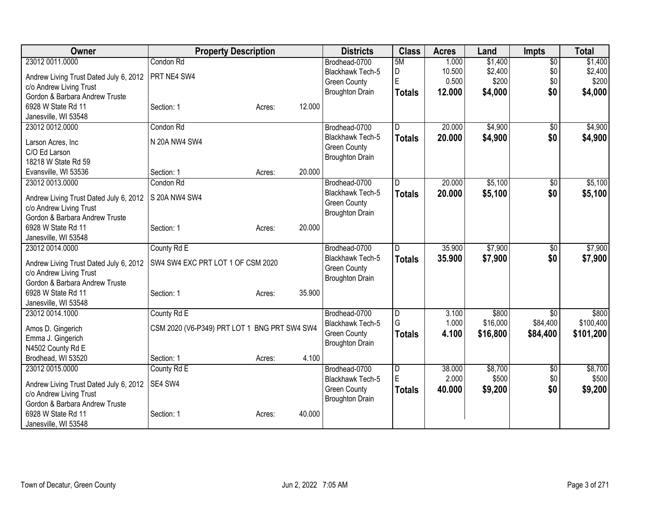| Owner                                  | <b>Property Description</b>                  | <b>Districts</b>       | <b>Class</b>        | <b>Acres</b> | Land     | <b>Impts</b>    | <b>Total</b> |
|----------------------------------------|----------------------------------------------|------------------------|---------------------|--------------|----------|-----------------|--------------|
| 23012 0011.0000                        | Condon Rd                                    | Brodhead-0700          | 5M                  | 1.000        | \$1,400  | $\overline{60}$ | \$1,400      |
| Andrew Living Trust Dated July 6, 2012 | PRT NE4 SW4                                  | Blackhawk Tech-5       | D                   | 10.500       | \$2,400  | \$0             | \$2,400      |
| c/o Andrew Living Trust                |                                              | <b>Green County</b>    | E                   | 0.500        | \$200    | \$0             | \$200        |
| Gordon & Barbara Andrew Truste         |                                              | <b>Broughton Drain</b> | <b>Totals</b>       | 12.000       | \$4,000  | \$0             | \$4,000      |
| 6928 W State Rd 11                     | 12.000<br>Section: 1<br>Acres:               |                        |                     |              |          |                 |              |
| Janesville, WI 53548                   |                                              |                        |                     |              |          |                 |              |
| 23012 0012 0000                        | Condon Rd                                    | Brodhead-0700          | D                   | 20.000       | \$4,900  | \$0             | \$4,900      |
|                                        |                                              | Blackhawk Tech-5       | <b>Totals</b>       | 20.000       | \$4,900  | \$0             | \$4,900      |
| Larson Acres, Inc.                     | N 20A NW4 SW4                                | <b>Green County</b>    |                     |              |          |                 |              |
| C/O Ed Larson<br>18218 W State Rd 59   |                                              | <b>Broughton Drain</b> |                     |              |          |                 |              |
|                                        | 20.000                                       |                        |                     |              |          |                 |              |
| Evansville, WI 53536                   | Section: 1<br>Acres:                         |                        | D                   |              |          |                 |              |
| 23012 0013.0000                        | Condon Rd                                    | Brodhead-0700          |                     | 20.000       | \$5,100  | $\overline{50}$ | \$5,100      |
| Andrew Living Trust Dated July 6, 2012 | S 20A NW4 SW4                                | Blackhawk Tech-5       | <b>Totals</b>       | 20.000       | \$5,100  | \$0             | \$5,100      |
| c/o Andrew Living Trust                |                                              | <b>Green County</b>    |                     |              |          |                 |              |
| Gordon & Barbara Andrew Truste         |                                              | <b>Broughton Drain</b> |                     |              |          |                 |              |
| 6928 W State Rd 11                     | 20.000<br>Section: 1<br>Acres:               |                        |                     |              |          |                 |              |
| Janesville, WI 53548                   |                                              |                        |                     |              |          |                 |              |
| 23012 0014.0000                        | County Rd E                                  | Brodhead-0700          | D                   | 35.900       | \$7,900  | \$0             | \$7,900      |
| Andrew Living Trust Dated July 6, 2012 | SW4 SW4 EXC PRT LOT 1 OF CSM 2020            | Blackhawk Tech-5       | <b>Totals</b>       | 35.900       | \$7,900  | \$0             | \$7,900      |
| c/o Andrew Living Trust                |                                              | <b>Green County</b>    |                     |              |          |                 |              |
| Gordon & Barbara Andrew Truste         |                                              | <b>Broughton Drain</b> |                     |              |          |                 |              |
| 6928 W State Rd 11                     | 35.900<br>Section: 1<br>Acres:               |                        |                     |              |          |                 |              |
| Janesville, WI 53548                   |                                              |                        |                     |              |          |                 |              |
| 23012 0014.1000                        | County Rd E                                  | Brodhead-0700          | D                   | 3.100        | \$800    | $\sqrt[6]{3}$   | \$800        |
|                                        |                                              | Blackhawk Tech-5       | G                   | 1.000        | \$16,000 | \$84,400        | \$100,400    |
| Amos D. Gingerich                      | CSM 2020 (V6-P349) PRT LOT 1 BNG PRT SW4 SW4 | <b>Green County</b>    | <b>Totals</b>       | 4.100        | \$16,800 | \$84,400        | \$101,200    |
| Emma J. Gingerich                      |                                              | <b>Broughton Drain</b> |                     |              |          |                 |              |
| N4502 County Rd E                      |                                              |                        |                     |              |          |                 |              |
| Brodhead, WI 53520                     | 4.100<br>Section: 1<br>Acres:                |                        |                     |              |          |                 |              |
| 23012 0015.0000                        | County Rd E                                  | Brodhead-0700          | $\overline{D}$<br>E | 38.000       | \$8,700  | $\overline{50}$ | \$8,700      |
| Andrew Living Trust Dated July 6, 2012 | SE4 SW4                                      | Blackhawk Tech-5       |                     | 2.000        | \$500    | \$0             | \$500        |
| c/o Andrew Living Trust                |                                              | <b>Green County</b>    | <b>Totals</b>       | 40.000       | \$9,200  | \$0             | \$9,200      |
| Gordon & Barbara Andrew Truste         |                                              | <b>Broughton Drain</b> |                     |              |          |                 |              |
| 6928 W State Rd 11                     | 40.000<br>Section: 1<br>Acres:               |                        |                     |              |          |                 |              |
| Janesville, WI 53548                   |                                              |                        |                     |              |          |                 |              |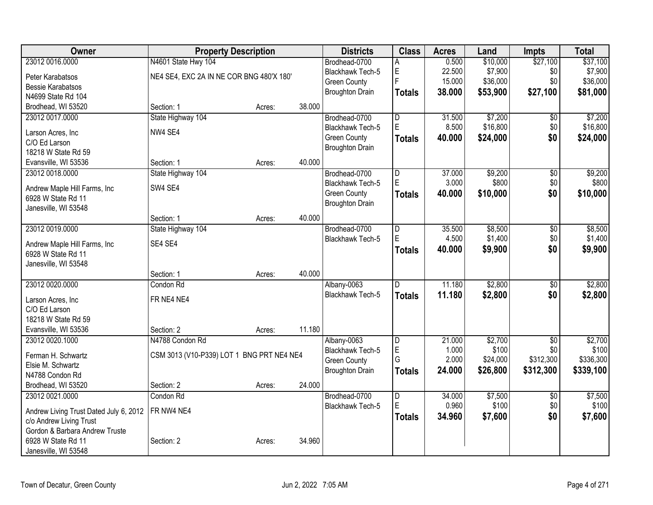| Owner                                  | <b>Property Description</b>               |        |        | <b>Districts</b>        | <b>Class</b>            | <b>Acres</b> | Land     | <b>Impts</b>    | <b>Total</b> |
|----------------------------------------|-------------------------------------------|--------|--------|-------------------------|-------------------------|--------------|----------|-----------------|--------------|
| 23012 0016.0000                        | N4601 State Hwy 104                       |        |        | Brodhead-0700           | А                       | 0.500        | \$10,000 | \$27,100        | \$37,100     |
| Peter Karabatsos                       | NE4 SE4, EXC 2A IN NE COR BNG 480'X 180'  |        |        | <b>Blackhawk Tech-5</b> | E                       | 22.500       | \$7,900  | \$0             | \$7,900      |
| <b>Bessie Karabatsos</b>               |                                           |        |        | <b>Green County</b>     | Ē                       | 15.000       | \$36,000 | \$0             | \$36,000     |
| N4699 State Rd 104                     |                                           |        |        | <b>Broughton Drain</b>  | <b>Totals</b>           | 38.000       | \$53,900 | \$27,100        | \$81,000     |
| Brodhead, WI 53520                     | Section: 1                                | Acres: | 38.000 |                         |                         |              |          |                 |              |
| 23012 0017.0000                        | State Highway 104                         |        |        | Brodhead-0700           | D                       | 31.500       | \$7,200  | \$0             | \$7,200      |
|                                        | NW4 SE4                                   |        |        | Blackhawk Tech-5        | E                       | 8.500        | \$16,800 | \$0             | \$16,800     |
| Larson Acres, Inc                      |                                           |        |        | <b>Green County</b>     | <b>Totals</b>           | 40.000       | \$24,000 | \$0             | \$24,000     |
| C/O Ed Larson<br>18218 W State Rd 59   |                                           |        |        | <b>Broughton Drain</b>  |                         |              |          |                 |              |
| Evansville, WI 53536                   | Section: 1                                | Acres: | 40.000 |                         |                         |              |          |                 |              |
| 23012 0018.0000                        | State Highway 104                         |        |        | Brodhead-0700           | D                       | 37.000       | \$9,200  | $\overline{50}$ | \$9,200      |
|                                        |                                           |        |        | Blackhawk Tech-5        | E                       | 3.000        | \$800    | \$0             | \$800        |
| Andrew Maple Hill Farms, Inc           | SW4 SE4                                   |        |        | <b>Green County</b>     | <b>Totals</b>           | 40.000       | \$10,000 | \$0             | \$10,000     |
| 6928 W State Rd 11                     |                                           |        |        | <b>Broughton Drain</b>  |                         |              |          |                 |              |
| Janesville, WI 53548                   |                                           |        |        |                         |                         |              |          |                 |              |
|                                        | Section: 1                                | Acres: | 40.000 |                         |                         |              |          |                 |              |
| 23012 0019.0000                        | State Highway 104                         |        |        | Brodhead-0700           | $\overline{\mathsf{D}}$ | 35.500       | \$8,500  | $\overline{50}$ | \$8,500      |
| Andrew Maple Hill Farms, Inc           | SE4 SE4                                   |        |        | Blackhawk Tech-5        | E                       | 4.500        | \$1,400  | \$0             | \$1,400      |
| 6928 W State Rd 11                     |                                           |        |        |                         | <b>Totals</b>           | 40.000       | \$9,900  | \$0             | \$9,900      |
| Janesville, WI 53548                   |                                           |        |        |                         |                         |              |          |                 |              |
|                                        | Section: 1                                | Acres: | 40.000 |                         |                         |              |          |                 |              |
| 23012 0020.0000                        | Condon Rd                                 |        |        | Albany-0063             | $\overline{\mathsf{D}}$ | 11.180       | \$2,800  | $\overline{50}$ | \$2,800      |
|                                        | FR NE4 NE4                                |        |        | <b>Blackhawk Tech-5</b> | <b>Totals</b>           | 11.180       | \$2,800  | \$0             | \$2,800      |
| Larson Acres, Inc<br>C/O Ed Larson     |                                           |        |        |                         |                         |              |          |                 |              |
| 18218 W State Rd 59                    |                                           |        |        |                         |                         |              |          |                 |              |
| Evansville, WI 53536                   | Section: 2                                | Acres: | 11.180 |                         |                         |              |          |                 |              |
| 23012 0020.1000                        | N4788 Condon Rd                           |        |        | Albany-0063             | $\overline{\mathsf{D}}$ | 21.000       | \$2,700  | $\overline{50}$ | \$2,700      |
|                                        |                                           |        |        | <b>Blackhawk Tech-5</b> | E                       | 1.000        | \$100    | \$0             | \$100        |
| Ferman H. Schwartz                     | CSM 3013 (V10-P339) LOT 1 BNG PRT NE4 NE4 |        |        | <b>Green County</b>     | G                       | 2.000        | \$24,000 | \$312,300       | \$336,300    |
| Elsie M. Schwartz                      |                                           |        |        | <b>Broughton Drain</b>  | <b>Totals</b>           | 24.000       | \$26,800 | \$312,300       | \$339,100    |
| N4788 Condon Rd                        |                                           |        |        |                         |                         |              |          |                 |              |
| Brodhead, WI 53520                     | Section: 2                                | Acres: | 24.000 |                         |                         |              |          |                 |              |
| 23012 0021.0000                        | Condon Rd                                 |        |        | Brodhead-0700           | $\overline{\mathsf{D}}$ | 34.000       | \$7,500  | $\overline{50}$ | \$7,500      |
| Andrew Living Trust Dated July 6, 2012 | FR NW4 NE4                                |        |        | Blackhawk Tech-5        | Ė                       | 0.960        | \$100    | \$0             | \$100        |
| c/o Andrew Living Trust                |                                           |        |        |                         | <b>Totals</b>           | 34.960       | \$7,600  | \$0             | \$7,600      |
| Gordon & Barbara Andrew Truste         |                                           |        |        |                         |                         |              |          |                 |              |
| 6928 W State Rd 11                     | Section: 2                                | Acres: | 34.960 |                         |                         |              |          |                 |              |
| Janesville, WI 53548                   |                                           |        |        |                         |                         |              |          |                 |              |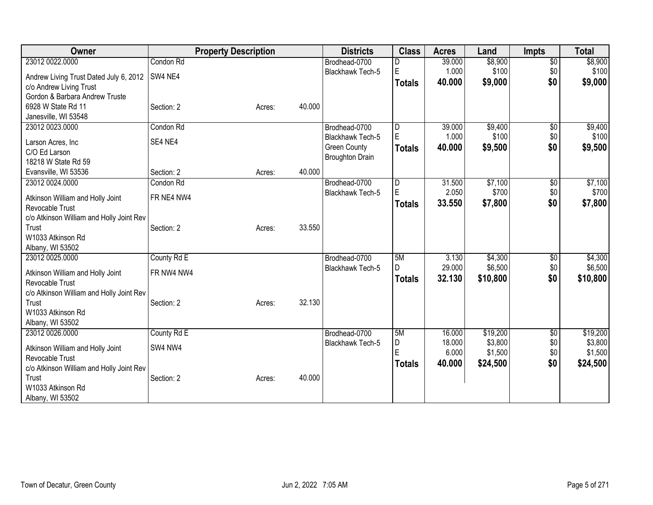| Owner                                               |             | <b>Property Description</b> |        | <b>Districts</b>       | <b>Class</b>  | <b>Acres</b> | Land     | <b>Impts</b>    | <b>Total</b> |
|-----------------------------------------------------|-------------|-----------------------------|--------|------------------------|---------------|--------------|----------|-----------------|--------------|
| 23012 0022.0000                                     | Condon Rd   |                             |        | Brodhead-0700          |               | 39.000       | \$8,900  | $\overline{50}$ | \$8,900      |
| Andrew Living Trust Dated July 6, 2012              | SW4 NE4     |                             |        | Blackhawk Tech-5       | E             | 1.000        | \$100    | \$0             | \$100        |
| c/o Andrew Living Trust                             |             |                             |        |                        | <b>Totals</b> | 40.000       | \$9,000  | \$0             | \$9,000      |
| Gordon & Barbara Andrew Truste                      |             |                             |        |                        |               |              |          |                 |              |
| 6928 W State Rd 11                                  | Section: 2  | Acres:                      | 40.000 |                        |               |              |          |                 |              |
| Janesville, WI 53548                                |             |                             |        |                        |               |              |          |                 |              |
| 23012 0023.0000                                     | Condon Rd   |                             |        | Brodhead-0700          | D             | 39.000       | \$9,400  | \$0             | \$9,400      |
| Larson Acres, Inc                                   | SE4 NE4     |                             |        | Blackhawk Tech-5       | E             | 1.000        | \$100    | \$0             | \$100        |
| C/O Ed Larson                                       |             |                             |        | <b>Green County</b>    | <b>Totals</b> | 40.000       | \$9,500  | \$0             | \$9,500      |
| 18218 W State Rd 59                                 |             |                             |        | <b>Broughton Drain</b> |               |              |          |                 |              |
| Evansville, WI 53536                                | Section: 2  | Acres:                      | 40.000 |                        |               |              |          |                 |              |
| 23012 0024.0000                                     | Condon Rd   |                             |        | Brodhead-0700          | D             | 31.500       | \$7,100  | \$0             | \$7,100      |
|                                                     | FR NE4 NW4  |                             |        | Blackhawk Tech-5       | E             | 2.050        | \$700    | \$0             | \$700        |
| Atkinson William and Holly Joint<br>Revocable Trust |             |                             |        |                        | <b>Totals</b> | 33.550       | \$7,800  | \$0             | \$7,800      |
| c/o Atkinson William and Holly Joint Rev            |             |                             |        |                        |               |              |          |                 |              |
| Trust                                               | Section: 2  | Acres:                      | 33.550 |                        |               |              |          |                 |              |
| W1033 Atkinson Rd                                   |             |                             |        |                        |               |              |          |                 |              |
| Albany, WI 53502                                    |             |                             |        |                        |               |              |          |                 |              |
| 23012 0025.0000                                     | County Rd E |                             |        | Brodhead-0700          | 5M            | 3.130        | \$4,300  | \$0             | \$4,300      |
| Atkinson William and Holly Joint                    | FR NW4 NW4  |                             |        | Blackhawk Tech-5       | D             | 29.000       | \$6,500  | \$0             | \$6,500      |
| Revocable Trust                                     |             |                             |        |                        | <b>Totals</b> | 32.130       | \$10,800 | \$0             | \$10,800     |
| c/o Atkinson William and Holly Joint Rev            |             |                             |        |                        |               |              |          |                 |              |
| Trust                                               | Section: 2  | Acres:                      | 32.130 |                        |               |              |          |                 |              |
| W1033 Atkinson Rd                                   |             |                             |        |                        |               |              |          |                 |              |
| Albany, WI 53502                                    |             |                             |        |                        |               |              |          |                 |              |
| 23012 0026.0000                                     | County Rd E |                             |        | Brodhead-0700          | 5M            | 16.000       | \$19,200 | \$0             | \$19,200     |
| Atkinson William and Holly Joint                    | SW4 NW4     |                             |        | Blackhawk Tech-5       | D             | 18.000       | \$3,800  | \$0             | \$3,800      |
| Revocable Trust                                     |             |                             |        |                        | E             | 6.000        | \$1,500  | \$0             | \$1,500      |
| c/o Atkinson William and Holly Joint Rev            |             |                             |        |                        | <b>Totals</b> | 40.000       | \$24,500 | \$0             | \$24,500     |
| Trust                                               | Section: 2  | Acres:                      | 40.000 |                        |               |              |          |                 |              |
| W1033 Atkinson Rd                                   |             |                             |        |                        |               |              |          |                 |              |
| Albany, WI 53502                                    |             |                             |        |                        |               |              |          |                 |              |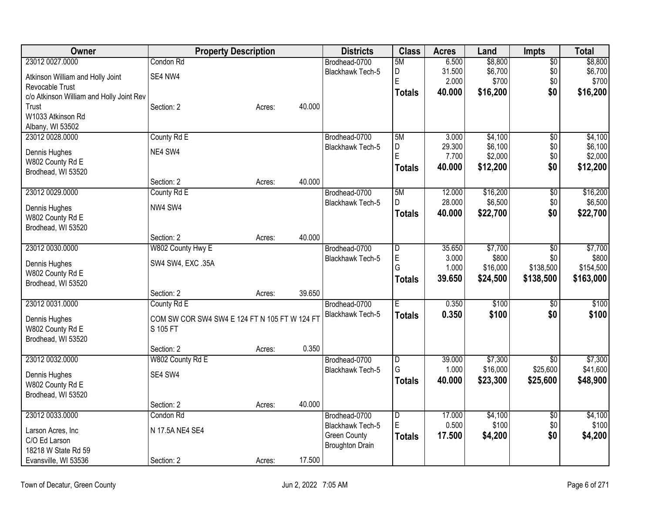| Owner                                    | <b>Property Description</b>                   |        |        | <b>Districts</b>                              | <b>Class</b>            | <b>Acres</b>     | Land                | Impts                  | Total               |
|------------------------------------------|-----------------------------------------------|--------|--------|-----------------------------------------------|-------------------------|------------------|---------------------|------------------------|---------------------|
| 23012 0027.0000                          | Condon Rd                                     |        |        | Brodhead-0700                                 | 5M                      | 6.500            | \$8,800             | $\overline{50}$        | \$8,800             |
| Atkinson William and Holly Joint         | SE4 NW4                                       |        |        | Blackhawk Tech-5                              | D                       | 31.500           | \$6,700             | \$0                    | \$6,700             |
| Revocable Trust                          |                                               |        |        |                                               | E                       | 2.000            | \$700               | \$0                    | \$700               |
| c/o Atkinson William and Holly Joint Rev |                                               |        |        |                                               | <b>Totals</b>           | 40.000           | \$16,200            | \$0                    | \$16,200            |
| Trust                                    | Section: 2                                    | Acres: | 40.000 |                                               |                         |                  |                     |                        |                     |
| W1033 Atkinson Rd                        |                                               |        |        |                                               |                         |                  |                     |                        |                     |
| Albany, WI 53502                         |                                               |        |        |                                               |                         |                  |                     |                        |                     |
| 23012 0028.0000                          | County Rd E                                   |        |        | Brodhead-0700<br><b>Blackhawk Tech-5</b>      | 5M<br>D                 | 3.000<br>29.300  | \$4,100<br>\$6,100  | $\overline{50}$<br>\$0 | \$4,100<br>\$6,100  |
| Dennis Hughes                            | NE4 SW4                                       |        |        |                                               | E                       | 7.700            | \$2,000             | \$0                    | \$2,000             |
| W802 County Rd E                         |                                               |        |        |                                               | <b>Totals</b>           | 40.000           | \$12,200            | \$0                    | \$12,200            |
| Brodhead, WI 53520                       |                                               |        |        |                                               |                         |                  |                     |                        |                     |
|                                          | Section: 2                                    | Acres: | 40.000 |                                               |                         |                  |                     |                        |                     |
| 23012 0029.0000                          | County Rd E                                   |        |        | Brodhead-0700                                 | 5M<br>D                 | 12.000<br>28.000 | \$16,200<br>\$6,500 | $\overline{50}$<br>\$0 | \$16,200            |
| Dennis Hughes                            | NW4 SW4                                       |        |        | Blackhawk Tech-5                              |                         | 40.000           | \$22,700            | \$0                    | \$6,500<br>\$22,700 |
| W802 County Rd E                         |                                               |        |        |                                               | <b>Totals</b>           |                  |                     |                        |                     |
| Brodhead, WI 53520                       |                                               |        |        |                                               |                         |                  |                     |                        |                     |
|                                          | Section: 2                                    | Acres: | 40.000 |                                               |                         |                  |                     |                        |                     |
| 23012 0030.0000                          | W802 County Hwy E                             |        |        | Brodhead-0700                                 | D                       | 35.650           | \$7,700             | $\overline{50}$        | \$7,700             |
| Dennis Hughes                            | SW4 SW4, EXC .35A                             |        |        | Blackhawk Tech-5                              | E<br>G                  | 3.000<br>1.000   | \$800<br>\$16,000   | \$0<br>\$138,500       | \$800<br>\$154,500  |
| W802 County Rd E                         |                                               |        |        |                                               | <b>Totals</b>           | 39.650           | \$24,500            | \$138,500              | \$163,000           |
| Brodhead, WI 53520                       |                                               |        |        |                                               |                         |                  |                     |                        |                     |
|                                          | Section: 2                                    | Acres: | 39.650 |                                               |                         |                  |                     |                        |                     |
| 23012 0031.0000                          | County Rd E                                   |        |        | Brodhead-0700                                 | E.                      | 0.350            | \$100               | $\overline{50}$        | \$100               |
| Dennis Hughes                            | COM SW COR SW4 SW4 E 124 FT N 105 FT W 124 FT |        |        | <b>Blackhawk Tech-5</b>                       | <b>Totals</b>           | 0.350            | \$100               | \$0                    | \$100               |
| W802 County Rd E                         | S 105 FT                                      |        |        |                                               |                         |                  |                     |                        |                     |
| Brodhead, WI 53520                       |                                               |        |        |                                               |                         |                  |                     |                        |                     |
|                                          | Section: 2                                    | Acres: | 0.350  |                                               |                         |                  |                     |                        |                     |
| 23012 0032.0000                          | W802 County Rd E                              |        |        | Brodhead-0700                                 | D                       | 39.000           | \$7,300             | $\overline{30}$        | \$7,300             |
| Dennis Hughes                            | SE4 SW4                                       |        |        | Blackhawk Tech-5                              | G                       | 1.000            | \$16,000            | \$25,600               | \$41,600            |
| W802 County Rd E                         |                                               |        |        |                                               | <b>Totals</b>           | 40.000           | \$23,300            | \$25,600               | \$48,900            |
| Brodhead, WI 53520                       |                                               |        |        |                                               |                         |                  |                     |                        |                     |
|                                          | Section: 2                                    | Acres: | 40.000 |                                               |                         |                  |                     |                        |                     |
| 23012 0033.0000                          | Condon Rd                                     |        |        | Brodhead-0700                                 | $\overline{\mathsf{D}}$ | 17.000           | \$4,100             | $\overline{50}$        | \$4,100             |
| Larson Acres, Inc                        | N 17.5A NE4 SE4                               |        |        | <b>Blackhawk Tech-5</b>                       | E                       | 0.500            | \$100               | \$0                    | \$100               |
| C/O Ed Larson                            |                                               |        |        | <b>Green County</b><br><b>Broughton Drain</b> | <b>Totals</b>           | 17.500           | \$4,200             | \$0                    | \$4,200             |
| 18218 W State Rd 59                      |                                               |        |        |                                               |                         |                  |                     |                        |                     |
| Evansville, WI 53536                     | Section: 2                                    | Acres: | 17.500 |                                               |                         |                  |                     |                        |                     |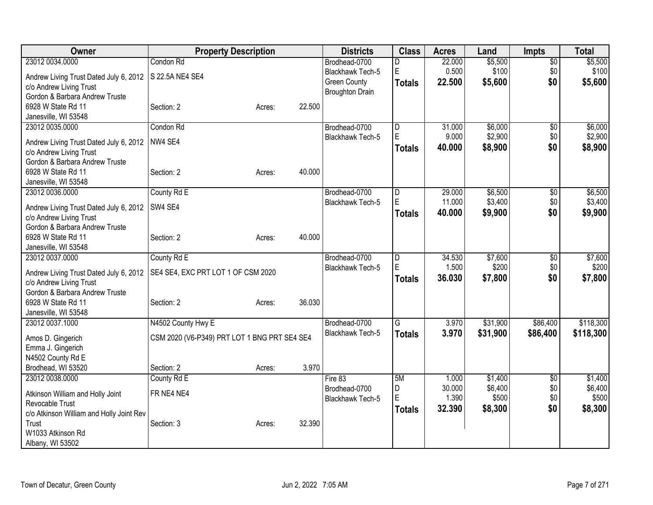| Owner                                                     | <b>Property Description</b>                  |        |        | <b>Districts</b>                  | <b>Class</b>  | <b>Acres</b>    | Land             | <b>Impts</b>    | <b>Total</b>     |
|-----------------------------------------------------------|----------------------------------------------|--------|--------|-----------------------------------|---------------|-----------------|------------------|-----------------|------------------|
| 23012 0034.0000                                           | Condon Rd                                    |        |        | Brodhead-0700                     | D             | 22.000          | \$5,500          | $\overline{50}$ | \$5,500          |
| Andrew Living Trust Dated July 6, 2012                    | S 22.5A NE4 SE4                              |        |        | <b>Blackhawk Tech-5</b>           | E             | 0.500           | \$100            | \$0             | \$100            |
| c/o Andrew Living Trust                                   |                                              |        |        | <b>Green County</b>               | Totals        | 22.500          | \$5,600          | \$0             | \$5,600          |
| Gordon & Barbara Andrew Truste                            |                                              |        |        | <b>Broughton Drain</b>            |               |                 |                  |                 |                  |
| 6928 W State Rd 11                                        | Section: 2                                   | Acres: | 22.500 |                                   |               |                 |                  |                 |                  |
| Janesville, WI 53548                                      |                                              |        |        |                                   |               |                 |                  |                 |                  |
| 23012 0035.0000                                           | Condon Rd                                    |        |        | Brodhead-0700                     | D             | 31.000          | \$6,000          | $\overline{50}$ | \$6,000          |
|                                                           | NW4 SE4                                      |        |        | <b>Blackhawk Tech-5</b>           | ΙE            | 9.000           | \$2,900          | \$0             | \$2,900          |
| Andrew Living Trust Dated July 6, 2012                    |                                              |        |        |                                   | Totals        | 40.000          | \$8,900          | \$0             | \$8,900          |
| c/o Andrew Living Trust<br>Gordon & Barbara Andrew Truste |                                              |        |        |                                   |               |                 |                  |                 |                  |
| 6928 W State Rd 11                                        | Section: 2                                   | Acres: | 40.000 |                                   |               |                 |                  |                 |                  |
| Janesville, WI 53548                                      |                                              |        |        |                                   |               |                 |                  |                 |                  |
| 23012 0036.0000                                           | County Rd E                                  |        |        | Brodhead-0700                     | D             | 29.000          | \$6,500          | \$0             | \$6,500          |
|                                                           |                                              |        |        | Blackhawk Tech-5                  | E             | 11.000          | \$3,400          | \$0             | \$3,400          |
| Andrew Living Trust Dated July 6, 2012                    | SW4 SE4                                      |        |        |                                   | <b>Totals</b> | 40.000          | \$9,900          | \$0             | \$9,900          |
| c/o Andrew Living Trust                                   |                                              |        |        |                                   |               |                 |                  |                 |                  |
| Gordon & Barbara Andrew Truste                            |                                              |        |        |                                   |               |                 |                  |                 |                  |
| 6928 W State Rd 11                                        | Section: 2                                   | Acres: | 40.000 |                                   |               |                 |                  |                 |                  |
| Janesville, WI 53548                                      |                                              |        |        |                                   |               |                 |                  |                 |                  |
| 23012 0037.0000                                           | County Rd E                                  |        |        | Brodhead-0700<br>Blackhawk Tech-5 | ID.<br>E      | 34.530<br>1.500 | \$7,600<br>\$200 | \$0<br>\$0      | \$7,600<br>\$200 |
| Andrew Living Trust Dated July 6, 2012                    | SE4 SE4, EXC PRT LOT 1 OF CSM 2020           |        |        |                                   |               | 36.030          |                  | \$0             |                  |
| c/o Andrew Living Trust                                   |                                              |        |        |                                   | <b>Totals</b> |                 | \$7,800          |                 | \$7,800          |
| Gordon & Barbara Andrew Truste                            |                                              |        |        |                                   |               |                 |                  |                 |                  |
| 6928 W State Rd 11                                        | Section: 2                                   | Acres: | 36.030 |                                   |               |                 |                  |                 |                  |
| Janesville, WI 53548                                      |                                              |        |        |                                   |               |                 |                  |                 |                  |
| 23012 0037.1000                                           | N4502 County Hwy E                           |        |        | Brodhead-0700                     | G             | 3.970           | \$31,900         | \$86,400        | \$118,300        |
| Amos D. Gingerich                                         | CSM 2020 (V6-P349) PRT LOT 1 BNG PRT SE4 SE4 |        |        | <b>Blackhawk Tech-5</b>           | <b>Totals</b> | 3.970           | \$31,900         | \$86,400        | \$118,300        |
| Emma J. Gingerich                                         |                                              |        |        |                                   |               |                 |                  |                 |                  |
| N4502 County Rd E                                         |                                              |        |        |                                   |               |                 |                  |                 |                  |
| Brodhead, WI 53520                                        | Section: 2                                   | Acres: | 3.970  |                                   |               |                 |                  |                 |                  |
| 23012 0038.0000                                           | County Rd E                                  |        |        | Fire 83                           | 5M            | 1.000           | \$1,400          | \$0             | \$1,400          |
| Atkinson William and Holly Joint                          | FR NE4 NE4                                   |        |        | Brodhead-0700                     | D             | 30.000          | \$6,400          | \$0             | \$6,400          |
| Revocable Trust                                           |                                              |        |        | Blackhawk Tech-5                  | E             | 1.390           | \$500            | \$0             | \$500            |
| c/o Atkinson William and Holly Joint Rev                  |                                              |        |        |                                   | <b>Totals</b> | 32.390          | \$8,300          | \$0             | \$8,300          |
| Trust                                                     | Section: 3                                   | Acres: | 32.390 |                                   |               |                 |                  |                 |                  |
| W1033 Atkinson Rd                                         |                                              |        |        |                                   |               |                 |                  |                 |                  |
| Albany, WI 53502                                          |                                              |        |        |                                   |               |                 |                  |                 |                  |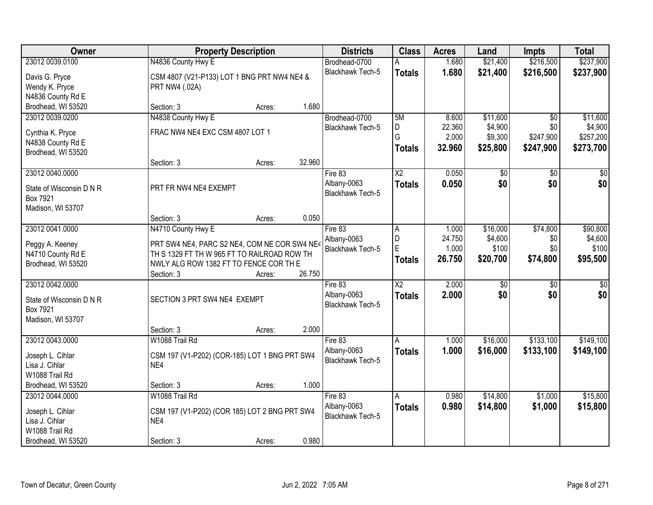| Owner                    |                                               | <b>Property Description</b> |        | <b>Districts</b>        | <b>Class</b>           | <b>Acres</b> | Land            | Impts           | <b>Total</b>    |
|--------------------------|-----------------------------------------------|-----------------------------|--------|-------------------------|------------------------|--------------|-----------------|-----------------|-----------------|
| 23012 0039.0100          | N4836 County Hwy E                            |                             |        | Brodhead-0700           |                        | 1.680        | \$21,400        | \$216,500       | \$237,900       |
| Davis G. Pryce           | CSM 4807 (V21-P133) LOT 1 BNG PRT NW4 NE4 &   |                             |        | Blackhawk Tech-5        | <b>Totals</b>          | 1.680        | \$21,400        | \$216,500       | \$237,900       |
| Wendy K. Pryce           | PRT NW4 (.02A)                                |                             |        |                         |                        |              |                 |                 |                 |
| N4836 County Rd E        |                                               |                             |        |                         |                        |              |                 |                 |                 |
| Brodhead, WI 53520       | Section: 3                                    | Acres:                      | 1.680  |                         |                        |              |                 |                 |                 |
| 23012 0039.0200          | N4838 County Hwy E                            |                             |        | Brodhead-0700           | 5M                     | 8.600        | \$11,600        | $\overline{50}$ | \$11,600        |
| Cynthia K. Pryce         | FRAC NW4 NE4 EXC CSM 4807 LOT 1               |                             |        | <b>Blackhawk Tech-5</b> | D                      | 22.360       | \$4,900         | \$0             | \$4,900         |
| N4838 County Rd E        |                                               |                             |        |                         | G                      | 2.000        | \$9,300         | \$247,900       | \$257,200       |
| Brodhead, WI 53520       |                                               |                             |        |                         | <b>Totals</b>          | 32.960       | \$25,800        | \$247,900       | \$273,700       |
|                          | Section: 3                                    | Acres:                      | 32.960 |                         |                        |              |                 |                 |                 |
| 23012 0040.0000          |                                               |                             |        | Fire 83                 | $\overline{\text{X2}}$ | 0.050        | $\overline{60}$ | \$0             | $\sqrt{50}$     |
| State of Wisconsin D N R | PRT FR NW4 NE4 EXEMPT                         |                             |        | Albany-0063             | <b>Totals</b>          | 0.050        | \$0             | \$0             | \$0             |
| Box 7921                 |                                               |                             |        | Blackhawk Tech-5        |                        |              |                 |                 |                 |
| Madison, WI 53707        |                                               |                             |        |                         |                        |              |                 |                 |                 |
|                          | Section: 3                                    | Acres:                      | 0.050  |                         |                        |              |                 |                 |                 |
| 23012 0041.0000          | N4710 County Hwy E                            |                             |        | Fire 83                 | Α                      | 1.000        | \$16,000        | \$74,800        | \$90,800        |
| Peggy A. Keeney          | PRT SW4 NE4, PARC S2 NE4, COM NE COR SW4 NE4  |                             |        | Albany-0063             | D                      | 24.750       | \$4,600         | \$0             | \$4,600         |
| N4710 County Rd E        | TH S 1329 FT TH W 965 FT TO RAILROAD ROW TH   |                             |        | Blackhawk Tech-5        | E                      | 1.000        | \$100           | \$0             | \$100           |
| Brodhead, WI 53520       | NWLY ALG ROW 1382 FT TO FENCE COR TH E        |                             |        |                         | <b>Totals</b>          | 26.750       | \$20,700        | \$74,800        | \$95,500        |
|                          | Section: 3                                    | Acres:                      | 26.750 |                         |                        |              |                 |                 |                 |
| 23012 0042.0000          |                                               |                             |        | Fire 83                 | $\overline{\text{X2}}$ | 2.000        | $\overline{30}$ | $\overline{30}$ | $\overline{30}$ |
| State of Wisconsin D N R | SECTION 3 PRT SW4 NE4 EXEMPT                  |                             |        | Albany-0063             | <b>Totals</b>          | 2.000        | \$0             | \$0             | \$0             |
| Box 7921                 |                                               |                             |        | Blackhawk Tech-5        |                        |              |                 |                 |                 |
| Madison, WI 53707        |                                               |                             |        |                         |                        |              |                 |                 |                 |
|                          | Section: 3                                    | Acres:                      | 2.000  |                         |                        |              |                 |                 |                 |
| 23012 0043.0000          | W1088 Trail Rd                                |                             |        | Fire 83                 | A                      | 1.000        | \$16,000        | \$133,100       | \$149,100       |
| Joseph L. Cihlar         | CSM 197 (V1-P202) (COR-185) LOT 1 BNG PRT SW4 |                             |        | Albany-0063             | <b>Totals</b>          | 1.000        | \$16,000        | \$133,100       | \$149,100       |
| Lisa J. Cihlar           | NE4                                           |                             |        | <b>Blackhawk Tech-5</b> |                        |              |                 |                 |                 |
| W1088 Trail Rd           |                                               |                             |        |                         |                        |              |                 |                 |                 |
| Brodhead, WI 53520       | Section: 3                                    | Acres:                      | 1.000  |                         |                        |              |                 |                 |                 |
| 23012 0044.0000          | W1088 Trail Rd                                |                             |        | Fire 83                 | A                      | 0.980        | \$14,800        | \$1,000         | \$15,800        |
| Joseph L. Cihlar         | CSM 197 (V1-P202) (COR 185) LOT 2 BNG PRT SW4 |                             |        | Albany-0063             | <b>Totals</b>          | 0.980        | \$14,800        | \$1,000         | \$15,800        |
| Lisa J. Cihlar           | NE4                                           |                             |        | <b>Blackhawk Tech-5</b> |                        |              |                 |                 |                 |
| W1088 Trail Rd           |                                               |                             |        |                         |                        |              |                 |                 |                 |
| Brodhead, WI 53520       | Section: 3                                    | Acres:                      | 0.980  |                         |                        |              |                 |                 |                 |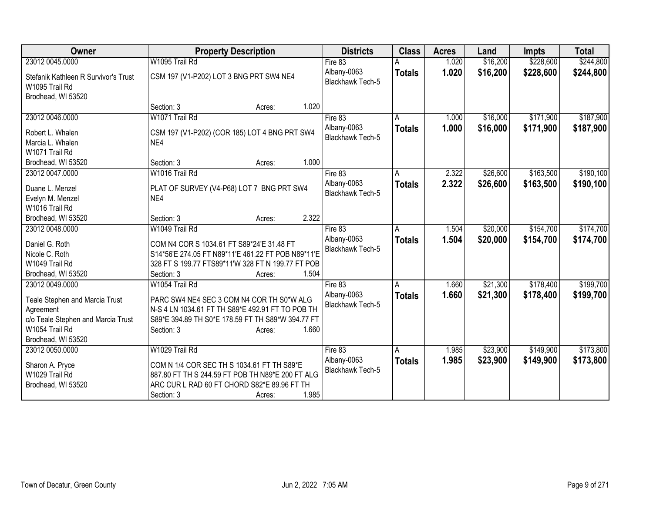| Owner                                | <b>Property Description</b>                        | <b>Districts</b>        | <b>Class</b>  | <b>Acres</b> | Land     | <b>Impts</b> | <b>Total</b> |
|--------------------------------------|----------------------------------------------------|-------------------------|---------------|--------------|----------|--------------|--------------|
| 23012 0045.0000                      | W1095 Trail Rd                                     | Fire 83                 |               | 1.020        | \$16,200 | \$228,600    | \$244,800    |
| Stefanik Kathleen R Survivor's Trust | CSM 197 (V1-P202) LOT 3 BNG PRT SW4 NE4            | Albany-0063             | <b>Totals</b> | 1.020        | \$16,200 | \$228,600    | \$244,800    |
| W1095 Trail Rd                       |                                                    | Blackhawk Tech-5        |               |              |          |              |              |
| Brodhead, WI 53520                   |                                                    |                         |               |              |          |              |              |
|                                      | 1.020<br>Section: 3<br>Acres:                      |                         |               |              |          |              |              |
| 23012 0046.0000                      | W1071 Trail Rd                                     | Fire 83                 | A             | 1.000        | \$16,000 | \$171,900    | \$187,900    |
|                                      |                                                    | Albany-0063             | <b>Totals</b> | 1.000        | \$16,000 | \$171,900    | \$187,900    |
| Robert L. Whalen                     | CSM 197 (V1-P202) (COR 185) LOT 4 BNG PRT SW4      | Blackhawk Tech-5        |               |              |          |              |              |
| Marcia L. Whalen                     | NE4                                                |                         |               |              |          |              |              |
| W1071 Trail Rd                       |                                                    |                         |               |              |          |              |              |
| Brodhead, WI 53520                   | 1.000<br>Section: 3<br>Acres:                      |                         |               |              |          |              |              |
| 23012 0047.0000                      | W1016 Trail Rd                                     | Fire 83                 | A             | 2.322        | \$26,600 | \$163,500    | \$190,100    |
| Duane L. Menzel                      | PLAT OF SURVEY (V4-P68) LOT 7 BNG PRT SW4          | Albany-0063             | Totals        | 2.322        | \$26,600 | \$163,500    | \$190,100    |
| Evelyn M. Menzel                     | NE4                                                | Blackhawk Tech-5        |               |              |          |              |              |
| W1016 Trail Rd                       |                                                    |                         |               |              |          |              |              |
| Brodhead, WI 53520                   | 2.322<br>Section: 3<br>Acres:                      |                         |               |              |          |              |              |
| 23012 0048.0000                      | W1049 Trail Rd                                     | Fire 83                 | A             | 1.504        | \$20,000 | \$154,700    | \$174,700    |
|                                      |                                                    | Albany-0063             | <b>Totals</b> | 1.504        | \$20,000 | \$154,700    | \$174,700    |
| Daniel G. Roth                       | COM N4 COR S 1034.61 FT S89*24'E 31.48 FT          | <b>Blackhawk Tech-5</b> |               |              |          |              |              |
| Nicole C. Roth                       | S14*56'E 274.05 FT N89*11'E 461.22 FT POB N89*11'E |                         |               |              |          |              |              |
| W1049 Trail Rd                       | 328 FT S 199.77 FTS89*11'W 328 FT N 199.77 FT POB  |                         |               |              |          |              |              |
| Brodhead, WI 53520                   | 1.504<br>Section: 3<br>Acres:                      |                         |               |              |          |              |              |
| 23012 0049.0000                      | W1054 Trail Rd                                     | Fire 83                 | A             | 1.660        | \$21,300 | \$178,400    | \$199,700    |
| Teale Stephen and Marcia Trust       | PARC SW4 NE4 SEC 3 COM N4 COR TH S0*W ALG          | Albany-0063             | <b>Totals</b> | 1.660        | \$21,300 | \$178,400    | \$199,700    |
| Agreement                            | N-S 4 LN 1034.61 FT TH S89*E 492.91 FT TO POB TH   | Blackhawk Tech-5        |               |              |          |              |              |
| c/o Teale Stephen and Marcia Trust   | S89*E 394.89 TH S0*E 178.59 FT TH S89*W 394.77 FT  |                         |               |              |          |              |              |
| W1054 Trail Rd                       | 1.660<br>Section: 3<br>Acres:                      |                         |               |              |          |              |              |
| Brodhead, WI 53520                   |                                                    |                         |               |              |          |              |              |
| 23012 0050.0000                      | W1029 Trail Rd                                     | Fire 83                 | A             | 1.985        | \$23,900 | \$149,900    | \$173,800    |
|                                      |                                                    | Albany-0063             |               | 1.985        | \$23,900 | \$149,900    | \$173,800    |
| Sharon A. Pryce                      | COM N 1/4 COR SEC TH S 1034.61 FT TH S89*E         | Blackhawk Tech-5        | <b>Totals</b> |              |          |              |              |
| W1029 Trail Rd                       | 887.80 FT TH S 244.59 FT POB TH N89*E 200 FT ALG   |                         |               |              |          |              |              |
| Brodhead, WI 53520                   | ARC CUR L RAD 60 FT CHORD S82*E 89.96 FT TH        |                         |               |              |          |              |              |
|                                      | 1.985<br>Section: 3<br>Acres:                      |                         |               |              |          |              |              |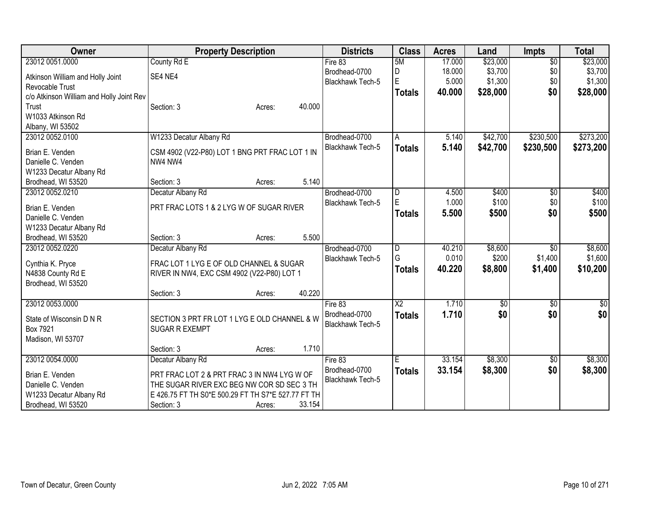| Owner                                    | <b>Property Description</b>                                           | <b>Districts</b>        | <b>Class</b>            | <b>Acres</b> | Land     | Impts           | <b>Total</b> |
|------------------------------------------|-----------------------------------------------------------------------|-------------------------|-------------------------|--------------|----------|-----------------|--------------|
| 23012 0051.0000                          | County Rd E                                                           | Fire 83                 | 5M                      | 17.000       | \$23,000 | $\overline{50}$ | \$23,000     |
| Atkinson William and Holly Joint         | SE4 NE4                                                               | Brodhead-0700           | D                       | 18.000       | \$3,700  | \$0             | \$3,700      |
| Revocable Trust                          |                                                                       | Blackhawk Tech-5        | $\mathsf E$             | 5.000        | \$1,300  | \$0             | \$1,300      |
| c/o Atkinson William and Holly Joint Rev |                                                                       |                         | <b>Totals</b>           | 40.000       | \$28,000 | \$0             | \$28,000     |
| Trust                                    | 40.000<br>Section: 3<br>Acres:                                        |                         |                         |              |          |                 |              |
| W1033 Atkinson Rd                        |                                                                       |                         |                         |              |          |                 |              |
| Albany, WI 53502                         |                                                                       |                         |                         |              |          |                 |              |
| 23012 0052.0100                          | W1233 Decatur Albany Rd                                               | Brodhead-0700           | A                       | 5.140        | \$42,700 | \$230,500       | \$273,200    |
|                                          |                                                                       | Blackhawk Tech-5        | <b>Totals</b>           | 5.140        | \$42,700 | \$230,500       | \$273,200    |
| Brian E. Venden<br>Danielle C. Venden    | CSM 4902 (V22-P80) LOT 1 BNG PRT FRAC LOT 1 IN<br>NW4 NW4             |                         |                         |              |          |                 |              |
| W1233 Decatur Albany Rd                  |                                                                       |                         |                         |              |          |                 |              |
| Brodhead, WI 53520                       | 5.140<br>Section: 3<br>Acres:                                         |                         |                         |              |          |                 |              |
| 23012 0052.0210                          | Decatur Albany Rd                                                     | Brodhead-0700           | D                       | 4.500        | \$400    | $\sqrt[6]{30}$  | \$400        |
|                                          |                                                                       | Blackhawk Tech-5        | E                       | 1.000        | \$100    | \$0             | \$100        |
| Brian E. Venden                          | PRT FRAC LOTS 1 & 2 LYG W OF SUGAR RIVER                              |                         |                         | 5.500        | \$500    | \$0             | \$500        |
| Danielle C. Venden                       |                                                                       |                         | <b>Totals</b>           |              |          |                 |              |
| W1233 Decatur Albany Rd                  |                                                                       |                         |                         |              |          |                 |              |
| Brodhead, WI 53520                       | 5.500<br>Section: 3<br>Acres:                                         |                         |                         |              |          |                 |              |
| 23012 0052.0220                          | Decatur Albany Rd                                                     | Brodhead-0700           | $\overline{\mathsf{D}}$ | 40.210       | \$8,600  | \$0             | \$8,600      |
| Cynthia K. Pryce                         | FRAC LOT 1 LYG E OF OLD CHANNEL & SUGAR                               | Blackhawk Tech-5        | G                       | 0.010        | \$200    | \$1,400         | \$1,600      |
| N4838 County Rd E                        | RIVER IN NW4, EXC CSM 4902 (V22-P80) LOT 1                            |                         | <b>Totals</b>           | 40.220       | \$8,800  | \$1,400         | \$10,200     |
| Brodhead, WI 53520                       |                                                                       |                         |                         |              |          |                 |              |
|                                          | 40.220<br>Section: 3<br>Acres:                                        |                         |                         |              |          |                 |              |
| 23012 0053.0000                          |                                                                       | Fire 83                 | $\overline{X2}$         | 1.710        | \$0      | $\sqrt[6]{}$    | $\sqrt{50}$  |
|                                          |                                                                       | Brodhead-0700           | <b>Totals</b>           | 1.710        | \$0      | \$0             | \$0          |
| State of Wisconsin D N R<br>Box 7921     | SECTION 3 PRT FR LOT 1 LYG E OLD CHANNEL & W<br><b>SUGAR R EXEMPT</b> | Blackhawk Tech-5        |                         |              |          |                 |              |
| Madison, WI 53707                        |                                                                       |                         |                         |              |          |                 |              |
|                                          | 1.710<br>Section: 3<br>Acres:                                         |                         |                         |              |          |                 |              |
| 23012 0054.0000                          | Decatur Albany Rd                                                     | Fire 83                 | $\overline{\mathsf{E}}$ | 33.154       | \$8,300  | $\sqrt{6}$      | \$8,300      |
|                                          |                                                                       | Brodhead-0700           | <b>Totals</b>           | 33.154       | \$8,300  | \$0             | \$8,300      |
| Brian E. Venden                          | PRT FRAC LOT 2 & PRT FRAC 3 IN NW4 LYG W OF                           | <b>Blackhawk Tech-5</b> |                         |              |          |                 |              |
| Danielle C. Venden                       | THE SUGAR RIVER EXC BEG NW COR SD SEC 3 TH                            |                         |                         |              |          |                 |              |
| W1233 Decatur Albany Rd                  | E 426.75 FT TH S0*E 500.29 FT TH S7*E 527.77 FT TH                    |                         |                         |              |          |                 |              |
| Brodhead, WI 53520                       | 33.154<br>Section: 3<br>Acres:                                        |                         |                         |              |          |                 |              |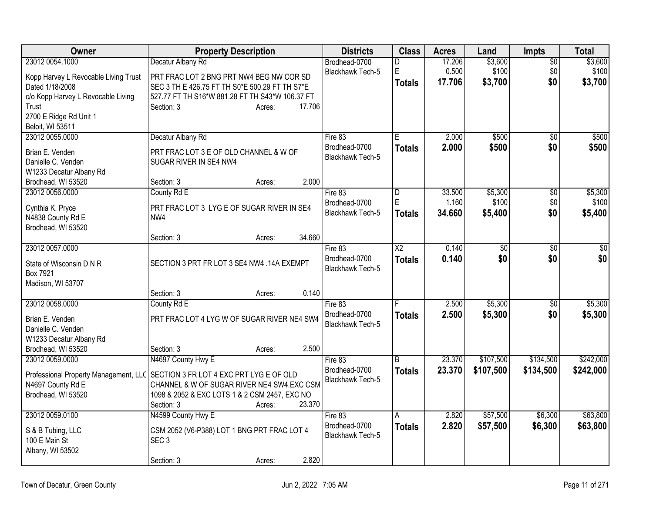| Owner                                 | <b>Property Description</b>                     | <b>Districts</b>                         | <b>Class</b>           | <b>Acres</b> | Land            | Impts           | <b>Total</b>    |
|---------------------------------------|-------------------------------------------------|------------------------------------------|------------------------|--------------|-----------------|-----------------|-----------------|
| 23012 0054.1000                       | Decatur Albany Rd                               | Brodhead-0700                            | D                      | 17.206       | \$3,600         | $\overline{50}$ | \$3,600         |
| Kopp Harvey L Revocable Living Trust  | PRT FRAC LOT 2 BNG PRT NW4 BEG NW COR SD        | <b>Blackhawk Tech-5</b>                  | E                      | 0.500        | \$100           | \$0             | \$100           |
| Dated 1/18/2008                       | SEC 3 TH E 426.75 FT TH S0*E 500.29 FT TH S7*E  |                                          | <b>Totals</b>          | 17.706       | \$3,700         | \$0             | \$3,700         |
| c/o Kopp Harvey L Revocable Living    | 527.77 FT TH S16*W 881.28 FT TH S43*W 106.37 FT |                                          |                        |              |                 |                 |                 |
| Trust                                 | 17.706<br>Section: 3<br>Acres:                  |                                          |                        |              |                 |                 |                 |
| 2700 E Ridge Rd Unit 1                |                                                 |                                          |                        |              |                 |                 |                 |
| Beloit, WI 53511                      |                                                 |                                          |                        |              |                 |                 |                 |
| 23012 0055.0000                       | Decatur Albany Rd                               | Fire 83                                  | E                      | 2.000        | \$500           | $\overline{30}$ | \$500           |
| Brian E. Venden                       | PRT FRAC LOT 3 E OF OLD CHANNEL & W OF          | Brodhead-0700                            | <b>Totals</b>          | 2.000        | \$500           | \$0             | \$500           |
| Danielle C. Venden                    | SUGAR RIVER IN SE4 NW4                          | <b>Blackhawk Tech-5</b>                  |                        |              |                 |                 |                 |
| W1233 Decatur Albany Rd               |                                                 |                                          |                        |              |                 |                 |                 |
| Brodhead, WI 53520                    | 2.000<br>Section: 3<br>Acres:                   |                                          |                        |              |                 |                 |                 |
| 23012 0056.0000                       | County Rd E                                     | Fire 83                                  | D                      | 33.500       | \$5,300         | \$0             | \$5,300         |
| Cynthia K. Pryce                      | PRT FRAC LOT 3 LYG E OF SUGAR RIVER IN SE4      | Brodhead-0700                            | E                      | 1.160        | \$100           | \$0             | \$100           |
| N4838 County Rd E                     | NW4                                             | Blackhawk Tech-5                         | <b>Totals</b>          | 34.660       | \$5,400         | \$0             | \$5,400         |
| Brodhead, WI 53520                    |                                                 |                                          |                        |              |                 |                 |                 |
|                                       | 34.660<br>Section: 3<br>Acres:                  |                                          |                        |              |                 |                 |                 |
| 23012 0057.0000                       |                                                 | Fire 83                                  | $\overline{\text{X2}}$ | 0.140        | $\overline{50}$ | $\overline{50}$ | $\overline{50}$ |
|                                       |                                                 | Brodhead-0700                            | <b>Totals</b>          | 0.140        | \$0             | \$0             | \$0             |
| State of Wisconsin D N R<br>Box 7921  | SECTION 3 PRT FR LOT 3 SE4 NW4 .14A EXEMPT      | <b>Blackhawk Tech-5</b>                  |                        |              |                 |                 |                 |
| Madison, WI 53707                     |                                                 |                                          |                        |              |                 |                 |                 |
|                                       | 0.140<br>Section: 3<br>Acres:                   |                                          |                        |              |                 |                 |                 |
| 23012 0058.0000                       | County Rd E                                     | Fire 83                                  |                        | 2.500        | \$5,300         | $\overline{50}$ | \$5,300         |
|                                       |                                                 | Brodhead-0700                            | <b>Totals</b>          | 2.500        | \$5,300         | \$0             | \$5,300         |
| Brian E. Venden                       | PRT FRAC LOT 4 LYG W OF SUGAR RIVER NE4 SW4     | Blackhawk Tech-5                         |                        |              |                 |                 |                 |
| Danielle C. Venden                    |                                                 |                                          |                        |              |                 |                 |                 |
| W1233 Decatur Albany Rd               |                                                 |                                          |                        |              |                 |                 |                 |
| Brodhead, WI 53520                    | 2.500<br>Section: 3<br>Acres:                   |                                          |                        |              |                 |                 |                 |
| 23012 0059.0000                       | N4697 County Hwy E                              | Fire 83                                  | B                      | 23.370       | \$107,500       | \$134,500       | \$242,000       |
| Professional Property Management, LLC | SECTION 3 FR LOT 4 EXC PRT LYG E OF OLD         | Brodhead-0700<br><b>Blackhawk Tech-5</b> | <b>Totals</b>          | 23.370       | \$107,500       | \$134,500       | \$242,000       |
| N4697 County Rd E                     | CHANNEL & W OF SUGAR RIVER NE4 SW4.EXC CSM      |                                          |                        |              |                 |                 |                 |
| Brodhead, WI 53520                    | 1098 & 2052 & EXC LOTS 1 & 2 CSM 2457, EXC NO   |                                          |                        |              |                 |                 |                 |
|                                       | 23.370<br>Section: 3<br>Acres:                  |                                          |                        |              |                 |                 |                 |
| 23012 0059.0100                       | N4599 County Hwy E                              | Fire 83                                  | Α                      | 2.820        | \$57,500        | \$6,300         | \$63,800        |
| S & B Tubing, LLC                     | CSM 2052 (V6-P388) LOT 1 BNG PRT FRAC LOT 4     | Brodhead-0700                            | <b>Totals</b>          | 2.820        | \$57,500        | \$6,300         | \$63,800        |
| 100 E Main St                         | SEC <sub>3</sub>                                | <b>Blackhawk Tech-5</b>                  |                        |              |                 |                 |                 |
| Albany, WI 53502                      |                                                 |                                          |                        |              |                 |                 |                 |
|                                       | 2.820<br>Section: 3<br>Acres:                   |                                          |                        |              |                 |                 |                 |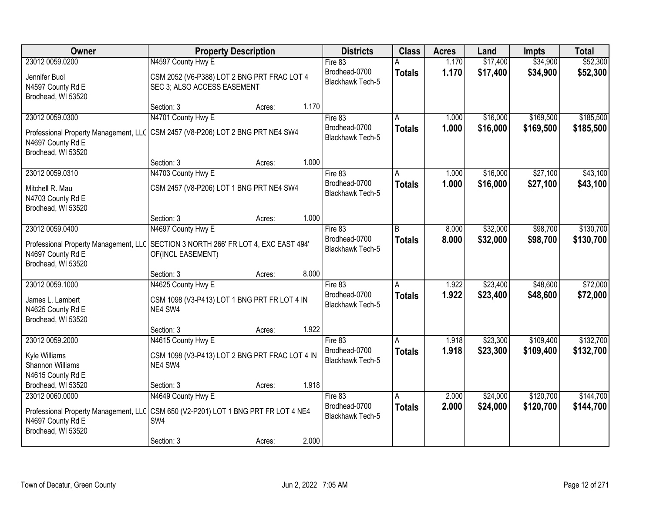| Owner                                                                            | <b>Property Description</b>                                                |        |       | <b>Districts</b>                         | <b>Class</b>  | <b>Acres</b> | Land     | Impts     | <b>Total</b> |
|----------------------------------------------------------------------------------|----------------------------------------------------------------------------|--------|-------|------------------------------------------|---------------|--------------|----------|-----------|--------------|
| 23012 0059.0200                                                                  | N4597 County Hwy E                                                         |        |       | Fire 83                                  |               | 1.170        | \$17,400 | \$34,900  | \$52,300     |
| Jennifer Buol<br>N4597 County Rd E<br>Brodhead, WI 53520                         | CSM 2052 (V6-P388) LOT 2 BNG PRT FRAC LOT 4<br>SEC 3; ALSO ACCESS EASEMENT |        |       | Brodhead-0700<br><b>Blackhawk Tech-5</b> | <b>Totals</b> | 1.170        | \$17,400 | \$34,900  | \$52,300     |
|                                                                                  | Section: 3                                                                 | Acres: | 1.170 |                                          |               |              |          |           |              |
| 23012 0059.0300                                                                  | N4701 County Hwy E                                                         |        |       | Fire 83                                  |               | 1.000        | \$16,000 | \$169,500 | \$185,500    |
| Professional Property Management, LLC<br>N4697 County Rd E<br>Brodhead, WI 53520 | CSM 2457 (V8-P206) LOT 2 BNG PRT NE4 SW4                                   |        |       | Brodhead-0700<br>Blackhawk Tech-5        | <b>Totals</b> | 1.000        | \$16,000 | \$169,500 | \$185,500    |
|                                                                                  | Section: 3                                                                 | Acres: | 1.000 |                                          |               |              |          |           |              |
| 23012 0059.0310                                                                  | N4703 County Hwy E                                                         |        |       | Fire 83                                  | A             | 1.000        | \$16,000 | \$27,100  | \$43,100     |
| Mitchell R. Mau<br>N4703 County Rd E<br>Brodhead, WI 53520                       | CSM 2457 (V8-P206) LOT 1 BNG PRT NE4 SW4                                   |        |       | Brodhead-0700<br>Blackhawk Tech-5        | <b>Totals</b> | 1.000        | \$16,000 | \$27,100  | \$43,100     |
|                                                                                  | Section: 3                                                                 | Acres: | 1.000 |                                          |               |              |          |           |              |
| 23012 0059.0400                                                                  | N4697 County Hwy E                                                         |        |       | Fire 83                                  | B             | 8.000        | \$32,000 | \$98,700  | \$130,700    |
| Professional Property Management, LLC<br>N4697 County Rd E<br>Brodhead, WI 53520 | SECTION 3 NORTH 266' FR LOT 4, EXC EAST 494'<br>OF(INCL EASEMENT)          |        |       | Brodhead-0700<br>Blackhawk Tech-5        | <b>Totals</b> | 8.000        | \$32,000 | \$98,700  | \$130,700    |
|                                                                                  | Section: 3                                                                 | Acres: | 8.000 |                                          |               |              |          |           |              |
| 23012 0059.1000                                                                  | N4625 County Hwy E                                                         |        |       | Fire 83                                  | A             | 1.922        | \$23,400 | \$48,600  | \$72,000     |
| James L. Lambert<br>N4625 County Rd E<br>Brodhead, WI 53520                      | CSM 1098 (V3-P413) LOT 1 BNG PRT FR LOT 4 IN<br>NE4 SW4                    |        |       | Brodhead-0700<br><b>Blackhawk Tech-5</b> | <b>Totals</b> | 1.922        | \$23,400 | \$48,600  | \$72,000     |
|                                                                                  | Section: 3                                                                 | Acres: | 1.922 |                                          |               |              |          |           |              |
| 23012 0059.2000                                                                  | N4615 County Hwy E                                                         |        |       | Fire 83                                  | A             | 1.918        | \$23,300 | \$109,400 | \$132,700    |
| Kyle Williams<br><b>Shannon Williams</b><br>N4615 County Rd E                    | CSM 1098 (V3-P413) LOT 2 BNG PRT FRAC LOT 4 IN<br>NE4 SW4                  |        |       | Brodhead-0700<br>Blackhawk Tech-5        | <b>Totals</b> | 1.918        | \$23,300 | \$109,400 | \$132,700    |
| Brodhead, WI 53520                                                               | Section: 3                                                                 | Acres: | 1.918 |                                          |               |              |          |           |              |
| 23012 0060.0000                                                                  | N4649 County Hwy E                                                         |        |       | Fire 83                                  | A             | 2.000        | \$24,000 | \$120,700 | \$144,700    |
| Professional Property Management, LLC<br>N4697 County Rd E<br>Brodhead, WI 53520 | CSM 650 (V2-P201) LOT 1 BNG PRT FR LOT 4 NE4<br>SW4                        |        |       | Brodhead-0700<br><b>Blackhawk Tech-5</b> | <b>Totals</b> | 2.000        | \$24,000 | \$120,700 | \$144,700    |
|                                                                                  | Section: 3                                                                 | Acres: | 2.000 |                                          |               |              |          |           |              |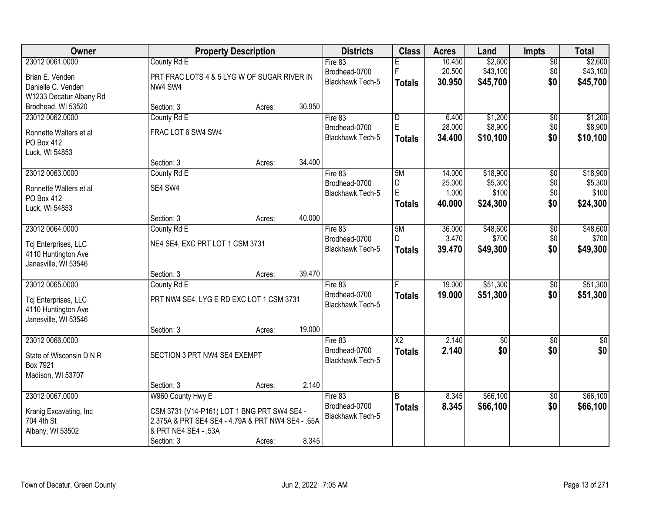| Owner                                       |                                                   | <b>Property Description</b> |        | <b>Districts</b>        | <b>Class</b>    | <b>Acres</b>    | Land             | <b>Impts</b>    | <b>Total</b>     |
|---------------------------------------------|---------------------------------------------------|-----------------------------|--------|-------------------------|-----------------|-----------------|------------------|-----------------|------------------|
| 23012 0061.0000                             | County Rd E                                       |                             |        | Fire 83                 |                 | 10.450          | \$2,600          | $\overline{50}$ | \$2,600          |
| Brian E. Venden                             | PRT FRAC LOTS 4 & 5 LYG W OF SUGAR RIVER IN       |                             |        | Brodhead-0700           | F               | 20.500          | \$43,100         | \$0             | \$43,100         |
| Danielle C. Venden                          | NW4 SW4                                           |                             |        | <b>Blackhawk Tech-5</b> | <b>Totals</b>   | 30.950          | \$45,700         | \$0             | \$45,700         |
| W1233 Decatur Albany Rd                     |                                                   |                             |        |                         |                 |                 |                  |                 |                  |
| Brodhead, WI 53520                          | Section: 3                                        | Acres:                      | 30.950 |                         |                 |                 |                  |                 |                  |
| 23012 0062.0000                             | County Rd E                                       |                             |        | Fire 83                 | $\overline{D}$  | 6.400           | \$1,200          | $\overline{50}$ | \$1,200          |
|                                             |                                                   |                             |        | Brodhead-0700           | $\mathsf E$     | 28.000          | \$8,900          | \$0             | \$8,900          |
| Ronnette Walters et al                      | FRAC LOT 6 SW4 SW4                                |                             |        | Blackhawk Tech-5        | <b>Totals</b>   | 34.400          | \$10,100         | \$0             | \$10,100         |
| PO Box 412                                  |                                                   |                             |        |                         |                 |                 |                  |                 |                  |
| Luck, WI 54853                              |                                                   |                             | 34.400 |                         |                 |                 |                  |                 |                  |
|                                             | Section: 3                                        | Acres:                      |        |                         |                 |                 |                  |                 |                  |
| 23012 0063.0000                             | County Rd E                                       |                             |        | Fire 83                 | 5M              | 14.000          | \$18,900         | $\overline{50}$ | \$18,900         |
| Ronnette Walters et al                      | SE4 SW4                                           |                             |        | Brodhead-0700           | D<br>E          | 25.000<br>1.000 | \$5,300<br>\$100 | \$0<br>\$0      | \$5,300<br>\$100 |
| PO Box 412                                  |                                                   |                             |        | Blackhawk Tech-5        |                 |                 |                  |                 |                  |
| Luck, WI 54853                              |                                                   |                             |        |                         | <b>Totals</b>   | 40.000          | \$24,300         | \$0             | \$24,300         |
|                                             | Section: 3                                        | Acres:                      | 40.000 |                         |                 |                 |                  |                 |                  |
| 23012 0064.0000                             | County Rd E                                       |                             |        | Fire 83                 | 5M              | 36.000          | \$48,600         | \$0             | \$48,600         |
|                                             | NE4 SE4, EXC PRT LOT 1 CSM 3731                   |                             |        | Brodhead-0700           | D               | 3.470           | \$700            | \$0             | \$700            |
| Tcj Enterprises, LLC<br>4110 Huntington Ave |                                                   |                             |        | Blackhawk Tech-5        | <b>Totals</b>   | 39.470          | \$49,300         | \$0             | \$49,300         |
| Janesville, WI 53546                        |                                                   |                             |        |                         |                 |                 |                  |                 |                  |
|                                             | Section: 3                                        | Acres:                      | 39.470 |                         |                 |                 |                  |                 |                  |
| 23012 0065.0000                             | County Rd E                                       |                             |        | Fire 83                 |                 | 19.000          | \$51,300         | $\overline{30}$ | \$51,300         |
|                                             |                                                   |                             |        | Brodhead-0700           | Totals          | 19.000          | \$51,300         | \$0             | \$51,300         |
| Tcj Enterprises, LLC                        | PRT NW4 SE4, LYG E RD EXC LOT 1 CSM 3731          |                             |        | <b>Blackhawk Tech-5</b> |                 |                 |                  |                 |                  |
| 4110 Huntington Ave                         |                                                   |                             |        |                         |                 |                 |                  |                 |                  |
| Janesville, WI 53546                        |                                                   |                             |        |                         |                 |                 |                  |                 |                  |
|                                             | Section: 3                                        | Acres:                      | 19.000 |                         |                 |                 |                  |                 |                  |
| 23012 0066.0000                             |                                                   |                             |        | Fire 83                 | $\overline{X2}$ | 2.140           | $\sqrt{$0}$      | $\sqrt{6}$      | $\sqrt{50}$      |
| State of Wisconsin D N R                    | SECTION 3 PRT NW4 SE4 EXEMPT                      |                             |        | Brodhead-0700           | <b>Totals</b>   | 2.140           | \$0              | \$0             | \$0              |
| Box 7921                                    |                                                   |                             |        | Blackhawk Tech-5        |                 |                 |                  |                 |                  |
| Madison, WI 53707                           |                                                   |                             |        |                         |                 |                 |                  |                 |                  |
|                                             | Section: 3                                        | Acres:                      | 2.140  |                         |                 |                 |                  |                 |                  |
| 23012 0067.0000                             | W960 County Hwy E                                 |                             |        | Fire 83                 | B               | 8.345           | \$66,100         | $\overline{50}$ | \$66,100         |
|                                             |                                                   |                             |        | Brodhead-0700           | <b>Totals</b>   | 8.345           | \$66,100         | \$0             | \$66,100         |
| Kranig Excavating, Inc                      | CSM 3731 (V14-P161) LOT 1 BNG PRT SW4 SE4 -       |                             |        | <b>Blackhawk Tech-5</b> |                 |                 |                  |                 |                  |
| 704 4th St                                  | 2.375A & PRT SE4 SE4 - 4.79A & PRT NW4 SE4 - .65A |                             |        |                         |                 |                 |                  |                 |                  |
| Albany, WI 53502                            | & PRT NE4 SE4 - .53A                              |                             |        |                         |                 |                 |                  |                 |                  |
|                                             | Section: 3                                        | Acres:                      | 8.345  |                         |                 |                 |                  |                 |                  |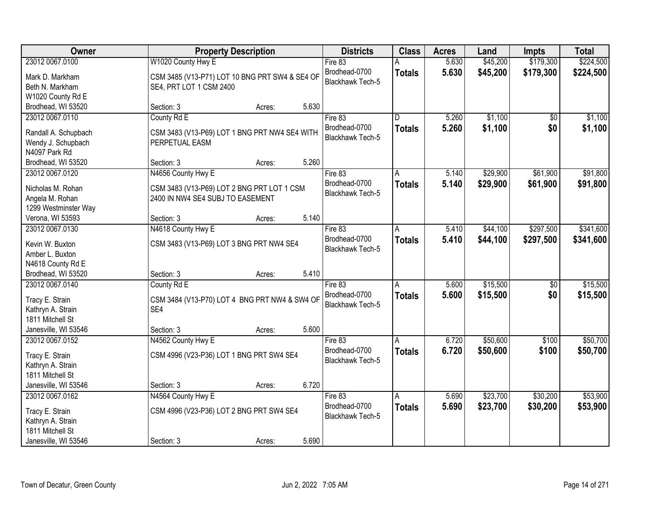| Owner                |                                                | <b>Property Description</b> |       | <b>Districts</b>        | <b>Class</b>            | <b>Acres</b> | Land     | <b>Impts</b>    | <b>Total</b> |
|----------------------|------------------------------------------------|-----------------------------|-------|-------------------------|-------------------------|--------------|----------|-----------------|--------------|
| 23012 0067.0100      | W1020 County Hwy E                             |                             |       | Fire 83                 |                         | 5.630        | \$45,200 | \$179,300       | \$224,500    |
| Mark D. Markham      | CSM 3485 (V13-P71) LOT 10 BNG PRT SW4 & SE4 OF |                             |       | Brodhead-0700           | <b>Totals</b>           | 5.630        | \$45,200 | \$179,300       | \$224,500    |
| Beth N. Markham      | SE4, PRT LOT 1 CSM 2400                        |                             |       | <b>Blackhawk Tech-5</b> |                         |              |          |                 |              |
| W1020 County Rd E    |                                                |                             |       |                         |                         |              |          |                 |              |
| Brodhead, WI 53520   | Section: 3                                     | Acres:                      | 5.630 |                         |                         |              |          |                 |              |
| 23012 0067.0110      | County Rd E                                    |                             |       | Fire 83                 | $\overline{\mathsf{n}}$ | 5.260        | \$1,100  | \$0             | \$1,100      |
|                      |                                                |                             |       | Brodhead-0700           | <b>Totals</b>           | 5.260        | \$1,100  | \$0             | \$1,100      |
| Randall A. Schupbach | CSM 3483 (V13-P69) LOT 1 BNG PRT NW4 SE4 WITH  |                             |       | Blackhawk Tech-5        |                         |              |          |                 |              |
| Wendy J. Schupbach   | PERPETUAL EASM                                 |                             |       |                         |                         |              |          |                 |              |
| N4097 Park Rd        |                                                |                             |       |                         |                         |              |          |                 |              |
| Brodhead, WI 53520   | Section: 3                                     | Acres:                      | 5.260 |                         |                         |              |          |                 |              |
| 23012 0067.0120      | N4656 County Hwy E                             |                             |       | Fire 83                 | A                       | 5.140        | \$29,900 | \$61,900        | \$91,800     |
| Nicholas M. Rohan    | CSM 3483 (V13-P69) LOT 2 BNG PRT LOT 1 CSM     |                             |       | Brodhead-0700           | <b>Totals</b>           | 5.140        | \$29,900 | \$61,900        | \$91,800     |
| Angela M. Rohan      | 2400 IN NW4 SE4 SUBJ TO EASEMENT               |                             |       | Blackhawk Tech-5        |                         |              |          |                 |              |
| 1299 Westminster Way |                                                |                             |       |                         |                         |              |          |                 |              |
| Verona, WI 53593     | Section: 3                                     | Acres:                      | 5.140 |                         |                         |              |          |                 |              |
| 23012 0067.0130      | N4618 County Hwy E                             |                             |       | Fire 83                 | A                       | 5.410        | \$44,100 | \$297,500       | \$341,600    |
|                      |                                                |                             |       | Brodhead-0700           |                         | 5.410        | \$44,100 | \$297,500       |              |
| Kevin W. Buxton      | CSM 3483 (V13-P69) LOT 3 BNG PRT NW4 SE4       |                             |       | Blackhawk Tech-5        | <b>Totals</b>           |              |          |                 | \$341,600    |
| Amber L. Buxton      |                                                |                             |       |                         |                         |              |          |                 |              |
| N4618 County Rd E    |                                                |                             |       |                         |                         |              |          |                 |              |
| Brodhead, WI 53520   | Section: 3                                     | Acres:                      | 5.410 |                         |                         |              |          |                 |              |
| 23012 0067.0140      | County Rd E                                    |                             |       | Fire 83                 | Α                       | 5.600        | \$15,500 | $\overline{50}$ | \$15,500     |
|                      |                                                |                             |       | Brodhead-0700           | <b>Totals</b>           | 5.600        | \$15,500 | \$0             | \$15,500     |
| Tracy E. Strain      | CSM 3484 (V13-P70) LOT 4 BNG PRT NW4 & SW4 OF  |                             |       | <b>Blackhawk Tech-5</b> |                         |              |          |                 |              |
| Kathryn A. Strain    | SE4                                            |                             |       |                         |                         |              |          |                 |              |
| 1811 Mitchell St     |                                                |                             |       |                         |                         |              |          |                 |              |
| Janesville, WI 53546 | Section: 3                                     | Acres:                      | 5.600 |                         |                         |              |          |                 |              |
| 23012 0067.0152      | N4562 County Hwy E                             |                             |       | Fire 83                 | A                       | 6.720        | \$50,600 | \$100           | \$50,700     |
| Tracy E. Strain      | CSM 4996 (V23-P36) LOT 1 BNG PRT SW4 SE4       |                             |       | Brodhead-0700           | <b>Totals</b>           | 6.720        | \$50,600 | \$100           | \$50,700     |
| Kathryn A. Strain    |                                                |                             |       | <b>Blackhawk Tech-5</b> |                         |              |          |                 |              |
| 1811 Mitchell St     |                                                |                             |       |                         |                         |              |          |                 |              |
| Janesville, WI 53546 | Section: 3                                     | Acres:                      | 6.720 |                         |                         |              |          |                 |              |
| 23012 0067.0162      | N4564 County Hwy E                             |                             |       | Fire 83                 | Α                       | 5.690        | \$23,700 | \$30,200        | \$53,900     |
|                      |                                                |                             |       | Brodhead-0700           | <b>Totals</b>           | 5.690        | \$23,700 | \$30,200        | \$53,900     |
| Tracy E. Strain      | CSM 4996 (V23-P36) LOT 2 BNG PRT SW4 SE4       |                             |       | <b>Blackhawk Tech-5</b> |                         |              |          |                 |              |
| Kathryn A. Strain    |                                                |                             |       |                         |                         |              |          |                 |              |
| 1811 Mitchell St     |                                                |                             |       |                         |                         |              |          |                 |              |
| Janesville, WI 53546 | Section: 3                                     | Acres:                      | 5.690 |                         |                         |              |          |                 |              |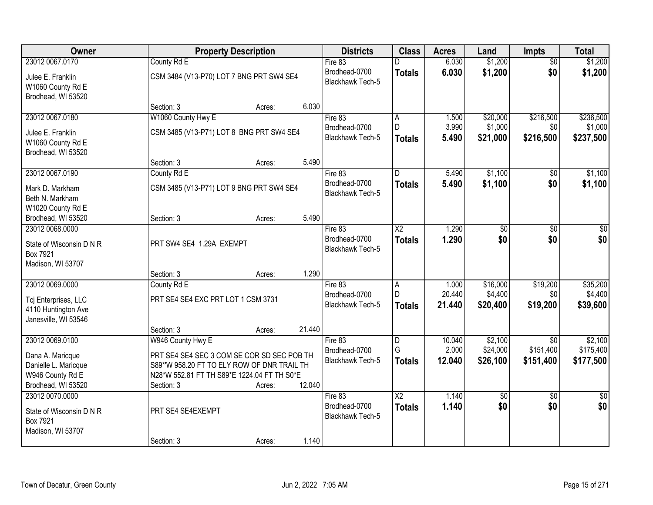| Owner                                                        |                                                                                           | <b>Property Description</b> |        | <b>Districts</b>                  | <b>Class</b>            | <b>Acres</b>    | Land                 | Impts                  | <b>Total</b>           |
|--------------------------------------------------------------|-------------------------------------------------------------------------------------------|-----------------------------|--------|-----------------------------------|-------------------------|-----------------|----------------------|------------------------|------------------------|
| 23012 0067.0170                                              | County Rd E                                                                               |                             |        | Fire 83                           |                         | 6.030           | \$1,200              | $\overline{50}$        | \$1,200                |
| Julee E. Franklin<br>W1060 County Rd E<br>Brodhead, WI 53520 | CSM 3484 (V13-P70) LOT 7 BNG PRT SW4 SE4                                                  |                             |        | Brodhead-0700<br>Blackhawk Tech-5 | <b>Totals</b>           | 6.030           | \$1,200              | \$0                    | \$1,200                |
|                                                              | Section: 3                                                                                | Acres:                      | 6.030  |                                   |                         |                 |                      |                        |                        |
| 23012 0067.0180                                              | W1060 County Hwy E                                                                        |                             |        | Fire 83                           | $\overline{\mathsf{A}}$ | 1.500           | \$20,000             | \$216,500              | \$236,500              |
| Julee E. Franklin                                            | CSM 3485 (V13-P71) LOT 8 BNG PRT SW4 SE4                                                  |                             |        | Brodhead-0700                     | D                       | 3.990           | \$1,000              | \$0                    | \$1,000                |
| W1060 County Rd E<br>Brodhead, WI 53520                      |                                                                                           |                             |        | Blackhawk Tech-5                  | <b>Totals</b>           | 5.490           | \$21,000             | \$216,500              | \$237,500              |
|                                                              | Section: 3                                                                                | Acres:                      | 5.490  |                                   |                         |                 |                      |                        |                        |
| 23012 0067.0190                                              | County Rd E                                                                               |                             |        | Fire 83                           | D                       | 5.490           | \$1,100              | \$0                    | \$1,100                |
| Mark D. Markham<br>Beth N. Markham<br>W1020 County Rd E      | CSM 3485 (V13-P71) LOT 9 BNG PRT SW4 SE4                                                  |                             |        | Brodhead-0700<br>Blackhawk Tech-5 | <b>Totals</b>           | 5.490           | \$1,100              | \$0                    | \$1,100                |
| Brodhead, WI 53520                                           | Section: 3                                                                                | Acres:                      | 5.490  |                                   |                         |                 |                      |                        |                        |
| 23012 0068.0000                                              |                                                                                           |                             |        | Fire $83$                         | $\overline{\text{X2}}$  | 1.290           | $\overline{50}$      | $\overline{30}$        | $\overline{50}$        |
| State of Wisconsin D N R<br>Box 7921<br>Madison, WI 53707    | PRT SW4 SE4 1.29A EXEMPT                                                                  |                             |        | Brodhead-0700<br>Blackhawk Tech-5 | <b>Totals</b>           | 1.290           | \$0                  | \$0                    | \$0                    |
|                                                              | Section: 3                                                                                | Acres:                      | 1.290  |                                   |                         |                 |                      |                        |                        |
| 23012 0069.0000                                              | County Rd E                                                                               |                             |        | Fire 83                           | A                       | 1.000           | \$16,000             | \$19,200               | \$35,200               |
| Tcj Enterprises, LLC                                         | PRT SE4 SE4 EXC PRT LOT 1 CSM 3731                                                        |                             |        | Brodhead-0700                     | D                       | 20.440          | \$4,400              | \$0                    | \$4,400                |
| 4110 Huntington Ave<br>Janesville, WI 53546                  |                                                                                           |                             |        | <b>Blackhawk Tech-5</b>           | <b>Totals</b>           | 21.440          | \$20,400             | \$19,200               | \$39,600               |
|                                                              | Section: 3                                                                                | Acres:                      | 21.440 |                                   |                         |                 |                      |                        |                        |
| 23012 0069.0100                                              | W946 County Hwy E                                                                         |                             |        | Fire 83                           | D                       | 10.040          | \$2,100              | \$0                    | \$2,100                |
| Dana A. Maricque<br>Danielle L. Maricque                     | PRT SE4 SE4 SEC 3 COM SE COR SD SEC POB TH<br>S89*'W 958.20 FT TO ELY ROW OF DNR TRAIL TH |                             |        | Brodhead-0700<br>Blackhawk Tech-5 | G<br><b>Totals</b>      | 2.000<br>12.040 | \$24,000<br>\$26,100 | \$151,400<br>\$151,400 | \$175,400<br>\$177,500 |
| W946 County Rd E                                             | N28*W 552.81 FT TH S89*E 1224.04 FT TH S0*E                                               |                             |        |                                   |                         |                 |                      |                        |                        |
| Brodhead, WI 53520<br>23012 0070.0000                        | Section: 3                                                                                | Acres:                      | 12.040 | Fire 83                           | $\overline{\text{X2}}$  | 1.140           | \$0                  | $\overline{50}$        | $\overline{50}$        |
| State of Wisconsin D N R<br>Box 7921<br>Madison, WI 53707    | PRT SE4 SE4EXEMPT                                                                         |                             |        | Brodhead-0700<br>Blackhawk Tech-5 | <b>Totals</b>           | 1.140           | \$0                  | \$0                    | \$0                    |
|                                                              | Section: 3                                                                                | Acres:                      | 1.140  |                                   |                         |                 |                      |                        |                        |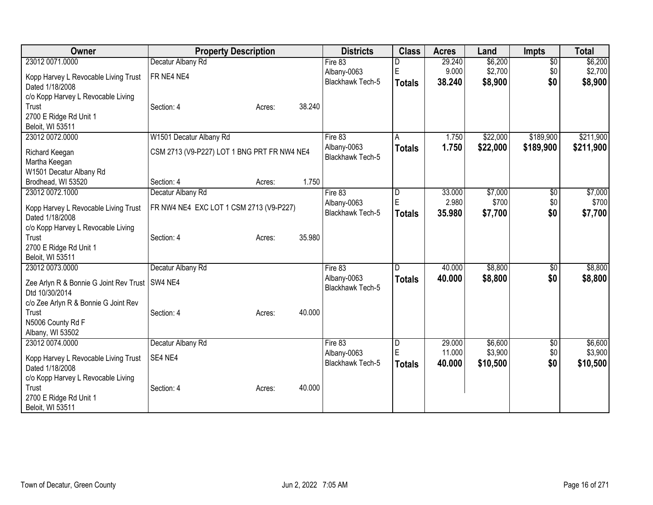| Owner                                                                                     | <b>Property Description</b>                                  | <b>Districts</b>                           | <b>Class</b>            | <b>Acres</b>              | Land                        | <b>Impts</b>           | <b>Total</b>                |
|-------------------------------------------------------------------------------------------|--------------------------------------------------------------|--------------------------------------------|-------------------------|---------------------------|-----------------------------|------------------------|-----------------------------|
| 23012 0071.0000                                                                           | Decatur Albany Rd                                            | Fire 83                                    |                         | 29.240                    | \$6,200                     | $\overline{30}$        | \$6,200                     |
| Kopp Harvey L Revocable Living Trust<br>Dated 1/18/2008                                   | FR NE4 NE4                                                   | Albany-0063<br>Blackhawk Tech-5            | E<br><b>Totals</b>      | 9.000<br>38.240           | \$2,700<br>\$8,900          | \$0<br>\$0             | \$2,700<br>\$8,900          |
| c/o Kopp Harvey L Revocable Living<br>Trust<br>2700 E Ridge Rd Unit 1<br>Beloit, WI 53511 | 38.240<br>Section: 4<br>Acres:                               |                                            |                         |                           |                             |                        |                             |
| 23012 0072.0000                                                                           | W1501 Decatur Albany Rd                                      | Fire 83<br>Albany-0063                     | A<br><b>Totals</b>      | 1.750<br>1.750            | \$22,000<br>\$22,000        | \$189,900<br>\$189,900 | \$211,900<br>\$211,900      |
| Richard Keegan<br>Martha Keegan<br>W1501 Decatur Albany Rd                                | CSM 2713 (V9-P227) LOT 1 BNG PRT FR NW4 NE4                  | Blackhawk Tech-5                           |                         |                           |                             |                        |                             |
| Brodhead, WI 53520                                                                        | 1.750<br>Section: 4<br>Acres:                                |                                            |                         |                           |                             |                        |                             |
| 23012 0072.1000<br>Kopp Harvey L Revocable Living Trust<br>Dated 1/18/2008                | Decatur Albany Rd<br>FR NW4 NE4 EXC LOT 1 CSM 2713 (V9-P227) | Fire 83<br>Albany-0063<br>Blackhawk Tech-5 | D<br>E<br><b>Totals</b> | 33.000<br>2.980<br>35.980 | \$7,000<br>\$700<br>\$7,700 | \$0<br>\$0<br>\$0      | \$7,000<br>\$700<br>\$7,700 |
| c/o Kopp Harvey L Revocable Living<br>Trust<br>2700 E Ridge Rd Unit 1<br>Beloit, WI 53511 | 35.980<br>Section: 4<br>Acres:                               |                                            |                         |                           |                             |                        |                             |
| 23012 0073.0000                                                                           | Decatur Albany Rd                                            | Fire 83                                    | D                       | 40.000                    | \$8,800                     | $\sqrt[6]{}$           | \$8,800                     |
| Zee Arlyn R & Bonnie G Joint Rev Trust<br>Dtd 10/30/2014                                  | SW4 NE4                                                      | Albany-0063<br><b>Blackhawk Tech-5</b>     | <b>Totals</b>           | 40.000                    | \$8,800                     | \$0                    | \$8,800                     |
| c/o Zee Arlyn R & Bonnie G Joint Rev<br>Trust<br>N5006 County Rd F<br>Albany, WI 53502    | 40.000<br>Section: 4<br>Acres:                               |                                            |                         |                           |                             |                        |                             |
| 23012 0074.0000                                                                           | Decatur Albany Rd                                            | Fire 83                                    | D                       | 29.000                    | \$6,600                     | \$0                    | \$6,600                     |
| Kopp Harvey L Revocable Living Trust<br>Dated 1/18/2008                                   | SE4 NE4                                                      | Albany-0063<br><b>Blackhawk Tech-5</b>     | E<br><b>Totals</b>      | 11.000<br>40.000          | \$3,900<br>\$10,500         | \$0<br>\$0             | \$3,900<br>\$10,500         |
| c/o Kopp Harvey L Revocable Living<br>Trust<br>2700 E Ridge Rd Unit 1<br>Beloit, WI 53511 | 40.000<br>Section: 4<br>Acres:                               |                                            |                         |                           |                             |                        |                             |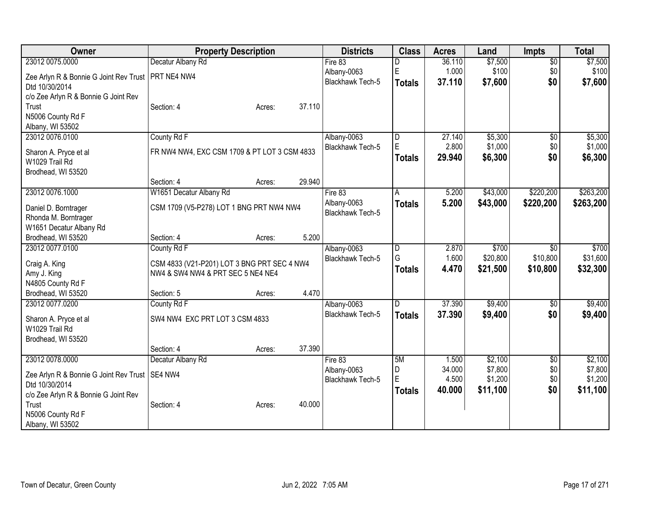| Owner                                                                                                                                  | <b>Property Description</b>                                                                                                      | <b>Districts</b>                                  | <b>Class</b>                  | <b>Acres</b>                       | Land                                      | <b>Impts</b>                         | <b>Total</b>                              |
|----------------------------------------------------------------------------------------------------------------------------------------|----------------------------------------------------------------------------------------------------------------------------------|---------------------------------------------------|-------------------------------|------------------------------------|-------------------------------------------|--------------------------------------|-------------------------------------------|
| 23012 0075.0000                                                                                                                        | Decatur Albany Rd                                                                                                                | Fire 83                                           | D                             | 36.110                             | \$7,500                                   | $\overline{50}$                      | \$7,500                                   |
| Zee Arlyn R & Bonnie G Joint Rev Trust<br>Dtd 10/30/2014                                                                               | PRT NE4 NW4                                                                                                                      | Albany-0063<br>Blackhawk Tech-5                   | E<br><b>Totals</b>            | 1.000<br>37.110                    | \$100<br>\$7,600                          | \$0<br>\$0                           | \$100<br>\$7,600                          |
| c/o Zee Arlyn R & Bonnie G Joint Rev<br>Trust<br>N5006 County Rd F<br>Albany, WI 53502                                                 | 37.110<br>Section: 4<br>Acres:                                                                                                   |                                                   |                               |                                    |                                           |                                      |                                           |
| 23012 0076.0100<br>Sharon A. Pryce et al<br>W1029 Trail Rd<br>Brodhead, WI 53520                                                       | County Rd F<br>FR NW4 NW4, EXC CSM 1709 & PT LOT 3 CSM 4833                                                                      | Albany-0063<br>Blackhawk Tech-5                   | D<br>E.<br><b>Totals</b>      | 27.140<br>2.800<br>29.940          | \$5,300<br>\$1,000<br>\$6,300             | $\sqrt{6}$<br>\$0<br>\$0             | \$5,300<br>\$1,000<br>\$6,300             |
|                                                                                                                                        | 29.940<br>Section: 4<br>Acres:                                                                                                   |                                                   |                               |                                    |                                           |                                      |                                           |
| 23012 0076.1000<br>Daniel D. Borntrager<br>Rhonda M. Borntrager<br>W1651 Decatur Albany Rd                                             | W1651 Decatur Albany Rd<br>CSM 1709 (V5-P278) LOT 1 BNG PRT NW4 NW4                                                              | Fire 83<br>Albany-0063<br>Blackhawk Tech-5        | А<br><b>Totals</b>            | 5.200<br>5.200                     | \$43,000<br>\$43,000                      | \$220,200<br>\$220,200               | \$263,200<br>\$263,200                    |
| Brodhead, WI 53520                                                                                                                     | 5.200<br>Section: 4<br>Acres:                                                                                                    |                                                   |                               |                                    |                                           |                                      |                                           |
| 23012 0077.0100<br>Craig A. King<br>Amy J. King<br>N4805 County Rd F<br>Brodhead, WI 53520                                             | County Rd F<br>CSM 4833 (V21-P201) LOT 3 BNG PRT SEC 4 NW4<br>NW4 & SW4 NW4 & PRT SEC 5 NE4 NE4<br>4.470<br>Section: 5<br>Acres: | Albany-0063<br><b>Blackhawk Tech-5</b>            | D<br>G<br><b>Totals</b>       | 2.870<br>1.600<br>4.470            | \$700<br>\$20,800<br>\$21,500             | \$0<br>\$10,800<br>\$10,800          | \$700<br>\$31,600<br>\$32,300             |
| 23012 0077.0200                                                                                                                        | County Rd F                                                                                                                      | Albany-0063                                       | D                             | 37.390                             | \$9,400                                   | \$0                                  | \$9,400                                   |
| Sharon A. Pryce et al<br>W1029 Trail Rd<br>Brodhead, WI 53520                                                                          | SW4 NW4 EXC PRT LOT 3 CSM 4833                                                                                                   | Blackhawk Tech-5                                  | <b>Totals</b>                 | 37.390                             | \$9,400                                   | \$0                                  | \$9,400                                   |
|                                                                                                                                        | 37.390<br>Section: 4<br>Acres:                                                                                                   |                                                   |                               |                                    |                                           |                                      |                                           |
| 23012 0078.0000<br>Zee Arlyn R & Bonnie G Joint Rev Trust   SE4 NW4<br>Dtd 10/30/2014<br>c/o Zee Arlyn R & Bonnie G Joint Rev<br>Trust | Decatur Albany Rd<br>40.000                                                                                                      | Fire 83<br>Albany-0063<br><b>Blackhawk Tech-5</b> | 5M<br>D<br>E<br><b>Totals</b> | 1.500<br>34.000<br>4.500<br>40.000 | \$2,100<br>\$7,800<br>\$1,200<br>\$11,100 | $\overline{50}$<br>\$0<br>\$0<br>\$0 | \$2,100<br>\$7,800<br>\$1,200<br>\$11,100 |
| N5006 County Rd F<br>Albany, WI 53502                                                                                                  | Section: 4<br>Acres:                                                                                                             |                                                   |                               |                                    |                                           |                                      |                                           |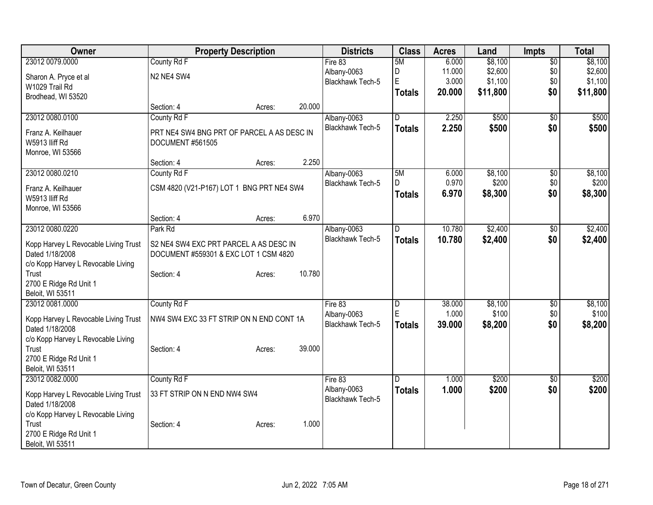| <b>Owner</b>                         | <b>Property Description</b>                |        |        | <b>Districts</b>                | <b>Class</b>            | <b>Acres</b> | Land     | <b>Impts</b>    | <b>Total</b> |
|--------------------------------------|--------------------------------------------|--------|--------|---------------------------------|-------------------------|--------------|----------|-----------------|--------------|
| 23012 0079.0000                      | County Rd F                                |        |        | Fire 83                         | 5M                      | 6.000        | \$8,100  | $\overline{50}$ | \$8,100      |
| Sharon A. Pryce et al                | N2 NE4 SW4                                 |        |        | Albany-0063                     | D                       | 11.000       | \$2,600  | \$0             | \$2,600      |
| W1029 Trail Rd                       |                                            |        |        | Blackhawk Tech-5                | E                       | 3.000        | \$1,100  | \$0             | \$1,100      |
| Brodhead, WI 53520                   |                                            |        |        |                                 | <b>Totals</b>           | 20.000       | \$11,800 | \$0             | \$11,800     |
|                                      | Section: 4                                 | Acres: | 20.000 |                                 |                         |              |          |                 |              |
| 23012 0080.0100                      | County Rd F                                |        |        | Albany-0063                     | D                       | 2.250        | \$500    | $\overline{50}$ | \$500        |
| Franz A. Keilhauer                   | PRT NE4 SW4 BNG PRT OF PARCEL A AS DESC IN |        |        | <b>Blackhawk Tech-5</b>         | <b>Totals</b>           | 2.250        | \$500    | \$0             | \$500        |
| W5913 Iliff Rd                       | DOCUMENT #561505                           |        |        |                                 |                         |              |          |                 |              |
| Monroe, WI 53566                     |                                            |        |        |                                 |                         |              |          |                 |              |
|                                      | Section: 4                                 | Acres: | 2.250  |                                 |                         |              |          |                 |              |
| 23012 0080.0210                      | County Rd F                                |        |        | Albany-0063                     | 5M                      | 6.000        | \$8,100  | $\overline{50}$ | \$8,100      |
| Franz A. Keilhauer                   | CSM 4820 (V21-P167) LOT 1 BNG PRT NE4 SW4  |        |        | Blackhawk Tech-5                | D                       | 0.970        | \$200    | \$0             | \$200        |
| W5913 lliff Rd                       |                                            |        |        |                                 | <b>Totals</b>           | 6.970        | \$8,300  | \$0             | \$8,300      |
| Monroe, WI 53566                     |                                            |        |        |                                 |                         |              |          |                 |              |
|                                      | Section: 4                                 | Acres: | 6.970  |                                 |                         |              |          |                 |              |
| 23012 0080.0220                      | Park Rd                                    |        |        | Albany-0063                     | $\overline{\mathsf{D}}$ | 10.780       | \$2,400  | \$0             | \$2,400      |
| Kopp Harvey L Revocable Living Trust | S2 NE4 SW4 EXC PRT PARCEL A AS DESC IN     |        |        | Blackhawk Tech-5                | <b>Totals</b>           | 10.780       | \$2,400  | \$0             | \$2,400      |
| Dated 1/18/2008                      | DOCUMENT #559301 & EXC LOT 1 CSM 4820      |        |        |                                 |                         |              |          |                 |              |
| c/o Kopp Harvey L Revocable Living   |                                            |        |        |                                 |                         |              |          |                 |              |
| Trust                                | Section: 4                                 | Acres: | 10.780 |                                 |                         |              |          |                 |              |
| 2700 E Ridge Rd Unit 1               |                                            |        |        |                                 |                         |              |          |                 |              |
| Beloit, WI 53511                     |                                            |        |        |                                 |                         |              |          |                 |              |
| 23012 0081.0000                      | County Rd F                                |        |        | Fire 83                         | D                       | 38.000       | \$8,100  | \$0             | \$8,100      |
| Kopp Harvey L Revocable Living Trust | NW4 SW4 EXC 33 FT STRIP ON N END CONT 1A   |        |        | Albany-0063                     | E                       | 1.000        | \$100    | \$0             | \$100        |
| Dated 1/18/2008                      |                                            |        |        | <b>Blackhawk Tech-5</b>         | <b>Totals</b>           | 39.000       | \$8,200  | \$0             | \$8,200      |
| c/o Kopp Harvey L Revocable Living   |                                            |        |        |                                 |                         |              |          |                 |              |
| Trust                                | Section: 4                                 | Acres: | 39.000 |                                 |                         |              |          |                 |              |
| 2700 E Ridge Rd Unit 1               |                                            |        |        |                                 |                         |              |          |                 |              |
| Beloit, WI 53511                     |                                            |        |        |                                 |                         |              |          |                 |              |
| 23012 0082.0000                      | County Rd F                                |        |        | Fire 83                         | D                       | 1.000        | \$200    | $\overline{60}$ | \$200        |
| Kopp Harvey L Revocable Living Trust | 33 FT STRIP ON N END NW4 SW4               |        |        | Albany-0063<br>Blackhawk Tech-5 | <b>Totals</b>           | 1.000        | \$200    | \$0             | \$200        |
| Dated 1/18/2008                      |                                            |        |        |                                 |                         |              |          |                 |              |
| c/o Kopp Harvey L Revocable Living   |                                            |        |        |                                 |                         |              |          |                 |              |
| Trust                                | Section: 4                                 | Acres: | 1.000  |                                 |                         |              |          |                 |              |
| 2700 E Ridge Rd Unit 1               |                                            |        |        |                                 |                         |              |          |                 |              |
| Beloit, WI 53511                     |                                            |        |        |                                 |                         |              |          |                 |              |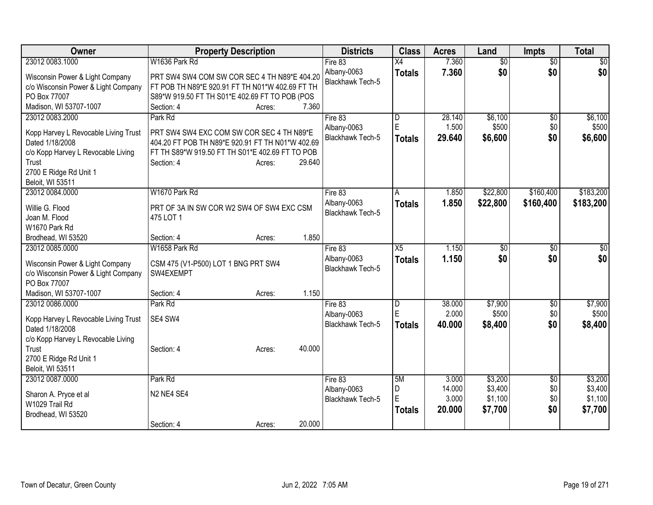| Owner                                                                                                                               | <b>Property Description</b>                                                                                                                                                        | <b>Districts</b>                                  | <b>Class</b>                     | <b>Acres</b>              | Land                          | <b>Impts</b>           | <b>Total</b>                  |
|-------------------------------------------------------------------------------------------------------------------------------------|------------------------------------------------------------------------------------------------------------------------------------------------------------------------------------|---------------------------------------------------|----------------------------------|---------------------------|-------------------------------|------------------------|-------------------------------|
| 23012 0083.1000                                                                                                                     | W1636 Park Rd                                                                                                                                                                      | Fire 83                                           | X4                               | 7.360                     | $\overline{30}$               | $\overline{30}$        | $\overline{30}$               |
| Wisconsin Power & Light Company<br>c/o Wisconsin Power & Light Company<br>PO Box 77007<br>Madison, WI 53707-1007                    | PRT SW4 SW4 COM SW COR SEC 4 TH N89*E 404.20<br>FT POB TH N89*E 920.91 FT TH N01*W 402.69 FT TH<br>S89*W 919.50 FT TH S01*E 402.69 FT TO POB (POS<br>7.360<br>Section: 4<br>Acres: | Albany-0063<br><b>Blackhawk Tech-5</b>            | <b>Totals</b>                    | 7.360                     | \$0                           | \$0                    | \$0                           |
| 23012 0083.2000                                                                                                                     | Park Rd                                                                                                                                                                            | Fire 83                                           | l D                              | 28.140                    | \$6,100                       | $\overline{50}$        | \$6,100                       |
| Kopp Harvey L Revocable Living Trust<br>Dated 1/18/2008<br>c/o Kopp Harvey L Revocable Living<br>Trust<br>2700 E Ridge Rd Unit 1    | PRT SW4 SW4 EXC COM SW COR SEC 4 TH N89*E<br>404.20 FT POB TH N89*E 920.91 FT TH N01*W 402.69<br>FT TH S89*W 919.50 FT TH S01*E 402.69 FT TO POB<br>29.640<br>Section: 4<br>Acres: | Albany-0063<br>Blackhawk Tech-5                   | ΙE<br><b>Totals</b>              | 1.500<br>29.640           | \$500<br>\$6,600              | \$0<br>\$0             | \$500<br>\$6,600              |
| Beloit, WI 53511                                                                                                                    |                                                                                                                                                                                    |                                                   |                                  |                           |                               |                        |                               |
| 23012 0084.0000<br>Willie G. Flood<br>Joan M. Flood<br>W1670 Park Rd                                                                | W1670 Park Rd<br>PRT OF 3A IN SW COR W2 SW4 OF SW4 EXC CSM<br>475 LOT 1                                                                                                            | Fire 83<br>Albany-0063<br><b>Blackhawk Tech-5</b> | A<br><b>Totals</b>               | 1.850<br>1.850            | \$22,800<br>\$22,800          | \$160,400<br>\$160,400 | \$183,200<br>\$183,200        |
| Brodhead, WI 53520                                                                                                                  | 1.850<br>Section: 4<br>Acres:                                                                                                                                                      |                                                   |                                  |                           |                               |                        |                               |
| 23012 0085.0000<br>Wisconsin Power & Light Company<br>c/o Wisconsin Power & Light Company<br>PO Box 77007<br>Madison, WI 53707-1007 | W1658 Park Rd<br>CSM 475 (V1-P500) LOT 1 BNG PRT SW4<br>SW4EXEMPT<br>1.150<br>Section: 4<br>Acres:                                                                                 | Fire 83<br>Albany-0063<br><b>Blackhawk Tech-5</b> | $\overline{X5}$<br><b>Totals</b> | 1.150<br>1.150            | $\overline{50}$<br>\$0        | \$0<br>\$0             | $\overline{50}$<br>\$0        |
| 23012 0086.0000                                                                                                                     | Park Rd                                                                                                                                                                            | Fire 83                                           | D                                | 38.000                    | \$7,900                       | \$0                    | \$7,900                       |
| Kopp Harvey L Revocable Living Trust<br>Dated 1/18/2008<br>c/o Kopp Harvey L Revocable Living                                       | SE4 SW4                                                                                                                                                                            | Albany-0063<br>Blackhawk Tech-5                   | ΙE<br><b>Totals</b>              | 2.000<br>40.000           | \$500<br>\$8,400              | \$0<br>\$0             | \$500<br>\$8,400              |
| Trust<br>2700 E Ridge Rd Unit 1<br>Beloit, WI 53511                                                                                 | 40.000<br>Section: 4<br>Acres:                                                                                                                                                     |                                                   |                                  |                           |                               |                        |                               |
| 23012 0087.0000                                                                                                                     | Park Rd                                                                                                                                                                            | Fire 83                                           | 5M                               | 3.000                     | \$3,200                       | \$0                    | \$3,200                       |
| Sharon A. Pryce et al<br>W1029 Trail Rd<br>Brodhead, WI 53520                                                                       | N2 NE4 SE4                                                                                                                                                                         | Albany-0063<br><b>Blackhawk Tech-5</b>            | D<br>E<br><b>Totals</b>          | 14.000<br>3.000<br>20.000 | \$3,400<br>\$1,100<br>\$7,700 | \$0<br>\$0<br>\$0      | \$3,400<br>\$1,100<br>\$7,700 |
|                                                                                                                                     | 20.000<br>Section: 4<br>Acres:                                                                                                                                                     |                                                   |                                  |                           |                               |                        |                               |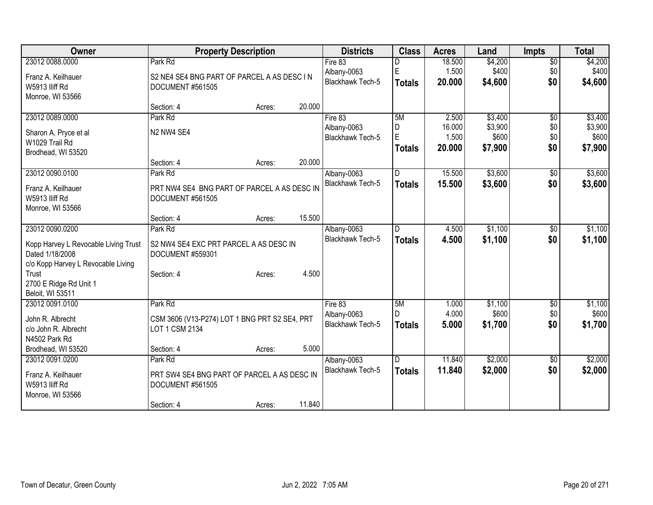| 23012 0088.0000<br>Park Rd<br>\$4,200<br>$\overline{$0}$<br>Fire 83<br>18.500<br>$\mathsf E$<br>\$400<br>1.500<br>\$0<br>Albany-0063                  | \$4,200<br>\$400 |
|-------------------------------------------------------------------------------------------------------------------------------------------------------|------------------|
|                                                                                                                                                       |                  |
| Franz A. Keilhauer<br>S2 NE4 SE4 BNG PART OF PARCEL A AS DESC IN                                                                                      |                  |
| <b>Blackhawk Tech-5</b><br>\$0<br>20.000<br>\$4,600<br><b>Totals</b><br>W5913 Iliff Rd<br>DOCUMENT #561505                                            | \$4,600          |
| Monroe, WI 53566                                                                                                                                      |                  |
| 20.000<br>Section: 4<br>Acres:                                                                                                                        |                  |
| 23012 0089.0000<br>2.500<br>\$3,400<br>Park Rd<br>Fire 83<br>5M<br>\$0                                                                                | \$3,400          |
| 16.000<br>\$3,900<br>D<br>\$0<br>Albany-0063                                                                                                          | \$3,900          |
| N2 NW4 SE4<br>Sharon A. Pryce et al<br>E<br>1.500<br>\$600<br>\$0<br><b>Blackhawk Tech-5</b>                                                          | \$600            |
| W1029 Trail Rd<br>\$0<br>20.000<br>\$7,900<br><b>Totals</b><br>Brodhead, WI 53520                                                                     | \$7,900          |
| 20.000<br>Section: 4<br>Acres:                                                                                                                        |                  |
| 23012 0090.0100<br>15.500<br>\$3,600<br>Park Rd<br>Albany-0063<br>D<br>$\sqrt[6]{}$                                                                   | \$3,600          |
| <b>Blackhawk Tech-5</b><br>15.500<br>\$3,600<br>\$0<br><b>Totals</b>                                                                                  | \$3,600          |
| PRT NW4 SE4 BNG PART OF PARCEL A AS DESC IN<br>Franz A. Keilhauer                                                                                     |                  |
| W5913 IIiff Rd<br>DOCUMENT #561505                                                                                                                    |                  |
| Monroe, WI 53566                                                                                                                                      |                  |
| 15.500<br>Section: 4<br>Acres:                                                                                                                        |                  |
| \$1,100<br>23012 0090.0200<br>Park Rd<br>Albany-0063<br>4.500<br>\$0<br>D                                                                             | \$1,100          |
| <b>Blackhawk Tech-5</b><br>\$0<br>\$1,100<br>4.500<br><b>Totals</b><br>Kopp Harvey L Revocable Living Trust<br>S2 NW4 SE4 EXC PRT PARCEL A AS DESC IN | \$1,100          |
| Dated 1/18/2008<br>DOCUMENT #559301                                                                                                                   |                  |
| c/o Kopp Harvey L Revocable Living                                                                                                                    |                  |
| 4.500<br>Trust<br>Section: 4<br>Acres:                                                                                                                |                  |
| 2700 E Ridge Rd Unit 1                                                                                                                                |                  |
| Beloit, WI 53511                                                                                                                                      |                  |
| 23012 0091.0100<br>Park Rd<br>5M<br>\$1,100<br>Fire 83<br>1.000<br>\$0                                                                                | \$1,100          |
| 4.000<br>\$600<br>Albany-0063<br>D.<br>\$0<br>CSM 3606 (V13-P274) LOT 1 BNG PRT S2 SE4, PRT<br>John R. Albrecht                                       | \$600            |
| \$0<br><b>Blackhawk Tech-5</b><br>5.000<br>\$1,700<br><b>Totals</b><br>LOT 1 CSM 2134<br>c/o John R. Albrecht                                         | \$1,700          |
| N4502 Park Rd                                                                                                                                         |                  |
| 5.000<br>Brodhead, WI 53520<br>Section: 4<br>Acres:                                                                                                   |                  |
| 11.840<br>\$2,000<br>23012 0091.0200<br>$\overline{D}$<br>$\overline{50}$<br>Park Rd<br>Albany-0063                                                   | \$2,000          |
| Blackhawk Tech-5<br>\$2,000<br>\$0<br>11.840<br><b>Totals</b>                                                                                         | \$2,000          |
| Franz A. Keilhauer<br>PRT SW4 SE4 BNG PART OF PARCEL A AS DESC IN<br>W5913 IIiff Rd                                                                   |                  |
| DOCUMENT #561505<br>Monroe, WI 53566                                                                                                                  |                  |
| 11.840<br>Section: 4<br>Acres:                                                                                                                        |                  |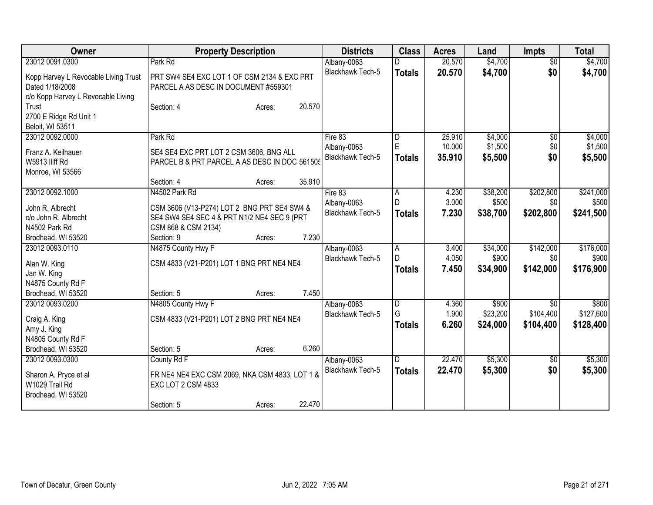| Owner                                                                                         | <b>Property Description</b>                                                              | <b>Districts</b>                       | <b>Class</b>            | <b>Acres</b>            | Land                          | <b>Impts</b>                  | <b>Total</b>                    |
|-----------------------------------------------------------------------------------------------|------------------------------------------------------------------------------------------|----------------------------------------|-------------------------|-------------------------|-------------------------------|-------------------------------|---------------------------------|
| 23012 0091.0300                                                                               | Park Rd                                                                                  | Albany-0063                            |                         | 20.570                  | \$4,700                       | $\overline{30}$               | \$4,700                         |
| Kopp Harvey L Revocable Living Trust<br>Dated 1/18/2008<br>c/o Kopp Harvey L Revocable Living | PRT SW4 SE4 EXC LOT 1 OF CSM 2134 & EXC PRT<br>PARCEL A AS DESC IN DOCUMENT #559301      | Blackhawk Tech-5                       | <b>Totals</b>           | 20.570                  | \$4,700                       | \$0                           | \$4,700                         |
| Trust<br>2700 E Ridge Rd Unit 1<br>Beloit, WI 53511                                           | 20.570<br>Section: 4<br>Acres:                                                           |                                        |                         |                         |                               |                               |                                 |
| 23012 0092.0000                                                                               | Park Rd                                                                                  | Fire 83                                | D                       | 25.910                  | \$4,000                       | \$0                           | \$4,000                         |
| Franz A. Keilhauer<br>W5913 lliff Rd<br>Monroe, WI 53566                                      | SE4 SE4 EXC PRT LOT 2 CSM 3606, BNG ALL<br>PARCEL B & PRT PARCEL A AS DESC IN DOC 561505 | Albany-0063<br>Blackhawk Tech-5        | E<br><b>Totals</b>      | 10.000<br>35.910        | \$1,500<br>\$5,500            | \$0<br>\$0                    | \$1,500<br>\$5,500              |
|                                                                                               | 35.910<br>Section: 4<br>Acres:                                                           |                                        |                         |                         |                               |                               |                                 |
| 23012 0092.1000<br>John R. Albrecht                                                           | N4502 Park Rd<br>CSM 3606 (V13-P274) LOT 2 BNG PRT SE4 SW4 &                             | Fire 83<br>Albany-0063                 | A<br>D                  | 4.230<br>3.000          | \$38,200<br>\$500             | \$202,800<br>\$0              | \$241,000<br>\$500              |
| c/o John R. Albrecht                                                                          | SE4 SW4 SE4 SEC 4 & PRT N1/2 NE4 SEC 9 (PRT                                              | <b>Blackhawk Tech-5</b>                | <b>Totals</b>           | 7.230                   | \$38,700                      | \$202,800                     | \$241,500                       |
| N4502 Park Rd                                                                                 | CSM 868 & CSM 2134)                                                                      |                                        |                         |                         |                               |                               |                                 |
| Brodhead, WI 53520                                                                            | 7.230<br>Section: 9<br>Acres:                                                            |                                        |                         |                         |                               |                               |                                 |
| 23012 0093.0110                                                                               | N4875 County Hwy F                                                                       | Albany-0063                            | $\overline{A}$          | 3.400                   | \$34,000                      | \$142,000                     | \$176,000                       |
| Alan W. King                                                                                  | CSM 4833 (V21-P201) LOT 1 BNG PRT NE4 NE4                                                | Blackhawk Tech-5                       | D<br><b>Totals</b>      | 4.050<br>7.450          | \$900<br>\$34,900             | \$0<br>\$142,000              | \$900<br>\$176,900              |
| Jan W. King                                                                                   |                                                                                          |                                        |                         |                         |                               |                               |                                 |
| N4875 County Rd F                                                                             | 7.450                                                                                    |                                        |                         |                         |                               |                               |                                 |
| Brodhead, WI 53520                                                                            | Section: 5<br>Acres:                                                                     |                                        |                         |                         |                               |                               |                                 |
| 23012 0093.0200<br>Craig A. King<br>Amy J. King<br>N4805 County Rd F                          | N4805 County Hwy F<br>CSM 4833 (V21-P201) LOT 2 BNG PRT NE4 NE4                          | Albany-0063<br><b>Blackhawk Tech-5</b> | D<br>G<br><b>Totals</b> | 4.360<br>1.900<br>6.260 | \$800<br>\$23,200<br>\$24,000 | \$0<br>\$104,400<br>\$104,400 | \$800<br>\$127,600<br>\$128,400 |
| Brodhead, WI 53520                                                                            | 6.260<br>Section: 5<br>Acres:                                                            |                                        |                         |                         |                               |                               |                                 |
| 23012 0093.0300                                                                               | County Rd F                                                                              | Albany-0063                            | D.                      | 22.470                  | \$5,300                       | $\overline{50}$               | \$5,300                         |
| Sharon A. Pryce et al<br>W1029 Trail Rd<br>Brodhead, WI 53520                                 | FR NE4 NE4 EXC CSM 2069, NKA CSM 4833, LOT 1 &<br>EXC LOT 2 CSM 4833                     | Blackhawk Tech-5                       | <b>Totals</b>           | 22.470                  | \$5,300                       | \$0                           | \$5,300                         |
|                                                                                               | 22.470<br>Section: 5<br>Acres:                                                           |                                        |                         |                         |                               |                               |                                 |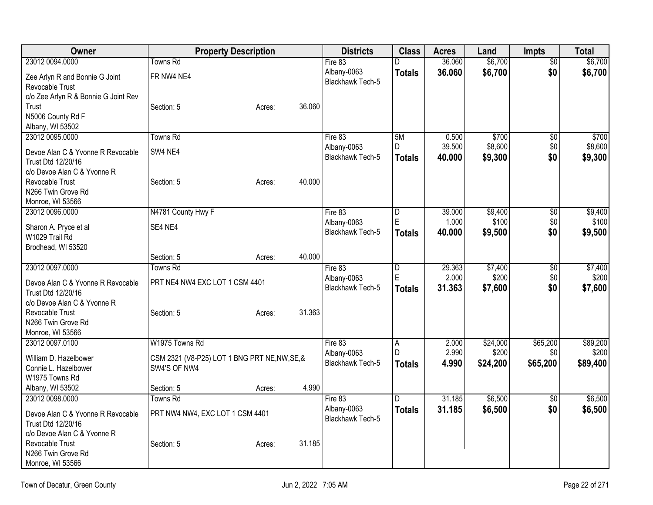| \$0<br>Fire 83<br>D<br>\$0<br>Albany-0063<br>36.060<br>\$6,700<br>\$6,700<br><b>Totals</b><br>FR NW4 NE4<br>Zee Arlyn R and Bonnie G Joint<br><b>Blackhawk Tech-5</b><br>Revocable Trust<br>c/o Zee Arlyn R & Bonnie G Joint Rev<br>36.060<br>Trust<br>Section: 5<br>Acres:<br>N5006 County Rd F<br>Albany, WI 53502<br>23012 0095.0000<br>Towns Rd<br>5M<br>\$700<br>Fire 83<br>0.500<br>$\overline{60}$<br>39.500<br>\$8,600<br>D<br>\$0<br>Albany-0063<br>SW4 NE4<br>Devoe Alan C & Yvonne R Revocable<br>\$9,300<br>\$0<br>Blackhawk Tech-5<br>40.000<br><b>Totals</b><br>Trust Dtd 12/20/16<br>c/o Devoe Alan C & Yvonne R<br>Revocable Trust<br>40.000<br>Section: 5<br>Acres:<br>N266 Twin Grove Rd<br>Monroe, WI 53566<br>23012 0096.0000<br>N4781 County Hwy F<br>\$9,400<br>Fire 83<br>$\overline{\mathsf{D}}$<br>39.000<br>\$0<br>E<br>1.000<br>\$100<br>\$0<br>Albany-0063<br>SE4 NE4<br>Sharon A. Pryce et al<br>Blackhawk Tech-5<br>\$0<br>40.000<br>\$9,500<br><b>Totals</b><br>W1029 Trail Rd<br>Brodhead, WI 53520<br>40.000<br>Section: 5<br>Acres:<br>23012 0097.0000<br><b>Towns Rd</b><br>Fire 83<br>29.363<br>\$7,400<br>D<br>\$0<br>E<br>2.000<br>\$200<br>Albany-0063<br>\$0<br>PRT NE4 NW4 EXC LOT 1 CSM 4401<br>Devoe Alan C & Yvonne R Revocable<br>Blackhawk Tech-5<br>31.363<br>\$0<br>\$7,600<br><b>Totals</b><br>Trust Dtd 12/20/16<br>c/o Devoe Alan C & Yvonne R<br>31.363<br>Revocable Trust<br>Section: 5<br>Acres:<br>N266 Twin Grove Rd<br>Monroe, WI 53566<br>W1975 Towns Rd<br>\$24,000<br>\$65,200<br>23012 0097.0100<br>Fire 83<br>2.000<br>A<br>2.990<br>D<br>\$200<br>Albany-0063<br>\$0<br>William D. Hazelbower<br>CSM 2321 (V8-P25) LOT 1 BNG PRT NE, NW, SE, &<br>Blackhawk Tech-5<br>4.990<br>\$24,200<br>\$65,200<br><b>Totals</b><br>SW4'S OF NW4<br>Connie L. Hazelbower<br>W1975 Towns Rd<br>4.990<br>Albany, WI 53502<br>Section: 5<br>Acres:<br>Towns Rd<br>\$6,500<br>23012 0098.0000<br>31.185<br>Fire 83<br>D<br>\$0<br>Albany-0063<br>31.185<br>\$6,500<br>\$0<br><b>Totals</b><br>PRT NW4 NW4, EXC LOT 1 CSM 4401<br>Devoe Alan C & Yvonne R Revocable<br>Blackhawk Tech-5<br>Trust Dtd 12/20/16<br>c/o Devoe Alan C & Yvonne R<br>Revocable Trust<br>31.185<br>Section: 5<br>Acres:<br>N266 Twin Grove Rd | Owner            | <b>Property Description</b> | <b>Districts</b> | <b>Class</b> | <b>Acres</b> | Land    | Impts | <b>Total</b> |
|-----------------------------------------------------------------------------------------------------------------------------------------------------------------------------------------------------------------------------------------------------------------------------------------------------------------------------------------------------------------------------------------------------------------------------------------------------------------------------------------------------------------------------------------------------------------------------------------------------------------------------------------------------------------------------------------------------------------------------------------------------------------------------------------------------------------------------------------------------------------------------------------------------------------------------------------------------------------------------------------------------------------------------------------------------------------------------------------------------------------------------------------------------------------------------------------------------------------------------------------------------------------------------------------------------------------------------------------------------------------------------------------------------------------------------------------------------------------------------------------------------------------------------------------------------------------------------------------------------------------------------------------------------------------------------------------------------------------------------------------------------------------------------------------------------------------------------------------------------------------------------------------------------------------------------------------------------------------------------------------------------------------------------------------------------------------------------------------------------------------------------------------------------------------------------------------------------------------------------------------------------------------------|------------------|-----------------------------|------------------|--------------|--------------|---------|-------|--------------|
|                                                                                                                                                                                                                                                                                                                                                                                                                                                                                                                                                                                                                                                                                                                                                                                                                                                                                                                                                                                                                                                                                                                                                                                                                                                                                                                                                                                                                                                                                                                                                                                                                                                                                                                                                                                                                                                                                                                                                                                                                                                                                                                                                                                                                                                                       | 23012 0094.0000  | Towns Rd                    |                  |              | 36.060       | \$6,700 |       | \$6,700      |
|                                                                                                                                                                                                                                                                                                                                                                                                                                                                                                                                                                                                                                                                                                                                                                                                                                                                                                                                                                                                                                                                                                                                                                                                                                                                                                                                                                                                                                                                                                                                                                                                                                                                                                                                                                                                                                                                                                                                                                                                                                                                                                                                                                                                                                                                       |                  |                             |                  |              |              |         |       |              |
|                                                                                                                                                                                                                                                                                                                                                                                                                                                                                                                                                                                                                                                                                                                                                                                                                                                                                                                                                                                                                                                                                                                                                                                                                                                                                                                                                                                                                                                                                                                                                                                                                                                                                                                                                                                                                                                                                                                                                                                                                                                                                                                                                                                                                                                                       |                  |                             |                  |              |              |         |       |              |
|                                                                                                                                                                                                                                                                                                                                                                                                                                                                                                                                                                                                                                                                                                                                                                                                                                                                                                                                                                                                                                                                                                                                                                                                                                                                                                                                                                                                                                                                                                                                                                                                                                                                                                                                                                                                                                                                                                                                                                                                                                                                                                                                                                                                                                                                       |                  |                             |                  |              |              |         |       |              |
|                                                                                                                                                                                                                                                                                                                                                                                                                                                                                                                                                                                                                                                                                                                                                                                                                                                                                                                                                                                                                                                                                                                                                                                                                                                                                                                                                                                                                                                                                                                                                                                                                                                                                                                                                                                                                                                                                                                                                                                                                                                                                                                                                                                                                                                                       |                  |                             |                  |              |              |         |       |              |
| \$700<br>\$9,300<br>\$7,600                                                                                                                                                                                                                                                                                                                                                                                                                                                                                                                                                                                                                                                                                                                                                                                                                                                                                                                                                                                                                                                                                                                                                                                                                                                                                                                                                                                                                                                                                                                                                                                                                                                                                                                                                                                                                                                                                                                                                                                                                                                                                                                                                                                                                                           |                  |                             |                  |              |              |         |       |              |
| \$8,600                                                                                                                                                                                                                                                                                                                                                                                                                                                                                                                                                                                                                                                                                                                                                                                                                                                                                                                                                                                                                                                                                                                                                                                                                                                                                                                                                                                                                                                                                                                                                                                                                                                                                                                                                                                                                                                                                                                                                                                                                                                                                                                                                                                                                                                               |                  |                             |                  |              |              |         |       |              |
|                                                                                                                                                                                                                                                                                                                                                                                                                                                                                                                                                                                                                                                                                                                                                                                                                                                                                                                                                                                                                                                                                                                                                                                                                                                                                                                                                                                                                                                                                                                                                                                                                                                                                                                                                                                                                                                                                                                                                                                                                                                                                                                                                                                                                                                                       |                  |                             |                  |              |              |         |       |              |
|                                                                                                                                                                                                                                                                                                                                                                                                                                                                                                                                                                                                                                                                                                                                                                                                                                                                                                                                                                                                                                                                                                                                                                                                                                                                                                                                                                                                                                                                                                                                                                                                                                                                                                                                                                                                                                                                                                                                                                                                                                                                                                                                                                                                                                                                       |                  |                             |                  |              |              |         |       |              |
|                                                                                                                                                                                                                                                                                                                                                                                                                                                                                                                                                                                                                                                                                                                                                                                                                                                                                                                                                                                                                                                                                                                                                                                                                                                                                                                                                                                                                                                                                                                                                                                                                                                                                                                                                                                                                                                                                                                                                                                                                                                                                                                                                                                                                                                                       |                  |                             |                  |              |              |         |       |              |
|                                                                                                                                                                                                                                                                                                                                                                                                                                                                                                                                                                                                                                                                                                                                                                                                                                                                                                                                                                                                                                                                                                                                                                                                                                                                                                                                                                                                                                                                                                                                                                                                                                                                                                                                                                                                                                                                                                                                                                                                                                                                                                                                                                                                                                                                       |                  |                             |                  |              |              |         |       |              |
|                                                                                                                                                                                                                                                                                                                                                                                                                                                                                                                                                                                                                                                                                                                                                                                                                                                                                                                                                                                                                                                                                                                                                                                                                                                                                                                                                                                                                                                                                                                                                                                                                                                                                                                                                                                                                                                                                                                                                                                                                                                                                                                                                                                                                                                                       |                  |                             |                  |              |              |         |       |              |
| \$9,400<br>\$100                                                                                                                                                                                                                                                                                                                                                                                                                                                                                                                                                                                                                                                                                                                                                                                                                                                                                                                                                                                                                                                                                                                                                                                                                                                                                                                                                                                                                                                                                                                                                                                                                                                                                                                                                                                                                                                                                                                                                                                                                                                                                                                                                                                                                                                      |                  |                             |                  |              |              |         |       |              |
|                                                                                                                                                                                                                                                                                                                                                                                                                                                                                                                                                                                                                                                                                                                                                                                                                                                                                                                                                                                                                                                                                                                                                                                                                                                                                                                                                                                                                                                                                                                                                                                                                                                                                                                                                                                                                                                                                                                                                                                                                                                                                                                                                                                                                                                                       |                  |                             |                  |              |              |         |       |              |
| \$9,500<br>\$7,400<br>\$200<br>\$89,200<br>\$200<br>\$89,400<br>\$6,500<br>\$6,500                                                                                                                                                                                                                                                                                                                                                                                                                                                                                                                                                                                                                                                                                                                                                                                                                                                                                                                                                                                                                                                                                                                                                                                                                                                                                                                                                                                                                                                                                                                                                                                                                                                                                                                                                                                                                                                                                                                                                                                                                                                                                                                                                                                    |                  |                             |                  |              |              |         |       |              |
|                                                                                                                                                                                                                                                                                                                                                                                                                                                                                                                                                                                                                                                                                                                                                                                                                                                                                                                                                                                                                                                                                                                                                                                                                                                                                                                                                                                                                                                                                                                                                                                                                                                                                                                                                                                                                                                                                                                                                                                                                                                                                                                                                                                                                                                                       |                  |                             |                  |              |              |         |       |              |
|                                                                                                                                                                                                                                                                                                                                                                                                                                                                                                                                                                                                                                                                                                                                                                                                                                                                                                                                                                                                                                                                                                                                                                                                                                                                                                                                                                                                                                                                                                                                                                                                                                                                                                                                                                                                                                                                                                                                                                                                                                                                                                                                                                                                                                                                       |                  |                             |                  |              |              |         |       |              |
|                                                                                                                                                                                                                                                                                                                                                                                                                                                                                                                                                                                                                                                                                                                                                                                                                                                                                                                                                                                                                                                                                                                                                                                                                                                                                                                                                                                                                                                                                                                                                                                                                                                                                                                                                                                                                                                                                                                                                                                                                                                                                                                                                                                                                                                                       |                  |                             |                  |              |              |         |       |              |
|                                                                                                                                                                                                                                                                                                                                                                                                                                                                                                                                                                                                                                                                                                                                                                                                                                                                                                                                                                                                                                                                                                                                                                                                                                                                                                                                                                                                                                                                                                                                                                                                                                                                                                                                                                                                                                                                                                                                                                                                                                                                                                                                                                                                                                                                       |                  |                             |                  |              |              |         |       |              |
|                                                                                                                                                                                                                                                                                                                                                                                                                                                                                                                                                                                                                                                                                                                                                                                                                                                                                                                                                                                                                                                                                                                                                                                                                                                                                                                                                                                                                                                                                                                                                                                                                                                                                                                                                                                                                                                                                                                                                                                                                                                                                                                                                                                                                                                                       |                  |                             |                  |              |              |         |       |              |
|                                                                                                                                                                                                                                                                                                                                                                                                                                                                                                                                                                                                                                                                                                                                                                                                                                                                                                                                                                                                                                                                                                                                                                                                                                                                                                                                                                                                                                                                                                                                                                                                                                                                                                                                                                                                                                                                                                                                                                                                                                                                                                                                                                                                                                                                       |                  |                             |                  |              |              |         |       |              |
|                                                                                                                                                                                                                                                                                                                                                                                                                                                                                                                                                                                                                                                                                                                                                                                                                                                                                                                                                                                                                                                                                                                                                                                                                                                                                                                                                                                                                                                                                                                                                                                                                                                                                                                                                                                                                                                                                                                                                                                                                                                                                                                                                                                                                                                                       |                  |                             |                  |              |              |         |       |              |
|                                                                                                                                                                                                                                                                                                                                                                                                                                                                                                                                                                                                                                                                                                                                                                                                                                                                                                                                                                                                                                                                                                                                                                                                                                                                                                                                                                                                                                                                                                                                                                                                                                                                                                                                                                                                                                                                                                                                                                                                                                                                                                                                                                                                                                                                       |                  |                             |                  |              |              |         |       |              |
|                                                                                                                                                                                                                                                                                                                                                                                                                                                                                                                                                                                                                                                                                                                                                                                                                                                                                                                                                                                                                                                                                                                                                                                                                                                                                                                                                                                                                                                                                                                                                                                                                                                                                                                                                                                                                                                                                                                                                                                                                                                                                                                                                                                                                                                                       |                  |                             |                  |              |              |         |       |              |
|                                                                                                                                                                                                                                                                                                                                                                                                                                                                                                                                                                                                                                                                                                                                                                                                                                                                                                                                                                                                                                                                                                                                                                                                                                                                                                                                                                                                                                                                                                                                                                                                                                                                                                                                                                                                                                                                                                                                                                                                                                                                                                                                                                                                                                                                       |                  |                             |                  |              |              |         |       |              |
|                                                                                                                                                                                                                                                                                                                                                                                                                                                                                                                                                                                                                                                                                                                                                                                                                                                                                                                                                                                                                                                                                                                                                                                                                                                                                                                                                                                                                                                                                                                                                                                                                                                                                                                                                                                                                                                                                                                                                                                                                                                                                                                                                                                                                                                                       |                  |                             |                  |              |              |         |       |              |
|                                                                                                                                                                                                                                                                                                                                                                                                                                                                                                                                                                                                                                                                                                                                                                                                                                                                                                                                                                                                                                                                                                                                                                                                                                                                                                                                                                                                                                                                                                                                                                                                                                                                                                                                                                                                                                                                                                                                                                                                                                                                                                                                                                                                                                                                       |                  |                             |                  |              |              |         |       |              |
|                                                                                                                                                                                                                                                                                                                                                                                                                                                                                                                                                                                                                                                                                                                                                                                                                                                                                                                                                                                                                                                                                                                                                                                                                                                                                                                                                                                                                                                                                                                                                                                                                                                                                                                                                                                                                                                                                                                                                                                                                                                                                                                                                                                                                                                                       |                  |                             |                  |              |              |         |       |              |
|                                                                                                                                                                                                                                                                                                                                                                                                                                                                                                                                                                                                                                                                                                                                                                                                                                                                                                                                                                                                                                                                                                                                                                                                                                                                                                                                                                                                                                                                                                                                                                                                                                                                                                                                                                                                                                                                                                                                                                                                                                                                                                                                                                                                                                                                       |                  |                             |                  |              |              |         |       |              |
|                                                                                                                                                                                                                                                                                                                                                                                                                                                                                                                                                                                                                                                                                                                                                                                                                                                                                                                                                                                                                                                                                                                                                                                                                                                                                                                                                                                                                                                                                                                                                                                                                                                                                                                                                                                                                                                                                                                                                                                                                                                                                                                                                                                                                                                                       |                  |                             |                  |              |              |         |       |              |
|                                                                                                                                                                                                                                                                                                                                                                                                                                                                                                                                                                                                                                                                                                                                                                                                                                                                                                                                                                                                                                                                                                                                                                                                                                                                                                                                                                                                                                                                                                                                                                                                                                                                                                                                                                                                                                                                                                                                                                                                                                                                                                                                                                                                                                                                       |                  |                             |                  |              |              |         |       |              |
|                                                                                                                                                                                                                                                                                                                                                                                                                                                                                                                                                                                                                                                                                                                                                                                                                                                                                                                                                                                                                                                                                                                                                                                                                                                                                                                                                                                                                                                                                                                                                                                                                                                                                                                                                                                                                                                                                                                                                                                                                                                                                                                                                                                                                                                                       |                  |                             |                  |              |              |         |       |              |
|                                                                                                                                                                                                                                                                                                                                                                                                                                                                                                                                                                                                                                                                                                                                                                                                                                                                                                                                                                                                                                                                                                                                                                                                                                                                                                                                                                                                                                                                                                                                                                                                                                                                                                                                                                                                                                                                                                                                                                                                                                                                                                                                                                                                                                                                       |                  |                             |                  |              |              |         |       |              |
|                                                                                                                                                                                                                                                                                                                                                                                                                                                                                                                                                                                                                                                                                                                                                                                                                                                                                                                                                                                                                                                                                                                                                                                                                                                                                                                                                                                                                                                                                                                                                                                                                                                                                                                                                                                                                                                                                                                                                                                                                                                                                                                                                                                                                                                                       |                  |                             |                  |              |              |         |       |              |
|                                                                                                                                                                                                                                                                                                                                                                                                                                                                                                                                                                                                                                                                                                                                                                                                                                                                                                                                                                                                                                                                                                                                                                                                                                                                                                                                                                                                                                                                                                                                                                                                                                                                                                                                                                                                                                                                                                                                                                                                                                                                                                                                                                                                                                                                       |                  |                             |                  |              |              |         |       |              |
|                                                                                                                                                                                                                                                                                                                                                                                                                                                                                                                                                                                                                                                                                                                                                                                                                                                                                                                                                                                                                                                                                                                                                                                                                                                                                                                                                                                                                                                                                                                                                                                                                                                                                                                                                                                                                                                                                                                                                                                                                                                                                                                                                                                                                                                                       |                  |                             |                  |              |              |         |       |              |
|                                                                                                                                                                                                                                                                                                                                                                                                                                                                                                                                                                                                                                                                                                                                                                                                                                                                                                                                                                                                                                                                                                                                                                                                                                                                                                                                                                                                                                                                                                                                                                                                                                                                                                                                                                                                                                                                                                                                                                                                                                                                                                                                                                                                                                                                       |                  |                             |                  |              |              |         |       |              |
|                                                                                                                                                                                                                                                                                                                                                                                                                                                                                                                                                                                                                                                                                                                                                                                                                                                                                                                                                                                                                                                                                                                                                                                                                                                                                                                                                                                                                                                                                                                                                                                                                                                                                                                                                                                                                                                                                                                                                                                                                                                                                                                                                                                                                                                                       | Monroe, WI 53566 |                             |                  |              |              |         |       |              |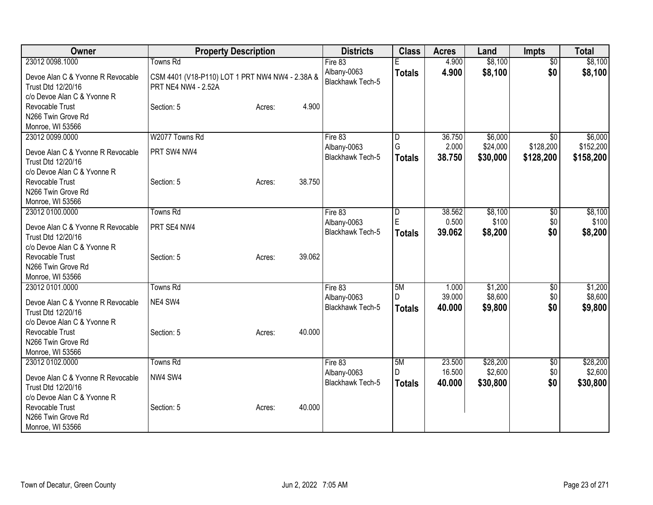| Owner                                                                                                     | <b>Property Description</b>                                            | <b>Districts</b>                                  | <b>Class</b>             | <b>Acres</b>               | Land                            | <b>Impts</b>                  | <b>Total</b>                      |
|-----------------------------------------------------------------------------------------------------------|------------------------------------------------------------------------|---------------------------------------------------|--------------------------|----------------------------|---------------------------------|-------------------------------|-----------------------------------|
| 23012 0098.1000                                                                                           | <b>Towns Rd</b>                                                        | Fire 83                                           |                          | 4.900                      | \$8,100                         | $\overline{50}$               | \$8,100                           |
| Devoe Alan C & Yvonne R Revocable<br>Trust Dtd 12/20/16<br>c/o Devoe Alan C & Yvonne R                    | CSM 4401 (V18-P110) LOT 1 PRT NW4 NW4 - 2.38A &<br>PRT NE4 NW4 - 2.52A | Albany-0063<br><b>Blackhawk Tech-5</b>            | <b>Totals</b>            | 4.900                      | \$8,100                         | \$0                           | \$8,100                           |
| Revocable Trust<br>N266 Twin Grove Rd<br>Monroe, WI 53566                                                 | 4.900<br>Section: 5<br>Acres:                                          |                                                   |                          |                            |                                 |                               |                                   |
| 23012 0099.0000<br>Devoe Alan C & Yvonne R Revocable<br>Trust Dtd 12/20/16<br>c/o Devoe Alan C & Yvonne R | W2077 Towns Rd<br>PRT SW4 NW4                                          | Fire 83<br>Albany-0063<br><b>Blackhawk Tech-5</b> | D<br>G<br><b>Totals</b>  | 36.750<br>2.000<br>38.750  | \$6,000<br>\$24,000<br>\$30,000 | \$0<br>\$128,200<br>\$128,200 | \$6,000<br>\$152,200<br>\$158,200 |
| Revocable Trust<br>N266 Twin Grove Rd<br>Monroe, WI 53566                                                 | 38.750<br>Section: 5<br>Acres:                                         |                                                   |                          |                            |                                 |                               |                                   |
| 23012 0100.0000<br>Devoe Alan C & Yvonne R Revocable<br>Trust Dtd 12/20/16<br>c/o Devoe Alan C & Yvonne R | <b>Towns Rd</b><br>PRT SE4 NW4                                         | Fire 83<br>Albany-0063<br><b>Blackhawk Tech-5</b> | D<br>E<br><b>Totals</b>  | 38.562<br>0.500<br>39.062  | \$8,100<br>\$100<br>\$8,200     | \$0<br>\$0<br>\$0             | \$8,100<br>\$100<br>\$8,200       |
| Revocable Trust<br>N266 Twin Grove Rd<br>Monroe, WI 53566                                                 | 39.062<br>Section: 5<br>Acres:                                         |                                                   |                          |                            |                                 |                               |                                   |
| 23012 0101.0000<br>Devoe Alan C & Yvonne R Revocable<br>Trust Dtd 12/20/16<br>c/o Devoe Alan C & Yvonne R | <b>Towns Rd</b><br>NE4 SW4                                             | Fire 83<br>Albany-0063<br><b>Blackhawk Tech-5</b> | 5M<br>D<br><b>Totals</b> | 1.000<br>39.000<br>40.000  | \$1,200<br>\$8,600<br>\$9,800   | \$0<br>\$0<br>\$0             | \$1,200<br>\$8,600<br>\$9,800     |
| Revocable Trust<br>N266 Twin Grove Rd<br>Monroe, WI 53566                                                 | 40.000<br>Section: 5<br>Acres:                                         |                                                   |                          |                            |                                 |                               |                                   |
| 23012 0102.0000<br>Devoe Alan C & Yvonne R Revocable<br>Trust Dtd 12/20/16<br>c/o Devoe Alan C & Yvonne R | Towns Rd<br>NW4 SW4                                                    | Fire 83<br>Albany-0063<br><b>Blackhawk Tech-5</b> | 5M<br>D<br><b>Totals</b> | 23.500<br>16.500<br>40.000 | \$28,200<br>\$2,600<br>\$30,800 | \$0<br>\$0<br>\$0             | \$28,200<br>\$2,600<br>\$30,800   |
| Revocable Trust<br>N266 Twin Grove Rd<br>Monroe, WI 53566                                                 | 40.000<br>Section: 5<br>Acres:                                         |                                                   |                          |                            |                                 |                               |                                   |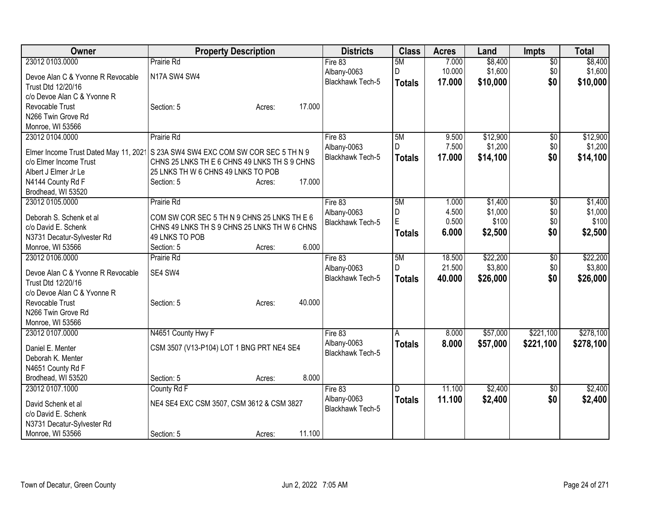| Owner                                 | <b>Property Description</b>                  | <b>Districts</b>        | <b>Class</b>  | <b>Acres</b> | Land     | <b>Impts</b>    | <b>Total</b> |
|---------------------------------------|----------------------------------------------|-------------------------|---------------|--------------|----------|-----------------|--------------|
| 23012 0103.0000                       | Prairie Rd                                   | Fire 83                 | 5M            | 7.000        | \$8,400  | $\overline{60}$ | \$8,400      |
| Devoe Alan C & Yvonne R Revocable     | N17A SW4 SW4                                 | Albany-0063             | D             | 10.000       | \$1,600  | \$0             | \$1,600      |
| Trust Dtd 12/20/16                    |                                              | Blackhawk Tech-5        | <b>Totals</b> | 17.000       | \$10,000 | \$0             | \$10,000     |
| c/o Devoe Alan C & Yvonne R           |                                              |                         |               |              |          |                 |              |
| Revocable Trust                       | 17.000<br>Section: 5<br>Acres:               |                         |               |              |          |                 |              |
| N266 Twin Grove Rd                    |                                              |                         |               |              |          |                 |              |
| Monroe, WI 53566                      |                                              |                         |               |              |          |                 |              |
| 23012 0104.0000                       | Prairie Rd                                   | Fire 83                 | 5M            | 9.500        | \$12,900 | \$0             | \$12,900     |
| Elmer Income Trust Dated May 11, 2021 | S 23A SW4 SW4 EXC COM SW COR SEC 5 TH N 9    | Albany-0063             | D             | 7.500        | \$1,200  | \$0             | \$1,200      |
| c/o Elmer Income Trust                | CHNS 25 LNKS TH E 6 CHNS 49 LNKS TH S 9 CHNS | <b>Blackhawk Tech-5</b> | <b>Totals</b> | 17.000       | \$14,100 | \$0             | \$14,100     |
| Albert J Elmer Jr Le                  | 25 LNKS TH W 6 CHNS 49 LNKS TO POB           |                         |               |              |          |                 |              |
| N4144 County Rd F                     | 17.000<br>Section: 5<br>Acres:               |                         |               |              |          |                 |              |
| Brodhead, WI 53520                    |                                              |                         |               |              |          |                 |              |
| 23012 0105.0000                       | Prairie Rd                                   | Fire 83                 | 5M            | 1.000        | \$1,400  | $\overline{50}$ | \$1,400      |
|                                       |                                              | Albany-0063             | D             | 4.500        | \$1,000  | \$0             | \$1,000      |
| Deborah S. Schenk et al               | COM SW COR SEC 5 TH N 9 CHNS 25 LNKS TH E 6  | Blackhawk Tech-5        | E             | 0.500        | \$100    | \$0             | \$100        |
| c/o David E. Schenk                   | CHNS 49 LNKS TH S 9 CHNS 25 LNKS TH W 6 CHNS |                         | <b>Totals</b> | 6.000        | \$2,500  | \$0             | \$2,500      |
| N3731 Decatur-Sylvester Rd            | 49 LNKS TO POB                               |                         |               |              |          |                 |              |
| Monroe, WI 53566                      | 6.000<br>Section: 5<br>Acres:                |                         |               |              |          |                 |              |
| 23012 0106.0000                       | Prairie Rd                                   | Fire 83                 | 5M            | 18.500       | \$22,200 | \$0             | \$22,200     |
| Devoe Alan C & Yvonne R Revocable     | SE4 SW4                                      | Albany-0063             | D             | 21.500       | \$3,800  | \$0             | \$3,800      |
| Trust Dtd 12/20/16                    |                                              | Blackhawk Tech-5        | <b>Totals</b> | 40.000       | \$26,000 | \$0             | \$26,000     |
| c/o Devoe Alan C & Yvonne R           |                                              |                         |               |              |          |                 |              |
| Revocable Trust                       | 40.000<br>Section: 5<br>Acres:               |                         |               |              |          |                 |              |
| N266 Twin Grove Rd                    |                                              |                         |               |              |          |                 |              |
| Monroe, WI 53566                      |                                              |                         |               |              |          |                 |              |
| 23012 0107.0000                       | N4651 County Hwy F                           | Fire 83                 | A             | 8.000        | \$57,000 | \$221,100       | \$278,100    |
|                                       |                                              | Albany-0063             | <b>Totals</b> | 8.000        | \$57,000 | \$221,100       | \$278,100    |
| Daniel E. Menter                      | CSM 3507 (V13-P104) LOT 1 BNG PRT NE4 SE4    | Blackhawk Tech-5        |               |              |          |                 |              |
| Deborah K. Menter                     |                                              |                         |               |              |          |                 |              |
| N4651 County Rd F                     |                                              |                         |               |              |          |                 |              |
| Brodhead, WI 53520                    | 8.000<br>Section: 5<br>Acres:                |                         |               |              |          |                 |              |
| 23012 0107.1000                       | County Rd F                                  | Fire 83                 | D             | 11.100       | \$2,400  | $\sqrt[6]{3}$   | \$2,400      |
| David Schenk et al                    | NE4 SE4 EXC CSM 3507, CSM 3612 & CSM 3827    | Albany-0063             | <b>Totals</b> | 11.100       | \$2,400  | \$0             | \$2,400      |
| c/o David E. Schenk                   |                                              | Blackhawk Tech-5        |               |              |          |                 |              |
| N3731 Decatur-Sylvester Rd            |                                              |                         |               |              |          |                 |              |
| Monroe, WI 53566                      | 11.100<br>Section: 5<br>Acres:               |                         |               |              |          |                 |              |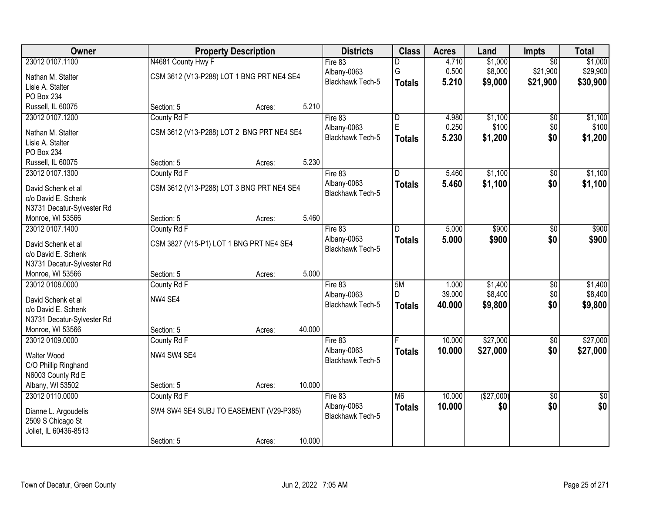| Owner                                 |                                           | <b>Property Description</b> |        | <b>Districts</b>                       | <b>Class</b>            | <b>Acres</b> | Land       | Impts           | <b>Total</b>    |
|---------------------------------------|-------------------------------------------|-----------------------------|--------|----------------------------------------|-------------------------|--------------|------------|-----------------|-----------------|
| 23012 0107.1100                       | N4681 County Hwy F                        |                             |        | Fire $83$                              | D                       | 4.710        | \$1,000    | $\overline{50}$ | \$1,000         |
| Nathan M. Stalter                     | CSM 3612 (V13-P288) LOT 1 BNG PRT NE4 SE4 |                             |        | Albany-0063                            | G                       | 0.500        | \$8,000    | \$21,900        | \$29,900        |
| Lisle A. Stalter                      |                                           |                             |        | Blackhawk Tech-5                       | <b>Totals</b>           | 5.210        | \$9,000    | \$21,900        | \$30,900        |
| PO Box 234                            |                                           |                             |        |                                        |                         |              |            |                 |                 |
| Russell, IL 60075                     | Section: 5                                | Acres:                      | 5.210  |                                        |                         |              |            |                 |                 |
| 23012 0107.1200                       | County Rd F                               |                             |        | Fire $83$                              | $\overline{\mathsf{D}}$ | 4.980        | \$1,100    | \$0             | \$1,100         |
|                                       |                                           |                             |        | Albany-0063                            | E                       | 0.250        | \$100      | \$0             | \$100           |
| Nathan M. Stalter<br>Lisle A. Stalter | CSM 3612 (V13-P288) LOT 2 BNG PRT NE4 SE4 |                             |        | <b>Blackhawk Tech-5</b>                | <b>Totals</b>           | 5.230        | \$1,200    | \$0             | \$1,200         |
| PO Box 234                            |                                           |                             |        |                                        |                         |              |            |                 |                 |
| Russell, IL 60075                     | Section: 5                                | Acres:                      | 5.230  |                                        |                         |              |            |                 |                 |
| 23012 0107.1300                       | County Rd F                               |                             |        | Fire 83                                | D                       | 5.460        | \$1,100    | $\overline{50}$ | \$1,100         |
|                                       |                                           |                             |        | Albany-0063                            | <b>Totals</b>           | 5.460        | \$1,100    | \$0             | \$1,100         |
| David Schenk et al                    | CSM 3612 (V13-P288) LOT 3 BNG PRT NE4 SE4 |                             |        | Blackhawk Tech-5                       |                         |              |            |                 |                 |
| c/o David E. Schenk                   |                                           |                             |        |                                        |                         |              |            |                 |                 |
| N3731 Decatur-Sylvester Rd            |                                           |                             |        |                                        |                         |              |            |                 |                 |
| Monroe, WI 53566                      | Section: 5                                | Acres:                      | 5.460  |                                        |                         |              |            |                 |                 |
| 23012 0107.1400                       | County Rd F                               |                             |        | Fire 83                                | D                       | 5.000        | \$900      | $\overline{50}$ | \$900           |
| David Schenk et al                    | CSM 3827 (V15-P1) LOT 1 BNG PRT NE4 SE4   |                             |        | Albany-0063<br><b>Blackhawk Tech-5</b> | <b>Totals</b>           | 5.000        | \$900      | \$0             | \$900           |
| c/o David E. Schenk                   |                                           |                             |        |                                        |                         |              |            |                 |                 |
| N3731 Decatur-Sylvester Rd            |                                           |                             |        |                                        |                         |              |            |                 |                 |
| Monroe, WI 53566                      | Section: 5                                | Acres:                      | 5.000  |                                        |                         |              |            |                 |                 |
| 23012 0108.0000                       | County Rd F                               |                             |        | Fire $83$                              | 5M                      | 1.000        | \$1,400    | $\overline{50}$ | \$1,400         |
| David Schenk et al                    | NW4 SE4                                   |                             |        | Albany-0063                            | D                       | 39.000       | \$8,400    | \$0             | \$8,400         |
| c/o David E. Schenk                   |                                           |                             |        | Blackhawk Tech-5                       | <b>Totals</b>           | 40.000       | \$9,800    | \$0             | \$9,800         |
| N3731 Decatur-Sylvester Rd            |                                           |                             |        |                                        |                         |              |            |                 |                 |
| Monroe, WI 53566                      | Section: 5                                | Acres:                      | 40.000 |                                        |                         |              |            |                 |                 |
| 23012 0109.0000                       | County Rd F                               |                             |        | Fire 83                                |                         | 10.000       | \$27,000   | $\overline{50}$ | \$27,000        |
| Walter Wood                           | NW4 SW4 SE4                               |                             |        | Albany-0063                            | <b>Totals</b>           | 10.000       | \$27,000   | \$0             | \$27,000        |
| C/O Phillip Ringhand                  |                                           |                             |        | <b>Blackhawk Tech-5</b>                |                         |              |            |                 |                 |
| N6003 County Rd E                     |                                           |                             |        |                                        |                         |              |            |                 |                 |
| Albany, WI 53502                      | Section: 5                                | Acres:                      | 10.000 |                                        |                         |              |            |                 |                 |
| 23012 0110.0000                       | County Rd F                               |                             |        | Fire 83                                | M6                      | 10.000       | (\$27,000) | $\overline{30}$ | $\overline{50}$ |
|                                       |                                           |                             |        | Albany-0063                            | <b>Totals</b>           | 10.000       | \$0        | \$0             | \$0             |
| Dianne L. Argoudelis                  | SW4 SW4 SE4 SUBJ TO EASEMENT (V29-P385)   |                             |        | <b>Blackhawk Tech-5</b>                |                         |              |            |                 |                 |
| 2509 S Chicago St                     |                                           |                             |        |                                        |                         |              |            |                 |                 |
| Joliet, IL 60436-8513                 |                                           |                             |        |                                        |                         |              |            |                 |                 |
|                                       | Section: 5                                | Acres:                      | 10.000 |                                        |                         |              |            |                 |                 |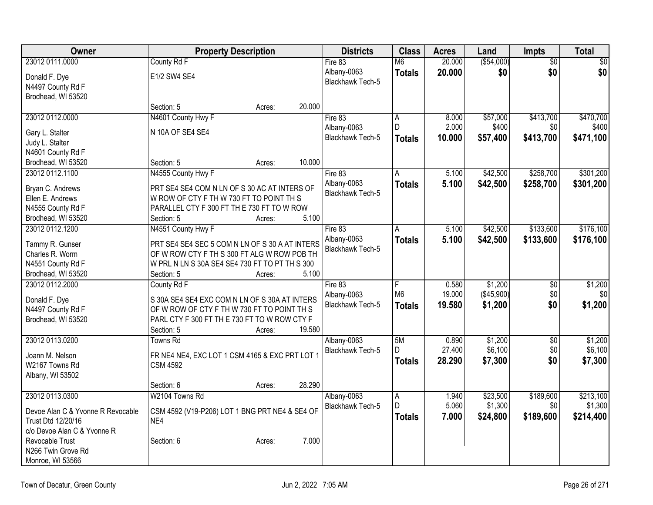| <b>Owner</b>                          | <b>Property Description</b>                    |                  | <b>Districts</b>        | <b>Class</b>        | <b>Acres</b>   | Land                | Impts            | <b>Total</b>         |
|---------------------------------------|------------------------------------------------|------------------|-------------------------|---------------------|----------------|---------------------|------------------|----------------------|
| 23012 0111.0000                       | County Rd F                                    |                  | Fire 83                 | M6                  | 20.000         | ( \$54,000)         | $\overline{50}$  | \$0                  |
| Donald F. Dye                         | E1/2 SW4 SE4                                   |                  | Albany-0063             | <b>Totals</b>       | 20.000         | \$0                 | \$0              | \$0                  |
| N4497 County Rd F                     |                                                |                  | Blackhawk Tech-5        |                     |                |                     |                  |                      |
| Brodhead, WI 53520                    |                                                |                  |                         |                     |                |                     |                  |                      |
|                                       | Section: 5                                     | 20.000<br>Acres: |                         |                     |                |                     |                  |                      |
| 23012 0112.0000                       | N4601 County Hwy F                             |                  | Fire 83                 | $\overline{A}$      | 8.000          | \$57,000            | \$413,700        | \$470,700            |
| Gary L. Stalter                       | N 10A OF SE4 SE4                               |                  | Albany-0063             | D                   | 2.000          | \$400               | \$0              | \$400                |
| Judy L. Stalter                       |                                                |                  | <b>Blackhawk Tech-5</b> | <b>Totals</b>       | 10.000         | \$57,400            | \$413,700        | \$471,100            |
| N4601 County Rd F                     |                                                |                  |                         |                     |                |                     |                  |                      |
| Brodhead, WI 53520                    | Section: 5                                     | 10.000<br>Acres: |                         |                     |                |                     |                  |                      |
| 23012 0112.1100                       | N4555 County Hwy F                             |                  | Fire 83                 | A                   | 5.100          | \$42,500            | \$258,700        | \$301,200            |
|                                       |                                                |                  | Albany-0063             | <b>Totals</b>       | 5.100          | \$42,500            | \$258,700        | \$301,200            |
| Bryan C. Andrews                      | PRT SE4 SE4 COM N LN OF S 30 AC AT INTERS OF   |                  | Blackhawk Tech-5        |                     |                |                     |                  |                      |
| Ellen E. Andrews                      | W ROW OF CTY F TH W 730 FT TO POINT TH S       |                  |                         |                     |                |                     |                  |                      |
| N4555 County Rd F                     | PARALLEL CTY F 300 FT TH E 730 FT TO W ROW     | 5.100            |                         |                     |                |                     |                  |                      |
| Brodhead, WI 53520<br>23012 0112.1200 | Section: 5<br>N4551 County Hwy F               | Acres:           |                         | A                   | 5.100          | \$42,500            | \$133,600        | \$176,100            |
|                                       |                                                |                  | Fire 83<br>Albany-0063  |                     |                |                     |                  |                      |
| Tammy R. Gunser                       | PRT SE4 SE4 SEC 5 COM N LN OF S 30 A AT INTERS |                  | <b>Blackhawk Tech-5</b> | <b>Totals</b>       | 5.100          | \$42,500            | \$133,600        | \$176,100            |
| Charles R. Worm                       | OF W ROW CTY F TH S 300 FT ALG W ROW POB TH    |                  |                         |                     |                |                     |                  |                      |
| N4551 County Rd F                     | W PRL N LN S 30A SE4 SE4 730 FT TO PT TH S 300 |                  |                         |                     |                |                     |                  |                      |
| Brodhead, WI 53520                    | Section: 5                                     | 5.100<br>Acres:  |                         |                     |                |                     |                  |                      |
| 23012 0112.2000                       | County Rd F                                    |                  | Fire 83                 | F                   | 0.580          | \$1,200             | $\overline{50}$  | \$1,200              |
| Donald F. Dye                         | S 30A SE4 SE4 EXC COM N LN OF S 30A AT INTERS  |                  | Albany-0063             | M <sub>6</sub>      | 19.000         | (\$45,900)          | \$0              | \$0                  |
| N4497 County Rd F                     | OF W ROW OF CTY F TH W 730 FT TO POINT TH S    |                  | Blackhawk Tech-5        | <b>Totals</b>       | 19.580         | \$1,200             | \$0              | \$1,200              |
| Brodhead, WI 53520                    | PARL CTY F 300 FT TH E 730 FT TO W ROW CTY F   |                  |                         |                     |                |                     |                  |                      |
|                                       | Section: 5                                     | 19.580<br>Acres: |                         |                     |                |                     |                  |                      |
| 23012 0113.0200                       | Towns Rd                                       |                  | Albany-0063             | 5M                  | 0.890          | \$1,200             | $\overline{30}$  | \$1,200              |
|                                       |                                                |                  | <b>Blackhawk Tech-5</b> | D                   | 27.400         | \$6,100             | \$0              | \$6,100              |
| Joann M. Nelson                       | FR NE4 NE4, EXC LOT 1 CSM 4165 & EXC PRT LOT 1 |                  |                         | <b>Totals</b>       | 28.290         | \$7,300             | \$0              | \$7,300              |
| W2167 Towns Rd                        | <b>CSM 4592</b>                                |                  |                         |                     |                |                     |                  |                      |
| Albany, WI 53502                      |                                                | 28.290           |                         |                     |                |                     |                  |                      |
|                                       | Section: 6<br>W2104 Towns Rd                   | Acres:           |                         |                     |                |                     |                  |                      |
| 23012 0113.0300                       |                                                |                  | Albany-0063             | $\overline{A}$<br>D | 1.940<br>5.060 | \$23,500<br>\$1,300 | \$189,600<br>\$0 | \$213,100<br>\$1,300 |
| Devoe Alan C & Yvonne R Revocable     | CSM 4592 (V19-P206) LOT 1 BNG PRT NE4 & SE4 OF |                  | <b>Blackhawk Tech-5</b> |                     |                |                     |                  |                      |
| Trust Dtd 12/20/16                    | NE4                                            |                  |                         | <b>Totals</b>       | 7.000          | \$24,800            | \$189,600        | \$214,400            |
| c/o Devoe Alan C & Yvonne R           |                                                |                  |                         |                     |                |                     |                  |                      |
| Revocable Trust                       | Section: 6                                     | 7.000<br>Acres:  |                         |                     |                |                     |                  |                      |
| N266 Twin Grove Rd                    |                                                |                  |                         |                     |                |                     |                  |                      |
| Monroe, WI 53566                      |                                                |                  |                         |                     |                |                     |                  |                      |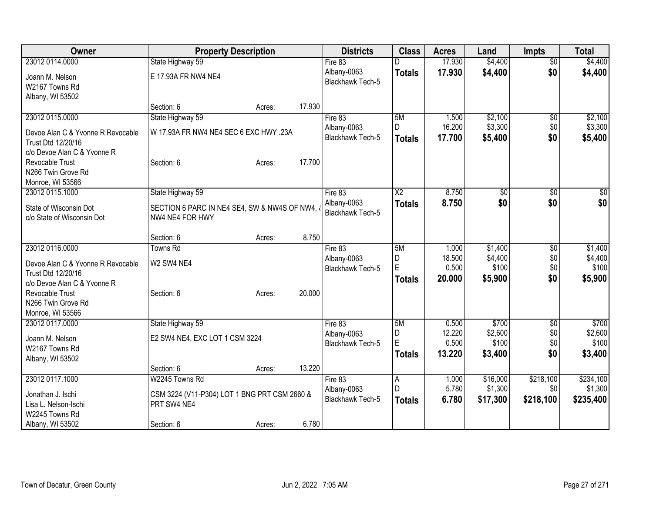| Owner                             | <b>Property Description</b>                  |        | <b>Districts</b>                       | <b>Class</b>        | <b>Acres</b>    | Land             | <b>Impts</b>         | <b>Total</b>     |
|-----------------------------------|----------------------------------------------|--------|----------------------------------------|---------------------|-----------------|------------------|----------------------|------------------|
| 23012 0114.0000                   | State Highway 59                             |        | Fire $83$                              |                     | 17.930          | \$4,400          | $\overline{50}$      | \$4,400          |
| Joann M. Nelson                   | E 17.93A FR NW4 NE4                          |        | Albany-0063                            | <b>Totals</b>       | 17.930          | \$4,400          | \$0                  | \$4,400          |
| W2167 Towns Rd                    |                                              |        | Blackhawk Tech-5                       |                     |                 |                  |                      |                  |
| Albany, WI 53502                  |                                              |        |                                        |                     |                 |                  |                      |                  |
|                                   | Section: 6<br>Acres:                         | 17.930 |                                        |                     |                 |                  |                      |                  |
| 23012 0115.0000                   | State Highway 59                             |        | Fire 83                                | 5M                  | 1.500           | \$2,100          | \$0                  | \$2,100          |
| Devoe Alan C & Yvonne R Revocable | W 17.93A FR NW4 NE4 SEC 6 EXC HWY .23A       |        | Albany-0063                            | D                   | 16.200          | \$3,300          | \$0                  | \$3,300          |
| Trust Dtd 12/20/16                |                                              |        | Blackhawk Tech-5                       | <b>Totals</b>       | 17.700          | \$5,400          | \$0                  | \$5,400          |
| c/o Devoe Alan C & Yvonne R       |                                              |        |                                        |                     |                 |                  |                      |                  |
| Revocable Trust                   | Section: 6<br>Acres:                         | 17.700 |                                        |                     |                 |                  |                      |                  |
| N266 Twin Grove Rd                |                                              |        |                                        |                     |                 |                  |                      |                  |
| Monroe, WI 53566                  |                                              |        |                                        |                     |                 |                  |                      |                  |
| 23012 0115.1000                   | State Highway 59                             |        | Fire 83                                | $\overline{X2}$     | 8.750           | \$0              | \$0                  | $\sqrt{50}$      |
| State of Wisconsin Dot            | SECTION 6 PARC IN NE4 SE4, SW & NW4S OF NW4, |        | Albany-0063<br><b>Blackhawk Tech-5</b> | <b>Totals</b>       | 8.750           | \$0              | \$0                  | \$0              |
| c/o State of Wisconsin Dot        | NW4 NE4 FOR HWY                              |        |                                        |                     |                 |                  |                      |                  |
|                                   |                                              |        |                                        |                     |                 |                  |                      |                  |
|                                   | Section: 6<br>Acres:                         | 8.750  |                                        |                     |                 |                  |                      |                  |
| 23012 0116.0000                   | Towns Rd                                     |        | Fire 83                                | 5M                  | 1.000           | \$1,400          | $\overline{50}$      | \$1,400          |
| Devoe Alan C & Yvonne R Revocable | W2 SW4 NE4                                   |        | Albany-0063                            | D<br>Ė              | 18.500<br>0.500 | \$4,400<br>\$100 | \$0<br>\$0           | \$4,400<br>\$100 |
| Trust Dtd 12/20/16                |                                              |        | <b>Blackhawk Tech-5</b>                | <b>Totals</b>       | 20.000          | \$5,900          | \$0                  | \$5,900          |
| c/o Devoe Alan C & Yvonne R       |                                              |        |                                        |                     |                 |                  |                      |                  |
| Revocable Trust                   | Section: 6<br>Acres:                         | 20.000 |                                        |                     |                 |                  |                      |                  |
| N266 Twin Grove Rd                |                                              |        |                                        |                     |                 |                  |                      |                  |
| Monroe, WI 53566                  |                                              |        |                                        |                     |                 |                  |                      |                  |
| 23012 0117.0000                   | State Highway 59                             |        | Fire 83<br>Albany-0063                 | 5M<br>D             | 0.500<br>12.220 | \$700<br>\$2,600 | $\sqrt[6]{3}$<br>\$0 | \$700<br>\$2,600 |
| Joann M. Nelson                   | E2 SW4 NE4, EXC LOT 1 CSM 3224               |        | Blackhawk Tech-5                       | E                   | 0.500           | \$100            | \$0                  | \$100            |
| W2167 Towns Rd                    |                                              |        |                                        | <b>Totals</b>       | 13.220          | \$3,400          | \$0                  | \$3,400          |
| Albany, WI 53502                  |                                              |        |                                        |                     |                 |                  |                      |                  |
|                                   | Section: 6<br>Acres:                         | 13.220 |                                        |                     |                 |                  |                      |                  |
| 23012 0117.1000                   | W2245 Towns Rd                               |        | Fire 83                                | $\overline{A}$<br>D | 1.000<br>5.780  | \$16,000         | \$218,100            | \$234,100        |
| Jonathan J. Ischi                 | CSM 3224 (V11-P304) LOT 1 BNG PRT CSM 2660 & |        | Albany-0063<br>Blackhawk Tech-5        |                     |                 | \$1,300          | \$0                  | \$1,300          |
| Lisa L. Nelson-Ischi              | PRT SW4 NE4                                  |        |                                        | <b>Totals</b>       | 6.780           | \$17,300         | \$218,100            | \$235,400        |
| W2245 Towns Rd                    |                                              |        |                                        |                     |                 |                  |                      |                  |
| Albany, WI 53502                  | Section: 6<br>Acres:                         | 6.780  |                                        |                     |                 |                  |                      |                  |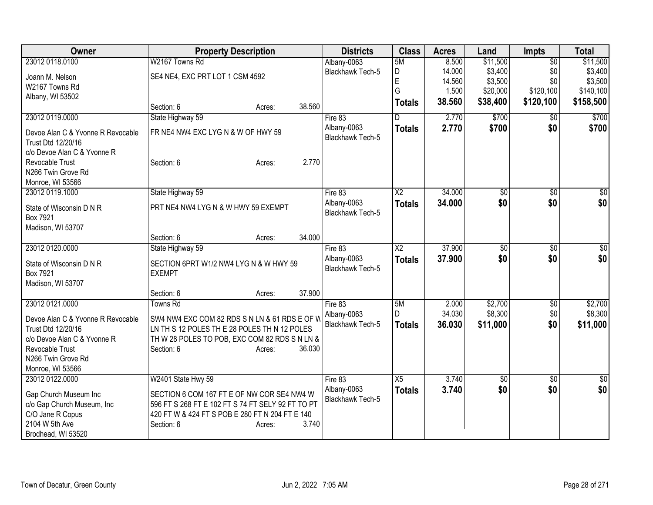| Owner                                                                | <b>Property Description</b>                       | <b>Districts</b>                       | <b>Class</b>    | <b>Acres</b>     | Land       | Impts                  | <b>Total</b>    |
|----------------------------------------------------------------------|---------------------------------------------------|----------------------------------------|-----------------|------------------|------------|------------------------|-----------------|
| 23012 0118.0100                                                      | W2167 Towns Rd                                    | Albany-0063                            | 5M              | 8.500            | \$11,500   | $\overline{50}$        | \$11,500        |
| Joann M. Nelson                                                      | SE4 NE4, EXC PRT LOT 1 CSM 4592                   | <b>Blackhawk Tech-5</b>                | D               | 14.000           | \$3,400    | \$0                    | \$3,400         |
| W2167 Towns Rd                                                       |                                                   |                                        | E               | 14.560           | \$3,500    | \$0                    | \$3,500         |
| Albany, WI 53502                                                     |                                                   |                                        | G               | 1.500            | \$20,000   | \$120,100              | \$140,100       |
|                                                                      | 38.560<br>Section: 6<br>Acres:                    |                                        | <b>Totals</b>   | 38.560           | \$38,400   | \$120,100              | \$158,500       |
| 23012 0119.0000                                                      | State Highway 59                                  | Fire 83                                | D               | 2.770            | \$700      | $\overline{50}$        | \$700           |
| Devoe Alan C & Yvonne R Revocable<br>Trust Dtd 12/20/16              | FR NE4 NW4 EXC LYG N & W OF HWY 59                | Albany-0063<br><b>Blackhawk Tech-5</b> | <b>Totals</b>   | 2.770            | \$700      | \$0                    | \$700           |
| c/o Devoe Alan C & Yvonne R<br>Revocable Trust<br>N266 Twin Grove Rd | 2.770<br>Section: 6<br>Acres:                     |                                        |                 |                  |            |                        |                 |
| Monroe, WI 53566                                                     |                                                   |                                        |                 |                  |            |                        |                 |
| 23012 0119.1000                                                      | State Highway 59                                  | Fire 83                                | $\overline{X2}$ | 34.000           | \$0        | \$0                    | $\overline{50}$ |
| State of Wisconsin D N R<br>Box 7921                                 | PRT NE4 NW4 LYG N & W HWY 59 EXEMPT               | Albany-0063<br>Blackhawk Tech-5        | <b>Totals</b>   | 34.000           | \$0        | \$0                    | \$0             |
| Madison, WI 53707                                                    |                                                   |                                        |                 |                  |            |                        |                 |
|                                                                      | 34.000<br>Section: 6<br>Acres:                    |                                        | $\overline{X2}$ |                  |            |                        |                 |
| 23012 0120.0000                                                      | State Highway 59                                  | Fire 83<br>Albany-0063                 |                 | 37.900<br>37,900 | \$0<br>\$0 | $\overline{50}$<br>\$0 | \$0<br>\$0      |
| State of Wisconsin D N R                                             | SECTION 6PRT W1/2 NW4 LYG N & W HWY 59            | <b>Blackhawk Tech-5</b>                | <b>Totals</b>   |                  |            |                        |                 |
| Box 7921                                                             | <b>EXEMPT</b>                                     |                                        |                 |                  |            |                        |                 |
| Madison, WI 53707                                                    |                                                   |                                        |                 |                  |            |                        |                 |
|                                                                      | 37.900<br>Section: 6<br>Acres:                    |                                        |                 |                  |            |                        |                 |
| 23012 0121.0000                                                      | Towns Rd                                          | Fire 83                                | 5M              | 2.000            | \$2,700    | \$0                    | \$2,700         |
| Devoe Alan C & Yvonne R Revocable                                    | SW4 NW4 EXC COM 82 RDS S N LN & 61 RDS E OF W     | Albany-0063                            | D               | 34.030           | \$8,300    | \$0                    | \$8,300         |
| Trust Dtd 12/20/16                                                   | LN TH S 12 POLES TH E 28 POLES TH N 12 POLES      | Blackhawk Tech-5                       | <b>Totals</b>   | 36.030           | \$11,000   | \$0                    | \$11,000        |
| c/o Devoe Alan C & Yvonne R                                          | TH W 28 POLES TO POB, EXC COM 82 RDS S N LN &     |                                        |                 |                  |            |                        |                 |
| Revocable Trust                                                      | 36.030<br>Section: 6<br>Acres:                    |                                        |                 |                  |            |                        |                 |
| N266 Twin Grove Rd                                                   |                                                   |                                        |                 |                  |            |                        |                 |
| Monroe, WI 53566                                                     |                                                   |                                        |                 |                  |            |                        |                 |
| 23012 0122.0000                                                      | W2401 State Hwy 59                                | Fire 83                                | X5              | 3.740            | \$0        | \$0                    | \$0             |
| Gap Church Museum Inc                                                | SECTION 6 COM 167 FT E OF NW COR SE4 NW4 W        | Albany-0063                            | <b>Totals</b>   | 3.740            | \$0        | \$0                    | \$0             |
| c/o Gap Church Museum, Inc                                           | 596 FT S 268 FT E 102 FT S 74 FT SELY 92 FT TO PT | <b>Blackhawk Tech-5</b>                |                 |                  |            |                        |                 |
| C/O Jane R Copus                                                     | 420 FT W & 424 FT S POB E 280 FT N 204 FT E 140   |                                        |                 |                  |            |                        |                 |
| 2104 W 5th Ave                                                       | 3.740<br>Section: 6<br>Acres:                     |                                        |                 |                  |            |                        |                 |
| Brodhead, WI 53520                                                   |                                                   |                                        |                 |                  |            |                        |                 |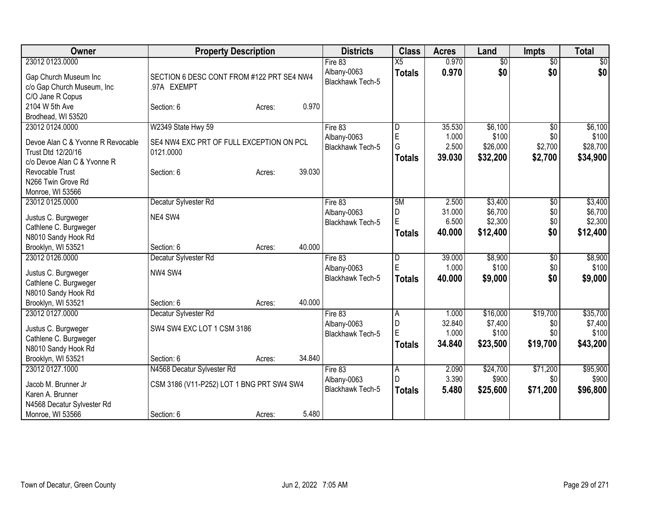| Owner                                   | <b>Property Description</b>               |        |        | <b>Districts</b>        | <b>Class</b>            | <b>Acres</b> | Land            | <b>Impts</b>    | <b>Total</b> |
|-----------------------------------------|-------------------------------------------|--------|--------|-------------------------|-------------------------|--------------|-----------------|-----------------|--------------|
| 23012 0123.0000                         |                                           |        |        | Fire 83                 | X5                      | 0.970        | $\overline{50}$ | $\overline{50}$ | \$0          |
| Gap Church Museum Inc                   | SECTION 6 DESC CONT FROM #122 PRT SE4 NW4 |        |        | Albany-0063             | <b>Totals</b>           | 0.970        | \$0             | \$0             | \$0          |
| c/o Gap Church Museum, Inc              | .97A EXEMPT                               |        |        | Blackhawk Tech-5        |                         |              |                 |                 |              |
| C/O Jane R Copus                        |                                           |        |        |                         |                         |              |                 |                 |              |
| 2104 W 5th Ave                          | Section: 6                                | Acres: | 0.970  |                         |                         |              |                 |                 |              |
| Brodhead, WI 53520                      |                                           |        |        |                         |                         |              |                 |                 |              |
| 23012 0124.0000                         | W2349 State Hwy 59                        |        |        | Fire 83                 | l D                     | 35.530       | \$6,100         | $\overline{50}$ | \$6,100      |
| Devoe Alan C & Yvonne R Revocable       | SE4 NW4 EXC PRT OF FULL EXCEPTION ON PCL  |        |        | Albany-0063             | E<br>G                  | 1.000        | \$100           | \$0             | \$100        |
| Trust Dtd 12/20/16                      | 0121.0000                                 |        |        | Blackhawk Tech-5        |                         | 2.500        | \$26,000        | \$2,700         | \$28,700     |
| c/o Devoe Alan C & Yvonne R             |                                           |        |        |                         | <b>Totals</b>           | 39.030       | \$32,200        | \$2,700         | \$34,900     |
| Revocable Trust                         | Section: 6                                | Acres: | 39.030 |                         |                         |              |                 |                 |              |
| N266 Twin Grove Rd                      |                                           |        |        |                         |                         |              |                 |                 |              |
| Monroe, WI 53566                        |                                           |        |        |                         |                         |              |                 |                 |              |
| 23012 0125.0000                         | Decatur Sylvester Rd                      |        |        | Fire 83                 | 5M                      | 2.500        | \$3,400         | $\overline{50}$ | \$3,400      |
| Justus C. Burgweger                     | NE4 SW4                                   |        |        | Albany-0063             | D<br>E                  | 31.000       | \$6,700         | \$0             | \$6,700      |
| Cathlene C. Burgweger                   |                                           |        |        | <b>Blackhawk Tech-5</b> |                         | 6.500        | \$2,300         | \$0             | \$2,300      |
| N8010 Sandy Hook Rd                     |                                           |        |        |                         | Totals                  | 40.000       | \$12,400        | \$0             | \$12,400     |
| Brooklyn, WI 53521                      | Section: 6                                | Acres: | 40.000 |                         |                         |              |                 |                 |              |
| 23012 0126.0000                         | Decatur Sylvester Rd                      |        |        | Fire 83                 | $\overline{\mathsf{D}}$ | 39.000       | \$8,900         | \$0             | \$8,900      |
| Justus C. Burgweger                     | NW4 SW4                                   |        |        | Albany-0063             | E                       | 1.000        | \$100           | \$0             | \$100        |
| Cathlene C. Burgweger                   |                                           |        |        | <b>Blackhawk Tech-5</b> | <b>Totals</b>           | 40.000       | \$9,000         | \$0             | \$9,000      |
| N8010 Sandy Hook Rd                     |                                           |        |        |                         |                         |              |                 |                 |              |
| Brooklyn, WI 53521                      | Section: 6                                | Acres: | 40.000 |                         |                         |              |                 |                 |              |
| 23012 0127.0000                         | Decatur Sylvester Rd                      |        |        | Fire $83$               | A                       | 1.000        | \$16,000        | \$19,700        | \$35,700     |
| Justus C. Burgweger                     | SW4 SW4 EXC LOT 1 CSM 3186                |        |        | Albany-0063             | D                       | 32.840       | \$7,400         | \$0             | \$7,400      |
| Cathlene C. Burgweger                   |                                           |        |        | <b>Blackhawk Tech-5</b> | E                       | 1.000        | \$100           | \$0             | \$100        |
| N8010 Sandy Hook Rd                     |                                           |        |        |                         | <b>Totals</b>           | 34.840       | \$23,500        | \$19,700        | \$43,200     |
| Brooklyn, WI 53521                      | Section: 6                                | Acres: | 34.840 |                         |                         |              |                 |                 |              |
| 23012 0127.1000                         | N4568 Decatur Sylvester Rd                |        |        | Fire 83                 | $\overline{A}$          | 2.090        | \$24,700        | \$71,200        | \$95,900     |
|                                         |                                           |        |        | Albany-0063             | D                       | 3.390        | \$900           | \$0             | \$900        |
| Jacob M. Brunner Jr<br>Karen A. Brunner | CSM 3186 (V11-P252) LOT 1 BNG PRT SW4 SW4 |        |        | <b>Blackhawk Tech-5</b> | <b>Totals</b>           | 5.480        | \$25,600        | \$71,200        | \$96,800     |
| N4568 Decatur Sylvester Rd              |                                           |        |        |                         |                         |              |                 |                 |              |
| Monroe, WI 53566                        | Section: 6                                | Acres: | 5.480  |                         |                         |              |                 |                 |              |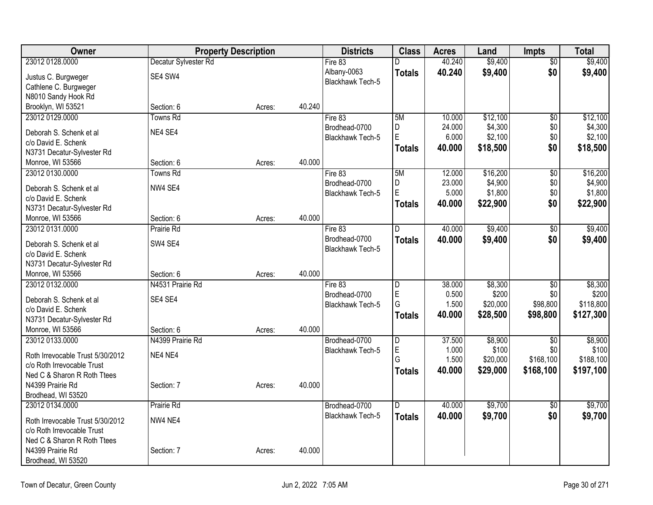| Owner                            |                      | <b>Property Description</b> |        | <b>Districts</b>                  | <b>Class</b>            | <b>Acres</b> | Land     | <b>Impts</b>    | <b>Total</b> |
|----------------------------------|----------------------|-----------------------------|--------|-----------------------------------|-------------------------|--------------|----------|-----------------|--------------|
| 23012 0128.0000                  | Decatur Sylvester Rd |                             |        | Fire 83                           | D                       | 40.240       | \$9,400  | $\overline{50}$ | \$9,400      |
| Justus C. Burgweger              | SE4 SW4              |                             |        | Albany-0063                       | <b>Totals</b>           | 40.240       | \$9,400  | \$0             | \$9,400      |
| Cathlene C. Burgweger            |                      |                             |        | <b>Blackhawk Tech-5</b>           |                         |              |          |                 |              |
| N8010 Sandy Hook Rd              |                      |                             |        |                                   |                         |              |          |                 |              |
| Brooklyn, WI 53521               | Section: 6           | Acres:                      | 40.240 |                                   |                         |              |          |                 |              |
| 23012 0129.0000                  | <b>Towns Rd</b>      |                             |        | Fire 83                           | 5M                      | 10.000       | \$12,100 | $\overline{50}$ | \$12,100     |
| Deborah S. Schenk et al          | NE4 SE4              |                             |        | Brodhead-0700                     | D                       | 24.000       | \$4,300  | \$0             | \$4,300      |
| c/o David E. Schenk              |                      |                             |        | <b>Blackhawk Tech-5</b>           | E                       | 6.000        | \$2,100  | \$0             | \$2,100      |
| N3731 Decatur-Sylvester Rd       |                      |                             |        |                                   | <b>Totals</b>           | 40.000       | \$18,500 | \$0             | \$18,500     |
| Monroe, WI 53566                 | Section: 6           | Acres:                      | 40.000 |                                   |                         |              |          |                 |              |
| 23012 0130.0000                  | <b>Towns Rd</b>      |                             |        | Fire 83                           | 5M                      | 12.000       | \$16,200 | $\overline{50}$ | \$16,200     |
|                                  |                      |                             |        | Brodhead-0700                     | D                       | 23.000       | \$4,900  | \$0             | \$4,900      |
| Deborah S. Schenk et al          | NW4 SE4              |                             |        | Blackhawk Tech-5                  | E                       | 5.000        | \$1,800  | \$0             | \$1,800      |
| c/o David E. Schenk              |                      |                             |        |                                   | <b>Totals</b>           | 40.000       | \$22,900 | \$0             | \$22,900     |
| N3731 Decatur-Sylvester Rd       |                      |                             |        |                                   |                         |              |          |                 |              |
| Monroe, WI 53566                 | Section: 6           | Acres:                      | 40.000 |                                   | D                       |              |          |                 |              |
| 23012 0131.0000                  | Prairie Rd           |                             |        | Fire 83                           |                         | 40.000       | \$9,400  | $\overline{50}$ | \$9,400      |
| Deborah S. Schenk et al          | SW4 SE4              |                             |        | Brodhead-0700<br>Blackhawk Tech-5 | <b>Totals</b>           | 40.000       | \$9,400  | \$0             | \$9,400      |
| c/o David E. Schenk              |                      |                             |        |                                   |                         |              |          |                 |              |
| N3731 Decatur-Sylvester Rd       |                      |                             |        |                                   |                         |              |          |                 |              |
| Monroe, WI 53566                 | Section: 6           | Acres:                      | 40.000 |                                   |                         |              |          |                 |              |
| 23012 0132.0000                  | N4531 Prairie Rd     |                             |        | Fire 83                           | $\overline{D}$          | 38.000       | \$8,300  | $\overline{30}$ | \$8,300      |
| Deborah S. Schenk et al          | SE4 SE4              |                             |        | Brodhead-0700                     | $\mathsf E$             | 0.500        | \$200    | \$0             | \$200        |
| c/o David E. Schenk              |                      |                             |        | Blackhawk Tech-5                  | G                       | 1.500        | \$20,000 | \$98,800        | \$118,800    |
| N3731 Decatur-Sylvester Rd       |                      |                             |        |                                   | Totals                  | 40.000       | \$28,500 | \$98,800        | \$127,300    |
| Monroe, WI 53566                 | Section: 6           | Acres:                      | 40.000 |                                   |                         |              |          |                 |              |
| 23012 0133.0000                  | N4399 Prairie Rd     |                             |        | Brodhead-0700                     | $\overline{D}$          | 37.500       | \$8,900  | $\overline{50}$ | \$8,900      |
|                                  |                      |                             |        | Blackhawk Tech-5                  | $\mathsf E$             | 1.000        | \$100    | \$0             | \$100        |
| Roth Irrevocable Trust 5/30/2012 | NE4 NE4              |                             |        |                                   | G                       | 1.500        | \$20,000 | \$168,100       | \$188,100    |
| c/o Roth Irrevocable Trust       |                      |                             |        |                                   | <b>Totals</b>           | 40.000       | \$29,000 | \$168,100       | \$197,100    |
| Ned C & Sharon R Roth Ttees      |                      |                             |        |                                   |                         |              |          |                 |              |
| N4399 Prairie Rd                 | Section: 7           | Acres:                      | 40.000 |                                   |                         |              |          |                 |              |
| Brodhead, WI 53520               |                      |                             |        |                                   |                         |              |          |                 |              |
| 23012 0134.0000                  | Prairie Rd           |                             |        | Brodhead-0700                     | $\overline{\mathsf{D}}$ | 40.000       | \$9,700  | $\sqrt{6}$      | \$9,700      |
| Roth Irrevocable Trust 5/30/2012 | NW4 NE4              |                             |        | Blackhawk Tech-5                  | <b>Totals</b>           | 40.000       | \$9,700  | \$0             | \$9,700      |
| c/o Roth Irrevocable Trust       |                      |                             |        |                                   |                         |              |          |                 |              |
| Ned C & Sharon R Roth Ttees      |                      |                             |        |                                   |                         |              |          |                 |              |
| N4399 Prairie Rd                 | Section: 7           | Acres:                      | 40.000 |                                   |                         |              |          |                 |              |
| Brodhead, WI 53520               |                      |                             |        |                                   |                         |              |          |                 |              |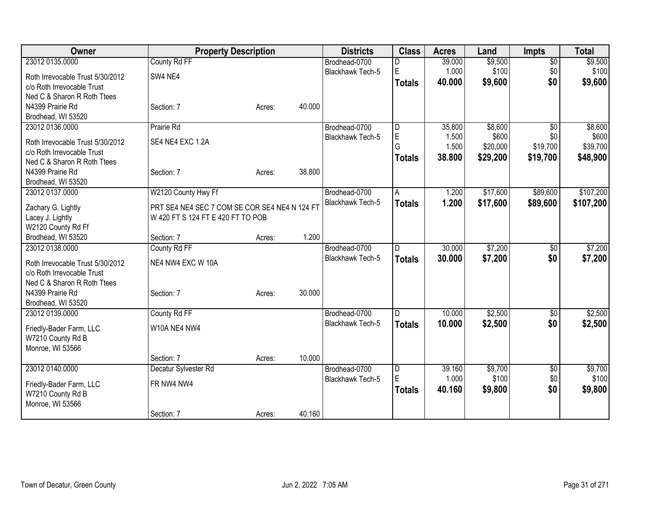| Owner                                 | <b>Property Description</b>                   |        |        | <b>Districts</b>                  | <b>Class</b>  | <b>Acres</b> | Land     | <b>Impts</b>    | <b>Total</b> |
|---------------------------------------|-----------------------------------------------|--------|--------|-----------------------------------|---------------|--------------|----------|-----------------|--------------|
| 23012 0135.0000                       | County Rd FF                                  |        |        | Brodhead-0700                     | D             | 39.000       | \$9,500  | $\overline{50}$ | \$9,500      |
| Roth Irrevocable Trust 5/30/2012      | SW4 NE4                                       |        |        | <b>Blackhawk Tech-5</b>           | E             | 1.000        | \$100    | \$0             | \$100        |
| c/o Roth Irrevocable Trust            |                                               |        |        |                                   | <b>Totals</b> | 40.000       | \$9,600  | \$0             | \$9,600      |
| Ned C & Sharon R Roth Ttees           |                                               |        |        |                                   |               |              |          |                 |              |
| N4399 Prairie Rd                      | Section: 7                                    | Acres: | 40.000 |                                   |               |              |          |                 |              |
| Brodhead, WI 53520                    |                                               |        |        |                                   |               |              |          |                 |              |
| 23012 0136.0000                       | Prairie Rd                                    |        |        | Brodhead-0700                     | D             | 35.800       | \$8,600  | $\overline{50}$ | \$8,600      |
| Roth Irrevocable Trust 5/30/2012      | SE4 NE4 EXC 1.2A                              |        |        | <b>Blackhawk Tech-5</b>           | E             | 1.500        | \$600    | \$0             | \$600        |
| c/o Roth Irrevocable Trust            |                                               |        |        |                                   | G             | 1.500        | \$20,000 | \$19,700        | \$39,700     |
| Ned C & Sharon R Roth Ttees           |                                               |        |        |                                   | <b>Totals</b> | 38.800       | \$29,200 | \$19,700        | \$48,900     |
| N4399 Prairie Rd                      | Section: 7                                    | Acres: | 38.800 |                                   |               |              |          |                 |              |
| Brodhead, WI 53520                    |                                               |        |        |                                   |               |              |          |                 |              |
| 23012 0137.0000                       | W2120 County Hwy Ff                           |        |        | Brodhead-0700                     | Α             | 1.200        | \$17,600 | \$89,600        | \$107,200    |
|                                       |                                               |        |        | <b>Blackhawk Tech-5</b>           | <b>Totals</b> | 1.200        | \$17,600 | \$89,600        | \$107,200    |
| Zachary G. Lightly                    | PRT SE4 NE4 SEC 7 COM SE COR SE4 NE4 N 124 FT |        |        |                                   |               |              |          |                 |              |
| Lacey J. Lightly                      | W 420 FT S 124 FT E 420 FT TO POB             |        |        |                                   |               |              |          |                 |              |
| W2120 County Rd Ff                    |                                               |        | 1.200  |                                   |               |              |          |                 |              |
| Brodhead, WI 53520<br>23012 0138.0000 | Section: 7                                    | Acres: |        |                                   | D.            | 30.000       | \$7,200  |                 | \$7,200      |
|                                       | County Rd FF                                  |        |        | Brodhead-0700<br>Blackhawk Tech-5 |               |              |          | $\overline{50}$ |              |
| Roth Irrevocable Trust 5/30/2012      | NE4 NW4 EXC W 10A                             |        |        |                                   | <b>Totals</b> | 30.000       | \$7,200  | \$0             | \$7,200      |
| c/o Roth Irrevocable Trust            |                                               |        |        |                                   |               |              |          |                 |              |
| Ned C & Sharon R Roth Ttees           |                                               |        |        |                                   |               |              |          |                 |              |
| N4399 Prairie Rd                      | Section: 7                                    | Acres: | 30.000 |                                   |               |              |          |                 |              |
| Brodhead, WI 53520                    |                                               |        |        |                                   |               |              |          |                 |              |
| 23012 0139.0000                       | County Rd FF                                  |        |        | Brodhead-0700                     | D             | 10.000       | \$2,500  | \$0             | \$2,500      |
| Friedly-Bader Farm, LLC               | W10A NE4 NW4                                  |        |        | <b>Blackhawk Tech-5</b>           | <b>Totals</b> | 10.000       | \$2,500  | \$0             | \$2,500      |
| W7210 County Rd B                     |                                               |        |        |                                   |               |              |          |                 |              |
| Monroe, WI 53566                      |                                               |        |        |                                   |               |              |          |                 |              |
|                                       | Section: 7                                    | Acres: | 10.000 |                                   |               |              |          |                 |              |
| 23012 0140.0000                       | Decatur Sylvester Rd                          |        |        | Brodhead-0700                     | D             | 39.160       | \$9,700  | $\sqrt[6]{}$    | \$9,700      |
| Friedly-Bader Farm, LLC               | FR NW4 NW4                                    |        |        | <b>Blackhawk Tech-5</b>           | E             | 1.000        | \$100    | \$0             | \$100        |
| W7210 County Rd B                     |                                               |        |        |                                   | <b>Totals</b> | 40.160       | \$9,800  | \$0             | \$9,800      |
| Monroe, WI 53566                      |                                               |        |        |                                   |               |              |          |                 |              |
|                                       | Section: 7                                    | Acres: | 40.160 |                                   |               |              |          |                 |              |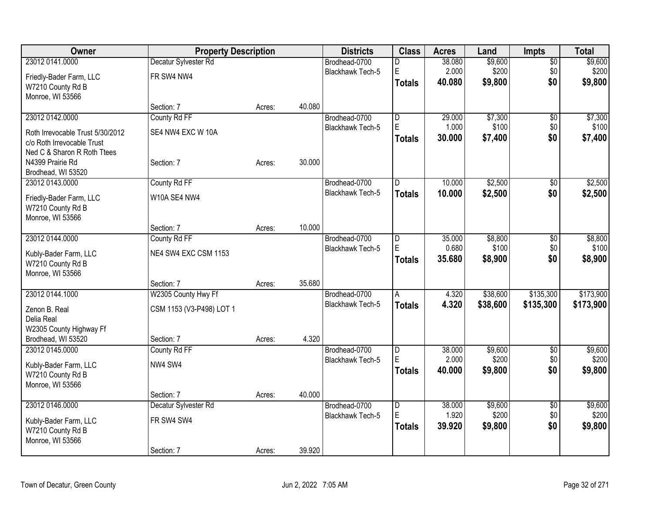| Owner                            | <b>Property Description</b> |        |        | <b>Districts</b>        | <b>Class</b>   | <b>Acres</b> | Land     | <b>Impts</b>    | <b>Total</b> |
|----------------------------------|-----------------------------|--------|--------|-------------------------|----------------|--------------|----------|-----------------|--------------|
| 23012 0141.0000                  | Decatur Sylvester Rd        |        |        | Brodhead-0700           | D              | 38.080       | \$9,600  | $\sqrt{$0}$     | \$9,600      |
| Friedly-Bader Farm, LLC          | FR SW4 NW4                  |        |        | <b>Blackhawk Tech-5</b> | E              | 2.000        | \$200    | \$0             | \$200        |
| W7210 County Rd B                |                             |        |        |                         | Totals         | 40.080       | \$9,800  | \$0             | \$9,800      |
| Monroe, WI 53566                 |                             |        |        |                         |                |              |          |                 |              |
|                                  | Section: 7                  | Acres: | 40.080 |                         |                |              |          |                 |              |
| 23012 0142.0000                  | County Rd FF                |        |        | Brodhead-0700           | D              | 29.000       | \$7,300  | \$0             | \$7,300      |
| Roth Irrevocable Trust 5/30/2012 | SE4 NW4 EXC W 10A           |        |        | Blackhawk Tech-5        | ΙE             | 1.000        | \$100    | \$0             | \$100        |
| c/o Roth Irrevocable Trust       |                             |        |        |                         | Totals         | 30.000       | \$7,400  | \$0             | \$7,400      |
| Ned C & Sharon R Roth Ttees      |                             |        |        |                         |                |              |          |                 |              |
| N4399 Prairie Rd                 | Section: 7                  | Acres: | 30.000 |                         |                |              |          |                 |              |
| Brodhead, WI 53520               |                             |        |        |                         |                |              |          |                 |              |
| 23012 0143.0000                  | County Rd FF                |        |        | Brodhead-0700           | ID.            | 10.000       | \$2,500  | $\sqrt{6}$      | \$2,500      |
| Friedly-Bader Farm, LLC          | W10A SE4 NW4                |        |        | Blackhawk Tech-5        | <b>Totals</b>  | 10.000       | \$2,500  | \$0             | \$2,500      |
| W7210 County Rd B                |                             |        |        |                         |                |              |          |                 |              |
| Monroe, WI 53566                 |                             |        |        |                         |                |              |          |                 |              |
|                                  | Section: 7                  | Acres: | 10.000 |                         |                |              |          |                 |              |
| 23012 0144.0000                  | County Rd FF                |        |        | Brodhead-0700           | D              | 35.000       | \$8,800  | \$0             | \$8,800      |
| Kubly-Bader Farm, LLC            | NE4 SW4 EXC CSM 1153        |        |        | Blackhawk Tech-5        | E              | 0.680        | \$100    | \$0<br>\$0      | \$100        |
| W7210 County Rd B                |                             |        |        |                         | Totals         | 35.680       | \$8,900  |                 | \$8,900      |
| Monroe, WI 53566                 |                             |        |        |                         |                |              |          |                 |              |
|                                  | Section: 7                  | Acres: | 35.680 |                         |                |              |          |                 |              |
| 23012 0144.1000                  | W2305 County Hwy Ff         |        |        | Brodhead-0700           | A              | 4.320        | \$38,600 | \$135,300       | \$173,900    |
| Zenon B. Real                    | CSM 1153 (V3-P498) LOT 1    |        |        | <b>Blackhawk Tech-5</b> | <b>Totals</b>  | 4.320        | \$38,600 | \$135,300       | \$173,900    |
| Delia Real                       |                             |        |        |                         |                |              |          |                 |              |
| W2305 County Highway Ff          |                             |        |        |                         |                |              |          |                 |              |
| Brodhead, WI 53520               | Section: 7                  | Acres: | 4.320  |                         |                |              |          |                 |              |
| 23012 0145.0000                  | County Rd FF                |        |        | Brodhead-0700           | D              | 38.000       | \$9,600  | $\overline{60}$ | \$9,600      |
| Kubly-Bader Farm, LLC            | NW4 SW4                     |        |        | Blackhawk Tech-5        | E              | 2.000        | \$200    | \$0             | \$200        |
| W7210 County Rd B                |                             |        |        |                         | <b>Totals</b>  | 40.000       | \$9,800  | \$0             | \$9,800      |
| Monroe, WI 53566                 |                             |        |        |                         |                |              |          |                 |              |
|                                  | Section: 7                  | Acres: | 40.000 |                         |                |              |          |                 |              |
| 23012 0146.0000                  | Decatur Sylvester Rd        |        |        | Brodhead-0700           | $\overline{D}$ | 38.000       | \$9,600  | \$0             | \$9,600      |
| Kubly-Bader Farm, LLC            | FR SW4 SW4                  |        |        | <b>Blackhawk Tech-5</b> | E              | 1.920        | \$200    | \$0             | \$200        |
| W7210 County Rd B                |                             |        |        |                         | Totals         | 39.920       | \$9,800  | \$0             | \$9,800      |
| Monroe, WI 53566                 |                             |        |        |                         |                |              |          |                 |              |
|                                  | Section: 7                  | Acres: | 39.920 |                         |                |              |          |                 |              |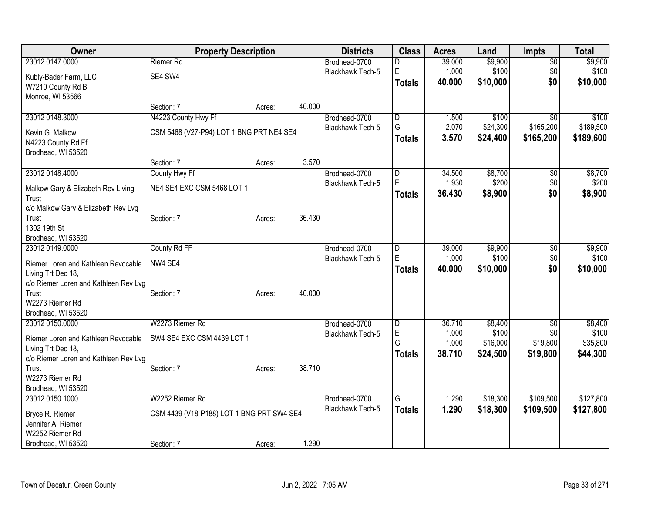| Owner                                 | <b>Property Description</b>               |        |        | <b>Districts</b>        | <b>Class</b>   | <b>Acres</b> | Land     | <b>Impts</b>    | <b>Total</b> |
|---------------------------------------|-------------------------------------------|--------|--------|-------------------------|----------------|--------------|----------|-----------------|--------------|
| 23012 0147.0000                       | Riemer Rd                                 |        |        | Brodhead-0700           | D              | 39.000       | \$9,900  | $\overline{30}$ | \$9,900      |
| Kubly-Bader Farm, LLC                 | SE4 SW4                                   |        |        | <b>Blackhawk Tech-5</b> | E              | 1.000        | \$100    | \$0             | \$100        |
| W7210 County Rd B                     |                                           |        |        |                         | <b>Totals</b>  | 40.000       | \$10,000 | \$0             | \$10,000     |
| Monroe, WI 53566                      |                                           |        |        |                         |                |              |          |                 |              |
|                                       | Section: 7                                | Acres: | 40.000 |                         |                |              |          |                 |              |
| 23012 0148.3000                       | N4223 County Hwy Ff                       |        |        | Brodhead-0700           | $\overline{D}$ | 1.500        | \$100    | $\overline{50}$ | \$100        |
| Kevin G. Malkow                       | CSM 5468 (V27-P94) LOT 1 BNG PRT NE4 SE4  |        |        | Blackhawk Tech-5        | G              | 2.070        | \$24,300 | \$165,200       | \$189,500    |
| N4223 County Rd Ff                    |                                           |        |        |                         | <b>Totals</b>  | 3.570        | \$24,400 | \$165,200       | \$189,600    |
| Brodhead, WI 53520                    |                                           |        |        |                         |                |              |          |                 |              |
|                                       | Section: 7                                | Acres: | 3.570  |                         |                |              |          |                 |              |
| 23012 0148.4000                       | County Hwy Ff                             |        |        | Brodhead-0700           | D              | 34.500       | \$8,700  | \$0             | \$8,700      |
| Malkow Gary & Elizabeth Rev Living    | NE4 SE4 EXC CSM 5468 LOT 1                |        |        | Blackhawk Tech-5        | $\mathsf E$    | 1.930        | \$200    | \$0             | \$200        |
| Trust                                 |                                           |        |        |                         | <b>Totals</b>  | 36.430       | \$8,900  | \$0             | \$8,900      |
| c/o Malkow Gary & Elizabeth Rev Lvg   |                                           |        |        |                         |                |              |          |                 |              |
| Trust                                 | Section: 7                                | Acres: | 36.430 |                         |                |              |          |                 |              |
| 1302 19th St                          |                                           |        |        |                         |                |              |          |                 |              |
| Brodhead, WI 53520                    |                                           |        |        |                         |                |              |          |                 |              |
| 23012 0149.0000                       | County Rd FF                              |        |        | Brodhead-0700           | D              | 39.000       | \$9,900  | \$0             | \$9,900      |
| Riemer Loren and Kathleen Revocable   | NW4 SE4                                   |        |        | <b>Blackhawk Tech-5</b> | E              | 1.000        | \$100    | \$0             | \$100        |
| Living Trt Dec 18,                    |                                           |        |        |                         | <b>Totals</b>  | 40.000       | \$10,000 | \$0             | \$10,000     |
| c/o Riemer Loren and Kathleen Rev Lvg |                                           |        |        |                         |                |              |          |                 |              |
| Trust                                 | Section: 7                                | Acres: | 40.000 |                         |                |              |          |                 |              |
| W2273 Riemer Rd                       |                                           |        |        |                         |                |              |          |                 |              |
| Brodhead, WI 53520                    |                                           |        |        |                         |                |              |          |                 |              |
| 23012 0150.0000                       | W2273 Riemer Rd                           |        |        | Brodhead-0700           | $\overline{D}$ | 36.710       | \$8,400  | $\overline{30}$ | \$8,400      |
| Riemer Loren and Kathleen Revocable   | SW4 SE4 EXC CSM 4439 LOT 1                |        |        | <b>Blackhawk Tech-5</b> | $\mathsf E$    | 1.000        | \$100    | \$0             | \$100        |
| Living Trt Dec 18,                    |                                           |        |        |                         | G              | 1.000        | \$16,000 | \$19,800        | \$35,800     |
| c/o Riemer Loren and Kathleen Rev Lvg |                                           |        |        |                         | Totals         | 38.710       | \$24,500 | \$19,800        | \$44,300     |
| Trust                                 | Section: 7                                | Acres: | 38.710 |                         |                |              |          |                 |              |
| W2273 Riemer Rd                       |                                           |        |        |                         |                |              |          |                 |              |
| Brodhead, WI 53520                    |                                           |        |        |                         |                |              |          |                 |              |
| 23012 0150.1000                       | W2252 Riemer Rd                           |        |        | Brodhead-0700           | G              | 1.290        | \$18,300 | \$109,500       | \$127,800    |
| Bryce R. Riemer                       | CSM 4439 (V18-P188) LOT 1 BNG PRT SW4 SE4 |        |        | <b>Blackhawk Tech-5</b> | <b>Totals</b>  | 1.290        | \$18,300 | \$109,500       | \$127,800    |
| Jennifer A. Riemer                    |                                           |        |        |                         |                |              |          |                 |              |
| W2252 Riemer Rd                       |                                           |        |        |                         |                |              |          |                 |              |
| Brodhead, WI 53520                    | Section: 7                                | Acres: | 1.290  |                         |                |              |          |                 |              |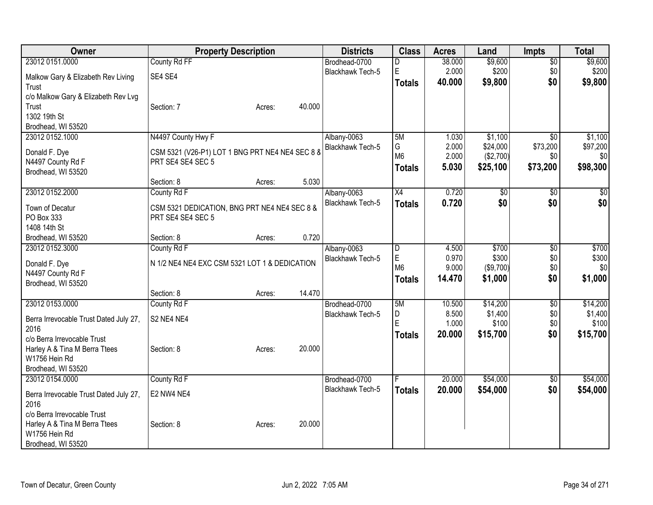| Owner                                  |                                                                   | <b>Property Description</b> |        | <b>Districts</b>        | <b>Class</b>   | <b>Acres</b> | Land             | <b>Impts</b>    | <b>Total</b> |
|----------------------------------------|-------------------------------------------------------------------|-----------------------------|--------|-------------------------|----------------|--------------|------------------|-----------------|--------------|
| 23012 0151.0000                        | County Rd FF                                                      |                             |        | Brodhead-0700           | D              | 38.000       | \$9,600          | $\overline{50}$ | \$9,600      |
| Malkow Gary & Elizabeth Rev Living     | SE4 SE4                                                           |                             |        | <b>Blackhawk Tech-5</b> | $\mathsf E$    | 2.000        | \$200            | \$0             | \$200        |
| Trust                                  |                                                                   |                             |        |                         | Totals         | 40.000       | \$9,800          | \$0             | \$9,800      |
| c/o Malkow Gary & Elizabeth Rev Lvg    |                                                                   |                             |        |                         |                |              |                  |                 |              |
| Trust                                  | Section: 7                                                        | Acres:                      | 40.000 |                         |                |              |                  |                 |              |
| 1302 19th St                           |                                                                   |                             |        |                         |                |              |                  |                 |              |
| Brodhead, WI 53520                     |                                                                   |                             |        |                         |                |              |                  |                 |              |
| 23012 0152.1000                        | N4497 County Hwy F                                                |                             |        | Albany-0063             | 5M             | 1.030        | \$1,100          | $\overline{50}$ | \$1,100      |
| Donald F. Dye                          | CSM 5321 (V26-P1) LOT 1 BNG PRT NE4 NE4 SEC 8 8                   |                             |        | Blackhawk Tech-5        | G              | 2.000        | \$24,000         | \$73,200        | \$97,200     |
| N4497 County Rd F                      | PRT SE4 SE4 SEC 5                                                 |                             |        |                         | M <sub>6</sub> | 2.000        | (\$2,700)        | \$0             | \$0          |
| Brodhead, WI 53520                     |                                                                   |                             |        |                         | <b>Totals</b>  | 5.030        | \$25,100         | \$73,200        | \$98,300     |
|                                        | Section: 8                                                        | Acres:                      | 5.030  |                         |                |              |                  |                 |              |
| 23012 0152.2000                        | County Rd F                                                       |                             |        | Albany-0063             | X4             | 0.720        | \$0              | $\overline{50}$ | \$0          |
|                                        |                                                                   |                             |        | Blackhawk Tech-5        | <b>Totals</b>  | 0.720        | \$0              | \$0             | \$0          |
| Town of Decatur<br>PO Box 333          | CSM 5321 DEDICATION, BNG PRT NE4 NE4 SEC 8 &<br>PRT SE4 SE4 SEC 5 |                             |        |                         |                |              |                  |                 |              |
| 1408 14th St                           |                                                                   |                             |        |                         |                |              |                  |                 |              |
| Brodhead, WI 53520                     | Section: 8                                                        | Acres:                      | 0.720  |                         |                |              |                  |                 |              |
| 23012 0152.3000                        | County Rd F                                                       |                             |        | Albany-0063             | $\overline{D}$ | 4.500        | \$700            | $\overline{50}$ | \$700        |
|                                        |                                                                   |                             |        | Blackhawk Tech-5        | $\mathsf E$    | 0.970        | \$300            | \$0             | \$300        |
| Donald F. Dye                          | N 1/2 NE4 NE4 EXC CSM 5321 LOT 1 & DEDICATION                     |                             |        |                         | M <sub>6</sub> | 9.000        | (\$9,700)        | \$0             | \$0          |
| N4497 County Rd F                      |                                                                   |                             |        |                         | <b>Totals</b>  | 14.470       | \$1,000          | \$0             | \$1,000      |
| Brodhead, WI 53520                     |                                                                   |                             |        |                         |                |              |                  |                 |              |
|                                        | Section: 8                                                        | Acres:                      | 14.470 |                         |                |              |                  |                 |              |
| 23012 0153.0000                        | County Rd F                                                       |                             |        | Brodhead-0700           | 5M             | 10.500       | \$14,200         | \$0             | \$14,200     |
| Berra Irrevocable Trust Dated July 27, | S2 NE4 NE4                                                        |                             |        | <b>Blackhawk Tech-5</b> | D<br>E         | 8.500        | \$1,400<br>\$100 | \$0             | \$1,400      |
| 2016                                   |                                                                   |                             |        |                         |                | 1.000        |                  | \$0             | \$100        |
| c/o Berra Irrevocable Trust            |                                                                   |                             |        |                         | <b>Totals</b>  | 20.000       | \$15,700         | \$0             | \$15,700     |
| Harley A & Tina M Berra Ttees          | Section: 8                                                        | Acres:                      | 20.000 |                         |                |              |                  |                 |              |
| W1756 Hein Rd                          |                                                                   |                             |        |                         |                |              |                  |                 |              |
| Brodhead, WI 53520                     |                                                                   |                             |        |                         |                |              |                  |                 |              |
| 23012 0154.0000                        | County Rd F                                                       |                             |        | Brodhead-0700           |                | 20.000       | \$54,000         | \$0             | \$54,000     |
| Berra Irrevocable Trust Dated July 27, | E2 NW4 NE4                                                        |                             |        | <b>Blackhawk Tech-5</b> | <b>Totals</b>  | 20.000       | \$54,000         | \$0             | \$54,000     |
| 2016                                   |                                                                   |                             |        |                         |                |              |                  |                 |              |
| c/o Berra Irrevocable Trust            |                                                                   |                             |        |                         |                |              |                  |                 |              |
| Harley A & Tina M Berra Ttees          | Section: 8                                                        | Acres:                      | 20.000 |                         |                |              |                  |                 |              |
| W1756 Hein Rd                          |                                                                   |                             |        |                         |                |              |                  |                 |              |
| Brodhead, WI 53520                     |                                                                   |                             |        |                         |                |              |                  |                 |              |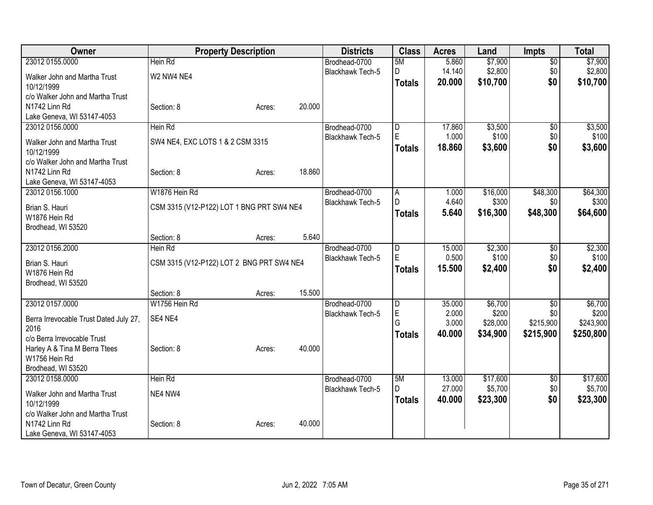| Owner                                       |                                           | <b>Property Description</b> |        | <b>Districts</b>                         | <b>Class</b>                 | <b>Acres</b>    | Land             | <b>Impts</b>    | <b>Total</b>     |
|---------------------------------------------|-------------------------------------------|-----------------------------|--------|------------------------------------------|------------------------------|-----------------|------------------|-----------------|------------------|
| 23012 0155.0000                             | Hein Rd                                   |                             |        | Brodhead-0700                            | 5M                           | 5.860           | \$7,900          | $\overline{50}$ | \$7,900          |
| Walker John and Martha Trust                | W2 NW4 NE4                                |                             |        | <b>Blackhawk Tech-5</b>                  | D                            | 14.140          | \$2,800          | \$0             | \$2,800          |
| 10/12/1999                                  |                                           |                             |        |                                          | <b>Totals</b>                | 20.000          | \$10,700         | \$0             | \$10,700         |
| c/o Walker John and Martha Trust            |                                           |                             |        |                                          |                              |                 |                  |                 |                  |
| N1742 Linn Rd                               | Section: 8                                | Acres:                      | 20.000 |                                          |                              |                 |                  |                 |                  |
| Lake Geneva, WI 53147-4053                  |                                           |                             |        |                                          |                              |                 |                  |                 |                  |
| 23012 0156.0000                             | Hein Rd                                   |                             |        | Brodhead-0700<br><b>Blackhawk Tech-5</b> | $\overline{\mathsf{D}}$<br>E | 17.860<br>1.000 | \$3,500<br>\$100 | \$0<br>\$0      | \$3,500<br>\$100 |
| Walker John and Martha Trust                | SW4 NE4, EXC LOTS 1 & 2 CSM 3315          |                             |        |                                          | <b>Totals</b>                | 18.860          | \$3,600          | \$0             | \$3,600          |
| 10/12/1999                                  |                                           |                             |        |                                          |                              |                 |                  |                 |                  |
| c/o Walker John and Martha Trust            |                                           |                             |        |                                          |                              |                 |                  |                 |                  |
| N1742 Linn Rd<br>Lake Geneva, WI 53147-4053 | Section: 8                                | Acres:                      | 18.860 |                                          |                              |                 |                  |                 |                  |
| 23012 0156.1000                             | W1876 Hein Rd                             |                             |        | Brodhead-0700                            | A                            | 1.000           | \$16,000         | \$48,300        | \$64,300         |
|                                             |                                           |                             |        | Blackhawk Tech-5                         | D                            | 4.640           | \$300            | \$0             | \$300            |
| Brian S. Hauri                              | CSM 3315 (V12-P122) LOT 1 BNG PRT SW4 NE4 |                             |        |                                          | <b>Totals</b>                | 5.640           | \$16,300         | \$48,300        | \$64,600         |
| W1876 Hein Rd                               |                                           |                             |        |                                          |                              |                 |                  |                 |                  |
| Brodhead, WI 53520                          | Section: 8                                | Acres:                      | 5.640  |                                          |                              |                 |                  |                 |                  |
| 23012 0156.2000                             | Hein Rd                                   |                             |        | Brodhead-0700                            | D                            | 15.000          | \$2,300          | $\overline{50}$ | \$2,300          |
|                                             |                                           |                             |        | <b>Blackhawk Tech-5</b>                  | E                            | 0.500           | \$100            | \$0             | \$100            |
| Brian S. Hauri                              | CSM 3315 (V12-P122) LOT 2 BNG PRT SW4 NE4 |                             |        |                                          | <b>Totals</b>                | 15.500          | \$2,400          | \$0             | \$2,400          |
| W1876 Hein Rd                               |                                           |                             |        |                                          |                              |                 |                  |                 |                  |
| Brodhead, WI 53520                          | Section: 8                                | Acres:                      | 15.500 |                                          |                              |                 |                  |                 |                  |
| 23012 0157.0000                             | W1756 Hein Rd                             |                             |        | Brodhead-0700                            | $\overline{D}$               | 35.000          | \$6,700          | $\overline{50}$ | \$6,700          |
|                                             |                                           |                             |        | Blackhawk Tech-5                         | $\mathsf E$                  | 2.000           | \$200            | \$0             | \$200            |
| Berra Irrevocable Trust Dated July 27,      | SE4 NE4                                   |                             |        |                                          | G                            | 3.000           | \$28,000         | \$215,900       | \$243,900        |
| 2016<br>c/o Berra Irrevocable Trust         |                                           |                             |        |                                          | <b>Totals</b>                | 40.000          | \$34,900         | \$215,900       | \$250,800        |
| Harley A & Tina M Berra Ttees               | Section: 8                                | Acres:                      | 40.000 |                                          |                              |                 |                  |                 |                  |
| W1756 Hein Rd                               |                                           |                             |        |                                          |                              |                 |                  |                 |                  |
| Brodhead, WI 53520                          |                                           |                             |        |                                          |                              |                 |                  |                 |                  |
| 23012 0158.0000                             | Hein Rd                                   |                             |        | Brodhead-0700                            | 5M                           | 13.000          | \$17,600         | \$0             | \$17,600         |
| Walker John and Martha Trust                | NE4 NW4                                   |                             |        | <b>Blackhawk Tech-5</b>                  | D.                           | 27.000          | \$5,700          | \$0             | \$5,700          |
| 10/12/1999                                  |                                           |                             |        |                                          | <b>Totals</b>                | 40.000          | \$23,300         | \$0             | \$23,300         |
| c/o Walker John and Martha Trust            |                                           |                             |        |                                          |                              |                 |                  |                 |                  |
| N1742 Linn Rd                               | Section: 8                                | Acres:                      | 40.000 |                                          |                              |                 |                  |                 |                  |
| Lake Geneva, WI 53147-4053                  |                                           |                             |        |                                          |                              |                 |                  |                 |                  |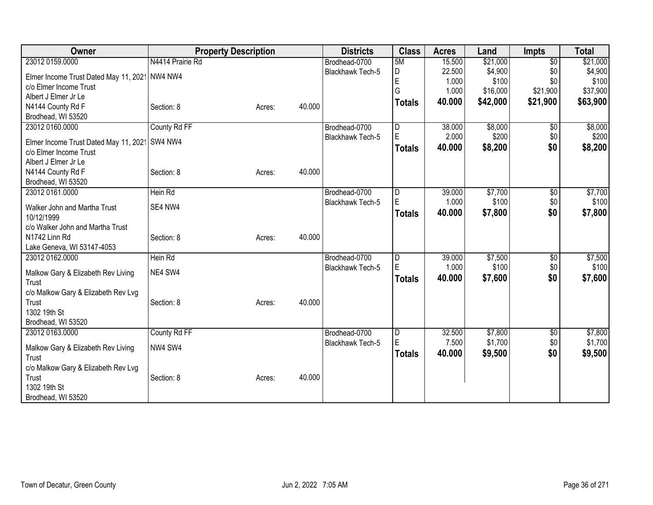| Owner                                          | <b>Property Description</b> |        | <b>Districts</b> | <b>Class</b>            | <b>Acres</b> | Land     | <b>Impts</b>    | <b>Total</b> |
|------------------------------------------------|-----------------------------|--------|------------------|-------------------------|--------------|----------|-----------------|--------------|
| 23012 0159.0000                                | N4414 Prairie Rd            |        | Brodhead-0700    | 5M                      | 15.500       | \$21,000 | $\overline{30}$ | \$21,000     |
| Elmer Income Trust Dated May 11, 2021          | NW4 NW4                     |        | Blackhawk Tech-5 | D                       | 22.500       | \$4,900  | \$0             | \$4,900      |
| c/o Elmer Income Trust                         |                             |        |                  | E                       | 1.000        | \$100    | \$0             | \$100        |
| Albert J Elmer Jr Le                           |                             |        |                  | G                       | 1.000        | \$16,000 | \$21,900        | \$37,900     |
| N4144 County Rd F                              | Section: 8                  | Acres: | 40.000           | <b>Totals</b>           | 40.000       | \$42,000 | \$21,900        | \$63,900     |
| Brodhead, WI 53520                             |                             |        |                  |                         |              |          |                 |              |
| 23012 0160.0000                                | County Rd FF                |        | Brodhead-0700    | D                       | 38.000       | \$8,000  | $\overline{30}$ | \$8,000      |
|                                                |                             |        | Blackhawk Tech-5 | E                       | 2.000        | \$200    | \$0             | \$200        |
| Elmer Income Trust Dated May 11, 2021          | SW4 NW4                     |        |                  | <b>Totals</b>           | 40.000       | \$8,200  | \$0             | \$8,200      |
| c/o Elmer Income Trust<br>Albert J Elmer Jr Le |                             |        |                  |                         |              |          |                 |              |
| N4144 County Rd F                              | Section: 8                  |        | 40.000           |                         |              |          |                 |              |
| Brodhead, WI 53520                             |                             | Acres: |                  |                         |              |          |                 |              |
| 23012 0161.0000                                | Hein Rd                     |        | Brodhead-0700    | D                       | 39.000       | \$7,700  | \$0             | \$7,700      |
|                                                |                             |        | Blackhawk Tech-5 | E                       | 1.000        | \$100    | \$0             | \$100        |
| Walker John and Martha Trust                   | SE4 NW4                     |        |                  | <b>Totals</b>           | 40.000       | \$7,800  | \$0             | \$7,800      |
| 10/12/1999                                     |                             |        |                  |                         |              |          |                 |              |
| c/o Walker John and Martha Trust               |                             |        |                  |                         |              |          |                 |              |
| N1742 Linn Rd                                  | Section: 8                  | Acres: | 40.000           |                         |              |          |                 |              |
| Lake Geneva, WI 53147-4053                     |                             |        |                  |                         |              |          |                 |              |
| 23012 0162.0000                                | Hein Rd                     |        | Brodhead-0700    | $\overline{\mathsf{D}}$ | 39.000       | \$7,500  | \$0             | \$7,500      |
| Malkow Gary & Elizabeth Rev Living             | NE4 SW4                     |        | Blackhawk Tech-5 | E                       | 1.000        | \$100    | \$0             | \$100        |
| Trust                                          |                             |        |                  | <b>Totals</b>           | 40.000       | \$7,600  | \$0             | \$7,600      |
| c/o Malkow Gary & Elizabeth Rev Lvg            |                             |        |                  |                         |              |          |                 |              |
| Trust                                          | Section: 8                  | Acres: | 40.000           |                         |              |          |                 |              |
| 1302 19th St                                   |                             |        |                  |                         |              |          |                 |              |
| Brodhead, WI 53520                             |                             |        |                  |                         |              |          |                 |              |
| 23012 0163.0000                                | County Rd FF                |        | Brodhead-0700    | $\overline{\mathsf{D}}$ | 32.500       | \$7,800  | \$0             | \$7,800      |
| Malkow Gary & Elizabeth Rev Living             | NW4 SW4                     |        | Blackhawk Tech-5 | E                       | 7.500        | \$1,700  | \$0             | \$1,700      |
| Trust                                          |                             |        |                  | Totals                  | 40.000       | \$9,500  | \$0             | \$9,500      |
| c/o Malkow Gary & Elizabeth Rev Lvg            |                             |        |                  |                         |              |          |                 |              |
| Trust                                          | Section: 8                  | Acres: | 40.000           |                         |              |          |                 |              |
| 1302 19th St                                   |                             |        |                  |                         |              |          |                 |              |
| Brodhead, WI 53520                             |                             |        |                  |                         |              |          |                 |              |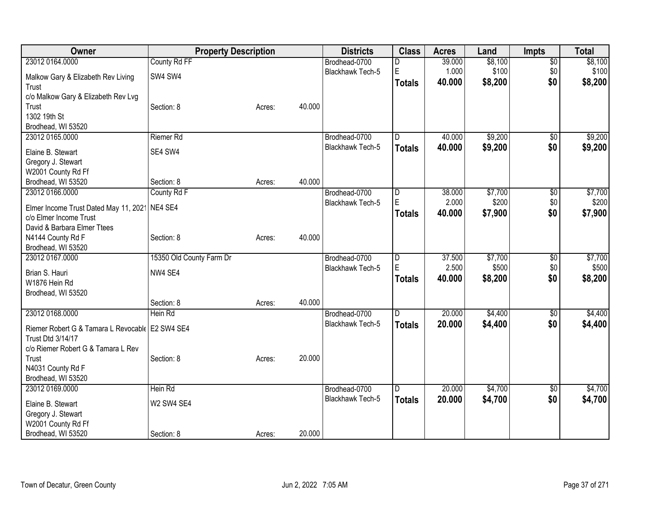| Owner                                           | <b>Property Description</b> |        |        | <b>Districts</b>        | <b>Class</b>            | <b>Acres</b> | Land    | <b>Impts</b>    | <b>Total</b> |
|-------------------------------------------------|-----------------------------|--------|--------|-------------------------|-------------------------|--------------|---------|-----------------|--------------|
| 23012 0164.0000                                 | County Rd FF                |        |        | Brodhead-0700           | D                       | 39.000       | \$8,100 | $\overline{50}$ | \$8,100      |
| Malkow Gary & Elizabeth Rev Living              | SW4 SW4                     |        |        | <b>Blackhawk Tech-5</b> | E                       | 1.000        | \$100   | \$0             | \$100        |
| Trust                                           |                             |        |        |                         | <b>Totals</b>           | 40.000       | \$8,200 | \$0             | \$8,200      |
| c/o Malkow Gary & Elizabeth Rev Lvg             |                             |        |        |                         |                         |              |         |                 |              |
| Trust                                           | Section: 8                  | Acres: | 40.000 |                         |                         |              |         |                 |              |
| 1302 19th St                                    |                             |        |        |                         |                         |              |         |                 |              |
| Brodhead, WI 53520                              |                             |        |        |                         |                         |              |         |                 |              |
| 23012 0165.0000                                 | <b>Riemer Rd</b>            |        |        | Brodhead-0700           | D                       | 40.000       | \$9,200 | $\overline{50}$ | \$9,200      |
|                                                 |                             |        |        | <b>Blackhawk Tech-5</b> | <b>Totals</b>           | 40.000       | \$9,200 | \$0             | \$9,200      |
| Elaine B. Stewart                               | SE4 SW4                     |        |        |                         |                         |              |         |                 |              |
| Gregory J. Stewart                              |                             |        |        |                         |                         |              |         |                 |              |
| W2001 County Rd Ff                              |                             |        |        |                         |                         |              |         |                 |              |
| Brodhead, WI 53520                              | Section: 8                  | Acres: | 40.000 |                         |                         |              |         |                 |              |
| 23012 0166.0000                                 | County Rd F                 |        |        | Brodhead-0700           | $\overline{\mathsf{D}}$ | 38.000       | \$7,700 | $\overline{50}$ | \$7,700      |
| Elmer Income Trust Dated May 11, 2021 NE4 SE4   |                             |        |        | Blackhawk Tech-5        | E                       | 2.000        | \$200   | \$0             | \$200        |
| c/o Elmer Income Trust                          |                             |        |        |                         | <b>Totals</b>           | 40.000       | \$7,900 | \$0             | \$7,900      |
| David & Barbara Elmer Ttees                     |                             |        |        |                         |                         |              |         |                 |              |
| N4144 County Rd F                               | Section: 8                  | Acres: | 40.000 |                         |                         |              |         |                 |              |
| Brodhead, WI 53520                              |                             |        |        |                         |                         |              |         |                 |              |
| 23012 0167.0000                                 | 15350 Old County Farm Dr    |        |        | Brodhead-0700           | D                       | 37.500       | \$7,700 | $\overline{50}$ | \$7,700      |
|                                                 |                             |        |        | Blackhawk Tech-5        | E                       | 2.500        | \$500   | \$0             | \$500        |
| Brian S. Hauri                                  | NW4 SE4                     |        |        |                         |                         | 40.000       | \$8,200 | \$0             | \$8,200      |
| W1876 Hein Rd                                   |                             |        |        |                         | <b>Totals</b>           |              |         |                 |              |
| Brodhead, WI 53520                              |                             |        |        |                         |                         |              |         |                 |              |
|                                                 | Section: 8                  | Acres: | 40.000 |                         |                         |              |         |                 |              |
| 23012 0168.0000                                 | Hein Rd                     |        |        | Brodhead-0700           | D                       | 20.000       | \$4,400 | $\overline{50}$ | \$4,400      |
|                                                 |                             |        |        | Blackhawk Tech-5        | <b>Totals</b>           | 20.000       | \$4,400 | \$0             | \$4,400      |
| Riemer Robert G & Tamara L Revocable E2 SW4 SE4 |                             |        |        |                         |                         |              |         |                 |              |
| Trust Dtd 3/14/17                               |                             |        |        |                         |                         |              |         |                 |              |
| c/o Riemer Robert G & Tamara L Rev              |                             |        |        |                         |                         |              |         |                 |              |
| Trust                                           | Section: 8                  | Acres: | 20.000 |                         |                         |              |         |                 |              |
| N4031 County Rd F                               |                             |        |        |                         |                         |              |         |                 |              |
| Brodhead, WI 53520                              |                             |        |        |                         |                         |              |         |                 |              |
| 23012 0169.0000                                 | Hein Rd                     |        |        | Brodhead-0700           | D                       | 20.000       | \$4,700 | \$0             | \$4,700      |
| Elaine B. Stewart                               | W2 SW4 SE4                  |        |        | Blackhawk Tech-5        | <b>Totals</b>           | 20.000       | \$4,700 | \$0             | \$4,700      |
| Gregory J. Stewart                              |                             |        |        |                         |                         |              |         |                 |              |
| W2001 County Rd Ff                              |                             |        |        |                         |                         |              |         |                 |              |
| Brodhead, WI 53520                              | Section: 8                  | Acres: | 20.000 |                         |                         |              |         |                 |              |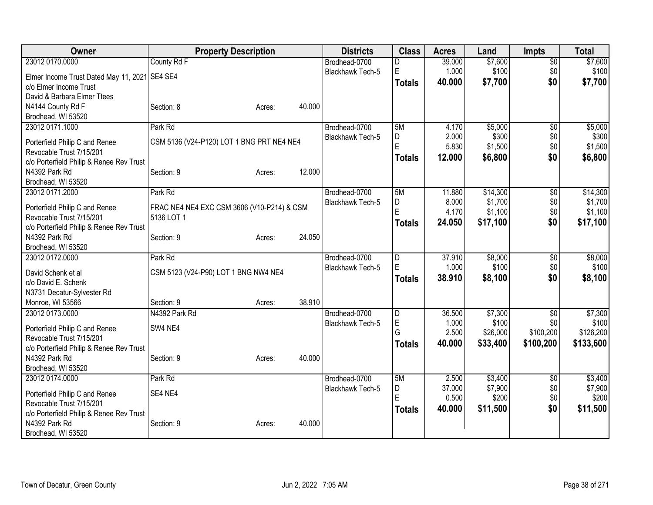| Owner                                                     | <b>Property Description</b>                |        |        | <b>Districts</b>                  | <b>Class</b>        | <b>Acres</b>    | Land     | <b>Impts</b>           | <b>Total</b>     |
|-----------------------------------------------------------|--------------------------------------------|--------|--------|-----------------------------------|---------------------|-----------------|----------|------------------------|------------------|
| 23012 0170.0000                                           | County Rd F                                |        |        | Brodhead-0700                     | D                   | 39.000          | \$7,600  | $\sqrt{$0}$            | \$7,600          |
| Elmer Income Trust Dated May 11, 2021                     | SE4 SE4                                    |        |        | Blackhawk Tech-5                  | E                   | 1.000           | \$100    | \$0                    | \$100            |
| c/o Elmer Income Trust                                    |                                            |        |        |                                   | <b>Totals</b>       | 40.000          | \$7,700  | \$0                    | \$7,700          |
| David & Barbara Elmer Ttees                               |                                            |        |        |                                   |                     |                 |          |                        |                  |
| N4144 County Rd F                                         | Section: 8                                 | Acres: | 40.000 |                                   |                     |                 |          |                        |                  |
| Brodhead, WI 53520                                        |                                            |        |        |                                   |                     |                 |          |                        |                  |
| 23012 0171.1000                                           | Park Rd                                    |        |        | Brodhead-0700                     | 5M                  | 4.170           | \$5,000  | $\overline{50}$        | \$5,000          |
| Porterfield Philip C and Renee                            | CSM 5136 (V24-P120) LOT 1 BNG PRT NE4 NE4  |        |        | Blackhawk Tech-5                  | D                   | 2.000           | \$300    | \$0                    | \$300            |
| Revocable Trust 7/15/201                                  |                                            |        |        |                                   | E                   | 5.830           | \$1,500  | \$0                    | \$1,500          |
| c/o Porterfield Philip & Renee Rev Trust                  |                                            |        |        |                                   | <b>Totals</b>       | 12.000          | \$6,800  | \$0                    | \$6,800          |
| N4392 Park Rd                                             | Section: 9                                 | Acres: | 12.000 |                                   |                     |                 |          |                        |                  |
| Brodhead, WI 53520                                        |                                            |        |        |                                   |                     |                 |          |                        |                  |
| 23012 0171.2000                                           | Park Rd                                    |        |        | Brodhead-0700                     | 5M                  | 11.880          | \$14,300 | $\sqrt{6}$             | \$14,300         |
|                                                           |                                            |        |        | Blackhawk Tech-5                  | D                   | 8.000           | \$1,700  | \$0                    | \$1,700          |
| Porterfield Philip C and Renee                            | FRAC NE4 NE4 EXC CSM 3606 (V10-P214) & CSM |        |        |                                   | E                   | 4.170           | \$1,100  | \$0                    | \$1,100          |
| Revocable Trust 7/15/201                                  | 5136 LOT 1                                 |        |        |                                   | <b>Totals</b>       | 24.050          | \$17,100 | \$0                    | \$17,100         |
| c/o Porterfield Philip & Renee Rev Trust<br>N4392 Park Rd | Section: 9                                 | Acres: | 24.050 |                                   |                     |                 |          |                        |                  |
| Brodhead, WI 53520                                        |                                            |        |        |                                   |                     |                 |          |                        |                  |
| 23012 0172.0000                                           | Park Rd                                    |        |        | Brodhead-0700                     | D                   | 37.910          | \$8,000  | \$0                    | \$8,000          |
|                                                           |                                            |        |        | Blackhawk Tech-5                  | E                   | 1.000           | \$100    | \$0                    | \$100            |
| David Schenk et al                                        | CSM 5123 (V24-P90) LOT 1 BNG NW4 NE4       |        |        |                                   | <b>Totals</b>       | 38.910          | \$8,100  | \$0                    | \$8,100          |
| c/o David E. Schenk                                       |                                            |        |        |                                   |                     |                 |          |                        |                  |
| N3731 Decatur-Sylvester Rd                                |                                            |        | 38.910 |                                   |                     |                 |          |                        |                  |
| Monroe, WI 53566                                          | Section: 9<br>N4392 Park Rd                | Acres: |        |                                   |                     |                 | \$7,300  |                        |                  |
| 23012 0173.0000                                           |                                            |        |        | Brodhead-0700<br>Blackhawk Tech-5 | $\overline{D}$<br>E | 36.500<br>1.000 | \$100    | $\overline{50}$<br>\$0 | \$7,300<br>\$100 |
| Porterfield Philip C and Renee                            | SW4 NE4                                    |        |        |                                   | G                   | 2.500           | \$26,000 | \$100,200              | \$126,200        |
| Revocable Trust 7/15/201                                  |                                            |        |        |                                   | <b>Totals</b>       | 40.000          | \$33,400 | \$100,200              | \$133,600        |
| c/o Porterfield Philip & Renee Rev Trust                  |                                            |        |        |                                   |                     |                 |          |                        |                  |
| N4392 Park Rd                                             | Section: 9                                 | Acres: | 40.000 |                                   |                     |                 |          |                        |                  |
| Brodhead, WI 53520                                        |                                            |        |        |                                   |                     |                 |          |                        |                  |
| 23012 0174.0000                                           | Park Rd                                    |        |        | Brodhead-0700                     | 5M                  | 2.500           | \$3,400  | $\overline{50}$        | \$3,400          |
| Porterfield Philip C and Renee                            | SE4 NE4                                    |        |        | Blackhawk Tech-5                  | D<br>E              | 37.000          | \$7,900  | \$0                    | \$7,900          |
| Revocable Trust 7/15/201                                  |                                            |        |        |                                   |                     | 0.500           | \$200    | \$0                    | \$200            |
| c/o Porterfield Philip & Renee Rev Trust                  |                                            |        |        |                                   | <b>Totals</b>       | 40.000          | \$11,500 | \$0                    | \$11,500         |
| N4392 Park Rd                                             | Section: 9                                 | Acres: | 40.000 |                                   |                     |                 |          |                        |                  |
| Brodhead, WI 53520                                        |                                            |        |        |                                   |                     |                 |          |                        |                  |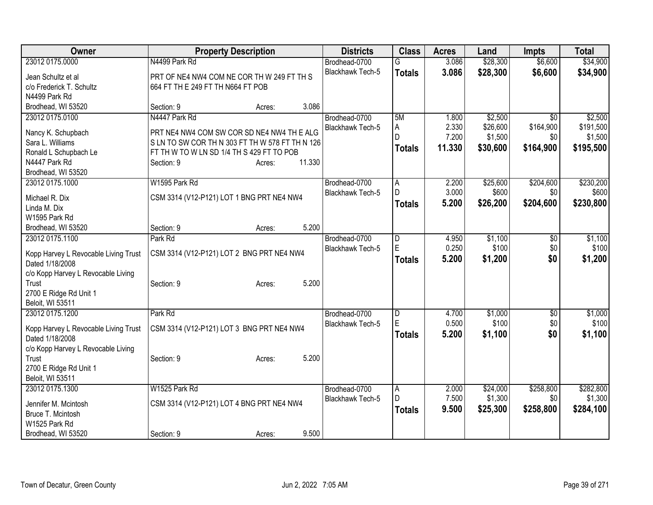| Owner                                                   |                                                | <b>Property Description</b> |        | <b>Districts</b>        | <b>Class</b>   | <b>Acres</b> | Land     | <b>Impts</b>    | <b>Total</b> |
|---------------------------------------------------------|------------------------------------------------|-----------------------------|--------|-------------------------|----------------|--------------|----------|-----------------|--------------|
| 23012 0175.0000                                         | N4499 Park Rd                                  |                             |        | Brodhead-0700           | G              | 3.086        | \$28,300 | \$6,600         | \$34,900     |
| Jean Schultz et al                                      | PRT OF NE4 NW4 COM NE COR TH W 249 FT TH S     |                             |        | Blackhawk Tech-5        | <b>Totals</b>  | 3.086        | \$28,300 | \$6,600         | \$34,900     |
| c/o Frederick T. Schultz                                | 664 FT TH E 249 FT TH N664 FT POB              |                             |        |                         |                |              |          |                 |              |
| N4499 Park Rd                                           |                                                |                             |        |                         |                |              |          |                 |              |
| Brodhead, WI 53520                                      | Section: 9                                     | Acres:                      | 3.086  |                         |                |              |          |                 |              |
| 23012 0175.0100                                         | N4447 Park Rd                                  |                             |        | Brodhead-0700           | 5M             | 1.800        | \$2,500  | $\overline{50}$ | \$2,500      |
| Nancy K. Schupbach                                      | PRT NE4 NW4 COM SW COR SD NE4 NW4 TH E ALG     |                             |        | Blackhawk Tech-5        | A              | 2.330        | \$26,600 | \$164,900       | \$191,500    |
| Sara L. Williams                                        | SLN TO SW COR TH N 303 FT TH W 578 FT TH N 126 |                             |        |                         | $\mathsf{D}$   | 7.200        | \$1,500  | \$0             | \$1,500      |
| Ronald L Schupbach Le                                   | FT TH W TO W LN SD 1/4 TH S 429 FT TO POB      |                             |        |                         | <b>Totals</b>  | 11.330       | \$30,600 | \$164,900       | \$195,500    |
| N4447 Park Rd                                           | Section: 9                                     | Acres:                      | 11.330 |                         |                |              |          |                 |              |
| Brodhead, WI 53520                                      |                                                |                             |        |                         |                |              |          |                 |              |
| 23012 0175.1000                                         | W1595 Park Rd                                  |                             |        | Brodhead-0700           | A              | 2.200        | \$25,600 | \$204,600       | \$230,200    |
| Michael R. Dix                                          | CSM 3314 (V12-P121) LOT 1 BNG PRT NE4 NW4      |                             |        | Blackhawk Tech-5        | D              | 3.000        | \$600    | \$0             | \$600        |
| Linda M. Dix                                            |                                                |                             |        |                         | <b>Totals</b>  | 5.200        | \$26,200 | \$204,600       | \$230,800    |
| W1595 Park Rd                                           |                                                |                             |        |                         |                |              |          |                 |              |
| Brodhead, WI 53520                                      | Section: 9                                     | Acres:                      | 5.200  |                         |                |              |          |                 |              |
| 23012 0175.1100                                         | Park Rd                                        |                             |        | Brodhead-0700           | D              | 4.950        | \$1,100  | $\overline{50}$ | \$1,100      |
|                                                         |                                                |                             |        | <b>Blackhawk Tech-5</b> | E              | 0.250        | \$100    | \$0             | \$100        |
| Kopp Harvey L Revocable Living Trust<br>Dated 1/18/2008 | CSM 3314 (V12-P121) LOT 2 BNG PRT NE4 NW4      |                             |        |                         | <b>Totals</b>  | 5.200        | \$1,200  | \$0             | \$1,200      |
| c/o Kopp Harvey L Revocable Living                      |                                                |                             |        |                         |                |              |          |                 |              |
| Trust                                                   | Section: 9                                     | Acres:                      | 5.200  |                         |                |              |          |                 |              |
| 2700 E Ridge Rd Unit 1                                  |                                                |                             |        |                         |                |              |          |                 |              |
| Beloit, WI 53511                                        |                                                |                             |        |                         |                |              |          |                 |              |
| 23012 0175.1200                                         | Park Rd                                        |                             |        | Brodhead-0700           | D              | 4.700        | \$1,000  | \$0             | \$1,000      |
|                                                         |                                                |                             |        | Blackhawk Tech-5        | E              | 0.500        | \$100    | \$0             | \$100        |
| Kopp Harvey L Revocable Living Trust<br>Dated 1/18/2008 | CSM 3314 (V12-P121) LOT 3 BNG PRT NE4 NW4      |                             |        |                         | <b>Totals</b>  | 5.200        | \$1,100  | \$0             | \$1,100      |
| c/o Kopp Harvey L Revocable Living                      |                                                |                             |        |                         |                |              |          |                 |              |
| Trust                                                   | Section: 9                                     | Acres:                      | 5.200  |                         |                |              |          |                 |              |
| 2700 E Ridge Rd Unit 1                                  |                                                |                             |        |                         |                |              |          |                 |              |
| Beloit, WI 53511                                        |                                                |                             |        |                         |                |              |          |                 |              |
| 23012 0175.1300                                         | W1525 Park Rd                                  |                             |        | Brodhead-0700           | $\overline{A}$ | 2.000        | \$24,000 | \$258,800       | \$282,800    |
| Jennifer M. Mcintosh                                    | CSM 3314 (V12-P121) LOT 4 BNG PRT NE4 NW4      |                             |        | Blackhawk Tech-5        | D              | 7.500        | \$1,300  | \$0             | \$1,300      |
| Bruce T. Mcintosh                                       |                                                |                             |        |                         | <b>Totals</b>  | 9.500        | \$25,300 | \$258,800       | \$284,100    |
| W1525 Park Rd                                           |                                                |                             |        |                         |                |              |          |                 |              |
| Brodhead, WI 53520                                      | Section: 9                                     | Acres:                      | 9.500  |                         |                |              |          |                 |              |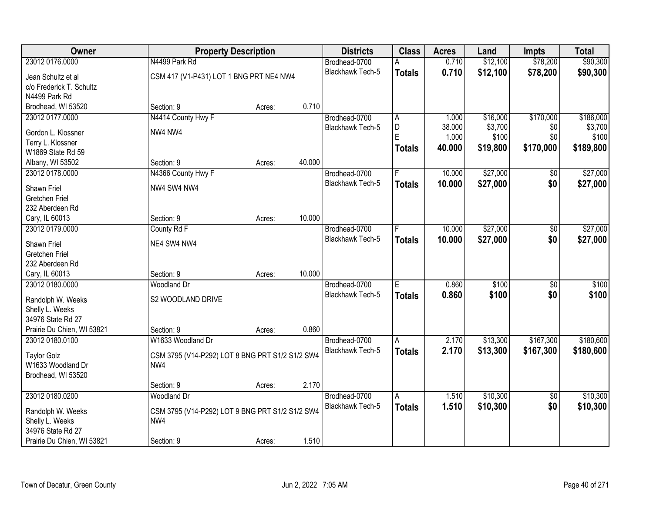| \$90,300<br>23012 0176.0000<br>N4499 Park Rd<br>\$12,100<br>\$78,200<br>Brodhead-0700<br>0.710<br>А<br>Blackhawk Tech-5<br>0.710<br>\$12,100<br>\$78,200<br>\$90,300<br><b>Totals</b><br>CSM 417 (V1-P431) LOT 1 BNG PRT NE4 NW4<br>Jean Schultz et al<br>c/o Frederick T. Schultz<br>N4499 Park Rd |
|-----------------------------------------------------------------------------------------------------------------------------------------------------------------------------------------------------------------------------------------------------------------------------------------------------|
|                                                                                                                                                                                                                                                                                                     |
|                                                                                                                                                                                                                                                                                                     |
|                                                                                                                                                                                                                                                                                                     |
|                                                                                                                                                                                                                                                                                                     |
| 0.710<br>Brodhead, WI 53520<br>Section: 9<br>Acres:                                                                                                                                                                                                                                                 |
| N4414 County Hwy F<br>\$170,000<br>\$186,000<br>23012 0177.0000<br>Brodhead-0700<br>\$16,000<br>Α<br>1.000                                                                                                                                                                                          |
| D<br>38.000<br>\$3,700<br>\$0<br>\$3,700<br><b>Blackhawk Tech-5</b>                                                                                                                                                                                                                                 |
| NW4 NW4<br>Gordon L. Klossner<br>E<br>1.000<br>\$100<br>\$0<br>\$100                                                                                                                                                                                                                                |
| Terry L. Klossner<br>40.000<br>\$19,800<br>\$170,000<br>\$189,800<br><b>Totals</b>                                                                                                                                                                                                                  |
| W1869 State Rd 59<br>40.000<br>Section: 9                                                                                                                                                                                                                                                           |
| Albany, WI 53502<br>Acres:<br>\$27,000<br>23012 0178.0000<br>10.000                                                                                                                                                                                                                                 |
| \$27,000<br>N4366 County Hwy F<br>\$0<br>Brodhead-0700<br>Blackhawk Tech-5                                                                                                                                                                                                                          |
| \$27,000<br>\$0<br>10.000<br>\$27,000<br><b>Totals</b><br>NW4 SW4 NW4<br>Shawn Friel                                                                                                                                                                                                                |
| Gretchen Friel                                                                                                                                                                                                                                                                                      |
| 232 Aberdeen Rd                                                                                                                                                                                                                                                                                     |
| 10.000<br>Cary, IL 60013<br>Section: 9<br>Acres:                                                                                                                                                                                                                                                    |
| \$27,000<br>\$27,000<br>23012 0179.0000<br>County Rd F<br>Brodhead-0700<br>10.000<br>\$0<br>F                                                                                                                                                                                                       |
| \$0<br><b>Blackhawk Tech-5</b><br>10.000<br>\$27,000<br>\$27,000<br><b>Totals</b><br>NE4 SW4 NW4<br>Shawn Friel                                                                                                                                                                                     |
| <b>Gretchen Friel</b>                                                                                                                                                                                                                                                                               |
| 232 Aberdeen Rd                                                                                                                                                                                                                                                                                     |
| 10.000<br>Cary, IL 60013<br>Section: 9<br>Acres:                                                                                                                                                                                                                                                    |
| 23012 0180.0000<br>\$100<br>\$100<br>Ē<br>0.860<br>$\overline{50}$<br><b>Woodland Dr</b><br>Brodhead-0700                                                                                                                                                                                           |
| Blackhawk Tech-5<br>0.860<br>\$100<br>\$0<br>\$100<br><b>Totals</b>                                                                                                                                                                                                                                 |
| S2 WOODLAND DRIVE<br>Randolph W. Weeks                                                                                                                                                                                                                                                              |
| Shelly L. Weeks                                                                                                                                                                                                                                                                                     |
| 34976 State Rd 27                                                                                                                                                                                                                                                                                   |
| Prairie Du Chien, WI 53821<br>Section: 9<br>0.860<br>Acres:                                                                                                                                                                                                                                         |
| \$167,300<br>\$180,600<br>23012 0180.0100<br>W1633 Woodland Dr<br>Brodhead-0700<br>2.170<br>\$13,300<br>A                                                                                                                                                                                           |
| Blackhawk Tech-5<br>2.170<br>\$13,300<br>\$167,300<br>\$180,600<br><b>Totals</b><br>CSM 3795 (V14-P292) LOT 8 BNG PRT S1/2 S1/2 SW4<br><b>Taylor Golz</b>                                                                                                                                           |
| W1633 Woodland Dr<br>NW4                                                                                                                                                                                                                                                                            |
| Brodhead, WI 53520                                                                                                                                                                                                                                                                                  |
| 2.170<br>Section: 9<br>Acres:                                                                                                                                                                                                                                                                       |
| 23012 0180.0200<br>\$10,300<br>\$10,300<br><b>Woodland Dr</b><br>Brodhead-0700<br>1.510<br>$\overline{50}$<br>A                                                                                                                                                                                     |
| 1.510<br>\$0<br>Blackhawk Tech-5<br>\$10,300<br>\$10,300<br><b>Totals</b><br>CSM 3795 (V14-P292) LOT 9 BNG PRT S1/2 S1/2 SW4<br>Randolph W. Weeks                                                                                                                                                   |
| Shelly L. Weeks<br>NW4                                                                                                                                                                                                                                                                              |
| 34976 State Rd 27                                                                                                                                                                                                                                                                                   |
| 1.510<br>Prairie Du Chien, WI 53821<br>Section: 9<br>Acres:                                                                                                                                                                                                                                         |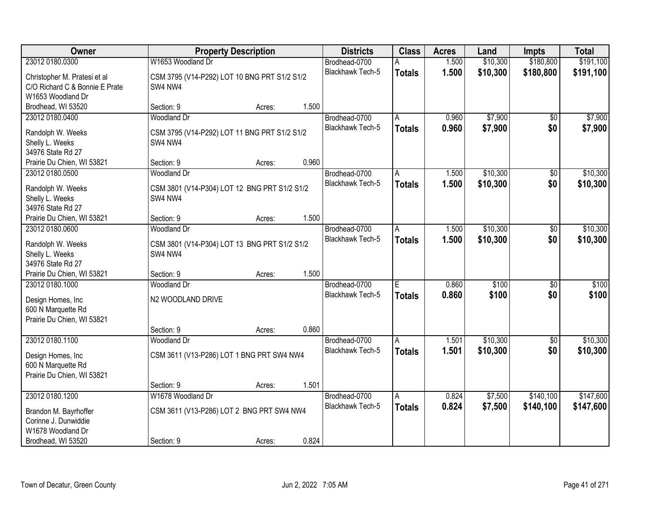| <b>Owner</b>                                                                             |                                                         | <b>Districts</b><br><b>Property Description</b> |       |                                   |                         | <b>Acres</b>   | Land           | Impts                  | <b>Total</b>   |
|------------------------------------------------------------------------------------------|---------------------------------------------------------|-------------------------------------------------|-------|-----------------------------------|-------------------------|----------------|----------------|------------------------|----------------|
| 23012 0180.0300                                                                          | W1653 Woodland Dr                                       |                                                 |       | Brodhead-0700                     | А                       | 1.500          | \$10,300       | \$180,800              | \$191,100      |
| Christopher M. Pratesi et al<br>C/O Richard C & Bonnie E Prate<br>W1653 Woodland Dr      | CSM 3795 (V14-P292) LOT 10 BNG PRT S1/2 S1/2<br>SW4 NW4 |                                                 |       | <b>Blackhawk Tech-5</b>           | <b>Totals</b>           | 1.500          | \$10,300       | \$180,800              | \$191,100      |
| Brodhead, WI 53520                                                                       | Section: 9                                              | Acres:                                          | 1.500 |                                   |                         |                |                |                        |                |
| 23012 0180.0400                                                                          | <b>Woodland Dr</b>                                      |                                                 |       | Brodhead-0700                     | A                       | 0.960          | \$7,900        | \$0                    | \$7,900        |
| Randolph W. Weeks<br>Shelly L. Weeks<br>34976 State Rd 27                                | CSM 3795 (V14-P292) LOT 11 BNG PRT S1/2 S1/2<br>SW4 NW4 |                                                 |       | <b>Blackhawk Tech-5</b>           | <b>Totals</b>           | 0.960          | \$7,900        | \$0                    | \$7,900        |
| Prairie Du Chien, WI 53821                                                               | Section: 9                                              | Acres:                                          | 0.960 |                                   |                         |                |                |                        |                |
| 23012 0180.0500                                                                          | <b>Woodland Dr</b>                                      |                                                 |       | Brodhead-0700                     | A                       | 1.500          | \$10,300       | $\overline{50}$        | \$10,300       |
| Randolph W. Weeks<br>Shelly L. Weeks<br>34976 State Rd 27                                | CSM 3801 (V14-P304) LOT 12 BNG PRT S1/2 S1/2<br>SW4 NW4 |                                                 |       | Blackhawk Tech-5                  | <b>Totals</b>           | 1.500          | \$10,300       | \$0                    | \$10,300       |
| Prairie Du Chien, WI 53821                                                               | Section: 9                                              | Acres:                                          | 1.500 |                                   |                         |                |                |                        |                |
| 23012 0180.0600                                                                          | Woodland Dr                                             |                                                 |       | Brodhead-0700                     | A                       | 1.500          | \$10,300       | $\overline{50}$        | \$10,300       |
| Randolph W. Weeks<br>Shelly L. Weeks<br>34976 State Rd 27                                | CSM 3801 (V14-P304) LOT 13 BNG PRT S1/2 S1/2<br>SW4 NW4 |                                                 |       | Blackhawk Tech-5                  | <b>Totals</b>           | 1.500          | \$10,300       | \$0                    | \$10,300       |
| Prairie Du Chien, WI 53821                                                               | Section: 9                                              | Acres:                                          | 1.500 |                                   |                         |                |                |                        |                |
| 23012 0180.1000<br>Design Homes, Inc<br>600 N Marquette Rd<br>Prairie Du Chien, WI 53821 | <b>Woodland Dr</b><br>N2 WOODLAND DRIVE                 |                                                 |       | Brodhead-0700<br>Blackhawk Tech-5 | E<br><b>Totals</b>      | 0.860<br>0.860 | \$100<br>\$100 | $\overline{50}$<br>\$0 | \$100<br>\$100 |
|                                                                                          | Section: 9                                              | Acres:                                          | 0.860 |                                   |                         |                |                |                        |                |
| 23012 0180.1100                                                                          | <b>Woodland Dr</b>                                      |                                                 |       | Brodhead-0700                     | A                       | 1.501          | \$10,300       | $\sqrt{6}$             | \$10,300       |
| Design Homes, Inc<br>600 N Marquette Rd<br>Prairie Du Chien, WI 53821                    | CSM 3611 (V13-P286) LOT 1 BNG PRT SW4 NW4               |                                                 |       | <b>Blackhawk Tech-5</b>           | <b>Totals</b>           | 1.501          | \$10,300       | \$0                    | \$10,300       |
|                                                                                          | Section: 9                                              | Acres:                                          | 1.501 |                                   |                         |                |                |                        |                |
| 23012 0180.1200                                                                          | W1678 Woodland Dr                                       |                                                 |       | Brodhead-0700                     | $\overline{\mathsf{A}}$ | 0.824          | \$7,500        | \$140,100              | \$147,600      |
| Brandon M. Bayrhoffer<br>Corinne J. Dunwiddie<br>W1678 Woodland Dr                       | CSM 3611 (V13-P286) LOT 2 BNG PRT SW4 NW4               |                                                 |       | <b>Blackhawk Tech-5</b>           | <b>Totals</b>           | 0.824          | \$7,500        | \$140,100              | \$147,600      |
| Brodhead, WI 53520                                                                       | Section: 9                                              | Acres:                                          | 0.824 |                                   |                         |                |                |                        |                |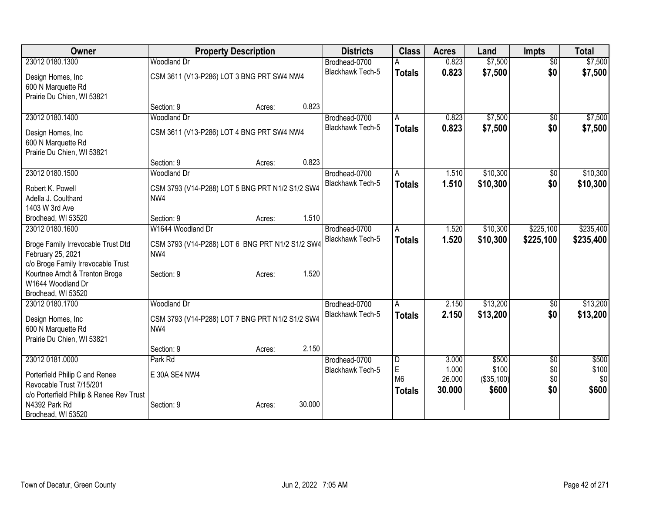|                                                                                                                                     |                |                        | <b>Total</b>   |
|-------------------------------------------------------------------------------------------------------------------------------------|----------------|------------------------|----------------|
| 23012 0180.1300<br>Woodland Dr<br>Brodhead-0700<br>0.823                                                                            | \$7,500        | $\overline{50}$        | \$7,500        |
| 0.823<br>Blackhawk Tech-5<br><b>Totals</b><br>CSM 3611 (V13-P286) LOT 3 BNG PRT SW4 NW4<br>Design Homes, Inc                        | \$7,500        | \$0                    | \$7,500        |
| 600 N Marquette Rd                                                                                                                  |                |                        |                |
| Prairie Du Chien, WI 53821                                                                                                          |                |                        |                |
| 0.823<br>Section: 9<br>Acres:                                                                                                       |                |                        |                |
| 23012 0180.1400<br>0.823<br>Woodland Dr<br>Brodhead-0700<br>A                                                                       | \$7,500        | $\overline{50}$        | \$7,500        |
| 0.823<br><b>Blackhawk Tech-5</b><br><b>Totals</b><br>CSM 3611 (V13-P286) LOT 4 BNG PRT SW4 NW4<br>Design Homes, Inc                 | \$7,500        | \$0                    | \$7,500        |
| 600 N Marquette Rd                                                                                                                  |                |                        |                |
| Prairie Du Chien, WI 53821                                                                                                          |                |                        |                |
| 0.823<br>Section: 9<br>Acres:                                                                                                       |                |                        |                |
| 23012 0180.1500<br><b>Woodland Dr</b><br>Brodhead-0700<br>1.510<br>A                                                                | \$10,300       | \$0                    | \$10,300       |
| Blackhawk Tech-5<br>1.510<br><b>Totals</b><br>Robert K. Powell<br>CSM 3793 (V14-P288) LOT 5 BNG PRT N1/2 S1/2 SW4                   | \$10,300       | \$0                    | \$10,300       |
| Adella J. Coulthard<br>NW4                                                                                                          |                |                        |                |
| 1403 W 3rd Ave                                                                                                                      |                |                        |                |
| 1.510<br>Section: 9<br>Brodhead, WI 53520<br>Acres:                                                                                 |                |                        |                |
| 23012 0180.1600<br>W1644 Woodland Dr<br>Brodhead-0700<br>1.520<br>A                                                                 | \$10,300       | \$225,100              | \$235,400      |
| Blackhawk Tech-5<br>1.520<br><b>Totals</b><br>CSM 3793 (V14-P288) LOT 6 BNG PRT N1/2 S1/2 SW4<br>Broge Family Irrevocable Trust Dtd | \$10,300       | \$225,100              | \$235,400      |
| February 25, 2021<br>NW4                                                                                                            |                |                        |                |
| c/o Broge Family Irrevocable Trust                                                                                                  |                |                        |                |
| Kourtnee Arndt & Trenton Broge<br>1.520<br>Section: 9<br>Acres:                                                                     |                |                        |                |
| W1644 Woodland Dr                                                                                                                   |                |                        |                |
| Brodhead, WI 53520<br>23012 0180.1700<br>Woodland Dr<br>2.150<br>Brodhead-0700                                                      | \$13,200       |                        | \$13,200       |
| A<br><b>Blackhawk Tech-5</b><br>2.150                                                                                               | \$13,200       | \$0<br>\$0             | \$13,200       |
| <b>Totals</b><br>CSM 3793 (V14-P288) LOT 7 BNG PRT N1/2 S1/2 SW4<br>Design Homes, Inc                                               |                |                        |                |
| 600 N Marquette Rd<br>NW4                                                                                                           |                |                        |                |
| Prairie Du Chien, WI 53821                                                                                                          |                |                        |                |
| 2.150<br>Section: 9<br>Acres:                                                                                                       |                |                        |                |
| 23012 0181.0000<br>Brodhead-0700<br>$\overline{\mathsf{D}}$<br>3.000<br>Park Rd<br>$\mathsf E$<br>1.000<br>Blackhawk Tech-5         | \$500<br>\$100 | $\overline{60}$<br>\$0 | \$500<br>\$100 |
| E 30A SE4 NW4<br>Porterfield Philip C and Renee<br>M <sub>6</sub><br>26.000                                                         | (\$35,100)     | \$0                    | \$0            |
| Revocable Trust 7/15/201<br>30.000<br><b>Totals</b>                                                                                 | \$600          | \$0                    | \$600          |
| c/o Porterfield Philip & Renee Rev Trust                                                                                            |                |                        |                |
| 30.000<br>N4392 Park Rd<br>Section: 9<br>Acres:<br>Brodhead, WI 53520                                                               |                |                        |                |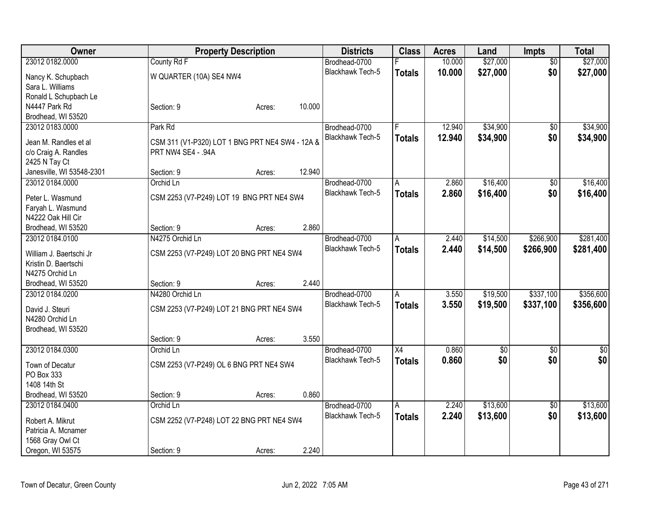| Owner                     |                                                 | <b>Property Description</b> |        | <b>Districts</b>        | <b>Class</b>    | <b>Acres</b> | Land       | <b>Impts</b>    | <b>Total</b>    |
|---------------------------|-------------------------------------------------|-----------------------------|--------|-------------------------|-----------------|--------------|------------|-----------------|-----------------|
| 23012 0182.0000           | County Rd F                                     |                             |        | Brodhead-0700           |                 | 10.000       | \$27,000   | $\overline{50}$ | \$27,000        |
| Nancy K. Schupbach        | W QUARTER (10A) SE4 NW4                         |                             |        | Blackhawk Tech-5        | <b>Totals</b>   | 10.000       | \$27,000   | \$0             | \$27,000        |
| Sara L. Williams          |                                                 |                             |        |                         |                 |              |            |                 |                 |
| Ronald L Schupbach Le     |                                                 |                             |        |                         |                 |              |            |                 |                 |
| N4447 Park Rd             | Section: 9                                      | Acres:                      | 10.000 |                         |                 |              |            |                 |                 |
| Brodhead, WI 53520        |                                                 |                             |        |                         |                 |              |            |                 |                 |
| 23012 0183.0000           | Park Rd                                         |                             |        | Brodhead-0700           | F               | 12.940       | \$34,900   | \$0             | \$34,900        |
| Jean M. Randles et al     | CSM 311 (V1-P320) LOT 1 BNG PRT NE4 SW4 - 12A & |                             |        | Blackhawk Tech-5        | <b>Totals</b>   | 12.940       | \$34,900   | \$0             | \$34,900        |
| c/o Craig A. Randles      | PRT NW4 SE4 - .94A                              |                             |        |                         |                 |              |            |                 |                 |
| 2425 N Tay Ct             |                                                 |                             |        |                         |                 |              |            |                 |                 |
| Janesville, WI 53548-2301 | Section: 9                                      | Acres:                      | 12.940 |                         |                 |              |            |                 |                 |
| 23012 0184.0000           | Orchid Ln                                       |                             |        | Brodhead-0700           | A               | 2.860        | \$16,400   | \$0             | \$16,400        |
|                           |                                                 |                             |        | Blackhawk Tech-5        | <b>Totals</b>   | 2.860        | \$16,400   | \$0             | \$16,400        |
| Peter L. Wasmund          | CSM 2253 (V7-P249) LOT 19 BNG PRT NE4 SW4       |                             |        |                         |                 |              |            |                 |                 |
| Faryah L. Wasmund         |                                                 |                             |        |                         |                 |              |            |                 |                 |
| N4222 Oak Hill Cir        |                                                 |                             |        |                         |                 |              |            |                 |                 |
| Brodhead, WI 53520        | Section: 9                                      | Acres:                      | 2.860  |                         |                 |              |            |                 |                 |
| 23012 0184.0100           | N4275 Orchid Ln                                 |                             |        | Brodhead-0700           | Α               | 2.440        | \$14,500   | \$266,900       | \$281,400       |
| William J. Baertschi Jr   | CSM 2253 (V7-P249) LOT 20 BNG PRT NE4 SW4       |                             |        | <b>Blackhawk Tech-5</b> | <b>Totals</b>   | 2.440        | \$14,500   | \$266,900       | \$281,400       |
| Kristin D. Baertschi      |                                                 |                             |        |                         |                 |              |            |                 |                 |
| N4275 Orchid Ln           |                                                 |                             |        |                         |                 |              |            |                 |                 |
| Brodhead, WI 53520        | Section: 9                                      | Acres:                      | 2.440  |                         |                 |              |            |                 |                 |
| 23012 0184.0200           | N4280 Orchid Ln                                 |                             |        | Brodhead-0700           | A               | 3.550        | \$19,500   | \$337,100       | \$356,600       |
| David J. Steuri           | CSM 2253 (V7-P249) LOT 21 BNG PRT NE4 SW4       |                             |        | Blackhawk Tech-5        | <b>Totals</b>   | 3.550        | \$19,500   | \$337,100       | \$356,600       |
| N4280 Orchid Ln           |                                                 |                             |        |                         |                 |              |            |                 |                 |
| Brodhead, WI 53520        |                                                 |                             |        |                         |                 |              |            |                 |                 |
|                           | Section: 9                                      | Acres:                      | 3.550  |                         |                 |              |            |                 |                 |
| 23012 0184.0300           | Orchid Ln                                       |                             |        | Brodhead-0700           | $\overline{X4}$ | 0.860        | $\sqrt{6}$ | $\overline{50}$ | $\overline{50}$ |
|                           |                                                 |                             |        | <b>Blackhawk Tech-5</b> | <b>Totals</b>   | 0.860        | \$0        | \$0             | \$0             |
| Town of Decatur           | CSM 2253 (V7-P249) OL 6 BNG PRT NE4 SW4         |                             |        |                         |                 |              |            |                 |                 |
| PO Box 333                |                                                 |                             |        |                         |                 |              |            |                 |                 |
| 1408 14th St              |                                                 |                             |        |                         |                 |              |            |                 |                 |
| Brodhead, WI 53520        | Section: 9                                      | Acres:                      | 0.860  |                         |                 |              |            |                 |                 |
| 23012 0184.0400           | Orchid Ln                                       |                             |        | Brodhead-0700           | $\overline{A}$  | 2.240        | \$13,600   | $\overline{50}$ | \$13,600        |
| Robert A. Mikrut          | CSM 2252 (V7-P248) LOT 22 BNG PRT NE4 SW4       |                             |        | <b>Blackhawk Tech-5</b> | <b>Totals</b>   | 2.240        | \$13,600   | \$0             | \$13,600        |
| Patricia A. Mcnamer       |                                                 |                             |        |                         |                 |              |            |                 |                 |
| 1568 Gray Owl Ct          |                                                 |                             |        |                         |                 |              |            |                 |                 |
| Oregon, WI 53575          | Section: 9                                      | Acres:                      | 2.240  |                         |                 |              |            |                 |                 |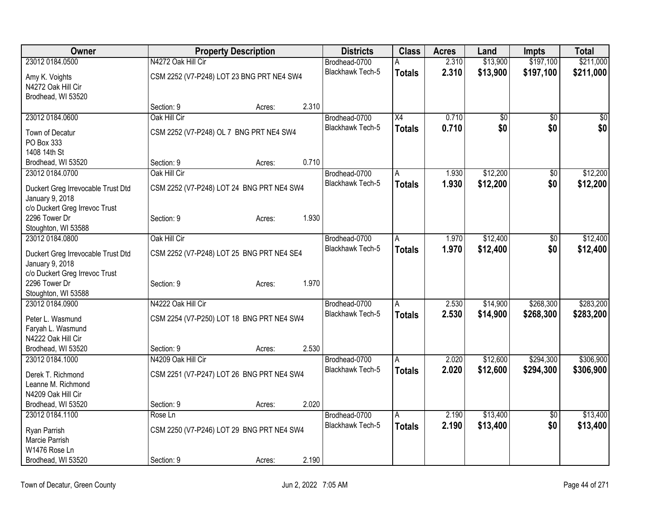| Owner                                   |                    | <b>Property Description</b>               |       | <b>Districts</b>        | <b>Class</b>  | <b>Acres</b> | Land        | Impts           | <b>Total</b>    |
|-----------------------------------------|--------------------|-------------------------------------------|-------|-------------------------|---------------|--------------|-------------|-----------------|-----------------|
| 23012 0184.0500                         | N4272 Oak Hill Cir |                                           |       | Brodhead-0700           |               | 2.310        | \$13,900    | \$197,100       | \$211,000       |
| Amy K. Voights                          |                    | CSM 2252 (V7-P248) LOT 23 BNG PRT NE4 SW4 |       | <b>Blackhawk Tech-5</b> | <b>Totals</b> | 2.310        | \$13,900    | \$197,100       | \$211,000       |
| N4272 Oak Hill Cir                      |                    |                                           |       |                         |               |              |             |                 |                 |
| Brodhead, WI 53520                      |                    |                                           |       |                         |               |              |             |                 |                 |
|                                         | Section: 9         | Acres:                                    | 2.310 |                         |               |              |             |                 |                 |
| 23012 0184.0600                         | Oak Hill Cir       |                                           |       | Brodhead-0700           | X4            | 0.710        | $\sqrt{30}$ | $\overline{50}$ | $\overline{50}$ |
| Town of Decatur                         |                    | CSM 2252 (V7-P248) OL 7 BNG PRT NE4 SW4   |       | Blackhawk Tech-5        | <b>Totals</b> | 0.710        | \$0         | \$0             | \$0             |
| PO Box 333                              |                    |                                           |       |                         |               |              |             |                 |                 |
| 1408 14th St                            |                    |                                           |       |                         |               |              |             |                 |                 |
| Brodhead, WI 53520                      | Section: 9         | Acres:                                    | 0.710 |                         |               |              |             |                 |                 |
| 23012 0184.0700                         | Oak Hill Cir       |                                           |       | Brodhead-0700           | A             | 1.930        | \$12,200    | $\overline{50}$ | \$12,200        |
|                                         |                    |                                           |       | Blackhawk Tech-5        | <b>Totals</b> | 1.930        | \$12,200    | \$0             | \$12,200        |
| Duckert Greg Irrevocable Trust Dtd      |                    | CSM 2252 (V7-P248) LOT 24 BNG PRT NE4 SW4 |       |                         |               |              |             |                 |                 |
| January 9, 2018                         |                    |                                           |       |                         |               |              |             |                 |                 |
| c/o Duckert Greg Irrevoc Trust          |                    |                                           |       |                         |               |              |             |                 |                 |
| 2296 Tower Dr                           | Section: 9         | Acres:                                    | 1.930 |                         |               |              |             |                 |                 |
| Stoughton, WI 53588                     |                    |                                           |       |                         |               |              |             |                 |                 |
| 23012 0184.0800                         | Oak Hill Cir       |                                           |       | Brodhead-0700           | Ā             | 1.970        | \$12,400    | $\overline{50}$ | \$12,400        |
| Duckert Greg Irrevocable Trust Dtd      |                    | CSM 2252 (V7-P248) LOT 25 BNG PRT NE4 SE4 |       | Blackhawk Tech-5        | <b>Totals</b> | 1.970        | \$12,400    | \$0             | \$12,400        |
| January 9, 2018                         |                    |                                           |       |                         |               |              |             |                 |                 |
| c/o Duckert Greg Irrevoc Trust          |                    |                                           |       |                         |               |              |             |                 |                 |
| 2296 Tower Dr                           | Section: 9         | Acres:                                    | 1.970 |                         |               |              |             |                 |                 |
| Stoughton, WI 53588                     |                    |                                           |       |                         |               |              |             |                 |                 |
| 23012 0184.0900                         | N4222 Oak Hill Cir |                                           |       | Brodhead-0700           | A             | 2.530        | \$14,900    | \$268,300       | \$283,200       |
|                                         |                    |                                           |       | Blackhawk Tech-5        | <b>Totals</b> | 2.530        | \$14,900    | \$268,300       | \$283,200       |
| Peter L. Wasmund                        |                    | CSM 2254 (V7-P250) LOT 18 BNG PRT NE4 SW4 |       |                         |               |              |             |                 |                 |
| Faryah L. Wasmund<br>N4222 Oak Hill Cir |                    |                                           |       |                         |               |              |             |                 |                 |
| Brodhead, WI 53520                      | Section: 9         |                                           | 2.530 |                         |               |              |             |                 |                 |
| 23012 0184.1000                         | N4209 Oak Hill Cir | Acres:                                    |       | Brodhead-0700           |               | 2.020        | \$12,600    | \$294,300       | \$306,900       |
|                                         |                    |                                           |       |                         | A             |              |             |                 |                 |
| Derek T. Richmond                       |                    | CSM 2251 (V7-P247) LOT 26 BNG PRT NE4 SW4 |       | Blackhawk Tech-5        | <b>Totals</b> | 2.020        | \$12,600    | \$294,300       | \$306,900       |
| Leanne M. Richmond                      |                    |                                           |       |                         |               |              |             |                 |                 |
| N4209 Oak Hill Cir                      |                    |                                           |       |                         |               |              |             |                 |                 |
| Brodhead, WI 53520                      | Section: 9         | Acres:                                    | 2.020 |                         |               |              |             |                 |                 |
| 23012 0184.1100                         | Rose Ln            |                                           |       | Brodhead-0700           | A             | 2.190        | \$13,400    | $\sqrt{6}$      | \$13,400        |
| Ryan Parrish                            |                    | CSM 2250 (V7-P246) LOT 29 BNG PRT NE4 SW4 |       | <b>Blackhawk Tech-5</b> | <b>Totals</b> | 2.190        | \$13,400    | \$0             | \$13,400        |
| Marcie Parrish                          |                    |                                           |       |                         |               |              |             |                 |                 |
| W1476 Rose Ln                           |                    |                                           |       |                         |               |              |             |                 |                 |
| Brodhead, WI 53520                      | Section: 9         | Acres:                                    | 2.190 |                         |               |              |             |                 |                 |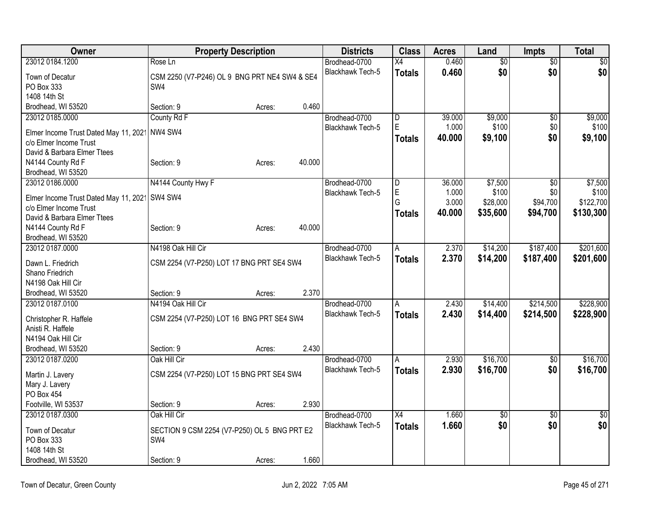| Owner                                 | <b>Property Description</b>                   |        |        | <b>Districts</b>        | <b>Class</b>            | <b>Acres</b> | Land            | <b>Impts</b>    | <b>Total</b>    |
|---------------------------------------|-----------------------------------------------|--------|--------|-------------------------|-------------------------|--------------|-----------------|-----------------|-----------------|
| 23012 0184.1200                       | Rose Ln                                       |        |        | Brodhead-0700           | $\overline{X4}$         | 0.460        | $\overline{50}$ | $\overline{50}$ | $\overline{50}$ |
| Town of Decatur                       | CSM 2250 (V7-P246) OL 9 BNG PRT NE4 SW4 & SE4 |        |        | Blackhawk Tech-5        | <b>Totals</b>           | 0.460        | \$0             | \$0             | \$0             |
| PO Box 333                            | SW <sub>4</sub>                               |        |        |                         |                         |              |                 |                 |                 |
| 1408 14th St                          |                                               |        |        |                         |                         |              |                 |                 |                 |
| Brodhead, WI 53520                    | Section: 9                                    | Acres: | 0.460  |                         |                         |              |                 |                 |                 |
| 23012 0185.0000                       | County Rd F                                   |        |        | Brodhead-0700           | $\overline{\mathsf{D}}$ | 39.000       | \$9,000         | \$0             | \$9,000         |
| Elmer Income Trust Dated May 11, 2021 | NW4 SW4                                       |        |        | Blackhawk Tech-5        | E                       | 1.000        | \$100           | \$0             | \$100           |
| c/o Elmer Income Trust                |                                               |        |        |                         | Totals                  | 40.000       | \$9,100         | \$0             | \$9,100         |
| David & Barbara Elmer Ttees           |                                               |        |        |                         |                         |              |                 |                 |                 |
| N4144 County Rd F                     | Section: 9                                    | Acres: | 40.000 |                         |                         |              |                 |                 |                 |
| Brodhead, WI 53520                    |                                               |        |        |                         |                         |              |                 |                 |                 |
| 23012 0186.0000                       | N4144 County Hwy F                            |        |        | Brodhead-0700           | $\overline{D}$          | 36.000       | \$7,500         | $\overline{30}$ | \$7,500         |
|                                       |                                               |        |        | Blackhawk Tech-5        | $\mathsf E$             | 1.000        | \$100           | \$0             | \$100           |
| Elmer Income Trust Dated May 11, 2021 | SW4 SW4                                       |        |        |                         | G                       | 3.000        | \$28,000        | \$94,700        | \$122,700       |
| c/o Elmer Income Trust                |                                               |        |        |                         | Totals                  | 40.000       | \$35,600        | \$94,700        | \$130,300       |
| David & Barbara Elmer Ttees           |                                               |        |        |                         |                         |              |                 |                 |                 |
| N4144 County Rd F                     | Section: 9                                    | Acres: | 40.000 |                         |                         |              |                 |                 |                 |
| Brodhead, WI 53520                    |                                               |        |        |                         |                         |              |                 |                 |                 |
| 23012 0187.0000                       | N4198 Oak Hill Cir                            |        |        | Brodhead-0700           | A                       | 2.370        | \$14,200        | \$187,400       | \$201,600       |
| Dawn L. Friedrich                     | CSM 2254 (V7-P250) LOT 17 BNG PRT SE4 SW4     |        |        | Blackhawk Tech-5        | <b>Totals</b>           | 2.370        | \$14,200        | \$187,400       | \$201,600       |
| Shano Friedrich                       |                                               |        |        |                         |                         |              |                 |                 |                 |
| N4198 Oak Hill Cir                    |                                               |        |        |                         |                         |              |                 |                 |                 |
| Brodhead, WI 53520                    | Section: 9                                    | Acres: | 2.370  |                         |                         |              |                 |                 |                 |
| 23012 0187.0100                       | N4194 Oak Hill Cir                            |        |        | Brodhead-0700           | A                       | 2.430        | \$14,400        | \$214,500       | \$228,900       |
|                                       |                                               |        |        | <b>Blackhawk Tech-5</b> | <b>Totals</b>           | 2.430        | \$14,400        | \$214,500       | \$228,900       |
| Christopher R. Haffele                | CSM 2254 (V7-P250) LOT 16 BNG PRT SE4 SW4     |        |        |                         |                         |              |                 |                 |                 |
| Anisti R. Haffele                     |                                               |        |        |                         |                         |              |                 |                 |                 |
| N4194 Oak Hill Cir                    |                                               |        |        |                         |                         |              |                 |                 |                 |
| Brodhead, WI 53520                    | Section: 9                                    | Acres: | 2.430  |                         |                         |              |                 |                 |                 |
| 23012 0187.0200                       | Oak Hill Cir                                  |        |        | Brodhead-0700           | A                       | 2.930        | \$16,700        | \$0             | \$16,700        |
| Martin J. Lavery                      | CSM 2254 (V7-P250) LOT 15 BNG PRT SE4 SW4     |        |        | <b>Blackhawk Tech-5</b> | <b>Totals</b>           | 2.930        | \$16,700        | \$0             | \$16,700        |
| Mary J. Lavery                        |                                               |        |        |                         |                         |              |                 |                 |                 |
| PO Box 454                            |                                               |        |        |                         |                         |              |                 |                 |                 |
| Footville, WI 53537                   | Section: 9                                    | Acres: | 2.930  |                         |                         |              |                 |                 |                 |
| 23012 0187.0300                       | Oak Hill Cir                                  |        |        | Brodhead-0700           | $\overline{X4}$         | 1.660        | $\overline{50}$ | $\overline{50}$ | $\frac{1}{30}$  |
|                                       |                                               |        |        | <b>Blackhawk Tech-5</b> | <b>Totals</b>           | 1.660        | \$0             | \$0             | \$0             |
| Town of Decatur                       | SECTION 9 CSM 2254 (V7-P250) OL 5 BNG PRT E2  |        |        |                         |                         |              |                 |                 |                 |
| PO Box 333                            | SW4                                           |        |        |                         |                         |              |                 |                 |                 |
| 1408 14th St                          |                                               |        |        |                         |                         |              |                 |                 |                 |
| Brodhead, WI 53520                    | Section: 9                                    | Acres: | 1.660  |                         |                         |              |                 |                 |                 |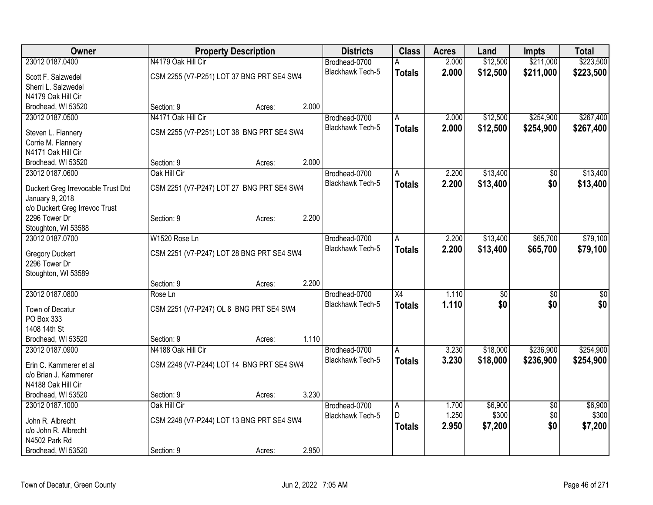| Owner                                    |                    | <b>Property Description</b><br><b>Districts</b> |       |                         |                 | <b>Acres</b> | Land     | Impts           | <b>Total</b> |
|------------------------------------------|--------------------|-------------------------------------------------|-------|-------------------------|-----------------|--------------|----------|-----------------|--------------|
| 23012 0187.0400                          | N4179 Oak Hill Cir |                                                 |       | Brodhead-0700           |                 | 2.000        | \$12,500 | \$211,000       | \$223,500    |
| Scott F. Salzwedel                       |                    | CSM 2255 (V7-P251) LOT 37 BNG PRT SE4 SW4       |       | <b>Blackhawk Tech-5</b> | <b>Totals</b>   | 2.000        | \$12,500 | \$211,000       | \$223,500    |
| Sherri L. Salzwedel                      |                    |                                                 |       |                         |                 |              |          |                 |              |
| N4179 Oak Hill Cir                       |                    |                                                 |       |                         |                 |              |          |                 |              |
| Brodhead, WI 53520                       | Section: 9         | Acres:                                          | 2.000 |                         |                 |              |          |                 |              |
| 23012 0187.0500                          | N4171 Oak Hill Cir |                                                 |       | Brodhead-0700           | A               | 2.000        | \$12,500 | \$254,900       | \$267,400    |
|                                          |                    |                                                 |       | <b>Blackhawk Tech-5</b> | <b>Totals</b>   | 2.000        | \$12,500 | \$254,900       | \$267,400    |
| Steven L. Flannery                       |                    | CSM 2255 (V7-P251) LOT 38 BNG PRT SE4 SW4       |       |                         |                 |              |          |                 |              |
| Corrie M. Flannery<br>N4171 Oak Hill Cir |                    |                                                 |       |                         |                 |              |          |                 |              |
|                                          | Section: 9         |                                                 | 2.000 |                         |                 |              |          |                 |              |
| Brodhead, WI 53520<br>23012 0187.0600    | Oak Hill Cir       | Acres:                                          |       | Brodhead-0700           |                 | 2.200        | \$13,400 |                 | \$13,400     |
|                                          |                    |                                                 |       | <b>Blackhawk Tech-5</b> | A               |              |          | $\overline{50}$ |              |
| Duckert Greg Irrevocable Trust Dtd       |                    | CSM 2251 (V7-P247) LOT 27 BNG PRT SE4 SW4       |       |                         | <b>Totals</b>   | 2.200        | \$13,400 | \$0             | \$13,400     |
| January 9, 2018                          |                    |                                                 |       |                         |                 |              |          |                 |              |
| c/o Duckert Greg Irrevoc Trust           |                    |                                                 |       |                         |                 |              |          |                 |              |
| 2296 Tower Dr                            | Section: 9         | Acres:                                          | 2.200 |                         |                 |              |          |                 |              |
| Stoughton, WI 53588                      |                    |                                                 |       |                         |                 |              |          |                 |              |
| 23012 0187.0700                          | W1520 Rose Ln      |                                                 |       | Brodhead-0700           | Α               | 2.200        | \$13,400 | \$65,700        | \$79,100     |
| <b>Gregory Duckert</b>                   |                    | CSM 2251 (V7-P247) LOT 28 BNG PRT SE4 SW4       |       | <b>Blackhawk Tech-5</b> | <b>Totals</b>   | 2.200        | \$13,400 | \$65,700        | \$79,100     |
| 2296 Tower Dr                            |                    |                                                 |       |                         |                 |              |          |                 |              |
| Stoughton, WI 53589                      |                    |                                                 |       |                         |                 |              |          |                 |              |
|                                          | Section: 9         | Acres:                                          | 2.200 |                         |                 |              |          |                 |              |
| 23012 0187.0800                          | Rose Ln            |                                                 |       | Brodhead-0700           | $\overline{X4}$ | 1.110        | \$0      | \$0             | \$0          |
|                                          |                    |                                                 |       | Blackhawk Tech-5        | <b>Totals</b>   | 1.110        | \$0      | \$0             | \$0          |
| Town of Decatur                          |                    | CSM 2251 (V7-P247) OL 8 BNG PRT SE4 SW4         |       |                         |                 |              |          |                 |              |
| PO Box 333                               |                    |                                                 |       |                         |                 |              |          |                 |              |
| 1408 14th St                             |                    |                                                 |       |                         |                 |              |          |                 |              |
| Brodhead, WI 53520                       | Section: 9         | Acres:                                          | 1.110 |                         |                 |              |          |                 |              |
| 23012 0187.0900                          | N4188 Oak Hill Cir |                                                 |       | Brodhead-0700           | A               | 3.230        | \$18,000 | \$236,900       | \$254,900    |
| Erin C. Kammerer et al                   |                    | CSM 2248 (V7-P244) LOT 14 BNG PRT SE4 SW4       |       | <b>Blackhawk Tech-5</b> | <b>Totals</b>   | 3.230        | \$18,000 | \$236,900       | \$254,900    |
| c/o Brian J. Kammerer                    |                    |                                                 |       |                         |                 |              |          |                 |              |
| N4188 Oak Hill Cir                       |                    |                                                 |       |                         |                 |              |          |                 |              |
| Brodhead, WI 53520                       | Section: 9         | Acres:                                          | 3.230 |                         |                 |              |          |                 |              |
| 23012 0187.1000                          | Oak Hill Cir       |                                                 |       | Brodhead-0700           | $\overline{A}$  | 1.700        | \$6,900  | $\overline{50}$ | \$6,900      |
| John R. Albrecht                         |                    | CSM 2248 (V7-P244) LOT 13 BNG PRT SE4 SW4       |       | <b>Blackhawk Tech-5</b> | D.              | 1.250        | \$300    | \$0             | \$300        |
| c/o John R. Albrecht                     |                    |                                                 |       |                         | <b>Totals</b>   | 2.950        | \$7,200  | \$0             | \$7,200      |
| N4502 Park Rd                            |                    |                                                 |       |                         |                 |              |          |                 |              |
|                                          |                    |                                                 |       |                         |                 |              |          |                 |              |
| Brodhead, WI 53520                       | Section: 9         | Acres:                                          | 2.950 |                         |                 |              |          |                 |              |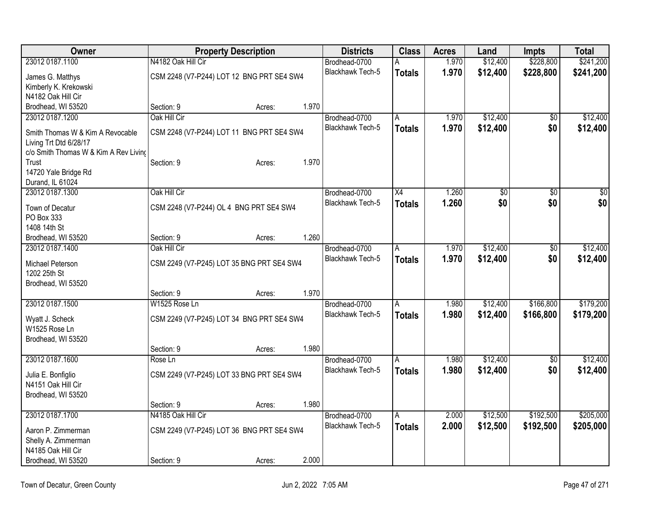| Owner                                                      |                                           | <b>Property Description</b> |       | <b>Districts</b>                  | <b>Class</b>         | <b>Acres</b> | Land            | Impts                  | <b>Total</b> |
|------------------------------------------------------------|-------------------------------------------|-----------------------------|-------|-----------------------------------|----------------------|--------------|-----------------|------------------------|--------------|
| 23012 0187.1100                                            | N4182 Oak Hill Cir                        |                             |       | Brodhead-0700                     | Α                    | 1.970        | \$12,400        | \$228,800              | \$241,200    |
| James G. Matthys                                           | CSM 2248 (V7-P244) LOT 12 BNG PRT SE4 SW4 |                             |       | <b>Blackhawk Tech-5</b>           | <b>Totals</b>        | 1.970        | \$12,400        | \$228,800              | \$241,200    |
| Kimberly K. Krekowski                                      |                                           |                             |       |                                   |                      |              |                 |                        |              |
| N4182 Oak Hill Cir                                         |                                           |                             |       |                                   |                      |              |                 |                        |              |
| Brodhead, WI 53520                                         | Section: 9                                | Acres:                      | 1.970 |                                   |                      |              |                 |                        |              |
| 23012 0187.1200                                            | Oak Hill Cir                              |                             |       | Brodhead-0700                     | A                    | 1.970        | \$12,400        | $\overline{50}$        | \$12,400     |
| Smith Thomas W & Kim A Revocable<br>Living Trt Dtd 6/28/17 | CSM 2248 (V7-P244) LOT 11 BNG PRT SE4 SW4 |                             |       | Blackhawk Tech-5                  | <b>Totals</b>        | 1.970        | \$12,400        | \$0                    | \$12,400     |
| c/o Smith Thomas W & Kim A Rev Living                      |                                           |                             |       |                                   |                      |              |                 |                        |              |
| Trust                                                      | Section: 9                                | Acres:                      | 1.970 |                                   |                      |              |                 |                        |              |
| 14720 Yale Bridge Rd<br>Durand, IL 61024                   |                                           |                             |       |                                   |                      |              |                 |                        |              |
| 23012 0187.1300                                            | Oak Hill Cir                              |                             |       | Brodhead-0700                     | $\overline{X4}$      | 1.260        | $\overline{50}$ | \$0                    | \$0          |
|                                                            |                                           |                             |       | <b>Blackhawk Tech-5</b>           | <b>Totals</b>        | 1.260        | \$0             | \$0                    | \$0          |
| Town of Decatur                                            | CSM 2248 (V7-P244) OL 4 BNG PRT SE4 SW4   |                             |       |                                   |                      |              |                 |                        |              |
| PO Box 333                                                 |                                           |                             |       |                                   |                      |              |                 |                        |              |
| 1408 14th St<br>Brodhead, WI 53520                         | Section: 9                                | Acres:                      | 1.260 |                                   |                      |              |                 |                        |              |
| 23012 0187.1400                                            | Oak Hill Cir                              |                             |       | Brodhead-0700                     | A                    | 1.970        | \$12,400        | \$0                    | \$12,400     |
|                                                            |                                           |                             |       | <b>Blackhawk Tech-5</b>           | <b>Totals</b>        | 1.970        | \$12,400        | \$0                    | \$12,400     |
| Michael Peterson                                           | CSM 2249 (V7-P245) LOT 35 BNG PRT SE4 SW4 |                             |       |                                   |                      |              |                 |                        |              |
| 1202 25th St                                               |                                           |                             |       |                                   |                      |              |                 |                        |              |
| Brodhead, WI 53520                                         |                                           |                             | 1.970 |                                   |                      |              |                 |                        |              |
| 23012 0187.1500                                            | Section: 9<br>W1525 Rose Ln               | Acres:                      |       | Brodhead-0700                     |                      | 1.980        | \$12,400        | \$166,800              | \$179,200    |
|                                                            |                                           |                             |       | <b>Blackhawk Tech-5</b>           | l A<br><b>Totals</b> | 1.980        | \$12,400        | \$166,800              | \$179,200    |
| Wyatt J. Scheck                                            | CSM 2249 (V7-P245) LOT 34 BNG PRT SE4 SW4 |                             |       |                                   |                      |              |                 |                        |              |
| W1525 Rose Ln                                              |                                           |                             |       |                                   |                      |              |                 |                        |              |
| Brodhead, WI 53520                                         |                                           |                             |       |                                   |                      |              |                 |                        |              |
|                                                            | Section: 9                                | Acres:                      | 1.980 |                                   |                      |              | \$12,400        |                        | \$12,400     |
| 23012 0187.1600                                            | Rose Ln                                   |                             |       | Brodhead-0700<br>Blackhawk Tech-5 | A                    | 1.980        |                 | $\overline{60}$<br>\$0 |              |
| Julia E. Bonfiglio                                         | CSM 2249 (V7-P245) LOT 33 BNG PRT SE4 SW4 |                             |       |                                   | <b>Totals</b>        | 1.980        | \$12,400        |                        | \$12,400     |
| N4151 Oak Hill Cir                                         |                                           |                             |       |                                   |                      |              |                 |                        |              |
| Brodhead, WI 53520                                         |                                           |                             |       |                                   |                      |              |                 |                        |              |
|                                                            | Section: 9                                | Acres:                      | 1.980 |                                   |                      |              |                 |                        |              |
| 23012 0187.1700                                            | N4185 Oak Hill Cir                        |                             |       | Brodhead-0700                     | A                    | 2.000        | \$12,500        | \$192,500              | \$205,000    |
| Aaron P. Zimmerman                                         | CSM 2249 (V7-P245) LOT 36 BNG PRT SE4 SW4 |                             |       | <b>Blackhawk Tech-5</b>           | <b>Totals</b>        | 2.000        | \$12,500        | \$192,500              | \$205,000    |
| Shelly A. Zimmerman                                        |                                           |                             |       |                                   |                      |              |                 |                        |              |
| N4185 Oak Hill Cir                                         |                                           |                             |       |                                   |                      |              |                 |                        |              |
| Brodhead, WI 53520                                         | Section: 9                                | Acres:                      | 2.000 |                                   |                      |              |                 |                        |              |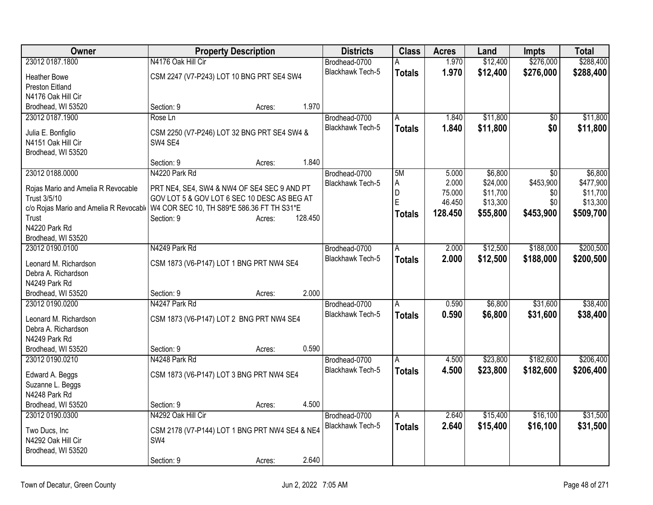| <b>Owner</b>                                       | <b>Property Description</b>                                                                |        |         | <b>Districts</b>                         | <b>Class</b>  | <b>Acres</b> | Land     | <b>Impts</b>    | <b>Total</b> |
|----------------------------------------------------|--------------------------------------------------------------------------------------------|--------|---------|------------------------------------------|---------------|--------------|----------|-----------------|--------------|
| 23012 0187.1800                                    | N4176 Oak Hill Cir                                                                         |        |         | Brodhead-0700                            |               | 1.970        | \$12,400 | \$276,000       | \$288,400    |
| <b>Heather Bowe</b>                                | CSM 2247 (V7-P243) LOT 10 BNG PRT SE4 SW4                                                  |        |         | <b>Blackhawk Tech-5</b>                  | <b>Totals</b> | 1.970        | \$12,400 | \$276,000       | \$288,400    |
| <b>Preston Eitland</b>                             |                                                                                            |        |         |                                          |               |              |          |                 |              |
| N4176 Oak Hill Cir                                 |                                                                                            |        |         |                                          |               |              |          |                 |              |
| Brodhead, WI 53520                                 | Section: 9                                                                                 | Acres: | 1.970   |                                          |               |              |          |                 |              |
| 23012 0187.1900                                    | Rose Ln                                                                                    |        |         | Brodhead-0700                            | A             | 1.840        | \$11,800 | $\overline{50}$ | \$11,800     |
| Julia E. Bonfiglio                                 | CSM 2250 (V7-P246) LOT 32 BNG PRT SE4 SW4 &                                                |        |         | <b>Blackhawk Tech-5</b>                  | <b>Totals</b> | 1.840        | \$11,800 | \$0             | \$11,800     |
| N4151 Oak Hill Cir                                 | SW4 SE4                                                                                    |        |         |                                          |               |              |          |                 |              |
| Brodhead, WI 53520                                 |                                                                                            |        |         |                                          |               |              |          |                 |              |
|                                                    | Section: 9                                                                                 | Acres: | 1.840   |                                          |               |              |          |                 |              |
| 23012 0188.0000                                    | N4220 Park Rd                                                                              |        |         | Brodhead-0700                            | 5M            | 5.000        | \$6,800  | $\overline{50}$ | \$6,800      |
|                                                    |                                                                                            |        |         | Blackhawk Tech-5                         | A             | 2.000        | \$24,000 | \$453,900       | \$477,900    |
| Rojas Mario and Amelia R Revocable<br>Trust 3/5/10 | PRT NE4, SE4, SW4 & NW4 OF SE4 SEC 9 AND PT<br>GOV LOT 5 & GOV LOT 6 SEC 10 DESC AS BEG AT |        |         |                                          | D             | 75.000       | \$11,700 | \$0             | \$11,700     |
| c/o Rojas Mario and Amelia R Revocable             | W4 COR SEC 10, TH S89*E 586.36 FT TH S31*E                                                 |        |         |                                          | E             | 46.450       | \$13,300 | \$0             | \$13,300     |
| Trust                                              | Section: 9                                                                                 | Acres: | 128.450 |                                          | <b>Totals</b> | 128.450      | \$55,800 | \$453,900       | \$509,700    |
| N4220 Park Rd                                      |                                                                                            |        |         |                                          |               |              |          |                 |              |
| Brodhead, WI 53520                                 |                                                                                            |        |         |                                          |               |              |          |                 |              |
| 23012 0190.0100                                    | N4249 Park Rd                                                                              |        |         | Brodhead-0700                            | A             | 2.000        | \$12,500 | \$188,000       | \$200,500    |
|                                                    |                                                                                            |        |         | <b>Blackhawk Tech-5</b>                  | <b>Totals</b> | 2.000        | \$12,500 | \$188,000       | \$200,500    |
| Leonard M. Richardson                              | CSM 1873 (V6-P147) LOT 1 BNG PRT NW4 SE4                                                   |        |         |                                          |               |              |          |                 |              |
| Debra A. Richardson                                |                                                                                            |        |         |                                          |               |              |          |                 |              |
| N4249 Park Rd                                      |                                                                                            |        | 2.000   |                                          |               |              |          |                 |              |
| Brodhead, WI 53520                                 | Section: 9<br>N4247 Park Rd                                                                | Acres: |         |                                          |               | 0.590        | \$6,800  | \$31,600        | \$38,400     |
| 23012 0190.0200                                    |                                                                                            |        |         | Brodhead-0700<br><b>Blackhawk Tech-5</b> | A             |              |          |                 |              |
| Leonard M. Richardson                              | CSM 1873 (V6-P147) LOT 2 BNG PRT NW4 SE4                                                   |        |         |                                          | <b>Totals</b> | 0.590        | \$6,800  | \$31,600        | \$38,400     |
| Debra A. Richardson                                |                                                                                            |        |         |                                          |               |              |          |                 |              |
| N4249 Park Rd                                      |                                                                                            |        |         |                                          |               |              |          |                 |              |
| Brodhead, WI 53520                                 | Section: 9                                                                                 | Acres: | 0.590   |                                          |               |              |          |                 |              |
| 23012 0190.0210                                    | N4248 Park Rd                                                                              |        |         | Brodhead-0700                            | A             | 4.500        | \$23,800 | \$182,600       | \$206,400    |
| Edward A. Beggs                                    | CSM 1873 (V6-P147) LOT 3 BNG PRT NW4 SE4                                                   |        |         | <b>Blackhawk Tech-5</b>                  | <b>Totals</b> | 4.500        | \$23,800 | \$182,600       | \$206,400    |
| Suzanne L. Beggs                                   |                                                                                            |        |         |                                          |               |              |          |                 |              |
| N4248 Park Rd                                      |                                                                                            |        |         |                                          |               |              |          |                 |              |
| Brodhead, WI 53520                                 | Section: 9                                                                                 | Acres: | 4.500   |                                          |               |              |          |                 |              |
| 23012 0190.0300                                    | N4292 Oak Hill Cir                                                                         |        |         | Brodhead-0700                            | A             | 2.640        | \$15,400 | \$16,100        | \$31,500     |
|                                                    |                                                                                            |        |         | Blackhawk Tech-5                         | <b>Totals</b> | 2.640        | \$15,400 | \$16,100        | \$31,500     |
| Two Ducs, Inc                                      | CSM 2178 (V7-P144) LOT 1 BNG PRT NW4 SE4 & NE4                                             |        |         |                                          |               |              |          |                 |              |
| N4292 Oak Hill Cir                                 | SW4                                                                                        |        |         |                                          |               |              |          |                 |              |
| Brodhead, WI 53520                                 |                                                                                            |        | 2.640   |                                          |               |              |          |                 |              |
|                                                    | Section: 9                                                                                 | Acres: |         |                                          |               |              |          |                 |              |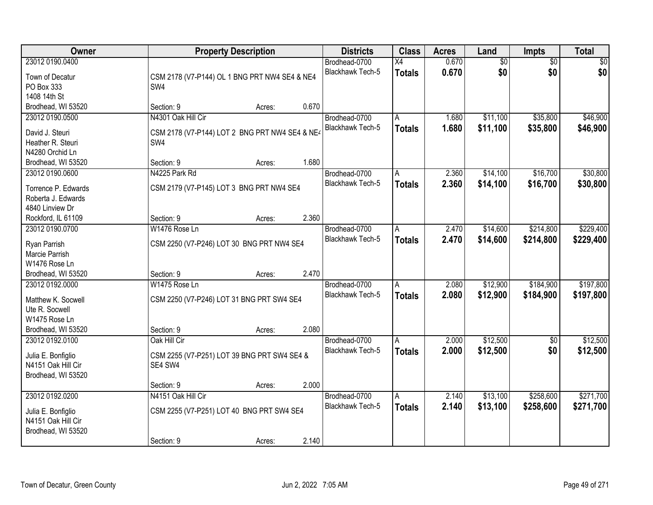| <b>Owner</b>                             |                                                | <b>Property Description</b> |       | <b>Districts</b>        | <b>Class</b>   | <b>Acres</b> | Land            | Impts           | <b>Total</b> |
|------------------------------------------|------------------------------------------------|-----------------------------|-------|-------------------------|----------------|--------------|-----------------|-----------------|--------------|
| 23012 0190.0400                          |                                                |                             |       | Brodhead-0700           | X4             | 0.670        | $\overline{50}$ | $\overline{50}$ | \$0          |
| Town of Decatur                          | CSM 2178 (V7-P144) OL 1 BNG PRT NW4 SE4 & NE4  |                             |       | Blackhawk Tech-5        | <b>Totals</b>  | 0.670        | \$0             | \$0             | \$0          |
| PO Box 333                               | SW <sub>4</sub>                                |                             |       |                         |                |              |                 |                 |              |
| 1408 14th St                             |                                                |                             |       |                         |                |              |                 |                 |              |
| Brodhead, WI 53520                       | Section: 9                                     | Acres:                      | 0.670 |                         |                |              |                 |                 |              |
| 23012 0190.0500                          | N4301 Oak Hill Cir                             |                             |       | Brodhead-0700           | Α              | 1.680        | \$11,100        | \$35,800        | \$46,900     |
|                                          |                                                |                             |       | Blackhawk Tech-5        | <b>Totals</b>  | 1.680        | \$11,100        | \$35,800        | \$46,900     |
| David J. Steuri                          | CSM 2178 (V7-P144) LOT 2 BNG PRT NW4 SE4 & NE4 |                             |       |                         |                |              |                 |                 |              |
| Heather R. Steuri                        | SW4                                            |                             |       |                         |                |              |                 |                 |              |
| N4280 Orchid Ln                          |                                                |                             |       |                         |                |              |                 |                 |              |
| Brodhead, WI 53520                       | Section: 9                                     | Acres:                      | 1.680 |                         |                |              |                 |                 |              |
| 23012 0190.0600                          | N4225 Park Rd                                  |                             |       | Brodhead-0700           | A              | 2.360        | \$14,100        | \$16,700        | \$30,800     |
| Torrence P. Edwards                      | CSM 2179 (V7-P145) LOT 3 BNG PRT NW4 SE4       |                             |       | Blackhawk Tech-5        | <b>Totals</b>  | 2.360        | \$14,100        | \$16,700        | \$30,800     |
| Roberta J. Edwards                       |                                                |                             |       |                         |                |              |                 |                 |              |
| 4840 Linview Dr                          |                                                |                             |       |                         |                |              |                 |                 |              |
| Rockford, IL 61109                       | Section: 9                                     | Acres:                      | 2.360 |                         |                |              |                 |                 |              |
| 23012 0190.0700                          | W1476 Rose Ln                                  |                             |       | Brodhead-0700           | A              | 2.470        | \$14,600        | \$214,800       | \$229,400    |
|                                          |                                                |                             |       | <b>Blackhawk Tech-5</b> | <b>Totals</b>  | 2.470        | \$14,600        | \$214,800       | \$229,400    |
| Ryan Parrish                             | CSM 2250 (V7-P246) LOT 30 BNG PRT NW4 SE4      |                             |       |                         |                |              |                 |                 |              |
| Marcie Parrish                           |                                                |                             |       |                         |                |              |                 |                 |              |
| W1476 Rose Ln                            |                                                |                             | 2.470 |                         |                |              |                 |                 |              |
| Brodhead, WI 53520                       | Section: 9                                     | Acres:                      |       |                         |                |              |                 |                 |              |
| 23012 0192.0000                          | W1475 Rose Ln                                  |                             |       | Brodhead-0700           | $\overline{A}$ | 2.080        | \$12,900        | \$184,900       | \$197,800    |
| Matthew K. Socwell                       | CSM 2250 (V7-P246) LOT 31 BNG PRT SW4 SE4      |                             |       | <b>Blackhawk Tech-5</b> | <b>Totals</b>  | 2.080        | \$12,900        | \$184,900       | \$197,800    |
| Ute R. Socwell                           |                                                |                             |       |                         |                |              |                 |                 |              |
| W1475 Rose Ln                            |                                                |                             |       |                         |                |              |                 |                 |              |
| Brodhead, WI 53520                       | Section: 9                                     | Acres:                      | 2.080 |                         |                |              |                 |                 |              |
| 23012 0192.0100                          | Oak Hill Cir                                   |                             |       | Brodhead-0700           | A              | 2.000        | \$12,500        | $\sqrt{6}$      | \$12,500     |
|                                          | CSM 2255 (V7-P251) LOT 39 BNG PRT SW4 SE4 &    |                             |       | <b>Blackhawk Tech-5</b> | <b>Totals</b>  | 2.000        | \$12,500        | \$0             | \$12,500     |
| Julia E. Bonfiglio<br>N4151 Oak Hill Cir | SE4 SW4                                        |                             |       |                         |                |              |                 |                 |              |
| Brodhead, WI 53520                       |                                                |                             |       |                         |                |              |                 |                 |              |
|                                          | Section: 9                                     | Acres:                      | 2.000 |                         |                |              |                 |                 |              |
| 23012 0192.0200                          | N4151 Oak Hill Cir                             |                             |       | Brodhead-0700           | $\overline{A}$ | 2.140        | \$13,100        | \$258,600       | \$271,700    |
|                                          |                                                |                             |       | <b>Blackhawk Tech-5</b> |                |              |                 |                 |              |
| Julia E. Bonfiglio                       | CSM 2255 (V7-P251) LOT 40 BNG PRT SW4 SE4      |                             |       |                         | <b>Totals</b>  | 2.140        | \$13,100        | \$258,600       | \$271,700    |
| N4151 Oak Hill Cir                       |                                                |                             |       |                         |                |              |                 |                 |              |
| Brodhead, WI 53520                       |                                                |                             |       |                         |                |              |                 |                 |              |
|                                          | Section: 9                                     | Acres:                      | 2.140 |                         |                |              |                 |                 |              |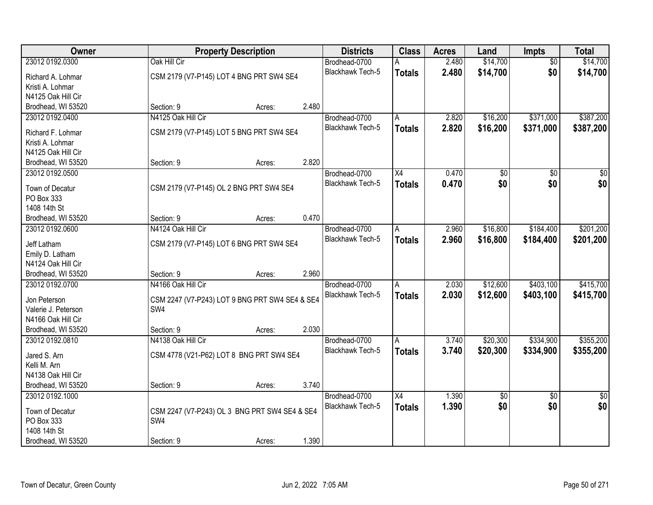| Owner               |                                                | <b>Property Description</b> |       | <b>Districts</b>        | <b>Class</b>    | <b>Acres</b> | Land     | Impts           | <b>Total</b>    |
|---------------------|------------------------------------------------|-----------------------------|-------|-------------------------|-----------------|--------------|----------|-----------------|-----------------|
| 23012 0192.0300     | Oak Hill Cir                                   |                             |       | Brodhead-0700           |                 | 2.480        | \$14,700 | $\overline{50}$ | \$14,700        |
| Richard A. Lohmar   | CSM 2179 (V7-P145) LOT 4 BNG PRT SW4 SE4       |                             |       | Blackhawk Tech-5        | <b>Totals</b>   | 2.480        | \$14,700 | \$0             | \$14,700        |
| Kristi A. Lohmar    |                                                |                             |       |                         |                 |              |          |                 |                 |
| N4125 Oak Hill Cir  |                                                |                             |       |                         |                 |              |          |                 |                 |
| Brodhead, WI 53520  | Section: 9                                     | Acres:                      | 2.480 |                         |                 |              |          |                 |                 |
| 23012 0192.0400     | N4125 Oak Hill Cir                             |                             |       | Brodhead-0700           | A               | 2.820        | \$16,200 | \$371,000       | \$387,200       |
| Richard F. Lohmar   | CSM 2179 (V7-P145) LOT 5 BNG PRT SW4 SE4       |                             |       | <b>Blackhawk Tech-5</b> | <b>Totals</b>   | 2.820        | \$16,200 | \$371,000       | \$387,200       |
| Kristi A. Lohmar    |                                                |                             |       |                         |                 |              |          |                 |                 |
| N4125 Oak Hill Cir  |                                                |                             |       |                         |                 |              |          |                 |                 |
| Brodhead, WI 53520  | Section: 9                                     | Acres:                      | 2.820 |                         |                 |              |          |                 |                 |
| 23012 0192.0500     |                                                |                             |       | Brodhead-0700           | $\overline{X4}$ | 0.470        | \$0      | $\overline{50}$ | $\overline{50}$ |
|                     |                                                |                             |       | Blackhawk Tech-5        | <b>Totals</b>   | 0.470        | \$0      | \$0             | \$0             |
| Town of Decatur     | CSM 2179 (V7-P145) OL 2 BNG PRT SW4 SE4        |                             |       |                         |                 |              |          |                 |                 |
| PO Box 333          |                                                |                             |       |                         |                 |              |          |                 |                 |
| 1408 14th St        |                                                |                             |       |                         |                 |              |          |                 |                 |
| Brodhead, WI 53520  | Section: 9                                     | Acres:                      | 0.470 |                         |                 |              |          |                 |                 |
| 23012 0192.0600     | N4124 Oak Hill Cir                             |                             |       | Brodhead-0700           | A               | 2.960        | \$16,800 | \$184,400       | \$201,200       |
| Jeff Latham         | CSM 2179 (V7-P145) LOT 6 BNG PRT SW4 SE4       |                             |       | Blackhawk Tech-5        | <b>Totals</b>   | 2.960        | \$16,800 | \$184,400       | \$201,200       |
| Emily D. Latham     |                                                |                             |       |                         |                 |              |          |                 |                 |
| N4124 Oak Hill Cir  |                                                |                             |       |                         |                 |              |          |                 |                 |
| Brodhead, WI 53520  | Section: 9                                     | Acres:                      | 2.960 |                         |                 |              |          |                 |                 |
| 23012 0192.0700     | N4166 Oak Hill Cir                             |                             |       | Brodhead-0700           | Α               | 2.030        | \$12,600 | \$403,100       | \$415,700       |
| Jon Peterson        | CSM 2247 (V7-P243) LOT 9 BNG PRT SW4 SE4 & SE4 |                             |       | Blackhawk Tech-5        | <b>Totals</b>   | 2.030        | \$12,600 | \$403,100       | \$415,700       |
| Valerie J. Peterson | SW4                                            |                             |       |                         |                 |              |          |                 |                 |
| N4166 Oak Hill Cir  |                                                |                             |       |                         |                 |              |          |                 |                 |
| Brodhead, WI 53520  | Section: 9                                     | Acres:                      | 2.030 |                         |                 |              |          |                 |                 |
| 23012 0192.0810     | N4138 Oak Hill Cir                             |                             |       | Brodhead-0700           | A               | 3.740        | \$20,300 | \$334,900       | \$355,200       |
|                     |                                                |                             |       | Blackhawk Tech-5        | <b>Totals</b>   | 3.740        | \$20,300 | \$334,900       | \$355,200       |
| Jared S. Arn        | CSM 4778 (V21-P62) LOT 8 BNG PRT SW4 SE4       |                             |       |                         |                 |              |          |                 |                 |
| Kelli M. Arn        |                                                |                             |       |                         |                 |              |          |                 |                 |
| N4138 Oak Hill Cir  |                                                |                             |       |                         |                 |              |          |                 |                 |
| Brodhead, WI 53520  | Section: 9                                     | Acres:                      | 3.740 |                         |                 |              |          |                 |                 |
| 23012 0192.1000     |                                                |                             |       | Brodhead-0700           | X4              | 1.390        | \$0      | $\overline{50}$ | $\overline{50}$ |
| Town of Decatur     | CSM 2247 (V7-P243) OL 3 BNG PRT SW4 SE4 & SE4  |                             |       | Blackhawk Tech-5        | <b>Totals</b>   | 1.390        | \$0      | \$0             | \$0             |
| PO Box 333          | SW <sub>4</sub>                                |                             |       |                         |                 |              |          |                 |                 |
| 1408 14th St        |                                                |                             |       |                         |                 |              |          |                 |                 |
| Brodhead, WI 53520  | Section: 9                                     | Acres:                      | 1.390 |                         |                 |              |          |                 |                 |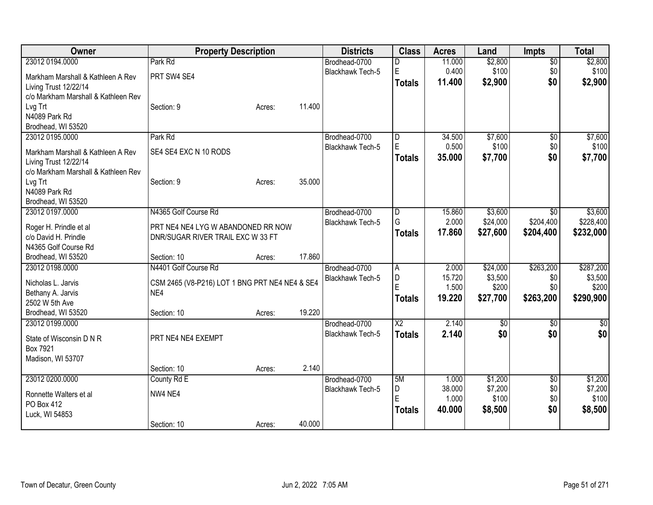| Owner                               | <b>Property Description</b>                           |        |        | <b>Districts</b>        | <b>Class</b>   | <b>Acres</b> | Land     | <b>Impts</b>    | <b>Total</b> |
|-------------------------------------|-------------------------------------------------------|--------|--------|-------------------------|----------------|--------------|----------|-----------------|--------------|
| 23012 0194.0000                     | Park Rd                                               |        |        | Brodhead-0700           | D              | 11.000       | \$2,800  | $\overline{50}$ | \$2,800      |
| Markham Marshall & Kathleen A Rev   | PRT SW4 SE4                                           |        |        | Blackhawk Tech-5        | E              | 0.400        | \$100    | \$0             | \$100        |
| Living Trust 12/22/14               |                                                       |        |        |                         | <b>Totals</b>  | 11.400       | \$2,900  | \$0             | \$2,900      |
| c/o Markham Marshall & Kathleen Rev |                                                       |        |        |                         |                |              |          |                 |              |
| Lvg Trt                             | Section: 9                                            | Acres: | 11.400 |                         |                |              |          |                 |              |
| N4089 Park Rd                       |                                                       |        |        |                         |                |              |          |                 |              |
| Brodhead, WI 53520                  |                                                       |        |        |                         |                |              |          |                 |              |
| 23012 0195.0000                     | Park Rd                                               |        |        | Brodhead-0700           | D              | 34.500       | \$7,600  | \$0             | \$7,600      |
| Markham Marshall & Kathleen A Rev   | SE4 SE4 EXC N 10 RODS                                 |        |        | <b>Blackhawk Tech-5</b> | E              | 0.500        | \$100    | \$0             | \$100        |
| Living Trust 12/22/14               |                                                       |        |        |                         | <b>Totals</b>  | 35.000       | \$7,700  | \$0             | \$7,700      |
| c/o Markham Marshall & Kathleen Rev |                                                       |        |        |                         |                |              |          |                 |              |
| Lvg Trt                             | Section: 9                                            | Acres: | 35.000 |                         |                |              |          |                 |              |
| N4089 Park Rd                       |                                                       |        |        |                         |                |              |          |                 |              |
| Brodhead, WI 53520                  |                                                       |        |        |                         |                |              |          |                 |              |
| 23012 0197.0000                     | N4365 Golf Course Rd                                  |        |        | Brodhead-0700           | $\overline{D}$ | 15.860       | \$3,600  | \$0             | \$3,600      |
| Roger H. Prindle et al              | PRT NE4 NE4 LYG W ABANDONED RR NOW                    |        |        | Blackhawk Tech-5        | G              | 2.000        | \$24,000 | \$204,400       | \$228,400    |
| c/o David H. Prindle                | DNR/SUGAR RIVER TRAIL EXC W 33 FT                     |        |        |                         | <b>Totals</b>  | 17.860       | \$27,600 | \$204,400       | \$232,000    |
| N4365 Golf Course Rd                |                                                       |        |        |                         |                |              |          |                 |              |
| Brodhead, WI 53520                  | Section: 10                                           | Acres: | 17.860 |                         |                |              |          |                 |              |
| 23012 0198.0000                     | N4401 Golf Course Rd                                  |        |        | Brodhead-0700           | A              | 2.000        | \$24,000 | \$263,200       | \$287,200    |
| Nicholas L. Jarvis                  |                                                       |        |        | Blackhawk Tech-5        | D              | 15.720       | \$3,500  | \$0             | \$3,500      |
| Bethany A. Jarvis                   | CSM 2465 (V8-P216) LOT 1 BNG PRT NE4 NE4 & SE4<br>NE4 |        |        |                         | E              | 1.500        | \$200    | \$0             | \$200        |
| 2502 W 5th Ave                      |                                                       |        |        |                         | <b>Totals</b>  | 19.220       | \$27,700 | \$263,200       | \$290,900    |
| Brodhead, WI 53520                  | Section: 10                                           | Acres: | 19.220 |                         |                |              |          |                 |              |
| 23012 0199.0000                     |                                                       |        |        | Brodhead-0700           | X2             | 2.140        | \$0      | \$0             | $\sqrt{50}$  |
|                                     |                                                       |        |        | Blackhawk Tech-5        | <b>Totals</b>  | 2.140        | \$0      | \$0             | \$0          |
| State of Wisconsin D N R            | PRT NE4 NE4 EXEMPT                                    |        |        |                         |                |              |          |                 |              |
| Box 7921<br>Madison, WI 53707       |                                                       |        |        |                         |                |              |          |                 |              |
|                                     | Section: 10                                           | Acres: | 2.140  |                         |                |              |          |                 |              |
| 23012 0200.0000                     | County Rd E                                           |        |        | Brodhead-0700           | 5M             | 1.000        | \$1,200  | $\overline{50}$ | \$1,200      |
|                                     |                                                       |        |        | Blackhawk Tech-5        | D              | 38.000       | \$7,200  | \$0             | \$7,200      |
| Ronnette Walters et al              | NW4 NE4                                               |        |        |                         | E              | 1.000        | \$100    | \$0             | \$100        |
| PO Box 412                          |                                                       |        |        |                         | <b>Totals</b>  | 40.000       | \$8,500  | \$0             | \$8,500      |
| Luck, WI 54853                      |                                                       |        |        |                         |                |              |          |                 |              |
|                                     | Section: 10                                           | Acres: | 40.000 |                         |                |              |          |                 |              |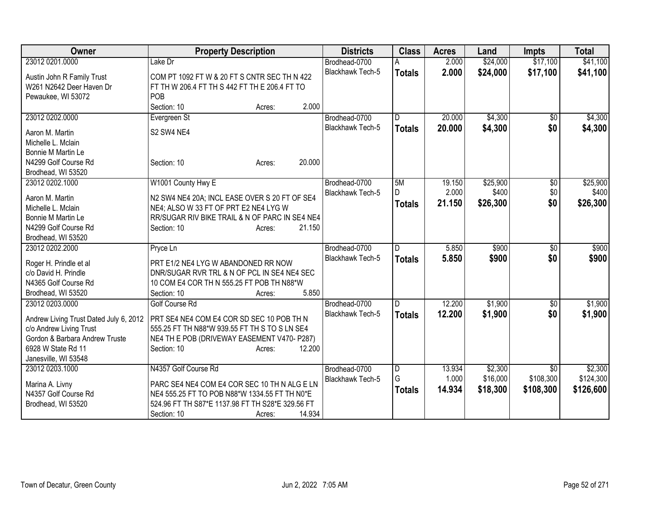| Owner                                                                                                                                                                | <b>Property Description</b>                                                                                                                                                                                  | <b>Districts</b>                         | <b>Class</b>                         | <b>Acres</b>              | Land                            | <b>Impts</b>                  | <b>Total</b>                      |
|----------------------------------------------------------------------------------------------------------------------------------------------------------------------|--------------------------------------------------------------------------------------------------------------------------------------------------------------------------------------------------------------|------------------------------------------|--------------------------------------|---------------------------|---------------------------------|-------------------------------|-----------------------------------|
| 23012 0201.0000                                                                                                                                                      | Lake Dr                                                                                                                                                                                                      | Brodhead-0700                            |                                      | 2.000                     | \$24,000                        | \$17,100                      | \$41,100                          |
| Austin John R Family Trust<br>W261 N2642 Deer Haven Dr<br>Pewaukee, WI 53072                                                                                         | COM PT 1092 FT W & 20 FT S CNTR SEC TH N 422<br>FT TH W 206.4 FT TH S 442 FT TH E 206.4 FT TO<br>POB                                                                                                         | <b>Blackhawk Tech-5</b>                  | <b>Totals</b>                        | 2.000                     | \$24,000                        | \$17,100                      | \$41,100                          |
|                                                                                                                                                                      | 2.000<br>Section: 10<br>Acres:                                                                                                                                                                               |                                          |                                      |                           |                                 |                               |                                   |
| 23012 0202.0000                                                                                                                                                      | Evergreen St                                                                                                                                                                                                 | Brodhead-0700                            | D                                    | 20.000                    | \$4,300                         | $\overline{50}$               | \$4,300                           |
| Aaron M. Martin<br>Michelle L. Mclain                                                                                                                                | S2 SW4 NE4                                                                                                                                                                                                   | Blackhawk Tech-5                         | <b>Totals</b>                        | 20.000                    | \$4,300                         | \$0                           | \$4,300                           |
| Bonnie M Martin Le<br>N4299 Golf Course Rd<br>Brodhead, WI 53520                                                                                                     | 20.000<br>Section: 10<br>Acres:                                                                                                                                                                              |                                          |                                      |                           |                                 |                               |                                   |
| 23012 0202.1000<br>Aaron M. Martin<br>Michelle L. Mclain                                                                                                             | W1001 County Hwy E<br>N2 SW4 NE4 20A; INCL EASE OVER S 20 FT OF SE4<br>NE4; ALSO W 33 FT OF PRT E2 NE4 LYG W                                                                                                 | Brodhead-0700<br>Blackhawk Tech-5        | 5M<br>D.<br><b>Totals</b>            | 19.150<br>2.000<br>21.150 | \$25,900<br>\$400<br>\$26,300   | \$0<br>\$0<br>\$0             | \$25,900<br>\$400<br>\$26,300     |
| Bonnie M Martin Le<br>N4299 Golf Course Rd<br>Brodhead, WI 53520                                                                                                     | RR/SUGAR RIV BIKE TRAIL & N OF PARC IN SE4 NE4<br>21.150<br>Section: 10<br>Acres:                                                                                                                            |                                          |                                      |                           |                                 |                               |                                   |
| 23012 0202.2000<br>Roger H. Prindle et al<br>c/o David H. Prindle<br>N4365 Golf Course Rd<br>Brodhead, WI 53520                                                      | Pryce Ln<br>PRT E1/2 NE4 LYG W ABANDONED RR NOW<br>DNR/SUGAR RVR TRL & N OF PCL IN SE4 NE4 SEC<br>10 COM E4 COR TH N 555.25 FT POB TH N88*W<br>5.850<br>Section: 10<br>Acres:                                | Brodhead-0700<br><b>Blackhawk Tech-5</b> | D.<br><b>Totals</b>                  | 5.850<br>5.850            | \$900<br>\$900                  | \$0<br>\$0                    | \$900<br>\$900                    |
| 23012 0203.0000<br>Andrew Living Trust Dated July 6, 2012<br>c/o Andrew Living Trust<br>Gordon & Barbara Andrew Truste<br>6928 W State Rd 11<br>Janesville, WI 53548 | Golf Course Rd<br>PRT SE4 NE4 COM E4 COR SD SEC 10 POB TH N<br>555.25 FT TH N88*W 939.55 FT TH S TO S LN SE4<br>NE4 TH E POB (DRIVEWAY EASEMENT V470- P287)<br>12.200<br>Section: 10<br>Acres:               | Brodhead-0700<br>Blackhawk Tech-5        | D<br><b>Totals</b>                   | 12.200<br>12.200          | \$1,900<br>\$1,900              | \$0<br>\$0                    | \$1,900<br>\$1,900                |
| 23012 0203.1000<br>Marina A. Livny<br>N4357 Golf Course Rd<br>Brodhead, WI 53520                                                                                     | N4357 Golf Course Rd<br>PARC SE4 NE4 COM E4 COR SEC 10 TH N ALG E LN<br>NE4 555.25 FT TO POB N88*W 1334.55 FT TH N0*E<br>524.96 FT TH S87*E 1137.98 FT TH S28*E 329.56 FT<br>14.934<br>Section: 10<br>Acres: | Brodhead-0700<br>Blackhawk Tech-5        | $\overline{D}$<br>G<br><b>Totals</b> | 13.934<br>1.000<br>14.934 | \$2,300<br>\$16,000<br>\$18,300 | \$0<br>\$108,300<br>\$108,300 | \$2,300<br>\$124,300<br>\$126,600 |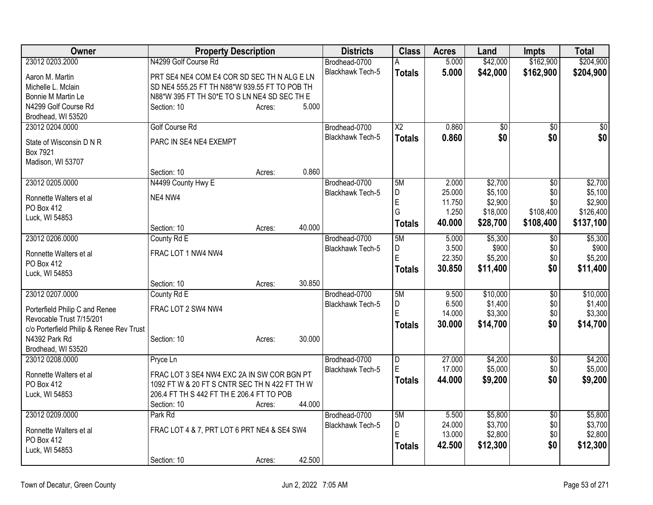| Owner                                    | <b>Property Description</b>                   |        |        | <b>Districts</b>        | <b>Class</b>    | <b>Acres</b> | Land            | <b>Impts</b>    | <b>Total</b> |
|------------------------------------------|-----------------------------------------------|--------|--------|-------------------------|-----------------|--------------|-----------------|-----------------|--------------|
| 23012 0203.2000                          | N4299 Golf Course Rd                          |        |        | Brodhead-0700           | A               | 5.000        | \$42,000        | \$162,900       | \$204,900    |
| Aaron M. Martin                          | PRT SE4 NE4 COM E4 COR SD SEC TH N ALG E LN   |        |        | Blackhawk Tech-5        | <b>Totals</b>   | 5.000        | \$42,000        | \$162,900       | \$204,900    |
| Michelle L. Mclain                       | SD NE4 555.25 FT TH N88*W 939.55 FT TO POB TH |        |        |                         |                 |              |                 |                 |              |
| Bonnie M Martin Le                       | N88*W 395 FT TH S0*E TO S LN NE4 SD SEC TH E  |        |        |                         |                 |              |                 |                 |              |
| N4299 Golf Course Rd                     | Section: 10                                   | Acres: | 5.000  |                         |                 |              |                 |                 |              |
| Brodhead, WI 53520                       |                                               |        |        |                         |                 |              |                 |                 |              |
| 23012 0204.0000                          | Golf Course Rd                                |        |        | Brodhead-0700           | $\overline{X2}$ | 0.860        | $\overline{50}$ | $\overline{30}$ | \$0          |
| State of Wisconsin D N R                 | PARC IN SE4 NE4 EXEMPT                        |        |        | Blackhawk Tech-5        | <b>Totals</b>   | 0.860        | \$0             | \$0             | \$0          |
| Box 7921                                 |                                               |        |        |                         |                 |              |                 |                 |              |
| Madison, WI 53707                        |                                               |        |        |                         |                 |              |                 |                 |              |
|                                          | Section: 10                                   | Acres: | 0.860  |                         |                 |              |                 |                 |              |
| 23012 0205.0000                          | N4499 County Hwy E                            |        |        | Brodhead-0700           | 5M              | 2.000        | \$2,700         | $\overline{50}$ | \$2,700      |
| Ronnette Walters et al                   | NE4 NW4                                       |        |        | Blackhawk Tech-5        | D               | 25.000       | \$5,100         | \$0             | \$5,100      |
| PO Box 412                               |                                               |        |        |                         | E               | 11.750       | \$2,900         | \$0             | \$2,900      |
| Luck, WI 54853                           |                                               |        |        |                         | G               | 1.250        | \$18,000        | \$108,400       | \$126,400    |
|                                          | Section: 10                                   | Acres: | 40.000 |                         | <b>Totals</b>   | 40.000       | \$28,700        | \$108,400       | \$137,100    |
| 23012 0206.0000                          | County Rd E                                   |        |        | Brodhead-0700           | 5M              | 5.000        | \$5,300         | \$0             | \$5,300      |
|                                          |                                               |        |        | Blackhawk Tech-5        | D               | 3.500        | \$900           | \$0             | \$900        |
| Ronnette Walters et al<br>PO Box 412     | FRAC LOT 1 NW4 NW4                            |        |        |                         | $\mathsf E$     | 22.350       | \$5,200         | \$0             | \$5,200      |
| Luck, WI 54853                           |                                               |        |        |                         | <b>Totals</b>   | 30.850       | \$11,400        | \$0             | \$11,400     |
|                                          | Section: 10                                   | Acres: | 30.850 |                         |                 |              |                 |                 |              |
| 23012 0207.0000                          | County Rd E                                   |        |        | Brodhead-0700           | 5M              | 9.500        | \$10,000        | \$0             | \$10,000     |
|                                          |                                               |        |        | Blackhawk Tech-5        | D               | 6.500        | \$1,400         | \$0             | \$1,400      |
| Porterfield Philip C and Renee           | FRAC LOT 2 SW4 NW4                            |        |        |                         | E               | 14.000       | \$3,300         | \$0             | \$3,300      |
| Revocable Trust 7/15/201                 |                                               |        |        |                         | <b>Totals</b>   | 30.000       | \$14,700        | \$0             | \$14,700     |
| c/o Porterfield Philip & Renee Rev Trust |                                               |        |        |                         |                 |              |                 |                 |              |
| N4392 Park Rd                            | Section: 10                                   | Acres: | 30.000 |                         |                 |              |                 |                 |              |
| Brodhead, WI 53520<br>23012 0208.0000    | Pryce Ln                                      |        |        | Brodhead-0700           | $\overline{D}$  | 27.000       | \$4,200         | \$0             | \$4,200      |
|                                          |                                               |        |        | Blackhawk Tech-5        | E               | 17.000       | \$5,000         | \$0             | \$5,000      |
| Ronnette Walters et al                   | FRAC LOT 3 SE4 NW4 EXC 2A IN SW COR BGN PT    |        |        |                         | Totals          | 44.000       | \$9,200         | \$0             | \$9,200      |
| PO Box 412                               | 1092 FT W & 20 FT S CNTR SEC TH N 422 FT TH W |        |        |                         |                 |              |                 |                 |              |
| Luck, WI 54853                           | 206.4 FT TH S 442 FT TH E 206.4 FT TO POB     |        |        |                         |                 |              |                 |                 |              |
|                                          | Section: 10                                   | Acres: | 44.000 |                         |                 |              |                 |                 |              |
| 23012 0209.0000                          | Park Rd                                       |        |        | Brodhead-0700           | 5M              | 5.500        | \$5,800         | $\overline{50}$ | \$5,800      |
| Ronnette Walters et al                   | FRAC LOT 4 & 7, PRT LOT 6 PRT NE4 & SE4 SW4   |        |        | <b>Blackhawk Tech-5</b> | D               | 24.000       | \$3,700         | \$0             | \$3,700      |
| PO Box 412                               |                                               |        |        |                         | E               | 13.000       | \$2,800         | \$0             | \$2,800      |
| Luck, WI 54853                           |                                               |        |        |                         | <b>Totals</b>   | 42.500       | \$12,300        | \$0             | \$12,300     |
|                                          | Section: 10                                   | Acres: | 42.500 |                         |                 |              |                 |                 |              |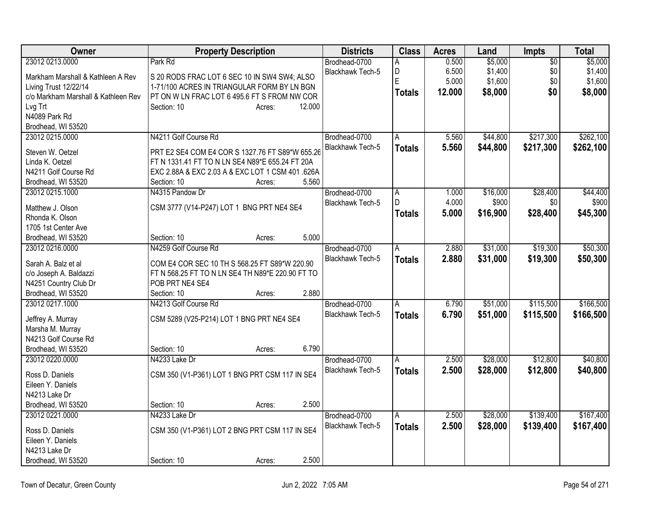| Owner                                      | <b>Property Description</b>                                                                        | <b>Districts</b>        | <b>Class</b>   | <b>Acres</b> | Land     | <b>Impts</b> | <b>Total</b> |
|--------------------------------------------|----------------------------------------------------------------------------------------------------|-------------------------|----------------|--------------|----------|--------------|--------------|
| 23012 0213.0000                            | Park Rd                                                                                            | Brodhead-0700           | A              | 0.500        | \$5,000  | \$0          | \$5,000      |
| Markham Marshall & Kathleen A Rev          | S 20 RODS FRAC LOT 6 SEC 10 IN SW4 SW4; ALSO                                                       | Blackhawk Tech-5        | D              | 6.500        | \$1,400  | \$0          | \$1,400      |
| Living Trust 12/22/14                      | 1-71/100 ACRES IN TRIANGULAR FORM BY LN BGN                                                        |                         | E              | 5.000        | \$1,600  | \$0          | \$1,600      |
| c/o Markham Marshall & Kathleen Rev        | PT ON W LN FRAC LOT 6 495.6 FT S FROM NW COR                                                       |                         | <b>Totals</b>  | 12.000       | \$8,000  | \$0          | \$8,000      |
| Lvg Trt                                    | 12.000<br>Section: 10<br>Acres:                                                                    |                         |                |              |          |              |              |
| N4089 Park Rd                              |                                                                                                    |                         |                |              |          |              |              |
| Brodhead, WI 53520                         |                                                                                                    |                         |                |              |          |              |              |
| 23012 0215.0000                            | N4211 Golf Course Rd                                                                               | Brodhead-0700           | Α              | 5.560        | \$44,800 | \$217,300    | \$262,100    |
| Steven W. Oetzel                           |                                                                                                    | <b>Blackhawk Tech-5</b> | <b>Totals</b>  | 5.560        | \$44,800 | \$217,300    | \$262,100    |
| Linda K. Oetzel                            | PRT E2 SE4 COM E4 COR S 1327.76 FT S89*W 655.26<br>FT N 1331.41 FT TO N LN SE4 N89*E 655.24 FT 20A |                         |                |              |          |              |              |
| N4211 Golf Course Rd                       | EXC 2.88A & EXC 2.03 A & EXC LOT 1 CSM 401 .626A                                                   |                         |                |              |          |              |              |
| Brodhead, WI 53520                         | 5.560<br>Section: 10<br>Acres:                                                                     |                         |                |              |          |              |              |
| 23012 0215.1000                            | N4315 Pandow Dr                                                                                    | Brodhead-0700           | $\overline{A}$ | 1.000        | \$16,000 | \$28,400     | \$44,400     |
|                                            |                                                                                                    | Blackhawk Tech-5        | $\mathsf{D}$   | 4.000        | \$900    | \$0          | \$900        |
| Matthew J. Olson                           | CSM 3777 (V14-P247) LOT 1 BNG PRT NE4 SE4                                                          |                         | <b>Totals</b>  | 5.000        | \$16,900 | \$28,400     | \$45,300     |
| Rhonda K. Olson                            |                                                                                                    |                         |                |              |          |              |              |
| 1705 1st Center Ave                        |                                                                                                    |                         |                |              |          |              |              |
| Brodhead, WI 53520                         | 5.000<br>Section: 10<br>Acres:                                                                     |                         |                |              |          |              |              |
| 23012 0216.0000                            | N4259 Golf Course Rd                                                                               | Brodhead-0700           | A              | 2.880        | \$31,000 | \$19,300     | \$50,300     |
| Sarah A. Balz et al                        | COM E4 COR SEC 10 TH S 568.25 FT S89*W 220.90                                                      | Blackhawk Tech-5        | <b>Totals</b>  | 2.880        | \$31,000 | \$19,300     | \$50,300     |
| c/o Joseph A. Baldazzi                     | FT N 568.25 FT TO N LN SE4 TH N89*E 220.90 FT TO                                                   |                         |                |              |          |              |              |
| N4251 Country Club Dr                      | POB PRT NE4 SE4                                                                                    |                         |                |              |          |              |              |
| Brodhead, WI 53520                         | 2.880<br>Section: 10<br>Acres:                                                                     |                         |                |              |          |              |              |
| 23012 0217.1000                            | N4213 Golf Course Rd                                                                               | Brodhead-0700           | $\overline{A}$ | 6.790        | \$51,000 | \$115,500    | \$166,500    |
|                                            |                                                                                                    | Blackhawk Tech-5        | <b>Totals</b>  | 6.790        | \$51,000 | \$115,500    | \$166,500    |
| Jeffrey A. Murray                          | CSM 5289 (V25-P214) LOT 1 BNG PRT NE4 SE4                                                          |                         |                |              |          |              |              |
| Marsha M. Murray                           |                                                                                                    |                         |                |              |          |              |              |
| N4213 Golf Course Rd<br>Brodhead, WI 53520 | 6.790<br>Section: 10                                                                               |                         |                |              |          |              |              |
| 23012 0220.0000                            | Acres:<br>N4233 Lake Dr                                                                            | Brodhead-0700           |                | 2.500        | \$28,000 | \$12,800     | \$40,800     |
|                                            |                                                                                                    |                         | A              |              |          |              |              |
| Ross D. Daniels                            | CSM 350 (V1-P361) LOT 1 BNG PRT CSM 117 IN SE4                                                     | Blackhawk Tech-5        | <b>Totals</b>  | 2.500        | \$28,000 | \$12,800     | \$40,800     |
| Eileen Y. Daniels                          |                                                                                                    |                         |                |              |          |              |              |
| N4213 Lake Dr                              |                                                                                                    |                         |                |              |          |              |              |
| Brodhead, WI 53520                         | 2.500<br>Section: 10<br>Acres:                                                                     |                         |                |              |          |              |              |
| 23012 0221.0000                            | N4233 Lake Dr                                                                                      | Brodhead-0700           | A              | 2.500        | \$28,000 | \$139,400    | \$167,400    |
| Ross D. Daniels                            | CSM 350 (V1-P361) LOT 2 BNG PRT CSM 117 IN SE4                                                     | Blackhawk Tech-5        | <b>Totals</b>  | 2.500        | \$28,000 | \$139,400    | \$167,400    |
| Eileen Y. Daniels                          |                                                                                                    |                         |                |              |          |              |              |
| N4213 Lake Dr                              |                                                                                                    |                         |                |              |          |              |              |
| Brodhead, WI 53520                         | 2.500<br>Section: 10<br>Acres:                                                                     |                         |                |              |          |              |              |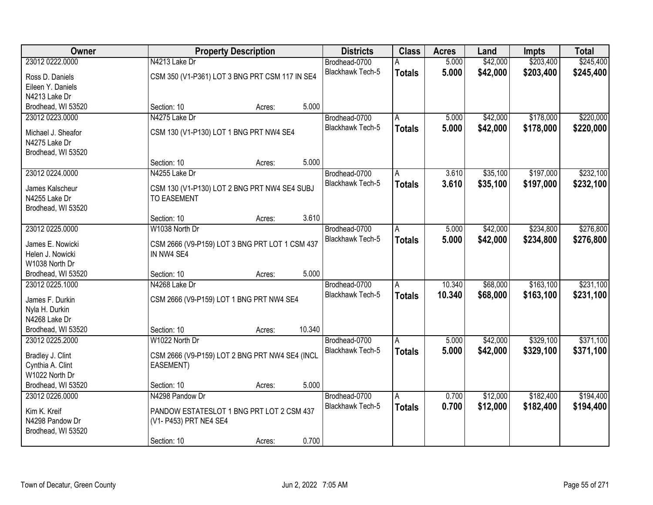| Owner                                 |                                                                    | <b>Property Description</b> |        | <b>Districts</b>        | <b>Class</b>  | <b>Acres</b> | Land     | <b>Impts</b> | <b>Total</b> |
|---------------------------------------|--------------------------------------------------------------------|-----------------------------|--------|-------------------------|---------------|--------------|----------|--------------|--------------|
| 23012 0222.0000                       | N4213 Lake Dr                                                      |                             |        | Brodhead-0700           | A             | 5.000        | \$42,000 | \$203,400    | \$245,400    |
| Ross D. Daniels                       | CSM 350 (V1-P361) LOT 3 BNG PRT CSM 117 IN SE4                     |                             |        | Blackhawk Tech-5        | <b>Totals</b> | 5.000        | \$42,000 | \$203,400    | \$245,400    |
| Eileen Y. Daniels                     |                                                                    |                             |        |                         |               |              |          |              |              |
| N4213 Lake Dr                         |                                                                    |                             |        |                         |               |              |          |              |              |
| Brodhead, WI 53520                    | Section: 10                                                        | Acres:                      | 5.000  |                         |               |              |          |              |              |
| 23012 0223.0000                       | N4275 Lake Dr                                                      |                             |        | Brodhead-0700           | A             | 5.000        | \$42,000 | \$178,000    | \$220,000    |
| Michael J. Sheafor                    | CSM 130 (V1-P130) LOT 1 BNG PRT NW4 SE4                            |                             |        | Blackhawk Tech-5        | <b>Totals</b> | 5.000        | \$42,000 | \$178,000    | \$220,000    |
| N4275 Lake Dr                         |                                                                    |                             |        |                         |               |              |          |              |              |
| Brodhead, WI 53520                    |                                                                    |                             |        |                         |               |              |          |              |              |
|                                       | Section: 10                                                        | Acres:                      | 5.000  |                         |               |              |          |              |              |
| 23012 0224.0000                       | N4255 Lake Dr                                                      |                             |        | Brodhead-0700           | A             | 3.610        | \$35,100 | \$197,000    | \$232,100    |
|                                       |                                                                    |                             |        | Blackhawk Tech-5        | <b>Totals</b> | 3.610        | \$35,100 | \$197,000    | \$232,100    |
| James Kalscheur<br>N4255 Lake Dr      | CSM 130 (V1-P130) LOT 2 BNG PRT NW4 SE4 SUBJ<br><b>TO EASEMENT</b> |                             |        |                         |               |              |          |              |              |
| Brodhead, WI 53520                    |                                                                    |                             |        |                         |               |              |          |              |              |
|                                       | Section: 10                                                        | Acres:                      | 3.610  |                         |               |              |          |              |              |
| 23012 0225.0000                       | W1038 North Dr                                                     |                             |        | Brodhead-0700           | A             | 5.000        | \$42,000 | \$234,800    | \$276,800    |
|                                       |                                                                    |                             |        | <b>Blackhawk Tech-5</b> | <b>Totals</b> | 5.000        | \$42,000 | \$234,800    | \$276,800    |
| James E. Nowicki                      | CSM 2666 (V9-P159) LOT 3 BNG PRT LOT 1 CSM 437<br>IN NW4 SE4       |                             |        |                         |               |              |          |              |              |
| Helen J. Nowicki<br>W1038 North Dr    |                                                                    |                             |        |                         |               |              |          |              |              |
| Brodhead, WI 53520                    | Section: 10                                                        | Acres:                      | 5.000  |                         |               |              |          |              |              |
| 23012 0225.1000                       | N4268 Lake Dr                                                      |                             |        | Brodhead-0700           | A             | 10.340       | \$68,000 | \$163,100    | \$231,100    |
|                                       |                                                                    |                             |        | Blackhawk Tech-5        | <b>Totals</b> | 10.340       | \$68,000 | \$163,100    | \$231,100    |
| James F. Durkin                       | CSM 2666 (V9-P159) LOT 1 BNG PRT NW4 SE4                           |                             |        |                         |               |              |          |              |              |
| Nyla H. Durkin                        |                                                                    |                             |        |                         |               |              |          |              |              |
| N4268 Lake Dr                         | Section: 10                                                        |                             | 10.340 |                         |               |              |          |              |              |
| Brodhead, WI 53520<br>23012 0225.2000 | W1022 North Dr                                                     | Acres:                      |        | Brodhead-0700           | A             | 5.000        | \$42,000 | \$329,100    | \$371,100    |
|                                       |                                                                    |                             |        | Blackhawk Tech-5        |               | 5.000        | \$42,000 | \$329,100    | \$371,100    |
| Bradley J. Clint                      | CSM 2666 (V9-P159) LOT 2 BNG PRT NW4 SE4 (INCL                     |                             |        |                         | <b>Totals</b> |              |          |              |              |
| Cynthia A. Clint                      | EASEMENT)                                                          |                             |        |                         |               |              |          |              |              |
| W1022 North Dr                        |                                                                    |                             |        |                         |               |              |          |              |              |
| Brodhead, WI 53520                    | Section: 10                                                        | Acres:                      | 5.000  |                         |               |              |          |              |              |
| 23012 0226.0000                       | N4298 Pandow Dr                                                    |                             |        | Brodhead-0700           | A             | 0.700        | \$12,000 | \$182,400    | \$194,400    |
| Kim K. Kreif                          | PANDOW ESTATESLOT 1 BNG PRT LOT 2 CSM 437                          |                             |        | Blackhawk Tech-5        | <b>Totals</b> | 0.700        | \$12,000 | \$182,400    | \$194,400    |
| N4298 Pandow Dr                       | (V1- P453) PRT NE4 SE4                                             |                             |        |                         |               |              |          |              |              |
| Brodhead, WI 53520                    |                                                                    |                             |        |                         |               |              |          |              |              |
|                                       | Section: 10                                                        | Acres:                      | 0.700  |                         |               |              |          |              |              |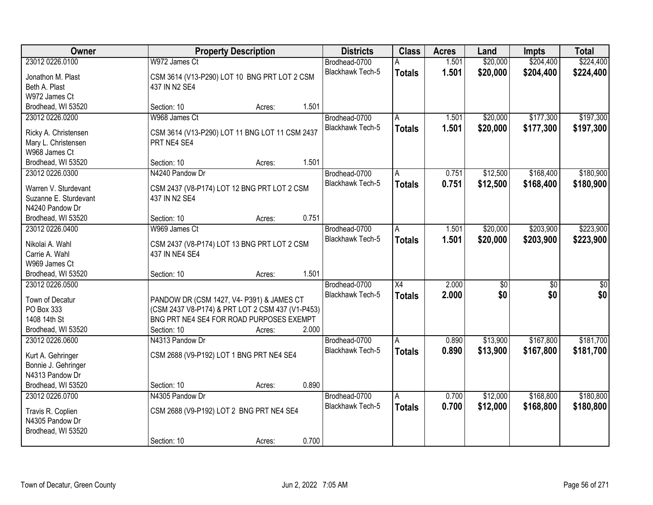| Owner                                       |                                                               | <b>Property Description</b> |       | <b>Districts</b>        | <b>Class</b>  | <b>Acres</b> | Land     | <b>Impts</b>    | <b>Total</b> |
|---------------------------------------------|---------------------------------------------------------------|-----------------------------|-------|-------------------------|---------------|--------------|----------|-----------------|--------------|
| 23012 0226.0100                             | W972 James Ct                                                 |                             |       | Brodhead-0700           |               | 1.501        | \$20,000 | \$204,400       | \$224,400    |
| Jonathon M. Plast                           | CSM 3614 (V13-P290) LOT 10 BNG PRT LOT 2 CSM                  |                             |       | <b>Blackhawk Tech-5</b> | <b>Totals</b> | 1.501        | \$20,000 | \$204,400       | \$224,400    |
| Beth A. Plast                               | 437 IN N2 SE4                                                 |                             |       |                         |               |              |          |                 |              |
| W972 James Ct                               |                                                               |                             |       |                         |               |              |          |                 |              |
| Brodhead, WI 53520                          | Section: 10                                                   | Acres:                      | 1.501 |                         |               |              |          |                 |              |
| 23012 0226.0200                             | W968 James Ct                                                 |                             |       | Brodhead-0700           | A             | 1.501        | \$20,000 | \$177,300       | \$197,300    |
|                                             |                                                               |                             |       | Blackhawk Tech-5        | <b>Totals</b> | 1.501        | \$20,000 | \$177,300       | \$197,300    |
| Ricky A. Christensen<br>Mary L. Christensen | CSM 3614 (V13-P290) LOT 11 BNG LOT 11 CSM 2437<br>PRT NE4 SE4 |                             |       |                         |               |              |          |                 |              |
| W968 James Ct                               |                                                               |                             |       |                         |               |              |          |                 |              |
| Brodhead, WI 53520                          | Section: 10                                                   | Acres:                      | 1.501 |                         |               |              |          |                 |              |
| 23012 0226.0300                             | N4240 Pandow Dr                                               |                             |       | Brodhead-0700           | l A           | 0.751        | \$12,500 | \$168,400       | \$180,900    |
|                                             |                                                               |                             |       | Blackhawk Tech-5        | <b>Totals</b> | 0.751        | \$12,500 | \$168,400       | \$180,900    |
| Warren V. Sturdevant                        | CSM 2437 (V8-P174) LOT 12 BNG PRT LOT 2 CSM                   |                             |       |                         |               |              |          |                 |              |
| Suzanne E. Sturdevant                       | 437 IN N2 SE4                                                 |                             |       |                         |               |              |          |                 |              |
| N4240 Pandow Dr                             |                                                               |                             | 0.751 |                         |               |              |          |                 |              |
| Brodhead, WI 53520<br>23012 0226.0400       | Section: 10<br>W969 James Ct                                  | Acres:                      |       | Brodhead-0700           | A             | 1.501        | \$20,000 | \$203,900       | \$223,900    |
|                                             |                                                               |                             |       | Blackhawk Tech-5        |               | 1.501        |          |                 |              |
| Nikolai A. Wahl                             | CSM 2437 (V8-P174) LOT 13 BNG PRT LOT 2 CSM                   |                             |       |                         | <b>Totals</b> |              | \$20,000 | \$203,900       | \$223,900    |
| Carrie A. Wahl                              | 437 IN NE4 SE4                                                |                             |       |                         |               |              |          |                 |              |
| W969 James Ct                               |                                                               |                             |       |                         |               |              |          |                 |              |
| Brodhead, WI 53520                          | Section: 10                                                   | Acres:                      | 1.501 |                         |               |              |          |                 |              |
| 23012 0226.0500                             |                                                               |                             |       | Brodhead-0700           | X4            | 2.000        | \$0      | $\overline{50}$ | \$0          |
| Town of Decatur                             | PANDOW DR (CSM 1427, V4- P391) & JAMES CT                     |                             |       | Blackhawk Tech-5        | <b>Totals</b> | 2.000        | \$0      | \$0             | \$0          |
| PO Box 333                                  | (CSM 2437 V8-P174) & PRT LOT 2 CSM 437 (V1-P453)              |                             |       |                         |               |              |          |                 |              |
| 1408 14th St                                | BNG PRT NE4 SE4 FOR ROAD PURPOSES EXEMPT                      |                             |       |                         |               |              |          |                 |              |
| Brodhead, WI 53520                          | Section: 10                                                   | Acres:                      | 2.000 |                         |               |              |          |                 |              |
| 23012 0226.0600                             | N4313 Pandow Dr                                               |                             |       | Brodhead-0700           | A             | 0.890        | \$13,900 | \$167,800       | \$181,700    |
| Kurt A. Gehringer                           | CSM 2688 (V9-P192) LOT 1 BNG PRT NE4 SE4                      |                             |       | Blackhawk Tech-5        | <b>Totals</b> | 0.890        | \$13,900 | \$167,800       | \$181,700    |
| Bonnie J. Gehringer                         |                                                               |                             |       |                         |               |              |          |                 |              |
| N4313 Pandow Dr                             |                                                               |                             |       |                         |               |              |          |                 |              |
| Brodhead, WI 53520                          | Section: 10                                                   | Acres:                      | 0.890 |                         |               |              |          |                 |              |
| 23012 0226.0700                             | N4305 Pandow Dr                                               |                             |       | Brodhead-0700           | Α             | 0.700        | \$12,000 | \$168,800       | \$180,800    |
| Travis R. Coplien                           | CSM 2688 (V9-P192) LOT 2 BNG PRT NE4 SE4                      |                             |       | <b>Blackhawk Tech-5</b> | <b>Totals</b> | 0.700        | \$12,000 | \$168,800       | \$180,800    |
| N4305 Pandow Dr                             |                                                               |                             |       |                         |               |              |          |                 |              |
| Brodhead, WI 53520                          |                                                               |                             |       |                         |               |              |          |                 |              |
|                                             | Section: 10                                                   | Acres:                      | 0.700 |                         |               |              |          |                 |              |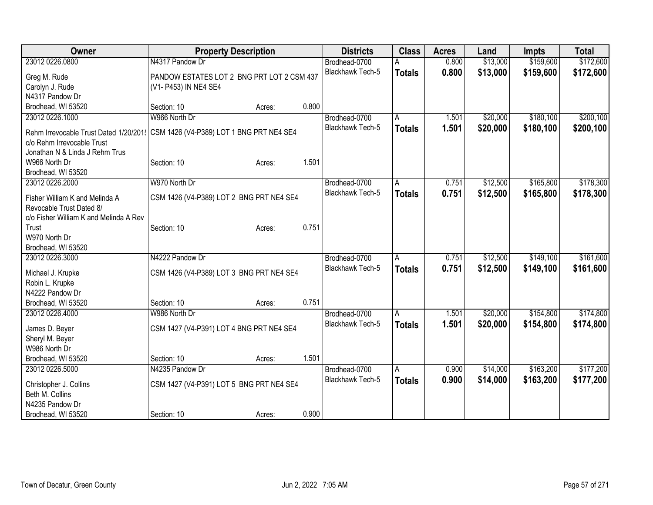| Owner                                  | <b>Property Description</b>                |        |       | <b>Districts</b>        | <b>Class</b>   | <b>Acres</b> | Land     | <b>Impts</b> | <b>Total</b> |
|----------------------------------------|--------------------------------------------|--------|-------|-------------------------|----------------|--------------|----------|--------------|--------------|
| 23012 0226.0800                        | N4317 Pandow Dr                            |        |       | Brodhead-0700           |                | 0.800        | \$13,000 | \$159,600    | \$172,600    |
| Greg M. Rude                           | PANDOW ESTATES LOT 2 BNG PRT LOT 2 CSM 437 |        |       | Blackhawk Tech-5        | <b>Totals</b>  | 0.800        | \$13,000 | \$159,600    | \$172,600    |
| Carolyn J. Rude                        | (V1- P453) IN NE4 SE4                      |        |       |                         |                |              |          |              |              |
| N4317 Pandow Dr                        |                                            |        |       |                         |                |              |          |              |              |
| Brodhead, WI 53520                     | Section: 10                                | Acres: | 0.800 |                         |                |              |          |              |              |
| 23012 0226.1000                        | W966 North Dr                              |        |       | Brodhead-0700           | A              | 1.501        | \$20,000 | \$180,100    | \$200,100    |
|                                        |                                            |        |       | Blackhawk Tech-5        | <b>Totals</b>  | 1.501        | \$20,000 | \$180,100    | \$200,100    |
| Rehm Irrevocable Trust Dated 1/20/201! | CSM 1426 (V4-P389) LOT 1 BNG PRT NE4 SE4   |        |       |                         |                |              |          |              |              |
| c/o Rehm Irrevocable Trust             |                                            |        |       |                         |                |              |          |              |              |
| Jonathan N & Linda J Rehm Trus         |                                            |        | 1.501 |                         |                |              |          |              |              |
| W966 North Dr<br>Brodhead, WI 53520    | Section: 10                                | Acres: |       |                         |                |              |          |              |              |
| 23012 0226.2000                        | W970 North Dr                              |        |       | Brodhead-0700           | A              | 0.751        | \$12,500 | \$165,800    | \$178,300    |
|                                        |                                            |        |       | <b>Blackhawk Tech-5</b> |                | 0.751        |          |              |              |
| Fisher William K and Melinda A         | CSM 1426 (V4-P389) LOT 2 BNG PRT NE4 SE4   |        |       |                         | <b>Totals</b>  |              | \$12,500 | \$165,800    | \$178,300    |
| Revocable Trust Dated 8/               |                                            |        |       |                         |                |              |          |              |              |
| c/o Fisher William K and Melinda A Rev |                                            |        |       |                         |                |              |          |              |              |
| Trust                                  | Section: 10                                | Acres: | 0.751 |                         |                |              |          |              |              |
| W970 North Dr                          |                                            |        |       |                         |                |              |          |              |              |
| Brodhead, WI 53520                     |                                            |        |       |                         |                |              |          |              |              |
| 23012 0226.3000                        | N4222 Pandow Dr                            |        |       | Brodhead-0700           | $\overline{A}$ | 0.751        | \$12,500 | \$149,100    | \$161,600    |
| Michael J. Krupke                      | CSM 1426 (V4-P389) LOT 3 BNG PRT NE4 SE4   |        |       | Blackhawk Tech-5        | <b>Totals</b>  | 0.751        | \$12,500 | \$149,100    | \$161,600    |
| Robin L. Krupke                        |                                            |        |       |                         |                |              |          |              |              |
| N4222 Pandow Dr                        |                                            |        |       |                         |                |              |          |              |              |
| Brodhead, WI 53520                     | Section: 10                                | Acres: | 0.751 |                         |                |              |          |              |              |
| 23012 0226.4000                        | W986 North Dr                              |        |       | Brodhead-0700           | $\overline{A}$ | 1.501        | \$20,000 | \$154,800    | \$174,800    |
|                                        |                                            |        |       | Blackhawk Tech-5        | <b>Totals</b>  | 1.501        | \$20,000 | \$154,800    | \$174,800    |
| James D. Beyer                         | CSM 1427 (V4-P391) LOT 4 BNG PRT NE4 SE4   |        |       |                         |                |              |          |              |              |
| Sheryl M. Beyer                        |                                            |        |       |                         |                |              |          |              |              |
| W986 North Dr                          | Section: 10                                |        | 1.501 |                         |                |              |          |              |              |
| Brodhead, WI 53520<br>23012 0226.5000  | N4235 Pandow Dr                            | Acres: |       |                         |                | 0.900        | \$14,000 | \$163,200    | \$177,200    |
|                                        |                                            |        |       | Brodhead-0700           | A              |              |          |              |              |
| Christopher J. Collins                 | CSM 1427 (V4-P391) LOT 5 BNG PRT NE4 SE4   |        |       | Blackhawk Tech-5        | <b>Totals</b>  | 0.900        | \$14,000 | \$163,200    | \$177,200    |
| Beth M. Collins                        |                                            |        |       |                         |                |              |          |              |              |
| N4235 Pandow Dr                        |                                            |        |       |                         |                |              |          |              |              |
| Brodhead, WI 53520                     | Section: 10                                | Acres: | 0.900 |                         |                |              |          |              |              |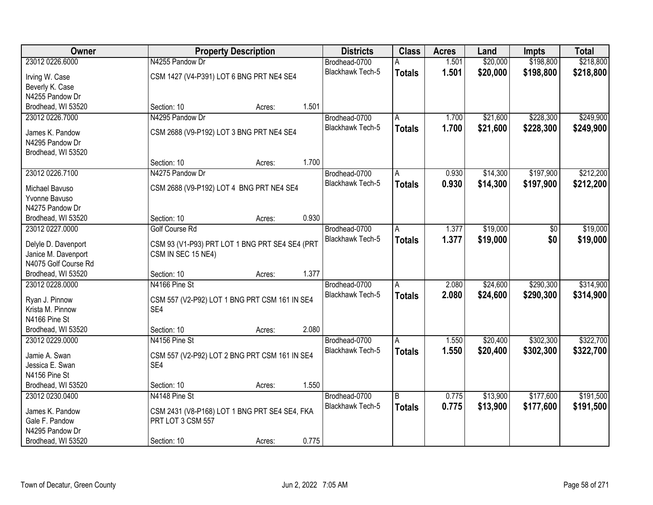| Owner                | <b>Property Description</b>                    |        |       | <b>Districts</b>        | <b>Class</b>  | <b>Acres</b> | Land     | <b>Impts</b> | <b>Total</b> |
|----------------------|------------------------------------------------|--------|-------|-------------------------|---------------|--------------|----------|--------------|--------------|
| 23012 0226.6000      | N4255 Pandow Dr                                |        |       | Brodhead-0700           | A             | 1.501        | \$20,000 | \$198,800    | \$218,800    |
| Irving W. Case       | CSM 1427 (V4-P391) LOT 6 BNG PRT NE4 SE4       |        |       | Blackhawk Tech-5        | <b>Totals</b> | 1.501        | \$20,000 | \$198,800    | \$218,800    |
| Beverly K. Case      |                                                |        |       |                         |               |              |          |              |              |
| N4255 Pandow Dr      |                                                |        |       |                         |               |              |          |              |              |
| Brodhead, WI 53520   | Section: 10                                    | Acres: | 1.501 |                         |               |              |          |              |              |
| 23012 0226.7000      | N4295 Pandow Dr                                |        |       | Brodhead-0700           | Α             | 1.700        | \$21,600 | \$228,300    | \$249,900    |
|                      |                                                |        |       | <b>Blackhawk Tech-5</b> | <b>Totals</b> | 1.700        | \$21,600 | \$228,300    | \$249,900    |
| James K. Pandow      | CSM 2688 (V9-P192) LOT 3 BNG PRT NE4 SE4       |        |       |                         |               |              |          |              |              |
| N4295 Pandow Dr      |                                                |        |       |                         |               |              |          |              |              |
| Brodhead, WI 53520   |                                                |        | 1.700 |                         |               |              |          |              |              |
|                      | Section: 10                                    | Acres: |       |                         |               |              |          |              |              |
| 23012 0226.7100      | N4275 Pandow Dr                                |        |       | Brodhead-0700           | A             | 0.930        | \$14,300 | \$197,900    | \$212,200    |
| Michael Bavuso       | CSM 2688 (V9-P192) LOT 4 BNG PRT NE4 SE4       |        |       | Blackhawk Tech-5        | <b>Totals</b> | 0.930        | \$14,300 | \$197,900    | \$212,200    |
| Yvonne Bavuso        |                                                |        |       |                         |               |              |          |              |              |
| N4275 Pandow Dr      |                                                |        |       |                         |               |              |          |              |              |
| Brodhead, WI 53520   | Section: 10                                    | Acres: | 0.930 |                         |               |              |          |              |              |
| 23012 0227.0000      | Golf Course Rd                                 |        |       | Brodhead-0700           | A             | 1.377        | \$19,000 | \$0          | \$19,000     |
| Delyle D. Davenport  | CSM 93 (V1-P93) PRT LOT 1 BNG PRT SE4 SE4 (PRT |        |       | Blackhawk Tech-5        | <b>Totals</b> | 1.377        | \$19,000 | \$0          | \$19,000     |
| Janice M. Davenport  | CSM IN SEC 15 NE4)                             |        |       |                         |               |              |          |              |              |
| N4075 Golf Course Rd |                                                |        |       |                         |               |              |          |              |              |
| Brodhead, WI 53520   | Section: 10                                    | Acres: | 1.377 |                         |               |              |          |              |              |
| 23012 0228.0000      | N4166 Pine St                                  |        |       | Brodhead-0700           | A             | 2.080        | \$24,600 | \$290,300    | \$314,900    |
|                      |                                                |        |       | Blackhawk Tech-5        | <b>Totals</b> | 2.080        | \$24,600 | \$290,300    | \$314,900    |
| Ryan J. Pinnow       | CSM 557 (V2-P92) LOT 1 BNG PRT CSM 161 IN SE4  |        |       |                         |               |              |          |              |              |
| Krista M. Pinnow     | SE4                                            |        |       |                         |               |              |          |              |              |
| N4166 Pine St        |                                                |        |       |                         |               |              |          |              |              |
| Brodhead, WI 53520   | Section: 10                                    | Acres: | 2.080 |                         |               |              |          |              |              |
| 23012 0229.0000      | N4156 Pine St                                  |        |       | Brodhead-0700           | A             | 1.550        | \$20,400 | \$302,300    | \$322,700    |
| Jamie A. Swan        | CSM 557 (V2-P92) LOT 2 BNG PRT CSM 161 IN SE4  |        |       | Blackhawk Tech-5        | <b>Totals</b> | 1.550        | \$20,400 | \$302,300    | \$322,700    |
| Jessica E. Swan      | SE4                                            |        |       |                         |               |              |          |              |              |
| N4156 Pine St        |                                                |        |       |                         |               |              |          |              |              |
| Brodhead, WI 53520   | Section: 10                                    | Acres: | 1.550 |                         |               |              |          |              |              |
| 23012 0230.0400      | N4148 Pine St                                  |        |       | Brodhead-0700           | B             | 0.775        | \$13,900 | \$177,600    | \$191,500    |
| James K. Pandow      | CSM 2431 (V8-P168) LOT 1 BNG PRT SE4 SE4, FKA  |        |       | <b>Blackhawk Tech-5</b> | <b>Totals</b> | 0.775        | \$13,900 | \$177,600    | \$191,500    |
| Gale F. Pandow       | PRT LOT 3 CSM 557                              |        |       |                         |               |              |          |              |              |
| N4295 Pandow Dr      |                                                |        |       |                         |               |              |          |              |              |
| Brodhead, WI 53520   | Section: 10                                    | Acres: | 0.775 |                         |               |              |          |              |              |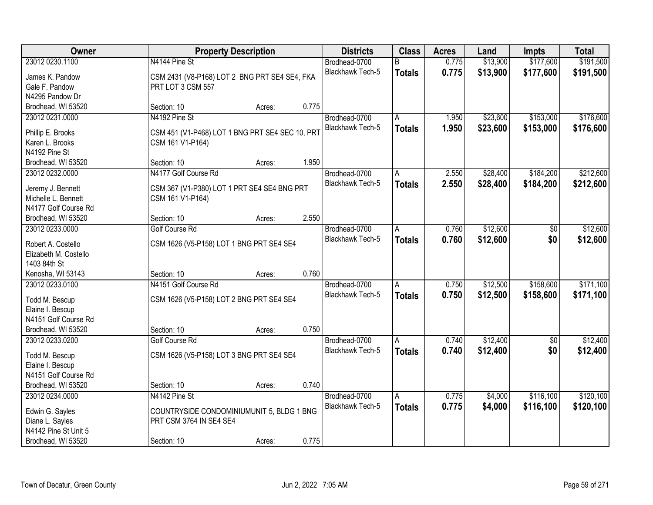| Owner                 |                                                 | <b>Property Description</b> |       | <b>Districts</b>        | <b>Class</b>  | <b>Acres</b> | Land     | <b>Impts</b>    | <b>Total</b> |
|-----------------------|-------------------------------------------------|-----------------------------|-------|-------------------------|---------------|--------------|----------|-----------------|--------------|
| 23012 0230.1100       | N4144 Pine St                                   |                             |       | Brodhead-0700           | B             | 0.775        | \$13,900 | \$177,600       | \$191,500    |
| James K. Pandow       | CSM 2431 (V8-P168) LOT 2 BNG PRT SE4 SE4, FKA   |                             |       | Blackhawk Tech-5        | <b>Totals</b> | 0.775        | \$13,900 | \$177,600       | \$191,500    |
| Gale F. Pandow        | PRT LOT 3 CSM 557                               |                             |       |                         |               |              |          |                 |              |
| N4295 Pandow Dr       |                                                 |                             |       |                         |               |              |          |                 |              |
| Brodhead, WI 53520    | Section: 10                                     | Acres:                      | 0.775 |                         |               |              |          |                 |              |
| 23012 0231.0000       | N4192 Pine St                                   |                             |       | Brodhead-0700           | A             | 1.950        | \$23,600 | \$153,000       | \$176,600    |
|                       |                                                 |                             |       | <b>Blackhawk Tech-5</b> | <b>Totals</b> | 1.950        | \$23,600 | \$153,000       | \$176,600    |
| Phillip E. Brooks     | CSM 451 (V1-P468) LOT 1 BNG PRT SE4 SEC 10, PRT |                             |       |                         |               |              |          |                 |              |
| Karen L. Brooks       | CSM 161 V1-P164)                                |                             |       |                         |               |              |          |                 |              |
| N4192 Pine St         |                                                 |                             |       |                         |               |              |          |                 |              |
| Brodhead, WI 53520    | Section: 10                                     | Acres:                      | 1.950 |                         |               |              |          |                 |              |
| 23012 0232.0000       | N4177 Golf Course Rd                            |                             |       | Brodhead-0700           | A             | 2.550        | \$28,400 | \$184,200       | \$212,600    |
| Jeremy J. Bennett     | CSM 367 (V1-P380) LOT 1 PRT SE4 SE4 BNG PRT     |                             |       | Blackhawk Tech-5        | <b>Totals</b> | 2.550        | \$28,400 | \$184,200       | \$212,600    |
| Michelle L. Bennett   | CSM 161 V1-P164)                                |                             |       |                         |               |              |          |                 |              |
| N4177 Golf Course Rd  |                                                 |                             |       |                         |               |              |          |                 |              |
| Brodhead, WI 53520    | Section: 10                                     | Acres:                      | 2.550 |                         |               |              |          |                 |              |
| 23012 0233.0000       | Golf Course Rd                                  |                             |       | Brodhead-0700           | A             | 0.760        | \$12,600 | \$0             | \$12,600     |
|                       |                                                 |                             |       | <b>Blackhawk Tech-5</b> | <b>Totals</b> | 0.760        | \$12,600 | \$0             | \$12,600     |
| Robert A. Costello    | CSM 1626 (V5-P158) LOT 1 BNG PRT SE4 SE4        |                             |       |                         |               |              |          |                 |              |
| Elizabeth M. Costello |                                                 |                             |       |                         |               |              |          |                 |              |
| 1403 84th St          |                                                 |                             |       |                         |               |              |          |                 |              |
| Kenosha, WI 53143     | Section: 10                                     | Acres:                      | 0.760 |                         |               |              |          |                 |              |
| 23012 0233.0100       | N4151 Golf Course Rd                            |                             |       | Brodhead-0700           | Α             | 0.750        | \$12,500 | \$158,600       | \$171,100    |
| Todd M. Bescup        | CSM 1626 (V5-P158) LOT 2 BNG PRT SE4 SE4        |                             |       | Blackhawk Tech-5        | <b>Totals</b> | 0.750        | \$12,500 | \$158,600       | \$171,100    |
| Elaine I. Bescup      |                                                 |                             |       |                         |               |              |          |                 |              |
| N4151 Golf Course Rd  |                                                 |                             |       |                         |               |              |          |                 |              |
| Brodhead, WI 53520    | Section: 10                                     | Acres:                      | 0.750 |                         |               |              |          |                 |              |
| 23012 0233.0200       | Golf Course Rd                                  |                             |       | Brodhead-0700           | A             | 0.740        | \$12,400 | $\overline{60}$ | \$12,400     |
|                       |                                                 |                             |       | Blackhawk Tech-5        | <b>Totals</b> | 0.740        | \$12,400 | \$0             | \$12,400     |
| Todd M. Bescup        | CSM 1626 (V5-P158) LOT 3 BNG PRT SE4 SE4        |                             |       |                         |               |              |          |                 |              |
| Elaine I. Bescup      |                                                 |                             |       |                         |               |              |          |                 |              |
| N4151 Golf Course Rd  |                                                 |                             |       |                         |               |              |          |                 |              |
| Brodhead, WI 53520    | Section: 10                                     | Acres:                      | 0.740 |                         |               |              |          |                 |              |
| 23012 0234.0000       | N4142 Pine St                                   |                             |       | Brodhead-0700           | A             | 0.775        | \$4,000  | \$116,100       | \$120,100    |
| Edwin G. Sayles       | COUNTRYSIDE CONDOMINIUMUNIT 5, BLDG 1 BNG       |                             |       | Blackhawk Tech-5        | <b>Totals</b> | 0.775        | \$4,000  | \$116,100       | \$120,100    |
| Diane L. Sayles       | PRT CSM 3764 IN SE4 SE4                         |                             |       |                         |               |              |          |                 |              |
| N4142 Pine St Unit 5  |                                                 |                             |       |                         |               |              |          |                 |              |
| Brodhead, WI 53520    | Section: 10                                     | Acres:                      | 0.775 |                         |               |              |          |                 |              |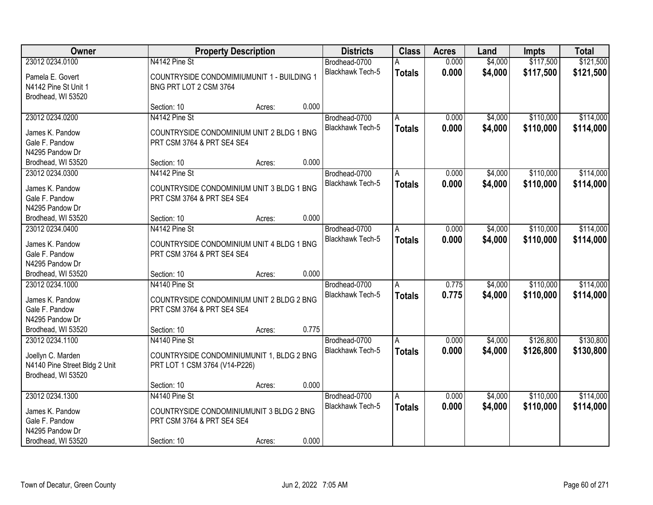| <b>Owner</b>                      |                                            | <b>Property Description</b> |       | <b>Districts</b>        | <b>Class</b>  | <b>Acres</b> | Land    | <b>Impts</b> | <b>Total</b> |
|-----------------------------------|--------------------------------------------|-----------------------------|-------|-------------------------|---------------|--------------|---------|--------------|--------------|
| 23012 0234.0100                   | N4142 Pine St                              |                             |       | Brodhead-0700           |               | 0.000        | \$4,000 | \$117,500    | \$121,500    |
| Pamela E. Govert                  | COUNTRYSIDE CONDOMIMIUMUNIT 1 - BUILDING 1 |                             |       | Blackhawk Tech-5        | <b>Totals</b> | 0.000        | \$4,000 | \$117,500    | \$121,500    |
| N4142 Pine St Unit 1              | BNG PRT LOT 2 CSM 3764                     |                             |       |                         |               |              |         |              |              |
| Brodhead, WI 53520                |                                            |                             |       |                         |               |              |         |              |              |
|                                   | Section: 10                                | Acres:                      | 0.000 |                         |               |              |         |              |              |
| 23012 0234.0200                   | N4142 Pine St                              |                             |       | Brodhead-0700           | A             | 0.000        | \$4,000 | \$110,000    | \$114,000    |
|                                   |                                            |                             |       | Blackhawk Tech-5        | <b>Totals</b> | 0.000        | \$4,000 | \$110,000    | \$114,000    |
| James K. Pandow                   | COUNTRYSIDE CONDOMINIUM UNIT 2 BLDG 1 BNG  |                             |       |                         |               |              |         |              |              |
| Gale F. Pandow<br>N4295 Pandow Dr | PRT CSM 3764 & PRT SE4 SE4                 |                             |       |                         |               |              |         |              |              |
|                                   | Section: 10                                |                             | 0.000 |                         |               |              |         |              |              |
| Brodhead, WI 53520                |                                            | Acres:                      |       |                         |               |              |         |              |              |
| 23012 0234.0300                   | N4142 Pine St                              |                             |       | Brodhead-0700           | A             | 0.000        | \$4,000 | \$110,000    | \$114,000    |
| James K. Pandow                   | COUNTRYSIDE CONDOMINIUM UNIT 3 BLDG 1 BNG  |                             |       | Blackhawk Tech-5        | <b>Totals</b> | 0.000        | \$4,000 | \$110,000    | \$114,000    |
| Gale F. Pandow                    | PRT CSM 3764 & PRT SE4 SE4                 |                             |       |                         |               |              |         |              |              |
| N4295 Pandow Dr                   |                                            |                             |       |                         |               |              |         |              |              |
| Brodhead, WI 53520                | Section: 10                                | Acres:                      | 0.000 |                         |               |              |         |              |              |
| 23012 0234.0400                   | N4142 Pine St                              |                             |       | Brodhead-0700           | A             | 0.000        | \$4,000 | \$110,000    | \$114,000    |
|                                   |                                            |                             |       | <b>Blackhawk Tech-5</b> | <b>Totals</b> | 0.000        | \$4,000 | \$110,000    | \$114,000    |
| James K. Pandow                   | COUNTRYSIDE CONDOMINIUM UNIT 4 BLDG 1 BNG  |                             |       |                         |               |              |         |              |              |
| Gale F. Pandow                    | PRT CSM 3764 & PRT SE4 SE4                 |                             |       |                         |               |              |         |              |              |
| N4295 Pandow Dr                   |                                            |                             | 0.000 |                         |               |              |         |              |              |
| Brodhead, WI 53520                | Section: 10                                | Acres:                      |       |                         |               |              |         |              |              |
| 23012 0234.1000                   | N4140 Pine St                              |                             |       | Brodhead-0700           | A             | 0.775        | \$4,000 | \$110,000    | \$114,000    |
| James K. Pandow                   | COUNTRYSIDE CONDOMINIUM UNIT 2 BLDG 2 BNG  |                             |       | Blackhawk Tech-5        | <b>Totals</b> | 0.775        | \$4,000 | \$110,000    | \$114,000    |
| Gale F. Pandow                    | PRT CSM 3764 & PRT SE4 SE4                 |                             |       |                         |               |              |         |              |              |
| N4295 Pandow Dr                   |                                            |                             |       |                         |               |              |         |              |              |
| Brodhead, WI 53520                | Section: 10                                | Acres:                      | 0.775 |                         |               |              |         |              |              |
| 23012 0234.1100                   | N4140 Pine St                              |                             |       | Brodhead-0700           | A             | 0.000        | \$4,000 | \$126,800    | \$130,800    |
|                                   |                                            |                             |       | Blackhawk Tech-5        | <b>Totals</b> | 0.000        | \$4,000 | \$126,800    | \$130,800    |
| Joellyn C. Marden                 | COUNTRYSIDE CONDOMINIUMUNIT 1, BLDG 2 BNG  |                             |       |                         |               |              |         |              |              |
| N4140 Pine Street Bldg 2 Unit     | PRT LOT 1 CSM 3764 (V14-P226)              |                             |       |                         |               |              |         |              |              |
| Brodhead, WI 53520                |                                            |                             |       |                         |               |              |         |              |              |
|                                   | Section: 10                                | Acres:                      | 0.000 |                         |               |              |         |              |              |
| 23012 0234.1300                   | N4140 Pine St                              |                             |       | Brodhead-0700           | A             | 0.000        | \$4,000 | \$110,000    | \$114,000    |
| James K. Pandow                   | COUNTRYSIDE CONDOMINIUMUNIT 3 BLDG 2 BNG   |                             |       | Blackhawk Tech-5        | <b>Totals</b> | 0.000        | \$4,000 | \$110,000    | \$114,000    |
| Gale F. Pandow                    | PRT CSM 3764 & PRT SE4 SE4                 |                             |       |                         |               |              |         |              |              |
| N4295 Pandow Dr                   |                                            |                             |       |                         |               |              |         |              |              |
| Brodhead, WI 53520                | Section: 10                                | Acres:                      | 0.000 |                         |               |              |         |              |              |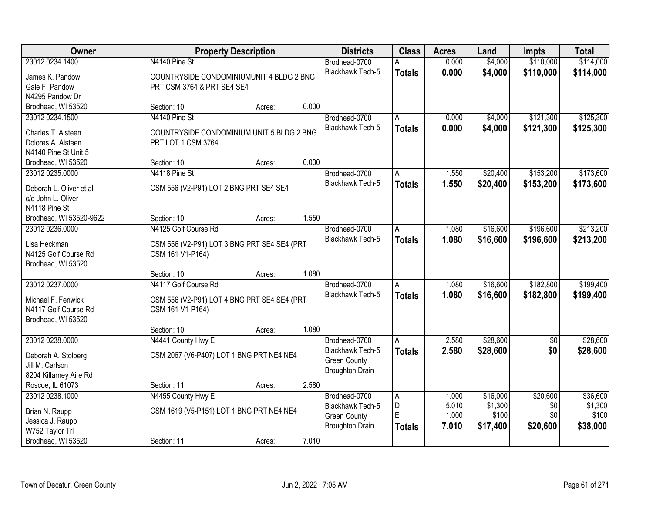| Owner                                      | <b>Property Description</b>                                     |        |       | <b>Districts</b>        | <b>Class</b>  | <b>Acres</b> | Land     | Impts      | <b>Total</b> |
|--------------------------------------------|-----------------------------------------------------------------|--------|-------|-------------------------|---------------|--------------|----------|------------|--------------|
| 23012 0234.1400                            | N4140 Pine St                                                   |        |       | Brodhead-0700           |               | 0.000        | \$4,000  | \$110,000  | \$114,000    |
| James K. Pandow                            | COUNTRYSIDE CONDOMINIUMUNIT 4 BLDG 2 BNG                        |        |       | Blackhawk Tech-5        | <b>Totals</b> | 0.000        | \$4,000  | \$110,000  | \$114,000    |
| Gale F. Pandow                             | PRT CSM 3764 & PRT SE4 SE4                                      |        |       |                         |               |              |          |            |              |
| N4295 Pandow Dr                            |                                                                 |        |       |                         |               |              |          |            |              |
| Brodhead, WI 53520                         | Section: 10                                                     | Acres: | 0.000 |                         |               |              |          |            |              |
| 23012 0234.1500                            | N4140 Pine St                                                   |        |       | Brodhead-0700           | A             | 0.000        | \$4,000  | \$121,300  | \$125,300    |
|                                            |                                                                 |        |       | Blackhawk Tech-5        | <b>Totals</b> | 0.000        | \$4,000  | \$121,300  | \$125,300    |
| Charles T. Alsteen<br>Dolores A. Alsteen   | COUNTRYSIDE CONDOMINIUM UNIT 5 BLDG 2 BNG<br>PRT LOT 1 CSM 3764 |        |       |                         |               |              |          |            |              |
| N4140 Pine St Unit 5                       |                                                                 |        |       |                         |               |              |          |            |              |
| Brodhead, WI 53520                         | Section: 10                                                     | Acres: | 0.000 |                         |               |              |          |            |              |
| 23012 0235.0000                            | N4118 Pine St                                                   |        |       | Brodhead-0700           | A             | 1.550        | \$20,400 | \$153,200  | \$173,600    |
|                                            |                                                                 |        |       | <b>Blackhawk Tech-5</b> | <b>Totals</b> | 1.550        | \$20,400 | \$153,200  | \$173,600    |
| Deborah L. Oliver et al                    | CSM 556 (V2-P91) LOT 2 BNG PRT SE4 SE4                          |        |       |                         |               |              |          |            |              |
| c/o John L. Oliver                         |                                                                 |        |       |                         |               |              |          |            |              |
| N4118 Pine St                              |                                                                 |        |       |                         |               |              |          |            |              |
| Brodhead, WI 53520-9622                    | Section: 10                                                     | Acres: | 1.550 |                         |               |              |          |            |              |
| 23012 0236,0000                            | N4125 Golf Course Rd                                            |        |       | Brodhead-0700           | A             | 1.080        | \$16,600 | \$196,600  | \$213,200    |
| Lisa Heckman                               | CSM 556 (V2-P91) LOT 3 BNG PRT SE4 SE4 (PRT                     |        |       | Blackhawk Tech-5        | <b>Totals</b> | 1.080        | \$16,600 | \$196,600  | \$213,200    |
| N4125 Golf Course Rd                       | CSM 161 V1-P164)                                                |        |       |                         |               |              |          |            |              |
| Brodhead, WI 53520                         |                                                                 |        |       |                         |               |              |          |            |              |
|                                            | Section: 10                                                     | Acres: | 1.080 |                         |               |              |          |            |              |
| 23012 0237.0000                            | N4117 Golf Course Rd                                            |        |       | Brodhead-0700           | A             | 1.080        | \$16,600 | \$182,800  | \$199,400    |
| Michael F. Fenwick                         | CSM 556 (V2-P91) LOT 4 BNG PRT SE4 SE4 (PRT                     |        |       | Blackhawk Tech-5        | <b>Totals</b> | 1.080        | \$16,600 | \$182,800  | \$199,400    |
| N4117 Golf Course Rd                       | CSM 161 V1-P164)                                                |        |       |                         |               |              |          |            |              |
| Brodhead, WI 53520                         |                                                                 |        |       |                         |               |              |          |            |              |
|                                            | Section: 10                                                     | Acres: | 1.080 |                         |               |              |          |            |              |
| 23012 0238.0000                            | N4441 County Hwy E                                              |        |       | Brodhead-0700           | A             | 2.580        | \$28,600 | $\sqrt{6}$ | \$28,600     |
|                                            |                                                                 |        |       | Blackhawk Tech-5        | <b>Totals</b> | 2.580        | \$28,600 | \$0        | \$28,600     |
| Deborah A. Stolberg                        | CSM 2067 (V6-P407) LOT 1 BNG PRT NE4 NE4                        |        |       | <b>Green County</b>     |               |              |          |            |              |
| Jill M. Carlson                            |                                                                 |        |       | <b>Broughton Drain</b>  |               |              |          |            |              |
| 8204 Killarney Aire Rd<br>Roscoe, IL 61073 | Section: 11                                                     |        | 2.580 |                         |               |              |          |            |              |
| 23012 0238.1000                            | N4455 County Hwy E                                              | Acres: |       | Brodhead-0700           |               | 1.000        | \$16,000 | \$20,600   | \$36,600     |
|                                            |                                                                 |        |       | Blackhawk Tech-5        | A<br>D        | 5.010        | \$1,300  | \$0        | \$1,300      |
| Brian N. Raupp                             | CSM 1619 (V5-P151) LOT 1 BNG PRT NE4 NE4                        |        |       | <b>Green County</b>     | E             | 1.000        | \$100    | \$0        | \$100        |
| Jessica J. Raupp                           |                                                                 |        |       | <b>Broughton Drain</b>  | <b>Totals</b> | 7.010        | \$17,400 | \$20,600   | \$38,000     |
| W752 Taylor Trl                            |                                                                 |        |       |                         |               |              |          |            |              |
| Brodhead, WI 53520                         | Section: 11                                                     | Acres: | 7.010 |                         |               |              |          |            |              |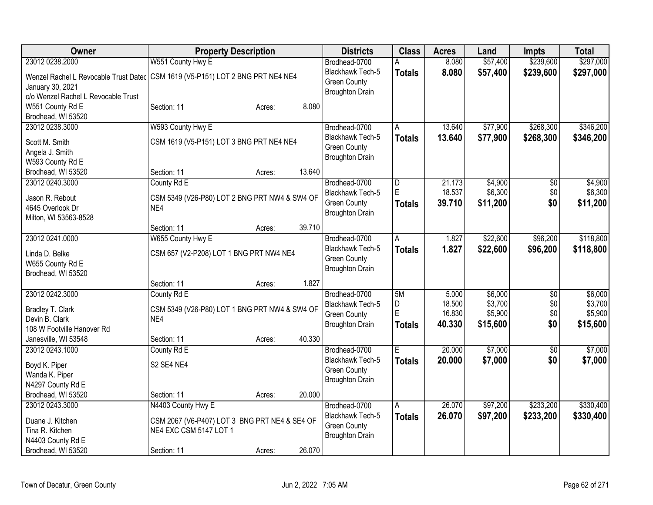| <b>Owner</b>                        | <b>Property Description</b>                                                      | <b>Districts</b>        | <b>Class</b>  | <b>Acres</b> | Land     | <b>Impts</b>    | <b>Total</b> |
|-------------------------------------|----------------------------------------------------------------------------------|-------------------------|---------------|--------------|----------|-----------------|--------------|
| 23012 0238.2000                     | W551 County Hwy E                                                                | Brodhead-0700           | Α             | 8.080        | \$57,400 | \$239,600       | \$297,000    |
|                                     | Wenzel Rachel L Revocable Trust Dater   CSM 1619 (V5-P151) LOT 2 BNG PRT NE4 NE4 | Blackhawk Tech-5        | <b>Totals</b> | 8.080        | \$57,400 | \$239,600       | \$297,000    |
| January 30, 2021                    |                                                                                  | <b>Green County</b>     |               |              |          |                 |              |
| c/o Wenzel Rachel L Revocable Trust |                                                                                  | <b>Broughton Drain</b>  |               |              |          |                 |              |
| W551 County Rd E                    | 8.080<br>Section: 11<br>Acres:                                                   |                         |               |              |          |                 |              |
| Brodhead, WI 53520                  |                                                                                  |                         |               |              |          |                 |              |
| 23012 0238.3000                     | W593 County Hwy E                                                                | Brodhead-0700           | A             | 13.640       | \$77,900 | \$268,300       | \$346,200    |
| Scott M. Smith                      | CSM 1619 (V5-P151) LOT 3 BNG PRT NE4 NE4                                         | Blackhawk Tech-5        | <b>Totals</b> | 13.640       | \$77,900 | \$268,300       | \$346,200    |
| Angela J. Smith                     |                                                                                  | <b>Green County</b>     |               |              |          |                 |              |
| W593 County Rd E                    |                                                                                  | <b>Broughton Drain</b>  |               |              |          |                 |              |
| Brodhead, WI 53520                  | 13.640<br>Section: 11<br>Acres:                                                  |                         |               |              |          |                 |              |
| 23012 0240.3000                     | County Rd E                                                                      | Brodhead-0700           | D             | 21.173       | \$4,900  | \$0             | \$4,900      |
|                                     |                                                                                  | Blackhawk Tech-5        | E             | 18.537       | \$6,300  | \$0             | \$6,300      |
| Jason R. Rebout                     | CSM 5349 (V26-P80) LOT 2 BNG PRT NW4 & SW4 OF                                    | <b>Green County</b>     | <b>Totals</b> | 39.710       | \$11,200 | \$0             | \$11,200     |
| 4645 Overlook Dr                    | NE4                                                                              | <b>Broughton Drain</b>  |               |              |          |                 |              |
| Milton, WI 53563-8528               | 39.710                                                                           |                         |               |              |          |                 |              |
| 23012 0241.0000                     | Section: 11<br>Acres:                                                            | Brodhead-0700           |               | 1.827        |          |                 | \$118,800    |
|                                     | W655 County Hwy E                                                                | <b>Blackhawk Tech-5</b> | A             |              | \$22,600 | \$96,200        |              |
| Linda D. Belke                      | CSM 657 (V2-P208) LOT 1 BNG PRT NW4 NE4                                          | <b>Green County</b>     | <b>Totals</b> | 1.827        | \$22,600 | \$96,200        | \$118,800    |
| W655 County Rd E                    |                                                                                  | <b>Broughton Drain</b>  |               |              |          |                 |              |
| Brodhead, WI 53520                  |                                                                                  |                         |               |              |          |                 |              |
|                                     | 1.827<br>Section: 11<br>Acres:                                                   |                         |               |              |          |                 |              |
| 23012 0242.3000                     | County Rd E                                                                      | Brodhead-0700           | 5M            | 5.000        | \$6,000  | \$0             | \$6,000      |
| Bradley T. Clark                    | CSM 5349 (V26-P80) LOT 1 BNG PRT NW4 & SW4 OF                                    | Blackhawk Tech-5        | D             | 18.500       | \$3,700  | \$0             | \$3,700      |
| Devin B. Clark                      | NE4                                                                              | <b>Green County</b>     | E             | 16.830       | \$5,900  | \$0             | \$5,900      |
| 108 W Footville Hanover Rd          |                                                                                  | <b>Broughton Drain</b>  | <b>Totals</b> | 40.330       | \$15,600 | \$0             | \$15,600     |
| Janesville, WI 53548                | 40.330<br>Section: 11<br>Acres:                                                  |                         |               |              |          |                 |              |
| 23012 0243.1000                     | County Rd E                                                                      | Brodhead-0700           | E             | 20.000       | \$7,000  | $\overline{30}$ | \$7,000      |
|                                     | S2 SE4 NE4                                                                       | Blackhawk Tech-5        | <b>Totals</b> | 20.000       | \$7,000  | \$0             | \$7,000      |
| Boyd K. Piper<br>Wanda K. Piper     |                                                                                  | <b>Green County</b>     |               |              |          |                 |              |
| N4297 County Rd E                   |                                                                                  | <b>Broughton Drain</b>  |               |              |          |                 |              |
| Brodhead, WI 53520                  | 20.000<br>Section: 11<br>Acres:                                                  |                         |               |              |          |                 |              |
| 23012 0243.3000                     | N4403 County Hwy E                                                               | Brodhead-0700           | A             | 26.070       | \$97,200 | \$233,200       | \$330,400    |
|                                     |                                                                                  | Blackhawk Tech-5        | <b>Totals</b> | 26.070       | \$97,200 | \$233,200       | \$330,400    |
| Duane J. Kitchen                    | CSM 2067 (V6-P407) LOT 3 BNG PRT NE4 & SE4 OF                                    | <b>Green County</b>     |               |              |          |                 |              |
| Tina R. Kitchen                     | NE4 EXC CSM 5147 LOT 1                                                           | <b>Broughton Drain</b>  |               |              |          |                 |              |
| N4403 County Rd E                   |                                                                                  |                         |               |              |          |                 |              |
| Brodhead, WI 53520                  | 26.070<br>Section: 11<br>Acres:                                                  |                         |               |              |          |                 |              |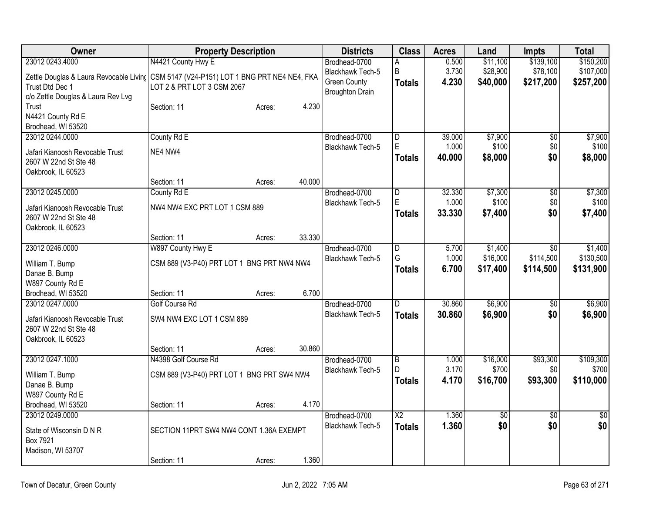| Owner                                   | <b>Property Description</b>                    |        |        | <b>Districts</b>        | <b>Class</b>    | <b>Acres</b> | Land       | <b>Impts</b>    | <b>Total</b>    |
|-----------------------------------------|------------------------------------------------|--------|--------|-------------------------|-----------------|--------------|------------|-----------------|-----------------|
| 23012 0243.4000                         | N4421 County Hwy E                             |        |        | Brodhead-0700           | А               | 0.500        | \$11,100   | \$139,100       | \$150,200       |
| Zettle Douglas & Laura Revocable Living | CSM 5147 (V24-P151) LOT 1 BNG PRT NE4 NE4, FKA |        |        | Blackhawk Tech-5        | B               | 3.730        | \$28,900   | \$78,100        | \$107,000       |
| Trust Dtd Dec 1                         | LOT 2 & PRT LOT 3 CSM 2067                     |        |        | <b>Green County</b>     | <b>Totals</b>   | 4.230        | \$40,000   | \$217,200       | \$257,200       |
| c/o Zettle Douglas & Laura Rev Lvg      |                                                |        |        | <b>Broughton Drain</b>  |                 |              |            |                 |                 |
| Trust                                   | Section: 11                                    | Acres: | 4.230  |                         |                 |              |            |                 |                 |
| N4421 County Rd E                       |                                                |        |        |                         |                 |              |            |                 |                 |
| Brodhead, WI 53520                      |                                                |        |        |                         |                 |              |            |                 |                 |
| 23012 0244.0000                         | County Rd E                                    |        |        | Brodhead-0700           | D               | 39.000       | \$7,900    | $\overline{50}$ | \$7,900         |
| Jafari Kianoosh Revocable Trust         | NE4 NW4                                        |        |        | <b>Blackhawk Tech-5</b> | E               | 1.000        | \$100      | \$0             | \$100           |
| 2607 W 22nd St Ste 48                   |                                                |        |        |                         | <b>Totals</b>   | 40.000       | \$8,000    | \$0             | \$8,000         |
| Oakbrook, IL 60523                      |                                                |        |        |                         |                 |              |            |                 |                 |
|                                         | Section: 11                                    | Acres: | 40.000 |                         |                 |              |            |                 |                 |
| 23012 0245.0000                         | County Rd E                                    |        |        | Brodhead-0700           | D               | 32.330       | \$7,300    | \$0             | \$7,300         |
| Jafari Kianoosh Revocable Trust         | NW4 NW4 EXC PRT LOT 1 CSM 889                  |        |        | <b>Blackhawk Tech-5</b> | E               | 1.000        | \$100      | \$0             | \$100           |
| 2607 W 22nd St Ste 48                   |                                                |        |        |                         | <b>Totals</b>   | 33.330       | \$7,400    | \$0             | \$7,400         |
| Oakbrook, IL 60523                      |                                                |        |        |                         |                 |              |            |                 |                 |
|                                         | Section: 11                                    | Acres: | 33.330 |                         |                 |              |            |                 |                 |
| 23012 0246.0000                         | W897 County Hwy E                              |        |        | Brodhead-0700           | $\overline{D}$  | 5.700        | \$1,400    | \$0             | \$1,400         |
| William T. Bump                         | CSM 889 (V3-P40) PRT LOT 1 BNG PRT NW4 NW4     |        |        | Blackhawk Tech-5        | G               | 1.000        | \$16,000   | \$114,500       | \$130,500       |
| Danae B. Bump                           |                                                |        |        |                         | <b>Totals</b>   | 6.700        | \$17,400   | \$114,500       | \$131,900       |
| W897 County Rd E                        |                                                |        |        |                         |                 |              |            |                 |                 |
| Brodhead, WI 53520                      | Section: 11                                    | Acres: | 6.700  |                         |                 |              |            |                 |                 |
| 23012 0247.0000                         | <b>Golf Course Rd</b>                          |        |        | Brodhead-0700           | D               | 30.860       | \$6,900    | \$0             | \$6,900         |
| Jafari Kianoosh Revocable Trust         | SW4 NW4 EXC LOT 1 CSM 889                      |        |        | <b>Blackhawk Tech-5</b> | <b>Totals</b>   | 30.860       | \$6,900    | \$0             | \$6,900         |
| 2607 W 22nd St Ste 48                   |                                                |        |        |                         |                 |              |            |                 |                 |
| Oakbrook, IL 60523                      |                                                |        |        |                         |                 |              |            |                 |                 |
|                                         | Section: 11                                    | Acres: | 30.860 |                         |                 |              |            |                 |                 |
| 23012 0247.1000                         | N4398 Golf Course Rd                           |        |        | Brodhead-0700           | $\overline{B}$  | 1.000        | \$16,000   | \$93,300        | \$109,300       |
| William T. Bump                         | CSM 889 (V3-P40) PRT LOT 1 BNG PRT SW4 NW4     |        |        | <b>Blackhawk Tech-5</b> | D               | 3.170        | \$700      | \$0             | \$700           |
| Danae B. Bump                           |                                                |        |        |                         | <b>Totals</b>   | 4.170        | \$16,700   | \$93,300        | \$110,000       |
| W897 County Rd E                        |                                                |        |        |                         |                 |              |            |                 |                 |
| Brodhead, WI 53520                      | Section: 11                                    | Acres: | 4.170  |                         |                 |              |            |                 |                 |
| 23012 0249.0000                         |                                                |        |        | Brodhead-0700           | $\overline{X2}$ | 1.360        | $\sqrt{6}$ | $\overline{50}$ | $\overline{50}$ |
| State of Wisconsin D N R                | SECTION 11PRT SW4 NW4 CONT 1.36A EXEMPT        |        |        | <b>Blackhawk Tech-5</b> | <b>Totals</b>   | 1.360        | \$0        | \$0             | \$0             |
| Box 7921                                |                                                |        |        |                         |                 |              |            |                 |                 |
| Madison, WI 53707                       |                                                |        |        |                         |                 |              |            |                 |                 |
|                                         | Section: 11                                    | Acres: | 1.360  |                         |                 |              |            |                 |                 |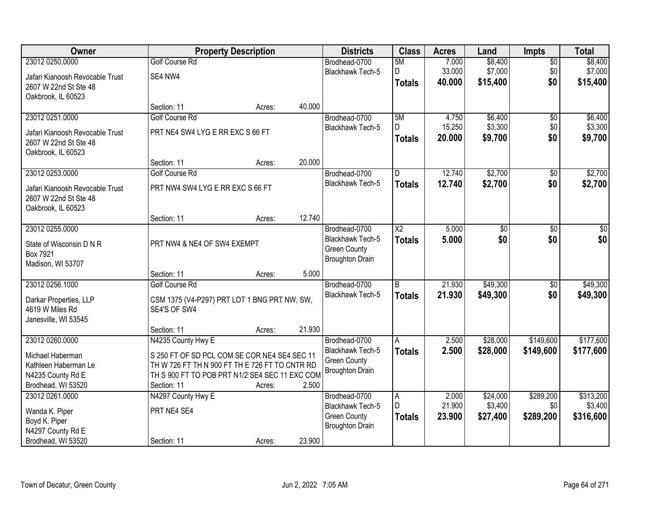| Owner                           |                                                | <b>Property Description</b> |        | <b>Districts</b>                              | <b>Class</b>            | <b>Acres</b> | Land            | <b>Impts</b>    | <b>Total</b>    |
|---------------------------------|------------------------------------------------|-----------------------------|--------|-----------------------------------------------|-------------------------|--------------|-----------------|-----------------|-----------------|
| 23012 0250,0000                 | <b>Golf Course Rd</b>                          |                             |        | Brodhead-0700                                 | 5M                      | 7.000        | \$8,400         | $\overline{50}$ | \$8,400         |
| Jafari Kianoosh Revocable Trust | SE4 NW4                                        |                             |        | Blackhawk Tech-5                              | D                       | 33.000       | \$7,000         | \$0             | \$7,000         |
| 2607 W 22nd St Ste 48           |                                                |                             |        |                                               | <b>Totals</b>           | 40.000       | \$15,400        | \$0             | \$15,400        |
| Oakbrook, IL 60523              |                                                |                             |        |                                               |                         |              |                 |                 |                 |
|                                 | Section: 11                                    | Acres:                      | 40.000 |                                               |                         |              |                 |                 |                 |
| 23012 0251.0000                 | <b>Golf Course Rd</b>                          |                             |        | Brodhead-0700                                 | 5M                      | 4.750        | \$6,400         | \$0             | \$6,400         |
| Jafari Kianoosh Revocable Trust | PRT NE4 SW4 LYG E RR EXC S 66 FT               |                             |        | <b>Blackhawk Tech-5</b>                       | D                       | 15.250       | \$3,300         | \$0             | \$3,300         |
| 2607 W 22nd St Ste 48           |                                                |                             |        |                                               | <b>Totals</b>           | 20.000       | \$9,700         | \$0             | \$9,700         |
| Oakbrook, IL 60523              |                                                |                             |        |                                               |                         |              |                 |                 |                 |
|                                 | Section: 11                                    | Acres:                      | 20.000 |                                               |                         |              |                 |                 |                 |
| 23012 0253.0000                 | <b>Golf Course Rd</b>                          |                             |        | Brodhead-0700                                 | $\overline{\mathsf{D}}$ | 12.740       | \$2,700         | \$0             | \$2,700         |
| Jafari Kianoosh Revocable Trust | PRT NW4 SW4 LYG E RR EXC S 66 FT               |                             |        | <b>Blackhawk Tech-5</b>                       | <b>Totals</b>           | 12.740       | \$2,700         | \$0             | \$2,700         |
| 2607 W 22nd St Ste 48           |                                                |                             |        |                                               |                         |              |                 |                 |                 |
| Oakbrook, IL 60523              |                                                |                             |        |                                               |                         |              |                 |                 |                 |
|                                 | Section: 11                                    | Acres:                      | 12.740 |                                               |                         |              |                 |                 |                 |
| 23012 0255.0000                 |                                                |                             |        | Brodhead-0700                                 | $\overline{\text{X2}}$  | 5.000        | $\overline{50}$ | $\overline{30}$ | $\overline{50}$ |
| State of Wisconsin D N R        | PRT NW4 & NE4 OF SW4 EXEMPT                    |                             |        | Blackhawk Tech-5                              | <b>Totals</b>           | 5.000        | \$0             | \$0             | \$0             |
| Box 7921                        |                                                |                             |        | <b>Green County</b><br><b>Broughton Drain</b> |                         |              |                 |                 |                 |
| Madison, WI 53707               |                                                |                             |        |                                               |                         |              |                 |                 |                 |
|                                 | Section: 11                                    | Acres:                      | 5.000  |                                               |                         |              |                 |                 |                 |
| 23012 0256.1000                 | <b>Golf Course Rd</b>                          |                             |        | Brodhead-0700                                 | B                       | 21.930       | \$49,300        | \$0             | \$49,300        |
| Darkar Properties, LLP          | CSM 1375 (V4-P297) PRT LOT 1 BNG PRT NW, SW,   |                             |        | <b>Blackhawk Tech-5</b>                       | <b>Totals</b>           | 21.930       | \$49,300        | \$0             | \$49,300        |
| 4619 W Miles Rd                 | SE4'S OF SW4                                   |                             |        |                                               |                         |              |                 |                 |                 |
| Janesville, WI 53545            |                                                |                             |        |                                               |                         |              |                 |                 |                 |
|                                 | Section: 11                                    | Acres:                      | 21.930 |                                               |                         |              |                 |                 |                 |
| 23012 0260.0000                 | N4235 County Hwy E                             |                             |        | Brodhead-0700                                 | A                       | 2.500        | \$28,000        | \$149,600       | \$177,600       |
| Michael Haberman                | S 250 FT OF SD PCL COM SE COR NE4 SE4 SEC 11   |                             |        | Blackhawk Tech-5<br><b>Green County</b>       | <b>Totals</b>           | 2.500        | \$28,000        | \$149,600       | \$177,600       |
| Kathleen Haberman Le            | TH W 726 FT TH N 900 FT TH E 726 FT TO CNTR RD |                             |        | <b>Broughton Drain</b>                        |                         |              |                 |                 |                 |
| N4235 County Rd E               | TH S 900 FT TO POB PRT N1/2 SE4 SEC 11 EXC COM |                             |        |                                               |                         |              |                 |                 |                 |
| Brodhead, WI 53520              | Section: 11                                    | Acres:                      | 2.500  |                                               |                         |              |                 |                 |                 |
| 23012 0261.0000                 | N4297 County Hwy E                             |                             |        | Brodhead-0700                                 | A<br>D.                 | 2.000        | \$24,000        | \$289,200       | \$313,200       |
| Wanda K. Piper                  | PRT NE4 SE4                                    |                             |        | Blackhawk Tech-5<br><b>Green County</b>       |                         | 21.900       | \$3,400         | \$0             | \$3,400         |
| Boyd K. Piper                   |                                                |                             |        | <b>Broughton Drain</b>                        | <b>Totals</b>           | 23.900       | \$27,400        | \$289,200       | \$316,600       |
| N4297 County Rd E               |                                                |                             |        |                                               |                         |              |                 |                 |                 |
| Brodhead, WI 53520              | Section: 11                                    | Acres:                      | 23.900 |                                               |                         |              |                 |                 |                 |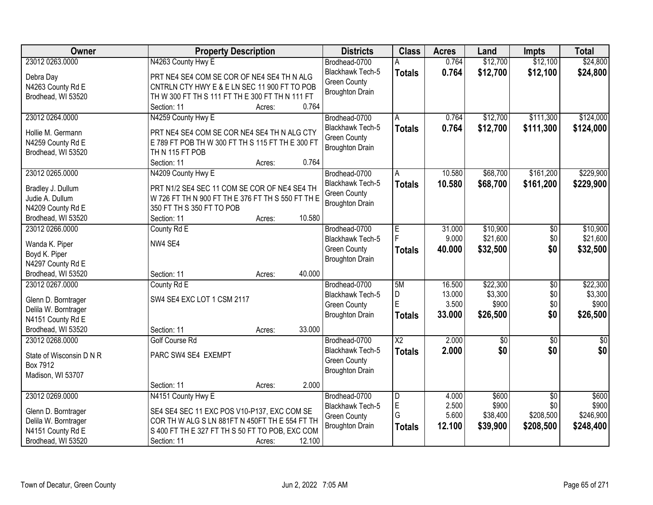| Owner                    | <b>Property Description</b>                       | <b>Districts</b>        | <b>Class</b>           | <b>Acres</b> | Land            | <b>Impts</b>    | <b>Total</b>    |
|--------------------------|---------------------------------------------------|-------------------------|------------------------|--------------|-----------------|-----------------|-----------------|
| 23012 0263.0000          | N4263 County Hwy E                                | Brodhead-0700           |                        | 0.764        | \$12,700        | \$12,100        | \$24,800        |
| Debra Day                | PRT NE4 SE4 COM SE COR OF NE4 SE4 TH N ALG        | Blackhawk Tech-5        | <b>Totals</b>          | 0.764        | \$12,700        | \$12,100        | \$24,800        |
| N4263 County Rd E        | CNTRLN CTY HWY E & E LN SEC 11 900 FT TO POB      | <b>Green County</b>     |                        |              |                 |                 |                 |
| Brodhead, WI 53520       | TH W 300 FT TH S 111 FT TH E 300 FT TH N 111 FT   | <b>Broughton Drain</b>  |                        |              |                 |                 |                 |
|                          | 0.764<br>Section: 11<br>Acres:                    |                         |                        |              |                 |                 |                 |
| 23012 0264.0000          | N4259 County Hwy E                                | Brodhead-0700           | A                      | 0.764        | \$12,700        | \$111,300       | \$124,000       |
|                          |                                                   | Blackhawk Tech-5        | <b>Totals</b>          | 0.764        | \$12,700        | \$111,300       | \$124,000       |
| Hollie M. Germann        | PRT NE4 SE4 COM SE COR NE4 SE4 TH N ALG CTY       | <b>Green County</b>     |                        |              |                 |                 |                 |
| N4259 County Rd E        | E 789 FT POB TH W 300 FT TH S 115 FT TH E 300 FT  | <b>Broughton Drain</b>  |                        |              |                 |                 |                 |
| Brodhead, WI 53520       | THN 115 FT POB                                    |                         |                        |              |                 |                 |                 |
|                          | 0.764<br>Section: 11<br>Acres:                    |                         |                        |              |                 |                 |                 |
| 23012 0265.0000          | N4209 County Hwy E                                | Brodhead-0700           | A                      | 10.580       | \$68,700        | \$161,200       | \$229,900       |
| Bradley J. Dullum        | PRT N1/2 SE4 SEC 11 COM SE COR OF NE4 SE4 TH      | <b>Blackhawk Tech-5</b> | <b>Totals</b>          | 10.580       | \$68,700        | \$161,200       | \$229,900       |
| Judie A. Dullum          | W 726 FT TH N 900 FT TH E 376 FT TH S 550 FT TH E | <b>Green County</b>     |                        |              |                 |                 |                 |
| N4209 County Rd E        | 350 FT TH S 350 FT TO POB                         | <b>Broughton Drain</b>  |                        |              |                 |                 |                 |
| Brodhead, WI 53520       | 10.580<br>Section: 11<br>Acres:                   |                         |                        |              |                 |                 |                 |
| 23012 0266,0000          | County Rd E                                       | Brodhead-0700           | E                      | 31.000       | \$10,900        | \$0             | \$10,900        |
|                          |                                                   | <b>Blackhawk Tech-5</b> | Þ                      | 9.000        | \$21,600        | \$0             | \$21,600        |
| Wanda K. Piper           | NW4 SE4                                           | <b>Green County</b>     | <b>Totals</b>          | 40.000       | \$32,500        | \$0             | \$32,500        |
| Boyd K. Piper            |                                                   | <b>Broughton Drain</b>  |                        |              |                 |                 |                 |
| N4297 County Rd E        |                                                   |                         |                        |              |                 |                 |                 |
| Brodhead, WI 53520       | 40.000<br>Section: 11<br>Acres:                   |                         |                        |              |                 |                 |                 |
| 23012 0267.0000          | County Rd E                                       | Brodhead-0700           | 5M                     | 16.500       | \$22,300        | $\overline{50}$ | \$22,300        |
| Glenn D. Borntrager      | SW4 SE4 EXC LOT 1 CSM 2117                        | Blackhawk Tech-5        | D                      | 13.000       | \$3,300         | \$0             | \$3,300         |
| Delila W. Borntrager     |                                                   | <b>Green County</b>     | E                      | 3.500        | \$900           | \$0             | \$900           |
| N4151 County Rd E        |                                                   | <b>Broughton Drain</b>  | <b>Totals</b>          | 33.000       | \$26,500        | \$0             | \$26,500        |
| Brodhead, WI 53520       | 33.000<br>Section: 11<br>Acres:                   |                         |                        |              |                 |                 |                 |
| 23012 0268.0000          | Golf Course Rd                                    | Brodhead-0700           | $\overline{\text{X2}}$ | 2.000        | $\overline{60}$ | $\overline{50}$ | $\overline{50}$ |
| State of Wisconsin D N R | PARC SW4 SE4 EXEMPT                               | Blackhawk Tech-5        | <b>Totals</b>          | 2.000        | \$0             | \$0             | \$0             |
| Box 7912                 |                                                   | <b>Green County</b>     |                        |              |                 |                 |                 |
| Madison, WI 53707        |                                                   | <b>Broughton Drain</b>  |                        |              |                 |                 |                 |
|                          | 2.000<br>Section: 11<br>Acres:                    |                         |                        |              |                 |                 |                 |
| 23012 0269.0000          | N4151 County Hwy E                                | Brodhead-0700           | D                      | 4.000        | \$600           | $\overline{30}$ | \$600           |
|                          |                                                   | <b>Blackhawk Tech-5</b> | E                      | 2.500        | \$900           | \$0             | \$900           |
| Glenn D. Borntrager      | SE4 SE4 SEC 11 EXC POS V10-P137, EXC COM SE       | <b>Green County</b>     | G                      | 5.600        | \$38,400        | \$208,500       | \$246,900       |
| Delila W. Borntrager     | COR TH W ALG S LN 881FT N 450FT TH E 554 FT TH    | <b>Broughton Drain</b>  |                        | 12.100       | \$39,900        | \$208,500       | \$248,400       |
| N4151 County Rd E        | S 400 FT TH E 327 FT TH S 50 FT TO POB, EXC COM   |                         | <b>Totals</b>          |              |                 |                 |                 |
| Brodhead, WI 53520       | 12.100<br>Section: 11<br>Acres:                   |                         |                        |              |                 |                 |                 |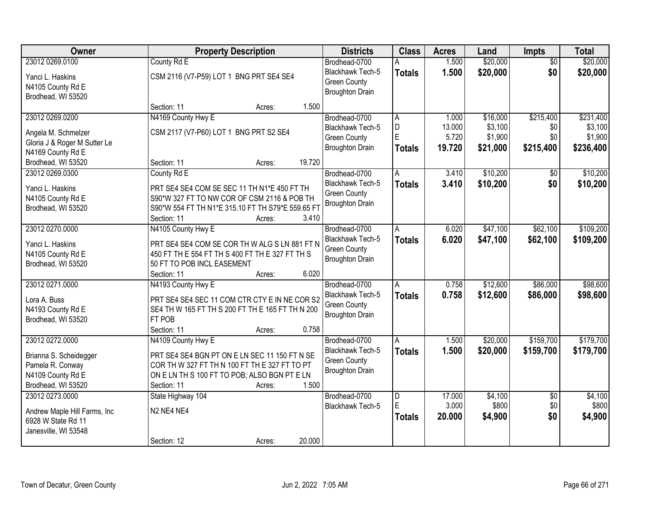| Owner                         | <b>Property Description</b>                       | <b>Districts</b>                        | <b>Class</b>   | <b>Acres</b> | Land     | <b>Impts</b>    | <b>Total</b> |
|-------------------------------|---------------------------------------------------|-----------------------------------------|----------------|--------------|----------|-----------------|--------------|
| 23012 0269.0100               | County Rd E                                       | Brodhead-0700                           |                | 1.500        | \$20,000 | $\overline{50}$ | \$20,000     |
| Yanci L. Haskins              | CSM 2116 (V7-P59) LOT 1 BNG PRT SE4 SE4           | Blackhawk Tech-5                        | <b>Totals</b>  | 1.500        | \$20,000 | \$0             | \$20,000     |
| N4105 County Rd E             |                                                   | <b>Green County</b>                     |                |              |          |                 |              |
| Brodhead, WI 53520            |                                                   | <b>Broughton Drain</b>                  |                |              |          |                 |              |
|                               | 1.500<br>Section: 11<br>Acres:                    |                                         |                |              |          |                 |              |
| 23012 0269.0200               | N4169 County Hwy E                                | Brodhead-0700                           | A              | 1.000        | \$16,000 | \$215,400       | \$231,400    |
| Angela M. Schmelzer           | CSM 2117 (V7-P60) LOT 1 BNG PRT S2 SE4            | Blackhawk Tech-5                        | D              | 13.000       | \$3,100  | \$0             | \$3,100      |
| Gloria J & Roger M Sutter Le  |                                                   | <b>Green County</b>                     | E              | 5.720        | \$1,900  | \$0             | \$1,900      |
| N4169 County Rd E             |                                                   | <b>Broughton Drain</b>                  | <b>Totals</b>  | 19.720       | \$21,000 | \$215,400       | \$236,400    |
| Brodhead, WI 53520            | 19.720<br>Section: 11<br>Acres:                   |                                         |                |              |          |                 |              |
| 23012 0269.0300               | County Rd E                                       | Brodhead-0700                           | A              | 3.410        | \$10,200 | \$0             | \$10,200     |
| Yanci L. Haskins              | PRT SE4 SE4 COM SE SEC 11 TH N1*E 450 FT TH       | Blackhawk Tech-5                        | <b>Totals</b>  | 3.410        | \$10,200 | \$0             | \$10,200     |
| N4105 County Rd E             | S90*W 327 FT TO NW COR OF CSM 2116 & POB TH       | <b>Green County</b>                     |                |              |          |                 |              |
| Brodhead, WI 53520            | S90*W 554 FT TH N1*E 315.10 FT TH S79*E 559.65 FT | <b>Broughton Drain</b>                  |                |              |          |                 |              |
|                               | Section: 11<br>3.410<br>Acres:                    |                                         |                |              |          |                 |              |
| 23012 0270.0000               | N4105 County Hwy E                                | Brodhead-0700                           | Α              | 6.020        | \$47,100 | \$62,100        | \$109,200    |
|                               |                                                   | <b>Blackhawk Tech-5</b>                 | <b>Totals</b>  | 6.020        | \$47,100 | \$62,100        | \$109,200    |
| Yanci L. Haskins              | PRT SE4 SE4 COM SE COR TH W ALG S LN 881 FT N     | <b>Green County</b>                     |                |              |          |                 |              |
| N4105 County Rd E             | 450 FT TH E 554 FT TH S 400 FT TH E 327 FT TH S   | <b>Broughton Drain</b>                  |                |              |          |                 |              |
| Brodhead, WI 53520            | 50 FT TO POB INCL EASEMENT                        |                                         |                |              |          |                 |              |
|                               | 6.020<br>Section: 11<br>Acres:                    |                                         |                |              |          |                 |              |
| 23012 0271.0000               | N4193 County Hwy E                                | Brodhead-0700                           | A              | 0.758        | \$12,600 | \$86,000        | \$98,600     |
| Lora A. Buss                  | PRT SE4 SE4 SEC 11 COM CTR CTY E IN NE COR S2     | Blackhawk Tech-5<br><b>Green County</b> | <b>Totals</b>  | 0.758        | \$12,600 | \$86,000        | \$98,600     |
| N4193 County Rd E             | SE4 TH W 165 FT TH S 200 FT TH E 165 FT TH N 200  | <b>Broughton Drain</b>                  |                |              |          |                 |              |
| Brodhead, WI 53520            | FT POB                                            |                                         |                |              |          |                 |              |
|                               | 0.758<br>Section: 11<br>Acres:                    |                                         |                |              |          |                 |              |
| 23012 0272.0000               | N4109 County Hwy E                                | Brodhead-0700                           | A              | 1.500        | \$20,000 | \$159,700       | \$179,700    |
| Brianna S. Scheidegger        | PRT SE4 SE4 BGN PT ON E LN SEC 11 150 FT N SE     | Blackhawk Tech-5                        | <b>Totals</b>  | 1.500        | \$20,000 | \$159,700       | \$179,700    |
| Pamela R. Conway              | COR TH W 327 FT TH N 100 FT TH E 327 FT TO PT     | <b>Green County</b>                     |                |              |          |                 |              |
| N4109 County Rd E             | ON E LN TH S 100 FT TO POB; ALSO BGN PT E LN      | <b>Broughton Drain</b>                  |                |              |          |                 |              |
| Brodhead, WI 53520            | 1.500<br>Section: 11<br>Acres:                    |                                         |                |              |          |                 |              |
| 23012 0273,0000               | State Highway 104                                 | Brodhead-0700                           | $\overline{D}$ | 17.000       | \$4,100  | $\overline{50}$ | \$4,100      |
| Andrew Maple Hill Farms, Inc. | N <sub>2</sub> NE4 NE4                            | Blackhawk Tech-5                        | E              | 3.000        | \$800    | \$0             | \$800        |
| 6928 W State Rd 11            |                                                   |                                         | <b>Totals</b>  | 20.000       | \$4,900  | \$0             | \$4,900      |
| Janesville, WI 53548          |                                                   |                                         |                |              |          |                 |              |
|                               | 20.000<br>Section: 12<br>Acres:                   |                                         |                |              |          |                 |              |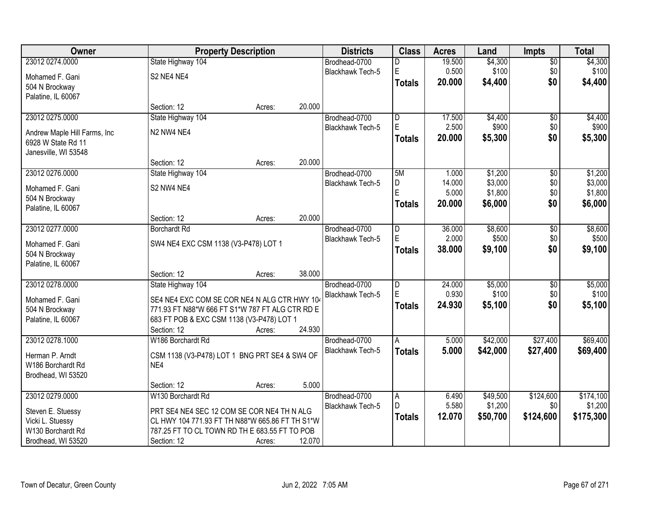| <b>Owner</b>                  |                                                 | <b>Property Description</b> |        | <b>Districts</b>        | <b>Class</b>            | <b>Acres</b> | Land     | <b>Impts</b>    | <b>Total</b> |
|-------------------------------|-------------------------------------------------|-----------------------------|--------|-------------------------|-------------------------|--------------|----------|-----------------|--------------|
| 23012 0274.0000               | State Highway 104                               |                             |        | Brodhead-0700           | D                       | 19.500       | \$4,300  | $\overline{50}$ | \$4,300      |
| Mohamed F. Gani               | S2 NE4 NE4                                      |                             |        | Blackhawk Tech-5        | E                       | 0.500        | \$100    | \$0             | \$100        |
| 504 N Brockway                |                                                 |                             |        |                         | <b>Totals</b>           | 20.000       | \$4,400  | \$0             | \$4,400      |
| Palatine, IL 60067            |                                                 |                             |        |                         |                         |              |          |                 |              |
|                               | Section: 12                                     | Acres:                      | 20.000 |                         |                         |              |          |                 |              |
| 23012 0275.0000               | State Highway 104                               |                             |        | Brodhead-0700           | $\overline{\mathsf{D}}$ | 17.500       | \$4,400  | \$0             | \$4,400      |
| Andrew Maple Hill Farms, Inc. | N <sub>2</sub> N <sub>W</sub> 4 NE4             |                             |        | <b>Blackhawk Tech-5</b> | E                       | 2.500        | \$900    | \$0             | \$900        |
| 6928 W State Rd 11            |                                                 |                             |        |                         | <b>Totals</b>           | 20.000       | \$5,300  | \$0             | \$5,300      |
| Janesville, WI 53548          |                                                 |                             |        |                         |                         |              |          |                 |              |
|                               | Section: 12                                     | Acres:                      | 20.000 |                         |                         |              |          |                 |              |
| 23012 0276.0000               | State Highway 104                               |                             |        | Brodhead-0700           | 5M                      | 1.000        | \$1,200  | $\overline{50}$ | \$1,200      |
| Mohamed F. Gani               | S2 NW4 NE4                                      |                             |        | Blackhawk Tech-5        | D                       | 14.000       | \$3,000  | \$0             | \$3,000      |
| 504 N Brockway                |                                                 |                             |        |                         | E                       | 5.000        | \$1,800  | \$0             | \$1,800      |
| Palatine, IL 60067            |                                                 |                             |        |                         | <b>Totals</b>           | 20.000       | \$6,000  | \$0             | \$6,000      |
|                               | Section: 12                                     | Acres:                      | 20.000 |                         |                         |              |          |                 |              |
| 23012 0277.0000               | <b>Borchardt Rd</b>                             |                             |        | Brodhead-0700           | D                       | 36.000       | \$8,600  | \$0             | \$8,600      |
| Mohamed F. Gani               | SW4 NE4 EXC CSM 1138 (V3-P478) LOT 1            |                             |        | Blackhawk Tech-5        | E                       | 2.000        | \$500    | \$0             | \$500        |
| 504 N Brockway                |                                                 |                             |        |                         | <b>Totals</b>           | 38.000       | \$9,100  | \$0             | \$9,100      |
| Palatine, IL 60067            |                                                 |                             |        |                         |                         |              |          |                 |              |
|                               | Section: 12                                     | Acres:                      | 38.000 |                         |                         |              |          |                 |              |
| 23012 0278.0000               | State Highway 104                               |                             |        | Brodhead-0700           | $\overline{\mathsf{D}}$ | 24.000       | \$5,000  | $\overline{30}$ | \$5,000      |
| Mohamed F. Gani               | SE4 NE4 EXC COM SE COR NE4 N ALG CTR HWY 104    |                             |        | Blackhawk Tech-5        | E                       | 0.930        | \$100    | \$0             | \$100        |
| 504 N Brockway                | 771.93 FT N88*W 666 FT S1*W 787 FT ALG CTR RD E |                             |        |                         | <b>Totals</b>           | 24.930       | \$5,100  | \$0             | \$5,100      |
| Palatine, IL 60067            | 683 FT POB & EXC CSM 1138 (V3-P478) LOT 1       |                             |        |                         |                         |              |          |                 |              |
|                               | Section: 12                                     | Acres:                      | 24.930 |                         |                         |              |          |                 |              |
| 23012 0278.1000               | W186 Borchardt Rd                               |                             |        | Brodhead-0700           | A                       | 5.000        | \$42,000 | \$27,400        | \$69,400     |
| Herman P. Arndt               | CSM 1138 (V3-P478) LOT 1 BNG PRT SE4 & SW4 OF   |                             |        | Blackhawk Tech-5        | <b>Totals</b>           | 5.000        | \$42,000 | \$27,400        | \$69,400     |
| W186 Borchardt Rd             | NE4                                             |                             |        |                         |                         |              |          |                 |              |
| Brodhead, WI 53520            |                                                 |                             |        |                         |                         |              |          |                 |              |
|                               | Section: 12                                     | Acres:                      | 5.000  |                         |                         |              |          |                 |              |
| 23012 0279.0000               | W130 Borchardt Rd                               |                             |        | Brodhead-0700           | A                       | 6.490        | \$49,500 | \$124,600       | \$174,100    |
| Steven E. Stuessy             | PRT SE4 NE4 SEC 12 COM SE COR NE4 TH N ALG      |                             |        | Blackhawk Tech-5        | D.                      | 5.580        | \$1,200  | \$0             | \$1,200      |
| Vicki L. Stuessy              | CL HWY 104 771.93 FT TH N88*W 665.86 FT TH S1*W |                             |        |                         | <b>Totals</b>           | 12.070       | \$50,700 | \$124,600       | \$175,300    |
| W130 Borchardt Rd             | 787.25 FT TO CL TOWN RD TH E 683.55 FT TO POB   |                             |        |                         |                         |              |          |                 |              |
| Brodhead, WI 53520            | Section: 12                                     | Acres:                      | 12.070 |                         |                         |              |          |                 |              |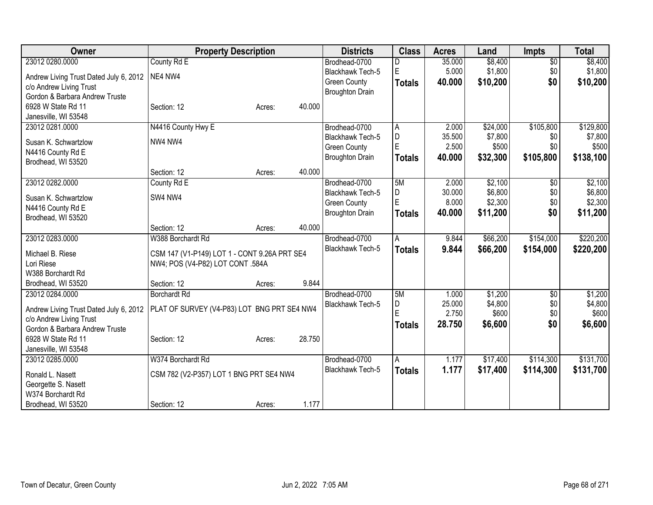| Owner                                  | <b>Property Description</b>                  |        |        | <b>Districts</b>        | <b>Class</b>   | <b>Acres</b> | Land     | <b>Impts</b>    | <b>Total</b> |
|----------------------------------------|----------------------------------------------|--------|--------|-------------------------|----------------|--------------|----------|-----------------|--------------|
| 23012 0280.0000                        | County Rd E                                  |        |        | Brodhead-0700           |                | 35.000       | \$8,400  | $\overline{50}$ | \$8,400      |
| Andrew Living Trust Dated July 6, 2012 | NE4 NW4                                      |        |        | Blackhawk Tech-5        | E              | 5.000        | \$1,800  | \$0             | \$1,800      |
| c/o Andrew Living Trust                |                                              |        |        | <b>Green County</b>     | <b>Totals</b>  | 40.000       | \$10,200 | \$0             | \$10,200     |
| Gordon & Barbara Andrew Truste         |                                              |        |        | <b>Broughton Drain</b>  |                |              |          |                 |              |
| 6928 W State Rd 11                     | Section: 12                                  | Acres: | 40.000 |                         |                |              |          |                 |              |
| Janesville, WI 53548                   |                                              |        |        |                         |                |              |          |                 |              |
| 23012 0281.0000                        | N4416 County Hwy E                           |        |        | Brodhead-0700           | l A            | 2.000        | \$24,000 | \$105,800       | \$129,800    |
|                                        |                                              |        |        | Blackhawk Tech-5        | $\overline{D}$ | 35.500       | \$7,800  | \$0             | \$7,800      |
| Susan K. Schwartzlow                   | NW4 NW4                                      |        |        | <b>Green County</b>     | E              | 2.500        | \$500    | \$0             | \$500        |
| N4416 County Rd E                      |                                              |        |        | <b>Broughton Drain</b>  | <b>Totals</b>  | 40.000       | \$32,300 | \$105,800       | \$138,100    |
| Brodhead, WI 53520                     | Section: 12                                  | Acres: | 40.000 |                         |                |              |          |                 |              |
| 23012 0282.0000                        | County Rd E                                  |        |        | Brodhead-0700           | 5M             | 2.000        | \$2,100  | $\sqrt[6]{}$    | \$2,100      |
|                                        |                                              |        |        | <b>Blackhawk Tech-5</b> | D              | 30.000       | \$6,800  | \$0             | \$6,800      |
| Susan K. Schwartzlow                   | SW4 NW4                                      |        |        | <b>Green County</b>     | E              | 8.000        | \$2,300  | \$0             | \$2,300      |
| N4416 County Rd E                      |                                              |        |        | <b>Broughton Drain</b>  | <b>Totals</b>  | 40.000       | \$11,200 | \$0             | \$11,200     |
| Brodhead, WI 53520                     |                                              |        |        |                         |                |              |          |                 |              |
|                                        | Section: 12                                  | Acres: | 40.000 |                         |                |              |          |                 |              |
| 23012 0283.0000                        | W388 Borchardt Rd                            |        |        | Brodhead-0700           | Α              | 9.844        | \$66,200 | \$154,000       | \$220,200    |
| Michael B. Riese                       | CSM 147 (V1-P149) LOT 1 - CONT 9.26A PRT SE4 |        |        | Blackhawk Tech-5        | <b>Totals</b>  | 9.844        | \$66,200 | \$154,000       | \$220,200    |
| Lori Riese                             | NW4; POS (V4-P82) LOT CONT .584A             |        |        |                         |                |              |          |                 |              |
| W388 Borchardt Rd                      |                                              |        |        |                         |                |              |          |                 |              |
| Brodhead, WI 53520                     | Section: 12                                  | Acres: | 9.844  |                         |                |              |          |                 |              |
| 23012 0284.0000                        | <b>Borchardt Rd</b>                          |        |        | Brodhead-0700           | 5M             | 1.000        | \$1,200  | \$0             | \$1,200      |
|                                        |                                              |        |        | Blackhawk Tech-5        | D              | 25.000       | \$4,800  | \$0             | \$4,800      |
| Andrew Living Trust Dated July 6, 2012 | PLAT OF SURVEY (V4-P83) LOT BNG PRT SE4 NW4  |        |        |                         | E              | 2.750        | \$600    | \$0             | \$600        |
| c/o Andrew Living Trust                |                                              |        |        |                         | <b>Totals</b>  | 28.750       | \$6,600  | \$0             | \$6,600      |
| Gordon & Barbara Andrew Truste         |                                              |        |        |                         |                |              |          |                 |              |
| 6928 W State Rd 11                     | Section: 12                                  | Acres: | 28.750 |                         |                |              |          |                 |              |
| Janesville, WI 53548                   |                                              |        |        |                         |                |              |          |                 |              |
| 23012 0285.0000                        | W374 Borchardt Rd                            |        |        | Brodhead-0700           | A              | 1.177        | \$17,400 | \$114,300       | \$131,700    |
| Ronald L. Nasett                       | CSM 782 (V2-P357) LOT 1 BNG PRT SE4 NW4      |        |        | Blackhawk Tech-5        | <b>Totals</b>  | 1.177        | \$17,400 | \$114,300       | \$131,700    |
| Georgette S. Nasett                    |                                              |        |        |                         |                |              |          |                 |              |
| W374 Borchardt Rd                      |                                              |        |        |                         |                |              |          |                 |              |
| Brodhead, WI 53520                     | Section: 12                                  | Acres: | 1.177  |                         |                |              |          |                 |              |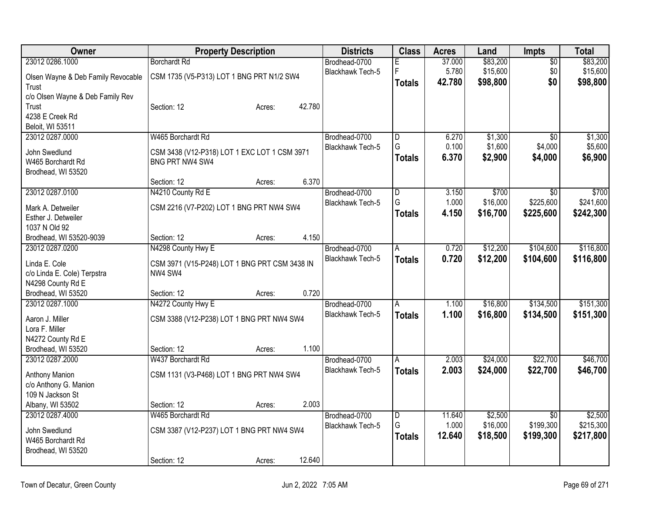| Owner                              |                                               | <b>Property Description</b> |        | <b>Districts</b>        | <b>Class</b>            | <b>Acres</b> | Land     | Impts           | <b>Total</b> |
|------------------------------------|-----------------------------------------------|-----------------------------|--------|-------------------------|-------------------------|--------------|----------|-----------------|--------------|
| 23012 0286.1000                    | <b>Borchardt Rd</b>                           |                             |        | Brodhead-0700           | E.                      | 37.000       | \$83,200 | $\overline{50}$ | \$83,200     |
| Olsen Wayne & Deb Family Revocable | CSM 1735 (V5-P313) LOT 1 BNG PRT N1/2 SW4     |                             |        | <b>Blackhawk Tech-5</b> | F                       | 5.780        | \$15,600 | \$0             | \$15,600     |
| Trust                              |                                               |                             |        |                         | <b>Totals</b>           | 42.780       | \$98,800 | \$0             | \$98,800     |
| c/o Olsen Wayne & Deb Family Rev   |                                               |                             |        |                         |                         |              |          |                 |              |
| Trust                              | Section: 12                                   | Acres:                      | 42.780 |                         |                         |              |          |                 |              |
| 4238 E Creek Rd                    |                                               |                             |        |                         |                         |              |          |                 |              |
| Beloit, WI 53511                   |                                               |                             |        |                         |                         |              |          |                 |              |
| 23012 0287.0000                    | W465 Borchardt Rd                             |                             |        | Brodhead-0700           | $\overline{\mathsf{D}}$ | 6.270        | \$1,300  | $\overline{30}$ | \$1,300      |
| John Swedlund                      | CSM 3438 (V12-P318) LOT 1 EXC LOT 1 CSM 3971  |                             |        | Blackhawk Tech-5        | G                       | 0.100        | \$1,600  | \$4,000         | \$5,600      |
| W465 Borchardt Rd                  | BNG PRT NW4 SW4                               |                             |        |                         | <b>Totals</b>           | 6.370        | \$2,900  | \$4,000         | \$6,900      |
| Brodhead, WI 53520                 |                                               |                             |        |                         |                         |              |          |                 |              |
|                                    | Section: 12                                   | Acres:                      | 6.370  |                         |                         |              |          |                 |              |
| 23012 0287.0100                    | N4210 County Rd E                             |                             |        | Brodhead-0700           | D                       | 3.150        | \$700    | $\overline{30}$ | \$700        |
| Mark A. Detweiler                  | CSM 2216 (V7-P202) LOT 1 BNG PRT NW4 SW4      |                             |        | Blackhawk Tech-5        | G                       | 1.000        | \$16,000 | \$225,600       | \$241,600    |
| Esther J. Detweiler                |                                               |                             |        |                         | <b>Totals</b>           | 4.150        | \$16,700 | \$225,600       | \$242,300    |
| 1037 N Old 92                      |                                               |                             |        |                         |                         |              |          |                 |              |
| Brodhead, WI 53520-9039            | Section: 12                                   | Acres:                      | 4.150  |                         |                         |              |          |                 |              |
| 23012 0287.0200                    | N4298 County Hwy E                            |                             |        | Brodhead-0700           | A                       | 0.720        | \$12,200 | \$104,600       | \$116,800    |
| Linda E. Cole                      | CSM 3971 (V15-P248) LOT 1 BNG PRT CSM 3438 IN |                             |        | Blackhawk Tech-5        | <b>Totals</b>           | 0.720        | \$12,200 | \$104,600       | \$116,800    |
| c/o Linda E. Cole) Terpstra        | NW4 SW4                                       |                             |        |                         |                         |              |          |                 |              |
| N4298 County Rd E                  |                                               |                             |        |                         |                         |              |          |                 |              |
| Brodhead, WI 53520                 | Section: 12                                   | Acres:                      | 0.720  |                         |                         |              |          |                 |              |
| 23012 0287.1000                    | N4272 County Hwy E                            |                             |        | Brodhead-0700           | $\overline{A}$          | 1.100        | \$16,800 | \$134,500       | \$151,300    |
| Aaron J. Miller                    | CSM 3388 (V12-P238) LOT 1 BNG PRT NW4 SW4     |                             |        | Blackhawk Tech-5        | <b>Totals</b>           | 1.100        | \$16,800 | \$134,500       | \$151,300    |
| Lora F. Miller                     |                                               |                             |        |                         |                         |              |          |                 |              |
| N4272 County Rd E                  |                                               |                             |        |                         |                         |              |          |                 |              |
| Brodhead, WI 53520                 | Section: 12                                   | Acres:                      | 1.100  |                         |                         |              |          |                 |              |
| 23012 0287.2000                    | W437 Borchardt Rd                             |                             |        | Brodhead-0700           | A                       | 2.003        | \$24,000 | \$22,700        | \$46,700     |
| <b>Anthony Manion</b>              | CSM 1131 (V3-P468) LOT 1 BNG PRT NW4 SW4      |                             |        | Blackhawk Tech-5        | <b>Totals</b>           | 2.003        | \$24,000 | \$22,700        | \$46,700     |
| c/o Anthony G. Manion              |                                               |                             |        |                         |                         |              |          |                 |              |
| 109 N Jackson St                   |                                               |                             |        |                         |                         |              |          |                 |              |
| Albany, WI 53502                   | Section: 12                                   | Acres:                      | 2.003  |                         |                         |              |          |                 |              |
| 23012 0287.4000                    | W465 Borchardt Rd                             |                             |        | Brodhead-0700           | $\overline{D}$          | 11.640       | \$2,500  | $\overline{50}$ | \$2,500      |
| John Swedlund                      | CSM 3387 (V12-P237) LOT 1 BNG PRT NW4 SW4     |                             |        | <b>Blackhawk Tech-5</b> | G                       | 1.000        | \$16,000 | \$199,300       | \$215,300    |
| W465 Borchardt Rd                  |                                               |                             |        |                         | <b>Totals</b>           | 12.640       | \$18,500 | \$199,300       | \$217,800    |
| Brodhead, WI 53520                 |                                               |                             |        |                         |                         |              |          |                 |              |
|                                    | Section: 12                                   | Acres:                      | 12.640 |                         |                         |              |          |                 |              |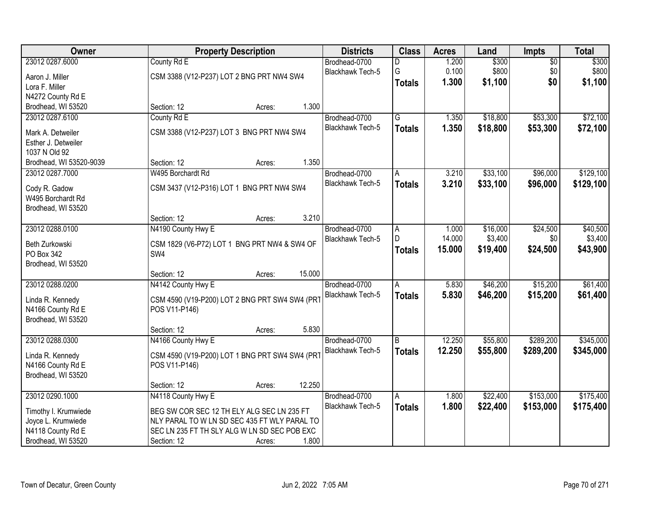| Owner                                 | <b>Property Description</b>                    | <b>Districts</b> | <b>Class</b>            | <b>Acres</b>            | Land   | <b>Impts</b> | <b>Total</b>    |           |
|---------------------------------------|------------------------------------------------|------------------|-------------------------|-------------------------|--------|--------------|-----------------|-----------|
| 23012 0287.6000                       | County Rd E                                    |                  | Brodhead-0700           | D                       | 1.200  | \$300        | $\overline{50}$ | \$300     |
| Aaron J. Miller                       | CSM 3388 (V12-P237) LOT 2 BNG PRT NW4 SW4      |                  | Blackhawk Tech-5        | G                       | 0.100  | \$800        | \$0             | \$800     |
| Lora F. Miller                        |                                                |                  |                         | <b>Totals</b>           | 1.300  | \$1,100      | \$0             | \$1,100   |
| N4272 County Rd E                     |                                                |                  |                         |                         |        |              |                 |           |
| Brodhead, WI 53520                    | Section: 12<br>Acres:                          | 1.300            |                         |                         |        |              |                 |           |
| 23012 0287.6100                       | County Rd E                                    |                  | Brodhead-0700           | $\overline{\mathsf{G}}$ | 1.350  | \$18,800     | \$53,300        | \$72,100  |
| Mark A. Detweiler                     | CSM 3388 (V12-P237) LOT 3 BNG PRT NW4 SW4      |                  | <b>Blackhawk Tech-5</b> | <b>Totals</b>           | 1.350  | \$18,800     | \$53,300        | \$72,100  |
| Esther J. Detweiler                   |                                                |                  |                         |                         |        |              |                 |           |
| 1037 N Old 92                         |                                                |                  |                         |                         |        |              |                 |           |
| Brodhead, WI 53520-9039               | Section: 12<br>Acres:                          | 1.350            |                         |                         |        |              |                 |           |
| 23012 0287.7000                       | W495 Borchardt Rd                              |                  | Brodhead-0700           | A                       | 3.210  | \$33,100     | \$96,000        | \$129,100 |
| Cody R. Gadow                         | CSM 3437 (V12-P316) LOT 1 BNG PRT NW4 SW4      |                  | Blackhawk Tech-5        | <b>Totals</b>           | 3.210  | \$33,100     | \$96,000        | \$129,100 |
| W495 Borchardt Rd                     |                                                |                  |                         |                         |        |              |                 |           |
| Brodhead, WI 53520                    |                                                |                  |                         |                         |        |              |                 |           |
|                                       | Section: 12<br>Acres:                          | 3.210            |                         |                         |        |              |                 |           |
| 23012 0288.0100                       | N4190 County Hwy E                             |                  | Brodhead-0700           | A                       | 1.000  | \$16,000     | \$24,500        | \$40,500  |
| Beth Zurkowski                        | CSM 1829 (V6-P72) LOT 1 BNG PRT NW4 & SW4 OF   |                  | Blackhawk Tech-5        | D                       | 14.000 | \$3,400      | \$0             | \$3,400   |
| PO Box 342                            | SW4                                            |                  |                         | <b>Totals</b>           | 15.000 | \$19,400     | \$24,500        | \$43,900  |
| Brodhead, WI 53520                    |                                                |                  |                         |                         |        |              |                 |           |
|                                       | Section: 12<br>Acres:                          | 15.000           |                         |                         |        |              |                 |           |
| 23012 0288.0200                       | N4142 County Hwy E                             |                  | Brodhead-0700           | A                       | 5.830  | \$46,200     | \$15,200        | \$61,400  |
|                                       | CSM 4590 (V19-P200) LOT 2 BNG PRT SW4 SW4 (PRT |                  | <b>Blackhawk Tech-5</b> | <b>Totals</b>           | 5.830  | \$46,200     | \$15,200        | \$61,400  |
| Linda R. Kennedy<br>N4166 County Rd E | POS V11-P146)                                  |                  |                         |                         |        |              |                 |           |
| Brodhead, WI 53520                    |                                                |                  |                         |                         |        |              |                 |           |
|                                       | Section: 12<br>Acres:                          | 5.830            |                         |                         |        |              |                 |           |
| 23012 0288.0300                       | N4166 County Hwy E                             |                  | Brodhead-0700           | $\overline{B}$          | 12.250 | \$55,800     | \$289,200       | \$345,000 |
| Linda R. Kennedy                      | CSM 4590 (V19-P200) LOT 1 BNG PRT SW4 SW4 (PRT |                  | Blackhawk Tech-5        | <b>Totals</b>           | 12.250 | \$55,800     | \$289,200       | \$345,000 |
| N4166 County Rd E                     | POS V11-P146)                                  |                  |                         |                         |        |              |                 |           |
| Brodhead, WI 53520                    |                                                |                  |                         |                         |        |              |                 |           |
|                                       | Section: 12<br>Acres:                          | 12.250           |                         |                         |        |              |                 |           |
| 23012 0290.1000                       | N4118 County Hwy E                             |                  | Brodhead-0700           | A                       | 1.800  | \$22,400     | \$153,000       | \$175,400 |
| Timothy I. Krumwiede                  | BEG SW COR SEC 12 TH ELY ALG SEC LN 235 FT     |                  | <b>Blackhawk Tech-5</b> | <b>Totals</b>           | 1.800  | \$22,400     | \$153,000       | \$175,400 |
| Joyce L. Krumwiede                    | NLY PARAL TO W LN SD SEC 435 FT WLY PARAL TO   |                  |                         |                         |        |              |                 |           |
| N4118 County Rd E                     | SEC LN 235 FT TH SLY ALG W LN SD SEC POB EXC   |                  |                         |                         |        |              |                 |           |
| Brodhead, WI 53520                    | Section: 12<br>Acres:                          | 1.800            |                         |                         |        |              |                 |           |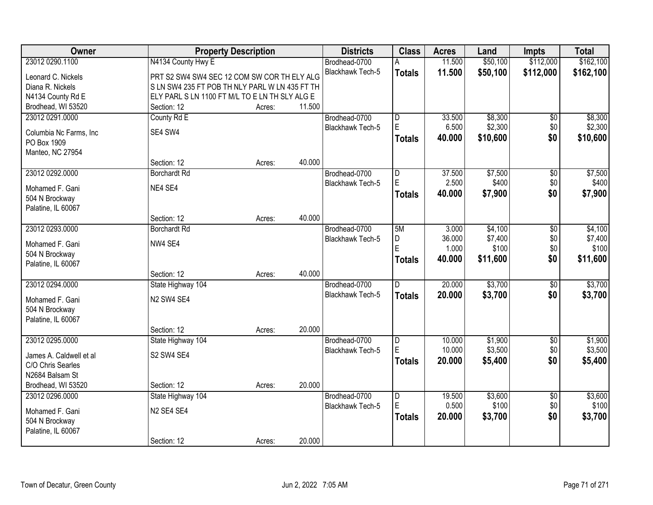| Owner                                |                                                | <b>Property Description</b> |        |                         | <b>Class</b>   | <b>Acres</b> | Land     | Impts           | <b>Total</b> |
|--------------------------------------|------------------------------------------------|-----------------------------|--------|-------------------------|----------------|--------------|----------|-----------------|--------------|
| 23012 0290.1100                      | N4134 County Hwy E                             |                             |        | Brodhead-0700           | Α              | 11.500       | \$50,100 | \$112,000       | \$162,100    |
| Leonard C. Nickels                   | PRT S2 SW4 SW4 SEC 12 COM SW COR TH ELY ALG    |                             |        | Blackhawk Tech-5        | <b>Totals</b>  | 11.500       | \$50,100 | \$112,000       | \$162,100    |
| Diana R. Nickels                     | S LN SW4 235 FT POB TH NLY PARL W LN 435 FT TH |                             |        |                         |                |              |          |                 |              |
| N4134 County Rd E                    | ELY PARL S LN 1100 FT M/L TO E LN TH SLY ALG E |                             |        |                         |                |              |          |                 |              |
| Brodhead, WI 53520                   | Section: 12                                    | Acres:                      | 11.500 |                         |                |              |          |                 |              |
| 23012 0291.0000                      | County Rd E                                    |                             |        | Brodhead-0700           | $\overline{D}$ | 33.500       | \$8,300  | $\overline{50}$ | \$8,300      |
|                                      |                                                |                             |        | <b>Blackhawk Tech-5</b> | E              | 6.500        | \$2,300  | \$0             | \$2,300      |
| Columbia Nc Farms, Inc               | SE4 SW4                                        |                             |        |                         | Totals         | 40.000       | \$10,600 | \$0             | \$10,600     |
| PO Box 1909                          |                                                |                             |        |                         |                |              |          |                 |              |
| Manteo, NC 27954                     |                                                |                             |        |                         |                |              |          |                 |              |
|                                      | Section: 12                                    | Acres:                      | 40.000 |                         |                |              |          |                 |              |
| 23012 0292.0000                      | <b>Borchardt Rd</b>                            |                             |        | Brodhead-0700           | D              | 37.500       | \$7,500  | \$0             | \$7,500      |
| Mohamed F. Gani                      | NE4 SE4                                        |                             |        | <b>Blackhawk Tech-5</b> | E              | 2.500        | \$400    | \$0             | \$400        |
| 504 N Brockway                       |                                                |                             |        |                         | <b>Totals</b>  | 40.000       | \$7,900  | \$0             | \$7,900      |
| Palatine, IL 60067                   |                                                |                             |        |                         |                |              |          |                 |              |
|                                      | Section: 12                                    | Acres:                      | 40.000 |                         |                |              |          |                 |              |
| 23012 0293.0000                      | <b>Borchardt Rd</b>                            |                             |        | Brodhead-0700           | 5M             | 3.000        | \$4,100  | \$0             | \$4,100      |
|                                      | NW4 SE4                                        |                             |        | <b>Blackhawk Tech-5</b> | D              | 36.000       | \$7,400  | \$0             | \$7,400      |
| Mohamed F. Gani                      |                                                |                             |        |                         | $\mathsf{E}$   | 1.000        | \$100    | \$0             | \$100        |
| 504 N Brockway<br>Palatine, IL 60067 |                                                |                             |        |                         | <b>Totals</b>  | 40.000       | \$11,600 | \$0             | \$11,600     |
|                                      | Section: 12                                    | Acres:                      | 40.000 |                         |                |              |          |                 |              |
| 23012 0294.0000                      | State Highway 104                              |                             |        | Brodhead-0700           | $\overline{D}$ | 20.000       | \$3,700  | \$0             | \$3,700      |
|                                      |                                                |                             |        | <b>Blackhawk Tech-5</b> |                | 20.000       | \$3,700  | \$0             | \$3,700      |
| Mohamed F. Gani                      | N <sub>2</sub> SW <sub>4</sub> SE <sub>4</sub> |                             |        |                         | <b>Totals</b>  |              |          |                 |              |
| 504 N Brockway                       |                                                |                             |        |                         |                |              |          |                 |              |
| Palatine, IL 60067                   |                                                |                             |        |                         |                |              |          |                 |              |
|                                      | Section: 12                                    | Acres:                      | 20.000 |                         |                |              |          |                 |              |
| 23012 0295.0000                      | State Highway 104                              |                             |        | Brodhead-0700           | $\overline{D}$ | 10.000       | \$1,900  | $\overline{60}$ | \$1,900      |
| James A. Caldwell et al              | S2 SW4 SE4                                     |                             |        | Blackhawk Tech-5        | E              | 10.000       | \$3,500  | \$0             | \$3,500      |
| C/O Chris Searles                    |                                                |                             |        |                         | <b>Totals</b>  | 20,000       | \$5,400  | \$0             | \$5,400      |
| N2684 Balsam St                      |                                                |                             |        |                         |                |              |          |                 |              |
| Brodhead, WI 53520                   | Section: 12                                    | Acres:                      | 20.000 |                         |                |              |          |                 |              |
| 23012 0296.0000                      | State Highway 104                              |                             |        | Brodhead-0700           | D              | 19.500       | \$3,600  | $\overline{30}$ | \$3,600      |
|                                      |                                                |                             |        | <b>Blackhawk Tech-5</b> | E              | 0.500        | \$100    | \$0             | \$100        |
| Mohamed F. Gani                      | N <sub>2</sub> SE4 SE4                         |                             |        |                         | <b>Totals</b>  | 20.000       | \$3,700  | \$0             | \$3,700      |
| 504 N Brockway                       |                                                |                             |        |                         |                |              |          |                 |              |
| Palatine, IL 60067                   |                                                |                             |        |                         |                |              |          |                 |              |
|                                      | Section: 12                                    | Acres:                      | 20.000 |                         |                |              |          |                 |              |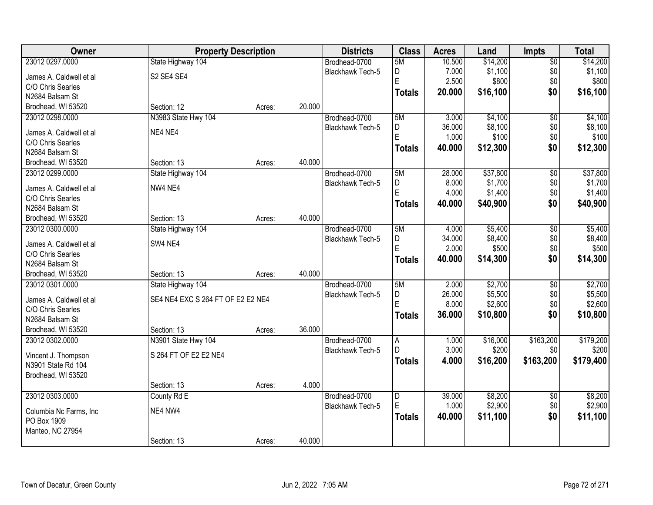| Owner                   | <b>Property Description</b>       |        |        | <b>Districts</b>        | <b>Class</b>            | <b>Acres</b> | Land     | <b>Impts</b>    | <b>Total</b> |
|-------------------------|-----------------------------------|--------|--------|-------------------------|-------------------------|--------------|----------|-----------------|--------------|
| 23012 0297.0000         | State Highway 104                 |        |        | Brodhead-0700           | 5M                      | 10.500       | \$14,200 | $\overline{50}$ | \$14,200     |
| James A. Caldwell et al | S2 SE4 SE4                        |        |        | Blackhawk Tech-5        | D                       | 7.000        | \$1,100  | \$0             | \$1,100      |
| C/O Chris Searles       |                                   |        |        |                         | E                       | 2.500        | \$800    | \$0             | \$800        |
| N2684 Balsam St         |                                   |        |        |                         | <b>Totals</b>           | 20.000       | \$16,100 | \$0             | \$16,100     |
| Brodhead, WI 53520      | Section: 12                       | Acres: | 20.000 |                         |                         |              |          |                 |              |
| 23012 0298.0000         | N3983 State Hwy 104               |        |        | Brodhead-0700           | 5M                      | 3.000        | \$4,100  | $\overline{50}$ | \$4,100      |
|                         |                                   |        |        | <b>Blackhawk Tech-5</b> | D                       | 36.000       | \$8,100  | \$0             | \$8,100      |
| James A. Caldwell et al | NE4 NE4                           |        |        |                         | E                       | 1.000        | \$100    | \$0             | \$100        |
| C/O Chris Searles       |                                   |        |        |                         | <b>Totals</b>           | 40.000       | \$12,300 | \$0             | \$12,300     |
| N2684 Balsam St         |                                   |        |        |                         |                         |              |          |                 |              |
| Brodhead, WI 53520      | Section: 13                       | Acres: | 40.000 |                         |                         |              |          |                 |              |
| 23012 0299.0000         | State Highway 104                 |        |        | Brodhead-0700           | 5M                      | 28.000       | \$37,800 | \$0             | \$37,800     |
| James A. Caldwell et al | NW4 NE4                           |        |        | Blackhawk Tech-5        | D                       | 8.000        | \$1,700  | \$0             | \$1,700      |
| C/O Chris Searles       |                                   |        |        |                         | E                       | 4.000        | \$1,400  | \$0             | \$1,400      |
| N2684 Balsam St         |                                   |        |        |                         | <b>Totals</b>           | 40.000       | \$40,900 | \$0             | \$40,900     |
| Brodhead, WI 53520      | Section: 13                       | Acres: | 40.000 |                         |                         |              |          |                 |              |
| 23012 0300.0000         | State Highway 104                 |        |        | Brodhead-0700           | 5M                      | 4.000        | \$5,400  | \$0             | \$5,400      |
|                         |                                   |        |        | <b>Blackhawk Tech-5</b> | D                       | 34.000       | \$8,400  | \$0             | \$8,400      |
| James A. Caldwell et al | SW4 NE4                           |        |        |                         | E                       | 2.000        | \$500    | \$0             | \$500        |
| C/O Chris Searles       |                                   |        |        |                         | <b>Totals</b>           | 40.000       | \$14,300 | \$0             | \$14,300     |
| N2684 Balsam St         |                                   |        |        |                         |                         |              |          |                 |              |
| Brodhead, WI 53520      | Section: 13                       | Acres: | 40.000 |                         |                         |              |          |                 |              |
| 23012 0301.0000         | State Highway 104                 |        |        | Brodhead-0700           | 5M                      | 2.000        | \$2,700  | $\overline{30}$ | \$2,700      |
| James A. Caldwell et al | SE4 NE4 EXC S 264 FT OF E2 E2 NE4 |        |        | Blackhawk Tech-5        | D                       | 26.000       | \$5,500  | \$0             | \$5,500      |
| C/O Chris Searles       |                                   |        |        |                         | Ė                       | 8.000        | \$2,600  | \$0             | \$2,600      |
| N2684 Balsam St         |                                   |        |        |                         | <b>Totals</b>           | 36.000       | \$10,800 | \$0             | \$10,800     |
| Brodhead, WI 53520      | Section: 13                       | Acres: | 36.000 |                         |                         |              |          |                 |              |
| 23012 0302.0000         | N3901 State Hwy 104               |        |        | Brodhead-0700           | A                       | 1.000        | \$16,000 | \$163,200       | \$179,200    |
|                         | S 264 FT OF E2 E2 NE4             |        |        | Blackhawk Tech-5        | D                       | 3.000        | \$200    | \$0             | \$200        |
| Vincent J. Thompson     |                                   |        |        |                         | <b>Totals</b>           | 4.000        | \$16,200 | \$163,200       | \$179,400    |
| N3901 State Rd 104      |                                   |        |        |                         |                         |              |          |                 |              |
| Brodhead, WI 53520      | Section: 13                       |        | 4.000  |                         |                         |              |          |                 |              |
| 23012 0303.0000         | County Rd E                       | Acres: |        | Brodhead-0700           | $\overline{\mathsf{D}}$ | 39.000       | \$8,200  | $\overline{50}$ | \$8,200      |
|                         |                                   |        |        | Blackhawk Tech-5        | E                       | 1.000        | \$2,900  | \$0             | \$2,900      |
| Columbia Nc Farms, Inc. | NE4 NW4                           |        |        |                         |                         |              |          |                 |              |
| PO Box 1909             |                                   |        |        |                         | <b>Totals</b>           | 40.000       | \$11,100 | \$0             | \$11,100     |
| Manteo, NC 27954        |                                   |        |        |                         |                         |              |          |                 |              |
|                         | Section: 13                       | Acres: | 40.000 |                         |                         |              |          |                 |              |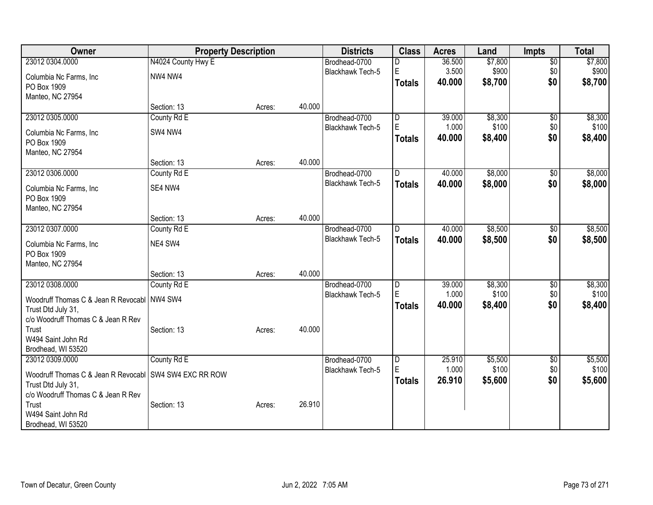| Owner                                       | <b>Property Description</b> |        |        | <b>Districts</b>        | <b>Class</b>            | <b>Acres</b> | Land    | <b>Impts</b>    | <b>Total</b> |
|---------------------------------------------|-----------------------------|--------|--------|-------------------------|-------------------------|--------------|---------|-----------------|--------------|
| 23012 0304.0000                             | N4024 County Hwy E          |        |        | Brodhead-0700           | D                       | 36.500       | \$7,800 | $\overline{60}$ | \$7,800      |
| Columbia Nc Farms, Inc                      | NW4 NW4                     |        |        | Blackhawk Tech-5        | E                       | 3.500        | \$900   | \$0             | \$900        |
| PO Box 1909                                 |                             |        |        |                         | <b>Totals</b>           | 40.000       | \$8,700 | \$0             | \$8,700      |
| Manteo, NC 27954                            |                             |        |        |                         |                         |              |         |                 |              |
|                                             | Section: 13                 | Acres: | 40.000 |                         |                         |              |         |                 |              |
| 23012 0305.0000                             | County Rd E                 |        |        | Brodhead-0700           | D                       | 39.000       | \$8,300 | \$0             | \$8,300      |
| Columbia Nc Farms, Inc.                     | SW4 NW4                     |        |        | Blackhawk Tech-5        | $\mathsf E$             | 1.000        | \$100   | \$0             | \$100        |
| PO Box 1909                                 |                             |        |        |                         | <b>Totals</b>           | 40.000       | \$8,400 | \$0             | \$8,400      |
| Manteo, NC 27954                            |                             |        |        |                         |                         |              |         |                 |              |
|                                             | Section: 13                 | Acres: | 40.000 |                         |                         |              |         |                 |              |
| 23012 0306.0000                             | County Rd E                 |        |        | Brodhead-0700           | D                       | 40.000       | \$8,000 | \$0             | \$8,000      |
| Columbia Nc Farms, Inc                      | SE4 NW4                     |        |        | Blackhawk Tech-5        | <b>Totals</b>           | 40.000       | \$8,000 | \$0             | \$8,000      |
| PO Box 1909                                 |                             |        |        |                         |                         |              |         |                 |              |
| Manteo, NC 27954                            |                             |        |        |                         |                         |              |         |                 |              |
|                                             | Section: 13                 | Acres: | 40.000 |                         |                         |              |         |                 |              |
| 23012 0307.0000                             | County Rd E                 |        |        | Brodhead-0700           | $\mathsf{D}$            | 40.000       | \$8,500 | \$0             | \$8,500      |
| Columbia Nc Farms, Inc                      | NE4 SW4                     |        |        | <b>Blackhawk Tech-5</b> | <b>Totals</b>           | 40.000       | \$8,500 | \$0             | \$8,500      |
| PO Box 1909                                 |                             |        |        |                         |                         |              |         |                 |              |
| Manteo, NC 27954                            |                             |        |        |                         |                         |              |         |                 |              |
|                                             | Section: 13                 | Acres: | 40.000 |                         |                         |              |         |                 |              |
| 23012 0308.0000                             | County Rd E                 |        |        | Brodhead-0700           | $\overline{D}$          | 39.000       | \$8,300 | \$0             | \$8,300      |
| Woodruff Thomas C & Jean R Revocabl         | NW4 SW4                     |        |        | <b>Blackhawk Tech-5</b> | E                       | 1.000        | \$100   | \$0             | \$100        |
| Trust Dtd July 31,                          |                             |        |        |                         | <b>Totals</b>           | 40.000       | \$8,400 | \$0             | \$8,400      |
| c/o Woodruff Thomas C & Jean R Rev          |                             |        |        |                         |                         |              |         |                 |              |
| Trust                                       | Section: 13                 | Acres: | 40.000 |                         |                         |              |         |                 |              |
| W494 Saint John Rd<br>Brodhead, WI 53520    |                             |        |        |                         |                         |              |         |                 |              |
| 23012 0309.0000                             | County Rd E                 |        |        | Brodhead-0700           | $\overline{\mathsf{D}}$ | 25.910       | \$5,500 | $\sqrt[6]{}$    | \$5,500      |
|                                             |                             |        |        | <b>Blackhawk Tech-5</b> | E                       | 1.000        | \$100   | \$0             | \$100        |
| Woodruff Thomas C & Jean R Revocabl         | SW4 SW4 EXC RR ROW          |        |        |                         | <b>Totals</b>           | 26.910       | \$5,600 | \$0             | \$5,600      |
| Trust Dtd July 31,                          |                             |        |        |                         |                         |              |         |                 |              |
| c/o Woodruff Thomas C & Jean R Rev<br>Trust | Section: 13                 | Acres: | 26.910 |                         |                         |              |         |                 |              |
| W494 Saint John Rd                          |                             |        |        |                         |                         |              |         |                 |              |
| Brodhead, WI 53520                          |                             |        |        |                         |                         |              |         |                 |              |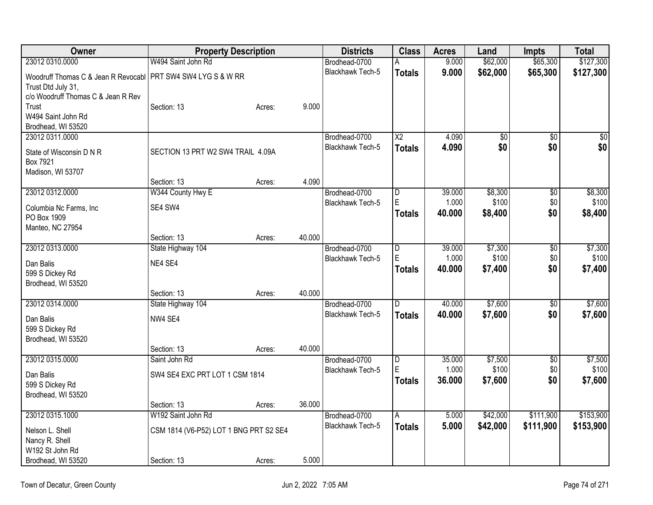| Owner                                                        | <b>Property Description</b>            |        |        | <b>Districts</b>        | <b>Class</b>           | <b>Acres</b> | Land            | <b>Impts</b>    | <b>Total</b>    |
|--------------------------------------------------------------|----------------------------------------|--------|--------|-------------------------|------------------------|--------------|-----------------|-----------------|-----------------|
| 23012 0310.0000                                              | W494 Saint John Rd                     |        |        | Brodhead-0700           | А                      | 9.000        | \$62,000        | \$65,300        | \$127,300       |
| Woodruff Thomas C & Jean R Revocabl PRT SW4 SW4 LYG S & W RR |                                        |        |        | <b>Blackhawk Tech-5</b> | <b>Totals</b>          | 9.000        | \$62,000        | \$65,300        | \$127,300       |
| Trust Dtd July 31,                                           |                                        |        |        |                         |                        |              |                 |                 |                 |
| c/o Woodruff Thomas C & Jean R Rev                           |                                        |        |        |                         |                        |              |                 |                 |                 |
| Trust                                                        | Section: 13                            | Acres: | 9.000  |                         |                        |              |                 |                 |                 |
| W494 Saint John Rd                                           |                                        |        |        |                         |                        |              |                 |                 |                 |
| Brodhead, WI 53520                                           |                                        |        |        |                         |                        |              |                 |                 |                 |
| 23012 0311.0000                                              |                                        |        |        | Brodhead-0700           | $\overline{\text{X2}}$ | 4.090        | $\overline{50}$ | $\overline{50}$ | $\overline{50}$ |
| State of Wisconsin D N R                                     | SECTION 13 PRT W2 SW4 TRAIL 4.09A      |        |        | <b>Blackhawk Tech-5</b> | <b>Totals</b>          | 4.090        | \$0             | \$0             | \$0             |
| Box 7921                                                     |                                        |        |        |                         |                        |              |                 |                 |                 |
| Madison, WI 53707                                            |                                        |        |        |                         |                        |              |                 |                 |                 |
|                                                              | Section: 13                            | Acres: | 4.090  |                         |                        |              |                 |                 |                 |
| 23012 0312.0000                                              | W344 County Hwy E                      |        |        | Brodhead-0700           | D                      | 39.000       | \$8,300         | $\overline{50}$ | \$8,300         |
| Columbia Nc Farms, Inc                                       | SE4 SW4                                |        |        | <b>Blackhawk Tech-5</b> | E                      | 1.000        | \$100           | \$0             | \$100           |
| PO Box 1909                                                  |                                        |        |        |                         | <b>Totals</b>          | 40.000       | \$8,400         | \$0             | \$8,400         |
| Manteo, NC 27954                                             |                                        |        |        |                         |                        |              |                 |                 |                 |
|                                                              | Section: 13                            | Acres: | 40.000 |                         |                        |              |                 |                 |                 |
| 23012 0313.0000                                              | State Highway 104                      |        |        | Brodhead-0700           | D                      | 39.000       | \$7,300         | \$0             | \$7,300         |
| Dan Balis                                                    | NE4 SE4                                |        |        | Blackhawk Tech-5        | E                      | 1.000        | \$100           | \$0             | \$100           |
| 599 S Dickey Rd                                              |                                        |        |        |                         | <b>Totals</b>          | 40.000       | \$7,400         | \$0             | \$7,400         |
| Brodhead, WI 53520                                           |                                        |        |        |                         |                        |              |                 |                 |                 |
|                                                              | Section: 13                            | Acres: | 40.000 |                         |                        |              |                 |                 |                 |
| 23012 0314.0000                                              | State Highway 104                      |        |        | Brodhead-0700           | $\overline{D}$         | 40.000       | \$7,600         | $\overline{50}$ | \$7,600         |
| Dan Balis                                                    | NW4 SE4                                |        |        | Blackhawk Tech-5        | <b>Totals</b>          | 40.000       | \$7,600         | \$0             | \$7,600         |
| 599 S Dickey Rd                                              |                                        |        |        |                         |                        |              |                 |                 |                 |
| Brodhead, WI 53520                                           |                                        |        |        |                         |                        |              |                 |                 |                 |
|                                                              | Section: 13                            | Acres: | 40.000 |                         |                        |              |                 |                 |                 |
| 23012 0315.0000                                              | Saint John Rd                          |        |        | Brodhead-0700           | D                      | 35.000       | \$7,500         | $\overline{50}$ | \$7,500         |
| Dan Balis                                                    | SW4 SE4 EXC PRT LOT 1 CSM 1814         |        |        | <b>Blackhawk Tech-5</b> | E                      | 1.000        | \$100           | \$0             | \$100           |
| 599 S Dickey Rd                                              |                                        |        |        |                         | <b>Totals</b>          | 36.000       | \$7,600         | \$0             | \$7,600         |
| Brodhead, WI 53520                                           |                                        |        |        |                         |                        |              |                 |                 |                 |
|                                                              | Section: 13                            | Acres: | 36.000 |                         |                        |              |                 |                 |                 |
| 23012 0315.1000                                              | W192 Saint John Rd                     |        |        | Brodhead-0700           | Α                      | 5.000        | \$42,000        | \$111,900       | \$153,900       |
| Nelson L. Shell                                              | CSM 1814 (V6-P52) LOT 1 BNG PRT S2 SE4 |        |        | <b>Blackhawk Tech-5</b> | <b>Totals</b>          | 5.000        | \$42,000        | \$111,900       | \$153,900       |
| Nancy R. Shell                                               |                                        |        |        |                         |                        |              |                 |                 |                 |
| W192 St John Rd                                              |                                        |        |        |                         |                        |              |                 |                 |                 |
| Brodhead, WI 53520                                           | Section: 13                            | Acres: | 5.000  |                         |                        |              |                 |                 |                 |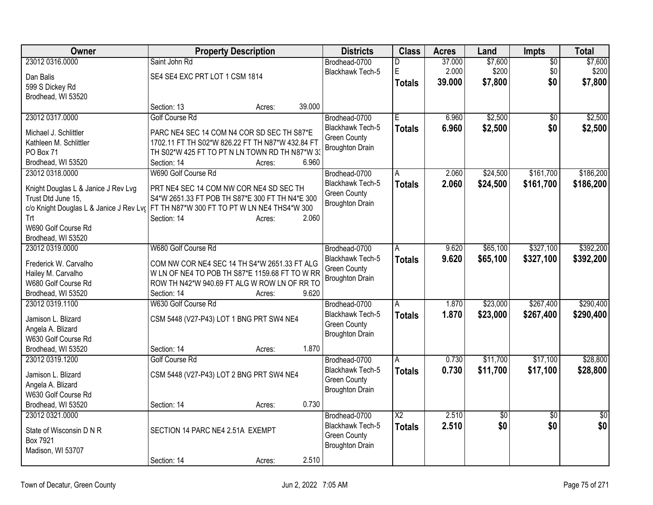| Owner                                                     | <b>Property Description</b>                                                                    | <b>Districts</b>                              | <b>Class</b>           | <b>Acres</b> | Land       | Impts           | <b>Total</b>    |
|-----------------------------------------------------------|------------------------------------------------------------------------------------------------|-----------------------------------------------|------------------------|--------------|------------|-----------------|-----------------|
| 23012 0316.0000                                           | Saint John Rd                                                                                  | Brodhead-0700                                 | D                      | 37.000       | \$7,600    | \$0             | \$7,600         |
| Dan Balis                                                 | SE4 SE4 EXC PRT LOT 1 CSM 1814                                                                 | Blackhawk Tech-5                              | E                      | 2.000        | \$200      | \$0             | \$200           |
| 599 S Dickey Rd                                           |                                                                                                |                                               | <b>Totals</b>          | 39.000       | \$7,800    | \$0             | \$7,800         |
| Brodhead, WI 53520                                        |                                                                                                |                                               |                        |              |            |                 |                 |
|                                                           | 39.000<br>Section: 13<br>Acres:                                                                |                                               |                        |              |            |                 |                 |
| 23012 0317.0000                                           | <b>Golf Course Rd</b>                                                                          | Brodhead-0700                                 | Ē                      | 6.960        | \$2,500    | $\overline{50}$ | \$2,500         |
| Michael J. Schlittler                                     | PARC NE4 SEC 14 COM N4 COR SD SEC TH S87*E                                                     | <b>Blackhawk Tech-5</b>                       | <b>Totals</b>          | 6.960        | \$2,500    | \$0             | \$2,500         |
| Kathleen M. Schlittler                                    | 1702.11 FT TH S02*W 826.22 FT TH N87*W 432.84 FT                                               | <b>Green County</b>                           |                        |              |            |                 |                 |
| PO Box 71                                                 | TH S02*W 425 FT TO PT N LN TOWN RD TH N87*W 33                                                 | <b>Broughton Drain</b>                        |                        |              |            |                 |                 |
| Brodhead, WI 53520                                        | 6.960<br>Section: 14<br>Acres:                                                                 |                                               |                        |              |            |                 |                 |
| 23012 0318.0000                                           | W690 Golf Course Rd                                                                            | Brodhead-0700                                 | A                      | 2.060        | \$24,500   | \$161,700       | \$186,200       |
|                                                           |                                                                                                | <b>Blackhawk Tech-5</b>                       | <b>Totals</b>          | 2.060        | \$24,500   | \$161,700       | \$186,200       |
| Knight Douglas L & Janice J Rev Lvg<br>Trust Dtd June 15, | PRT NE4 SEC 14 COM NW COR NE4 SD SEC TH<br>S4*W 2651.33 FT POB TH S87*E 300 FT TH N4*E 300     | <b>Green County</b>                           |                        |              |            |                 |                 |
|                                                           | c/o Knight Douglas L & Janice J Rev Lv: FT TH N87*W 300 FT TO PT W LN NE4 THS4*W 300           | <b>Broughton Drain</b>                        |                        |              |            |                 |                 |
| Trt                                                       | Section: 14<br>2.060<br>Acres:                                                                 |                                               |                        |              |            |                 |                 |
| W690 Golf Course Rd                                       |                                                                                                |                                               |                        |              |            |                 |                 |
| Brodhead, WI 53520                                        |                                                                                                |                                               |                        |              |            |                 |                 |
| 23012 0319.0000                                           | W680 Golf Course Rd                                                                            | Brodhead-0700                                 | A                      | 9.620        | \$65,100   | \$327,100       | \$392,200       |
|                                                           |                                                                                                | <b>Blackhawk Tech-5</b>                       | <b>Totals</b>          | 9.620        | \$65,100   | \$327,100       | \$392,200       |
| Frederick W. Carvalho<br>Hailey M. Carvalho               | COM NW COR NE4 SEC 14 TH S4*W 2651.33 FT ALG<br>W LN OF NE4 TO POB TH S87*E 1159.68 FT TO W RR | <b>Green County</b>                           |                        |              |            |                 |                 |
| W680 Golf Course Rd                                       | ROW TH N42*W 940.69 FT ALG W ROW LN OF RR TO                                                   | <b>Broughton Drain</b>                        |                        |              |            |                 |                 |
| Brodhead, WI 53520                                        | 9.620<br>Section: 14<br>Acres:                                                                 |                                               |                        |              |            |                 |                 |
| 23012 0319.1100                                           | W630 Golf Course Rd                                                                            | Brodhead-0700                                 | A                      | 1.870        | \$23,000   | \$267,400       | \$290,400       |
|                                                           |                                                                                                | Blackhawk Tech-5                              | <b>Totals</b>          | 1.870        | \$23,000   | \$267,400       | \$290,400       |
| Jamison L. Blizard                                        | CSM 5448 (V27-P43) LOT 1 BNG PRT SW4 NE4                                                       | <b>Green County</b>                           |                        |              |            |                 |                 |
| Angela A. Blizard                                         |                                                                                                | <b>Broughton Drain</b>                        |                        |              |            |                 |                 |
| W630 Golf Course Rd                                       |                                                                                                |                                               |                        |              |            |                 |                 |
| Brodhead, WI 53520                                        | 1.870<br>Section: 14<br>Acres:                                                                 |                                               |                        |              |            |                 |                 |
| 23012 0319.1200                                           | <b>Golf Course Rd</b>                                                                          | Brodhead-0700                                 | A                      | 0.730        | \$11,700   | \$17,100        | \$28,800        |
| Jamison L. Blizard                                        | CSM 5448 (V27-P43) LOT 2 BNG PRT SW4 NE4                                                       | Blackhawk Tech-5                              | <b>Totals</b>          | 0.730        | \$11,700   | \$17,100        | \$28,800        |
| Angela A. Blizard                                         |                                                                                                | <b>Green County</b><br><b>Broughton Drain</b> |                        |              |            |                 |                 |
| W630 Golf Course Rd                                       |                                                                                                |                                               |                        |              |            |                 |                 |
| Brodhead, WI 53520                                        | 0.730<br>Section: 14<br>Acres:                                                                 |                                               |                        |              |            |                 |                 |
| 23012 0321.0000                                           |                                                                                                | Brodhead-0700                                 | $\overline{\text{X2}}$ | 2.510        | $\sqrt{6}$ | $\overline{30}$ | $\overline{50}$ |
| State of Wisconsin D N R                                  | SECTION 14 PARC NE4 2.51A EXEMPT                                                               | <b>Blackhawk Tech-5</b>                       | <b>Totals</b>          | 2.510        | \$0        | \$0             | \$0             |
| Box 7921                                                  |                                                                                                | <b>Green County</b>                           |                        |              |            |                 |                 |
| Madison, WI 53707                                         |                                                                                                | <b>Broughton Drain</b>                        |                        |              |            |                 |                 |
|                                                           | 2.510<br>Section: 14<br>Acres:                                                                 |                                               |                        |              |            |                 |                 |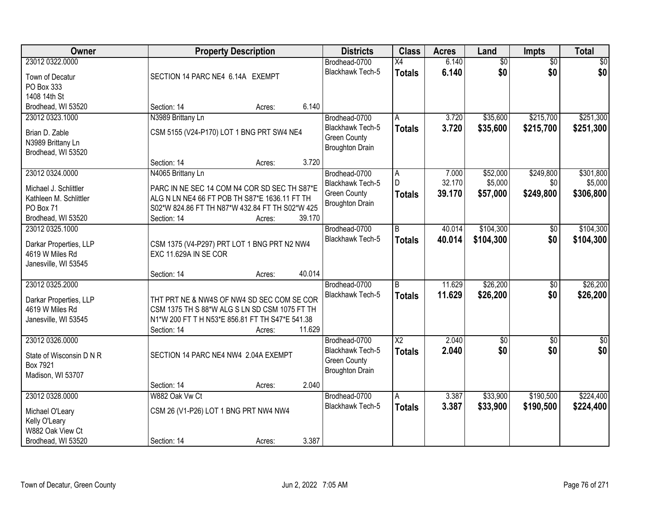| Owner                                           |                                                                                                  | <b>Property Description</b> |        |                         | <b>Class</b>    | <b>Acres</b> | Land            | Impts           | <b>Total</b>  |
|-------------------------------------------------|--------------------------------------------------------------------------------------------------|-----------------------------|--------|-------------------------|-----------------|--------------|-----------------|-----------------|---------------|
| 23012 0322.0000                                 |                                                                                                  |                             |        | Brodhead-0700           | X4              | 6.140        | $\overline{60}$ | $\overline{50}$ | \$0           |
| Town of Decatur                                 | SECTION 14 PARC NE4 6.14A EXEMPT                                                                 |                             |        | Blackhawk Tech-5        | <b>Totals</b>   | 6.140        | \$0             | \$0             | \$0           |
| PO Box 333                                      |                                                                                                  |                             |        |                         |                 |              |                 |                 |               |
| 1408 14th St                                    |                                                                                                  |                             |        |                         |                 |              |                 |                 |               |
| Brodhead, WI 53520                              | Section: 14                                                                                      | Acres:                      | 6.140  |                         |                 |              |                 |                 |               |
| 23012 0323.1000                                 | N3989 Brittany Ln                                                                                |                             |        | Brodhead-0700           | A               | 3.720        | \$35,600        | \$215,700       | \$251,300     |
| Brian D. Zable                                  | CSM 5155 (V24-P170) LOT 1 BNG PRT SW4 NE4                                                        |                             |        | Blackhawk Tech-5        | <b>Totals</b>   | 3.720        | \$35,600        | \$215,700       | \$251,300     |
| N3989 Brittany Ln                               |                                                                                                  |                             |        | <b>Green County</b>     |                 |              |                 |                 |               |
| Brodhead, WI 53520                              |                                                                                                  |                             |        | <b>Broughton Drain</b>  |                 |              |                 |                 |               |
|                                                 | Section: 14                                                                                      | Acres:                      | 3.720  |                         |                 |              |                 |                 |               |
| 23012 0324.0000                                 | N4065 Brittany Ln                                                                                |                             |        | Brodhead-0700           | $\overline{A}$  | 7.000        | \$52,000        | \$249,800       | \$301,800     |
|                                                 | PARC IN NE SEC 14 COM N4 COR SD SEC TH S87*E                                                     |                             |        | Blackhawk Tech-5        | D.              | 32.170       | \$5,000         | \$0             | \$5,000       |
| Michael J. Schlittler<br>Kathleen M. Schlittler | ALG N LN NE4 66 FT POB TH S87*E 1636.11 FT TH                                                    |                             |        | <b>Green County</b>     | <b>Totals</b>   | 39.170       | \$57,000        | \$249,800       | \$306,800     |
| PO Box 71                                       | S02*W 824.86 FT TH N87*W 432.84 FT TH S02*W 425                                                  |                             |        | <b>Broughton Drain</b>  |                 |              |                 |                 |               |
| Brodhead, WI 53520                              | Section: 14                                                                                      | Acres:                      | 39.170 |                         |                 |              |                 |                 |               |
| 23012 0325.1000                                 |                                                                                                  |                             |        | Brodhead-0700           | B               | 40.014       | \$104,300       | \$0             | \$104,300     |
|                                                 |                                                                                                  |                             |        | Blackhawk Tech-5        | <b>Totals</b>   | 40.014       | \$104,300       | \$0             | \$104,300     |
| Darkar Properties, LLP<br>4619 W Miles Rd       | CSM 1375 (V4-P297) PRT LOT 1 BNG PRT N2 NW4<br>EXC 11.629A IN SE COR                             |                             |        |                         |                 |              |                 |                 |               |
| Janesville, WI 53545                            |                                                                                                  |                             |        |                         |                 |              |                 |                 |               |
|                                                 | Section: 14                                                                                      | Acres:                      | 40.014 |                         |                 |              |                 |                 |               |
| 23012 0325.2000                                 |                                                                                                  |                             |        | Brodhead-0700           | <sub>B</sub>    | 11.629       | \$26,200        | $\overline{50}$ | \$26,200      |
|                                                 |                                                                                                  |                             |        | Blackhawk Tech-5        | <b>Totals</b>   | 11.629       | \$26,200        | \$0             | \$26,200      |
| Darkar Properties, LLP                          | THT PRT NE & NW4S OF NW4 SD SEC COM SE COR                                                       |                             |        |                         |                 |              |                 |                 |               |
| 4619 W Miles Rd                                 | CSM 1375 TH S 88*W ALG S LN SD CSM 1075 FT TH<br>N1*W 200 FT T H N53*E 856.81 FT TH S47*E 541.38 |                             |        |                         |                 |              |                 |                 |               |
| Janesville, WI 53545                            | Section: 14                                                                                      | Acres:                      | 11.629 |                         |                 |              |                 |                 |               |
| 23012 0326.0000                                 |                                                                                                  |                             |        | Brodhead-0700           | $\overline{X2}$ | 2.040        | $\sqrt{$0}$     | $\sqrt{6}$      | $\frac{1}{6}$ |
|                                                 |                                                                                                  |                             |        | Blackhawk Tech-5        | <b>Totals</b>   | 2.040        | \$0             | \$0             | \$0           |
| State of Wisconsin D N R                        | SECTION 14 PARC NE4 NW4 2.04A EXEMPT                                                             |                             |        | <b>Green County</b>     |                 |              |                 |                 |               |
| Box 7921                                        |                                                                                                  |                             |        | <b>Broughton Drain</b>  |                 |              |                 |                 |               |
| Madison, WI 53707                               | Section: 14                                                                                      |                             | 2.040  |                         |                 |              |                 |                 |               |
| 23012 0328.0000                                 | W882 Oak Vw Ct                                                                                   | Acres:                      |        | Brodhead-0700           | $\overline{A}$  | 3.387        | \$33,900        | \$190,500       | \$224,400     |
|                                                 |                                                                                                  |                             |        | <b>Blackhawk Tech-5</b> | <b>Totals</b>   | 3.387        | \$33,900        | \$190,500       | \$224,400     |
| Michael O'Leary                                 | CSM 26 (V1-P26) LOT 1 BNG PRT NW4 NW4                                                            |                             |        |                         |                 |              |                 |                 |               |
| Kelly O'Leary                                   |                                                                                                  |                             |        |                         |                 |              |                 |                 |               |
| W882 Oak View Ct                                |                                                                                                  |                             |        |                         |                 |              |                 |                 |               |
| Brodhead, WI 53520                              | Section: 14                                                                                      | Acres:                      | 3.387  |                         |                 |              |                 |                 |               |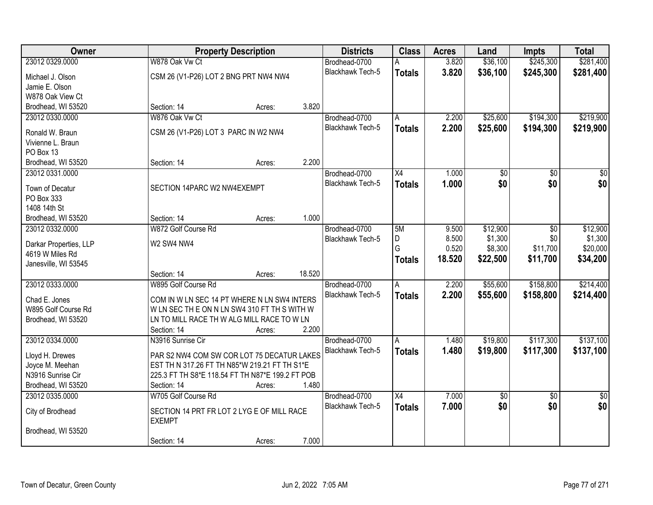| <b>Owner</b>           |                                       | <b>Property Description</b>                      | <b>Districts</b>        | <b>Class</b>    | <b>Acres</b> | Land     | <b>Impts</b>    | <b>Total</b>    |
|------------------------|---------------------------------------|--------------------------------------------------|-------------------------|-----------------|--------------|----------|-----------------|-----------------|
| 23012 0329.0000        | W878 Oak Vw Ct                        |                                                  | Brodhead-0700           |                 | 3.820        | \$36,100 | \$245,300       | \$281,400       |
| Michael J. Olson       | CSM 26 (V1-P26) LOT 2 BNG PRT NW4 NW4 |                                                  | Blackhawk Tech-5        | <b>Totals</b>   | 3.820        | \$36,100 | \$245,300       | \$281,400       |
| Jamie E. Olson         |                                       |                                                  |                         |                 |              |          |                 |                 |
| W878 Oak View Ct       |                                       |                                                  |                         |                 |              |          |                 |                 |
| Brodhead, WI 53520     | Section: 14                           | 3.820<br>Acres:                                  |                         |                 |              |          |                 |                 |
| 23012 0330.0000        | W876 Oak Vw Ct                        |                                                  | Brodhead-0700           | A               | 2.200        | \$25,600 | \$194,300       | \$219,900       |
| Ronald W. Braun        | CSM 26 (V1-P26) LOT 3 PARC IN W2 NW4  |                                                  | <b>Blackhawk Tech-5</b> | <b>Totals</b>   | 2.200        | \$25,600 | \$194,300       | \$219,900       |
| Vivienne L. Braun      |                                       |                                                  |                         |                 |              |          |                 |                 |
| PO Box 13              |                                       |                                                  |                         |                 |              |          |                 |                 |
| Brodhead, WI 53520     | Section: 14                           | 2.200<br>Acres:                                  |                         |                 |              |          |                 |                 |
| 23012 0331.0000        |                                       |                                                  | Brodhead-0700           | X4              | 1.000        | \$0      | \$0             | \$0             |
| Town of Decatur        | SECTION 14PARC W2 NW4EXEMPT           |                                                  | <b>Blackhawk Tech-5</b> | <b>Totals</b>   | 1.000        | \$0      | \$0             | \$0             |
| PO Box 333             |                                       |                                                  |                         |                 |              |          |                 |                 |
| 1408 14th St           |                                       |                                                  |                         |                 |              |          |                 |                 |
| Brodhead, WI 53520     | Section: 14                           | 1.000<br>Acres:                                  |                         |                 |              |          |                 |                 |
| 23012 0332.0000        | W872 Golf Course Rd                   |                                                  | Brodhead-0700           | 5M              | 9.500        | \$12,900 | $\overline{30}$ | \$12,900        |
| Darkar Properties, LLP | W2 SW4 NW4                            |                                                  | Blackhawk Tech-5        | D               | 8.500        | \$1,300  | \$0             | \$1,300         |
| 4619 W Miles Rd        |                                       |                                                  |                         | G               | 0.520        | \$8,300  | \$11,700        | \$20,000        |
| Janesville, WI 53545   |                                       |                                                  |                         | <b>Totals</b>   | 18.520       | \$22,500 | \$11,700        | \$34,200        |
|                        | Section: 14                           | 18.520<br>Acres:                                 |                         |                 |              |          |                 |                 |
| 23012 0333.0000        | W895 Golf Course Rd                   |                                                  | Brodhead-0700           | A               | 2.200        | \$55,600 | \$158,800       | \$214,400       |
| Chad E. Jones          |                                       | COM IN W LN SEC 14 PT WHERE N LN SW4 INTERS      | Blackhawk Tech-5        | <b>Totals</b>   | 2.200        | \$55,600 | \$158,800       | \$214,400       |
| W895 Golf Course Rd    |                                       | WLN SEC THE ON NLN SW4 310 FT TH S WITH W        |                         |                 |              |          |                 |                 |
| Brodhead, WI 53520     |                                       | LN TO MILL RACE TH W ALG MILL RACE TO W LN       |                         |                 |              |          |                 |                 |
|                        | Section: 14                           | 2.200<br>Acres:                                  |                         |                 |              |          |                 |                 |
| 23012 0334.0000        | N3916 Sunrise Cir                     |                                                  | Brodhead-0700           | A               | 1.480        | \$19,800 | \$117,300       | \$137,100       |
| Lloyd H. Drewes        |                                       | PAR S2 NW4 COM SW COR LOT 75 DECATUR LAKES       | Blackhawk Tech-5        | <b>Totals</b>   | 1.480        | \$19,800 | \$117,300       | \$137,100       |
| Joyce M. Meehan        |                                       | EST TH N 317.26 FT TH N85*W 219.21 FT TH S1*E    |                         |                 |              |          |                 |                 |
| N3916 Sunrise Cir      |                                       | 225.3 FT TH S8*E 118.54 FT TH N87*E 199.2 FT POB |                         |                 |              |          |                 |                 |
| Brodhead, WI 53520     | Section: 14                           | 1.480<br>Acres:                                  |                         |                 |              |          |                 |                 |
| 23012 0335.0000        | W705 Golf Course Rd                   |                                                  | Brodhead-0700           | $\overline{X4}$ | 7.000        | \$0      | $\overline{30}$ | $\overline{30}$ |
|                        |                                       | SECTION 14 PRT FR LOT 2 LYG E OF MILL RACE       | Blackhawk Tech-5        | <b>Totals</b>   | 7.000        | \$0      | \$0             | \$0             |
| City of Brodhead       | <b>EXEMPT</b>                         |                                                  |                         |                 |              |          |                 |                 |
| Brodhead, WI 53520     |                                       |                                                  |                         |                 |              |          |                 |                 |
|                        | Section: 14                           | 7.000<br>Acres:                                  |                         |                 |              |          |                 |                 |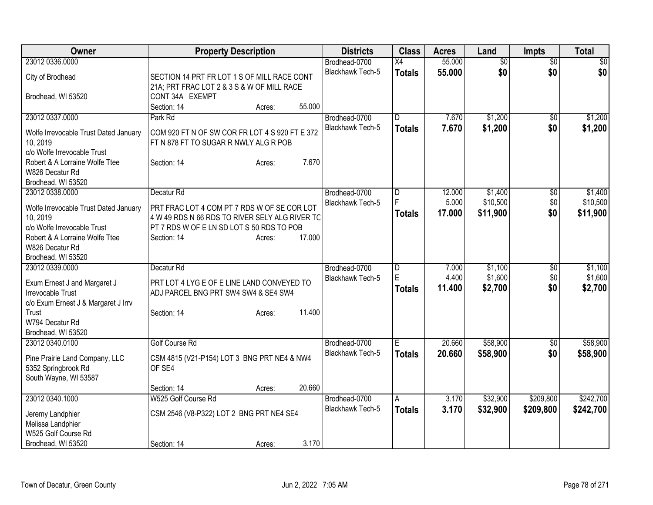| <b>Owner</b>                                                                                                                                                                   | <b>Property Description</b>                                                                                                                                                                            | <b>Districts</b>                  | <b>Class</b>                    | <b>Acres</b>              | Land                            | <b>Impts</b>               | <b>Total</b>                    |
|--------------------------------------------------------------------------------------------------------------------------------------------------------------------------------|--------------------------------------------------------------------------------------------------------------------------------------------------------------------------------------------------------|-----------------------------------|---------------------------------|---------------------------|---------------------------------|----------------------------|---------------------------------|
| 23012 0336,0000                                                                                                                                                                |                                                                                                                                                                                                        | Brodhead-0700                     | X4                              | 55.000                    | $\overline{60}$                 | \$0                        | $\sqrt{50}$                     |
| City of Brodhead                                                                                                                                                               | SECTION 14 PRT FR LOT 1 S OF MILL RACE CONT                                                                                                                                                            | Blackhawk Tech-5                  | <b>Totals</b>                   | 55.000                    | \$0                             | \$0                        | \$0                             |
| Brodhead, WI 53520                                                                                                                                                             | 21A; PRT FRAC LOT 2 & 3 S & W OF MILL RACE<br>CONT 34A EXEMPT<br>55.000<br>Section: 14<br>Acres:                                                                                                       |                                   |                                 |                           |                                 |                            |                                 |
| 23012 0337.0000<br>Wolfe Irrevocable Trust Dated January<br>10, 2019<br>c/o Wolfe Irrevocable Trust<br>Robert & A Lorraine Wolfe Ttee                                          | Park Rd<br>COM 920 FT N OF SW COR FR LOT 4 S 920 FT E 372<br>FT N 878 FT TO SUGAR R NWLY ALG R POB<br>7.670<br>Section: 14<br>Acres:                                                                   | Brodhead-0700<br>Blackhawk Tech-5 | $\overline{D}$<br><b>Totals</b> | 7.670<br>7.670            | \$1,200<br>\$1,200              | \$0<br>\$0                 | \$1,200<br>\$1,200              |
| W826 Decatur Rd<br>Brodhead, WI 53520                                                                                                                                          |                                                                                                                                                                                                        |                                   |                                 |                           |                                 |                            |                                 |
| 23012 0338.0000<br>Wolfe Irrevocable Trust Dated January<br>10, 2019<br>c/o Wolfe Irrevocable Trust<br>Robert & A Lorraine Wolfe Ttee<br>W826 Decatur Rd<br>Brodhead, WI 53520 | Decatur <sub>Rd</sub><br>PRT FRAC LOT 4 COM PT 7 RDS W OF SE COR LOT<br>4 W 49 RDS N 66 RDS TO RIVER SELY ALG RIVER TC<br>PT 7 RDS W OF E LN SD LOT S 50 RDS TO POB<br>17.000<br>Section: 14<br>Acres: | Brodhead-0700<br>Blackhawk Tech-5 | $\overline{D}$<br><b>Totals</b> | 12.000<br>5.000<br>17.000 | \$1,400<br>\$10,500<br>\$11,900 | \$0<br>\$0<br>\$0          | \$1,400<br>\$10,500<br>\$11,900 |
| 23012 0339.0000<br>Exum Ernest J and Margaret J<br>Irrevocable Trust<br>c/o Exum Ernest J & Margaret J Irrv<br>Trust<br>W794 Decatur Rd<br>Brodhead, WI 53520                  | Decatur Rd<br>PRT LOT 4 LYG E OF E LINE LAND CONVEYED TO<br>ADJ PARCEL BNG PRT SW4 SW4 & SE4 SW4<br>11.400<br>Section: 14<br>Acres:                                                                    | Brodhead-0700<br>Blackhawk Tech-5 | D<br>E<br><b>Totals</b>         | 7.000<br>4.400<br>11.400  | \$1,100<br>\$1,600<br>\$2,700   | $\sqrt[6]{}$<br>\$0<br>\$0 | \$1,100<br>\$1,600<br>\$2,700   |
| 23012 0340.0100<br>Pine Prairie Land Company, LLC<br>5352 Springbrook Rd<br>South Wayne, WI 53587                                                                              | <b>Golf Course Rd</b><br>CSM 4815 (V21-P154) LOT 3 BNG PRT NE4 & NW4<br>OF SE4<br>20.660                                                                                                               | Brodhead-0700<br>Blackhawk Tech-5 | Е<br><b>Totals</b>              | 20.660<br>20.660          | \$58,900<br>\$58,900            | \$0<br>\$0                 | \$58,900<br>\$58,900            |
| 23012 0340.1000<br>Jeremy Landphier<br>Melissa Landphier<br>W525 Golf Course Rd                                                                                                | Section: 14<br>Acres:<br>W525 Golf Course Rd<br>CSM 2546 (V8-P322) LOT 2 BNG PRT NE4 SE4                                                                                                               | Brodhead-0700<br>Blackhawk Tech-5 | A<br><b>Totals</b>              | 3.170<br>3.170            | \$32,900<br>\$32,900            | \$209,800<br>\$209,800     | \$242,700<br>\$242,700          |
| Brodhead, WI 53520                                                                                                                                                             | 3.170<br>Section: 14<br>Acres:                                                                                                                                                                         |                                   |                                 |                           |                                 |                            |                                 |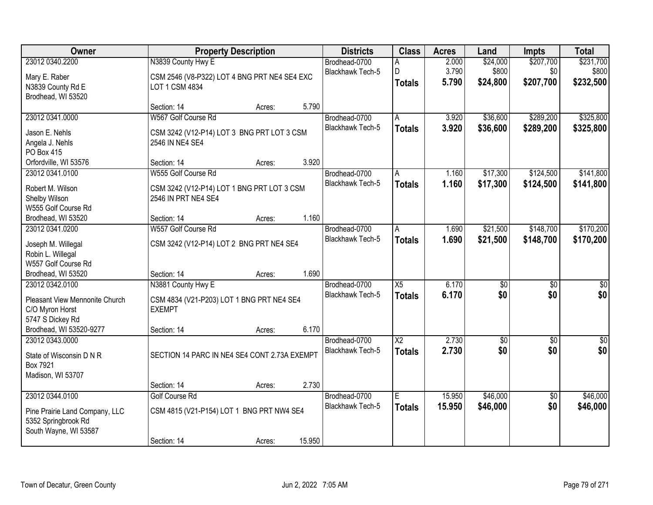| 23012 0340.2200<br>N3839 County Hwy E<br>\$207,700<br>\$231,700<br>Brodhead-0700<br>2.000<br>\$24,000<br>Α<br>3.790<br>\$800<br>\$0<br>\$800<br>Blackhawk Tech-5<br>D<br>CSM 2546 (V8-P322) LOT 4 BNG PRT NE4 SE4 EXC<br>Mary E. Raber<br>\$207,700<br>\$232,500<br>5.790<br>\$24,800<br><b>Totals</b><br>LOT 1 CSM 4834<br>N3839 County Rd E<br>Brodhead, WI 53520<br>5.790<br>Section: 14<br>Acres:<br>W567 Golf Course Rd<br>\$289,200<br>23012 0341.0000<br>3.920<br>\$36,600<br>Brodhead-0700<br>A<br><b>Blackhawk Tech-5</b><br>3.920<br>\$36,600<br>\$289,200<br><b>Totals</b><br>Jason E. Nehls<br>CSM 3242 (V12-P14) LOT 3 BNG PRT LOT 3 CSM<br>Angela J. Nehls<br>2546 IN NE4 SE4<br>PO Box 415<br>3.920<br>Orfordville, WI 53576<br>Section: 14<br>Acres:<br>23012 0341.0100<br>\$17,300<br>\$124,500<br>W555 Golf Course Rd<br>Brodhead-0700<br>1.160<br>A<br>Blackhawk Tech-5<br>1.160<br>\$17,300<br>\$124,500<br><b>Totals</b><br>Robert M. Wilson<br>CSM 3242 (V12-P14) LOT 1 BNG PRT LOT 3 CSM<br>2546 IN PRT NE4 SE4<br>Shelby Wilson<br>W555 Golf Course Rd<br>1.160<br>Brodhead, WI 53520<br>Section: 14<br>Acres:<br>\$148,700<br>W557 Golf Course Rd<br>\$21,500<br>23012 0341.0200<br>Brodhead-0700<br>1.690<br>Α<br><b>Blackhawk Tech-5</b><br>1.690<br>\$21,500<br>\$148,700<br><b>Totals</b><br>CSM 3242 (V12-P14) LOT 2 BNG PRT NE4 SE4<br>Joseph M. Willegal<br>Robin L. Willegal<br>W557 Golf Course Rd<br>1.690<br>Brodhead, WI 53520<br>Section: 14<br>Acres:<br>$\overline{X5}$<br>23012 0342.0100<br>N3881 County Hwy E<br>6.170<br>$\overline{50}$<br>Brodhead-0700<br>\$0<br>\$0<br><b>Blackhawk Tech-5</b><br>6.170<br>\$0<br><b>Totals</b><br>Pleasant View Mennonite Church<br>CSM 4834 (V21-P203) LOT 1 BNG PRT NE4 SE4<br><b>EXEMPT</b><br>C/O Myron Horst<br>5747 S Dickey Rd<br>6.170<br>Brodhead, WI 53520-9277<br>Section: 14<br>Acres:<br>2.730<br>23012 0343.0000<br>$\overline{\text{X2}}$<br>Brodhead-0700<br>$\sqrt{$0}$<br>$\overline{50}$<br>\$0<br>\$0<br>Blackhawk Tech-5<br>2.730<br><b>Totals</b><br>SECTION 14 PARC IN NE4 SE4 CONT 2.73A EXEMPT<br>State of Wisconsin D N R<br>Box 7921<br>Madison, WI 53707<br>2.730<br>Section: 14<br>Acres:<br>23012 0344.0100<br>\$46,000<br><b>Golf Course Rd</b><br>Brodhead-0700<br>Ē<br>15.950<br>$\overline{50}$<br>\$0<br><b>Blackhawk Tech-5</b><br>15.950<br>\$46,000<br><b>Totals</b><br>CSM 4815 (V21-P154) LOT 1 BNG PRT NW4 SE4<br>Pine Prairie Land Company, LLC<br>5352 Springbrook Rd<br>South Wayne, WI 53587 | Owner |             | <b>Property Description</b> |        | <b>Districts</b> | <b>Class</b> | <b>Acres</b> | Land | <b>Impts</b> | <b>Total</b> |
|----------------------------------------------------------------------------------------------------------------------------------------------------------------------------------------------------------------------------------------------------------------------------------------------------------------------------------------------------------------------------------------------------------------------------------------------------------------------------------------------------------------------------------------------------------------------------------------------------------------------------------------------------------------------------------------------------------------------------------------------------------------------------------------------------------------------------------------------------------------------------------------------------------------------------------------------------------------------------------------------------------------------------------------------------------------------------------------------------------------------------------------------------------------------------------------------------------------------------------------------------------------------------------------------------------------------------------------------------------------------------------------------------------------------------------------------------------------------------------------------------------------------------------------------------------------------------------------------------------------------------------------------------------------------------------------------------------------------------------------------------------------------------------------------------------------------------------------------------------------------------------------------------------------------------------------------------------------------------------------------------------------------------------------------------------------------------------------------------------------------------------------------------------------------------------------------------------------------------------------------------------------------------------------------------------------------------------------------------------------------------------------------------------------------------------------------------------------------------------------------------------------------------|-------|-------------|-----------------------------|--------|------------------|--------------|--------------|------|--------------|--------------|
|                                                                                                                                                                                                                                                                                                                                                                                                                                                                                                                                                                                                                                                                                                                                                                                                                                                                                                                                                                                                                                                                                                                                                                                                                                                                                                                                                                                                                                                                                                                                                                                                                                                                                                                                                                                                                                                                                                                                                                                                                                                                                                                                                                                                                                                                                                                                                                                                                                                                                                                            |       |             |                             |        |                  |              |              |      |              |              |
|                                                                                                                                                                                                                                                                                                                                                                                                                                                                                                                                                                                                                                                                                                                                                                                                                                                                                                                                                                                                                                                                                                                                                                                                                                                                                                                                                                                                                                                                                                                                                                                                                                                                                                                                                                                                                                                                                                                                                                                                                                                                                                                                                                                                                                                                                                                                                                                                                                                                                                                            |       |             |                             |        |                  |              |              |      |              |              |
|                                                                                                                                                                                                                                                                                                                                                                                                                                                                                                                                                                                                                                                                                                                                                                                                                                                                                                                                                                                                                                                                                                                                                                                                                                                                                                                                                                                                                                                                                                                                                                                                                                                                                                                                                                                                                                                                                                                                                                                                                                                                                                                                                                                                                                                                                                                                                                                                                                                                                                                            |       |             |                             |        |                  |              |              |      |              |              |
| \$325,800<br>\$325,800<br>\$141,800<br>\$141,800<br>\$170,200<br>\$170,200<br>$\overline{50}$<br>\$0<br>\$0<br>\$0<br>\$46,000<br>\$46,000                                                                                                                                                                                                                                                                                                                                                                                                                                                                                                                                                                                                                                                                                                                                                                                                                                                                                                                                                                                                                                                                                                                                                                                                                                                                                                                                                                                                                                                                                                                                                                                                                                                                                                                                                                                                                                                                                                                                                                                                                                                                                                                                                                                                                                                                                                                                                                                 |       |             |                             |        |                  |              |              |      |              |              |
|                                                                                                                                                                                                                                                                                                                                                                                                                                                                                                                                                                                                                                                                                                                                                                                                                                                                                                                                                                                                                                                                                                                                                                                                                                                                                                                                                                                                                                                                                                                                                                                                                                                                                                                                                                                                                                                                                                                                                                                                                                                                                                                                                                                                                                                                                                                                                                                                                                                                                                                            |       |             |                             |        |                  |              |              |      |              |              |
|                                                                                                                                                                                                                                                                                                                                                                                                                                                                                                                                                                                                                                                                                                                                                                                                                                                                                                                                                                                                                                                                                                                                                                                                                                                                                                                                                                                                                                                                                                                                                                                                                                                                                                                                                                                                                                                                                                                                                                                                                                                                                                                                                                                                                                                                                                                                                                                                                                                                                                                            |       |             |                             |        |                  |              |              |      |              |              |
|                                                                                                                                                                                                                                                                                                                                                                                                                                                                                                                                                                                                                                                                                                                                                                                                                                                                                                                                                                                                                                                                                                                                                                                                                                                                                                                                                                                                                                                                                                                                                                                                                                                                                                                                                                                                                                                                                                                                                                                                                                                                                                                                                                                                                                                                                                                                                                                                                                                                                                                            |       |             |                             |        |                  |              |              |      |              |              |
|                                                                                                                                                                                                                                                                                                                                                                                                                                                                                                                                                                                                                                                                                                                                                                                                                                                                                                                                                                                                                                                                                                                                                                                                                                                                                                                                                                                                                                                                                                                                                                                                                                                                                                                                                                                                                                                                                                                                                                                                                                                                                                                                                                                                                                                                                                                                                                                                                                                                                                                            |       |             |                             |        |                  |              |              |      |              |              |
|                                                                                                                                                                                                                                                                                                                                                                                                                                                                                                                                                                                                                                                                                                                                                                                                                                                                                                                                                                                                                                                                                                                                                                                                                                                                                                                                                                                                                                                                                                                                                                                                                                                                                                                                                                                                                                                                                                                                                                                                                                                                                                                                                                                                                                                                                                                                                                                                                                                                                                                            |       |             |                             |        |                  |              |              |      |              |              |
|                                                                                                                                                                                                                                                                                                                                                                                                                                                                                                                                                                                                                                                                                                                                                                                                                                                                                                                                                                                                                                                                                                                                                                                                                                                                                                                                                                                                                                                                                                                                                                                                                                                                                                                                                                                                                                                                                                                                                                                                                                                                                                                                                                                                                                                                                                                                                                                                                                                                                                                            |       |             |                             |        |                  |              |              |      |              |              |
|                                                                                                                                                                                                                                                                                                                                                                                                                                                                                                                                                                                                                                                                                                                                                                                                                                                                                                                                                                                                                                                                                                                                                                                                                                                                                                                                                                                                                                                                                                                                                                                                                                                                                                                                                                                                                                                                                                                                                                                                                                                                                                                                                                                                                                                                                                                                                                                                                                                                                                                            |       |             |                             |        |                  |              |              |      |              |              |
|                                                                                                                                                                                                                                                                                                                                                                                                                                                                                                                                                                                                                                                                                                                                                                                                                                                                                                                                                                                                                                                                                                                                                                                                                                                                                                                                                                                                                                                                                                                                                                                                                                                                                                                                                                                                                                                                                                                                                                                                                                                                                                                                                                                                                                                                                                                                                                                                                                                                                                                            |       |             |                             |        |                  |              |              |      |              |              |
|                                                                                                                                                                                                                                                                                                                                                                                                                                                                                                                                                                                                                                                                                                                                                                                                                                                                                                                                                                                                                                                                                                                                                                                                                                                                                                                                                                                                                                                                                                                                                                                                                                                                                                                                                                                                                                                                                                                                                                                                                                                                                                                                                                                                                                                                                                                                                                                                                                                                                                                            |       |             |                             |        |                  |              |              |      |              |              |
|                                                                                                                                                                                                                                                                                                                                                                                                                                                                                                                                                                                                                                                                                                                                                                                                                                                                                                                                                                                                                                                                                                                                                                                                                                                                                                                                                                                                                                                                                                                                                                                                                                                                                                                                                                                                                                                                                                                                                                                                                                                                                                                                                                                                                                                                                                                                                                                                                                                                                                                            |       |             |                             |        |                  |              |              |      |              |              |
|                                                                                                                                                                                                                                                                                                                                                                                                                                                                                                                                                                                                                                                                                                                                                                                                                                                                                                                                                                                                                                                                                                                                                                                                                                                                                                                                                                                                                                                                                                                                                                                                                                                                                                                                                                                                                                                                                                                                                                                                                                                                                                                                                                                                                                                                                                                                                                                                                                                                                                                            |       |             |                             |        |                  |              |              |      |              |              |
|                                                                                                                                                                                                                                                                                                                                                                                                                                                                                                                                                                                                                                                                                                                                                                                                                                                                                                                                                                                                                                                                                                                                                                                                                                                                                                                                                                                                                                                                                                                                                                                                                                                                                                                                                                                                                                                                                                                                                                                                                                                                                                                                                                                                                                                                                                                                                                                                                                                                                                                            |       |             |                             |        |                  |              |              |      |              |              |
|                                                                                                                                                                                                                                                                                                                                                                                                                                                                                                                                                                                                                                                                                                                                                                                                                                                                                                                                                                                                                                                                                                                                                                                                                                                                                                                                                                                                                                                                                                                                                                                                                                                                                                                                                                                                                                                                                                                                                                                                                                                                                                                                                                                                                                                                                                                                                                                                                                                                                                                            |       |             |                             |        |                  |              |              |      |              |              |
|                                                                                                                                                                                                                                                                                                                                                                                                                                                                                                                                                                                                                                                                                                                                                                                                                                                                                                                                                                                                                                                                                                                                                                                                                                                                                                                                                                                                                                                                                                                                                                                                                                                                                                                                                                                                                                                                                                                                                                                                                                                                                                                                                                                                                                                                                                                                                                                                                                                                                                                            |       |             |                             |        |                  |              |              |      |              |              |
|                                                                                                                                                                                                                                                                                                                                                                                                                                                                                                                                                                                                                                                                                                                                                                                                                                                                                                                                                                                                                                                                                                                                                                                                                                                                                                                                                                                                                                                                                                                                                                                                                                                                                                                                                                                                                                                                                                                                                                                                                                                                                                                                                                                                                                                                                                                                                                                                                                                                                                                            |       |             |                             |        |                  |              |              |      |              |              |
|                                                                                                                                                                                                                                                                                                                                                                                                                                                                                                                                                                                                                                                                                                                                                                                                                                                                                                                                                                                                                                                                                                                                                                                                                                                                                                                                                                                                                                                                                                                                                                                                                                                                                                                                                                                                                                                                                                                                                                                                                                                                                                                                                                                                                                                                                                                                                                                                                                                                                                                            |       |             |                             |        |                  |              |              |      |              |              |
|                                                                                                                                                                                                                                                                                                                                                                                                                                                                                                                                                                                                                                                                                                                                                                                                                                                                                                                                                                                                                                                                                                                                                                                                                                                                                                                                                                                                                                                                                                                                                                                                                                                                                                                                                                                                                                                                                                                                                                                                                                                                                                                                                                                                                                                                                                                                                                                                                                                                                                                            |       |             |                             |        |                  |              |              |      |              |              |
|                                                                                                                                                                                                                                                                                                                                                                                                                                                                                                                                                                                                                                                                                                                                                                                                                                                                                                                                                                                                                                                                                                                                                                                                                                                                                                                                                                                                                                                                                                                                                                                                                                                                                                                                                                                                                                                                                                                                                                                                                                                                                                                                                                                                                                                                                                                                                                                                                                                                                                                            |       |             |                             |        |                  |              |              |      |              |              |
|                                                                                                                                                                                                                                                                                                                                                                                                                                                                                                                                                                                                                                                                                                                                                                                                                                                                                                                                                                                                                                                                                                                                                                                                                                                                                                                                                                                                                                                                                                                                                                                                                                                                                                                                                                                                                                                                                                                                                                                                                                                                                                                                                                                                                                                                                                                                                                                                                                                                                                                            |       |             |                             |        |                  |              |              |      |              |              |
|                                                                                                                                                                                                                                                                                                                                                                                                                                                                                                                                                                                                                                                                                                                                                                                                                                                                                                                                                                                                                                                                                                                                                                                                                                                                                                                                                                                                                                                                                                                                                                                                                                                                                                                                                                                                                                                                                                                                                                                                                                                                                                                                                                                                                                                                                                                                                                                                                                                                                                                            |       |             |                             |        |                  |              |              |      |              |              |
|                                                                                                                                                                                                                                                                                                                                                                                                                                                                                                                                                                                                                                                                                                                                                                                                                                                                                                                                                                                                                                                                                                                                                                                                                                                                                                                                                                                                                                                                                                                                                                                                                                                                                                                                                                                                                                                                                                                                                                                                                                                                                                                                                                                                                                                                                                                                                                                                                                                                                                                            |       |             |                             |        |                  |              |              |      |              |              |
|                                                                                                                                                                                                                                                                                                                                                                                                                                                                                                                                                                                                                                                                                                                                                                                                                                                                                                                                                                                                                                                                                                                                                                                                                                                                                                                                                                                                                                                                                                                                                                                                                                                                                                                                                                                                                                                                                                                                                                                                                                                                                                                                                                                                                                                                                                                                                                                                                                                                                                                            |       |             |                             |        |                  |              |              |      |              |              |
|                                                                                                                                                                                                                                                                                                                                                                                                                                                                                                                                                                                                                                                                                                                                                                                                                                                                                                                                                                                                                                                                                                                                                                                                                                                                                                                                                                                                                                                                                                                                                                                                                                                                                                                                                                                                                                                                                                                                                                                                                                                                                                                                                                                                                                                                                                                                                                                                                                                                                                                            |       |             |                             |        |                  |              |              |      |              |              |
|                                                                                                                                                                                                                                                                                                                                                                                                                                                                                                                                                                                                                                                                                                                                                                                                                                                                                                                                                                                                                                                                                                                                                                                                                                                                                                                                                                                                                                                                                                                                                                                                                                                                                                                                                                                                                                                                                                                                                                                                                                                                                                                                                                                                                                                                                                                                                                                                                                                                                                                            |       |             |                             |        |                  |              |              |      |              |              |
|                                                                                                                                                                                                                                                                                                                                                                                                                                                                                                                                                                                                                                                                                                                                                                                                                                                                                                                                                                                                                                                                                                                                                                                                                                                                                                                                                                                                                                                                                                                                                                                                                                                                                                                                                                                                                                                                                                                                                                                                                                                                                                                                                                                                                                                                                                                                                                                                                                                                                                                            |       |             |                             |        |                  |              |              |      |              |              |
|                                                                                                                                                                                                                                                                                                                                                                                                                                                                                                                                                                                                                                                                                                                                                                                                                                                                                                                                                                                                                                                                                                                                                                                                                                                                                                                                                                                                                                                                                                                                                                                                                                                                                                                                                                                                                                                                                                                                                                                                                                                                                                                                                                                                                                                                                                                                                                                                                                                                                                                            |       |             |                             |        |                  |              |              |      |              |              |
|                                                                                                                                                                                                                                                                                                                                                                                                                                                                                                                                                                                                                                                                                                                                                                                                                                                                                                                                                                                                                                                                                                                                                                                                                                                                                                                                                                                                                                                                                                                                                                                                                                                                                                                                                                                                                                                                                                                                                                                                                                                                                                                                                                                                                                                                                                                                                                                                                                                                                                                            |       |             |                             |        |                  |              |              |      |              |              |
|                                                                                                                                                                                                                                                                                                                                                                                                                                                                                                                                                                                                                                                                                                                                                                                                                                                                                                                                                                                                                                                                                                                                                                                                                                                                                                                                                                                                                                                                                                                                                                                                                                                                                                                                                                                                                                                                                                                                                                                                                                                                                                                                                                                                                                                                                                                                                                                                                                                                                                                            |       |             |                             |        |                  |              |              |      |              |              |
|                                                                                                                                                                                                                                                                                                                                                                                                                                                                                                                                                                                                                                                                                                                                                                                                                                                                                                                                                                                                                                                                                                                                                                                                                                                                                                                                                                                                                                                                                                                                                                                                                                                                                                                                                                                                                                                                                                                                                                                                                                                                                                                                                                                                                                                                                                                                                                                                                                                                                                                            |       |             |                             |        |                  |              |              |      |              |              |
|                                                                                                                                                                                                                                                                                                                                                                                                                                                                                                                                                                                                                                                                                                                                                                                                                                                                                                                                                                                                                                                                                                                                                                                                                                                                                                                                                                                                                                                                                                                                                                                                                                                                                                                                                                                                                                                                                                                                                                                                                                                                                                                                                                                                                                                                                                                                                                                                                                                                                                                            |       |             |                             |        |                  |              |              |      |              |              |
|                                                                                                                                                                                                                                                                                                                                                                                                                                                                                                                                                                                                                                                                                                                                                                                                                                                                                                                                                                                                                                                                                                                                                                                                                                                                                                                                                                                                                                                                                                                                                                                                                                                                                                                                                                                                                                                                                                                                                                                                                                                                                                                                                                                                                                                                                                                                                                                                                                                                                                                            |       | Section: 14 | Acres:                      | 15.950 |                  |              |              |      |              |              |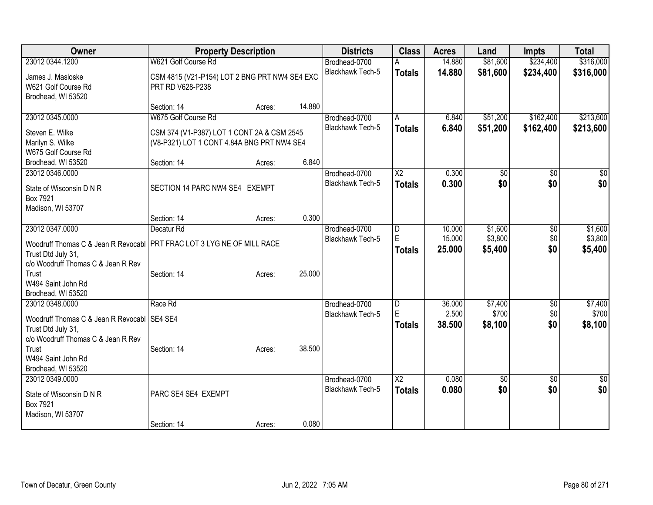| Owner                                                                                                                                |                                                                                          | <b>Property Description</b> |        | <b>Districts</b>                  | <b>Class</b>                            | <b>Acres</b>     | Land                 | <b>Impts</b>           | <b>Total</b>            |
|--------------------------------------------------------------------------------------------------------------------------------------|------------------------------------------------------------------------------------------|-----------------------------|--------|-----------------------------------|-----------------------------------------|------------------|----------------------|------------------------|-------------------------|
| 23012 0344.1200                                                                                                                      | W621 Golf Course Rd                                                                      |                             |        | Brodhead-0700<br>Blackhawk Tech-5 | <b>Totals</b>                           | 14.880<br>14.880 | \$81,600<br>\$81,600 | \$234,400<br>\$234,400 | \$316,000<br>\$316,000  |
| James J. Masloske<br>W621 Golf Course Rd<br>Brodhead, WI 53520                                                                       | CSM 4815 (V21-P154) LOT 2 BNG PRT NW4 SE4 EXC<br>PRT RD V628-P238                        |                             |        |                                   |                                         |                  |                      |                        |                         |
|                                                                                                                                      | Section: 14                                                                              | Acres:                      | 14.880 |                                   |                                         |                  |                      |                        |                         |
| 23012 0345.0000                                                                                                                      | W675 Golf Course Rd                                                                      |                             |        | Brodhead-0700                     | A                                       | 6.840            | \$51,200             | \$162,400              | \$213,600               |
| Steven E. Wilke<br>Marilyn S. Wilke<br>W675 Golf Course Rd                                                                           | CSM 374 (V1-P387) LOT 1 CONT 2A & CSM 2545<br>(V8-P321) LOT 1 CONT 4.84A BNG PRT NW4 SE4 |                             |        | <b>Blackhawk Tech-5</b>           | <b>Totals</b>                           | 6.840            | \$51,200             | \$162,400              | \$213,600               |
| Brodhead, WI 53520                                                                                                                   | Section: 14                                                                              | Acres:                      | 6.840  |                                   |                                         |                  |                      |                        |                         |
| 23012 0346.0000<br>State of Wisconsin D N R<br>Box 7921                                                                              | SECTION 14 PARC NW4 SE4 EXEMPT                                                           |                             |        | Brodhead-0700<br>Blackhawk Tech-5 | $\overline{\text{X2}}$<br><b>Totals</b> | 0.300<br>0.300   | \$0<br>\$0           | $\overline{50}$<br>\$0 | $\sqrt{50}$<br>\$0      |
| Madison, WI 53707                                                                                                                    | Section: 14                                                                              | Acres:                      | 0.300  |                                   |                                         |                  |                      |                        |                         |
| 23012 0347.0000                                                                                                                      | Decatur <sub>Rd</sub>                                                                    |                             |        | Brodhead-0700                     | D                                       | 10.000           | \$1,600              | $\overline{50}$        | \$1,600                 |
| Woodruff Thomas C & Jean R Revocabl   PRT FRAC LOT 3 LYG NE OF MILL RACE<br>Trust Dtd July 31,<br>c/o Woodruff Thomas C & Jean R Rev |                                                                                          |                             |        | Blackhawk Tech-5                  | E<br><b>Totals</b>                      | 15.000<br>25.000 | \$3,800<br>\$5,400   | \$0<br>\$0             | \$3,800<br>\$5,400      |
| Trust<br>W494 Saint John Rd<br>Brodhead, WI 53520                                                                                    | Section: 14                                                                              | Acres:                      | 25.000 |                                   |                                         |                  |                      |                        |                         |
| 23012 0348.0000                                                                                                                      | Race Rd                                                                                  |                             |        | Brodhead-0700                     | D                                       | 36.000           | \$7,400              | \$0                    | \$7,400                 |
| Woodruff Thomas C & Jean R Revocabl SE4 SE4<br>Trust Dtd July 31,<br>c/o Woodruff Thomas C & Jean R Rev                              |                                                                                          |                             |        | Blackhawk Tech-5                  | F.<br><b>Totals</b>                     | 2.500<br>38.500  | \$700<br>\$8,100     | \$0<br>\$0             | \$700<br>\$8,100        |
| Trust<br>W494 Saint John Rd<br>Brodhead, WI 53520                                                                                    | Section: 14                                                                              | Acres:                      | 38.500 |                                   |                                         |                  |                      |                        |                         |
| 23012 0349.0000<br>State of Wisconsin D N R<br>Box 7921<br>Madison, WI 53707                                                         | PARC SE4 SE4 EXEMPT                                                                      |                             |        | Brodhead-0700<br>Blackhawk Tech-5 | $\overline{\text{X2}}$<br><b>Totals</b> | 0.080<br>0.080   | $\sqrt{50}$<br>\$0   | $\overline{50}$<br>\$0 | $\overline{\$0}$<br>\$0 |
|                                                                                                                                      | Section: 14                                                                              | Acres:                      | 0.080  |                                   |                                         |                  |                      |                        |                         |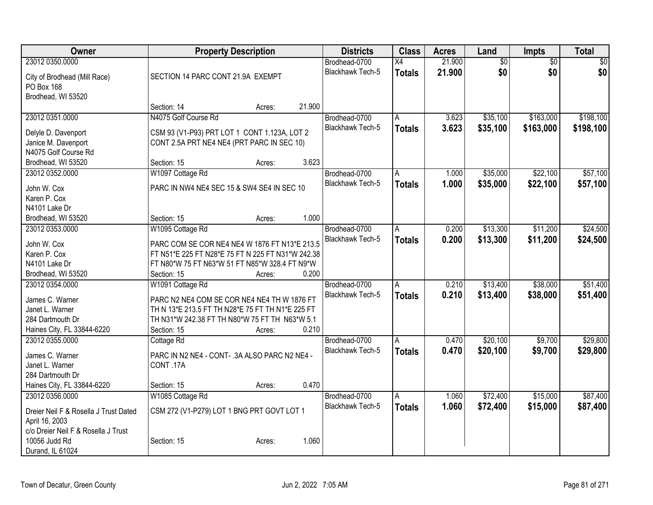| <b>Owner</b>                          | <b>Property Description</b>                       |        |        | <b>Districts</b>        | <b>Class</b>  | <b>Acres</b> | Land            | Impts           | <b>Total</b>    |
|---------------------------------------|---------------------------------------------------|--------|--------|-------------------------|---------------|--------------|-----------------|-----------------|-----------------|
| 23012 0350.0000                       |                                                   |        |        | Brodhead-0700           | X4            | 21.900       | $\overline{60}$ | $\overline{50}$ | $\overline{50}$ |
| City of Brodhead (Mill Race)          | SECTION 14 PARC CONT 21.9A EXEMPT                 |        |        | <b>Blackhawk Tech-5</b> | <b>Totals</b> | 21.900       | \$0             | \$0             | \$0             |
| PO Box 168                            |                                                   |        |        |                         |               |              |                 |                 |                 |
| Brodhead, WI 53520                    |                                                   |        |        |                         |               |              |                 |                 |                 |
|                                       | Section: 14                                       | Acres: | 21.900 |                         |               |              |                 |                 |                 |
| 23012 0351.0000                       | N4075 Golf Course Rd                              |        |        | Brodhead-0700           | A             | 3.623        | \$35,100        | \$163,000       | \$198,100       |
|                                       |                                                   |        |        | Blackhawk Tech-5        | <b>Totals</b> | 3.623        | \$35,100        | \$163,000       | \$198,100       |
| Delyle D. Davenport                   | CSM 93 (V1-P93) PRT LOT 1 CONT 1.123A, LOT 2      |        |        |                         |               |              |                 |                 |                 |
| Janice M. Davenport                   | CONT 2.5A PRT NE4 NE4 (PRT PARC IN SEC 10)        |        |        |                         |               |              |                 |                 |                 |
| N4075 Golf Course Rd                  |                                                   |        | 3.623  |                         |               |              |                 |                 |                 |
| Brodhead, WI 53520                    | Section: 15                                       | Acres: |        |                         |               |              |                 |                 |                 |
| 23012 0352.0000                       | W1097 Cottage Rd                                  |        |        | Brodhead-0700           | A             | 1.000        | \$35,000        | \$22,100        | \$57,100        |
| John W. Cox                           | PARC IN NW4 NE4 SEC 15 & SW4 SE4 IN SEC 10        |        |        | <b>Blackhawk Tech-5</b> | <b>Totals</b> | 1.000        | \$35,000        | \$22,100        | \$57,100        |
| Karen P. Cox                          |                                                   |        |        |                         |               |              |                 |                 |                 |
| N4101 Lake Dr                         |                                                   |        |        |                         |               |              |                 |                 |                 |
| Brodhead, WI 53520                    | Section: 15                                       | Acres: | 1.000  |                         |               |              |                 |                 |                 |
| 23012 0353.0000                       | W1095 Cottage Rd                                  |        |        | Brodhead-0700           | A             | 0.200        | \$13,300        | \$11,200        | \$24,500        |
| John W. Cox                           | PARC COM SE COR NE4 NE4 W 1876 FT N13*E 213.5     |        |        | Blackhawk Tech-5        | <b>Totals</b> | 0.200        | \$13,300        | \$11,200        | \$24,500        |
| Karen P. Cox                          | FT N51*E 225 FT N28*E 75 FT N 225 FT N31*W 242.38 |        |        |                         |               |              |                 |                 |                 |
| N4101 Lake Dr                         | FT N80*W 75 FT N63*W 51 FT N85*W 328.4 FT N9*W    |        |        |                         |               |              |                 |                 |                 |
| Brodhead, WI 53520                    | Section: 15                                       | Acres: | 0.200  |                         |               |              |                 |                 |                 |
| 23012 0354.0000                       | W1091 Cottage Rd                                  |        |        | Brodhead-0700           | A             | 0.210        | \$13,400        | \$38,000        | \$51,400        |
|                                       |                                                   |        |        | <b>Blackhawk Tech-5</b> |               | 0.210        | \$13,400        | \$38,000        | \$51,400        |
| James C. Warner                       | PARC N2 NE4 COM SE COR NE4 NE4 TH W 1876 FT       |        |        |                         | <b>Totals</b> |              |                 |                 |                 |
| Janet L. Warner                       | TH N 13*E 213.5 FT TH N28*E 75 FT TH N1*E 225 FT  |        |        |                         |               |              |                 |                 |                 |
| 284 Dartmouth Dr                      | TH N31*W 242.38 FT TH N80*W 75 FT TH N63*W 5.1    |        |        |                         |               |              |                 |                 |                 |
| Haines City, FL 33844-6220            | Section: 15                                       | Acres: | 0.210  |                         |               |              |                 |                 |                 |
| 23012 0355.0000                       | Cottage Rd                                        |        |        | Brodhead-0700           | A             | 0.470        | \$20,100        | \$9,700         | \$29,800        |
| James C. Warner                       | PARC IN N2 NE4 - CONT- .3A ALSO PARC N2 NE4 -     |        |        | Blackhawk Tech-5        | <b>Totals</b> | 0.470        | \$20,100        | \$9,700         | \$29,800        |
| Janet L. Warner                       | CONT.17A                                          |        |        |                         |               |              |                 |                 |                 |
| 284 Dartmouth Dr                      |                                                   |        |        |                         |               |              |                 |                 |                 |
| Haines City, FL 33844-6220            | Section: 15                                       | Acres: | 0.470  |                         |               |              |                 |                 |                 |
| 23012 0356.0000                       | W1085 Cottage Rd                                  |        |        | Brodhead-0700           | l A           | 1.060        | \$72,400        | \$15,000        | \$87,400        |
|                                       |                                                   |        |        | Blackhawk Tech-5        | <b>Totals</b> | 1.060        | \$72,400        | \$15,000        | \$87,400        |
| Dreier Neil F & Rosella J Trust Dated | CSM 272 (V1-P279) LOT 1 BNG PRT GOVT LOT 1        |        |        |                         |               |              |                 |                 |                 |
| April 16, 2003                        |                                                   |        |        |                         |               |              |                 |                 |                 |
| c/o Dreier Neil F & Rosella J Trust   |                                                   |        |        |                         |               |              |                 |                 |                 |
| 10056 Judd Rd                         | Section: 15                                       | Acres: | 1.060  |                         |               |              |                 |                 |                 |
| Durand, IL 61024                      |                                                   |        |        |                         |               |              |                 |                 |                 |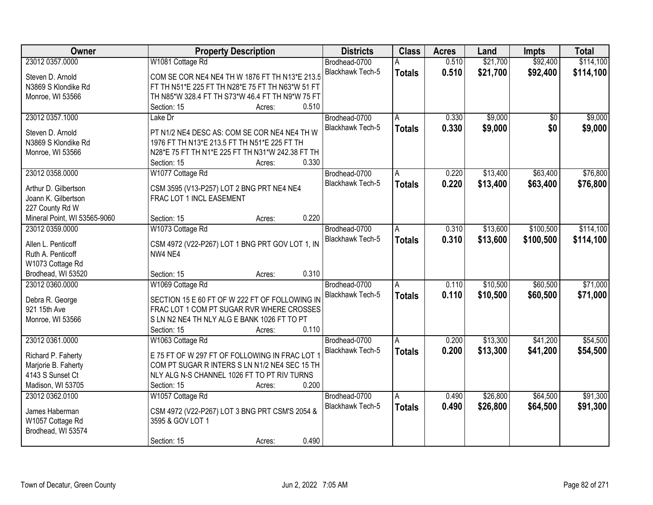| Owner                        | <b>Property Description</b>                      | <b>Districts</b>        | <b>Class</b>  | <b>Acres</b> | Land     | <b>Impts</b> | <b>Total</b> |
|------------------------------|--------------------------------------------------|-------------------------|---------------|--------------|----------|--------------|--------------|
| 23012 0357.0000              | W1081 Cottage Rd                                 | Brodhead-0700           |               | 0.510        | \$21,700 | \$92,400     | \$114,100    |
| Steven D. Arnold             | COM SE COR NE4 NE4 TH W 1876 FT TH N13*E 213.5   | Blackhawk Tech-5        | <b>Totals</b> | 0.510        | \$21,700 | \$92,400     | \$114,100    |
| N3869 S Klondike Rd          | FT TH N51*E 225 FT TH N28*E 75 FT TH N63*W 51 FT |                         |               |              |          |              |              |
| Monroe, WI 53566             | TH N85*W 328.4 FT TH S73*W 46.4 FT TH N9*W 75 FT |                         |               |              |          |              |              |
|                              | 0.510<br>Section: 15<br>Acres:                   |                         |               |              |          |              |              |
| 23012 0357.1000              | Lake Dr                                          | Brodhead-0700           | A             | 0.330        | \$9,000  | \$0          | \$9,000      |
|                              |                                                  | Blackhawk Tech-5        | <b>Totals</b> | 0.330        | \$9,000  | \$0          | \$9,000      |
| Steven D. Arnold             | PT N1/2 NE4 DESC AS: COM SE COR NE4 NE4 TH W     |                         |               |              |          |              |              |
| N3869 S Klondike Rd          | 1976 FT TH N13*E 213.5 FT TH N51*E 225 FT TH     |                         |               |              |          |              |              |
| Monroe, WI 53566             | N28*E 75 FT TH N1*E 225 FT TH N31*W 242.38 FT TH |                         |               |              |          |              |              |
|                              | 0.330<br>Section: 15<br>Acres:                   |                         |               |              |          |              |              |
| 23012 0358.0000              | W1077 Cottage Rd                                 | Brodhead-0700           | A             | 0.220        | \$13,400 | \$63,400     | \$76,800     |
| Arthur D. Gilbertson         | CSM 3595 (V13-P257) LOT 2 BNG PRT NE4 NE4        | Blackhawk Tech-5        | <b>Totals</b> | 0.220        | \$13,400 | \$63,400     | \$76,800     |
| Joann K. Gilbertson          | FRAC LOT 1 INCL EASEMENT                         |                         |               |              |          |              |              |
| 227 County Rd W              |                                                  |                         |               |              |          |              |              |
| Mineral Point, WI 53565-9060 | 0.220<br>Section: 15<br>Acres:                   |                         |               |              |          |              |              |
| 23012 0359.0000              | W1073 Cottage Rd                                 | Brodhead-0700           | A             | 0.310        | \$13,600 | \$100,500    | \$114,100    |
|                              |                                                  | <b>Blackhawk Tech-5</b> | <b>Totals</b> | 0.310        | \$13,600 | \$100,500    | \$114,100    |
| Allen L. Penticoff           | CSM 4972 (V22-P267) LOT 1 BNG PRT GOV LOT 1, IN  |                         |               |              |          |              |              |
| Ruth A. Penticoff            | NW4 NE4                                          |                         |               |              |          |              |              |
| W1073 Cottage Rd             |                                                  |                         |               |              |          |              |              |
| Brodhead, WI 53520           | 0.310<br>Section: 15<br>Acres:                   |                         |               |              |          |              |              |
| 23012 0360.0000              | W1069 Cottage Rd                                 | Brodhead-0700           | A             | 0.110        | \$10,500 | \$60,500     | \$71,000     |
| Debra R. George              | SECTION 15 E 60 FT OF W 222 FT OF FOLLOWING IN   | Blackhawk Tech-5        | <b>Totals</b> | 0.110        | \$10,500 | \$60,500     | \$71,000     |
| 921 15th Ave                 | FRAC LOT 1 COM PT SUGAR RVR WHERE CROSSES        |                         |               |              |          |              |              |
| Monroe, WI 53566             | S LN N2 NE4 TH NLY ALG E BANK 1026 FT TO PT      |                         |               |              |          |              |              |
|                              | 0.110<br>Section: 15<br>Acres:                   |                         |               |              |          |              |              |
| 23012 0361.0000              | W1063 Cottage Rd                                 | Brodhead-0700           | A             | 0.200        | \$13,300 | \$41,200     | \$54,500     |
|                              |                                                  | Blackhawk Tech-5        | <b>Totals</b> | 0.200        | \$13,300 | \$41,200     | \$54,500     |
| Richard P. Faherty           | E 75 FT OF W 297 FT OF FOLLOWING IN FRAC LOT 1   |                         |               |              |          |              |              |
| Marjorie B. Faherty          | COM PT SUGAR R INTERS S LN N1/2 NE4 SEC 15 TH    |                         |               |              |          |              |              |
| 4143 S Sunset Ct             | NLY ALG N-S CHANNEL 1026 FT TO PT RIV TURNS      |                         |               |              |          |              |              |
| Madison, WI 53705            | 0.200<br>Section: 15<br>Acres:                   |                         |               |              |          |              |              |
| 23012 0362.0100              | W1057 Cottage Rd                                 | Brodhead-0700           | A             | 0.490        | \$26,800 | \$64,500     | \$91,300     |
| James Haberman               | CSM 4972 (V22-P267) LOT 3 BNG PRT CSM'S 2054 &   | Blackhawk Tech-5        | <b>Totals</b> | 0.490        | \$26,800 | \$64,500     | \$91,300     |
| W1057 Cottage Rd             | 3595 & GOV LOT 1                                 |                         |               |              |          |              |              |
| Brodhead, WI 53574           |                                                  |                         |               |              |          |              |              |
|                              | 0.490<br>Section: 15<br>Acres:                   |                         |               |              |          |              |              |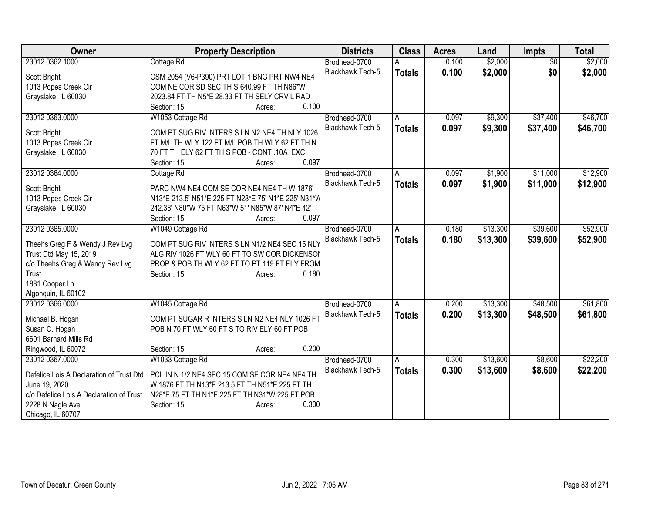| Owner                                    | <b>Property Description</b>                               | <b>Districts</b>                  | <b>Class</b>  | <b>Acres</b> | Land     | <b>Impts</b>    | <b>Total</b> |
|------------------------------------------|-----------------------------------------------------------|-----------------------------------|---------------|--------------|----------|-----------------|--------------|
| 23012 0362.1000                          | Cottage Rd                                                | Brodhead-0700                     |               | 0.100        | \$2,000  | $\overline{50}$ | \$2,000      |
| Scott Bright                             | CSM 2054 (V6-P390) PRT LOT 1 BNG PRT NW4 NE4              | <b>Blackhawk Tech-5</b>           | <b>Totals</b> | 0.100        | \$2,000  | \$0             | \$2,000      |
| 1013 Popes Creek Cir                     | COM NE COR SD SEC TH S 640.99 FT TH N86*W                 |                                   |               |              |          |                 |              |
| Grayslake, IL 60030                      | 2023.84 FT TH N5*E 28.33 FT TH SELY CRV L RAD             |                                   |               |              |          |                 |              |
|                                          | Section: 15<br>0.100<br>Acres:                            |                                   |               |              |          |                 |              |
| 23012 0363.0000                          | W1053 Cottage Rd                                          | Brodhead-0700                     | A             | 0.097        | \$9,300  | \$37,400        | \$46,700     |
| Scott Bright                             | COM PT SUG RIV INTERS S LN N2 NE4 TH NLY 1026             | Blackhawk Tech-5                  | <b>Totals</b> | 0.097        | \$9,300  | \$37,400        | \$46,700     |
| 1013 Popes Creek Cir                     | FT M/L TH WLY 122 FT M/L POB TH WLY 62 FT TH N            |                                   |               |              |          |                 |              |
| Grayslake, IL 60030                      | 70 FT TH ELY 62 FT TH S POB - CONT .10A EXC               |                                   |               |              |          |                 |              |
|                                          | 0.097<br>Section: 15<br>Acres:                            |                                   |               |              |          |                 |              |
| 23012 0364.0000                          | Cottage Rd                                                | Brodhead-0700                     | A             | 0.097        | \$1,900  | \$11,000        | \$12,900     |
|                                          |                                                           | <b>Blackhawk Tech-5</b>           | <b>Totals</b> | 0.097        | \$1,900  | \$11,000        | \$12,900     |
| Scott Bright                             | PARC NW4 NE4 COM SE COR NE4 NE4 TH W 1876'                |                                   |               |              |          |                 |              |
| 1013 Popes Creek Cir                     | N13*E 213.5' N51*E 225 FT N28*E 75' N1*E 225' N31*W       |                                   |               |              |          |                 |              |
| Grayslake, IL 60030                      | 242.38' N80*W 75 FT N63*W 51' N85*W 87' N4*E 42'<br>0.097 |                                   |               |              |          |                 |              |
| 23012 0365.0000                          | Section: 15<br>Acres:                                     |                                   |               | 0.180        | \$13,300 | \$39,600        | \$52,900     |
|                                          | W1049 Cottage Rd                                          | Brodhead-0700<br>Blackhawk Tech-5 | A             |              |          |                 |              |
| Theehs Greg F & Wendy J Rev Lvg          | COM PT SUG RIV INTERS S LN N1/2 NE4 SEC 15 NLY            |                                   | <b>Totals</b> | 0.180        | \$13,300 | \$39,600        | \$52,900     |
| Trust Dtd May 15, 2019                   | ALG RIV 1026 FT WLY 60 FT TO SW COR DICKENSON             |                                   |               |              |          |                 |              |
| c/o Theehs Greg & Wendy Rev Lvg          | PROP & POB TH WLY 62 FT TO PT 119 FT ELY FROM             |                                   |               |              |          |                 |              |
| Trust                                    | 0.180<br>Section: 15<br>Acres:                            |                                   |               |              |          |                 |              |
| 1881 Cooper Ln                           |                                                           |                                   |               |              |          |                 |              |
| Algonquin, IL 60102                      |                                                           |                                   |               |              |          |                 |              |
| 23012 0366,0000                          | W1045 Cottage Rd                                          | Brodhead-0700                     | A             | 0.200        | \$13,300 | \$48,500        | \$61,800     |
| Michael B. Hogan                         | COM PT SUGAR R INTERS S LN N2 NE4 NLY 1026 FT             | Blackhawk Tech-5                  | <b>Totals</b> | 0.200        | \$13,300 | \$48,500        | \$61,800     |
| Susan C. Hogan                           | POB N 70 FT WLY 60 FT S TO RIV ELY 60 FT POB              |                                   |               |              |          |                 |              |
| 6601 Barnard Mills Rd                    |                                                           |                                   |               |              |          |                 |              |
| Ringwood, IL 60072                       | 0.200<br>Section: 15<br>Acres:                            |                                   |               |              |          |                 |              |
| 23012 0367.0000                          | W1033 Cottage Rd                                          | Brodhead-0700                     | A             | 0.300        | \$13,600 | \$8,600         | \$22,200     |
| Defelice Lois A Declaration of Trust Dtd | PCL IN N 1/2 NE4 SEC 15 COM SE COR NE4 NE4 TH             | Blackhawk Tech-5                  | <b>Totals</b> | 0.300        | \$13,600 | \$8,600         | \$22,200     |
| June 19, 2020                            | W 1876 FT TH N13*E 213.5 FT TH N51*E 225 FT TH            |                                   |               |              |          |                 |              |
| c/o Defelice Lois A Declaration of Trust | N28*E 75 FT TH N1*E 225 FT TH N31*W 225 FT POB            |                                   |               |              |          |                 |              |
| 2228 N Nagle Ave                         | 0.300<br>Section: 15<br>Acres:                            |                                   |               |              |          |                 |              |
| Chicago, IL 60707                        |                                                           |                                   |               |              |          |                 |              |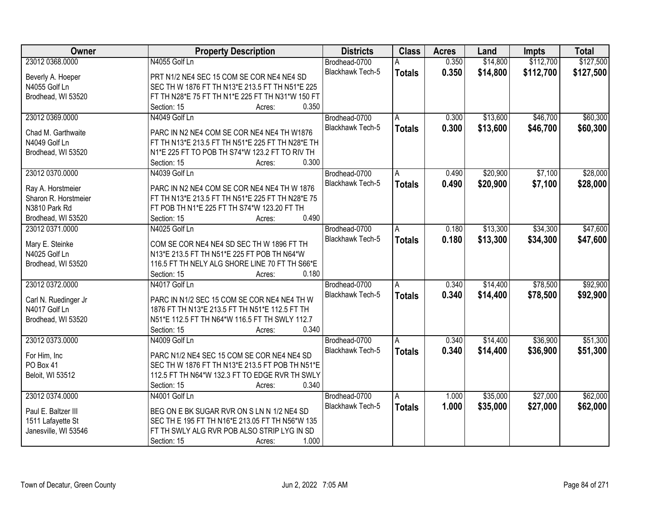| 0.350<br>\$14,800<br>\$112,700<br>\$127,500<br>23012 0368.0000<br>N4055 Golf Ln<br>Brodhead-0700<br><b>Blackhawk Tech-5</b><br>0.350<br>\$14,800<br>\$112,700<br><b>Totals</b><br>PRT N1/2 NE4 SEC 15 COM SE COR NE4 NE4 SD<br>Beverly A. Hoeper<br>SEC TH W 1876 FT TH N13*E 213.5 FT TH N51*E 225<br>N4055 Golf Ln<br>Brodhead, WI 53520<br>FT TH N28*E 75 FT TH N1*E 225 FT TH N31*W 150 FT<br>0.350<br>Section: 15<br>Acres:<br>23012 0369.0000<br>\$13,600<br>\$46,700<br>N4049 Golf Ln<br>Brodhead-0700<br>0.300<br>A<br>Blackhawk Tech-5<br>0.300<br>\$13,600<br>\$46,700<br><b>Totals</b><br>Chad M. Garthwaite<br>PARC IN N2 NE4 COM SE COR NE4 NE4 TH W1876<br>N4049 Golf Ln<br>FT TH N13*E 213.5 FT TH N51*E 225 FT TH N28*E TH<br>Brodhead, WI 53520<br>N1*E 225 FT TO POB TH S74*W 123.2 FT TO RIV TH<br>0.300<br>Section: 15<br>Acres:<br>23012 0370.0000<br>\$20,900<br>\$7,100<br>N4039 Golf Ln<br>Brodhead-0700<br>0.490<br>A<br>Blackhawk Tech-5<br>\$20,900<br>0.490<br>\$7,100<br><b>Totals</b><br>PARC IN N2 NE4 COM SE COR NE4 NE4 TH W 1876<br>Ray A. Horstmeier<br>Sharon R. Horstmeier<br>FT TH N13*E 213.5 FT TH N51*E 225 FT TH N28*E 75<br>N3810 Park Rd<br>FT POB TH N1*E 225 FT TH S74*W 123.20 FT TH<br>0.490<br>Brodhead, WI 53520<br>Section: 15<br>Acres:<br>23012 0371.0000<br>N4025 Golf Ln<br>\$13,300<br>\$34,300<br>Brodhead-0700<br>0.180<br>A<br>Blackhawk Tech-5<br>0.180<br>\$34,300<br>\$13,300<br><b>Totals</b><br>COM SE COR NE4 NE4 SD SEC TH W 1896 FT TH<br>Mary E. Steinke<br>N4025 Golf Ln<br>N13*E 213.5 FT TH N51*E 225 FT POB TH N64*W<br>116.5 FT TH NELY ALG SHORE LINE 70 FT TH S66*E<br>Brodhead, WI 53520<br>0.180<br>Section: 15<br>Acres:<br>\$78,500<br>23012 0372.0000<br>0.340<br>\$14,400<br>N4017 Golf Ln<br>Brodhead-0700<br>A<br>0.340<br>\$14,400<br>\$78,500<br>Blackhawk Tech-5<br><b>Totals</b><br>PARC IN N1/2 SEC 15 COM SE COR NE4 NE4 TH W<br>Carl N. Ruedinger Jr<br>N4017 Golf Ln<br>1876 FT TH N13*E 213.5 FT TH N51*E 112.5 FT TH<br>Brodhead, WI 53520<br>N51*E 112.5 FT TH N64*W 116.5 FT TH SWLY 112.7<br>0.340<br>Section: 15<br>Acres:<br>\$36,900<br>23012 0373.0000<br>Brodhead-0700<br>0.340<br>\$14,400<br>N4009 Golf Ln<br>A<br>Blackhawk Tech-5<br>0.340<br>\$14,400<br>\$36,900<br><b>Totals</b><br>For Him, Inc<br>PARC N1/2 NE4 SEC 15 COM SE COR NE4 NE4 SD<br>PO Box 41<br>SEC TH W 1876 FT TH N13*E 213.5 FT POB TH N51*E<br>112.5 FT TH N64*W 132.3 FT TO EDGE RVR TH SWLY<br>Beloit, WI 53512<br>0.340<br>Section: 15<br>Acres:<br>23012 0374.0000<br>\$35,000<br>\$27,000<br>N4001 Golf Ln<br>Brodhead-0700<br>1.000<br>A<br>Blackhawk Tech-5<br>1.000<br>\$35,000<br>\$27,000<br><b>Totals</b><br>BEG ON E BK SUGAR RVR ON S LN N 1/2 NE4 SD<br>Paul E. Baltzer III<br>1511 Lafayette St<br>SEC TH E 195 FT TH N16*E 213.05 FT TH N56*W 135<br>Janesville, WI 53546<br>FT TH SWLY ALG RVR POB ALSO STRIP LYG IN SD | <b>Owner</b> | <b>Property Description</b> | <b>Districts</b> | <b>Class</b> | <b>Acres</b> | Land | <b>Impts</b> | <b>Total</b> |
|-------------------------------------------------------------------------------------------------------------------------------------------------------------------------------------------------------------------------------------------------------------------------------------------------------------------------------------------------------------------------------------------------------------------------------------------------------------------------------------------------------------------------------------------------------------------------------------------------------------------------------------------------------------------------------------------------------------------------------------------------------------------------------------------------------------------------------------------------------------------------------------------------------------------------------------------------------------------------------------------------------------------------------------------------------------------------------------------------------------------------------------------------------------------------------------------------------------------------------------------------------------------------------------------------------------------------------------------------------------------------------------------------------------------------------------------------------------------------------------------------------------------------------------------------------------------------------------------------------------------------------------------------------------------------------------------------------------------------------------------------------------------------------------------------------------------------------------------------------------------------------------------------------------------------------------------------------------------------------------------------------------------------------------------------------------------------------------------------------------------------------------------------------------------------------------------------------------------------------------------------------------------------------------------------------------------------------------------------------------------------------------------------------------------------------------------------------------------------------------------------------------------------------------------------------------------------------------------------------------------------------------------------------------------------------------------------------------------------------------------------------------------------------------------------------------------------------------------------------------------------------------------------------------------------|--------------|-----------------------------|------------------|--------------|--------------|------|--------------|--------------|
|                                                                                                                                                                                                                                                                                                                                                                                                                                                                                                                                                                                                                                                                                                                                                                                                                                                                                                                                                                                                                                                                                                                                                                                                                                                                                                                                                                                                                                                                                                                                                                                                                                                                                                                                                                                                                                                                                                                                                                                                                                                                                                                                                                                                                                                                                                                                                                                                                                                                                                                                                                                                                                                                                                                                                                                                                                                                                                                         |              |                             |                  |              |              |      |              |              |
|                                                                                                                                                                                                                                                                                                                                                                                                                                                                                                                                                                                                                                                                                                                                                                                                                                                                                                                                                                                                                                                                                                                                                                                                                                                                                                                                                                                                                                                                                                                                                                                                                                                                                                                                                                                                                                                                                                                                                                                                                                                                                                                                                                                                                                                                                                                                                                                                                                                                                                                                                                                                                                                                                                                                                                                                                                                                                                                         |              |                             |                  |              |              |      |              | \$127,500    |
| \$60,300<br>\$60,300<br>\$28,000<br>\$28,000<br>\$47,600<br>\$47,600<br>\$92,900<br>\$92,900<br>\$51,300<br>\$51,300<br>\$62,000<br>\$62,000                                                                                                                                                                                                                                                                                                                                                                                                                                                                                                                                                                                                                                                                                                                                                                                                                                                                                                                                                                                                                                                                                                                                                                                                                                                                                                                                                                                                                                                                                                                                                                                                                                                                                                                                                                                                                                                                                                                                                                                                                                                                                                                                                                                                                                                                                                                                                                                                                                                                                                                                                                                                                                                                                                                                                                            |              |                             |                  |              |              |      |              |              |
|                                                                                                                                                                                                                                                                                                                                                                                                                                                                                                                                                                                                                                                                                                                                                                                                                                                                                                                                                                                                                                                                                                                                                                                                                                                                                                                                                                                                                                                                                                                                                                                                                                                                                                                                                                                                                                                                                                                                                                                                                                                                                                                                                                                                                                                                                                                                                                                                                                                                                                                                                                                                                                                                                                                                                                                                                                                                                                                         |              |                             |                  |              |              |      |              |              |
|                                                                                                                                                                                                                                                                                                                                                                                                                                                                                                                                                                                                                                                                                                                                                                                                                                                                                                                                                                                                                                                                                                                                                                                                                                                                                                                                                                                                                                                                                                                                                                                                                                                                                                                                                                                                                                                                                                                                                                                                                                                                                                                                                                                                                                                                                                                                                                                                                                                                                                                                                                                                                                                                                                                                                                                                                                                                                                                         |              |                             |                  |              |              |      |              |              |
|                                                                                                                                                                                                                                                                                                                                                                                                                                                                                                                                                                                                                                                                                                                                                                                                                                                                                                                                                                                                                                                                                                                                                                                                                                                                                                                                                                                                                                                                                                                                                                                                                                                                                                                                                                                                                                                                                                                                                                                                                                                                                                                                                                                                                                                                                                                                                                                                                                                                                                                                                                                                                                                                                                                                                                                                                                                                                                                         |              |                             |                  |              |              |      |              |              |
|                                                                                                                                                                                                                                                                                                                                                                                                                                                                                                                                                                                                                                                                                                                                                                                                                                                                                                                                                                                                                                                                                                                                                                                                                                                                                                                                                                                                                                                                                                                                                                                                                                                                                                                                                                                                                                                                                                                                                                                                                                                                                                                                                                                                                                                                                                                                                                                                                                                                                                                                                                                                                                                                                                                                                                                                                                                                                                                         |              |                             |                  |              |              |      |              |              |
|                                                                                                                                                                                                                                                                                                                                                                                                                                                                                                                                                                                                                                                                                                                                                                                                                                                                                                                                                                                                                                                                                                                                                                                                                                                                                                                                                                                                                                                                                                                                                                                                                                                                                                                                                                                                                                                                                                                                                                                                                                                                                                                                                                                                                                                                                                                                                                                                                                                                                                                                                                                                                                                                                                                                                                                                                                                                                                                         |              |                             |                  |              |              |      |              |              |
|                                                                                                                                                                                                                                                                                                                                                                                                                                                                                                                                                                                                                                                                                                                                                                                                                                                                                                                                                                                                                                                                                                                                                                                                                                                                                                                                                                                                                                                                                                                                                                                                                                                                                                                                                                                                                                                                                                                                                                                                                                                                                                                                                                                                                                                                                                                                                                                                                                                                                                                                                                                                                                                                                                                                                                                                                                                                                                                         |              |                             |                  |              |              |      |              |              |
|                                                                                                                                                                                                                                                                                                                                                                                                                                                                                                                                                                                                                                                                                                                                                                                                                                                                                                                                                                                                                                                                                                                                                                                                                                                                                                                                                                                                                                                                                                                                                                                                                                                                                                                                                                                                                                                                                                                                                                                                                                                                                                                                                                                                                                                                                                                                                                                                                                                                                                                                                                                                                                                                                                                                                                                                                                                                                                                         |              |                             |                  |              |              |      |              |              |
|                                                                                                                                                                                                                                                                                                                                                                                                                                                                                                                                                                                                                                                                                                                                                                                                                                                                                                                                                                                                                                                                                                                                                                                                                                                                                                                                                                                                                                                                                                                                                                                                                                                                                                                                                                                                                                                                                                                                                                                                                                                                                                                                                                                                                                                                                                                                                                                                                                                                                                                                                                                                                                                                                                                                                                                                                                                                                                                         |              |                             |                  |              |              |      |              |              |
|                                                                                                                                                                                                                                                                                                                                                                                                                                                                                                                                                                                                                                                                                                                                                                                                                                                                                                                                                                                                                                                                                                                                                                                                                                                                                                                                                                                                                                                                                                                                                                                                                                                                                                                                                                                                                                                                                                                                                                                                                                                                                                                                                                                                                                                                                                                                                                                                                                                                                                                                                                                                                                                                                                                                                                                                                                                                                                                         |              |                             |                  |              |              |      |              |              |
|                                                                                                                                                                                                                                                                                                                                                                                                                                                                                                                                                                                                                                                                                                                                                                                                                                                                                                                                                                                                                                                                                                                                                                                                                                                                                                                                                                                                                                                                                                                                                                                                                                                                                                                                                                                                                                                                                                                                                                                                                                                                                                                                                                                                                                                                                                                                                                                                                                                                                                                                                                                                                                                                                                                                                                                                                                                                                                                         |              |                             |                  |              |              |      |              |              |
|                                                                                                                                                                                                                                                                                                                                                                                                                                                                                                                                                                                                                                                                                                                                                                                                                                                                                                                                                                                                                                                                                                                                                                                                                                                                                                                                                                                                                                                                                                                                                                                                                                                                                                                                                                                                                                                                                                                                                                                                                                                                                                                                                                                                                                                                                                                                                                                                                                                                                                                                                                                                                                                                                                                                                                                                                                                                                                                         |              |                             |                  |              |              |      |              |              |
|                                                                                                                                                                                                                                                                                                                                                                                                                                                                                                                                                                                                                                                                                                                                                                                                                                                                                                                                                                                                                                                                                                                                                                                                                                                                                                                                                                                                                                                                                                                                                                                                                                                                                                                                                                                                                                                                                                                                                                                                                                                                                                                                                                                                                                                                                                                                                                                                                                                                                                                                                                                                                                                                                                                                                                                                                                                                                                                         |              |                             |                  |              |              |      |              |              |
|                                                                                                                                                                                                                                                                                                                                                                                                                                                                                                                                                                                                                                                                                                                                                                                                                                                                                                                                                                                                                                                                                                                                                                                                                                                                                                                                                                                                                                                                                                                                                                                                                                                                                                                                                                                                                                                                                                                                                                                                                                                                                                                                                                                                                                                                                                                                                                                                                                                                                                                                                                                                                                                                                                                                                                                                                                                                                                                         |              |                             |                  |              |              |      |              |              |
|                                                                                                                                                                                                                                                                                                                                                                                                                                                                                                                                                                                                                                                                                                                                                                                                                                                                                                                                                                                                                                                                                                                                                                                                                                                                                                                                                                                                                                                                                                                                                                                                                                                                                                                                                                                                                                                                                                                                                                                                                                                                                                                                                                                                                                                                                                                                                                                                                                                                                                                                                                                                                                                                                                                                                                                                                                                                                                                         |              |                             |                  |              |              |      |              |              |
|                                                                                                                                                                                                                                                                                                                                                                                                                                                                                                                                                                                                                                                                                                                                                                                                                                                                                                                                                                                                                                                                                                                                                                                                                                                                                                                                                                                                                                                                                                                                                                                                                                                                                                                                                                                                                                                                                                                                                                                                                                                                                                                                                                                                                                                                                                                                                                                                                                                                                                                                                                                                                                                                                                                                                                                                                                                                                                                         |              |                             |                  |              |              |      |              |              |
|                                                                                                                                                                                                                                                                                                                                                                                                                                                                                                                                                                                                                                                                                                                                                                                                                                                                                                                                                                                                                                                                                                                                                                                                                                                                                                                                                                                                                                                                                                                                                                                                                                                                                                                                                                                                                                                                                                                                                                                                                                                                                                                                                                                                                                                                                                                                                                                                                                                                                                                                                                                                                                                                                                                                                                                                                                                                                                                         |              |                             |                  |              |              |      |              |              |
|                                                                                                                                                                                                                                                                                                                                                                                                                                                                                                                                                                                                                                                                                                                                                                                                                                                                                                                                                                                                                                                                                                                                                                                                                                                                                                                                                                                                                                                                                                                                                                                                                                                                                                                                                                                                                                                                                                                                                                                                                                                                                                                                                                                                                                                                                                                                                                                                                                                                                                                                                                                                                                                                                                                                                                                                                                                                                                                         |              |                             |                  |              |              |      |              |              |
|                                                                                                                                                                                                                                                                                                                                                                                                                                                                                                                                                                                                                                                                                                                                                                                                                                                                                                                                                                                                                                                                                                                                                                                                                                                                                                                                                                                                                                                                                                                                                                                                                                                                                                                                                                                                                                                                                                                                                                                                                                                                                                                                                                                                                                                                                                                                                                                                                                                                                                                                                                                                                                                                                                                                                                                                                                                                                                                         |              |                             |                  |              |              |      |              |              |
|                                                                                                                                                                                                                                                                                                                                                                                                                                                                                                                                                                                                                                                                                                                                                                                                                                                                                                                                                                                                                                                                                                                                                                                                                                                                                                                                                                                                                                                                                                                                                                                                                                                                                                                                                                                                                                                                                                                                                                                                                                                                                                                                                                                                                                                                                                                                                                                                                                                                                                                                                                                                                                                                                                                                                                                                                                                                                                                         |              |                             |                  |              |              |      |              |              |
|                                                                                                                                                                                                                                                                                                                                                                                                                                                                                                                                                                                                                                                                                                                                                                                                                                                                                                                                                                                                                                                                                                                                                                                                                                                                                                                                                                                                                                                                                                                                                                                                                                                                                                                                                                                                                                                                                                                                                                                                                                                                                                                                                                                                                                                                                                                                                                                                                                                                                                                                                                                                                                                                                                                                                                                                                                                                                                                         |              |                             |                  |              |              |      |              |              |
|                                                                                                                                                                                                                                                                                                                                                                                                                                                                                                                                                                                                                                                                                                                                                                                                                                                                                                                                                                                                                                                                                                                                                                                                                                                                                                                                                                                                                                                                                                                                                                                                                                                                                                                                                                                                                                                                                                                                                                                                                                                                                                                                                                                                                                                                                                                                                                                                                                                                                                                                                                                                                                                                                                                                                                                                                                                                                                                         |              |                             |                  |              |              |      |              |              |
|                                                                                                                                                                                                                                                                                                                                                                                                                                                                                                                                                                                                                                                                                                                                                                                                                                                                                                                                                                                                                                                                                                                                                                                                                                                                                                                                                                                                                                                                                                                                                                                                                                                                                                                                                                                                                                                                                                                                                                                                                                                                                                                                                                                                                                                                                                                                                                                                                                                                                                                                                                                                                                                                                                                                                                                                                                                                                                                         |              |                             |                  |              |              |      |              |              |
|                                                                                                                                                                                                                                                                                                                                                                                                                                                                                                                                                                                                                                                                                                                                                                                                                                                                                                                                                                                                                                                                                                                                                                                                                                                                                                                                                                                                                                                                                                                                                                                                                                                                                                                                                                                                                                                                                                                                                                                                                                                                                                                                                                                                                                                                                                                                                                                                                                                                                                                                                                                                                                                                                                                                                                                                                                                                                                                         |              |                             |                  |              |              |      |              |              |
|                                                                                                                                                                                                                                                                                                                                                                                                                                                                                                                                                                                                                                                                                                                                                                                                                                                                                                                                                                                                                                                                                                                                                                                                                                                                                                                                                                                                                                                                                                                                                                                                                                                                                                                                                                                                                                                                                                                                                                                                                                                                                                                                                                                                                                                                                                                                                                                                                                                                                                                                                                                                                                                                                                                                                                                                                                                                                                                         |              |                             |                  |              |              |      |              |              |
|                                                                                                                                                                                                                                                                                                                                                                                                                                                                                                                                                                                                                                                                                                                                                                                                                                                                                                                                                                                                                                                                                                                                                                                                                                                                                                                                                                                                                                                                                                                                                                                                                                                                                                                                                                                                                                                                                                                                                                                                                                                                                                                                                                                                                                                                                                                                                                                                                                                                                                                                                                                                                                                                                                                                                                                                                                                                                                                         |              |                             |                  |              |              |      |              |              |
|                                                                                                                                                                                                                                                                                                                                                                                                                                                                                                                                                                                                                                                                                                                                                                                                                                                                                                                                                                                                                                                                                                                                                                                                                                                                                                                                                                                                                                                                                                                                                                                                                                                                                                                                                                                                                                                                                                                                                                                                                                                                                                                                                                                                                                                                                                                                                                                                                                                                                                                                                                                                                                                                                                                                                                                                                                                                                                                         |              |                             |                  |              |              |      |              |              |
|                                                                                                                                                                                                                                                                                                                                                                                                                                                                                                                                                                                                                                                                                                                                                                                                                                                                                                                                                                                                                                                                                                                                                                                                                                                                                                                                                                                                                                                                                                                                                                                                                                                                                                                                                                                                                                                                                                                                                                                                                                                                                                                                                                                                                                                                                                                                                                                                                                                                                                                                                                                                                                                                                                                                                                                                                                                                                                                         |              |                             |                  |              |              |      |              |              |
|                                                                                                                                                                                                                                                                                                                                                                                                                                                                                                                                                                                                                                                                                                                                                                                                                                                                                                                                                                                                                                                                                                                                                                                                                                                                                                                                                                                                                                                                                                                                                                                                                                                                                                                                                                                                                                                                                                                                                                                                                                                                                                                                                                                                                                                                                                                                                                                                                                                                                                                                                                                                                                                                                                                                                                                                                                                                                                                         |              |                             |                  |              |              |      |              |              |
|                                                                                                                                                                                                                                                                                                                                                                                                                                                                                                                                                                                                                                                                                                                                                                                                                                                                                                                                                                                                                                                                                                                                                                                                                                                                                                                                                                                                                                                                                                                                                                                                                                                                                                                                                                                                                                                                                                                                                                                                                                                                                                                                                                                                                                                                                                                                                                                                                                                                                                                                                                                                                                                                                                                                                                                                                                                                                                                         |              |                             |                  |              |              |      |              |              |
|                                                                                                                                                                                                                                                                                                                                                                                                                                                                                                                                                                                                                                                                                                                                                                                                                                                                                                                                                                                                                                                                                                                                                                                                                                                                                                                                                                                                                                                                                                                                                                                                                                                                                                                                                                                                                                                                                                                                                                                                                                                                                                                                                                                                                                                                                                                                                                                                                                                                                                                                                                                                                                                                                                                                                                                                                                                                                                                         |              |                             |                  |              |              |      |              |              |
|                                                                                                                                                                                                                                                                                                                                                                                                                                                                                                                                                                                                                                                                                                                                                                                                                                                                                                                                                                                                                                                                                                                                                                                                                                                                                                                                                                                                                                                                                                                                                                                                                                                                                                                                                                                                                                                                                                                                                                                                                                                                                                                                                                                                                                                                                                                                                                                                                                                                                                                                                                                                                                                                                                                                                                                                                                                                                                                         |              |                             |                  |              |              |      |              |              |
|                                                                                                                                                                                                                                                                                                                                                                                                                                                                                                                                                                                                                                                                                                                                                                                                                                                                                                                                                                                                                                                                                                                                                                                                                                                                                                                                                                                                                                                                                                                                                                                                                                                                                                                                                                                                                                                                                                                                                                                                                                                                                                                                                                                                                                                                                                                                                                                                                                                                                                                                                                                                                                                                                                                                                                                                                                                                                                                         |              |                             |                  |              |              |      |              |              |
|                                                                                                                                                                                                                                                                                                                                                                                                                                                                                                                                                                                                                                                                                                                                                                                                                                                                                                                                                                                                                                                                                                                                                                                                                                                                                                                                                                                                                                                                                                                                                                                                                                                                                                                                                                                                                                                                                                                                                                                                                                                                                                                                                                                                                                                                                                                                                                                                                                                                                                                                                                                                                                                                                                                                                                                                                                                                                                                         |              |                             |                  |              |              |      |              |              |
|                                                                                                                                                                                                                                                                                                                                                                                                                                                                                                                                                                                                                                                                                                                                                                                                                                                                                                                                                                                                                                                                                                                                                                                                                                                                                                                                                                                                                                                                                                                                                                                                                                                                                                                                                                                                                                                                                                                                                                                                                                                                                                                                                                                                                                                                                                                                                                                                                                                                                                                                                                                                                                                                                                                                                                                                                                                                                                                         |              |                             |                  |              |              |      |              |              |
| 1.000<br>Section: 15<br>Acres:                                                                                                                                                                                                                                                                                                                                                                                                                                                                                                                                                                                                                                                                                                                                                                                                                                                                                                                                                                                                                                                                                                                                                                                                                                                                                                                                                                                                                                                                                                                                                                                                                                                                                                                                                                                                                                                                                                                                                                                                                                                                                                                                                                                                                                                                                                                                                                                                                                                                                                                                                                                                                                                                                                                                                                                                                                                                                          |              |                             |                  |              |              |      |              |              |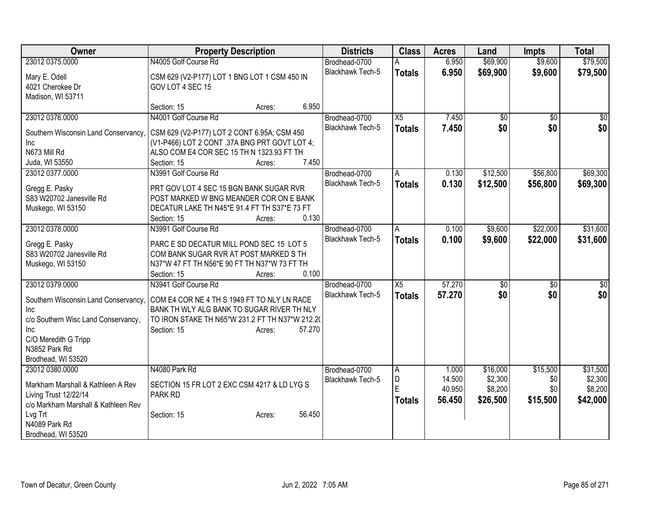| Owner                                      | <b>Property Description</b>                                                        | <b>Districts</b> | <b>Class</b>                             | <b>Acres</b>    | Land            | <b>Impts</b>        | <b>Total</b>    |                     |
|--------------------------------------------|------------------------------------------------------------------------------------|------------------|------------------------------------------|-----------------|-----------------|---------------------|-----------------|---------------------|
| 23012 0375.0000                            | N4005 Golf Course Rd                                                               |                  | Brodhead-0700                            | А               | 6.950           | \$69,900            | \$9,600         | \$79,500            |
| Mary E. Odell                              | CSM 629 (V2-P177) LOT 1 BNG LOT 1 CSM 450 IN                                       |                  | Blackhawk Tech-5                         | <b>Totals</b>   | 6.950           | \$69,900            | \$9,600         | \$79,500            |
| 4021 Cherokee Dr                           | GOV LOT 4 SEC 15                                                                   |                  |                                          |                 |                 |                     |                 |                     |
| Madison, WI 53711                          |                                                                                    |                  |                                          |                 |                 |                     |                 |                     |
|                                            | Section: 15                                                                        | 6.950<br>Acres:  |                                          |                 |                 |                     |                 |                     |
| 23012 0376.0000                            | N4001 Golf Course Rd                                                               |                  | Brodhead-0700                            | X5              | 7.450           | \$0                 | $\overline{50}$ | $\overline{50}$     |
| Southern Wisconsin Land Conservancy,       | CSM 629 (V2-P177) LOT 2 CONT 6.95A; CSM 450                                        |                  | <b>Blackhawk Tech-5</b>                  | <b>Totals</b>   | 7.450           | \$0                 | \$0             | \$0                 |
| <b>Inc</b>                                 | (V1-P466) LOT 2 CONT .37A BNG PRT GOVT LOT 4;                                      |                  |                                          |                 |                 |                     |                 |                     |
| N673 Mill Rd                               | ALSO COM E4 COR SEC 15 TH N 1323.93 FT TH                                          |                  |                                          |                 |                 |                     |                 |                     |
| Juda, WI 53550                             | Section: 15                                                                        | 7.450<br>Acres:  |                                          |                 |                 |                     |                 |                     |
| 23012 0377.0000                            | N3991 Golf Course Rd                                                               |                  | Brodhead-0700                            | A               | 0.130           | \$12,500            | \$56,800        | \$69,300            |
|                                            |                                                                                    |                  | <b>Blackhawk Tech-5</b>                  | <b>Totals</b>   | 0.130           | \$12,500            | \$56,800        | \$69,300            |
| Gregg E. Pasky<br>S83 W20702 Janesville Rd | PRT GOV LOT 4 SEC 15 BGN BANK SUGAR RVR<br>POST MARKED W BNG MEANDER COR ON E BANK |                  |                                          |                 |                 |                     |                 |                     |
| Muskego, WI 53150                          | DECATUR LAKE TH N45*E 91.4 FT TH S37*E 73 FT                                       |                  |                                          |                 |                 |                     |                 |                     |
|                                            | Section: 15                                                                        | 0.130<br>Acres:  |                                          |                 |                 |                     |                 |                     |
| 23012 0378.0000                            | N3991 Golf Course Rd                                                               |                  | Brodhead-0700                            | A               | 0.100           | \$9,600             | \$22,000        | \$31,600            |
|                                            |                                                                                    |                  | <b>Blackhawk Tech-5</b>                  | <b>Totals</b>   | 0.100           | \$9,600             | \$22,000        | \$31,600            |
| Gregg E. Pasky                             | PARC E SD DECATUR MILL POND SEC 15 LOT 5                                           |                  |                                          |                 |                 |                     |                 |                     |
| S83 W20702 Janesville Rd                   | COM BANK SUGAR RVR AT POST MARKED S TH                                             |                  |                                          |                 |                 |                     |                 |                     |
| Muskego, WI 53150                          | N37*W 47 FT TH N56*E 90 FT TH N37*W 73 FT TH                                       |                  |                                          |                 |                 |                     |                 |                     |
|                                            | Section: 15                                                                        | 0.100<br>Acres:  |                                          |                 |                 |                     |                 |                     |
| 23012 0379.0000                            | N3941 Golf Course Rd                                                               |                  | Brodhead-0700                            | $\overline{X5}$ | 57.270          | \$0                 | \$0             | \$0                 |
| Southern Wisconsin Land Conservancy,       | COM E4 COR NE 4 TH S 1949 FT TO NLY LN RACE                                        |                  | Blackhawk Tech-5                         | <b>Totals</b>   | 57.270          | \$0                 | \$0             | \$0                 |
| Inc                                        | BANK TH WLY ALG BANK TO SUGAR RIVER TH NLY                                         |                  |                                          |                 |                 |                     |                 |                     |
| c/o Southern Wisc Land Conservancy,        | TO IRON STAKE TH N65*W 231.2 FT TH N37*W 212.2(                                    |                  |                                          |                 |                 |                     |                 |                     |
| Inc                                        | Section: 15                                                                        | 57.270<br>Acres: |                                          |                 |                 |                     |                 |                     |
| C/O Meredith G Tripp                       |                                                                                    |                  |                                          |                 |                 |                     |                 |                     |
| N3852 Park Rd                              |                                                                                    |                  |                                          |                 |                 |                     |                 |                     |
| Brodhead, WI 53520                         | N4080 Park Rd                                                                      |                  |                                          |                 |                 |                     |                 |                     |
| 23012 0380.0000                            |                                                                                    |                  | Brodhead-0700<br><b>Blackhawk Tech-5</b> | A<br>D          | 1.000<br>14.500 | \$16,000<br>\$2,300 | \$15,500<br>\$0 | \$31,500<br>\$2,300 |
| Markham Marshall & Kathleen A Rev          | SECTION 15 FR LOT 2 EXC CSM 4217 & LD LYG S                                        |                  |                                          | F               | 40.950          | \$8,200             | \$0             | \$8,200             |
| Living Trust 12/22/14                      | PARK RD                                                                            |                  |                                          | <b>Totals</b>   | 56.450          | \$26,500            | \$15,500        | \$42,000            |
| c/o Markham Marshall & Kathleen Rev        |                                                                                    |                  |                                          |                 |                 |                     |                 |                     |
| Lvg Trt                                    | Section: 15                                                                        | 56.450<br>Acres: |                                          |                 |                 |                     |                 |                     |
| N4089 Park Rd                              |                                                                                    |                  |                                          |                 |                 |                     |                 |                     |
| Brodhead, WI 53520                         |                                                                                    |                  |                                          |                 |                 |                     |                 |                     |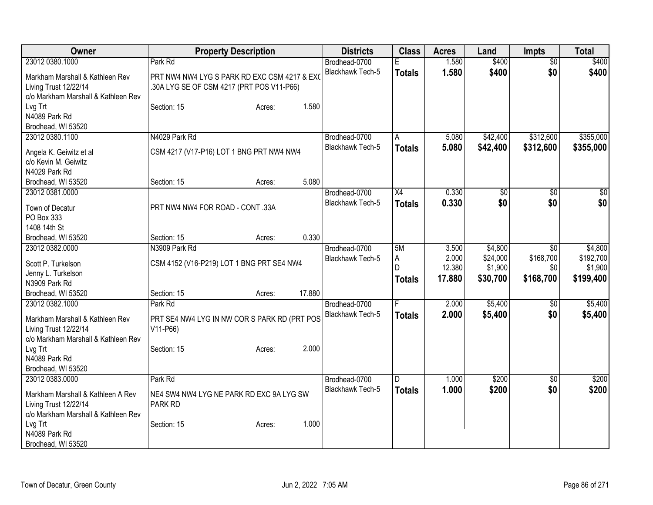| Owner                               |                                              | <b>Property Description</b> |        | <b>Districts</b>        | <b>Class</b>  | <b>Acres</b> | Land         | <b>Impts</b>    | <b>Total</b> |
|-------------------------------------|----------------------------------------------|-----------------------------|--------|-------------------------|---------------|--------------|--------------|-----------------|--------------|
| 23012 0380.1000                     | Park Rd                                      |                             |        | Brodhead-0700           |               | 1.580        | \$400        | $\overline{50}$ | \$400        |
| Markham Marshall & Kathleen Rev     | PRT NW4 NW4 LYG S PARK RD EXC CSM 4217 & EXO |                             |        | Blackhawk Tech-5        | <b>Totals</b> | 1.580        | \$400        | \$0             | \$400        |
| Living Trust 12/22/14               | .30A LYG SE OF CSM 4217 (PRT POS V11-P66)    |                             |        |                         |               |              |              |                 |              |
| c/o Markham Marshall & Kathleen Rev |                                              |                             |        |                         |               |              |              |                 |              |
| Lvg Trt                             | Section: 15                                  | Acres:                      | 1.580  |                         |               |              |              |                 |              |
| N4089 Park Rd                       |                                              |                             |        |                         |               |              |              |                 |              |
| Brodhead, WI 53520                  |                                              |                             |        |                         |               |              |              |                 |              |
| 23012 0380.1100                     | N4029 Park Rd                                |                             |        | Brodhead-0700           | A             | 5.080        | \$42,400     | \$312,600       | \$355,000    |
| Angela K. Geiwitz et al             | CSM 4217 (V17-P16) LOT 1 BNG PRT NW4 NW4     |                             |        | Blackhawk Tech-5        | <b>Totals</b> | 5.080        | \$42,400     | \$312,600       | \$355,000    |
| c/o Kevin M. Geiwitz                |                                              |                             |        |                         |               |              |              |                 |              |
| N4029 Park Rd                       |                                              |                             |        |                         |               |              |              |                 |              |
| Brodhead, WI 53520                  | Section: 15                                  | Acres:                      | 5.080  |                         |               |              |              |                 |              |
| 23012 0381.0000                     |                                              |                             |        | Brodhead-0700           | X4            | 0.330        | $\sqrt[6]{}$ | $\sqrt{50}$     | \$0          |
|                                     |                                              |                             |        | <b>Blackhawk Tech-5</b> | <b>Totals</b> | 0.330        | \$0          | \$0             | \$0          |
| Town of Decatur                     | PRT NW4 NW4 FOR ROAD - CONT .33A             |                             |        |                         |               |              |              |                 |              |
| PO Box 333                          |                                              |                             |        |                         |               |              |              |                 |              |
| 1408 14th St                        |                                              |                             |        |                         |               |              |              |                 |              |
| Brodhead, WI 53520                  | Section: 15                                  | Acres:                      | 0.330  |                         |               |              |              |                 |              |
| 23012 0382.0000                     | N3909 Park Rd                                |                             |        | Brodhead-0700           | 5M            | 3.500        | \$4,800      | $\overline{50}$ | \$4,800      |
| Scott P. Turkelson                  | CSM 4152 (V16-P219) LOT 1 BNG PRT SE4 NW4    |                             |        | <b>Blackhawk Tech-5</b> | A             | 2.000        | \$24,000     | \$168,700       | \$192,700    |
| Jenny L. Turkelson                  |                                              |                             |        |                         | D             | 12.380       | \$1,900      | \$0             | \$1,900      |
| N3909 Park Rd                       |                                              |                             |        |                         | <b>Totals</b> | 17.880       | \$30,700     | \$168,700       | \$199,400    |
| Brodhead, WI 53520                  | Section: 15                                  | Acres:                      | 17.880 |                         |               |              |              |                 |              |
| 23012 0382.1000                     | Park Rd                                      |                             |        | Brodhead-0700           |               | 2.000        | \$5,400      | \$0             | \$5,400      |
|                                     |                                              |                             |        | Blackhawk Tech-5        | <b>Totals</b> | 2.000        | \$5,400      | \$0             | \$5,400      |
| Markham Marshall & Kathleen Rev     | PRT SE4 NW4 LYG IN NW COR S PARK RD (PRT POS |                             |        |                         |               |              |              |                 |              |
| Living Trust 12/22/14               | V11-P66)                                     |                             |        |                         |               |              |              |                 |              |
| c/o Markham Marshall & Kathleen Rev |                                              |                             |        |                         |               |              |              |                 |              |
| Lvg Trt                             | Section: 15                                  | Acres:                      | 2.000  |                         |               |              |              |                 |              |
| N4089 Park Rd                       |                                              |                             |        |                         |               |              |              |                 |              |
| Brodhead, WI 53520                  |                                              |                             |        |                         |               |              |              |                 |              |
| 23012 0383.0000                     | Park Rd                                      |                             |        | Brodhead-0700           | D             | 1.000        | \$200        | \$0             | \$200        |
| Markham Marshall & Kathleen A Rev   | NE4 SW4 NW4 LYG NE PARK RD EXC 9A LYG SW     |                             |        | <b>Blackhawk Tech-5</b> | <b>Totals</b> | 1.000        | \$200        | \$0             | \$200        |
| Living Trust 12/22/14               | PARK RD                                      |                             |        |                         |               |              |              |                 |              |
| c/o Markham Marshall & Kathleen Rev |                                              |                             |        |                         |               |              |              |                 |              |
| Lvg Trt                             | Section: 15                                  | Acres:                      | 1.000  |                         |               |              |              |                 |              |
| N4089 Park Rd                       |                                              |                             |        |                         |               |              |              |                 |              |
| Brodhead, WI 53520                  |                                              |                             |        |                         |               |              |              |                 |              |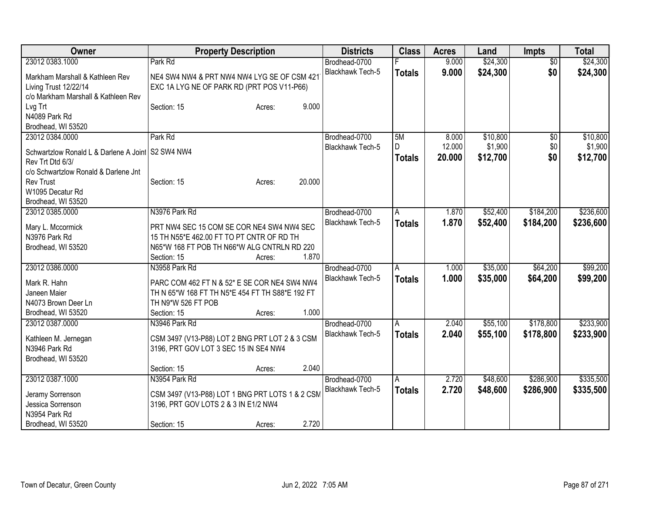| <b>Owner</b>                                                                                                  | <b>Property Description</b>                                                                                                                                             | <b>Districts</b>                  | <b>Class</b>       | <b>Acres</b>     | Land                 | <b>Impts</b>           | <b>Total</b>           |
|---------------------------------------------------------------------------------------------------------------|-------------------------------------------------------------------------------------------------------------------------------------------------------------------------|-----------------------------------|--------------------|------------------|----------------------|------------------------|------------------------|
| 23012 0383.1000                                                                                               | Park Rd                                                                                                                                                                 | Brodhead-0700                     |                    | 9.000            | \$24,300             | $\overline{50}$        | \$24,300               |
| Markham Marshall & Kathleen Rev<br>Living Trust 12/22/14<br>c/o Markham Marshall & Kathleen Rev               | NE4 SW4 NW4 & PRT NW4 NW4 LYG SE OF CSM 421<br>EXC 1A LYG NE OF PARK RD (PRT POS V11-P66)                                                                               | <b>Blackhawk Tech-5</b>           | <b>Totals</b>      | 9.000            | \$24,300             | \$0                    | \$24,300               |
| Lvg Trt<br>N4089 Park Rd<br>Brodhead, WI 53520                                                                | 9.000<br>Section: 15<br>Acres:                                                                                                                                          |                                   |                    |                  |                      |                        |                        |
| 23012 0384.0000                                                                                               | Park Rd                                                                                                                                                                 | Brodhead-0700                     | 5M                 | 8.000            | \$10,800             | $\overline{50}$        | \$10,800               |
| Schwartzlow Ronald L & Darlene A Joint S2 SW4 NW4<br>Rev Trt Dtd 6/3/<br>c/o Schwartzlow Ronald & Darlene Jnt |                                                                                                                                                                         | Blackhawk Tech-5                  | D<br><b>Totals</b> | 12.000<br>20.000 | \$1,900<br>\$12,700  | \$0<br>\$0             | \$1,900<br>\$12,700    |
| <b>Rev Trust</b><br>W1095 Decatur Rd<br>Brodhead, WI 53520                                                    | 20.000<br>Section: 15<br>Acres:                                                                                                                                         |                                   |                    |                  |                      |                        |                        |
| 23012 0385.0000                                                                                               | N3976 Park Rd                                                                                                                                                           | Brodhead-0700                     | $\overline{A}$     | 1.870            | \$52,400             | \$184,200              | \$236,600              |
| Mary L. Mccormick<br>N3976 Park Rd<br>Brodhead, WI 53520                                                      | PRT NW4 SEC 15 COM SE COR NE4 SW4 NW4 SEC<br>15 TH N55*E 462.00 FT TO PT CNTR OF RD TH<br>N65*W 168 FT POB TH N66*W ALG CNTRLN RD 220<br>1.870<br>Section: 15<br>Acres: | <b>Blackhawk Tech-5</b>           | <b>Totals</b>      | 1.870            | \$52,400             | \$184,200              | \$236,600              |
| 23012 0386.0000                                                                                               | N3958 Park Rd                                                                                                                                                           | Brodhead-0700                     | A                  | 1.000            | \$35,000             | \$64,200               | \$99,200               |
| Mark R. Hahn<br>Janeen Maier<br>N4073 Brown Deer Ln                                                           | PARC COM 462 FT N & 52* E SE COR NE4 SW4 NW4<br>TH N 65*W 168 FT TH N5*E 454 FT TH S88*E 192 FT<br>TH N9*W 526 FT POB                                                   | Blackhawk Tech-5                  | <b>Totals</b>      | 1.000            | \$35,000             | \$64,200               | \$99,200               |
| Brodhead, WI 53520                                                                                            | 1.000<br>Section: 15<br>Acres:                                                                                                                                          |                                   |                    |                  |                      |                        |                        |
| 23012 0387.0000<br>Kathleen M. Jernegan<br>N3946 Park Rd<br>Brodhead, WI 53520                                | N3946 Park Rd<br>CSM 3497 (V13-P88) LOT 2 BNG PRT LOT 2 & 3 CSM<br>3196, PRT GOV LOT 3 SEC 15 IN SE4 NW4                                                                | Brodhead-0700<br>Blackhawk Tech-5 | A<br><b>Totals</b> | 2.040<br>2.040   | \$55,100<br>\$55,100 | \$178,800<br>\$178,800 | \$233,900<br>\$233,900 |
|                                                                                                               | 2.040<br>Section: 15<br>Acres:                                                                                                                                          |                                   |                    |                  |                      |                        |                        |
| 23012 0387.1000<br>Jeramy Sorrenson<br>Jessica Sorrenson                                                      | N3954 Park Rd<br>CSM 3497 (V13-P88) LOT 1 BNG PRT LOTS 1 & 2 CSM<br>3196, PRT GOV LOTS 2 & 3 IN E1/2 NW4                                                                | Brodhead-0700<br>Blackhawk Tech-5 | A<br><b>Totals</b> | 2.720<br>2.720   | \$48,600<br>\$48,600 | \$286,900<br>\$286,900 | \$335,500<br>\$335,500 |
| N3954 Park Rd<br>Brodhead, WI 53520                                                                           | 2.720<br>Section: 15<br>Acres:                                                                                                                                          |                                   |                    |                  |                      |                        |                        |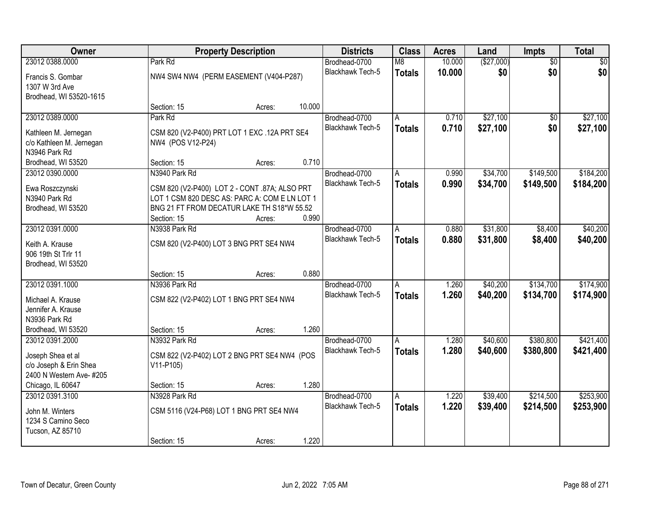| Owner                                              |                                               | <b>Property Description</b> |        |                         | <b>Class</b>   | <b>Acres</b> | Land       | Impts           | <b>Total</b> |
|----------------------------------------------------|-----------------------------------------------|-----------------------------|--------|-------------------------|----------------|--------------|------------|-----------------|--------------|
| 23012 0388.0000                                    | Park Rd                                       |                             |        | Brodhead-0700           | M8             | 10.000       | (\$27,000) | $\overline{50}$ | \$0          |
| Francis S. Gombar                                  | NW4 SW4 NW4 (PERM EASEMENT (V404-P287)        |                             |        | Blackhawk Tech-5        | <b>Totals</b>  | 10.000       | \$0        | \$0             | \$0          |
| 1307 W 3rd Ave                                     |                                               |                             |        |                         |                |              |            |                 |              |
| Brodhead, WI 53520-1615                            |                                               |                             |        |                         |                |              |            |                 |              |
|                                                    | Section: 15                                   | Acres:                      | 10.000 |                         |                |              |            |                 |              |
| 23012 0389.0000                                    | Park Rd                                       |                             |        | Brodhead-0700           | A              | 0.710        | \$27,100   | \$0             | \$27,100     |
| Kathleen M. Jernegan                               | CSM 820 (V2-P400) PRT LOT 1 EXC .12A PRT SE4  |                             |        | <b>Blackhawk Tech-5</b> | <b>Totals</b>  | 0.710        | \$27,100   | \$0             | \$27,100     |
| c/o Kathleen M. Jernegan                           | NW4 (POS V12-P24)                             |                             |        |                         |                |              |            |                 |              |
| N3946 Park Rd                                      |                                               |                             |        |                         |                |              |            |                 |              |
| Brodhead, WI 53520                                 | Section: 15                                   | Acres:                      | 0.710  |                         |                |              |            |                 |              |
| 23012 0390.0000                                    | N3940 Park Rd                                 |                             |        | Brodhead-0700           | A              | 0.990        | \$34,700   | \$149,500       | \$184,200    |
| Ewa Roszczynski                                    | CSM 820 (V2-P400) LOT 2 - CONT .87A; ALSO PRT |                             |        | Blackhawk Tech-5        | <b>Totals</b>  | 0.990        | \$34,700   | \$149,500       | \$184,200    |
| N3940 Park Rd                                      | LOT 1 CSM 820 DESC AS: PARC A: COM E LN LOT 1 |                             |        |                         |                |              |            |                 |              |
| Brodhead, WI 53520                                 | BNG 21 FT FROM DECATUR LAKE TH S18*W 55.52    |                             |        |                         |                |              |            |                 |              |
|                                                    | Section: 15                                   | Acres:                      | 0.990  |                         |                |              |            |                 |              |
| 23012 0391.0000                                    | N3938 Park Rd                                 |                             |        | Brodhead-0700           | A              | 0.880        | \$31,800   | \$8,400         | \$40,200     |
|                                                    |                                               |                             |        | <b>Blackhawk Tech-5</b> | <b>Totals</b>  | 0.880        | \$31,800   | \$8,400         | \$40,200     |
| Keith A. Krause<br>906 19th St Trlr 11             | CSM 820 (V2-P400) LOT 3 BNG PRT SE4 NW4       |                             |        |                         |                |              |            |                 |              |
| Brodhead, WI 53520                                 |                                               |                             |        |                         |                |              |            |                 |              |
|                                                    | Section: 15                                   | Acres:                      | 0.880  |                         |                |              |            |                 |              |
| 23012 0391.1000                                    | N3936 Park Rd                                 |                             |        | Brodhead-0700           | $\overline{A}$ | 1.260        | \$40,200   | \$134,700       | \$174,900    |
|                                                    |                                               |                             |        | <b>Blackhawk Tech-5</b> | <b>Totals</b>  | 1.260        | \$40,200   | \$134,700       | \$174,900    |
| Michael A. Krause<br>Jennifer A. Krause            | CSM 822 (V2-P402) LOT 1 BNG PRT SE4 NW4       |                             |        |                         |                |              |            |                 |              |
| N3936 Park Rd                                      |                                               |                             |        |                         |                |              |            |                 |              |
| Brodhead, WI 53520                                 | Section: 15                                   | Acres:                      | 1.260  |                         |                |              |            |                 |              |
| 23012 0391.2000                                    | N3932 Park Rd                                 |                             |        | Brodhead-0700           | A              | 1.280        | \$40,600   | \$380,800       | \$421,400    |
|                                                    |                                               |                             |        | <b>Blackhawk Tech-5</b> | <b>Totals</b>  | 1.280        | \$40,600   | \$380,800       | \$421,400    |
| Joseph Shea et al                                  | CSM 822 (V2-P402) LOT 2 BNG PRT SE4 NW4 (POS  |                             |        |                         |                |              |            |                 |              |
| c/o Joseph & Erin Shea<br>2400 N Western Ave- #205 | $V11-P105$                                    |                             |        |                         |                |              |            |                 |              |
| Chicago, IL 60647                                  | Section: 15                                   |                             | 1.280  |                         |                |              |            |                 |              |
| 23012 0391.3100                                    | N3928 Park Rd                                 | Acres:                      |        | Brodhead-0700           | $\overline{A}$ | 1.220        | \$39,400   | \$214,500       | \$253,900    |
|                                                    |                                               |                             |        | <b>Blackhawk Tech-5</b> | <b>Totals</b>  | 1.220        | \$39,400   | \$214,500       | \$253,900    |
| John M. Winters                                    | CSM 5116 (V24-P68) LOT 1 BNG PRT SE4 NW4      |                             |        |                         |                |              |            |                 |              |
| 1234 S Camino Seco                                 |                                               |                             |        |                         |                |              |            |                 |              |
| Tucson, AZ 85710                                   |                                               |                             |        |                         |                |              |            |                 |              |
|                                                    | Section: 15                                   | Acres:                      | 1.220  |                         |                |              |            |                 |              |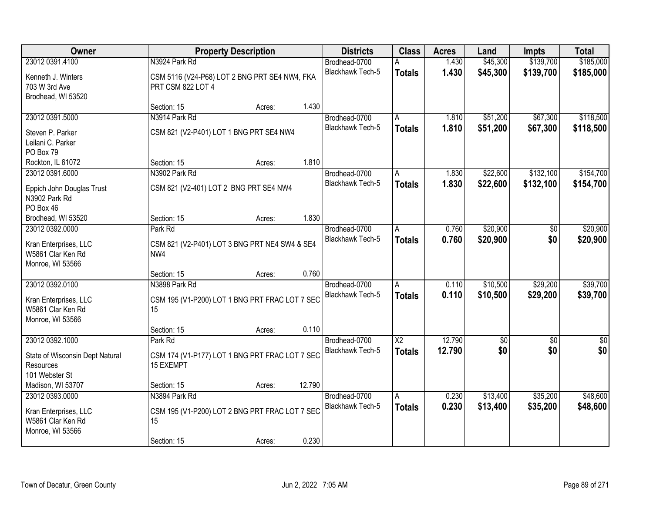| Owner                                                                                    |                                                                        | <b>Property Description</b> |        |                                   | <b>Class</b>                     | <b>Acres</b>     | Land                 | <b>Impts</b>           | <b>Total</b>           |
|------------------------------------------------------------------------------------------|------------------------------------------------------------------------|-----------------------------|--------|-----------------------------------|----------------------------------|------------------|----------------------|------------------------|------------------------|
| 23012 0391.4100                                                                          | N3924 Park Rd                                                          |                             |        | Brodhead-0700                     | А                                | 1.430            | \$45,300             | \$139,700              | \$185,000              |
| Kenneth J. Winters<br>703 W 3rd Ave<br>Brodhead, WI 53520                                | CSM 5116 (V24-P68) LOT 2 BNG PRT SE4 NW4, FKA<br>PRT CSM 822 LOT 4     |                             |        | Blackhawk Tech-5                  | <b>Totals</b>                    | 1.430            | \$45,300             | \$139,700              | \$185,000              |
|                                                                                          | Section: 15                                                            | Acres:                      | 1.430  |                                   |                                  |                  |                      |                        |                        |
| 23012 0391.5000                                                                          | N3914 Park Rd                                                          |                             |        | Brodhead-0700                     | A                                | 1.810            | \$51,200             | \$67,300               | \$118,500              |
| Steven P. Parker<br>Leilani C. Parker<br>PO Box 79                                       | CSM 821 (V2-P401) LOT 1 BNG PRT SE4 NW4                                |                             |        | Blackhawk Tech-5                  | <b>Totals</b>                    | 1.810            | \$51,200             | \$67,300               | \$118,500              |
| Rockton, IL 61072                                                                        | Section: 15                                                            | Acres:                      | 1.810  |                                   |                                  |                  |                      |                        |                        |
| 23012 0391.6000                                                                          | N3902 Park Rd                                                          |                             |        | Brodhead-0700                     | A                                | 1.830            | \$22,600             | \$132,100              | \$154,700              |
| Eppich John Douglas Trust<br>N3902 Park Rd<br>PO Box 46                                  | CSM 821 (V2-401) LOT 2 BNG PRT SE4 NW4                                 |                             |        | Blackhawk Tech-5                  | <b>Totals</b>                    | 1.830            | \$22,600             | \$132,100              | \$154,700              |
| Brodhead, WI 53520                                                                       | Section: 15                                                            | Acres:                      | 1.830  |                                   |                                  |                  |                      |                        |                        |
| 23012 0392.0000                                                                          | Park Rd                                                                |                             |        | Brodhead-0700                     | A                                | 0.760            | \$20,900             | \$0                    | \$20,900               |
| Kran Enterprises, LLC<br>W5861 Clar Ken Rd<br>Monroe, WI 53566                           | CSM 821 (V2-P401) LOT 3 BNG PRT NE4 SW4 & SE4<br>NW4                   |                             |        | Blackhawk Tech-5                  | <b>Totals</b>                    | 0.760            | \$20,900             | \$0                    | \$20,900               |
|                                                                                          | Section: 15                                                            | Acres:                      | 0.760  |                                   |                                  |                  |                      |                        |                        |
| 23012 0392.0100<br>Kran Enterprises, LLC<br>W5861 Clar Ken Rd<br>Monroe, WI 53566        | N3898 Park Rd<br>CSM 195 (V1-P200) LOT 1 BNG PRT FRAC LOT 7 SEC<br>15  |                             |        | Brodhead-0700<br>Blackhawk Tech-5 | A<br><b>Totals</b>               | 0.110<br>0.110   | \$10,500<br>\$10,500 | \$29,200<br>\$29,200   | \$39,700<br>\$39,700   |
|                                                                                          | Section: 15                                                            | Acres:                      | 0.110  |                                   |                                  |                  |                      |                        |                        |
| 23012 0392.1000<br>State of Wisconsin Dept Natural<br><b>Resources</b><br>101 Webster St | Park Rd<br>CSM 174 (V1-P177) LOT 1 BNG PRT FRAC LOT 7 SEC<br>15 EXEMPT |                             |        | Brodhead-0700<br>Blackhawk Tech-5 | $\overline{X2}$<br><b>Totals</b> | 12.790<br>12.790 | \$0<br>\$0           | $\overline{50}$<br>\$0 | $\overline{50}$<br>\$0 |
| Madison, WI 53707                                                                        | Section: 15                                                            | Acres:                      | 12.790 |                                   |                                  |                  |                      |                        |                        |
| 23012 0393.0000<br>Kran Enterprises, LLC<br>W5861 Clar Ken Rd<br>Monroe, WI 53566        | N3894 Park Rd<br>CSM 195 (V1-P200) LOT 2 BNG PRT FRAC LOT 7 SEC<br>15  |                             |        | Brodhead-0700<br>Blackhawk Tech-5 | A<br><b>Totals</b>               | 0.230<br>0.230   | \$13,400<br>\$13,400 | \$35,200<br>\$35,200   | \$48,600<br>\$48,600   |
|                                                                                          | Section: 15                                                            | Acres:                      | 0.230  |                                   |                                  |                  |                      |                        |                        |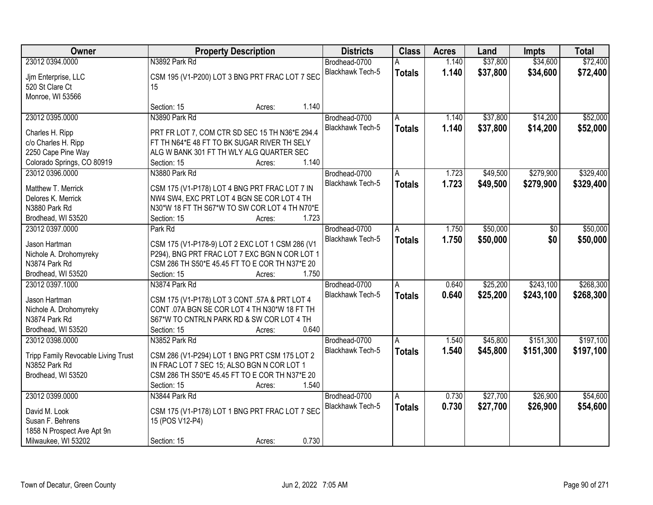| Owner                                  |                                                                                               | <b>Property Description</b> | <b>Districts</b>        | <b>Class</b>   | <b>Acres</b> | Land     | <b>Impts</b> | <b>Total</b> |
|----------------------------------------|-----------------------------------------------------------------------------------------------|-----------------------------|-------------------------|----------------|--------------|----------|--------------|--------------|
| 23012 0394.0000                        | N3892 Park Rd                                                                                 |                             | Brodhead-0700           |                | 1.140        | \$37,800 | \$34,600     | \$72,400     |
| Jjm Enterprise, LLC                    | CSM 195 (V1-P200) LOT 3 BNG PRT FRAC LOT 7 SEC                                                |                             | Blackhawk Tech-5        | <b>Totals</b>  | 1.140        | \$37,800 | \$34,600     | \$72,400     |
| 520 St Clare Ct                        | 15                                                                                            |                             |                         |                |              |          |              |              |
| Monroe, WI 53566                       |                                                                                               |                             |                         |                |              |          |              |              |
|                                        | Section: 15                                                                                   | Acres:                      | 1.140                   |                |              |          |              |              |
| 23012 0395.0000                        | N3890 Park Rd                                                                                 |                             | Brodhead-0700           | A              | 1.140        | \$37,800 | \$14,200     | \$52,000     |
|                                        |                                                                                               |                             | <b>Blackhawk Tech-5</b> | <b>Totals</b>  | 1.140        | \$37,800 | \$14,200     | \$52,000     |
| Charles H. Ripp<br>c/o Charles H. Ripp | PRT FR LOT 7, COM CTR SD SEC 15 TH N36*E 294.4<br>FT TH N64*E 48 FT TO BK SUGAR RIVER TH SELY |                             |                         |                |              |          |              |              |
| 2250 Cape Pine Way                     | ALG W BANK 301 FT TH WLY ALG QUARTER SEC                                                      |                             |                         |                |              |          |              |              |
| Colorado Springs, CO 80919             | Section: 15                                                                                   |                             | 1.140                   |                |              |          |              |              |
| 23012 0396.0000                        | N3880 Park Rd                                                                                 | Acres:                      | Brodhead-0700           |                | 1.723        | \$49,500 | \$279,900    | \$329,400    |
|                                        |                                                                                               |                             | Blackhawk Tech-5        | A              |              |          |              |              |
| Matthew T. Merrick                     | CSM 175 (V1-P178) LOT 4 BNG PRT FRAC LOT 7 IN                                                 |                             |                         | <b>Totals</b>  | 1.723        | \$49,500 | \$279,900    | \$329,400    |
| Delores K. Merrick                     | NW4 SW4, EXC PRT LOT 4 BGN SE COR LOT 4 TH                                                    |                             |                         |                |              |          |              |              |
| N3880 Park Rd                          | N30*W 18 FT TH S67*W TO SW COR LOT 4 TH N70*E                                                 |                             |                         |                |              |          |              |              |
| Brodhead, WI 53520                     | Section: 15                                                                                   | Acres:                      | 1.723                   |                |              |          |              |              |
| 23012 0397.0000                        | Park Rd                                                                                       |                             | Brodhead-0700           | A              | 1.750        | \$50,000 | \$0          | \$50,000     |
| Jason Hartman                          | CSM 175 (V1-P178-9) LOT 2 EXC LOT 1 CSM 286 (V1                                               |                             | <b>Blackhawk Tech-5</b> | <b>Totals</b>  | 1.750        | \$50,000 | \$0          | \$50,000     |
| Nichole A. Drohomyreky                 | P294), BNG PRT FRAC LOT 7 EXC BGN N COR LOT 1                                                 |                             |                         |                |              |          |              |              |
| N3874 Park Rd                          | CSM 286 TH S50*E 45.45 FT TO E COR TH N37*E 20                                                |                             |                         |                |              |          |              |              |
| Brodhead, WI 53520                     | Section: 15                                                                                   | Acres:                      | 1.750                   |                |              |          |              |              |
| 23012 0397.1000                        | N3874 Park Rd                                                                                 |                             | Brodhead-0700           | $\overline{A}$ | 0.640        | \$25,200 | \$243,100    | \$268,300    |
|                                        |                                                                                               |                             | <b>Blackhawk Tech-5</b> |                | 0.640        | \$25,200 | \$243,100    |              |
| Jason Hartman                          | CSM 175 (V1-P178) LOT 3 CONT .57A & PRT LOT 4                                                 |                             |                         | <b>Totals</b>  |              |          |              | \$268,300    |
| Nichole A. Drohomyreky                 | CONT .07A BGN SE COR LOT 4 TH N30*W 18 FT TH                                                  |                             |                         |                |              |          |              |              |
| N3874 Park Rd                          | S67*W TO CNTRLN PARK RD & SW COR LOT 4 TH                                                     |                             |                         |                |              |          |              |              |
| Brodhead, WI 53520                     | Section: 15                                                                                   | Acres:                      | 0.640                   |                |              |          |              |              |
| 23012 0398.0000                        | N3852 Park Rd                                                                                 |                             | Brodhead-0700           | A              | 1.540        | \$45,800 | \$151,300    | \$197,100    |
| Tripp Family Revocable Living Trust    | CSM 286 (V1-P294) LOT 1 BNG PRT CSM 175 LOT 2                                                 |                             | Blackhawk Tech-5        | <b>Totals</b>  | 1.540        | \$45,800 | \$151,300    | \$197,100    |
| N3852 Park Rd                          | IN FRAC LOT 7 SEC 15; ALSO BGN N COR LOT 1                                                    |                             |                         |                |              |          |              |              |
| Brodhead, WI 53520                     | CSM 286 TH S50*E 45.45 FT TO E COR TH N37*E 20                                                |                             |                         |                |              |          |              |              |
|                                        | Section: 15                                                                                   | Acres:                      | 1.540                   |                |              |          |              |              |
| 23012 0399.0000                        | N3844 Park Rd                                                                                 |                             | Brodhead-0700           | $\overline{A}$ | 0.730        | \$27,700 | \$26,900     | \$54,600     |
|                                        |                                                                                               |                             | <b>Blackhawk Tech-5</b> | <b>Totals</b>  | 0.730        | \$27,700 | \$26,900     | \$54,600     |
| David M. Look                          | CSM 175 (V1-P178) LOT 1 BNG PRT FRAC LOT 7 SEC                                                |                             |                         |                |              |          |              |              |
| Susan F. Behrens                       | 15 (POS V12-P4)                                                                               |                             |                         |                |              |          |              |              |
| 1858 N Prospect Ave Apt 9n             |                                                                                               |                             |                         |                |              |          |              |              |
| Milwaukee, WI 53202                    | Section: 15                                                                                   | Acres:                      | 0.730                   |                |              |          |              |              |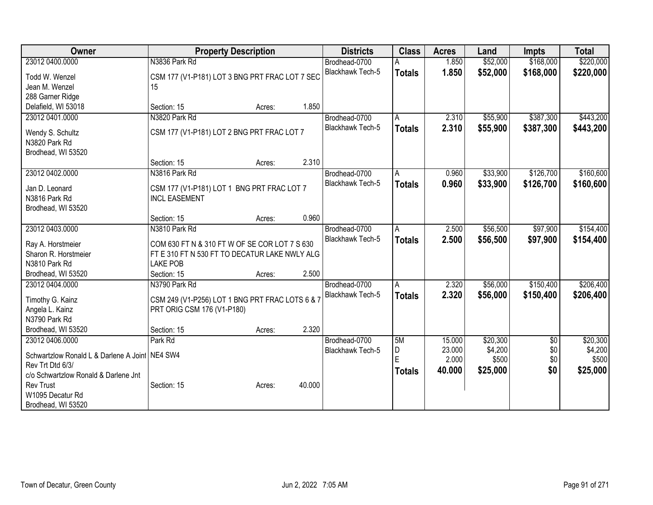| Owner                                                              | <b>Property Description</b>                                      |        |        | <b>Districts</b>        | <b>Class</b>  | <b>Acres</b> | Land     | <b>Impts</b>    | <b>Total</b> |
|--------------------------------------------------------------------|------------------------------------------------------------------|--------|--------|-------------------------|---------------|--------------|----------|-----------------|--------------|
| 23012 0400.0000                                                    | N3836 Park Rd                                                    |        |        | Brodhead-0700           |               | 1.850        | \$52,000 | \$168,000       | \$220,000    |
| Todd W. Wenzel                                                     | CSM 177 (V1-P181) LOT 3 BNG PRT FRAC LOT 7 SEC                   |        |        | <b>Blackhawk Tech-5</b> | <b>Totals</b> | 1.850        | \$52,000 | \$168,000       | \$220,000    |
| Jean M. Wenzel                                                     | 15                                                               |        |        |                         |               |              |          |                 |              |
| 288 Garner Ridge                                                   |                                                                  |        |        |                         |               |              |          |                 |              |
| Delafield, WI 53018                                                | Section: 15                                                      | Acres: | 1.850  |                         |               |              |          |                 |              |
| 23012 0401.0000                                                    | N3820 Park Rd                                                    |        |        | Brodhead-0700           | A             | 2.310        | \$55,900 | \$387,300       | \$443,200    |
|                                                                    |                                                                  |        |        | Blackhawk Tech-5        | <b>Totals</b> | 2.310        | \$55,900 | \$387,300       | \$443,200    |
| Wendy S. Schultz                                                   | CSM 177 (V1-P181) LOT 2 BNG PRT FRAC LOT 7                       |        |        |                         |               |              |          |                 |              |
| N3820 Park Rd                                                      |                                                                  |        |        |                         |               |              |          |                 |              |
| Brodhead, WI 53520                                                 |                                                                  |        |        |                         |               |              |          |                 |              |
|                                                                    | Section: 15                                                      | Acres: | 2.310  |                         |               |              |          |                 |              |
| 23012 0402.0000                                                    | N3816 Park Rd                                                    |        |        | Brodhead-0700           | A             | 0.960        | \$33,900 | \$126,700       | \$160,600    |
| Jan D. Leonard                                                     | CSM 177 (V1-P181) LOT 1 BNG PRT FRAC LOT 7                       |        |        | <b>Blackhawk Tech-5</b> | <b>Totals</b> | 0.960        | \$33,900 | \$126,700       | \$160,600    |
| N3816 Park Rd                                                      | <b>INCL EASEMENT</b>                                             |        |        |                         |               |              |          |                 |              |
| Brodhead, WI 53520                                                 |                                                                  |        |        |                         |               |              |          |                 |              |
|                                                                    | Section: 15                                                      | Acres: | 0.960  |                         |               |              |          |                 |              |
| 23012 0403.0000                                                    | N3810 Park Rd                                                    |        |        | Brodhead-0700           | A             | 2.500        | \$56,500 | \$97,900        | \$154,400    |
|                                                                    |                                                                  |        |        | <b>Blackhawk Tech-5</b> | <b>Totals</b> | 2.500        | \$56,500 | \$97,900        | \$154,400    |
| Ray A. Horstmeier                                                  | COM 630 FT N & 310 FT W OF SE COR LOT 7 S 630                    |        |        |                         |               |              |          |                 |              |
| Sharon R. Horstmeier                                               | FT E 310 FT N 530 FT TO DECATUR LAKE NWLY ALG<br><b>LAKE POB</b> |        |        |                         |               |              |          |                 |              |
| N3810 Park Rd                                                      |                                                                  |        | 2.500  |                         |               |              |          |                 |              |
| Brodhead, WI 53520<br>23012 0404.0000                              | Section: 15                                                      | Acres: |        |                         |               |              |          | \$150,400       | \$206,400    |
|                                                                    | N3790 Park Rd                                                    |        |        | Brodhead-0700           | A             | 2.320        | \$56,000 |                 |              |
| Timothy G. Kainz                                                   | CSM 249 (V1-P256) LOT 1 BNG PRT FRAC LOTS 6 & 7                  |        |        | Blackhawk Tech-5        | <b>Totals</b> | 2.320        | \$56,000 | \$150,400       | \$206,400    |
| Angela L. Kainz                                                    | PRT ORIG CSM 176 (V1-P180)                                       |        |        |                         |               |              |          |                 |              |
| N3790 Park Rd                                                      |                                                                  |        |        |                         |               |              |          |                 |              |
| Brodhead, WI 53520                                                 | Section: 15                                                      | Acres: | 2.320  |                         |               |              |          |                 |              |
| 23012 0406.0000                                                    | Park Rd                                                          |        |        | Brodhead-0700           | 5M            | 15.000       | \$20,300 | $\overline{50}$ | \$20,300     |
|                                                                    |                                                                  |        |        | Blackhawk Tech-5        | D             | 23.000       | \$4,200  | \$0             | \$4,200      |
| Schwartzlow Ronald L & Darlene A Joint NE4 SW4<br>Rev Trt Dtd 6/3/ |                                                                  |        |        |                         | F             | 2.000        | \$500    | \$0             | \$500        |
| c/o Schwartzlow Ronald & Darlene Jnt                               |                                                                  |        |        |                         | <b>Totals</b> | 40.000       | \$25,000 | \$0             | \$25,000     |
| <b>Rev Trust</b>                                                   | Section: 15                                                      | Acres: | 40.000 |                         |               |              |          |                 |              |
| W1095 Decatur Rd                                                   |                                                                  |        |        |                         |               |              |          |                 |              |
| Brodhead, WI 53520                                                 |                                                                  |        |        |                         |               |              |          |                 |              |
|                                                                    |                                                                  |        |        |                         |               |              |          |                 |              |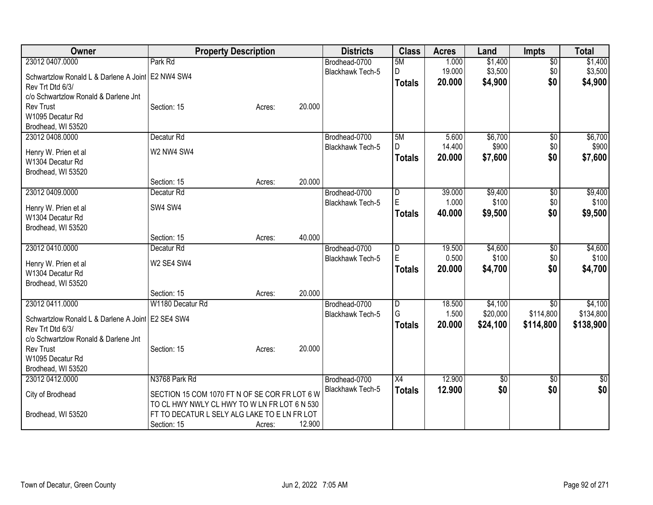| Owner                                               | <b>Property Description</b>                   |        |        | <b>Districts</b>        | <b>Class</b>            | <b>Acres</b> | Land     | <b>Impts</b>    | <b>Total</b> |
|-----------------------------------------------------|-----------------------------------------------|--------|--------|-------------------------|-------------------------|--------------|----------|-----------------|--------------|
| 23012 0407.0000                                     | Park Rd                                       |        |        | Brodhead-0700           | 5M                      | 1.000        | \$1,400  | $\overline{50}$ | \$1,400      |
| Schwartzlow Ronald L & Darlene A Joint   E2 NW4 SW4 |                                               |        |        | Blackhawk Tech-5        | D                       | 19.000       | \$3,500  | \$0             | \$3,500      |
| Rev Trt Dtd 6/3/                                    |                                               |        |        |                         | <b>Totals</b>           | 20.000       | \$4,900  | \$0             | \$4,900      |
| c/o Schwartzlow Ronald & Darlene Jnt                |                                               |        |        |                         |                         |              |          |                 |              |
| <b>Rev Trust</b>                                    | Section: 15                                   | Acres: | 20.000 |                         |                         |              |          |                 |              |
| W1095 Decatur Rd                                    |                                               |        |        |                         |                         |              |          |                 |              |
| Brodhead, WI 53520                                  |                                               |        |        |                         |                         |              |          |                 |              |
| 23012 0408.0000                                     | Decatur <sub>Rd</sub>                         |        |        | Brodhead-0700           | 5M                      | 5.600        | \$6,700  | $\overline{50}$ | \$6,700      |
| Henry W. Prien et al                                | W2 NW4 SW4                                    |        |        | Blackhawk Tech-5        | D                       | 14.400       | \$900    | \$0             | \$900        |
| W1304 Decatur Rd                                    |                                               |        |        |                         | <b>Totals</b>           | 20.000       | \$7,600  | \$0             | \$7,600      |
| Brodhead, WI 53520                                  |                                               |        |        |                         |                         |              |          |                 |              |
|                                                     | Section: 15                                   | Acres: | 20.000 |                         |                         |              |          |                 |              |
| 23012 0409.0000                                     | Decatur Rd                                    |        |        | Brodhead-0700           | $\overline{\mathsf{D}}$ | 39.000       | \$9,400  | $\overline{50}$ | \$9,400      |
|                                                     |                                               |        |        | Blackhawk Tech-5        | E                       | 1.000        | \$100    | \$0             | \$100        |
| Henry W. Prien et al                                | SW4 SW4                                       |        |        |                         | <b>Totals</b>           | 40.000       | \$9,500  | \$0             | \$9,500      |
| W1304 Decatur Rd                                    |                                               |        |        |                         |                         |              |          |                 |              |
| Brodhead, WI 53520                                  |                                               |        |        |                         |                         |              |          |                 |              |
|                                                     | Section: 15                                   | Acres: | 40.000 |                         |                         |              |          |                 |              |
| 23012 0410.0000                                     | Decatur <sub>Rd</sub>                         |        |        | Brodhead-0700           | D<br>E                  | 19.500       | \$4,600  | $\overline{50}$ | \$4,600      |
| Henry W. Prien et al                                | W2 SE4 SW4                                    |        |        | <b>Blackhawk Tech-5</b> |                         | 0.500        | \$100    | \$0             | \$100        |
| W1304 Decatur Rd                                    |                                               |        |        |                         | <b>Totals</b>           | 20,000       | \$4,700  | \$0             | \$4,700      |
| Brodhead, WI 53520                                  |                                               |        |        |                         |                         |              |          |                 |              |
|                                                     | Section: 15                                   | Acres: | 20.000 |                         |                         |              |          |                 |              |
| 23012 0411.0000                                     | W1180 Decatur Rd                              |        |        | Brodhead-0700           | $\overline{\mathsf{D}}$ | 18.500       | \$4,100  | \$0             | \$4,100      |
| Schwartzlow Ronald L & Darlene A Joint E2 SE4 SW4   |                                               |        |        | Blackhawk Tech-5        | G                       | 1.500        | \$20,000 | \$114,800       | \$134,800    |
| Rev Trt Dtd 6/3/                                    |                                               |        |        |                         | <b>Totals</b>           | 20.000       | \$24,100 | \$114,800       | \$138,900    |
| c/o Schwartzlow Ronald & Darlene Jnt                |                                               |        |        |                         |                         |              |          |                 |              |
| <b>Rev Trust</b>                                    | Section: 15                                   | Acres: | 20.000 |                         |                         |              |          |                 |              |
| W1095 Decatur Rd                                    |                                               |        |        |                         |                         |              |          |                 |              |
| Brodhead, WI 53520                                  |                                               |        |        |                         |                         |              |          |                 |              |
| 23012 0412.0000                                     | N3768 Park Rd                                 |        |        | Brodhead-0700           | X4                      | 12.900       | 30       | \$0             | \$0          |
| City of Brodhead                                    | SECTION 15 COM 1070 FT N OF SE COR FR LOT 6 W |        |        | Blackhawk Tech-5        | <b>Totals</b>           | 12.900       | \$0      | \$0             | \$0          |
|                                                     | TO CL HWY NWLY CL HWY TO W LN FR LOT 6 N 530  |        |        |                         |                         |              |          |                 |              |
| Brodhead, WI 53520                                  | FT TO DECATUR L SELY ALG LAKE TO E LN FR LOT  |        |        |                         |                         |              |          |                 |              |
|                                                     | Section: 15                                   | Acres: | 12.900 |                         |                         |              |          |                 |              |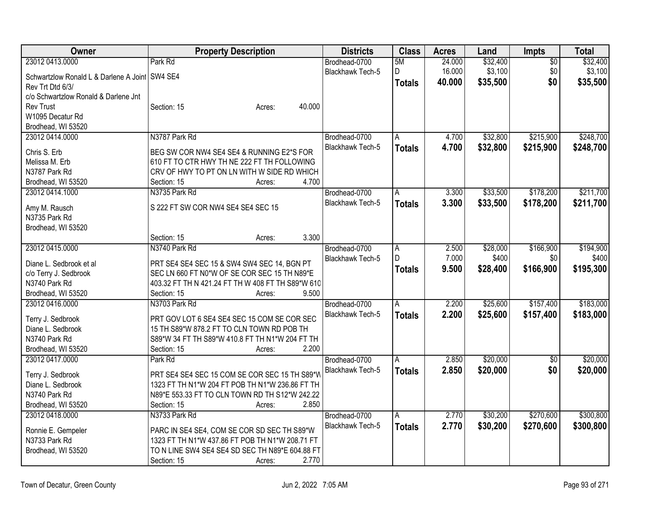| Owner                                            | <b>Property Description</b>                                | <b>Districts</b>        | <b>Class</b>  | <b>Acres</b> | Land     | Impts           | <b>Total</b> |
|--------------------------------------------------|------------------------------------------------------------|-------------------------|---------------|--------------|----------|-----------------|--------------|
| 23012 0413.0000                                  | Park Rd                                                    | Brodhead-0700           | 5M            | 24.000       | \$32,400 | $\overline{50}$ | \$32,400     |
| Schwartzlow Ronald L & Darlene A Joint   SW4 SE4 |                                                            | Blackhawk Tech-5        | D             | 16.000       | \$3,100  | \$0             | \$3,100      |
| Rev Trt Dtd 6/3/                                 |                                                            |                         | <b>Totals</b> | 40.000       | \$35,500 | \$0             | \$35,500     |
| c/o Schwartzlow Ronald & Darlene Jnt             |                                                            |                         |               |              |          |                 |              |
| <b>Rev Trust</b>                                 | 40.000<br>Section: 15<br>Acres:                            |                         |               |              |          |                 |              |
| W1095 Decatur Rd                                 |                                                            |                         |               |              |          |                 |              |
| Brodhead, WI 53520                               |                                                            |                         |               |              |          |                 |              |
| 23012 0414.0000                                  | N3787 Park Rd                                              | Brodhead-0700           | A             | 4.700        | \$32,800 | \$215,900       | \$248,700    |
|                                                  |                                                            | Blackhawk Tech-5        | <b>Totals</b> | 4.700        | \$32,800 | \$215,900       | \$248,700    |
| Chris S. Erb                                     | BEG SW COR NW4 SE4 SE4 & RUNNING E2*S FOR                  |                         |               |              |          |                 |              |
| Melissa M. Erb                                   | 610 FT TO CTR HWY TH NE 222 FT TH FOLLOWING                |                         |               |              |          |                 |              |
| N3787 Park Rd                                    | CRV OF HWY TO PT ON LN WITH W SIDE RD WHICH                |                         |               |              |          |                 |              |
| Brodhead, WI 53520                               | 4.700<br>Section: 15<br>Acres:                             |                         |               |              |          |                 |              |
| 23012 0414.1000                                  | N3735 Park Rd                                              | Brodhead-0700           | A             | 3.300        | \$33,500 | \$178,200       | \$211,700    |
| Amy M. Rausch                                    | S 222 FT SW COR NW4 SE4 SE4 SEC 15                         | Blackhawk Tech-5        | <b>Totals</b> | 3.300        | \$33,500 | \$178,200       | \$211,700    |
| N3735 Park Rd                                    |                                                            |                         |               |              |          |                 |              |
| Brodhead, WI 53520                               |                                                            |                         |               |              |          |                 |              |
|                                                  | 3.300<br>Section: 15<br>Acres:                             |                         |               |              |          |                 |              |
| 23012 0415.0000                                  | N3740 Park Rd                                              | Brodhead-0700           | A             | 2.500        | \$28,000 | \$166,900       | \$194,900    |
|                                                  |                                                            | <b>Blackhawk Tech-5</b> | D             | 7.000        | \$400    | \$0             | \$400        |
| Diane L. Sedbrook et al                          | PRT SE4 SE4 SEC 15 & SW4 SW4 SEC 14, BGN PT                |                         | <b>Totals</b> | 9.500        | \$28,400 | \$166,900       | \$195,300    |
| c/o Terry J. Sedbrook                            | SEC LN 660 FT N0*W OF SE COR SEC 15 TH N89*E               |                         |               |              |          |                 |              |
| N3740 Park Rd                                    | 403.32 FT TH N 421.24 FT TH W 408 FT TH S89*W 610<br>9.500 |                         |               |              |          |                 |              |
| Brodhead, WI 53520                               | Section: 15<br>Acres:                                      |                         |               |              |          |                 |              |
| 23012 0416.0000                                  | N3703 Park Rd                                              | Brodhead-0700           | A             | 2.200        | \$25,600 | \$157,400       | \$183,000    |
| Terry J. Sedbrook                                | PRT GOV LOT 6 SE4 SE4 SEC 15 COM SE COR SEC                | Blackhawk Tech-5        | <b>Totals</b> | 2.200        | \$25,600 | \$157,400       | \$183,000    |
| Diane L. Sedbrook                                | 15 TH S89*W 878.2 FT TO CLN TOWN RD POB TH                 |                         |               |              |          |                 |              |
| N3740 Park Rd                                    | S89*W 34 FT TH S89*W 410.8 FT TH N1*W 204 FT TH            |                         |               |              |          |                 |              |
| Brodhead, WI 53520                               | 2.200<br>Section: 15<br>Acres:                             |                         |               |              |          |                 |              |
| 23012 0417.0000                                  | Park Rd                                                    | Brodhead-0700           | A             | 2.850        | \$20,000 | $\overline{50}$ | \$20,000     |
|                                                  | PRT SE4 SE4 SEC 15 COM SE COR SEC 15 TH S89*W              | Blackhawk Tech-5        | <b>Totals</b> | 2.850        | \$20,000 | \$0             | \$20,000     |
| Terry J. Sedbrook<br>Diane L. Sedbrook           | 1323 FT TH N1*W 204 FT POB TH N1*W 236.86 FT TH            |                         |               |              |          |                 |              |
| N3740 Park Rd                                    | N89*E 553.33 FT TO CLN TOWN RD TH S12*W 242.22             |                         |               |              |          |                 |              |
| Brodhead, WI 53520                               | 2.850<br>Section: 15                                       |                         |               |              |          |                 |              |
| 23012 0418.0000                                  | Acres:<br>N3733 Park Rd                                    | Brodhead-0700           |               | 2.770        |          | \$270,600       | \$300,800    |
|                                                  |                                                            |                         | A             |              | \$30,200 |                 |              |
| Ronnie E. Gempeler                               | PARC IN SE4 SE4, COM SE COR SD SEC TH S89*W                | Blackhawk Tech-5        | <b>Totals</b> | 2.770        | \$30,200 | \$270,600       | \$300,800    |
| N3733 Park Rd                                    | 1323 FT TH N1*W 437.86 FT POB TH N1*W 208.71 FT            |                         |               |              |          |                 |              |
| Brodhead, WI 53520                               | TO N LINE SW4 SE4 SE4 SD SEC TH N89*E 604.88 FT            |                         |               |              |          |                 |              |
|                                                  | 2.770<br>Section: 15<br>Acres:                             |                         |               |              |          |                 |              |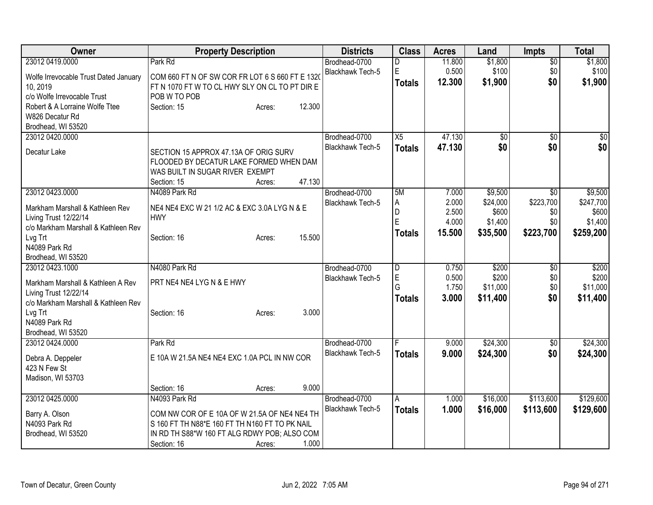| \$1,800<br>23012 0419.0000<br>Park Rd<br>11.800<br>\$1,800<br>Brodhead-0700<br>$\overline{50}$<br>D<br>E<br>0.500<br>\$100<br>\$0<br>\$100<br><b>Blackhawk Tech-5</b><br>COM 660 FT N OF SW COR FR LOT 6 S 660 FT E 1320<br>Wolfe Irrevocable Trust Dated January<br>\$0<br>12.300<br>\$1,900<br>\$1,900<br><b>Totals</b><br>FT N 1070 FT W TO CL HWY SLY ON CL TO PT DIR E<br>10, 2019<br>c/o Wolfe Irrevocable Trust<br>POB W TO POB<br>12.300<br>Robert & A Lorraine Wolfe Ttee<br>Section: 15<br>Acres:<br>W826 Decatur Rd<br>Brodhead, WI 53520<br>X5<br>47.130<br>23012 0420.0000<br>$\sqrt{50}$<br>$\overline{60}$<br>Brodhead-0700<br>\$0<br>\$0<br>Blackhawk Tech-5<br>47.130<br><b>Totals</b><br>Decatur Lake<br>SECTION 15 APPROX 47.13A OF ORIG SURV<br>FLOODED BY DECATUR LAKE FORMED WHEN DAM<br>WAS BUILT IN SUGAR RIVER EXEMPT<br>47.130<br>Section: 15<br>Acres:<br>23012 0423.0000<br>\$9,500<br>N4089 Park Rd<br>Brodhead-0700<br>5M<br>7.000<br>$\sqrt{50}$<br>2.000<br>\$223,700<br><b>Blackhawk Tech-5</b><br>\$24,000<br>Α<br>NE4 NE4 EXC W 21 1/2 AC & EXC 3.0A LYG N & E<br>Markham Marshall & Kathleen Rev<br>D<br>2.500<br>\$600<br>\$0<br>Living Trust 12/22/14<br><b>HWY</b><br>Ė<br>\$0<br>4.000<br>\$1,400<br>c/o Markham Marshall & Kathleen Rev<br>15.500<br>\$223,700<br>\$35,500<br><b>Totals</b><br>15.500<br>Lvg Trt<br>Section: 16<br>Acres:<br>N4089 Park Rd<br>Brodhead, WI 53520<br>N4080 Park Rd<br>23012 0423.1000<br>\$200<br>\$200<br>Brodhead-0700<br>D<br>0.750<br>\$0<br>E<br>0.500<br>\$200<br>\$0<br>Blackhawk Tech-5<br>PRT NE4 NE4 LYG N & E HWY<br>Markham Marshall & Kathleen A Rev<br>G<br>\$0\$<br>1.750<br>\$11,000<br>Living Trust 12/22/14<br>3.000<br>\$11,400<br>\$0<br><b>Totals</b><br>c/o Markham Marshall & Kathleen Rev<br>3.000<br>Lvg Trt<br>Section: 16<br>Acres:<br>N4089 Park Rd | Owner              | <b>Property Description</b> | <b>Districts</b> | <b>Class</b> | <b>Acres</b> | Land | Impts | <b>Total</b> |
|---------------------------------------------------------------------------------------------------------------------------------------------------------------------------------------------------------------------------------------------------------------------------------------------------------------------------------------------------------------------------------------------------------------------------------------------------------------------------------------------------------------------------------------------------------------------------------------------------------------------------------------------------------------------------------------------------------------------------------------------------------------------------------------------------------------------------------------------------------------------------------------------------------------------------------------------------------------------------------------------------------------------------------------------------------------------------------------------------------------------------------------------------------------------------------------------------------------------------------------------------------------------------------------------------------------------------------------------------------------------------------------------------------------------------------------------------------------------------------------------------------------------------------------------------------------------------------------------------------------------------------------------------------------------------------------------------------------------------------------------------------------------------------------------------------------------------------------------------------|--------------------|-----------------------------|------------------|--------------|--------------|------|-------|--------------|
|                                                                                                                                                                                                                                                                                                                                                                                                                                                                                                                                                                                                                                                                                                                                                                                                                                                                                                                                                                                                                                                                                                                                                                                                                                                                                                                                                                                                                                                                                                                                                                                                                                                                                                                                                                                                                                                         |                    |                             |                  |              |              |      |       |              |
|                                                                                                                                                                                                                                                                                                                                                                                                                                                                                                                                                                                                                                                                                                                                                                                                                                                                                                                                                                                                                                                                                                                                                                                                                                                                                                                                                                                                                                                                                                                                                                                                                                                                                                                                                                                                                                                         |                    |                             |                  |              |              |      |       |              |
|                                                                                                                                                                                                                                                                                                                                                                                                                                                                                                                                                                                                                                                                                                                                                                                                                                                                                                                                                                                                                                                                                                                                                                                                                                                                                                                                                                                                                                                                                                                                                                                                                                                                                                                                                                                                                                                         |                    |                             |                  |              |              |      |       |              |
|                                                                                                                                                                                                                                                                                                                                                                                                                                                                                                                                                                                                                                                                                                                                                                                                                                                                                                                                                                                                                                                                                                                                                                                                                                                                                                                                                                                                                                                                                                                                                                                                                                                                                                                                                                                                                                                         |                    |                             |                  |              |              |      |       |              |
| \$0<br>\$0<br>\$9,500<br>\$247,700<br>\$600<br>\$1,400<br>\$259,200<br>\$200<br>\$11,000<br>\$11,400                                                                                                                                                                                                                                                                                                                                                                                                                                                                                                                                                                                                                                                                                                                                                                                                                                                                                                                                                                                                                                                                                                                                                                                                                                                                                                                                                                                                                                                                                                                                                                                                                                                                                                                                                    |                    |                             |                  |              |              |      |       |              |
|                                                                                                                                                                                                                                                                                                                                                                                                                                                                                                                                                                                                                                                                                                                                                                                                                                                                                                                                                                                                                                                                                                                                                                                                                                                                                                                                                                                                                                                                                                                                                                                                                                                                                                                                                                                                                                                         |                    |                             |                  |              |              |      |       |              |
|                                                                                                                                                                                                                                                                                                                                                                                                                                                                                                                                                                                                                                                                                                                                                                                                                                                                                                                                                                                                                                                                                                                                                                                                                                                                                                                                                                                                                                                                                                                                                                                                                                                                                                                                                                                                                                                         |                    |                             |                  |              |              |      |       |              |
|                                                                                                                                                                                                                                                                                                                                                                                                                                                                                                                                                                                                                                                                                                                                                                                                                                                                                                                                                                                                                                                                                                                                                                                                                                                                                                                                                                                                                                                                                                                                                                                                                                                                                                                                                                                                                                                         |                    |                             |                  |              |              |      |       |              |
|                                                                                                                                                                                                                                                                                                                                                                                                                                                                                                                                                                                                                                                                                                                                                                                                                                                                                                                                                                                                                                                                                                                                                                                                                                                                                                                                                                                                                                                                                                                                                                                                                                                                                                                                                                                                                                                         |                    |                             |                  |              |              |      |       |              |
|                                                                                                                                                                                                                                                                                                                                                                                                                                                                                                                                                                                                                                                                                                                                                                                                                                                                                                                                                                                                                                                                                                                                                                                                                                                                                                                                                                                                                                                                                                                                                                                                                                                                                                                                                                                                                                                         |                    |                             |                  |              |              |      |       |              |
|                                                                                                                                                                                                                                                                                                                                                                                                                                                                                                                                                                                                                                                                                                                                                                                                                                                                                                                                                                                                                                                                                                                                                                                                                                                                                                                                                                                                                                                                                                                                                                                                                                                                                                                                                                                                                                                         |                    |                             |                  |              |              |      |       |              |
|                                                                                                                                                                                                                                                                                                                                                                                                                                                                                                                                                                                                                                                                                                                                                                                                                                                                                                                                                                                                                                                                                                                                                                                                                                                                                                                                                                                                                                                                                                                                                                                                                                                                                                                                                                                                                                                         |                    |                             |                  |              |              |      |       |              |
|                                                                                                                                                                                                                                                                                                                                                                                                                                                                                                                                                                                                                                                                                                                                                                                                                                                                                                                                                                                                                                                                                                                                                                                                                                                                                                                                                                                                                                                                                                                                                                                                                                                                                                                                                                                                                                                         |                    |                             |                  |              |              |      |       |              |
|                                                                                                                                                                                                                                                                                                                                                                                                                                                                                                                                                                                                                                                                                                                                                                                                                                                                                                                                                                                                                                                                                                                                                                                                                                                                                                                                                                                                                                                                                                                                                                                                                                                                                                                                                                                                                                                         |                    |                             |                  |              |              |      |       |              |
|                                                                                                                                                                                                                                                                                                                                                                                                                                                                                                                                                                                                                                                                                                                                                                                                                                                                                                                                                                                                                                                                                                                                                                                                                                                                                                                                                                                                                                                                                                                                                                                                                                                                                                                                                                                                                                                         |                    |                             |                  |              |              |      |       |              |
|                                                                                                                                                                                                                                                                                                                                                                                                                                                                                                                                                                                                                                                                                                                                                                                                                                                                                                                                                                                                                                                                                                                                                                                                                                                                                                                                                                                                                                                                                                                                                                                                                                                                                                                                                                                                                                                         |                    |                             |                  |              |              |      |       |              |
|                                                                                                                                                                                                                                                                                                                                                                                                                                                                                                                                                                                                                                                                                                                                                                                                                                                                                                                                                                                                                                                                                                                                                                                                                                                                                                                                                                                                                                                                                                                                                                                                                                                                                                                                                                                                                                                         |                    |                             |                  |              |              |      |       |              |
|                                                                                                                                                                                                                                                                                                                                                                                                                                                                                                                                                                                                                                                                                                                                                                                                                                                                                                                                                                                                                                                                                                                                                                                                                                                                                                                                                                                                                                                                                                                                                                                                                                                                                                                                                                                                                                                         |                    |                             |                  |              |              |      |       |              |
|                                                                                                                                                                                                                                                                                                                                                                                                                                                                                                                                                                                                                                                                                                                                                                                                                                                                                                                                                                                                                                                                                                                                                                                                                                                                                                                                                                                                                                                                                                                                                                                                                                                                                                                                                                                                                                                         |                    |                             |                  |              |              |      |       |              |
|                                                                                                                                                                                                                                                                                                                                                                                                                                                                                                                                                                                                                                                                                                                                                                                                                                                                                                                                                                                                                                                                                                                                                                                                                                                                                                                                                                                                                                                                                                                                                                                                                                                                                                                                                                                                                                                         |                    |                             |                  |              |              |      |       |              |
|                                                                                                                                                                                                                                                                                                                                                                                                                                                                                                                                                                                                                                                                                                                                                                                                                                                                                                                                                                                                                                                                                                                                                                                                                                                                                                                                                                                                                                                                                                                                                                                                                                                                                                                                                                                                                                                         |                    |                             |                  |              |              |      |       |              |
|                                                                                                                                                                                                                                                                                                                                                                                                                                                                                                                                                                                                                                                                                                                                                                                                                                                                                                                                                                                                                                                                                                                                                                                                                                                                                                                                                                                                                                                                                                                                                                                                                                                                                                                                                                                                                                                         |                    |                             |                  |              |              |      |       |              |
|                                                                                                                                                                                                                                                                                                                                                                                                                                                                                                                                                                                                                                                                                                                                                                                                                                                                                                                                                                                                                                                                                                                                                                                                                                                                                                                                                                                                                                                                                                                                                                                                                                                                                                                                                                                                                                                         |                    |                             |                  |              |              |      |       |              |
|                                                                                                                                                                                                                                                                                                                                                                                                                                                                                                                                                                                                                                                                                                                                                                                                                                                                                                                                                                                                                                                                                                                                                                                                                                                                                                                                                                                                                                                                                                                                                                                                                                                                                                                                                                                                                                                         |                    |                             |                  |              |              |      |       |              |
|                                                                                                                                                                                                                                                                                                                                                                                                                                                                                                                                                                                                                                                                                                                                                                                                                                                                                                                                                                                                                                                                                                                                                                                                                                                                                                                                                                                                                                                                                                                                                                                                                                                                                                                                                                                                                                                         |                    |                             |                  |              |              |      |       |              |
|                                                                                                                                                                                                                                                                                                                                                                                                                                                                                                                                                                                                                                                                                                                                                                                                                                                                                                                                                                                                                                                                                                                                                                                                                                                                                                                                                                                                                                                                                                                                                                                                                                                                                                                                                                                                                                                         |                    |                             |                  |              |              |      |       |              |
|                                                                                                                                                                                                                                                                                                                                                                                                                                                                                                                                                                                                                                                                                                                                                                                                                                                                                                                                                                                                                                                                                                                                                                                                                                                                                                                                                                                                                                                                                                                                                                                                                                                                                                                                                                                                                                                         | Brodhead, WI 53520 |                             |                  |              |              |      |       |              |
| \$24,300<br>\$24,300<br>23012 0424.0000<br>Park Rd<br>Brodhead-0700<br>9.000<br>\$0                                                                                                                                                                                                                                                                                                                                                                                                                                                                                                                                                                                                                                                                                                                                                                                                                                                                                                                                                                                                                                                                                                                                                                                                                                                                                                                                                                                                                                                                                                                                                                                                                                                                                                                                                                     |                    |                             |                  |              |              |      |       |              |
| Blackhawk Tech-5<br>\$24,300<br>9.000<br>\$0<br>\$24,300<br><b>Totals</b><br>E 10A W 21.5A NE4 NE4 EXC 1.0A PCL IN NW COR<br>Debra A. Deppeler                                                                                                                                                                                                                                                                                                                                                                                                                                                                                                                                                                                                                                                                                                                                                                                                                                                                                                                                                                                                                                                                                                                                                                                                                                                                                                                                                                                                                                                                                                                                                                                                                                                                                                          |                    |                             |                  |              |              |      |       |              |
| 423 N Few St                                                                                                                                                                                                                                                                                                                                                                                                                                                                                                                                                                                                                                                                                                                                                                                                                                                                                                                                                                                                                                                                                                                                                                                                                                                                                                                                                                                                                                                                                                                                                                                                                                                                                                                                                                                                                                            |                    |                             |                  |              |              |      |       |              |
| Madison, WI 53703                                                                                                                                                                                                                                                                                                                                                                                                                                                                                                                                                                                                                                                                                                                                                                                                                                                                                                                                                                                                                                                                                                                                                                                                                                                                                                                                                                                                                                                                                                                                                                                                                                                                                                                                                                                                                                       |                    |                             |                  |              |              |      |       |              |
| 9.000<br>Section: 16<br>Acres:                                                                                                                                                                                                                                                                                                                                                                                                                                                                                                                                                                                                                                                                                                                                                                                                                                                                                                                                                                                                                                                                                                                                                                                                                                                                                                                                                                                                                                                                                                                                                                                                                                                                                                                                                                                                                          |                    |                             |                  |              |              |      |       |              |
| \$113,600<br>\$129,600<br>23012 0425.0000<br>N4093 Park Rd<br>Brodhead-0700<br>1.000<br>\$16,000<br>$\overline{A}$                                                                                                                                                                                                                                                                                                                                                                                                                                                                                                                                                                                                                                                                                                                                                                                                                                                                                                                                                                                                                                                                                                                                                                                                                                                                                                                                                                                                                                                                                                                                                                                                                                                                                                                                      |                    |                             |                  |              |              |      |       |              |
| Blackhawk Tech-5<br>1.000<br>\$16,000<br>\$113,600<br>\$129,600<br><b>Totals</b>                                                                                                                                                                                                                                                                                                                                                                                                                                                                                                                                                                                                                                                                                                                                                                                                                                                                                                                                                                                                                                                                                                                                                                                                                                                                                                                                                                                                                                                                                                                                                                                                                                                                                                                                                                        |                    |                             |                  |              |              |      |       |              |
| COM NW COR OF E 10A OF W 21.5A OF NE4 NE4 TH<br>Barry A. Olson<br>N4093 Park Rd<br>S 160 FT TH N88*E 160 FT TH N160 FT TO PK NAIL                                                                                                                                                                                                                                                                                                                                                                                                                                                                                                                                                                                                                                                                                                                                                                                                                                                                                                                                                                                                                                                                                                                                                                                                                                                                                                                                                                                                                                                                                                                                                                                                                                                                                                                       |                    |                             |                  |              |              |      |       |              |
| IN RD TH S88*W 160 FT ALG RDWY POB; ALSO COM<br>Brodhead, WI 53520                                                                                                                                                                                                                                                                                                                                                                                                                                                                                                                                                                                                                                                                                                                                                                                                                                                                                                                                                                                                                                                                                                                                                                                                                                                                                                                                                                                                                                                                                                                                                                                                                                                                                                                                                                                      |                    |                             |                  |              |              |      |       |              |
| 1.000<br>Section: 16<br>Acres:                                                                                                                                                                                                                                                                                                                                                                                                                                                                                                                                                                                                                                                                                                                                                                                                                                                                                                                                                                                                                                                                                                                                                                                                                                                                                                                                                                                                                                                                                                                                                                                                                                                                                                                                                                                                                          |                    |                             |                  |              |              |      |       |              |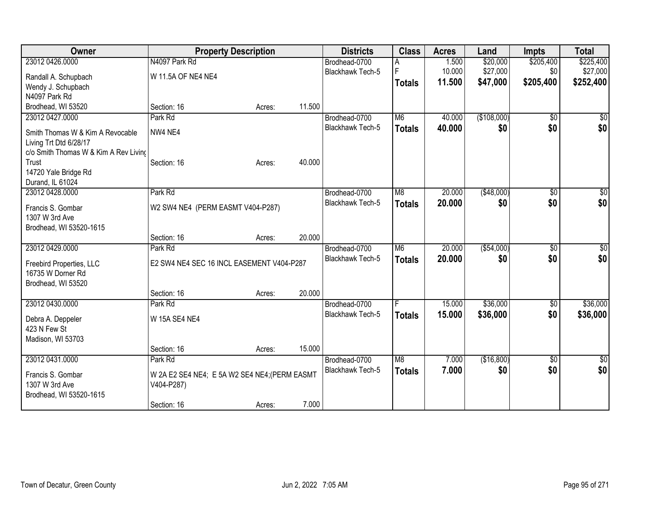| Owner                                 | <b>Property Description</b>                   |        |        | <b>Districts</b>        | <b>Class</b>   | <b>Acres</b> | Land        | <b>Impts</b>    | <b>Total</b>  |
|---------------------------------------|-----------------------------------------------|--------|--------|-------------------------|----------------|--------------|-------------|-----------------|---------------|
| 23012 0426.0000                       | N4097 Park Rd                                 |        |        | Brodhead-0700           |                | 1.500        | \$20,000    | \$205,400       | \$225,400     |
| Randall A. Schupbach                  | W 11.5A OF NE4 NE4                            |        |        | <b>Blackhawk Tech-5</b> | F              | 10.000       | \$27,000    | \$0             | \$27,000      |
| Wendy J. Schupbach                    |                                               |        |        |                         | <b>Totals</b>  | 11.500       | \$47,000    | \$205,400       | \$252,400     |
| N4097 Park Rd                         |                                               |        |        |                         |                |              |             |                 |               |
| Brodhead, WI 53520                    | Section: 16                                   | Acres: | 11.500 |                         |                |              |             |                 |               |
| 23012 0427.0000                       | Park Rd                                       |        |        | Brodhead-0700           | M <sub>6</sub> | 40.000       | (\$108,000) | \$0             | $\sqrt{50}$   |
| Smith Thomas W & Kim A Revocable      | NW4 NE4                                       |        |        | <b>Blackhawk Tech-5</b> | <b>Totals</b>  | 40,000       | \$0         | \$0             | \$0           |
| Living Trt Dtd 6/28/17                |                                               |        |        |                         |                |              |             |                 |               |
| c/o Smith Thomas W & Kim A Rev Living |                                               |        |        |                         |                |              |             |                 |               |
| Trust                                 | Section: 16                                   | Acres: | 40.000 |                         |                |              |             |                 |               |
| 14720 Yale Bridge Rd                  |                                               |        |        |                         |                |              |             |                 |               |
| Durand, IL 61024                      |                                               |        |        |                         |                |              |             |                 |               |
| 23012 0428.0000                       | Park Rd                                       |        |        | Brodhead-0700           | M <sub>8</sub> | 20.000       | ( \$48,000) | \$0             | $\sqrt{50}$   |
| Francis S. Gombar                     | W2 SW4 NE4 (PERM EASMT V404-P287)             |        |        | Blackhawk Tech-5        | <b>Totals</b>  | 20.000       | \$0         | \$0             | \$0           |
| 1307 W 3rd Ave                        |                                               |        |        |                         |                |              |             |                 |               |
| Brodhead, WI 53520-1615               |                                               |        |        |                         |                |              |             |                 |               |
|                                       | Section: 16                                   | Acres: | 20.000 |                         |                |              |             |                 |               |
| 23012 0429.0000                       | Park Rd                                       |        |        | Brodhead-0700           | M <sub>6</sub> | 20.000       | ( \$54,000) | $\overline{50}$ | $\sqrt{50}$   |
| Freebird Properties, LLC              | E2 SW4 NE4 SEC 16 INCL EASEMENT V404-P287     |        |        | Blackhawk Tech-5        | <b>Totals</b>  | 20.000       | \$0         | \$0             | \$0           |
| 16735 W Dorner Rd                     |                                               |        |        |                         |                |              |             |                 |               |
| Brodhead, WI 53520                    |                                               |        |        |                         |                |              |             |                 |               |
|                                       | Section: 16                                   | Acres: | 20.000 |                         |                |              |             |                 |               |
| 23012 0430.0000                       | Park Rd                                       |        |        | Brodhead-0700           |                | 15.000       | \$36,000    | \$0             | \$36,000      |
|                                       |                                               |        |        | Blackhawk Tech-5        | <b>Totals</b>  | 15.000       | \$36,000    | \$0             | \$36,000      |
| Debra A. Deppeler<br>423 N Few St     | W 15A SE4 NE4                                 |        |        |                         |                |              |             |                 |               |
| Madison, WI 53703                     |                                               |        |        |                         |                |              |             |                 |               |
|                                       | Section: 16                                   | Acres: | 15.000 |                         |                |              |             |                 |               |
| 23012 0431.0000                       | Park Rd                                       |        |        | Brodhead-0700           | M <sub>8</sub> | 7.000        | (\$16,800)  | $\overline{30}$ | $\frac{1}{6}$ |
|                                       |                                               |        |        | Blackhawk Tech-5        | <b>Totals</b>  | 7.000        | \$0         | \$0             | \$0           |
| Francis S. Gombar                     | W 2A E2 SE4 NE4; E 5A W2 SE4 NE4; (PERM EASMT |        |        |                         |                |              |             |                 |               |
| 1307 W 3rd Ave                        | V404-P287)                                    |        |        |                         |                |              |             |                 |               |
| Brodhead, WI 53520-1615               |                                               |        |        |                         |                |              |             |                 |               |
|                                       | Section: 16                                   | Acres: | 7.000  |                         |                |              |             |                 |               |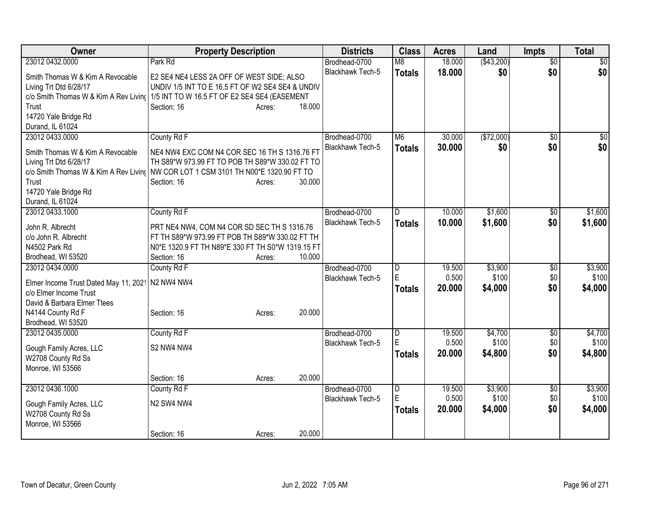| Owner                                                           | <b>Property Description</b>                       | <b>Districts</b>        | <b>Class</b>   | <b>Acres</b> | Land       | <b>Impts</b>    | <b>Total</b>    |
|-----------------------------------------------------------------|---------------------------------------------------|-------------------------|----------------|--------------|------------|-----------------|-----------------|
| 23012 0432.0000                                                 | Park Rd                                           | Brodhead-0700           | M8             | 18.000       | (\$43,200) | $\overline{50}$ | $\overline{30}$ |
| Smith Thomas W & Kim A Revocable                                | E2 SE4 NE4 LESS 2A OFF OF WEST SIDE; ALSO         | Blackhawk Tech-5        | <b>Totals</b>  | 18.000       | \$0        | \$0             | \$0             |
| Living Trt Dtd 6/28/17                                          | UNDIV 1/5 INT TO E 16.5 FT OF W2 SE4 SE4 & UNDIV  |                         |                |              |            |                 |                 |
| c/o Smith Thomas W & Kim A Rev Living                           | 1/5 INT TO W 16.5 FT OF E2 SE4 SE4 (EASEMENT      |                         |                |              |            |                 |                 |
| Trust                                                           | 18.000<br>Section: 16<br>Acres:                   |                         |                |              |            |                 |                 |
| 14720 Yale Bridge Rd                                            |                                                   |                         |                |              |            |                 |                 |
| Durand, IL 61024                                                |                                                   |                         |                |              |            |                 |                 |
| 23012 0433.0000                                                 | County Rd F                                       | Brodhead-0700           | M <sub>6</sub> | 30.000       | (\$72,000) | $\overline{50}$ | $\frac{1}{2}$   |
| Smith Thomas W & Kim A Revocable                                | NE4 NW4 EXC COM N4 COR SEC 16 TH S 1316.76 FT     | <b>Blackhawk Tech-5</b> | <b>Totals</b>  | 30.000       | \$0        | \$0             | \$0             |
| Living Trt Dtd 6/28/17                                          | TH S89*W 973.99 FT TO POB TH S89*W 330.02 FT TO   |                         |                |              |            |                 |                 |
| c/o Smith Thomas W & Kim A Rev Living                           | NW COR LOT 1 CSM 3101 TH N00*E 1320.90 FT TO      |                         |                |              |            |                 |                 |
| Trust                                                           | 30.000<br>Section: 16<br>Acres:                   |                         |                |              |            |                 |                 |
| 14720 Yale Bridge Rd                                            |                                                   |                         |                |              |            |                 |                 |
| Durand, IL 61024                                                |                                                   |                         |                |              |            |                 |                 |
| 23012 0433.1000                                                 | County Rd F                                       | Brodhead-0700           | D              | 10.000       | \$1,600    | $\overline{50}$ | \$1,600         |
| John R. Albrecht                                                | PRT NE4 NW4, COM N4 COR SD SEC TH S 1316.76       | Blackhawk Tech-5        | <b>Totals</b>  | 10.000       | \$1,600    | \$0             | \$1,600         |
| c/o John R. Albrecht                                            | FT TH S89*W 973.99 FT POB TH S89*W 330.02 FT TH   |                         |                |              |            |                 |                 |
| N4502 Park Rd                                                   | N0*E 1320.9 FT TH N89*E 330 FT TH S0*W 1319.15 FT |                         |                |              |            |                 |                 |
| Brodhead, WI 53520                                              | 10.000<br>Section: 16<br>Acres:                   |                         |                |              |            |                 |                 |
| 23012 0434.0000                                                 | County Rd F                                       | Brodhead-0700           | $\overline{D}$ | 19.500       | \$3,900    | \$0             | \$3,900         |
|                                                                 |                                                   | Blackhawk Tech-5        | E              | 0.500        | \$100      | \$0             | \$100           |
| Elmer Income Trust Dated May 11, 2021<br>c/o Elmer Income Trust | N2 NW4 NW4                                        |                         | <b>Totals</b>  | 20.000       | \$4,000    | \$0             | \$4,000         |
| David & Barbara Elmer Ttees                                     |                                                   |                         |                |              |            |                 |                 |
| N4144 County Rd F                                               | 20.000<br>Section: 16<br>Acres:                   |                         |                |              |            |                 |                 |
| Brodhead, WI 53520                                              |                                                   |                         |                |              |            |                 |                 |
| 23012 0435.0000                                                 | County Rd F                                       | Brodhead-0700           | $\overline{D}$ | 19.500       | \$4,700    | \$0             | \$4,700         |
|                                                                 |                                                   | <b>Blackhawk Tech-5</b> | E              | 0.500        | \$100      | \$0             | \$100           |
| Gough Family Acres, LLC                                         | S2 NW4 NW4                                        |                         | <b>Totals</b>  | 20.000       | \$4,800    | \$0             | \$4,800         |
| W2708 County Rd Ss                                              |                                                   |                         |                |              |            |                 |                 |
| Monroe, WI 53566                                                | 20.000<br>Section: 16<br>Acres:                   |                         |                |              |            |                 |                 |
| 23012 0436.1000                                                 | County Rd F                                       | Brodhead-0700           | $\overline{D}$ | 19.500       | \$3,900    | \$0             | \$3,900         |
|                                                                 |                                                   | Blackhawk Tech-5        | E              | 0.500        | \$100      | \$0             | \$100           |
| Gough Family Acres, LLC                                         | N2 SW4 NW4                                        |                         | Totals         | 20.000       | \$4,000    | \$0             | \$4,000         |
| W2708 County Rd Ss                                              |                                                   |                         |                |              |            |                 |                 |
| Monroe, WI 53566                                                |                                                   |                         |                |              |            |                 |                 |
|                                                                 | 20.000<br>Section: 16<br>Acres:                   |                         |                |              |            |                 |                 |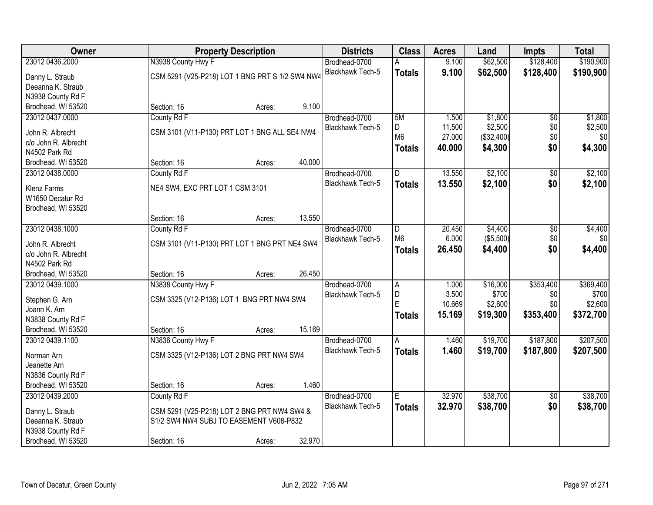| Owner                                   | <b>Property Description</b>                     |        |        | <b>Districts</b> | <b>Class</b>   | <b>Acres</b> | Land       | <b>Impts</b>    | <b>Total</b> |
|-----------------------------------------|-------------------------------------------------|--------|--------|------------------|----------------|--------------|------------|-----------------|--------------|
| 23012 0436.2000                         | N3938 County Hwy F                              |        |        | Brodhead-0700    | А              | 9.100        | \$62,500   | \$128,400       | \$190,900    |
| Danny L. Straub                         | CSM 5291 (V25-P218) LOT 1 BNG PRT S 1/2 SW4 NW4 |        |        | Blackhawk Tech-5 | <b>Totals</b>  | 9.100        | \$62,500   | \$128,400       | \$190,900    |
| Deeanna K. Straub                       |                                                 |        |        |                  |                |              |            |                 |              |
| N3938 County Rd F                       |                                                 |        |        |                  |                |              |            |                 |              |
| Brodhead, WI 53520                      | Section: 16                                     | Acres: | 9.100  |                  |                |              |            |                 |              |
| 23012 0437.0000                         | County Rd F                                     |        |        | Brodhead-0700    | 5M             | 1.500        | \$1,800    | $\overline{60}$ | \$1,800      |
|                                         |                                                 |        |        | Blackhawk Tech-5 | D              | 11.500       | \$2,500    | \$0             | \$2,500      |
| John R. Albrecht                        | CSM 3101 (V11-P130) PRT LOT 1 BNG ALL SE4 NW4   |        |        |                  | M <sub>6</sub> | 27.000       | (\$32,400) | \$0             | \$0          |
| c/o John R. Albrecht<br>N4502 Park Rd   |                                                 |        |        |                  | <b>Totals</b>  | 40.000       | \$4,300    | \$0             | \$4,300      |
| Brodhead, WI 53520                      | Section: 16                                     | Acres: | 40.000 |                  |                |              |            |                 |              |
| 23012 0438.0000                         | County Rd F                                     |        |        | Brodhead-0700    | D              | 13.550       | \$2,100    | \$0             | \$2,100      |
|                                         |                                                 |        |        | Blackhawk Tech-5 | <b>Totals</b>  | 13.550       | \$2,100    | \$0             | \$2,100      |
| <b>Klenz Farms</b>                      | NE4 SW4, EXC PRT LOT 1 CSM 3101                 |        |        |                  |                |              |            |                 |              |
| W1650 Decatur Rd                        |                                                 |        |        |                  |                |              |            |                 |              |
| Brodhead, WI 53520                      |                                                 |        |        |                  |                |              |            |                 |              |
|                                         | Section: 16                                     | Acres: | 13.550 |                  |                |              |            |                 |              |
| 23012 0438.1000                         | County Rd F                                     |        |        | Brodhead-0700    | D              | 20.450       | \$4,400    | $\overline{30}$ | \$4,400      |
| John R. Albrecht                        | CSM 3101 (V11-P130) PRT LOT 1 BNG PRT NE4 SW4   |        |        | Blackhawk Tech-5 | M <sub>6</sub> | 6.000        | (\$5,500)  | \$0             | \$0          |
| c/o John R. Albrecht                    |                                                 |        |        |                  | <b>Totals</b>  | 26.450       | \$4,400    | \$0             | \$4,400      |
| N4502 Park Rd                           |                                                 |        |        |                  |                |              |            |                 |              |
| Brodhead, WI 53520                      | Section: 16                                     | Acres: | 26.450 |                  |                |              |            |                 |              |
| 23012 0439.1000                         | N3838 County Hwy F                              |        |        | Brodhead-0700    | $\overline{A}$ | 1.000        | \$16,000   | \$353,400       | \$369,400    |
| Stephen G. Arn                          | CSM 3325 (V12-P136) LOT 1 BNG PRT NW4 SW4       |        |        | Blackhawk Tech-5 | D              | 3.500        | \$700      | \$0             | \$700        |
| Joann K. Arn                            |                                                 |        |        |                  | E              | 10.669       | \$2,600    | \$0             | \$2,600      |
| N3838 County Rd F                       |                                                 |        |        |                  | <b>Totals</b>  | 15.169       | \$19,300   | \$353,400       | \$372,700    |
| Brodhead, WI 53520                      | Section: 16                                     | Acres: | 15.169 |                  |                |              |            |                 |              |
| 23012 0439.1100                         | N3836 County Hwy F                              |        |        | Brodhead-0700    | A              | 1.460        | \$19,700   | \$187,800       | \$207,500    |
|                                         |                                                 |        |        | Blackhawk Tech-5 | <b>Totals</b>  | 1.460        | \$19,700   | \$187,800       | \$207,500    |
| Norman Arn                              | CSM 3325 (V12-P136) LOT 2 BNG PRT NW4 SW4       |        |        |                  |                |              |            |                 |              |
| Jeanette Arn                            |                                                 |        |        |                  |                |              |            |                 |              |
| N3836 County Rd F<br>Brodhead, WI 53520 | Section: 16                                     |        | 1.460  |                  |                |              |            |                 |              |
| 23012 0439.2000                         | County Rd F                                     | Acres: |        | Brodhead-0700    | E.             | 32.970       | \$38,700   | $\overline{30}$ | \$38,700     |
|                                         |                                                 |        |        | Blackhawk Tech-5 |                |              |            | \$0             |              |
| Danny L. Straub                         | CSM 5291 (V25-P218) LOT 2 BNG PRT NW4 SW4 &     |        |        |                  | <b>Totals</b>  | 32.970       | \$38,700   |                 | \$38,700     |
| Deeanna K. Straub                       | S1/2 SW4 NW4 SUBJ TO EASEMENT V608-P832         |        |        |                  |                |              |            |                 |              |
| N3938 County Rd F                       |                                                 |        |        |                  |                |              |            |                 |              |
| Brodhead, WI 53520                      | Section: 16                                     | Acres: | 32.970 |                  |                |              |            |                 |              |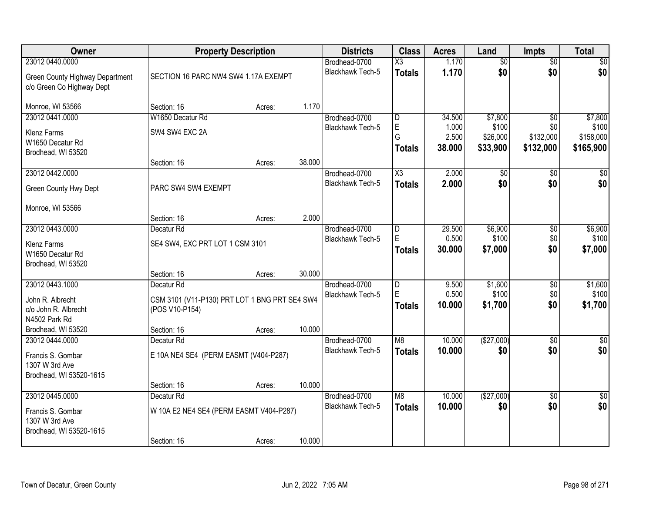| Owner                                                        |                                               | <b>Property Description</b> |        | <b>Districts</b>                  | <b>Class</b>             | <b>Acres</b>    | Land                 | <b>Impts</b>           | <b>Total</b>           |
|--------------------------------------------------------------|-----------------------------------------------|-----------------------------|--------|-----------------------------------|--------------------------|-----------------|----------------------|------------------------|------------------------|
| 23012 0440.0000                                              |                                               |                             |        | Brodhead-0700                     | $\overline{\text{X3}}$   | 1.170           | $\overline{60}$      | $\overline{50}$        | \$0                    |
| Green County Highway Department<br>c/o Green Co Highway Dept | SECTION 16 PARC NW4 SW4 1.17A EXEMPT          |                             |        | <b>Blackhawk Tech-5</b>           | <b>Totals</b>            | 1.170           | \$0                  | \$0                    | \$0                    |
| Monroe, WI 53566                                             | Section: 16                                   | Acres:                      | 1.170  |                                   |                          |                 |                      |                        |                        |
| 23012 0441.0000                                              | W1650 Decatur Rd                              |                             |        | Brodhead-0700                     | $\overline{\mathsf{D}}$  | 34.500          | \$7,800              | $\overline{50}$        | \$7,800                |
| <b>Klenz Farms</b>                                           | SW4 SW4 EXC 2A                                |                             |        | <b>Blackhawk Tech-5</b>           | E<br>G                   | 1.000           | \$100                | \$0                    | \$100                  |
| W1650 Decatur Rd                                             |                                               |                             |        |                                   | <b>Totals</b>            | 2.500<br>38.000 | \$26,000<br>\$33,900 | \$132,000<br>\$132,000 | \$158,000<br>\$165,900 |
| Brodhead, WI 53520                                           |                                               |                             |        |                                   |                          |                 |                      |                        |                        |
|                                                              | Section: 16                                   | Acres:                      | 38.000 |                                   |                          |                 |                      |                        |                        |
| 23012 0442.0000                                              |                                               |                             |        | Brodhead-0700<br>Blackhawk Tech-5 | X3                       | 2.000           | $\sqrt{50}$          | $\overline{50}$        | $\overline{50}$        |
| Green County Hwy Dept                                        | PARC SW4 SW4 EXEMPT                           |                             |        |                                   | <b>Totals</b>            | 2.000           | \$0                  | \$0                    | \$0                    |
| Monroe, WI 53566                                             |                                               |                             |        |                                   |                          |                 |                      |                        |                        |
|                                                              | Section: 16                                   | Acres:                      | 2.000  |                                   |                          |                 |                      |                        |                        |
| 23012 0443.0000                                              | Decatur <sub>Rd</sub>                         |                             |        | Brodhead-0700                     | D                        | 29.500          | \$6,900              | $\overline{50}$        | \$6,900                |
| <b>Klenz Farms</b>                                           | SE4 SW4, EXC PRT LOT 1 CSM 3101               |                             |        | Blackhawk Tech-5                  | E                        | 0.500           | \$100                | \$0                    | \$100                  |
| W1650 Decatur Rd                                             |                                               |                             |        |                                   | <b>Totals</b>            | 30.000          | \$7,000              | \$0                    | \$7,000                |
| Brodhead, WI 53520                                           |                                               |                             | 30.000 |                                   |                          |                 |                      |                        |                        |
| 23012 0443.1000                                              | Section: 16<br>Decatur <sub>Rd</sub>          | Acres:                      |        | Brodhead-0700                     | $\overline{\mathsf{D}}$  | 9.500           | \$1,600              | $\overline{30}$        | \$1,600                |
|                                                              |                                               |                             |        | Blackhawk Tech-5                  | E                        | 0.500           | \$100                | \$0                    | \$100                  |
| John R. Albrecht                                             | CSM 3101 (V11-P130) PRT LOT 1 BNG PRT SE4 SW4 |                             |        |                                   | <b>Totals</b>            | 10.000          | \$1,700              | \$0                    | \$1,700                |
| c/o John R. Albrecht<br>N4502 Park Rd                        | (POS V10-P154)                                |                             |        |                                   |                          |                 |                      |                        |                        |
| Brodhead, WI 53520                                           | Section: 16                                   | Acres:                      | 10.000 |                                   |                          |                 |                      |                        |                        |
| 23012 0444.0000                                              | Decatur <sub>Rd</sub>                         |                             |        | Brodhead-0700                     | $\overline{\mathsf{M}8}$ | 10.000          | (\$27,000)           | $\sqrt{6}$             | $\overline{50}$        |
|                                                              |                                               |                             |        | Blackhawk Tech-5                  | <b>Totals</b>            | 10.000          | \$0                  | \$0                    | \$0                    |
| Francis S. Gombar<br>1307 W 3rd Ave                          | E 10A NE4 SE4 (PERM EASMT (V404-P287)         |                             |        |                                   |                          |                 |                      |                        |                        |
| Brodhead, WI 53520-1615                                      |                                               |                             |        |                                   |                          |                 |                      |                        |                        |
|                                                              | Section: 16                                   | Acres:                      | 10.000 |                                   |                          |                 |                      |                        |                        |
| 23012 0445.0000                                              | Decatur <sub>Rd</sub>                         |                             |        | Brodhead-0700                     | $\overline{\mathsf{M}8}$ | 10.000          | (\$27,000)           | $\overline{50}$        | \$0                    |
| Francis S. Gombar                                            | W 10A E2 NE4 SE4 (PERM EASMT V404-P287)       |                             |        | <b>Blackhawk Tech-5</b>           | <b>Totals</b>            | 10.000          | \$0                  | \$0                    | \$0                    |
| 1307 W 3rd Ave                                               |                                               |                             |        |                                   |                          |                 |                      |                        |                        |
| Brodhead, WI 53520-1615                                      |                                               |                             |        |                                   |                          |                 |                      |                        |                        |
|                                                              | Section: 16                                   | Acres:                      | 10.000 |                                   |                          |                 |                      |                        |                        |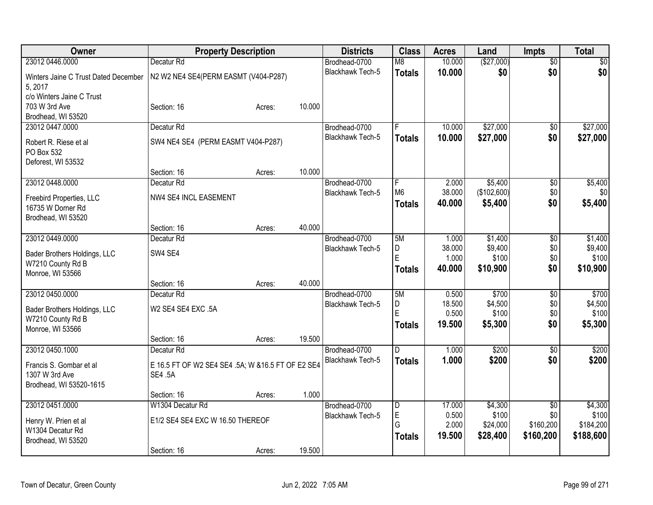| Owner                                | <b>Property Description</b>                       |        |        | <b>Districts</b>        | <b>Class</b>   | <b>Acres</b>    | Land             | <b>Impts</b>    | <b>Total</b>     |
|--------------------------------------|---------------------------------------------------|--------|--------|-------------------------|----------------|-----------------|------------------|-----------------|------------------|
| 23012 0446.0000                      | Decatur Rd                                        |        |        | Brodhead-0700           | M8             | 10.000          | (\$27,000)       | $\overline{50}$ | $\sqrt{30}$      |
| Winters Jaine C Trust Dated December | N2 W2 NE4 SE4(PERM EASMT (V404-P287)              |        |        | Blackhawk Tech-5        | <b>Totals</b>  | 10.000          | \$0              | \$0             | \$0              |
| 5, 2017                              |                                                   |        |        |                         |                |                 |                  |                 |                  |
| c/o Winters Jaine C Trust            |                                                   |        |        |                         |                |                 |                  |                 |                  |
| 703 W 3rd Ave                        | Section: 16                                       | Acres: | 10.000 |                         |                |                 |                  |                 |                  |
| Brodhead, WI 53520                   |                                                   |        |        |                         |                |                 |                  |                 |                  |
| 23012 0447.0000                      | Decatur <sub>Rd</sub>                             |        |        | Brodhead-0700           | E              | 10.000          | \$27,000         | $\overline{60}$ | \$27,000         |
| Robert R. Riese et al                | SW4 NE4 SE4 (PERM EASMT V404-P287)                |        |        | Blackhawk Tech-5        | <b>Totals</b>  | 10.000          | \$27,000         | \$0             | \$27,000         |
| PO Box 532                           |                                                   |        |        |                         |                |                 |                  |                 |                  |
| Deforest, WI 53532                   |                                                   |        |        |                         |                |                 |                  |                 |                  |
|                                      | Section: 16                                       | Acres: | 10.000 |                         |                |                 |                  |                 |                  |
| 23012 0448.0000                      | Decatur Rd                                        |        |        | Brodhead-0700           | F              | 2.000           | \$5,400          | \$0             | \$5,400          |
| Freebird Properties, LLC             | NW4 SE4 INCL EASEMENT                             |        |        | <b>Blackhawk Tech-5</b> | M <sub>6</sub> | 38.000          | (\$102,600)      | \$0             | \$0              |
| 16735 W Dorner Rd                    |                                                   |        |        |                         | <b>Totals</b>  | 40.000          | \$5,400          | \$0             | \$5,400          |
| Brodhead, WI 53520                   |                                                   |        |        |                         |                |                 |                  |                 |                  |
|                                      | Section: 16                                       | Acres: | 40.000 |                         |                |                 |                  |                 |                  |
| 23012 0449.0000                      | Decatur Rd                                        |        |        | Brodhead-0700           | 5M             | 1.000           | \$1,400          | \$0             | \$1,400          |
|                                      |                                                   |        |        | <b>Blackhawk Tech-5</b> | D              | 38.000          | \$9,400          | \$0             | \$9,400          |
| Bader Brothers Holdings, LLC         | SW4 SE4                                           |        |        |                         | E              | 1.000           | \$100            | \$0             | \$100            |
| W7210 County Rd B                    |                                                   |        |        |                         | <b>Totals</b>  | 40.000          | \$10,900         | \$0             | \$10,900         |
| Monroe, WI 53566                     |                                                   |        |        |                         |                |                 |                  |                 |                  |
|                                      | Section: 16                                       | Acres: | 40.000 |                         |                |                 |                  |                 |                  |
| 23012 0450.0000                      | Decatur <sub>Rd</sub>                             |        |        | Brodhead-0700           | 5M             | 0.500           | \$700            | $\overline{50}$ | \$700            |
| Bader Brothers Holdings, LLC         | W2 SE4 SE4 EXC .5A                                |        |        | Blackhawk Tech-5        | D<br>E         | 18.500<br>0.500 | \$4,500<br>\$100 | \$0             | \$4,500<br>\$100 |
| W7210 County Rd B                    |                                                   |        |        |                         |                | 19.500          | \$5,300          | \$0<br>\$0      |                  |
| Monroe, WI 53566                     |                                                   |        |        |                         | <b>Totals</b>  |                 |                  |                 | \$5,300          |
|                                      | Section: 16                                       | Acres: | 19.500 |                         |                |                 |                  |                 |                  |
| 23012 0450.1000                      | Decatur <sub>Rd</sub>                             |        |        | Brodhead-0700           | D.             | 1.000           | \$200            | $\overline{50}$ | \$200            |
| Francis S. Gombar et al              | E 16.5 FT OF W2 SE4 SE4 .5A; W &16.5 FT OF E2 SE4 |        |        | <b>Blackhawk Tech-5</b> | <b>Totals</b>  | 1.000           | \$200            | \$0             | \$200            |
| 1307 W 3rd Ave                       | <b>SE4 .5A</b>                                    |        |        |                         |                |                 |                  |                 |                  |
| Brodhead, WI 53520-1615              |                                                   |        |        |                         |                |                 |                  |                 |                  |
|                                      | Section: 16                                       | Acres: | 1.000  |                         |                |                 |                  |                 |                  |
| 23012 0451.0000                      | W1304 Decatur Rd                                  |        |        | Brodhead-0700           | $\overline{D}$ | 17.000          | \$4,300          | $\overline{50}$ | \$4,300          |
|                                      |                                                   |        |        | Blackhawk Tech-5        | $\mathsf E$    | 0.500           | \$100            | \$0             | \$100            |
| Henry W. Prien et al                 | E1/2 SE4 SE4 EXC W 16.50 THEREOF                  |        |        |                         | G              | 2.000           | \$24,000         | \$160,200       | \$184,200        |
| W1304 Decatur Rd                     |                                                   |        |        |                         | Totals         | 19.500          | \$28,400         | \$160,200       | \$188,600        |
| Brodhead, WI 53520                   |                                                   |        |        |                         |                |                 |                  |                 |                  |
|                                      | Section: 16                                       | Acres: | 19.500 |                         |                |                 |                  |                 |                  |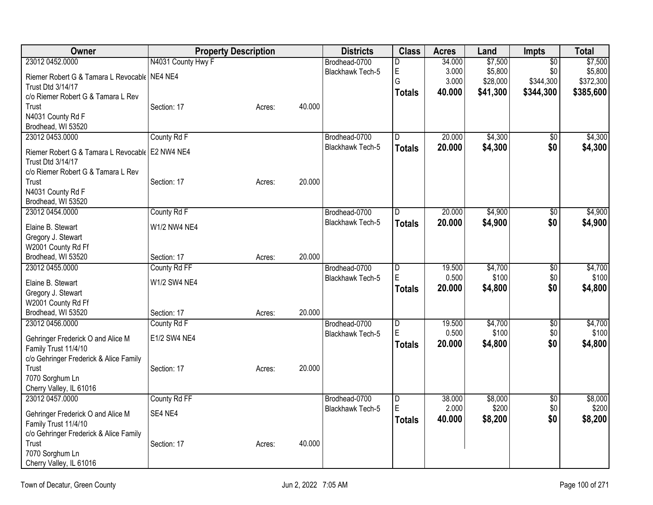| Owner                                                                         | <b>Property Description</b> |        |        | <b>Districts</b>        | <b>Class</b>   | <b>Acres</b> | Land     | Impts           | <b>Total</b> |
|-------------------------------------------------------------------------------|-----------------------------|--------|--------|-------------------------|----------------|--------------|----------|-----------------|--------------|
| 23012 0452.0000                                                               | N4031 County Hwy F          |        |        | Brodhead-0700           | D              | 34.000       | \$7,500  | $\overline{50}$ | \$7,500      |
| Riemer Robert G & Tamara L Revocable   NE4 NE4                                |                             |        |        | Blackhawk Tech-5        | E              | 3.000        | \$5,800  | \$0             | \$5,800      |
| Trust Dtd 3/14/17                                                             |                             |        |        |                         | G              | 3.000        | \$28,000 | \$344,300       | \$372,300    |
| c/o Riemer Robert G & Tamara L Rev                                            |                             |        |        |                         | <b>Totals</b>  | 40.000       | \$41,300 | \$344,300       | \$385,600    |
| Trust                                                                         | Section: 17                 | Acres: | 40.000 |                         |                |              |          |                 |              |
| N4031 County Rd F                                                             |                             |        |        |                         |                |              |          |                 |              |
| Brodhead, WI 53520                                                            |                             |        |        |                         |                |              |          |                 |              |
| 23012 0453.0000                                                               | County Rd F                 |        |        | Brodhead-0700           | D              | 20.000       | \$4,300  | $\overline{30}$ | \$4,300      |
| Riemer Robert G & Tamara L Revocable   E2 NW4 NE4<br><b>Trust Dtd 3/14/17</b> |                             |        |        | Blackhawk Tech-5        | <b>Totals</b>  | 20.000       | \$4,300  | \$0             | \$4,300      |
| c/o Riemer Robert G & Tamara L Rev                                            |                             |        |        |                         |                |              |          |                 |              |
| Trust                                                                         | Section: 17                 | Acres: | 20.000 |                         |                |              |          |                 |              |
| N4031 County Rd F                                                             |                             |        |        |                         |                |              |          |                 |              |
| Brodhead, WI 53520                                                            |                             |        |        |                         |                |              |          |                 |              |
| 23012 0454.0000                                                               | County Rd F                 |        |        | Brodhead-0700           | D              | 20.000       | \$4,900  | $\overline{50}$ | \$4,900      |
| Elaine B. Stewart                                                             | <b>W1/2 NW4 NE4</b>         |        |        | <b>Blackhawk Tech-5</b> | <b>Totals</b>  | 20.000       | \$4,900  | \$0             | \$4,900      |
| Gregory J. Stewart                                                            |                             |        |        |                         |                |              |          |                 |              |
| W2001 County Rd Ff                                                            |                             |        |        |                         |                |              |          |                 |              |
| Brodhead, WI 53520                                                            | Section: 17                 | Acres: | 20.000 |                         |                |              |          |                 |              |
| 23012 0455.0000                                                               | County Rd FF                |        |        | Brodhead-0700           | D              | 19.500       | \$4,700  | \$0             | \$4,700      |
| Elaine B. Stewart                                                             | <b>W1/2 SW4 NE4</b>         |        |        | <b>Blackhawk Tech-5</b> | E              | 0.500        | \$100    | \$0             | \$100        |
| Gregory J. Stewart                                                            |                             |        |        |                         | <b>Totals</b>  | 20.000       | \$4,800  | \$0             | \$4,800      |
| W2001 County Rd Ff                                                            |                             |        |        |                         |                |              |          |                 |              |
| Brodhead, WI 53520                                                            | Section: 17                 | Acres: | 20.000 |                         |                |              |          |                 |              |
| 23012 0456.0000                                                               | County Rd F                 |        |        | Brodhead-0700           | $\overline{D}$ | 19.500       | \$4,700  | $\overline{50}$ | \$4,700      |
| Gehringer Frederick O and Alice M                                             | E1/2 SW4 NE4                |        |        | Blackhawk Tech-5        | E              | 0.500        | \$100    | \$0             | \$100        |
| Family Trust 11/4/10                                                          |                             |        |        |                         | <b>Totals</b>  | 20.000       | \$4,800  | \$0             | \$4,800      |
| c/o Gehringer Frederick & Alice Family                                        |                             |        |        |                         |                |              |          |                 |              |
| Trust                                                                         | Section: 17                 | Acres: | 20.000 |                         |                |              |          |                 |              |
| 7070 Sorghum Ln                                                               |                             |        |        |                         |                |              |          |                 |              |
| Cherry Valley, IL 61016                                                       |                             |        |        |                         |                |              |          |                 |              |
| 23012 0457.0000                                                               | County Rd FF                |        |        | Brodhead-0700           | D              | 38.000       | \$8,000  | \$0             | \$8,000      |
| Gehringer Frederick O and Alice M                                             | SE4 NE4                     |        |        | Blackhawk Tech-5        | E              | 2.000        | \$200    | \$0             | \$200        |
| Family Trust 11/4/10                                                          |                             |        |        |                         | <b>Totals</b>  | 40.000       | \$8,200  | \$0             | \$8,200      |
| c/o Gehringer Frederick & Alice Family                                        |                             |        |        |                         |                |              |          |                 |              |
| Trust                                                                         | Section: 17                 | Acres: | 40.000 |                         |                |              |          |                 |              |
| 7070 Sorghum Ln                                                               |                             |        |        |                         |                |              |          |                 |              |
| Cherry Valley, IL 61016                                                       |                             |        |        |                         |                |              |          |                 |              |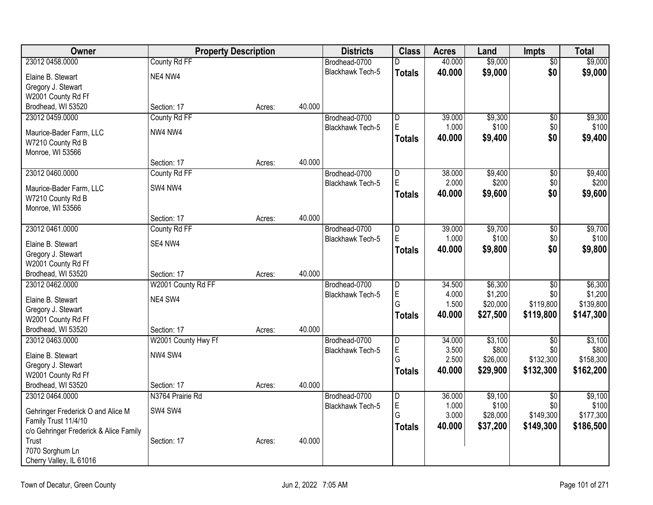| Owner                                  |                     | <b>Property Description</b> |        | <b>Districts</b>        | <b>Class</b>   | <b>Acres</b> | Land     | <b>Impts</b>    | <b>Total</b> |
|----------------------------------------|---------------------|-----------------------------|--------|-------------------------|----------------|--------------|----------|-----------------|--------------|
| 23012 0458.0000                        | County Rd FF        |                             |        | Brodhead-0700           | D.             | 40.000       | \$9,000  | $\overline{50}$ | \$9,000      |
| Elaine B. Stewart                      | NE4 NW4             |                             |        | <b>Blackhawk Tech-5</b> | <b>Totals</b>  | 40.000       | \$9,000  | \$0             | \$9,000      |
| Gregory J. Stewart                     |                     |                             |        |                         |                |              |          |                 |              |
| W2001 County Rd Ff                     |                     |                             |        |                         |                |              |          |                 |              |
| Brodhead, WI 53520                     | Section: 17         | Acres:                      | 40.000 |                         |                |              |          |                 |              |
| 23012 0459.0000                        | County Rd FF        |                             |        | Brodhead-0700           | D              | 39.000       | \$9,300  | $\overline{50}$ | \$9,300      |
| Maurice-Bader Farm, LLC                | NW4 NW4             |                             |        | Blackhawk Tech-5        | E              | 1.000        | \$100    | \$0             | \$100        |
| W7210 County Rd B                      |                     |                             |        |                         | Totals         | 40.000       | \$9,400  | \$0             | \$9,400      |
| Monroe, WI 53566                       |                     |                             |        |                         |                |              |          |                 |              |
|                                        | Section: 17         | Acres:                      | 40.000 |                         |                |              |          |                 |              |
| 23012 0460.0000                        | County Rd FF        |                             |        | Brodhead-0700           | $\overline{D}$ | 38.000       | \$9,400  | $\overline{50}$ | \$9,400      |
| Maurice-Bader Farm, LLC                | SW4 NW4             |                             |        | <b>Blackhawk Tech-5</b> | E              | 2.000        | \$200    | \$0             | \$200        |
| W7210 County Rd B                      |                     |                             |        |                         | Totals         | 40.000       | \$9,600  | \$0             | \$9,600      |
| Monroe, WI 53566                       |                     |                             |        |                         |                |              |          |                 |              |
|                                        | Section: 17         | Acres:                      | 40.000 |                         |                |              |          |                 |              |
| 23012 0461.0000                        | County Rd FF        |                             |        | Brodhead-0700           | $\overline{D}$ | 39.000       | \$9,700  | \$0             | \$9,700      |
| Elaine B. Stewart                      | SE4 NW4             |                             |        | Blackhawk Tech-5        | E              | 1.000        | \$100    | \$0             | \$100        |
| Gregory J. Stewart                     |                     |                             |        |                         | <b>Totals</b>  | 40.000       | \$9,800  | \$0             | \$9,800      |
| W2001 County Rd Ff                     |                     |                             |        |                         |                |              |          |                 |              |
| Brodhead, WI 53520                     | Section: 17         | Acres:                      | 40.000 |                         |                |              |          |                 |              |
| 23012 0462.0000                        | W2001 County Rd FF  |                             |        | Brodhead-0700           | $\overline{D}$ | 34.500       | \$6,300  | $\overline{30}$ | \$6,300      |
| Elaine B. Stewart                      | NE4 SW4             |                             |        | Blackhawk Tech-5        | $\mathsf E$    | 4.000        | \$1,200  | \$0             | \$1,200      |
| Gregory J. Stewart                     |                     |                             |        |                         | G              | 1.500        | \$20,000 | \$119,800       | \$139,800    |
| W2001 County Rd Ff                     |                     |                             |        |                         | <b>Totals</b>  | 40.000       | \$27,500 | \$119,800       | \$147,300    |
| Brodhead, WI 53520                     | Section: 17         | Acres:                      | 40.000 |                         |                |              |          |                 |              |
| 23012 0463.0000                        | W2001 County Hwy Ff |                             |        | Brodhead-0700           | $\overline{D}$ | 34.000       | \$3,100  | $\overline{50}$ | \$3,100      |
| Elaine B. Stewart                      | NW4 SW4             |                             |        | <b>Blackhawk Tech-5</b> | $\mathsf E$    | 3.500        | \$800    | \$0             | \$800        |
| Gregory J. Stewart                     |                     |                             |        |                         | G              | 2.500        | \$26,000 | \$132,300       | \$158,300    |
| W2001 County Rd Ff                     |                     |                             |        |                         | Totals         | 40.000       | \$29,900 | \$132,300       | \$162,200    |
| Brodhead, WI 53520                     | Section: 17         | Acres:                      | 40.000 |                         |                |              |          |                 |              |
| 23012 0464.0000                        | N3764 Prairie Rd    |                             |        | Brodhead-0700           | $\overline{D}$ | 36.000       | \$9,100  | $\overline{50}$ | \$9,100      |
| Gehringer Frederick O and Alice M      | SW4 SW4             |                             |        | Blackhawk Tech-5        | $\mathsf E$    | 1.000        | \$100    | \$0             | \$100        |
| Family Trust 11/4/10                   |                     |                             |        |                         | G              | 3.000        | \$28,000 | \$149,300       | \$177,300    |
| c/o Gehringer Frederick & Alice Family |                     |                             |        |                         | <b>Totals</b>  | 40.000       | \$37,200 | \$149,300       | \$186,500    |
| Trust                                  | Section: 17         | Acres:                      | 40.000 |                         |                |              |          |                 |              |
| 7070 Sorghum Ln                        |                     |                             |        |                         |                |              |          |                 |              |
| Cherry Valley, IL 61016                |                     |                             |        |                         |                |              |          |                 |              |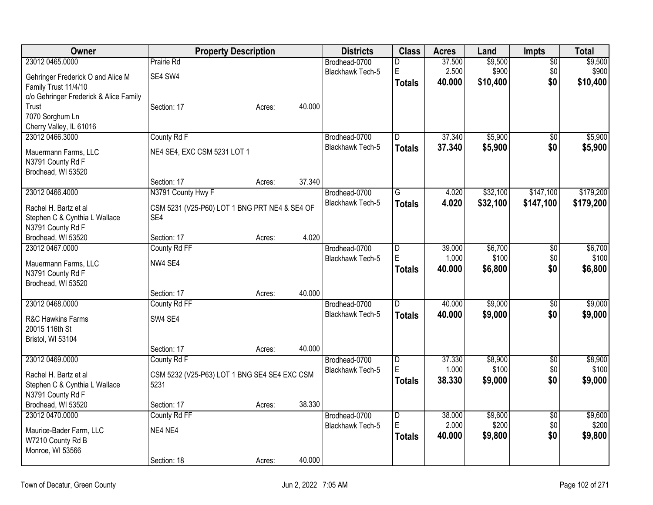| Owner                                  | <b>Property Description</b>                   |        |        | <b>Districts</b>        | <b>Class</b>            | <b>Acres</b> | Land     | Impts           | <b>Total</b> |
|----------------------------------------|-----------------------------------------------|--------|--------|-------------------------|-------------------------|--------------|----------|-----------------|--------------|
| 23012 0465.0000                        | Prairie Rd                                    |        |        | Brodhead-0700           | D                       | 37.500       | \$9,500  | \$0             | \$9,500      |
| Gehringer Frederick O and Alice M      | SE4 SW4                                       |        |        | Blackhawk Tech-5        | E                       | 2.500        | \$900    | \$0             | \$900        |
| Family Trust 11/4/10                   |                                               |        |        |                         | <b>Totals</b>           | 40,000       | \$10,400 | \$0             | \$10,400     |
| c/o Gehringer Frederick & Alice Family |                                               |        |        |                         |                         |              |          |                 |              |
| Trust                                  | Section: 17                                   | Acres: | 40.000 |                         |                         |              |          |                 |              |
| 7070 Sorghum Ln                        |                                               |        |        |                         |                         |              |          |                 |              |
| Cherry Valley, IL 61016                |                                               |        |        |                         |                         |              |          |                 |              |
| 23012 0466.3000                        | County Rd F                                   |        |        | Brodhead-0700           | D                       | 37.340       | \$5,900  | \$0             | \$5,900      |
| Mauermann Farms, LLC                   | NE4 SE4, EXC CSM 5231 LOT 1                   |        |        | <b>Blackhawk Tech-5</b> | <b>Totals</b>           | 37.340       | \$5,900  | \$0             | \$5,900      |
| N3791 County Rd F                      |                                               |        |        |                         |                         |              |          |                 |              |
| Brodhead, WI 53520                     |                                               |        |        |                         |                         |              |          |                 |              |
|                                        | Section: 17                                   | Acres: | 37.340 |                         |                         |              |          |                 |              |
| 23012 0466.4000                        | N3791 County Hwy F                            |        |        | Brodhead-0700           | G                       | 4.020        | \$32,100 | \$147,100       | \$179,200    |
| Rachel H. Bartz et al                  | CSM 5231 (V25-P60) LOT 1 BNG PRT NE4 & SE4 OF |        |        | Blackhawk Tech-5        | <b>Totals</b>           | 4.020        | \$32,100 | \$147,100       | \$179,200    |
| Stephen C & Cynthia L Wallace          | SE4                                           |        |        |                         |                         |              |          |                 |              |
| N3791 County Rd F                      |                                               |        |        |                         |                         |              |          |                 |              |
| Brodhead, WI 53520                     | Section: 17                                   | Acres: | 4.020  |                         |                         |              |          |                 |              |
| 23012 0467.0000                        | County Rd FF                                  |        |        | Brodhead-0700           | D                       | 39.000       | \$6,700  | \$0             | \$6,700      |
| Mauermann Farms, LLC                   | NW4 SE4                                       |        |        | Blackhawk Tech-5        | E                       | 1.000        | \$100    | $$0$$           | \$100        |
| N3791 County Rd F                      |                                               |        |        |                         | <b>Totals</b>           | 40.000       | \$6,800  | \$0             | \$6,800      |
| Brodhead, WI 53520                     |                                               |        |        |                         |                         |              |          |                 |              |
|                                        | Section: 17                                   | Acres: | 40.000 |                         |                         |              |          |                 |              |
| 23012 0468.0000                        | County Rd FF                                  |        |        | Brodhead-0700           | D                       | 40.000       | \$9,000  | $\overline{50}$ | \$9,000      |
| R&C Hawkins Farms                      | SW4 SE4                                       |        |        | Blackhawk Tech-5        | <b>Totals</b>           | 40.000       | \$9,000  | \$0             | \$9,000      |
| 20015 116th St                         |                                               |        |        |                         |                         |              |          |                 |              |
| Bristol, WI 53104                      |                                               |        |        |                         |                         |              |          |                 |              |
|                                        | Section: 17                                   | Acres: | 40.000 |                         |                         |              |          |                 |              |
| 23012 0469.0000                        | County Rd F                                   |        |        | Brodhead-0700           | D                       | 37.330       | \$8,900  | $\overline{50}$ | \$8,900      |
| Rachel H. Bartz et al                  | CSM 5232 (V25-P63) LOT 1 BNG SE4 SE4 EXC CSM  |        |        | Blackhawk Tech-5        | E                       | 1.000        | \$100    | \$0             | \$100        |
| Stephen C & Cynthia L Wallace          | 5231                                          |        |        |                         | <b>Totals</b>           | 38.330       | \$9,000  | \$0             | \$9,000      |
| N3791 County Rd F                      |                                               |        |        |                         |                         |              |          |                 |              |
| Brodhead, WI 53520                     | Section: 17                                   | Acres: | 38.330 |                         |                         |              |          |                 |              |
| 23012 0470.0000                        | County Rd FF                                  |        |        | Brodhead-0700           | $\overline{\mathsf{D}}$ | 38.000       | \$9,600  | $\sqrt{$0}$     | \$9,600      |
| Maurice-Bader Farm, LLC                | NE4 NE4                                       |        |        | <b>Blackhawk Tech-5</b> | E                       | 2.000        | \$200    | \$0             | \$200        |
| W7210 County Rd B                      |                                               |        |        |                         | <b>Totals</b>           | 40.000       | \$9,800  | \$0             | \$9,800      |
| Monroe, WI 53566                       |                                               |        |        |                         |                         |              |          |                 |              |
|                                        | Section: 18                                   | Acres: | 40.000 |                         |                         |              |          |                 |              |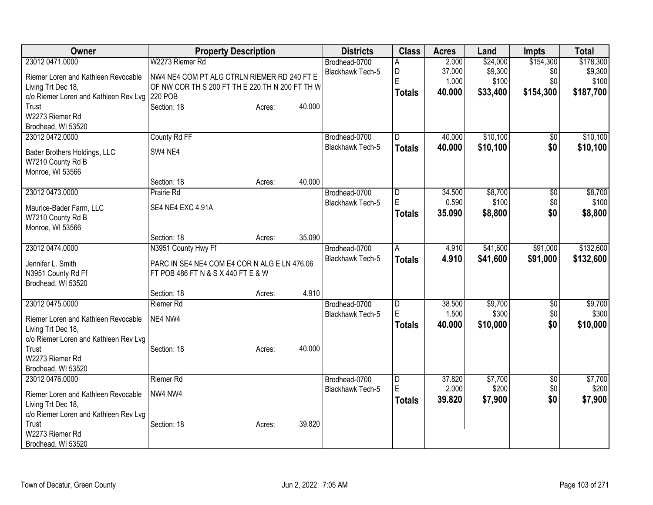| Owner                                 | <b>Property Description</b>                     |        |        | <b>Districts</b>                         | <b>Class</b>            | <b>Acres</b>    | Land             | <b>Impts</b>    | <b>Total</b>     |
|---------------------------------------|-------------------------------------------------|--------|--------|------------------------------------------|-------------------------|-----------------|------------------|-----------------|------------------|
| 23012 0471,0000                       | W2273 Riemer Rd                                 |        |        | Brodhead-0700                            | Α                       | 2.000           | \$24,000         | \$154,300       | \$178,300        |
| Riemer Loren and Kathleen Revocable   | NW4 NE4 COM PT ALG CTRLN RIEMER RD 240 FT E     |        |        | Blackhawk Tech-5                         | D                       | 37.000          | \$9,300          | \$0             | \$9,300          |
| Living Trt Dec 18,                    | OF NW COR TH S 200 FT TH E 220 TH N 200 FT TH W |        |        |                                          | E                       | 1.000           | \$100            | \$0             | \$100            |
| c/o Riemer Loren and Kathleen Rev Lvg | 220 POB                                         |        |        |                                          | <b>Totals</b>           | 40.000          | \$33,400         | \$154,300       | \$187,700        |
| Trust                                 | Section: 18                                     | Acres: | 40.000 |                                          |                         |                 |                  |                 |                  |
| W2273 Riemer Rd                       |                                                 |        |        |                                          |                         |                 |                  |                 |                  |
| Brodhead, WI 53520                    |                                                 |        |        |                                          |                         |                 |                  |                 |                  |
| 23012 0472.0000                       | County Rd FF                                    |        |        | Brodhead-0700                            | $\overline{\mathsf{D}}$ | 40.000          | \$10,100         | \$0             | \$10,100         |
| Bader Brothers Holdings, LLC          | SW4 NE4                                         |        |        | <b>Blackhawk Tech-5</b>                  | <b>Totals</b>           | 40.000          | \$10,100         | \$0             | \$10,100         |
| W7210 County Rd B                     |                                                 |        |        |                                          |                         |                 |                  |                 |                  |
| Monroe, WI 53566                      |                                                 |        |        |                                          |                         |                 |                  |                 |                  |
|                                       | Section: 18                                     | Acres: | 40.000 |                                          |                         |                 |                  |                 |                  |
| 23012 0473.0000                       | Prairie Rd                                      |        |        | Brodhead-0700                            | D                       | 34.500          | \$8,700          | \$0             | \$8,700          |
| Maurice-Bader Farm, LLC               | SE4 NE4 EXC 4.91A                               |        |        | Blackhawk Tech-5                         | E                       | 0.590           | \$100            | \$0             | \$100            |
| W7210 County Rd B                     |                                                 |        |        |                                          | <b>Totals</b>           | 35.090          | \$8,800          | \$0             | \$8,800          |
| Monroe, WI 53566                      |                                                 |        |        |                                          |                         |                 |                  |                 |                  |
|                                       | Section: 18                                     | Acres: | 35.090 |                                          |                         |                 |                  |                 |                  |
| 23012 0474.0000                       | N3951 County Hwy Ff                             |        |        | Brodhead-0700                            | A                       | 4.910           | \$41,600         | \$91,000        | \$132,600        |
|                                       |                                                 |        |        | Blackhawk Tech-5                         | <b>Totals</b>           | 4.910           | \$41,600         | \$91,000        | \$132,600        |
| Jennifer L. Smith                     | PARC IN SE4 NE4 COM E4 COR N ALG E LN 476.06    |        |        |                                          |                         |                 |                  |                 |                  |
| N3951 County Rd Ff                    | FT POB 486 FT N & S X 440 FT E & W              |        |        |                                          |                         |                 |                  |                 |                  |
| Brodhead, WI 53520                    |                                                 |        | 4.910  |                                          |                         |                 |                  |                 |                  |
| 23012 0475.0000                       | Section: 18                                     | Acres: |        |                                          |                         |                 |                  |                 |                  |
|                                       | <b>Riemer Rd</b>                                |        |        | Brodhead-0700<br><b>Blackhawk Tech-5</b> | D<br>E                  | 38.500<br>1.500 | \$9,700<br>\$300 | \$0<br>\$0      | \$9,700<br>\$300 |
| Riemer Loren and Kathleen Revocable   | NE4 NW4                                         |        |        |                                          |                         | 40.000          |                  | \$0             |                  |
| Living Trt Dec 18,                    |                                                 |        |        |                                          | <b>Totals</b>           |                 | \$10,000         |                 | \$10,000         |
| c/o Riemer Loren and Kathleen Rev Lvg |                                                 |        |        |                                          |                         |                 |                  |                 |                  |
| Trust                                 | Section: 18                                     | Acres: | 40.000 |                                          |                         |                 |                  |                 |                  |
| W2273 Riemer Rd                       |                                                 |        |        |                                          |                         |                 |                  |                 |                  |
| Brodhead, WI 53520                    |                                                 |        |        |                                          |                         |                 |                  |                 |                  |
| 23012 0476.0000                       | Riemer Rd                                       |        |        | Brodhead-0700                            | D                       | 37.820          | \$7,700          | $\overline{50}$ | \$7,700          |
| Riemer Loren and Kathleen Revocable   | NW4 NW4                                         |        |        | Blackhawk Tech-5                         | E                       | 2.000           | \$200            | \$0             | \$200            |
| Living Trt Dec 18,                    |                                                 |        |        |                                          | <b>Totals</b>           | 39.820          | \$7,900          | \$0             | \$7,900          |
| c/o Riemer Loren and Kathleen Rev Lvg |                                                 |        |        |                                          |                         |                 |                  |                 |                  |
| Trust                                 | Section: 18                                     | Acres: | 39.820 |                                          |                         |                 |                  |                 |                  |
| W2273 Riemer Rd                       |                                                 |        |        |                                          |                         |                 |                  |                 |                  |
| Brodhead, WI 53520                    |                                                 |        |        |                                          |                         |                 |                  |                 |                  |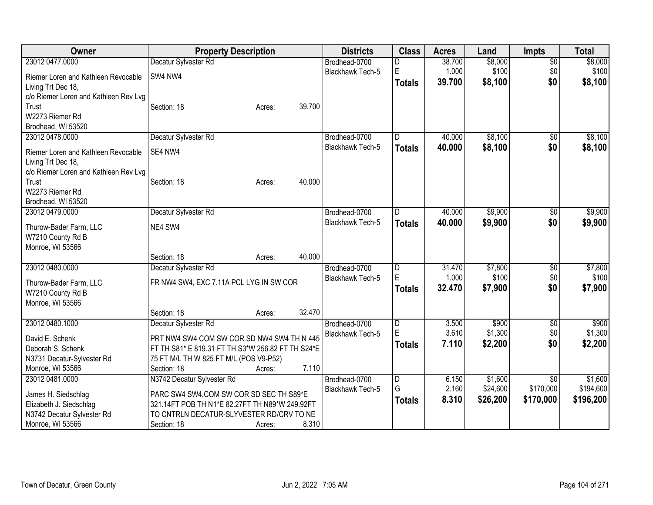| <b>Owner</b>                          | <b>Property Description</b>                       | <b>Districts</b>        | <b>Class</b>  | <b>Acres</b> | Land     | <b>Impts</b>    | <b>Total</b> |
|---------------------------------------|---------------------------------------------------|-------------------------|---------------|--------------|----------|-----------------|--------------|
| 23012 0477.0000                       | Decatur Sylvester Rd                              | Brodhead-0700           | D             | 38.700       | \$8,000  | $\overline{50}$ | \$8,000      |
| Riemer Loren and Kathleen Revocable   | SW4 NW4                                           | <b>Blackhawk Tech-5</b> | E             | 1.000        | \$100    | \$0             | \$100        |
| Living Trt Dec 18,                    |                                                   |                         | <b>Totals</b> | 39.700       | \$8,100  | \$0             | \$8,100      |
| c/o Riemer Loren and Kathleen Rev Lvg |                                                   |                         |               |              |          |                 |              |
| Trust                                 | 39.700<br>Section: 18<br>Acres:                   |                         |               |              |          |                 |              |
| W2273 Riemer Rd                       |                                                   |                         |               |              |          |                 |              |
| Brodhead, WI 53520                    |                                                   |                         |               |              |          |                 |              |
| 23012 0478.0000                       | Decatur Sylvester Rd                              | Brodhead-0700           | D             | 40.000       | \$8,100  | \$0             | \$8,100      |
| Riemer Loren and Kathleen Revocable   | SE4 NW4                                           | Blackhawk Tech-5        | <b>Totals</b> | 40.000       | \$8,100  | \$0             | \$8,100      |
| Living Trt Dec 18,                    |                                                   |                         |               |              |          |                 |              |
| c/o Riemer Loren and Kathleen Rev Lvg |                                                   |                         |               |              |          |                 |              |
| Trust                                 | 40.000<br>Section: 18<br>Acres:                   |                         |               |              |          |                 |              |
| W2273 Riemer Rd                       |                                                   |                         |               |              |          |                 |              |
| Brodhead, WI 53520                    |                                                   |                         |               |              |          |                 |              |
| 23012 0479.0000                       | Decatur Sylvester Rd                              | Brodhead-0700           | D.            | 40.000       | \$9,900  | $\overline{50}$ | \$9,900      |
| Thurow-Bader Farm, LLC                | NE4 SW4                                           | <b>Blackhawk Tech-5</b> | <b>Totals</b> | 40.000       | \$9,900  | \$0             | \$9,900      |
| W7210 County Rd B                     |                                                   |                         |               |              |          |                 |              |
| Monroe, WI 53566                      |                                                   |                         |               |              |          |                 |              |
|                                       | 40.000<br>Section: 18<br>Acres:                   |                         |               |              |          |                 |              |
| 23012 0480.0000                       | Decatur Sylvester Rd                              | Brodhead-0700           | D             | 31.470       | \$7,800  | \$0             | \$7,800      |
|                                       |                                                   | Blackhawk Tech-5        | E             | 1.000        | \$100    | \$0             | \$100        |
| Thurow-Bader Farm, LLC                | FR NW4 SW4, EXC 7.11A PCL LYG IN SW COR           |                         | <b>Totals</b> | 32.470       | \$7,900  | \$0             | \$7,900      |
| W7210 County Rd B                     |                                                   |                         |               |              |          |                 |              |
| Monroe, WI 53566                      | 32.470<br>Section: 18<br>Acres:                   |                         |               |              |          |                 |              |
| 23012 0480.1000                       | Decatur Sylvester Rd                              | Brodhead-0700           | D             | 3.500        | \$900    | \$0             | \$900        |
|                                       |                                                   | Blackhawk Tech-5        | E             | 3.610        | \$1,300  | \$0             | \$1,300      |
| David E. Schenk                       | PRT NW4 SW4 COM SW COR SD NW4 SW4 TH N 445        |                         | <b>Totals</b> | 7.110        | \$2,200  | \$0             | \$2,200      |
| Deborah S. Schenk                     | FT TH S81* E 819.31 FT TH S3*W 256.82 FT TH S24*E |                         |               |              |          |                 |              |
| N3731 Decatur-Sylvester Rd            | 75 FT M/L TH W 825 FT M/L (POS V9-P52)            |                         |               |              |          |                 |              |
| Monroe, WI 53566                      | 7.110<br>Section: 18<br>Acres:                    |                         |               |              |          |                 |              |
| 23012 0481.0000                       | N3742 Decatur Sylvester Rd                        | Brodhead-0700           | D             | 6.150        | \$1,600  | $\overline{50}$ | \$1,600      |
| James H. Siedschlag                   | PARC SW4 SW4, COM SW COR SD SEC TH S89*E          | <b>Blackhawk Tech-5</b> | G             | 2.160        | \$24,600 | \$170,000       | \$194,600    |
| Elizabeth J. Siedschlag               | 321.14FT POB TH N1*E 82.27FT TH N89*W 249.92FT    |                         | <b>Totals</b> | 8.310        | \$26,200 | \$170,000       | \$196,200    |
| N3742 Decatur Sylvester Rd            | TO CNTRLN DECATUR-SLYVESTER RD/CRV TO NE          |                         |               |              |          |                 |              |
| Monroe, WI 53566                      | 8.310<br>Section: 18<br>Acres:                    |                         |               |              |          |                 |              |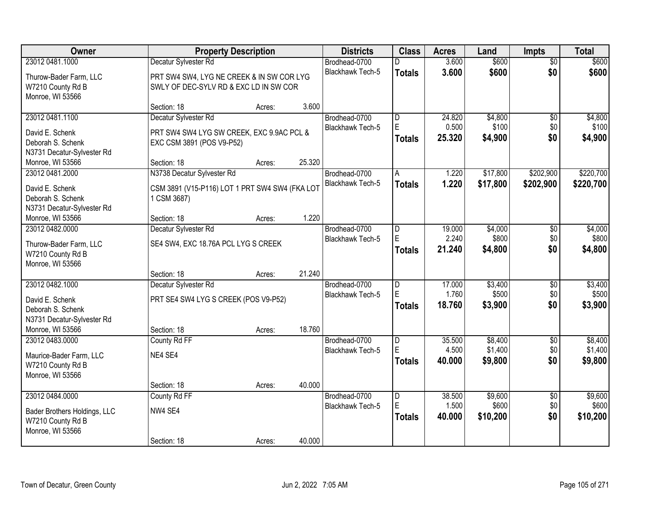| Owner                        |                                                | <b>Property Description</b> |        | <b>Districts</b>        | <b>Class</b>            | <b>Acres</b> | Land     | Impts           | <b>Total</b> |
|------------------------------|------------------------------------------------|-----------------------------|--------|-------------------------|-------------------------|--------------|----------|-----------------|--------------|
| 23012 0481.1000              | Decatur Sylvester Rd                           |                             |        | Brodhead-0700           | D                       | 3.600        | \$600    | $\overline{50}$ | \$600        |
| Thurow-Bader Farm, LLC       | PRT SW4 SW4, LYG NE CREEK & IN SW COR LYG      |                             |        | Blackhawk Tech-5        | <b>Totals</b>           | 3.600        | \$600    | \$0             | \$600        |
| W7210 County Rd B            | SWLY OF DEC-SYLV RD & EXC LD IN SW COR         |                             |        |                         |                         |              |          |                 |              |
| Monroe, WI 53566             |                                                |                             |        |                         |                         |              |          |                 |              |
|                              | Section: 18                                    | Acres:                      | 3.600  |                         |                         |              |          |                 |              |
| 23012 0481.1100              | Decatur Sylvester Rd                           |                             |        | Brodhead-0700           | $\overline{\mathsf{D}}$ | 24.820       | \$4,800  | $\overline{50}$ | \$4,800      |
| David E. Schenk              | PRT SW4 SW4 LYG SW CREEK, EXC 9.9AC PCL &      |                             |        | Blackhawk Tech-5        | E                       | 0.500        | \$100    | \$0             | \$100        |
| Deborah S. Schenk            | EXC CSM 3891 (POS V9-P52)                      |                             |        |                         | <b>Totals</b>           | 25.320       | \$4,900  | \$0             | \$4,900      |
| N3731 Decatur-Sylvester Rd   |                                                |                             |        |                         |                         |              |          |                 |              |
| Monroe, WI 53566             | Section: 18                                    | Acres:                      | 25.320 |                         |                         |              |          |                 |              |
| 23012 0481.2000              | N3738 Decatur Sylvester Rd                     |                             |        | Brodhead-0700           | A                       | 1.220        | \$17,800 | \$202,900       | \$220,700    |
| David E. Schenk              | CSM 3891 (V15-P116) LOT 1 PRT SW4 SW4 (FKA LOT |                             |        | Blackhawk Tech-5        | <b>Totals</b>           | 1.220        | \$17,800 | \$202,900       | \$220,700    |
| Deborah S. Schenk            | 1 CSM 3687)                                    |                             |        |                         |                         |              |          |                 |              |
| N3731 Decatur-Sylvester Rd   |                                                |                             |        |                         |                         |              |          |                 |              |
| Monroe, WI 53566             | Section: 18                                    | Acres:                      | 1.220  |                         |                         |              |          |                 |              |
| 23012 0482.0000              | Decatur Sylvester Rd                           |                             |        | Brodhead-0700           | D                       | 19.000       | \$4,000  | \$0             | \$4,000      |
| Thurow-Bader Farm, LLC       | SE4 SW4, EXC 18.76A PCL LYG S CREEK            |                             |        | <b>Blackhawk Tech-5</b> | E                       | 2.240        | \$800    | \$0             | \$800        |
| W7210 County Rd B            |                                                |                             |        |                         | <b>Totals</b>           | 21.240       | \$4,800  | \$0             | \$4,800      |
| Monroe, WI 53566             |                                                |                             |        |                         |                         |              |          |                 |              |
|                              | Section: 18                                    | Acres:                      | 21.240 |                         |                         |              |          |                 |              |
| 23012 0482.1000              | Decatur Sylvester Rd                           |                             |        | Brodhead-0700           | $\overline{\mathsf{D}}$ | 17.000       | \$3,400  | $\overline{50}$ | \$3,400      |
| David E. Schenk              | PRT SE4 SW4 LYG S CREEK (POS V9-P52)           |                             |        | Blackhawk Tech-5        | E                       | 1.760        | \$500    | \$0             | \$500        |
| Deborah S. Schenk            |                                                |                             |        |                         | <b>Totals</b>           | 18.760       | \$3,900  | \$0             | \$3,900      |
| N3731 Decatur-Sylvester Rd   |                                                |                             |        |                         |                         |              |          |                 |              |
| Monroe, WI 53566             | Section: 18                                    | Acres:                      | 18.760 |                         |                         |              |          |                 |              |
| 23012 0483.0000              | County Rd FF                                   |                             |        | Brodhead-0700           | D                       | 35.500       | \$8,400  | $\overline{50}$ | \$8,400      |
| Maurice-Bader Farm, LLC      | NE4 SE4                                        |                             |        | Blackhawk Tech-5        | E                       | 4.500        | \$1,400  | \$0             | \$1,400      |
| W7210 County Rd B            |                                                |                             |        |                         | <b>Totals</b>           | 40.000       | \$9,800  | \$0             | \$9,800      |
| Monroe, WI 53566             |                                                |                             |        |                         |                         |              |          |                 |              |
|                              | Section: 18                                    | Acres:                      | 40.000 |                         |                         |              |          |                 |              |
| 23012 0484.0000              | County Rd FF                                   |                             |        | Brodhead-0700           | $\overline{D}$          | 38,500       | \$9,600  | $\overline{50}$ | \$9,600      |
| Bader Brothers Holdings, LLC | NW4 SE4                                        |                             |        | Blackhawk Tech-5        | E                       | 1.500        | \$600    | \$0             | \$600        |
| W7210 County Rd B            |                                                |                             |        |                         | <b>Totals</b>           | 40.000       | \$10,200 | \$0             | \$10,200     |
| Monroe, WI 53566             |                                                |                             |        |                         |                         |              |          |                 |              |
|                              | Section: 18                                    | Acres:                      | 40.000 |                         |                         |              |          |                 |              |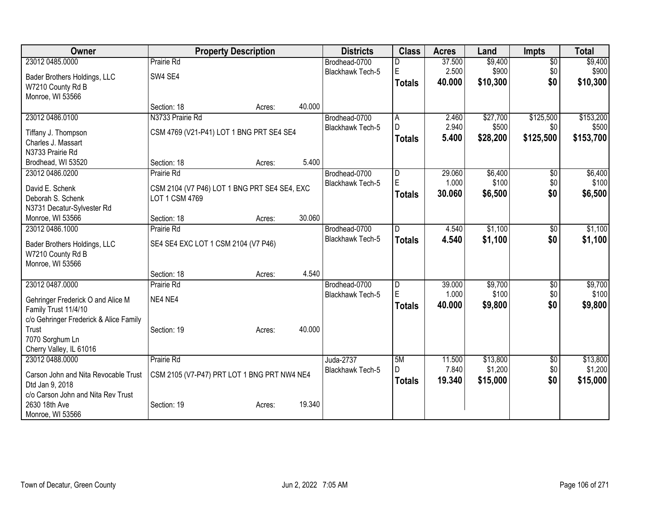| <b>Owner</b>                           |                                              | <b>Property Description</b> |        | <b>Districts</b>        | <b>Class</b>  | <b>Acres</b> | Land     | <b>Impts</b>    | <b>Total</b> |
|----------------------------------------|----------------------------------------------|-----------------------------|--------|-------------------------|---------------|--------------|----------|-----------------|--------------|
| 23012 0485.0000                        | <b>Prairie Rd</b>                            |                             |        | Brodhead-0700           |               | 37.500       | \$9,400  | $\overline{50}$ | \$9,400      |
| Bader Brothers Holdings, LLC           | SW4 SE4                                      |                             |        | <b>Blackhawk Tech-5</b> | E             | 2.500        | \$900    | \$0             | \$900        |
| W7210 County Rd B                      |                                              |                             |        |                         | Totals        | 40.000       | \$10,300 | \$0             | \$10,300     |
| Monroe, WI 53566                       |                                              |                             |        |                         |               |              |          |                 |              |
|                                        | Section: 18                                  | Acres:                      | 40.000 |                         |               |              |          |                 |              |
| 23012 0486.0100                        | N3733 Prairie Rd                             |                             |        | Brodhead-0700           | A             | 2.460        | \$27,700 | \$125,500       | \$153,200    |
| Tiffany J. Thompson                    | CSM 4769 (V21-P41) LOT 1 BNG PRT SE4 SE4     |                             |        | Blackhawk Tech-5        | $\mathsf{D}$  | 2.940        | \$500    | \$0             | \$500        |
| Charles J. Massart                     |                                              |                             |        |                         | <b>Totals</b> | 5.400        | \$28,200 | \$125,500       | \$153,700    |
| N3733 Prairie Rd                       |                                              |                             |        |                         |               |              |          |                 |              |
| Brodhead, WI 53520                     | Section: 18                                  | Acres:                      | 5.400  |                         |               |              |          |                 |              |
| 23012 0486.0200                        | Prairie Rd                                   |                             |        | Brodhead-0700           | l D           | 29.060       | \$6,400  | \$0             | \$6,400      |
| David E. Schenk                        | CSM 2104 (V7 P46) LOT 1 BNG PRT SE4 SE4, EXC |                             |        | <b>Blackhawk Tech-5</b> | $\mathsf E$   | 1.000        | \$100    | \$0             | \$100        |
| Deborah S. Schenk                      | LOT 1 CSM 4769                               |                             |        |                         | <b>Totals</b> | 30.060       | \$6,500  | \$0             | \$6,500      |
| N3731 Decatur-Sylvester Rd             |                                              |                             |        |                         |               |              |          |                 |              |
| Monroe, WI 53566                       | Section: 18                                  | Acres:                      | 30.060 |                         |               |              |          |                 |              |
| 23012 0486.1000                        | <b>Prairie Rd</b>                            |                             |        | Brodhead-0700           | D             | 4.540        | \$1,100  | \$0             | \$1,100      |
| Bader Brothers Holdings, LLC           | SE4 SE4 EXC LOT 1 CSM 2104 (V7 P46)          |                             |        | Blackhawk Tech-5        | <b>Totals</b> | 4.540        | \$1,100  | \$0             | \$1,100      |
| W7210 County Rd B                      |                                              |                             |        |                         |               |              |          |                 |              |
| Monroe, WI 53566                       |                                              |                             |        |                         |               |              |          |                 |              |
|                                        | Section: 18                                  | Acres:                      | 4.540  |                         |               |              |          |                 |              |
| 23012 0487.0000                        | Prairie Rd                                   |                             |        | Brodhead-0700           | D             | 39.000       | \$9,700  | \$0             | \$9,700      |
| Gehringer Frederick O and Alice M      | NE4 NE4                                      |                             |        | Blackhawk Tech-5        | E             | 1.000        | \$100    | \$0             | \$100        |
| Family Trust 11/4/10                   |                                              |                             |        |                         | <b>Totals</b> | 40.000       | \$9,800  | \$0             | \$9,800      |
| c/o Gehringer Frederick & Alice Family |                                              |                             |        |                         |               |              |          |                 |              |
| Trust                                  | Section: 19                                  | Acres:                      | 40.000 |                         |               |              |          |                 |              |
| 7070 Sorghum Ln                        |                                              |                             |        |                         |               |              |          |                 |              |
| Cherry Valley, IL 61016                |                                              |                             |        |                         |               |              |          |                 |              |
| 23012 0488,0000                        | Prairie Rd                                   |                             |        | Juda-2737               | 5M            | 11.500       | \$13,800 | $\sqrt{6}$      | \$13,800     |
| Carson John and Nita Revocable Trust   | CSM 2105 (V7-P47) PRT LOT 1 BNG PRT NW4 NE4  |                             |        | <b>Blackhawk Tech-5</b> | D             | 7.840        | \$1,200  | \$0             | \$1,200      |
| Dtd Jan 9, 2018                        |                                              |                             |        |                         | <b>Totals</b> | 19.340       | \$15,000 | \$0             | \$15,000     |
| c/o Carson John and Nita Rev Trust     |                                              |                             |        |                         |               |              |          |                 |              |
| 2630 18th Ave                          | Section: 19                                  | Acres:                      | 19.340 |                         |               |              |          |                 |              |
| Monroe, WI 53566                       |                                              |                             |        |                         |               |              |          |                 |              |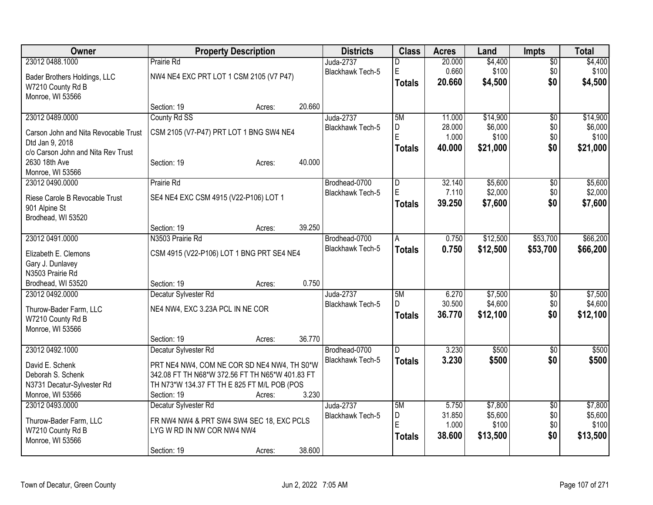| Owner                                | <b>Property Description</b>                     |        |        | <b>Districts</b>        | <b>Class</b>   | <b>Acres</b> | Land     | <b>Impts</b>    | <b>Total</b> |
|--------------------------------------|-------------------------------------------------|--------|--------|-------------------------|----------------|--------------|----------|-----------------|--------------|
| 23012 0488.1000                      | Prairie Rd                                      |        |        | Juda-2737               | D              | 20.000       | \$4,400  | $\overline{50}$ | \$4,400      |
| Bader Brothers Holdings, LLC         | NW4 NE4 EXC PRT LOT 1 CSM 2105 (V7 P47)         |        |        | Blackhawk Tech-5        | $\mathsf E$    | 0.660        | \$100    | \$0             | \$100        |
| W7210 County Rd B                    |                                                 |        |        |                         | <b>Totals</b>  | 20.660       | \$4,500  | \$0             | \$4,500      |
| Monroe, WI 53566                     |                                                 |        |        |                         |                |              |          |                 |              |
|                                      | Section: 19                                     | Acres: | 20.660 |                         |                |              |          |                 |              |
| 23012 0489.0000                      | County Rd SS                                    |        |        | Juda-2737               | 5M             | 11.000       | \$14,900 | $\overline{50}$ | \$14,900     |
| Carson John and Nita Revocable Trust | CSM 2105 (V7-P47) PRT LOT 1 BNG SW4 NE4         |        |        | Blackhawk Tech-5        | D              | 28.000       | \$6,000  | \$0             | \$6,000      |
| Dtd Jan 9, 2018                      |                                                 |        |        |                         | $\overline{E}$ | 1.000        | \$100    | \$0             | \$100        |
| c/o Carson John and Nita Rev Trust   |                                                 |        |        |                         | Totals         | 40.000       | \$21,000 | \$0             | \$21,000     |
| 2630 18th Ave                        | Section: 19                                     | Acres: | 40.000 |                         |                |              |          |                 |              |
| Monroe, WI 53566                     |                                                 |        |        |                         |                |              |          |                 |              |
| 23012 0490.0000                      | Prairie Rd                                      |        |        | Brodhead-0700           | D              | 32.140       | \$5,600  | \$0             | \$5,600      |
| Riese Carole B Revocable Trust       | SE4 NE4 EXC CSM 4915 (V22-P106) LOT 1           |        |        | Blackhawk Tech-5        | E              | 7.110        | \$2,000  | \$0             | \$2,000      |
| 901 Alpine St                        |                                                 |        |        |                         | <b>Totals</b>  | 39.250       | \$7,600  | \$0             | \$7,600      |
| Brodhead, WI 53520                   |                                                 |        |        |                         |                |              |          |                 |              |
|                                      | Section: 19                                     | Acres: | 39.250 |                         |                |              |          |                 |              |
| 23012 0491.0000                      | N3503 Prairie Rd                                |        |        | Brodhead-0700           | A              | 0.750        | \$12,500 | \$53,700        | \$66,200     |
|                                      |                                                 |        |        | Blackhawk Tech-5        | <b>Totals</b>  | 0.750        | \$12,500 | \$53,700        | \$66,200     |
| Elizabeth E. Clemons                 | CSM 4915 (V22-P106) LOT 1 BNG PRT SE4 NE4       |        |        |                         |                |              |          |                 |              |
| Gary J. Dunlavey<br>N3503 Prairie Rd |                                                 |        |        |                         |                |              |          |                 |              |
| Brodhead, WI 53520                   | Section: 19                                     | Acres: | 0.750  |                         |                |              |          |                 |              |
| 23012 0492.0000                      | Decatur Sylvester Rd                            |        |        | Juda-2737               | 5M             | 6.270        | \$7,500  | \$0             | \$7,500      |
|                                      |                                                 |        |        | <b>Blackhawk Tech-5</b> | D.             | 30.500       | \$4,600  | \$0             | \$4,600      |
| Thurow-Bader Farm, LLC               | NE4 NW4, EXC 3.23A PCL IN NE COR                |        |        |                         | <b>Totals</b>  | 36.770       | \$12,100 | \$0             | \$12,100     |
| W7210 County Rd B                    |                                                 |        |        |                         |                |              |          |                 |              |
| Monroe, WI 53566                     |                                                 |        |        |                         |                |              |          |                 |              |
|                                      | Section: 19                                     | Acres: | 36.770 |                         |                |              |          |                 |              |
| 23012 0492.1000                      | Decatur Sylvester Rd                            |        |        | Brodhead-0700           | D.             | 3.230        | \$500    | $\overline{50}$ | \$500        |
| David E. Schenk                      | PRT NE4 NW4, COM NE COR SD NE4 NW4, TH S0*W     |        |        | <b>Blackhawk Tech-5</b> | <b>Totals</b>  | 3.230        | \$500    | \$0             | \$500        |
| Deborah S. Schenk                    | 342.08 FT TH N68*W 372.56 FT TH N65*W 401.83 FT |        |        |                         |                |              |          |                 |              |
| N3731 Decatur-Sylvester Rd           | TH N73*W 134.37 FT TH E 825 FT M/L POB (POS     |        |        |                         |                |              |          |                 |              |
| Monroe, WI 53566                     | Section: 19                                     | Acres: | 3.230  |                         |                |              |          |                 |              |
| 23012 0493.0000                      | Decatur Sylvester Rd                            |        |        | Juda-2737               | 5M             | 5.750        | \$7,800  | $\overline{50}$ | \$7,800      |
| Thurow-Bader Farm, LLC               | FR NW4 NW4 & PRT SW4 SW4 SEC 18, EXC PCLS       |        |        | Blackhawk Tech-5        | D              | 31.850       | \$5,600  | \$0             | \$5,600      |
| W7210 County Rd B                    | LYG W RD IN NW COR NW4 NW4                      |        |        |                         | E              | 1.000        | \$100    | \$0             | \$100        |
| Monroe, WI 53566                     |                                                 |        |        |                         | Totals         | 38.600       | \$13,500 | \$0             | \$13,500     |
|                                      | Section: 19                                     | Acres: | 38.600 |                         |                |              |          |                 |              |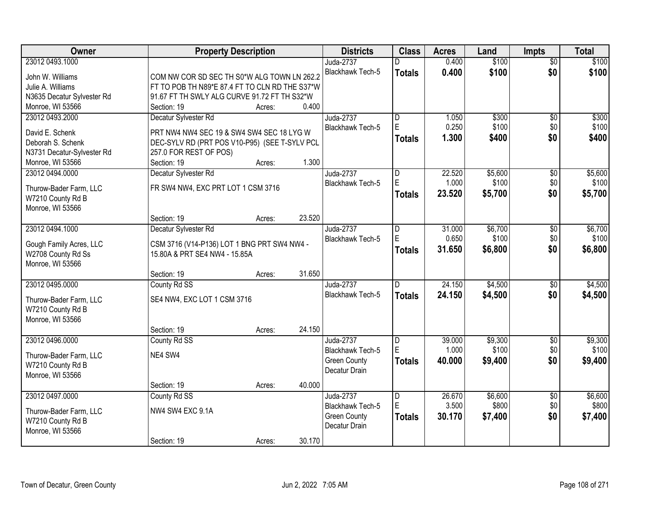| <b>Owner</b>               | <b>Property Description</b>                    |        |        | <b>Districts</b>        | <b>Class</b>            | <b>Acres</b> | Land    | <b>Impts</b>    | <b>Total</b> |
|----------------------------|------------------------------------------------|--------|--------|-------------------------|-------------------------|--------------|---------|-----------------|--------------|
| 23012 0493.1000            |                                                |        |        | Juda-2737               |                         | 0.400        | \$100   | $\overline{50}$ | \$100        |
| John W. Williams           | COM NW COR SD SEC TH S0*W ALG TOWN LN 262.2    |        |        | Blackhawk Tech-5        | <b>Totals</b>           | 0.400        | \$100   | \$0             | \$100        |
| Julie A. Williams          | FT TO POB TH N89*E 87.4 FT TO CLN RD THE S37*W |        |        |                         |                         |              |         |                 |              |
| N3635 Decatur Sylvester Rd | 91.67 FT TH SWLY ALG CURVE 91.72 FT TH S32*W   |        |        |                         |                         |              |         |                 |              |
| Monroe, WI 53566           | Section: 19                                    | Acres: | 0.400  |                         |                         |              |         |                 |              |
| 23012 0493.2000            | Decatur Sylvester Rd                           |        |        | Juda-2737               | $\overline{\mathsf{D}}$ | 1.050        | \$300   | $\overline{50}$ | \$300        |
|                            |                                                |        |        | <b>Blackhawk Tech-5</b> | E.                      | 0.250        | \$100   | \$0             | \$100        |
| David E. Schenk            | PRT NW4 NW4 SEC 19 & SW4 SW4 SEC 18 LYG W      |        |        |                         | <b>Totals</b>           | 1.300        | \$400   | \$0             | \$400        |
| Deborah S. Schenk          | DEC-SYLV RD (PRT POS V10-P95) (SEE T-SYLV PCL  |        |        |                         |                         |              |         |                 |              |
| N3731 Decatur-Sylvester Rd | 257.0 FOR REST OF POS)                         |        |        |                         |                         |              |         |                 |              |
| Monroe, WI 53566           | Section: 19                                    | Acres: | 1.300  |                         |                         |              |         |                 |              |
| 23012 0494.0000            | Decatur Sylvester Rd                           |        |        | <b>Juda-2737</b>        | D<br>E.                 | 22.520       | \$5,600 | $\overline{50}$ | \$5,600      |
| Thurow-Bader Farm, LLC     | FR SW4 NW4, EXC PRT LOT 1 CSM 3716             |        |        | Blackhawk Tech-5        |                         | 1.000        | \$100   | \$0             | \$100        |
| W7210 County Rd B          |                                                |        |        |                         | <b>Totals</b>           | 23.520       | \$5,700 | \$0             | \$5,700      |
| Monroe, WI 53566           |                                                |        |        |                         |                         |              |         |                 |              |
|                            | Section: 19                                    | Acres: | 23.520 |                         |                         |              |         |                 |              |
| 23012 0494.1000            | Decatur Sylvester Rd                           |        |        | <b>Juda-2737</b>        | D                       | 31.000       | \$6,700 | \$0             | \$6,700      |
|                            |                                                |        |        | Blackhawk Tech-5        | E                       | 0.650        | \$100   | \$0             | \$100        |
| Gough Family Acres, LLC    | CSM 3716 (V14-P136) LOT 1 BNG PRT SW4 NW4 -    |        |        |                         | <b>Totals</b>           | 31.650       | \$6,800 | \$0             | \$6,800      |
| W2708 County Rd Ss         | 15.80A & PRT SE4 NW4 - 15.85A                  |        |        |                         |                         |              |         |                 |              |
| Monroe, WI 53566           |                                                |        | 31.650 |                         |                         |              |         |                 |              |
| 23012 0495.0000            | Section: 19                                    | Acres: |        |                         | $\overline{D}$          | 24.150       | \$4,500 | $\overline{50}$ | \$4,500      |
|                            | County Rd SS                                   |        |        | Juda-2737               |                         |              |         |                 |              |
| Thurow-Bader Farm, LLC     | SE4 NW4, EXC LOT 1 CSM 3716                    |        |        | <b>Blackhawk Tech-5</b> | <b>Totals</b>           | 24.150       | \$4,500 | \$0             | \$4,500      |
| W7210 County Rd B          |                                                |        |        |                         |                         |              |         |                 |              |
| Monroe, WI 53566           |                                                |        |        |                         |                         |              |         |                 |              |
|                            | Section: 19                                    | Acres: | 24.150 |                         |                         |              |         |                 |              |
| 23012 0496,0000            | County Rd SS                                   |        |        | Juda-2737               | D                       | 39.000       | \$9,300 | $\sqrt{$0}$     | \$9,300      |
| Thurow-Bader Farm, LLC     | NE4 SW4                                        |        |        | Blackhawk Tech-5        | E                       | 1.000        | \$100   | \$0             | \$100        |
| W7210 County Rd B          |                                                |        |        | <b>Green County</b>     | <b>Totals</b>           | 40.000       | \$9,400 | \$0             | \$9,400      |
| Monroe, WI 53566           |                                                |        |        | Decatur Drain           |                         |              |         |                 |              |
|                            | Section: 19                                    | Acres: | 40.000 |                         |                         |              |         |                 |              |
| 23012 0497.0000            | County Rd SS                                   |        |        | Juda-2737               | $\overline{D}$          | 26.670       | \$6,600 | $\overline{30}$ | \$6,600      |
|                            |                                                |        |        | Blackhawk Tech-5        | E                       | 3.500        | \$800   | \$0             | \$800        |
| Thurow-Bader Farm, LLC     | NW4 SW4 EXC 9.1A                               |        |        | <b>Green County</b>     |                         | 30.170       |         | \$0             |              |
| W7210 County Rd B          |                                                |        |        | Decatur Drain           | <b>Totals</b>           |              | \$7,400 |                 | \$7,400      |
| Monroe, WI 53566           |                                                |        |        |                         |                         |              |         |                 |              |
|                            | Section: 19                                    | Acres: | 30.170 |                         |                         |              |         |                 |              |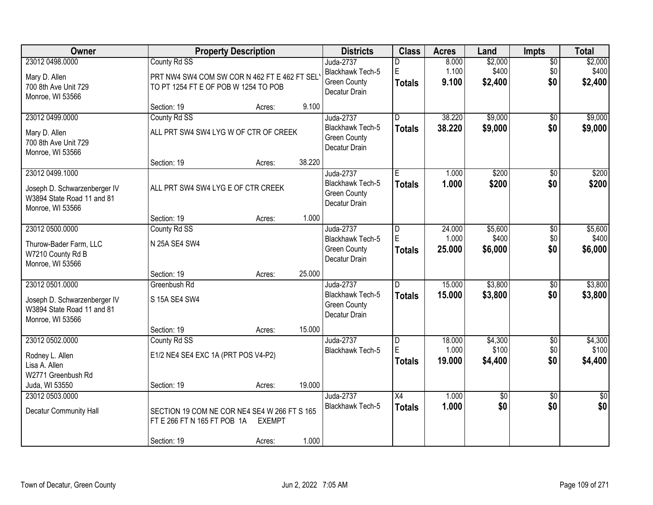| Owner                                                                                             | <b>Property Description</b>                                                                          |                         |        | <b>Districts</b>                                                             | <b>Class</b>                                  | <b>Acres</b>              | Land                        | <b>Impts</b>                  | <b>Total</b>                |
|---------------------------------------------------------------------------------------------------|------------------------------------------------------------------------------------------------------|-------------------------|--------|------------------------------------------------------------------------------|-----------------------------------------------|---------------------------|-----------------------------|-------------------------------|-----------------------------|
| 23012 0498.0000<br>Mary D. Allen<br>700 8th Ave Unit 729<br>Monroe, WI 53566                      | County Rd SS<br>PRT NW4 SW4 COM SW COR N 462 FT E 462 FT SEL<br>TO PT 1254 FT E OF POB W 1254 TO POB |                         |        | Juda-2737<br>Blackhawk Tech-5<br><b>Green County</b><br>Decatur Drain        | E<br><b>Totals</b>                            | 8.000<br>1.100<br>9.100   | \$2,000<br>\$400<br>\$2,400 | $\overline{50}$<br>\$0<br>\$0 | \$2,000<br>\$400<br>\$2,400 |
|                                                                                                   | Section: 19                                                                                          | Acres:                  | 9.100  |                                                                              |                                               |                           |                             |                               |                             |
| 23012 0499.0000<br>Mary D. Allen<br>700 8th Ave Unit 729<br>Monroe, WI 53566                      | County Rd SS<br>ALL PRT SW4 SW4 LYG W OF CTR OF CREEK                                                |                         |        | Juda-2737<br><b>Blackhawk Tech-5</b><br><b>Green County</b><br>Decatur Drain | $\overline{D}$<br><b>Totals</b>               | 38.220<br>38.220          | \$9,000<br>\$9,000          | $\overline{50}$<br>\$0        | \$9,000<br>\$9,000          |
|                                                                                                   | Section: 19                                                                                          | Acres:                  | 38.220 |                                                                              |                                               |                           |                             |                               |                             |
| 23012 0499.1000<br>Joseph D. Schwarzenberger IV<br>W3894 State Road 11 and 81<br>Monroe, WI 53566 | ALL PRT SW4 SW4 LYG E OF CTR CREEK                                                                   |                         |        | <b>Juda-2737</b><br>Blackhawk Tech-5<br><b>Green County</b><br>Decatur Drain | E.<br><b>Totals</b>                           | 1.000<br>1.000            | \$200<br>\$200              | $\overline{50}$<br>\$0        | \$200<br>\$200              |
|                                                                                                   | Section: 19                                                                                          | Acres:                  | 1.000  |                                                                              |                                               |                           |                             |                               |                             |
| 23012 0500.0000<br>Thurow-Bader Farm, LLC<br>W7210 County Rd B<br>Monroe, WI 53566                | County Rd SS<br>N 25A SE4 SW4                                                                        |                         |        | Juda-2737<br>Blackhawk Tech-5<br><b>Green County</b><br>Decatur Drain        | D<br>E<br><b>Totals</b>                       | 24.000<br>1.000<br>25.000 | \$5,600<br>\$400<br>\$6,000 | \$0<br>\$0<br>\$0             | \$5,600<br>\$400<br>\$6,000 |
|                                                                                                   | Section: 19                                                                                          | Acres:                  | 25.000 |                                                                              |                                               |                           |                             |                               |                             |
| 23012 0501.0000<br>Joseph D. Schwarzenberger IV<br>W3894 State Road 11 and 81<br>Monroe, WI 53566 | Greenbush Rd<br>S 15A SE4 SW4                                                                        |                         |        | Juda-2737<br><b>Blackhawk Tech-5</b><br><b>Green County</b><br>Decatur Drain | $\overline{D}$<br><b>Totals</b>               | 15,000<br>15.000          | \$3,800<br>\$3,800          | \$0<br>\$0                    | \$3,800<br>\$3,800          |
|                                                                                                   | Section: 19                                                                                          | Acres:                  | 15.000 |                                                                              |                                               |                           |                             |                               |                             |
| 23012 0502.0000<br>Rodney L. Allen<br>Lisa A. Allen<br>W2771 Greenbush Rd                         | County Rd SS<br>E1/2 NE4 SE4 EXC 1A (PRT POS V4-P2)                                                  |                         |        | <b>Juda-2737</b><br>Blackhawk Tech-5                                         | $\overline{\mathsf{D}}$<br>E<br><b>Totals</b> | 18.000<br>1.000<br>19.000 | \$4,300<br>\$100<br>\$4,400 | $\overline{60}$<br>\$0<br>\$0 | \$4,300<br>\$100<br>\$4,400 |
| Juda, WI 53550                                                                                    | Section: 19                                                                                          | Acres:                  | 19.000 |                                                                              |                                               |                           |                             |                               |                             |
| 23012 0503.0000<br><b>Decatur Community Hall</b>                                                  | SECTION 19 COM NE COR NE4 SE4 W 266 FT S 165<br>FT E 266 FT N 165 FT POB 1A<br>Section: 19           | <b>EXEMPT</b><br>Acres: | 1.000  | <b>Juda-2737</b><br><b>Blackhawk Tech-5</b>                                  | $\overline{X4}$<br><b>Totals</b>              | 1.000<br>1.000            | $\overline{50}$<br>\$0      | $\overline{50}$<br>\$0        | $\overline{50}$<br>\$0      |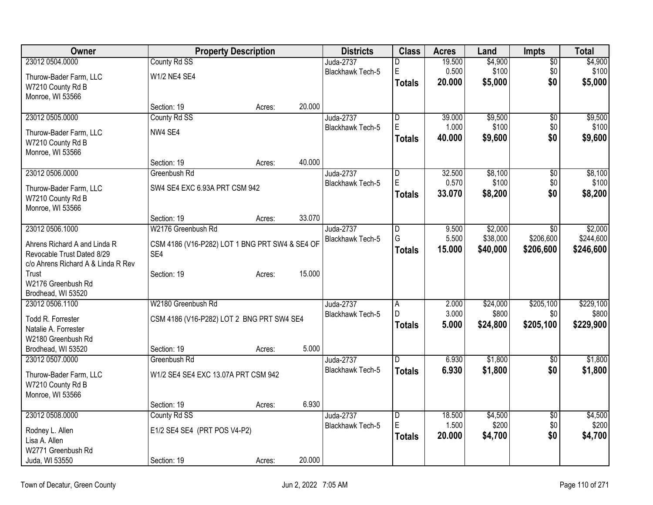| Owner                                       |                                                | <b>Property Description</b> |        | <b>Districts</b>                     | <b>Class</b>            | <b>Acres</b>    | Land             | <b>Impts</b>    | Total            |
|---------------------------------------------|------------------------------------------------|-----------------------------|--------|--------------------------------------|-------------------------|-----------------|------------------|-----------------|------------------|
| 23012 0504.0000                             | County Rd SS                                   |                             |        | Juda-2737                            | D                       | 19.500          | \$4,900          | $\overline{50}$ | \$4,900          |
| Thurow-Bader Farm, LLC                      | <b>W1/2 NE4 SE4</b>                            |                             |        | <b>Blackhawk Tech-5</b>              | E                       | 0.500           | \$100            | \$0             | \$100            |
| W7210 County Rd B                           |                                                |                             |        |                                      | <b>Totals</b>           | 20,000          | \$5,000          | \$0             | \$5,000          |
| Monroe, WI 53566                            |                                                |                             |        |                                      |                         |                 |                  |                 |                  |
|                                             | Section: 19                                    | Acres:                      | 20.000 |                                      |                         |                 |                  |                 |                  |
| 23012 0505.0000                             | County Rd SS                                   |                             |        | Juda-2737                            | $\overline{\mathsf{D}}$ | 39.000          | \$9,500          | \$0             | \$9,500          |
| Thurow-Bader Farm, LLC                      | NW4 SE4                                        |                             |        | <b>Blackhawk Tech-5</b>              | E                       | 1.000           | \$100            | \$0             | \$100            |
| W7210 County Rd B                           |                                                |                             |        |                                      | <b>Totals</b>           | 40.000          | \$9,600          | \$0             | \$9,600          |
| Monroe, WI 53566                            |                                                |                             |        |                                      |                         |                 |                  |                 |                  |
|                                             | Section: 19                                    | Acres:                      | 40.000 |                                      |                         |                 |                  |                 |                  |
| 23012 0506.0000                             | Greenbush Rd                                   |                             |        | <b>Juda-2737</b><br>Blackhawk Tech-5 | D<br>E                  | 32.500<br>0.570 | \$8,100<br>\$100 | \$0<br>\$0      | \$8,100<br>\$100 |
| Thurow-Bader Farm, LLC                      | SW4 SE4 EXC 6.93A PRT CSM 942                  |                             |        |                                      | <b>Totals</b>           | 33.070          | \$8,200          | \$0             | \$8,200          |
| W7210 County Rd B                           |                                                |                             |        |                                      |                         |                 |                  |                 |                  |
| Monroe, WI 53566                            |                                                |                             |        |                                      |                         |                 |                  |                 |                  |
| 23012 0506.1000                             | Section: 19<br>W2176 Greenbush Rd              | Acres:                      | 33.070 | Juda-2737                            | $\overline{\mathsf{D}}$ | 9.500           | \$2,000          | $\overline{30}$ | \$2,000          |
|                                             |                                                |                             |        | Blackhawk Tech-5                     | G                       | 5.500           | \$38,000         | \$206,600       | \$244,600        |
| Ahrens Richard A and Linda R                | CSM 4186 (V16-P282) LOT 1 BNG PRT SW4 & SE4 OF |                             |        |                                      | <b>Totals</b>           | 15.000          | \$40,000         | \$206,600       | \$246,600        |
| Revocable Trust Dated 8/29                  | SE4                                            |                             |        |                                      |                         |                 |                  |                 |                  |
| c/o Ahrens Richard A & Linda R Rev<br>Trust | Section: 19                                    |                             | 15.000 |                                      |                         |                 |                  |                 |                  |
| W2176 Greenbush Rd                          |                                                | Acres:                      |        |                                      |                         |                 |                  |                 |                  |
| Brodhead, WI 53520                          |                                                |                             |        |                                      |                         |                 |                  |                 |                  |
| 23012 0506.1100                             | W2180 Greenbush Rd                             |                             |        | Juda-2737                            | $\overline{A}$          | 2.000           | \$24,000         | \$205,100       | \$229,100        |
| Todd R. Forrester                           | CSM 4186 (V16-P282) LOT 2 BNG PRT SW4 SE4      |                             |        | <b>Blackhawk Tech-5</b>              | D                       | 3.000           | \$800            | \$0             | \$800            |
| Natalie A. Forrester                        |                                                |                             |        |                                      | <b>Totals</b>           | 5.000           | \$24,800         | \$205,100       | \$229,900        |
| W2180 Greenbush Rd                          |                                                |                             |        |                                      |                         |                 |                  |                 |                  |
| Brodhead, WI 53520                          | Section: 19                                    | Acres:                      | 5.000  |                                      |                         |                 |                  |                 |                  |
| 23012 0507.0000                             | Greenbush Rd                                   |                             |        | Juda-2737                            | D                       | 6.930           | \$1,800          | $\overline{50}$ | \$1,800          |
| Thurow-Bader Farm, LLC                      | W1/2 SE4 SE4 EXC 13.07A PRT CSM 942            |                             |        | Blackhawk Tech-5                     | <b>Totals</b>           | 6.930           | \$1,800          | \$0             | \$1,800          |
| W7210 County Rd B                           |                                                |                             |        |                                      |                         |                 |                  |                 |                  |
| Monroe, WI 53566                            |                                                |                             |        |                                      |                         |                 |                  |                 |                  |
|                                             | Section: 19                                    | Acres:                      | 6.930  |                                      |                         |                 |                  |                 |                  |
| 23012 0508.0000                             | County Rd SS                                   |                             |        | Juda-2737                            | $\overline{\mathsf{D}}$ | 18.500          | \$4,500          | $\overline{50}$ | \$4,500          |
| Rodney L. Allen                             | E1/2 SE4 SE4 (PRT POS V4-P2)                   |                             |        | Blackhawk Tech-5                     | E                       | 1.500           | \$200            | \$0             | \$200            |
| Lisa A. Allen                               |                                                |                             |        |                                      | <b>Totals</b>           | 20.000          | \$4,700          | \$0             | \$4,700          |
| W2771 Greenbush Rd                          |                                                |                             |        |                                      |                         |                 |                  |                 |                  |
| Juda, WI 53550                              | Section: 19                                    | Acres:                      | 20.000 |                                      |                         |                 |                  |                 |                  |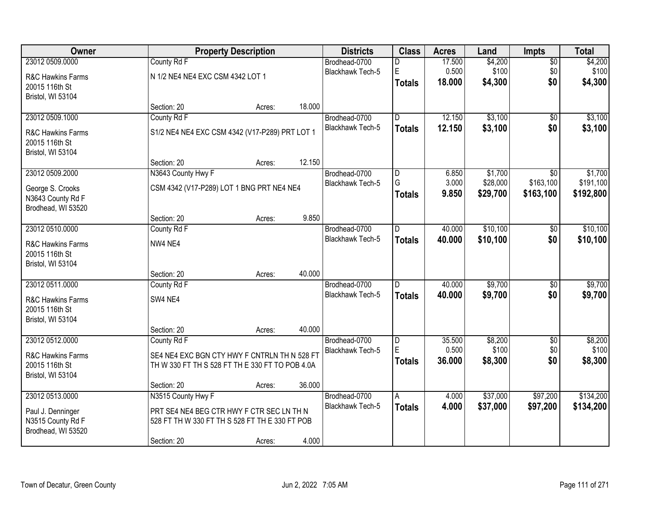| <b>Owner</b>                        |                                                 | <b>Property Description</b> |        | <b>Districts</b>                  | <b>Class</b>   | <b>Acres</b>   | Land                | Impts            | <b>Total</b>         |
|-------------------------------------|-------------------------------------------------|-----------------------------|--------|-----------------------------------|----------------|----------------|---------------------|------------------|----------------------|
| 23012 0509.0000                     | County Rd F                                     |                             |        | Brodhead-0700                     | D              | 17.500         | \$4,200             | $\overline{50}$  | \$4,200              |
| R&C Hawkins Farms                   | N 1/2 NE4 NE4 EXC CSM 4342 LOT 1                |                             |        | Blackhawk Tech-5                  | E              | 0.500          | \$100               | \$0              | \$100                |
| 20015 116th St                      |                                                 |                             |        |                                   | <b>Totals</b>  | 18.000         | \$4,300             | \$0              | \$4,300              |
| Bristol, WI 53104                   |                                                 |                             |        |                                   |                |                |                     |                  |                      |
|                                     | Section: 20                                     | Acres:                      | 18.000 |                                   |                |                |                     |                  |                      |
| 23012 0509.1000                     | County Rd F                                     |                             |        | Brodhead-0700                     | $\overline{D}$ | 12.150         | \$3,100             | $\overline{50}$  | \$3,100              |
| R&C Hawkins Farms                   | S1/2 NE4 NE4 EXC CSM 4342 (V17-P289) PRT LOT 1  |                             |        | <b>Blackhawk Tech-5</b>           | <b>Totals</b>  | 12.150         | \$3,100             | \$0              | \$3,100              |
| 20015 116th St                      |                                                 |                             |        |                                   |                |                |                     |                  |                      |
| Bristol, WI 53104                   |                                                 |                             |        |                                   |                |                |                     |                  |                      |
|                                     | Section: 20                                     | Acres:                      | 12.150 |                                   |                |                |                     |                  |                      |
| 23012 0509.2000                     | N3643 County Hwy F                              |                             |        | Brodhead-0700<br>Blackhawk Tech-5 | D<br>G         | 6.850<br>3.000 | \$1,700<br>\$28,000 | \$0<br>\$163,100 | \$1,700<br>\$191,100 |
| George S. Crooks                    | CSM 4342 (V17-P289) LOT 1 BNG PRT NE4 NE4       |                             |        |                                   | <b>Totals</b>  | 9.850          | \$29,700            | \$163,100        | \$192,800            |
| N3643 County Rd F                   |                                                 |                             |        |                                   |                |                |                     |                  |                      |
| Brodhead, WI 53520                  | Section: 20                                     | Acres:                      | 9.850  |                                   |                |                |                     |                  |                      |
| 23012 0510.0000                     | County Rd F                                     |                             |        | Brodhead-0700                     | D              | 40.000         | \$10,100            | \$0              | \$10,100             |
|                                     |                                                 |                             |        | <b>Blackhawk Tech-5</b>           | <b>Totals</b>  | 40.000         | \$10,100            | \$0              | \$10,100             |
| R&C Hawkins Farms<br>20015 116th St | NW4 NE4                                         |                             |        |                                   |                |                |                     |                  |                      |
| Bristol, WI 53104                   |                                                 |                             |        |                                   |                |                |                     |                  |                      |
|                                     | Section: 20                                     | Acres:                      | 40.000 |                                   |                |                |                     |                  |                      |
| 23012 0511.0000                     | County Rd F                                     |                             |        | Brodhead-0700                     | <sub>D</sub>   | 40.000         | \$9,700             | $\overline{50}$  | \$9,700              |
| R&C Hawkins Farms                   | SW4 NE4                                         |                             |        | <b>Blackhawk Tech-5</b>           | <b>Totals</b>  | 40.000         | \$9,700             | \$0              | \$9,700              |
| 20015 116th St                      |                                                 |                             |        |                                   |                |                |                     |                  |                      |
| Bristol, WI 53104                   |                                                 |                             |        |                                   |                |                |                     |                  |                      |
|                                     | Section: 20                                     | Acres:                      | 40.000 |                                   |                |                |                     |                  |                      |
| 23012 0512.0000                     | County Rd F                                     |                             |        | Brodhead-0700                     | D              | 35.500         | \$8,200             | $\sqrt{$0}$      | \$8,200              |
| R&C Hawkins Farms                   | SE4 NE4 EXC BGN CTY HWY F CNTRLN TH N 528 FT    |                             |        | Blackhawk Tech-5                  | E              | 0.500          | \$100               | \$0              | \$100                |
| 20015 116th St                      | TH W 330 FT TH S 528 FT TH E 330 FT TO POB 4.0A |                             |        |                                   | <b>Totals</b>  | 36.000         | \$8,300             | \$0              | \$8,300              |
| Bristol, WI 53104                   |                                                 |                             |        |                                   |                |                |                     |                  |                      |
|                                     | Section: 20                                     | Acres:                      | 36.000 |                                   |                |                |                     |                  |                      |
| 23012 0513.0000                     | N3515 County Hwy F                              |                             |        | Brodhead-0700                     | $\overline{A}$ | 4.000          | \$37,000            | \$97,200         | \$134,200            |
| Paul J. Denninger                   | PRT SE4 NE4 BEG CTR HWY F CTR SEC LN TH N       |                             |        | <b>Blackhawk Tech-5</b>           | <b>Totals</b>  | 4.000          | \$37,000            | \$97,200         | \$134,200            |
| N3515 County Rd F                   | 528 FT TH W 330 FT TH S 528 FT TH E 330 FT POB  |                             |        |                                   |                |                |                     |                  |                      |
| Brodhead, WI 53520                  |                                                 |                             |        |                                   |                |                |                     |                  |                      |
|                                     | Section: 20                                     | Acres:                      | 4.000  |                                   |                |                |                     |                  |                      |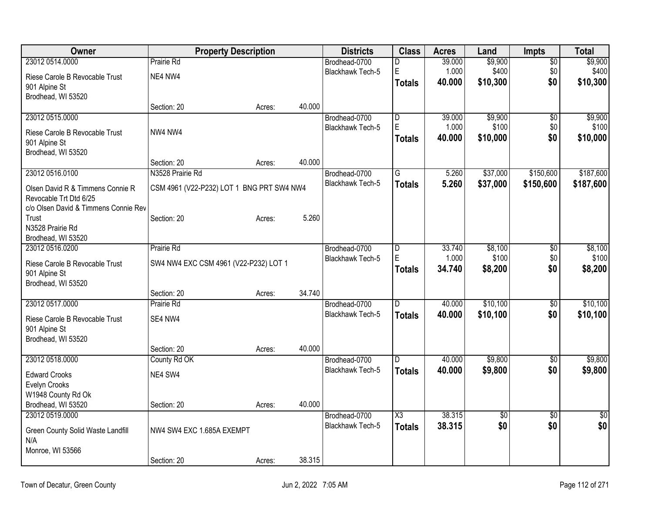| Owner                                           | <b>Property Description</b>               |        |        | <b>Districts</b>        | <b>Class</b>            | <b>Acres</b> | Land            | <b>Impts</b>    | <b>Total</b>    |
|-------------------------------------------------|-------------------------------------------|--------|--------|-------------------------|-------------------------|--------------|-----------------|-----------------|-----------------|
| 23012 0514.0000                                 | Prairie Rd                                |        |        | Brodhead-0700           | D                       | 39.000       | \$9,900         | $\overline{50}$ | \$9,900         |
| Riese Carole B Revocable Trust                  | NE4 NW4                                   |        |        | <b>Blackhawk Tech-5</b> | $\mathsf E$             | 1.000        | \$400           | \$0             | \$400           |
| 901 Alpine St                                   |                                           |        |        |                         | Totals                  | 40.000       | \$10,300        | \$0             | \$10,300        |
| Brodhead, WI 53520                              |                                           |        |        |                         |                         |              |                 |                 |                 |
|                                                 | Section: 20                               | Acres: | 40.000 |                         |                         |              |                 |                 |                 |
| 23012 0515.0000                                 |                                           |        |        | Brodhead-0700           | $\overline{\mathsf{D}}$ | 39.000       | \$9,900         | \$0             | \$9,900         |
| Riese Carole B Revocable Trust                  | NW4 NW4                                   |        |        | <b>Blackhawk Tech-5</b> | E                       | 1.000        | \$100           | \$0             | \$100           |
| 901 Alpine St                                   |                                           |        |        |                         | Totals                  | 40.000       | \$10,000        | \$0             | \$10,000        |
| Brodhead, WI 53520                              |                                           |        |        |                         |                         |              |                 |                 |                 |
|                                                 | Section: 20                               | Acres: | 40.000 |                         |                         |              |                 |                 |                 |
| 23012 0516.0100                                 | N3528 Prairie Rd                          |        |        | Brodhead-0700           | G                       | 5.260        | \$37,000        | \$150,600       | \$187,600       |
| Olsen David R & Timmens Connie R                | CSM 4961 (V22-P232) LOT 1 BNG PRT SW4 NW4 |        |        | Blackhawk Tech-5        | <b>Totals</b>           | 5.260        | \$37,000        | \$150,600       | \$187,600       |
| Revocable Trt Dtd 6/25                          |                                           |        |        |                         |                         |              |                 |                 |                 |
| c/o Olsen David & Timmens Connie Rev            |                                           |        |        |                         |                         |              |                 |                 |                 |
| Trust<br>N3528 Prairie Rd                       | Section: 20                               | Acres: | 5.260  |                         |                         |              |                 |                 |                 |
| Brodhead, WI 53520                              |                                           |        |        |                         |                         |              |                 |                 |                 |
| 23012 0516.0200                                 | Prairie Rd                                |        |        | Brodhead-0700           | D                       | 33.740       | \$8,100         | \$0             | \$8,100         |
|                                                 |                                           |        |        | Blackhawk Tech-5        | $\mathsf E$             | 1.000        | \$100           | \$0             | \$100           |
| Riese Carole B Revocable Trust                  | SW4 NW4 EXC CSM 4961 (V22-P232) LOT 1     |        |        |                         | <b>Totals</b>           | 34.740       | \$8,200         | \$0             | \$8,200         |
| 901 Alpine St<br>Brodhead, WI 53520             |                                           |        |        |                         |                         |              |                 |                 |                 |
|                                                 | Section: 20                               | Acres: | 34.740 |                         |                         |              |                 |                 |                 |
| 23012 0517.0000                                 | Prairie Rd                                |        |        | Brodhead-0700           | $\overline{D}$          | 40.000       | \$10,100        | $\overline{50}$ | \$10,100        |
|                                                 |                                           |        |        | <b>Blackhawk Tech-5</b> | <b>Totals</b>           | 40.000       | \$10,100        | \$0             | \$10,100        |
| Riese Carole B Revocable Trust<br>901 Alpine St | SE4 NW4                                   |        |        |                         |                         |              |                 |                 |                 |
| Brodhead, WI 53520                              |                                           |        |        |                         |                         |              |                 |                 |                 |
|                                                 | Section: 20                               | Acres: | 40.000 |                         |                         |              |                 |                 |                 |
| 23012 0518.0000                                 | County Rd OK                              |        |        | Brodhead-0700           | D                       | 40.000       | \$9,800         | $\overline{60}$ | \$9,800         |
| <b>Edward Crooks</b>                            | NE4 SW4                                   |        |        | Blackhawk Tech-5        | <b>Totals</b>           | 40.000       | \$9,800         | \$0             | \$9,800         |
| Evelyn Crooks                                   |                                           |        |        |                         |                         |              |                 |                 |                 |
| W1948 County Rd Ok                              |                                           |        |        |                         |                         |              |                 |                 |                 |
| Brodhead, WI 53520                              | Section: 20                               | Acres: | 40.000 |                         |                         |              |                 |                 |                 |
| 23012 0519.0000                                 |                                           |        |        | Brodhead-0700           | $\overline{\text{X3}}$  | 38.315       | $\overline{50}$ | $\overline{50}$ | $\overline{50}$ |
| Green County Solid Waste Landfill               | NW4 SW4 EXC 1.685A EXEMPT                 |        |        | <b>Blackhawk Tech-5</b> | <b>Totals</b>           | 38.315       | \$0             | \$0             | \$0             |
| N/A                                             |                                           |        |        |                         |                         |              |                 |                 |                 |
| Monroe, WI 53566                                |                                           |        |        |                         |                         |              |                 |                 |                 |
|                                                 | Section: 20                               | Acres: | 38.315 |                         |                         |              |                 |                 |                 |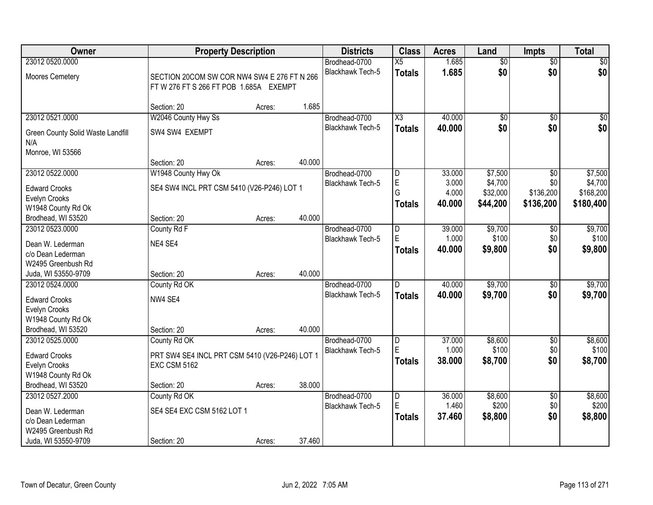| Owner                                     | <b>Property Description</b>                                           |        |        | <b>Districts</b>        | <b>Class</b>   | <b>Acres</b> | Land            | <b>Impts</b>    | <b>Total</b> |
|-------------------------------------------|-----------------------------------------------------------------------|--------|--------|-------------------------|----------------|--------------|-----------------|-----------------|--------------|
| 23012 0520.0000                           |                                                                       |        |        | Brodhead-0700           | X5             | 1.685        | $\overline{50}$ | $\overline{50}$ | $\sqrt{50}$  |
| Moores Cemetery                           | SECTION 20COM SW COR NW4 SW4 E 276 FT N 266                           |        |        | Blackhawk Tech-5        | <b>Totals</b>  | 1.685        | \$0             | \$0             | \$0          |
|                                           | FT W 276 FT S 266 FT POB 1.685A EXEMPT                                |        |        |                         |                |              |                 |                 |              |
|                                           |                                                                       |        |        |                         |                |              |                 |                 |              |
|                                           | Section: 20                                                           | Acres: | 1.685  |                         |                |              |                 |                 |              |
| 23012 0521.0000                           | W2046 County Hwy Ss                                                   |        |        | Brodhead-0700           | X3             | 40.000       | $\overline{50}$ | $\overline{50}$ | $\sqrt{50}$  |
| Green County Solid Waste Landfill         | SW4 SW4 EXEMPT                                                        |        |        | <b>Blackhawk Tech-5</b> | <b>Totals</b>  | 40.000       | \$0             | \$0             | \$0          |
| N/A                                       |                                                                       |        |        |                         |                |              |                 |                 |              |
| Monroe, WI 53566                          |                                                                       |        |        |                         |                |              |                 |                 |              |
|                                           | Section: 20                                                           | Acres: | 40.000 |                         |                |              |                 |                 |              |
| 23012 0522.0000                           | W1948 County Hwy Ok                                                   |        |        | Brodhead-0700           | D              | 33.000       | \$7,500         | \$0             | \$7,500      |
| <b>Edward Crooks</b>                      | SE4 SW4 INCL PRT CSM 5410 (V26-P246) LOT 1                            |        |        | Blackhawk Tech-5        | $\mathsf E$    | 3.000        | \$4,700         | \$0             | \$4,700      |
| Evelyn Crooks                             |                                                                       |        |        |                         | G              | 4.000        | \$32,000        | \$136,200       | \$168,200    |
| W1948 County Rd Ok                        |                                                                       |        |        |                         | Totals         | 40.000       | \$44,200        | \$136,200       | \$180,400    |
| Brodhead, WI 53520                        | Section: 20                                                           | Acres: | 40.000 |                         |                |              |                 |                 |              |
| 23012 0523.0000                           | County Rd F                                                           |        |        | Brodhead-0700           | D              | 39.000       | \$9,700         | \$0             | \$9,700      |
| Dean W. Lederman                          | NE4 SE4                                                               |        |        | <b>Blackhawk Tech-5</b> | E              | 1.000        | \$100           | \$0             | \$100        |
| c/o Dean Lederman                         |                                                                       |        |        |                         | Totals         | 40.000       | \$9,800         | \$0             | \$9,800      |
| W2495 Greenbush Rd                        |                                                                       |        |        |                         |                |              |                 |                 |              |
| Juda, WI 53550-9709                       | Section: 20                                                           | Acres: | 40.000 |                         |                |              |                 |                 |              |
| 23012 0524.0000                           | County Rd OK                                                          |        |        | Brodhead-0700           | $\overline{D}$ | 40.000       | \$9,700         | $\overline{30}$ | \$9,700      |
| <b>Edward Crooks</b>                      | NW4 SE4                                                               |        |        | <b>Blackhawk Tech-5</b> | <b>Totals</b>  | 40.000       | \$9,700         | \$0             | \$9,700      |
| Evelyn Crooks                             |                                                                       |        |        |                         |                |              |                 |                 |              |
| W1948 County Rd Ok                        |                                                                       |        |        |                         |                |              |                 |                 |              |
| Brodhead, WI 53520                        | Section: 20                                                           | Acres: | 40.000 |                         |                |              |                 |                 |              |
| 23012 0525.0000                           | County Rd OK                                                          |        |        | Brodhead-0700           | D              | 37.000       | \$8,600         | $\overline{60}$ | \$8,600      |
|                                           |                                                                       |        |        | Blackhawk Tech-5        | E              | 1.000        | \$100           | \$0             | \$100        |
| <b>Edward Crooks</b>                      | PRT SW4 SE4 INCL PRT CSM 5410 (V26-P246) LOT 1<br><b>EXC CSM 5162</b> |        |        |                         | <b>Totals</b>  | 38,000       | \$8,700         | \$0             | \$8,700      |
| Evelyn Crooks<br>W1948 County Rd Ok       |                                                                       |        |        |                         |                |              |                 |                 |              |
| Brodhead, WI 53520                        | Section: 20                                                           | Acres: | 38.000 |                         |                |              |                 |                 |              |
| 23012 0527.2000                           | County Rd OK                                                          |        |        | Brodhead-0700           | $\overline{D}$ | 36.000       | \$8,600         | $\overline{50}$ | \$8,600      |
|                                           |                                                                       |        |        | Blackhawk Tech-5        | E              | 1.460        | \$200           | \$0             | \$200        |
| Dean W. Lederman                          | SE4 SE4 EXC CSM 5162 LOT 1                                            |        |        |                         | Totals         | 37.460       | \$8,800         | \$0             | \$8,800      |
| c/o Dean Lederman                         |                                                                       |        |        |                         |                |              |                 |                 |              |
| W2495 Greenbush Rd<br>Juda, WI 53550-9709 | Section: 20                                                           |        | 37.460 |                         |                |              |                 |                 |              |
|                                           |                                                                       | Acres: |        |                         |                |              |                 |                 |              |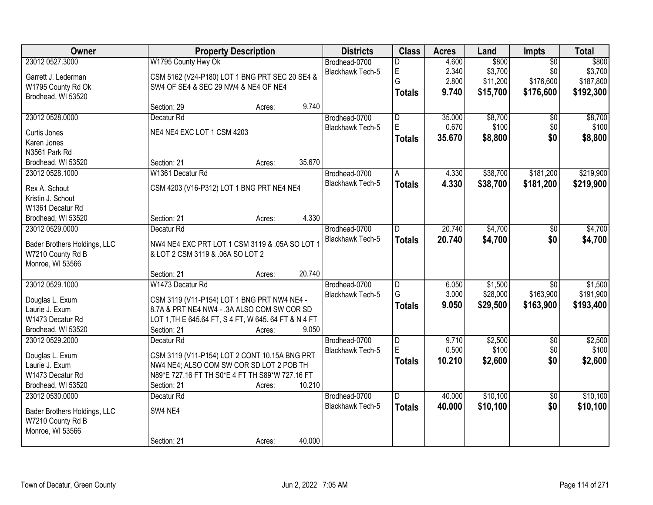| Owner                              |                                                      | <b>Property Description</b> |        | <b>Districts</b>        | <b>Class</b>                 | <b>Acres</b>   | Land                | Impts                        | <b>Total</b>         |
|------------------------------------|------------------------------------------------------|-----------------------------|--------|-------------------------|------------------------------|----------------|---------------------|------------------------------|----------------------|
| 23012 0527.3000                    | W1795 County Hwy Ok                                  |                             |        | Brodhead-0700           | D                            | 4.600          | \$800               | $\overline{50}$              | \$800                |
| Garrett J. Lederman                | CSM 5162 (V24-P180) LOT 1 BNG PRT SEC 20 SE4 &       |                             |        | Blackhawk Tech-5        | $\mathsf E$                  | 2.340          | \$3,700             | \$0                          | \$3,700              |
| W1795 County Rd Ok                 | SW4 OF SE4 & SEC 29 NW4 & NE4 OF NE4                 |                             |        |                         | G                            | 2.800          | \$11,200            | \$176,600                    | \$187,800            |
| Brodhead, WI 53520                 |                                                      |                             |        |                         | <b>Totals</b>                | 9.740          | \$15,700            | \$176,600                    | \$192,300            |
|                                    | Section: 29                                          | Acres:                      | 9.740  |                         |                              |                |                     |                              |                      |
| 23012 0528.0000                    | Decatur <sub>Rd</sub>                                |                             |        | Brodhead-0700           | $\overline{\mathsf{D}}$      | 35.000         | \$8,700             | \$0                          | \$8,700              |
| Curtis Jones                       | NE4 NE4 EXC LOT 1 CSM 4203                           |                             |        | <b>Blackhawk Tech-5</b> | E.                           | 0.670          | \$100               | \$0                          | \$100                |
| Karen Jones                        |                                                      |                             |        |                         | <b>Totals</b>                | 35.670         | \$8,800             | \$0                          | \$8,800              |
| N3561 Park Rd                      |                                                      |                             |        |                         |                              |                |                     |                              |                      |
| Brodhead, WI 53520                 | Section: 21                                          | Acres:                      | 35.670 |                         |                              |                |                     |                              |                      |
| 23012 0528.1000                    | W1361 Decatur Rd                                     |                             |        | Brodhead-0700           | A.                           | 4.330          | \$38,700            | \$181,200                    | \$219,900            |
|                                    | CSM 4203 (V16-P312) LOT 1 BNG PRT NE4 NE4            |                             |        | Blackhawk Tech-5        | <b>Totals</b>                | 4.330          | \$38,700            | \$181,200                    | \$219,900            |
| Rex A. Schout<br>Kristin J. Schout |                                                      |                             |        |                         |                              |                |                     |                              |                      |
| W1361 Decatur Rd                   |                                                      |                             |        |                         |                              |                |                     |                              |                      |
| Brodhead, WI 53520                 | Section: 21                                          | Acres:                      | 4.330  |                         |                              |                |                     |                              |                      |
| 23012 0529.0000                    | Decatur <sub>Rd</sub>                                |                             |        | Brodhead-0700           | D                            | 20.740         | \$4,700             | \$0                          | \$4,700              |
|                                    |                                                      |                             |        | <b>Blackhawk Tech-5</b> | <b>Totals</b>                | 20.740         | \$4,700             | \$0                          | \$4,700              |
| Bader Brothers Holdings, LLC       | NW4 NE4 EXC PRT LOT 1 CSM 3119 & .05A SO LOT 1       |                             |        |                         |                              |                |                     |                              |                      |
| W7210 County Rd B                  | & LOT 2 CSM 3119 & .06A SO LOT 2                     |                             |        |                         |                              |                |                     |                              |                      |
| Monroe, WI 53566                   |                                                      |                             |        |                         |                              |                |                     |                              |                      |
|                                    | Section: 21                                          | Acres:                      | 20.740 |                         |                              |                |                     |                              |                      |
| 23012 0529.1000                    | W1473 Decatur Rd                                     |                             |        | Brodhead-0700           | $\overline{\mathsf{D}}$<br>G | 6.050<br>3.000 | \$1,500<br>\$28,000 | $\overline{50}$<br>\$163,900 | \$1,500<br>\$191,900 |
| Douglas L. Exum                    | CSM 3119 (V11-P154) LOT 1 BNG PRT NW4 NE4 -          |                             |        | <b>Blackhawk Tech-5</b> |                              | 9.050          |                     |                              |                      |
| Laurie J. Exum                     | 8.7A & PRT NE4 NW4 - .3A ALSO COM SW COR SD          |                             |        |                         | <b>Totals</b>                |                | \$29,500            | \$163,900                    | \$193,400            |
| W1473 Decatur Rd                   | LOT 1, TH E 645.64 FT, S 4 FT, W 645. 64 FT & N 4 FT |                             |        |                         |                              |                |                     |                              |                      |
| Brodhead, WI 53520                 | Section: 21                                          | Acres:                      | 9.050  |                         |                              |                |                     |                              |                      |
| 23012 0529.2000                    | Decatur <sub>Rd</sub>                                |                             |        | Brodhead-0700           | D                            | 9.710          | \$2,500             | $\overline{50}$              | \$2,500              |
| Douglas L. Exum                    | CSM 3119 (V11-P154) LOT 2 CONT 10.15A BNG PRT        |                             |        | Blackhawk Tech-5        | E                            | 0.500          | \$100               | \$0                          | \$100                |
| Laurie J. Exum                     | NW4 NE4; ALSO COM SW COR SD LOT 2 POB TH             |                             |        |                         | <b>Totals</b>                | 10.210         | \$2,600             | \$0                          | \$2,600              |
| W1473 Decatur Rd                   | N89*E 727.16 FT TH S0*E 4 FT TH S89*W 727.16 FT      |                             |        |                         |                              |                |                     |                              |                      |
| Brodhead, WI 53520                 | Section: 21                                          | Acres:                      | 10.210 |                         |                              |                |                     |                              |                      |
| 23012 0530.0000                    | Decatur <sub>Rd</sub>                                |                             |        | Brodhead-0700           | $\overline{D}$               | 40.000         | \$10,100            | $\overline{50}$              | \$10,100             |
| Bader Brothers Holdings, LLC       | SW4 NE4                                              |                             |        | <b>Blackhawk Tech-5</b> | <b>Totals</b>                | 40.000         | \$10,100            | \$0                          | \$10,100             |
| W7210 County Rd B                  |                                                      |                             |        |                         |                              |                |                     |                              |                      |
| Monroe, WI 53566                   |                                                      |                             |        |                         |                              |                |                     |                              |                      |
|                                    | Section: 21                                          | Acres:                      | 40.000 |                         |                              |                |                     |                              |                      |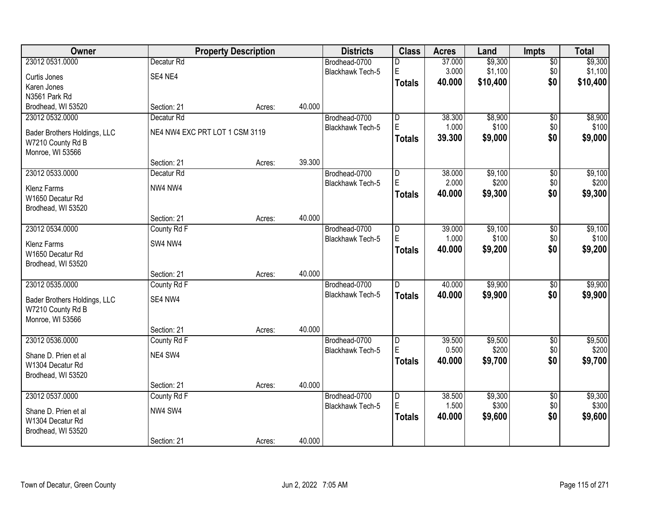| Owner                        |                                | <b>Property Description</b> |        | <b>Districts</b>        | <b>Class</b>            | <b>Acres</b> | Land     | Impts           | <b>Total</b> |
|------------------------------|--------------------------------|-----------------------------|--------|-------------------------|-------------------------|--------------|----------|-----------------|--------------|
| 23012 0531.0000              | Decatur <sub>Rd</sub>          |                             |        | Brodhead-0700           | D                       | 37.000       | \$9,300  | $\overline{50}$ | \$9,300      |
| Curtis Jones                 | SE4 NE4                        |                             |        | Blackhawk Tech-5        | E                       | 3.000        | \$1,100  | \$0             | \$1,100      |
| Karen Jones                  |                                |                             |        |                         | <b>Totals</b>           | 40.000       | \$10,400 | \$0             | \$10,400     |
| N3561 Park Rd                |                                |                             |        |                         |                         |              |          |                 |              |
| Brodhead, WI 53520           | Section: 21                    | Acres:                      | 40.000 |                         |                         |              |          |                 |              |
| 23012 0532.0000              | Decatur <sub>Rd</sub>          |                             |        | Brodhead-0700           | $\overline{\mathsf{D}}$ | 38.300       | \$8,900  | $\overline{50}$ | \$8,900      |
| Bader Brothers Holdings, LLC | NE4 NW4 EXC PRT LOT 1 CSM 3119 |                             |        | Blackhawk Tech-5        | E                       | 1.000        | \$100    | \$0             | \$100        |
| W7210 County Rd B            |                                |                             |        |                         | <b>Totals</b>           | 39.300       | \$9,000  | \$0             | \$9,000      |
| Monroe, WI 53566             |                                |                             |        |                         |                         |              |          |                 |              |
|                              | Section: 21                    | Acres:                      | 39.300 |                         |                         |              |          |                 |              |
| 23012 0533.0000              | Decatur <sub>Rd</sub>          |                             |        | Brodhead-0700           | D                       | 38.000       | \$9,100  | \$0             | \$9,100      |
| <b>Klenz Farms</b>           | NW4 NW4                        |                             |        | Blackhawk Tech-5        | E                       | 2.000        | \$200    | \$0             | \$200        |
| W1650 Decatur Rd             |                                |                             |        |                         | <b>Totals</b>           | 40.000       | \$9,300  | \$0             | \$9,300      |
| Brodhead, WI 53520           |                                |                             |        |                         |                         |              |          |                 |              |
|                              | Section: 21                    | Acres:                      | 40.000 |                         |                         |              |          |                 |              |
| 23012 0534.0000              | County Rd F                    |                             |        | Brodhead-0700           | D                       | 39.000       | \$9,100  | \$0             | \$9,100      |
| <b>Klenz Farms</b>           | SW4 NW4                        |                             |        | <b>Blackhawk Tech-5</b> | E                       | 1.000        | \$100    | \$0             | \$100        |
| W1650 Decatur Rd             |                                |                             |        |                         | <b>Totals</b>           | 40.000       | \$9,200  | \$0             | \$9,200      |
| Brodhead, WI 53520           |                                |                             |        |                         |                         |              |          |                 |              |
|                              | Section: 21                    | Acres:                      | 40.000 |                         |                         |              |          |                 |              |
| 23012 0535.0000              | County Rd F                    |                             |        | Brodhead-0700           | D                       | 40.000       | \$9,900  | $\overline{50}$ | \$9,900      |
| Bader Brothers Holdings, LLC | SE4 NW4                        |                             |        | <b>Blackhawk Tech-5</b> | <b>Totals</b>           | 40.000       | \$9,900  | \$0             | \$9,900      |
| W7210 County Rd B            |                                |                             |        |                         |                         |              |          |                 |              |
| Monroe, WI 53566             |                                |                             |        |                         |                         |              |          |                 |              |
|                              | Section: 21                    | Acres:                      | 40.000 |                         |                         |              |          |                 |              |
| 23012 0536.0000              | County Rd F                    |                             |        | Brodhead-0700           | D                       | 39.500       | \$9,500  | $\overline{50}$ | \$9,500      |
| Shane D. Prien et al         | NE4 SW4                        |                             |        | Blackhawk Tech-5        | E                       | 0.500        | \$200    | \$0             | \$200        |
| W1304 Decatur Rd             |                                |                             |        |                         | <b>Totals</b>           | 40.000       | \$9,700  | \$0             | \$9,700      |
| Brodhead, WI 53520           |                                |                             |        |                         |                         |              |          |                 |              |
|                              | Section: 21                    | Acres:                      | 40.000 |                         |                         |              |          |                 |              |
| 23012 0537.0000              | County Rd F                    |                             |        | Brodhead-0700           | $\overline{D}$          | 38.500       | \$9,300  | $\overline{50}$ | \$9,300      |
| Shane D. Prien et al         | NW4 SW4                        |                             |        | Blackhawk Tech-5        | E                       | 1.500        | \$300    | \$0             | \$300        |
| W1304 Decatur Rd             |                                |                             |        |                         | <b>Totals</b>           | 40.000       | \$9,600  | \$0             | \$9,600      |
| Brodhead, WI 53520           |                                |                             |        |                         |                         |              |          |                 |              |
|                              | Section: 21                    | Acres:                      | 40.000 |                         |                         |              |          |                 |              |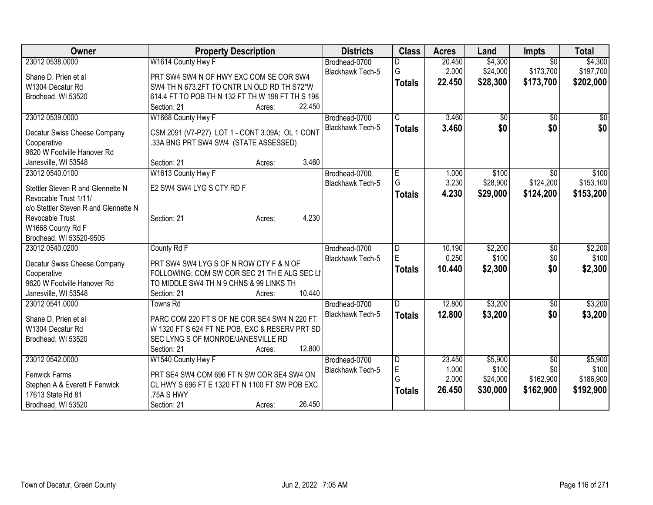| Owner                                 | <b>Property Description</b>                      | <b>Districts</b>        | <b>Class</b>            | <b>Acres</b> | Land     | <b>Impts</b>    | <b>Total</b>    |
|---------------------------------------|--------------------------------------------------|-------------------------|-------------------------|--------------|----------|-----------------|-----------------|
| 23012 0538.0000                       | W1614 County Hwy F                               | Brodhead-0700           | D                       | 20.450       | \$4,300  | $\overline{30}$ | \$4,300         |
| Shane D. Prien et al                  | PRT SW4 SW4 N OF HWY EXC COM SE COR SW4          | <b>Blackhawk Tech-5</b> | G                       | 2.000        | \$24,000 | \$173,700       | \$197,700       |
| W1304 Decatur Rd                      | SW4 TH N 673.2FT TO CNTR LN OLD RD TH S72*W      |                         | <b>Totals</b>           | 22.450       | \$28,300 | \$173,700       | \$202,000       |
| Brodhead, WI 53520                    | 614.4 FT TO POB TH N 132 FT TH W 198 FT TH S 198 |                         |                         |              |          |                 |                 |
|                                       | 22.450<br>Section: 21<br>Acres:                  |                         |                         |              |          |                 |                 |
| 23012 0539.0000                       | W1668 County Hwy F                               | Brodhead-0700           | $\overline{\mathsf{C}}$ | 3.460        | \$0      | \$0             | $\overline{50}$ |
|                                       |                                                  | Blackhawk Tech-5        | <b>Totals</b>           | 3.460        | \$0      | \$0             | \$0             |
| Decatur Swiss Cheese Company          | CSM 2091 (V7-P27) LOT 1 - CONT 3.09A; OL 1 CONT  |                         |                         |              |          |                 |                 |
| Cooperative                           | .33A BNG PRT SW4 SW4 (STATE ASSESSED)            |                         |                         |              |          |                 |                 |
| 9620 W Footville Hanover Rd           |                                                  |                         |                         |              |          |                 |                 |
| Janesville, WI 53548                  | 3.460<br>Section: 21<br>Acres:                   |                         |                         |              |          |                 |                 |
| 23012 0540.0100                       | W1613 County Hwy F                               | Brodhead-0700           | E                       | 1.000        | \$100    | $\sqrt{6}$      | \$100           |
| Stettler Steven R and Glennette N     | E2 SW4 SW4 LYG S CTY RD F                        | <b>Blackhawk Tech-5</b> | G                       | 3.230        | \$28,900 | \$124,200       | \$153,100       |
| Revocable Trust 1/11/                 |                                                  |                         | <b>Totals</b>           | 4.230        | \$29,000 | \$124,200       | \$153,200       |
| c/o Stettler Steven R and Glennette N |                                                  |                         |                         |              |          |                 |                 |
| Revocable Trust                       | 4.230<br>Section: 21<br>Acres:                   |                         |                         |              |          |                 |                 |
| W1668 County Rd F                     |                                                  |                         |                         |              |          |                 |                 |
| Brodhead, WI 53520-9505               |                                                  |                         |                         |              |          |                 |                 |
| 23012 0540.0200                       | County Rd F                                      | Brodhead-0700           | D                       | 10.190       | \$2,200  | $\overline{50}$ | \$2,200         |
|                                       |                                                  | Blackhawk Tech-5        | E                       | 0.250        | \$100    | \$0             | \$100           |
| Decatur Swiss Cheese Company          | PRT SW4 SW4 LYG S OF N ROW CTY F & N OF          |                         | <b>Totals</b>           | 10.440       | \$2,300  | \$0             | \$2,300         |
| Cooperative                           | FOLLOWING: COM SW COR SEC 21 TH E ALG SEC LI     |                         |                         |              |          |                 |                 |
| 9620 W Footville Hanover Rd           | TO MIDDLE SW4 TH N 9 CHNS & 99 LINKS TH          |                         |                         |              |          |                 |                 |
| Janesville, WI 53548                  | 10.440<br>Section: 21<br>Acres:                  |                         |                         |              |          |                 |                 |
| 23012 0541.0000                       | <b>Towns Rd</b>                                  | Brodhead-0700           | D                       | 12.800       | \$3,200  | \$0             | \$3,200         |
| Shane D. Prien et al                  | PARC COM 220 FT S OF NE COR SE4 SW4 N 220 FT     | Blackhawk Tech-5        | <b>Totals</b>           | 12.800       | \$3,200  | \$0             | \$3,200         |
| W1304 Decatur Rd                      | W 1320 FT S 624 FT NE POB, EXC & RESERV PRT SD   |                         |                         |              |          |                 |                 |
| Brodhead, WI 53520                    | SEC LYNG S OF MONROE/JANESVILLE RD               |                         |                         |              |          |                 |                 |
|                                       | 12.800<br>Section: 21<br>Acres:                  |                         |                         |              |          |                 |                 |
| 23012 0542.0000                       | W1540 County Hwy F                               | Brodhead-0700           | $\overline{D}$          | 23.450       | \$5,900  | $\overline{50}$ | \$5,900         |
|                                       |                                                  | Blackhawk Tech-5        | E                       | 1.000        | \$100    | \$0             | \$100           |
| Fenwick Farms                         | PRT SE4 SW4 COM 696 FT N SW COR SE4 SW4 ON       |                         | G                       | 2.000        | \$24,000 | \$162,900       | \$186,900       |
| Stephen A & Everett F Fenwick         | CL HWY S 696 FT E 1320 FT N 1100 FT SW POB EXC   |                         | <b>Totals</b>           | 26.450       | \$30,000 | \$162,900       | \$192,900       |
| 17613 State Rd 81                     | .75A S HWY                                       |                         |                         |              |          |                 |                 |
| Brodhead, WI 53520                    | 26.450<br>Section: 21<br>Acres:                  |                         |                         |              |          |                 |                 |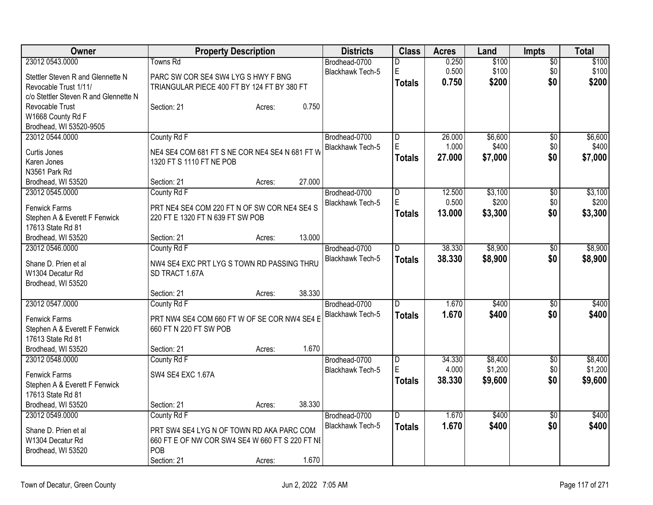| Owner                                 | <b>Property Description</b>                     |        |        | <b>Districts</b>                         | <b>Class</b>   | <b>Acres</b> | Land    | <b>Impts</b>    | Total   |
|---------------------------------------|-------------------------------------------------|--------|--------|------------------------------------------|----------------|--------------|---------|-----------------|---------|
| 23012 0543.0000                       | Towns Rd                                        |        |        | Brodhead-0700                            | D              | 0.250        | \$100   | $\overline{50}$ | \$100   |
| Stettler Steven R and Glennette N     | PARC SW COR SE4 SW4 LYG S HWY F BNG             |        |        | Blackhawk Tech-5                         | $\mathsf E$    | 0.500        | \$100   | \$0             | \$100   |
| Revocable Trust 1/11/                 | TRIANGULAR PIECE 400 FT BY 124 FT BY 380 FT     |        |        |                                          | <b>Totals</b>  | 0.750        | \$200   | \$0             | \$200   |
| c/o Stettler Steven R and Glennette N |                                                 |        |        |                                          |                |              |         |                 |         |
| Revocable Trust                       | Section: 21                                     | Acres: | 0.750  |                                          |                |              |         |                 |         |
| W1668 County Rd F                     |                                                 |        |        |                                          |                |              |         |                 |         |
| Brodhead, WI 53520-9505               |                                                 |        |        |                                          |                |              |         |                 |         |
| 23012 0544.0000                       | County Rd F                                     |        |        | Brodhead-0700                            | $\overline{D}$ | 26.000       | \$6,600 | $\overline{50}$ | \$6,600 |
| Curtis Jones                          | NE4 SE4 COM 681 FT S NE COR NE4 SE4 N 681 FT W  |        |        | Blackhawk Tech-5                         | $\mathsf E$    | 1.000        | \$400   | \$0             | \$400   |
| Karen Jones                           | 1320 FT S 1110 FT NE POB                        |        |        |                                          | Totals         | 27.000       | \$7,000 | \$0             | \$7,000 |
| N3561 Park Rd                         |                                                 |        |        |                                          |                |              |         |                 |         |
| Brodhead, WI 53520                    | Section: 21                                     | Acres: | 27.000 |                                          |                |              |         |                 |         |
| 23012 0545.0000                       | County Rd F                                     |        |        | Brodhead-0700                            | D              | 12.500       | \$3,100 | $\overline{50}$ | \$3,100 |
| <b>Fenwick Farms</b>                  | PRT NE4 SE4 COM 220 FT N OF SW COR NE4 SE4 S    |        |        | Blackhawk Tech-5                         | E              | 0.500        | \$200   | \$0             | \$200   |
| Stephen A & Everett F Fenwick         | 220 FT E 1320 FT N 639 FT SW POB                |        |        |                                          | Totals         | 13.000       | \$3,300 | \$0             | \$3,300 |
| 17613 State Rd 81                     |                                                 |        |        |                                          |                |              |         |                 |         |
| Brodhead, WI 53520                    | Section: 21                                     | Acres: | 13.000 |                                          |                |              |         |                 |         |
| 23012 0546.0000                       | County Rd F                                     |        |        | Brodhead-0700                            | ID.            | 38.330       | \$8,900 | \$0             | \$8,900 |
|                                       |                                                 |        |        | Blackhawk Tech-5                         | <b>Totals</b>  | 38.330       | \$8,900 | \$0             | \$8,900 |
| Shane D. Prien et al                  | NW4 SE4 EXC PRT LYG S TOWN RD PASSING THRU      |        |        |                                          |                |              |         |                 |         |
| W1304 Decatur Rd                      | SD TRACT 1.67A                                  |        |        |                                          |                |              |         |                 |         |
| Brodhead, WI 53520                    |                                                 |        | 38.330 |                                          |                |              |         |                 |         |
| 23012 0547.0000                       | Section: 21                                     | Acres: |        |                                          |                | 1.670        | \$400   |                 | \$400   |
|                                       | County Rd F                                     |        |        | Brodhead-0700<br><b>Blackhawk Tech-5</b> | $\overline{D}$ |              |         | \$0             |         |
| <b>Fenwick Farms</b>                  | PRT NW4 SE4 COM 660 FT W OF SE COR NW4 SE4 E    |        |        |                                          | <b>Totals</b>  | 1.670        | \$400   | \$0             | \$400   |
| Stephen A & Everett F Fenwick         | 660 FT N 220 FT SW POB                          |        |        |                                          |                |              |         |                 |         |
| 17613 State Rd 81                     |                                                 |        |        |                                          |                |              |         |                 |         |
| Brodhead, WI 53520                    | Section: 21                                     | Acres: | 1.670  |                                          |                |              |         |                 |         |
| 23012 0548.0000                       | County Rd F                                     |        |        | Brodhead-0700                            | $\overline{D}$ | 34.330       | \$8,400 | $\overline{50}$ | \$8,400 |
| <b>Fenwick Farms</b>                  | SW4 SE4 EXC 1.67A                               |        |        | Blackhawk Tech-5                         | $\mathsf E$    | 4.000        | \$1,200 | \$0             | \$1,200 |
| Stephen A & Everett F Fenwick         |                                                 |        |        |                                          | Totals         | 38.330       | \$9,600 | \$0             | \$9,600 |
| 17613 State Rd 81                     |                                                 |        |        |                                          |                |              |         |                 |         |
| Brodhead, WI 53520                    | Section: 21                                     | Acres: | 38.330 |                                          |                |              |         |                 |         |
| 23012 0549.0000                       | County Rd F                                     |        |        | Brodhead-0700                            | ID             | 1.670        | \$400   | $\overline{30}$ | \$400   |
| Shane D. Prien et al                  | PRT SW4 SE4 LYG N OF TOWN RD AKA PARC COM       |        |        | <b>Blackhawk Tech-5</b>                  | Totals         | 1.670        | \$400   | \$0             | \$400   |
| W1304 Decatur Rd                      | 660 FT E OF NW COR SW4 SE4 W 660 FT S 220 FT NI |        |        |                                          |                |              |         |                 |         |
| Brodhead, WI 53520                    | POB                                             |        |        |                                          |                |              |         |                 |         |
|                                       | Section: 21                                     | Acres: | 1.670  |                                          |                |              |         |                 |         |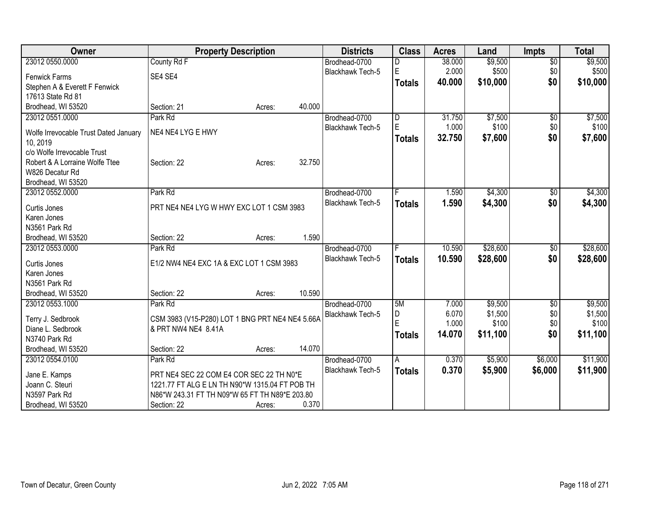| Owner                                 | <b>Property Description</b>                     |        | <b>Districts</b> | <b>Class</b>  | <b>Acres</b> | Land     | <b>Impts</b>    | <b>Total</b> |
|---------------------------------------|-------------------------------------------------|--------|------------------|---------------|--------------|----------|-----------------|--------------|
| 23012 0550.0000                       | County Rd F                                     |        | Brodhead-0700    |               | 38.000       | \$9,500  | $\overline{50}$ | \$9,500      |
| <b>Fenwick Farms</b>                  | SE4 SE4                                         |        | Blackhawk Tech-5 | E             | 2.000        | \$500    | \$0             | \$500        |
| Stephen A & Everett F Fenwick         |                                                 |        |                  | <b>Totals</b> | 40.000       | \$10,000 | \$0             | \$10,000     |
| 17613 State Rd 81                     |                                                 |        |                  |               |              |          |                 |              |
| Brodhead, WI 53520                    | Section: 21                                     | Acres: | 40.000           |               |              |          |                 |              |
| 23012 0551.0000                       | Park Rd                                         |        | Brodhead-0700    | D             | 31.750       | \$7,500  | \$0             | \$7,500      |
|                                       |                                                 |        | Blackhawk Tech-5 | E             | 1.000        | \$100    | \$0             | \$100        |
| Wolfe Irrevocable Trust Dated January | NE4 NE4 LYG E HWY                               |        |                  | <b>Totals</b> | 32.750       | \$7,600  | \$0             | \$7,600      |
| 10, 2019                              |                                                 |        |                  |               |              |          |                 |              |
| c/o Wolfe Irrevocable Trust           |                                                 |        |                  |               |              |          |                 |              |
| Robert & A Lorraine Wolfe Ttee        | Section: 22                                     | Acres: | 32.750           |               |              |          |                 |              |
| W826 Decatur Rd                       |                                                 |        |                  |               |              |          |                 |              |
| Brodhead, WI 53520<br>23012 0552.0000 | Park Rd                                         |        | Brodhead-0700    |               | 1.590        | \$4,300  | $\sqrt[6]{}$    | \$4,300      |
|                                       |                                                 |        | Blackhawk Tech-5 |               |              |          |                 |              |
| Curtis Jones                          | PRT NE4 NE4 LYG W HWY EXC LOT 1 CSM 3983        |        |                  | <b>Totals</b> | 1.590        | \$4,300  | \$0             | \$4,300      |
| Karen Jones                           |                                                 |        |                  |               |              |          |                 |              |
| N3561 Park Rd                         |                                                 |        |                  |               |              |          |                 |              |
| Brodhead, WI 53520                    | Section: 22                                     | Acres: | 1.590            |               |              |          |                 |              |
| 23012 0553.0000                       | Park Rd                                         |        | Brodhead-0700    |               | 10.590       | \$28,600 | \$0             | \$28,600     |
| Curtis Jones                          | E1/2 NW4 NE4 EXC 1A & EXC LOT 1 CSM 3983        |        | Blackhawk Tech-5 | <b>Totals</b> | 10.590       | \$28,600 | \$0             | \$28,600     |
| Karen Jones                           |                                                 |        |                  |               |              |          |                 |              |
| N3561 Park Rd                         |                                                 |        |                  |               |              |          |                 |              |
| Brodhead, WI 53520                    | Section: 22                                     | Acres: | 10.590           |               |              |          |                 |              |
| 23012 0553.1000                       | Park Rd                                         |        | Brodhead-0700    | 5M            | 7.000        | \$9,500  | \$0             | \$9,500      |
|                                       |                                                 |        | Blackhawk Tech-5 | D             | 6.070        | \$1,500  | \$0             | \$1,500      |
| Terry J. Sedbrook                     | CSM 3983 (V15-P280) LOT 1 BNG PRT NE4 NE4 5.66A |        |                  | E             | 1.000        | \$100    | \$0             | \$100        |
| Diane L. Sedbrook                     | & PRT NW4 NE4 8.41A                             |        |                  | <b>Totals</b> | 14.070       | \$11,100 | \$0             | \$11,100     |
| N3740 Park Rd                         |                                                 |        |                  |               |              |          |                 |              |
| Brodhead, WI 53520                    | Section: 22                                     | Acres: | 14.070           |               |              |          |                 |              |
| 23012 0554.0100                       | Park Rd                                         |        | Brodhead-0700    | A             | 0.370        | \$5,900  | \$6,000         | \$11,900     |
| Jane E. Kamps                         | PRT NE4 SEC 22 COM E4 COR SEC 22 TH N0*E        |        | Blackhawk Tech-5 | <b>Totals</b> | 0.370        | \$5,900  | \$6,000         | \$11,900     |
| Joann C. Steuri                       | 1221.77 FT ALG E LN TH N90*W 1315.04 FT POB TH  |        |                  |               |              |          |                 |              |
| N3597 Park Rd                         | N86*W 243.31 FT TH N09*W 65 FT TH N89*E 203.80  |        |                  |               |              |          |                 |              |
| Brodhead, WI 53520                    | Section: 22                                     | Acres: | 0.370            |               |              |          |                 |              |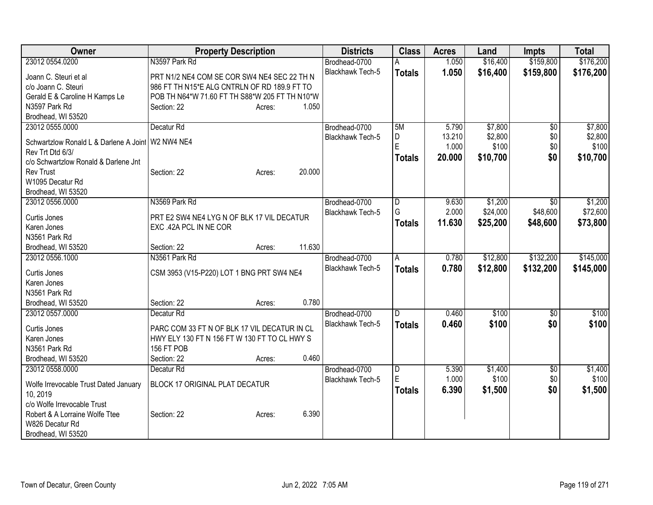| Owner                                  | <b>Property Description</b>                    |        | <b>Districts</b>        | <b>Class</b>   | <b>Acres</b> | Land     | <b>Impts</b>    | <b>Total</b> |
|----------------------------------------|------------------------------------------------|--------|-------------------------|----------------|--------------|----------|-----------------|--------------|
| 23012 0554.0200                        | N3597 Park Rd                                  |        | Brodhead-0700           |                | 1.050        | \$16,400 | \$159,800       | \$176,200    |
| Joann C. Steuri et al                  | PRT N1/2 NE4 COM SE COR SW4 NE4 SEC 22 TH N    |        | Blackhawk Tech-5        | <b>Totals</b>  | 1.050        | \$16,400 | \$159,800       | \$176,200    |
| c/o Joann C. Steuri                    | 986 FT TH N15*E ALG CNTRLN OF RD 189.9 FT TO   |        |                         |                |              |          |                 |              |
| Gerald E & Caroline H Kamps Le         | POB TH N64*W 71.60 FT TH S88*W 205 FT TH N10*W |        |                         |                |              |          |                 |              |
| N3597 Park Rd                          | Section: 22<br>Acres:                          | 1.050  |                         |                |              |          |                 |              |
| Brodhead, WI 53520                     |                                                |        |                         |                |              |          |                 |              |
| 23012 0555.0000                        | Decatur <sub>Rd</sub>                          |        | Brodhead-0700           | 5M             | 5.790        | \$7,800  | $\overline{50}$ | \$7,800      |
| Schwartzlow Ronald L & Darlene A Joint | W2 NW4 NE4                                     |        | <b>Blackhawk Tech-5</b> | D              | 13.210       | \$2,800  | \$0             | \$2,800      |
| Rev Trt Dtd 6/3/                       |                                                |        |                         | Ė              | 1.000        | \$100    | \$0             | \$100        |
| c/o Schwartzlow Ronald & Darlene Jnt   |                                                |        |                         | <b>Totals</b>  | 20.000       | \$10,700 | \$0             | \$10,700     |
| Rev Trust                              | Section: 22<br>Acres:                          | 20.000 |                         |                |              |          |                 |              |
| W1095 Decatur Rd                       |                                                |        |                         |                |              |          |                 |              |
| Brodhead, WI 53520                     |                                                |        |                         |                |              |          |                 |              |
| 23012 0556.0000                        | N3569 Park Rd                                  |        | Brodhead-0700           | $\overline{D}$ | 9.630        | \$1,200  | $\overline{50}$ | \$1,200      |
| Curtis Jones                           | PRT E2 SW4 NE4 LYG N OF BLK 17 VIL DECATUR     |        | Blackhawk Tech-5        | G              | 2.000        | \$24,000 | \$48,600        | \$72,600     |
| Karen Jones                            | EXC .42A PCL IN NE COR                         |        |                         | <b>Totals</b>  | 11.630       | \$25,200 | \$48,600        | \$73,800     |
| N3561 Park Rd                          |                                                |        |                         |                |              |          |                 |              |
| Brodhead, WI 53520                     | Section: 22<br>Acres:                          | 11.630 |                         |                |              |          |                 |              |
| 23012 0556.1000                        | N3561 Park Rd                                  |        | Brodhead-0700           | A              | 0.780        | \$12,800 | \$132,200       | \$145,000    |
|                                        |                                                |        | Blackhawk Tech-5        | <b>Totals</b>  | 0.780        | \$12,800 | \$132,200       | \$145,000    |
| Curtis Jones                           | CSM 3953 (V15-P220) LOT 1 BNG PRT SW4 NE4      |        |                         |                |              |          |                 |              |
| Karen Jones                            |                                                |        |                         |                |              |          |                 |              |
| N3561 Park Rd                          |                                                |        |                         |                |              |          |                 |              |
| Brodhead, WI 53520                     | Section: 22<br>Acres:                          | 0.780  |                         |                |              |          |                 |              |
| 23012 0557.0000                        | Decatur <sub>Rd</sub>                          |        | Brodhead-0700           | D              | 0.460        | \$100    | \$0             | \$100        |
| Curtis Jones                           | PARC COM 33 FT N OF BLK 17 VIL DECATUR IN CL   |        | <b>Blackhawk Tech-5</b> | <b>Totals</b>  | 0.460        | \$100    | \$0             | \$100        |
| Karen Jones                            | HWY ELY 130 FT N 156 FT W 130 FT TO CL HWY S   |        |                         |                |              |          |                 |              |
| N3561 Park Rd                          | 156 FT POB                                     |        |                         |                |              |          |                 |              |
| Brodhead, WI 53520                     | Section: 22<br>Acres:                          | 0.460  |                         |                |              |          |                 |              |
| 23012 0558.0000                        | Decatur <sub>Rd</sub>                          |        | Brodhead-0700           | D              | 5.390        | \$1,400  | \$0             | \$1,400      |
| Wolfe Irrevocable Trust Dated January  | <b>BLOCK 17 ORIGINAL PLAT DECATUR</b>          |        | Blackhawk Tech-5        | E              | 1.000        | \$100    | \$0             | \$100        |
| 10, 2019                               |                                                |        |                         | <b>Totals</b>  | 6.390        | \$1,500  | \$0             | \$1,500      |
| c/o Wolfe Irrevocable Trust            |                                                |        |                         |                |              |          |                 |              |
| Robert & A Lorraine Wolfe Ttee         | Section: 22<br>Acres:                          | 6.390  |                         |                |              |          |                 |              |
| W826 Decatur Rd                        |                                                |        |                         |                |              |          |                 |              |
| Brodhead, WI 53520                     |                                                |        |                         |                |              |          |                 |              |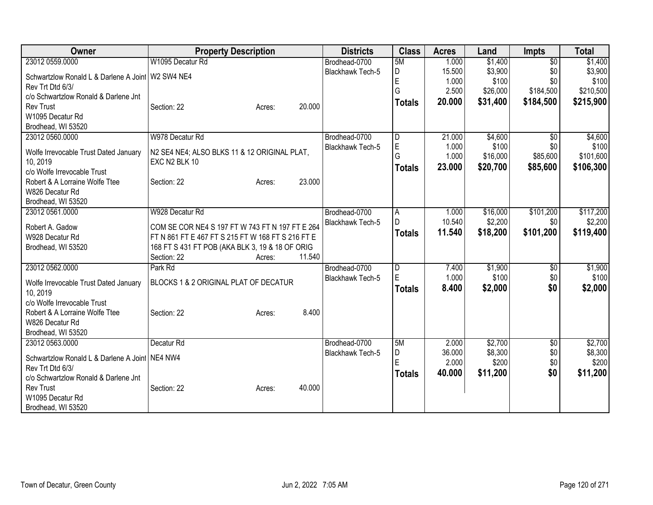| Owner                                                              | <b>Property Description</b>                       | <b>Districts</b>        | <b>Class</b>  | <b>Acres</b> | Land     | <b>Impts</b>    | <b>Total</b> |
|--------------------------------------------------------------------|---------------------------------------------------|-------------------------|---------------|--------------|----------|-----------------|--------------|
| 23012 0559.0000                                                    | W1095 Decatur Rd                                  | Brodhead-0700           | 5M            | 1.000        | \$1,400  | $\overline{30}$ | \$1,400      |
| Schwartzlow Ronald L & Darlene A Joint   W2 SW4 NE4                |                                                   | Blackhawk Tech-5        | D             | 15.500       | \$3,900  | \$0             | \$3,900      |
| Rev Trt Dtd 6/3/                                                   |                                                   |                         | E             | 1.000        | \$100    | \$0             | \$100        |
| c/o Schwartzlow Ronald & Darlene Jnt                               |                                                   |                         | G             | 2.500        | \$26,000 | \$184,500       | \$210,500    |
| <b>Rev Trust</b>                                                   | 20.000<br>Section: 22<br>Acres:                   |                         | <b>Totals</b> | 20,000       | \$31,400 | \$184,500       | \$215,900    |
| W1095 Decatur Rd                                                   |                                                   |                         |               |              |          |                 |              |
| Brodhead, WI 53520                                                 |                                                   |                         |               |              |          |                 |              |
| 23012 0560.0000                                                    | W978 Decatur Rd                                   | Brodhead-0700           | D             | 21.000       | \$4,600  | $\overline{50}$ | \$4,600      |
| Wolfe Irrevocable Trust Dated January                              | N2 SE4 NE4; ALSO BLKS 11 & 12 ORIGINAL PLAT,      | <b>Blackhawk Tech-5</b> | E             | 1.000        | \$100    | \$0             | \$100        |
| 10, 2019                                                           | EXC N2 BLK 10                                     |                         | G             | 1.000        | \$16,000 | \$85,600        | \$101,600    |
| c/o Wolfe Irrevocable Trust                                        |                                                   |                         | <b>Totals</b> | 23.000       | \$20,700 | \$85,600        | \$106,300    |
| Robert & A Lorraine Wolfe Ttee                                     | 23.000<br>Section: 22<br>Acres:                   |                         |               |              |          |                 |              |
| W826 Decatur Rd                                                    |                                                   |                         |               |              |          |                 |              |
| Brodhead, WI 53520                                                 |                                                   |                         |               |              |          |                 |              |
| 23012 0561.0000                                                    | W928 Decatur Rd                                   | Brodhead-0700           | A             | 1.000        | \$16,000 | \$101,200       | \$117,200    |
| Robert A. Gadow                                                    | COM SE COR NE4 S 197 FT W 743 FT N 197 FT E 264   | <b>Blackhawk Tech-5</b> | D             | 10.540       | \$2,200  | \$0             | \$2,200      |
| W928 Decatur Rd                                                    | FT N 861 FT E 467 FT S 215 FT W 168 FT S 216 FT E |                         | <b>Totals</b> | 11.540       | \$18,200 | \$101,200       | \$119,400    |
| Brodhead, WI 53520                                                 | 168 FT S 431 FT POB (AKA BLK 3, 19 & 18 OF ORIG   |                         |               |              |          |                 |              |
|                                                                    | 11.540<br>Section: 22<br>Acres:                   |                         |               |              |          |                 |              |
| 23012 0562.0000                                                    | Park Rd                                           | Brodhead-0700           | D             | 7.400        | \$1,900  | \$0             | \$1,900      |
|                                                                    |                                                   | Blackhawk Tech-5        | E             | 1.000        | \$100    | \$0             | \$100        |
| Wolfe Irrevocable Trust Dated January                              | BLOCKS 1 & 2 ORIGINAL PLAT OF DECATUR             |                         | <b>Totals</b> | 8.400        | \$2,000  | \$0             | \$2,000      |
| 10, 2019<br>c/o Wolfe Irrevocable Trust                            |                                                   |                         |               |              |          |                 |              |
| Robert & A Lorraine Wolfe Ttee                                     | 8.400<br>Section: 22<br>Acres:                    |                         |               |              |          |                 |              |
| W826 Decatur Rd                                                    |                                                   |                         |               |              |          |                 |              |
| Brodhead, WI 53520                                                 |                                                   |                         |               |              |          |                 |              |
| 23012 0563.0000                                                    | Decatur <sub>Rd</sub>                             | Brodhead-0700           | 5M            | 2.000        | \$2,700  | \$0             | \$2,700      |
|                                                                    |                                                   | <b>Blackhawk Tech-5</b> | D             | 36.000       | \$8,300  | \$0             | \$8,300      |
| Schwartzlow Ronald L & Darlene A Joint NE4 NW4<br>Rev Trt Dtd 6/3/ |                                                   |                         | Ė             | 2.000        | \$200    | \$0             | \$200        |
| c/o Schwartzlow Ronald & Darlene Jnt                               |                                                   |                         | <b>Totals</b> | 40.000       | \$11,200 | \$0             | \$11,200     |
| <b>Rev Trust</b>                                                   | 40.000<br>Section: 22<br>Acres:                   |                         |               |              |          |                 |              |
| W1095 Decatur Rd                                                   |                                                   |                         |               |              |          |                 |              |
| Brodhead, WI 53520                                                 |                                                   |                         |               |              |          |                 |              |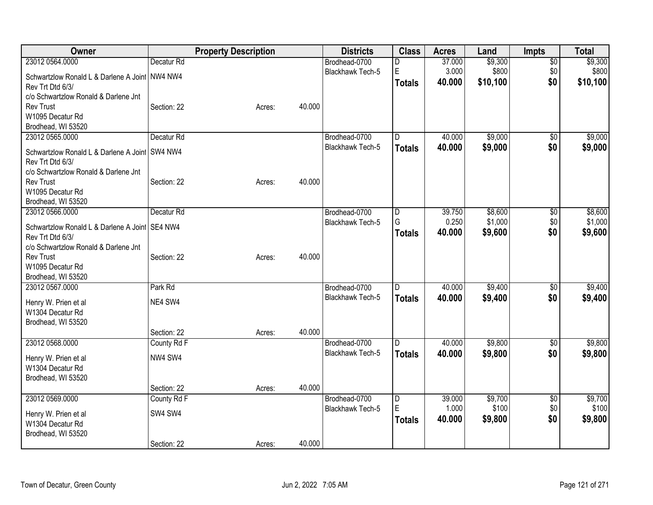| Owner                                                                                              |                       | <b>Property Description</b> | <b>Districts</b>                         | <b>Class</b>            | <b>Acres</b>              | Land                         | Impts                         | <b>Total</b>                 |
|----------------------------------------------------------------------------------------------------|-----------------------|-----------------------------|------------------------------------------|-------------------------|---------------------------|------------------------------|-------------------------------|------------------------------|
| 23012 0564.0000<br>Schwartzlow Ronald L & Darlene A Joint NW4 NW4<br>Rev Trt Dtd 6/3/              | Decatur <sub>Rd</sub> |                             | Brodhead-0700<br><b>Blackhawk Tech-5</b> | D<br>E<br><b>Totals</b> | 37.000<br>3.000<br>40.000 | \$9,300<br>\$800<br>\$10,100 | $\overline{50}$<br>\$0<br>\$0 | \$9,300<br>\$800<br>\$10,100 |
| c/o Schwartzlow Ronald & Darlene Jnt<br><b>Rev Trust</b><br>W1095 Decatur Rd<br>Brodhead, WI 53520 | Section: 22           | 40.000<br>Acres:            |                                          |                         |                           |                              |                               |                              |
| 23012 0565.0000                                                                                    | Decatur <sub>Rd</sub> |                             | Brodhead-0700                            | D                       | 40.000                    | \$9,000                      | \$0                           | \$9,000                      |
| Schwartzlow Ronald L & Darlene A Joint   SW4 NW4<br>Rev Trt Dtd 6/3/                               |                       |                             | <b>Blackhawk Tech-5</b>                  | <b>Totals</b>           | 40.000                    | \$9,000                      | \$0                           | \$9,000                      |
| c/o Schwartzlow Ronald & Darlene Jnt<br><b>Rev Trust</b><br>W1095 Decatur Rd<br>Brodhead, WI 53520 | Section: 22           | 40.000<br>Acres:            |                                          |                         |                           |                              |                               |                              |
| 23012 0566.0000                                                                                    | Decatur <sub>Rd</sub> |                             | Brodhead-0700                            | $\overline{\mathsf{D}}$ | 39.750                    | \$8,600                      | $\overline{50}$               | \$8,600                      |
| Schwartzlow Ronald L & Darlene A Joint SE4 NW4<br>Rev Trt Dtd 6/3/                                 |                       |                             | Blackhawk Tech-5                         | G<br><b>Totals</b>      | 0.250<br>40.000           | \$1,000<br>\$9,600           | \$0<br>\$0                    | \$1,000<br>\$9,600           |
| c/o Schwartzlow Ronald & Darlene Jnt<br><b>Rev Trust</b><br>W1095 Decatur Rd<br>Brodhead, WI 53520 | Section: 22           | 40.000<br>Acres:            |                                          |                         |                           |                              |                               |                              |
| 23012 0567.0000                                                                                    | Park Rd               |                             | Brodhead-0700                            | D.                      | 40.000                    | \$9,400                      | $\overline{60}$               | \$9,400                      |
| Henry W. Prien et al<br>W1304 Decatur Rd<br>Brodhead, WI 53520                                     | NE4 SW4               |                             | Blackhawk Tech-5                         | <b>Totals</b>           | 40.000                    | \$9,400                      | \$0                           | \$9,400                      |
|                                                                                                    | Section: 22           | 40.000<br>Acres:            |                                          |                         |                           |                              |                               |                              |
| 23012 0568.0000                                                                                    | County Rd F           |                             | Brodhead-0700                            | D                       | 40.000                    | \$9,800                      | \$0                           | \$9,800                      |
| Henry W. Prien et al<br>W1304 Decatur Rd<br>Brodhead, WI 53520                                     | NW4 SW4               |                             | <b>Blackhawk Tech-5</b>                  | <b>Totals</b>           | 40.000                    | \$9,800                      | \$0                           | \$9,800                      |
|                                                                                                    | Section: 22           | 40.000<br>Acres:            |                                          |                         |                           |                              |                               |                              |
| 23012 0569.0000                                                                                    | County Rd F           |                             | Brodhead-0700                            | $\overline{\mathsf{D}}$ | 39.000                    | \$9,700                      | \$0                           | \$9,700                      |
| Henry W. Prien et al<br>W1304 Decatur Rd<br>Brodhead, WI 53520                                     | SW4 SW4               |                             | Blackhawk Tech-5                         | E<br><b>Totals</b>      | 1.000<br>40.000           | \$100<br>\$9,800             | \$0<br>\$0                    | \$100<br>\$9,800             |
|                                                                                                    | Section: 22           | 40.000<br>Acres:            |                                          |                         |                           |                              |                               |                              |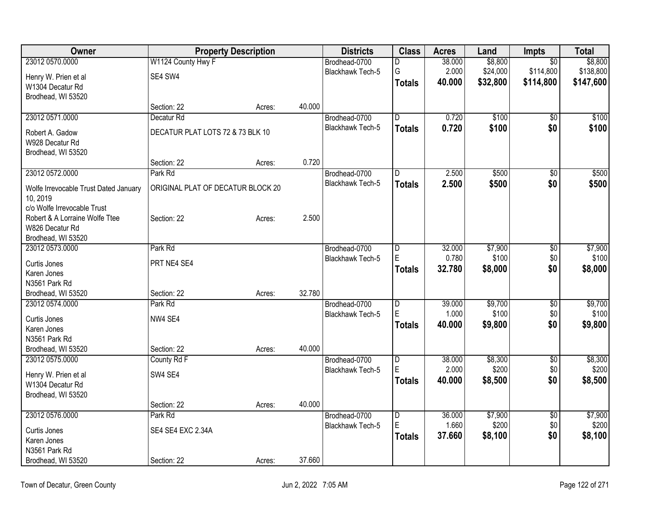| Owner                                 |                                   | <b>Property Description</b> |        | <b>Districts</b>        | <b>Class</b>            | <b>Acres</b> | Land     | <b>Impts</b>    | <b>Total</b> |
|---------------------------------------|-----------------------------------|-----------------------------|--------|-------------------------|-------------------------|--------------|----------|-----------------|--------------|
| 23012 0570.0000                       | W1124 County Hwy F                |                             |        | Brodhead-0700           | D                       | 38.000       | \$8,800  | $\overline{50}$ | \$8,800      |
| Henry W. Prien et al                  | SE4 SW4                           |                             |        | <b>Blackhawk Tech-5</b> | G                       | 2.000        | \$24,000 | \$114,800       | \$138,800    |
| W1304 Decatur Rd                      |                                   |                             |        |                         | <b>Totals</b>           | 40.000       | \$32,800 | \$114,800       | \$147,600    |
| Brodhead, WI 53520                    |                                   |                             |        |                         |                         |              |          |                 |              |
|                                       | Section: 22                       | Acres:                      | 40.000 |                         |                         |              |          |                 |              |
| 23012 0571.0000                       | Decatur Rd                        |                             |        | Brodhead-0700           | D                       | 0.720        | \$100    | $\overline{50}$ | \$100        |
| Robert A. Gadow                       | DECATUR PLAT LOTS 72 & 73 BLK 10  |                             |        | Blackhawk Tech-5        | <b>Totals</b>           | 0.720        | \$100    | \$0             | \$100        |
| W928 Decatur Rd                       |                                   |                             |        |                         |                         |              |          |                 |              |
| Brodhead, WI 53520                    |                                   |                             |        |                         |                         |              |          |                 |              |
|                                       | Section: 22                       | Acres:                      | 0.720  |                         |                         |              |          |                 |              |
| 23012 0572.0000                       | Park Rd                           |                             |        | Brodhead-0700           | D                       | 2.500        | \$500    | $\overline{50}$ | \$500        |
| Wolfe Irrevocable Trust Dated January | ORIGINAL PLAT OF DECATUR BLOCK 20 |                             |        | <b>Blackhawk Tech-5</b> | <b>Totals</b>           | 2.500        | \$500    | \$0             | \$500        |
| 10, 2019                              |                                   |                             |        |                         |                         |              |          |                 |              |
| c/o Wolfe Irrevocable Trust           |                                   |                             |        |                         |                         |              |          |                 |              |
| Robert & A Lorraine Wolfe Ttee        | Section: 22                       | Acres:                      | 2.500  |                         |                         |              |          |                 |              |
| W826 Decatur Rd                       |                                   |                             |        |                         |                         |              |          |                 |              |
| Brodhead, WI 53520                    |                                   |                             |        |                         |                         |              |          |                 |              |
| 23012 0573.0000                       | Park Rd                           |                             |        | Brodhead-0700           | D                       | 32.000       | \$7,900  | \$0             | \$7,900      |
| Curtis Jones                          | PRT NE4 SE4                       |                             |        | Blackhawk Tech-5        | E                       | 0.780        | \$100    | \$0             | \$100        |
| Karen Jones                           |                                   |                             |        |                         | <b>Totals</b>           | 32.780       | \$8,000  | \$0             | \$8,000      |
| N3561 Park Rd                         |                                   |                             |        |                         |                         |              |          |                 |              |
| Brodhead, WI 53520                    | Section: 22                       | Acres:                      | 32.780 |                         |                         |              |          |                 |              |
| 23012 0574.0000                       | Park Rd                           |                             |        | Brodhead-0700           | $\overline{D}$          | 39.000       | \$9,700  | $\overline{50}$ | \$9,700      |
| Curtis Jones                          | NW4 SE4                           |                             |        | Blackhawk Tech-5        | E                       | 1.000        | \$100    | \$0             | \$100        |
| Karen Jones                           |                                   |                             |        |                         | <b>Totals</b>           | 40.000       | \$9,800  | \$0             | \$9,800      |
| N3561 Park Rd                         |                                   |                             |        |                         |                         |              |          |                 |              |
| Brodhead, WI 53520                    | Section: 22                       | Acres:                      | 40.000 |                         |                         |              |          |                 |              |
| 23012 0575.0000                       | County Rd F                       |                             |        | Brodhead-0700           | D                       | 38.000       | \$8,300  | $\overline{60}$ | \$8,300      |
| Henry W. Prien et al                  | SW4 SE4                           |                             |        | Blackhawk Tech-5        | E                       | 2.000        | \$200    | \$0             | \$200        |
| W1304 Decatur Rd                      |                                   |                             |        |                         | <b>Totals</b>           | 40.000       | \$8,500  | \$0             | \$8,500      |
| Brodhead, WI 53520                    |                                   |                             |        |                         |                         |              |          |                 |              |
|                                       | Section: 22                       | Acres:                      | 40.000 |                         |                         |              |          |                 |              |
| 23012 0576.0000                       | Park Rd                           |                             |        | Brodhead-0700           | $\overline{\mathsf{D}}$ | 36.000       | \$7,900  | $\sqrt{6}$      | \$7,900      |
| Curtis Jones                          | SE4 SE4 EXC 2.34A                 |                             |        | <b>Blackhawk Tech-5</b> | E                       | 1.660        | \$200    | \$0             | \$200        |
| Karen Jones                           |                                   |                             |        |                         | <b>Totals</b>           | 37.660       | \$8,100  | \$0             | \$8,100      |
| N3561 Park Rd                         |                                   |                             |        |                         |                         |              |          |                 |              |
| Brodhead, WI 53520                    | Section: 22                       | Acres:                      | 37.660 |                         |                         |              |          |                 |              |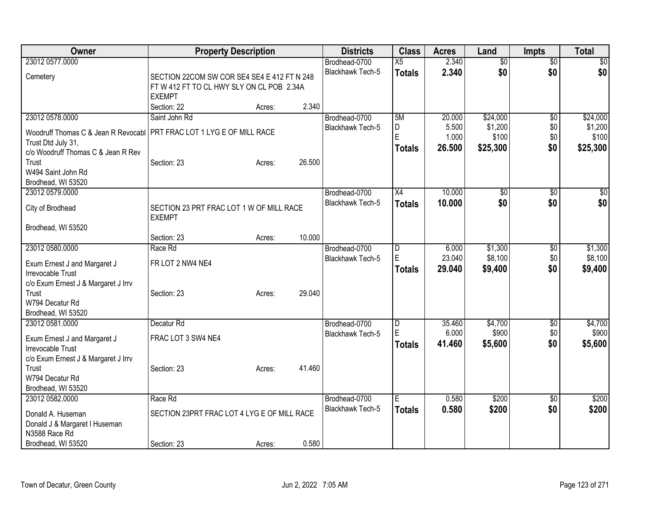| Owner                               | <b>Property Description</b>                 |        |        | <b>Districts</b>                  | <b>Class</b>    | <b>Acres</b> | Land            | <b>Impts</b>    | <b>Total</b>    |
|-------------------------------------|---------------------------------------------|--------|--------|-----------------------------------|-----------------|--------------|-----------------|-----------------|-----------------|
| 23012 0577.0000                     |                                             |        |        | Brodhead-0700                     | $\overline{X5}$ | 2.340        | $\overline{50}$ | $\overline{30}$ | $\overline{50}$ |
| Cemetery                            | SECTION 22COM SW COR SE4 SE4 E 412 FT N 248 |        |        | <b>Blackhawk Tech-5</b>           | <b>Totals</b>   | 2.340        | \$0             | \$0             | \$0             |
|                                     | FT W 412 FT TO CL HWY SLY ON CL POB 2.34A   |        |        |                                   |                 |              |                 |                 |                 |
|                                     | <b>EXEMPT</b>                               |        |        |                                   |                 |              |                 |                 |                 |
|                                     | Section: 22                                 | Acres: | 2.340  |                                   |                 |              |                 |                 |                 |
| 23012 0578.0000                     | Saint John Rd                               |        |        | Brodhead-0700                     | 5M              | 20.000       | \$24,000        | $\overline{50}$ | \$24,000        |
| Woodruff Thomas C & Jean R Revocabl | PRT FRAC LOT 1 LYG E OF MILL RACE           |        |        | Blackhawk Tech-5                  | D               | 5.500        | \$1,200         | \$0             | \$1,200         |
| Trust Dtd July 31,                  |                                             |        |        |                                   | ΙE              | 1.000        | \$100           | \$0             | \$100           |
| c/o Woodruff Thomas C & Jean R Rev  |                                             |        |        |                                   | <b>Totals</b>   | 26.500       | \$25,300        | \$0             | \$25,300        |
| Trust                               | Section: 23                                 | Acres: | 26.500 |                                   |                 |              |                 |                 |                 |
| W494 Saint John Rd                  |                                             |        |        |                                   |                 |              |                 |                 |                 |
| Brodhead, WI 53520                  |                                             |        |        |                                   |                 |              |                 |                 |                 |
| 23012 0579.0000                     |                                             |        |        | Brodhead-0700                     | X4              | 10.000       | \$0             | \$0             | \$0             |
| City of Brodhead                    | SECTION 23 PRT FRAC LOT 1 W OF MILL RACE    |        |        | <b>Blackhawk Tech-5</b>           | <b>Totals</b>   | 10.000       | \$0             | \$0             | \$0             |
|                                     | <b>EXEMPT</b>                               |        |        |                                   |                 |              |                 |                 |                 |
| Brodhead, WI 53520                  |                                             |        |        |                                   |                 |              |                 |                 |                 |
|                                     | Section: 23                                 | Acres: | 10.000 |                                   |                 |              |                 |                 |                 |
| 23012 0580.0000                     | Race Rd                                     |        |        | Brodhead-0700                     | $\overline{D}$  | 6.000        | \$1,300         | \$0             | \$1,300         |
| Exum Ernest J and Margaret J        | FR LOT 2 NW4 NE4                            |        |        | <b>Blackhawk Tech-5</b>           | E               | 23.040       | \$8,100         | \$0             | \$8,100         |
| Irrevocable Trust                   |                                             |        |        |                                   | Totals          | 29.040       | \$9,400         | \$0             | \$9,400         |
| c/o Exum Ernest J & Margaret J Irrv |                                             |        |        |                                   |                 |              |                 |                 |                 |
| Trust                               | Section: 23                                 | Acres: | 29.040 |                                   |                 |              |                 |                 |                 |
| W794 Decatur Rd                     |                                             |        |        |                                   |                 |              |                 |                 |                 |
| Brodhead, WI 53520                  |                                             |        |        |                                   |                 |              |                 |                 |                 |
| 23012 0581.0000                     | Decatur <sub>Rd</sub>                       |        |        | Brodhead-0700                     | $\overline{D}$  | 35.460       | \$4,700         | \$0             | \$4,700         |
| Exum Ernest J and Margaret J        | FRAC LOT 3 SW4 NE4                          |        |        | Blackhawk Tech-5                  | E               | 6.000        | \$900           | \$0             | \$900           |
| Irrevocable Trust                   |                                             |        |        |                                   | <b>Totals</b>   | 41.460       | \$5,600         | \$0             | \$5,600         |
| c/o Exum Ernest J & Margaret J Irrv |                                             |        |        |                                   |                 |              |                 |                 |                 |
| Trust                               | Section: 23                                 | Acres: | 41.460 |                                   |                 |              |                 |                 |                 |
| W794 Decatur Rd                     |                                             |        |        |                                   |                 |              |                 |                 |                 |
| Brodhead, WI 53520                  |                                             |        |        |                                   |                 |              |                 |                 |                 |
| 23012 0582.0000                     | Race Rd                                     |        |        | Brodhead-0700<br>Blackhawk Tech-5 | E               | 0.580        | \$200           | \$0             | \$200           |
| Donald A. Huseman                   | SECTION 23PRT FRAC LOT 4 LYG E OF MILL RACE |        |        |                                   | <b>Totals</b>   | 0.580        | \$200           | \$0             | \$200           |
| Donald J & Margaret I Huseman       |                                             |        |        |                                   |                 |              |                 |                 |                 |
| N3588 Race Rd                       |                                             |        |        |                                   |                 |              |                 |                 |                 |
| Brodhead, WI 53520                  | Section: 23                                 | Acres: | 0.580  |                                   |                 |              |                 |                 |                 |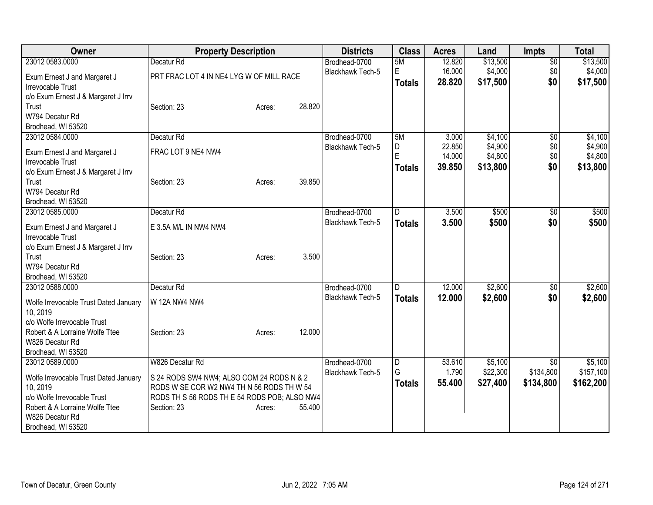| Owner                                             | <b>Property Description</b>                                                     | <b>Districts</b>        | <b>Class</b>  | <b>Acres</b> | Land     | Impts           | <b>Total</b> |
|---------------------------------------------------|---------------------------------------------------------------------------------|-------------------------|---------------|--------------|----------|-----------------|--------------|
| 23012 0583.0000                                   | Decatur Rd                                                                      | Brodhead-0700           | 5M            | 12.820       | \$13,500 | $\overline{50}$ | \$13,500     |
| Exum Ernest J and Margaret J                      | PRT FRAC LOT 4 IN NE4 LYG W OF MILL RACE                                        | Blackhawk Tech-5        | E.            | 16.000       | \$4,000  | \$0             | \$4,000      |
| <b>Irrevocable Trust</b>                          |                                                                                 |                         | <b>Totals</b> | 28.820       | \$17,500 | \$0             | \$17,500     |
| c/o Exum Ernest J & Margaret J Irrv               |                                                                                 |                         |               |              |          |                 |              |
| Trust                                             | 28.820<br>Section: 23<br>Acres:                                                 |                         |               |              |          |                 |              |
| W794 Decatur Rd                                   |                                                                                 |                         |               |              |          |                 |              |
| Brodhead, WI 53520                                |                                                                                 |                         |               |              |          |                 |              |
| 23012 0584.0000                                   | Decatur Rd                                                                      | Brodhead-0700           | 5M            | 3.000        | \$4,100  | \$0             | \$4,100      |
| Exum Ernest J and Margaret J                      | FRAC LOT 9 NE4 NW4                                                              | Blackhawk Tech-5        | D             | 22.850       | \$4,900  | \$0             | \$4,900      |
| Irrevocable Trust                                 |                                                                                 |                         | E             | 14.000       | \$4,800  | \$0             | \$4,800      |
| c/o Exum Ernest J & Margaret J Irrv               |                                                                                 |                         | <b>Totals</b> | 39.850       | \$13,800 | \$0             | \$13,800     |
| Trust                                             | 39.850<br>Section: 23<br>Acres:                                                 |                         |               |              |          |                 |              |
| W794 Decatur Rd                                   |                                                                                 |                         |               |              |          |                 |              |
| Brodhead, WI 53520                                |                                                                                 |                         |               |              |          |                 |              |
| 23012 0585.0000                                   | Decatur Rd                                                                      | Brodhead-0700           | D             | 3.500        | \$500    | \$0             | \$500        |
| Exum Ernest J and Margaret J                      | E 3.5A M/L IN NW4 NW4                                                           | <b>Blackhawk Tech-5</b> | <b>Totals</b> | 3.500        | \$500    | \$0             | \$500        |
| Irrevocable Trust                                 |                                                                                 |                         |               |              |          |                 |              |
| c/o Exum Ernest J & Margaret J Irrv               |                                                                                 |                         |               |              |          |                 |              |
| Trust                                             | Section: 23<br>Acres:                                                           | 3.500                   |               |              |          |                 |              |
| W794 Decatur Rd                                   |                                                                                 |                         |               |              |          |                 |              |
| Brodhead, WI 53520                                |                                                                                 |                         |               |              |          |                 |              |
| 23012 0588.0000                                   | Decatur Rd                                                                      | Brodhead-0700           | D             | 12.000       | \$2,600  | \$0             | \$2,600      |
|                                                   | W 12A NW4 NW4                                                                   | <b>Blackhawk Tech-5</b> | <b>Totals</b> | 12.000       | \$2,600  | \$0             | \$2,600      |
| Wolfe Irrevocable Trust Dated January<br>10, 2019 |                                                                                 |                         |               |              |          |                 |              |
| c/o Wolfe Irrevocable Trust                       |                                                                                 |                         |               |              |          |                 |              |
| Robert & A Lorraine Wolfe Ttee                    | 12.000<br>Section: 23<br>Acres:                                                 |                         |               |              |          |                 |              |
| W826 Decatur Rd                                   |                                                                                 |                         |               |              |          |                 |              |
| Brodhead, WI 53520                                |                                                                                 |                         |               |              |          |                 |              |
| 23012 0589.0000                                   | W826 Decatur Rd                                                                 | Brodhead-0700           | D             | 53.610       | \$5,100  | \$0             | \$5,100      |
|                                                   |                                                                                 | Blackhawk Tech-5        | G             | 1.790        | \$22,300 | \$134,800       | \$157,100    |
| Wolfe Irrevocable Trust Dated January             | S 24 RODS SW4 NW4; ALSO COM 24 RODS N & 2                                       |                         | <b>Totals</b> | 55.400       | \$27,400 | \$134,800       | \$162,200    |
| 10, 2019<br>c/o Wolfe Irrevocable Trust           | RODS W SE COR W2 NW4 TH N 56 RODS TH W 54                                       |                         |               |              |          |                 |              |
| Robert & A Lorraine Wolfe Ttee                    | RODS TH S 56 RODS TH E 54 RODS POB; ALSO NW4<br>Section: 23<br>55.400<br>Acres: |                         |               |              |          |                 |              |
| W826 Decatur Rd                                   |                                                                                 |                         |               |              |          |                 |              |
| Brodhead, WI 53520                                |                                                                                 |                         |               |              |          |                 |              |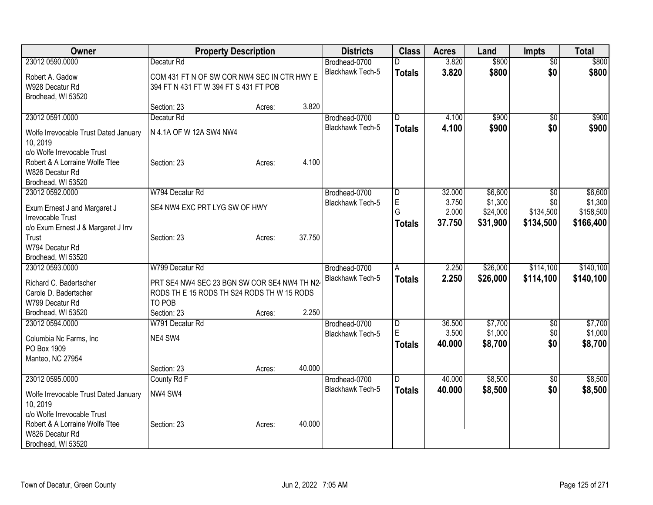| Owner                                 | <b>Property Description</b>                 |        |        | <b>Districts</b>        | <b>Class</b>   | <b>Acres</b> | Land     | <b>Impts</b>    | <b>Total</b> |
|---------------------------------------|---------------------------------------------|--------|--------|-------------------------|----------------|--------------|----------|-----------------|--------------|
| 23012 0590,0000                       | Decatur <sub>Rd</sub>                       |        |        | Brodhead-0700           | D              | 3.820        | \$800    | $\overline{50}$ | \$800        |
| Robert A. Gadow                       | COM 431 FT N OF SW COR NW4 SEC IN CTR HWY E |        |        | <b>Blackhawk Tech-5</b> | <b>Totals</b>  | 3.820        | \$800    | \$0             | \$800        |
| W928 Decatur Rd                       | 394 FT N 431 FT W 394 FT S 431 FT POB       |        |        |                         |                |              |          |                 |              |
| Brodhead, WI 53520                    |                                             |        |        |                         |                |              |          |                 |              |
|                                       | Section: 23                                 | Acres: | 3.820  |                         |                |              |          |                 |              |
| 23012 0591.0000                       | Decatur <sub>Rd</sub>                       |        |        | Brodhead-0700           | D              | 4.100        | \$900    | $\overline{50}$ | \$900        |
| Wolfe Irrevocable Trust Dated January | N 4.1A OF W 12A SW4 NW4                     |        |        | Blackhawk Tech-5        | <b>Totals</b>  | 4.100        | \$900    | \$0             | \$900        |
| 10, 2019                              |                                             |        |        |                         |                |              |          |                 |              |
| c/o Wolfe Irrevocable Trust           |                                             |        |        |                         |                |              |          |                 |              |
| Robert & A Lorraine Wolfe Ttee        | Section: 23                                 | Acres: | 4.100  |                         |                |              |          |                 |              |
| W826 Decatur Rd                       |                                             |        |        |                         |                |              |          |                 |              |
| Brodhead, WI 53520                    |                                             |        |        |                         |                |              |          |                 |              |
| 23012 0592.0000                       | W794 Decatur Rd                             |        |        | Brodhead-0700           | D              | 32.000       | \$6,600  | $\overline{50}$ | \$6,600      |
| Exum Ernest J and Margaret J          | SE4 NW4 EXC PRT LYG SW OF HWY               |        |        | <b>Blackhawk Tech-5</b> | E              | 3.750        | \$1,300  | \$0             | \$1,300      |
| Irrevocable Trust                     |                                             |        |        |                         | G              | 2.000        | \$24,000 | \$134,500       | \$158,500    |
| c/o Exum Ernest J & Margaret J Irrv   |                                             |        |        |                         | <b>Totals</b>  | 37.750       | \$31,900 | \$134,500       | \$166,400    |
| Trust                                 | Section: 23                                 | Acres: | 37.750 |                         |                |              |          |                 |              |
| W794 Decatur Rd                       |                                             |        |        |                         |                |              |          |                 |              |
| Brodhead, WI 53520                    |                                             |        |        |                         |                |              |          |                 |              |
| 23012 0593.0000                       | W799 Decatur Rd                             |        |        | Brodhead-0700           | A              | 2.250        | \$26,000 | \$114,100       | \$140,100    |
| Richard C. Badertscher                | PRT SE4 NW4 SEC 23 BGN SW COR SE4 NW4 TH N2 |        |        | <b>Blackhawk Tech-5</b> | <b>Totals</b>  | 2.250        | \$26,000 | \$114,100       | \$140,100    |
| Carole D. Badertscher                 | RODS THE 15 RODS TH S24 RODS THW 15 RODS    |        |        |                         |                |              |          |                 |              |
| W799 Decatur Rd                       | TO POB                                      |        |        |                         |                |              |          |                 |              |
| Brodhead, WI 53520                    | Section: 23                                 | Acres: | 2.250  |                         |                |              |          |                 |              |
| 23012 0594.0000                       | W791 Decatur Rd                             |        |        | Brodhead-0700           | $\overline{D}$ | 36.500       | \$7,700  | \$0             | \$7,700      |
| Columbia Nc Farms, Inc                | NE4 SW4                                     |        |        | Blackhawk Tech-5        | E              | 3.500        | \$1,000  | \$0             | \$1,000      |
| PO Box 1909                           |                                             |        |        |                         | <b>Totals</b>  | 40.000       | \$8,700  | \$0             | \$8,700      |
| Manteo, NC 27954                      |                                             |        |        |                         |                |              |          |                 |              |
|                                       | Section: 23                                 | Acres: | 40.000 |                         |                |              |          |                 |              |
| 23012 0595.0000                       | County Rd F                                 |        |        | Brodhead-0700           | $\overline{D}$ | 40.000       | \$8,500  | \$0             | \$8,500      |
| Wolfe Irrevocable Trust Dated January | NW4 SW4                                     |        |        | Blackhawk Tech-5        | <b>Totals</b>  | 40.000       | \$8,500  | \$0             | \$8,500      |
| 10, 2019                              |                                             |        |        |                         |                |              |          |                 |              |
| c/o Wolfe Irrevocable Trust           |                                             |        |        |                         |                |              |          |                 |              |
| Robert & A Lorraine Wolfe Ttee        | Section: 23                                 | Acres: | 40.000 |                         |                |              |          |                 |              |
| W826 Decatur Rd                       |                                             |        |        |                         |                |              |          |                 |              |
| Brodhead, WI 53520                    |                                             |        |        |                         |                |              |          |                 |              |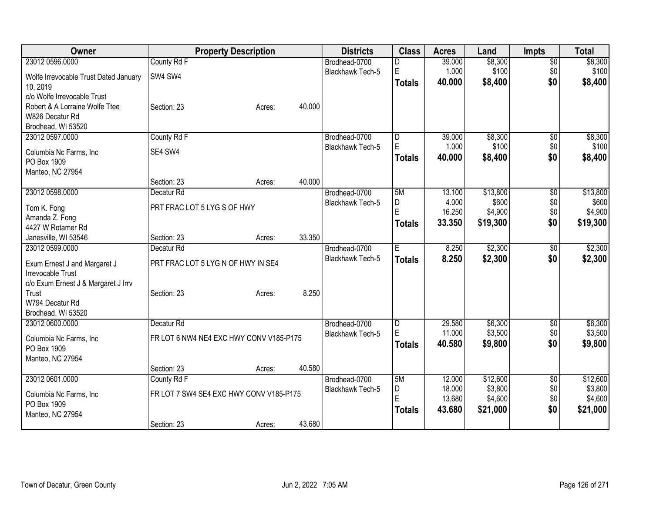| Owner                                        | <b>Property Description</b>             |                  | <b>Districts</b>        | <b>Class</b>  | <b>Acres</b> | Land     | <b>Impts</b>    | <b>Total</b> |
|----------------------------------------------|-----------------------------------------|------------------|-------------------------|---------------|--------------|----------|-----------------|--------------|
| 23012 0596.0000                              | County Rd F                             |                  | Brodhead-0700           | D             | 39.000       | \$8,300  | $\overline{50}$ | \$8,300      |
| Wolfe Irrevocable Trust Dated January        | SW4 SW4                                 |                  | Blackhawk Tech-5        | E             | 1.000        | \$100    | \$0             | \$100        |
| 10, 2019                                     |                                         |                  |                         | <b>Totals</b> | 40.000       | \$8,400  | \$0             | \$8,400      |
| c/o Wolfe Irrevocable Trust                  |                                         |                  |                         |               |              |          |                 |              |
| Robert & A Lorraine Wolfe Ttee               | Section: 23                             | 40.000<br>Acres: |                         |               |              |          |                 |              |
| W826 Decatur Rd                              |                                         |                  |                         |               |              |          |                 |              |
| Brodhead, WI 53520                           |                                         |                  |                         |               |              |          |                 |              |
| 23012 0597.0000                              | County Rd F                             |                  | Brodhead-0700           | D             | 39.000       | \$8,300  | \$0             | \$8,300      |
| Columbia Nc Farms, Inc                       | SE4 SW4                                 |                  | <b>Blackhawk Tech-5</b> | $\mathsf E$   | 1.000        | \$100    | \$0             | \$100        |
| PO Box 1909                                  |                                         |                  |                         | <b>Totals</b> | 40.000       | \$8,400  | \$0             | \$8,400      |
| Manteo, NC 27954                             |                                         |                  |                         |               |              |          |                 |              |
|                                              | Section: 23                             | 40.000<br>Acres: |                         |               |              |          |                 |              |
| 23012 0598.0000                              | Decatur Rd                              |                  | Brodhead-0700           | 5M            | 13.100       | \$13,800 | $\overline{50}$ | \$13,800     |
|                                              | PRT FRAC LOT 5 LYG S OF HWY             |                  | <b>Blackhawk Tech-5</b> | D             | 4.000        | \$600    | \$0             | \$600        |
| Tom K. Fong<br>Amanda Z. Fong                |                                         |                  |                         | E             | 16.250       | \$4,900  | \$0             | \$4,900      |
| 4427 W Rotamer Rd                            |                                         |                  |                         | Totals        | 33.350       | \$19,300 | \$0             | \$19,300     |
| Janesville, WI 53546                         | Section: 23                             | 33.350<br>Acres: |                         |               |              |          |                 |              |
| 23012 0599.0000                              | Decatur <sub>Rd</sub>                   |                  | Brodhead-0700           | E             | 8.250        | \$2,300  | $\overline{50}$ | \$2,300      |
|                                              |                                         |                  | Blackhawk Tech-5        | <b>Totals</b> | 8.250        | \$2,300  | \$0             | \$2,300      |
| Exum Ernest J and Margaret J                 | PRT FRAC LOT 5 LYG N OF HWY IN SE4      |                  |                         |               |              |          |                 |              |
| <b>Irrevocable Trust</b>                     |                                         |                  |                         |               |              |          |                 |              |
| c/o Exum Ernest J & Margaret J Irrv<br>Trust | Section: 23                             | 8.250<br>Acres:  |                         |               |              |          |                 |              |
| W794 Decatur Rd                              |                                         |                  |                         |               |              |          |                 |              |
| Brodhead, WI 53520                           |                                         |                  |                         |               |              |          |                 |              |
| 23012 0600.0000                              | Decatur Rd                              |                  | Brodhead-0700           | D             | 29.580       | \$6,300  | \$0             | \$6,300      |
|                                              |                                         |                  | Blackhawk Tech-5        | E             | 11.000       | \$3,500  | \$0             | \$3,500      |
| Columbia Nc Farms, Inc.                      | FR LOT 6 NW4 NE4 EXC HWY CONV V185-P175 |                  |                         | <b>Totals</b> | 40.580       | \$9,800  | \$0             | \$9,800      |
| PO Box 1909                                  |                                         |                  |                         |               |              |          |                 |              |
| Manteo, NC 27954                             | Section: 23                             | 40.580<br>Acres: |                         |               |              |          |                 |              |
| 23012 0601.0000                              | County Rd F                             |                  | Brodhead-0700           | 5M            | 12.000       | \$12,600 | $\overline{30}$ | \$12,600     |
|                                              |                                         |                  | Blackhawk Tech-5        | D             | 18.000       | \$3,800  | \$0             | \$3,800      |
| Columbia Nc Farms, Inc                       | FR LOT 7 SW4 SE4 EXC HWY CONV V185-P175 |                  |                         | E             | 13.680       | \$4,600  | \$0             | \$4,600      |
| PO Box 1909                                  |                                         |                  |                         | <b>Totals</b> | 43.680       | \$21,000 | \$0             | \$21,000     |
| Manteo, NC 27954                             |                                         |                  |                         |               |              |          |                 |              |
|                                              | Section: 23                             | 43.680<br>Acres: |                         |               |              |          |                 |              |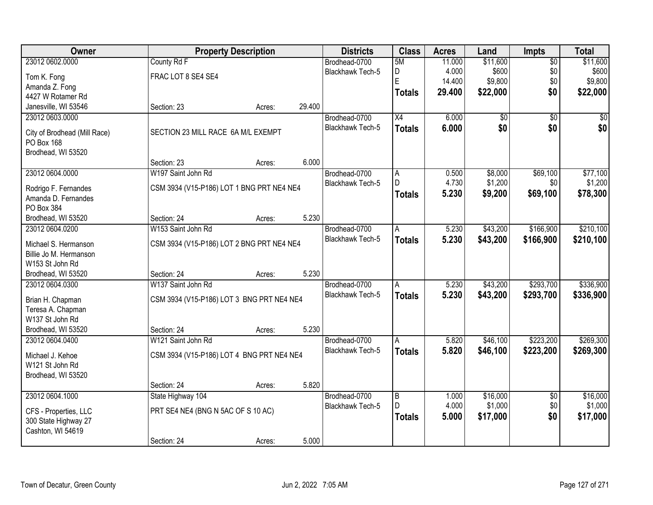| Owner                        |                                           | <b>Property Description</b> |        | <b>Districts</b>                  | <b>Class</b>    | <b>Acres</b>   | Land               | Impts           | <b>Total</b>        |
|------------------------------|-------------------------------------------|-----------------------------|--------|-----------------------------------|-----------------|----------------|--------------------|-----------------|---------------------|
| 23012 0602.0000              | County Rd F                               |                             |        | Brodhead-0700                     | 5M              | 11.000         | \$11,600           | $\overline{50}$ | \$11,600            |
| Tom K. Fong                  | FRAC LOT 8 SE4 SE4                        |                             |        | Blackhawk Tech-5                  | D               | 4.000          | \$600              | \$0             | \$600               |
| Amanda Z. Fong               |                                           |                             |        |                                   | E               | 14.400         | \$9,800            | \$0             | \$9,800             |
| 4427 W Rotamer Rd            |                                           |                             |        |                                   | <b>Totals</b>   | 29.400         | \$22,000           | \$0             | \$22,000            |
| Janesville, WI 53546         | Section: 23                               | Acres:                      | 29.400 |                                   |                 |                |                    |                 |                     |
| 23012 0603.0000              |                                           |                             |        | Brodhead-0700                     | $\overline{X4}$ | 6.000          | $\overline{50}$    | $\overline{50}$ | $\overline{50}$     |
|                              |                                           |                             |        | <b>Blackhawk Tech-5</b>           | <b>Totals</b>   | 6.000          | \$0                | \$0             | \$0                 |
| City of Brodhead (Mill Race) | SECTION 23 MILL RACE 6A M/L EXEMPT        |                             |        |                                   |                 |                |                    |                 |                     |
| PO Box 168                   |                                           |                             |        |                                   |                 |                |                    |                 |                     |
| Brodhead, WI 53520           | Section: 23                               |                             | 6.000  |                                   |                 |                |                    |                 |                     |
|                              | W197 Saint John Rd                        | Acres:                      |        |                                   |                 |                |                    |                 |                     |
| 23012 0604.0000              |                                           |                             |        | Brodhead-0700<br>Blackhawk Tech-5 | A<br>D          | 0.500<br>4.730 | \$8,000<br>\$1,200 | \$69,100<br>\$0 | \$77,100<br>\$1,200 |
| Rodrigo F. Fernandes         | CSM 3934 (V15-P186) LOT 1 BNG PRT NE4 NE4 |                             |        |                                   |                 | 5.230          | \$9,200            |                 |                     |
| Amanda D. Fernandes          |                                           |                             |        |                                   | <b>Totals</b>   |                |                    | \$69,100        | \$78,300            |
| PO Box 384                   |                                           |                             |        |                                   |                 |                |                    |                 |                     |
| Brodhead, WI 53520           | Section: 24                               | Acres:                      | 5.230  |                                   |                 |                |                    |                 |                     |
| 23012 0604.0200              | W153 Saint John Rd                        |                             |        | Brodhead-0700                     | A               | 5.230          | \$43,200           | \$166,900       | \$210,100           |
| Michael S. Hermanson         | CSM 3934 (V15-P186) LOT 2 BNG PRT NE4 NE4 |                             |        | <b>Blackhawk Tech-5</b>           | <b>Totals</b>   | 5.230          | \$43,200           | \$166,900       | \$210,100           |
| Billie Jo M. Hermanson       |                                           |                             |        |                                   |                 |                |                    |                 |                     |
| W153 St John Rd              |                                           |                             |        |                                   |                 |                |                    |                 |                     |
| Brodhead, WI 53520           | Section: 24                               | Acres:                      | 5.230  |                                   |                 |                |                    |                 |                     |
| 23012 0604.0300              | W137 Saint John Rd                        |                             |        | Brodhead-0700                     | A               | 5.230          | \$43,200           | \$293,700       | \$336,900           |
|                              |                                           |                             |        | <b>Blackhawk Tech-5</b>           | <b>Totals</b>   | 5.230          | \$43,200           | \$293,700       | \$336,900           |
| Brian H. Chapman             | CSM 3934 (V15-P186) LOT 3 BNG PRT NE4 NE4 |                             |        |                                   |                 |                |                    |                 |                     |
| Teresa A. Chapman            |                                           |                             |        |                                   |                 |                |                    |                 |                     |
| W137 St John Rd              |                                           |                             |        |                                   |                 |                |                    |                 |                     |
| Brodhead, WI 53520           | Section: 24                               | Acres:                      | 5.230  |                                   |                 |                |                    |                 |                     |
| 23012 0604.0400              | W121 Saint John Rd                        |                             |        | Brodhead-0700                     | A               | 5.820          | \$46,100           | \$223,200       | \$269,300           |
| Michael J. Kehoe             | CSM 3934 (V15-P186) LOT 4 BNG PRT NE4 NE4 |                             |        | Blackhawk Tech-5                  | <b>Totals</b>   | 5.820          | \$46,100           | \$223,200       | \$269,300           |
| W121 St John Rd              |                                           |                             |        |                                   |                 |                |                    |                 |                     |
| Brodhead, WI 53520           |                                           |                             |        |                                   |                 |                |                    |                 |                     |
|                              | Section: 24                               | Acres:                      | 5.820  |                                   |                 |                |                    |                 |                     |
| 23012 0604.1000              | State Highway 104                         |                             |        | Brodhead-0700                     | $\overline{B}$  | 1.000          | \$16,000           | $\overline{50}$ | \$16,000            |
| CFS - Properties, LLC        | PRT SE4 NE4 (BNG N 5AC OF S 10 AC)        |                             |        | Blackhawk Tech-5                  | D               | 4.000          | \$1,000            | \$0             | \$1,000             |
| 300 State Highway 27         |                                           |                             |        |                                   | <b>Totals</b>   | 5.000          | \$17,000           | \$0             | \$17,000            |
| Cashton, WI 54619            |                                           |                             |        |                                   |                 |                |                    |                 |                     |
|                              | Section: 24                               | Acres:                      | 5.000  |                                   |                 |                |                    |                 |                     |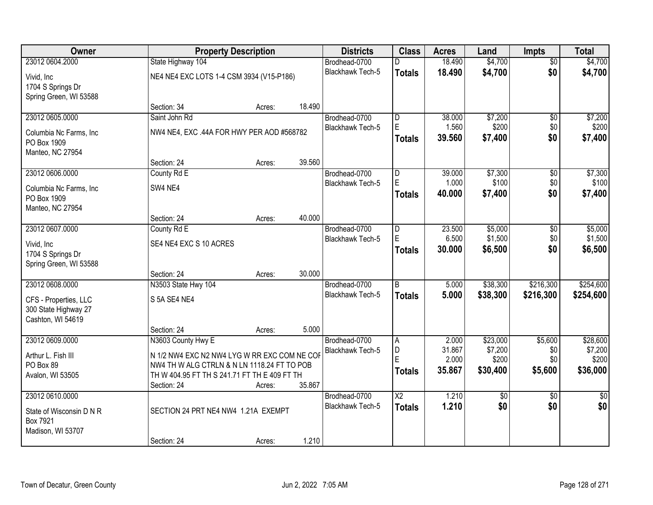| Owner                    |                                              | <b>Property Description</b> |        |                         | <b>Class</b>    | <b>Acres</b>    | Land        | Impts           | <b>Total</b>    |
|--------------------------|----------------------------------------------|-----------------------------|--------|-------------------------|-----------------|-----------------|-------------|-----------------|-----------------|
| 23012 0604.2000          | State Highway 104                            |                             |        | Brodhead-0700           | n               | 18.490          | \$4,700     | $\overline{50}$ | \$4,700         |
| Vivid, Inc.              | NE4 NE4 EXC LOTS 1-4 CSM 3934 (V15-P186)     |                             |        | Blackhawk Tech-5        | <b>Totals</b>   | 18.490          | \$4,700     | \$0             | \$4,700         |
| 1704 S Springs Dr        |                                              |                             |        |                         |                 |                 |             |                 |                 |
| Spring Green, WI 53588   |                                              |                             |        |                         |                 |                 |             |                 |                 |
|                          | Section: 34                                  | Acres:                      | 18.490 |                         |                 |                 |             |                 |                 |
| 23012 0605.0000          | Saint John Rd                                |                             |        | Brodhead-0700           | D               | 38.000          | \$7,200     | $\overline{50}$ | \$7,200         |
| Columbia Nc Farms, Inc   | NW4 NE4, EXC .44A FOR HWY PER AOD #568782    |                             |        | <b>Blackhawk Tech-5</b> | E               | 1.560           | \$200       | \$0             | \$200           |
| PO Box 1909              |                                              |                             |        |                         | <b>Totals</b>   | 39.560          | \$7,400     | \$0             | \$7,400         |
| Manteo, NC 27954         |                                              |                             |        |                         |                 |                 |             |                 |                 |
|                          | Section: 24                                  | Acres:                      | 39.560 |                         |                 |                 |             |                 |                 |
| 23012 0606.0000          | County Rd E                                  |                             |        | Brodhead-0700           | D               | 39.000          | \$7,300     | \$0             | \$7,300         |
| Columbia Nc Farms, Inc.  | SW4 NE4                                      |                             |        | Blackhawk Tech-5        | E               | 1.000           | \$100       | \$0             | \$100           |
| PO Box 1909              |                                              |                             |        |                         | <b>Totals</b>   | 40.000          | \$7,400     | \$0             | \$7,400         |
| Manteo, NC 27954         |                                              |                             |        |                         |                 |                 |             |                 |                 |
|                          | Section: 24                                  | Acres:                      | 40.000 |                         |                 |                 |             |                 |                 |
| 23012 0607.0000          | County Rd E                                  |                             |        | Brodhead-0700           | D               | 23.500          | \$5,000     | \$0             | \$5,000         |
| Vivid, Inc.              | SE4 NE4 EXC S 10 ACRES                       |                             |        | <b>Blackhawk Tech-5</b> | E               | 6.500           | \$1,500     | \$0             | \$1,500         |
| 1704 S Springs Dr        |                                              |                             |        |                         | <b>Totals</b>   | 30.000          | \$6,500     | \$0             | \$6,500         |
| Spring Green, WI 53588   |                                              |                             |        |                         |                 |                 |             |                 |                 |
|                          | Section: 24                                  | Acres:                      | 30.000 |                         |                 |                 |             |                 |                 |
| 23012 0608.0000          | N3503 State Hwy 104                          |                             |        | Brodhead-0700           | $\overline{B}$  | 5.000           | \$38,300    | \$216,300       | \$254,600       |
| CFS - Properties, LLC    | S 5A SE4 NE4                                 |                             |        | <b>Blackhawk Tech-5</b> | <b>Totals</b>   | 5.000           | \$38,300    | \$216,300       | \$254,600       |
| 300 State Highway 27     |                                              |                             |        |                         |                 |                 |             |                 |                 |
| Cashton, WI 54619        |                                              |                             |        |                         |                 |                 |             |                 |                 |
|                          | Section: 24                                  | Acres:                      | 5.000  |                         |                 |                 |             |                 |                 |
| 23012 0609.0000          | N3603 County Hwy E                           |                             |        | Brodhead-0700           | A               | 2.000           | \$23,000    | \$5,600         | \$28,600        |
| Arthur L. Fish III       | N 1/2 NW4 EXC N2 NW4 LYG W RR EXC COM NE COF |                             |        | Blackhawk Tech-5        | D<br>E          | 31.867          | \$7,200     | \$0             | \$7,200         |
| PO Box 89                | NW4 TH W ALG CTRLN & N LN 1118.24 FT TO POB  |                             |        |                         |                 | 2.000<br>35.867 | \$200       | \$0             | \$200           |
| Avalon, WI 53505         | TH W 404.95 FT TH S 241.71 FT TH E 409 FT TH |                             |        |                         | <b>Totals</b>   |                 | \$30,400    | \$5,600         | \$36,000        |
|                          | Section: 24                                  | Acres:                      | 35.867 |                         |                 |                 |             |                 |                 |
| 23012 0610.0000          |                                              |                             |        | Brodhead-0700           | $\overline{X2}$ | 1.210           | $\sqrt{$0}$ | $\overline{50}$ | $\overline{50}$ |
| State of Wisconsin D N R | SECTION 24 PRT NE4 NW4 1.21A EXEMPT          |                             |        | Blackhawk Tech-5        | <b>Totals</b>   | 1.210           | \$0         | \$0             | \$0             |
| Box 7921                 |                                              |                             |        |                         |                 |                 |             |                 |                 |
| Madison, WI 53707        |                                              |                             |        |                         |                 |                 |             |                 |                 |
|                          | Section: 24                                  | Acres:                      | 1.210  |                         |                 |                 |             |                 |                 |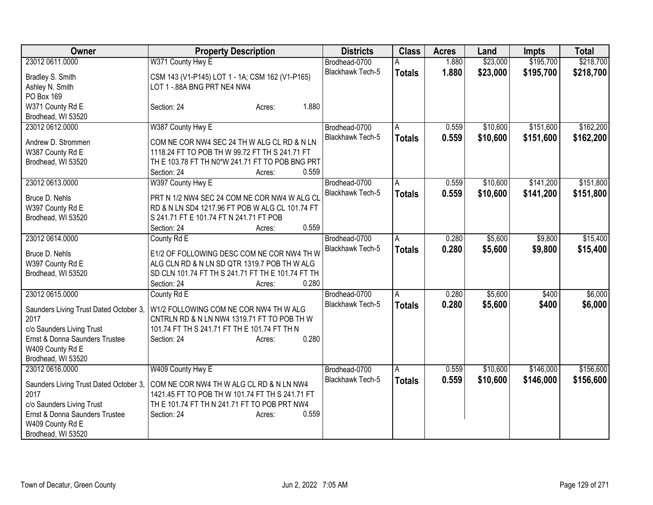| Owner                                          | <b>Property Description</b>                                                                | <b>Districts</b>                  | <b>Class</b>  | <b>Acres</b> | Land     | <b>Impts</b> | <b>Total</b> |
|------------------------------------------------|--------------------------------------------------------------------------------------------|-----------------------------------|---------------|--------------|----------|--------------|--------------|
| 23012 0611.0000                                | W371 County Hwy E                                                                          | Brodhead-0700                     |               | 1.880        | \$23,000 | \$195,700    | \$218,700    |
| Bradley S. Smith                               | CSM 143 (V1-P145) LOT 1 - 1A; CSM 162 (V1-P165)                                            | Blackhawk Tech-5                  | <b>Totals</b> | 1.880        | \$23,000 | \$195,700    | \$218,700    |
| Ashley N. Smith                                | LOT 1 -. 88A BNG PRT NE4 NW4                                                               |                                   |               |              |          |              |              |
| PO Box 169                                     |                                                                                            |                                   |               |              |          |              |              |
| W371 County Rd E                               | 1.880<br>Section: 24<br>Acres:                                                             |                                   |               |              |          |              |              |
| Brodhead, WI 53520                             |                                                                                            |                                   |               |              |          |              |              |
| 23012 0612.0000                                | W387 County Hwy E                                                                          | Brodhead-0700                     | A             | 0.559        | \$10,600 | \$151,600    | \$162,200    |
| Andrew D. Strommen                             | COM NE COR NW4 SEC 24 TH W ALG CL RD & N LN                                                | Blackhawk Tech-5                  | <b>Totals</b> | 0.559        | \$10,600 | \$151,600    | \$162,200    |
| W387 County Rd E                               | 1118.24 FT TO POB TH W 99.72 FT TH S 241.71 FT                                             |                                   |               |              |          |              |              |
| Brodhead, WI 53520                             | TH E 103.78 FT TH N0*W 241.71 FT TO POB BNG PRT                                            |                                   |               |              |          |              |              |
|                                                | 0.559<br>Section: 24<br>Acres:                                                             |                                   |               |              |          |              |              |
| 23012 0613.0000                                |                                                                                            |                                   |               | 0.559        | \$10,600 | \$141,200    | \$151,800    |
|                                                | W397 County Hwy E                                                                          | Brodhead-0700<br>Blackhawk Tech-5 | A             |              |          |              |              |
| Bruce D. Nehls                                 | PRT N 1/2 NW4 SEC 24 COM NE COR NW4 W ALG CL                                               |                                   | <b>Totals</b> | 0.559        | \$10,600 | \$141,200    | \$151,800    |
| W397 County Rd E                               | RD & N LN SD4 1217.96 FT POB W ALG CL 101.74 FT                                            |                                   |               |              |          |              |              |
| Brodhead, WI 53520                             | S 241.71 FT E 101.74 FT N 241.71 FT POB                                                    |                                   |               |              |          |              |              |
|                                                | 0.559<br>Section: 24<br>Acres:                                                             |                                   |               |              |          |              |              |
| 23012 0614.0000                                | County Rd E                                                                                | Brodhead-0700                     | A             | 0.280        | \$5,600  | \$9,800      | \$15,400     |
|                                                |                                                                                            | <b>Blackhawk Tech-5</b>           | <b>Totals</b> | 0.280        | \$5,600  | \$9,800      | \$15,400     |
| Bruce D. Nehls                                 | E1/2 OF FOLLOWING DESC COM NE COR NW4 TH W<br>ALG CLN RD & N LN SD QTR 1319.7 POB TH W ALG |                                   |               |              |          |              |              |
| W397 County Rd E                               |                                                                                            |                                   |               |              |          |              |              |
| Brodhead, WI 53520                             | SD CLN 101.74 FT TH S 241.71 FT TH E 101.74 FT TH<br>0.280                                 |                                   |               |              |          |              |              |
| 23012 0615.0000                                | Section: 24<br>Acres:                                                                      |                                   |               |              | \$5,600  |              | \$6,000      |
|                                                | County Rd E                                                                                | Brodhead-0700                     | A             | 0.280        |          | \$400        |              |
| Saunders Living Trust Dated October 3,         | W1/2 FOLLOWING COM NE COR NW4 TH W ALG                                                     | <b>Blackhawk Tech-5</b>           | <b>Totals</b> | 0.280        | \$5,600  | \$400        | \$6,000      |
| 2017                                           | CNTRLN RD & N LN NW4 1319.71 FT TO POB TH W                                                |                                   |               |              |          |              |              |
| c/o Saunders Living Trust                      | 101.74 FT TH S 241.71 FT TH E 101.74 FT TH N                                               |                                   |               |              |          |              |              |
| Ernst & Donna Saunders Trustee                 | 0.280<br>Section: 24<br>Acres:                                                             |                                   |               |              |          |              |              |
| W409 County Rd E                               |                                                                                            |                                   |               |              |          |              |              |
| Brodhead, WI 53520                             |                                                                                            |                                   |               |              |          |              |              |
| 23012 0616.0000                                | W409 County Hwy E                                                                          | Brodhead-0700                     | A             | 0.559        | \$10,600 | \$146,000    | \$156,600    |
|                                                | COM NE COR NW4 TH W ALG CL RD & N LN NW4                                                   | <b>Blackhawk Tech-5</b>           | <b>Totals</b> | 0.559        | \$10,600 | \$146,000    | \$156,600    |
| Saunders Living Trust Dated October 3,<br>2017 | 1421.45 FT TO POB TH W 101.74 FT TH S 241.71 FT                                            |                                   |               |              |          |              |              |
| c/o Saunders Living Trust                      | TH E 101.74 FT TH N 241.71 FT TO POB PRT NW4                                               |                                   |               |              |          |              |              |
| Ernst & Donna Saunders Trustee                 | 0.559                                                                                      |                                   |               |              |          |              |              |
|                                                | Section: 24<br>Acres:                                                                      |                                   |               |              |          |              |              |
| W409 County Rd E                               |                                                                                            |                                   |               |              |          |              |              |
| Brodhead, WI 53520                             |                                                                                            |                                   |               |              |          |              |              |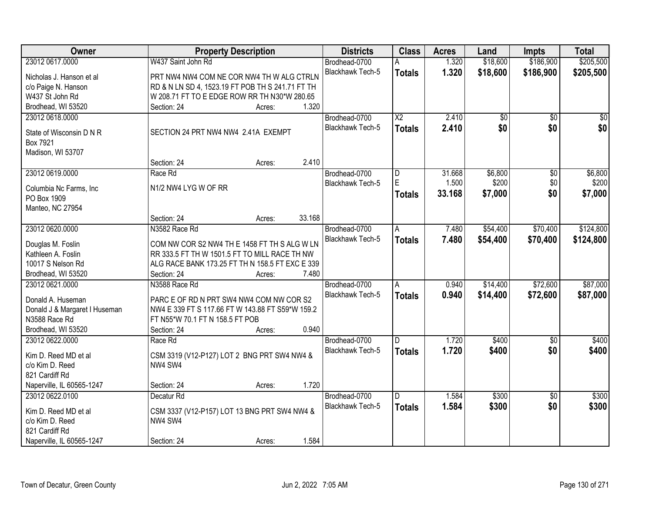| <b>Owner</b>                          | <b>Property Description</b>                                    | <b>Districts</b>        | <b>Class</b>           | <b>Acres</b> | Land     | <b>Impts</b>    | <b>Total</b>    |
|---------------------------------------|----------------------------------------------------------------|-------------------------|------------------------|--------------|----------|-----------------|-----------------|
| 23012 0617.0000                       | W437 Saint John Rd                                             | Brodhead-0700           |                        | 1.320        | \$18,600 | \$186,900       | \$205,500       |
| Nicholas J. Hanson et al              | PRT NW4 NW4 COM NE COR NW4 TH W ALG CTRLN                      | Blackhawk Tech-5        | <b>Totals</b>          | 1.320        | \$18,600 | \$186,900       | \$205,500       |
| c/o Paige N. Hanson                   | RD & N LN SD 4, 1523.19 FT POB TH S 241.71 FT TH               |                         |                        |              |          |                 |                 |
| W437 St John Rd                       | W 208.71 FT TO E EDGE ROW RR TH N30*W 280.65                   |                         |                        |              |          |                 |                 |
| Brodhead, WI 53520                    | Section: 24<br>Acres:                                          | 1.320                   |                        |              |          |                 |                 |
| 23012 0618.0000                       |                                                                | Brodhead-0700           | $\overline{\text{X2}}$ | 2.410        | \$0      | $\overline{50}$ | $\overline{50}$ |
|                                       |                                                                | <b>Blackhawk Tech-5</b> | <b>Totals</b>          | 2.410        | \$0      | \$0             | \$0             |
| State of Wisconsin D N R              | SECTION 24 PRT NW4 NW4 2.41A EXEMPT                            |                         |                        |              |          |                 |                 |
| Box 7921                              |                                                                |                         |                        |              |          |                 |                 |
| Madison, WI 53707                     |                                                                |                         |                        |              |          |                 |                 |
|                                       | Section: 24<br>Acres:                                          | 2.410                   |                        |              |          |                 |                 |
| 23012 0619.0000                       | Race Rd                                                        | Brodhead-0700           | D                      | 31.668       | \$6,800  | $\overline{50}$ | \$6,800         |
| Columbia Nc Farms, Inc                | N1/2 NW4 LYG W OF RR                                           | Blackhawk Tech-5        | E                      | 1.500        | \$200    | \$0             | \$200           |
| PO Box 1909                           |                                                                |                         | <b>Totals</b>          | 33.168       | \$7,000  | \$0             | \$7,000         |
| Manteo, NC 27954                      |                                                                |                         |                        |              |          |                 |                 |
|                                       | Section: 24<br>Acres:                                          | 33.168                  |                        |              |          |                 |                 |
| 23012 0620.0000                       | N3582 Race Rd                                                  | Brodhead-0700           | A                      | 7.480        | \$54,400 | \$70,400        | \$124,800       |
|                                       |                                                                | Blackhawk Tech-5        | <b>Totals</b>          | 7.480        | \$54,400 | \$70,400        | \$124,800       |
| Douglas M. Foslin                     | COM NW COR S2 NW4 TH E 1458 FT TH S ALG W LN                   |                         |                        |              |          |                 |                 |
| Kathleen A. Foslin                    | RR 333.5 FT TH W 1501.5 FT TO MILL RACE TH NW                  |                         |                        |              |          |                 |                 |
| 10017 S Nelson Rd                     | ALG RACE BANK 173.25 FT TH N 158.5 FT EXC E 339<br>Section: 24 | 7.480                   |                        |              |          |                 |                 |
| Brodhead, WI 53520<br>23012 0621.0000 | Acres:<br>N3588 Race Rd                                        |                         |                        | 0.940        | \$14,400 | \$72,600        | \$87,000        |
|                                       |                                                                | Brodhead-0700           | A                      |              |          |                 |                 |
| Donald A. Huseman                     | PARC E OF RD N PRT SW4 NW4 COM NW COR S2                       | <b>Blackhawk Tech-5</b> | <b>Totals</b>          | 0.940        | \$14,400 | \$72,600        | \$87,000        |
| Donald J & Margaret I Huseman         | NW4 E 339 FT S 117.66 FT W 143.88 FT S59*W 159.2               |                         |                        |              |          |                 |                 |
| N3588 Race Rd                         | FT N55*W 70.1 FT N 158.5 FT POB                                |                         |                        |              |          |                 |                 |
| Brodhead, WI 53520                    | Section: 24<br>Acres:                                          | 0.940                   |                        |              |          |                 |                 |
| 23012 0622.0000                       | Race Rd                                                        | Brodhead-0700           | D                      | 1.720        | \$400    | $\overline{50}$ | \$400           |
| Kim D. Reed MD et al                  | CSM 3319 (V12-P127) LOT 2 BNG PRT SW4 NW4 &                    | Blackhawk Tech-5        | <b>Totals</b>          | 1.720        | \$400    | \$0             | \$400           |
| c/o Kim D. Reed                       | NW4 SW4                                                        |                         |                        |              |          |                 |                 |
| 821 Cardiff Rd                        |                                                                |                         |                        |              |          |                 |                 |
| Naperville, IL 60565-1247             | Section: 24<br>Acres:                                          | 1.720                   |                        |              |          |                 |                 |
| 23012 0622.0100                       | Decatur <sub>Rd</sub>                                          | Brodhead-0700           | D                      | 1.584        | \$300    | $\overline{50}$ | \$300           |
|                                       |                                                                | Blackhawk Tech-5        |                        | 1.584        | \$300    | \$0             | \$300           |
| Kim D. Reed MD et al                  | CSM 3337 (V12-P157) LOT 13 BNG PRT SW4 NW4 &                   |                         | <b>Totals</b>          |              |          |                 |                 |
| c/o Kim D. Reed                       | NW4 SW4                                                        |                         |                        |              |          |                 |                 |
| 821 Cardiff Rd                        |                                                                |                         |                        |              |          |                 |                 |
| Naperville, IL 60565-1247             | Section: 24<br>Acres:                                          | 1.584                   |                        |              |          |                 |                 |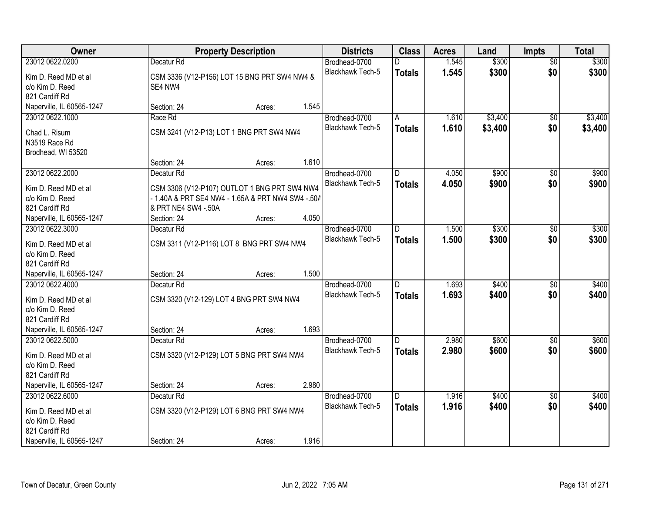| Owner                                        |                                      | <b>Property Description</b>                       |       |                                          | <b>Class</b>   | <b>Acres</b> | Land    | <b>Impts</b>           | <b>Total</b> |
|----------------------------------------------|--------------------------------------|---------------------------------------------------|-------|------------------------------------------|----------------|--------------|---------|------------------------|--------------|
| 23012 0622.0200                              | Decatur <sub>Rd</sub>                |                                                   |       | Brodhead-0700                            | D              | 1.545        | \$300   | $\overline{50}$        | \$300        |
| Kim D. Reed MD et al                         |                                      | CSM 3336 (V12-P156) LOT 15 BNG PRT SW4 NW4 &      |       | Blackhawk Tech-5                         | <b>Totals</b>  | 1.545        | \$300   | \$0                    | \$300        |
| c/o Kim D. Reed                              | SE4 NW4                              |                                                   |       |                                          |                |              |         |                        |              |
| 821 Cardiff Rd                               |                                      |                                                   |       |                                          |                |              |         |                        |              |
| Naperville, IL 60565-1247                    | Section: 24                          | Acres:                                            | 1.545 |                                          |                |              |         |                        |              |
| 23012 0622.1000                              | Race Rd                              |                                                   |       | Brodhead-0700                            | A              | 1.610        | \$3,400 | \$0                    | \$3,400      |
| Chad L. Risum                                |                                      | CSM 3241 (V12-P13) LOT 1 BNG PRT SW4 NW4          |       | Blackhawk Tech-5                         | <b>Totals</b>  | 1.610        | \$3,400 | \$0                    | \$3,400      |
| N3519 Race Rd                                |                                      |                                                   |       |                                          |                |              |         |                        |              |
| Brodhead, WI 53520                           |                                      |                                                   |       |                                          |                |              |         |                        |              |
|                                              | Section: 24                          | Acres:                                            | 1.610 |                                          |                |              |         |                        |              |
| 23012 0622.2000                              | Decatur Rd                           |                                                   |       | Brodhead-0700                            | ID.            | 4.050        | \$900   | \$0                    | \$900        |
| Kim D. Reed MD et al                         |                                      | CSM 3306 (V12-P107) OUTLOT 1 BNG PRT SW4 NW4      |       | Blackhawk Tech-5                         | <b>Totals</b>  | 4.050        | \$900   | \$0                    | \$900        |
| c/o Kim D. Reed                              |                                      | - 1.40A & PRT SE4 NW4 - 1.65A & PRT NW4 SW4 -.50/ |       |                                          |                |              |         |                        |              |
| 821 Cardiff Rd                               | & PRT NE4 SW4 -.50A                  |                                                   |       |                                          |                |              |         |                        |              |
| Naperville, IL 60565-1247                    | Section: 24                          | Acres:                                            | 4.050 |                                          |                |              |         |                        |              |
| 23012 0622.3000                              | Decatur <sub>Rd</sub>                |                                                   |       | Brodhead-0700                            | ID.            | 1.500        | \$300   | $\overline{30}$        | \$300        |
|                                              |                                      |                                                   |       | <b>Blackhawk Tech-5</b>                  | <b>Totals</b>  | 1.500        | \$300   | \$0                    | \$300        |
| Kim D. Reed MD et al<br>c/o Kim D. Reed      |                                      | CSM 3311 (V12-P116) LOT 8 BNG PRT SW4 NW4         |       |                                          |                |              |         |                        |              |
| 821 Cardiff Rd                               |                                      |                                                   |       |                                          |                |              |         |                        |              |
| Naperville, IL 60565-1247                    | Section: 24                          | Acres:                                            | 1.500 |                                          |                |              |         |                        |              |
| 23012 0622.4000                              | Decatur <sub>Rd</sub>                |                                                   |       | Brodhead-0700                            | $\overline{D}$ | 1.693        | \$400   | $\overline{50}$        | \$400        |
|                                              |                                      |                                                   |       | <b>Blackhawk Tech-5</b>                  | <b>Totals</b>  | 1.693        | \$400   | \$0                    | \$400        |
| Kim D. Reed MD et al                         |                                      | CSM 3320 (V12-129) LOT 4 BNG PRT SW4 NW4          |       |                                          |                |              |         |                        |              |
| c/o Kim D. Reed                              |                                      |                                                   |       |                                          |                |              |         |                        |              |
| 821 Cardiff Rd                               |                                      |                                                   | 1.693 |                                          |                |              |         |                        |              |
| Naperville, IL 60565-1247<br>23012 0622.5000 | Section: 24<br>Decatur <sub>Rd</sub> | Acres:                                            |       |                                          | ID.            | 2.980        | \$600   |                        | \$600        |
|                                              |                                      |                                                   |       | Brodhead-0700<br><b>Blackhawk Tech-5</b> |                | 2.980        | \$600   | $\overline{50}$<br>\$0 | \$600        |
| Kim D. Reed MD et al                         |                                      | CSM 3320 (V12-P129) LOT 5 BNG PRT SW4 NW4         |       |                                          | <b>Totals</b>  |              |         |                        |              |
| c/o Kim D. Reed                              |                                      |                                                   |       |                                          |                |              |         |                        |              |
| 821 Cardiff Rd                               |                                      |                                                   |       |                                          |                |              |         |                        |              |
| Naperville, IL 60565-1247                    | Section: 24                          | Acres:                                            | 2.980 |                                          |                |              |         |                        |              |
| 23012 0622.6000                              | Decatur Rd                           |                                                   |       | Brodhead-0700                            | D              | 1.916        | \$400   | $\overline{50}$        | \$400        |
| Kim D. Reed MD et al                         |                                      | CSM 3320 (V12-P129) LOT 6 BNG PRT SW4 NW4         |       | <b>Blackhawk Tech-5</b>                  | <b>Totals</b>  | 1.916        | \$400   | \$0                    | \$400        |
| c/o Kim D. Reed                              |                                      |                                                   |       |                                          |                |              |         |                        |              |
| 821 Cardiff Rd                               |                                      |                                                   |       |                                          |                |              |         |                        |              |
| Naperville, IL 60565-1247                    | Section: 24                          | Acres:                                            | 1.916 |                                          |                |              |         |                        |              |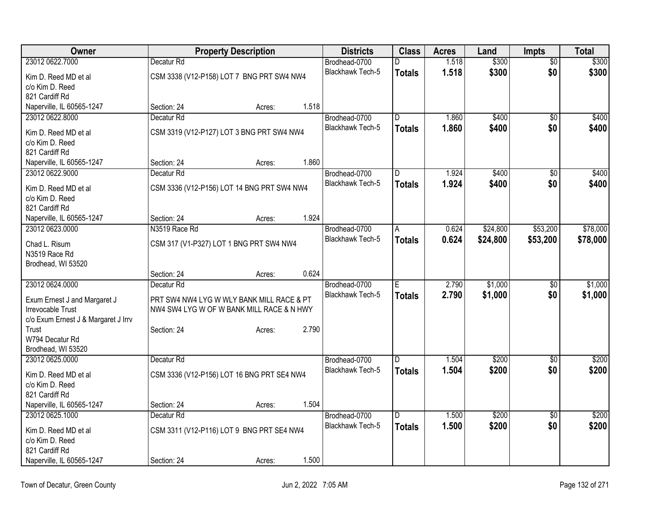| Owner                               |                                            | <b>Property Description</b> |       |                         | <b>Class</b>   | <b>Acres</b> | Land     | <b>Impts</b>    | <b>Total</b> |
|-------------------------------------|--------------------------------------------|-----------------------------|-------|-------------------------|----------------|--------------|----------|-----------------|--------------|
| 23012 0622.7000                     | Decatur Rd                                 |                             |       | Brodhead-0700           | D              | 1.518        | \$300    | $\overline{50}$ | \$300        |
| Kim D. Reed MD et al                | CSM 3338 (V12-P158) LOT 7 BNG PRT SW4 NW4  |                             |       | <b>Blackhawk Tech-5</b> | <b>Totals</b>  | 1.518        | \$300    | \$0             | \$300        |
| c/o Kim D. Reed                     |                                            |                             |       |                         |                |              |          |                 |              |
| 821 Cardiff Rd                      |                                            |                             |       |                         |                |              |          |                 |              |
| Naperville, IL 60565-1247           | Section: 24                                | Acres:                      | 1.518 |                         |                |              |          |                 |              |
| 23012 0622.8000                     | Decatur <sub>Rd</sub>                      |                             |       | Brodhead-0700           | $\overline{D}$ | 1.860        | \$400    | \$0             | \$400        |
| Kim D. Reed MD et al                | CSM 3319 (V12-P127) LOT 3 BNG PRT SW4 NW4  |                             |       | <b>Blackhawk Tech-5</b> | <b>Totals</b>  | 1.860        | \$400    | \$0             | \$400        |
| c/o Kim D. Reed                     |                                            |                             |       |                         |                |              |          |                 |              |
| 821 Cardiff Rd                      |                                            |                             |       |                         |                |              |          |                 |              |
| Naperville, IL 60565-1247           | Section: 24                                | Acres:                      | 1.860 |                         |                |              |          |                 |              |
| 23012 0622.9000                     | Decatur <sub>Rd</sub>                      |                             |       | Brodhead-0700           | D              | 1.924        | \$400    | \$0             | \$400        |
| Kim D. Reed MD et al                | CSM 3336 (V12-P156) LOT 14 BNG PRT SW4 NW4 |                             |       | Blackhawk Tech-5        | <b>Totals</b>  | 1.924        | \$400    | \$0             | \$400        |
| c/o Kim D. Reed                     |                                            |                             |       |                         |                |              |          |                 |              |
| 821 Cardiff Rd                      |                                            |                             |       |                         |                |              |          |                 |              |
| Naperville, IL 60565-1247           | Section: 24                                | Acres:                      | 1.924 |                         |                |              |          |                 |              |
| 23012 0623.0000                     | N3519 Race Rd                              |                             |       | Brodhead-0700           | $\overline{A}$ | 0.624        | \$24,800 | \$53,200        | \$78,000     |
| Chad L. Risum                       | CSM 317 (V1-P327) LOT 1 BNG PRT SW4 NW4    |                             |       | Blackhawk Tech-5        | <b>Totals</b>  | 0.624        | \$24,800 | \$53,200        | \$78,000     |
| N3519 Race Rd                       |                                            |                             |       |                         |                |              |          |                 |              |
| Brodhead, WI 53520                  |                                            |                             |       |                         |                |              |          |                 |              |
|                                     | Section: 24                                | Acres:                      | 0.624 |                         |                |              |          |                 |              |
| 23012 0624.0000                     | Decatur <sub>Rd</sub>                      |                             |       | Brodhead-0700           | Έ              | 2.790        | \$1,000  | $\overline{50}$ | \$1,000      |
| Exum Ernest J and Margaret J        | PRT SW4 NW4 LYG W WLY BANK MILL RACE & PT  |                             |       | <b>Blackhawk Tech-5</b> | <b>Totals</b>  | 2.790        | \$1,000  | \$0             | \$1,000      |
| Irrevocable Trust                   | NW4 SW4 LYG W OF W BANK MILL RACE & N HWY  |                             |       |                         |                |              |          |                 |              |
| c/o Exum Ernest J & Margaret J Irrv |                                            |                             |       |                         |                |              |          |                 |              |
| Trust                               | Section: 24                                | Acres:                      | 2.790 |                         |                |              |          |                 |              |
| W794 Decatur Rd                     |                                            |                             |       |                         |                |              |          |                 |              |
| Brodhead, WI 53520                  |                                            |                             |       |                         |                |              |          |                 |              |
| 23012 0625.0000                     | Decatur <sub>Rd</sub>                      |                             |       | Brodhead-0700           | ID.            | 1.504        | \$200    | $\overline{50}$ | \$200        |
| Kim D. Reed MD et al                | CSM 3336 (V12-P156) LOT 16 BNG PRT SE4 NW4 |                             |       | Blackhawk Tech-5        | <b>Totals</b>  | 1.504        | \$200    | \$0             | \$200        |
| c/o Kim D. Reed                     |                                            |                             |       |                         |                |              |          |                 |              |
| 821 Cardiff Rd                      |                                            |                             |       |                         |                |              |          |                 |              |
| Naperville, IL 60565-1247           | Section: 24                                | Acres:                      | 1.504 |                         |                |              |          |                 |              |
| 23012 0625.1000                     | Decatur <sub>Rd</sub>                      |                             |       | Brodhead-0700           | D              | 1.500        | \$200    | $\sqrt{6}$      | \$200        |
| Kim D. Reed MD et al                | CSM 3311 (V12-P116) LOT 9 BNG PRT SE4 NW4  |                             |       | <b>Blackhawk Tech-5</b> | <b>Totals</b>  | 1.500        | \$200    | \$0             | \$200        |
| c/o Kim D. Reed                     |                                            |                             |       |                         |                |              |          |                 |              |
| 821 Cardiff Rd                      |                                            |                             |       |                         |                |              |          |                 |              |
| Naperville, IL 60565-1247           | Section: 24                                | Acres:                      | 1.500 |                         |                |              |          |                 |              |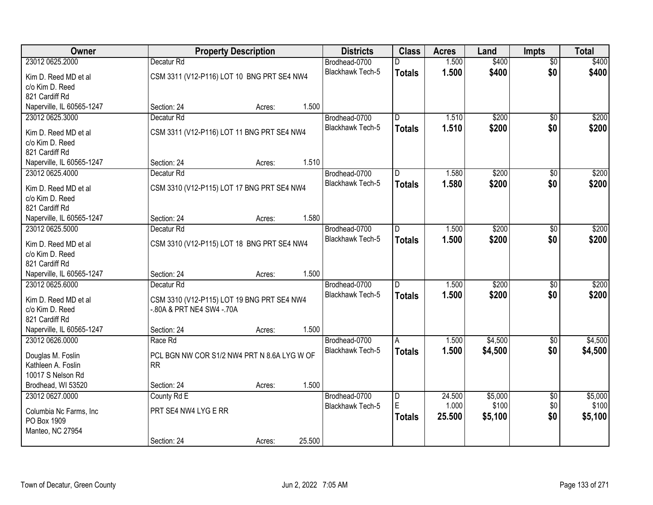| Owner                     |                                             | <b>Property Description</b> |        |                                   | <b>Class</b>  | <b>Acres</b>    | Land             | <b>Impts</b>           | <b>Total</b>     |
|---------------------------|---------------------------------------------|-----------------------------|--------|-----------------------------------|---------------|-----------------|------------------|------------------------|------------------|
| 23012 0625.2000           | Decatur <sub>Rd</sub>                       |                             |        | Brodhead-0700                     | D             | 1.500           | \$400            | $\overline{50}$        | \$400            |
| Kim D. Reed MD et al      | CSM 3311 (V12-P116) LOT 10 BNG PRT SE4 NW4  |                             |        | Blackhawk Tech-5                  | <b>Totals</b> | 1.500           | \$400            | \$0                    | \$400            |
| c/o Kim D. Reed           |                                             |                             |        |                                   |               |                 |                  |                        |                  |
| 821 Cardiff Rd            |                                             |                             |        |                                   |               |                 |                  |                        |                  |
| Naperville, IL 60565-1247 | Section: 24                                 | Acres:                      | 1.500  |                                   |               |                 |                  |                        |                  |
| 23012 0625.3000           | Decatur <sub>Rd</sub>                       |                             |        | Brodhead-0700                     | D             | 1.510           | \$200            | $\overline{30}$        | \$200            |
| Kim D. Reed MD et al      | CSM 3311 (V12-P116) LOT 11 BNG PRT SE4 NW4  |                             |        | <b>Blackhawk Tech-5</b>           | <b>Totals</b> | 1.510           | \$200            | \$0                    | \$200            |
| c/o Kim D. Reed           |                                             |                             |        |                                   |               |                 |                  |                        |                  |
| 821 Cardiff Rd            |                                             |                             |        |                                   |               |                 |                  |                        |                  |
| Naperville, IL 60565-1247 | Section: 24                                 | Acres:                      | 1.510  |                                   |               |                 |                  |                        |                  |
| 23012 0625.4000           | Decatur Rd                                  |                             |        | Brodhead-0700                     | D             | 1.580           | \$200            | \$0                    | \$200            |
| Kim D. Reed MD et al      | CSM 3310 (V12-P115) LOT 17 BNG PRT SE4 NW4  |                             |        | <b>Blackhawk Tech-5</b>           | <b>Totals</b> | 1.580           | \$200            | \$0                    | \$200            |
| c/o Kim D. Reed           |                                             |                             |        |                                   |               |                 |                  |                        |                  |
| 821 Cardiff Rd            |                                             |                             |        |                                   |               |                 |                  |                        |                  |
| Naperville, IL 60565-1247 | Section: 24                                 | Acres:                      | 1.580  |                                   |               |                 |                  |                        |                  |
| 23012 0625.5000           | Decatur <sub>Rd</sub>                       |                             |        | Brodhead-0700                     | D.            | 1.500           | \$200            | \$0                    | \$200            |
| Kim D. Reed MD et al      | CSM 3310 (V12-P115) LOT 18 BNG PRT SE4 NW4  |                             |        | <b>Blackhawk Tech-5</b>           | <b>Totals</b> | 1.500           | \$200            | \$0                    | \$200            |
| c/o Kim D. Reed           |                                             |                             |        |                                   |               |                 |                  |                        |                  |
| 821 Cardiff Rd            |                                             |                             |        |                                   |               |                 |                  |                        |                  |
| Naperville, IL 60565-1247 | Section: 24                                 | Acres:                      | 1.500  |                                   |               |                 |                  |                        |                  |
| 23012 0625.6000           | Decatur <sub>Rd</sub>                       |                             |        | Brodhead-0700                     | D.            | 1.500           | \$200            | \$0                    | \$200            |
| Kim D. Reed MD et al      | CSM 3310 (V12-P115) LOT 19 BNG PRT SE4 NW4  |                             |        | Blackhawk Tech-5                  | <b>Totals</b> | 1.500           | \$200            | \$0                    | \$200            |
| c/o Kim D. Reed           | -.80A & PRT NE4 SW4 -.70A                   |                             |        |                                   |               |                 |                  |                        |                  |
| 821 Cardiff Rd            |                                             |                             |        |                                   |               |                 |                  |                        |                  |
| Naperville, IL 60565-1247 | Section: 24                                 | Acres:                      | 1.500  |                                   |               |                 |                  |                        |                  |
| 23012 0626.0000           | Race Rd                                     |                             |        | Brodhead-0700                     | A             | 1.500           | \$4,500          | \$0                    | \$4,500          |
| Douglas M. Foslin         | PCL BGN NW COR S1/2 NW4 PRT N 8.6A LYG W OF |                             |        | Blackhawk Tech-5                  | <b>Totals</b> | 1.500           | \$4,500          | \$0                    | \$4,500          |
| Kathleen A. Foslin        | <b>RR</b>                                   |                             |        |                                   |               |                 |                  |                        |                  |
| 10017 S Nelson Rd         |                                             |                             |        |                                   |               |                 |                  |                        |                  |
| Brodhead, WI 53520        | Section: 24                                 | Acres:                      | 1.500  |                                   |               |                 |                  |                        |                  |
| 23012 0627.0000           | County Rd E                                 |                             |        | Brodhead-0700<br>Blackhawk Tech-5 | D<br>E        | 24.500<br>1.000 | \$5,000<br>\$100 | $\overline{50}$<br>\$0 | \$5,000<br>\$100 |
| Columbia Nc Farms, Inc    | PRT SE4 NW4 LYG E RR                        |                             |        |                                   | <b>Totals</b> | 25.500          | \$5,100          | \$0                    | \$5,100          |
| PO Box 1909               |                                             |                             |        |                                   |               |                 |                  |                        |                  |
| Manteo, NC 27954          |                                             |                             |        |                                   |               |                 |                  |                        |                  |
|                           | Section: 24                                 | Acres:                      | 25.500 |                                   |               |                 |                  |                        |                  |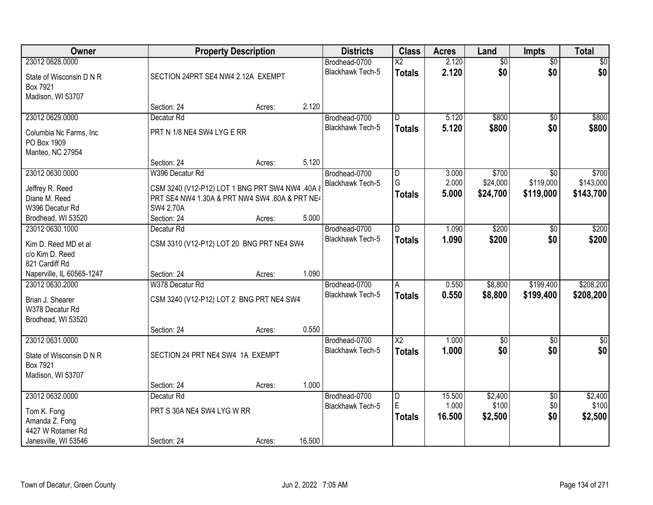| Owner                                 |                                                 | <b>Property Description</b> |        |                                   | <b>Class</b>                            | <b>Acres</b>   | Land                   | Impts                  | <b>Total</b>           |
|---------------------------------------|-------------------------------------------------|-----------------------------|--------|-----------------------------------|-----------------------------------------|----------------|------------------------|------------------------|------------------------|
| 23012 0628.0000                       |                                                 |                             |        | Brodhead-0700<br>Blackhawk Tech-5 | $\overline{\text{X2}}$<br><b>Totals</b> | 2.120<br>2.120 | $\overline{50}$<br>\$0 | $\overline{50}$<br>\$0 | \$0<br>\$0             |
| State of Wisconsin D N R<br>Box 7921  | SECTION 24PRT SE4 NW4 2.12A EXEMPT              |                             |        |                                   |                                         |                |                        |                        |                        |
| Madison, WI 53707                     | Section: 24                                     | Acres:                      | 2.120  |                                   |                                         |                |                        |                        |                        |
| 23012 0629.0000                       | Decatur <sub>Rd</sub>                           |                             |        | Brodhead-0700                     | $\overline{D}$                          | 5.120          | \$800                  | $\overline{50}$        | \$800                  |
| Columbia Nc Farms, Inc.               | PRT N 1/8 NE4 SW4 LYG E RR                      |                             |        | <b>Blackhawk Tech-5</b>           | <b>Totals</b>                           | 5.120          | \$800                  | \$0                    | \$800                  |
| PO Box 1909                           |                                                 |                             |        |                                   |                                         |                |                        |                        |                        |
| Manteo, NC 27954                      |                                                 |                             |        |                                   |                                         |                |                        |                        |                        |
|                                       | Section: 24                                     | Acres:                      | 5.120  |                                   |                                         |                |                        |                        |                        |
| 23012 0630.0000                       | W396 Decatur Rd                                 |                             |        | Brodhead-0700                     | $\overline{D}$                          | 3.000          | \$700                  | $\overline{50}$        | \$700                  |
| Jeffrey R. Reed                       | CSM 3240 (V12-P12) LOT 1 BNG PRT SW4 NW4 .40A & |                             |        | Blackhawk Tech-5                  | G<br><b>Totals</b>                      | 2.000<br>5.000 | \$24,000<br>\$24,700   | \$119,000<br>\$119,000 | \$143,000<br>\$143,700 |
| Diane M. Reed                         | PRT SE4 NW4 1.30A & PRT NW4 SW4 .60A & PRT NE4  |                             |        |                                   |                                         |                |                        |                        |                        |
| W396 Decatur Rd                       | <b>SW4 2.70A</b>                                |                             |        |                                   |                                         |                |                        |                        |                        |
| Brodhead, WI 53520<br>23012 0630.1000 | Section: 24<br>Decatur <sub>Rd</sub>            | Acres:                      | 5.000  | Brodhead-0700                     | D                                       | 1.090          | \$200                  | \$0                    | \$200                  |
|                                       |                                                 |                             |        | <b>Blackhawk Tech-5</b>           | <b>Totals</b>                           | 1.090          | \$200                  | \$0                    | \$200                  |
| Kim D. Reed MD et al                  | CSM 3310 (V12-P12) LOT 20 BNG PRT NE4 SW4       |                             |        |                                   |                                         |                |                        |                        |                        |
| c/o Kim D. Reed<br>821 Cardiff Rd     |                                                 |                             |        |                                   |                                         |                |                        |                        |                        |
| Naperville, IL 60565-1247             | Section: 24                                     | Acres:                      | 1.090  |                                   |                                         |                |                        |                        |                        |
| 23012 0630.2000                       | W378 Decatur Rd                                 |                             |        | Brodhead-0700                     | A                                       | 0.550          | \$8,800                | \$199,400              | \$208,200              |
|                                       |                                                 |                             |        | Blackhawk Tech-5                  | <b>Totals</b>                           | 0.550          | \$8,800                | \$199,400              | \$208,200              |
| Brian J. Shearer<br>W378 Decatur Rd   | CSM 3240 (V12-P12) LOT 2 BNG PRT NE4 SW4        |                             |        |                                   |                                         |                |                        |                        |                        |
| Brodhead, WI 53520                    |                                                 |                             |        |                                   |                                         |                |                        |                        |                        |
|                                       | Section: 24                                     | Acres:                      | 0.550  |                                   |                                         |                |                        |                        |                        |
| 23012 0631.0000                       |                                                 |                             |        | Brodhead-0700                     | $\overline{X2}$                         | 1.000          | $\sqrt{$0}$            | $\sqrt{6}$             | $\frac{1}{6}$          |
| State of Wisconsin D N R              | SECTION 24 PRT NE4 SW4 1A EXEMPT                |                             |        | Blackhawk Tech-5                  | <b>Totals</b>                           | 1.000          | \$0                    | \$0                    | \$0                    |
| Box 7921                              |                                                 |                             |        |                                   |                                         |                |                        |                        |                        |
| Madison, WI 53707                     |                                                 |                             |        |                                   |                                         |                |                        |                        |                        |
|                                       | Section: 24                                     | Acres:                      | 1.000  |                                   |                                         |                |                        |                        |                        |
| 23012 0632.0000                       | Decatur Rd                                      |                             |        | Brodhead-0700                     | $\overline{D}$                          | 15.500         | \$2,400                | $\overline{50}$        | \$2,400                |
| Tom K. Fong                           | PRT S 30A NE4 SW4 LYG W RR                      |                             |        | Blackhawk Tech-5                  | E                                       | 1.000          | \$100                  | \$0                    | \$100                  |
| Amanda Z. Fong                        |                                                 |                             |        |                                   | <b>Totals</b>                           | 16.500         | \$2,500                | \$0                    | \$2,500                |
| 4427 W Rotamer Rd                     |                                                 |                             |        |                                   |                                         |                |                        |                        |                        |
| Janesville, WI 53546                  | Section: 24                                     | Acres:                      | 16.500 |                                   |                                         |                |                        |                        |                        |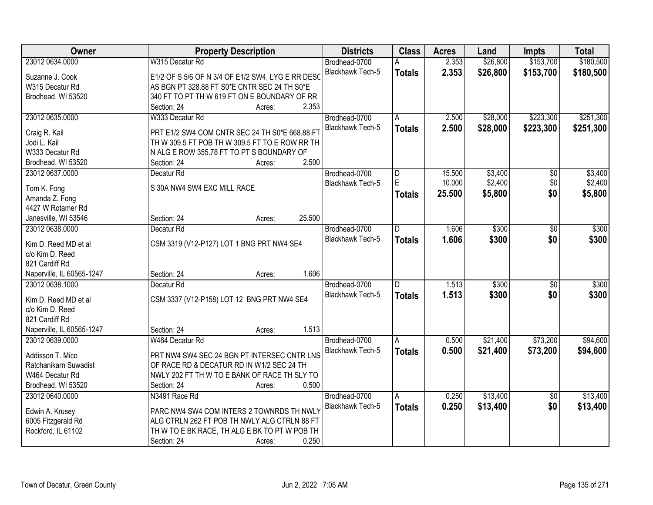| Owner                     | <b>Property Description</b>                       | <b>Districts</b>        | <b>Class</b>  | <b>Acres</b> | Land     | <b>Impts</b>    | <b>Total</b> |
|---------------------------|---------------------------------------------------|-------------------------|---------------|--------------|----------|-----------------|--------------|
| 23012 0634.0000           | W315 Decatur Rd                                   | Brodhead-0700           |               | 2.353        | \$26,800 | \$153,700       | \$180,500    |
| Suzanne J. Cook           | E1/2 OF S 5/6 OF N 3/4 OF E1/2 SW4, LYG E RR DESC | Blackhawk Tech-5        | <b>Totals</b> | 2.353        | \$26,800 | \$153,700       | \$180,500    |
| W315 Decatur Rd           | AS BGN PT 328.88 FT S0*E CNTR SEC 24 TH S0*E      |                         |               |              |          |                 |              |
| Brodhead, WI 53520        | 340 FT TO PT TH W 619 FT ON E BOUNDARY OF RR      |                         |               |              |          |                 |              |
|                           | 2.353<br>Section: 24<br>Acres:                    |                         |               |              |          |                 |              |
| 23012 0635.0000           | W333 Decatur Rd                                   | Brodhead-0700           | A             | 2.500        | \$28,000 | \$223,300       | \$251,300    |
|                           |                                                   | <b>Blackhawk Tech-5</b> | <b>Totals</b> | 2.500        | \$28,000 | \$223,300       | \$251,300    |
| Craig R. Kail             | PRT E1/2 SW4 COM CNTR SEC 24 TH S0*E 668.88 FT    |                         |               |              |          |                 |              |
| Jodi L. Kail              | TH W 309.5 FT POB TH W 309.5 FT TO E ROW RR TH    |                         |               |              |          |                 |              |
| W333 Decatur Rd           | N ALG E ROW 355.78 FT TO PT S BOUNDARY OF         |                         |               |              |          |                 |              |
| Brodhead, WI 53520        | 2.500<br>Section: 24<br>Acres:                    |                         |               |              |          |                 |              |
| 23012 0637.0000           | Decatur Rd                                        | Brodhead-0700           | D             | 15.500       | \$3,400  | $\overline{50}$ | \$3,400      |
| Tom K. Fong               | S 30A NW4 SW4 EXC MILL RACE                       | Blackhawk Tech-5        | E             | 10.000       | \$2,400  | \$0             | \$2,400      |
| Amanda Z. Fong            |                                                   |                         | <b>Totals</b> | 25.500       | \$5,800  | \$0             | \$5,800      |
| 4427 W Rotamer Rd         |                                                   |                         |               |              |          |                 |              |
| Janesville, WI 53546      | 25.500<br>Section: 24<br>Acres:                   |                         |               |              |          |                 |              |
| 23012 0638,0000           | Decatur <sub>Rd</sub>                             | Brodhead-0700           | D             | 1.606        | \$300    | \$0             | \$300        |
|                           |                                                   | Blackhawk Tech-5        | <b>Totals</b> | 1.606        | \$300    | \$0             | \$300        |
| Kim D. Reed MD et al      | CSM 3319 (V12-P127) LOT 1 BNG PRT NW4 SE4         |                         |               |              |          |                 |              |
| c/o Kim D. Reed           |                                                   |                         |               |              |          |                 |              |
| 821 Cardiff Rd            |                                                   |                         |               |              |          |                 |              |
| Naperville, IL 60565-1247 | 1.606<br>Section: 24<br>Acres:                    |                         |               |              |          |                 |              |
| 23012 0638.1000           | Decatur <sub>Rd</sub>                             | Brodhead-0700           | D.            | 1.513        | \$300    | $\overline{50}$ | \$300        |
| Kim D. Reed MD et al      | CSM 3337 (V12-P158) LOT 12 BNG PRT NW4 SE4        | <b>Blackhawk Tech-5</b> | <b>Totals</b> | 1.513        | \$300    | \$0             | \$300        |
| c/o Kim D. Reed           |                                                   |                         |               |              |          |                 |              |
| 821 Cardiff Rd            |                                                   |                         |               |              |          |                 |              |
| Naperville, IL 60565-1247 | 1.513<br>Section: 24<br>Acres:                    |                         |               |              |          |                 |              |
| 23012 0639.0000           | W464 Decatur Rd                                   | Brodhead-0700           | A             | 0.500        | \$21,400 | \$73,200        | \$94,600     |
| Addisson T. Mico          | PRT NW4 SW4 SEC 24 BGN PT INTERSEC CNTR LNS       | Blackhawk Tech-5        | <b>Totals</b> | 0.500        | \$21,400 | \$73,200        | \$94,600     |
| Ratchanikarn Suwadist     | OF RACE RD & DECATUR RD IN W1/2 SEC 24 TH         |                         |               |              |          |                 |              |
| W464 Decatur Rd           | NWLY 202 FT TH W TO E BANK OF RACE TH SLY TO      |                         |               |              |          |                 |              |
| Brodhead, WI 53520        | 0.500<br>Section: 24                              |                         |               |              |          |                 |              |
|                           | Acres:                                            |                         |               |              | \$13,400 |                 |              |
| 23012 0640.0000           | N3491 Race Rd                                     | Brodhead-0700           | A             | 0.250        |          | $\overline{50}$ | \$13,400     |
| Edwin A. Krusey           | PARC NW4 SW4 COM INTERS 2 TOWNRDS TH NWLY         | Blackhawk Tech-5        | <b>Totals</b> | 0.250        | \$13,400 | \$0             | \$13,400     |
| 6005 Fitzgerald Rd        | ALG CTRLN 262 FT POB TH NWLY ALG CTRLN 88 FT      |                         |               |              |          |                 |              |
| Rockford, IL 61102        | TH W TO E BK RACE, TH ALG E BK TO PT W POB TH     |                         |               |              |          |                 |              |
|                           | 0.250<br>Section: 24<br>Acres:                    |                         |               |              |          |                 |              |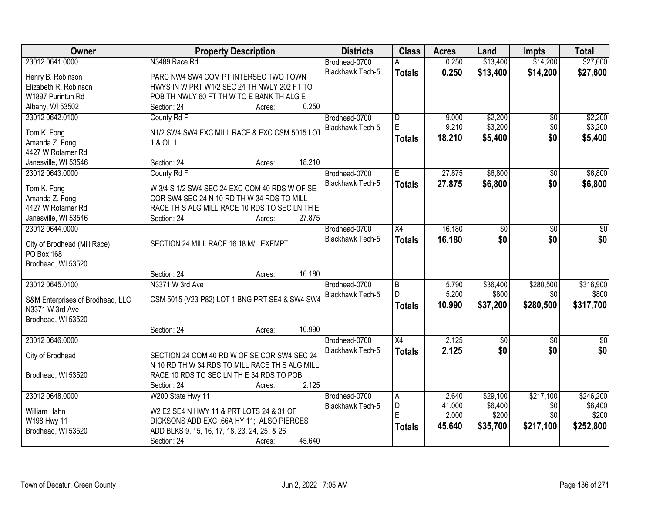| Owner                            | <b>Property Description</b>                    | <b>Districts</b>        | <b>Class</b>            | <b>Acres</b> | Land        | <b>Impts</b>    | <b>Total</b>  |
|----------------------------------|------------------------------------------------|-------------------------|-------------------------|--------------|-------------|-----------------|---------------|
| 23012 0641.0000                  | N3489 Race Rd                                  | Brodhead-0700           |                         | 0.250        | \$13,400    | \$14,200        | \$27,600      |
| Henry B. Robinson                | PARC NW4 SW4 COM PT INTERSEC TWO TOWN          | Blackhawk Tech-5        | <b>Totals</b>           | 0.250        | \$13,400    | \$14,200        | \$27,600      |
| Elizabeth R. Robinson            | HWYS IN W PRT W1/2 SEC 24 TH NWLY 202 FT TO    |                         |                         |              |             |                 |               |
| W1897 Purintun Rd                | POB TH NWLY 60 FT TH W TO E BANK TH ALG E      |                         |                         |              |             |                 |               |
| Albany, WI 53502                 | 0.250<br>Section: 24<br>Acres:                 |                         |                         |              |             |                 |               |
| 23012 0642.0100                  | County Rd F                                    | Brodhead-0700           | $\overline{\mathsf{D}}$ | 9.000        | \$2,200     | $\overline{60}$ | \$2,200       |
|                                  |                                                | <b>Blackhawk Tech-5</b> | E.                      | 9.210        | \$3,200     | \$0             | \$3,200       |
| Tom K. Fong                      | N1/2 SW4 SW4 EXC MILL RACE & EXC CSM 5015 LOT  |                         | <b>Totals</b>           | 18.210       | \$5,400     | \$0             | \$5,400       |
| Amanda Z. Fong                   | 1 & OL 1                                       |                         |                         |              |             |                 |               |
| 4427 W Rotamer Rd                | 18.210                                         |                         |                         |              |             |                 |               |
| Janesville, WI 53546             | Section: 24<br>Acres:                          |                         |                         |              |             |                 |               |
| 23012 0643.0000                  | County Rd F                                    | Brodhead-0700           | E                       | 27.875       | \$6,800     | $\overline{50}$ | \$6,800       |
| Tom K. Fong                      | W 3/4 S 1/2 SW4 SEC 24 EXC COM 40 RDS W OF SE  | Blackhawk Tech-5        | <b>Totals</b>           | 27.875       | \$6,800     | \$0             | \$6,800       |
| Amanda Z. Fong                   | COR SW4 SEC 24 N 10 RD TH W 34 RDS TO MILL     |                         |                         |              |             |                 |               |
| 4427 W Rotamer Rd                | RACE THIS ALG MILL RACE 10 RDS TO SEC LN THIE  |                         |                         |              |             |                 |               |
| Janesville, WI 53546             | 27.875<br>Section: 24<br>Acres:                |                         |                         |              |             |                 |               |
| 23012 0644,0000                  |                                                | Brodhead-0700           | X4                      | 16.180       | \$0         | \$0             | \$0           |
| City of Brodhead (Mill Race)     | SECTION 24 MILL RACE 16.18 M/L EXEMPT          | Blackhawk Tech-5        | <b>Totals</b>           | 16.180       | \$0         | \$0             | \$0           |
| PO Box 168                       |                                                |                         |                         |              |             |                 |               |
| Brodhead, WI 53520               |                                                |                         |                         |              |             |                 |               |
|                                  | 16.180<br>Section: 24<br>Acres:                |                         |                         |              |             |                 |               |
| 23012 0645.0100                  | N3371 W 3rd Ave                                | Brodhead-0700           | $\overline{\mathsf{B}}$ | 5.790        | \$36,400    | \$280,500       | \$316,900     |
|                                  |                                                | Blackhawk Tech-5        | D.                      | 5.200        | \$800       | \$0             | \$800         |
| S&M Enterprises of Brodhead, LLC | CSM 5015 (V23-P82) LOT 1 BNG PRT SE4 & SW4 SW4 |                         | <b>Totals</b>           | 10.990       | \$37,200    | \$280,500       | \$317,700     |
| N3371 W 3rd Ave                  |                                                |                         |                         |              |             |                 |               |
| Brodhead, WI 53520               |                                                |                         |                         |              |             |                 |               |
|                                  | 10.990<br>Section: 24<br>Acres:                |                         |                         |              |             |                 |               |
| 23012 0646.0000                  |                                                | Brodhead-0700           | $\overline{X4}$         | 2.125        | $\sqrt{50}$ | $\sqrt{6}$      | $\frac{1}{6}$ |
| City of Brodhead                 | SECTION 24 COM 40 RD W OF SE COR SW4 SEC 24    | Blackhawk Tech-5        | <b>Totals</b>           | 2.125        | \$0         | \$0             | \$0           |
|                                  | N 10 RD TH W 34 RDS TO MILL RACE TH S ALG MILL |                         |                         |              |             |                 |               |
| Brodhead, WI 53520               | RACE 10 RDS TO SEC LN THE 34 RDS TO POB        |                         |                         |              |             |                 |               |
|                                  | 2.125<br>Section: 24<br>Acres:                 |                         |                         |              |             |                 |               |
| 23012 0648.0000                  | W200 State Hwy 11                              | Brodhead-0700           | A                       | 2.640        | \$29,100    | \$217,100       | \$246,200     |
|                                  |                                                | Blackhawk Tech-5        | D                       | 41.000       | \$6,400     | \$0             | \$6,400       |
| William Hahn                     | W2 E2 SE4 N HWY 11 & PRT LOTS 24 & 31 OF       |                         | E                       | 2.000        | \$200       | \$0             | \$200         |
| W198 Hwy 11                      | DICKSONS ADD EXC .66A HY 11; ALSO PIERCES      |                         | <b>Totals</b>           | 45.640       | \$35,700    | \$217,100       | \$252,800     |
| Brodhead, WI 53520               | ADD BLKS 9, 15, 16, 17, 18, 23, 24, 25, & 26   |                         |                         |              |             |                 |               |
|                                  | 45.640<br>Section: 24<br>Acres:                |                         |                         |              |             |                 |               |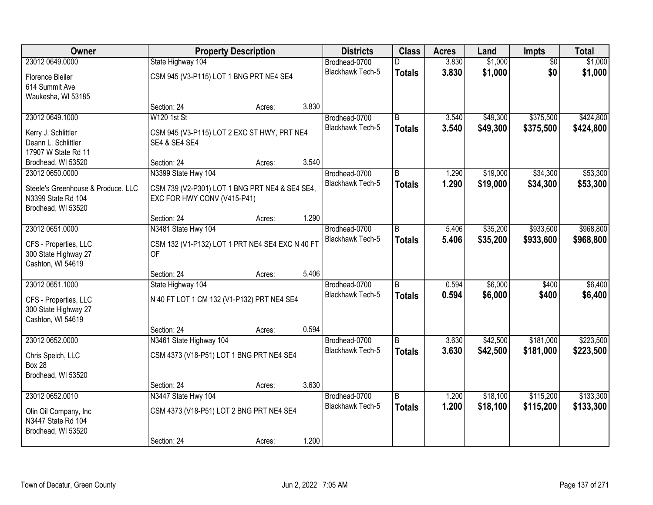| Owner                              | <b>Property Description</b>                     |        |       | <b>Districts</b>        | <b>Class</b>   | <b>Acres</b> | Land     | Impts           | <b>Total</b> |
|------------------------------------|-------------------------------------------------|--------|-------|-------------------------|----------------|--------------|----------|-----------------|--------------|
| 23012 0649.0000                    | State Highway 104                               |        |       | Brodhead-0700           | n              | 3.830        | \$1,000  | $\overline{50}$ | \$1,000      |
| Florence Bleiler                   | CSM 945 (V3-P115) LOT 1 BNG PRT NE4 SE4         |        |       | Blackhawk Tech-5        | <b>Totals</b>  | 3.830        | \$1,000  | \$0             | \$1,000      |
| 614 Summit Ave                     |                                                 |        |       |                         |                |              |          |                 |              |
| Waukesha, WI 53185                 |                                                 |        |       |                         |                |              |          |                 |              |
|                                    | Section: 24                                     | Acres: | 3.830 |                         |                |              |          |                 |              |
| 23012 0649.1000                    | <b>W120 1st St</b>                              |        |       | Brodhead-0700           | B              | 3.540        | \$49,300 | \$375,500       | \$424,800    |
| Kerry J. Schlittler                | CSM 945 (V3-P115) LOT 2 EXC ST HWY, PRT NE4     |        |       | <b>Blackhawk Tech-5</b> | <b>Totals</b>  | 3.540        | \$49,300 | \$375,500       | \$424,800    |
| Deann L. Schlittler                | <b>SE4 &amp; SE4 SE4</b>                        |        |       |                         |                |              |          |                 |              |
| 17907 W State Rd 11                |                                                 |        |       |                         |                |              |          |                 |              |
| Brodhead, WI 53520                 | Section: 24                                     | Acres: | 3.540 |                         |                |              |          |                 |              |
| 23012 0650.0000                    | N3399 State Hwy 104                             |        |       | Brodhead-0700           | $\overline{B}$ | 1.290        | \$19,000 | \$34,300        | \$53,300     |
| Steele's Greenhouse & Produce, LLC | CSM 739 (V2-P301) LOT 1 BNG PRT NE4 & SE4 SE4,  |        |       | Blackhawk Tech-5        | <b>Totals</b>  | 1.290        | \$19,000 | \$34,300        | \$53,300     |
| N3399 State Rd 104                 | EXC FOR HWY CONV (V415-P41)                     |        |       |                         |                |              |          |                 |              |
| Brodhead, WI 53520                 |                                                 |        |       |                         |                |              |          |                 |              |
|                                    | Section: 24                                     | Acres: | 1.290 |                         |                |              |          |                 |              |
| 23012 0651.0000                    | N3481 State Hwy 104                             |        |       | Brodhead-0700           | B              | 5.406        | \$35,200 | \$933,600       | \$968,800    |
| CFS - Properties, LLC              | CSM 132 (V1-P132) LOT 1 PRT NE4 SE4 EXC N 40 FT |        |       | <b>Blackhawk Tech-5</b> | <b>Totals</b>  | 5.406        | \$35,200 | \$933,600       | \$968,800    |
| 300 State Highway 27               | <b>OF</b>                                       |        |       |                         |                |              |          |                 |              |
| Cashton, WI 54619                  |                                                 |        |       |                         |                |              |          |                 |              |
|                                    | Section: 24                                     | Acres: | 5.406 |                         |                |              |          |                 |              |
| 23012 0651.1000                    | State Highway 104                               |        |       | Brodhead-0700           | $\overline{B}$ | 0.594        | \$6,000  | \$400           | \$6,400      |
| CFS - Properties, LLC              | N 40 FT LOT 1 CM 132 (V1-P132) PRT NE4 SE4      |        |       | <b>Blackhawk Tech-5</b> | <b>Totals</b>  | 0.594        | \$6,000  | \$400           | \$6,400      |
| 300 State Highway 27               |                                                 |        |       |                         |                |              |          |                 |              |
| Cashton, WI 54619                  |                                                 |        |       |                         |                |              |          |                 |              |
|                                    | Section: 24                                     | Acres: | 0.594 |                         |                |              |          |                 |              |
| 23012 0652.0000                    | N3461 State Highway 104                         |        |       | Brodhead-0700           | B              | 3.630        | \$42,500 | \$181,000       | \$223,500    |
| Chris Speich, LLC                  | CSM 4373 (V18-P51) LOT 1 BNG PRT NE4 SE4        |        |       | <b>Blackhawk Tech-5</b> | <b>Totals</b>  | 3.630        | \$42,500 | \$181,000       | \$223,500    |
| <b>Box 28</b>                      |                                                 |        |       |                         |                |              |          |                 |              |
| Brodhead, WI 53520                 |                                                 |        |       |                         |                |              |          |                 |              |
|                                    | Section: 24                                     | Acres: | 3.630 |                         |                |              |          |                 |              |
| 23012 0652.0010                    | N3447 State Hwy 104                             |        |       | Brodhead-0700           | $\overline{B}$ | 1.200        | \$18,100 | \$115,200       | \$133,300    |
| Olin Oil Company, Inc              | CSM 4373 (V18-P51) LOT 2 BNG PRT NE4 SE4        |        |       | <b>Blackhawk Tech-5</b> | <b>Totals</b>  | 1.200        | \$18,100 | \$115,200       | \$133,300    |
| N3447 State Rd 104                 |                                                 |        |       |                         |                |              |          |                 |              |
| Brodhead, WI 53520                 |                                                 |        |       |                         |                |              |          |                 |              |
|                                    | Section: 24                                     | Acres: | 1.200 |                         |                |              |          |                 |              |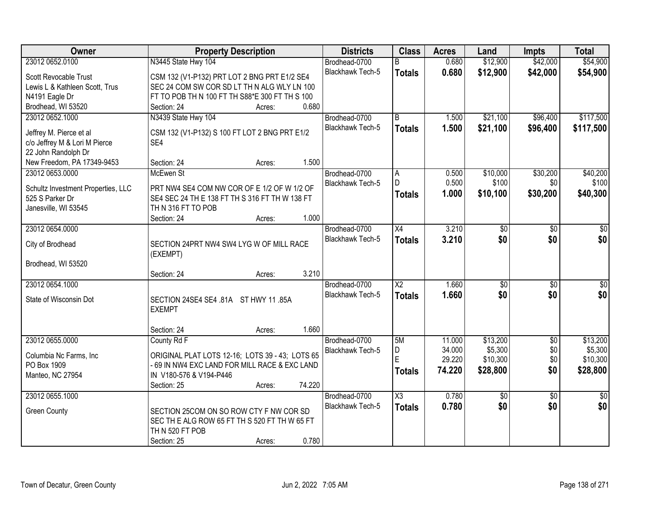| Owner                              | <b>Property Description</b>                     | <b>Districts</b>        | <b>Class</b>            | <b>Acres</b> | Land            | <b>Impts</b>    | <b>Total</b>    |
|------------------------------------|-------------------------------------------------|-------------------------|-------------------------|--------------|-----------------|-----------------|-----------------|
| 23012 0652.0100                    | N3445 State Hwy 104                             | Brodhead-0700           | R.                      | 0.680        | \$12,900        | \$42,000        | \$54,900        |
| Scott Revocable Trust              | CSM 132 (V1-P132) PRT LOT 2 BNG PRT E1/2 SE4    | Blackhawk Tech-5        | <b>Totals</b>           | 0.680        | \$12,900        | \$42,000        | \$54,900        |
| Lewis L & Kathleen Scott, Trus     | SEC 24 COM SW COR SD LT TH N ALG WLY LN 100     |                         |                         |              |                 |                 |                 |
| N4191 Eagle Dr                     | FT TO POB TH N 100 FT TH S88*E 300 FT TH S 100  |                         |                         |              |                 |                 |                 |
| Brodhead, WI 53520                 | 0.680<br>Section: 24<br>Acres:                  |                         |                         |              |                 |                 |                 |
| 23012 0652.1000                    | N3439 State Hwy 104                             | Brodhead-0700           | $\overline{\mathsf{B}}$ | 1.500        | \$21,100        | \$96,400        | \$117,500       |
|                                    |                                                 | <b>Blackhawk Tech-5</b> | <b>Totals</b>           | 1.500        | \$21,100        | \$96,400        | \$117,500       |
| Jeffrey M. Pierce et al            | CSM 132 (V1-P132) S 100 FT LOT 2 BNG PRT E1/2   |                         |                         |              |                 |                 |                 |
| c/o Jeffrey M & Lori M Pierce      | SE4                                             |                         |                         |              |                 |                 |                 |
| 22 John Randolph Dr                |                                                 |                         |                         |              |                 |                 |                 |
| New Freedom, PA 17349-9453         | 1.500<br>Section: 24<br>Acres:                  |                         |                         |              |                 |                 |                 |
| 23012 0653.0000                    | McEwen St                                       | Brodhead-0700           | A                       | 0.500        | \$10,000        | \$30,200        | \$40,200        |
| Schultz Investment Properties, LLC | PRT NW4 SE4 COM NW COR OF E 1/2 OF W 1/2 OF     | Blackhawk Tech-5        | D                       | 0.500        | \$100           | \$0             | \$100           |
| 525 S Parker Dr                    | SE4 SEC 24 TH E 138 FT TH S 316 FT TH W 138 FT  |                         | <b>Totals</b>           | 1.000        | \$10,100        | \$30,200        | \$40,300        |
| Janesville, WI 53545               | TH N 316 FT TO POB                              |                         |                         |              |                 |                 |                 |
|                                    | 1.000<br>Section: 24<br>Acres:                  |                         |                         |              |                 |                 |                 |
| 23012 0654.0000                    |                                                 | Brodhead-0700           | $\overline{X4}$         | 3.210        | \$0             | \$0             | \$0             |
|                                    |                                                 | Blackhawk Tech-5        | <b>Totals</b>           | 3.210        | \$0             | \$0             | \$0             |
| City of Brodhead                   | SECTION 24PRT NW4 SW4 LYG W OF MILL RACE        |                         |                         |              |                 |                 |                 |
| Brodhead, WI 53520                 | (EXEMPT)                                        |                         |                         |              |                 |                 |                 |
|                                    | 3.210<br>Section: 24<br>Acres:                  |                         |                         |              |                 |                 |                 |
| 23012 0654.1000                    |                                                 | Brodhead-0700           | $\overline{X2}$         | 1.660        | $\overline{50}$ | $\overline{50}$ | \$0             |
|                                    |                                                 | <b>Blackhawk Tech-5</b> |                         | 1.660        | \$0             | \$0             |                 |
| State of Wisconsin Dot             | SECTION 24SE4 SE4 .81A ST HWY 11 .85A           |                         | <b>Totals</b>           |              |                 |                 | \$0             |
|                                    | <b>EXEMPT</b>                                   |                         |                         |              |                 |                 |                 |
|                                    |                                                 |                         |                         |              |                 |                 |                 |
|                                    | 1.660<br>Section: 24<br>Acres:                  |                         |                         |              |                 |                 |                 |
| 23012 0655.0000                    | County Rd F                                     | Brodhead-0700           | 5M                      | 11.000       | \$13,200        | $\overline{50}$ | \$13,200        |
| Columbia Nc Farms, Inc             | ORIGINAL PLAT LOTS 12-16; LOTS 39 - 43; LOTS 65 | Blackhawk Tech-5        | D                       | 34.000       | \$5,300         | \$0             | \$5,300         |
| PO Box 1909                        | - 69 IN NW4 EXC LAND FOR MILL RACE & EXC LAND   |                         | E                       | 29.220       | \$10,300        | \$0             | \$10,300        |
| Manteo, NC 27954                   | IN V180-576 & V194-P446                         |                         | <b>Totals</b>           | 74.220       | \$28,800        | \$0             | \$28,800        |
|                                    | 74.220<br>Section: 25<br>Acres:                 |                         |                         |              |                 |                 |                 |
| 23012 0655.1000                    |                                                 | Brodhead-0700           | X3                      | 0.780        | \$0             | $\overline{50}$ | $\overline{50}$ |
|                                    |                                                 | <b>Blackhawk Tech-5</b> | <b>Totals</b>           | 0.780        | \$0             | \$0             | \$0             |
| <b>Green County</b>                | SECTION 25COM ON SO ROW CTY F NW COR SD         |                         |                         |              |                 |                 |                 |
|                                    | SEC TH E ALG ROW 65 FT TH S 520 FT TH W 65 FT   |                         |                         |              |                 |                 |                 |
|                                    | TH N 520 FT POB                                 |                         |                         |              |                 |                 |                 |
|                                    | 0.780<br>Section: 25<br>Acres:                  |                         |                         |              |                 |                 |                 |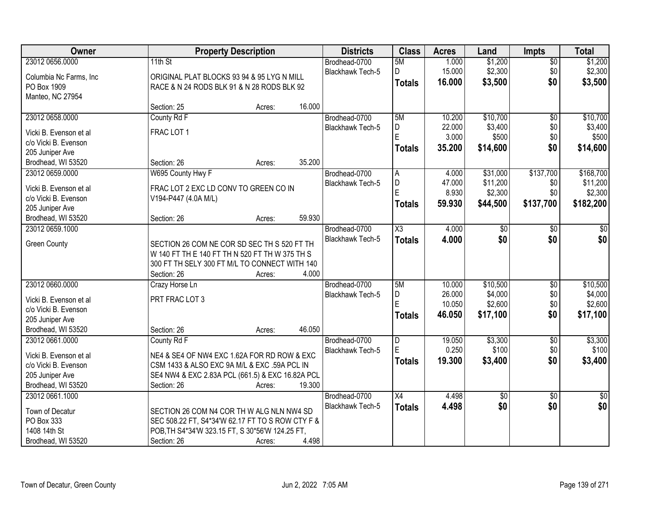| Owner                   | <b>Property Description</b>                                  |        |        | <b>Districts</b>        | <b>Class</b>            | <b>Acres</b> | Land            | <b>Impts</b>    | <b>Total</b>    |
|-------------------------|--------------------------------------------------------------|--------|--------|-------------------------|-------------------------|--------------|-----------------|-----------------|-----------------|
| 23012 0656.0000         | 11th St                                                      |        |        | Brodhead-0700           | 5M                      | 1.000        | \$1,200         | $\overline{50}$ | \$1,200         |
| Columbia Nc Farms, Inc. | ORIGINAL PLAT BLOCKS 93 94 & 95 LYG N MILL                   |        |        | Blackhawk Tech-5        | D                       | 15.000       | \$2,300         | \$0             | \$2,300         |
| PO Box 1909             | RACE & N 24 RODS BLK 91 & N 28 RODS BLK 92                   |        |        |                         | <b>Totals</b>           | 16.000       | \$3,500         | \$0             | \$3,500         |
| Manteo, NC 27954        |                                                              |        |        |                         |                         |              |                 |                 |                 |
|                         | Section: 25                                                  | Acres: | 16.000 |                         |                         |              |                 |                 |                 |
| 23012 0658.0000         | County Rd F                                                  |        |        | Brodhead-0700           | 5M                      | 10.200       | \$10,700        | $\overline{50}$ | \$10,700        |
| Vicki B. Evenson et al  | FRAC LOT 1                                                   |        |        | Blackhawk Tech-5        | D                       | 22.000       | \$3,400         | \$0             | \$3,400         |
| c/o Vicki B. Evenson    |                                                              |        |        |                         | E                       | 3.000        | \$500           | \$0             | \$500           |
| 205 Juniper Ave         |                                                              |        |        |                         | <b>Totals</b>           | 35.200       | \$14,600        | \$0             | \$14,600        |
| Brodhead, WI 53520      | Section: 26                                                  | Acres: | 35.200 |                         |                         |              |                 |                 |                 |
| 23012 0659.0000         | W695 County Hwy F                                            |        |        | Brodhead-0700           | A                       | 4.000        | \$31,000        | \$137,700       | \$168,700       |
| Vicki B. Evenson et al  | FRAC LOT 2 EXC LD CONV TO GREEN CO IN                        |        |        | Blackhawk Tech-5        | D                       | 47.000       | \$11,200        | \$0             | \$11,200        |
| c/o Vicki B. Evenson    | V194-P447 (4.0A M/L)                                         |        |        |                         | Ė                       | 8.930        | \$2,300         | \$0             | \$2,300         |
| 205 Juniper Ave         |                                                              |        |        |                         | <b>Totals</b>           | 59.930       | \$44,500        | \$137,700       | \$182,200       |
| Brodhead, WI 53520      | Section: 26                                                  | Acres: | 59.930 |                         |                         |              |                 |                 |                 |
| 23012 0659.1000         |                                                              |        |        | Brodhead-0700           | $\overline{\chi_3}$     | 4.000        | \$0             | $\sqrt{6}$      | \$0             |
|                         |                                                              |        |        | Blackhawk Tech-5        | <b>Totals</b>           | 4.000        | \$0             | \$0             | \$0             |
| <b>Green County</b>     | SECTION 26 COM NE COR SD SEC TH S 520 FT TH                  |        |        |                         |                         |              |                 |                 |                 |
|                         | W 140 FT TH E 140 FT TH N 520 FT TH W 375 TH S               |        |        |                         |                         |              |                 |                 |                 |
|                         | 300 FT TH SELY 300 FT M/L TO CONNECT WITH 140<br>Section: 26 | Acres: | 4.000  |                         |                         |              |                 |                 |                 |
| 23012 0660,0000         | Crazy Horse Ln                                               |        |        | Brodhead-0700           | 5M                      | 10.000       | \$10,500        | $\overline{30}$ | \$10,500        |
|                         |                                                              |        |        | Blackhawk Tech-5        | D                       | 26.000       | \$4,000         | \$0             | \$4,000         |
| Vicki B. Evenson et al  | PRT FRAC LOT 3                                               |        |        |                         | Ė                       | 10.050       | \$2,600         | \$0             | \$2,600         |
| c/o Vicki B. Evenson    |                                                              |        |        |                         | <b>Totals</b>           | 46.050       | \$17,100        | \$0             | \$17,100        |
| 205 Juniper Ave         |                                                              |        |        |                         |                         |              |                 |                 |                 |
| Brodhead, WI 53520      | Section: 26                                                  | Acres: | 46.050 |                         |                         |              |                 |                 |                 |
| 23012 0661.0000         | County Rd F                                                  |        |        | Brodhead-0700           | $\overline{\mathsf{D}}$ | 19.050       | \$3,300         | $\overline{60}$ | \$3,300         |
| Vicki B. Evenson et al  | NE4 & SE4 OF NW4 EXC 1.62A FOR RD ROW & EXC                  |        |        | Blackhawk Tech-5        | Ė                       | 0.250        | \$100           | \$0             | \$100           |
| c/o Vicki B. Evenson    | CSM 1433 & ALSO EXC 9A M/L & EXC .59A PCL IN                 |        |        |                         | <b>Totals</b>           | 19.300       | \$3,400         | \$0             | \$3,400         |
| 205 Juniper Ave         | SE4 NW4 & EXC 2.83A PCL (661.5) & EXC 16.82A PCL             |        |        |                         |                         |              |                 |                 |                 |
| Brodhead, WI 53520      | Section: 26                                                  | Acres: | 19.300 |                         |                         |              |                 |                 |                 |
| 23012 0661.1000         |                                                              |        |        | Brodhead-0700           | $\overline{X4}$         | 4.498        | $\overline{50}$ | $\overline{50}$ | $\overline{50}$ |
| Town of Decatur         | SECTION 26 COM N4 COR TH W ALG NLN NW4 SD                    |        |        | <b>Blackhawk Tech-5</b> | <b>Totals</b>           | 4.498        | \$0             | \$0             | \$0             |
| PO Box 333              | SEC 508.22 FT, S4*34'W 62.17 FT TO S ROW CTY F &             |        |        |                         |                         |              |                 |                 |                 |
| 1408 14th St            | POB, TH S4*34'W 323.15 FT, S 30*56'W 124.25 FT,              |        |        |                         |                         |              |                 |                 |                 |
| Brodhead, WI 53520      | Section: 26                                                  | Acres: | 4.498  |                         |                         |              |                 |                 |                 |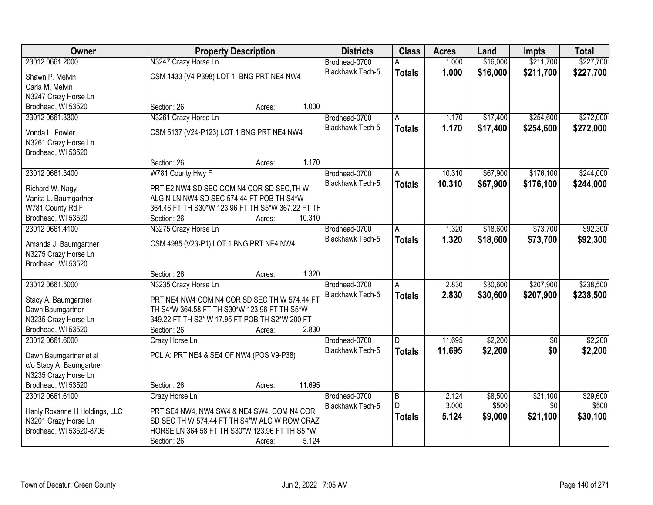| Owner                                           | <b>Property Description</b>                                                                | <b>Districts</b>        | <b>Class</b>   | <b>Acres</b> | Land     | <b>Impts</b>    | <b>Total</b> |
|-------------------------------------------------|--------------------------------------------------------------------------------------------|-------------------------|----------------|--------------|----------|-----------------|--------------|
| 23012 0661.2000                                 | N3247 Crazy Horse Ln                                                                       | Brodhead-0700           | А              | 1.000        | \$16,000 | \$211,700       | \$227,700    |
| Shawn P. Melvin                                 | CSM 1433 (V4-P398) LOT 1 BNG PRT NE4 NW4                                                   | Blackhawk Tech-5        | <b>Totals</b>  | 1.000        | \$16,000 | \$211,700       | \$227,700    |
| Carla M. Melvin                                 |                                                                                            |                         |                |              |          |                 |              |
| N3247 Crazy Horse Ln                            |                                                                                            |                         |                |              |          |                 |              |
| Brodhead, WI 53520                              | 1.000<br>Section: 26<br>Acres:                                                             |                         |                |              |          |                 |              |
| 23012 0661.3300                                 | N3261 Crazy Horse Ln                                                                       | Brodhead-0700           | A              | 1.170        | \$17,400 | \$254,600       | \$272,000    |
| Vonda L. Fowler                                 | CSM 5137 (V24-P123) LOT 1 BNG PRT NE4 NW4                                                  | <b>Blackhawk Tech-5</b> | <b>Totals</b>  | 1.170        | \$17,400 | \$254,600       | \$272,000    |
| N3261 Crazy Horse Ln                            |                                                                                            |                         |                |              |          |                 |              |
| Brodhead, WI 53520                              |                                                                                            |                         |                |              |          |                 |              |
|                                                 | 1.170<br>Section: 26<br>Acres:                                                             |                         |                |              |          |                 |              |
| 23012 0661.3400                                 | W781 County Hwy F                                                                          | Brodhead-0700           | A              | 10.310       | \$67,900 | \$176,100       | \$244,000    |
|                                                 |                                                                                            | Blackhawk Tech-5        | <b>Totals</b>  | 10.310       | \$67,900 | \$176,100       | \$244,000    |
| Richard W. Nagy                                 | PRT E2 NW4 SD SEC COM N4 COR SD SEC, TH W<br>ALG N LN NW4 SD SEC 574.44 FT POB TH S4*W     |                         |                |              |          |                 |              |
| Vanita L. Baumgartner<br>W781 County Rd F       | 364.46 FT TH S30*W 123.96 FT TH S5*W 367.22 FT TH                                          |                         |                |              |          |                 |              |
| Brodhead, WI 53520                              | 10.310<br>Section: 26<br>Acres:                                                            |                         |                |              |          |                 |              |
| 23012 0661.4100                                 | N3275 Crazy Horse Ln                                                                       | Brodhead-0700           | Α              | 1.320        | \$18,600 | \$73,700        | \$92,300     |
|                                                 |                                                                                            | Blackhawk Tech-5        | <b>Totals</b>  | 1.320        | \$18,600 | \$73,700        | \$92,300     |
| Amanda J. Baumgartner                           | CSM 4985 (V23-P1) LOT 1 BNG PRT NE4 NW4                                                    |                         |                |              |          |                 |              |
| N3275 Crazy Horse Ln                            |                                                                                            |                         |                |              |          |                 |              |
| Brodhead, WI 53520                              |                                                                                            |                         |                |              |          |                 |              |
|                                                 | 1.320<br>Section: 26<br>Acres:                                                             |                         |                |              |          |                 |              |
| 23012 0661.5000                                 | N3235 Crazy Horse Ln                                                                       | Brodhead-0700           | A              | 2.830        | \$30,600 | \$207,900       | \$238,500    |
| Stacy A. Baumgartner                            | PRT NE4 NW4 COM N4 COR SD SEC TH W 574.44 FT                                               | Blackhawk Tech-5        | <b>Totals</b>  | 2.830        | \$30,600 | \$207,900       | \$238,500    |
| Dawn Baumgartner                                | TH S4*W 364.58 FT TH S30*W 123.96 FT TH S5*W                                               |                         |                |              |          |                 |              |
| N3235 Crazy Horse Ln                            | 349.22 FT TH S2* W 17.95 FT POB TH S2*W 200 FT                                             |                         |                |              |          |                 |              |
| Brodhead, WI 53520                              | 2.830<br>Section: 26<br>Acres:                                                             |                         |                |              |          |                 |              |
| 23012 0661.6000                                 | Crazy Horse Ln                                                                             | Brodhead-0700           | D              | 11.695       | \$2,200  | $\overline{50}$ | \$2,200      |
| Dawn Baumgartner et al                          | PCL A: PRT NE4 & SE4 OF NW4 (POS V9-P38)                                                   | Blackhawk Tech-5        | <b>Totals</b>  | 11.695       | \$2,200  | \$0             | \$2,200      |
| c/o Stacy A. Baumgartner                        |                                                                                            |                         |                |              |          |                 |              |
| N3235 Crazy Horse Ln                            |                                                                                            |                         |                |              |          |                 |              |
| Brodhead, WI 53520                              | 11.695<br>Section: 26<br>Acres:                                                            |                         |                |              |          |                 |              |
| 23012 0661.6100                                 | Crazy Horse Ln                                                                             | Brodhead-0700           | $\overline{B}$ | 2.124        | \$8,500  | \$21,100        | \$29,600     |
|                                                 |                                                                                            | Blackhawk Tech-5        | D.             | 3.000        | \$500    | \$0             | \$500        |
| Hanly Roxanne H Holdings, LLC                   | PRT SE4 NW4, NW4 SW4 & NE4 SW4, COM N4 COR<br>SD SEC TH W 574.44 FT TH S4*W ALG W ROW CRAZ |                         | <b>Totals</b>  | 5.124        | \$9,000  | \$21,100        | \$30,100     |
| N3201 Crazy Horse Ln<br>Brodhead, WI 53520-8705 | HORSE LN 364.58 FT TH S30*W 123.96 FT TH S5 *W                                             |                         |                |              |          |                 |              |
|                                                 | 5.124<br>Section: 26<br>Acres:                                                             |                         |                |              |          |                 |              |
|                                                 |                                                                                            |                         |                |              |          |                 |              |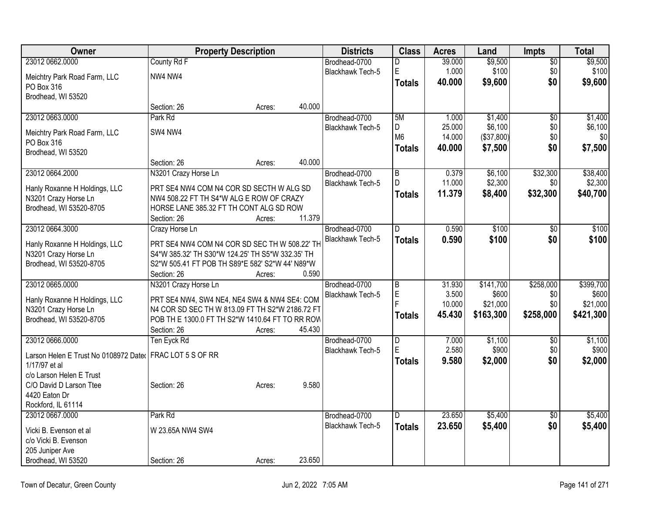| Owner                                                    | <b>Property Description</b>                      |        |        | <b>Districts</b>        | <b>Class</b>   | <b>Acres</b> | Land       | Impts           | <b>Total</b> |
|----------------------------------------------------------|--------------------------------------------------|--------|--------|-------------------------|----------------|--------------|------------|-----------------|--------------|
| 23012 0662.0000                                          | County Rd F                                      |        |        | Brodhead-0700           | D              | 39.000       | \$9,500    | $\overline{50}$ | \$9,500      |
| Meichtry Park Road Farm, LLC                             | NW4 NW4                                          |        |        | <b>Blackhawk Tech-5</b> | E              | 1.000        | \$100      | \$0             | \$100        |
| PO Box 316                                               |                                                  |        |        |                         | <b>Totals</b>  | 40.000       | \$9,600    | \$0             | \$9,600      |
| Brodhead, WI 53520                                       |                                                  |        |        |                         |                |              |            |                 |              |
|                                                          | Section: 26                                      | Acres: | 40.000 |                         |                |              |            |                 |              |
| 23012 0663.0000                                          | Park Rd                                          |        |        | Brodhead-0700           | 5M             | 1.000        | \$1,400    | $\overline{60}$ | \$1,400      |
| Meichtry Park Road Farm, LLC                             | SW4 NW4                                          |        |        | Blackhawk Tech-5        | D              | 25.000       | \$6,100    | \$0             | \$6,100      |
| PO Box 316                                               |                                                  |        |        |                         | M <sub>6</sub> | 14.000       | (\$37,800) | \$0             | \$0          |
| Brodhead, WI 53520                                       |                                                  |        |        |                         | <b>Totals</b>  | 40.000       | \$7,500    | \$0             | \$7,500      |
|                                                          | Section: 26                                      | Acres: | 40.000 |                         |                |              |            |                 |              |
| 23012 0664.2000                                          | N3201 Crazy Horse Ln                             |        |        | Brodhead-0700           | B              | 0.379        | \$6,100    | \$32,300        | \$38,400     |
| Hanly Roxanne H Holdings, LLC                            | PRT SE4 NW4 COM N4 COR SD SECTH W ALG SD         |        |        | Blackhawk Tech-5        | D              | 11.000       | \$2,300    | \$0             | \$2,300      |
| N3201 Crazy Horse Ln                                     | NW4 508.22 FT TH S4*W ALG E ROW OF CRAZY         |        |        |                         | <b>Totals</b>  | 11.379       | \$8,400    | \$32,300        | \$40,700     |
| Brodhead, WI 53520-8705                                  | HORSE LANE 385.32 FT TH CONT ALG SD ROW          |        |        |                         |                |              |            |                 |              |
|                                                          | Section: 26                                      | Acres: | 11.379 |                         |                |              |            |                 |              |
| 23012 0664.3000                                          | Crazy Horse Ln                                   |        |        | Brodhead-0700           | $\overline{D}$ | 0.590        | \$100      | $\overline{50}$ | \$100        |
| Hanly Roxanne H Holdings, LLC                            | PRT SE4 NW4 COM N4 COR SD SEC TH W 508.22' TH    |        |        | Blackhawk Tech-5        | <b>Totals</b>  | 0.590        | \$100      | \$0             | \$100        |
| N3201 Crazy Horse Ln                                     | S4*W 385.32' TH S30*W 124.25' TH S5*W 332.35' TH |        |        |                         |                |              |            |                 |              |
| Brodhead, WI 53520-8705                                  | S2*W 505.41 FT POB TH S89*E 582' S2*W 44' N89*W  |        |        |                         |                |              |            |                 |              |
|                                                          | Section: 26                                      | Acres: | 0.590  |                         |                |              |            |                 |              |
| 23012 0665.0000                                          | N3201 Crazy Horse Ln                             |        |        | Brodhead-0700           | $\overline{B}$ | 31.930       | \$141,700  | \$258,000       | \$399,700    |
| Hanly Roxanne H Holdings, LLC                            | PRT SE4 NW4, SW4 NE4, NE4 SW4 & NW4 SE4: COM     |        |        | Blackhawk Tech-5        | E              | 3.500        | \$600      | \$0             | \$600        |
| N3201 Crazy Horse Ln                                     | N4 COR SD SEC TH W 813.09 FT TH S2*W 2186.72 FT  |        |        |                         |                | 10.000       | \$21,000   | \$0             | \$21,000     |
| Brodhead, WI 53520-8705                                  | POB TH E 1300.0 FT TH S2*W 1410.64 FT TO RR ROW  |        |        |                         | <b>Totals</b>  | 45.430       | \$163,300  | \$258,000       | \$421,300    |
|                                                          | Section: 26                                      | Acres: | 45.430 |                         |                |              |            |                 |              |
| 23012 0666,0000                                          | Ten Eyck Rd                                      |        |        | Brodhead-0700           | $\overline{D}$ | 7.000        | \$1,100    | $\overline{30}$ | \$1,100      |
| Larson Helen E Trust No 0108972 Dater FRAC LOT 5 S OF RR |                                                  |        |        | Blackhawk Tech-5        | E              | 2.580        | \$900      | \$0             | \$900        |
| 1/17/97 et al                                            |                                                  |        |        |                         | <b>Totals</b>  | 9.580        | \$2,000    | \$0             | \$2,000      |
| c/o Larson Helen E Trust                                 |                                                  |        |        |                         |                |              |            |                 |              |
| C/O David D Larson Ttee                                  | Section: 26                                      | Acres: | 9.580  |                         |                |              |            |                 |              |
| 4420 Eaton Dr                                            |                                                  |        |        |                         |                |              |            |                 |              |
| Rockford, IL 61114                                       |                                                  |        |        |                         |                |              |            |                 |              |
| 23012 0667.0000                                          | Park Rd                                          |        |        | Brodhead-0700           | D              | 23.650       | \$5,400    | $\overline{50}$ | \$5,400      |
| Vicki B. Evenson et al                                   | W 23.65A NW4 SW4                                 |        |        | Blackhawk Tech-5        | <b>Totals</b>  | 23.650       | \$5,400    | \$0             | \$5,400      |
| c/o Vicki B. Evenson                                     |                                                  |        |        |                         |                |              |            |                 |              |
| 205 Juniper Ave                                          |                                                  |        |        |                         |                |              |            |                 |              |
| Brodhead, WI 53520                                       | Section: 26                                      | Acres: | 23.650 |                         |                |              |            |                 |              |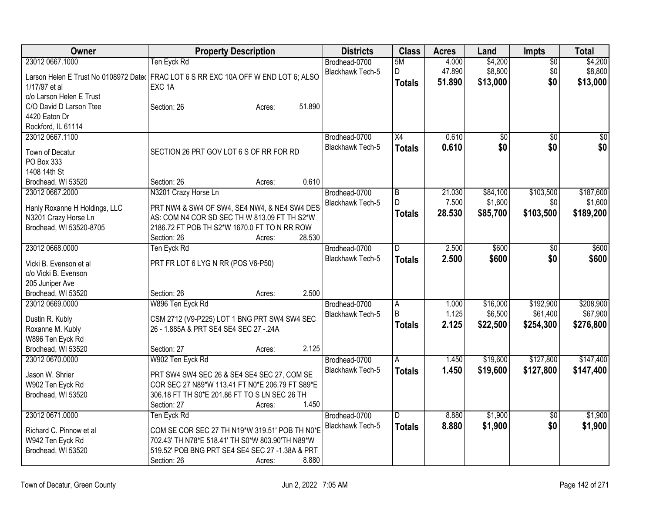| \$4,200<br>\$4,200<br>23012 0667.1000<br>Ten Eyck Rd<br>5M<br>4.000<br>Brodhead-0700<br>$\overline{50}$<br>47.890<br>\$8,800<br>\$0<br>\$8,800<br>D<br><b>Blackhawk Tech-5</b><br>FRAC LOT 6 S RR EXC 10A OFF W END LOT 6; ALSO<br>Larson Helen E Trust No 0108972 Dater<br>51.890<br>\$13,000<br>\$0<br><b>Totals</b><br>\$13,000<br>EXC <sub>1A</sub><br>1/17/97 et al<br>c/o Larson Helen E Trust<br>51.890<br>C/O David D Larson Ttee<br>Section: 26<br>Acres:<br>4420 Eaton Dr<br>Rockford, IL 61114<br>23012 0667.1100<br>$\overline{X4}$<br>0.610<br>$\overline{50}$<br>$\overline{30}$<br>Brodhead-0700<br>$\overline{50}$<br>\$0<br>\$0<br>\$0<br>0.610<br><b>Blackhawk Tech-5</b><br><b>Totals</b><br>SECTION 26 PRT GOV LOT 6 S OF RR FOR RD<br>Town of Decatur<br>PO Box 333<br>1408 14th St<br>Brodhead, WI 53520<br>0.610<br>Section: 26<br>Acres: | Owner           | <b>Property Description</b> | <b>Districts</b> | <b>Class</b>   | <b>Acres</b> | Land     | Impts     | <b>Total</b> |
|------------------------------------------------------------------------------------------------------------------------------------------------------------------------------------------------------------------------------------------------------------------------------------------------------------------------------------------------------------------------------------------------------------------------------------------------------------------------------------------------------------------------------------------------------------------------------------------------------------------------------------------------------------------------------------------------------------------------------------------------------------------------------------------------------------------------------------------------------------------|-----------------|-----------------------------|------------------|----------------|--------------|----------|-----------|--------------|
|                                                                                                                                                                                                                                                                                                                                                                                                                                                                                                                                                                                                                                                                                                                                                                                                                                                                  |                 |                             |                  |                |              |          |           |              |
|                                                                                                                                                                                                                                                                                                                                                                                                                                                                                                                                                                                                                                                                                                                                                                                                                                                                  |                 |                             |                  |                |              |          |           |              |
|                                                                                                                                                                                                                                                                                                                                                                                                                                                                                                                                                                                                                                                                                                                                                                                                                                                                  |                 |                             |                  |                |              |          |           |              |
|                                                                                                                                                                                                                                                                                                                                                                                                                                                                                                                                                                                                                                                                                                                                                                                                                                                                  |                 |                             |                  |                |              |          |           |              |
|                                                                                                                                                                                                                                                                                                                                                                                                                                                                                                                                                                                                                                                                                                                                                                                                                                                                  |                 |                             |                  |                |              |          |           |              |
|                                                                                                                                                                                                                                                                                                                                                                                                                                                                                                                                                                                                                                                                                                                                                                                                                                                                  |                 |                             |                  |                |              |          |           |              |
|                                                                                                                                                                                                                                                                                                                                                                                                                                                                                                                                                                                                                                                                                                                                                                                                                                                                  |                 |                             |                  |                |              |          |           |              |
|                                                                                                                                                                                                                                                                                                                                                                                                                                                                                                                                                                                                                                                                                                                                                                                                                                                                  |                 |                             |                  |                |              |          |           |              |
|                                                                                                                                                                                                                                                                                                                                                                                                                                                                                                                                                                                                                                                                                                                                                                                                                                                                  |                 |                             |                  |                |              |          |           |              |
|                                                                                                                                                                                                                                                                                                                                                                                                                                                                                                                                                                                                                                                                                                                                                                                                                                                                  |                 |                             |                  |                |              |          |           |              |
|                                                                                                                                                                                                                                                                                                                                                                                                                                                                                                                                                                                                                                                                                                                                                                                                                                                                  |                 |                             |                  |                |              |          |           |              |
|                                                                                                                                                                                                                                                                                                                                                                                                                                                                                                                                                                                                                                                                                                                                                                                                                                                                  |                 |                             |                  |                |              |          |           |              |
|                                                                                                                                                                                                                                                                                                                                                                                                                                                                                                                                                                                                                                                                                                                                                                                                                                                                  | 23012 0667.2000 | N3201 Crazy Horse Ln        | Brodhead-0700    | $\overline{B}$ | 21.030       | \$84,100 | \$103,500 | \$187,600    |
| D<br>7.500<br>\$1,600<br>\$1,600<br>\$0<br>Blackhawk Tech-5                                                                                                                                                                                                                                                                                                                                                                                                                                                                                                                                                                                                                                                                                                                                                                                                      |                 |                             |                  |                |              |          |           |              |
| PRT NW4 & SW4 OF SW4, SE4 NW4, & NE4 SW4 DES<br>Hanly Roxanne H Holdings, LLC<br>\$103,500<br>28.530<br>\$85,700<br>\$189,200<br><b>Totals</b>                                                                                                                                                                                                                                                                                                                                                                                                                                                                                                                                                                                                                                                                                                                   |                 |                             |                  |                |              |          |           |              |
| N3201 Crazy Horse Ln<br>AS: COM N4 COR SD SEC TH W 813.09 FT TH S2*W                                                                                                                                                                                                                                                                                                                                                                                                                                                                                                                                                                                                                                                                                                                                                                                             |                 |                             |                  |                |              |          |           |              |
| Brodhead, WI 53520-8705<br>2186.72 FT POB TH S2*W 1670.0 FT TO N RR ROW                                                                                                                                                                                                                                                                                                                                                                                                                                                                                                                                                                                                                                                                                                                                                                                          |                 |                             |                  |                |              |          |           |              |
| 28.530<br>Section: 26<br>Acres:                                                                                                                                                                                                                                                                                                                                                                                                                                                                                                                                                                                                                                                                                                                                                                                                                                  |                 |                             |                  |                |              |          |           |              |
| 23012 0668.0000<br>2.500<br>\$600<br>\$600<br>Ten Eyck Rd<br>Brodhead-0700<br>D<br>\$0                                                                                                                                                                                                                                                                                                                                                                                                                                                                                                                                                                                                                                                                                                                                                                           |                 |                             |                  |                |              |          |           |              |
| <b>Blackhawk Tech-5</b><br>2.500<br>\$600<br>\$0<br>\$600<br><b>Totals</b><br>PRT FR LOT 6 LYG N RR (POS V6-P50)<br>Vicki B. Evenson et al                                                                                                                                                                                                                                                                                                                                                                                                                                                                                                                                                                                                                                                                                                                       |                 |                             |                  |                |              |          |           |              |
| c/o Vicki B. Evenson                                                                                                                                                                                                                                                                                                                                                                                                                                                                                                                                                                                                                                                                                                                                                                                                                                             |                 |                             |                  |                |              |          |           |              |
| 205 Juniper Ave                                                                                                                                                                                                                                                                                                                                                                                                                                                                                                                                                                                                                                                                                                                                                                                                                                                  |                 |                             |                  |                |              |          |           |              |
| 2.500<br>Brodhead, WI 53520<br>Section: 26<br>Acres:                                                                                                                                                                                                                                                                                                                                                                                                                                                                                                                                                                                                                                                                                                                                                                                                             |                 |                             |                  |                |              |          |           |              |
| 23012 0669.0000<br>\$16,000<br>\$192,900<br>\$208,900<br>W896 Ten Eyck Rd<br>Brodhead-0700<br>$\overline{A}$<br>1.000                                                                                                                                                                                                                                                                                                                                                                                                                                                                                                                                                                                                                                                                                                                                            |                 |                             |                  |                |              |          |           |              |
| B<br>1.125<br>\$6,500<br>\$61,400<br><b>Blackhawk Tech-5</b><br>\$67,900                                                                                                                                                                                                                                                                                                                                                                                                                                                                                                                                                                                                                                                                                                                                                                                         |                 |                             |                  |                |              |          |           |              |
| Dustin R. Kubly<br>CSM 2712 (V9-P225) LOT 1 BNG PRT SW4 SW4 SEC<br>2.125<br>\$22,500<br>\$254,300<br>\$276,800<br><b>Totals</b>                                                                                                                                                                                                                                                                                                                                                                                                                                                                                                                                                                                                                                                                                                                                  |                 |                             |                  |                |              |          |           |              |
| Roxanne M. Kubly<br>26 - 1.885A & PRT SE4 SE4 SEC 27 - 24A                                                                                                                                                                                                                                                                                                                                                                                                                                                                                                                                                                                                                                                                                                                                                                                                       |                 |                             |                  |                |              |          |           |              |
| W896 Ten Eyck Rd<br>2.125                                                                                                                                                                                                                                                                                                                                                                                                                                                                                                                                                                                                                                                                                                                                                                                                                                        |                 |                             |                  |                |              |          |           |              |
| Brodhead, WI 53520<br>Section: 27<br>Acres:                                                                                                                                                                                                                                                                                                                                                                                                                                                                                                                                                                                                                                                                                                                                                                                                                      |                 |                             |                  |                |              |          |           |              |
| 23012 0670.0000<br>\$19,600<br>\$127,800<br>\$147,400<br>W902 Ten Eyck Rd<br>Brodhead-0700<br>1.450<br>A                                                                                                                                                                                                                                                                                                                                                                                                                                                                                                                                                                                                                                                                                                                                                         |                 |                             |                  |                |              |          |           |              |
| <b>Blackhawk Tech-5</b><br>\$19,600<br>\$127,800<br>1.450<br>\$147,400<br><b>Totals</b><br>Jason W. Shrier<br>PRT SW4 SW4 SEC 26 & SE4 SE4 SEC 27, COM SE                                                                                                                                                                                                                                                                                                                                                                                                                                                                                                                                                                                                                                                                                                        |                 |                             |                  |                |              |          |           |              |
| COR SEC 27 N89*W 113.41 FT N0*E 206.79 FT S89*E<br>W902 Ten Eyck Rd                                                                                                                                                                                                                                                                                                                                                                                                                                                                                                                                                                                                                                                                                                                                                                                              |                 |                             |                  |                |              |          |           |              |
| 306.18 FT TH S0*E 201.86 FT TO S LN SEC 26 TH<br>Brodhead, WI 53520                                                                                                                                                                                                                                                                                                                                                                                                                                                                                                                                                                                                                                                                                                                                                                                              |                 |                             |                  |                |              |          |           |              |
| 1.450<br>Section: 27<br>Acres:                                                                                                                                                                                                                                                                                                                                                                                                                                                                                                                                                                                                                                                                                                                                                                                                                                   |                 |                             |                  |                |              |          |           |              |
| 23012 0671.0000<br>Brodhead-0700<br>\$1,900<br>\$1,900<br>8.880<br>$\sqrt{6}$<br>Ten Eyck Rd<br>D                                                                                                                                                                                                                                                                                                                                                                                                                                                                                                                                                                                                                                                                                                                                                                |                 |                             |                  |                |              |          |           |              |
| \$1,900<br>Blackhawk Tech-5<br>8.880<br>\$0<br>\$1,900<br><b>Totals</b><br>Richard C. Pinnow et al<br>COM SE COR SEC 27 TH N19*W 319.51' POB TH N0*E                                                                                                                                                                                                                                                                                                                                                                                                                                                                                                                                                                                                                                                                                                             |                 |                             |                  |                |              |          |           |              |
| W942 Ten Eyck Rd<br>702.43' TH N78*E 518.41' TH S0*W 803.90'TH N89*W                                                                                                                                                                                                                                                                                                                                                                                                                                                                                                                                                                                                                                                                                                                                                                                             |                 |                             |                  |                |              |          |           |              |
| 519.52' POB BNG PRT SE4 SE4 SEC 27 -1.38A & PRT<br>Brodhead, WI 53520                                                                                                                                                                                                                                                                                                                                                                                                                                                                                                                                                                                                                                                                                                                                                                                            |                 |                             |                  |                |              |          |           |              |
| 8.880<br>Section: 26<br>Acres:                                                                                                                                                                                                                                                                                                                                                                                                                                                                                                                                                                                                                                                                                                                                                                                                                                   |                 |                             |                  |                |              |          |           |              |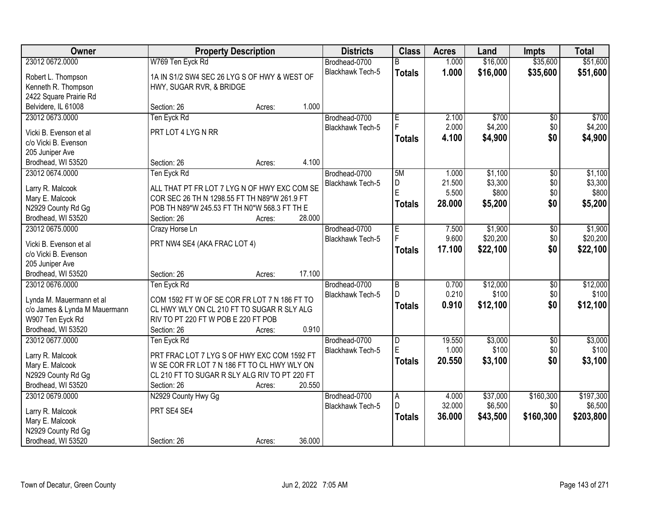| <b>Owner</b>                          |                                               | <b>Property Description</b> |        | <b>Districts</b>                         | <b>Class</b>   | <b>Acres</b> | Land              | <b>Impts</b>           | <b>Total</b> |
|---------------------------------------|-----------------------------------------------|-----------------------------|--------|------------------------------------------|----------------|--------------|-------------------|------------------------|--------------|
| 23012 0672.0000                       | W769 Ten Eyck Rd                              |                             |        | Brodhead-0700                            | R.             | 1.000        | \$16,000          | \$35,600               | \$51,600     |
| Robert L. Thompson                    | 1A IN S1/2 SW4 SEC 26 LYG S OF HWY & WEST OF  |                             |        | Blackhawk Tech-5                         | <b>Totals</b>  | 1.000        | \$16,000          | \$35,600               | \$51,600     |
| Kenneth R. Thompson                   | HWY, SUGAR RVR, & BRIDGE                      |                             |        |                                          |                |              |                   |                        |              |
| 2422 Square Prairie Rd                |                                               |                             |        |                                          |                |              |                   |                        |              |
| Belvidere, IL 61008                   | Section: 26                                   | Acres:                      | 1.000  |                                          |                |              |                   |                        |              |
| 23012 0673.0000                       | Ten Eyck Rd                                   |                             |        | Brodhead-0700                            | E              | 2.100        | \$700             | \$0                    | \$700        |
|                                       |                                               |                             |        | <b>Blackhawk Tech-5</b>                  | F              | 2.000        | \$4,200           | \$0                    | \$4,200      |
| Vicki B. Evenson et al                | PRT LOT 4 LYGN RR                             |                             |        |                                          | <b>Totals</b>  | 4.100        | \$4,900           | \$0                    | \$4,900      |
| c/o Vicki B. Evenson                  |                                               |                             |        |                                          |                |              |                   |                        |              |
| 205 Juniper Ave                       |                                               |                             |        |                                          |                |              |                   |                        |              |
| Brodhead, WI 53520                    | Section: 26                                   | Acres:                      | 4.100  |                                          |                |              |                   |                        |              |
| 23012 0674.0000                       | Ten Eyck Rd                                   |                             |        | Brodhead-0700                            | 5M             | 1.000        | \$1,100           | $\overline{50}$        | \$1,100      |
| Larry R. Malcook                      | ALL THAT PT FR LOT 7 LYG N OF HWY EXC COM SE  |                             |        | Blackhawk Tech-5                         | D<br>E         | 21.500       | \$3,300           | \$0                    | \$3,300      |
| Mary E. Malcook                       | COR SEC 26 TH N 1298.55 FT TH N89*W 261.9 FT  |                             |        |                                          |                | 5.500        | \$800             | \$0                    | \$800        |
| N2929 County Rd Gg                    | POB TH N89*W 245.53 FT TH N0*W 568.3 FT TH E  |                             |        |                                          | <b>Totals</b>  | 28,000       | \$5,200           | \$0                    | \$5,200      |
| Brodhead, WI 53520                    | Section: 26                                   | Acres:                      | 28.000 |                                          |                |              |                   |                        |              |
| 23012 0675.0000                       | Crazy Horse Ln                                |                             |        | Brodhead-0700                            | E              | 7.500        | \$1,900           | \$0                    | \$1,900      |
|                                       |                                               |                             |        | <b>Blackhawk Tech-5</b>                  |                | 9.600        | \$20,200          | \$0                    | \$20,200     |
| Vicki B. Evenson et al                | PRT NW4 SE4 (AKA FRAC LOT 4)                  |                             |        |                                          | <b>Totals</b>  | 17.100       | \$22,100          | \$0                    | \$22,100     |
| c/o Vicki B. Evenson                  |                                               |                             |        |                                          |                |              |                   |                        |              |
| 205 Juniper Ave                       |                                               |                             | 17.100 |                                          |                |              |                   |                        |              |
| Brodhead, WI 53520<br>23012 0676.0000 | Section: 26                                   | Acres:                      |        |                                          | $\overline{B}$ | 0.700        |                   |                        | \$12,000     |
|                                       | Ten Eyck Rd                                   |                             |        | Brodhead-0700<br><b>Blackhawk Tech-5</b> | D              | 0.210        | \$12,000<br>\$100 | $\overline{50}$<br>\$0 | \$100        |
| Lynda M. Mauermann et al              | COM 1592 FT W OF SE COR FR LOT 7 N 186 FT TO  |                             |        |                                          |                | 0.910        |                   | \$0                    |              |
| c/o James & Lynda M Mauermann         | CL HWY WLY ON CL 210 FT TO SUGAR R SLY ALG    |                             |        |                                          | <b>Totals</b>  |              | \$12,100          |                        | \$12,100     |
| W907 Ten Eyck Rd                      | RIV TO PT 220 FT W POB E 220 FT POB           |                             |        |                                          |                |              |                   |                        |              |
| Brodhead, WI 53520                    | Section: 26                                   | Acres:                      | 0.910  |                                          |                |              |                   |                        |              |
| 23012 0677.0000                       | Ten Eyck Rd                                   |                             |        | Brodhead-0700                            | D              | 19.550       | \$3,000           | $\overline{50}$        | \$3,000      |
| Larry R. Malcook                      | PRT FRAC LOT 7 LYG S OF HWY EXC COM 1592 FT   |                             |        | Blackhawk Tech-5                         | E              | 1.000        | \$100             | \$0                    | \$100        |
| Mary E. Malcook                       | W SE COR FR LOT 7 N 186 FT TO CL HWY WLY ON   |                             |        |                                          | <b>Totals</b>  | 20.550       | \$3,100           | \$0                    | \$3,100      |
| N2929 County Rd Gg                    | CL 210 FT TO SUGAR R SLY ALG RIV TO PT 220 FT |                             |        |                                          |                |              |                   |                        |              |
| Brodhead, WI 53520                    | Section: 26                                   | Acres:                      | 20.550 |                                          |                |              |                   |                        |              |
| 23012 0679.0000                       | N2929 County Hwy Gg                           |                             |        | Brodhead-0700                            | $\overline{A}$ | 4.000        | \$37,000          | \$160,300              | \$197,300    |
|                                       |                                               |                             |        | Blackhawk Tech-5                         | D.             | 32.000       | \$6,500           | \$0                    | \$6,500      |
| Larry R. Malcook                      | PRT SE4 SE4                                   |                             |        |                                          | <b>Totals</b>  | 36.000       | \$43,500          | \$160,300              | \$203,800    |
| Mary E. Malcook                       |                                               |                             |        |                                          |                |              |                   |                        |              |
| N2929 County Rd Gg                    |                                               |                             |        |                                          |                |              |                   |                        |              |
| Brodhead, WI 53520                    | Section: 26                                   | Acres:                      | 36.000 |                                          |                |              |                   |                        |              |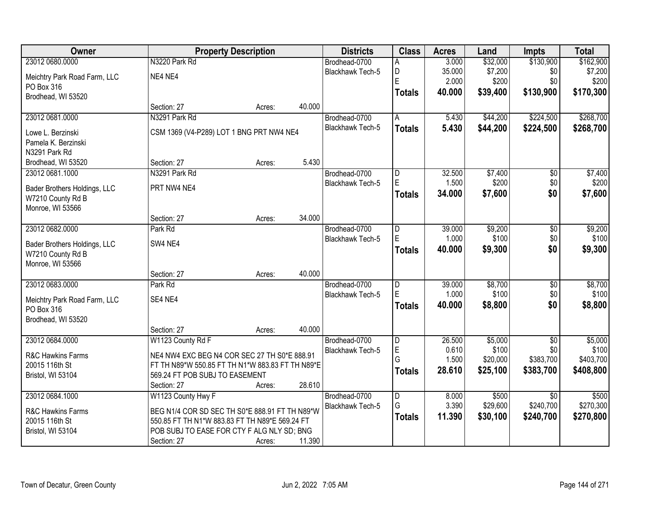| Owner                                             | <b>Property Description</b>                      |        |        | <b>Districts</b>        | <b>Class</b>                 | <b>Acres</b>    | Land              | <b>Impts</b>     | <b>Total</b>     |
|---------------------------------------------------|--------------------------------------------------|--------|--------|-------------------------|------------------------------|-----------------|-------------------|------------------|------------------|
| 23012 0680.0000                                   | N3220 Park Rd                                    |        |        | Brodhead-0700           | A                            | 3.000           | \$32,000          | \$130,900        | \$162,900        |
| Meichtry Park Road Farm, LLC                      | NE4 NE4                                          |        |        | Blackhawk Tech-5        | D                            | 35.000          | \$7,200           | \$0              | \$7,200          |
| PO Box 316                                        |                                                  |        |        |                         | E                            | 2.000           | \$200             | \$0              | \$200            |
| Brodhead, WI 53520                                |                                                  |        |        |                         | <b>Totals</b>                | 40.000          | \$39,400          | \$130,900        | \$170,300        |
|                                                   | Section: 27                                      | Acres: | 40.000 |                         |                              |                 |                   |                  |                  |
| 23012 0681.0000                                   | N3291 Park Rd                                    |        |        | Brodhead-0700           | A                            | 5.430           | \$44,200          | \$224,500        | \$268,700        |
| Lowe L. Berzinski                                 | CSM 1369 (V4-P289) LOT 1 BNG PRT NW4 NE4         |        |        | Blackhawk Tech-5        | <b>Totals</b>                | 5.430           | \$44,200          | \$224,500        | \$268,700        |
| Pamela K. Berzinski                               |                                                  |        |        |                         |                              |                 |                   |                  |                  |
| N3291 Park Rd                                     |                                                  |        |        |                         |                              |                 |                   |                  |                  |
| Brodhead, WI 53520                                | Section: 27                                      | Acres: | 5.430  |                         |                              |                 |                   |                  |                  |
| 23012 0681.1000                                   | N3291 Park Rd                                    |        |        | Brodhead-0700           | D                            | 32.500          | \$7,400           | $\overline{50}$  | \$7,400          |
|                                                   | PRT NW4 NE4                                      |        |        | Blackhawk Tech-5        | E                            | 1.500           | \$200             | \$0              | \$200            |
| Bader Brothers Holdings, LLC<br>W7210 County Rd B |                                                  |        |        |                         | <b>Totals</b>                | 34.000          | \$7,600           | \$0              | \$7,600          |
| Monroe, WI 53566                                  |                                                  |        |        |                         |                              |                 |                   |                  |                  |
|                                                   | Section: 27                                      | Acres: | 34.000 |                         |                              |                 |                   |                  |                  |
| 23012 0682.0000                                   | Park Rd                                          |        |        | Brodhead-0700           | D                            | 39.000          | \$9,200           | $\overline{50}$  | \$9,200          |
|                                                   |                                                  |        |        | Blackhawk Tech-5        | E                            | 1.000           | \$100             | \$0              | \$100            |
| Bader Brothers Holdings, LLC                      | SW4 NE4                                          |        |        |                         | <b>Totals</b>                | 40.000          | \$9,300           | \$0              | \$9,300          |
| W7210 County Rd B<br>Monroe, WI 53566             |                                                  |        |        |                         |                              |                 |                   |                  |                  |
|                                                   | Section: 27                                      | Acres: | 40.000 |                         |                              |                 |                   |                  |                  |
| 23012 0683.0000                                   | Park Rd                                          |        |        | Brodhead-0700           | D                            | 39.000          | \$8,700           | $\overline{50}$  | \$8,700          |
|                                                   |                                                  |        |        | Blackhawk Tech-5        | E                            | 1.000           | \$100             | \$0              | \$100            |
| Meichtry Park Road Farm, LLC                      | SE4 NE4                                          |        |        |                         | <b>Totals</b>                | 40.000          | \$8,800           | \$0              | \$8,800          |
| PO Box 316                                        |                                                  |        |        |                         |                              |                 |                   |                  |                  |
| Brodhead, WI 53520                                |                                                  |        |        |                         |                              |                 |                   |                  |                  |
|                                                   | Section: 27                                      | Acres: | 40.000 |                         |                              |                 |                   |                  |                  |
| 23012 0684.0000                                   | W1123 County Rd F                                |        |        | Brodhead-0700           | $\overline{\mathsf{D}}$<br>E | 26.500<br>0.610 | \$5,000           | $\overline{50}$  | \$5,000<br>\$100 |
| R&C Hawkins Farms                                 | NE4 NW4 EXC BEG N4 COR SEC 27 TH S0*E 888.91     |        |        | <b>Blackhawk Tech-5</b> | G                            | 1.500           | \$100<br>\$20,000 | \$0<br>\$383,700 | \$403,700        |
| 20015 116th St                                    | FT TH N89*W 550.85 FT TH N1*W 883.83 FT TH N89*E |        |        |                         |                              | 28.610          | \$25,100          | \$383,700        | \$408,800        |
| Bristol, WI 53104                                 | 569.24 FT POB SUBJ TO EASEMENT                   |        |        |                         | <b>Totals</b>                |                 |                   |                  |                  |
|                                                   | Section: 27                                      | Acres: | 28.610 |                         |                              |                 |                   |                  |                  |
| 23012 0684.1000                                   | W1123 County Hwy F                               |        |        | Brodhead-0700           | $\overline{\mathsf{D}}$      | 8.000           | \$500             | $\overline{30}$  | \$500            |
| R&C Hawkins Farms                                 | BEG N1/4 COR SD SEC TH S0*E 888.91 FT TH N89*W   |        |        | Blackhawk Tech-5        | G                            | 3.390           | \$29,600          | \$240,700        | \$270,300        |
| 20015 116th St                                    | 550.85 FT TH N1*W 883.83 FT TH N89*E 569.24 FT   |        |        |                         | <b>Totals</b>                | 11.390          | \$30,100          | \$240,700        | \$270,800        |
| Bristol, WI 53104                                 | POB SUBJ TO EASE FOR CTY F ALG NLY SD; BNG       |        |        |                         |                              |                 |                   |                  |                  |
|                                                   | Section: 27                                      | Acres: | 11.390 |                         |                              |                 |                   |                  |                  |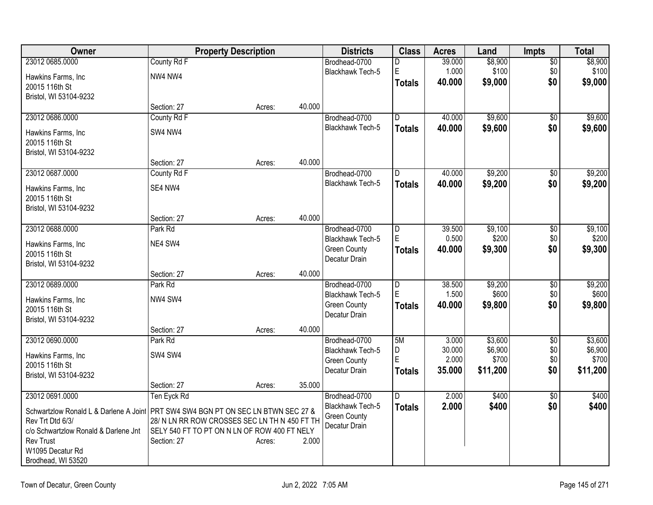| Owner                                                                               | <b>Property Description</b>                   |        |        | <b>Districts</b>        | <b>Class</b>   | <b>Acres</b> | Land     | <b>Impts</b>    | <b>Total</b> |
|-------------------------------------------------------------------------------------|-----------------------------------------------|--------|--------|-------------------------|----------------|--------------|----------|-----------------|--------------|
| 23012 0685.0000                                                                     | County Rd F                                   |        |        | Brodhead-0700           | D              | 39.000       | \$8,900  | $\overline{50}$ | \$8,900      |
| Hawkins Farms, Inc                                                                  | NW4 NW4                                       |        |        | Blackhawk Tech-5        | $\mathsf E$    | 1.000        | \$100    | \$0             | \$100        |
| 20015 116th St                                                                      |                                               |        |        |                         | <b>Totals</b>  | 40.000       | \$9,000  | \$0             | \$9,000      |
| Bristol, WI 53104-9232                                                              |                                               |        |        |                         |                |              |          |                 |              |
|                                                                                     | Section: 27                                   | Acres: | 40.000 |                         |                |              |          |                 |              |
| 23012 0686.0000                                                                     | County Rd F                                   |        |        | Brodhead-0700           | D              | 40.000       | \$9,600  | \$0             | \$9,600      |
| Hawkins Farms, Inc                                                                  | SW4 NW4                                       |        |        | <b>Blackhawk Tech-5</b> | <b>Totals</b>  | 40.000       | \$9,600  | \$0             | \$9,600      |
| 20015 116th St                                                                      |                                               |        |        |                         |                |              |          |                 |              |
| Bristol, WI 53104-9232                                                              |                                               |        |        |                         |                |              |          |                 |              |
|                                                                                     | Section: 27                                   | Acres: | 40.000 |                         |                |              |          |                 |              |
| 23012 0687.0000                                                                     | County Rd F                                   |        |        | Brodhead-0700           | D              | 40.000       | \$9,200  | \$0             | \$9,200      |
| Hawkins Farms, Inc                                                                  | SE4 NW4                                       |        |        | <b>Blackhawk Tech-5</b> | <b>Totals</b>  | 40.000       | \$9,200  | \$0             | \$9,200      |
| 20015 116th St                                                                      |                                               |        |        |                         |                |              |          |                 |              |
| Bristol, WI 53104-9232                                                              |                                               |        |        |                         |                |              |          |                 |              |
|                                                                                     | Section: 27                                   | Acres: | 40.000 |                         |                |              |          |                 |              |
| 23012 0688.0000                                                                     | Park Rd                                       |        |        | Brodhead-0700           | D              | 39.500       | \$9,100  | $\overline{50}$ | \$9,100      |
| Hawkins Farms, Inc                                                                  | NE4 SW4                                       |        |        | Blackhawk Tech-5        | E              | 0.500        | \$200    | \$0             | \$200        |
| 20015 116th St                                                                      |                                               |        |        | <b>Green County</b>     | <b>Totals</b>  | 40.000       | \$9,300  | \$0             | \$9,300      |
| Bristol, WI 53104-9232                                                              |                                               |        |        | Decatur Drain           |                |              |          |                 |              |
|                                                                                     | Section: 27                                   | Acres: | 40.000 |                         |                |              |          |                 |              |
| 23012 0689.0000                                                                     | Park Rd                                       |        |        | Brodhead-0700           | $\overline{D}$ | 38.500       | \$9,200  | \$0             | \$9,200      |
| Hawkins Farms, Inc                                                                  | NW4 SW4                                       |        |        | Blackhawk Tech-5        | E              | 1.500        | \$600    | \$0             | \$600        |
| 20015 116th St                                                                      |                                               |        |        | <b>Green County</b>     | <b>Totals</b>  | 40.000       | \$9,800  | \$0             | \$9,800      |
| Bristol, WI 53104-9232                                                              |                                               |        |        | Decatur Drain           |                |              |          |                 |              |
|                                                                                     | Section: 27                                   | Acres: | 40.000 |                         |                |              |          |                 |              |
| 23012 0690,0000                                                                     | Park Rd                                       |        |        | Brodhead-0700           | 5M             | 3.000        | \$3,600  | $\overline{50}$ | \$3,600      |
| Hawkins Farms, Inc                                                                  | SW4 SW4                                       |        |        | Blackhawk Tech-5        | D              | 30.000       | \$6,900  | \$0             | \$6,900      |
| 20015 116th St                                                                      |                                               |        |        | <b>Green County</b>     | E              | 2.000        | \$700    | \$0             | \$700        |
| Bristol, WI 53104-9232                                                              |                                               |        |        | Decatur Drain           | <b>Totals</b>  | 35.000       | \$11,200 | \$0             | \$11,200     |
|                                                                                     | Section: 27                                   | Acres: | 35.000 |                         |                |              |          |                 |              |
| 23012 0691.0000                                                                     | Ten Eyck Rd                                   |        |        | Brodhead-0700           | D.             | 2.000        | \$400    | $\overline{50}$ | \$400        |
| Schwartzlow Ronald L & Darlene A Joint   PRT SW4 SW4 BGN PT ON SEC LN BTWN SEC 27 & |                                               |        |        | Blackhawk Tech-5        | <b>Totals</b>  | 2.000        | \$400    | \$0             | \$400        |
| Rev Trt Dtd 6/3/                                                                    | 28/ N LN RR ROW CROSSES SEC LN TH N 450 FT TH |        |        | <b>Green County</b>     |                |              |          |                 |              |
| c/o Schwartzlow Ronald & Darlene Jnt                                                | SELY 540 FT TO PT ON N LN OF ROW 400 FT NELY  |        |        | Decatur Drain           |                |              |          |                 |              |
| <b>Rev Trust</b>                                                                    | Section: 27                                   | Acres: | 2.000  |                         |                |              |          |                 |              |
| W1095 Decatur Rd                                                                    |                                               |        |        |                         |                |              |          |                 |              |
| Brodhead, WI 53520                                                                  |                                               |        |        |                         |                |              |          |                 |              |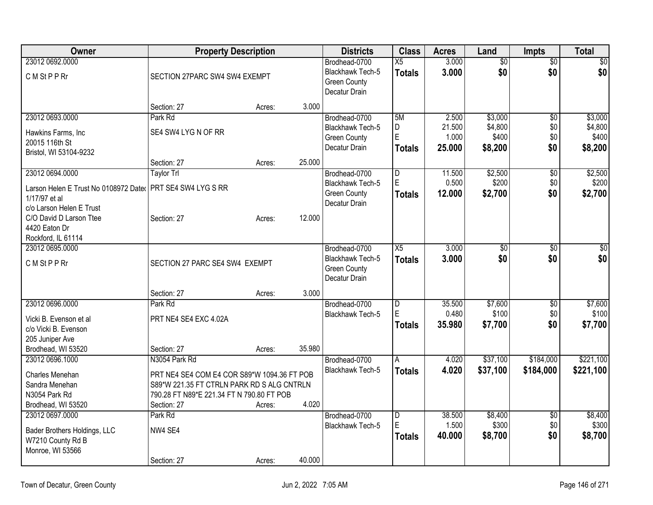| Owner                                                      | <b>Property Description</b>                 |        |        | <b>Districts</b>                     | <b>Class</b>            | <b>Acres</b>    | Land             | <b>Impts</b>    | Total            |
|------------------------------------------------------------|---------------------------------------------|--------|--------|--------------------------------------|-------------------------|-----------------|------------------|-----------------|------------------|
| 23012 0692.0000                                            |                                             |        |        | Brodhead-0700                        | X5                      | 3.000           | $\overline{50}$  | $\overline{50}$ | $\overline{50}$  |
| C M St P P Rr                                              | SECTION 27PARC SW4 SW4 EXEMPT               |        |        | Blackhawk Tech-5                     | <b>Totals</b>           | 3.000           | \$0              | \$0             | \$0              |
|                                                            |                                             |        |        | <b>Green County</b><br>Decatur Drain |                         |                 |                  |                 |                  |
|                                                            |                                             |        |        |                                      |                         |                 |                  |                 |                  |
|                                                            | Section: 27                                 | Acres: | 3.000  |                                      |                         |                 |                  |                 |                  |
| 23012 0693.0000                                            | Park Rd                                     |        |        | Brodhead-0700                        | 5M                      | 2.500           | \$3,000          | \$0             | \$3,000          |
| Hawkins Farms, Inc                                         | SE4 SW4 LYG N OF RR                         |        |        | <b>Blackhawk Tech-5</b>              | D<br>E                  | 21.500<br>1.000 | \$4,800<br>\$400 | \$0<br>\$0      | \$4,800<br>\$400 |
| 20015 116th St                                             |                                             |        |        | <b>Green County</b><br>Decatur Drain |                         | 25.000          |                  | \$0             |                  |
| Bristol, WI 53104-9232                                     |                                             |        |        |                                      | <b>Totals</b>           |                 | \$8,200          |                 | \$8,200          |
|                                                            | Section: 27                                 | Acres: | 25.000 |                                      |                         |                 |                  |                 |                  |
| 23012 0694.0000                                            | <b>Taylor Trl</b>                           |        |        | Brodhead-0700                        | D                       | 11.500          | \$2,500          | \$0             | \$2,500          |
| Larson Helen E Trust No 0108972 Dater PRT SE4 SW4 LYG S RR |                                             |        |        | <b>Blackhawk Tech-5</b>              | E                       | 0.500           | \$200            | \$0             | \$200            |
| 1/17/97 et al                                              |                                             |        |        | <b>Green County</b>                  | <b>Totals</b>           | 12.000          | \$2,700          | \$0             | \$2,700          |
| c/o Larson Helen E Trust                                   |                                             |        |        | Decatur Drain                        |                         |                 |                  |                 |                  |
| C/O David D Larson Ttee                                    | Section: 27                                 | Acres: | 12.000 |                                      |                         |                 |                  |                 |                  |
| 4420 Eaton Dr                                              |                                             |        |        |                                      |                         |                 |                  |                 |                  |
| Rockford, IL 61114                                         |                                             |        |        |                                      |                         |                 |                  |                 |                  |
| 23012 0695.0000                                            |                                             |        |        | Brodhead-0700                        | X5                      | 3.000           | $\overline{50}$  | \$0             | $\sqrt{50}$      |
| C M St P P Rr                                              | SECTION 27 PARC SE4 SW4 EXEMPT              |        |        | Blackhawk Tech-5                     | <b>Totals</b>           | 3.000           | \$0              | \$0             | \$0              |
|                                                            |                                             |        |        | <b>Green County</b>                  |                         |                 |                  |                 |                  |
|                                                            |                                             |        |        | Decatur Drain                        |                         |                 |                  |                 |                  |
|                                                            | Section: 27                                 | Acres: | 3.000  |                                      |                         |                 |                  |                 |                  |
| 23012 0696.0000                                            | Park Rd                                     |        |        | Brodhead-0700                        | D                       | 35.500          | \$7,600          | $\overline{50}$ | \$7,600          |
| Vicki B. Evenson et al                                     | PRT NE4 SE4 EXC 4.02A                       |        |        | Blackhawk Tech-5                     | E                       | 0.480           | \$100            | \$0             | \$100            |
| c/o Vicki B. Evenson                                       |                                             |        |        |                                      | Totals                  | 35.980          | \$7,700          | \$0             | \$7,700          |
| 205 Juniper Ave                                            |                                             |        |        |                                      |                         |                 |                  |                 |                  |
| Brodhead, WI 53520                                         | Section: 27                                 | Acres: | 35.980 |                                      |                         |                 |                  |                 |                  |
| 23012 0696.1000                                            | N3054 Park Rd                               |        |        | Brodhead-0700                        | A                       | 4.020           | \$37,100         | \$184,000       | \$221,100        |
| Charles Menehan                                            | PRT NE4 SE4 COM E4 COR S89*W 1094.36 FT POB |        |        | Blackhawk Tech-5                     | <b>Totals</b>           | 4.020           | \$37,100         | \$184,000       | \$221,100        |
| Sandra Menehan                                             | S89*W 221.35 FT CTRLN PARK RD S ALG CNTRLN  |        |        |                                      |                         |                 |                  |                 |                  |
| N3054 Park Rd                                              | 790.28 FT N89*E 221.34 FT N 790.80 FT POB   |        |        |                                      |                         |                 |                  |                 |                  |
| Brodhead, WI 53520                                         | Section: 27                                 | Acres: | 4.020  |                                      |                         |                 |                  |                 |                  |
| 23012 0697.0000                                            | Park Rd                                     |        |        | Brodhead-0700                        | $\overline{\mathsf{D}}$ | 38.500          | \$8,400          | $\overline{50}$ | \$8,400          |
| Bader Brothers Holdings, LLC                               | NW4 SE4                                     |        |        | <b>Blackhawk Tech-5</b>              | E                       | 1.500           | \$300            | \$0             | \$300            |
| W7210 County Rd B                                          |                                             |        |        |                                      | <b>Totals</b>           | 40.000          | \$8,700          | \$0             | \$8,700          |
| Monroe, WI 53566                                           |                                             |        |        |                                      |                         |                 |                  |                 |                  |
|                                                            |                                             |        |        |                                      |                         |                 |                  |                 |                  |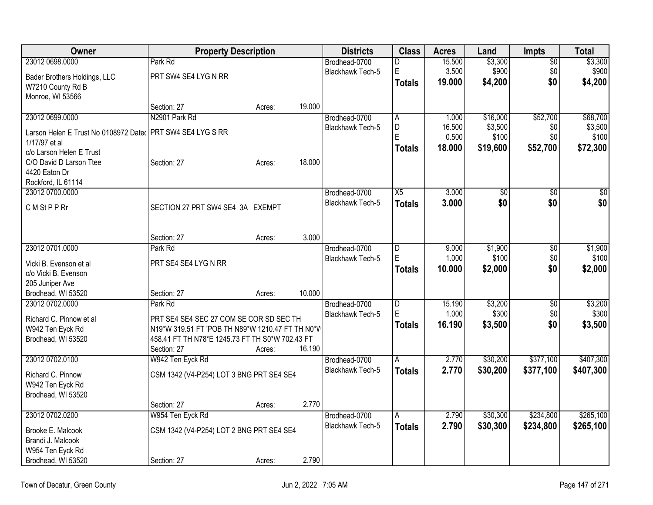| Owner                                                        | <b>Property Description</b>                      |        |        | <b>Districts</b>        | <b>Class</b>   | <b>Acres</b> | Land     | <b>Impts</b>    | <b>Total</b> |
|--------------------------------------------------------------|--------------------------------------------------|--------|--------|-------------------------|----------------|--------------|----------|-----------------|--------------|
| 23012 0698.0000                                              | Park Rd                                          |        |        | Brodhead-0700           | D              | 15.500       | \$3,300  | $\overline{50}$ | \$3,300      |
| Bader Brothers Holdings, LLC                                 | PRT SW4 SE4 LYG N RR                             |        |        | Blackhawk Tech-5        | E              | 3.500        | \$900    | \$0             | \$900        |
| W7210 County Rd B                                            |                                                  |        |        |                         | <b>Totals</b>  | 19,000       | \$4,200  | \$0             | \$4,200      |
| Monroe, WI 53566                                             |                                                  |        |        |                         |                |              |          |                 |              |
|                                                              | Section: 27                                      | Acres: | 19.000 |                         |                |              |          |                 |              |
| 23012 0699.0000                                              | N2901 Park Rd                                    |        |        | Brodhead-0700           | A              | 1.000        | \$16,000 | \$52,700        | \$68,700     |
| Larson Helen E Trust No 0108972 Dater   PRT SW4 SE4 LYG S RR |                                                  |        |        | Blackhawk Tech-5        | D              | 16.500       | \$3,500  | \$0             | \$3,500      |
| 1/17/97 et al                                                |                                                  |        |        |                         | E              | 0.500        | \$100    | \$0             | \$100        |
| c/o Larson Helen E Trust                                     |                                                  |        |        |                         | Totals         | 18.000       | \$19,600 | \$52,700        | \$72,300     |
| C/O David D Larson Ttee                                      | Section: 27                                      | Acres: | 18.000 |                         |                |              |          |                 |              |
| 4420 Eaton Dr                                                |                                                  |        |        |                         |                |              |          |                 |              |
| Rockford, IL 61114                                           |                                                  |        |        |                         |                |              |          |                 |              |
| 23012 0700.0000                                              |                                                  |        |        | Brodhead-0700           | X5             | 3.000        | \$0      | $\sqrt{6}$      | \$0          |
|                                                              |                                                  |        |        | Blackhawk Tech-5        | <b>Totals</b>  | 3.000        | \$0      | \$0             | \$0          |
| C M St P P Rr                                                | SECTION 27 PRT SW4 SE4 3A EXEMPT                 |        |        |                         |                |              |          |                 |              |
|                                                              |                                                  |        |        |                         |                |              |          |                 |              |
|                                                              |                                                  |        |        |                         |                |              |          |                 |              |
|                                                              | Section: 27                                      | Acres: | 3.000  |                         |                |              |          |                 |              |
| 23012 0701.0000                                              | Park Rd                                          |        |        | Brodhead-0700           | D              | 9.000        | \$1,900  | \$0             | \$1,900      |
| Vicki B. Evenson et al                                       | PRT SE4 SE4 LYG N RR                             |        |        | Blackhawk Tech-5        | E              | 1.000        | \$100    | \$0             | \$100        |
| c/o Vicki B. Evenson                                         |                                                  |        |        |                         | <b>Totals</b>  | 10.000       | \$2,000  | \$0             | \$2,000      |
| 205 Juniper Ave                                              |                                                  |        |        |                         |                |              |          |                 |              |
| Brodhead, WI 53520                                           | Section: 27                                      | Acres: | 10.000 |                         |                |              |          |                 |              |
| 23012 0702.0000                                              | Park Rd                                          |        |        | Brodhead-0700           | $\overline{D}$ | 15.190       | \$3,200  | $\overline{$0}$ | \$3,200      |
|                                                              |                                                  |        |        | Blackhawk Tech-5        | E              | 1.000        | \$300    | \$0             | \$300        |
| Richard C. Pinnow et al                                      | PRT SE4 SE4 SEC 27 COM SE COR SD SEC TH          |        |        |                         | <b>Totals</b>  | 16.190       | \$3,500  | \$0             | \$3,500      |
| W942 Ten Eyck Rd                                             | N19*W 319.51 FT 'POB TH N89*W 1210.47 FT TH N0*W |        |        |                         |                |              |          |                 |              |
| Brodhead, WI 53520                                           | 458.41 FT TH N78*E 1245.73 FT TH S0*W 702.43 FT  |        |        |                         |                |              |          |                 |              |
|                                                              | Section: 27                                      | Acres: | 16.190 |                         |                |              |          |                 |              |
| 23012 0702.0100                                              | W942 Ten Eyck Rd                                 |        |        | Brodhead-0700           | A              | 2.770        | \$30,200 | \$377,100       | \$407,300    |
| Richard C. Pinnow                                            | CSM 1342 (V4-P254) LOT 3 BNG PRT SE4 SE4         |        |        | Blackhawk Tech-5        | <b>Totals</b>  | 2.770        | \$30,200 | \$377,100       | \$407,300    |
| W942 Ten Eyck Rd                                             |                                                  |        |        |                         |                |              |          |                 |              |
| Brodhead, WI 53520                                           |                                                  |        |        |                         |                |              |          |                 |              |
|                                                              | Section: 27                                      | Acres: | 2.770  |                         |                |              |          |                 |              |
| 23012 0702.0200                                              | W954 Ten Eyck Rd                                 |        |        | Brodhead-0700           | A              | 2.790        | \$30,300 | \$234,800       | \$265,100    |
|                                                              |                                                  |        |        | <b>Blackhawk Tech-5</b> | <b>Totals</b>  | 2.790        | \$30,300 | \$234,800       | \$265,100    |
| Brooke E. Malcook                                            | CSM 1342 (V4-P254) LOT 2 BNG PRT SE4 SE4         |        |        |                         |                |              |          |                 |              |
| Brandi J. Malcook                                            |                                                  |        |        |                         |                |              |          |                 |              |
| W954 Ten Eyck Rd                                             |                                                  |        |        |                         |                |              |          |                 |              |
| Brodhead, WI 53520                                           | Section: 27                                      | Acres: | 2.790  |                         |                |              |          |                 |              |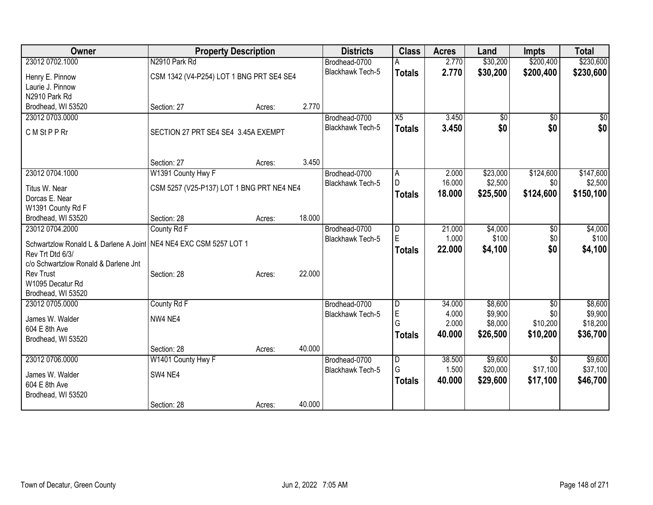| Owner                                                               | <b>Property Description</b>               |        |        | <b>Districts</b>        | <b>Class</b>    | <b>Acres</b> | Land     | <b>Impts</b>    | <b>Total</b> |
|---------------------------------------------------------------------|-------------------------------------------|--------|--------|-------------------------|-----------------|--------------|----------|-----------------|--------------|
| 23012 0702.1000                                                     | N2910 Park Rd                             |        |        | Brodhead-0700           |                 | 2.770        | \$30,200 | \$200,400       | \$230,600    |
| Henry E. Pinnow                                                     | CSM 1342 (V4-P254) LOT 1 BNG PRT SE4 SE4  |        |        | <b>Blackhawk Tech-5</b> | <b>Totals</b>   | 2.770        | \$30,200 | \$200,400       | \$230,600    |
| Laurie J. Pinnow                                                    |                                           |        |        |                         |                 |              |          |                 |              |
| N2910 Park Rd                                                       |                                           |        |        |                         |                 |              |          |                 |              |
| Brodhead, WI 53520                                                  | Section: 27                               | Acres: | 2.770  |                         |                 |              |          |                 |              |
| 23012 0703.0000                                                     |                                           |        |        | Brodhead-0700           | $\overline{X5}$ | 3.450        | \$0      | \$0             | $\sqrt{50}$  |
| C M St P P Rr                                                       | SECTION 27 PRT SE4 SE4 3.45A EXEMPT       |        |        | <b>Blackhawk Tech-5</b> | <b>Totals</b>   | 3.450        | \$0      | \$0             | \$0          |
|                                                                     |                                           |        |        |                         |                 |              |          |                 |              |
|                                                                     | Section: 27                               | Acres: | 3.450  |                         |                 |              |          |                 |              |
| 23012 0704.1000                                                     | W1391 County Hwy F                        |        |        | Brodhead-0700           | A               | 2.000        | \$23,000 | \$124,600       | \$147,600    |
| Titus W. Near                                                       | CSM 5257 (V25-P137) LOT 1 BNG PRT NE4 NE4 |        |        | <b>Blackhawk Tech-5</b> | D.              | 16.000       | \$2,500  | \$0             | \$2,500      |
| Dorcas E. Near                                                      |                                           |        |        |                         | <b>Totals</b>   | 18.000       | \$25,500 | \$124,600       | \$150,100    |
| W1391 County Rd F                                                   |                                           |        |        |                         |                 |              |          |                 |              |
| Brodhead, WI 53520                                                  | Section: 28                               | Acres: | 18.000 |                         |                 |              |          |                 |              |
| 23012 0704.2000                                                     | County Rd F                               |        |        | Brodhead-0700           | $\overline{D}$  | 21.000       | \$4,000  | \$0             | \$4,000      |
| Schwartzlow Ronald L & Darlene A Joint   NE4 NE4 EXC CSM 5257 LOT 1 |                                           |        |        | Blackhawk Tech-5        | E               | 1.000        | \$100    | \$0             | \$100        |
| Rev Trt Dtd 6/3/                                                    |                                           |        |        |                         | <b>Totals</b>   | 22.000       | \$4,100  | \$0             | \$4,100      |
| c/o Schwartzlow Ronald & Darlene Jnt                                |                                           |        |        |                         |                 |              |          |                 |              |
| <b>Rev Trust</b>                                                    | Section: 28                               | Acres: | 22.000 |                         |                 |              |          |                 |              |
| W1095 Decatur Rd                                                    |                                           |        |        |                         |                 |              |          |                 |              |
| Brodhead, WI 53520                                                  |                                           |        |        |                         |                 |              |          |                 |              |
| 23012 0705.0000                                                     | County Rd F                               |        |        | Brodhead-0700           | $\overline{D}$  | 34.000       | \$8,600  | $\overline{30}$ | \$8,600      |
| James W. Walder                                                     | NW4 NE4                                   |        |        | Blackhawk Tech-5        | E               | 4.000        | \$9,900  | \$0             | \$9,900      |
| 604 E 8th Ave                                                       |                                           |        |        |                         | G               | 2.000        | \$8,000  | \$10,200        | \$18,200     |
| Brodhead, WI 53520                                                  |                                           |        |        |                         | <b>Totals</b>   | 40.000       | \$26,500 | \$10,200        | \$36,700     |
|                                                                     | Section: 28                               | Acres: | 40.000 |                         |                 |              |          |                 |              |
| 23012 0706.0000                                                     | W1401 County Hwy F                        |        |        | Brodhead-0700           | $\overline{D}$  | 38.500       | \$9,600  | $\overline{30}$ | \$9,600      |
| James W. Walder                                                     | SW4 NE4                                   |        |        | Blackhawk Tech-5        | G               | 1.500        | \$20,000 | \$17,100        | \$37,100     |
| 604 E 8th Ave                                                       |                                           |        |        |                         | <b>Totals</b>   | 40.000       | \$29,600 | \$17,100        | \$46,700     |
| Brodhead, WI 53520                                                  |                                           |        |        |                         |                 |              |          |                 |              |
|                                                                     | Section: 28                               | Acres: | 40.000 |                         |                 |              |          |                 |              |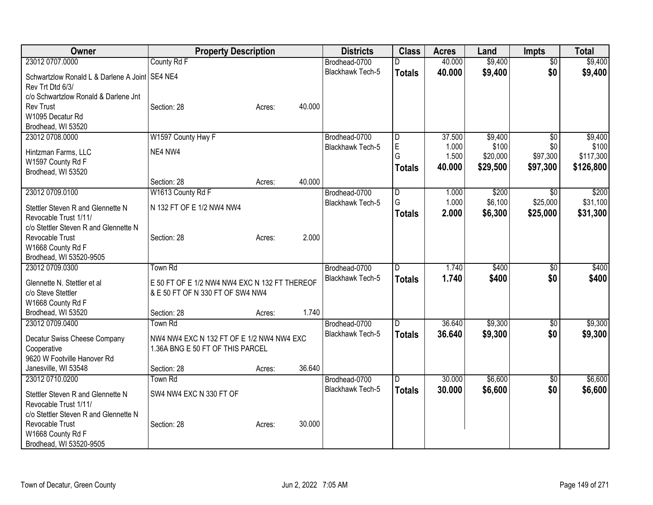| 23012 0707.0000<br>County Rd F<br>40.000<br>\$9,400<br>\$9,400<br>$\overline{50}$<br>Brodhead-0700<br>D<br>\$0<br><b>Blackhawk Tech-5</b><br>40.000<br>\$9,400<br>\$9,400<br><b>Totals</b><br>Schwartzlow Ronald L & Darlene A Joint   SE4 NE4<br>Rev Trt Dtd 6/3/ |  |
|--------------------------------------------------------------------------------------------------------------------------------------------------------------------------------------------------------------------------------------------------------------------|--|
|                                                                                                                                                                                                                                                                    |  |
|                                                                                                                                                                                                                                                                    |  |
|                                                                                                                                                                                                                                                                    |  |
| c/o Schwartzlow Ronald & Darlene Jnt                                                                                                                                                                                                                               |  |
| <b>Rev Trust</b><br>40.000<br>Section: 28<br>Acres:                                                                                                                                                                                                                |  |
| W1095 Decatur Rd                                                                                                                                                                                                                                                   |  |
| Brodhead, WI 53520                                                                                                                                                                                                                                                 |  |
| 23012 0708.0000<br>W1597 County Hwy F<br>37.500<br>\$9,400<br>$\overline{50}$<br>\$9,400<br>Brodhead-0700<br>$\overline{D}$                                                                                                                                        |  |
| E<br>\$100<br>1.000<br>\$0<br>\$100<br>Blackhawk Tech-5<br>NE4 NW4<br>Hintzman Farms, LLC                                                                                                                                                                          |  |
| G<br>\$97,300<br>1.500<br>\$20,000<br>\$117,300<br>W1597 County Rd F                                                                                                                                                                                               |  |
| 40.000<br>\$29,500<br>\$97,300<br>\$126,800<br><b>Totals</b><br>Brodhead, WI 53520                                                                                                                                                                                 |  |
| 40.000<br>Section: 28<br>Acres:                                                                                                                                                                                                                                    |  |
| 23012 0709.0100<br>W1613 County Rd F<br>\$200<br>\$200<br>Brodhead-0700<br>1.000<br>D<br>$\sqrt{50}$                                                                                                                                                               |  |
| 1.000<br>\$6,100<br>\$31,100<br>G<br>\$25,000<br>Blackhawk Tech-5                                                                                                                                                                                                  |  |
| Stettler Steven R and Glennette N<br>N 132 FT OF E 1/2 NW4 NW4<br>2.000<br>\$6,300<br>\$25,000<br>\$31,300<br><b>Totals</b>                                                                                                                                        |  |
| Revocable Trust 1/11/                                                                                                                                                                                                                                              |  |
| c/o Stettler Steven R and Glennette N                                                                                                                                                                                                                              |  |
| 2.000<br>Section: 28<br>Revocable Trust<br>Acres:                                                                                                                                                                                                                  |  |
| W1668 County Rd F                                                                                                                                                                                                                                                  |  |
| Brodhead, WI 53520-9505<br>23012 0709.0300<br>\$400<br><b>Town Rd</b><br>Brodhead-0700<br>1.740<br>$\overline{50}$<br>\$400<br>D                                                                                                                                   |  |
| Blackhawk Tech-5<br>1.740<br>\$0                                                                                                                                                                                                                                   |  |
| \$400<br>\$400<br><b>Totals</b><br>E 50 FT OF E 1/2 NW4 NW4 EXC N 132 FT THEREOF<br>Glennette N. Stettler et al                                                                                                                                                    |  |
| c/o Steve Stettler<br>& E 50 FT OF N 330 FT OF SW4 NW4                                                                                                                                                                                                             |  |
| W1668 County Rd F                                                                                                                                                                                                                                                  |  |
| 1.740<br>Section: 28<br>Brodhead, WI 53520<br>Acres:                                                                                                                                                                                                               |  |
| Town Rd<br>36.640<br>\$9,300<br>\$9,300<br>23012 0709.0400<br>Brodhead-0700<br>$\overline{30}$<br>D                                                                                                                                                                |  |
| <b>Blackhawk Tech-5</b><br>\$0<br>\$9,300<br>36.640<br>\$9,300<br><b>Totals</b><br>NW4 NW4 EXC N 132 FT OF E 1/2 NW4 NW4 EXC<br>Decatur Swiss Cheese Company                                                                                                       |  |
| Cooperative<br>1.36A BNG E 50 FT OF THIS PARCEL                                                                                                                                                                                                                    |  |
| 9620 W Footville Hanover Rd                                                                                                                                                                                                                                        |  |
| 36.640<br>Janesville, WI 53548<br>Section: 28<br>Acres:                                                                                                                                                                                                            |  |
| \$6,600<br>\$6,600<br>23012 0710.0200<br><b>Town Rd</b><br>30.000<br>$\overline{50}$<br>D<br>Brodhead-0700                                                                                                                                                         |  |
| \$6,600<br><b>Blackhawk Tech-5</b><br>30,000<br>\$0<br>\$6,600<br><b>Totals</b><br>SW4 NW4 EXC N 330 FT OF                                                                                                                                                         |  |
| Stettler Steven R and Glennette N                                                                                                                                                                                                                                  |  |
| Revocable Trust 1/11/<br>c/o Stettler Steven R and Glennette N                                                                                                                                                                                                     |  |
| Revocable Trust<br>30.000<br>Section: 28<br>Acres:                                                                                                                                                                                                                 |  |
| W1668 County Rd F                                                                                                                                                                                                                                                  |  |
| Brodhead, WI 53520-9505                                                                                                                                                                                                                                            |  |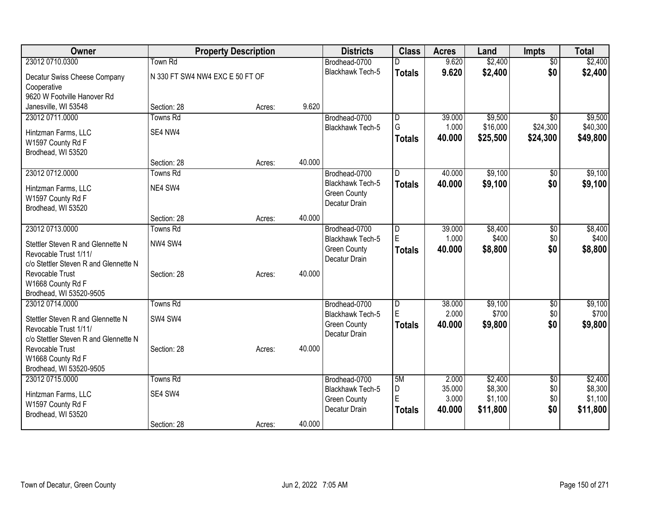| Owner                                        | <b>Property Description</b>     |        |        | <b>Districts</b>                         | <b>Class</b>   | <b>Acres</b>    | Land             | <b>Impts</b>    | <b>Total</b>     |
|----------------------------------------------|---------------------------------|--------|--------|------------------------------------------|----------------|-----------------|------------------|-----------------|------------------|
| 23012 0710.0300                              | Town Rd                         |        |        | Brodhead-0700                            | n              | 9.620           | \$2,400          | $\overline{50}$ | \$2,400          |
| Decatur Swiss Cheese Company                 | N 330 FT SW4 NW4 EXC E 50 FT OF |        |        | Blackhawk Tech-5                         | <b>Totals</b>  | 9.620           | \$2,400          | \$0             | \$2,400          |
| Cooperative                                  |                                 |        |        |                                          |                |                 |                  |                 |                  |
| 9620 W Footville Hanover Rd                  |                                 |        |        |                                          |                |                 |                  |                 |                  |
| Janesville, WI 53548                         | Section: 28                     | Acres: | 9.620  |                                          |                |                 |                  |                 |                  |
| 23012 0711.0000                              | <b>Towns Rd</b>                 |        |        | Brodhead-0700                            | D              | 39.000          | \$9,500          | \$0             | \$9,500          |
| Hintzman Farms, LLC                          | SE4 NW4                         |        |        | Blackhawk Tech-5                         | G              | 1.000           | \$16,000         | \$24,300        | \$40,300         |
| W1597 County Rd F                            |                                 |        |        |                                          | <b>Totals</b>  | 40.000          | \$25,500         | \$24,300        | \$49,800         |
| Brodhead, WI 53520                           |                                 |        |        |                                          |                |                 |                  |                 |                  |
|                                              | Section: 28                     | Acres: | 40.000 |                                          |                |                 |                  |                 |                  |
| 23012 0712,0000                              | <b>Towns Rd</b>                 |        |        | Brodhead-0700                            | D.             | 40.000          | \$9,100          | $\overline{50}$ | \$9,100          |
| Hintzman Farms, LLC                          | NE4 SW4                         |        |        | Blackhawk Tech-5                         | <b>Totals</b>  | 40.000          | \$9,100          | \$0             | \$9,100          |
| W1597 County Rd F                            |                                 |        |        | <b>Green County</b>                      |                |                 |                  |                 |                  |
| Brodhead, WI 53520                           |                                 |        |        | Decatur Drain                            |                |                 |                  |                 |                  |
|                                              | Section: 28                     | Acres: | 40.000 |                                          |                |                 |                  |                 |                  |
| 23012 0713.0000                              | <b>Towns Rd</b>                 |        |        | Brodhead-0700                            | $\overline{D}$ | 39.000          | \$8,400          | $\overline{50}$ | \$8,400          |
| Stettler Steven R and Glennette N            | NW4 SW4                         |        |        | <b>Blackhawk Tech-5</b>                  | $\mathsf E$    | 1.000           | \$400            | \$0             | \$400            |
| Revocable Trust 1/11/                        |                                 |        |        | <b>Green County</b>                      | <b>Totals</b>  | 40.000          | \$8,800          | \$0             | \$8,800          |
| c/o Stettler Steven R and Glennette N        |                                 |        |        | Decatur Drain                            |                |                 |                  |                 |                  |
| Revocable Trust                              | Section: 28                     | Acres: | 40.000 |                                          |                |                 |                  |                 |                  |
| W1668 County Rd F                            |                                 |        |        |                                          |                |                 |                  |                 |                  |
| Brodhead, WI 53520-9505                      |                                 |        |        |                                          |                |                 |                  |                 |                  |
| 23012 0714.0000                              | <b>Towns Rd</b>                 |        |        | Brodhead-0700<br><b>Blackhawk Tech-5</b> | D<br>E         | 38.000<br>2.000 | \$9,100<br>\$700 | \$0<br>\$0      | \$9,100<br>\$700 |
| Stettler Steven R and Glennette N            | SW4 SW4                         |        |        | <b>Green County</b>                      | <b>Totals</b>  | 40.000          | \$9,800          | \$0             | \$9,800          |
| Revocable Trust 1/11/                        |                                 |        |        | Decatur Drain                            |                |                 |                  |                 |                  |
| c/o Stettler Steven R and Glennette N        |                                 |        |        |                                          |                |                 |                  |                 |                  |
| Revocable Trust                              | Section: 28                     | Acres: | 40.000 |                                          |                |                 |                  |                 |                  |
| W1668 County Rd F<br>Brodhead, WI 53520-9505 |                                 |        |        |                                          |                |                 |                  |                 |                  |
| 23012 0715.0000                              | <b>Towns Rd</b>                 |        |        | Brodhead-0700                            | 5M             | 2.000           | \$2,400          | \$0             | \$2,400          |
|                                              |                                 |        |        | Blackhawk Tech-5                         | D              | 35.000          | \$8,300          | \$0             | \$8,300          |
| Hintzman Farms, LLC                          | SE4 SW4                         |        |        | <b>Green County</b>                      | E              | 3.000           | \$1,100          | \$0             | \$1,100          |
| W1597 County Rd F                            |                                 |        |        | Decatur Drain                            | Totals         | 40.000          | \$11,800         | \$0             | \$11,800         |
| Brodhead, WI 53520                           | Section: 28                     | Acres: | 40.000 |                                          |                |                 |                  |                 |                  |
|                                              |                                 |        |        |                                          |                |                 |                  |                 |                  |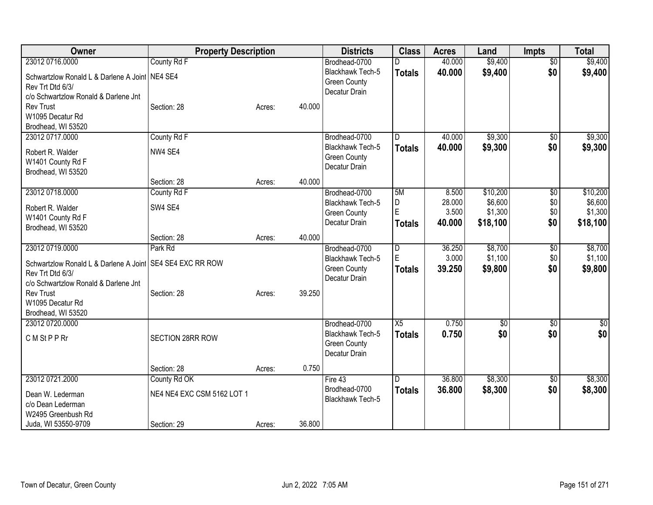| Owner                                          | <b>Property Description</b> |        |        | <b>Districts</b>                     | <b>Class</b>   | <b>Acres</b> | Land     | <b>Impts</b>    | <b>Total</b>    |
|------------------------------------------------|-----------------------------|--------|--------|--------------------------------------|----------------|--------------|----------|-----------------|-----------------|
| 23012 0716.0000                                | County Rd F                 |        |        | Brodhead-0700                        |                | 40.000       | \$9,400  | $\overline{50}$ | \$9,400         |
| Schwartzlow Ronald L & Darlene A Joint NE4 SE4 |                             |        |        | <b>Blackhawk Tech-5</b>              | <b>Totals</b>  | 40.000       | \$9,400  | \$0             | \$9,400         |
| Rev Trt Dtd 6/3/                               |                             |        |        | <b>Green County</b>                  |                |              |          |                 |                 |
| c/o Schwartzlow Ronald & Darlene Jnt           |                             |        |        | Decatur Drain                        |                |              |          |                 |                 |
| <b>Rev Trust</b>                               | Section: 28                 | Acres: | 40.000 |                                      |                |              |          |                 |                 |
| W1095 Decatur Rd                               |                             |        |        |                                      |                |              |          |                 |                 |
| Brodhead, WI 53520                             |                             |        |        |                                      |                |              |          |                 |                 |
| 23012 0717.0000                                | County Rd F                 |        |        | Brodhead-0700                        | D              | 40.000       | \$9,300  | \$0             | \$9,300         |
| Robert R. Walder                               | NW4 SE4                     |        |        | <b>Blackhawk Tech-5</b>              | <b>Totals</b>  | 40.000       | \$9,300  | \$0             | \$9,300         |
| W1401 County Rd F                              |                             |        |        | <b>Green County</b><br>Decatur Drain |                |              |          |                 |                 |
| Brodhead, WI 53520                             |                             |        |        |                                      |                |              |          |                 |                 |
|                                                | Section: 28                 | Acres: | 40.000 |                                      |                |              |          |                 |                 |
| 23012 0718.0000                                | County Rd F                 |        |        | Brodhead-0700                        | 5M             | 8.500        | \$10,200 | $\overline{50}$ | \$10,200        |
| Robert R. Walder                               | SW4 SE4                     |        |        | <b>Blackhawk Tech-5</b>              | D              | 28.000       | \$6,600  | \$0             | \$6,600         |
| W1401 County Rd F                              |                             |        |        | <b>Green County</b>                  | E              | 3.500        | \$1,300  | \$0             | \$1,300         |
| Brodhead, WI 53520                             |                             |        |        | Decatur Drain                        | <b>Totals</b>  | 40.000       | \$18,100 | \$0             | \$18,100        |
|                                                | Section: 28                 | Acres: | 40.000 |                                      |                |              |          |                 |                 |
| 23012 0719.0000                                | Park Rd                     |        |        | Brodhead-0700                        | $\overline{D}$ | 36.250       | \$8,700  | $\overline{50}$ | \$8,700         |
| Schwartzlow Ronald L & Darlene A Joint         | SE4 SE4 EXC RR ROW          |        |        | <b>Blackhawk Tech-5</b>              | E              | 3.000        | \$1,100  | \$0             | \$1,100         |
| Rev Trt Dtd 6/3/                               |                             |        |        | <b>Green County</b>                  | <b>Totals</b>  | 39.250       | \$9,800  | \$0             | \$9,800         |
| c/o Schwartzlow Ronald & Darlene Jnt           |                             |        |        | Decatur Drain                        |                |              |          |                 |                 |
| <b>Rev Trust</b>                               | Section: 28                 | Acres: | 39.250 |                                      |                |              |          |                 |                 |
| W1095 Decatur Rd                               |                             |        |        |                                      |                |              |          |                 |                 |
| Brodhead, WI 53520                             |                             |        |        |                                      |                |              |          |                 |                 |
| 23012 0720.0000                                |                             |        |        | Brodhead-0700                        | X5             | 0.750        | \$0      | \$0             | $\overline{30}$ |
| C M St P P Rr                                  | SECTION 28RR ROW            |        |        | Blackhawk Tech-5                     | <b>Totals</b>  | 0.750        | \$0      | \$0             | \$0             |
|                                                |                             |        |        | <b>Green County</b><br>Decatur Drain |                |              |          |                 |                 |
|                                                |                             |        |        |                                      |                |              |          |                 |                 |
|                                                | Section: 28                 | Acres: | 0.750  |                                      |                |              |          |                 |                 |
| 23012 0721.2000                                | County Rd OK                |        |        | Fire 43                              | D              | 36.800       | \$8,300  | $\overline{50}$ | \$8,300         |
| Dean W. Lederman                               | NE4 NE4 EXC CSM 5162 LOT 1  |        |        | Brodhead-0700                        | <b>Totals</b>  | 36.800       | \$8,300  | \$0             | \$8,300         |
| c/o Dean Lederman                              |                             |        |        | Blackhawk Tech-5                     |                |              |          |                 |                 |
| W2495 Greenbush Rd                             |                             |        |        |                                      |                |              |          |                 |                 |
| Juda, WI 53550-9709                            | Section: 29                 | Acres: | 36.800 |                                      |                |              |          |                 |                 |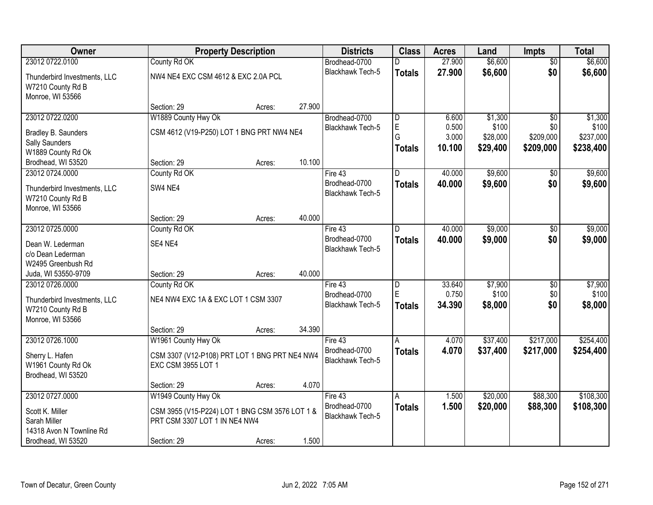| Owner                                                                 | <b>Property Description</b>                                                     |        |        | <b>Districts</b>                  | <b>Class</b>            | <b>Acres</b> | Land     | <b>Impts</b>    | <b>Total</b> |
|-----------------------------------------------------------------------|---------------------------------------------------------------------------------|--------|--------|-----------------------------------|-------------------------|--------------|----------|-----------------|--------------|
| 23012 0722.0100                                                       | County Rd OK                                                                    |        |        | Brodhead-0700                     |                         | 27.900       | \$6,600  | $\overline{50}$ | \$6,600      |
| Thunderbird Investments, LLC<br>W7210 County Rd B<br>Monroe, WI 53566 | NW4 NE4 EXC CSM 4612 & EXC 2.0A PCL                                             |        |        | Blackhawk Tech-5                  | <b>Totals</b>           | 27.900       | \$6,600  | \$0             | \$6,600      |
|                                                                       | Section: 29                                                                     | Acres: | 27.900 |                                   |                         |              |          |                 |              |
| 23012 0722.0200                                                       | W1889 County Hwy Ok                                                             |        |        | Brodhead-0700                     | D                       | 6.600        | \$1,300  | $\overline{50}$ | \$1,300      |
| Bradley B. Saunders                                                   | CSM 4612 (V19-P250) LOT 1 BNG PRT NW4 NE4                                       |        |        | <b>Blackhawk Tech-5</b>           | E                       | 0.500        | \$100    | \$0             | \$100        |
| <b>Sally Saunders</b>                                                 |                                                                                 |        |        |                                   | G                       | 3.000        | \$28,000 | \$209,000       | \$237,000    |
| W1889 County Rd Ok                                                    |                                                                                 |        |        |                                   | <b>Totals</b>           | 10.100       | \$29,400 | \$209,000       | \$238,400    |
| Brodhead, WI 53520                                                    | Section: 29                                                                     | Acres: | 10.100 |                                   |                         |              |          |                 |              |
| 23012 0724.0000                                                       | County Rd OK                                                                    |        |        | Fire 43                           | D                       | 40.000       | \$9,600  | \$0             | \$9,600      |
| Thunderbird Investments, LLC<br>W7210 County Rd B<br>Monroe, WI 53566 | SW4 NE4                                                                         |        |        | Brodhead-0700<br>Blackhawk Tech-5 | <b>Totals</b>           | 40.000       | \$9,600  | \$0             | \$9,600      |
|                                                                       | Section: 29                                                                     | Acres: | 40.000 |                                   |                         |              |          |                 |              |
| 23012 0725.0000                                                       | County Rd OK                                                                    |        |        | Fire 43                           | D                       | 40.000       | \$9,000  | \$0             | \$9,000      |
| Dean W. Lederman<br>c/o Dean Lederman<br>W2495 Greenbush Rd           | SE4 NE4                                                                         |        |        | Brodhead-0700<br>Blackhawk Tech-5 | <b>Totals</b>           | 40.000       | \$9,000  | \$0             | \$9,000      |
| Juda, WI 53550-9709                                                   | Section: 29                                                                     | Acres: | 40.000 |                                   |                         |              |          |                 |              |
| 23012 0726.0000                                                       | County Rd OK                                                                    |        |        | Fire 43                           | $\overline{\mathsf{D}}$ | 33.640       | \$7,900  | \$0             | \$7,900      |
|                                                                       | NE4 NW4 EXC 1A & EXC LOT 1 CSM 3307                                             |        |        | Brodhead-0700                     | E                       | 0.750        | \$100    | \$0             | \$100        |
| Thunderbird Investments, LLC<br>W7210 County Rd B<br>Monroe, WI 53566 |                                                                                 |        |        | Blackhawk Tech-5                  | <b>Totals</b>           | 34.390       | \$8,000  | \$0             | \$8,000      |
|                                                                       | Section: 29                                                                     | Acres: | 34.390 |                                   |                         |              |          |                 |              |
| 23012 0726.1000                                                       | W1961 County Hwy Ok                                                             |        |        | Fire 43                           | A                       | 4.070        | \$37,400 | \$217,000       | \$254,400    |
| Sherry L. Hafen<br>W1961 County Rd Ok<br>Brodhead, WI 53520           | CSM 3307 (V12-P108) PRT LOT 1 BNG PRT NE4 NW4<br>EXC CSM 3955 LOT 1             |        |        | Brodhead-0700<br>Blackhawk Tech-5 | <b>Totals</b>           | 4.070        | \$37,400 | \$217,000       | \$254,400    |
|                                                                       | Section: 29                                                                     | Acres: | 4.070  |                                   |                         |              |          |                 |              |
| 23012 0727.0000                                                       | W1949 County Hwy Ok                                                             |        |        | Fire 43                           | Α                       | 1.500        | \$20,000 | \$88,300        | \$108,300    |
| Scott K. Miller<br>Sarah Miller                                       | CSM 3955 (V15-P224) LOT 1 BNG CSM 3576 LOT 1 &<br>PRT CSM 3307 LOT 1 IN NE4 NW4 |        |        | Brodhead-0700<br>Blackhawk Tech-5 | <b>Totals</b>           | 1.500        | \$20,000 | \$88,300        | \$108,300    |
| 14318 Avon N Townline Rd<br>Brodhead, WI 53520                        | Section: 29                                                                     | Acres: | 1.500  |                                   |                         |              |          |                 |              |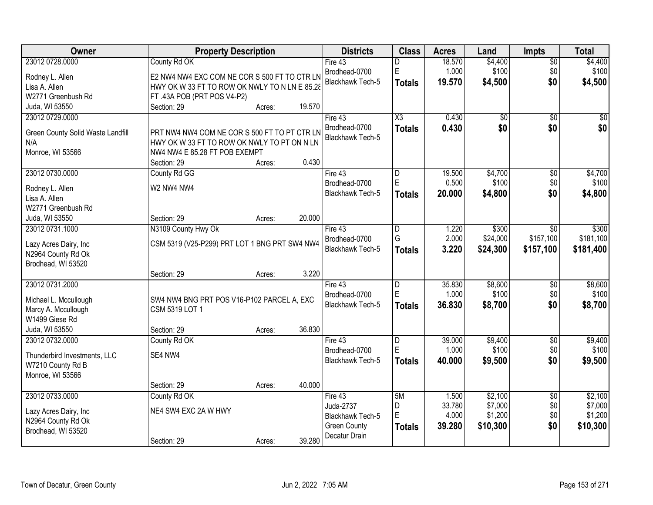| Owner                             | <b>Property Description</b>                   |        |        | <b>Districts</b>        | <b>Class</b>           | <b>Acres</b>    | Land               | Impts           | <b>Total</b>       |
|-----------------------------------|-----------------------------------------------|--------|--------|-------------------------|------------------------|-----------------|--------------------|-----------------|--------------------|
| 23012 0728.0000                   | County Rd OK                                  |        |        | Fire 43                 | D                      | 18.570          | \$4,400            | $\overline{50}$ | \$4,400            |
| Rodney L. Allen                   | E2 NW4 NW4 EXC COM NE COR S 500 FT TO CTR LN  |        |        | Brodhead-0700           | E                      | 1.000           | \$100              | \$0             | \$100              |
| Lisa A. Allen                     | HWY OK W 33 FT TO ROW OK NWLY TO N LN E 85.28 |        |        | Blackhawk Tech-5        | <b>Totals</b>          | 19.570          | \$4,500            | \$0             | \$4,500            |
| W2771 Greenbush Rd                | FT .43A POB (PRT POS V4-P2)                   |        |        |                         |                        |                 |                    |                 |                    |
| Juda, WI 53550                    | Section: 29                                   | Acres: | 19.570 |                         |                        |                 |                    |                 |                    |
| 23012 0729.0000                   |                                               |        |        | Fire $43$               | $\overline{\text{X3}}$ | 0.430           | $\overline{50}$    | $\overline{30}$ | $\overline{50}$    |
|                                   |                                               |        |        | Brodhead-0700           | <b>Totals</b>          | 0.430           | \$0                | \$0             | \$0                |
| Green County Solid Waste Landfill | PRT NW4 NW4 COM NE COR S 500 FT TO PT CTR LN  |        |        | <b>Blackhawk Tech-5</b> |                        |                 |                    |                 |                    |
| N/A                               | HWY OK W 33 FT TO ROW OK NWLY TO PT ON N LN   |        |        |                         |                        |                 |                    |                 |                    |
| Monroe, WI 53566                  | NW4 NW4 E 85.28 FT POB EXEMPT                 |        |        |                         |                        |                 |                    |                 |                    |
|                                   | Section: 29                                   | Acres: | 0.430  |                         |                        |                 |                    |                 |                    |
| 23012 0730.0000                   | County Rd GG                                  |        |        | Fire 43                 | D                      | 19.500          | \$4,700            | $\overline{50}$ | \$4,700            |
| Rodney L. Allen                   | W2 NW4 NW4                                    |        |        | Brodhead-0700           | E                      | 0.500           | \$100              | \$0             | \$100              |
| Lisa A. Allen                     |                                               |        |        | Blackhawk Tech-5        | <b>Totals</b>          | 20.000          | \$4,800            | \$0             | \$4,800            |
| W2771 Greenbush Rd                |                                               |        |        |                         |                        |                 |                    |                 |                    |
| Juda, WI 53550                    | Section: 29                                   | Acres: | 20.000 |                         |                        |                 |                    |                 |                    |
| 23012 0731.1000                   | N3109 County Hwy Ok                           |        |        | Fire 43                 | D                      | 1.220           | \$300              | \$0             | \$300              |
|                                   |                                               |        |        | Brodhead-0700           | G                      | 2.000           | \$24,000           | \$157,100       | \$181,100          |
| Lazy Acres Dairy, Inc             | CSM 5319 (V25-P299) PRT LOT 1 BNG PRT SW4 NW4 |        |        | Blackhawk Tech-5        | <b>Totals</b>          | 3.220           | \$24,300           | \$157,100       | \$181,400          |
| N2964 County Rd Ok                |                                               |        |        |                         |                        |                 |                    |                 |                    |
| Brodhead, WI 53520                |                                               |        |        |                         |                        |                 |                    |                 |                    |
|                                   | Section: 29                                   | Acres: | 3.220  |                         |                        |                 |                    |                 |                    |
| 23012 0731.2000                   |                                               |        |        | Fire 43                 | D                      | 35.830          | \$8,600            | $\overline{60}$ | \$8,600            |
| Michael L. Mccullough             | SW4 NW4 BNG PRT POS V16-P102 PARCEL A, EXC    |        |        | Brodhead-0700           | E                      | 1.000           | \$100              | \$0             | \$100              |
| Marcy A. Mccullough               | CSM 5319 LOT 1                                |        |        | Blackhawk Tech-5        | <b>Totals</b>          | 36.830          | \$8,700            | \$0             | \$8,700            |
| W1499 Giese Rd                    |                                               |        |        |                         |                        |                 |                    |                 |                    |
| Juda, WI 53550                    | Section: 29                                   | Acres: | 36.830 |                         |                        |                 |                    |                 |                    |
| 23012 0732.0000                   | County Rd OK                                  |        |        | Fire 43                 | D                      | 39.000          | \$9,400            | $\overline{50}$ | \$9,400            |
|                                   |                                               |        |        | Brodhead-0700           | E                      | 1.000           | \$100              | \$0             | \$100              |
| Thunderbird Investments, LLC      | SE4 NW4                                       |        |        | Blackhawk Tech-5        | <b>Totals</b>          | 40.000          | \$9,500            | \$0             | \$9,500            |
| W7210 County Rd B                 |                                               |        |        |                         |                        |                 |                    |                 |                    |
| Monroe, WI 53566                  |                                               |        | 40.000 |                         |                        |                 |                    |                 |                    |
|                                   | Section: 29                                   | Acres: |        |                         |                        |                 |                    |                 |                    |
| 23012 0733.0000                   | County Rd OK                                  |        |        | Fire $43$               | 5M                     | 1.500<br>33.780 | \$2,100            | $\overline{50}$ | \$2,100            |
| Lazy Acres Dairy, Inc             | NE4 SW4 EXC 2A W HWY                          |        |        | Juda-2737               | D<br>E                 | 4.000           | \$7,000<br>\$1,200 | \$0             | \$7,000<br>\$1,200 |
| N2964 County Rd Ok                |                                               |        |        | Blackhawk Tech-5        |                        |                 |                    | \$0             |                    |
| Brodhead, WI 53520                |                                               |        |        | <b>Green County</b>     | <b>Totals</b>          | 39.280          | \$10,300           | \$0             | \$10,300           |
|                                   | Section: 29                                   | Acres: | 39.280 | Decatur Drain           |                        |                 |                    |                 |                    |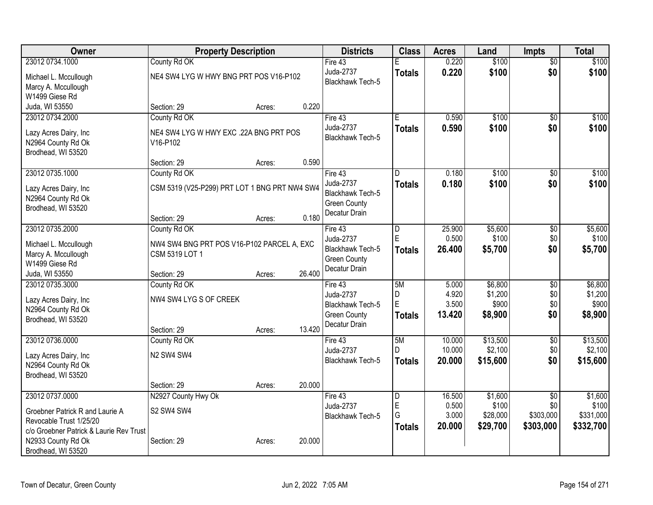| <b>Owner</b>                                | <b>Property Description</b>                   |        |        | <b>Districts</b>                     | <b>Class</b>            | <b>Acres</b>   | Land              | <b>Impts</b>           | <b>Total</b>     |
|---------------------------------------------|-----------------------------------------------|--------|--------|--------------------------------------|-------------------------|----------------|-------------------|------------------------|------------------|
| 23012 0734.1000                             | County Rd OK                                  |        |        | Fire 43                              |                         | 0.220          | \$100             | $\overline{30}$        | \$100            |
| Michael L. Mccullough                       | NE4 SW4 LYG W HWY BNG PRT POS V16-P102        |        |        | Juda-2737                            | <b>Totals</b>           | 0.220          | \$100             | \$0                    | \$100            |
| Marcy A. Mccullough                         |                                               |        |        | Blackhawk Tech-5                     |                         |                |                   |                        |                  |
| W1499 Giese Rd                              |                                               |        |        |                                      |                         |                |                   |                        |                  |
| Juda, WI 53550                              | Section: 29                                   | Acres: | 0.220  |                                      |                         |                |                   |                        |                  |
| 23012 0734.2000                             | County Rd OK                                  |        |        | Fire 43                              | E                       | 0.590          | \$100             | \$0                    | \$100            |
|                                             | NE4 SW4 LYG W HWY EXC .22A BNG PRT POS        |        |        | Juda-2737                            | <b>Totals</b>           | 0.590          | \$100             | \$0                    | \$100            |
| Lazy Acres Dairy, Inc<br>N2964 County Rd Ok | V16-P102                                      |        |        | Blackhawk Tech-5                     |                         |                |                   |                        |                  |
| Brodhead, WI 53520                          |                                               |        |        |                                      |                         |                |                   |                        |                  |
|                                             | Section: 29                                   | Acres: | 0.590  |                                      |                         |                |                   |                        |                  |
| 23012 0735.1000                             | County Rd OK                                  |        |        | Fire 43                              | D.                      | 0.180          | \$100             | \$0                    | \$100            |
|                                             |                                               |        |        | Juda-2737                            | <b>Totals</b>           | 0.180          | \$100             | \$0                    | \$100            |
| Lazy Acres Dairy, Inc                       | CSM 5319 (V25-P299) PRT LOT 1 BNG PRT NW4 SW4 |        |        | <b>Blackhawk Tech-5</b>              |                         |                |                   |                        |                  |
| N2964 County Rd Ok                          |                                               |        |        | <b>Green County</b>                  |                         |                |                   |                        |                  |
| Brodhead, WI 53520                          |                                               |        |        | Decatur Drain                        |                         |                |                   |                        |                  |
|                                             | Section: 29                                   | Acres: | 0.180  |                                      |                         |                |                   |                        |                  |
| 23012 0735.2000                             | County Rd OK                                  |        |        | Fire 43                              | $\overline{\mathsf{D}}$ | 25.900         | \$5,600           | $\overline{50}$        | \$5,600          |
| Michael L. Mccullough                       | NW4 SW4 BNG PRT POS V16-P102 PARCEL A, EXC    |        |        | Juda-2737                            | E                       | 0.500          | \$100             | \$0                    | \$100            |
| Marcy A. Mccullough                         | CSM 5319 LOT 1                                |        |        | <b>Blackhawk Tech-5</b>              | <b>Totals</b>           | 26.400         | \$5,700           | \$0                    | \$5,700          |
| W1499 Giese Rd                              |                                               |        |        | <b>Green County</b>                  |                         |                |                   |                        |                  |
| Juda, WI 53550                              | Section: 29                                   | Acres: | 26.400 | Decatur Drain                        |                         |                |                   |                        |                  |
| 23012 0735.3000                             | County Rd OK                                  |        |        | Fire 43                              | 5M                      | 5.000          | \$6,800           | \$0                    | \$6,800          |
| Lazy Acres Dairy, Inc                       | NW4 SW4 LYG S OF CREEK                        |        |        | Juda-2737                            | D                       | 4.920          | \$1,200           | \$0                    | \$1,200          |
| N2964 County Rd Ok                          |                                               |        |        | <b>Blackhawk Tech-5</b>              | E                       | 3.500          | \$900             | \$0                    | \$900            |
| Brodhead, WI 53520                          |                                               |        |        | <b>Green County</b>                  | <b>Totals</b>           | 13.420         | \$8,900           | \$0                    | \$8,900          |
|                                             | Section: 29                                   | Acres: | 13.420 | Decatur Drain                        |                         |                |                   |                        |                  |
| 23012 0736.0000                             | County Rd OK                                  |        |        | Fire 43                              | 5M                      | 10.000         | \$13,500          | $\overline{50}$        | \$13,500         |
|                                             |                                               |        |        | Juda-2737                            | D                       | 10.000         | \$2,100           | \$0                    | \$2,100          |
| Lazy Acres Dairy, Inc                       | N2 SW4 SW4                                    |        |        | <b>Blackhawk Tech-5</b>              | <b>Totals</b>           | 20.000         | \$15,600          | \$0                    | \$15,600         |
| N2964 County Rd Ok                          |                                               |        |        |                                      |                         |                |                   |                        |                  |
| Brodhead, WI 53520                          |                                               |        |        |                                      |                         |                |                   |                        |                  |
|                                             | Section: 29                                   | Acres: | 20.000 |                                      |                         |                |                   |                        |                  |
| 23012 0737.0000                             | N2927 County Hwy Ok                           |        |        | Fire 43                              | $\overline{\mathsf{D}}$ | 16.500         | \$1,600           | $\overline{50}$<br>\$0 | \$1,600<br>\$100 |
| Groebner Patrick R and Laurie A             | S2 SW4 SW4                                    |        |        | Juda-2737<br><b>Blackhawk Tech-5</b> | E<br>G                  | 0.500<br>3.000 | \$100<br>\$28,000 | \$303,000              | \$331,000        |
| Revocable Trust 1/25/20                     |                                               |        |        |                                      |                         | 20.000         |                   | \$303,000              |                  |
| c/o Groebner Patrick & Laurie Rev Trust     |                                               |        |        |                                      | <b>Totals</b>           |                | \$29,700          |                        | \$332,700        |
| N2933 County Rd Ok                          | Section: 29                                   | Acres: | 20.000 |                                      |                         |                |                   |                        |                  |
| Brodhead, WI 53520                          |                                               |        |        |                                      |                         |                |                   |                        |                  |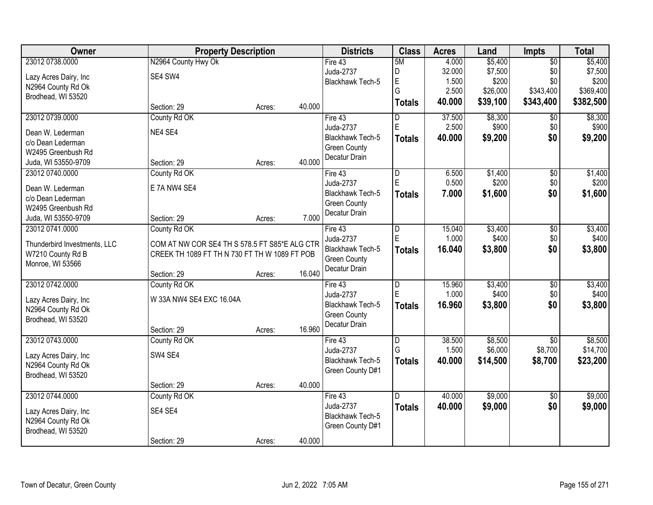| <b>Owner</b>                 | <b>Property Description</b>                   |        |        | <b>Districts</b>        | <b>Class</b>            | <b>Acres</b> | Land     | Impts           | <b>Total</b> |
|------------------------------|-----------------------------------------------|--------|--------|-------------------------|-------------------------|--------------|----------|-----------------|--------------|
| 23012 0738.0000              | N2964 County Hwy Ok                           |        |        | Fire 43                 | 5M                      | 4.000        | \$5,400  | $\overline{50}$ | \$5,400      |
| Lazy Acres Dairy, Inc        | SE4 SW4                                       |        |        | Juda-2737               | D                       | 32.000       | \$7,500  | \$0             | \$7,500      |
| N2964 County Rd Ok           |                                               |        |        | Blackhawk Tech-5        | E                       | 1.500        | \$200    | \$0             | \$200        |
| Brodhead, WI 53520           |                                               |        |        |                         | G                       | 2.500        | \$26,000 | \$343,400       | \$369,400    |
|                              | Section: 29                                   | Acres: | 40.000 |                         | <b>Totals</b>           | 40.000       | \$39,100 | \$343,400       | \$382,500    |
| 23012 0739.0000              | County Rd OK                                  |        |        | Fire 43                 | D                       | 37.500       | \$8,300  | \$0             | \$8,300      |
| Dean W. Lederman             | NE4 SE4                                       |        |        | Juda-2737               | E                       | 2.500        | \$900    | \$0             | \$900        |
| c/o Dean Lederman            |                                               |        |        | Blackhawk Tech-5        | <b>Totals</b>           | 40.000       | \$9,200  | \$0             | \$9,200      |
| W2495 Greenbush Rd           |                                               |        |        | <b>Green County</b>     |                         |              |          |                 |              |
| Juda, WI 53550-9709          | Section: 29                                   | Acres: | 40.000 | Decatur Drain           |                         |              |          |                 |              |
| 23012 0740.0000              | County Rd OK                                  |        |        | Fire 43                 | $\overline{\mathsf{D}}$ | 6.500        | \$1,400  | $\overline{50}$ | \$1,400      |
|                              |                                               |        |        | Juda-2737               | E                       | 0.500        | \$200    | \$0             | \$200        |
| Dean W. Lederman             | E 7A NW4 SE4                                  |        |        | <b>Blackhawk Tech-5</b> | <b>Totals</b>           | 7.000        | \$1,600  | \$0             | \$1,600      |
| c/o Dean Lederman            |                                               |        |        | <b>Green County</b>     |                         |              |          |                 |              |
| W2495 Greenbush Rd           |                                               |        |        | Decatur Drain           |                         |              |          |                 |              |
| Juda, WI 53550-9709          | Section: 29                                   | Acres: | 7.000  |                         |                         |              |          |                 |              |
| 23012 0741.0000              | County Rd OK                                  |        |        | Fire 43                 | D                       | 15.040       | \$3,400  | \$0             | \$3,400      |
| Thunderbird Investments, LLC | COM AT NW COR SE4 TH S 578.5 FT S85*E ALG CTR |        |        | Juda-2737               | E                       | 1.000        | \$400    | \$0             | \$400        |
| W7210 County Rd B            | CREEK TH 1089 FT TH N 730 FT TH W 1089 FT POB |        |        | Blackhawk Tech-5        | <b>Totals</b>           | 16.040       | \$3,800  | \$0             | \$3,800      |
| Monroe, WI 53566             |                                               |        |        | <b>Green County</b>     |                         |              |          |                 |              |
|                              | Section: 29                                   | Acres: | 16.040 | Decatur Drain           |                         |              |          |                 |              |
| 23012 0742.0000              | County Rd OK                                  |        |        | Fire 43                 | D                       | 15.960       | \$3,400  | $\overline{50}$ | \$3,400      |
| Lazy Acres Dairy, Inc        | W 33A NW4 SE4 EXC 16.04A                      |        |        | Juda-2737               | E                       | 1.000        | \$400    | \$0             | \$400        |
| N2964 County Rd Ok           |                                               |        |        | Blackhawk Tech-5        | <b>Totals</b>           | 16.960       | \$3,800  | \$0             | \$3,800      |
| Brodhead, WI 53520           |                                               |        |        | <b>Green County</b>     |                         |              |          |                 |              |
|                              | Section: 29                                   | Acres: | 16.960 | Decatur Drain           |                         |              |          |                 |              |
| 23012 0743.0000              | County Rd OK                                  |        |        | Fire 43                 | D                       | 38.500       | \$8,500  | $\overline{50}$ | \$8,500      |
|                              | SW4 SE4                                       |        |        | Juda-2737               | G                       | 1.500        | \$6,000  | \$8,700         | \$14,700     |
| Lazy Acres Dairy, Inc        |                                               |        |        | Blackhawk Tech-5        | <b>Totals</b>           | 40.000       | \$14,500 | \$8,700         | \$23,200     |
| N2964 County Rd Ok           |                                               |        |        | Green County D#1        |                         |              |          |                 |              |
| Brodhead, WI 53520           |                                               |        | 40.000 |                         |                         |              |          |                 |              |
|                              | Section: 29                                   | Acres: |        |                         |                         |              |          |                 |              |
| 23012 0744.0000              | County Rd OK                                  |        |        | Fire 43<br>Juda-2737    | D                       | 40.000       | \$9,000  | $\overline{50}$ | \$9,000      |
| Lazy Acres Dairy, Inc        | SE4 SE4                                       |        |        |                         | <b>Totals</b>           | 40.000       | \$9,000  | \$0             | \$9,000      |
| N2964 County Rd Ok           |                                               |        |        | Blackhawk Tech-5        |                         |              |          |                 |              |
| Brodhead, WI 53520           |                                               |        |        | Green County D#1        |                         |              |          |                 |              |
|                              | Section: 29                                   | Acres: | 40.000 |                         |                         |              |          |                 |              |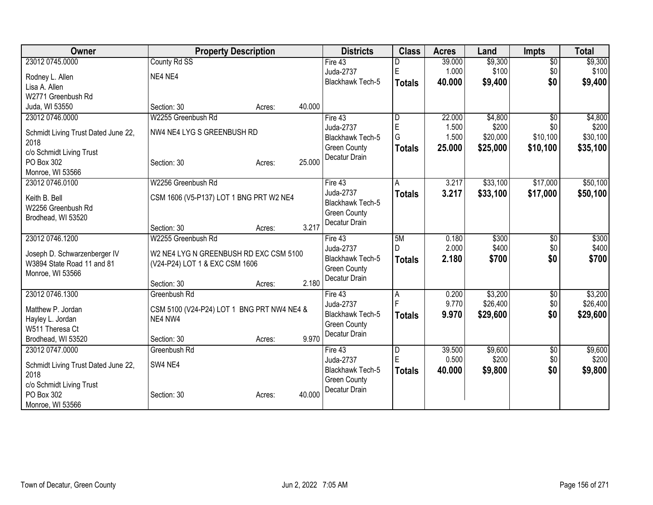| Owner                               | <b>Property Description</b>                |        |        | <b>Districts</b>        | <b>Class</b>   | <b>Acres</b> | Land     | <b>Impts</b>    | <b>Total</b> |
|-------------------------------------|--------------------------------------------|--------|--------|-------------------------|----------------|--------------|----------|-----------------|--------------|
| 23012 0745.0000                     | County Rd SS                               |        |        | Fire $43$               |                | 39.000       | \$9,300  | $\overline{50}$ | \$9,300      |
| Rodney L. Allen                     | NE4 NE4                                    |        |        | Juda-2737               | E              | 1.000        | \$100    | \$0             | \$100        |
| Lisa A. Allen                       |                                            |        |        | Blackhawk Tech-5        | <b>Totals</b>  | 40.000       | \$9,400  | \$0             | \$9,400      |
| W2771 Greenbush Rd                  |                                            |        |        |                         |                |              |          |                 |              |
| Juda, WI 53550                      | Section: 30                                | Acres: | 40.000 |                         |                |              |          |                 |              |
| 23012 0746.0000                     | W2255 Greenbush Rd                         |        |        | Fire 43                 | D              | 22.000       | \$4,800  | \$0             | \$4,800      |
| Schmidt Living Trust Dated June 22, | NW4 NE4 LYG S GREENBUSH RD                 |        |        | Juda-2737               | E              | 1.500        | \$200    | \$0             | \$200        |
| 2018                                |                                            |        |        | <b>Blackhawk Tech-5</b> | G              | 1.500        | \$20,000 | \$10,100        | \$30,100     |
| c/o Schmidt Living Trust            |                                            |        |        | <b>Green County</b>     | <b>Totals</b>  | 25.000       | \$25,000 | \$10,100        | \$35,100     |
| PO Box 302                          | Section: 30                                | Acres: | 25.000 | Decatur Drain           |                |              |          |                 |              |
| Monroe, WI 53566                    |                                            |        |        |                         |                |              |          |                 |              |
| 23012 0746.0100                     | W2256 Greenbush Rd                         |        |        | Fire 43                 | A              | 3.217        | \$33,100 | \$17,000        | \$50,100     |
| Keith B. Bell                       | CSM 1606 (V5-P137) LOT 1 BNG PRT W2 NE4    |        |        | Juda-2737               | <b>Totals</b>  | 3.217        | \$33,100 | \$17,000        | \$50,100     |
| W2256 Greenbush Rd                  |                                            |        |        | Blackhawk Tech-5        |                |              |          |                 |              |
| Brodhead, WI 53520                  |                                            |        |        | <b>Green County</b>     |                |              |          |                 |              |
|                                     | Section: 30                                | Acres: | 3.217  | Decatur Drain           |                |              |          |                 |              |
| 23012 0746.1200                     | W2255 Greenbush Rd                         |        |        | Fire 43                 | 5M             | 0.180        | \$300    | \$0             | \$300        |
| Joseph D. Schwarzenberger IV        | W2 NE4 LYG N GREENBUSH RD EXC CSM 5100     |        |        | Juda-2737               | $\mathsf{D}$   | 2.000        | \$400    | \$0             | \$400        |
| W3894 State Road 11 and 81          | (V24-P24) LOT 1 & EXC CSM 1606             |        |        | Blackhawk Tech-5        | <b>Totals</b>  | 2.180        | \$700    | \$0             | \$700        |
| Monroe, WI 53566                    |                                            |        |        | <b>Green County</b>     |                |              |          |                 |              |
|                                     | Section: 30                                | Acres: | 2.180  | Decatur Drain           |                |              |          |                 |              |
| 23012 0746.1300                     | Greenbush Rd                               |        |        | Fire 43                 | $\overline{A}$ | 0.200        | \$3,200  | \$0             | \$3,200      |
| Matthew P. Jordan                   | CSM 5100 (V24-P24) LOT 1 BNG PRT NW4 NE4 & |        |        | Juda-2737               |                | 9.770        | \$26,400 | \$0             | \$26,400     |
| Hayley L. Jordan                    | NE4 NW4                                    |        |        | Blackhawk Tech-5        | <b>Totals</b>  | 9.970        | \$29,600 | \$0             | \$29,600     |
| W511 Theresa Ct                     |                                            |        |        | <b>Green County</b>     |                |              |          |                 |              |
| Brodhead, WI 53520                  | Section: 30                                | Acres: | 9.970  | Decatur Drain           |                |              |          |                 |              |
| 23012 0747.0000                     | Greenbush Rd                               |        |        | Fire 43                 | $\overline{D}$ | 39.500       | \$9,600  | \$0             | \$9,600      |
| Schmidt Living Trust Dated June 22, | SW4 NE4                                    |        |        | Juda-2737               | E              | 0.500        | \$200    | \$0             | \$200        |
| 2018                                |                                            |        |        | <b>Blackhawk Tech-5</b> | <b>Totals</b>  | 40.000       | \$9,800  | \$0             | \$9,800      |
| c/o Schmidt Living Trust            |                                            |        |        | <b>Green County</b>     |                |              |          |                 |              |
| PO Box 302                          | Section: 30                                | Acres: | 40.000 | Decatur Drain           |                |              |          |                 |              |
| Monroe, WI 53566                    |                                            |        |        |                         |                |              |          |                 |              |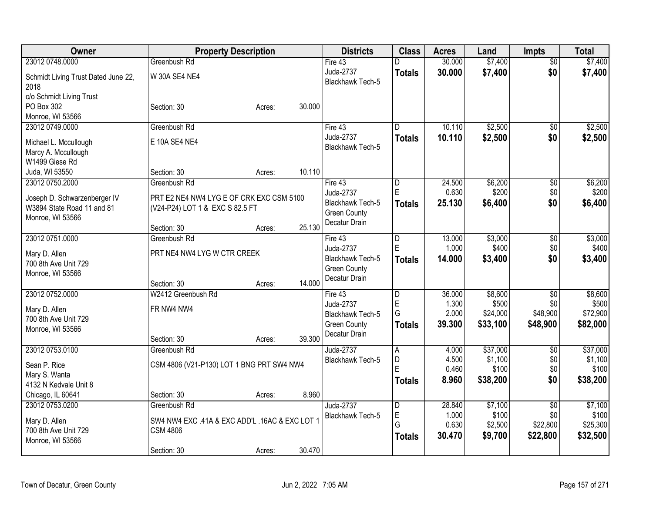| Owner                                    |                                                | <b>Property Description</b> |        | <b>Districts</b>              | <b>Class</b>            | <b>Acres</b>   | Land     | <b>Impts</b>           | <b>Total</b>        |
|------------------------------------------|------------------------------------------------|-----------------------------|--------|-------------------------------|-------------------------|----------------|----------|------------------------|---------------------|
| 23012 0748.0000                          | Greenbush Rd                                   |                             |        | Fire 43                       | D                       | 30.000         | \$7,400  | $\overline{50}$        | \$7,400             |
| Schmidt Living Trust Dated June 22,      | W 30A SE4 NE4                                  |                             |        | Juda-2737                     | <b>Totals</b>           | 30.000         | \$7,400  | \$0                    | \$7,400             |
| 2018                                     |                                                |                             |        | <b>Blackhawk Tech-5</b>       |                         |                |          |                        |                     |
| c/o Schmidt Living Trust                 |                                                |                             |        |                               |                         |                |          |                        |                     |
| PO Box 302                               | Section: 30                                    | Acres:                      | 30.000 |                               |                         |                |          |                        |                     |
| Monroe, WI 53566                         |                                                |                             |        |                               |                         |                |          |                        |                     |
| 23012 0749.0000                          | Greenbush Rd                                   |                             |        | Fire 43                       | D                       | 10.110         | \$2,500  | $\overline{50}$        | \$2,500             |
| Michael L. Mccullough                    | E 10A SE4 NE4                                  |                             |        | Juda-2737                     | <b>Totals</b>           | 10.110         | \$2,500  | \$0                    | \$2,500             |
| Marcy A. Mccullough                      |                                                |                             |        | <b>Blackhawk Tech-5</b>       |                         |                |          |                        |                     |
| W1499 Giese Rd                           |                                                |                             |        |                               |                         |                |          |                        |                     |
| Juda, WI 53550                           | Section: 30                                    | Acres:                      | 10.110 |                               |                         |                |          |                        |                     |
| 23012 0750.2000                          | Greenbush Rd                                   |                             |        | Fire 43                       | $\overline{\mathsf{D}}$ | 24.500         | \$6,200  | $\overline{50}$        | \$6,200             |
| Joseph D. Schwarzenberger IV             | PRT E2 NE4 NW4 LYG E OF CRK EXC CSM 5100       |                             |        | Juda-2737                     | E                       | 0.630          | \$200    | \$0                    | \$200               |
| W3894 State Road 11 and 81               | (V24-P24) LOT 1 & EXC S 82.5 FT                |                             |        | <b>Blackhawk Tech-5</b>       | <b>Totals</b>           | 25.130         | \$6,400  | \$0                    | \$6,400             |
| Monroe, WI 53566                         |                                                |                             |        | <b>Green County</b>           |                         |                |          |                        |                     |
|                                          | Section: 30                                    | Acres:                      | 25.130 | Decatur Drain                 |                         |                |          |                        |                     |
| 23012 0751.0000                          | Greenbush Rd                                   |                             |        | Fire 43                       | $\overline{D}$          | 13.000         | \$3,000  | \$0                    | \$3,000             |
|                                          |                                                |                             |        | Juda-2737                     | E                       | 1.000          | \$400    | \$0                    | \$400               |
| Mary D. Allen                            | PRT NE4 NW4 LYG W CTR CREEK                    |                             |        | Blackhawk Tech-5              | <b>Totals</b>           | 14.000         | \$3,400  | \$0                    | \$3,400             |
| 700 8th Ave Unit 729<br>Monroe, WI 53566 |                                                |                             |        | <b>Green County</b>           |                         |                |          |                        |                     |
|                                          | Section: 30                                    | Acres:                      | 14.000 | Decatur Drain                 |                         |                |          |                        |                     |
| 23012 0752.0000                          | W2412 Greenbush Rd                             |                             |        | Fire 43                       | D                       | 36.000         | \$8,600  | \$0                    | \$8,600             |
|                                          |                                                |                             |        | Juda-2737                     | $\mathsf E$             | 1.300          | \$500    | \$0                    | \$500               |
| Mary D. Allen                            | FR NW4 NW4                                     |                             |        | Blackhawk Tech-5              | G                       | 2.000          | \$24,000 | \$48,900               | \$72,900            |
| 700 8th Ave Unit 729                     |                                                |                             |        | <b>Green County</b>           | <b>Totals</b>           | 39.300         | \$33,100 | \$48,900               | \$82,000            |
| Monroe, WI 53566                         |                                                |                             | 39.300 | Decatur Drain                 |                         |                |          |                        |                     |
| 23012 0753.0100                          | Section: 30                                    | Acres:                      |        |                               |                         |                | \$37,000 |                        |                     |
|                                          | Greenbush Rd                                   |                             |        | Juda-2737<br>Blackhawk Tech-5 | A<br>D                  | 4.000<br>4.500 | \$1,100  | $\overline{50}$<br>\$0 | \$37,000<br>\$1,100 |
| Sean P. Rice                             | CSM 4806 (V21-P130) LOT 1 BNG PRT SW4 NW4      |                             |        |                               | E                       | 0.460          | \$100    | \$0                    | \$100               |
| Mary S. Wanta                            |                                                |                             |        |                               | <b>Totals</b>           | 8.960          | \$38,200 | \$0                    | \$38,200            |
| 4132 N Kedvale Unit 8                    |                                                |                             |        |                               |                         |                |          |                        |                     |
| Chicago, IL 60641                        | Section: 30                                    | Acres:                      | 8.960  |                               |                         |                |          |                        |                     |
| 23012 0753.0200                          | Greenbush Rd                                   |                             |        | Juda-2737                     | D                       | 28.840         | \$7,100  | $\overline{30}$        | \$7,100             |
| Mary D. Allen                            | SW4 NW4 EXC .41A & EXC ADD'L .16AC & EXC LOT 1 |                             |        | <b>Blackhawk Tech-5</b>       | E<br>G                  | 1.000          | \$100    | \$0                    | \$100               |
| 700 8th Ave Unit 729                     | <b>CSM 4806</b>                                |                             |        |                               |                         | 0.630          | \$2,500  | \$22,800               | \$25,300            |
| Monroe, WI 53566                         |                                                |                             |        |                               | Totals                  | 30.470         | \$9,700  | \$22,800               | \$32,500            |
|                                          | Section: 30                                    | Acres:                      | 30.470 |                               |                         |                |          |                        |                     |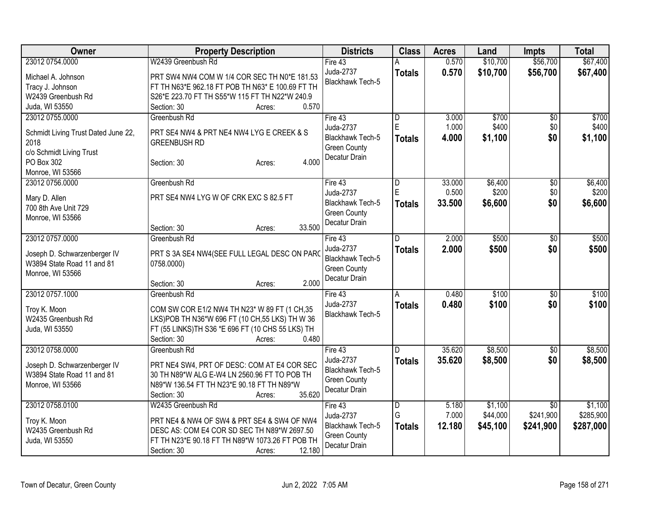| <b>Class</b><br><b>Owner</b><br><b>Property Description</b><br><b>Districts</b><br><b>Acres</b><br>Land<br><b>Impts</b>                                 | <b>Total</b>               |
|---------------------------------------------------------------------------------------------------------------------------------------------------------|----------------------------|
| \$10,700<br>23012 0754.0000<br>W2439 Greenbush Rd<br>0.570<br>\$56,700<br>Fire $43$                                                                     | \$67,400                   |
| Juda-2737<br>0.570<br>\$10,700<br>\$56,700<br><b>Totals</b><br>PRT SW4 NW4 COM W 1/4 COR SEC TH N0*E 181.53<br>Michael A. Johnson                       | \$67,400                   |
| Blackhawk Tech-5<br>FT TH N63*E 962.18 FT POB TH N63* E 100.69 FT TH<br>Tracy J. Johnson                                                                |                            |
| W2439 Greenbush Rd<br>S26*E 223.70 FT TH S55*W 115 FT TH N22*W 240.9                                                                                    |                            |
| 0.570<br>Juda, WI 53550<br>Section: 30<br>Acres:                                                                                                        |                            |
| \$700<br>23012 0755.0000<br>Greenbush Rd<br>Fire 43<br>3.000<br>D                                                                                       | \$0<br>\$700               |
| E<br>1.000<br>\$400<br>Juda-2737                                                                                                                        | \$400<br>\$0               |
| Schmidt Living Trust Dated June 22,<br>PRT SE4 NW4 & PRT NE4 NW4 LYG E CREEK & S<br>\$0<br><b>Blackhawk Tech-5</b><br>4.000<br>\$1,100<br><b>Totals</b> | \$1,100                    |
| 2018<br><b>GREENBUSH RD</b><br><b>Green County</b>                                                                                                      |                            |
| c/o Schmidt Living Trust<br>Decatur Drain                                                                                                               |                            |
| 4.000<br>PO Box 302<br>Section: 30<br>Acres:                                                                                                            |                            |
| Monroe, WI 53566                                                                                                                                        |                            |
| 23012 0756.0000<br>33.000<br>\$6,400<br>Greenbush Rd<br>Fire 43<br>D                                                                                    | $\overline{50}$<br>\$6,400 |
| E<br>0.500<br>\$200<br>Juda-2737<br>PRT SE4 NW4 LYG W OF CRK EXC S 82.5 FT<br>Mary D. Allen                                                             | \$0<br>\$200               |
| 33.500<br>\$0<br>Blackhawk Tech-5<br><b>Totals</b><br>\$6,600<br>700 8th Ave Unit 729                                                                   | \$6,600                    |
| <b>Green County</b><br>Monroe, WI 53566                                                                                                                 |                            |
| Decatur Drain<br>33.500<br>Section: 30<br>Acres:                                                                                                        |                            |
| 23012 0757.0000<br>\$500<br>Greenbush Rd<br>Fire 43<br>2.000<br>D.                                                                                      | \$500<br>$\overline{50}$   |
| Juda-2737<br>2.000<br>\$500<br>\$0<br><b>Totals</b>                                                                                                     | \$500                      |
| PRT S 3A SE4 NW4(SEE FULL LEGAL DESC ON PARO<br>Joseph D. Schwarzenberger IV<br>Blackhawk Tech-5                                                        |                            |
| W3894 State Road 11 and 81<br>0758.0000)<br><b>Green County</b>                                                                                         |                            |
| Monroe, WI 53566<br>Decatur Drain                                                                                                                       |                            |
| 2.000<br>Section: 30<br>Acres:                                                                                                                          |                            |
| 23012 0757.1000<br>\$100<br>Greenbush Rd<br>Fire 43<br>0.480<br>A                                                                                       | \$100<br>\$0               |
| Juda-2737<br>0.480<br>\$100<br><b>Totals</b><br>COM SW COR E1/2 NW4 TH N23* W 89 FT (1 CH,35<br>Troy K. Moon                                            | \$100<br>\$0               |
| <b>Blackhawk Tech-5</b><br>W2435 Greenbush Rd<br>LKS)POB TH N36*W 696 FT (10 CH, 55 LKS) TH W 36                                                        |                            |
| FT (55 LINKS) TH S36 *E 696 FT (10 CHS 55 LKS) TH<br>Juda, WI 53550                                                                                     |                            |
| 0.480<br>Section: 30<br>Acres:                                                                                                                          |                            |
| 23012 0758.0000<br>35.620<br>\$8,500<br>Fire 43<br>$\overline{D}$<br>Greenbush Rd                                                                       | $\overline{50}$<br>\$8,500 |
| Juda-2737<br>35.620<br>\$0<br>\$8,500<br><b>Totals</b>                                                                                                  | \$8,500                    |
| PRT NE4 SW4, PRT OF DESC: COM AT E4 COR SEC<br>Joseph D. Schwarzenberger IV<br>Blackhawk Tech-5                                                         |                            |
| 30 TH N89*W ALG E-W4 LN 2560.96 FT TO POB TH<br>W3894 State Road 11 and 81<br><b>Green County</b>                                                       |                            |
| Monroe, WI 53566<br>N89*W 136.54 FT TH N23*E 90.18 FT TH N89*W<br>Decatur Drain                                                                         |                            |
| 35.620<br>Section: 30<br>Acres:                                                                                                                         |                            |
| 23012 0758.0100<br>\$1,100<br>W2435 Greenbush Rd<br>Fire 43<br>$\overline{\mathsf{D}}$<br>5.180                                                         | \$1,100<br>$\overline{50}$ |
| G<br>7.000<br>\$44,000<br>\$241,900<br>Juda-2737<br>PRT NE4 & NW4 OF SW4 & PRT SE4 & SW4 OF NW4<br>Troy K. Moon                                         | \$285,900                  |
| <b>Blackhawk Tech-5</b><br>12.180<br>\$45,100<br>\$241,900<br><b>Totals</b><br>W2435 Greenbush Rd<br>DESC AS: COM E4 COR SD SEC TH N89*W 2697.50        | \$287,000                  |
| <b>Green County</b><br>FT TH N23*E 90.18 FT TH N89*W 1073.26 FT POB TH<br>Juda, WI 53550                                                                |                            |
| Decatur Drain<br>12.180<br>Section: 30<br>Acres:                                                                                                        |                            |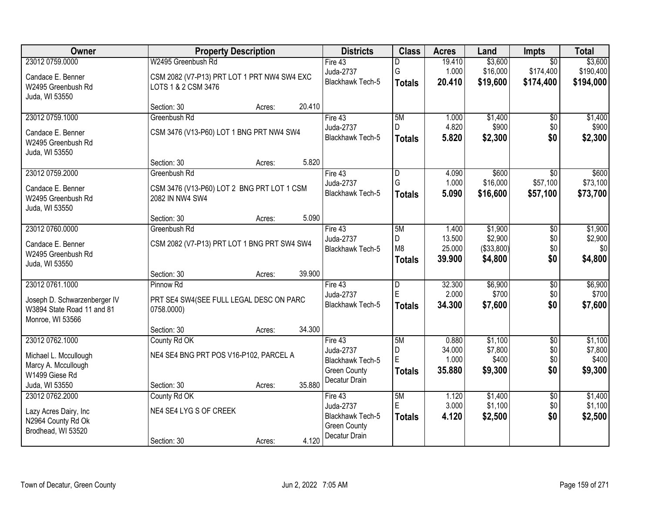| Owner                        | <b>Property Description</b>                 |        |        | <b>Districts</b>        | <b>Class</b>   | <b>Acres</b> | Land         | <b>Impts</b>    | <b>Total</b> |
|------------------------------|---------------------------------------------|--------|--------|-------------------------|----------------|--------------|--------------|-----------------|--------------|
| 23012 0759.0000              | W2495 Greenbush Rd                          |        |        | Fire $43$               | D              | 19.410       | \$3,600      | $\overline{50}$ | \$3,600      |
| Candace E. Benner            | CSM 2082 (V7-P13) PRT LOT 1 PRT NW4 SW4 EXC |        |        | Juda-2737               | G              | 1.000        | \$16,000     | \$174,400       | \$190,400    |
| W2495 Greenbush Rd           | LOTS 1 & 2 CSM 3476                         |        |        | Blackhawk Tech-5        | <b>Totals</b>  | 20.410       | \$19,600     | \$174,400       | \$194,000    |
| Juda, WI 53550               |                                             |        |        |                         |                |              |              |                 |              |
|                              | Section: 30                                 | Acres: | 20.410 |                         |                |              |              |                 |              |
| 23012 0759.1000              | Greenbush Rd                                |        |        | Fire $43$               | 5M             | 1.000        | \$1,400      | $\overline{50}$ | \$1,400      |
| Candace E. Benner            | CSM 3476 (V13-P60) LOT 1 BNG PRT NW4 SW4    |        |        | Juda-2737               | D.             | 4.820        | \$900        | \$0             | \$900        |
| W2495 Greenbush Rd           |                                             |        |        | Blackhawk Tech-5        | <b>Totals</b>  | 5.820        | \$2,300      | \$0             | \$2,300      |
| Juda, WI 53550               |                                             |        |        |                         |                |              |              |                 |              |
|                              | Section: 30                                 | Acres: | 5.820  |                         |                |              |              |                 |              |
| 23012 0759.2000              | Greenbush Rd                                |        |        | Fire 43                 | D              | 4.090        | \$600        | \$0             | \$600        |
| Candace E. Benner            | CSM 3476 (V13-P60) LOT 2 BNG PRT LOT 1 CSM  |        |        | Juda-2737               | G              | 1.000        | \$16,000     | \$57,100        | \$73,100     |
| W2495 Greenbush Rd           | 2082 IN NW4 SW4                             |        |        | <b>Blackhawk Tech-5</b> | <b>Totals</b>  | 5.090        | \$16,600     | \$57,100        | \$73,700     |
| Juda, WI 53550               |                                             |        |        |                         |                |              |              |                 |              |
|                              | Section: 30                                 | Acres: | 5.090  |                         |                |              |              |                 |              |
| 23012 0760.0000              | Greenbush Rd                                |        |        | Fire 43                 | 5M             | 1.400        | \$1,900      | \$0             | \$1,900      |
| Candace E. Benner            | CSM 2082 (V7-P13) PRT LOT 1 BNG PRT SW4 SW4 |        |        | Juda-2737               | D              | 13.500       | \$2,900      | \$0             | \$2,900      |
| W2495 Greenbush Rd           |                                             |        |        | Blackhawk Tech-5        | M <sub>8</sub> | 25.000       | ( \$33, 800) | \$0             | \$0          |
| Juda, WI 53550               |                                             |        |        |                         | <b>Totals</b>  | 39.900       | \$4,800      | \$0             | \$4,800      |
|                              | Section: 30                                 | Acres: | 39.900 |                         |                |              |              |                 |              |
| 23012 0761.1000              | Pinnow Rd                                   |        |        | Fire 43                 | D              | 32.300       | \$6,900      | $\overline{50}$ | \$6,900      |
| Joseph D. Schwarzenberger IV | PRT SE4 SW4(SEE FULL LEGAL DESC ON PARC     |        |        | Juda-2737               | E              | 2.000        | \$700        | \$0             | \$700        |
| W3894 State Road 11 and 81   | 0758.0000)                                  |        |        | <b>Blackhawk Tech-5</b> | <b>Totals</b>  | 34.300       | \$7,600      | \$0             | \$7,600      |
| Monroe, WI 53566             |                                             |        |        |                         |                |              |              |                 |              |
|                              | Section: 30                                 | Acres: | 34.300 |                         |                |              |              |                 |              |
| 23012 0762.1000              | County Rd OK                                |        |        | Fire 43                 | 5M             | 0.880        | \$1,100      | $\overline{50}$ | \$1,100      |
| Michael L. Mccullough        | NE4 SE4 BNG PRT POS V16-P102, PARCEL A      |        |        | Juda-2737               | D              | 34.000       | \$7,800      | \$0             | \$7,800      |
| Marcy A. Mccullough          |                                             |        |        | Blackhawk Tech-5        | E.             | 1.000        | \$400        | \$0             | \$400        |
| W1499 Giese Rd               |                                             |        |        | <b>Green County</b>     | <b>Totals</b>  | 35.880       | \$9,300      | \$0             | \$9,300      |
| Juda, WI 53550               | Section: 30                                 | Acres: | 35.880 | Decatur Drain           |                |              |              |                 |              |
| 23012 0762.2000              | County Rd OK                                |        |        | Fire $43$               | 5M             | 1.120        | \$1,400      | $\overline{50}$ | \$1,400      |
| Lazy Acres Dairy, Inc        | NE4 SE4 LYG S OF CREEK                      |        |        | Juda-2737               | E.             | 3.000        | \$1,100      | \$0             | \$1,100      |
| N2964 County Rd Ok           |                                             |        |        | <b>Blackhawk Tech-5</b> | <b>Totals</b>  | 4.120        | \$2,500      | \$0             | \$2,500      |
| Brodhead, WI 53520           |                                             |        |        | <b>Green County</b>     |                |              |              |                 |              |
|                              | Section: 30                                 | Acres: | 4.120  | Decatur Drain           |                |              |              |                 |              |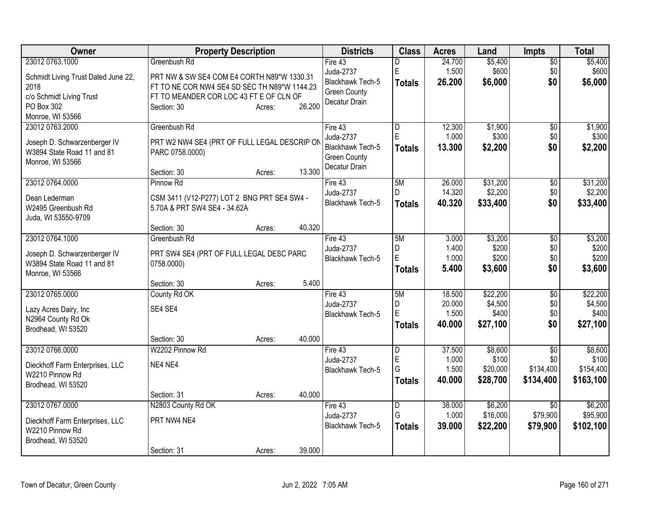| Owner                               | <b>Property Description</b>                                                 | <b>Districts</b>                     | <b>Class</b>   | <b>Acres</b>    | Land             | <b>Impts</b>    | <b>Total</b>     |
|-------------------------------------|-----------------------------------------------------------------------------|--------------------------------------|----------------|-----------------|------------------|-----------------|------------------|
| 23012 0763.1000                     | Greenbush Rd                                                                | Fire 43                              | D              | 24.700          | \$5,400          | $\overline{50}$ | \$5,400          |
| Schmidt Living Trust Dated June 22, | PRT NW & SW SE4 COM E4 CORTH N89*W 1330.31                                  | Juda-2737                            | E              | 1.500           | \$600            | \$0             | \$600            |
| 2018                                | FT TO NE COR NW4 SE4 SD SEC TH N89*W 1144.23                                | Blackhawk Tech-5                     | <b>Totals</b>  | 26.200          | \$6,000          | \$0             | \$6,000          |
| c/o Schmidt Living Trust            | FT TO MEANDER COR LOC 43 FT E OF CLN OF                                     | <b>Green County</b>                  |                |                 |                  |                 |                  |
| PO Box 302                          | 26.200<br>Section: 30<br>Acres:                                             | Decatur Drain                        |                |                 |                  |                 |                  |
| Monroe, WI 53566                    |                                                                             |                                      |                |                 |                  |                 |                  |
| 23012 0763.2000                     | Greenbush Rd                                                                | Fire 43                              | D              | 12.300          | \$1,900          | $\overline{50}$ | \$1,900          |
| Joseph D. Schwarzenberger IV        | PRT W2 NW4 SE4 (PRT OF FULL LEGAL DESCRIP ON                                | Juda-2737                            | $\overline{E}$ | 1.000           | \$300            | \$0             | \$300            |
| W3894 State Road 11 and 81          | PARC 0758.0000)                                                             | Blackhawk Tech-5                     | <b>Totals</b>  | 13.300          | \$2,200          | \$0             | \$2,200          |
| Monroe, WI 53566                    |                                                                             | <b>Green County</b>                  |                |                 |                  |                 |                  |
|                                     | 13.300<br>Section: 30<br>Acres:                                             | Decatur Drain                        |                |                 |                  |                 |                  |
| 23012 0764.0000                     | Pinnow Rd                                                                   | Fire 43                              | 5M             | 26.000          | \$31,200         | $\overline{50}$ | \$31,200         |
|                                     |                                                                             | Juda-2737                            | D.             | 14.320          | \$2,200          | \$0             | \$2,200          |
| Dean Lederman<br>W2495 Greenbush Rd | CSM 3411 (V12-P277) LOT 2 BNG PRT SE4 SW4 -<br>5.70A & PRT SW4 SE4 - 34.62A | Blackhawk Tech-5                     | <b>Totals</b>  | 40.320          | \$33,400         | \$0             | \$33,400         |
| Juda, WI 53550-9709                 |                                                                             |                                      |                |                 |                  |                 |                  |
|                                     | 40.320<br>Section: 30<br>Acres:                                             |                                      |                |                 |                  |                 |                  |
| 23012 0764.1000                     | Greenbush Rd                                                                | Fire 43                              | 5M             | 3.000           | \$3,200          | \$0             | \$3,200          |
|                                     |                                                                             | Juda-2737                            | D              | 1.400           | \$200            | \$0             | \$200            |
| Joseph D. Schwarzenberger IV        | PRT SW4 SE4 (PRT OF FULL LEGAL DESC PARC                                    | <b>Blackhawk Tech-5</b>              | $\overline{E}$ | 1.000           | \$200            | \$0             | \$200            |
| W3894 State Road 11 and 81          | 0758.0000)                                                                  |                                      | Totals         | 5.400           | \$3,600          | \$0             | \$3,600          |
| Monroe, WI 53566                    | 5.400<br>Section: 30                                                        |                                      |                |                 |                  |                 |                  |
| 23012 0765.0000                     | Acres:<br>County Rd OK                                                      | Fire 43                              | 5M             | 18.500          | \$22,200         | \$0             | \$22,200         |
|                                     |                                                                             | Juda-2737                            | D              | 20.000          | \$4,500          | \$0             | \$4,500          |
| Lazy Acres Dairy, Inc               | SE4 SE4                                                                     | Blackhawk Tech-5                     | E              | 1.500           | \$400            | \$0             | \$400            |
| N2964 County Rd Ok                  |                                                                             |                                      | <b>Totals</b>  | 40.000          | \$27,100         | \$0             | \$27,100         |
| Brodhead, WI 53520                  |                                                                             |                                      |                |                 |                  |                 |                  |
|                                     | 40.000<br>Section: 30<br>Acres:                                             |                                      |                |                 |                  |                 |                  |
| 23012 0766.0000                     | W2202 Pinnow Rd                                                             | Fire 43                              | l D            | 37.500<br>1.000 | \$8,600<br>\$100 | \$0<br>\$0      | \$8,600<br>\$100 |
| Dieckhoff Farm Enterprises, LLC     | NE4 NE4                                                                     | Juda-2737<br><b>Blackhawk Tech-5</b> | E<br>G         | 1.500           | \$20,000         | \$134,400       | \$154,400        |
| W2210 Pinnow Rd                     |                                                                             |                                      | <b>Totals</b>  | 40.000          | \$28,700         | \$134,400       | \$163,100        |
| Brodhead, WI 53520                  |                                                                             |                                      |                |                 |                  |                 |                  |
|                                     | 40.000<br>Section: 31<br>Acres:                                             |                                      |                |                 |                  |                 |                  |
| 23012 0767.0000                     | N2803 County Rd OK                                                          | Fire 43                              | D              | 38.000          | \$6,200          | $\overline{30}$ | \$6,200          |
| Dieckhoff Farm Enterprises, LLC     | PRT NW4 NE4                                                                 | Juda-2737                            | G              | 1.000           | \$16,000         | \$79,900        | \$95,900         |
| W2210 Pinnow Rd                     |                                                                             | Blackhawk Tech-5                     | <b>Totals</b>  | 39.000          | \$22,200         | \$79,900        | \$102,100        |
| Brodhead, WI 53520                  |                                                                             |                                      |                |                 |                  |                 |                  |
|                                     | 39.000<br>Section: 31<br>Acres:                                             |                                      |                |                 |                  |                 |                  |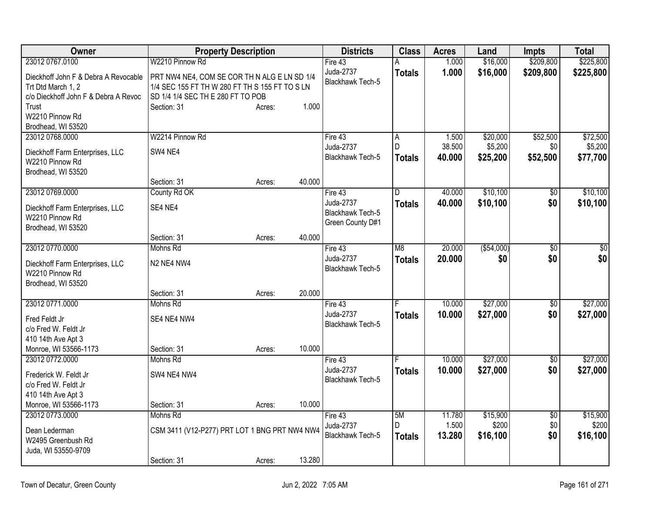| Owner                                |                                                | <b>Property Description</b> |        | <b>Districts</b>        | <b>Class</b>   | <b>Acres</b> | Land        | <b>Impts</b>    | <b>Total</b> |
|--------------------------------------|------------------------------------------------|-----------------------------|--------|-------------------------|----------------|--------------|-------------|-----------------|--------------|
| 23012 0767.0100                      | W2210 Pinnow Rd                                |                             |        | Fire 43                 | А              | 1.000        | \$16,000    | \$209,800       | \$225,800    |
| Dieckhoff John F & Debra A Revocable | PRT NW4 NE4, COM SE COR TH N ALG E LN SD 1/4   |                             |        | Juda-2737               | <b>Totals</b>  | 1.000        | \$16,000    | \$209,800       | \$225,800    |
| Trt Dtd March 1, 2                   | 1/4 SEC 155 FT TH W 280 FT TH S 155 FT TO S LN |                             |        | Blackhawk Tech-5        |                |              |             |                 |              |
| c/o Dieckhoff John F & Debra A Revoc | SD 1/4 1/4 SEC TH E 280 FT TO POB              |                             |        |                         |                |              |             |                 |              |
| Trust                                | Section: 31                                    | Acres:                      | 1.000  |                         |                |              |             |                 |              |
| W2210 Pinnow Rd                      |                                                |                             |        |                         |                |              |             |                 |              |
| Brodhead, WI 53520                   |                                                |                             |        |                         |                |              |             |                 |              |
| 23012 0768.0000                      | W2214 Pinnow Rd                                |                             |        | Fire 43                 | A              | 1.500        | \$20,000    | \$52,500        | \$72,500     |
| Dieckhoff Farm Enterprises, LLC      | SW4 NE4                                        |                             |        | Juda-2737               | D              | 38.500       | \$5,200     | \$0             | \$5,200      |
| W2210 Pinnow Rd                      |                                                |                             |        | Blackhawk Tech-5        | <b>Totals</b>  | 40.000       | \$25,200    | \$52,500        | \$77,700     |
| Brodhead, WI 53520                   |                                                |                             |        |                         |                |              |             |                 |              |
|                                      | Section: 31                                    | Acres:                      | 40.000 |                         |                |              |             |                 |              |
| 23012 0769.0000                      | County Rd OK                                   |                             |        | Fire 43                 | D              | 40.000       | \$10,100    | \$0             | \$10,100     |
| Dieckhoff Farm Enterprises, LLC      | SE4 NE4                                        |                             |        | Juda-2737               | <b>Totals</b>  | 40.000       | \$10,100    | \$0             | \$10,100     |
| W2210 Pinnow Rd                      |                                                |                             |        | <b>Blackhawk Tech-5</b> |                |              |             |                 |              |
| Brodhead, WI 53520                   |                                                |                             |        | Green County D#1        |                |              |             |                 |              |
|                                      | Section: 31                                    | Acres:                      | 40.000 |                         |                |              |             |                 |              |
| 23012 0770.0000                      | Mohns Rd                                       |                             |        | Fire 43                 | M <sub>8</sub> | 20.000       | ( \$54,000) | $\sqrt{6}$      | \$0          |
| Dieckhoff Farm Enterprises, LLC      | N <sub>2</sub> N <sub>E4</sub> N <sub>W4</sub> |                             |        | Juda-2737               | <b>Totals</b>  | 20.000       | \$0         | \$0             | \$0          |
| W2210 Pinnow Rd                      |                                                |                             |        | <b>Blackhawk Tech-5</b> |                |              |             |                 |              |
| Brodhead, WI 53520                   |                                                |                             |        |                         |                |              |             |                 |              |
|                                      | Section: 31                                    | Acres:                      | 20.000 |                         |                |              |             |                 |              |
| 23012 0771.0000                      | Mohns Rd                                       |                             |        | Fire 43                 | F              | 10.000       | \$27,000    | $\overline{50}$ | \$27,000     |
| Fred Feldt Jr                        | SE4 NE4 NW4                                    |                             |        | Juda-2737               | <b>Totals</b>  | 10.000       | \$27,000    | \$0             | \$27,000     |
| c/o Fred W. Feldt Jr                 |                                                |                             |        | <b>Blackhawk Tech-5</b> |                |              |             |                 |              |
| 410 14th Ave Apt 3                   |                                                |                             |        |                         |                |              |             |                 |              |
| Monroe, WI 53566-1173                | Section: 31                                    | Acres:                      | 10.000 |                         |                |              |             |                 |              |
| 23012 0772.0000                      | Mohns Rd                                       |                             |        | Fire 43                 |                | 10.000       | \$27,000    | $\sqrt{6}$      | \$27,000     |
| Frederick W. Feldt Jr                | SW4 NE4 NW4                                    |                             |        | Juda-2737               | <b>Totals</b>  | 10.000       | \$27,000    | \$0             | \$27,000     |
| c/o Fred W. Feldt Jr                 |                                                |                             |        | <b>Blackhawk Tech-5</b> |                |              |             |                 |              |
| 410 14th Ave Apt 3                   |                                                |                             |        |                         |                |              |             |                 |              |
| Monroe, WI 53566-1173                | Section: 31                                    | Acres:                      | 10.000 |                         |                |              |             |                 |              |
| 23012 0773.0000                      | Mohns Rd                                       |                             |        | Fire 43                 | 5M             | 11.780       | \$15,900    | $\overline{50}$ | \$15,900     |
| Dean Lederman                        | CSM 3411 (V12-P277) PRT LOT 1 BNG PRT NW4 NW4  |                             |        | Juda-2737               | D              | 1.500        | \$200       | \$0             | \$200        |
| W2495 Greenbush Rd                   |                                                |                             |        | <b>Blackhawk Tech-5</b> | <b>Totals</b>  | 13.280       | \$16,100    | \$0             | \$16,100     |
| Juda, WI 53550-9709                  |                                                |                             |        |                         |                |              |             |                 |              |
|                                      | Section: 31                                    | Acres:                      | 13.280 |                         |                |              |             |                 |              |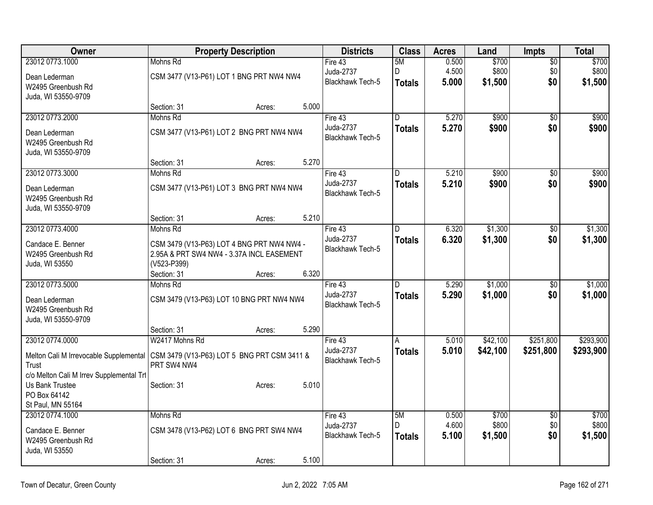| Owner                                    |                                             | <b>Property Description</b> |       | <b>Districts</b>                     | <b>Class</b>  | <b>Acres</b> | Land     | Impts           | <b>Total</b> |
|------------------------------------------|---------------------------------------------|-----------------------------|-------|--------------------------------------|---------------|--------------|----------|-----------------|--------------|
| 23012 0773.1000                          | Mohns Rd                                    |                             |       | Fire $43$                            | 5M            | 0.500        | \$700    | $\overline{50}$ | \$700        |
| Dean Lederman                            | CSM 3477 (V13-P61) LOT 1 BNG PRT NW4 NW4    |                             |       | Juda-2737                            | D             | 4.500        | \$800    | \$0             | \$800        |
| W2495 Greenbush Rd                       |                                             |                             |       | Blackhawk Tech-5                     | <b>Totals</b> | 5.000        | \$1,500  | \$0             | \$1,500      |
| Juda, WI 53550-9709                      |                                             |                             |       |                                      |               |              |          |                 |              |
|                                          | Section: 31                                 | Acres:                      | 5.000 |                                      |               |              |          |                 |              |
| 23012 0773.2000                          | Mohns Rd                                    |                             |       | Fire $43$                            | D.            | 5.270        | \$900    | $\overline{50}$ | \$900        |
| Dean Lederman                            | CSM 3477 (V13-P61) LOT 2 BNG PRT NW4 NW4    |                             |       | Juda-2737                            | <b>Totals</b> | 5.270        | \$900    | \$0             | \$900        |
| W2495 Greenbush Rd                       |                                             |                             |       | <b>Blackhawk Tech-5</b>              |               |              |          |                 |              |
| Juda, WI 53550-9709                      |                                             |                             |       |                                      |               |              |          |                 |              |
|                                          | Section: 31                                 | Acres:                      | 5.270 |                                      |               |              |          |                 |              |
| 23012 0773.3000                          | Mohns Rd                                    |                             |       | Fire 43                              | D             | 5.210        | \$900    | $\overline{50}$ | \$900        |
| Dean Lederman                            | CSM 3477 (V13-P61) LOT 3 BNG PRT NW4 NW4    |                             |       | Juda-2737<br>Blackhawk Tech-5        | <b>Totals</b> | 5.210        | \$900    | \$0             | \$900        |
| W2495 Greenbush Rd                       |                                             |                             |       |                                      |               |              |          |                 |              |
| Juda, WI 53550-9709                      |                                             |                             |       |                                      |               |              |          |                 |              |
|                                          | Section: 31                                 | Acres:                      | 5.210 |                                      |               |              |          |                 |              |
| 23012 0773.4000                          | Mohns Rd                                    |                             |       | Fire 43                              | D             | 6.320        | \$1,300  | $\overline{50}$ | \$1,300      |
| Candace E. Benner                        | CSM 3479 (V13-P63) LOT 4 BNG PRT NW4 NW4 -  |                             |       | Juda-2737<br>Blackhawk Tech-5        | <b>Totals</b> | 6.320        | \$1,300  | \$0             | \$1,300      |
| W2495 Greenbush Rd                       | 2.95A & PRT SW4 NW4 - 3.37A INCL EASEMENT   |                             |       |                                      |               |              |          |                 |              |
| Juda, WI 53550                           | (V523-P399)                                 |                             |       |                                      |               |              |          |                 |              |
|                                          | Section: 31                                 | Acres:                      | 6.320 |                                      |               |              |          |                 |              |
| 23012 0773.5000                          | Mohns Rd                                    |                             |       | Fire 43                              | D.            | 5.290        | \$1,000  | $\overline{50}$ | \$1,000      |
| Dean Lederman                            | CSM 3479 (V13-P63) LOT 10 BNG PRT NW4 NW4   |                             |       | Juda-2737<br><b>Blackhawk Tech-5</b> | <b>Totals</b> | 5.290        | \$1,000  | \$0             | \$1,000      |
| W2495 Greenbush Rd                       |                                             |                             |       |                                      |               |              |          |                 |              |
| Juda, WI 53550-9709                      |                                             |                             |       |                                      |               |              |          |                 |              |
|                                          | Section: 31                                 | Acres:                      | 5.290 |                                      |               |              |          |                 |              |
| 23012 0774.0000                          | W2417 Mohns Rd                              |                             |       | Fire 43<br>Juda-2737                 | A             | 5.010        | \$42,100 | \$251,800       | \$293,900    |
| Melton Cali M Irrevocable Supplemental   | CSM 3479 (V13-P63) LOT 5 BNG PRT CSM 3411 & |                             |       | <b>Blackhawk Tech-5</b>              | <b>Totals</b> | 5.010        | \$42,100 | \$251,800       | \$293,900    |
| Trust                                    | PRT SW4 NW4                                 |                             |       |                                      |               |              |          |                 |              |
| c/o Melton Cali M Irrev Supplemental Trl |                                             |                             |       |                                      |               |              |          |                 |              |
| Us Bank Trustee<br>PO Box 64142          | Section: 31                                 | Acres:                      | 5.010 |                                      |               |              |          |                 |              |
| St Paul, MN 55164                        |                                             |                             |       |                                      |               |              |          |                 |              |
| 23012 0774.1000                          | Mohns Rd                                    |                             |       | Fire $43$                            | 5M            | 0.500        | \$700    | $\overline{50}$ | \$700        |
|                                          |                                             |                             |       | Juda-2737                            | D.            | 4.600        | \$800    | \$0             | \$800        |
| Candace E. Benner<br>W2495 Greenbush Rd  | CSM 3478 (V13-P62) LOT 6 BNG PRT SW4 NW4    |                             |       | <b>Blackhawk Tech-5</b>              | <b>Totals</b> | 5.100        | \$1,500  | \$0             | \$1,500      |
| Juda, WI 53550                           |                                             |                             |       |                                      |               |              |          |                 |              |
|                                          | Section: 31                                 | Acres:                      | 5.100 |                                      |               |              |          |                 |              |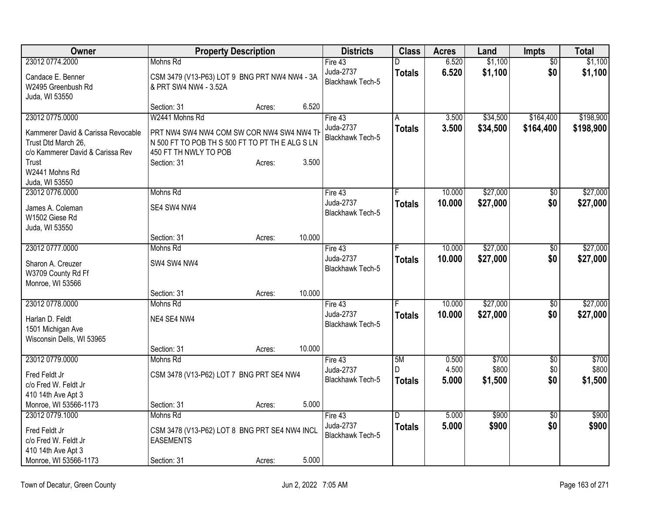| Owner                                 | <b>Property Description</b>                   |        |        | <b>Districts</b>        | <b>Class</b>  | <b>Acres</b> | Land     | Impts           | <b>Total</b> |
|---------------------------------------|-----------------------------------------------|--------|--------|-------------------------|---------------|--------------|----------|-----------------|--------------|
| 23012 0774.2000                       | Mohns Rd                                      |        |        | Fire $43$               | D             | 6.520        | \$1,100  | $\overline{50}$ | \$1,100      |
| Candace E. Benner                     | CSM 3479 (V13-P63) LOT 9 BNG PRT NW4 NW4 - 3A |        |        | Juda-2737               | <b>Totals</b> | 6.520        | \$1,100  | \$0             | \$1,100      |
| W2495 Greenbush Rd                    | & PRT SW4 NW4 - 3.52A                         |        |        | Blackhawk Tech-5        |               |              |          |                 |              |
| Juda, WI 53550                        |                                               |        |        |                         |               |              |          |                 |              |
|                                       | Section: 31                                   | Acres: | 6.520  |                         |               |              |          |                 |              |
| 23012 0775.0000                       | W2441 Mohns Rd                                |        |        | Fire 43                 | A             | 3.500        | \$34,500 | \$164,400       | \$198,900    |
| Kammerer David & Carissa Revocable    | PRT NW4 SW4 NW4 COM SW COR NW4 SW4 NW4 TH     |        |        | Juda-2737               | <b>Totals</b> | 3.500        | \$34,500 | \$164,400       | \$198,900    |
| Trust Dtd March 26,                   | N 500 FT TO POB TH S 500 FT TO PT THE ALG SLN |        |        | <b>Blackhawk Tech-5</b> |               |              |          |                 |              |
| c/o Kammerer David & Carissa Rev      | 450 FT TH NWLY TO POB                         |        |        |                         |               |              |          |                 |              |
| Trust                                 | Section: 31                                   | Acres: | 3.500  |                         |               |              |          |                 |              |
| W2441 Mohns Rd                        |                                               |        |        |                         |               |              |          |                 |              |
| Juda, WI 53550                        |                                               |        |        |                         |               |              |          |                 |              |
| 23012 0776,0000                       | Mohns Rd                                      |        |        | Fire 43                 |               | 10.000       | \$27,000 | \$0             | \$27,000     |
| James A. Coleman                      | SE4 SW4 NW4                                   |        |        | Juda-2737               | <b>Totals</b> | 10.000       | \$27,000 | \$0             | \$27,000     |
| W1502 Giese Rd                        |                                               |        |        | <b>Blackhawk Tech-5</b> |               |              |          |                 |              |
| Juda, WI 53550                        |                                               |        |        |                         |               |              |          |                 |              |
|                                       | Section: 31                                   | Acres: | 10.000 |                         |               |              |          |                 |              |
| 23012 0777.0000                       | Mohns Rd                                      |        |        | Fire 43                 |               | 10.000       | \$27,000 | \$0             | \$27,000     |
| Sharon A. Creuzer                     | SW4 SW4 NW4                                   |        |        | Juda-2737               | <b>Totals</b> | 10.000       | \$27,000 | \$0             | \$27,000     |
| W3709 County Rd Ff                    |                                               |        |        | <b>Blackhawk Tech-5</b> |               |              |          |                 |              |
| Monroe, WI 53566                      |                                               |        |        |                         |               |              |          |                 |              |
|                                       | Section: 31                                   | Acres: | 10.000 |                         |               |              |          |                 |              |
| 23012 0778.0000                       | Mohns Rd                                      |        |        | Fire 43                 | F             | 10.000       | \$27,000 | $\overline{50}$ | \$27,000     |
| Harlan D. Feldt                       | NE4 SE4 NW4                                   |        |        | Juda-2737               | <b>Totals</b> | 10.000       | \$27,000 | \$0             | \$27,000     |
| 1501 Michigan Ave                     |                                               |        |        | Blackhawk Tech-5        |               |              |          |                 |              |
| Wisconsin Dells, WI 53965             |                                               |        |        |                         |               |              |          |                 |              |
|                                       | Section: 31                                   | Acres: | 10.000 |                         |               |              |          |                 |              |
| 23012 0779.0000                       | Mohns Rd                                      |        |        | Fire 43                 | 5M            | 0.500        | \$700    | $\overline{50}$ | \$700        |
| Fred Feldt Jr                         | CSM 3478 (V13-P62) LOT 7 BNG PRT SE4 NW4      |        |        | Juda-2737               | D             | 4.500        | \$800    | \$0             | \$800        |
| c/o Fred W. Feldt Jr                  |                                               |        |        | Blackhawk Tech-5        | <b>Totals</b> | 5.000        | \$1,500  | \$0             | \$1,500      |
| 410 14th Ave Apt 3                    |                                               |        |        |                         |               |              |          |                 |              |
| Monroe, WI 53566-1173                 | Section: 31                                   | Acres: | 5.000  |                         |               |              |          |                 |              |
| 23012 0779.1000                       | Mohns Rd                                      |        |        | Fire 43                 | D             | 5.000        | \$900    | $\overline{30}$ | \$900        |
|                                       |                                               |        |        | Juda-2737               | <b>Totals</b> | 5.000        | \$900    | \$0             | \$900        |
| Fred Feldt Jr<br>c/o Fred W. Feldt Jr | CSM 3478 (V13-P62) LOT 8 BNG PRT SE4 NW4 INCL |        |        | Blackhawk Tech-5        |               |              |          |                 |              |
| 410 14th Ave Apt 3                    | <b>EASEMENTS</b>                              |        |        |                         |               |              |          |                 |              |
| Monroe, WI 53566-1173                 | Section: 31                                   | Acres: | 5.000  |                         |               |              |          |                 |              |
|                                       |                                               |        |        |                         |               |              |          |                 |              |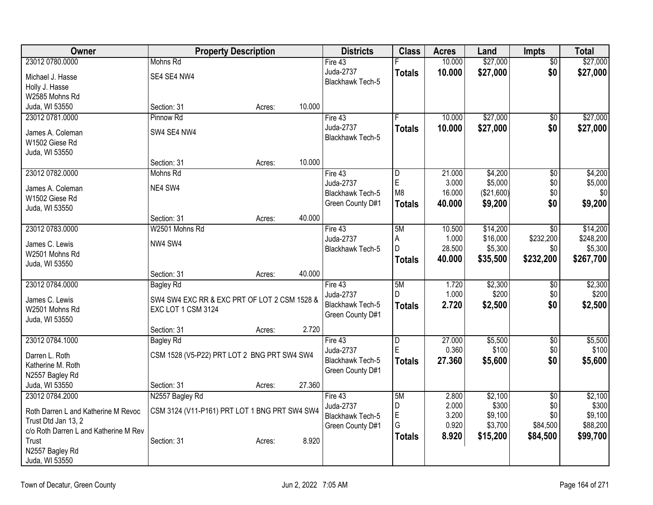| Owner                                 | <b>Property Description</b>                   |        |        | <b>Districts</b>              | <b>Class</b>  | <b>Acres</b>    | Land             | <b>Impts</b>           | <b>Total</b>     |
|---------------------------------------|-----------------------------------------------|--------|--------|-------------------------------|---------------|-----------------|------------------|------------------------|------------------|
| 23012 0780.0000                       | Mohns Rd                                      |        |        | Fire 43                       |               | 10.000          | \$27,000         | $\overline{50}$        | \$27,000         |
| Michael J. Hasse                      | SE4 SE4 NW4                                   |        |        | Juda-2737                     | <b>Totals</b> | 10.000          | \$27,000         | \$0                    | \$27,000         |
| Holly J. Hasse                        |                                               |        |        | <b>Blackhawk Tech-5</b>       |               |                 |                  |                        |                  |
| W2585 Mohns Rd                        |                                               |        |        |                               |               |                 |                  |                        |                  |
| Juda, WI 53550                        | Section: 31                                   | Acres: | 10.000 |                               |               |                 |                  |                        |                  |
| 23012 0781.0000                       | Pinnow Rd                                     |        |        | Fire 43                       |               | 10.000          | \$27,000         | \$0                    | \$27,000         |
| James A. Coleman                      | SW4 SE4 NW4                                   |        |        | Juda-2737                     | <b>Totals</b> | 10.000          | \$27,000         | \$0                    | \$27,000         |
| W1502 Giese Rd                        |                                               |        |        | Blackhawk Tech-5              |               |                 |                  |                        |                  |
| Juda, WI 53550                        |                                               |        |        |                               |               |                 |                  |                        |                  |
|                                       | Section: 31                                   | Acres: | 10.000 |                               |               |                 |                  |                        |                  |
| 23012 0782.0000                       | Mohns Rd                                      |        |        | Fire 43                       | D             | 21.000          | \$4,200          | $\overline{50}$        | \$4,200          |
| James A. Coleman                      | NE4 SW4                                       |        |        | Juda-2737                     | $\mathsf E$   | 3.000           | \$5,000          | \$0                    | \$5,000          |
| W1502 Giese Rd                        |                                               |        |        | <b>Blackhawk Tech-5</b>       | M8            | 16.000          | (\$21,600)       | \$0                    | \$0              |
| Juda, WI 53550                        |                                               |        |        | Green County D#1              | <b>Totals</b> | 40.000          | \$9,200          | \$0                    | \$9,200          |
|                                       | Section: 31                                   | Acres: | 40.000 |                               |               |                 |                  |                        |                  |
| 23012 0783.0000                       | W2501 Mohns Rd                                |        |        | Fire 43                       | 5M            | 10.500          | \$14,200         | \$0                    | \$14,200         |
|                                       |                                               |        |        | Juda-2737                     | Α             | 1.000           | \$16,000         | \$232,200              | \$248,200        |
| James C. Lewis                        | NW4 SW4                                       |        |        | Blackhawk Tech-5              | D             | 28.500          | \$5,300          | \$0                    | \$5,300          |
| W2501 Mohns Rd<br>Juda, WI 53550      |                                               |        |        |                               | <b>Totals</b> | 40.000          | \$35,500         | \$232,200              | \$267,700        |
|                                       | Section: 31                                   | Acres: | 40.000 |                               |               |                 |                  |                        |                  |
| 23012 0784.0000                       | <b>Bagley Rd</b>                              |        |        | Fire 43                       | 5M            | 1.720           | \$2,300          | \$0                    | \$2,300          |
|                                       |                                               |        |        | Juda-2737                     | D.            | 1.000           | \$200            | \$0                    | \$200            |
| James C. Lewis                        | SW4 SW4 EXC RR & EXC PRT OF LOT 2 CSM 1528 &  |        |        | <b>Blackhawk Tech-5</b>       | <b>Totals</b> | 2.720           | \$2,500          | \$0                    | \$2,500          |
| W2501 Mohns Rd                        | EXC LOT 1 CSM 3124                            |        |        | Green County D#1              |               |                 |                  |                        |                  |
| Juda, WI 53550                        |                                               |        | 2.720  |                               |               |                 |                  |                        |                  |
|                                       | Section: 31                                   | Acres: |        |                               |               |                 |                  |                        |                  |
| 23012 0784.1000                       | <b>Bagley Rd</b>                              |        |        | Fire 43                       | D<br>ΙE       | 27.000<br>0.360 | \$5,500<br>\$100 | $\overline{50}$<br>\$0 | \$5,500<br>\$100 |
| Darren L. Roth                        | CSM 1528 (V5-P22) PRT LOT 2 BNG PRT SW4 SW4   |        |        | Juda-2737<br>Blackhawk Tech-5 |               |                 |                  | \$0                    |                  |
| Katherine M. Roth                     |                                               |        |        | Green County D#1              | <b>Totals</b> | 27.360          | \$5,600          |                        | \$5,600          |
| N2557 Bagley Rd                       |                                               |        |        |                               |               |                 |                  |                        |                  |
| Juda, WI 53550                        | Section: 31                                   | Acres: | 27.360 |                               |               |                 |                  |                        |                  |
| 23012 0784.2000                       | N2557 Bagley Rd                               |        |        | Fire 43                       | 5M            | 2.800           | \$2,100          | $\overline{50}$        | \$2,100          |
| Roth Darren L and Katherine M Revoc   | CSM 3124 (V11-P161) PRT LOT 1 BNG PRT SW4 SW4 |        |        | Juda-2737                     | D             | 2.000           | \$300            | \$0                    | \$300            |
| Trust Dtd Jan 13, 2                   |                                               |        |        | <b>Blackhawk Tech-5</b>       | E             | 3.200           | \$9,100          | \$0                    | \$9,100          |
| c/o Roth Darren L and Katherine M Rev |                                               |        |        | Green County D#1              | G             | 0.920           | \$3,700          | \$84,500               | \$88,200         |
| Trust                                 | Section: 31                                   | Acres: | 8.920  |                               | <b>Totals</b> | 8.920           | \$15,200         | \$84,500               | \$99,700         |
| N2557 Bagley Rd                       |                                               |        |        |                               |               |                 |                  |                        |                  |
| Juda, WI 53550                        |                                               |        |        |                               |               |                 |                  |                        |                  |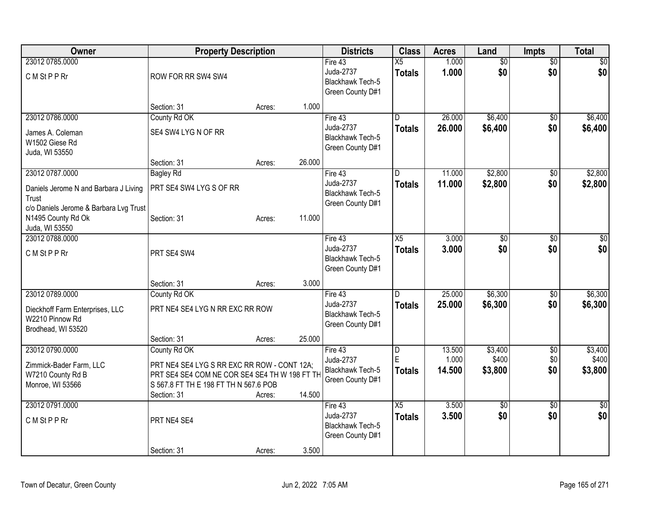| Owner                                                                                                       | <b>Property Description</b>                                                                                                                                          |        |        | <b>Districts</b>                                                    | <b>Class</b>                     | <b>Acres</b>              | Land                        | <b>Impts</b>                  | <b>Total</b>                |
|-------------------------------------------------------------------------------------------------------------|----------------------------------------------------------------------------------------------------------------------------------------------------------------------|--------|--------|---------------------------------------------------------------------|----------------------------------|---------------------------|-----------------------------|-------------------------------|-----------------------------|
| 23012 0785.0000<br>C M St P P Rr                                                                            | ROW FOR RR SW4 SW4                                                                                                                                                   |        |        | Fire 43<br>Juda-2737<br><b>Blackhawk Tech-5</b><br>Green County D#1 | $\overline{X5}$<br><b>Totals</b> | 1.000<br>1.000            | $\overline{50}$<br>\$0      | $\overline{50}$<br>\$0        | $\overline{50}$<br>\$0      |
|                                                                                                             | Section: 31                                                                                                                                                          | Acres: | 1.000  |                                                                     |                                  |                           |                             |                               |                             |
| 23012 0786.0000<br>James A. Coleman<br>W1502 Giese Rd<br>Juda, WI 53550                                     | County Rd OK<br>SE4 SW4 LYG N OF RR                                                                                                                                  |        |        | Fire 43<br>Juda-2737<br><b>Blackhawk Tech-5</b><br>Green County D#1 | D.<br><b>Totals</b>              | 26.000<br>26.000          | \$6,400<br>\$6,400          | $\overline{50}$<br>\$0        | \$6,400<br>\$6,400          |
|                                                                                                             | Section: 31                                                                                                                                                          | Acres: | 26.000 |                                                                     |                                  |                           |                             |                               |                             |
| 23012 0787.0000<br>Daniels Jerome N and Barbara J Living<br>Trust<br>c/o Daniels Jerome & Barbara Lvg Trust | <b>Bagley Rd</b><br>PRT SE4 SW4 LYG S OF RR                                                                                                                          |        |        | Fire 43<br>Juda-2737<br><b>Blackhawk Tech-5</b><br>Green County D#1 | D.<br><b>Totals</b>              | 11.000<br>11.000          | \$2,800<br>\$2,800          | \$0<br>\$0                    | \$2,800<br>\$2,800          |
| N1495 County Rd Ok<br>Juda, WI 53550                                                                        | Section: 31                                                                                                                                                          | Acres: | 11.000 |                                                                     |                                  |                           |                             |                               |                             |
| 23012 0788.0000<br>C M St P P Rr                                                                            | PRT SE4 SW4                                                                                                                                                          |        |        | Fire 43<br>Juda-2737<br><b>Blackhawk Tech-5</b><br>Green County D#1 | X5<br><b>Totals</b>              | 3.000<br>3.000            | $\overline{50}$<br>\$0      | \$0<br>\$0                    | $\sqrt{50}$<br>\$0          |
|                                                                                                             | Section: 31                                                                                                                                                          | Acres: | 3.000  |                                                                     |                                  |                           |                             |                               |                             |
| 23012 0789.0000<br>Dieckhoff Farm Enterprises, LLC<br>W2210 Pinnow Rd<br>Brodhead, WI 53520                 | County Rd OK<br>PRT NE4 SE4 LYG N RR EXC RR ROW                                                                                                                      |        |        | Fire 43<br>Juda-2737<br><b>Blackhawk Tech-5</b><br>Green County D#1 | D.<br><b>Totals</b>              | 25.000<br>25.000          | \$6,300<br>\$6,300          | \$0<br>\$0                    | \$6,300<br>\$6,300          |
|                                                                                                             | Section: 31                                                                                                                                                          | Acres: | 25.000 |                                                                     |                                  |                           |                             |                               |                             |
| 23012 0790.0000<br>Zimmick-Bader Farm, LLC<br>W7210 County Rd B<br>Monroe, WI 53566                         | County Rd OK<br>PRT NE4 SE4 LYG S RR EXC RR ROW - CONT 12A;<br>PRT SE4 SE4 COM NE COR SE4 SE4 TH W 198 FT TH<br>S 567.8 FT TH E 198 FT TH N 567.6 POB<br>Section: 31 | Acres: | 14.500 | Fire 43<br>Juda-2737<br>Blackhawk Tech-5<br>Green County D#1        | D<br>E<br><b>Totals</b>          | 13.500<br>1.000<br>14.500 | \$3,400<br>\$400<br>\$3,800 | $\overline{50}$<br>\$0<br>\$0 | \$3,400<br>\$400<br>\$3,800 |
| 23012 0791.0000<br>C M St P P Rr                                                                            | PRT NE4 SE4                                                                                                                                                          |        |        | Fire 43<br>Juda-2737<br><b>Blackhawk Tech-5</b><br>Green County D#1 | $\overline{X5}$<br><b>Totals</b> | 3.500<br>3.500            | $\overline{30}$<br>\$0      | $\overline{50}$<br>\$0        | $\frac{1}{30}$<br>\$0       |
|                                                                                                             | Section: 31                                                                                                                                                          | Acres: | 3.500  |                                                                     |                                  |                           |                             |                               |                             |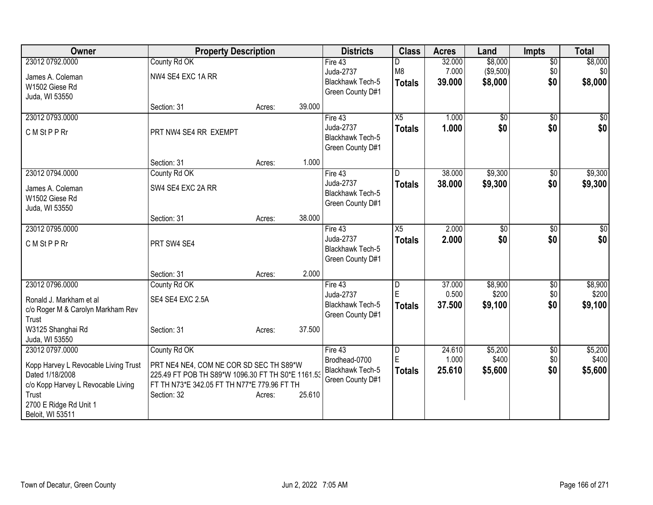| Owner                                                 | <b>Property Description</b>                                                                      |        |        | <b>Districts</b>                            | <b>Class</b>    | <b>Acres</b>    | Land             | <b>Impts</b>    | <b>Total</b> |
|-------------------------------------------------------|--------------------------------------------------------------------------------------------------|--------|--------|---------------------------------------------|-----------------|-----------------|------------------|-----------------|--------------|
| 23012 0792.0000                                       | County Rd OK                                                                                     |        |        | Fire $43$                                   |                 | 32.000          | \$8,000          | $\overline{50}$ | \$8,000      |
| James A. Coleman                                      | NW4 SE4 EXC 1A RR                                                                                |        |        | Juda-2737                                   | M <sub>8</sub>  | 7.000           | ( \$9,500)       | \$0             | \$0          |
| W1502 Giese Rd                                        |                                                                                                  |        |        | Blackhawk Tech-5                            | <b>Totals</b>   | 39.000          | \$8,000          | \$0             | \$8,000      |
| Juda, WI 53550                                        |                                                                                                  |        |        | Green County D#1                            |                 |                 |                  |                 |              |
|                                                       | Section: 31                                                                                      | Acres: | 39.000 |                                             |                 |                 |                  |                 |              |
| 23012 0793.0000                                       |                                                                                                  |        |        | Fire 43                                     | X5              | 1.000           | $\overline{50}$  | $\overline{50}$ | \$0          |
| C M St P P Rr                                         | PRT NW4 SE4 RR EXEMPT                                                                            |        |        | Juda-2737                                   | <b>Totals</b>   | 1.000           | \$0              | \$0             | \$0          |
|                                                       |                                                                                                  |        |        | <b>Blackhawk Tech-5</b><br>Green County D#1 |                 |                 |                  |                 |              |
|                                                       |                                                                                                  |        |        |                                             |                 |                 |                  |                 |              |
|                                                       | Section: 31                                                                                      | Acres: | 1.000  |                                             |                 |                 |                  |                 |              |
| 23012 0794.0000                                       | County Rd OK                                                                                     |        |        | Fire 43                                     |                 | 38.000          | \$9,300          | \$0             | \$9,300      |
| James A. Coleman                                      | SW4 SE4 EXC 2A RR                                                                                |        |        | Juda-2737<br><b>Blackhawk Tech-5</b>        | <b>Totals</b>   | 38.000          | \$9,300          | \$0             | \$9,300      |
| W1502 Giese Rd                                        |                                                                                                  |        |        | Green County D#1                            |                 |                 |                  |                 |              |
| Juda, WI 53550                                        |                                                                                                  |        |        |                                             |                 |                 |                  |                 |              |
|                                                       | Section: 31                                                                                      | Acres: | 38.000 |                                             |                 |                 |                  |                 |              |
| 23012 0795.0000                                       |                                                                                                  |        |        | Fire 43<br>Juda-2737                        | $\overline{X5}$ | 2.000           | \$0              | $\sqrt[6]{}$    | $\sqrt{50}$  |
| C M St P P Rr                                         | PRT SW4 SE4                                                                                      |        |        | Blackhawk Tech-5                            | <b>Totals</b>   | 2.000           | \$0              | \$0             | \$0          |
|                                                       |                                                                                                  |        |        | Green County D#1                            |                 |                 |                  |                 |              |
|                                                       |                                                                                                  |        |        |                                             |                 |                 |                  |                 |              |
|                                                       | Section: 31                                                                                      | Acres: | 2.000  |                                             |                 |                 |                  |                 | \$8,900      |
| 23012 0796.0000                                       | County Rd OK                                                                                     |        |        | Fire 43<br>Juda-2737                        | D<br>ΙE         | 37.000<br>0.500 | \$8,900<br>\$200 | \$0<br>\$0      | \$200        |
| Ronald J. Markham et al                               | SE4 SE4 EXC 2.5A                                                                                 |        |        | <b>Blackhawk Tech-5</b>                     | Totals          | 37.500          | \$9,100          | \$0             | \$9,100      |
| c/o Roger M & Carolyn Markham Rev                     |                                                                                                  |        |        | Green County D#1                            |                 |                 |                  |                 |              |
| Trust                                                 |                                                                                                  |        |        |                                             |                 |                 |                  |                 |              |
| W3125 Shanghai Rd<br>Juda, WI 53550                   | Section: 31                                                                                      | Acres: | 37.500 |                                             |                 |                 |                  |                 |              |
| 23012 0797.0000                                       | County Rd OK                                                                                     |        |        | Fire 43                                     | D               | 24.610          | \$5,200          | \$0             | \$5,200      |
|                                                       |                                                                                                  |        |        | Brodhead-0700                               | ΙE              | 1.000           | \$400            | \$0             | \$400        |
| Kopp Harvey L Revocable Living Trust                  | PRT NE4 NE4, COM NE COR SD SEC TH S89*W                                                          |        |        | Blackhawk Tech-5                            | <b>Totals</b>   | 25.610          | \$5,600          | \$0             | \$5,600      |
| Dated 1/18/2008<br>c/o Kopp Harvey L Revocable Living | 225.49 FT POB TH S89*W 1096.30 FT TH S0*E 1161.53<br>FT TH N73*E 342.05 FT TH N77*E 779.96 FT TH |        |        | Green County D#1                            |                 |                 |                  |                 |              |
| Trust                                                 | Section: 32                                                                                      | Acres: | 25.610 |                                             |                 |                 |                  |                 |              |
| 2700 E Ridge Rd Unit 1                                |                                                                                                  |        |        |                                             |                 |                 |                  |                 |              |
| Beloit, WI 53511                                      |                                                                                                  |        |        |                                             |                 |                 |                  |                 |              |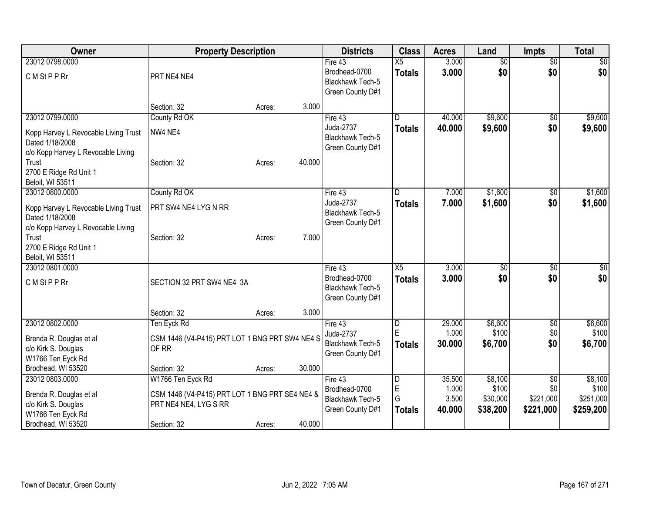| Owner                                                                                         | <b>Property Description</b>                                             |                  | <b>Districts</b>                                                 | <b>Class</b>                     | <b>Acres</b>             | Land                          | <b>Impts</b>                  | <b>Total</b>                    |
|-----------------------------------------------------------------------------------------------|-------------------------------------------------------------------------|------------------|------------------------------------------------------------------|----------------------------------|--------------------------|-------------------------------|-------------------------------|---------------------------------|
| 23012 0798,0000<br>C M St P P Rr                                                              | PRT NE4 NE4                                                             |                  | Fire 43<br>Brodhead-0700<br>Blackhawk Tech-5<br>Green County D#1 | $\overline{X5}$<br><b>Totals</b> | 3.000<br>3.000           | $\overline{50}$<br>\$0        | $\overline{50}$<br>\$0        | $\sqrt{50}$<br>\$0              |
|                                                                                               | Section: 32                                                             | 3.000<br>Acres:  |                                                                  |                                  |                          |                               |                               |                                 |
| 23012 0799.0000                                                                               | County Rd OK                                                            |                  | Fire 43                                                          | D                                | 40.000                   | \$9,600                       | $\overline{50}$               | \$9,600                         |
| Kopp Harvey L Revocable Living Trust<br>Dated 1/18/2008                                       | NW4 NE4                                                                 |                  | Juda-2737<br>Blackhawk Tech-5<br>Green County D#1                | <b>Totals</b>                    | 40.000                   | \$9,600                       | \$0                           | \$9,600                         |
| c/o Kopp Harvey L Revocable Living                                                            |                                                                         |                  |                                                                  |                                  |                          |                               |                               |                                 |
| Trust<br>2700 E Ridge Rd Unit 1<br>Beloit, WI 53511                                           | Section: 32                                                             | 40.000<br>Acres: |                                                                  |                                  |                          |                               |                               |                                 |
| 23012 0800.0000                                                                               | County Rd OK                                                            |                  | Fire 43                                                          |                                  | 7.000                    | \$1,600                       | \$0                           | \$1,600                         |
| Kopp Harvey L Revocable Living Trust<br>Dated 1/18/2008<br>c/o Kopp Harvey L Revocable Living | PRT SW4 NE4 LYG N RR                                                    |                  | Juda-2737<br>Blackhawk Tech-5<br>Green County D#1                | <b>Totals</b>                    | 7.000                    | \$1,600                       | \$0                           | \$1,600                         |
| Trust<br>2700 E Ridge Rd Unit 1<br>Beloit, WI 53511                                           | Section: 32                                                             | 7.000<br>Acres:  |                                                                  |                                  |                          |                               |                               |                                 |
| 23012 0801.0000                                                                               |                                                                         |                  | Fire 43                                                          | X5                               | 3.000                    | \$0                           | \$0                           | $\sqrt{50}$                     |
| CM StPP Rr                                                                                    | SECTION 32 PRT SW4 NE4 3A                                               |                  | Brodhead-0700<br>Blackhawk Tech-5<br>Green County D#1            | <b>Totals</b>                    | 3.000                    | \$0                           | \$0                           | \$0                             |
|                                                                                               | Section: 32                                                             | 3.000<br>Acres:  |                                                                  |                                  |                          |                               |                               |                                 |
| 23012 0802.0000                                                                               | Ten Eyck Rd                                                             |                  | Fire 43                                                          | D                                | 29.000                   | \$6,600                       | \$0                           | \$6,600                         |
| Brenda R. Douglas et al<br>c/o Kirk S. Douglas<br>W1766 Ten Eyck Rd                           | CSM 1446 (V4-P415) PRT LOT 1 BNG PRT SW4 NE4 S<br>OF RR                 |                  | Juda-2737<br>Blackhawk Tech-5<br>Green County D#1                | E<br><b>Totals</b>               | 1.000<br>30.000          | \$100<br>\$6,700              | \$0<br>\$0                    | \$100<br>\$6,700                |
| Brodhead, WI 53520                                                                            | Section: 32                                                             | 30.000<br>Acres: |                                                                  |                                  |                          |                               |                               |                                 |
| 23012 0803.0000                                                                               | W1766 Ten Eyck Rd                                                       |                  | Fire 43                                                          | D                                | 35.500                   | \$8,100                       | \$0                           | \$8,100                         |
| Brenda R. Douglas et al<br>c/o Kirk S. Douglas<br>W1766 Ten Eyck Rd                           | CSM 1446 (V4-P415) PRT LOT 1 BNG PRT SE4 NE4 &<br>PRT NE4 NE4, LYG S RR |                  | Brodhead-0700<br>Blackhawk Tech-5<br>Green County D#1            | E<br>G<br><b>Totals</b>          | 1.000<br>3.500<br>40.000 | \$100<br>\$30,000<br>\$38,200 | \$0<br>\$221,000<br>\$221,000 | \$100<br>\$251,000<br>\$259,200 |
| Brodhead, WI 53520                                                                            | Section: 32                                                             | 40.000<br>Acres: |                                                                  |                                  |                          |                               |                               |                                 |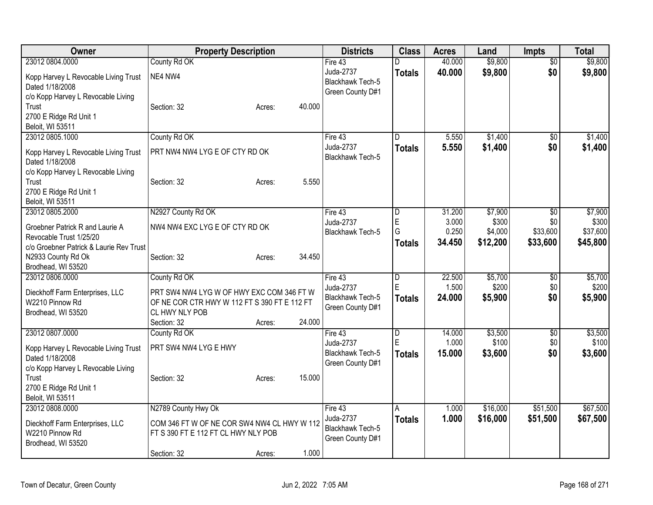| \$9,800<br>23012 0804.0000<br>County Rd OK<br>40.000<br>Fire 43<br>$\overline{30}$<br>D<br>Juda-2737<br>\$0<br>40.000<br>\$9,800<br>\$9,800<br><b>Totals</b><br>NE4 NW4<br>Kopp Harvey L Revocable Living Trust<br><b>Blackhawk Tech-5</b><br>Dated 1/18/2008<br>Green County D#1<br>c/o Kopp Harvey L Revocable Living<br>40.000<br>Trust<br>Section: 32<br>Acres:<br>2700 E Ridge Rd Unit 1<br>Beloit, WI 53511<br>County Rd OK<br>23012 0805.1000<br>5.550<br>\$1,400<br>\$1,400<br>Fire $43$<br>D<br>$\overline{50}$<br>Juda-2737<br>5.550<br>\$1,400<br>\$0<br>\$1,400<br><b>Totals</b><br>PRT NW4 NW4 LYG E OF CTY RD OK<br>Kopp Harvey L Revocable Living Trust<br><b>Blackhawk Tech-5</b><br>Dated 1/18/2008<br>c/o Kopp Harvey L Revocable Living | Owner | <b>Property Description</b> | <b>Districts</b> | <b>Class</b> | <b>Acres</b> | Land | <b>Impts</b> | <b>Total</b> |
|------------------------------------------------------------------------------------------------------------------------------------------------------------------------------------------------------------------------------------------------------------------------------------------------------------------------------------------------------------------------------------------------------------------------------------------------------------------------------------------------------------------------------------------------------------------------------------------------------------------------------------------------------------------------------------------------------------------------------------------------------------|-------|-----------------------------|------------------|--------------|--------------|------|--------------|--------------|
|                                                                                                                                                                                                                                                                                                                                                                                                                                                                                                                                                                                                                                                                                                                                                            |       |                             |                  |              |              |      |              | \$9,800      |
|                                                                                                                                                                                                                                                                                                                                                                                                                                                                                                                                                                                                                                                                                                                                                            |       |                             |                  |              |              |      |              |              |
|                                                                                                                                                                                                                                                                                                                                                                                                                                                                                                                                                                                                                                                                                                                                                            |       |                             |                  |              |              |      |              |              |
|                                                                                                                                                                                                                                                                                                                                                                                                                                                                                                                                                                                                                                                                                                                                                            |       |                             |                  |              |              |      |              |              |
|                                                                                                                                                                                                                                                                                                                                                                                                                                                                                                                                                                                                                                                                                                                                                            |       |                             |                  |              |              |      |              |              |
|                                                                                                                                                                                                                                                                                                                                                                                                                                                                                                                                                                                                                                                                                                                                                            |       |                             |                  |              |              |      |              |              |
|                                                                                                                                                                                                                                                                                                                                                                                                                                                                                                                                                                                                                                                                                                                                                            |       |                             |                  |              |              |      |              |              |
|                                                                                                                                                                                                                                                                                                                                                                                                                                                                                                                                                                                                                                                                                                                                                            |       |                             |                  |              |              |      |              |              |
|                                                                                                                                                                                                                                                                                                                                                                                                                                                                                                                                                                                                                                                                                                                                                            |       |                             |                  |              |              |      |              |              |
|                                                                                                                                                                                                                                                                                                                                                                                                                                                                                                                                                                                                                                                                                                                                                            |       |                             |                  |              |              |      |              |              |
|                                                                                                                                                                                                                                                                                                                                                                                                                                                                                                                                                                                                                                                                                                                                                            |       |                             |                  |              |              |      |              |              |
| 5.550<br>Trust<br>Section: 32<br>Acres:                                                                                                                                                                                                                                                                                                                                                                                                                                                                                                                                                                                                                                                                                                                    |       |                             |                  |              |              |      |              |              |
| 2700 E Ridge Rd Unit 1<br>Beloit, WI 53511                                                                                                                                                                                                                                                                                                                                                                                                                                                                                                                                                                                                                                                                                                                 |       |                             |                  |              |              |      |              |              |
| 23012 0805.2000<br>N2927 County Rd OK<br>31.200<br>\$7,900<br>Fire 43<br>D<br>$\overline{50}$                                                                                                                                                                                                                                                                                                                                                                                                                                                                                                                                                                                                                                                              |       |                             |                  |              |              |      |              | \$7,900      |
| $\mathsf E$<br>Juda-2737<br>3.000<br>\$300<br>\$0                                                                                                                                                                                                                                                                                                                                                                                                                                                                                                                                                                                                                                                                                                          |       |                             |                  |              |              |      |              | \$300        |
| NW4 NW4 EXC LYG E OF CTY RD OK<br>Groebner Patrick R and Laurie A<br>G<br>0.250<br>\$33,600<br>\$4,000<br>Blackhawk Tech-5                                                                                                                                                                                                                                                                                                                                                                                                                                                                                                                                                                                                                                 |       |                             |                  |              |              |      |              | \$37,600     |
| Revocable Trust 1/25/20<br>34.450<br>\$12,200<br>\$33,600<br><b>Totals</b>                                                                                                                                                                                                                                                                                                                                                                                                                                                                                                                                                                                                                                                                                 |       |                             |                  |              |              |      |              | \$45,800     |
| c/o Groebner Patrick & Laurie Rev Trust<br>34.450                                                                                                                                                                                                                                                                                                                                                                                                                                                                                                                                                                                                                                                                                                          |       |                             |                  |              |              |      |              |              |
| N2933 County Rd Ok<br>Section: 32<br>Acres:<br>Brodhead, WI 53520                                                                                                                                                                                                                                                                                                                                                                                                                                                                                                                                                                                                                                                                                          |       |                             |                  |              |              |      |              |              |
| County Rd OK<br>23012 0806.0000<br>22.500<br>\$5,700<br>$\overline{D}$<br>\$0<br>Fire 43                                                                                                                                                                                                                                                                                                                                                                                                                                                                                                                                                                                                                                                                   |       |                             |                  |              |              |      |              | \$5,700      |
| E<br>1.500<br>\$200<br>\$0<br>Juda-2737                                                                                                                                                                                                                                                                                                                                                                                                                                                                                                                                                                                                                                                                                                                    |       |                             |                  |              |              |      |              | \$200        |
| PRT SW4 NW4 LYG W OF HWY EXC COM 346 FT W<br>Dieckhoff Farm Enterprises, LLC<br>24.000<br><b>Blackhawk Tech-5</b><br>Totals<br>\$5,900<br>\$0                                                                                                                                                                                                                                                                                                                                                                                                                                                                                                                                                                                                              |       |                             |                  |              |              |      |              | \$5,900      |
| W2210 Pinnow Rd<br>OF NE COR CTR HWY W 112 FT S 390 FT E 112 FT<br>Green County D#1<br>CL HWY NLY POB                                                                                                                                                                                                                                                                                                                                                                                                                                                                                                                                                                                                                                                      |       |                             |                  |              |              |      |              |              |
| Brodhead, WI 53520<br>24.000<br>Section: 32<br>Acres:                                                                                                                                                                                                                                                                                                                                                                                                                                                                                                                                                                                                                                                                                                      |       |                             |                  |              |              |      |              |              |
| 23012 0807.0000<br>\$3,500<br>County Rd OK<br>$\overline{D}$<br>14.000<br>\$0<br>Fire 43                                                                                                                                                                                                                                                                                                                                                                                                                                                                                                                                                                                                                                                                   |       |                             |                  |              |              |      |              | \$3,500      |
| E<br>\$100<br>1.000<br>\$0<br>Juda-2737                                                                                                                                                                                                                                                                                                                                                                                                                                                                                                                                                                                                                                                                                                                    |       |                             |                  |              |              |      |              | \$100        |
| PRT SW4 NW4 LYG E HWY<br>Kopp Harvey L Revocable Living Trust<br>Blackhawk Tech-5<br>15.000<br>\$3,600<br>\$0<br><b>Totals</b>                                                                                                                                                                                                                                                                                                                                                                                                                                                                                                                                                                                                                             |       |                             |                  |              |              |      |              | \$3,600      |
| Dated 1/18/2008<br>Green County D#1                                                                                                                                                                                                                                                                                                                                                                                                                                                                                                                                                                                                                                                                                                                        |       |                             |                  |              |              |      |              |              |
| c/o Kopp Harvey L Revocable Living<br>15.000<br>Section: 32<br>Trust<br>Acres:                                                                                                                                                                                                                                                                                                                                                                                                                                                                                                                                                                                                                                                                             |       |                             |                  |              |              |      |              |              |
| 2700 E Ridge Rd Unit 1                                                                                                                                                                                                                                                                                                                                                                                                                                                                                                                                                                                                                                                                                                                                     |       |                             |                  |              |              |      |              |              |
| Beloit, WI 53511                                                                                                                                                                                                                                                                                                                                                                                                                                                                                                                                                                                                                                                                                                                                           |       |                             |                  |              |              |      |              |              |
| N2789 County Hwy Ok<br>\$51,500<br>23012 0808.0000<br>1.000<br>\$16,000<br>Fire 43<br>A                                                                                                                                                                                                                                                                                                                                                                                                                                                                                                                                                                                                                                                                    |       |                             |                  |              |              |      |              | \$67,500     |
| Juda-2737<br>1.000<br>\$16,000<br>\$51,500<br><b>Totals</b>                                                                                                                                                                                                                                                                                                                                                                                                                                                                                                                                                                                                                                                                                                |       |                             |                  |              |              |      |              | \$67,500     |
| COM 346 FT W OF NE COR SW4 NW4 CL HWY W 112<br>Dieckhoff Farm Enterprises, LLC<br>Blackhawk Tech-5<br>W2210 Pinnow Rd<br>FT S 390 FT E 112 FT CL HWY NLY POB                                                                                                                                                                                                                                                                                                                                                                                                                                                                                                                                                                                               |       |                             |                  |              |              |      |              |              |
| Green County D#1<br>Brodhead, WI 53520                                                                                                                                                                                                                                                                                                                                                                                                                                                                                                                                                                                                                                                                                                                     |       |                             |                  |              |              |      |              |              |
| 1.000<br>Section: 32<br>Acres:                                                                                                                                                                                                                                                                                                                                                                                                                                                                                                                                                                                                                                                                                                                             |       |                             |                  |              |              |      |              |              |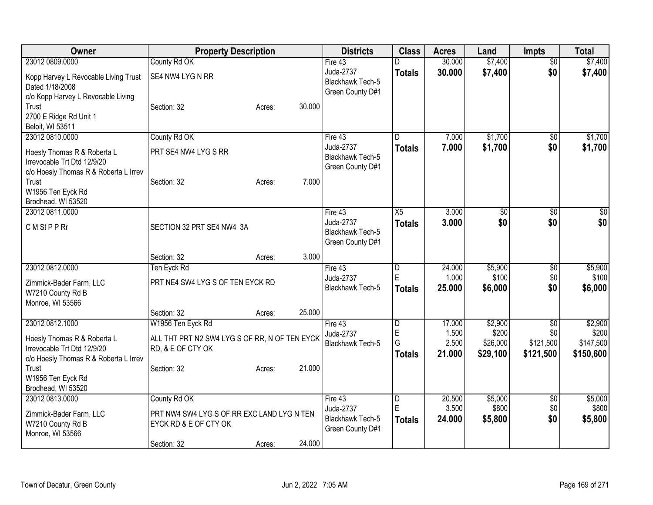| Owner                                                                                                                                                                      | <b>Property Description</b>                                                                            |        |        | <b>Districts</b>                                                      | <b>Class</b>                            | <b>Acres</b>                       | Land                                     | <b>Impts</b>                         | <b>Total</b>                               |
|----------------------------------------------------------------------------------------------------------------------------------------------------------------------------|--------------------------------------------------------------------------------------------------------|--------|--------|-----------------------------------------------------------------------|-----------------------------------------|------------------------------------|------------------------------------------|--------------------------------------|--------------------------------------------|
| 23012 0809.0000<br>Kopp Harvey L Revocable Living Trust<br>Dated 1/18/2008<br>c/o Kopp Harvey L Revocable Living                                                           | County Rd OK<br>SE4 NW4 LYG N RR                                                                       |        |        | Fire 43<br>Juda-2737<br>Blackhawk Tech-5<br>Green County D#1          | D<br><b>Totals</b>                      | 30.000<br>30.000                   | \$7,400<br>\$7,400                       | $\overline{50}$<br>\$0               | \$7,400<br>\$7,400                         |
| Trust<br>2700 E Ridge Rd Unit 1<br>Beloit, WI 53511                                                                                                                        | Section: 32                                                                                            | Acres: | 30.000 |                                                                       |                                         |                                    |                                          |                                      |                                            |
| 23012 0810.0000<br>Hoesly Thomas R & Roberta L<br>Irrevocable Trt Dtd 12/9/20<br>c/o Hoesly Thomas R & Roberta L Irrev<br>Trust<br>W1956 Ten Eyck Rd<br>Brodhead, WI 53520 | County Rd OK<br>PRT SE4 NW4 LYG S RR<br>Section: 32                                                    | Acres: | 7.000  | Fire 43<br>Juda-2737<br><b>Blackhawk Tech-5</b><br>Green County D#1   | D<br><b>Totals</b>                      | 7.000<br>7.000                     | \$1,700<br>\$1,700                       | \$0<br>\$0                           | \$1,700<br>\$1,700                         |
| 23012 0811.0000<br>C M St P P Rr                                                                                                                                           | SECTION 32 PRT SE4 NW4 3A                                                                              |        |        | Fire $43$<br>Juda-2737<br><b>Blackhawk Tech-5</b><br>Green County D#1 | X5<br><b>Totals</b>                     | 3.000<br>3.000                     | $\overline{50}$<br>\$0                   | $\overline{50}$<br>\$0               | $\sqrt{50}$<br>\$0                         |
|                                                                                                                                                                            | Section: 32                                                                                            | Acres: | 3.000  |                                                                       |                                         |                                    |                                          |                                      |                                            |
| 23012 0812.0000<br>Zimmick-Bader Farm, LLC<br>W7210 County Rd B<br>Monroe, WI 53566                                                                                        | Ten Eyck Rd<br>PRT NE4 SW4 LYG S OF TEN EYCK RD                                                        |        |        | Fire 43<br>Juda-2737<br>Blackhawk Tech-5                              | $\overline{\mathsf{D}}$<br>ΙE<br>Totals | 24.000<br>1.000<br>25.000          | \$5,900<br>\$100<br>\$6,000              | \$0<br>\$0<br>\$0                    | \$5,900<br>\$100<br>\$6,000                |
|                                                                                                                                                                            | Section: 32                                                                                            | Acres: | 25.000 |                                                                       |                                         |                                    |                                          |                                      |                                            |
| 23012 0812.1000<br>Hoesly Thomas R & Roberta L<br>Irrevocable Trt Dtd 12/9/20<br>c/o Hoesly Thomas R & Roberta L Irrev<br>Trust                                            | W1956 Ten Eyck Rd<br>ALL THT PRT N2 SW4 LYG S OF RR, N OF TEN EYCK<br>RD, & E OF CTY OK<br>Section: 32 | Acres: | 21.000 | Fire 43<br>Juda-2737<br><b>Blackhawk Tech-5</b>                       | D<br>$\mathsf E$<br>G<br>Totals         | 17.000<br>1.500<br>2.500<br>21.000 | \$2,900<br>\$200<br>\$26,000<br>\$29,100 | \$0<br>\$0<br>\$121,500<br>\$121,500 | \$2,900<br>\$200<br>\$147,500<br>\$150,600 |
| W1956 Ten Eyck Rd<br>Brodhead, WI 53520<br>23012 0813.0000                                                                                                                 | County Rd OK                                                                                           |        |        | Fire 43                                                               |                                         | 20.500                             | \$5,000                                  |                                      | \$5,000                                    |
| Zimmick-Bader Farm, LLC<br>W7210 County Rd B<br>Monroe, WI 53566                                                                                                           | PRT NW4 SW4 LYG S OF RR EXC LAND LYG N TEN<br>EYCK RD & E OF CTY OK                                    |        |        | Juda-2737<br><b>Blackhawk Tech-5</b><br>Green County D#1              | D<br>ΙE<br><b>Totals</b>                | 3.500<br>24.000                    | \$800<br>\$5,800                         | \$0<br>\$0<br>\$0                    | \$800<br>\$5,800                           |
|                                                                                                                                                                            | Section: 32                                                                                            | Acres: | 24.000 |                                                                       |                                         |                                    |                                          |                                      |                                            |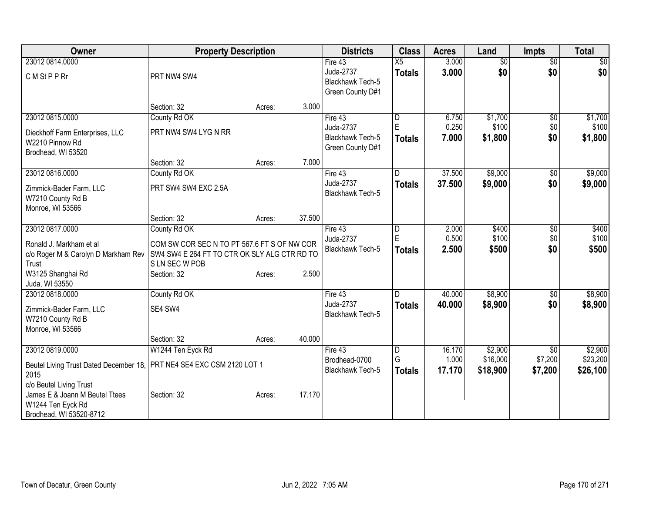| Owner                                                                                                                                                                                                         | <b>Property Description</b>                                                                                                                  |        |        | <b>Districts</b>                                                      | <b>Class</b>                         | <b>Acres</b>              | Land                            | <b>Impts</b>                      | <b>Total</b>                    |
|---------------------------------------------------------------------------------------------------------------------------------------------------------------------------------------------------------------|----------------------------------------------------------------------------------------------------------------------------------------------|--------|--------|-----------------------------------------------------------------------|--------------------------------------|---------------------------|---------------------------------|-----------------------------------|---------------------------------|
| 23012 0814.0000<br>C M St P P Rr                                                                                                                                                                              | PRT NW4 SW4                                                                                                                                  |        |        | Fire $43$<br>Juda-2737<br><b>Blackhawk Tech-5</b><br>Green County D#1 | $\overline{X5}$<br><b>Totals</b>     | 3.000<br>3.000            | $\overline{50}$<br>\$0          | $\overline{50}$<br>\$0            | $\sqrt{50}$<br>\$0              |
|                                                                                                                                                                                                               | Section: 32                                                                                                                                  | Acres: | 3.000  |                                                                       |                                      |                           |                                 |                                   |                                 |
| 23012 0815.0000<br>Dieckhoff Farm Enterprises, LLC<br>W2210 Pinnow Rd<br>Brodhead, WI 53520                                                                                                                   | County Rd OK<br>PRT NW4 SW4 LYG N RR                                                                                                         |        |        | Fire 43<br>Juda-2737<br>Blackhawk Tech-5<br>Green County D#1          | D<br>E<br><b>Totals</b>              | 6.750<br>0.250<br>7.000   | \$1,700<br>\$100<br>\$1,800     | $\overline{50}$<br>\$0<br>\$0     | \$1,700<br>\$100<br>\$1,800     |
|                                                                                                                                                                                                               | Section: 32                                                                                                                                  | Acres: | 7.000  |                                                                       |                                      |                           |                                 |                                   |                                 |
| 23012 0816.0000<br>Zimmick-Bader Farm, LLC<br>W7210 County Rd B<br>Monroe, WI 53566                                                                                                                           | County Rd OK<br>PRT SW4 SW4 EXC 2.5A                                                                                                         |        |        | Fire 43<br>Juda-2737<br>Blackhawk Tech-5                              | D<br><b>Totals</b>                   | 37.500<br>37.500          | \$9,000<br>\$9,000              | $\sqrt{6}$<br>\$0                 | \$9,000<br>\$9,000              |
|                                                                                                                                                                                                               | Section: 32                                                                                                                                  | Acres: | 37.500 |                                                                       |                                      |                           |                                 |                                   |                                 |
| 23012 0817.0000<br>Ronald J. Markham et al<br>c/o Roger M & Carolyn D Markham Rev<br>Trust<br>W3125 Shanghai Rd                                                                                               | County Rd OK<br>COM SW COR SEC N TO PT 567.6 FT S OF NW COR<br>SW4 SW4 E 264 FT TO CTR OK SLY ALG CTR RD TO<br>S LN SEC W POB<br>Section: 32 | Acres: | 2.500  | Fire 43<br>Juda-2737<br><b>Blackhawk Tech-5</b>                       | D<br>E<br><b>Totals</b>              | 2.000<br>0.500<br>2.500   | \$400<br>\$100<br>\$500         | $\overline{60}$<br>\$0<br>\$0     | \$400<br>\$100<br>\$500         |
| Juda, WI 53550                                                                                                                                                                                                |                                                                                                                                              |        |        |                                                                       |                                      |                           |                                 |                                   |                                 |
| 23012 0818.0000<br>Zimmick-Bader Farm, LLC<br>W7210 County Rd B<br>Monroe, WI 53566                                                                                                                           | County Rd OK<br>SE4 SW4                                                                                                                      |        |        | Fire 43<br>Juda-2737<br><b>Blackhawk Tech-5</b>                       | <b>Totals</b>                        | 40.000<br>40.000          | \$8,900<br>\$8,900              | \$0<br>\$0                        | \$8,900<br>\$8,900              |
|                                                                                                                                                                                                               | Section: 32                                                                                                                                  | Acres: | 40.000 |                                                                       |                                      |                           |                                 |                                   |                                 |
| 23012 0819.0000<br>Beutel Living Trust Dated December 18, PRT NE4 SE4 EXC CSM 2120 LOT 1<br>2015<br>c/o Beutel Living Trust<br>James E & Joann M Beutel Ttees<br>W1244 Ten Eyck Rd<br>Brodhead, WI 53520-8712 | W1244 Ten Eyck Rd<br>Section: 32                                                                                                             | Acres: | 17.170 | Fire 43<br>Brodhead-0700<br>Blackhawk Tech-5                          | $\overline{D}$<br>G<br><b>Totals</b> | 16.170<br>1.000<br>17.170 | \$2,900<br>\$16,000<br>\$18,900 | $\sqrt{$0}$<br>\$7,200<br>\$7,200 | \$2,900<br>\$23,200<br>\$26,100 |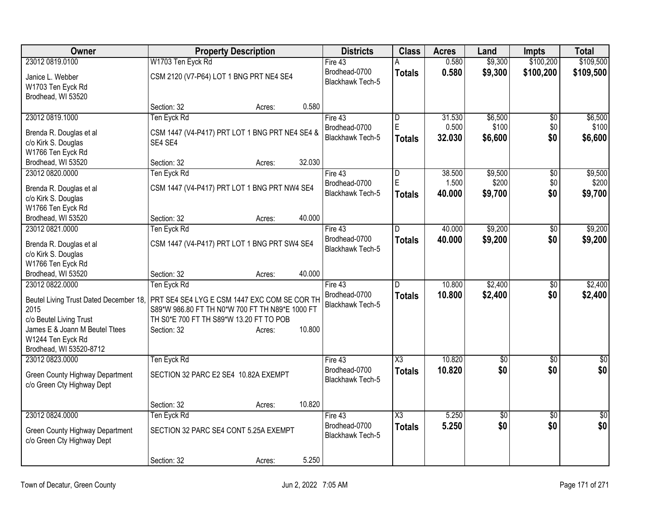| <b>Owner</b>                            | <b>Property Description</b>                     |                  | <b>Districts</b>        | <b>Class</b>           | <b>Acres</b> | Land            | <b>Impts</b>    | <b>Total</b>    |
|-----------------------------------------|-------------------------------------------------|------------------|-------------------------|------------------------|--------------|-----------------|-----------------|-----------------|
| 23012 0819.0100                         | W1703 Ten Eyck Rd                               |                  | Fire 43                 | А                      | 0.580        | \$9,300         | \$100,200       | \$109,500       |
| Janice L. Webber                        | CSM 2120 (V7-P64) LOT 1 BNG PRT NE4 SE4         |                  | Brodhead-0700           | <b>Totals</b>          | 0.580        | \$9,300         | \$100,200       | \$109,500       |
| W1703 Ten Eyck Rd                       |                                                 |                  | Blackhawk Tech-5        |                        |              |                 |                 |                 |
| Brodhead, WI 53520                      |                                                 |                  |                         |                        |              |                 |                 |                 |
|                                         | Section: 32                                     | Acres:           | 0.580                   |                        |              |                 |                 |                 |
| 23012 0819.1000                         | Ten Eyck Rd                                     |                  | Fire 43                 | D                      | 31.530       | \$6,500         | $\overline{60}$ | \$6,500         |
| Brenda R. Douglas et al                 | CSM 1447 (V4-P417) PRT LOT 1 BNG PRT NE4 SE4 &  |                  | Brodhead-0700           | $\overline{E}$         | 0.500        | \$100           | \$0             | \$100           |
| c/o Kirk S. Douglas                     | SE4 SE4                                         |                  | <b>Blackhawk Tech-5</b> | Totals                 | 32.030       | \$6,600         | \$0             | \$6,600         |
| W1766 Ten Eyck Rd                       |                                                 |                  |                         |                        |              |                 |                 |                 |
| Brodhead, WI 53520                      | Section: 32                                     | 32.030<br>Acres: |                         |                        |              |                 |                 |                 |
| 23012 0820.0000                         | Ten Eyck Rd                                     |                  | Fire 43                 | D                      | 38.500       | \$9,500         | $\overline{60}$ | \$9,500         |
|                                         |                                                 |                  | Brodhead-0700           | E                      | 1.500        | \$200           | \$0             | \$200           |
| Brenda R. Douglas et al                 | CSM 1447 (V4-P417) PRT LOT 1 BNG PRT NW4 SE4    |                  | <b>Blackhawk Tech-5</b> | Totals                 | 40.000       | \$9,700         | \$0             | \$9,700         |
| c/o Kirk S. Douglas                     |                                                 |                  |                         |                        |              |                 |                 |                 |
| W1766 Ten Eyck Rd<br>Brodhead, WI 53520 | Section: 32                                     | 40.000           |                         |                        |              |                 |                 |                 |
| 23012 0821.0000                         | Ten Eyck Rd                                     | Acres:           | Fire 43                 | D                      | 40.000       | \$9,200         | \$0             | \$9,200         |
|                                         |                                                 |                  | Brodhead-0700           |                        | 40.000       | \$9,200         | \$0             |                 |
| Brenda R. Douglas et al                 | CSM 1447 (V4-P417) PRT LOT 1 BNG PRT SW4 SE4    |                  | Blackhawk Tech-5        | Totals                 |              |                 |                 | \$9,200         |
| c/o Kirk S. Douglas                     |                                                 |                  |                         |                        |              |                 |                 |                 |
| W1766 Ten Eyck Rd                       |                                                 |                  |                         |                        |              |                 |                 |                 |
| Brodhead, WI 53520                      | Section: 32                                     | 40.000<br>Acres: |                         |                        |              |                 |                 |                 |
| 23012 0822.0000                         | Ten Eyck Rd                                     |                  | Fire 43                 | $\overline{D}$         | 10.800       | \$2,400         | \$0             | \$2,400         |
| Beutel Living Trust Dated December 18,  | PRT SE4 SE4 LYG E CSM 1447 EXC COM SE COR TH    |                  | Brodhead-0700           | Totals                 | 10.800       | \$2,400         | \$0             | \$2,400         |
| 2015                                    | S89*W 986.80 FT TH N0*W 700 FT TH N89*E 1000 FT |                  | <b>Blackhawk Tech-5</b> |                        |              |                 |                 |                 |
| c/o Beutel Living Trust                 | TH S0*E 700 FT TH S89*W 13.20 FT TO POB         |                  |                         |                        |              |                 |                 |                 |
| James E & Joann M Beutel Ttees          | Section: 32                                     | 10.800<br>Acres: |                         |                        |              |                 |                 |                 |
| W1244 Ten Eyck Rd                       |                                                 |                  |                         |                        |              |                 |                 |                 |
| Brodhead, WI 53520-8712                 |                                                 |                  |                         |                        |              |                 |                 |                 |
| 23012 0823.0000                         | Ten Eyck Rd                                     |                  | Fire 43                 | $\overline{\text{X3}}$ | 10.820       | $\overline{50}$ | $\sqrt{6}$      | $\overline{30}$ |
| Green County Highway Department         | SECTION 32 PARC E2 SE4 10.82A EXEMPT            |                  | Brodhead-0700           | <b>Totals</b>          | 10.820       | \$0             | \$0             | \$0             |
| c/o Green Cty Highway Dept              |                                                 |                  | <b>Blackhawk Tech-5</b> |                        |              |                 |                 |                 |
|                                         |                                                 |                  |                         |                        |              |                 |                 |                 |
|                                         | Section: 32                                     | 10.820<br>Acres: |                         |                        |              |                 |                 |                 |
| 23012 0824.0000                         | Ten Eyck Rd                                     |                  | Fire 43                 | X3                     | 5.250        | $\overline{50}$ | $\overline{30}$ | $\sqrt{50}$     |
| Green County Highway Department         | SECTION 32 PARC SE4 CONT 5.25A EXEMPT           |                  | Brodhead-0700           | <b>Totals</b>          | 5.250        | \$0             | \$0             | \$0             |
| c/o Green Cty Highway Dept              |                                                 |                  | Blackhawk Tech-5        |                        |              |                 |                 |                 |
|                                         |                                                 |                  |                         |                        |              |                 |                 |                 |
|                                         | Section: 32                                     | Acres:           | 5.250                   |                        |              |                 |                 |                 |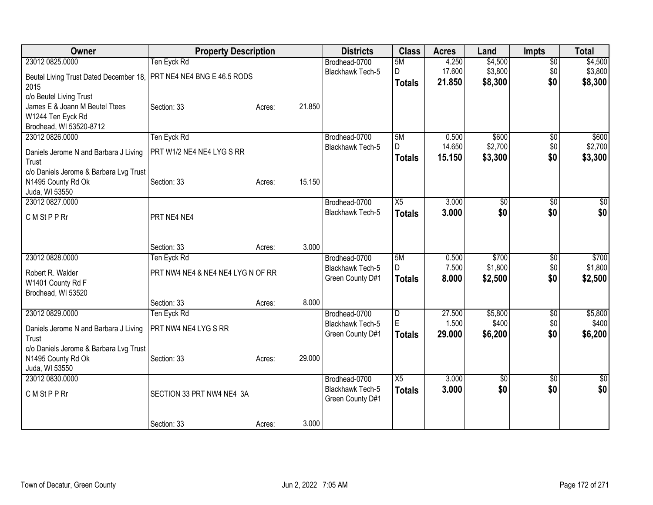| Owner                                                              | <b>Property Description</b>       |        |        | <b>Districts</b>        | <b>Class</b>    | <b>Acres</b> | Land            | <b>Impts</b>    | <b>Total</b>    |
|--------------------------------------------------------------------|-----------------------------------|--------|--------|-------------------------|-----------------|--------------|-----------------|-----------------|-----------------|
| 23012 0825,0000                                                    | Ten Eyck Rd                       |        |        | Brodhead-0700           | 5M              | 4.250        | \$4,500         | $\overline{50}$ | \$4,500         |
| Beutel Living Trust Dated December 18, PRT NE4 NE4 BNG E 46.5 RODS |                                   |        |        | <b>Blackhawk Tech-5</b> | D               | 17.600       | \$3,800         | \$0             | \$3,800         |
| 2015                                                               |                                   |        |        |                         | <b>Totals</b>   | 21.850       | \$8,300         | \$0             | \$8,300         |
| c/o Beutel Living Trust                                            |                                   |        |        |                         |                 |              |                 |                 |                 |
| James E & Joann M Beutel Ttees                                     | Section: 33                       | Acres: | 21.850 |                         |                 |              |                 |                 |                 |
| W1244 Ten Eyck Rd                                                  |                                   |        |        |                         |                 |              |                 |                 |                 |
| Brodhead, WI 53520-8712                                            |                                   |        |        |                         |                 |              |                 |                 |                 |
| 23012 0826.0000                                                    | Ten Eyck Rd                       |        |        | Brodhead-0700           | 5M              | 0.500        | \$600           | $\overline{50}$ | \$600           |
| Daniels Jerome N and Barbara J Living                              | PRT W1/2 NE4 NE4 LYG S RR         |        |        | <b>Blackhawk Tech-5</b> | D               | 14.650       | \$2,700         | \$0             | \$2,700         |
| Trust                                                              |                                   |        |        |                         | <b>Totals</b>   | 15.150       | \$3,300         | \$0             | \$3,300         |
| c/o Daniels Jerome & Barbara Lvg Trust                             |                                   |        |        |                         |                 |              |                 |                 |                 |
| N1495 County Rd Ok                                                 | Section: 33                       | Acres: | 15.150 |                         |                 |              |                 |                 |                 |
| Juda, WI 53550                                                     |                                   |        |        |                         |                 |              |                 |                 |                 |
| 23012 0827.0000                                                    |                                   |        |        | Brodhead-0700           | X5              | 3.000        | \$0             | $\overline{50}$ | \$0             |
| C M St P P Rr                                                      | PRT NE4 NE4                       |        |        | <b>Blackhawk Tech-5</b> | <b>Totals</b>   | 3.000        | \$0             | \$0             | \$0             |
|                                                                    |                                   |        |        |                         |                 |              |                 |                 |                 |
|                                                                    |                                   |        |        |                         |                 |              |                 |                 |                 |
|                                                                    | Section: 33                       | Acres: | 3.000  |                         |                 |              |                 |                 |                 |
| 23012 0828.0000                                                    | Ten Eyck Rd                       |        |        | Brodhead-0700           | 5M              | 0.500        | \$700           | $\overline{50}$ | \$700           |
| Robert R. Walder                                                   | PRT NW4 NE4 & NE4 NE4 LYG N OF RR |        |        | Blackhawk Tech-5        | D.              | 7.500        | \$1,800         | \$0             | \$1,800         |
| W1401 County Rd F                                                  |                                   |        |        | Green County D#1        | <b>Totals</b>   | 8.000        | \$2,500         | \$0             | \$2,500         |
| Brodhead, WI 53520                                                 |                                   |        |        |                         |                 |              |                 |                 |                 |
|                                                                    | Section: 33                       | Acres: | 8.000  |                         |                 |              |                 |                 |                 |
| 23012 0829.0000                                                    | Ten Eyck Rd                       |        |        | Brodhead-0700           | D               | 27.500       | \$5,800         | $\frac{1}{20}$  | \$5,800         |
| Daniels Jerome N and Barbara J Living                              | PRT NW4 NE4 LYG S RR              |        |        | Blackhawk Tech-5        | E               | 1.500        | \$400           | \$0             | \$400           |
| Trust                                                              |                                   |        |        | Green County D#1        | <b>Totals</b>   | 29.000       | \$6,200         | \$0             | \$6,200         |
| c/o Daniels Jerome & Barbara Lvg Trust                             |                                   |        |        |                         |                 |              |                 |                 |                 |
| N1495 County Rd Ok                                                 | Section: 33                       | Acres: | 29.000 |                         |                 |              |                 |                 |                 |
| Juda, WI 53550                                                     |                                   |        |        |                         |                 |              |                 |                 |                 |
| 23012 0830.0000                                                    |                                   |        |        | Brodhead-0700           | $\overline{X5}$ | 3.000        | $\overline{50}$ | $\overline{50}$ | $\overline{50}$ |
| C M St P P Rr                                                      | SECTION 33 PRT NW4 NE4 3A         |        |        | <b>Blackhawk Tech-5</b> | <b>Totals</b>   | 3.000        | \$0             | \$0             | \$0             |
|                                                                    |                                   |        |        | Green County D#1        |                 |              |                 |                 |                 |
|                                                                    |                                   |        |        |                         |                 |              |                 |                 |                 |
|                                                                    | Section: 33                       | Acres: | 3.000  |                         |                 |              |                 |                 |                 |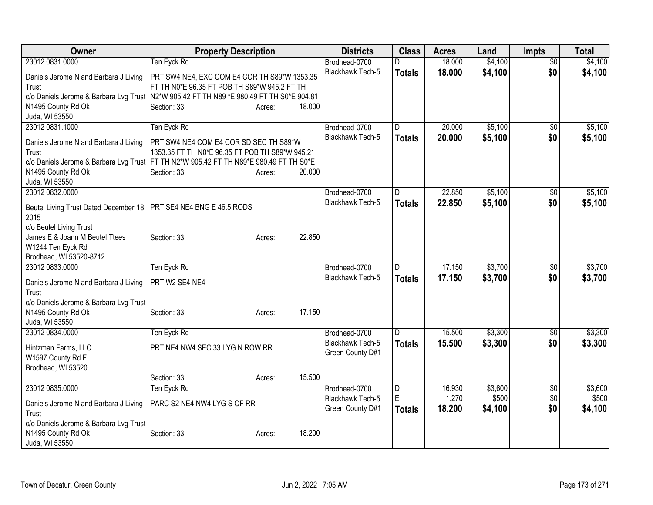| Owner                                                                                      | <b>Property Description</b>                     |                  | <b>Districts</b>        | <b>Class</b>            | <b>Acres</b> | Land    | Impts           | <b>Total</b> |
|--------------------------------------------------------------------------------------------|-------------------------------------------------|------------------|-------------------------|-------------------------|--------------|---------|-----------------|--------------|
| 23012 0831.0000                                                                            | Ten Eyck Rd                                     |                  | Brodhead-0700           | D                       | 18.000       | \$4,100 | $\overline{50}$ | \$4,100      |
| Daniels Jerome N and Barbara J Living                                                      | PRT SW4 NE4, EXC COM E4 COR TH S89*W 1353.35    |                  | Blackhawk Tech-5        | <b>Totals</b>           | 18.000       | \$4,100 | \$0             | \$4,100      |
| Trust                                                                                      | FT TH N0*E 96.35 FT POB TH S89*W 945.2 FT TH    |                  |                         |                         |              |         |                 |              |
| c/o Daniels Jerome & Barbara Lvg Trust   N2*W 905.42 FT TH N89 *E 980.49 FT TH S0*E 904.81 |                                                 |                  |                         |                         |              |         |                 |              |
| N1495 County Rd Ok                                                                         | Section: 33                                     | 18,000<br>Acres: |                         |                         |              |         |                 |              |
| Juda, WI 53550                                                                             |                                                 |                  |                         |                         |              |         |                 |              |
| 23012 0831.1000                                                                            | Ten Eyck Rd                                     |                  | Brodhead-0700           | D                       | 20.000       | \$5,100 | $\overline{50}$ | \$5,100      |
| Daniels Jerome N and Barbara J Living                                                      | PRT SW4 NE4 COM E4 COR SD SEC TH S89*W          |                  | <b>Blackhawk Tech-5</b> | <b>Totals</b>           | 20.000       | \$5,100 | \$0             | \$5,100      |
| Trust                                                                                      | 1353.35 FT TH N0*E 96.35 FT POB TH S89*W 945.21 |                  |                         |                         |              |         |                 |              |
| c/o Daniels Jerome & Barbara Lvg Trust   FT TH N2*W 905.42 FT TH N89*E 980.49 FT TH S0*E   |                                                 |                  |                         |                         |              |         |                 |              |
| N1495 County Rd Ok                                                                         | Section: 33                                     | 20.000<br>Acres: |                         |                         |              |         |                 |              |
| Juda, WI 53550                                                                             |                                                 |                  |                         |                         |              |         |                 |              |
| 23012 0832.0000                                                                            |                                                 |                  | Brodhead-0700           | D                       | 22.850       | \$5,100 | \$0             | \$5,100      |
| Beutel Living Trust Dated December 18, PRT SE4 NE4 BNG E 46.5 RODS                         |                                                 |                  | <b>Blackhawk Tech-5</b> | <b>Totals</b>           | 22.850       | \$5,100 | \$0             | \$5,100      |
| 2015                                                                                       |                                                 |                  |                         |                         |              |         |                 |              |
| c/o Beutel Living Trust                                                                    |                                                 |                  |                         |                         |              |         |                 |              |
| James E & Joann M Beutel Ttees                                                             | Section: 33                                     | 22.850<br>Acres: |                         |                         |              |         |                 |              |
| W1244 Ten Eyck Rd                                                                          |                                                 |                  |                         |                         |              |         |                 |              |
| Brodhead, WI 53520-8712                                                                    |                                                 |                  |                         |                         |              |         |                 |              |
| 23012 0833.0000                                                                            | Ten Eyck Rd                                     |                  | Brodhead-0700           | D                       | 17.150       | \$3,700 | $\sqrt{50}$     | \$3,700      |
| Daniels Jerome N and Barbara J Living                                                      | PRT W2 SE4 NE4                                  |                  | <b>Blackhawk Tech-5</b> | <b>Totals</b>           | 17.150       | \$3,700 | \$0             | \$3,700      |
| Trust                                                                                      |                                                 |                  |                         |                         |              |         |                 |              |
| c/o Daniels Jerome & Barbara Lvg Trust                                                     |                                                 |                  |                         |                         |              |         |                 |              |
| N1495 County Rd Ok                                                                         | Section: 33                                     | 17.150<br>Acres: |                         |                         |              |         |                 |              |
| Juda, WI 53550                                                                             |                                                 |                  |                         |                         |              |         |                 |              |
| 23012 0834.0000                                                                            | Ten Eyck Rd                                     |                  | Brodhead-0700           | D.                      | 15.500       | \$3,300 | \$0             | \$3,300      |
| Hintzman Farms, LLC                                                                        | PRT NE4 NW4 SEC 33 LYG N ROW RR                 |                  | <b>Blackhawk Tech-5</b> | <b>Totals</b>           | 15.500       | \$3,300 | \$0             | \$3,300      |
| W1597 County Rd F                                                                          |                                                 |                  | Green County D#1        |                         |              |         |                 |              |
| Brodhead, WI 53520                                                                         |                                                 |                  |                         |                         |              |         |                 |              |
|                                                                                            | Section: 33                                     | 15.500<br>Acres: |                         |                         |              |         |                 |              |
| 23012 0835.0000                                                                            | Ten Eyck Rd                                     |                  | Brodhead-0700           | $\overline{\mathsf{D}}$ | 16.930       | \$3,600 | \$0             | \$3,600      |
| Daniels Jerome N and Barbara J Living                                                      | PARC S2 NE4 NW4 LYG S OF RR                     |                  | <b>Blackhawk Tech-5</b> | E                       | 1.270        | \$500   | \$0             | \$500        |
| Trust                                                                                      |                                                 |                  | Green County D#1        | <b>Totals</b>           | 18.200       | \$4,100 | \$0             | \$4,100      |
| c/o Daniels Jerome & Barbara Lvg Trust                                                     |                                                 |                  |                         |                         |              |         |                 |              |
| N1495 County Rd Ok                                                                         | Section: 33                                     | 18.200<br>Acres: |                         |                         |              |         |                 |              |
| Juda, WI 53550                                                                             |                                                 |                  |                         |                         |              |         |                 |              |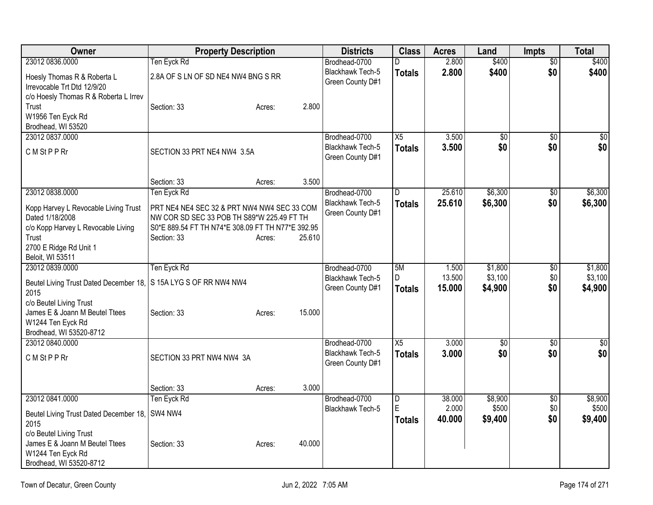| Owner                                                                    | <b>Property Description</b>                       |                  | <b>Districts</b>                         | <b>Class</b>    | <b>Acres</b>   | Land                   | <b>Impts</b>    | Total           |
|--------------------------------------------------------------------------|---------------------------------------------------|------------------|------------------------------------------|-----------------|----------------|------------------------|-----------------|-----------------|
| 23012 0836,0000                                                          | Ten Eyck Rd                                       |                  | Brodhead-0700                            | D.              | 2.800          | \$400                  | $\overline{50}$ | \$400           |
| Hoesly Thomas R & Roberta L                                              | 2.8A OF S LN OF SD NE4 NW4 BNG S RR               |                  | Blackhawk Tech-5                         | <b>Totals</b>   | 2.800          | \$400                  | \$0             | \$400           |
| Irrevocable Trt Dtd 12/9/20                                              |                                                   |                  | Green County D#1                         |                 |                |                        |                 |                 |
| c/o Hoesly Thomas R & Roberta L Irrev                                    |                                                   |                  |                                          |                 |                |                        |                 |                 |
| Trust                                                                    | Section: 33                                       | 2.800<br>Acres:  |                                          |                 |                |                        |                 |                 |
| W1956 Ten Eyck Rd<br>Brodhead, WI 53520                                  |                                                   |                  |                                          |                 |                |                        |                 |                 |
| 23012 0837.0000                                                          |                                                   |                  | Brodhead-0700                            | X5              | 3.500          | $\overline{50}$        | $\overline{30}$ | $\overline{50}$ |
|                                                                          |                                                   |                  | <b>Blackhawk Tech-5</b>                  | <b>Totals</b>   | 3.500          | \$0                    | \$0             | \$0             |
| C M St P P Rr                                                            | SECTION 33 PRT NE4 NW4 3.5A                       |                  | Green County D#1                         |                 |                |                        |                 |                 |
|                                                                          |                                                   |                  |                                          |                 |                |                        |                 |                 |
|                                                                          | Section: 33                                       | 3.500<br>Acres:  |                                          |                 |                |                        |                 |                 |
| 23012 0838.0000                                                          | Ten Eyck Rd                                       |                  | Brodhead-0700                            | $\overline{D}$  | 25.610         | \$6,300                | \$0             | \$6,300         |
| Kopp Harvey L Revocable Living Trust                                     | PRT NE4 NE4 SEC 32 & PRT NW4 NW4 SEC 33 COM       |                  | <b>Blackhawk Tech-5</b>                  | <b>Totals</b>   | 25.610         | \$6,300                | \$0             | \$6,300         |
| Dated 1/18/2008                                                          | NW COR SD SEC 33 POB TH S89*W 225.49 FT TH        |                  | Green County D#1                         |                 |                |                        |                 |                 |
| c/o Kopp Harvey L Revocable Living                                       | S0*E 889.54 FT TH N74*E 308.09 FT TH N77*E 392.95 |                  |                                          |                 |                |                        |                 |                 |
| Trust                                                                    | Section: 33                                       | 25.610<br>Acres: |                                          |                 |                |                        |                 |                 |
| 2700 E Ridge Rd Unit 1<br>Beloit, WI 53511                               |                                                   |                  |                                          |                 |                |                        |                 |                 |
| 23012 0839.0000                                                          | Ten Eyck Rd                                       |                  | Brodhead-0700                            | 5M              | 1.500          | \$1,800                | \$0             | \$1,800         |
|                                                                          |                                                   |                  | <b>Blackhawk Tech-5</b>                  | D               | 13.500         | \$3,100                | \$0             | \$3,100         |
| Beutel Living Trust Dated December 18, S 15A LYG S OF RR NW4 NW4<br>2015 |                                                   |                  | Green County D#1                         | <b>Totals</b>   | 15.000         | \$4,900                | \$0             | \$4,900         |
| c/o Beutel Living Trust                                                  |                                                   |                  |                                          |                 |                |                        |                 |                 |
| James E & Joann M Beutel Ttees                                           | Section: 33                                       | 15.000<br>Acres: |                                          |                 |                |                        |                 |                 |
| W1244 Ten Eyck Rd                                                        |                                                   |                  |                                          |                 |                |                        |                 |                 |
| Brodhead, WI 53520-8712                                                  |                                                   |                  |                                          |                 |                |                        |                 |                 |
| 23012 0840.0000                                                          |                                                   |                  | Brodhead-0700<br><b>Blackhawk Tech-5</b> | $\overline{X5}$ | 3.000<br>3.000 | $\overline{60}$<br>\$0 | \$0<br>\$0      | \$0<br>\$0      |
| C M St P P Rr                                                            | SECTION 33 PRT NW4 NW4 3A                         |                  | Green County D#1                         | <b>Totals</b>   |                |                        |                 |                 |
|                                                                          |                                                   |                  |                                          |                 |                |                        |                 |                 |
|                                                                          | Section: 33                                       | 3.000<br>Acres:  |                                          |                 |                |                        |                 |                 |
| 23012 0841.0000                                                          | Ten Eyck Rd                                       |                  | Brodhead-0700                            | D               | 38.000         | \$8,900                | \$0             | \$8,900         |
| Beutel Living Trust Dated December 18, SW4 NW4                           |                                                   |                  | Blackhawk Tech-5                         | E               | 2.000          | \$500                  | \$0             | \$500           |
| 2015                                                                     |                                                   |                  |                                          | <b>Totals</b>   | 40.000         | \$9,400                | \$0             | \$9,400         |
| c/o Beutel Living Trust                                                  |                                                   |                  |                                          |                 |                |                        |                 |                 |
| James E & Joann M Beutel Ttees                                           | Section: 33                                       | 40.000<br>Acres: |                                          |                 |                |                        |                 |                 |
| W1244 Ten Eyck Rd                                                        |                                                   |                  |                                          |                 |                |                        |                 |                 |
| Brodhead, WI 53520-8712                                                  |                                                   |                  |                                          |                 |                |                        |                 |                 |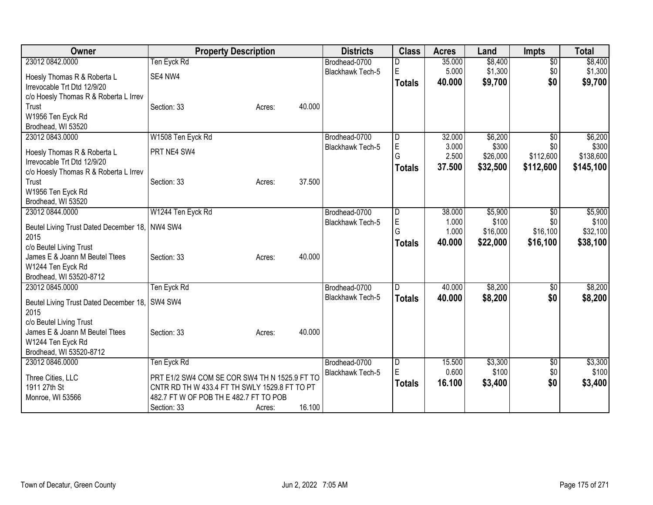| \$8,400<br>23012 0842.0000<br>Ten Eyck Rd<br>\$8,400<br>$\overline{50}$<br>35.000<br>Brodhead-0700<br>D<br>E<br>\$1,300<br>5.000<br>\$1,300<br><b>Blackhawk Tech-5</b><br>\$0<br>SE4 NW4<br>Hoesly Thomas R & Roberta L<br>\$9,700<br>40.000<br>\$0<br>\$9,700<br><b>Totals</b><br>Irrevocable Trt Dtd 12/9/20<br>c/o Hoesly Thomas R & Roberta L Irrev<br>Trust<br>40.000<br>Section: 33<br>Acres:<br>W1956 Ten Eyck Rd<br>Brodhead, WI 53520<br>23012 0843.0000<br>W1508 Ten Eyck Rd<br>32.000<br>\$6,200<br>\$6,200<br>\$0<br>Brodhead-0700<br>D<br>E<br>3.000<br>\$300<br>\$0<br>Blackhawk Tech-5<br>PRT NE4 SW4<br>Hoesly Thomas R & Roberta L<br>G<br>\$112,600<br>2.500<br>\$26,000<br>Irrevocable Trt Dtd 12/9/20<br>37.500<br>\$112,600<br>\$32,500<br><b>Totals</b><br>c/o Hoesly Thomas R & Roberta L Irrev<br>37.500<br>Trust<br>Section: 33<br>Acres:<br>W1956 Ten Eyck Rd<br>Brodhead, WI 53520<br>W1244 Ten Eyck Rd<br>23012 0844.0000<br>\$5,900<br>Brodhead-0700<br>38.000<br>$\overline{50}$<br>D<br>E<br>1.000<br>\$100<br>\$0<br>Blackhawk Tech-5<br>NW4 SW4<br>Beutel Living Trust Dated December 18,<br>G<br>\$16,100<br>1.000<br>\$16,000<br>2015<br>40.000<br>\$22,000<br>\$16,100<br><b>Totals</b><br>c/o Beutel Living Trust<br>40.000<br>James E & Joann M Beutel Ttees<br>Section: 33<br>Acres:<br>W1244 Ten Eyck Rd<br>Brodhead, WI 53520-8712<br>23012 0845.0000<br>Ten Eyck Rd<br>\$8,200<br>Brodhead-0700<br>40.000<br>ID.<br>\$0<br>\$0<br>Blackhawk Tech-5<br>\$8,200<br>40.000<br><b>Totals</b><br>SW4 SW4<br>Beutel Living Trust Dated December 18,<br>2015<br>c/o Beutel Living Trust<br>40.000<br>James E & Joann M Beutel Ttees<br>Section: 33<br>Acres:<br>W1244 Ten Eyck Rd<br>Brodhead, WI 53520-8712<br>Ten Eyck Rd<br>15.500<br>\$3,300<br>23012 0846.0000<br>Brodhead-0700<br>D<br>\$0<br>E<br>0.600<br>\$100<br>\$0<br>Blackhawk Tech-5<br>PRT E1/2 SW4 COM SE COR SW4 TH N 1525.9 FT TO<br>Three Cities, LLC<br>\$0<br>16.100<br>\$3,400<br><b>Totals</b><br>1911 27th St<br>CNTR RD TH W 433.4 FT TH SWLY 1529.8 FT TO PT<br>482.7 FT W OF POB TH E 482.7 FT TO POB<br>Monroe, WI 53566 | Owner | <b>Property Description</b> |        |        | <b>Districts</b> | <b>Class</b> | <b>Acres</b> | Land | Impts | <b>Total</b> |
|-----------------------------------------------------------------------------------------------------------------------------------------------------------------------------------------------------------------------------------------------------------------------------------------------------------------------------------------------------------------------------------------------------------------------------------------------------------------------------------------------------------------------------------------------------------------------------------------------------------------------------------------------------------------------------------------------------------------------------------------------------------------------------------------------------------------------------------------------------------------------------------------------------------------------------------------------------------------------------------------------------------------------------------------------------------------------------------------------------------------------------------------------------------------------------------------------------------------------------------------------------------------------------------------------------------------------------------------------------------------------------------------------------------------------------------------------------------------------------------------------------------------------------------------------------------------------------------------------------------------------------------------------------------------------------------------------------------------------------------------------------------------------------------------------------------------------------------------------------------------------------------------------------------------------------------------------------------------------------------------------------------------------------------------------------------------------------------------------------------------------------------------|-------|-----------------------------|--------|--------|------------------|--------------|--------------|------|-------|--------------|
|                                                                                                                                                                                                                                                                                                                                                                                                                                                                                                                                                                                                                                                                                                                                                                                                                                                                                                                                                                                                                                                                                                                                                                                                                                                                                                                                                                                                                                                                                                                                                                                                                                                                                                                                                                                                                                                                                                                                                                                                                                                                                                                                         |       |                             |        |        |                  |              |              |      |       |              |
|                                                                                                                                                                                                                                                                                                                                                                                                                                                                                                                                                                                                                                                                                                                                                                                                                                                                                                                                                                                                                                                                                                                                                                                                                                                                                                                                                                                                                                                                                                                                                                                                                                                                                                                                                                                                                                                                                                                                                                                                                                                                                                                                         |       |                             |        |        |                  |              |              |      |       |              |
|                                                                                                                                                                                                                                                                                                                                                                                                                                                                                                                                                                                                                                                                                                                                                                                                                                                                                                                                                                                                                                                                                                                                                                                                                                                                                                                                                                                                                                                                                                                                                                                                                                                                                                                                                                                                                                                                                                                                                                                                                                                                                                                                         |       |                             |        |        |                  |              |              |      |       |              |
|                                                                                                                                                                                                                                                                                                                                                                                                                                                                                                                                                                                                                                                                                                                                                                                                                                                                                                                                                                                                                                                                                                                                                                                                                                                                                                                                                                                                                                                                                                                                                                                                                                                                                                                                                                                                                                                                                                                                                                                                                                                                                                                                         |       |                             |        |        |                  |              |              |      |       |              |
| \$300<br>\$138,600<br>\$145,100<br>\$5,900<br>\$100<br>\$32,100<br>\$38,100<br>\$8,200<br>\$8,200<br>\$3,300                                                                                                                                                                                                                                                                                                                                                                                                                                                                                                                                                                                                                                                                                                                                                                                                                                                                                                                                                                                                                                                                                                                                                                                                                                                                                                                                                                                                                                                                                                                                                                                                                                                                                                                                                                                                                                                                                                                                                                                                                            |       |                             |        |        |                  |              |              |      |       |              |
|                                                                                                                                                                                                                                                                                                                                                                                                                                                                                                                                                                                                                                                                                                                                                                                                                                                                                                                                                                                                                                                                                                                                                                                                                                                                                                                                                                                                                                                                                                                                                                                                                                                                                                                                                                                                                                                                                                                                                                                                                                                                                                                                         |       |                             |        |        |                  |              |              |      |       |              |
|                                                                                                                                                                                                                                                                                                                                                                                                                                                                                                                                                                                                                                                                                                                                                                                                                                                                                                                                                                                                                                                                                                                                                                                                                                                                                                                                                                                                                                                                                                                                                                                                                                                                                                                                                                                                                                                                                                                                                                                                                                                                                                                                         |       |                             |        |        |                  |              |              |      |       |              |
|                                                                                                                                                                                                                                                                                                                                                                                                                                                                                                                                                                                                                                                                                                                                                                                                                                                                                                                                                                                                                                                                                                                                                                                                                                                                                                                                                                                                                                                                                                                                                                                                                                                                                                                                                                                                                                                                                                                                                                                                                                                                                                                                         |       |                             |        |        |                  |              |              |      |       |              |
|                                                                                                                                                                                                                                                                                                                                                                                                                                                                                                                                                                                                                                                                                                                                                                                                                                                                                                                                                                                                                                                                                                                                                                                                                                                                                                                                                                                                                                                                                                                                                                                                                                                                                                                                                                                                                                                                                                                                                                                                                                                                                                                                         |       |                             |        |        |                  |              |              |      |       |              |
|                                                                                                                                                                                                                                                                                                                                                                                                                                                                                                                                                                                                                                                                                                                                                                                                                                                                                                                                                                                                                                                                                                                                                                                                                                                                                                                                                                                                                                                                                                                                                                                                                                                                                                                                                                                                                                                                                                                                                                                                                                                                                                                                         |       |                             |        |        |                  |              |              |      |       |              |
|                                                                                                                                                                                                                                                                                                                                                                                                                                                                                                                                                                                                                                                                                                                                                                                                                                                                                                                                                                                                                                                                                                                                                                                                                                                                                                                                                                                                                                                                                                                                                                                                                                                                                                                                                                                                                                                                                                                                                                                                                                                                                                                                         |       |                             |        |        |                  |              |              |      |       |              |
|                                                                                                                                                                                                                                                                                                                                                                                                                                                                                                                                                                                                                                                                                                                                                                                                                                                                                                                                                                                                                                                                                                                                                                                                                                                                                                                                                                                                                                                                                                                                                                                                                                                                                                                                                                                                                                                                                                                                                                                                                                                                                                                                         |       |                             |        |        |                  |              |              |      |       |              |
|                                                                                                                                                                                                                                                                                                                                                                                                                                                                                                                                                                                                                                                                                                                                                                                                                                                                                                                                                                                                                                                                                                                                                                                                                                                                                                                                                                                                                                                                                                                                                                                                                                                                                                                                                                                                                                                                                                                                                                                                                                                                                                                                         |       |                             |        |        |                  |              |              |      |       |              |
|                                                                                                                                                                                                                                                                                                                                                                                                                                                                                                                                                                                                                                                                                                                                                                                                                                                                                                                                                                                                                                                                                                                                                                                                                                                                                                                                                                                                                                                                                                                                                                                                                                                                                                                                                                                                                                                                                                                                                                                                                                                                                                                                         |       |                             |        |        |                  |              |              |      |       |              |
|                                                                                                                                                                                                                                                                                                                                                                                                                                                                                                                                                                                                                                                                                                                                                                                                                                                                                                                                                                                                                                                                                                                                                                                                                                                                                                                                                                                                                                                                                                                                                                                                                                                                                                                                                                                                                                                                                                                                                                                                                                                                                                                                         |       |                             |        |        |                  |              |              |      |       |              |
|                                                                                                                                                                                                                                                                                                                                                                                                                                                                                                                                                                                                                                                                                                                                                                                                                                                                                                                                                                                                                                                                                                                                                                                                                                                                                                                                                                                                                                                                                                                                                                                                                                                                                                                                                                                                                                                                                                                                                                                                                                                                                                                                         |       |                             |        |        |                  |              |              |      |       |              |
|                                                                                                                                                                                                                                                                                                                                                                                                                                                                                                                                                                                                                                                                                                                                                                                                                                                                                                                                                                                                                                                                                                                                                                                                                                                                                                                                                                                                                                                                                                                                                                                                                                                                                                                                                                                                                                                                                                                                                                                                                                                                                                                                         |       |                             |        |        |                  |              |              |      |       |              |
|                                                                                                                                                                                                                                                                                                                                                                                                                                                                                                                                                                                                                                                                                                                                                                                                                                                                                                                                                                                                                                                                                                                                                                                                                                                                                                                                                                                                                                                                                                                                                                                                                                                                                                                                                                                                                                                                                                                                                                                                                                                                                                                                         |       |                             |        |        |                  |              |              |      |       |              |
|                                                                                                                                                                                                                                                                                                                                                                                                                                                                                                                                                                                                                                                                                                                                                                                                                                                                                                                                                                                                                                                                                                                                                                                                                                                                                                                                                                                                                                                                                                                                                                                                                                                                                                                                                                                                                                                                                                                                                                                                                                                                                                                                         |       |                             |        |        |                  |              |              |      |       |              |
|                                                                                                                                                                                                                                                                                                                                                                                                                                                                                                                                                                                                                                                                                                                                                                                                                                                                                                                                                                                                                                                                                                                                                                                                                                                                                                                                                                                                                                                                                                                                                                                                                                                                                                                                                                                                                                                                                                                                                                                                                                                                                                                                         |       |                             |        |        |                  |              |              |      |       |              |
| \$100<br>\$3,400                                                                                                                                                                                                                                                                                                                                                                                                                                                                                                                                                                                                                                                                                                                                                                                                                                                                                                                                                                                                                                                                                                                                                                                                                                                                                                                                                                                                                                                                                                                                                                                                                                                                                                                                                                                                                                                                                                                                                                                                                                                                                                                        |       |                             |        |        |                  |              |              |      |       |              |
|                                                                                                                                                                                                                                                                                                                                                                                                                                                                                                                                                                                                                                                                                                                                                                                                                                                                                                                                                                                                                                                                                                                                                                                                                                                                                                                                                                                                                                                                                                                                                                                                                                                                                                                                                                                                                                                                                                                                                                                                                                                                                                                                         |       |                             |        |        |                  |              |              |      |       |              |
|                                                                                                                                                                                                                                                                                                                                                                                                                                                                                                                                                                                                                                                                                                                                                                                                                                                                                                                                                                                                                                                                                                                                                                                                                                                                                                                                                                                                                                                                                                                                                                                                                                                                                                                                                                                                                                                                                                                                                                                                                                                                                                                                         |       |                             |        |        |                  |              |              |      |       |              |
|                                                                                                                                                                                                                                                                                                                                                                                                                                                                                                                                                                                                                                                                                                                                                                                                                                                                                                                                                                                                                                                                                                                                                                                                                                                                                                                                                                                                                                                                                                                                                                                                                                                                                                                                                                                                                                                                                                                                                                                                                                                                                                                                         |       |                             |        |        |                  |              |              |      |       |              |
|                                                                                                                                                                                                                                                                                                                                                                                                                                                                                                                                                                                                                                                                                                                                                                                                                                                                                                                                                                                                                                                                                                                                                                                                                                                                                                                                                                                                                                                                                                                                                                                                                                                                                                                                                                                                                                                                                                                                                                                                                                                                                                                                         |       |                             |        |        |                  |              |              |      |       |              |
|                                                                                                                                                                                                                                                                                                                                                                                                                                                                                                                                                                                                                                                                                                                                                                                                                                                                                                                                                                                                                                                                                                                                                                                                                                                                                                                                                                                                                                                                                                                                                                                                                                                                                                                                                                                                                                                                                                                                                                                                                                                                                                                                         |       |                             |        |        |                  |              |              |      |       |              |
|                                                                                                                                                                                                                                                                                                                                                                                                                                                                                                                                                                                                                                                                                                                                                                                                                                                                                                                                                                                                                                                                                                                                                                                                                                                                                                                                                                                                                                                                                                                                                                                                                                                                                                                                                                                                                                                                                                                                                                                                                                                                                                                                         |       |                             |        |        |                  |              |              |      |       |              |
|                                                                                                                                                                                                                                                                                                                                                                                                                                                                                                                                                                                                                                                                                                                                                                                                                                                                                                                                                                                                                                                                                                                                                                                                                                                                                                                                                                                                                                                                                                                                                                                                                                                                                                                                                                                                                                                                                                                                                                                                                                                                                                                                         |       |                             |        |        |                  |              |              |      |       |              |
|                                                                                                                                                                                                                                                                                                                                                                                                                                                                                                                                                                                                                                                                                                                                                                                                                                                                                                                                                                                                                                                                                                                                                                                                                                                                                                                                                                                                                                                                                                                                                                                                                                                                                                                                                                                                                                                                                                                                                                                                                                                                                                                                         |       |                             |        |        |                  |              |              |      |       |              |
|                                                                                                                                                                                                                                                                                                                                                                                                                                                                                                                                                                                                                                                                                                                                                                                                                                                                                                                                                                                                                                                                                                                                                                                                                                                                                                                                                                                                                                                                                                                                                                                                                                                                                                                                                                                                                                                                                                                                                                                                                                                                                                                                         |       |                             |        |        |                  |              |              |      |       |              |
|                                                                                                                                                                                                                                                                                                                                                                                                                                                                                                                                                                                                                                                                                                                                                                                                                                                                                                                                                                                                                                                                                                                                                                                                                                                                                                                                                                                                                                                                                                                                                                                                                                                                                                                                                                                                                                                                                                                                                                                                                                                                                                                                         |       |                             |        |        |                  |              |              |      |       |              |
|                                                                                                                                                                                                                                                                                                                                                                                                                                                                                                                                                                                                                                                                                                                                                                                                                                                                                                                                                                                                                                                                                                                                                                                                                                                                                                                                                                                                                                                                                                                                                                                                                                                                                                                                                                                                                                                                                                                                                                                                                                                                                                                                         |       | Section: 33                 | Acres: | 16.100 |                  |              |              |      |       |              |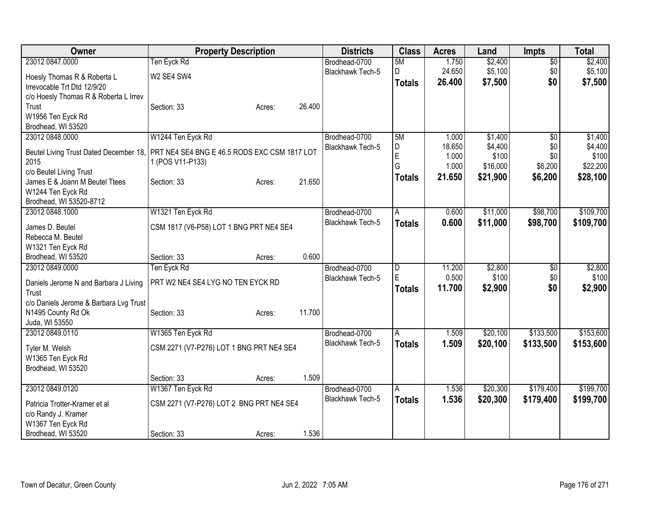| Owner                                  | <b>Property Description</b>                  | <b>Districts</b>        | <b>Class</b>   | <b>Acres</b> | Land     | Impts           | <b>Total</b> |
|----------------------------------------|----------------------------------------------|-------------------------|----------------|--------------|----------|-----------------|--------------|
| 23012 0847.0000                        | Ten Eyck Rd                                  | Brodhead-0700           | 5M             | 1.750        | \$2,400  | $\overline{50}$ | \$2,400      |
| Hoesly Thomas R & Roberta L            | W2 SE4 SW4                                   | <b>Blackhawk Tech-5</b> | D              | 24.650       | \$5,100  | \$0             | \$5,100      |
| Irrevocable Trt Dtd 12/9/20            |                                              |                         | <b>Totals</b>  | 26.400       | \$7,500  | \$0             | \$7,500      |
| c/o Hoesly Thomas R & Roberta L Irrev  |                                              |                         |                |              |          |                 |              |
| Trust                                  | 26.400<br>Section: 33<br>Acres:              |                         |                |              |          |                 |              |
| W1956 Ten Eyck Rd                      |                                              |                         |                |              |          |                 |              |
| Brodhead, WI 53520                     |                                              |                         |                |              |          |                 |              |
| 23012 0848.0000                        | W1244 Ten Eyck Rd                            | Brodhead-0700           | 5M             | 1.000        | \$1,400  | $\overline{50}$ | \$1,400      |
| Beutel Living Trust Dated December 18, | PRT NE4 SE4 BNG E 46.5 RODS EXC CSM 1817 LOT | <b>Blackhawk Tech-5</b> | D              | 18.650       | \$4,400  | \$0             | \$4,400      |
| 2015                                   | 1 (POS V11-P133)                             |                         | E              | 1.000        | \$100    | \$0             | \$100        |
| c/o Beutel Living Trust                |                                              |                         | G              | 1.000        | \$16,000 | \$6,200         | \$22,200     |
| James E & Joann M Beutel Ttees         | 21.650<br>Section: 33<br>Acres:              |                         | <b>Totals</b>  | 21.650       | \$21,900 | \$6,200         | \$28,100     |
| W1244 Ten Eyck Rd                      |                                              |                         |                |              |          |                 |              |
| Brodhead, WI 53520-8712                |                                              |                         |                |              |          |                 |              |
| 23012 0848.1000                        | W1321 Ten Eyck Rd                            | Brodhead-0700           | $\overline{A}$ | 0.600        | \$11,000 | \$98,700        | \$109,700    |
| James D. Beutel                        | CSM 1817 (V6-P58) LOT 1 BNG PRT NE4 SE4      | <b>Blackhawk Tech-5</b> | <b>Totals</b>  | 0.600        | \$11,000 | \$98,700        | \$109,700    |
| Rebecca M. Beutel                      |                                              |                         |                |              |          |                 |              |
| W1321 Ten Eyck Rd                      |                                              |                         |                |              |          |                 |              |
| Brodhead, WI 53520                     | 0.600<br>Section: 33<br>Acres:               |                         |                |              |          |                 |              |
| 23012 0849,0000                        | Ten Eyck Rd                                  | Brodhead-0700           | D              | 11.200       | \$2,800  | \$0             | \$2,800      |
|                                        |                                              | <b>Blackhawk Tech-5</b> | E              | 0.500        | \$100    | \$0             | \$100        |
| Daniels Jerome N and Barbara J Living  | PRT W2 NE4 SE4 LYG NO TEN EYCK RD            |                         | <b>Totals</b>  | 11.700       | \$2,900  | \$0             | \$2,900      |
| Trust                                  |                                              |                         |                |              |          |                 |              |
| c/o Daniels Jerome & Barbara Lvg Trust | 11.700<br>Section: 33                        |                         |                |              |          |                 |              |
| N1495 County Rd Ok<br>Juda, WI 53550   | Acres:                                       |                         |                |              |          |                 |              |
| 23012 0849.0110                        | W1365 Ten Eyck Rd                            | Brodhead-0700           | A              | 1.509        | \$20,100 | \$133,500       | \$153,600    |
|                                        |                                              | Blackhawk Tech-5        | <b>Totals</b>  | 1.509        | \$20,100 | \$133,500       | \$153,600    |
| Tyler M. Welsh                         | CSM 2271 (V7-P276) LOT 1 BNG PRT NE4 SE4     |                         |                |              |          |                 |              |
| W1365 Ten Eyck Rd                      |                                              |                         |                |              |          |                 |              |
| Brodhead, WI 53520                     |                                              |                         |                |              |          |                 |              |
|                                        | 1.509<br>Section: 33<br>Acres:               |                         |                |              |          |                 |              |
| 23012 0849.0120                        | W1367 Ten Eyck Rd                            | Brodhead-0700           | A              | 1.536        | \$20,300 | \$179,400       | \$199,700    |
| Patricia Trotter-Kramer et al          | CSM 2271 (V7-P276) LOT 2 BNG PRT NE4 SE4     | <b>Blackhawk Tech-5</b> | <b>Totals</b>  | 1.536        | \$20,300 | \$179,400       | \$199,700    |
| c/o Randy J. Kramer                    |                                              |                         |                |              |          |                 |              |
| W1367 Ten Eyck Rd                      |                                              |                         |                |              |          |                 |              |
| Brodhead, WI 53520                     | 1.536<br>Section: 33<br>Acres:               |                         |                |              |          |                 |              |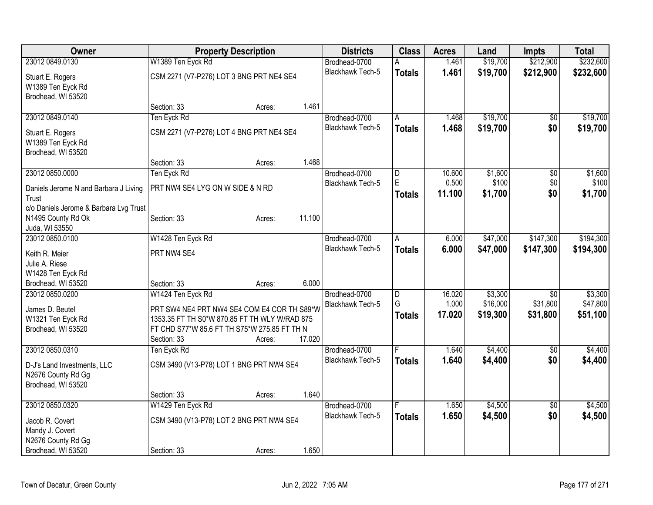| Owner                                  |                                               | <b>Property Description</b> |        | <b>Districts</b>        | <b>Class</b>                 | <b>Acres</b> | Land     | Impts           | <b>Total</b> |
|----------------------------------------|-----------------------------------------------|-----------------------------|--------|-------------------------|------------------------------|--------------|----------|-----------------|--------------|
| 23012 0849.0130                        | W1389 Ten Eyck Rd                             |                             |        | Brodhead-0700           |                              | 1.461        | \$19,700 | \$212,900       | \$232,600    |
| Stuart E. Rogers                       | CSM 2271 (V7-P276) LOT 3 BNG PRT NE4 SE4      |                             |        | <b>Blackhawk Tech-5</b> | <b>Totals</b>                | 1.461        | \$19,700 | \$212,900       | \$232,600    |
| W1389 Ten Eyck Rd                      |                                               |                             |        |                         |                              |              |          |                 |              |
| Brodhead, WI 53520                     |                                               |                             |        |                         |                              |              |          |                 |              |
|                                        | Section: 33                                   | Acres:                      | 1.461  |                         |                              |              |          |                 |              |
| 23012 0849.0140                        | Ten Eyck Rd                                   |                             |        | Brodhead-0700           | A                            | 1.468        | \$19,700 | $\sqrt{6}$      | \$19,700     |
|                                        |                                               |                             |        | Blackhawk Tech-5        | <b>Totals</b>                | 1.468        | \$19,700 | \$0             | \$19,700     |
| Stuart E. Rogers                       | CSM 2271 (V7-P276) LOT 4 BNG PRT NE4 SE4      |                             |        |                         |                              |              |          |                 |              |
| W1389 Ten Eyck Rd                      |                                               |                             |        |                         |                              |              |          |                 |              |
| Brodhead, WI 53520                     |                                               |                             | 1.468  |                         |                              |              |          |                 |              |
|                                        | Section: 33                                   | Acres:                      |        |                         |                              |              |          |                 |              |
| 23012 0850.0000                        | Ten Eyck Rd                                   |                             |        | Brodhead-0700           | $\overline{\mathsf{D}}$<br>E | 10.600       | \$1,600  | $\overline{50}$ | \$1,600      |
| Daniels Jerome N and Barbara J Living  | PRT NW4 SE4 LYG ON W SIDE & N RD              |                             |        | Blackhawk Tech-5        |                              | 0.500        | \$100    | \$0             | \$100        |
| Trust                                  |                                               |                             |        |                         | <b>Totals</b>                | 11.100       | \$1,700  | \$0             | \$1,700      |
| c/o Daniels Jerome & Barbara Lvg Trust |                                               |                             |        |                         |                              |              |          |                 |              |
| N1495 County Rd Ok                     | Section: 33                                   | Acres:                      | 11.100 |                         |                              |              |          |                 |              |
| Juda, WI 53550                         |                                               |                             |        |                         |                              |              |          |                 |              |
| 23012 0850.0100                        | W1428 Ten Eyck Rd                             |                             |        | Brodhead-0700           | A                            | 6.000        | \$47,000 | \$147,300       | \$194,300    |
| Keith R. Meier                         | PRT NW4 SE4                                   |                             |        | Blackhawk Tech-5        | <b>Totals</b>                | 6.000        | \$47,000 | \$147,300       | \$194,300    |
| Julie A. Riese                         |                                               |                             |        |                         |                              |              |          |                 |              |
| W1428 Ten Eyck Rd                      |                                               |                             |        |                         |                              |              |          |                 |              |
| Brodhead, WI 53520                     | Section: 33                                   | Acres:                      | 6.000  |                         |                              |              |          |                 |              |
| 23012 0850.0200                        | W1424 Ten Eyck Rd                             |                             |        | Brodhead-0700           | D                            | 16.020       | \$3,300  | \$0             | \$3,300      |
|                                        |                                               |                             |        | <b>Blackhawk Tech-5</b> | G                            | 1.000        | \$16,000 | \$31,800        | \$47,800     |
| James D. Beutel                        | PRT SW4 NE4 PRT NW4 SE4 COM E4 COR TH S89*W   |                             |        |                         | <b>Totals</b>                | 17.020       | \$19,300 | \$31,800        | \$51,100     |
| W1321 Ten Eyck Rd                      | 1353.35 FT TH S0*W 870.85 FT TH WLY W/RAD 875 |                             |        |                         |                              |              |          |                 |              |
| Brodhead, WI 53520                     | FT CHD S77*W 85.6 FT TH S75*W 275.85 FT TH N  |                             |        |                         |                              |              |          |                 |              |
|                                        | Section: 33                                   | Acres:                      | 17.020 |                         |                              |              |          |                 |              |
| 23012 0850.0310                        | Ten Eyck Rd                                   |                             |        | Brodhead-0700           | F                            | 1.640        | \$4,400  | $\overline{50}$ | \$4,400      |
| D-J's Land Investments, LLC            | CSM 3490 (V13-P78) LOT 1 BNG PRT NW4 SE4      |                             |        | Blackhawk Tech-5        | <b>Totals</b>                | 1.640        | \$4,400  | \$0             | \$4,400      |
| N2676 County Rd Gg                     |                                               |                             |        |                         |                              |              |          |                 |              |
| Brodhead, WI 53520                     |                                               |                             |        |                         |                              |              |          |                 |              |
|                                        | Section: 33                                   | Acres:                      | 1.640  |                         |                              |              |          |                 |              |
| 23012 0850.0320                        | W1429 Ten Eyck Rd                             |                             |        | Brodhead-0700           |                              | 1.650        | \$4,500  | $\overline{50}$ | \$4,500      |
|                                        |                                               |                             |        | <b>Blackhawk Tech-5</b> | <b>Totals</b>                | 1.650        | \$4,500  | \$0             | \$4,500      |
| Jacob R. Covert                        | CSM 3490 (V13-P78) LOT 2 BNG PRT NW4 SE4      |                             |        |                         |                              |              |          |                 |              |
| Mandy J. Covert                        |                                               |                             |        |                         |                              |              |          |                 |              |
| N2676 County Rd Gg                     |                                               |                             |        |                         |                              |              |          |                 |              |
| Brodhead, WI 53520                     | Section: 33                                   | Acres:                      | 1.650  |                         |                              |              |          |                 |              |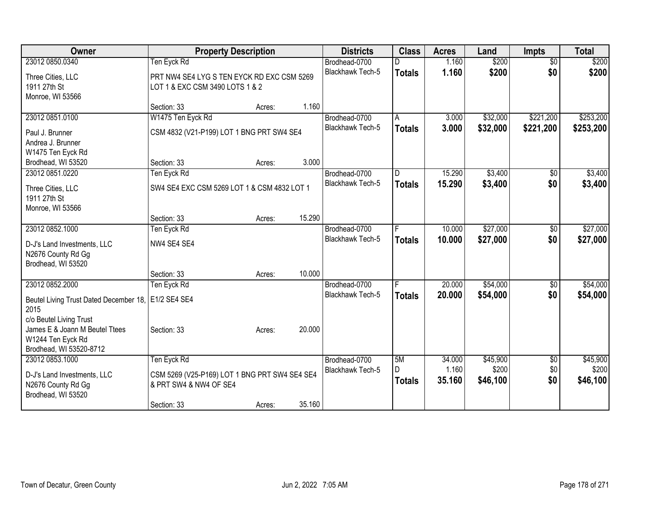| Owner                                             | <b>Property Description</b>                   |        |        | <b>Districts</b>        | <b>Class</b>  | <b>Acres</b> | Land     | <b>Impts</b>    | <b>Total</b> |
|---------------------------------------------------|-----------------------------------------------|--------|--------|-------------------------|---------------|--------------|----------|-----------------|--------------|
| 23012 0850.0340                                   | Ten Eyck Rd                                   |        |        | Brodhead-0700           |               | 1.160        | \$200    | $\overline{50}$ | \$200        |
| Three Cities, LLC                                 | PRT NW4 SE4 LYG S TEN EYCK RD EXC CSM 5269    |        |        | <b>Blackhawk Tech-5</b> | <b>Totals</b> | 1.160        | \$200    | \$0             | \$200        |
| 1911 27th St                                      | LOT 1 & EXC CSM 3490 LOTS 1 & 2               |        |        |                         |               |              |          |                 |              |
| Monroe, WI 53566                                  |                                               |        |        |                         |               |              |          |                 |              |
|                                                   | Section: 33                                   | Acres: | 1.160  |                         |               |              |          |                 |              |
| 23012 0851.0100                                   | W1475 Ten Eyck Rd                             |        |        | Brodhead-0700           | A             | 3.000        | \$32,000 | \$221,200       | \$253,200    |
| Paul J. Brunner                                   | CSM 4832 (V21-P199) LOT 1 BNG PRT SW4 SE4     |        |        | Blackhawk Tech-5        | <b>Totals</b> | 3.000        | \$32,000 | \$221,200       | \$253,200    |
| Andrea J. Brunner                                 |                                               |        |        |                         |               |              |          |                 |              |
| W1475 Ten Eyck Rd                                 |                                               |        |        |                         |               |              |          |                 |              |
| Brodhead, WI 53520                                | Section: 33                                   | Acres: | 3.000  |                         |               |              |          |                 |              |
| 23012 0851.0220                                   | Ten Eyck Rd                                   |        |        | Brodhead-0700           | ID.           | 15.290       | \$3,400  | \$0             | \$3,400      |
| Three Cities, LLC                                 | SW4 SE4 EXC CSM 5269 LOT 1 & CSM 4832 LOT 1   |        |        | <b>Blackhawk Tech-5</b> | <b>Totals</b> | 15.290       | \$3,400  | \$0             | \$3,400      |
| 1911 27th St                                      |                                               |        |        |                         |               |              |          |                 |              |
| Monroe, WI 53566                                  |                                               |        |        |                         |               |              |          |                 |              |
|                                                   | Section: 33                                   | Acres: | 15.290 |                         |               |              |          |                 |              |
| 23012 0852.1000                                   | Ten Eyck Rd                                   |        |        | Brodhead-0700           | F             | 10.000       | \$27,000 | \$0             | \$27,000     |
|                                                   |                                               |        |        | <b>Blackhawk Tech-5</b> | <b>Totals</b> | 10.000       | \$27,000 | \$0             | \$27,000     |
| D-J's Land Investments, LLC<br>N2676 County Rd Gg | NW4 SE4 SE4                                   |        |        |                         |               |              |          |                 |              |
| Brodhead, WI 53520                                |                                               |        |        |                         |               |              |          |                 |              |
|                                                   | Section: 33                                   | Acres: | 10.000 |                         |               |              |          |                 |              |
| 23012 0852.2000                                   | Ten Eyck Rd                                   |        |        | Brodhead-0700           |               | 20.000       | \$54,000 | $\sqrt[6]{30}$  | \$54,000     |
|                                                   |                                               |        |        | <b>Blackhawk Tech-5</b> | <b>Totals</b> | 20,000       | \$54,000 | \$0             | \$54,000     |
| Beutel Living Trust Dated December 18,<br>2015    | E1/2 SE4 SE4                                  |        |        |                         |               |              |          |                 |              |
| c/o Beutel Living Trust                           |                                               |        |        |                         |               |              |          |                 |              |
| James E & Joann M Beutel Ttees                    | Section: 33                                   | Acres: | 20.000 |                         |               |              |          |                 |              |
| W1244 Ten Eyck Rd                                 |                                               |        |        |                         |               |              |          |                 |              |
| Brodhead, WI 53520-8712                           |                                               |        |        |                         |               |              |          |                 |              |
| 23012 0853.1000                                   | Ten Eyck Rd                                   |        |        | Brodhead-0700           | 5M            | 34.000       | \$45,900 | $\sqrt{6}$      | \$45,900     |
| D-J's Land Investments, LLC                       | CSM 5269 (V25-P169) LOT 1 BNG PRT SW4 SE4 SE4 |        |        | Blackhawk Tech-5        | D             | 1.160        | \$200    | \$0             | \$200        |
| N2676 County Rd Gg                                | & PRT SW4 & NW4 OF SE4                        |        |        |                         | <b>Totals</b> | 35.160       | \$46,100 | \$0             | \$46,100     |
| Brodhead, WI 53520                                |                                               |        |        |                         |               |              |          |                 |              |
|                                                   | Section: 33                                   | Acres: | 35.160 |                         |               |              |          |                 |              |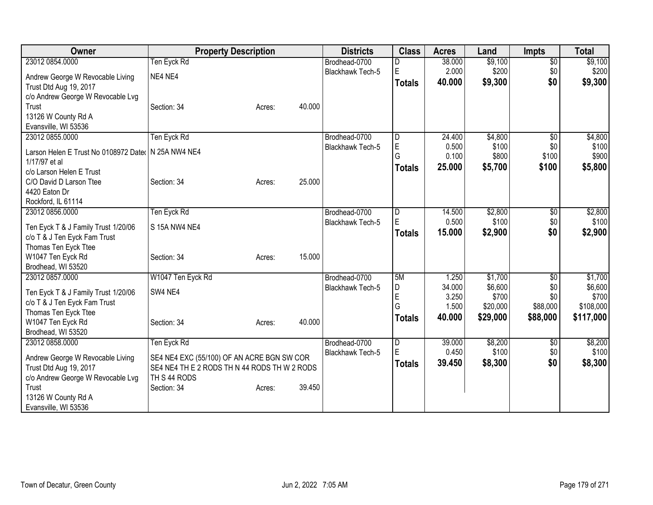| <b>Owner</b>                                        | <b>Property Description</b>                  |        |        | <b>Districts</b>        | <b>Class</b>   | <b>Acres</b> | Land     | <b>Impts</b>    | <b>Total</b> |
|-----------------------------------------------------|----------------------------------------------|--------|--------|-------------------------|----------------|--------------|----------|-----------------|--------------|
| 23012 0854.0000                                     | Ten Eyck Rd                                  |        |        | Brodhead-0700           |                | 38.000       | \$9,100  | $\overline{50}$ | \$9,100      |
| Andrew George W Revocable Living                    | NE4 NE4                                      |        |        | Blackhawk Tech-5        | E              | 2.000        | \$200    | \$0             | \$200        |
| Trust Dtd Aug 19, 2017                              |                                              |        |        |                         | <b>Totals</b>  | 40.000       | \$9,300  | \$0             | \$9,300      |
| c/o Andrew George W Revocable Lvg                   |                                              |        |        |                         |                |              |          |                 |              |
| Trust                                               | Section: 34                                  | Acres: | 40.000 |                         |                |              |          |                 |              |
| 13126 W County Rd A                                 |                                              |        |        |                         |                |              |          |                 |              |
| Evansville, WI 53536                                |                                              |        |        |                         |                |              |          |                 |              |
| 23012 0855.0000                                     | Ten Eyck Rd                                  |        |        | Brodhead-0700           | D              | 24.400       | \$4,800  | $\sqrt{$0}$     | \$4,800      |
| Larson Helen E Trust No 0108972 Dater N 25A NW4 NE4 |                                              |        |        | Blackhawk Tech-5        | E              | 0.500        | \$100    | \$0             | \$100        |
| 1/17/97 et al                                       |                                              |        |        |                         | G              | 0.100        | \$800    | \$100           | \$900        |
| c/o Larson Helen E Trust                            |                                              |        |        |                         | <b>Totals</b>  | 25.000       | \$5,700  | \$100           | \$5,800      |
| C/O David D Larson Ttee                             | Section: 34                                  | Acres: | 25.000 |                         |                |              |          |                 |              |
| 4420 Eaton Dr                                       |                                              |        |        |                         |                |              |          |                 |              |
| Rockford, IL 61114                                  |                                              |        |        |                         |                |              |          |                 |              |
| 23012 0856.0000                                     | Ten Eyck Rd                                  |        |        | Brodhead-0700           | D              | 14.500       | \$2,800  | \$0             | \$2,800      |
| Ten Eyck T & J Family Trust 1/20/06                 | S 15A NW4 NE4                                |        |        | <b>Blackhawk Tech-5</b> | E              | 0.500        | \$100    | \$0             | \$100        |
| c/o T & J Ten Eyck Fam Trust                        |                                              |        |        |                         | <b>Totals</b>  | 15.000       | \$2,900  | \$0             | \$2,900      |
| Thomas Ten Eyck Ttee                                |                                              |        |        |                         |                |              |          |                 |              |
| W1047 Ten Eyck Rd                                   | Section: 34                                  | Acres: | 15.000 |                         |                |              |          |                 |              |
| Brodhead, WI 53520                                  |                                              |        |        |                         |                |              |          |                 |              |
| 23012 0857.0000                                     | W1047 Ten Eyck Rd                            |        |        | Brodhead-0700           | 5M             | 1.250        | \$1,700  | $\sqrt[6]{}$    | \$1,700      |
| Ten Eyck T & J Family Trust 1/20/06                 | SW4 NE4                                      |        |        | <b>Blackhawk Tech-5</b> | D              | 34.000       | \$6,600  | \$0             | \$6,600      |
| c/o T & J Ten Eyck Fam Trust                        |                                              |        |        |                         | E              | 3.250        | \$700    | \$0             | \$700        |
| Thomas Ten Eyck Ttee                                |                                              |        |        |                         | G              | 1.500        | \$20,000 | \$88,000        | \$108,000    |
| W1047 Ten Eyck Rd                                   | Section: 34                                  | Acres: | 40.000 |                         | <b>Totals</b>  | 40.000       | \$29,000 | \$88,000        | \$117,000    |
| Brodhead, WI 53520                                  |                                              |        |        |                         |                |              |          |                 |              |
| 23012 0858.0000                                     | Ten Eyck Rd                                  |        |        | Brodhead-0700           | $\overline{D}$ | 39.000       | \$8,200  | \$0             | \$8,200      |
| Andrew George W Revocable Living                    | SE4 NE4 EXC (55/100) OF AN ACRE BGN SW COR   |        |        | Blackhawk Tech-5        | E              | 0.450        | \$100    | \$0             | \$100        |
| Trust Dtd Aug 19, 2017                              | SE4 NE4 TH E 2 RODS TH N 44 RODS TH W 2 RODS |        |        |                         | <b>Totals</b>  | 39.450       | \$8,300  | \$0             | \$8,300      |
| c/o Andrew George W Revocable Lvg                   | TH S 44 RODS                                 |        |        |                         |                |              |          |                 |              |
| Trust                                               | Section: 34                                  | Acres: | 39.450 |                         |                |              |          |                 |              |
| 13126 W County Rd A                                 |                                              |        |        |                         |                |              |          |                 |              |
| Evansville, WI 53536                                |                                              |        |        |                         |                |              |          |                 |              |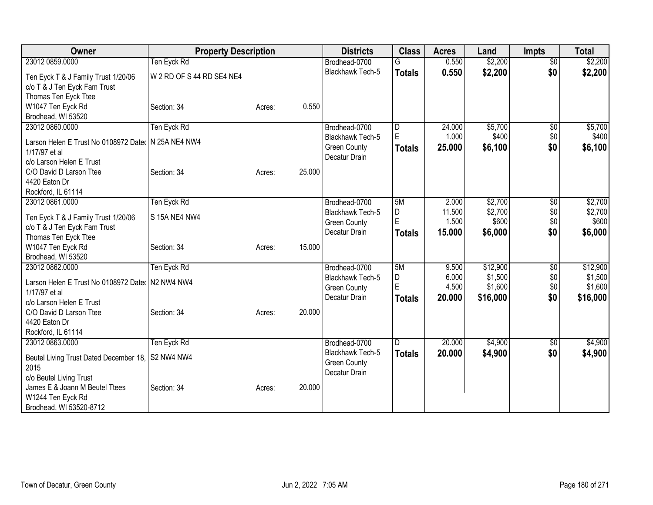| Owner                                                 | <b>Property Description</b> |        |        | <b>Districts</b>                        | <b>Class</b>  | <b>Acres</b>    | Land             | <b>Impts</b>    | <b>Total</b> |
|-------------------------------------------------------|-----------------------------|--------|--------|-----------------------------------------|---------------|-----------------|------------------|-----------------|--------------|
| 23012 0859.0000                                       | Ten Eyck Rd                 |        |        | Brodhead-0700                           |               | 0.550           | \$2,200          | $\overline{50}$ | \$2,200      |
| Ten Eyck T & J Family Trust 1/20/06                   | W 2 RD OF S 44 RD SE4 NE4   |        |        | <b>Blackhawk Tech-5</b>                 | <b>Totals</b> | 0.550           | \$2,200          | \$0             | \$2,200      |
| c/o T & J Ten Eyck Fam Trust                          |                             |        |        |                                         |               |                 |                  |                 |              |
| Thomas Ten Eyck Ttee                                  |                             |        |        |                                         |               |                 |                  |                 |              |
| W1047 Ten Eyck Rd                                     | Section: 34                 | Acres: | 0.550  |                                         |               |                 |                  |                 |              |
| Brodhead, WI 53520                                    |                             |        |        |                                         |               |                 |                  |                 |              |
| 23012 0860.0000                                       | Ten Eyck Rd                 |        |        | Brodhead-0700                           | D<br>E        | 24.000<br>1.000 | \$5,700          | \$0             | \$5,700      |
| Larson Helen E Trust No 0108972 Dater   N 25A NE4 NW4 |                             |        |        | Blackhawk Tech-5<br><b>Green County</b> |               | 25.000          | \$400<br>\$6,100 | \$0<br>\$0      | \$400        |
| 1/17/97 et al                                         |                             |        |        | Decatur Drain                           | <b>Totals</b> |                 |                  |                 | \$6,100      |
| c/o Larson Helen E Trust                              |                             |        |        |                                         |               |                 |                  |                 |              |
| C/O David D Larson Ttee                               | Section: 34                 | Acres: | 25.000 |                                         |               |                 |                  |                 |              |
| 4420 Eaton Dr<br>Rockford, IL 61114                   |                             |        |        |                                         |               |                 |                  |                 |              |
| 23012 0861.0000                                       | Ten Eyck Rd                 |        |        | Brodhead-0700                           | 5M            | 2.000           | \$2,700          | \$0             | \$2,700      |
|                                                       |                             |        |        | Blackhawk Tech-5                        | D             | 11.500          | \$2,700          | \$0             | \$2,700      |
| Ten Eyck T & J Family Trust 1/20/06                   | S 15A NE4 NW4               |        |        | <b>Green County</b>                     | E             | 1.500           | \$600            | \$0             | \$600        |
| c/o T & J Ten Eyck Fam Trust                          |                             |        |        | Decatur Drain                           | <b>Totals</b> | 15.000          | \$6,000          | \$0             | \$6,000      |
| Thomas Ten Eyck Ttee                                  |                             |        | 15.000 |                                         |               |                 |                  |                 |              |
| W1047 Ten Eyck Rd<br>Brodhead, WI 53520               | Section: 34                 | Acres: |        |                                         |               |                 |                  |                 |              |
| 23012 0862.0000                                       | Ten Eyck Rd                 |        |        | Brodhead-0700                           | 5M            | 9.500           | \$12,900         | \$0             | \$12,900     |
|                                                       |                             |        |        | Blackhawk Tech-5                        | D             | 6.000           | \$1,500          | \$0             | \$1,500      |
| Larson Helen E Trust No 0108972 Dater   N2 NW4 NW4    |                             |        |        | <b>Green County</b>                     | E             | 4.500           | \$1,600          | \$0             | \$1,600      |
| 1/17/97 et al<br>c/o Larson Helen E Trust             |                             |        |        | Decatur Drain                           | <b>Totals</b> | 20.000          | \$16,000         | \$0             | \$16,000     |
| C/O David D Larson Ttee                               | Section: 34                 | Acres: | 20.000 |                                         |               |                 |                  |                 |              |
| 4420 Eaton Dr                                         |                             |        |        |                                         |               |                 |                  |                 |              |
| Rockford, IL 61114                                    |                             |        |        |                                         |               |                 |                  |                 |              |
| 23012 0863.0000                                       | Ten Eyck Rd                 |        |        | Brodhead-0700                           | D             | 20.000          | \$4,900          | $\sqrt[6]{}$    | \$4,900      |
| Beutel Living Trust Dated December 18, S2 NW4 NW4     |                             |        |        | Blackhawk Tech-5                        | <b>Totals</b> | 20.000          | \$4,900          | \$0             | \$4,900      |
| 2015                                                  |                             |        |        | <b>Green County</b>                     |               |                 |                  |                 |              |
| c/o Beutel Living Trust                               |                             |        |        | Decatur Drain                           |               |                 |                  |                 |              |
| James E & Joann M Beutel Ttees                        | Section: 34                 | Acres: | 20.000 |                                         |               |                 |                  |                 |              |
| W1244 Ten Eyck Rd                                     |                             |        |        |                                         |               |                 |                  |                 |              |
| Brodhead, WI 53520-8712                               |                             |        |        |                                         |               |                 |                  |                 |              |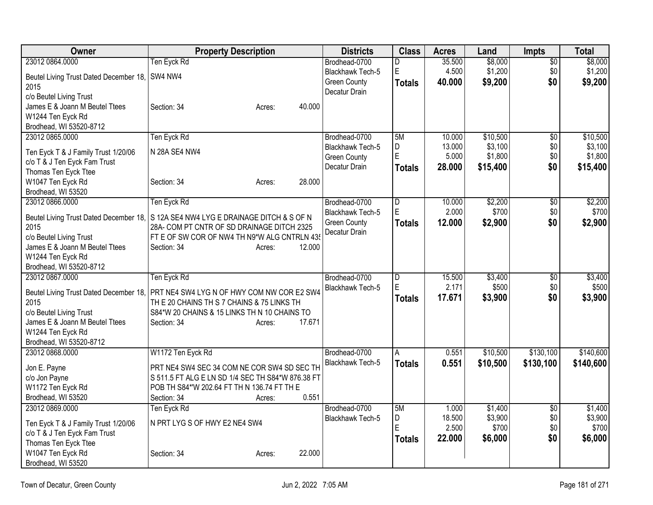| Owner                                          | <b>Property Description</b>                                                       | <b>Districts</b>        | <b>Class</b>  | <b>Acres</b> | Land     | <b>Impts</b>    | Total     |
|------------------------------------------------|-----------------------------------------------------------------------------------|-------------------------|---------------|--------------|----------|-----------------|-----------|
| 23012 0864.0000                                | Ten Eyck Rd                                                                       | Brodhead-0700           | D             | 35.500       | \$8,000  | \$0             | \$8,000   |
| Beutel Living Trust Dated December 18, SW4 NW4 |                                                                                   | Blackhawk Tech-5        | $\mathsf E$   | 4.500        | \$1,200  | \$0             | \$1,200   |
| 2015                                           |                                                                                   | <b>Green County</b>     | <b>Totals</b> | 40.000       | \$9,200  | \$0             | \$9,200   |
| c/o Beutel Living Trust                        |                                                                                   | Decatur Drain           |               |              |          |                 |           |
| James E & Joann M Beutel Ttees                 | 40.000<br>Section: 34<br>Acres:                                                   |                         |               |              |          |                 |           |
| W1244 Ten Eyck Rd                              |                                                                                   |                         |               |              |          |                 |           |
| Brodhead, WI 53520-8712                        |                                                                                   |                         |               |              |          |                 |           |
| 23012 0865,0000                                | Ten Eyck Rd                                                                       | Brodhead-0700           | 5M            | 10.000       | \$10,500 | $\overline{50}$ | \$10,500  |
| Ten Eyck T & J Family Trust 1/20/06            | N 28A SE4 NW4                                                                     | <b>Blackhawk Tech-5</b> | D             | 13.000       | \$3,100  | \$0             | \$3,100   |
| c/o T & J Ten Eyck Fam Trust                   |                                                                                   | <b>Green County</b>     | E             | 5.000        | \$1,800  | \$0             | \$1,800   |
| Thomas Ten Eyck Ttee                           |                                                                                   | Decatur Drain           | <b>Totals</b> | 28.000       | \$15,400 | \$0             | \$15,400  |
| W1047 Ten Eyck Rd                              | 28.000<br>Section: 34<br>Acres:                                                   |                         |               |              |          |                 |           |
| Brodhead, WI 53520                             |                                                                                   |                         |               |              |          |                 |           |
| 23012 0866.0000                                | Ten Eyck Rd                                                                       | Brodhead-0700           | D             | 10.000       | \$2,200  | \$0             | \$2,200   |
| Beutel Living Trust Dated December 18,         | S 12A SE4 NW4 LYG E DRAINAGE DITCH & S OF N                                       | Blackhawk Tech-5        | $\mathsf E$   | 2.000        | \$700    | \$0             | \$700     |
| 2015                                           | 28A- COM PT CNTR OF SD DRAINAGE DITCH 2325                                        | <b>Green County</b>     | <b>Totals</b> | 12.000       | \$2,900  | \$0             | \$2,900   |
| c/o Beutel Living Trust                        | FT E OF SW COR OF NW4 TH N9*W ALG CNTRLN 435                                      | Decatur Drain           |               |              |          |                 |           |
| James E & Joann M Beutel Ttees                 | 12.000<br>Section: 34<br>Acres:                                                   |                         |               |              |          |                 |           |
| W1244 Ten Eyck Rd                              |                                                                                   |                         |               |              |          |                 |           |
| Brodhead, WI 53520-8712                        |                                                                                   |                         |               |              |          |                 |           |
| 23012 0867.0000                                | Ten Eyck Rd                                                                       | Brodhead-0700           | $\vert$ D     | 15.500       | \$3,400  | \$0             | \$3,400   |
|                                                | Beutel Living Trust Dated December 18, PRT NE4 SW4 LYG N OF HWY COM NW COR E2 SW4 | Blackhawk Tech-5        | E             | 2.171        | \$500    | \$0             | \$500     |
| 2015                                           | TH E 20 CHAINS TH S 7 CHAINS & 75 LINKS TH                                        |                         | <b>Totals</b> | 17.671       | \$3,900  | \$0             | \$3,900   |
| c/o Beutel Living Trust                        | S84*W 20 CHAINS & 15 LINKS TH N 10 CHAINS TO                                      |                         |               |              |          |                 |           |
| James E & Joann M Beutel Ttees                 | 17.671<br>Section: 34<br>Acres:                                                   |                         |               |              |          |                 |           |
| W1244 Ten Eyck Rd                              |                                                                                   |                         |               |              |          |                 |           |
| Brodhead, WI 53520-8712                        |                                                                                   |                         |               |              |          |                 |           |
| 23012 0868.0000                                | W1172 Ten Eyck Rd                                                                 | Brodhead-0700           | A             | 0.551        | \$10,500 | \$130,100       | \$140,600 |
| Jon E. Payne                                   | PRT NE4 SW4 SEC 34 COM NE COR SW4 SD SEC TH                                       | Blackhawk Tech-5        | <b>Totals</b> | 0.551        | \$10,500 | \$130,100       | \$140,600 |
| c/o Jon Payne                                  | S 511.5 FT ALG E LN SD 1/4 SEC TH S84*W 876.38 FT                                 |                         |               |              |          |                 |           |
| W1172 Ten Eyck Rd                              | POB TH S84*'W 202.64 FT TH N 136.74 FT TH E                                       |                         |               |              |          |                 |           |
| Brodhead, WI 53520                             | 0.551<br>Section: 34<br>Acres:                                                    |                         |               |              |          |                 |           |
| 23012 0869.0000                                | Ten Eyck Rd                                                                       | Brodhead-0700           | 5M            | 1.000        | \$1,400  | \$0             | \$1,400   |
| Ten Eyck T & J Family Trust 1/20/06            | N PRT LYG S OF HWY E2 NE4 SW4                                                     | Blackhawk Tech-5        | D             | 18.500       | \$3,900  | \$0             | \$3,900   |
| c/o T & J Ten Eyck Fam Trust                   |                                                                                   |                         | E             | 2.500        | \$700    | \$0             | \$700     |
| Thomas Ten Eyck Ttee                           |                                                                                   |                         | <b>Totals</b> | 22.000       | \$6,000  | \$0             | \$6,000   |
| W1047 Ten Eyck Rd                              | 22.000<br>Section: 34<br>Acres:                                                   |                         |               |              |          |                 |           |
| Brodhead, WI 53520                             |                                                                                   |                         |               |              |          |                 |           |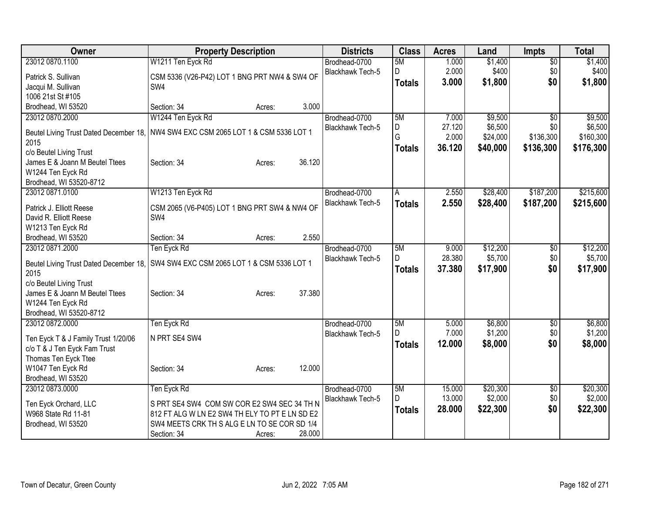| Owner                                                                              | <b>Property Description</b>                    |        |        | <b>Districts</b>        | <b>Class</b>  | <b>Acres</b> | Land     | Impts           | <b>Total</b> |
|------------------------------------------------------------------------------------|------------------------------------------------|--------|--------|-------------------------|---------------|--------------|----------|-----------------|--------------|
| 23012 0870.1100                                                                    | W1211 Ten Eyck Rd                              |        |        | Brodhead-0700           | 5M            | 1.000        | \$1,400  | $\overline{50}$ | \$1,400      |
| Patrick S. Sullivan                                                                | CSM 5336 (V26-P42) LOT 1 BNG PRT NW4 & SW4 OF  |        |        | Blackhawk Tech-5        | D             | 2.000        | \$400    | \$0             | \$400        |
| Jacqui M. Sullivan                                                                 | SW4                                            |        |        |                         | <b>Totals</b> | 3.000        | \$1,800  | \$0             | \$1,800      |
| 1006 21st St #105                                                                  |                                                |        |        |                         |               |              |          |                 |              |
| Brodhead, WI 53520                                                                 | Section: 34                                    | Acres: | 3.000  |                         |               |              |          |                 |              |
| 23012 0870.2000                                                                    | W1244 Ten Eyck Rd                              |        |        | Brodhead-0700           | 5M            | 7.000        | \$9,500  | $\overline{50}$ | \$9,500      |
| Beutel Living Trust Dated December 18,                                             | NW4 SW4 EXC CSM 2065 LOT 1 & CSM 5336 LOT 1    |        |        | <b>Blackhawk Tech-5</b> | D             | 27.120       | \$6,500  | \$0             | \$6,500      |
| 2015                                                                               |                                                |        |        |                         | G             | 2.000        | \$24,000 | \$136,300       | \$160,300    |
| c/o Beutel Living Trust                                                            |                                                |        |        |                         | <b>Totals</b> | 36.120       | \$40,000 | \$136,300       | \$176,300    |
| James E & Joann M Beutel Ttees                                                     | Section: 34                                    | Acres: | 36.120 |                         |               |              |          |                 |              |
| W1244 Ten Eyck Rd                                                                  |                                                |        |        |                         |               |              |          |                 |              |
| Brodhead, WI 53520-8712                                                            |                                                |        |        |                         |               |              |          |                 |              |
| 23012 0871.0100                                                                    | W1213 Ten Eyck Rd                              |        |        | Brodhead-0700           | A             | 2.550        | \$28,400 | \$187,200       | \$215,600    |
| Patrick J. Elliott Reese                                                           | CSM 2065 (V6-P405) LOT 1 BNG PRT SW4 & NW4 OF  |        |        | Blackhawk Tech-5        | <b>Totals</b> | 2.550        | \$28,400 | \$187,200       | \$215,600    |
| David R. Elliott Reese                                                             | SW4                                            |        |        |                         |               |              |          |                 |              |
| W1213 Ten Eyck Rd                                                                  |                                                |        |        |                         |               |              |          |                 |              |
| Brodhead, WI 53520                                                                 | Section: 34                                    | Acres: | 2.550  |                         |               |              |          |                 |              |
| 23012 0871.2000                                                                    | Ten Eyck Rd                                    |        |        | Brodhead-0700           | 5M            | 9.000        | \$12,200 | $\overline{50}$ | \$12,200     |
| Beutel Living Trust Dated December 18, SW4 SW4 EXC CSM 2065 LOT 1 & CSM 5336 LOT 1 |                                                |        |        | Blackhawk Tech-5        | D.            | 28.380       | \$5,700  | \$0             | \$5,700      |
| 2015                                                                               |                                                |        |        |                         | <b>Totals</b> | 37.380       | \$17,900 | \$0             | \$17,900     |
| c/o Beutel Living Trust                                                            |                                                |        |        |                         |               |              |          |                 |              |
| James E & Joann M Beutel Ttees                                                     | Section: 34                                    | Acres: | 37.380 |                         |               |              |          |                 |              |
| W1244 Ten Eyck Rd                                                                  |                                                |        |        |                         |               |              |          |                 |              |
| Brodhead, WI 53520-8712                                                            |                                                |        |        |                         |               |              |          |                 |              |
| 23012 0872.0000                                                                    | Ten Eyck Rd                                    |        |        | Brodhead-0700           | 5M            | 5.000        | \$6,800  | $\overline{50}$ | \$6,800      |
| Ten Eyck T & J Family Trust 1/20/06                                                | N PRT SE4 SW4                                  |        |        | Blackhawk Tech-5        | D.            | 7.000        | \$1,200  | \$0             | \$1,200      |
| c/o T & J Ten Eyck Fam Trust                                                       |                                                |        |        |                         | <b>Totals</b> | 12.000       | \$8,000  | \$0             | \$8,000      |
| Thomas Ten Eyck Ttee                                                               |                                                |        |        |                         |               |              |          |                 |              |
| W1047 Ten Eyck Rd                                                                  | Section: 34                                    | Acres: | 12.000 |                         |               |              |          |                 |              |
| Brodhead, WI 53520                                                                 |                                                |        |        |                         |               |              |          |                 |              |
| 23012 0873.0000                                                                    | Ten Eyck Rd                                    |        |        | Brodhead-0700           | 5M            | 15.000       | \$20,300 | \$0             | \$20,300     |
| Ten Eyck Orchard, LLC                                                              | S PRT SE4 SW4 COM SW COR E2 SW4 SEC 34 TH N    |        |        | <b>Blackhawk Tech-5</b> | D.            | 13.000       | \$2,000  | \$0             | \$2,000      |
| W968 State Rd 11-81                                                                | 812 FT ALG W LN E2 SW4 TH ELY TO PT E LN SD E2 |        |        |                         | <b>Totals</b> | 28.000       | \$22,300 | \$0             | \$22,300     |
| Brodhead, WI 53520                                                                 | SW4 MEETS CRK TH S ALG E LN TO SE COR SD 1/4   |        |        |                         |               |              |          |                 |              |
|                                                                                    | Section: 34                                    | Acres: | 28.000 |                         |               |              |          |                 |              |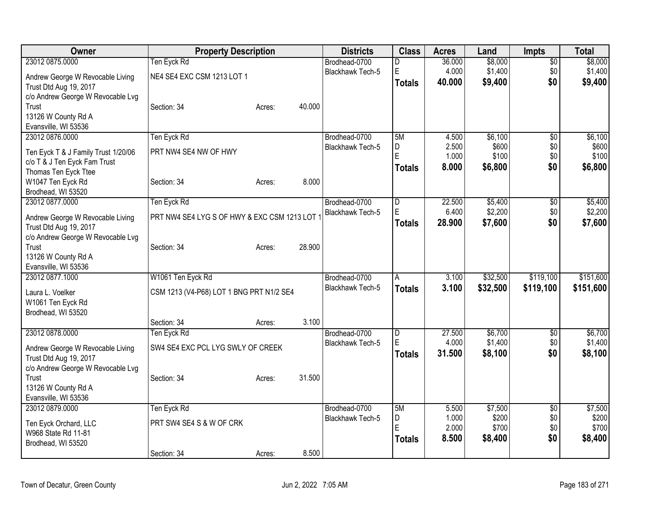| Owner                               | <b>Property Description</b>                 |        |        | <b>Districts</b>        | <b>Class</b>            | <b>Acres</b> | Land     | Impts           | <b>Total</b> |
|-------------------------------------|---------------------------------------------|--------|--------|-------------------------|-------------------------|--------------|----------|-----------------|--------------|
| 23012 0875.0000                     | Ten Eyck Rd                                 |        |        | Brodhead-0700           | D                       | 36.000       | \$8,000  | $\overline{50}$ | \$8,000      |
| Andrew George W Revocable Living    | NE4 SE4 EXC CSM 1213 LOT 1                  |        |        | <b>Blackhawk Tech-5</b> | E                       | 4.000        | \$1,400  | \$0             | \$1,400      |
| Trust Dtd Aug 19, 2017              |                                             |        |        |                         | <b>Totals</b>           | 40.000       | \$9,400  | \$0             | \$9,400      |
| c/o Andrew George W Revocable Lvg   |                                             |        |        |                         |                         |              |          |                 |              |
| Trust                               | Section: 34                                 | Acres: | 40.000 |                         |                         |              |          |                 |              |
| 13126 W County Rd A                 |                                             |        |        |                         |                         |              |          |                 |              |
| Evansville, WI 53536                |                                             |        |        |                         |                         |              |          |                 |              |
| 23012 0876.0000                     | Ten Eyck Rd                                 |        |        | Brodhead-0700           | 5M                      | 4.500        | \$6,100  | $\overline{50}$ | \$6,100      |
| Ten Eyck T & J Family Trust 1/20/06 | PRT NW4 SE4 NW OF HWY                       |        |        | <b>Blackhawk Tech-5</b> | D                       | 2.500        | \$600    | \$0             | \$600        |
| c/o T & J Ten Eyck Fam Trust        |                                             |        |        |                         | E                       | 1.000        | \$100    | \$0             | \$100        |
| Thomas Ten Eyck Ttee                |                                             |        |        |                         | <b>Totals</b>           | 8.000        | \$6,800  | \$0             | \$6,800      |
| W1047 Ten Eyck Rd                   | Section: 34                                 | Acres: | 8.000  |                         |                         |              |          |                 |              |
| Brodhead, WI 53520                  |                                             |        |        |                         |                         |              |          |                 |              |
| 23012 0877.0000                     | Ten Eyck Rd                                 |        |        | Brodhead-0700           | $\overline{\mathsf{D}}$ | 22.500       | \$5,400  | $\overline{50}$ | \$5,400      |
| Andrew George W Revocable Living    | PRT NW4 SE4 LYG S OF HWY & EXC CSM 1213 LOT |        |        | <b>Blackhawk Tech-5</b> | E                       | 6.400        | \$2,200  | \$0             | \$2,200      |
| Trust Dtd Aug 19, 2017              |                                             |        |        |                         | <b>Totals</b>           | 28.900       | \$7,600  | \$0             | \$7,600      |
| c/o Andrew George W Revocable Lvg   |                                             |        |        |                         |                         |              |          |                 |              |
| Trust                               | Section: 34                                 | Acres: | 28.900 |                         |                         |              |          |                 |              |
| 13126 W County Rd A                 |                                             |        |        |                         |                         |              |          |                 |              |
| Evansville, WI 53536                |                                             |        |        |                         |                         |              |          |                 |              |
| 23012 0877.1000                     | W1061 Ten Eyck Rd                           |        |        | Brodhead-0700           | A                       | 3.100        | \$32,500 | \$119,100       | \$151,600    |
| Laura L. Voelker                    | CSM 1213 (V4-P68) LOT 1 BNG PRT N1/2 SE4    |        |        | Blackhawk Tech-5        | <b>Totals</b>           | 3.100        | \$32,500 | \$119,100       | \$151,600    |
| W1061 Ten Eyck Rd                   |                                             |        |        |                         |                         |              |          |                 |              |
| Brodhead, WI 53520                  |                                             |        |        |                         |                         |              |          |                 |              |
|                                     | Section: 34                                 | Acres: | 3.100  |                         |                         |              |          |                 |              |
| 23012 0878.0000                     | Ten Eyck Rd                                 |        |        | Brodhead-0700           | $\overline{D}$          | 27.500       | \$6,700  | \$0             | \$6,700      |
| Andrew George W Revocable Living    | SW4 SE4 EXC PCL LYG SWLY OF CREEK           |        |        | Blackhawk Tech-5        | E.                      | 4.000        | \$1,400  | \$0             | \$1,400      |
| Trust Dtd Aug 19, 2017              |                                             |        |        |                         | <b>Totals</b>           | 31.500       | \$8,100  | \$0             | \$8,100      |
| c/o Andrew George W Revocable Lvg   |                                             |        |        |                         |                         |              |          |                 |              |
| Trust                               | Section: 34                                 | Acres: | 31.500 |                         |                         |              |          |                 |              |
| 13126 W County Rd A                 |                                             |        |        |                         |                         |              |          |                 |              |
| Evansville, WI 53536                |                                             |        |        |                         |                         |              |          |                 |              |
| 23012 0879.0000                     | Ten Eyck Rd                                 |        |        | Brodhead-0700           | 5M                      | 5.500        | \$7,500  | $\overline{50}$ | \$7,500      |
| Ten Eyck Orchard, LLC               | PRT SW4 SE4 S & W OF CRK                    |        |        | <b>Blackhawk Tech-5</b> | D                       | 1.000        | \$200    | \$0             | \$200        |
| W968 State Rd 11-81                 |                                             |        |        |                         | Ė                       | 2.000        | \$700    | \$0             | \$700        |
| Brodhead, WI 53520                  |                                             |        |        |                         | <b>Totals</b>           | 8.500        | \$8,400  | \$0             | \$8,400      |
|                                     | Section: 34                                 | Acres: | 8.500  |                         |                         |              |          |                 |              |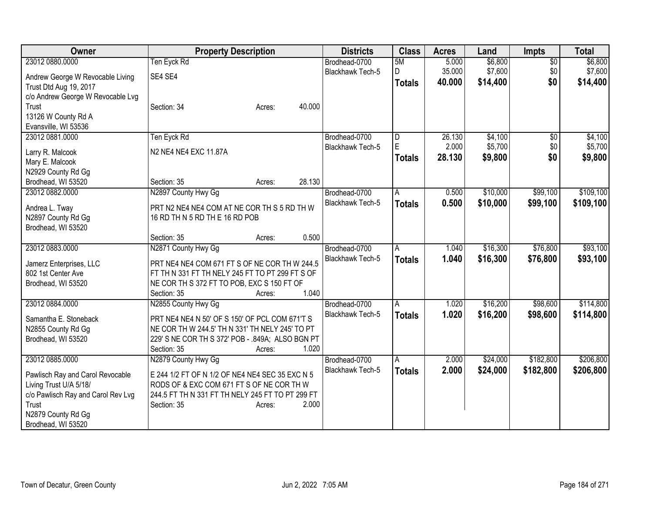| Owner                              | <b>Property Description</b>                      | <b>Districts</b>        | <b>Class</b>  | <b>Acres</b>    | Land     | <b>Impts</b>    | <b>Total</b> |
|------------------------------------|--------------------------------------------------|-------------------------|---------------|-----------------|----------|-----------------|--------------|
| 23012 0880.0000                    | Ten Eyck Rd                                      | Brodhead-0700           | 5M            | 5.000           | \$6,800  | $\overline{50}$ | \$6,800      |
| Andrew George W Revocable Living   | SE4 SE4                                          | <b>Blackhawk Tech-5</b> | D             | 35.000          | \$7,600  | \$0             | \$7,600      |
| Trust Dtd Aug 19, 2017             |                                                  |                         | <b>Totals</b> | 40.000          | \$14,400 | \$0             | \$14,400     |
| c/o Andrew George W Revocable Lvg  |                                                  |                         |               |                 |          |                 |              |
| Trust                              | 40.000<br>Section: 34<br>Acres:                  |                         |               |                 |          |                 |              |
| 13126 W County Rd A                |                                                  |                         |               |                 |          |                 |              |
| Evansville, WI 53536               |                                                  |                         |               |                 |          |                 |              |
| 23012 0881.0000                    | Ten Eyck Rd                                      | Brodhead-0700           | D<br>E        | 26.130<br>2.000 | \$4,100  | \$0             | \$4,100      |
| Larry R. Malcook                   | N2 NE4 NE4 EXC 11.87A                            | Blackhawk Tech-5        |               | 28.130          | \$5,700  | \$0<br>\$0      | \$5,700      |
| Mary E. Malcook                    |                                                  |                         | <b>Totals</b> |                 | \$9,800  |                 | \$9,800      |
| N2929 County Rd Gg                 |                                                  |                         |               |                 |          |                 |              |
| Brodhead, WI 53520                 | 28.130<br>Section: 35<br>Acres:                  |                         |               |                 |          |                 |              |
| 23012 0882.0000                    | N2897 County Hwy Gg                              | Brodhead-0700           | A             | 0.500           | \$10,000 | \$99,100        | \$109,100    |
| Andrea L. Tway                     | PRT N2 NE4 NE4 COM AT NE COR TH S 5 RD TH W      | <b>Blackhawk Tech-5</b> | <b>Totals</b> | 0.500           | \$10,000 | \$99,100        | \$109,100    |
| N2897 County Rd Gg                 | 16 RD TH N 5 RD TH E 16 RD POB                   |                         |               |                 |          |                 |              |
| Brodhead, WI 53520                 |                                                  |                         |               |                 |          |                 |              |
|                                    | 0.500<br>Section: 35<br>Acres:                   |                         |               |                 |          |                 |              |
| 23012 0883.0000                    | N2871 County Hwy Gg                              | Brodhead-0700           | A             | 1.040           | \$16,300 | \$76,800        | \$93,100     |
| Jamerz Enterprises, LLC            | PRT NE4 NE4 COM 671 FT S OF NE COR TH W 244.5    | <b>Blackhawk Tech-5</b> | <b>Totals</b> | 1.040           | \$16,300 | \$76,800        | \$93,100     |
| 802 1st Center Ave                 | FT TH N 331 FT TH NELY 245 FT TO PT 299 FT S OF  |                         |               |                 |          |                 |              |
| Brodhead, WI 53520                 | NE COR TH S 372 FT TO POB, EXC S 150 FT OF       |                         |               |                 |          |                 |              |
|                                    | 1.040<br>Section: 35<br>Acres:                   |                         |               |                 |          |                 |              |
| 23012 0884.0000                    | N2855 County Hwy Gg                              | Brodhead-0700           | A             | 1.020           | \$16,200 | \$98,600        | \$114,800    |
| Samantha E. Stoneback              | PRT NE4 NE4 N 50' OF S 150' OF PCL COM 671'T S   | <b>Blackhawk Tech-5</b> | <b>Totals</b> | 1.020           | \$16,200 | \$98,600        | \$114,800    |
| N2855 County Rd Gg                 | NE COR TH W 244.5' TH N 331' TH NELY 245' TO PT  |                         |               |                 |          |                 |              |
| Brodhead, WI 53520                 | 229' S NE COR TH S 372' POB - .849A; ALSO BGN PT |                         |               |                 |          |                 |              |
|                                    | Section: 35<br>1.020<br>Acres:                   |                         |               |                 |          |                 |              |
| 23012 0885.0000                    | N2879 County Hwy Gg                              | Brodhead-0700           | A             | 2.000           | \$24,000 | \$182,800       | \$206,800    |
| Pawlisch Ray and Carol Revocable   | E 244 1/2 FT OF N 1/2 OF NE4 NE4 SEC 35 EXC N 5  | Blackhawk Tech-5        | <b>Totals</b> | 2.000           | \$24,000 | \$182,800       | \$206,800    |
| Living Trust U/A 5/18/             | RODS OF & EXC COM 671 FT S OF NE COR TH W        |                         |               |                 |          |                 |              |
| c/o Pawlisch Ray and Carol Rev Lvg | 244.5 FT TH N 331 FT TH NELY 245 FT TO PT 299 FT |                         |               |                 |          |                 |              |
| Trust                              | 2.000<br>Section: 35<br>Acres:                   |                         |               |                 |          |                 |              |
| N2879 County Rd Gg                 |                                                  |                         |               |                 |          |                 |              |
| Brodhead, WI 53520                 |                                                  |                         |               |                 |          |                 |              |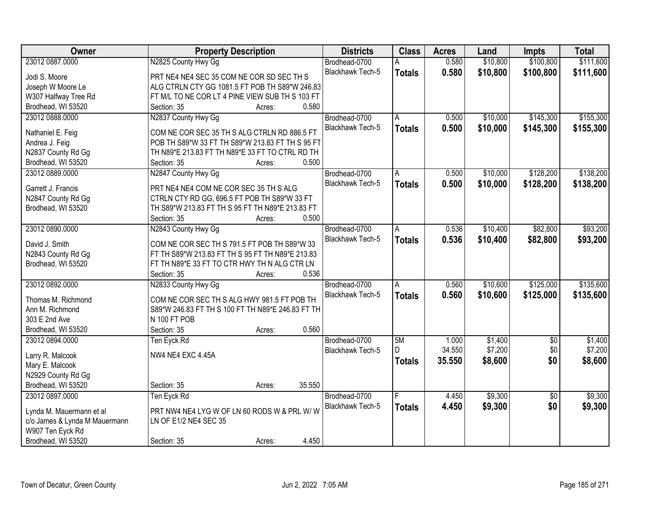| 0.580<br>\$10,800<br>\$100,800<br>23012 0887.0000<br>N2825 County Hwy Gg<br>Brodhead-0700<br>Blackhawk Tech-5<br>0.580<br>\$10,800<br>\$100,800<br><b>Totals</b><br>Jodi S. Moore<br>PRT NE4 NE4 SEC 35 COM NE COR SD SEC TH S |                                                |  |  | \$111,600 |
|--------------------------------------------------------------------------------------------------------------------------------------------------------------------------------------------------------------------------------|------------------------------------------------|--|--|-----------|
|                                                                                                                                                                                                                                |                                                |  |  |           |
|                                                                                                                                                                                                                                |                                                |  |  | \$111,600 |
| Joseph W Moore Le                                                                                                                                                                                                              | ALG CTRLN CTY GG 1081.5 FT POB TH S89*W 246.83 |  |  |           |
| W307 Halfway Tree Rd<br>FT M/L TO NE COR LT 4 PINE VIEW SUB TH S 103 FT                                                                                                                                                        |                                                |  |  |           |
| 0.580<br>Brodhead, WI 53520<br>Section: 35<br>Acres:                                                                                                                                                                           |                                                |  |  |           |
| 23012 0888,0000<br>N2837 County Hwy Gg<br>\$10,000<br>\$145,300<br>Brodhead-0700<br>0.500<br>A                                                                                                                                 |                                                |  |  | \$155,300 |
| Blackhawk Tech-5<br>0.500<br>\$10,000<br>\$145,300<br><b>Totals</b>                                                                                                                                                            |                                                |  |  | \$155,300 |
| COM NE COR SEC 35 TH S ALG CTRLN RD 886.5 FT<br>Nathaniel E. Feig                                                                                                                                                              |                                                |  |  |           |
| POB TH S89*W 33 FT TH S89*W 213.83 FT TH S 95 FT<br>Andrea J. Feig                                                                                                                                                             |                                                |  |  |           |
| N2837 County Rd Gg<br>TH N89*E 213.83 FT TH N89*E 33 FT TO CTRL RD TH<br>0.500                                                                                                                                                 |                                                |  |  |           |
| Brodhead, WI 53520<br>Section: 35<br>Acres:                                                                                                                                                                                    |                                                |  |  |           |
| 23012 0889.0000<br>N2847 County Hwy Gg<br>Brodhead-0700<br>\$10,000<br>\$128,200<br>0.500<br>A                                                                                                                                 |                                                |  |  | \$138,200 |
| <b>Blackhawk Tech-5</b><br>\$10,000<br>\$128,200<br>0.500<br><b>Totals</b><br>Garrett J. Francis<br>PRT NE4 NE4 COM NE COR SEC 35 TH S ALG                                                                                     |                                                |  |  | \$138,200 |
| CTRLN CTY RD GG, 696.5 FT POB TH S89*W 33 FT<br>N2847 County Rd Gg                                                                                                                                                             |                                                |  |  |           |
| TH S89*W 213.83 FT TH S 95 FT TH N89*E 213.83 FT<br>Brodhead, WI 53520                                                                                                                                                         |                                                |  |  |           |
| Section: 35<br>0.500<br>Acres:                                                                                                                                                                                                 |                                                |  |  |           |
| 23012 0890.0000<br>\$82,800<br>N2843 County Hwy Gg<br>\$10,400<br>Brodhead-0700<br>0.536<br>A                                                                                                                                  |                                                |  |  | \$93,200  |
| Blackhawk Tech-5<br>0.536<br>\$10,400<br>\$82,800<br><b>Totals</b>                                                                                                                                                             |                                                |  |  | \$93,200  |
| David J. Smith<br>COM NE COR SEC TH S 791.5 FT POB TH S89*W 33                                                                                                                                                                 |                                                |  |  |           |
| N2843 County Rd Gg<br>FT TH S89*W 213.83 FT TH S 95 FT TH N89*E 213.83                                                                                                                                                         |                                                |  |  |           |
| Brodhead, WI 53520<br>FT TH N89*E 33 FT TO CTR HWY TH N ALG CTR LN                                                                                                                                                             |                                                |  |  |           |
| 0.536<br>Section: 35<br>Acres:                                                                                                                                                                                                 |                                                |  |  |           |
| 23012 0892.0000<br>\$10,600<br>\$125,000<br>N2833 County Hwy Gg<br>0.560<br>Brodhead-0700<br>A                                                                                                                                 |                                                |  |  | \$135,600 |
| 0.560<br>\$125,000<br>Blackhawk Tech-5<br>\$10,600<br><b>Totals</b><br>Thomas M. Richmond<br>COM NE COR SEC TH S ALG HWY 981.5 FT POB TH                                                                                       |                                                |  |  | \$135,600 |
| S89*W 246.83 FT TH S 100 FT TH N89*E 246.83 FT TH<br>Ann M. Richmond                                                                                                                                                           |                                                |  |  |           |
| 303 E 2nd Ave<br>N 100 FT POB                                                                                                                                                                                                  |                                                |  |  |           |
| 0.560<br>Brodhead, WI 53520<br>Section: 35<br>Acres:                                                                                                                                                                           |                                                |  |  |           |
| 23012 0894.0000<br>Brodhead-0700<br>5M<br>\$1,400<br>$\overline{50}$<br>1.000<br>Ten Eyck Rd                                                                                                                                   |                                                |  |  | \$1,400   |
| 34.550<br>\$7,200<br>\$0<br>Blackhawk Tech-5<br>D                                                                                                                                                                              |                                                |  |  | \$7,200   |
| NW4 NE4 EXC 4.45A<br>Larry R. Malcook<br>35.550<br>\$0<br>\$8,600<br><b>Totals</b>                                                                                                                                             |                                                |  |  | \$8,600   |
| Mary E. Malcook                                                                                                                                                                                                                |                                                |  |  |           |
| N2929 County Rd Gg                                                                                                                                                                                                             |                                                |  |  |           |
| Brodhead, WI 53520<br>35.550<br>Section: 35<br>Acres:                                                                                                                                                                          |                                                |  |  |           |
| \$9,300<br>23012 0897.0000<br>Ten Eyck Rd<br>Brodhead-0700<br>4.450<br>$\overline{50}$                                                                                                                                         |                                                |  |  | \$9,300   |
| 4.450<br>\$0<br>Blackhawk Tech-5<br>\$9,300<br><b>Totals</b><br>PRT NW4 NE4 LYG W OF LN 60 RODS W & PRL W/W<br>Lynda M. Mauermann et al                                                                                        |                                                |  |  | \$9,300   |
| c/o James & Lynda M Mauermann<br>LN OF E1/2 NE4 SEC 35                                                                                                                                                                         |                                                |  |  |           |
| W907 Ten Eyck Rd                                                                                                                                                                                                               |                                                |  |  |           |
| 4.450<br>Brodhead, WI 53520<br>Section: 35<br>Acres:                                                                                                                                                                           |                                                |  |  |           |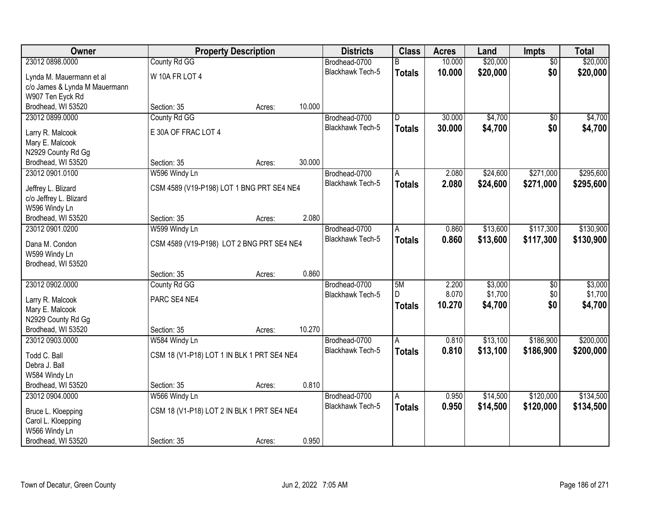| Owner                                   | <b>Property Description</b>                |        |        | <b>Districts</b>        | <b>Class</b>   | <b>Acres</b>   | Land               | Impts                  | <b>Total</b> |
|-----------------------------------------|--------------------------------------------|--------|--------|-------------------------|----------------|----------------|--------------------|------------------------|--------------|
| 23012 0898.0000                         | County Rd GG                               |        |        | Brodhead-0700           | B              | 10.000         | \$20,000           | $\overline{50}$        | \$20,000     |
| Lynda M. Mauermann et al                | W 10A FR LOT 4                             |        |        | Blackhawk Tech-5        | <b>Totals</b>  | 10.000         | \$20,000           | \$0                    | \$20,000     |
| c/o James & Lynda M Mauermann           |                                            |        |        |                         |                |                |                    |                        |              |
| W907 Ten Eyck Rd                        |                                            |        |        |                         |                |                |                    |                        |              |
| Brodhead, WI 53520                      | Section: 35                                | Acres: | 10.000 |                         |                |                |                    |                        |              |
| 23012 0899.0000                         | County Rd GG                               |        |        | Brodhead-0700           | $\overline{D}$ | 30.000         | \$4,700            | $\overline{50}$        | \$4,700      |
| Larry R. Malcook                        | E 30A OF FRAC LOT 4                        |        |        | <b>Blackhawk Tech-5</b> | <b>Totals</b>  | 30.000         | \$4,700            | \$0                    | \$4,700      |
| Mary E. Malcook                         |                                            |        |        |                         |                |                |                    |                        |              |
| N2929 County Rd Gg                      |                                            |        |        |                         |                |                |                    |                        |              |
| Brodhead, WI 53520                      | Section: 35                                | Acres: | 30.000 |                         |                |                |                    |                        |              |
| 23012 0901.0100                         | W596 Windy Ln                              |        |        | Brodhead-0700           | A              | 2.080          | \$24,600           | \$271,000              | \$295,600    |
|                                         |                                            |        |        | Blackhawk Tech-5        | <b>Totals</b>  | 2.080          | \$24,600           | \$271,000              | \$295,600    |
| Jeffrey L. Blizard                      | CSM 4589 (V19-P198) LOT 1 BNG PRT SE4 NE4  |        |        |                         |                |                |                    |                        |              |
| c/o Jeffrey L. Blizard<br>W596 Windy Ln |                                            |        |        |                         |                |                |                    |                        |              |
| Brodhead, WI 53520                      | Section: 35                                | Acres: | 2.080  |                         |                |                |                    |                        |              |
| 23012 0901.0200                         | W599 Windy Ln                              |        |        | Brodhead-0700           | A              | 0.860          | \$13,600           | \$117,300              | \$130,900    |
|                                         |                                            |        |        | <b>Blackhawk Tech-5</b> | <b>Totals</b>  | 0.860          | \$13,600           | \$117,300              | \$130,900    |
| Dana M. Condon                          | CSM 4589 (V19-P198) LOT 2 BNG PRT SE4 NE4  |        |        |                         |                |                |                    |                        |              |
| W599 Windy Ln                           |                                            |        |        |                         |                |                |                    |                        |              |
| Brodhead, WI 53520                      |                                            |        | 0.860  |                         |                |                |                    |                        |              |
|                                         | Section: 35                                | Acres: |        |                         |                |                |                    |                        | \$3,000      |
| 23012 0902.0000                         | County Rd GG                               |        |        | Brodhead-0700           | 5M<br>D.       | 2.200<br>8.070 | \$3,000<br>\$1,700 | $\overline{50}$<br>\$0 | \$1,700      |
| Larry R. Malcook                        | PARC SE4 NE4                               |        |        | Blackhawk Tech-5        |                | 10.270         | \$4,700            | \$0                    | \$4,700      |
| Mary E. Malcook                         |                                            |        |        |                         | <b>Totals</b>  |                |                    |                        |              |
| N2929 County Rd Gg                      |                                            |        |        |                         |                |                |                    |                        |              |
| Brodhead, WI 53520                      | Section: 35                                | Acres: | 10.270 |                         |                |                |                    |                        |              |
| 23012 0903.0000                         | W584 Windy Ln                              |        |        | Brodhead-0700           | A              | 0.810          | \$13,100           | \$186,900              | \$200,000    |
| Todd C. Ball                            | CSM 18 (V1-P18) LOT 1 IN BLK 1 PRT SE4 NE4 |        |        | Blackhawk Tech-5        | <b>Totals</b>  | 0.810          | \$13,100           | \$186,900              | \$200,000    |
| Debra J. Ball                           |                                            |        |        |                         |                |                |                    |                        |              |
| W584 Windy Ln                           |                                            |        |        |                         |                |                |                    |                        |              |
| Brodhead, WI 53520                      | Section: 35                                | Acres: | 0.810  |                         |                |                |                    |                        |              |
| 23012 0904.0000                         | W566 Windy Ln                              |        |        | Brodhead-0700           | A              | 0.950          | \$14,500           | \$120,000              | \$134,500    |
| Bruce L. Kloepping                      | CSM 18 (V1-P18) LOT 2 IN BLK 1 PRT SE4 NE4 |        |        | Blackhawk Tech-5        | <b>Totals</b>  | 0.950          | \$14,500           | \$120,000              | \$134,500    |
| Carol L. Kloepping                      |                                            |        |        |                         |                |                |                    |                        |              |
| W566 Windy Ln                           |                                            |        |        |                         |                |                |                    |                        |              |
| Brodhead, WI 53520                      | Section: 35                                | Acres: | 0.950  |                         |                |                |                    |                        |              |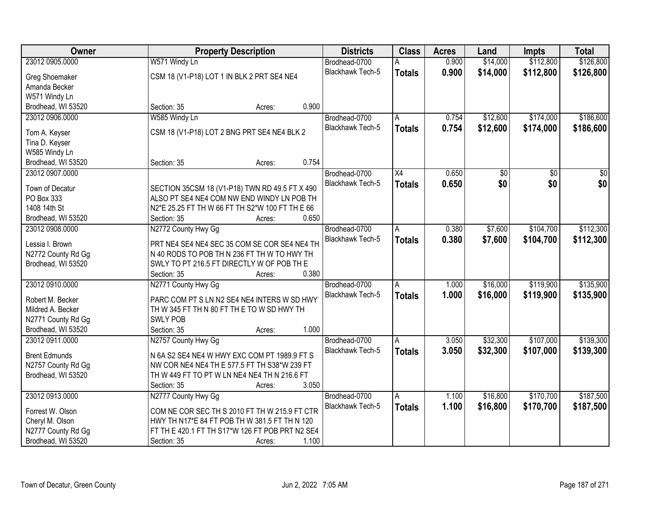| Owner                | <b>Property Description</b>                     | <b>Districts</b>        | <b>Class</b>    | <b>Acres</b> | Land     | <b>Impts</b>    | <b>Total</b>    |
|----------------------|-------------------------------------------------|-------------------------|-----------------|--------------|----------|-----------------|-----------------|
| 23012 0905.0000      | W571 Windy Ln                                   | Brodhead-0700           |                 | 0.900        | \$14,000 | \$112,800       | \$126,800       |
| Greg Shoemaker       | CSM 18 (V1-P18) LOT 1 IN BLK 2 PRT SE4 NE4      | Blackhawk Tech-5        | <b>Totals</b>   | 0.900        | \$14,000 | \$112,800       | \$126,800       |
| Amanda Becker        |                                                 |                         |                 |              |          |                 |                 |
| W571 Windy Ln        |                                                 |                         |                 |              |          |                 |                 |
| Brodhead, WI 53520   | 0.900<br>Section: 35<br>Acres:                  |                         |                 |              |          |                 |                 |
| 23012 0906.0000      | W585 Windy Ln                                   | Brodhead-0700           | A               | 0.754        | \$12,600 | \$174,000       | \$186,600       |
|                      |                                                 | <b>Blackhawk Tech-5</b> |                 | 0.754        | \$12,600 | \$174,000       |                 |
| Tom A. Keyser        | CSM 18 (V1-P18) LOT 2 BNG PRT SE4 NE4 BLK 2     |                         | <b>Totals</b>   |              |          |                 | \$186,600       |
| Tina D. Keyser       |                                                 |                         |                 |              |          |                 |                 |
| W585 Windy Ln        |                                                 |                         |                 |              |          |                 |                 |
| Brodhead, WI 53520   | 0.754<br>Section: 35<br>Acres:                  |                         |                 |              |          |                 |                 |
| 23012 0907.0000      |                                                 | Brodhead-0700           | $\overline{X4}$ | 0.650        | \$0      | $\overline{50}$ | $\overline{50}$ |
|                      |                                                 | Blackhawk Tech-5        | <b>Totals</b>   | 0.650        | \$0      | \$0             | \$0             |
| Town of Decatur      | SECTION 35CSM 18 (V1-P18) TWN RD 49.5 FT X 490  |                         |                 |              |          |                 |                 |
| PO Box 333           | ALSO PT SE4 NE4 COM NW END WINDY LN POB TH      |                         |                 |              |          |                 |                 |
| 1408 14th St         | N2*E 25.25 FT TH W 66 FT TH S2*W 100 FT TH E 66 |                         |                 |              |          |                 |                 |
| Brodhead, WI 53520   | Section: 35<br>0.650<br>Acres:                  |                         |                 |              |          |                 |                 |
| 23012 0908,0000      | N2772 County Hwy Gg                             | Brodhead-0700           | A               | 0.380        | \$7,600  | \$104,700       | \$112,300       |
| Lessia I. Brown      | PRT NE4 SE4 NE4 SEC 35 COM SE COR SE4 NE4 TH    | Blackhawk Tech-5        | <b>Totals</b>   | 0.380        | \$7,600  | \$104,700       | \$112,300       |
| N2772 County Rd Gg   | N 40 RODS TO POB TH N 236 FT TH W TO HWY TH     |                         |                 |              |          |                 |                 |
| Brodhead, WI 53520   | SWLY TO PT 216.5 FT DIRECTLY W OF POB TH E      |                         |                 |              |          |                 |                 |
|                      | 0.380<br>Section: 35<br>Acres:                  |                         |                 |              |          |                 |                 |
| 23012 0910.0000      | N2771 County Hwy Gg                             | Brodhead-0700           | A               | 1.000        | \$16,000 | \$119,900       | \$135,900       |
|                      |                                                 | Blackhawk Tech-5        | <b>Totals</b>   | 1.000        | \$16,000 | \$119,900       | \$135,900       |
| Robert M. Becker     | PARC COM PT S LN N2 SE4 NE4 INTERS W SD HWY     |                         |                 |              |          |                 |                 |
| Mildred A. Becker    | TH W 345 FT TH N 80 FT TH E TO W SD HWY TH      |                         |                 |              |          |                 |                 |
| N2771 County Rd Gg   | <b>SWLY POB</b>                                 |                         |                 |              |          |                 |                 |
| Brodhead, WI 53520   | 1.000<br>Section: 35<br>Acres:                  |                         |                 |              |          |                 |                 |
| 23012 0911.0000      | N2757 County Hwy Gg                             | Brodhead-0700           | A               | 3.050        | \$32,300 | \$107,000       | \$139,300       |
| <b>Brent Edmunds</b> | N 6A S2 SE4 NE4 W HWY EXC COM PT 1989.9 FT S    | Blackhawk Tech-5        | <b>Totals</b>   | 3.050        | \$32,300 | \$107,000       | \$139,300       |
| N2757 County Rd Gg   | NW COR NE4 NE4 TH E 577.5 FT TH S38*W 239 FT    |                         |                 |              |          |                 |                 |
| Brodhead, WI 53520   | TH W 449 FT TO PT W LN NE4 NE4 TH N 216.6 FT    |                         |                 |              |          |                 |                 |
|                      | 3.050<br>Section: 35<br>Acres:                  |                         |                 |              |          |                 |                 |
| 23012 0913.0000      | N2777 County Hwy Gg                             | Brodhead-0700           | Α               | 1.100        | \$16,800 | \$170,700       | \$187,500       |
|                      |                                                 | Blackhawk Tech-5        | <b>Totals</b>   | 1.100        | \$16,800 | \$170,700       | \$187,500       |
| Forrest W. Olson     | COM NE COR SEC TH S 2010 FT TH W 215.9 FT CTR   |                         |                 |              |          |                 |                 |
| Cheryl M. Olson      | HWY TH N17*E 84 FT POB TH W 381.5 FT TH N 120   |                         |                 |              |          |                 |                 |
| N2777 County Rd Gg   | FT TH E 420.1 FT TH S17*W 126 FT POB PRT N2 SE4 |                         |                 |              |          |                 |                 |
| Brodhead, WI 53520   | 1.100<br>Section: 35<br>Acres:                  |                         |                 |              |          |                 |                 |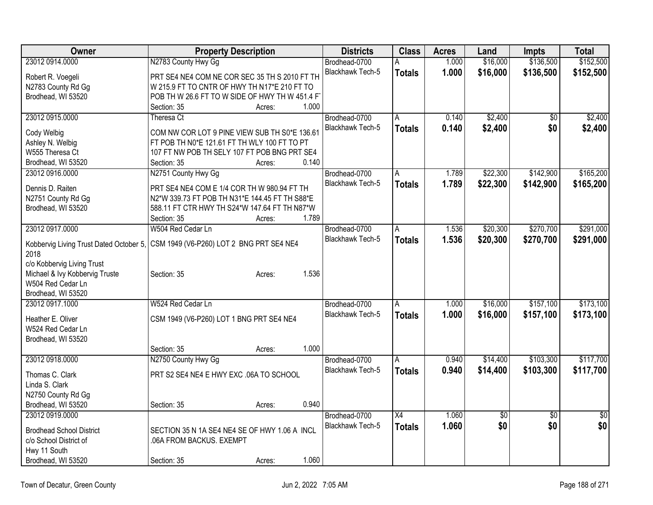| <b>Owner</b>                            | <b>Property Description</b>                    |                 | <b>Districts</b>        | <b>Class</b>  | <b>Acres</b> | Land        | <b>Impts</b>    | <b>Total</b>    |
|-----------------------------------------|------------------------------------------------|-----------------|-------------------------|---------------|--------------|-------------|-----------------|-----------------|
| 23012 0914.0000                         | N2783 County Hwy Gg                            |                 | Brodhead-0700           | А             | 1.000        | \$16,000    | \$136,500       | \$152,500       |
| Robert R. Voegeli                       | PRT SE4 NE4 COM NE COR SEC 35 TH S 2010 FT TH  |                 | Blackhawk Tech-5        | <b>Totals</b> | 1.000        | \$16,000    | \$136,500       | \$152,500       |
| N2783 County Rd Gg                      | W 215.9 FT TO CNTR OF HWY TH N17*E 210 FT TO   |                 |                         |               |              |             |                 |                 |
| Brodhead, WI 53520                      | POB TH W 26.6 FT TO W SIDE OF HWY TH W 451.4 F |                 |                         |               |              |             |                 |                 |
|                                         | Section: 35                                    | 1.000<br>Acres: |                         |               |              |             |                 |                 |
| 23012 0915.0000                         | Theresa Ct                                     |                 | Brodhead-0700           | A             | 0.140        | \$2,400     | $\overline{50}$ | \$2,400         |
| Cody Welbig                             | COM NW COR LOT 9 PINE VIEW SUB TH S0*E 136.61  |                 | Blackhawk Tech-5        | <b>Totals</b> | 0.140        | \$2,400     | \$0             | \$2,400         |
| Ashley N. Welbig                        | FT POB TH N0*E 121.61 FT TH WLY 100 FT TO PT   |                 |                         |               |              |             |                 |                 |
| W555 Theresa Ct                         | 107 FT NW POB TH SELY 107 FT POB BNG PRT SE4   |                 |                         |               |              |             |                 |                 |
| Brodhead, WI 53520                      | Section: 35                                    | 0.140<br>Acres: |                         |               |              |             |                 |                 |
| 23012 0916.0000                         | N2751 County Hwy Gg                            |                 | Brodhead-0700           | A             | 1.789        | \$22,300    | \$142,900       | \$165,200       |
| Dennis D. Raiten                        | PRT SE4 NE4 COM E 1/4 COR TH W 980.94 FT TH    |                 | <b>Blackhawk Tech-5</b> | <b>Totals</b> | 1.789        | \$22,300    | \$142,900       | \$165,200       |
| N2751 County Rd Gg                      | N2*W 339.73 FT POB TH N31*E 144.45 FT TH S88*E |                 |                         |               |              |             |                 |                 |
| Brodhead, WI 53520                      | 588.11 FT CTR HWY TH S24*W 147.64 FT TH N87*W  |                 |                         |               |              |             |                 |                 |
|                                         | Section: 35                                    | 1.789<br>Acres: |                         |               |              |             |                 |                 |
| 23012 0917.0000                         | W504 Red Cedar Ln                              |                 | Brodhead-0700           | A             | 1.536        | \$20,300    | \$270,700       | \$291,000       |
|                                         |                                                |                 | <b>Blackhawk Tech-5</b> | <b>Totals</b> | 1.536        | \$20,300    | \$270,700       | \$291,000       |
| Kobbervig Living Trust Dated October 5, | CSM 1949 (V6-P260) LOT 2 BNG PRT SE4 NE4       |                 |                         |               |              |             |                 |                 |
| 2018<br>c/o Kobbervig Living Trust      |                                                |                 |                         |               |              |             |                 |                 |
| Michael & Ivy Kobbervig Truste          | Section: 35                                    | 1.536<br>Acres: |                         |               |              |             |                 |                 |
| W504 Red Cedar Ln                       |                                                |                 |                         |               |              |             |                 |                 |
| Brodhead, WI 53520                      |                                                |                 |                         |               |              |             |                 |                 |
| 23012 0917.1000                         | W524 Red Cedar Ln                              |                 | Brodhead-0700           | l A           | 1.000        | \$16,000    | \$157,100       | \$173,100       |
| Heather E. Oliver                       | CSM 1949 (V6-P260) LOT 1 BNG PRT SE4 NE4       |                 | <b>Blackhawk Tech-5</b> | <b>Totals</b> | 1.000        | \$16,000    | \$157,100       | \$173,100       |
| W524 Red Cedar Ln                       |                                                |                 |                         |               |              |             |                 |                 |
| Brodhead, WI 53520                      |                                                |                 |                         |               |              |             |                 |                 |
|                                         | Section: 35                                    | 1.000<br>Acres: |                         |               |              |             |                 |                 |
| 23012 0918.0000                         | N2750 County Hwy Gg                            |                 | Brodhead-0700           | A             | 0.940        | \$14,400    | \$103,300       | \$117,700       |
|                                         |                                                |                 | <b>Blackhawk Tech-5</b> | <b>Totals</b> | 0.940        | \$14,400    | \$103,300       | \$117,700       |
| Thomas C. Clark                         | PRT S2 SE4 NE4 E HWY EXC .06A TO SCHOOL        |                 |                         |               |              |             |                 |                 |
| Linda S. Clark<br>N2750 County Rd Gg    |                                                |                 |                         |               |              |             |                 |                 |
| Brodhead, WI 53520                      | Section: 35                                    | 0.940<br>Acres: |                         |               |              |             |                 |                 |
| 23012 0919.0000                         |                                                |                 | Brodhead-0700           | X4            | 1.060        | $\sqrt{$0}$ | $\overline{30}$ | $\overline{50}$ |
|                                         |                                                |                 | <b>Blackhawk Tech-5</b> | <b>Totals</b> | 1.060        | \$0         | \$0             | \$0             |
| <b>Brodhead School District</b>         | SECTION 35 N 1A SE4 NE4 SE OF HWY 1.06 A INCL  |                 |                         |               |              |             |                 |                 |
| c/o School District of                  | .06A FROM BACKUS. EXEMPT                       |                 |                         |               |              |             |                 |                 |
| Hwy 11 South                            |                                                |                 |                         |               |              |             |                 |                 |
| Brodhead, WI 53520                      | Section: 35                                    | 1.060<br>Acres: |                         |               |              |             |                 |                 |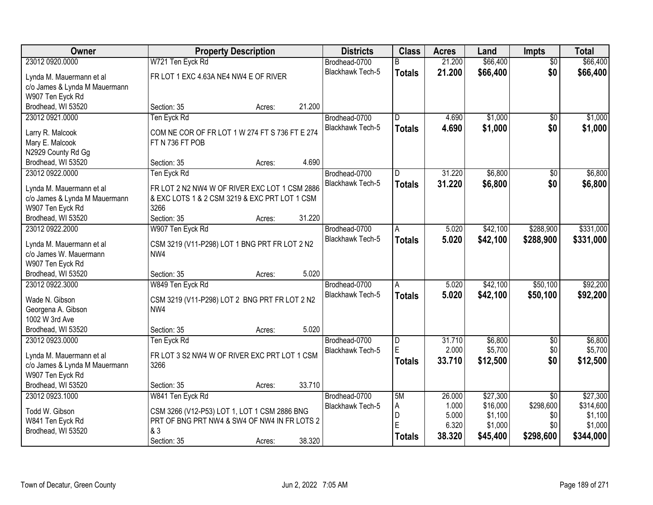| Owner                                              |                                                      | <b>Property Description</b> |        | <b>Districts</b>        | <b>Class</b>   | <b>Acres</b> | Land     | Impts           | <b>Total</b> |
|----------------------------------------------------|------------------------------------------------------|-----------------------------|--------|-------------------------|----------------|--------------|----------|-----------------|--------------|
| 23012 0920.0000                                    | W721 Ten Eyck Rd                                     |                             |        | Brodhead-0700           | R.             | 21.200       | \$66,400 | $\overline{50}$ | \$66,400     |
| Lynda M. Mauermann et al                           | FR LOT 1 EXC 4.63A NE4 NW4 E OF RIVER                |                             |        | Blackhawk Tech-5        | <b>Totals</b>  | 21.200       | \$66,400 | \$0             | \$66,400     |
| c/o James & Lynda M Mauermann                      |                                                      |                             |        |                         |                |              |          |                 |              |
| W907 Ten Eyck Rd                                   |                                                      |                             |        |                         |                |              |          |                 |              |
| Brodhead, WI 53520                                 | Section: 35                                          | Acres:                      | 21.200 |                         |                |              |          |                 |              |
| 23012 0921.0000                                    | Ten Eyck Rd                                          |                             |        | Brodhead-0700           | $\overline{D}$ | 4.690        | \$1,000  | \$0             | \$1,000      |
|                                                    |                                                      |                             |        | <b>Blackhawk Tech-5</b> | <b>Totals</b>  | 4.690        | \$1,000  | \$0             | \$1,000      |
| Larry R. Malcook                                   | COM NE COR OF FR LOT 1 W 274 FT S 736 FT E 274       |                             |        |                         |                |              |          |                 |              |
| Mary E. Malcook                                    | FT N 736 FT POB                                      |                             |        |                         |                |              |          |                 |              |
| N2929 County Rd Gg                                 |                                                      |                             |        |                         |                |              |          |                 |              |
| Brodhead, WI 53520                                 | Section: 35                                          | Acres:                      | 4.690  |                         |                |              |          |                 |              |
| 23012 0922.0000                                    | Ten Eyck Rd                                          |                             |        | Brodhead-0700           | D              | 31.220       | \$6,800  | $\overline{50}$ | \$6,800      |
| Lynda M. Mauermann et al                           | FR LOT 2 N2 NW4 W OF RIVER EXC LOT 1 CSM 2886        |                             |        | Blackhawk Tech-5        | <b>Totals</b>  | 31.220       | \$6,800  | \$0             | \$6,800      |
| c/o James & Lynda M Mauermann                      | & EXC LOTS 1 & 2 CSM 3219 & EXC PRT LOT 1 CSM        |                             |        |                         |                |              |          |                 |              |
| W907 Ten Eyck Rd                                   | 3266                                                 |                             |        |                         |                |              |          |                 |              |
| Brodhead, WI 53520                                 | Section: 35                                          | Acres:                      | 31.220 |                         |                |              |          |                 |              |
| 23012 0922.2000                                    | W907 Ten Eyck Rd                                     |                             |        | Brodhead-0700           | A              | 5.020        | \$42,100 | \$288,900       | \$331,000    |
|                                                    |                                                      |                             |        | Blackhawk Tech-5        | <b>Totals</b>  | 5.020        | \$42,100 | \$288,900       | \$331,000    |
| Lynda M. Mauermann et al<br>c/o James W. Mauermann | CSM 3219 (V11-P298) LOT 1 BNG PRT FR LOT 2 N2<br>NW4 |                             |        |                         |                |              |          |                 |              |
| W907 Ten Eyck Rd                                   |                                                      |                             |        |                         |                |              |          |                 |              |
| Brodhead, WI 53520                                 | Section: 35                                          | Acres:                      | 5.020  |                         |                |              |          |                 |              |
| 23012 0922.3000                                    | W849 Ten Eyck Rd                                     |                             |        | Brodhead-0700           | A              | 5.020        | \$42,100 | \$50,100        | \$92,200     |
|                                                    |                                                      |                             |        | Blackhawk Tech-5        |                | 5.020        |          |                 |              |
| Wade N. Gibson                                     | CSM 3219 (V11-P298) LOT 2 BNG PRT FR LOT 2 N2        |                             |        |                         | <b>Totals</b>  |              | \$42,100 | \$50,100        | \$92,200     |
| Georgena A. Gibson                                 | NW <sub>4</sub>                                      |                             |        |                         |                |              |          |                 |              |
| 1002 W 3rd Ave                                     |                                                      |                             |        |                         |                |              |          |                 |              |
| Brodhead, WI 53520                                 | Section: 35                                          | Acres:                      | 5.020  |                         |                |              |          |                 |              |
| 23012 0923.0000                                    | Ten Eyck Rd                                          |                             |        | Brodhead-0700           | D              | 31.710       | \$6,800  | $\sqrt{6}$      | \$6,800      |
| Lynda M. Mauermann et al                           | FR LOT 3 S2 NW4 W OF RIVER EXC PRT LOT 1 CSM         |                             |        | Blackhawk Tech-5        | E              | 2.000        | \$5,700  | \$0             | \$5,700      |
| c/o James & Lynda M Mauermann                      | 3266                                                 |                             |        |                         | <b>Totals</b>  | 33.710       | \$12,500 | \$0             | \$12,500     |
| W907 Ten Eyck Rd                                   |                                                      |                             |        |                         |                |              |          |                 |              |
| Brodhead, WI 53520                                 | Section: 35                                          | Acres:                      | 33.710 |                         |                |              |          |                 |              |
| 23012 0923.1000                                    | W841 Ten Eyck Rd                                     |                             |        | Brodhead-0700           | 5M             | 26.000       | \$27,300 | $\overline{50}$ | \$27,300     |
|                                                    |                                                      |                             |        | Blackhawk Tech-5        | А              | 1.000        | \$16,000 | \$298,600       | \$314,600    |
| Todd W. Gibson                                     | CSM 3266 (V12-P53) LOT 1, LOT 1 CSM 2886 BNG         |                             |        |                         | D              | 5.000        | \$1,100  | \$0             | \$1,100      |
| W841 Ten Eyck Rd                                   | PRT OF BNG PRT NW4 & SW4 OF NW4 IN FR LOTS 2         |                             |        |                         | E              | 6.320        | \$1,000  | \$0             | \$1,000      |
| Brodhead, WI 53520                                 | & 3                                                  |                             |        |                         | <b>Totals</b>  | 38.320       | \$45,400 | \$298,600       | \$344,000    |
|                                                    | Section: 35                                          | Acres:                      | 38.320 |                         |                |              |          |                 |              |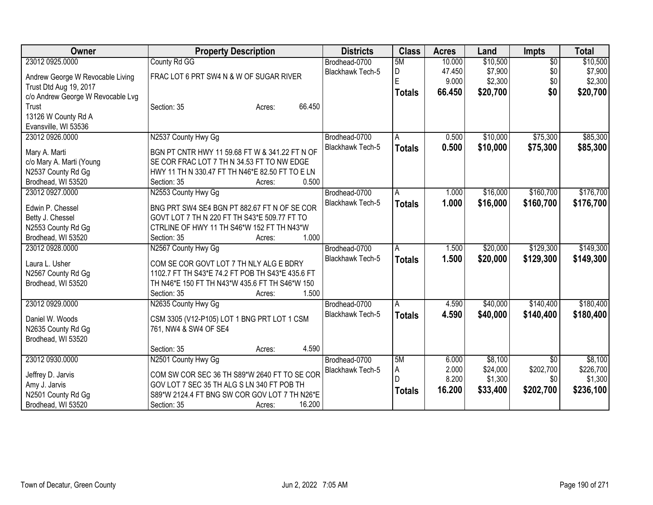| Owner                             | <b>Property Description</b>                      | <b>Districts</b>        | <b>Class</b>  | <b>Acres</b> | Land     | <b>Impts</b>    | <b>Total</b> |
|-----------------------------------|--------------------------------------------------|-------------------------|---------------|--------------|----------|-----------------|--------------|
| 23012 0925.0000                   | County Rd GG                                     | Brodhead-0700           | 5M            | 10.000       | \$10,500 | $\overline{50}$ | \$10,500     |
| Andrew George W Revocable Living  | FRAC LOT 6 PRT SW4 N & W OF SUGAR RIVER          | <b>Blackhawk Tech-5</b> | D             | 47.450       | \$7,900  | \$0             | \$7,900      |
| Trust Dtd Aug 19, 2017            |                                                  |                         | E             | 9.000        | \$2,300  | \$0             | \$2,300      |
| c/o Andrew George W Revocable Lvg |                                                  |                         | Totals        | 66.450       | \$20,700 | \$0             | \$20,700     |
| Trust                             | 66.450<br>Section: 35<br>Acres:                  |                         |               |              |          |                 |              |
| 13126 W County Rd A               |                                                  |                         |               |              |          |                 |              |
| Evansville, WI 53536              |                                                  |                         |               |              |          |                 |              |
| 23012 0926.0000                   | N2537 County Hwy Gg                              | Brodhead-0700           | A             | 0.500        | \$10,000 | \$75,300        | \$85,300     |
|                                   |                                                  | Blackhawk Tech-5        | <b>Totals</b> | 0.500        | \$10,000 | \$75,300        | \$85,300     |
| Mary A. Marti                     | BGN PT CNTR HWY 11 59.68 FT W & 341.22 FT N OF   |                         |               |              |          |                 |              |
| c/o Mary A. Marti (Young          | SE COR FRAC LOT 7 TH N 34.53 FT TO NW EDGE       |                         |               |              |          |                 |              |
| N2537 County Rd Gg                | HWY 11 TH N 330.47 FT TH N46*E 82.50 FT TO E LN  |                         |               |              |          |                 |              |
| Brodhead, WI 53520                | 0.500<br>Section: 35<br>Acres:                   |                         |               |              |          |                 |              |
| 23012 0927.0000                   | N2553 County Hwy Gg                              | Brodhead-0700           | A             | 1.000        | \$16,000 | \$160,700       | \$176,700    |
| Edwin P. Chessel                  | BNG PRT SW4 SE4 BGN PT 882.67 FT N OF SE COR     | Blackhawk Tech-5        | <b>Totals</b> | 1.000        | \$16,000 | \$160,700       | \$176,700    |
| Betty J. Chessel                  | GOVT LOT 7 TH N 220 FT TH S43*E 509.77 FT TO     |                         |               |              |          |                 |              |
| N2553 County Rd Gg                | CTRLINE OF HWY 11 TH S46*W 152 FT TH N43*W       |                         |               |              |          |                 |              |
| Brodhead, WI 53520                | 1.000<br>Section: 35<br>Acres:                   |                         |               |              |          |                 |              |
| 23012 0928.0000                   | N2567 County Hwy Gg                              | Brodhead-0700           | A             | 1.500        | \$20,000 | \$129,300       | \$149,300    |
|                                   |                                                  | <b>Blackhawk Tech-5</b> | <b>Totals</b> | 1.500        | \$20,000 | \$129,300       | \$149,300    |
| Laura L. Usher                    | COM SE COR GOVT LOT 7 TH NLY ALG E BDRY          |                         |               |              |          |                 |              |
| N2567 County Rd Gg                | 1102.7 FT TH S43*E 74.2 FT POB TH S43*E 435.6 FT |                         |               |              |          |                 |              |
| Brodhead, WI 53520                | TH N46*E 150 FT TH N43*W 435.6 FT TH S46*W 150   |                         |               |              |          |                 |              |
|                                   | 1.500<br>Section: 35<br>Acres:                   |                         |               |              |          |                 |              |
| 23012 0929.0000                   | N2635 County Hwy Gg                              | Brodhead-0700           | A             | 4.590        | \$40,000 | \$140,400       | \$180,400    |
| Daniel W. Woods                   | CSM 3305 (V12-P105) LOT 1 BNG PRT LOT 1 CSM      | Blackhawk Tech-5        | <b>Totals</b> | 4.590        | \$40,000 | \$140,400       | \$180,400    |
| N2635 County Rd Gg                | 761, NW4 & SW4 OF SE4                            |                         |               |              |          |                 |              |
| Brodhead, WI 53520                |                                                  |                         |               |              |          |                 |              |
|                                   | 4.590<br>Section: 35<br>Acres:                   |                         |               |              |          |                 |              |
| 23012 0930.0000                   | N2501 County Hwy Gg                              | Brodhead-0700           | 5M            | 6.000        | \$8,100  | $\overline{30}$ | \$8,100      |
|                                   |                                                  | Blackhawk Tech-5        | Α             | 2.000        | \$24,000 | \$202,700       | \$226,700    |
| Jeffrey D. Jarvis                 | COM SW COR SEC 36 TH S89*W 2640 FT TO SE COR     |                         | D             | 8.200        | \$1,300  | \$0             | \$1,300      |
| Amy J. Jarvis                     | GOV LOT 7 SEC 35 TH ALG S LN 340 FT POB TH       |                         | <b>Totals</b> | 16.200       | \$33,400 | \$202,700       | \$236,100    |
| N2501 County Rd Gg                | S89*W 2124.4 FT BNG SW COR GOV LOT 7 TH N26*E    |                         |               |              |          |                 |              |
| Brodhead, WI 53520                | 16.200<br>Section: 35<br>Acres:                  |                         |               |              |          |                 |              |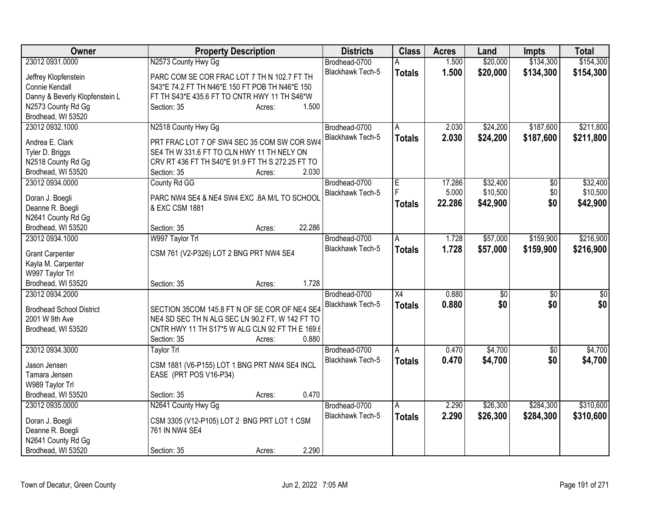| \$20,000<br>\$134,300<br>23012 0931.0000<br>N2573 County Hwy Gg<br>1.500<br>Brodhead-0700<br>А<br>Blackhawk Tech-5<br>1.500<br>\$20,000<br>\$134,300<br><b>Totals</b> | \$154,300<br>\$154,300 |
|-----------------------------------------------------------------------------------------------------------------------------------------------------------------------|------------------------|
|                                                                                                                                                                       |                        |
| PARC COM SE COR FRAC LOT 7 TH N 102.7 FT TH<br>Jeffrey Klopfenstein                                                                                                   |                        |
| Connie Kendall<br>S43*E 74.2 FT TH N46*E 150 FT POB TH N46*E 150                                                                                                      |                        |
| Danny & Beverly Klopfenstein L<br>FT TH S43*E 435.6 FT TO CNTR HWY 11 TH S46*W                                                                                        |                        |
| N2573 County Rd Gg<br>1.500<br>Section: 35<br>Acres:                                                                                                                  |                        |
| Brodhead, WI 53520                                                                                                                                                    |                        |
| 23012 0932.1000<br>\$24,200<br>\$187,600<br>N2518 County Hwy Gg<br>Brodhead-0700<br>2.030<br>A                                                                        | \$211,800              |
| \$24,200<br>\$187,600<br>Blackhawk Tech-5<br>2.030<br><b>Totals</b>                                                                                                   | \$211,800              |
| Andrea E. Clark<br>PRT FRAC LOT 7 OF SW4 SEC 35 COM SW COR SW4                                                                                                        |                        |
| SE4 TH W 331.6 FT TO CLN HWY 11 TH NELY ON<br>Tyler D. Briggs                                                                                                         |                        |
| N2518 County Rd Gg<br>CRV RT 436 FT TH S40*E 91.9 FT TH S 272.25 FT TO                                                                                                |                        |
| Brodhead, WI 53520<br>2.030<br>Section: 35<br>Acres:                                                                                                                  |                        |
| 23012 0934.0000<br>\$32,400<br>County Rd GG<br>Brodhead-0700<br>17.286<br>\$0<br>Е                                                                                    | \$32,400               |
| \$10,500<br>5.000<br>\$0<br><b>Blackhawk Tech-5</b><br>Doran J. Boegli<br>PARC NW4 SE4 & NE4 SW4 EXC .8A M/L TO SCHOOL                                                | \$10,500               |
| 22.286<br>\$42,900<br>\$0<br><b>Totals</b><br>Deanne R. Boegli<br>& EXC CSM 1881                                                                                      | \$42,900               |
| N2641 County Rd Gg                                                                                                                                                    |                        |
| 22.286<br>Brodhead, WI 53520<br>Section: 35<br>Acres:                                                                                                                 |                        |
| 23012 0934.1000<br>\$159,900<br>W997 Taylor Trl<br>Brodhead-0700<br>1.728<br>\$57,000<br>A                                                                            | \$216,900              |
| Blackhawk Tech-5<br>1.728<br>\$57,000<br>\$159,900<br><b>Totals</b>                                                                                                   | \$216,900              |
| <b>Grant Carpenter</b><br>CSM 761 (V2-P326) LOT 2 BNG PRT NW4 SE4                                                                                                     |                        |
| Kayla M. Carpenter                                                                                                                                                    |                        |
| W997 Taylor Trl                                                                                                                                                       |                        |
| 1.728<br>Brodhead, WI 53520<br>Section: 35<br>Acres:                                                                                                                  |                        |
| 23012 0934.2000<br>$\overline{X4}$<br>0.880<br>Brodhead-0700<br>\$0<br>\$0                                                                                            | \$0                    |
| \$0<br>Blackhawk Tech-5<br>0.880<br>\$0<br><b>Totals</b><br><b>Brodhead School District</b><br>SECTION 35COM 145.8 FT N OF SE COR OF NE4 SE4                          | \$0                    |
| NE4 SD SEC TH N ALG SEC LN 90.2 FT, W 142 FT TO<br>2001 W 9th Ave                                                                                                     |                        |
| CNTR HWY 11 TH S17*5 W ALG CLN 92 FT TH E 169.6<br>Brodhead, WI 53520                                                                                                 |                        |
| 0.880<br>Section: 35<br>Acres:                                                                                                                                        |                        |
| 23012 0934.3000<br>\$4,700<br>Brodhead-0700<br>0.470<br>$\overline{50}$<br>Taylor Trl<br>A                                                                            | \$4,700                |
| 0.470<br>\$0<br><b>Blackhawk Tech-5</b><br>\$4,700<br><b>Totals</b>                                                                                                   | \$4,700                |
| CSM 1881 (V6-P155) LOT 1 BNG PRT NW4 SE4 INCL<br>Jason Jensen                                                                                                         |                        |
| EASE (PRT POS V16-P34)<br>Tamara Jensen                                                                                                                               |                        |
| W989 Taylor Trl                                                                                                                                                       |                        |
| 0.470<br>Brodhead, WI 53520<br>Section: 35<br>Acres:                                                                                                                  |                        |
| N2641 County Hwy Gg<br>23012 0935,0000<br>2.290<br>\$26,300<br>\$284,300<br>Brodhead-0700<br>A                                                                        | \$310,600              |
| 2.290<br>Blackhawk Tech-5<br>\$26,300<br>\$284,300<br><b>Totals</b><br>CSM 3305 (V12-P105) LOT 2 BNG PRT LOT 1 CSM<br>Doran J. Boegli                                 | \$310,600              |
| 761 IN NW4 SE4<br>Deanne R. Boegli                                                                                                                                    |                        |
| N2641 County Rd Gg                                                                                                                                                    |                        |
| Brodhead, WI 53520<br>2.290<br>Section: 35<br>Acres:                                                                                                                  |                        |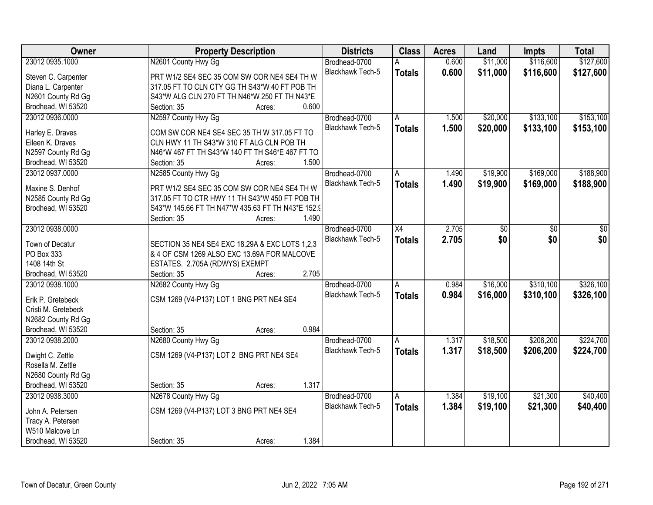| Owner               | <b>Property Description</b>                       | <b>Districts</b>        | <b>Class</b>  | <b>Acres</b> | Land     | <b>Impts</b> | <b>Total</b> |
|---------------------|---------------------------------------------------|-------------------------|---------------|--------------|----------|--------------|--------------|
| 23012 0935.1000     | N2601 County Hwy Gg                               | Brodhead-0700           |               | 0.600        | \$11,000 | \$116,600    | \$127,600    |
| Steven C. Carpenter | PRT W1/2 SE4 SEC 35 COM SW COR NE4 SE4 TH W       | Blackhawk Tech-5        | <b>Totals</b> | 0.600        | \$11,000 | \$116,600    | \$127,600    |
| Diana L. Carpenter  | 317.05 FT TO CLN CTY GG TH S43*W 40 FT POB TH     |                         |               |              |          |              |              |
| N2601 County Rd Gg  | S43*W ALG CLN 270 FT TH N46*W 250 FT TH N43*E     |                         |               |              |          |              |              |
| Brodhead, WI 53520  | 0.600<br>Section: 35<br>Acres:                    |                         |               |              |          |              |              |
| 23012 0936.0000     | N2597 County Hwy Gg                               | Brodhead-0700           | A             | 1.500        | \$20,000 | \$133,100    | \$153,100    |
|                     |                                                   | <b>Blackhawk Tech-5</b> | <b>Totals</b> | 1.500        | \$20,000 | \$133,100    | \$153,100    |
| Harley E. Draves    | COM SW COR NE4 SE4 SEC 35 TH W 317.05 FT TO       |                         |               |              |          |              |              |
| Eileen K. Draves    | CLN HWY 11 TH S43*W 310 FT ALG CLN POB TH         |                         |               |              |          |              |              |
| N2597 County Rd Gg  | N46*W 467 FT TH S43*W 140 FT TH S46*E 467 FT TO   |                         |               |              |          |              |              |
| Brodhead, WI 53520  | 1.500<br>Section: 35<br>Acres:                    |                         |               |              |          |              |              |
| 23012 0937.0000     | N2585 County Hwy Gg                               | Brodhead-0700           | A             | 1.490        | \$19,900 | \$169,000    | \$188,900    |
| Maxine S. Denhof    | PRT W1/2 SE4 SEC 35 COM SW COR NE4 SE4 TH W       | Blackhawk Tech-5        | <b>Totals</b> | 1.490        | \$19,900 | \$169,000    | \$188,900    |
| N2585 County Rd Gg  | 317.05 FT TO CTR HWY 11 TH S43*W 450 FT POB TH    |                         |               |              |          |              |              |
| Brodhead, WI 53520  | S43*W 145.66 FT TH N47*W 435.63 FT TH N43*E 152.9 |                         |               |              |          |              |              |
|                     | 1.490<br>Section: 35<br>Acres:                    |                         |               |              |          |              |              |
| 23012 0938.0000     |                                                   | Brodhead-0700           | X4            | 2.705        | \$0      | \$0          | \$0          |
|                     |                                                   | <b>Blackhawk Tech-5</b> |               | 2.705        | \$0      | \$0          | \$0          |
| Town of Decatur     | SECTION 35 NE4 SE4 EXC 18.29A & EXC LOTS 1,2,3    |                         | <b>Totals</b> |              |          |              |              |
| PO Box 333          | & 4 OF CSM 1269 ALSO EXC 13.69A FOR MALCOVE       |                         |               |              |          |              |              |
| 1408 14th St        | ESTATES. 2.705A (RDWYS) EXEMPT                    |                         |               |              |          |              |              |
| Brodhead, WI 53520  | 2.705<br>Section: 35<br>Acres:                    |                         |               |              |          |              |              |
| 23012 0938.1000     | N2682 County Hwy Gg                               | Brodhead-0700           | A             | 0.984        | \$16,000 | \$310,100    | \$326,100    |
| Erik P. Gretebeck   | CSM 1269 (V4-P137) LOT 1 BNG PRT NE4 SE4          | Blackhawk Tech-5        | <b>Totals</b> | 0.984        | \$16,000 | \$310,100    | \$326,100    |
| Cristi M. Gretebeck |                                                   |                         |               |              |          |              |              |
| N2682 County Rd Gg  |                                                   |                         |               |              |          |              |              |
| Brodhead, WI 53520  | 0.984<br>Section: 35                              |                         |               |              |          |              |              |
| 23012 0938.2000     | Acres:<br>N2680 County Hwy Gg                     | Brodhead-0700           |               | 1.317        | \$18,500 | \$206,200    | \$224,700    |
|                     |                                                   |                         | A             |              |          |              |              |
| Dwight C. Zettle    | CSM 1269 (V4-P137) LOT 2 BNG PRT NE4 SE4          | Blackhawk Tech-5        | <b>Totals</b> | 1.317        | \$18,500 | \$206,200    | \$224,700    |
| Rosella M. Zettle   |                                                   |                         |               |              |          |              |              |
| N2680 County Rd Gg  |                                                   |                         |               |              |          |              |              |
| Brodhead, WI 53520  | 1.317<br>Section: 35<br>Acres:                    |                         |               |              |          |              |              |
| 23012 0938.3000     | N2678 County Hwy Gg                               | Brodhead-0700           | A             | 1.384        | \$19,100 | \$21,300     | \$40,400     |
|                     |                                                   | Blackhawk Tech-5        | <b>Totals</b> | 1.384        | \$19,100 | \$21,300     | \$40,400     |
| John A. Petersen    | CSM 1269 (V4-P137) LOT 3 BNG PRT NE4 SE4          |                         |               |              |          |              |              |
| Tracy A. Petersen   |                                                   |                         |               |              |          |              |              |
| W510 Malcove Ln     |                                                   |                         |               |              |          |              |              |
| Brodhead, WI 53520  | 1.384<br>Section: 35<br>Acres:                    |                         |               |              |          |              |              |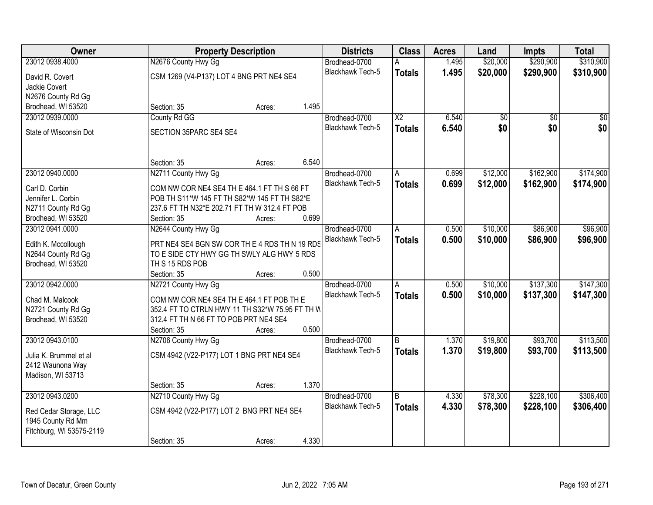| Owner                                       | <b>Property Description</b>                     |        |       | <b>Districts</b>        | <b>Class</b>    | <b>Acres</b> | Land            | <b>Impts</b>    | <b>Total</b>    |
|---------------------------------------------|-------------------------------------------------|--------|-------|-------------------------|-----------------|--------------|-----------------|-----------------|-----------------|
| 23012 0938.4000                             | N2676 County Hwy Gg                             |        |       | Brodhead-0700           |                 | 1.495        | \$20,000        | \$290,900       | \$310,900       |
| David R. Covert                             | CSM 1269 (V4-P137) LOT 4 BNG PRT NE4 SE4        |        |       | <b>Blackhawk Tech-5</b> | <b>Totals</b>   | 1.495        | \$20,000        | \$290,900       | \$310,900       |
| Jackie Covert                               |                                                 |        |       |                         |                 |              |                 |                 |                 |
| N2676 County Rd Gg                          |                                                 |        |       |                         |                 |              |                 |                 |                 |
| Brodhead, WI 53520                          | Section: 35                                     | Acres: | 1.495 |                         |                 |              |                 |                 |                 |
| 23012 0939.0000                             | County Rd GG                                    |        |       | Brodhead-0700           | $\overline{X2}$ | 6.540        | $\overline{50}$ | $\overline{50}$ | $\overline{50}$ |
| State of Wisconsin Dot                      | SECTION 35PARC SE4 SE4                          |        |       | <b>Blackhawk Tech-5</b> | <b>Totals</b>   | 6.540        | \$0             | \$0             | \$0             |
|                                             |                                                 |        |       |                         |                 |              |                 |                 |                 |
|                                             | Section: 35                                     | Acres: | 6.540 |                         |                 |              |                 |                 |                 |
| 23012 0940.0000                             | N2711 County Hwy Gg                             |        |       | Brodhead-0700           | A               | 0.699        | \$12,000        | \$162,900       | \$174,900       |
| Carl D. Corbin                              | COM NW COR NE4 SE4 TH E 464.1 FT TH S 66 FT     |        |       | Blackhawk Tech-5        | <b>Totals</b>   | 0.699        | \$12,000        | \$162,900       | \$174,900       |
| Jennifer L. Corbin                          | POB TH S11*W 145 FT TH S82*W 145 FT TH S82*E    |        |       |                         |                 |              |                 |                 |                 |
| N2711 County Rd Gg                          | 237.6 FT TH N32*E 202.71 FT TH W 312.4 FT POB   |        |       |                         |                 |              |                 |                 |                 |
| Brodhead, WI 53520                          | Section: 35                                     | Acres: | 0.699 |                         |                 |              |                 |                 |                 |
| 23012 0941.0000                             | N2644 County Hwy Gg                             |        |       | Brodhead-0700           | A               | 0.500        | \$10,000        | \$86,900        | \$96,900        |
| Edith K. Mccollough                         | PRT NE4 SE4 BGN SW COR THE 4 RDS TH N 19 RDS    |        |       | Blackhawk Tech-5        | <b>Totals</b>   | 0.500        | \$10,000        | \$86,900        | \$96,900        |
| N2644 County Rd Gg                          | TO E SIDE CTY HWY GG TH SWLY ALG HWY 5 RDS      |        |       |                         |                 |              |                 |                 |                 |
| Brodhead, WI 53520                          | TH S 15 RDS POB                                 |        |       |                         |                 |              |                 |                 |                 |
|                                             | Section: 35                                     | Acres: | 0.500 |                         |                 |              |                 |                 |                 |
| 23012 0942.0000                             | N2721 County Hwy Gg                             |        |       | Brodhead-0700           | A               | 0.500        | \$10,000        | \$137,300       | \$147,300       |
| Chad M. Malcook                             | COM NW COR NE4 SE4 TH E 464.1 FT POB TH E       |        |       | <b>Blackhawk Tech-5</b> | <b>Totals</b>   | 0.500        | \$10,000        | \$137,300       | \$147,300       |
| N2721 County Rd Gg                          | 352.4 FT TO CTRLN HWY 11 TH S32*W 75.95 FT TH W |        |       |                         |                 |              |                 |                 |                 |
| Brodhead, WI 53520                          | 312.4 FT TH N 66 FT TO POB PRT NE4 SE4          |        |       |                         |                 |              |                 |                 |                 |
|                                             | Section: 35                                     | Acres: | 0.500 |                         |                 |              |                 |                 |                 |
| 23012 0943.0100                             | N2706 County Hwy Gg                             |        |       | Brodhead-0700           | B               | 1.370        | \$19,800        | \$93,700        | \$113,500       |
| Julia K. Brummel et al                      | CSM 4942 (V22-P177) LOT 1 BNG PRT NE4 SE4       |        |       | Blackhawk Tech-5        | <b>Totals</b>   | 1.370        | \$19,800        | \$93,700        | \$113,500       |
| 2412 Waunona Way                            |                                                 |        |       |                         |                 |              |                 |                 |                 |
| Madison, WI 53713                           |                                                 |        |       |                         |                 |              |                 |                 |                 |
|                                             | Section: 35                                     | Acres: | 1.370 |                         |                 |              |                 |                 |                 |
| 23012 0943.0200                             | N2710 County Hwy Gg                             |        |       | Brodhead-0700           | $\overline{B}$  | 4.330        | \$78,300        | \$228,100       | \$306,400       |
|                                             |                                                 |        |       | <b>Blackhawk Tech-5</b> | <b>Totals</b>   | 4.330        | \$78,300        | \$228,100       | \$306,400       |
| Red Cedar Storage, LLC<br>1945 County Rd Mm | CSM 4942 (V22-P177) LOT 2 BNG PRT NE4 SE4       |        |       |                         |                 |              |                 |                 |                 |
| Fitchburg, WI 53575-2119                    |                                                 |        |       |                         |                 |              |                 |                 |                 |
|                                             | Section: 35                                     | Acres: | 4.330 |                         |                 |              |                 |                 |                 |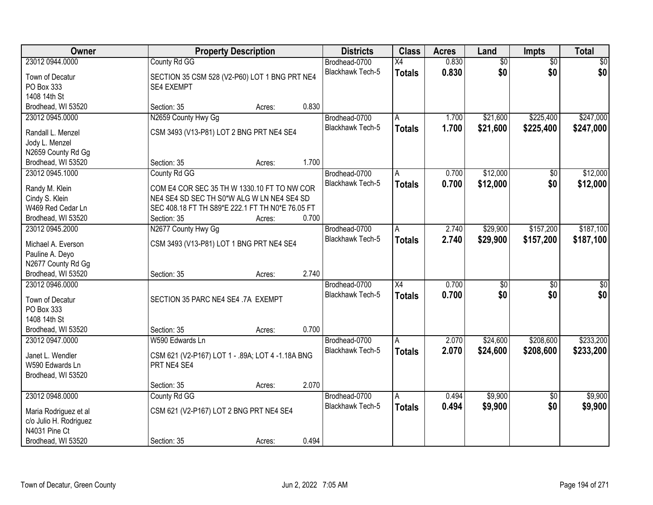| Owner                                 | <b>Property Description</b>                      |        |       | <b>Districts</b>        | <b>Class</b>    | <b>Acres</b> | Land            | Impts           | <b>Total</b>    |
|---------------------------------------|--------------------------------------------------|--------|-------|-------------------------|-----------------|--------------|-----------------|-----------------|-----------------|
| 23012 0944.0000                       | County Rd GG                                     |        |       | Brodhead-0700           | $\overline{X4}$ | 0.830        | $\overline{60}$ | $\overline{50}$ | \$0             |
| Town of Decatur                       | SECTION 35 CSM 528 (V2-P60) LOT 1 BNG PRT NE4    |        |       | Blackhawk Tech-5        | <b>Totals</b>   | 0.830        | \$0             | \$0             | \$0             |
| PO Box 333                            | <b>SE4 EXEMPT</b>                                |        |       |                         |                 |              |                 |                 |                 |
| 1408 14th St                          |                                                  |        |       |                         |                 |              |                 |                 |                 |
| Brodhead, WI 53520                    | Section: 35                                      | Acres: | 0.830 |                         |                 |              |                 |                 |                 |
| 23012 0945.0000                       | N2659 County Hwy Gg                              |        |       | Brodhead-0700           | A               | 1.700        | \$21,600        | \$225,400       | \$247,000       |
|                                       |                                                  |        |       | <b>Blackhawk Tech-5</b> | <b>Totals</b>   | 1.700        | \$21,600        | \$225,400       | \$247,000       |
| Randall L. Menzel                     | CSM 3493 (V13-P81) LOT 2 BNG PRT NE4 SE4         |        |       |                         |                 |              |                 |                 |                 |
| Jody L. Menzel                        |                                                  |        |       |                         |                 |              |                 |                 |                 |
| N2659 County Rd Gg                    | Section: 35                                      |        | 1.700 |                         |                 |              |                 |                 |                 |
| Brodhead, WI 53520<br>23012 0945.1000 |                                                  | Acres: |       |                         |                 |              | \$12,000        |                 |                 |
|                                       | County Rd GG                                     |        |       | Brodhead-0700           | А               | 0.700        |                 | $\overline{50}$ | \$12,000        |
| Randy M. Klein                        | COM E4 COR SEC 35 TH W 1330.10 FT TO NW COR      |        |       | <b>Blackhawk Tech-5</b> | <b>Totals</b>   | 0.700        | \$12,000        | \$0             | \$12,000        |
| Cindy S. Klein                        | NE4 SE4 SD SEC TH S0*W ALG W LN NE4 SE4 SD       |        |       |                         |                 |              |                 |                 |                 |
| W469 Red Cedar Ln                     | SEC 408.18 FT TH S89*E 222.1 FT TH N0*E 76.05 FT |        |       |                         |                 |              |                 |                 |                 |
| Brodhead, WI 53520                    | Section: 35                                      | Acres: | 0.700 |                         |                 |              |                 |                 |                 |
| 23012 0945.2000                       | N2677 County Hwy Gg                              |        |       | Brodhead-0700           | Α               | 2.740        | \$29,900        | \$157,200       | \$187,100       |
|                                       |                                                  |        |       | Blackhawk Tech-5        | <b>Totals</b>   | 2.740        | \$29,900        | \$157,200       | \$187,100       |
| Michael A. Everson                    | CSM 3493 (V13-P81) LOT 1 BNG PRT NE4 SE4         |        |       |                         |                 |              |                 |                 |                 |
| Pauline A. Deyo<br>N2677 County Rd Gg |                                                  |        |       |                         |                 |              |                 |                 |                 |
| Brodhead, WI 53520                    | Section: 35                                      |        | 2.740 |                         |                 |              |                 |                 |                 |
| 23012 0946.0000                       |                                                  | Acres: |       | Brodhead-0700           | $\overline{X4}$ | 0.700        | \$0             | $\overline{50}$ | $\overline{50}$ |
|                                       |                                                  |        |       | <b>Blackhawk Tech-5</b> |                 | 0.700        | \$0             |                 | \$0             |
| Town of Decatur                       | SECTION 35 PARC NE4 SE4 .7A EXEMPT               |        |       |                         | <b>Totals</b>   |              |                 | \$0             |                 |
| PO Box 333                            |                                                  |        |       |                         |                 |              |                 |                 |                 |
| 1408 14th St                          |                                                  |        |       |                         |                 |              |                 |                 |                 |
| Brodhead, WI 53520                    | Section: 35                                      | Acres: | 0.700 |                         |                 |              |                 |                 |                 |
| 23012 0947.0000                       | W590 Edwards Ln                                  |        |       | Brodhead-0700           | A               | 2.070        | \$24,600        | \$208,600       | \$233,200       |
| Janet L. Wendler                      | CSM 621 (V2-P167) LOT 1 - .89A; LOT 4 -1.18A BNG |        |       | <b>Blackhawk Tech-5</b> | <b>Totals</b>   | 2.070        | \$24,600        | \$208,600       | \$233,200       |
| W590 Edwards Ln                       | PRT NE4 SE4                                      |        |       |                         |                 |              |                 |                 |                 |
| Brodhead, WI 53520                    |                                                  |        |       |                         |                 |              |                 |                 |                 |
|                                       | Section: 35                                      | Acres: | 2.070 |                         |                 |              |                 |                 |                 |
| 23012 0948.0000                       | County Rd GG                                     |        |       | Brodhead-0700           | A               | 0.494        | \$9,900         | $\overline{50}$ | \$9,900         |
|                                       |                                                  |        |       | Blackhawk Tech-5        | <b>Totals</b>   | 0.494        | \$9,900         | \$0             | \$9,900         |
| Maria Rodriguez et al                 | CSM 621 (V2-P167) LOT 2 BNG PRT NE4 SE4          |        |       |                         |                 |              |                 |                 |                 |
| c/o Julio H. Rodriguez                |                                                  |        |       |                         |                 |              |                 |                 |                 |
| N4031 Pine Ct                         |                                                  |        |       |                         |                 |              |                 |                 |                 |
| Brodhead, WI 53520                    | Section: 35                                      | Acres: | 0.494 |                         |                 |              |                 |                 |                 |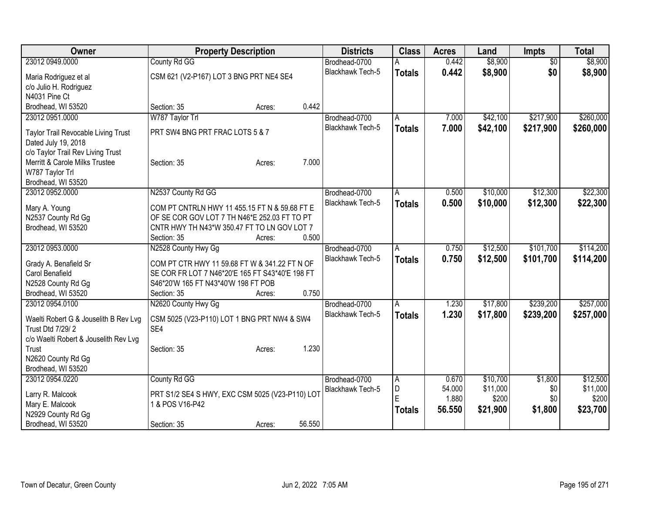| Owner                                                     | <b>Property Description</b>                        |        | <b>Districts</b>        | <b>Class</b>  | <b>Acres</b> | Land     | <b>Impts</b>    | <b>Total</b> |
|-----------------------------------------------------------|----------------------------------------------------|--------|-------------------------|---------------|--------------|----------|-----------------|--------------|
| 23012 0949.0000                                           | County Rd GG                                       |        | Brodhead-0700           |               | 0.442        | \$8,900  | $\overline{50}$ | \$8,900      |
| Maria Rodriguez et al                                     | CSM 621 (V2-P167) LOT 3 BNG PRT NE4 SE4            |        | Blackhawk Tech-5        | <b>Totals</b> | 0.442        | \$8,900  | \$0             | \$8,900      |
| c/o Julio H. Rodriguez                                    |                                                    |        |                         |               |              |          |                 |              |
| N4031 Pine Ct                                             |                                                    |        |                         |               |              |          |                 |              |
| Brodhead, WI 53520                                        | Section: 35<br>Acres:                              | 0.442  |                         |               |              |          |                 |              |
| 23012 0951.0000                                           | W787 Taylor Trl                                    |        | Brodhead-0700           | A             | 7.000        | \$42,100 | \$217,900       | \$260,000    |
| Taylor Trail Revocable Living Trust                       | PRT SW4 BNG PRT FRAC LOTS 5 & 7                    |        | Blackhawk Tech-5        | <b>Totals</b> | 7.000        | \$42,100 | \$217,900       | \$260,000    |
| Dated July 19, 2018                                       |                                                    |        |                         |               |              |          |                 |              |
| c/o Taylor Trail Rev Living Trust                         |                                                    |        |                         |               |              |          |                 |              |
| Merritt & Carole Milks Trustee                            | Section: 35<br>Acres:                              | 7.000  |                         |               |              |          |                 |              |
| W787 Taylor Trl                                           |                                                    |        |                         |               |              |          |                 |              |
| Brodhead, WI 53520                                        |                                                    |        |                         |               |              |          |                 |              |
| 23012 0952.0000                                           | N2537 County Rd GG                                 |        | Brodhead-0700           | A             | 0.500        | \$10,000 | \$12,300        | \$22,300     |
| Mary A. Young                                             | COM PT CNTRLN HWY 11 455.15 FT N & 59.68 FT E      |        | <b>Blackhawk Tech-5</b> | <b>Totals</b> | 0.500        | \$10,000 | \$12,300        | \$22,300     |
| N2537 County Rd Gg                                        | OF SE COR GOV LOT 7 TH N46*E 252.03 FT TO PT       |        |                         |               |              |          |                 |              |
| Brodhead, WI 53520                                        | CNTR HWY TH N43*W 350.47 FT TO LN GOV LOT 7        |        |                         |               |              |          |                 |              |
|                                                           | Section: 35<br>Acres:                              | 0.500  |                         |               |              |          |                 |              |
| 23012 0953.0000                                           | N2528 County Hwy Gg                                |        | Brodhead-0700           | A             | 0.750        | \$12,500 | \$101,700       | \$114,200    |
| Grady A. Benafield Sr                                     | COM PT CTR HWY 11 59.68 FT W & 341.22 FT N OF      |        | Blackhawk Tech-5        | <b>Totals</b> | 0.750        | \$12,500 | \$101,700       | \$114,200    |
| Carol Benafield                                           | SE COR FR LOT 7 N46*20'E 165 FT S43*40'E 198 FT    |        |                         |               |              |          |                 |              |
| N2528 County Rd Gg                                        | S46*20'W 165 FT N43*40'W 198 FT POB                |        |                         |               |              |          |                 |              |
| Brodhead, WI 53520                                        | Section: 35<br>Acres:                              | 0.750  |                         |               |              |          |                 |              |
| 23012 0954.0100                                           | N2620 County Hwy Gg                                |        | Brodhead-0700           | A             | 1.230        | \$17,800 | \$239,200       | \$257,000    |
|                                                           |                                                    |        | Blackhawk Tech-5        | <b>Totals</b> | 1.230        | \$17,800 | \$239,200       | \$257,000    |
| Waelti Robert G & Jouselith B Rev Lvg<br>Trust Dtd 7/29/2 | CSM 5025 (V23-P110) LOT 1 BNG PRT NW4 & SW4<br>SE4 |        |                         |               |              |          |                 |              |
| c/o Waelti Robert & Jouselith Rev Lvg                     |                                                    |        |                         |               |              |          |                 |              |
| Trust                                                     | Section: 35<br>Acres:                              | 1.230  |                         |               |              |          |                 |              |
| N2620 County Rd Gg                                        |                                                    |        |                         |               |              |          |                 |              |
| Brodhead, WI 53520                                        |                                                    |        |                         |               |              |          |                 |              |
| 23012 0954.0220                                           | County Rd GG                                       |        | Brodhead-0700           | ΙA            | 0.670        | \$10,700 | \$1,800         | \$12,500     |
| Larry R. Malcook                                          | PRT S1/2 SE4 S HWY, EXC CSM 5025 (V23-P110) LOT    |        | Blackhawk Tech-5        | D             | 54.000       | \$11,000 | \$0             | \$11,000     |
| Mary E. Malcook                                           | 1 & POS V16-P42                                    |        |                         | E             | 1.880        | \$200    | \$0             | \$200        |
| N2929 County Rd Gg                                        |                                                    |        |                         | <b>Totals</b> | 56.550       | \$21,900 | \$1,800         | \$23,700     |
| Brodhead, WI 53520                                        | Section: 35<br>Acres:                              | 56.550 |                         |               |              |          |                 |              |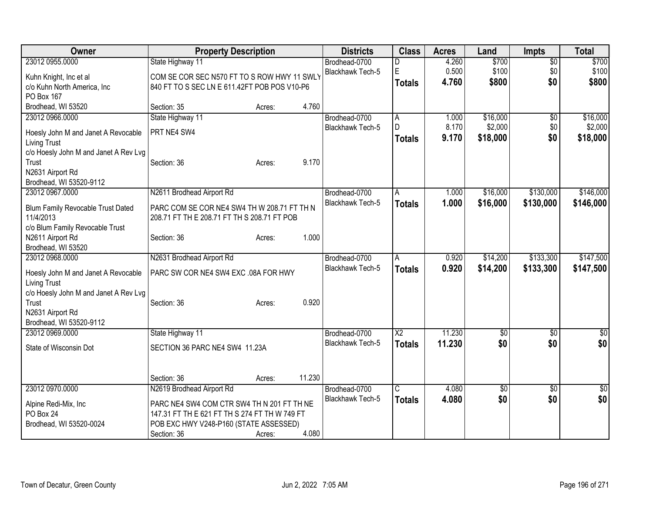| Owner                                      | <b>Property Description</b>                   |                  | <b>Districts</b>                  | <b>Class</b>    | <b>Acres</b> | Land          | Impts           | <b>Total</b> |
|--------------------------------------------|-----------------------------------------------|------------------|-----------------------------------|-----------------|--------------|---------------|-----------------|--------------|
| 23012 0955.0000                            | State Highway 11                              |                  | Brodhead-0700                     | D               | 4.260        | \$700         | $\overline{50}$ | \$700        |
| Kuhn Knight, Inc et al                     | COM SE COR SEC N570 FT TO S ROW HWY 11 SWLY   |                  | Blackhawk Tech-5                  | E               | 0.500        | \$100         | \$0             | \$100        |
| c/o Kuhn North America, Inc                | 840 FT TO S SEC LN E 611.42FT POB POS V10-P6  |                  |                                   | <b>Totals</b>   | 4.760        | \$800         | \$0             | \$800        |
| PO Box 167                                 |                                               |                  |                                   |                 |              |               |                 |              |
| Brodhead, WI 53520                         | Section: 35                                   | Acres:           | 4.760                             |                 |              |               |                 |              |
| 23012 0966.0000                            | State Highway 11                              |                  | Brodhead-0700                     | A               | 1.000        | \$16,000      | $\sqrt{6}$      | \$16,000     |
| Hoesly John M and Janet A Revocable        | PRT NE4 SW4                                   |                  | <b>Blackhawk Tech-5</b>           | D               | 8.170        | \$2,000       | \$0             | \$2,000      |
| <b>Living Trust</b>                        |                                               |                  |                                   | <b>Totals</b>   | 9.170        | \$18,000      | \$0             | \$18,000     |
| c/o Hoesly John M and Janet A Rev Lvg      |                                               |                  |                                   |                 |              |               |                 |              |
| Trust                                      | Section: 36                                   | Acres:           | 9.170                             |                 |              |               |                 |              |
| N2631 Airport Rd                           |                                               |                  |                                   |                 |              |               |                 |              |
| Brodhead, WI 53520-9112                    |                                               |                  |                                   |                 |              |               |                 |              |
| 23012 0967.0000                            | N2611 Brodhead Airport Rd                     |                  | Brodhead-0700                     | A               | 1.000        | \$16,000      | \$130,000       | \$146,000    |
| Blum Family Revocable Trust Dated          | PARC COM SE COR NE4 SW4 TH W 208.71 FT TH N   |                  | <b>Blackhawk Tech-5</b>           | <b>Totals</b>   | 1.000        | \$16,000      | \$130,000       | \$146,000    |
| 11/4/2013                                  | 208.71 FT TH E 208.71 FT TH S 208.71 FT POB   |                  |                                   |                 |              |               |                 |              |
| c/o Blum Family Revocable Trust            |                                               |                  |                                   |                 |              |               |                 |              |
| N2611 Airport Rd                           | Section: 36                                   | Acres:           | 1.000                             |                 |              |               |                 |              |
| Brodhead, WI 53520                         |                                               |                  |                                   |                 |              |               |                 |              |
| 23012 0968.0000                            | N2631 Brodhead Airport Rd                     |                  | Brodhead-0700                     | A               | 0.920        | \$14,200      | \$133,300       | \$147,500    |
| Hoesly John M and Janet A Revocable        | PARC SW COR NE4 SW4 EXC .08A FOR HWY          |                  | Blackhawk Tech-5                  | <b>Totals</b>   | 0.920        | \$14,200      | \$133,300       | \$147,500    |
| <b>Living Trust</b>                        |                                               |                  |                                   |                 |              |               |                 |              |
| c/o Hoesly John M and Janet A Rev Lvg      |                                               |                  |                                   |                 |              |               |                 |              |
| Trust                                      | Section: 36                                   | Acres:           | 0.920                             |                 |              |               |                 |              |
| N2631 Airport Rd                           |                                               |                  |                                   |                 |              |               |                 |              |
| Brodhead, WI 53520-9112<br>23012 0969.0000 | State Highway 11                              |                  | Brodhead-0700                     | $\overline{X2}$ | 11.230       | \$0           | \$0             | \$0          |
|                                            |                                               |                  | Blackhawk Tech-5                  |                 | 11.230       | \$0           | \$0             | \$0          |
| State of Wisconsin Dot                     | SECTION 36 PARC NE4 SW4 11.23A                |                  |                                   | <b>Totals</b>   |              |               |                 |              |
|                                            |                                               |                  |                                   |                 |              |               |                 |              |
|                                            |                                               |                  |                                   |                 |              |               |                 |              |
|                                            | Section: 36                                   | 11.230<br>Acres: |                                   |                 |              |               |                 |              |
| 23012 0970.0000                            | N2619 Brodhead Airport Rd                     |                  | Brodhead-0700<br>Blackhawk Tech-5 | C               | 4.080        | $\sqrt[6]{3}$ | \$0             | \$0          |
| Alpine Redi-Mix, Inc                       | PARC NE4 SW4 COM CTR SW4 TH N 201 FT TH NE    |                  |                                   | <b>Totals</b>   | 4.080        | \$0           | \$0             | \$0          |
| PO Box 24                                  | 147.31 FT TH E 621 FT TH S 274 FT TH W 749 FT |                  |                                   |                 |              |               |                 |              |
| Brodhead, WI 53520-0024                    | POB EXC HWY V248-P160 (STATE ASSESSED)        |                  |                                   |                 |              |               |                 |              |
|                                            | Section: 36                                   | Acres:           | 4.080                             |                 |              |               |                 |              |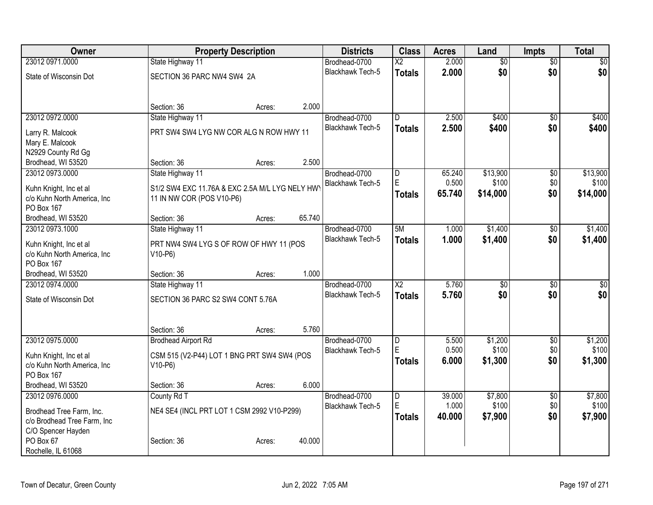| 23012 0971.0000<br>$\overline{50}$<br>\$0<br>State Highway 11<br>Brodhead-0700<br>$\overline{\text{X2}}$<br>\$0<br>\$0<br>2.000<br>\$0<br><b>Blackhawk Tech-5</b><br><b>Totals</b><br>SECTION 36 PARC NW4 SW4 2A<br>State of Wisconsin Dot<br>2.000<br>Section: 36<br>Acres:<br>23012 0972.0000<br>State Highway 11<br>Brodhead-0700<br>2.500<br>\$400<br>\$400<br>D<br>\$0<br><b>Blackhawk Tech-5</b><br>2.500<br>\$400<br>\$0<br><b>Totals</b><br>PRT SW4 SW4 LYG NW COR ALG N ROW HWY 11<br>Larry R. Malcook<br>Mary E. Malcook<br>N2929 County Rd Gg<br>2.500<br>Brodhead, WI 53520<br>Section: 36<br>Acres:<br>\$13,900<br>\$13,900<br>23012 0973.0000<br>State Highway 11<br>Brodhead-0700<br>65.240<br>\$0<br>D<br>E<br>0.500<br>\$0<br>\$100<br><b>Blackhawk Tech-5</b><br>S1/2 SW4 EXC 11.76A & EXC 2.5A M/L LYG NELY HW<br>Kuhn Knight, Inc et al<br>\$0<br>65.740<br>\$14,000<br><b>Totals</b><br>c/o Kuhn North America, Inc<br>11 IN NW COR (POS V10-P6)<br>PO Box 167<br>65.740<br>Brodhead, WI 53520<br>Section: 36<br>Acres:<br>23012 0973.1000<br>State Highway 11<br>5M<br>\$1,400<br>$\overline{50}$<br>Brodhead-0700<br>1.000<br><b>Blackhawk Tech-5</b><br>\$0<br>1.000<br>\$1,400<br><b>Totals</b><br>PRT NW4 SW4 LYG S OF ROW OF HWY 11 (POS<br>Kuhn Knight, Inc et al<br>c/o Kuhn North America, Inc<br>$V10-P6$<br>PO Box 167<br>1.000<br>Brodhead, WI 53520<br>Section: 36<br>Acres:<br>$\overline{X2}$<br>23012 0974.0000<br>5.760<br>$\overline{50}$<br>$\overline{50}$<br>State Highway 11<br>Brodhead-0700<br>\$0<br><b>Blackhawk Tech-5</b><br>5.760<br>\$0<br><b>Totals</b><br>SECTION 36 PARC S2 SW4 CONT 5.76A<br>State of Wisconsin Dot<br>5.760<br>Section: 36<br>Acres:<br>\$1,200<br>23012 0975.0000<br><b>Brodhead Airport Rd</b><br>5.500<br>$\overline{50}$<br>\$1,200<br>Brodhead-0700<br>D<br>E<br>0.500<br>\$100<br>\$0<br><b>Blackhawk Tech-5</b><br>CSM 515 (V2-P44) LOT 1 BNG PRT SW4 SW4 (POS<br>Kuhn Knight, Inc et al<br>\$0<br>6.000<br>\$1,300<br><b>Totals</b><br>c/o Kuhn North America, Inc<br>$V10-P6$<br>PO Box 167 | Owner              | <b>Property Description</b>    | <b>Districts</b> | <b>Class</b> | <b>Acres</b> | Land            | <b>Impts</b> | <b>Total</b> |
|------------------------------------------------------------------------------------------------------------------------------------------------------------------------------------------------------------------------------------------------------------------------------------------------------------------------------------------------------------------------------------------------------------------------------------------------------------------------------------------------------------------------------------------------------------------------------------------------------------------------------------------------------------------------------------------------------------------------------------------------------------------------------------------------------------------------------------------------------------------------------------------------------------------------------------------------------------------------------------------------------------------------------------------------------------------------------------------------------------------------------------------------------------------------------------------------------------------------------------------------------------------------------------------------------------------------------------------------------------------------------------------------------------------------------------------------------------------------------------------------------------------------------------------------------------------------------------------------------------------------------------------------------------------------------------------------------------------------------------------------------------------------------------------------------------------------------------------------------------------------------------------------------------------------------------------------------------------------------------------------------------------------------------------------------------------------------|--------------------|--------------------------------|------------------|--------------|--------------|-----------------|--------------|--------------|
|                                                                                                                                                                                                                                                                                                                                                                                                                                                                                                                                                                                                                                                                                                                                                                                                                                                                                                                                                                                                                                                                                                                                                                                                                                                                                                                                                                                                                                                                                                                                                                                                                                                                                                                                                                                                                                                                                                                                                                                                                                                                              |                    |                                |                  |              | 2.000        | $\overline{50}$ |              |              |
| \$400<br>\$100<br>\$14,000<br>\$1,400<br>\$1,400<br>$\overline{50}$<br>\$0<br>\$100<br>\$1,300                                                                                                                                                                                                                                                                                                                                                                                                                                                                                                                                                                                                                                                                                                                                                                                                                                                                                                                                                                                                                                                                                                                                                                                                                                                                                                                                                                                                                                                                                                                                                                                                                                                                                                                                                                                                                                                                                                                                                                               |                    |                                |                  |              |              |                 |              |              |
|                                                                                                                                                                                                                                                                                                                                                                                                                                                                                                                                                                                                                                                                                                                                                                                                                                                                                                                                                                                                                                                                                                                                                                                                                                                                                                                                                                                                                                                                                                                                                                                                                                                                                                                                                                                                                                                                                                                                                                                                                                                                              |                    |                                |                  |              |              |                 |              |              |
|                                                                                                                                                                                                                                                                                                                                                                                                                                                                                                                                                                                                                                                                                                                                                                                                                                                                                                                                                                                                                                                                                                                                                                                                                                                                                                                                                                                                                                                                                                                                                                                                                                                                                                                                                                                                                                                                                                                                                                                                                                                                              |                    |                                |                  |              |              |                 |              |              |
|                                                                                                                                                                                                                                                                                                                                                                                                                                                                                                                                                                                                                                                                                                                                                                                                                                                                                                                                                                                                                                                                                                                                                                                                                                                                                                                                                                                                                                                                                                                                                                                                                                                                                                                                                                                                                                                                                                                                                                                                                                                                              |                    |                                |                  |              |              |                 |              |              |
|                                                                                                                                                                                                                                                                                                                                                                                                                                                                                                                                                                                                                                                                                                                                                                                                                                                                                                                                                                                                                                                                                                                                                                                                                                                                                                                                                                                                                                                                                                                                                                                                                                                                                                                                                                                                                                                                                                                                                                                                                                                                              |                    |                                |                  |              |              |                 |              |              |
|                                                                                                                                                                                                                                                                                                                                                                                                                                                                                                                                                                                                                                                                                                                                                                                                                                                                                                                                                                                                                                                                                                                                                                                                                                                                                                                                                                                                                                                                                                                                                                                                                                                                                                                                                                                                                                                                                                                                                                                                                                                                              |                    |                                |                  |              |              |                 |              |              |
|                                                                                                                                                                                                                                                                                                                                                                                                                                                                                                                                                                                                                                                                                                                                                                                                                                                                                                                                                                                                                                                                                                                                                                                                                                                                                                                                                                                                                                                                                                                                                                                                                                                                                                                                                                                                                                                                                                                                                                                                                                                                              |                    |                                |                  |              |              |                 |              |              |
|                                                                                                                                                                                                                                                                                                                                                                                                                                                                                                                                                                                                                                                                                                                                                                                                                                                                                                                                                                                                                                                                                                                                                                                                                                                                                                                                                                                                                                                                                                                                                                                                                                                                                                                                                                                                                                                                                                                                                                                                                                                                              |                    |                                |                  |              |              |                 |              |              |
|                                                                                                                                                                                                                                                                                                                                                                                                                                                                                                                                                                                                                                                                                                                                                                                                                                                                                                                                                                                                                                                                                                                                                                                                                                                                                                                                                                                                                                                                                                                                                                                                                                                                                                                                                                                                                                                                                                                                                                                                                                                                              |                    |                                |                  |              |              |                 |              |              |
|                                                                                                                                                                                                                                                                                                                                                                                                                                                                                                                                                                                                                                                                                                                                                                                                                                                                                                                                                                                                                                                                                                                                                                                                                                                                                                                                                                                                                                                                                                                                                                                                                                                                                                                                                                                                                                                                                                                                                                                                                                                                              |                    |                                |                  |              |              |                 |              |              |
|                                                                                                                                                                                                                                                                                                                                                                                                                                                                                                                                                                                                                                                                                                                                                                                                                                                                                                                                                                                                                                                                                                                                                                                                                                                                                                                                                                                                                                                                                                                                                                                                                                                                                                                                                                                                                                                                                                                                                                                                                                                                              |                    |                                |                  |              |              |                 |              |              |
|                                                                                                                                                                                                                                                                                                                                                                                                                                                                                                                                                                                                                                                                                                                                                                                                                                                                                                                                                                                                                                                                                                                                                                                                                                                                                                                                                                                                                                                                                                                                                                                                                                                                                                                                                                                                                                                                                                                                                                                                                                                                              |                    |                                |                  |              |              |                 |              |              |
|                                                                                                                                                                                                                                                                                                                                                                                                                                                                                                                                                                                                                                                                                                                                                                                                                                                                                                                                                                                                                                                                                                                                                                                                                                                                                                                                                                                                                                                                                                                                                                                                                                                                                                                                                                                                                                                                                                                                                                                                                                                                              |                    |                                |                  |              |              |                 |              |              |
|                                                                                                                                                                                                                                                                                                                                                                                                                                                                                                                                                                                                                                                                                                                                                                                                                                                                                                                                                                                                                                                                                                                                                                                                                                                                                                                                                                                                                                                                                                                                                                                                                                                                                                                                                                                                                                                                                                                                                                                                                                                                              |                    |                                |                  |              |              |                 |              |              |
|                                                                                                                                                                                                                                                                                                                                                                                                                                                                                                                                                                                                                                                                                                                                                                                                                                                                                                                                                                                                                                                                                                                                                                                                                                                                                                                                                                                                                                                                                                                                                                                                                                                                                                                                                                                                                                                                                                                                                                                                                                                                              |                    |                                |                  |              |              |                 |              |              |
|                                                                                                                                                                                                                                                                                                                                                                                                                                                                                                                                                                                                                                                                                                                                                                                                                                                                                                                                                                                                                                                                                                                                                                                                                                                                                                                                                                                                                                                                                                                                                                                                                                                                                                                                                                                                                                                                                                                                                                                                                                                                              |                    |                                |                  |              |              |                 |              |              |
|                                                                                                                                                                                                                                                                                                                                                                                                                                                                                                                                                                                                                                                                                                                                                                                                                                                                                                                                                                                                                                                                                                                                                                                                                                                                                                                                                                                                                                                                                                                                                                                                                                                                                                                                                                                                                                                                                                                                                                                                                                                                              |                    |                                |                  |              |              |                 |              |              |
|                                                                                                                                                                                                                                                                                                                                                                                                                                                                                                                                                                                                                                                                                                                                                                                                                                                                                                                                                                                                                                                                                                                                                                                                                                                                                                                                                                                                                                                                                                                                                                                                                                                                                                                                                                                                                                                                                                                                                                                                                                                                              |                    |                                |                  |              |              |                 |              |              |
|                                                                                                                                                                                                                                                                                                                                                                                                                                                                                                                                                                                                                                                                                                                                                                                                                                                                                                                                                                                                                                                                                                                                                                                                                                                                                                                                                                                                                                                                                                                                                                                                                                                                                                                                                                                                                                                                                                                                                                                                                                                                              |                    |                                |                  |              |              |                 |              |              |
|                                                                                                                                                                                                                                                                                                                                                                                                                                                                                                                                                                                                                                                                                                                                                                                                                                                                                                                                                                                                                                                                                                                                                                                                                                                                                                                                                                                                                                                                                                                                                                                                                                                                                                                                                                                                                                                                                                                                                                                                                                                                              |                    |                                |                  |              |              |                 |              |              |
|                                                                                                                                                                                                                                                                                                                                                                                                                                                                                                                                                                                                                                                                                                                                                                                                                                                                                                                                                                                                                                                                                                                                                                                                                                                                                                                                                                                                                                                                                                                                                                                                                                                                                                                                                                                                                                                                                                                                                                                                                                                                              |                    |                                |                  |              |              |                 |              |              |
|                                                                                                                                                                                                                                                                                                                                                                                                                                                                                                                                                                                                                                                                                                                                                                                                                                                                                                                                                                                                                                                                                                                                                                                                                                                                                                                                                                                                                                                                                                                                                                                                                                                                                                                                                                                                                                                                                                                                                                                                                                                                              |                    |                                |                  |              |              |                 |              |              |
|                                                                                                                                                                                                                                                                                                                                                                                                                                                                                                                                                                                                                                                                                                                                                                                                                                                                                                                                                                                                                                                                                                                                                                                                                                                                                                                                                                                                                                                                                                                                                                                                                                                                                                                                                                                                                                                                                                                                                                                                                                                                              |                    |                                |                  |              |              |                 |              |              |
|                                                                                                                                                                                                                                                                                                                                                                                                                                                                                                                                                                                                                                                                                                                                                                                                                                                                                                                                                                                                                                                                                                                                                                                                                                                                                                                                                                                                                                                                                                                                                                                                                                                                                                                                                                                                                                                                                                                                                                                                                                                                              |                    |                                |                  |              |              |                 |              |              |
|                                                                                                                                                                                                                                                                                                                                                                                                                                                                                                                                                                                                                                                                                                                                                                                                                                                                                                                                                                                                                                                                                                                                                                                                                                                                                                                                                                                                                                                                                                                                                                                                                                                                                                                                                                                                                                                                                                                                                                                                                                                                              |                    |                                |                  |              |              |                 |              |              |
|                                                                                                                                                                                                                                                                                                                                                                                                                                                                                                                                                                                                                                                                                                                                                                                                                                                                                                                                                                                                                                                                                                                                                                                                                                                                                                                                                                                                                                                                                                                                                                                                                                                                                                                                                                                                                                                                                                                                                                                                                                                                              |                    |                                |                  |              |              |                 |              |              |
|                                                                                                                                                                                                                                                                                                                                                                                                                                                                                                                                                                                                                                                                                                                                                                                                                                                                                                                                                                                                                                                                                                                                                                                                                                                                                                                                                                                                                                                                                                                                                                                                                                                                                                                                                                                                                                                                                                                                                                                                                                                                              |                    |                                |                  |              |              |                 |              |              |
|                                                                                                                                                                                                                                                                                                                                                                                                                                                                                                                                                                                                                                                                                                                                                                                                                                                                                                                                                                                                                                                                                                                                                                                                                                                                                                                                                                                                                                                                                                                                                                                                                                                                                                                                                                                                                                                                                                                                                                                                                                                                              |                    |                                |                  |              |              |                 |              |              |
|                                                                                                                                                                                                                                                                                                                                                                                                                                                                                                                                                                                                                                                                                                                                                                                                                                                                                                                                                                                                                                                                                                                                                                                                                                                                                                                                                                                                                                                                                                                                                                                                                                                                                                                                                                                                                                                                                                                                                                                                                                                                              | Brodhead, WI 53520 | 6.000<br>Section: 36<br>Acres: |                  |              |              |                 |              |              |
| 23012 0976.0000<br>\$7,800<br>\$7,800<br>County Rd T<br>Brodhead-0700<br>$\overline{D}$<br>39.000<br>$\overline{50}$                                                                                                                                                                                                                                                                                                                                                                                                                                                                                                                                                                                                                                                                                                                                                                                                                                                                                                                                                                                                                                                                                                                                                                                                                                                                                                                                                                                                                                                                                                                                                                                                                                                                                                                                                                                                                                                                                                                                                         |                    |                                |                  |              |              |                 |              |              |
| E<br>\$100<br>\$100<br>1.000<br>\$0<br><b>Blackhawk Tech-5</b>                                                                                                                                                                                                                                                                                                                                                                                                                                                                                                                                                                                                                                                                                                                                                                                                                                                                                                                                                                                                                                                                                                                                                                                                                                                                                                                                                                                                                                                                                                                                                                                                                                                                                                                                                                                                                                                                                                                                                                                                               |                    |                                |                  |              |              |                 |              |              |
| NE4 SE4 (INCL PRT LOT 1 CSM 2992 V10-P299)<br>Brodhead Tree Farm, Inc.<br>\$0<br>\$7,900<br>40.000<br>\$7,900<br><b>Totals</b><br>c/o Brodhead Tree Farm, Inc.                                                                                                                                                                                                                                                                                                                                                                                                                                                                                                                                                                                                                                                                                                                                                                                                                                                                                                                                                                                                                                                                                                                                                                                                                                                                                                                                                                                                                                                                                                                                                                                                                                                                                                                                                                                                                                                                                                               |                    |                                |                  |              |              |                 |              |              |
| C/O Spencer Hayden                                                                                                                                                                                                                                                                                                                                                                                                                                                                                                                                                                                                                                                                                                                                                                                                                                                                                                                                                                                                                                                                                                                                                                                                                                                                                                                                                                                                                                                                                                                                                                                                                                                                                                                                                                                                                                                                                                                                                                                                                                                           |                    |                                |                  |              |              |                 |              |              |
| PO Box 67<br>40.000<br>Section: 36<br>Acres:                                                                                                                                                                                                                                                                                                                                                                                                                                                                                                                                                                                                                                                                                                                                                                                                                                                                                                                                                                                                                                                                                                                                                                                                                                                                                                                                                                                                                                                                                                                                                                                                                                                                                                                                                                                                                                                                                                                                                                                                                                 |                    |                                |                  |              |              |                 |              |              |
| Rochelle, IL 61068                                                                                                                                                                                                                                                                                                                                                                                                                                                                                                                                                                                                                                                                                                                                                                                                                                                                                                                                                                                                                                                                                                                                                                                                                                                                                                                                                                                                                                                                                                                                                                                                                                                                                                                                                                                                                                                                                                                                                                                                                                                           |                    |                                |                  |              |              |                 |              |              |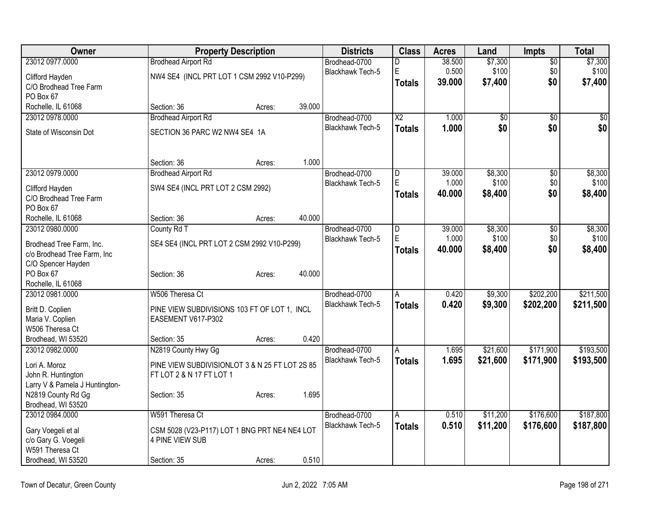| Owner                          |                                                | <b>Property Description</b> |        | <b>Districts</b>        | <b>Class</b>            | <b>Acres</b>    | Land             | Impts           | <b>Total</b> |
|--------------------------------|------------------------------------------------|-----------------------------|--------|-------------------------|-------------------------|-----------------|------------------|-----------------|--------------|
| 23012 0977.0000                | <b>Brodhead Airport Rd</b>                     |                             |        | Brodhead-0700           | D                       | 38.500          | \$7,300          | $\overline{50}$ | \$7,300      |
| Clifford Hayden                | NW4 SE4 (INCL PRT LOT 1 CSM 2992 V10-P299)     |                             |        | <b>Blackhawk Tech-5</b> | E                       | 0.500           | \$100            | \$0             | \$100        |
| C/O Brodhead Tree Farm         |                                                |                             |        |                         | <b>Totals</b>           | 39,000          | \$7,400          | \$0             | \$7,400      |
| PO Box 67                      |                                                |                             |        |                         |                         |                 |                  |                 |              |
| Rochelle, IL 61068             | Section: 36                                    | Acres:                      | 39.000 |                         |                         |                 |                  |                 |              |
| 23012 0978.0000                | <b>Brodhead Airport Rd</b>                     |                             |        | Brodhead-0700           | $\overline{X2}$         | 1.000           | \$0              | $\overline{50}$ | \$0          |
| State of Wisconsin Dot         | SECTION 36 PARC W2 NW4 SE4 1A                  |                             |        | <b>Blackhawk Tech-5</b> | <b>Totals</b>           | 1.000           | \$0              | \$0             | \$0          |
|                                |                                                |                             |        |                         |                         |                 |                  |                 |              |
|                                | Section: 36                                    | Acres:                      | 1.000  |                         |                         |                 |                  |                 |              |
| 23012 0979.0000                | <b>Brodhead Airport Rd</b>                     |                             |        | Brodhead-0700           | D<br>E                  | 39.000          | \$8,300<br>\$100 | $\overline{50}$ | \$8,300      |
| Clifford Hayden                | SW4 SE4 (INCL PRT LOT 2 CSM 2992)              |                             |        | Blackhawk Tech-5        |                         | 1.000<br>40.000 |                  | \$0<br>\$0      | \$100        |
| C/O Brodhead Tree Farm         |                                                |                             |        |                         | <b>Totals</b>           |                 | \$8,400          |                 | \$8,400      |
| PO Box 67                      |                                                |                             |        |                         |                         |                 |                  |                 |              |
| Rochelle, IL 61068             | Section: 36                                    | Acres:                      | 40.000 |                         |                         |                 |                  |                 |              |
| 23012 0980.0000                | County Rd T                                    |                             |        | Brodhead-0700           | $\overline{\mathsf{D}}$ | 39.000          | \$8,300          | $\overline{50}$ | \$8,300      |
| Brodhead Tree Farm, Inc.       | SE4 SE4 (INCL PRT LOT 2 CSM 2992 V10-P299)     |                             |        | <b>Blackhawk Tech-5</b> | E                       | 1.000           | \$100            | \$0             | \$100        |
| c/o Brodhead Tree Farm, Inc    |                                                |                             |        |                         | <b>Totals</b>           | 40.000          | \$8,400          | \$0             | \$8,400      |
| C/O Spencer Hayden             |                                                |                             |        |                         |                         |                 |                  |                 |              |
| PO Box 67                      | Section: 36                                    | Acres:                      | 40.000 |                         |                         |                 |                  |                 |              |
| Rochelle, IL 61068             |                                                |                             |        |                         |                         |                 |                  |                 |              |
| 23012 0981.0000                | W506 Theresa Ct                                |                             |        | Brodhead-0700           | Α                       | 0.420           | \$9,300          | \$202,200       | \$211,500    |
| Britt D. Coplien               | PINE VIEW SUBDIVISIONS 103 FT OF LOT 1, INCL   |                             |        | <b>Blackhawk Tech-5</b> | <b>Totals</b>           | 0.420           | \$9,300          | \$202,200       | \$211,500    |
| Maria V. Coplien               | EASEMENT V617-P302                             |                             |        |                         |                         |                 |                  |                 |              |
| W506 Theresa Ct                |                                                |                             |        |                         |                         |                 |                  |                 |              |
| Brodhead, WI 53520             | Section: 35                                    | Acres:                      | 0.420  |                         |                         |                 |                  |                 |              |
| 23012 0982.0000                | N2819 County Hwy Gg                            |                             |        | Brodhead-0700           | A                       | 1.695           | \$21,600         | \$171,900       | \$193,500    |
| Lori A. Moroz                  | PINE VIEW SUBDIVISIONLOT 3 & N 25 FT LOT 2S 85 |                             |        | <b>Blackhawk Tech-5</b> | <b>Totals</b>           | 1.695           | \$21,600         | \$171,900       | \$193,500    |
| John R. Huntington             | FT LOT 2 & N 17 FT LOT 1                       |                             |        |                         |                         |                 |                  |                 |              |
| Larry V & Pamela J Huntington- |                                                |                             |        |                         |                         |                 |                  |                 |              |
| N2819 County Rd Gg             | Section: 35                                    | Acres:                      | 1.695  |                         |                         |                 |                  |                 |              |
| Brodhead, WI 53520             |                                                |                             |        |                         |                         |                 |                  |                 |              |
| 23012 0984.0000                | W591 Theresa Ct                                |                             |        | Brodhead-0700           | A                       | 0.510           | \$11,200         | \$176,600       | \$187,800    |
| Gary Voegeli et al             | CSM 5028 (V23-P117) LOT 1 BNG PRT NE4 NE4 LOT  |                             |        | <b>Blackhawk Tech-5</b> | <b>Totals</b>           | 0.510           | \$11,200         | \$176,600       | \$187,800    |
| c/o Gary G. Voegeli            | 4 PINE VIEW SUB                                |                             |        |                         |                         |                 |                  |                 |              |
| W591 Theresa Ct                |                                                |                             |        |                         |                         |                 |                  |                 |              |
| Brodhead, WI 53520             | Section: 35                                    | Acres:                      | 0.510  |                         |                         |                 |                  |                 |              |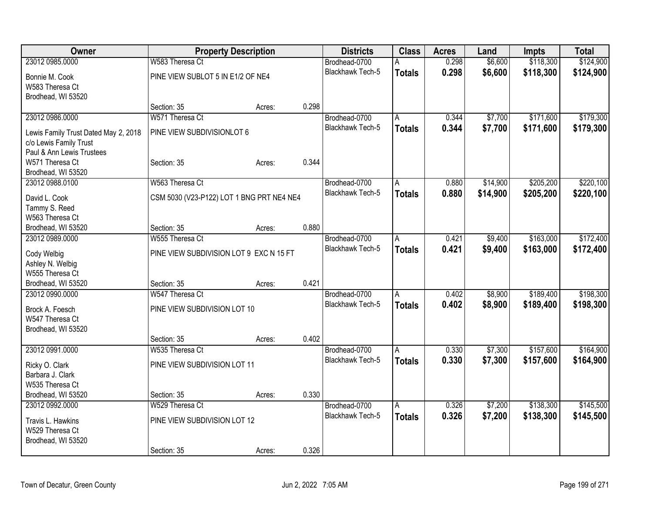| Owner                                                          | <b>Property Description</b>               |        |       | <b>Districts</b>                  | <b>Class</b>   | <b>Acres</b> | Land     | Impts     | <b>Total</b> |
|----------------------------------------------------------------|-------------------------------------------|--------|-------|-----------------------------------|----------------|--------------|----------|-----------|--------------|
| 23012 0985.0000                                                | W583 Theresa Ct                           |        |       | Brodhead-0700                     |                | 0.298        | \$6,600  | \$118,300 | \$124,900    |
| Bonnie M. Cook                                                 | PINE VIEW SUBLOT 5 IN E1/2 OF NE4         |        |       | Blackhawk Tech-5                  | <b>Totals</b>  | 0.298        | \$6,600  | \$118,300 | \$124,900    |
| W583 Theresa Ct                                                |                                           |        |       |                                   |                |              |          |           |              |
| Brodhead, WI 53520                                             |                                           |        |       |                                   |                |              |          |           |              |
|                                                                | Section: 35                               | Acres: | 0.298 |                                   |                |              |          |           |              |
| 23012 0986.0000                                                | W571 Theresa Ct                           |        |       | Brodhead-0700                     | A              | 0.344        | \$7,700  | \$171,600 | \$179,300    |
|                                                                | PINE VIEW SUBDIVISIONLOT 6                |        |       | Blackhawk Tech-5                  | <b>Totals</b>  | 0.344        | \$7,700  | \$171,600 | \$179,300    |
| Lewis Family Trust Dated May 2, 2018<br>c/o Lewis Family Trust |                                           |        |       |                                   |                |              |          |           |              |
| Paul & Ann Lewis Trustees                                      |                                           |        |       |                                   |                |              |          |           |              |
| W571 Theresa Ct                                                | Section: 35                               | Acres: | 0.344 |                                   |                |              |          |           |              |
| Brodhead, WI 53520                                             |                                           |        |       |                                   |                |              |          |           |              |
| 23012 0988.0100                                                | W563 Theresa Ct                           |        |       | Brodhead-0700                     | A              | 0.880        | \$14,900 | \$205,200 | \$220,100    |
|                                                                |                                           |        |       | <b>Blackhawk Tech-5</b>           | <b>Totals</b>  | 0.880        | \$14,900 | \$205,200 | \$220,100    |
| David L. Cook                                                  | CSM 5030 (V23-P122) LOT 1 BNG PRT NE4 NE4 |        |       |                                   |                |              |          |           |              |
| Tammy S. Reed                                                  |                                           |        |       |                                   |                |              |          |           |              |
| W563 Theresa Ct                                                | Section: 35                               |        | 0.880 |                                   |                |              |          |           |              |
| Brodhead, WI 53520<br>23012 0989.0000                          | W555 Theresa Ct                           | Acres: |       |                                   |                |              |          | \$163,000 | \$172,400    |
|                                                                |                                           |        |       | Brodhead-0700<br>Blackhawk Tech-5 | A              | 0.421        | \$9,400  |           |              |
| Cody Welbig                                                    | PINE VIEW SUBDIVISION LOT 9 EXC N 15 FT   |        |       |                                   | <b>Totals</b>  | 0.421        | \$9,400  | \$163,000 | \$172,400    |
| Ashley N. Welbig                                               |                                           |        |       |                                   |                |              |          |           |              |
| W555 Theresa Ct                                                |                                           |        |       |                                   |                |              |          |           |              |
| Brodhead, WI 53520                                             | Section: 35                               | Acres: | 0.421 |                                   |                |              |          |           |              |
| 23012 0990.0000                                                | W547 Theresa Ct                           |        |       | Brodhead-0700                     | A              | 0.402        | \$8,900  | \$189,400 | \$198,300    |
| Brock A. Foesch                                                | PINE VIEW SUBDIVISION LOT 10              |        |       | <b>Blackhawk Tech-5</b>           | <b>Totals</b>  | 0.402        | \$8,900  | \$189,400 | \$198,300    |
| W547 Theresa Ct                                                |                                           |        |       |                                   |                |              |          |           |              |
| Brodhead, WI 53520                                             |                                           |        |       |                                   |                |              |          |           |              |
|                                                                | Section: 35                               | Acres: | 0.402 |                                   |                |              |          |           |              |
| 23012 0991.0000                                                | W535 Theresa Ct                           |        |       | Brodhead-0700                     | $\overline{A}$ | 0.330        | \$7,300  | \$157,600 | \$164,900    |
|                                                                | PINE VIEW SUBDIVISION LOT 11              |        |       | Blackhawk Tech-5                  | <b>Totals</b>  | 0.330        | \$7,300  | \$157,600 | \$164,900    |
| Ricky O. Clark<br>Barbara J. Clark                             |                                           |        |       |                                   |                |              |          |           |              |
| W535 Theresa Ct                                                |                                           |        |       |                                   |                |              |          |           |              |
| Brodhead, WI 53520                                             | Section: 35                               | Acres: | 0.330 |                                   |                |              |          |           |              |
| 23012 0992.0000                                                | W529 Theresa Ct                           |        |       | Brodhead-0700                     | A              | 0.326        | \$7,200  | \$138,300 | \$145,500    |
|                                                                |                                           |        |       | <b>Blackhawk Tech-5</b>           | <b>Totals</b>  | 0.326        | \$7,200  | \$138,300 | \$145,500    |
| Travis L. Hawkins                                              | PINE VIEW SUBDIVISION LOT 12              |        |       |                                   |                |              |          |           |              |
| W529 Theresa Ct                                                |                                           |        |       |                                   |                |              |          |           |              |
| Brodhead, WI 53520                                             |                                           |        |       |                                   |                |              |          |           |              |
|                                                                | Section: 35                               | Acres: | 0.326 |                                   |                |              |          |           |              |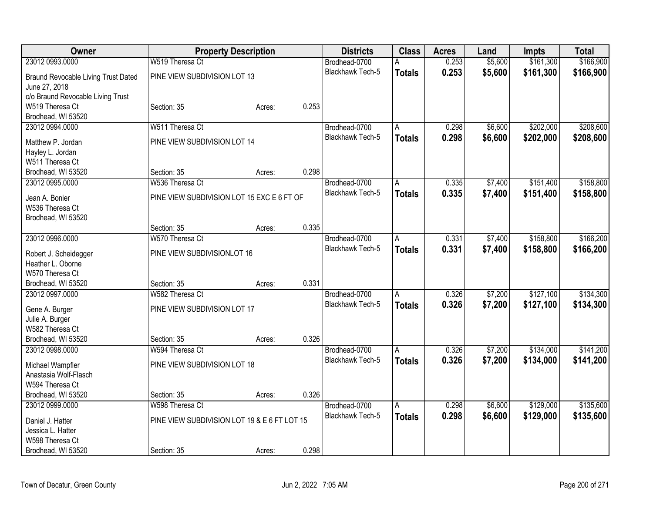| Owner                               | <b>Property Description</b>                  |        | <b>Districts</b> | <b>Class</b>            | <b>Acres</b>   | Land  | <b>Impts</b> | <b>Total</b> |           |
|-------------------------------------|----------------------------------------------|--------|------------------|-------------------------|----------------|-------|--------------|--------------|-----------|
| 23012 0993.0000                     | W519 Theresa Ct                              |        |                  | Brodhead-0700           |                | 0.253 | \$5,600      | \$161,300    | \$166,900 |
| Braund Revocable Living Trust Dated | PINE VIEW SUBDIVISION LOT 13                 |        |                  | <b>Blackhawk Tech-5</b> | <b>Totals</b>  | 0.253 | \$5,600      | \$161,300    | \$166,900 |
| June 27, 2018                       |                                              |        |                  |                         |                |       |              |              |           |
| c/o Braund Revocable Living Trust   |                                              |        |                  |                         |                |       |              |              |           |
| W519 Theresa Ct                     | Section: 35                                  | Acres: | 0.253            |                         |                |       |              |              |           |
| Brodhead, WI 53520                  |                                              |        |                  |                         |                |       |              |              |           |
| 23012 0994.0000                     | W511 Theresa Ct                              |        |                  | Brodhead-0700           | A              | 0.298 | \$6,600      | \$202,000    | \$208,600 |
| Matthew P. Jordan                   | PINE VIEW SUBDIVISION LOT 14                 |        |                  | Blackhawk Tech-5        | <b>Totals</b>  | 0.298 | \$6,600      | \$202,000    | \$208,600 |
| Hayley L. Jordan                    |                                              |        |                  |                         |                |       |              |              |           |
| W511 Theresa Ct                     |                                              |        |                  |                         |                |       |              |              |           |
| Brodhead, WI 53520                  | Section: 35                                  | Acres: | 0.298            |                         |                |       |              |              |           |
| 23012 0995.0000                     | W536 Theresa Ct                              |        |                  | Brodhead-0700           | A              | 0.335 | \$7,400      | \$151,400    | \$158,800 |
|                                     |                                              |        |                  | <b>Blackhawk Tech-5</b> | <b>Totals</b>  | 0.335 | \$7,400      | \$151,400    | \$158,800 |
| Jean A. Bonier                      | PINE VIEW SUBDIVISION LOT 15 EXC E 6 FT OF   |        |                  |                         |                |       |              |              |           |
| W536 Theresa Ct                     |                                              |        |                  |                         |                |       |              |              |           |
| Brodhead, WI 53520                  | Section: 35                                  |        | 0.335            |                         |                |       |              |              |           |
| 23012 0996.0000                     | W570 Theresa Ct                              | Acres: |                  | Brodhead-0700           |                | 0.331 | \$7,400      | \$158,800    | \$166,200 |
|                                     |                                              |        |                  | Blackhawk Tech-5        | Α              |       |              |              |           |
| Robert J. Scheidegger               | PINE VIEW SUBDIVISIONLOT 16                  |        |                  |                         | <b>Totals</b>  | 0.331 | \$7,400      | \$158,800    | \$166,200 |
| Heather L. Oborne                   |                                              |        |                  |                         |                |       |              |              |           |
| W570 Theresa Ct                     |                                              |        |                  |                         |                |       |              |              |           |
| Brodhead, WI 53520                  | Section: 35                                  | Acres: | 0.331            |                         |                |       |              |              |           |
| 23012 0997.0000                     | W582 Theresa Ct                              |        |                  | Brodhead-0700           | Α              | 0.326 | \$7,200      | \$127,100    | \$134,300 |
| Gene A. Burger                      | PINE VIEW SUBDIVISION LOT 17                 |        |                  | <b>Blackhawk Tech-5</b> | <b>Totals</b>  | 0.326 | \$7,200      | \$127,100    | \$134,300 |
| Julie A. Burger                     |                                              |        |                  |                         |                |       |              |              |           |
| W582 Theresa Ct                     |                                              |        |                  |                         |                |       |              |              |           |
| Brodhead, WI 53520                  | Section: 35                                  | Acres: | 0.326            |                         |                |       |              |              |           |
| 23012 0998.0000                     | W594 Theresa Ct                              |        |                  | Brodhead-0700           | $\overline{A}$ | 0.326 | \$7,200      | \$134,000    | \$141,200 |
| Michael Wampfler                    | PINE VIEW SUBDIVISION LOT 18                 |        |                  | Blackhawk Tech-5        | <b>Totals</b>  | 0.326 | \$7,200      | \$134,000    | \$141,200 |
| Anastasia Wolf-Flasch               |                                              |        |                  |                         |                |       |              |              |           |
| W594 Theresa Ct                     |                                              |        |                  |                         |                |       |              |              |           |
| Brodhead, WI 53520                  | Section: 35                                  | Acres: | 0.326            |                         |                |       |              |              |           |
| 23012 0999.0000                     | W598 Theresa Ct                              |        |                  | Brodhead-0700           | Α              | 0.298 | \$6,600      | \$129,000    | \$135,600 |
|                                     |                                              |        |                  | <b>Blackhawk Tech-5</b> | <b>Totals</b>  | 0.298 | \$6,600      | \$129,000    | \$135,600 |
| Daniel J. Hatter                    | PINE VIEW SUBDIVISION LOT 19 & E 6 FT LOT 15 |        |                  |                         |                |       |              |              |           |
| Jessica L. Hatter                   |                                              |        |                  |                         |                |       |              |              |           |
| W598 Theresa Ct                     |                                              |        |                  |                         |                |       |              |              |           |
| Brodhead, WI 53520                  | Section: 35                                  | Acres: | 0.298            |                         |                |       |              |              |           |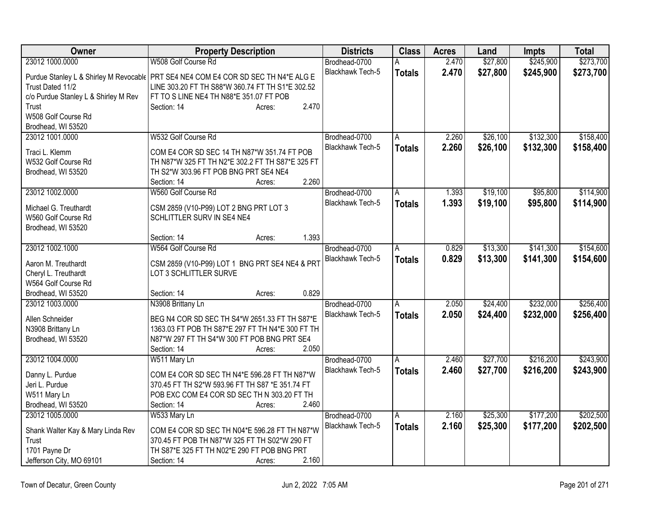| Owner                                | <b>Property Description</b>                                                          | <b>Districts</b>        | <b>Class</b>  | <b>Acres</b> | Land     | <b>Impts</b> | <b>Total</b> |
|--------------------------------------|--------------------------------------------------------------------------------------|-------------------------|---------------|--------------|----------|--------------|--------------|
| 23012 1000.0000                      | W508 Golf Course Rd                                                                  | Brodhead-0700           | A             | 2.470        | \$27,800 | \$245,900    | \$273,700    |
|                                      | Purdue Stanley L & Shirley M Revocable   PRT SE4 NE4 COM E4 COR SD SEC TH N4*E ALG E | Blackhawk Tech-5        | <b>Totals</b> | 2.470        | \$27,800 | \$245,900    | \$273,700    |
| Trust Dated 11/2                     | LINE 303.20 FT TH S88*W 360.74 FT TH S1*E 302.52                                     |                         |               |              |          |              |              |
| c/o Purdue Stanley L & Shirley M Rev | FT TO S LINE NE4 TH N88*E 351.07 FT POB                                              |                         |               |              |          |              |              |
| Trust                                | 2.470<br>Section: 14<br>Acres:                                                       |                         |               |              |          |              |              |
| W508 Golf Course Rd                  |                                                                                      |                         |               |              |          |              |              |
| Brodhead, WI 53520                   |                                                                                      |                         |               |              |          |              |              |
| 23012 1001.0000                      | W532 Golf Course Rd                                                                  | Brodhead-0700           | A             | 2.260        | \$26,100 | \$132,300    | \$158,400    |
| Traci L. Klemm                       | COM E4 COR SD SEC 14 TH N87*W 351.74 FT POB                                          | Blackhawk Tech-5        | <b>Totals</b> | 2.260        | \$26,100 | \$132,300    | \$158,400    |
| W532 Golf Course Rd                  | TH N87*W 325 FT TH N2*E 302.2 FT TH S87*E 325 FT                                     |                         |               |              |          |              |              |
| Brodhead, WI 53520                   | TH S2*W 303.96 FT POB BNG PRT SE4 NE4                                                |                         |               |              |          |              |              |
|                                      | 2.260<br>Section: 14<br>Acres:                                                       |                         |               |              |          |              |              |
| 23012 1002.0000                      | W560 Golf Course Rd                                                                  | Brodhead-0700           |               | 1.393        | \$19,100 | \$95,800     | \$114,900    |
|                                      |                                                                                      | <b>Blackhawk Tech-5</b> | A             |              |          |              |              |
| Michael G. Treuthardt                | CSM 2859 (V10-P99) LOT 2 BNG PRT LOT 3                                               |                         | <b>Totals</b> | 1.393        | \$19,100 | \$95,800     | \$114,900    |
| W560 Golf Course Rd                  | SCHLITTLER SURV IN SE4 NE4                                                           |                         |               |              |          |              |              |
| Brodhead, WI 53520                   |                                                                                      |                         |               |              |          |              |              |
|                                      | 1.393<br>Section: 14<br>Acres:                                                       |                         |               |              |          |              |              |
| 23012 1002.1000                      | W564 Golf Course Rd                                                                  | Brodhead-0700           | Α             | 0.829        | \$13,300 | \$141,300    | \$154,600    |
| Aaron M. Treuthardt                  | CSM 2859 (V10-P99) LOT 1 BNG PRT SE4 NE4 & PRT                                       | Blackhawk Tech-5        | <b>Totals</b> | 0.829        | \$13,300 | \$141,300    | \$154,600    |
| Cheryl L. Treuthardt                 | LOT 3 SCHLITTLER SURVE                                                               |                         |               |              |          |              |              |
| W564 Golf Course Rd                  |                                                                                      |                         |               |              |          |              |              |
| Brodhead, WI 53520                   | 0.829<br>Section: 14<br>Acres:                                                       |                         |               |              |          |              |              |
| 23012 1003.0000                      | N3908 Brittany Ln                                                                    | Brodhead-0700           | A             | 2.050        | \$24,400 | \$232,000    | \$256,400    |
|                                      |                                                                                      | Blackhawk Tech-5        | <b>Totals</b> | 2.050        | \$24,400 | \$232,000    | \$256,400    |
| Allen Schneider                      | BEG N4 COR SD SEC TH S4*W 2651.33 FT TH S87*E                                        |                         |               |              |          |              |              |
| N3908 Brittany Ln                    | 1363.03 FT POB TH S87*E 297 FT TH N4*E 300 FT TH                                     |                         |               |              |          |              |              |
| Brodhead, WI 53520                   | N87*W 297 FT TH S4*W 300 FT POB BNG PRT SE4                                          |                         |               |              |          |              |              |
|                                      | 2.050<br>Section: 14<br>Acres:                                                       |                         |               |              |          |              |              |
| 23012 1004.0000                      | W511 Mary Ln                                                                         | Brodhead-0700           | A             | 2.460        | \$27,700 | \$216,200    | \$243,900    |
| Danny L. Purdue                      | COM E4 COR SD SEC TH N4*E 596.28 FT TH N87*W                                         | Blackhawk Tech-5        | <b>Totals</b> | 2.460        | \$27,700 | \$216,200    | \$243,900    |
| Jeri L. Purdue                       | 370.45 FT TH S2*W 593.96 FT TH S87 *E 351.74 FT                                      |                         |               |              |          |              |              |
| W511 Mary Ln                         | POB EXC COM E4 COR SD SEC TH N 303.20 FT TH                                          |                         |               |              |          |              |              |
| Brodhead, WI 53520                   | 2.460<br>Section: 14<br>Acres:                                                       |                         |               |              |          |              |              |
| 23012 1005.0000                      | W533 Mary Ln                                                                         | Brodhead-0700           | A             | 2.160        | \$25,300 | \$177,200    | \$202,500    |
|                                      |                                                                                      | <b>Blackhawk Tech-5</b> | <b>Totals</b> | 2.160        | \$25,300 | \$177,200    | \$202,500    |
| Shank Walter Kay & Mary Linda Rev    | COM E4 COR SD SEC TH N04*E 596.28 FT TH N87*W                                        |                         |               |              |          |              |              |
| Trust                                | 370.45 FT POB TH N87*W 325 FT TH S02*W 290 FT                                        |                         |               |              |          |              |              |
| 1701 Payne Dr                        | TH S87*E 325 FT TH N02*E 290 FT POB BNG PRT                                          |                         |               |              |          |              |              |
| Jefferson City, MO 69101             | 2.160<br>Section: 14<br>Acres:                                                       |                         |               |              |          |              |              |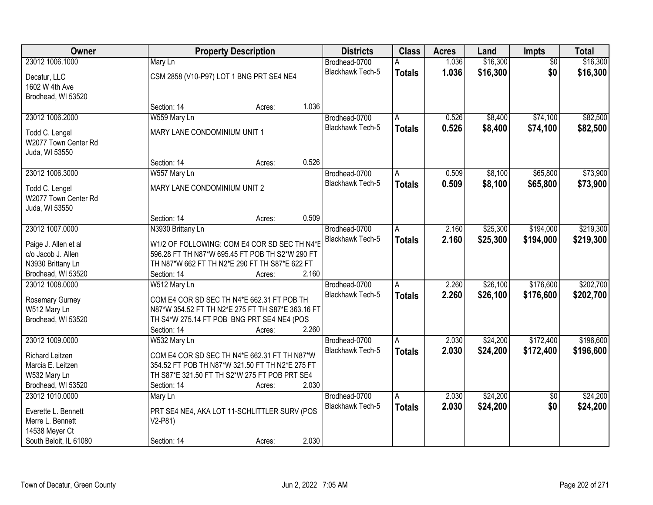| <b>Owner</b>                            |                                                          | <b>Property Description</b> |       | <b>Districts</b>        | <b>Class</b>  | <b>Acres</b> | Land     | Impts           | <b>Total</b> |
|-----------------------------------------|----------------------------------------------------------|-----------------------------|-------|-------------------------|---------------|--------------|----------|-----------------|--------------|
| 23012 1006.1000                         | Mary Ln                                                  |                             |       | Brodhead-0700           | А             | 1.036        | \$16,300 | $\overline{50}$ | \$16,300     |
| Decatur, LLC<br>1602 W 4th Ave          | CSM 2858 (V10-P97) LOT 1 BNG PRT SE4 NE4                 |                             |       | Blackhawk Tech-5        | <b>Totals</b> | 1.036        | \$16,300 | \$0             | \$16,300     |
| Brodhead, WI 53520                      |                                                          |                             |       |                         |               |              |          |                 |              |
|                                         | Section: 14                                              | Acres:                      | 1.036 |                         |               |              |          |                 |              |
| 23012 1006.2000                         | W559 Mary Ln                                             |                             |       | Brodhead-0700           | A             | 0.526        | \$8,400  | \$74,100        | \$82,500     |
| Todd C. Lengel                          | MARY LANE CONDOMINIUM UNIT 1                             |                             |       | <b>Blackhawk Tech-5</b> | <b>Totals</b> | 0.526        | \$8,400  | \$74,100        | \$82,500     |
| W2077 Town Center Rd                    |                                                          |                             |       |                         |               |              |          |                 |              |
| Juda, WI 53550                          |                                                          |                             |       |                         |               |              |          |                 |              |
|                                         | Section: 14                                              | Acres:                      | 0.526 |                         |               |              |          |                 |              |
| 23012 1006.3000                         | W557 Mary Ln                                             |                             |       | Brodhead-0700           | A             | 0.509        | \$8,100  | \$65,800        | \$73,900     |
| Todd C. Lengel                          | MARY LANE CONDOMINIUM UNIT 2                             |                             |       | Blackhawk Tech-5        | <b>Totals</b> | 0.509        | \$8,100  | \$65,800        | \$73,900     |
| W2077 Town Center Rd                    |                                                          |                             |       |                         |               |              |          |                 |              |
| Juda, WI 53550                          |                                                          |                             |       |                         |               |              |          |                 |              |
|                                         | Section: 14                                              | Acres:                      | 0.509 |                         |               |              |          |                 |              |
| 23012 1007.0000                         | N3930 Brittany Ln                                        |                             |       | Brodhead-0700           | A             | 2.160        | \$25,300 | \$194,000       | \$219,300    |
|                                         |                                                          |                             |       | <b>Blackhawk Tech-5</b> | <b>Totals</b> | 2.160        | \$25,300 | \$194,000       | \$219,300    |
| Paige J. Allen et al                    | W1/2 OF FOLLOWING: COM E4 COR SD SEC TH N4*E             |                             |       |                         |               |              |          |                 |              |
| c/o Jacob J. Allen                      | 596.28 FT TH N87*W 695.45 FT POB TH S2*W 290 FT          |                             |       |                         |               |              |          |                 |              |
| N3930 Brittany Ln                       | TH N87*W 662 FT TH N2*E 290 FT TH S87*E 622 FT           |                             |       |                         |               |              |          |                 |              |
| Brodhead, WI 53520                      | Section: 14                                              | Acres:                      | 2.160 |                         |               |              |          |                 |              |
| 23012 1008.0000                         | W512 Mary Ln                                             |                             |       | Brodhead-0700           | A             | 2.260        | \$26,100 | \$176,600       | \$202,700    |
| Rosemary Gurney                         | COM E4 COR SD SEC TH N4*E 662.31 FT POB TH               |                             |       | <b>Blackhawk Tech-5</b> | <b>Totals</b> | 2.260        | \$26,100 | \$176,600       | \$202,700    |
| W512 Mary Ln                            | N87*W 354.52 FT TH N2*E 275 FT TH S87*E 363.16 FT        |                             |       |                         |               |              |          |                 |              |
| Brodhead, WI 53520                      | TH S4*W 275.14 FT POB BNG PRT SE4 NE4 (POS               |                             |       |                         |               |              |          |                 |              |
|                                         | Section: 14                                              | Acres:                      | 2.260 |                         |               |              |          |                 |              |
| 23012 1009.0000                         | W532 Mary Ln                                             |                             |       | Brodhead-0700           | Α             | 2.030        | \$24,200 | \$172,400       | \$196,600    |
| <b>Richard Leitzen</b>                  | COM E4 COR SD SEC TH N4*E 662.31 FT TH N87*W             |                             |       | <b>Blackhawk Tech-5</b> | <b>Totals</b> | 2.030        | \$24,200 | \$172,400       | \$196,600    |
| Marcia E. Leitzen                       | 354.52 FT POB TH N87*W 321.50 FT TH N2*E 275 FT          |                             |       |                         |               |              |          |                 |              |
| W532 Mary Ln                            | TH S87*E 321.50 FT TH S2*W 275 FT POB PRT SE4            |                             |       |                         |               |              |          |                 |              |
| Brodhead, WI 53520                      | Section: 14                                              | Acres:                      | 2.030 |                         |               |              |          |                 |              |
| 23012 1010.0000                         | Mary Ln                                                  |                             |       | Brodhead-0700           | A             | 2.030        | \$24,200 | $\overline{30}$ | \$24,200     |
|                                         |                                                          |                             |       | Blackhawk Tech-5        | <b>Totals</b> | 2.030        | \$24,200 | \$0             | \$24,200     |
| Everette L. Bennett<br>Merre L. Bennett | PRT SE4 NE4, AKA LOT 11-SCHLITTLER SURV (POS<br>$V2-P81$ |                             |       |                         |               |              |          |                 |              |
| 14538 Meyer Ct                          |                                                          |                             |       |                         |               |              |          |                 |              |
| South Beloit, IL 61080                  | Section: 14                                              | Acres:                      | 2.030 |                         |               |              |          |                 |              |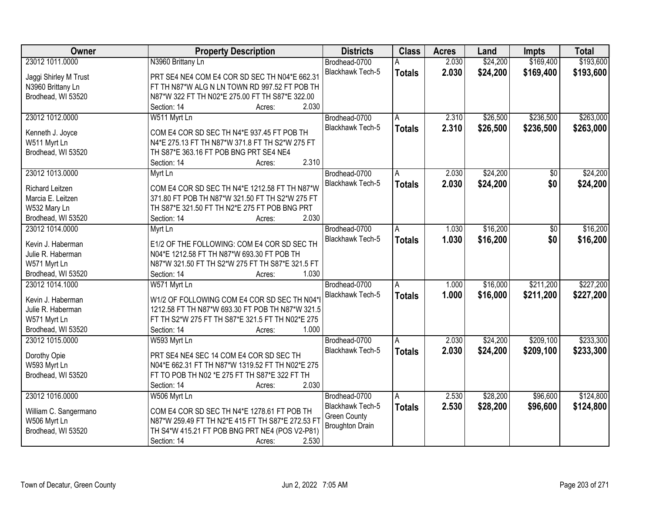| Owner                  | <b>Property Description</b>                       | <b>Districts</b>        | <b>Class</b>  | <b>Acres</b> | Land     | <b>Impts</b> | <b>Total</b> |
|------------------------|---------------------------------------------------|-------------------------|---------------|--------------|----------|--------------|--------------|
| 23012 1011.0000        | N3960 Brittany Ln                                 | Brodhead-0700           |               | 2.030        | \$24,200 | \$169,400    | \$193,600    |
| Jaggi Shirley M Trust  | PRT SE4 NE4 COM E4 COR SD SEC TH N04*E 662.31     | Blackhawk Tech-5        | <b>Totals</b> | 2.030        | \$24,200 | \$169,400    | \$193,600    |
| N3960 Brittany Ln      | FT TH N87*W ALG N LN TOWN RD 997.52 FT POB TH     |                         |               |              |          |              |              |
| Brodhead, WI 53520     | N87*W 322 FT TH N02*E 275.00 FT TH S87*E 322.00   |                         |               |              |          |              |              |
|                        | 2.030<br>Section: 14<br>Acres:                    |                         |               |              |          |              |              |
| 23012 1012.0000        | W511 Myrt Ln                                      | Brodhead-0700           | A             | 2.310        | \$26,500 | \$236,500    | \$263,000    |
|                        |                                                   | Blackhawk Tech-5        | <b>Totals</b> | 2.310        | \$26,500 | \$236,500    | \$263,000    |
| Kenneth J. Joyce       | COM E4 COR SD SEC TH N4*E 937.45 FT POB TH        |                         |               |              |          |              |              |
| W511 Myrt Ln           | N4*E 275.13 FT TH N87*W 371.8 FT TH S2*W 275 FT   |                         |               |              |          |              |              |
| Brodhead, WI 53520     | TH S87*E 363.16 FT POB BNG PRT SE4 NE4            |                         |               |              |          |              |              |
|                        | 2.310<br>Section: 14<br>Acres:                    |                         |               |              |          |              |              |
| 23012 1013.0000        | Myrt Ln                                           | Brodhead-0700           | A             | 2.030        | \$24,200 | \$0          | \$24,200     |
| <b>Richard Leitzen</b> | COM E4 COR SD SEC TH N4*E 1212.58 FT TH N87*W     | <b>Blackhawk Tech-5</b> | <b>Totals</b> | 2.030        | \$24,200 | \$0          | \$24,200     |
| Marcia E. Leitzen      | 371.80 FT POB TH N87*W 321.50 FT TH S2*W 275 FT   |                         |               |              |          |              |              |
| W532 Mary Ln           | TH S87*E 321.50 FT TH N2*E 275 FT POB BNG PRT     |                         |               |              |          |              |              |
| Brodhead, WI 53520     | Section: 14<br>2.030<br>Acres:                    |                         |               |              |          |              |              |
| 23012 1014.0000        | Myrt Ln                                           | Brodhead-0700           | A             | 1.030        | \$16,200 | \$0          | \$16,200     |
|                        |                                                   | Blackhawk Tech-5        |               | 1.030        | \$16,200 | \$0          |              |
| Kevin J. Haberman      | E1/2 OF THE FOLLOWING: COM E4 COR SD SEC TH       |                         | <b>Totals</b> |              |          |              | \$16,200     |
| Julie R. Haberman      | N04*E 1212.58 FT TH N87*W 693.30 FT POB TH        |                         |               |              |          |              |              |
| W571 Myrt Ln           | N87*W 321.50 FT TH S2*W 275 FT TH S87*E 321.5 FT  |                         |               |              |          |              |              |
| Brodhead, WI 53520     | 1.030<br>Section: 14<br>Acres:                    |                         |               |              |          |              |              |
| 23012 1014.1000        | W571 Myrt Ln                                      | Brodhead-0700           | A             | 1.000        | \$16,000 | \$211,200    | \$227,200    |
|                        |                                                   | Blackhawk Tech-5        | <b>Totals</b> | 1.000        | \$16,000 | \$211,200    | \$227,200    |
| Kevin J. Haberman      | W1/2 OF FOLLOWING COM E4 COR SD SEC TH N04*       |                         |               |              |          |              |              |
| Julie R. Haberman      | 1212.58 FT TH N87*W 693.30 FT POB TH N87*W 321.5  |                         |               |              |          |              |              |
| W571 Myrt Ln           | FT TH S2*W 275 FT TH S87*E 321.5 FT TH N02*E 275  |                         |               |              |          |              |              |
| Brodhead, WI 53520     | 1.000<br>Section: 14<br>Acres:                    |                         |               |              |          |              |              |
| 23012 1015.0000        | W593 Myrt Ln                                      | Brodhead-0700           | A             | 2.030        | \$24,200 | \$209,100    | \$233,300    |
| Dorothy Opie           | PRT SE4 NE4 SEC 14 COM E4 COR SD SEC TH           | Blackhawk Tech-5        | <b>Totals</b> | 2.030        | \$24,200 | \$209,100    | \$233,300    |
| W593 Myrt Ln           | N04*E 662.31 FT TH N87*W 1319.52 FT TH N02*E 275  |                         |               |              |          |              |              |
| Brodhead, WI 53520     | FT TO POB TH N02 *E 275 FT TH S87*E 322 FT TH     |                         |               |              |          |              |              |
|                        | 2.030<br>Section: 14<br>Acres:                    |                         |               |              |          |              |              |
| 23012 1016.0000        | W506 Myrt Ln                                      | Brodhead-0700           | A             | 2.530        | \$28,200 | \$96,600     | \$124,800    |
|                        |                                                   | Blackhawk Tech-5        |               | 2.530        | \$28,200 | \$96,600     | \$124,800    |
| William C. Sangermano  | COM E4 COR SD SEC TH N4*E 1278.61 FT POB TH       | <b>Green County</b>     | <b>Totals</b> |              |          |              |              |
| W506 Myrt Ln           | N87*W 259.49 FT TH N2*E 415 FT TH S87*E 272.53 F1 |                         |               |              |          |              |              |
| Brodhead, WI 53520     | TH S4*W 415.21 FT POB BNG PRT NE4 (POS V2-P81)    | <b>Broughton Drain</b>  |               |              |          |              |              |
|                        | 2.530<br>Section: 14<br>Acres:                    |                         |               |              |          |              |              |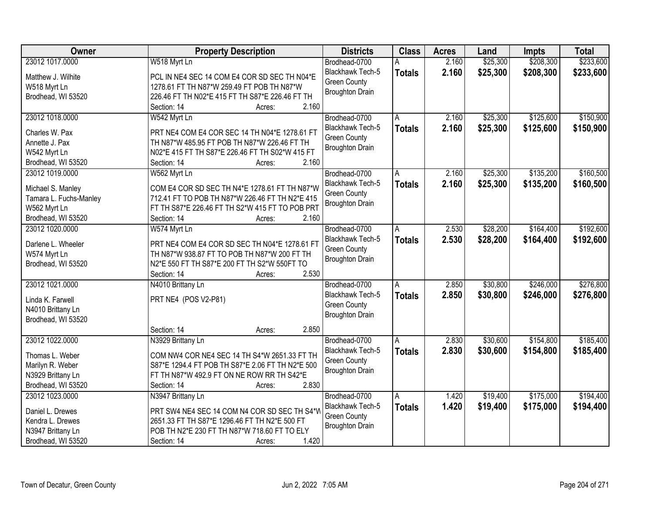| Owner                  | <b>Property Description</b>                      | <b>Districts</b>       | <b>Class</b>  | <b>Acres</b> | Land     | Impts     | <b>Total</b> |
|------------------------|--------------------------------------------------|------------------------|---------------|--------------|----------|-----------|--------------|
| 23012 1017.0000        | W518 Myrt Ln                                     | Brodhead-0700          |               | 2.160        | \$25,300 | \$208,300 | \$233,600    |
| Matthew J. Wilhite     | PCL IN NE4 SEC 14 COM E4 COR SD SEC TH N04*E     | Blackhawk Tech-5       | <b>Totals</b> | 2.160        | \$25,300 | \$208,300 | \$233,600    |
| W518 Myrt Ln           | 1278.61 FT TH N87*W 259.49 FT POB TH N87*W       | <b>Green County</b>    |               |              |          |           |              |
| Brodhead, WI 53520     | 226.46 FT TH N02*E 415 FT TH S87*E 226.46 FT TH  | <b>Broughton Drain</b> |               |              |          |           |              |
|                        | 2.160<br>Section: 14<br>Acres:                   |                        |               |              |          |           |              |
| 23012 1018.0000        | W542 Myrt Ln                                     | Brodhead-0700          | A             | 2.160        | \$25,300 | \$125,600 | \$150,900    |
|                        |                                                  | Blackhawk Tech-5       | <b>Totals</b> | 2.160        | \$25,300 | \$125,600 | \$150,900    |
| Charles W. Pax         | PRT NE4 COM E4 COR SEC 14 TH N04*E 1278.61 FT    | <b>Green County</b>    |               |              |          |           |              |
| Annette J. Pax         | TH N87*W 485.95 FT POB TH N87*W 226.46 FT TH     | <b>Broughton Drain</b> |               |              |          |           |              |
| W542 Myrt Ln           | N02*E 415 FT TH S87*E 226.46 FT TH S02*W 415 FT  |                        |               |              |          |           |              |
| Brodhead, WI 53520     | 2.160<br>Section: 14<br>Acres:                   |                        |               |              |          |           |              |
| 23012 1019.0000        | W562 Myrt Ln                                     | Brodhead-0700          | Α             | 2.160        | \$25,300 | \$135,200 | \$160,500    |
| Michael S. Manley      | COM E4 COR SD SEC TH N4*E 1278.61 FT TH N87*W    | Blackhawk Tech-5       | <b>Totals</b> | 2.160        | \$25,300 | \$135,200 | \$160,500    |
| Tamara L. Fuchs-Manley | 712.41 FT TO POB TH N87*W 226.46 FT TH N2*E 415  | <b>Green County</b>    |               |              |          |           |              |
| W562 Myrt Ln           | FT TH S87*E 226.46 FT TH S2*W 415 FT TO POB PRT  | <b>Broughton Drain</b> |               |              |          |           |              |
| Brodhead, WI 53520     | 2.160<br>Section: 14<br>Acres:                   |                        |               |              |          |           |              |
| 23012 1020,0000        | W574 Myrt Ln                                     | Brodhead-0700          | A             | 2.530        | \$28,200 | \$164,400 | \$192,600    |
|                        |                                                  | Blackhawk Tech-5       | <b>Totals</b> | 2.530        | \$28,200 | \$164,400 | \$192,600    |
| Darlene L. Wheeler     | PRT NE4 COM E4 COR SD SEC TH N04*E 1278.61 FT    | <b>Green County</b>    |               |              |          |           |              |
| W574 Myrt Ln           | TH N87*W 938.87 FT TO POB TH N87*W 200 FT TH     | <b>Broughton Drain</b> |               |              |          |           |              |
| Brodhead, WI 53520     | N2*E 550 FT TH S87*E 200 FT TH S2*W 550FT TO     |                        |               |              |          |           |              |
|                        | 2.530<br>Section: 14<br>Acres:                   |                        |               |              |          |           |              |
| 23012 1021.0000        | N4010 Brittany Ln                                | Brodhead-0700          | Α             | 2.850        | \$30,800 | \$246,000 | \$276,800    |
| Linda K. Farwell       | PRT NE4 (POS V2-P81)                             | Blackhawk Tech-5       | <b>Totals</b> | 2.850        | \$30,800 | \$246,000 | \$276,800    |
| N4010 Brittany Ln      |                                                  | <b>Green County</b>    |               |              |          |           |              |
| Brodhead, WI 53520     |                                                  | <b>Broughton Drain</b> |               |              |          |           |              |
|                        | 2.850<br>Section: 14<br>Acres:                   |                        |               |              |          |           |              |
| 23012 1022.0000        | N3929 Brittany Ln                                | Brodhead-0700          | A             | 2.830        | \$30,600 | \$154,800 | \$185,400    |
| Thomas L. Weber        | COM NW4 COR NE4 SEC 14 TH S4*W 2651.33 FT TH     | Blackhawk Tech-5       | <b>Totals</b> | 2.830        | \$30,600 | \$154,800 | \$185,400    |
| Marilyn R. Weber       | S87*E 1294.4 FT POB TH S87*E 2.06 FT TH N2*E 500 | <b>Green County</b>    |               |              |          |           |              |
| N3929 Brittany Ln      | FT TH N87*W 492.9 FT ON NE ROW RR TH S42*E       | <b>Broughton Drain</b> |               |              |          |           |              |
| Brodhead, WI 53520     | 2.830<br>Section: 14<br>Acres:                   |                        |               |              |          |           |              |
| 23012 1023.0000        | N3947 Brittany Ln                                | Brodhead-0700          | A             | 1.420        | \$19,400 | \$175,000 | \$194,400    |
|                        |                                                  | Blackhawk Tech-5       |               | 1.420        |          |           |              |
| Daniel L. Drewes       | PRT SW4 NE4 SEC 14 COM N4 COR SD SEC TH S4*W     | <b>Green County</b>    | <b>Totals</b> |              | \$19,400 | \$175,000 | \$194,400    |
| Kendra L. Drewes       | 2651.33 FT TH S87*E 1296.46 FT TH N2*E 500 FT    | <b>Broughton Drain</b> |               |              |          |           |              |
| N3947 Brittany Ln      | POB TH N2*E 230 FT TH N87*W 718.60 FT TO ELY     |                        |               |              |          |           |              |
| Brodhead, WI 53520     | 1.420<br>Section: 14<br>Acres:                   |                        |               |              |          |           |              |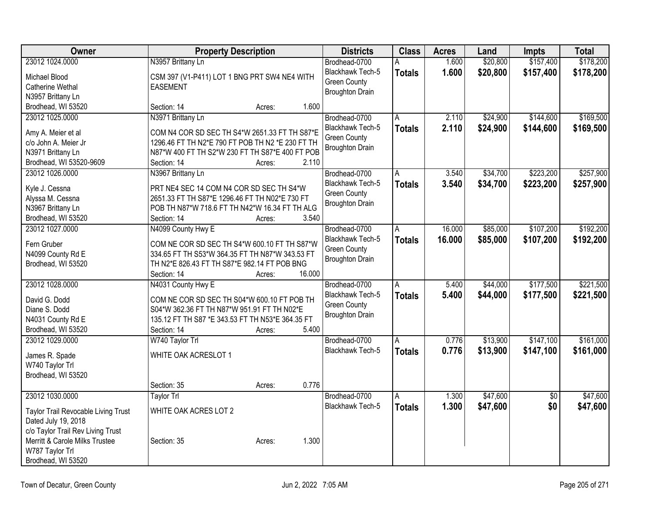| Owner                                                      | <b>Property Description</b>                                                                |        | <b>Districts</b>        | <b>Class</b>   | <b>Acres</b> | Land     | <b>Impts</b>    | <b>Total</b> |
|------------------------------------------------------------|--------------------------------------------------------------------------------------------|--------|-------------------------|----------------|--------------|----------|-----------------|--------------|
| 23012 1024.0000                                            | N3957 Brittany Ln                                                                          |        | Brodhead-0700           | А              | 1.600        | \$20,800 | \$157,400       | \$178,200    |
| Michael Blood                                              | CSM 397 (V1-P411) LOT 1 BNG PRT SW4 NE4 WITH                                               |        | Blackhawk Tech-5        | <b>Totals</b>  | 1.600        | \$20,800 | \$157,400       | \$178,200    |
| Catherine Wethal                                           | <b>EASEMENT</b>                                                                            |        | <b>Green County</b>     |                |              |          |                 |              |
| N3957 Brittany Ln                                          |                                                                                            |        | <b>Broughton Drain</b>  |                |              |          |                 |              |
| Brodhead, WI 53520                                         | Section: 14                                                                                | Acres: | 1.600                   |                |              |          |                 |              |
| 23012 1025.0000                                            | N3971 Brittany Ln                                                                          |        | Brodhead-0700           | A              | 2.110        | \$24,900 | \$144,600       | \$169,500    |
| Amy A. Meier et al                                         | COM N4 COR SD SEC TH S4*W 2651.33 FT TH S87*E                                              |        | Blackhawk Tech-5        | <b>Totals</b>  | 2.110        | \$24,900 | \$144,600       | \$169,500    |
| c/o John A. Meier Jr                                       | 1296.46 FT TH N2*E 790 FT POB TH N2 *E 230 FT TH                                           |        | <b>Green County</b>     |                |              |          |                 |              |
| N3971 Brittany Ln                                          | N87*W 400 FT TH S2*W 230 FT TH S87*E 400 FT POB                                            |        | <b>Broughton Drain</b>  |                |              |          |                 |              |
| Brodhead, WI 53520-9609                                    | Section: 14                                                                                | Acres: | 2.110                   |                |              |          |                 |              |
| 23012 1026.0000                                            | N3967 Brittany Ln                                                                          |        | Brodhead-0700           | А              | 3.540        | \$34,700 | \$223,200       | \$257,900    |
|                                                            |                                                                                            |        | <b>Blackhawk Tech-5</b> | <b>Totals</b>  | 3.540        | \$34,700 | \$223,200       | \$257,900    |
| Kyle J. Cessna                                             | PRT NE4 SEC 14 COM N4 COR SD SEC TH S4*W<br>2651.33 FT TH S87*E 1296.46 FT TH N02*E 730 FT |        | <b>Green County</b>     |                |              |          |                 |              |
| Alyssa M. Cessna<br>N3967 Brittany Ln                      | POB TH N87*W 718.6 FT TH N42*W 16.34 FT TH ALG                                             |        | <b>Broughton Drain</b>  |                |              |          |                 |              |
| Brodhead, WI 53520                                         | Section: 14                                                                                | Acres: | 3.540                   |                |              |          |                 |              |
| 23012 1027.0000                                            | N4099 County Hwy E                                                                         |        | Brodhead-0700           | Α              | 16.000       | \$85,000 | \$107,200       | \$192,200    |
|                                                            |                                                                                            |        | Blackhawk Tech-5        | <b>Totals</b>  | 16.000       | \$85,000 | \$107,200       | \$192,200    |
| Fern Gruber                                                | COM NE COR SD SEC TH S4*W 600.10 FT TH S87*W                                               |        | <b>Green County</b>     |                |              |          |                 |              |
| N4099 County Rd E                                          | 334.65 FT TH S53*W 364.35 FT TH N87*W 343.53 FT                                            |        | <b>Broughton Drain</b>  |                |              |          |                 |              |
| Brodhead, WI 53520                                         | TH N2*E 826.43 FT TH S87*E 982.14 FT POB BNG                                               |        |                         |                |              |          |                 |              |
|                                                            | Section: 14                                                                                | Acres: | 16.000                  |                |              |          |                 |              |
| 23012 1028.0000                                            | N4031 County Hwy E                                                                         |        | Brodhead-0700           | $\overline{A}$ | 5.400        | \$44,000 | \$177,500       | \$221,500    |
| David G. Dodd                                              | COM NE COR SD SEC TH S04*W 600.10 FT POB TH                                                |        | <b>Blackhawk Tech-5</b> | <b>Totals</b>  | 5.400        | \$44,000 | \$177,500       | \$221,500    |
| Diane S. Dodd                                              | S04*W 362.36 FT TH N87*W 951.91 FT TH N02*E                                                |        | <b>Green County</b>     |                |              |          |                 |              |
| N4031 County Rd E                                          | 135.12 FT TH S87 *E 343.53 FT TH N53*E 364.35 FT                                           |        | <b>Broughton Drain</b>  |                |              |          |                 |              |
| Brodhead, WI 53520                                         | Section: 14                                                                                | Acres: | 5.400                   |                |              |          |                 |              |
| 23012 1029.0000                                            | W740 Taylor Trl                                                                            |        | Brodhead-0700           | A              | 0.776        | \$13,900 | \$147,100       | \$161,000    |
| James R. Spade                                             | WHITE OAK ACRESLOT 1                                                                       |        | Blackhawk Tech-5        | <b>Totals</b>  | 0.776        | \$13,900 | \$147,100       | \$161,000    |
| W740 Taylor Trl                                            |                                                                                            |        |                         |                |              |          |                 |              |
| Brodhead, WI 53520                                         |                                                                                            |        |                         |                |              |          |                 |              |
|                                                            | Section: 35                                                                                | Acres: | 0.776                   |                |              |          |                 |              |
| 23012 1030.0000                                            | Taylor Trl                                                                                 |        | Brodhead-0700           | A              | 1.300        | \$47,600 | $\overline{50}$ | \$47,600     |
|                                                            | WHITE OAK ACRES LOT 2                                                                      |        | Blackhawk Tech-5        | <b>Totals</b>  | 1.300        | \$47,600 | \$0             | \$47,600     |
| Taylor Trail Revocable Living Trust<br>Dated July 19, 2018 |                                                                                            |        |                         |                |              |          |                 |              |
| c/o Taylor Trail Rev Living Trust                          |                                                                                            |        |                         |                |              |          |                 |              |
| Merritt & Carole Milks Trustee                             | Section: 35                                                                                | Acres: | 1.300                   |                |              |          |                 |              |
| W787 Taylor Trl                                            |                                                                                            |        |                         |                |              |          |                 |              |
| Brodhead, WI 53520                                         |                                                                                            |        |                         |                |              |          |                 |              |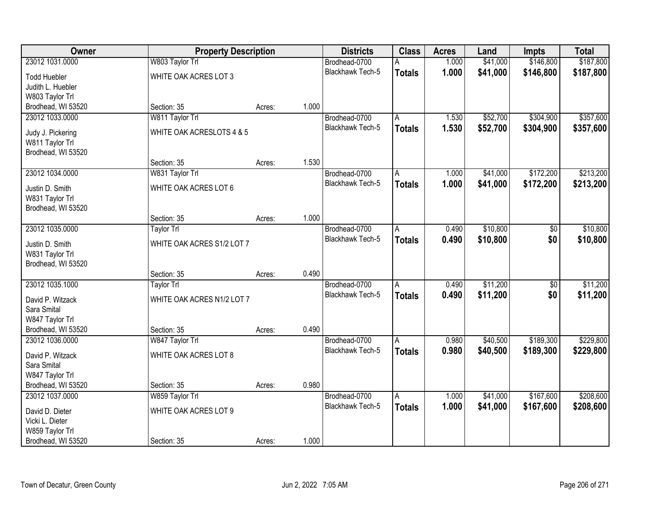| Owner                                 | <b>Property Description</b> |        |       | <b>Districts</b>        | <b>Class</b>  | <b>Acres</b> | Land     | Impts           | <b>Total</b> |
|---------------------------------------|-----------------------------|--------|-------|-------------------------|---------------|--------------|----------|-----------------|--------------|
| 23012 1031.0000                       | W803 Taylor Trl             |        |       | Brodhead-0700           | А             | 1.000        | \$41,000 | \$146,800       | \$187,800    |
| <b>Todd Huebler</b>                   | WHITE OAK ACRES LOT 3       |        |       | Blackhawk Tech-5        | <b>Totals</b> | 1.000        | \$41,000 | \$146,800       | \$187,800    |
| Judith L. Huebler                     |                             |        |       |                         |               |              |          |                 |              |
| W803 Taylor Trl                       |                             |        |       |                         |               |              |          |                 |              |
| Brodhead, WI 53520                    | Section: 35                 | Acres: | 1.000 |                         |               |              |          |                 |              |
| 23012 1033.0000                       | W811 Taylor Trl             |        |       | Brodhead-0700           | A             | 1.530        | \$52,700 | \$304,900       | \$357,600    |
|                                       |                             |        |       | <b>Blackhawk Tech-5</b> | <b>Totals</b> | 1.530        | \$52,700 | \$304,900       | \$357,600    |
| Judy J. Pickering                     | WHITE OAK ACRESLOTS 4 & 5   |        |       |                         |               |              |          |                 |              |
| W811 Taylor Trl<br>Brodhead, WI 53520 |                             |        |       |                         |               |              |          |                 |              |
|                                       | Section: 35                 | Acres: | 1.530 |                         |               |              |          |                 |              |
| 23012 1034.0000                       | W831 Taylor Trl             |        |       | Brodhead-0700           | A             | 1.000        | \$41,000 | \$172,200       | \$213,200    |
|                                       |                             |        |       | Blackhawk Tech-5        |               | 1.000        | \$41,000 | \$172,200       |              |
| Justin D. Smith                       | WHITE OAK ACRES LOT 6       |        |       |                         | <b>Totals</b> |              |          |                 | \$213,200    |
| W831 Taylor Trl                       |                             |        |       |                         |               |              |          |                 |              |
| Brodhead, WI 53520                    |                             |        |       |                         |               |              |          |                 |              |
|                                       | Section: 35                 | Acres: | 1.000 |                         |               |              |          |                 |              |
| 23012 1035.0000                       | Taylor Trl                  |        |       | Brodhead-0700           | A             | 0.490        | \$10,800 | \$0             | \$10,800     |
| Justin D. Smith                       | WHITE OAK ACRES S1/2 LOT 7  |        |       | <b>Blackhawk Tech-5</b> | <b>Totals</b> | 0.490        | \$10,800 | \$0             | \$10,800     |
| W831 Taylor Trl                       |                             |        |       |                         |               |              |          |                 |              |
| Brodhead, WI 53520                    |                             |        |       |                         |               |              |          |                 |              |
|                                       | Section: 35                 | Acres: | 0.490 |                         |               |              |          |                 |              |
| 23012 1035.1000                       | <b>Taylor Trl</b>           |        |       | Brodhead-0700           | A             | 0.490        | \$11,200 | $\overline{50}$ | \$11,200     |
| David P. Witzack                      | WHITE OAK ACRES N1/2 LOT 7  |        |       | Blackhawk Tech-5        | <b>Totals</b> | 0.490        | \$11,200 | \$0             | \$11,200     |
| Sara Smital                           |                             |        |       |                         |               |              |          |                 |              |
| W847 Taylor Trl                       |                             |        |       |                         |               |              |          |                 |              |
| Brodhead, WI 53520                    | Section: 35                 | Acres: | 0.490 |                         |               |              |          |                 |              |
| 23012 1036.0000                       | W847 Taylor Trl             |        |       | Brodhead-0700           | A             | 0.980        | \$40,500 | \$189,300       | \$229,800    |
|                                       |                             |        |       | Blackhawk Tech-5        | <b>Totals</b> | 0.980        | \$40,500 | \$189,300       | \$229,800    |
| David P. Witzack                      | WHITE OAK ACRES LOT 8       |        |       |                         |               |              |          |                 |              |
| Sara Smital                           |                             |        |       |                         |               |              |          |                 |              |
| W847 Taylor Trl                       |                             |        |       |                         |               |              |          |                 |              |
| Brodhead, WI 53520                    | Section: 35                 | Acres: | 0.980 |                         |               |              |          |                 |              |
| 23012 1037.0000                       | W859 Taylor Trl             |        |       | Brodhead-0700           | A             | 1.000        | \$41,000 | \$167,600       | \$208,600    |
| David D. Dieter                       | WHITE OAK ACRES LOT 9       |        |       | Blackhawk Tech-5        | <b>Totals</b> | 1.000        | \$41,000 | \$167,600       | \$208,600    |
| Vicki L. Dieter                       |                             |        |       |                         |               |              |          |                 |              |
| W859 Taylor Trl                       |                             |        |       |                         |               |              |          |                 |              |
| Brodhead, WI 53520                    | Section: 35                 | Acres: | 1.000 |                         |               |              |          |                 |              |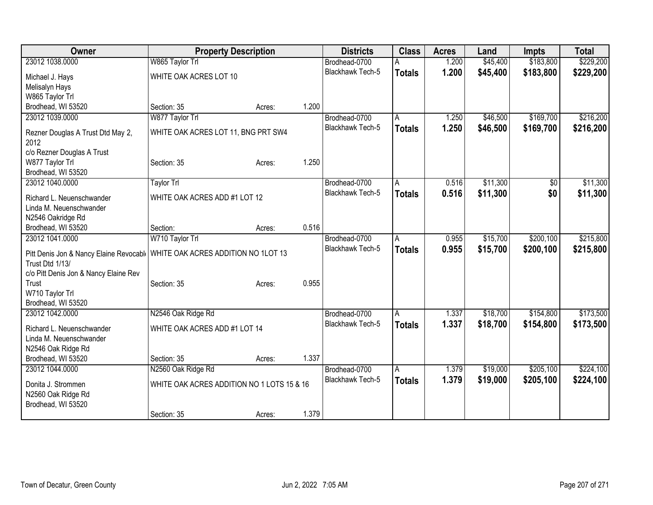| <b>Owner</b>                                                                 | <b>Property Description</b>                |        |       | <b>Districts</b>        | <b>Class</b>  | <b>Acres</b> | Land     | <b>Impts</b> | <b>Total</b> |
|------------------------------------------------------------------------------|--------------------------------------------|--------|-------|-------------------------|---------------|--------------|----------|--------------|--------------|
| 23012 1038,0000                                                              | W865 Taylor Trl                            |        |       | Brodhead-0700           |               | 1.200        | \$45,400 | \$183,800    | \$229,200    |
| Michael J. Hays                                                              | WHITE OAK ACRES LOT 10                     |        |       | Blackhawk Tech-5        | <b>Totals</b> | 1.200        | \$45,400 | \$183,800    | \$229,200    |
| Melisalyn Hays                                                               |                                            |        |       |                         |               |              |          |              |              |
| W865 Taylor Trl                                                              |                                            |        |       |                         |               |              |          |              |              |
| Brodhead, WI 53520                                                           | Section: 35                                | Acres: | 1.200 |                         |               |              |          |              |              |
| 23012 1039.0000                                                              | W877 Taylor Trl                            |        |       | Brodhead-0700           | A             | 1.250        | \$46,500 | \$169,700    | \$216,200    |
| Rezner Douglas A Trust Dtd May 2,<br>2012                                    | WHITE OAK ACRES LOT 11, BNG PRT SW4        |        |       | Blackhawk Tech-5        | <b>Totals</b> | 1.250        | \$46,500 | \$169,700    | \$216,200    |
| c/o Rezner Douglas A Trust                                                   |                                            |        |       |                         |               |              |          |              |              |
| W877 Taylor Trl                                                              | Section: 35                                | Acres: | 1.250 |                         |               |              |          |              |              |
| Brodhead, WI 53520                                                           |                                            |        |       |                         |               |              |          |              |              |
| 23012 1040.0000                                                              | <b>Taylor Trl</b>                          |        |       | Brodhead-0700           | A             | 0.516        | \$11,300 | \$0          | \$11,300     |
| Richard L. Neuenschwander                                                    | WHITE OAK ACRES ADD #1 LOT 12              |        |       | <b>Blackhawk Tech-5</b> | <b>Totals</b> | 0.516        | \$11,300 | \$0          | \$11,300     |
| Linda M. Neuenschwander                                                      |                                            |        |       |                         |               |              |          |              |              |
| N2546 Oakridge Rd                                                            |                                            |        |       |                         |               |              |          |              |              |
| Brodhead, WI 53520                                                           | Section:                                   | Acres: | 0.516 |                         |               |              |          |              |              |
| 23012 1041.0000                                                              | W710 Taylor Trl                            |        |       | Brodhead-0700           | A             | 0.955        | \$15,700 | \$200,100    | \$215,800    |
|                                                                              |                                            |        |       | <b>Blackhawk Tech-5</b> | <b>Totals</b> | 0.955        | \$15,700 | \$200,100    | \$215,800    |
| Pitt Denis Jon & Nancy Elaine Revocabl   WHITE OAK ACRES ADDITION NO 1LOT 13 |                                            |        |       |                         |               |              |          |              |              |
| Trust Dtd 1/13/                                                              |                                            |        |       |                         |               |              |          |              |              |
| c/o Pitt Denis Jon & Nancy Elaine Rev<br>Trust                               |                                            |        | 0.955 |                         |               |              |          |              |              |
| W710 Taylor Trl                                                              | Section: 35                                | Acres: |       |                         |               |              |          |              |              |
| Brodhead, WI 53520                                                           |                                            |        |       |                         |               |              |          |              |              |
| 23012 1042.0000                                                              | N2546 Oak Ridge Rd                         |        |       | Brodhead-0700           | A             | 1.337        | \$18,700 | \$154,800    | \$173,500    |
|                                                                              |                                            |        |       | Blackhawk Tech-5        | <b>Totals</b> | 1.337        | \$18,700 | \$154,800    | \$173,500    |
| Richard L. Neuenschwander                                                    | WHITE OAK ACRES ADD #1 LOT 14              |        |       |                         |               |              |          |              |              |
| Linda M. Neuenschwander                                                      |                                            |        |       |                         |               |              |          |              |              |
| N2546 Oak Ridge Rd                                                           |                                            |        |       |                         |               |              |          |              |              |
| Brodhead, WI 53520                                                           | Section: 35                                | Acres: | 1.337 |                         |               |              |          |              |              |
| 23012 1044.0000                                                              | N2560 Oak Ridge Rd                         |        |       | Brodhead-0700           | A             | 1.379        | \$19,000 | \$205,100    | \$224,100    |
| Donita J. Strommen                                                           | WHITE OAK ACRES ADDITION NO 1 LOTS 15 & 16 |        |       | Blackhawk Tech-5        | <b>Totals</b> | 1.379        | \$19,000 | \$205,100    | \$224,100    |
| N2560 Oak Ridge Rd                                                           |                                            |        |       |                         |               |              |          |              |              |
| Brodhead, WI 53520                                                           |                                            |        |       |                         |               |              |          |              |              |
|                                                                              | Section: 35                                | Acres: | 1.379 |                         |               |              |          |              |              |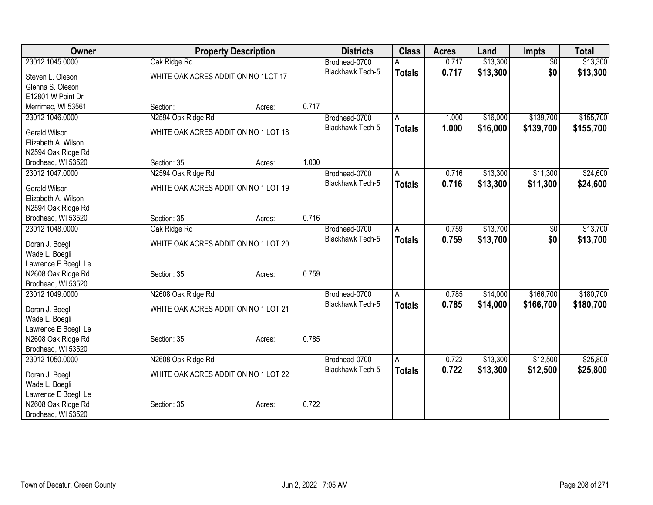| Owner                |                                      | <b>Property Description</b> |       | <b>Districts</b>        | <b>Class</b>  | <b>Acres</b> | Land     | <b>Impts</b>    | <b>Total</b> |
|----------------------|--------------------------------------|-----------------------------|-------|-------------------------|---------------|--------------|----------|-----------------|--------------|
| 23012 1045.0000      | Oak Ridge Rd                         |                             |       | Brodhead-0700           |               | 0.717        | \$13,300 | $\overline{30}$ | \$13,300     |
| Steven L. Oleson     | WHITE OAK ACRES ADDITION NO 1LOT 17  |                             |       | <b>Blackhawk Tech-5</b> | <b>Totals</b> | 0.717        | \$13,300 | \$0             | \$13,300     |
| Glenna S. Oleson     |                                      |                             |       |                         |               |              |          |                 |              |
| E12801 W Point Dr    |                                      |                             |       |                         |               |              |          |                 |              |
| Merrimac, WI 53561   | Section:                             | Acres:                      | 0.717 |                         |               |              |          |                 |              |
| 23012 1046.0000      | N2594 Oak Ridge Rd                   |                             |       | Brodhead-0700           | A             | 1.000        | \$16,000 | \$139,700       | \$155,700    |
|                      |                                      |                             |       | <b>Blackhawk Tech-5</b> | <b>Totals</b> | 1.000        | \$16,000 | \$139,700       | \$155,700    |
| Gerald Wilson        | WHITE OAK ACRES ADDITION NO 1 LOT 18 |                             |       |                         |               |              |          |                 |              |
| Elizabeth A. Wilson  |                                      |                             |       |                         |               |              |          |                 |              |
| N2594 Oak Ridge Rd   |                                      |                             | 1.000 |                         |               |              |          |                 |              |
| Brodhead, WI 53520   | Section: 35                          | Acres:                      |       |                         |               |              |          |                 |              |
| 23012 1047.0000      | N2594 Oak Ridge Rd                   |                             |       | Brodhead-0700           | A             | 0.716        | \$13,300 | \$11,300        | \$24,600     |
| <b>Gerald Wilson</b> | WHITE OAK ACRES ADDITION NO 1 LOT 19 |                             |       | Blackhawk Tech-5        | <b>Totals</b> | 0.716        | \$13,300 | \$11,300        | \$24,600     |
| Elizabeth A. Wilson  |                                      |                             |       |                         |               |              |          |                 |              |
| N2594 Oak Ridge Rd   |                                      |                             |       |                         |               |              |          |                 |              |
| Brodhead, WI 53520   | Section: 35                          | Acres:                      | 0.716 |                         |               |              |          |                 |              |
| 23012 1048.0000      | Oak Ridge Rd                         |                             |       | Brodhead-0700           | A             | 0.759        | \$13,700 | \$0             | \$13,700     |
| Doran J. Boegli      | WHITE OAK ACRES ADDITION NO 1 LOT 20 |                             |       | Blackhawk Tech-5        | <b>Totals</b> | 0.759        | \$13,700 | \$0             | \$13,700     |
| Wade L. Boegli       |                                      |                             |       |                         |               |              |          |                 |              |
| Lawrence E Boegli Le |                                      |                             |       |                         |               |              |          |                 |              |
| N2608 Oak Ridge Rd   | Section: 35                          | Acres:                      | 0.759 |                         |               |              |          |                 |              |
| Brodhead, WI 53520   |                                      |                             |       |                         |               |              |          |                 |              |
| 23012 1049.0000      | N2608 Oak Ridge Rd                   |                             |       | Brodhead-0700           | A             | 0.785        | \$14,000 | \$166,700       | \$180,700    |
|                      |                                      |                             |       | <b>Blackhawk Tech-5</b> | <b>Totals</b> | 0.785        | \$14,000 | \$166,700       | \$180,700    |
| Doran J. Boegli      | WHITE OAK ACRES ADDITION NO 1 LOT 21 |                             |       |                         |               |              |          |                 |              |
| Wade L. Boegli       |                                      |                             |       |                         |               |              |          |                 |              |
| Lawrence E Boegli Le |                                      |                             |       |                         |               |              |          |                 |              |
| N2608 Oak Ridge Rd   | Section: 35                          | Acres:                      | 0.785 |                         |               |              |          |                 |              |
| Brodhead, WI 53520   |                                      |                             |       |                         |               |              |          |                 |              |
| 23012 1050.0000      | N2608 Oak Ridge Rd                   |                             |       | Brodhead-0700           | A             | 0.722        | \$13,300 | \$12,500        | \$25,800     |
| Doran J. Boegli      | WHITE OAK ACRES ADDITION NO 1 LOT 22 |                             |       | <b>Blackhawk Tech-5</b> | <b>Totals</b> | 0.722        | \$13,300 | \$12,500        | \$25,800     |
| Wade L. Boegli       |                                      |                             |       |                         |               |              |          |                 |              |
| Lawrence E Boegli Le |                                      |                             |       |                         |               |              |          |                 |              |
| N2608 Oak Ridge Rd   | Section: 35                          | Acres:                      | 0.722 |                         |               |              |          |                 |              |
| Brodhead, WI 53520   |                                      |                             |       |                         |               |              |          |                 |              |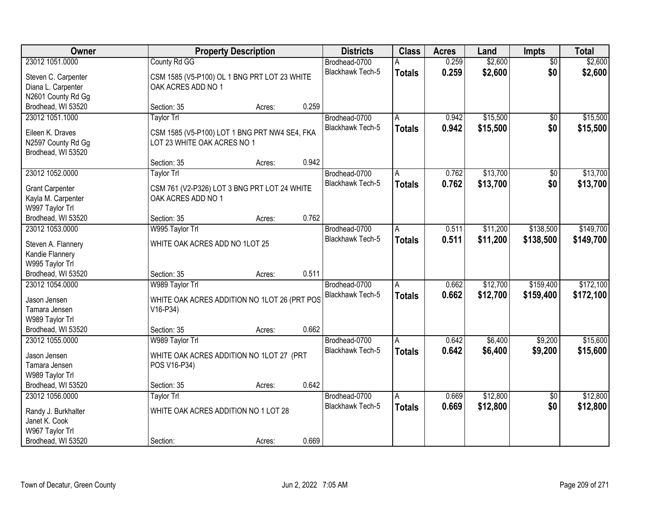| Owner                  |                                               | <b>Property Description</b> |       | <b>Districts</b>        | <b>Class</b>  | <b>Acres</b> | Land     | <b>Impts</b>    | <b>Total</b> |
|------------------------|-----------------------------------------------|-----------------------------|-------|-------------------------|---------------|--------------|----------|-----------------|--------------|
| 23012 1051.0000        | County Rd GG                                  |                             |       | Brodhead-0700           | А             | 0.259        | \$2,600  | $\overline{50}$ | \$2,600      |
| Steven C. Carpenter    | CSM 1585 (V5-P100) OL 1 BNG PRT LOT 23 WHITE  |                             |       | Blackhawk Tech-5        | <b>Totals</b> | 0.259        | \$2,600  | \$0             | \$2,600      |
| Diana L. Carpenter     | OAK ACRES ADD NO 1                            |                             |       |                         |               |              |          |                 |              |
| N2601 County Rd Gg     |                                               |                             |       |                         |               |              |          |                 |              |
| Brodhead, WI 53520     | Section: 35                                   | Acres:                      | 0.259 |                         |               |              |          |                 |              |
| 23012 1051.1000        | Taylor Trl                                    |                             |       | Brodhead-0700           | A             | 0.942        | \$15,500 | $\overline{50}$ | \$15,500     |
|                        |                                               |                             |       | Blackhawk Tech-5        | <b>Totals</b> | 0.942        | \$15,500 | \$0             | \$15,500     |
| Eileen K. Draves       | CSM 1585 (V5-P100) LOT 1 BNG PRT NW4 SE4, FKA |                             |       |                         |               |              |          |                 |              |
| N2597 County Rd Gg     | LOT 23 WHITE OAK ACRES NO 1                   |                             |       |                         |               |              |          |                 |              |
| Brodhead, WI 53520     |                                               |                             | 0.942 |                         |               |              |          |                 |              |
|                        | Section: 35                                   | Acres:                      |       |                         |               |              |          |                 |              |
| 23012 1052.0000        | <b>Taylor Trl</b>                             |                             |       | Brodhead-0700           | A             | 0.762        | \$13,700 | \$0             | \$13,700     |
| <b>Grant Carpenter</b> | CSM 761 (V2-P326) LOT 3 BNG PRT LOT 24 WHITE  |                             |       | Blackhawk Tech-5        | <b>Totals</b> | 0.762        | \$13,700 | \$0             | \$13,700     |
| Kayla M. Carpenter     | OAK ACRES ADD NO 1                            |                             |       |                         |               |              |          |                 |              |
| W997 Taylor Trl        |                                               |                             |       |                         |               |              |          |                 |              |
| Brodhead, WI 53520     | Section: 35                                   | Acres:                      | 0.762 |                         |               |              |          |                 |              |
| 23012 1053.0000        | W995 Taylor Trl                               |                             |       | Brodhead-0700           | A             | 0.511        | \$11,200 | \$138,500       | \$149,700    |
| Steven A. Flannery     | WHITE OAK ACRES ADD NO 1LOT 25                |                             |       | Blackhawk Tech-5        | <b>Totals</b> | 0.511        | \$11,200 | \$138,500       | \$149,700    |
| Kandie Flannery        |                                               |                             |       |                         |               |              |          |                 |              |
| W995 Taylor Trl        |                                               |                             |       |                         |               |              |          |                 |              |
| Brodhead, WI 53520     | Section: 35                                   | Acres:                      | 0.511 |                         |               |              |          |                 |              |
| 23012 1054,0000        | W989 Taylor Trl                               |                             |       | Brodhead-0700           | A             | 0.662        | \$12,700 | \$159,400       | \$172,100    |
|                        |                                               |                             |       | Blackhawk Tech-5        | <b>Totals</b> | 0.662        | \$12,700 | \$159,400       | \$172,100    |
| Jason Jensen           | WHITE OAK ACRES ADDITION NO 1LOT 26 (PRT POS  |                             |       |                         |               |              |          |                 |              |
| Tamara Jensen          | V16-P34)                                      |                             |       |                         |               |              |          |                 |              |
| W989 Taylor Trl        |                                               |                             |       |                         |               |              |          |                 |              |
| Brodhead, WI 53520     | Section: 35                                   | Acres:                      | 0.662 |                         |               |              |          |                 |              |
| 23012 1055.0000        | W989 Taylor Trl                               |                             |       | Brodhead-0700           | A             | 0.642        | \$6,400  | \$9,200         | \$15,600     |
| Jason Jensen           | WHITE OAK ACRES ADDITION NO 1LOT 27 (PRT      |                             |       | Blackhawk Tech-5        | <b>Totals</b> | 0.642        | \$6,400  | \$9,200         | \$15,600     |
| Tamara Jensen          | POS V16-P34)                                  |                             |       |                         |               |              |          |                 |              |
| W989 Taylor Trl        |                                               |                             |       |                         |               |              |          |                 |              |
| Brodhead, WI 53520     | Section: 35                                   | Acres:                      | 0.642 |                         |               |              |          |                 |              |
| 23012 1056.0000        | <b>Taylor Trl</b>                             |                             |       | Brodhead-0700           | Α             | 0.669        | \$12,800 | $\overline{50}$ | \$12,800     |
|                        |                                               |                             |       | <b>Blackhawk Tech-5</b> | <b>Totals</b> | 0.669        | \$12,800 | \$0             | \$12,800     |
| Randy J. Burkhalter    | WHITE OAK ACRES ADDITION NO 1 LOT 28          |                             |       |                         |               |              |          |                 |              |
| Janet K. Cook          |                                               |                             |       |                         |               |              |          |                 |              |
| W967 Taylor Trl        |                                               |                             | 0.669 |                         |               |              |          |                 |              |
| Brodhead, WI 53520     | Section:                                      | Acres:                      |       |                         |               |              |          |                 |              |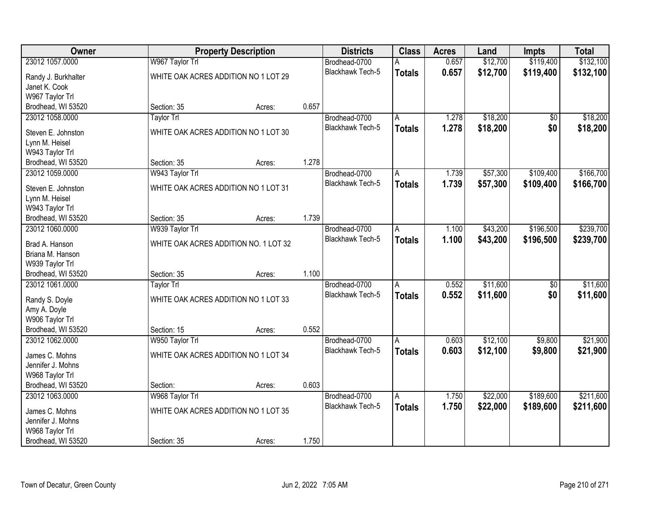| Owner                               |                                       | <b>Property Description</b> |       | <b>Districts</b>        | <b>Class</b>   | <b>Acres</b> | Land     | <b>Impts</b>    | <b>Total</b> |
|-------------------------------------|---------------------------------------|-----------------------------|-------|-------------------------|----------------|--------------|----------|-----------------|--------------|
| 23012 1057.0000                     | W967 Taylor Trl                       |                             |       | Brodhead-0700           | A              | 0.657        | \$12,700 | \$119,400       | \$132,100    |
| Randy J. Burkhalter                 | WHITE OAK ACRES ADDITION NO 1 LOT 29  |                             |       | Blackhawk Tech-5        | <b>Totals</b>  | 0.657        | \$12,700 | \$119,400       | \$132,100    |
| Janet K. Cook                       |                                       |                             |       |                         |                |              |          |                 |              |
| W967 Taylor Trl                     |                                       |                             |       |                         |                |              |          |                 |              |
| Brodhead, WI 53520                  | Section: 35                           | Acres:                      | 0.657 |                         |                |              |          |                 |              |
| 23012 1058.0000                     | <b>Taylor Trl</b>                     |                             |       | Brodhead-0700           | A              | 1.278        | \$18,200 | $\overline{50}$ | \$18,200     |
| Steven E. Johnston                  | WHITE OAK ACRES ADDITION NO 1 LOT 30  |                             |       | Blackhawk Tech-5        | <b>Totals</b>  | 1.278        | \$18,200 | \$0             | \$18,200     |
| Lynn M. Heisel                      |                                       |                             |       |                         |                |              |          |                 |              |
| W943 Taylor Trl                     |                                       |                             |       |                         |                |              |          |                 |              |
| Brodhead, WI 53520                  | Section: 35                           | Acres:                      | 1.278 |                         |                |              |          |                 |              |
| 23012 1059.0000                     | W943 Taylor Trl                       |                             |       | Brodhead-0700           | A              | 1.739        | \$57,300 | \$109,400       | \$166,700    |
| Steven E. Johnston                  | WHITE OAK ACRES ADDITION NO 1 LOT 31  |                             |       | Blackhawk Tech-5        | <b>Totals</b>  | 1.739        | \$57,300 | \$109,400       | \$166,700    |
| Lynn M. Heisel                      |                                       |                             |       |                         |                |              |          |                 |              |
| W943 Taylor Trl                     |                                       |                             |       |                         |                |              |          |                 |              |
| Brodhead, WI 53520                  | Section: 35                           | Acres:                      | 1.739 |                         |                |              |          |                 |              |
| 23012 1060.0000                     | W939 Taylor Trl                       |                             |       | Brodhead-0700           | Α              | 1.100        | \$43,200 | \$196,500       | \$239,700    |
|                                     |                                       |                             |       | <b>Blackhawk Tech-5</b> | <b>Totals</b>  | 1.100        | \$43,200 | \$196,500       | \$239,700    |
| Brad A. Hanson<br>Briana M. Hanson  | WHITE OAK ACRES ADDITION NO. 1 LOT 32 |                             |       |                         |                |              |          |                 |              |
| W939 Taylor Trl                     |                                       |                             |       |                         |                |              |          |                 |              |
| Brodhead, WI 53520                  | Section: 35                           | Acres:                      | 1.100 |                         |                |              |          |                 |              |
| 23012 1061.0000                     | <b>Taylor Trl</b>                     |                             |       | Brodhead-0700           | $\overline{A}$ | 0.552        | \$11,600 | $\overline{50}$ | \$11,600     |
|                                     |                                       |                             |       | Blackhawk Tech-5        | <b>Totals</b>  | 0.552        | \$11,600 | \$0             | \$11,600     |
| Randy S. Doyle                      | WHITE OAK ACRES ADDITION NO 1 LOT 33  |                             |       |                         |                |              |          |                 |              |
| Amy A. Doyle<br>W906 Taylor Trl     |                                       |                             |       |                         |                |              |          |                 |              |
| Brodhead, WI 53520                  | Section: 15                           | Acres:                      | 0.552 |                         |                |              |          |                 |              |
| 23012 1062.0000                     | W950 Taylor Trl                       |                             |       | Brodhead-0700           | A              | 0.603        | \$12,100 | \$9,800         | \$21,900     |
|                                     |                                       |                             |       | Blackhawk Tech-5        | <b>Totals</b>  | 0.603        | \$12,100 | \$9,800         | \$21,900     |
| James C. Mohns<br>Jennifer J. Mohns | WHITE OAK ACRES ADDITION NO 1 LOT 34  |                             |       |                         |                |              |          |                 |              |
| W968 Taylor Trl                     |                                       |                             |       |                         |                |              |          |                 |              |
| Brodhead, WI 53520                  | Section:                              | Acres:                      | 0.603 |                         |                |              |          |                 |              |
| 23012 1063.0000                     | W968 Taylor Trl                       |                             |       | Brodhead-0700           | A              | 1.750        | \$22,000 | \$189,600       | \$211,600    |
|                                     |                                       |                             |       | Blackhawk Tech-5        | <b>Totals</b>  | 1.750        | \$22,000 | \$189,600       | \$211,600    |
| James C. Mohns<br>Jennifer J. Mohns | WHITE OAK ACRES ADDITION NO 1 LOT 35  |                             |       |                         |                |              |          |                 |              |
| W968 Taylor Trl                     |                                       |                             |       |                         |                |              |          |                 |              |
| Brodhead, WI 53520                  | Section: 35                           | Acres:                      | 1.750 |                         |                |              |          |                 |              |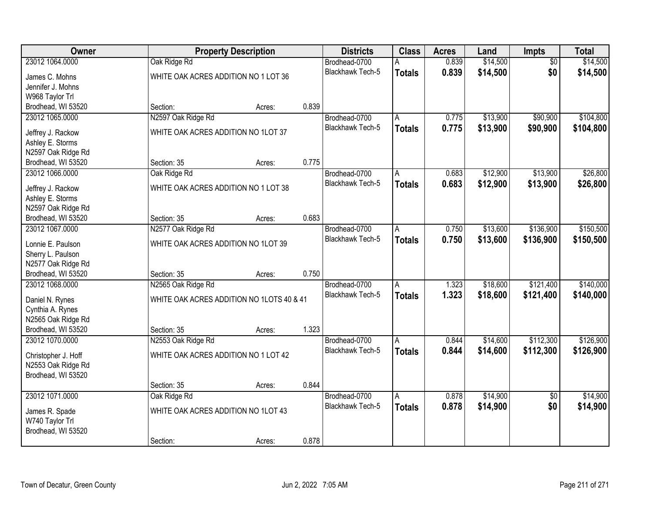| Owner               |                                           | <b>Property Description</b> |       | <b>Districts</b>        | <b>Class</b>            | <b>Acres</b> | Land     | Impts           | <b>Total</b> |
|---------------------|-------------------------------------------|-----------------------------|-------|-------------------------|-------------------------|--------------|----------|-----------------|--------------|
| 23012 1064.0000     | Oak Ridge Rd                              |                             |       | Brodhead-0700           |                         | 0.839        | \$14,500 | $\overline{50}$ | \$14,500     |
| James C. Mohns      | WHITE OAK ACRES ADDITION NO 1 LOT 36      |                             |       | Blackhawk Tech-5        | <b>Totals</b>           | 0.839        | \$14,500 | \$0             | \$14,500     |
| Jennifer J. Mohns   |                                           |                             |       |                         |                         |              |          |                 |              |
| W968 Taylor Trl     |                                           |                             |       |                         |                         |              |          |                 |              |
| Brodhead, WI 53520  | Section:                                  | Acres:                      | 0.839 |                         |                         |              |          |                 |              |
| 23012 1065.0000     | N2597 Oak Ridge Rd                        |                             |       | Brodhead-0700           | Α                       | 0.775        | \$13,900 | \$90,900        | \$104,800    |
|                     |                                           |                             |       | <b>Blackhawk Tech-5</b> | <b>Totals</b>           | 0.775        | \$13,900 | \$90,900        | \$104,800    |
| Jeffrey J. Rackow   | WHITE OAK ACRES ADDITION NO 1LOT 37       |                             |       |                         |                         |              |          |                 |              |
| Ashley E. Storms    |                                           |                             |       |                         |                         |              |          |                 |              |
| N2597 Oak Ridge Rd  |                                           |                             |       |                         |                         |              |          |                 |              |
| Brodhead, WI 53520  | Section: 35                               | Acres:                      | 0.775 |                         |                         |              |          |                 |              |
| 23012 1066.0000     | Oak Ridge Rd                              |                             |       | Brodhead-0700           | A                       | 0.683        | \$12,900 | \$13,900        | \$26,800     |
| Jeffrey J. Rackow   | WHITE OAK ACRES ADDITION NO 1 LOT 38      |                             |       | Blackhawk Tech-5        | <b>Totals</b>           | 0.683        | \$12,900 | \$13,900        | \$26,800     |
| Ashley E. Storms    |                                           |                             |       |                         |                         |              |          |                 |              |
| N2597 Oak Ridge Rd  |                                           |                             |       |                         |                         |              |          |                 |              |
| Brodhead, WI 53520  | Section: 35                               | Acres:                      | 0.683 |                         |                         |              |          |                 |              |
| 23012 1067.0000     | N2577 Oak Ridge Rd                        |                             |       | Brodhead-0700           | Α                       | 0.750        | \$13,600 | \$136,900       | \$150,500    |
|                     |                                           |                             |       | <b>Blackhawk Tech-5</b> | <b>Totals</b>           | 0.750        | \$13,600 | \$136,900       | \$150,500    |
| Lonnie E. Paulson   | WHITE OAK ACRES ADDITION NO 1LOT 39       |                             |       |                         |                         |              |          |                 |              |
| Sherry L. Paulson   |                                           |                             |       |                         |                         |              |          |                 |              |
| N2577 Oak Ridge Rd  |                                           |                             |       |                         |                         |              |          |                 |              |
| Brodhead, WI 53520  | Section: 35                               | Acres:                      | 0.750 |                         |                         |              |          |                 |              |
| 23012 1068.0000     | N2565 Oak Ridge Rd                        |                             |       | Brodhead-0700           | $\overline{A}$          | 1.323        | \$18,600 | \$121,400       | \$140,000    |
| Daniel N. Rynes     | WHITE OAK ACRES ADDITION NO 1LOTS 40 & 41 |                             |       | <b>Blackhawk Tech-5</b> | <b>Totals</b>           | 1.323        | \$18,600 | \$121,400       | \$140,000    |
| Cynthia A. Rynes    |                                           |                             |       |                         |                         |              |          |                 |              |
| N2565 Oak Ridge Rd  |                                           |                             |       |                         |                         |              |          |                 |              |
| Brodhead, WI 53520  | Section: 35                               | Acres:                      | 1.323 |                         |                         |              |          |                 |              |
| 23012 1070.0000     | N2553 Oak Ridge Rd                        |                             |       | Brodhead-0700           | A                       | 0.844        | \$14,600 | \$112,300       | \$126,900    |
|                     |                                           |                             |       | <b>Blackhawk Tech-5</b> | <b>Totals</b>           | 0.844        | \$14,600 | \$112,300       | \$126,900    |
| Christopher J. Hoff | WHITE OAK ACRES ADDITION NO 1 LOT 42      |                             |       |                         |                         |              |          |                 |              |
| N2553 Oak Ridge Rd  |                                           |                             |       |                         |                         |              |          |                 |              |
| Brodhead, WI 53520  |                                           |                             |       |                         |                         |              |          |                 |              |
|                     | Section: 35                               | Acres:                      | 0.844 |                         |                         |              |          |                 |              |
| 23012 1071.0000     | Oak Ridge Rd                              |                             |       | Brodhead-0700           | $\overline{\mathsf{A}}$ | 0.878        | \$14,900 | $\overline{50}$ | \$14,900     |
| James R. Spade      | WHITE OAK ACRES ADDITION NO 1LOT 43       |                             |       | <b>Blackhawk Tech-5</b> | <b>Totals</b>           | 0.878        | \$14,900 | \$0             | \$14,900     |
| W740 Taylor Trl     |                                           |                             |       |                         |                         |              |          |                 |              |
| Brodhead, WI 53520  |                                           |                             |       |                         |                         |              |          |                 |              |
|                     | Section:                                  | Acres:                      | 0.878 |                         |                         |              |          |                 |              |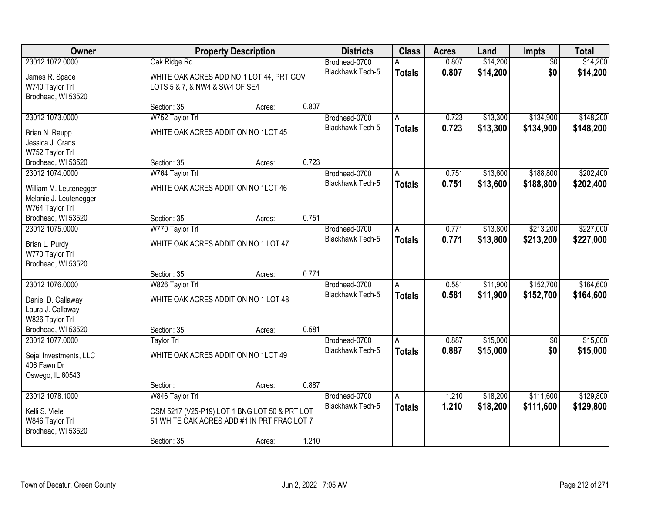| Owner                  |                                               | <b>Property Description</b> |       | <b>Districts</b>        | <b>Class</b>  | <b>Acres</b> | Land     | <b>Impts</b>    | <b>Total</b> |
|------------------------|-----------------------------------------------|-----------------------------|-------|-------------------------|---------------|--------------|----------|-----------------|--------------|
| 23012 1072.0000        | Oak Ridge Rd                                  |                             |       | Brodhead-0700           | A             | 0.807        | \$14,200 | $\overline{50}$ | \$14,200     |
| James R. Spade         | WHITE OAK ACRES ADD NO 1 LOT 44, PRT GOV      |                             |       | <b>Blackhawk Tech-5</b> | <b>Totals</b> | 0.807        | \$14,200 | \$0             | \$14,200     |
| W740 Taylor Trl        | LOTS 5 & 7, & NW4 & SW4 OF SE4                |                             |       |                         |               |              |          |                 |              |
| Brodhead, WI 53520     |                                               |                             |       |                         |               |              |          |                 |              |
|                        | Section: 35                                   | Acres:                      | 0.807 |                         |               |              |          |                 |              |
| 23012 1073.0000        | W752 Taylor Trl                               |                             |       | Brodhead-0700           | A             | 0.723        | \$13,300 | \$134,900       | \$148,200    |
| Brian N. Raupp         | WHITE OAK ACRES ADDITION NO 1LOT 45           |                             |       | Blackhawk Tech-5        | <b>Totals</b> | 0.723        | \$13,300 | \$134,900       | \$148,200    |
| Jessica J. Crans       |                                               |                             |       |                         |               |              |          |                 |              |
| W752 Taylor Trl        |                                               |                             |       |                         |               |              |          |                 |              |
| Brodhead, WI 53520     | Section: 35                                   | Acres:                      | 0.723 |                         |               |              |          |                 |              |
| 23012 1074.0000        | W764 Taylor Trl                               |                             |       | Brodhead-0700           | A             | 0.751        | \$13,600 | \$188,800       | \$202,400    |
| William M. Leutenegger | WHITE OAK ACRES ADDITION NO 1LOT 46           |                             |       | <b>Blackhawk Tech-5</b> | <b>Totals</b> | 0.751        | \$13,600 | \$188,800       | \$202,400    |
| Melanie J. Leutenegger |                                               |                             |       |                         |               |              |          |                 |              |
| W764 Taylor Trl        |                                               |                             |       |                         |               |              |          |                 |              |
| Brodhead, WI 53520     | Section: 35                                   | Acres:                      | 0.751 |                         |               |              |          |                 |              |
| 23012 1075.0000        | W770 Taylor Trl                               |                             |       | Brodhead-0700           | A             | 0.771        | \$13,800 | \$213,200       | \$227,000    |
| Brian L. Purdy         | WHITE OAK ACRES ADDITION NO 1 LOT 47          |                             |       | Blackhawk Tech-5        | <b>Totals</b> | 0.771        | \$13,800 | \$213,200       | \$227,000    |
| W770 Taylor Trl        |                                               |                             |       |                         |               |              |          |                 |              |
| Brodhead, WI 53520     |                                               |                             |       |                         |               |              |          |                 |              |
|                        | Section: 35                                   | Acres:                      | 0.771 |                         |               |              |          |                 |              |
| 23012 1076.0000        | W826 Taylor Trl                               |                             |       | Brodhead-0700           | A             | 0.581        | \$11,900 | \$152,700       | \$164,600    |
| Daniel D. Callaway     | WHITE OAK ACRES ADDITION NO 1 LOT 48          |                             |       | Blackhawk Tech-5        | <b>Totals</b> | 0.581        | \$11,900 | \$152,700       | \$164,600    |
| Laura J. Callaway      |                                               |                             |       |                         |               |              |          |                 |              |
| W826 Taylor Trl        |                                               |                             |       |                         |               |              |          |                 |              |
| Brodhead, WI 53520     | Section: 35                                   | Acres:                      | 0.581 |                         |               |              |          |                 |              |
| 23012 1077.0000        | Taylor Trl                                    |                             |       | Brodhead-0700           | A             | 0.887        | \$15,000 | $\sqrt{6}$      | \$15,000     |
| Sejal Investments, LLC | WHITE OAK ACRES ADDITION NO 1LOT 49           |                             |       | <b>Blackhawk Tech-5</b> | <b>Totals</b> | 0.887        | \$15,000 | \$0             | \$15,000     |
| 406 Fawn Dr            |                                               |                             |       |                         |               |              |          |                 |              |
| Oswego, IL 60543       |                                               |                             |       |                         |               |              |          |                 |              |
|                        | Section:                                      | Acres:                      | 0.887 |                         |               |              |          |                 |              |
| 23012 1078.1000        | W846 Taylor Trl                               |                             |       | Brodhead-0700           | A             | 1.210        | \$18,200 | \$111,600       | \$129,800    |
| Kelli S. Viele         | CSM 5217 (V25-P19) LOT 1 BNG LOT 50 & PRT LOT |                             |       | Blackhawk Tech-5        | <b>Totals</b> | 1.210        | \$18,200 | \$111,600       | \$129,800    |
| W846 Taylor Trl        | 51 WHITE OAK ACRES ADD #1 IN PRT FRAC LOT 7   |                             |       |                         |               |              |          |                 |              |
| Brodhead, WI 53520     |                                               |                             |       |                         |               |              |          |                 |              |
|                        | Section: 35                                   | Acres:                      | 1.210 |                         |               |              |          |                 |              |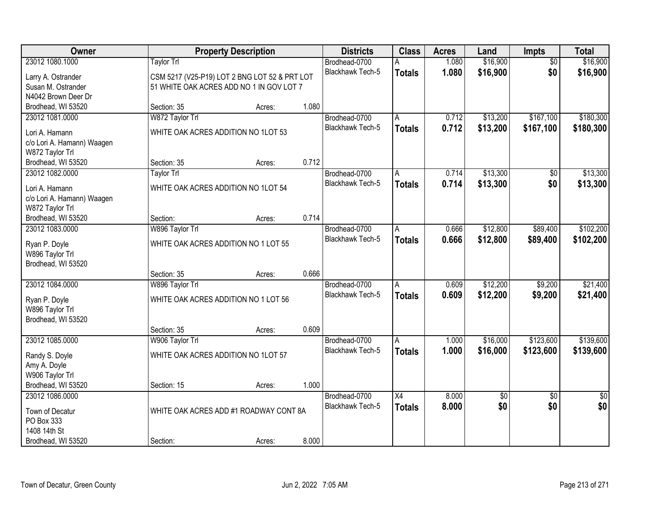| Owner                                        |                                               | <b>Property Description</b> |       | <b>Districts</b>                  | <b>Class</b>    | <b>Acres</b> | Land       | <b>Impts</b>           | <b>Total</b>           |
|----------------------------------------------|-----------------------------------------------|-----------------------------|-------|-----------------------------------|-----------------|--------------|------------|------------------------|------------------------|
| 23012 1080.1000                              | <b>Taylor Trl</b>                             |                             |       | Brodhead-0700                     |                 | 1.080        | \$16,900   | $\overline{50}$        | \$16,900               |
| Larry A. Ostrander                           | CSM 5217 (V25-P19) LOT 2 BNG LOT 52 & PRT LOT |                             |       | Blackhawk Tech-5                  | <b>Totals</b>   | 1.080        | \$16,900   | \$0                    | \$16,900               |
| Susan M. Ostrander                           | 51 WHITE OAK ACRES ADD NO 1 IN GOV LOT 7      |                             |       |                                   |                 |              |            |                        |                        |
| N4042 Brown Deer Dr                          |                                               |                             |       |                                   |                 |              |            |                        |                        |
| Brodhead, WI 53520                           | Section: 35                                   | Acres:                      | 1.080 |                                   |                 |              |            |                        |                        |
| 23012 1081.0000                              | W872 Taylor Trl                               |                             |       | Brodhead-0700                     | Α               | 0.712        | \$13,200   | \$167,100              | \$180,300              |
| Lori A. Hamann                               | WHITE OAK ACRES ADDITION NO 1LOT 53           |                             |       | Blackhawk Tech-5                  | <b>Totals</b>   | 0.712        | \$13,200   | \$167,100              | \$180,300              |
| c/o Lori A. Hamann) Waagen                   |                                               |                             |       |                                   |                 |              |            |                        |                        |
| W872 Taylor Trl                              |                                               |                             |       |                                   |                 |              |            |                        |                        |
| Brodhead, WI 53520                           | Section: 35                                   | Acres:                      | 0.712 |                                   |                 |              |            |                        |                        |
| 23012 1082.0000                              | Taylor Trl                                    |                             |       | Brodhead-0700                     | A               | 0.714        | \$13,300   | \$0                    | \$13,300               |
|                                              | WHITE OAK ACRES ADDITION NO 1LOT 54           |                             |       | Blackhawk Tech-5                  | <b>Totals</b>   | 0.714        | \$13,300   | \$0                    | \$13,300               |
| Lori A. Hamann<br>c/o Lori A. Hamann) Waagen |                                               |                             |       |                                   |                 |              |            |                        |                        |
| W872 Taylor Trl                              |                                               |                             |       |                                   |                 |              |            |                        |                        |
| Brodhead, WI 53520                           | Section:                                      | Acres:                      | 0.714 |                                   |                 |              |            |                        |                        |
| 23012 1083.0000                              | W896 Taylor Trl                               |                             |       | Brodhead-0700                     | A               | 0.666        | \$12,800   | \$89,400               | \$102,200              |
|                                              |                                               |                             |       | Blackhawk Tech-5                  | <b>Totals</b>   | 0.666        | \$12,800   | \$89,400               | \$102,200              |
| Ryan P. Doyle                                | WHITE OAK ACRES ADDITION NO 1 LOT 55          |                             |       |                                   |                 |              |            |                        |                        |
| W896 Taylor Trl<br>Brodhead, WI 53520        |                                               |                             |       |                                   |                 |              |            |                        |                        |
|                                              | Section: 35                                   | Acres:                      | 0.666 |                                   |                 |              |            |                        |                        |
| 23012 1084,0000                              | W896 Taylor Trl                               |                             |       | Brodhead-0700                     | Α               | 0.609        | \$12,200   | \$9,200                | \$21,400               |
|                                              |                                               |                             |       | <b>Blackhawk Tech-5</b>           | <b>Totals</b>   | 0.609        | \$12,200   | \$9,200                | \$21,400               |
| Ryan P. Doyle                                | WHITE OAK ACRES ADDITION NO 1 LOT 56          |                             |       |                                   |                 |              |            |                        |                        |
| W896 Taylor Trl                              |                                               |                             |       |                                   |                 |              |            |                        |                        |
| Brodhead, WI 53520                           | Section: 35                                   |                             | 0.609 |                                   |                 |              |            |                        |                        |
| 23012 1085.0000                              | W906 Taylor Trl                               | Acres:                      |       | Brodhead-0700                     | A               | 1.000        | \$16,000   | \$123,600              | \$139,600              |
|                                              |                                               |                             |       | <b>Blackhawk Tech-5</b>           | <b>Totals</b>   | 1.000        | \$16,000   | \$123,600              | \$139,600              |
| Randy S. Doyle                               | WHITE OAK ACRES ADDITION NO 1LOT 57           |                             |       |                                   |                 |              |            |                        |                        |
| Amy A. Doyle                                 |                                               |                             |       |                                   |                 |              |            |                        |                        |
| W906 Taylor Trl                              |                                               |                             |       |                                   |                 |              |            |                        |                        |
| Brodhead, WI 53520                           | Section: 15                                   | Acres:                      | 1.000 |                                   |                 |              |            |                        |                        |
| 23012 1086.0000                              |                                               |                             |       | Brodhead-0700<br>Blackhawk Tech-5 | $\overline{X4}$ | 8.000        | \$0<br>\$0 | $\overline{30}$<br>\$0 | $\overline{30}$<br>\$0 |
| Town of Decatur                              | WHITE OAK ACRES ADD #1 ROADWAY CONT 8A        |                             |       |                                   | <b>Totals</b>   | 8.000        |            |                        |                        |
| PO Box 333                                   |                                               |                             |       |                                   |                 |              |            |                        |                        |
| 1408 14th St                                 |                                               |                             |       |                                   |                 |              |            |                        |                        |
| Brodhead, WI 53520                           | Section:                                      | Acres:                      | 8.000 |                                   |                 |              |            |                        |                        |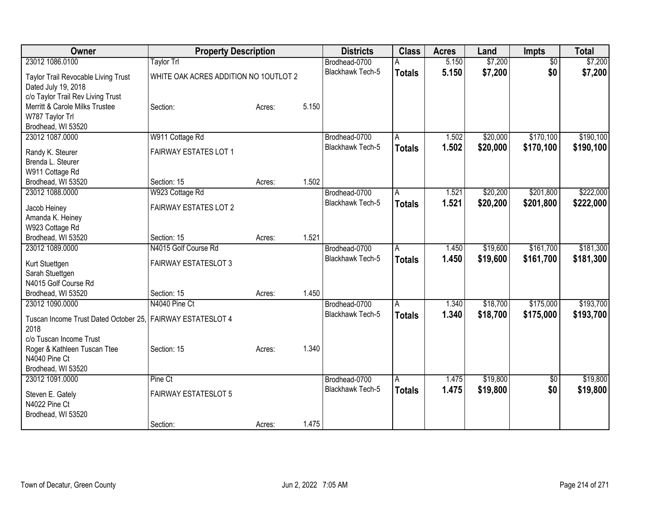| Owner                                                      | <b>Property Description</b>           |                 | <b>Districts</b>        | <b>Class</b>  | <b>Acres</b> | Land     | <b>Impts</b>    | <b>Total</b> |
|------------------------------------------------------------|---------------------------------------|-----------------|-------------------------|---------------|--------------|----------|-----------------|--------------|
| 23012 1086,0100                                            | Taylor Trl                            |                 | Brodhead-0700           |               | 5.150        | \$7,200  | $\overline{50}$ | \$7,200      |
| Taylor Trail Revocable Living Trust                        | WHITE OAK ACRES ADDITION NO 1OUTLOT 2 |                 | <b>Blackhawk Tech-5</b> | <b>Totals</b> | 5.150        | \$7,200  | \$0             | \$7,200      |
| Dated July 19, 2018                                        |                                       |                 |                         |               |              |          |                 |              |
| c/o Taylor Trail Rev Living Trust                          |                                       |                 |                         |               |              |          |                 |              |
| Merritt & Carole Milks Trustee                             | Section:                              | 5.150<br>Acres: |                         |               |              |          |                 |              |
| W787 Taylor Trl                                            |                                       |                 |                         |               |              |          |                 |              |
| Brodhead, WI 53520                                         |                                       |                 |                         |               |              |          |                 |              |
| 23012 1087.0000                                            | W911 Cottage Rd                       |                 | Brodhead-0700           | A             | 1.502        | \$20,000 | \$170,100       | \$190,100    |
| Randy K. Steurer                                           | <b>FAIRWAY ESTATES LOT 1</b>          |                 | Blackhawk Tech-5        | <b>Totals</b> | 1.502        | \$20,000 | \$170,100       | \$190,100    |
| Brenda L. Steurer                                          |                                       |                 |                         |               |              |          |                 |              |
| W911 Cottage Rd                                            |                                       |                 |                         |               |              |          |                 |              |
| Brodhead, WI 53520                                         | Section: 15                           | 1.502<br>Acres: |                         |               |              |          |                 |              |
| 23012 1088.0000                                            | W923 Cottage Rd                       |                 | Brodhead-0700           | Α             | 1.521        | \$20,200 | \$201,800       | \$222,000    |
|                                                            | <b>FAIRWAY ESTATES LOT 2</b>          |                 | Blackhawk Tech-5        | <b>Totals</b> | 1.521        | \$20,200 | \$201,800       | \$222,000    |
| Jacob Heiney<br>Amanda K. Heiney                           |                                       |                 |                         |               |              |          |                 |              |
| W923 Cottage Rd                                            |                                       |                 |                         |               |              |          |                 |              |
| Brodhead, WI 53520                                         | Section: 15                           | 1.521<br>Acres: |                         |               |              |          |                 |              |
| 23012 1089.0000                                            | N4015 Golf Course Rd                  |                 | Brodhead-0700           | А             | 1.450        | \$19,600 | \$161,700       | \$181,300    |
|                                                            |                                       |                 | <b>Blackhawk Tech-5</b> | <b>Totals</b> | 1.450        | \$19,600 | \$161,700       | \$181,300    |
| Kurt Stuettgen                                             | <b>FAIRWAY ESTATESLOT 3</b>           |                 |                         |               |              |          |                 |              |
| Sarah Stuettgen<br>N4015 Golf Course Rd                    |                                       |                 |                         |               |              |          |                 |              |
| Brodhead, WI 53520                                         | Section: 15                           | 1.450<br>Acres: |                         |               |              |          |                 |              |
| 23012 1090,0000                                            | N4040 Pine Ct                         |                 | Brodhead-0700           | A             | 1.340        | \$18,700 | \$175,000       | \$193,700    |
|                                                            |                                       |                 | <b>Blackhawk Tech-5</b> | <b>Totals</b> | 1.340        | \$18,700 | \$175,000       | \$193,700    |
| Tuscan Income Trust Dated October 25. FAIRWAY ESTATESLOT 4 |                                       |                 |                         |               |              |          |                 |              |
| 2018                                                       |                                       |                 |                         |               |              |          |                 |              |
| c/o Tuscan Income Trust                                    |                                       |                 |                         |               |              |          |                 |              |
| Roger & Kathleen Tuscan Ttee                               | Section: 15                           | 1.340<br>Acres: |                         |               |              |          |                 |              |
| N4040 Pine Ct<br>Brodhead, WI 53520                        |                                       |                 |                         |               |              |          |                 |              |
| 23012 1091.0000                                            | Pine Ct                               |                 | Brodhead-0700           | A             | 1.475        | \$19,800 | $\overline{50}$ | \$19,800     |
|                                                            |                                       |                 | Blackhawk Tech-5        | <b>Totals</b> | 1.475        | \$19,800 | \$0             | \$19,800     |
| Steven E. Gately                                           | <b>FAIRWAY ESTATESLOT 5</b>           |                 |                         |               |              |          |                 |              |
| N4022 Pine Ct                                              |                                       |                 |                         |               |              |          |                 |              |
| Brodhead, WI 53520                                         |                                       |                 |                         |               |              |          |                 |              |
|                                                            | Section:                              | 1.475<br>Acres: |                         |               |              |          |                 |              |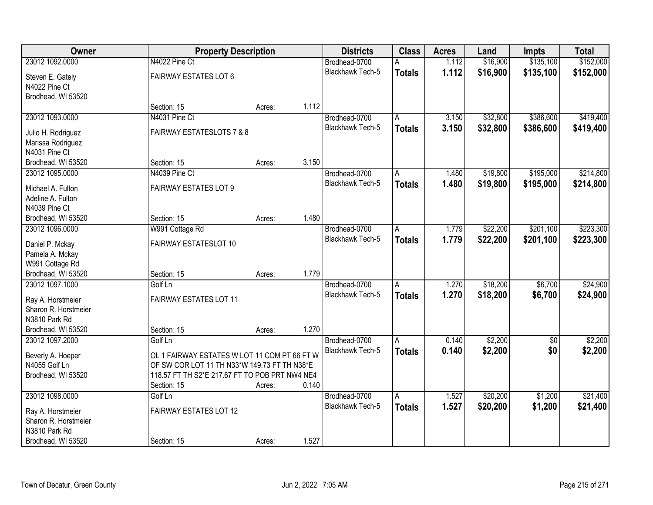| Owner                                     | <b>Property Description</b>                    |        |       | <b>Districts</b>        | <b>Class</b>  | <b>Acres</b> | Land     | <b>Impts</b>    | <b>Total</b> |
|-------------------------------------------|------------------------------------------------|--------|-------|-------------------------|---------------|--------------|----------|-----------------|--------------|
| 23012 1092.0000                           | N4022 Pine Ct                                  |        |       | Brodhead-0700           | A             | 1.112        | \$16,900 | \$135,100       | \$152,000    |
| Steven E. Gately                          | <b>FAIRWAY ESTATES LOT 6</b>                   |        |       | Blackhawk Tech-5        | <b>Totals</b> | 1.112        | \$16,900 | \$135,100       | \$152,000    |
| N4022 Pine Ct                             |                                                |        |       |                         |               |              |          |                 |              |
| Brodhead, WI 53520                        |                                                |        |       |                         |               |              |          |                 |              |
|                                           | Section: 15                                    | Acres: | 1.112 |                         |               |              |          |                 |              |
| 23012 1093.0000                           | N4031 Pine Ct                                  |        |       | Brodhead-0700           | A             | 3.150        | \$32,800 | \$386,600       | \$419,400    |
|                                           | <b>FAIRWAY ESTATESLOTS 7 &amp; 8</b>           |        |       | <b>Blackhawk Tech-5</b> | <b>Totals</b> | 3.150        | \$32,800 | \$386,600       | \$419,400    |
| Julio H. Rodriguez                        |                                                |        |       |                         |               |              |          |                 |              |
| Marissa Rodriguez<br>N4031 Pine Ct        |                                                |        |       |                         |               |              |          |                 |              |
| Brodhead, WI 53520                        | Section: 15                                    | Acres: | 3.150 |                         |               |              |          |                 |              |
| 23012 1095.0000                           | N4039 Pine Ct                                  |        |       | Brodhead-0700           | A             | 1.480        | \$19,800 | \$195,000       | \$214,800    |
|                                           |                                                |        |       | Blackhawk Tech-5        |               | 1.480        | \$19,800 | \$195,000       |              |
| Michael A. Fulton                         | <b>FAIRWAY ESTATES LOT 9</b>                   |        |       |                         | <b>Totals</b> |              |          |                 | \$214,800    |
| Adeline A. Fulton                         |                                                |        |       |                         |               |              |          |                 |              |
| N4039 Pine Ct                             |                                                |        |       |                         |               |              |          |                 |              |
| Brodhead, WI 53520                        | Section: 15                                    | Acres: | 1.480 |                         |               |              |          |                 |              |
| 23012 1096.0000                           | W991 Cottage Rd                                |        |       | Brodhead-0700           | A             | 1.779        | \$22,200 | \$201,100       | \$223,300    |
| Daniel P. Mckay                           | FAIRWAY ESTATESLOT 10                          |        |       | Blackhawk Tech-5        | <b>Totals</b> | 1.779        | \$22,200 | \$201,100       | \$223,300    |
| Pamela A. Mckay                           |                                                |        |       |                         |               |              |          |                 |              |
| W991 Cottage Rd                           |                                                |        |       |                         |               |              |          |                 |              |
| Brodhead, WI 53520                        | Section: 15                                    | Acres: | 1.779 |                         |               |              |          |                 |              |
| 23012 1097.1000                           | Golf Ln                                        |        |       | Brodhead-0700           | A             | 1.270        | \$18,200 | \$6,700         | \$24,900     |
|                                           |                                                |        |       | Blackhawk Tech-5        | <b>Totals</b> | 1.270        | \$18,200 | \$6,700         | \$24,900     |
| Ray A. Horstmeier                         | FAIRWAY ESTATES LOT 11                         |        |       |                         |               |              |          |                 |              |
| Sharon R. Horstmeier                      |                                                |        |       |                         |               |              |          |                 |              |
| N3810 Park Rd                             |                                                |        |       |                         |               |              |          |                 |              |
| Brodhead, WI 53520                        | Section: 15                                    | Acres: | 1.270 |                         |               |              |          |                 |              |
| 23012 1097.2000                           | Golf Ln                                        |        |       | Brodhead-0700           | A             | 0.140        | \$2,200  | $\overline{50}$ | \$2,200      |
| Beverly A. Hoeper                         | OL 1 FAIRWAY ESTATES W LOT 11 COM PT 66 FT W   |        |       | Blackhawk Tech-5        | <b>Totals</b> | 0.140        | \$2,200  | \$0             | \$2,200      |
| N4055 Golf Ln                             | OF SW COR LOT 11 TH N33*W 149.73 FT TH N38*E   |        |       |                         |               |              |          |                 |              |
| Brodhead, WI 53520                        | 118.57 FT TH S2*E 217.67 FT TO POB PRT NW4 NE4 |        |       |                         |               |              |          |                 |              |
|                                           | Section: 15                                    | Acres: | 0.140 |                         |               |              |          |                 |              |
| 23012 1098.0000                           | Golf Ln                                        |        |       | Brodhead-0700           | Α             | 1.527        | \$20,200 | \$1,200         | \$21,400     |
|                                           |                                                |        |       | <b>Blackhawk Tech-5</b> | <b>Totals</b> | 1.527        | \$20,200 | \$1,200         | \$21,400     |
| Ray A. Horstmeier<br>Sharon R. Horstmeier | FAIRWAY ESTATES LOT 12                         |        |       |                         |               |              |          |                 |              |
| N3810 Park Rd                             |                                                |        |       |                         |               |              |          |                 |              |
| Brodhead, WI 53520                        | Section: 15                                    |        | 1.527 |                         |               |              |          |                 |              |
|                                           |                                                | Acres: |       |                         |               |              |          |                 |              |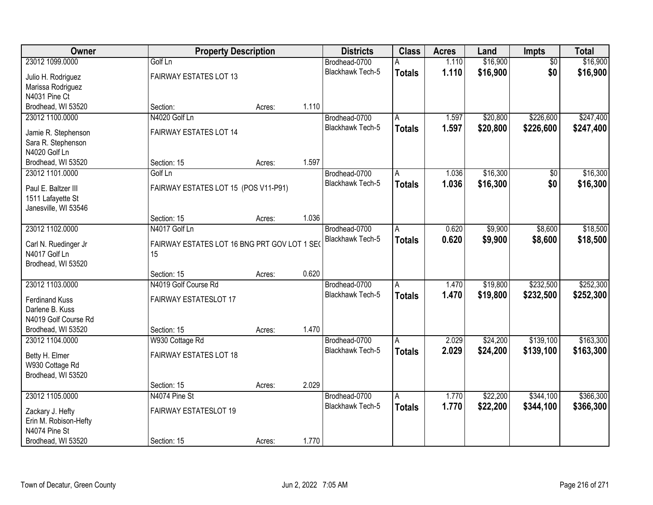| Owner                                     | <b>Property Description</b>                  |        |       | <b>Districts</b>                  | <b>Class</b>            | <b>Acres</b> | Land     | <b>Impts</b>    | <b>Total</b> |
|-------------------------------------------|----------------------------------------------|--------|-------|-----------------------------------|-------------------------|--------------|----------|-----------------|--------------|
| 23012 1099.0000                           | Golf Ln                                      |        |       | Brodhead-0700                     | А                       | 1.110        | \$16,900 | $\overline{50}$ | \$16,900     |
| Julio H. Rodriguez                        | FAIRWAY ESTATES LOT 13                       |        |       | Blackhawk Tech-5                  | <b>Totals</b>           | 1.110        | \$16,900 | \$0             | \$16,900     |
| Marissa Rodriguez                         |                                              |        |       |                                   |                         |              |          |                 |              |
| N4031 Pine Ct                             |                                              |        |       |                                   |                         |              |          |                 |              |
| Brodhead, WI 53520                        | Section:                                     | Acres: | 1.110 |                                   |                         |              |          |                 |              |
| 23012 1100.0000                           | N4020 Golf Ln                                |        |       | Brodhead-0700                     | Α                       | 1.597        | \$20,800 | \$226,600       | \$247,400    |
| Jamie R. Stephenson                       | FAIRWAY ESTATES LOT 14                       |        |       | <b>Blackhawk Tech-5</b>           | <b>Totals</b>           | 1.597        | \$20,800 | \$226,600       | \$247,400    |
| Sara R. Stephenson                        |                                              |        |       |                                   |                         |              |          |                 |              |
| N4020 Golf Ln                             |                                              |        |       |                                   |                         |              |          |                 |              |
| Brodhead, WI 53520                        | Section: 15                                  | Acres: | 1.597 |                                   |                         |              |          |                 |              |
| 23012 1101.0000                           | Golf Ln                                      |        |       | Brodhead-0700                     | A                       | 1.036        | \$16,300 | \$0             | \$16,300     |
|                                           |                                              |        |       | Blackhawk Tech-5                  | <b>Totals</b>           | 1.036        | \$16,300 | \$0             | \$16,300     |
| Paul E. Baltzer III                       | FAIRWAY ESTATES LOT 15 (POS V11-P91)         |        |       |                                   |                         |              |          |                 |              |
| 1511 Lafayette St<br>Janesville, WI 53546 |                                              |        |       |                                   |                         |              |          |                 |              |
|                                           | Section: 15                                  | Acres: | 1.036 |                                   |                         |              |          |                 |              |
| 23012 1102.0000                           | N4017 Golf Ln                                |        |       | Brodhead-0700                     | Α                       | 0.620        | \$9,900  | \$8,600         | \$18,500     |
|                                           |                                              |        |       | <b>Blackhawk Tech-5</b>           | <b>Totals</b>           | 0.620        | \$9,900  | \$8,600         | \$18,500     |
| Carl N. Ruedinger Jr                      | FAIRWAY ESTATES LOT 16 BNG PRT GOV LOT 1 SEO |        |       |                                   |                         |              |          |                 |              |
| N4017 Golf Ln                             | 15                                           |        |       |                                   |                         |              |          |                 |              |
| Brodhead, WI 53520                        | Section: 15                                  | Acres: | 0.620 |                                   |                         |              |          |                 |              |
| 23012 1103.0000                           | N4019 Golf Course Rd                         |        |       | Brodhead-0700                     | A                       | 1.470        | \$19,800 | \$232,500       | \$252,300    |
|                                           |                                              |        |       | <b>Blackhawk Tech-5</b>           | <b>Totals</b>           | 1.470        | \$19,800 | \$232,500       | \$252,300    |
| <b>Ferdinand Kuss</b>                     | FAIRWAY ESTATESLOT 17                        |        |       |                                   |                         |              |          |                 |              |
| Darlene B. Kuss                           |                                              |        |       |                                   |                         |              |          |                 |              |
| N4019 Golf Course Rd                      |                                              |        |       |                                   |                         |              |          |                 |              |
| Brodhead, WI 53520                        | Section: 15                                  | Acres: | 1.470 |                                   |                         |              |          |                 |              |
| 23012 1104.0000                           | W930 Cottage Rd                              |        |       | Brodhead-0700<br>Blackhawk Tech-5 | A                       | 2.029        | \$24,200 | \$139,100       | \$163,300    |
| Betty H. Elmer                            | FAIRWAY ESTATES LOT 18                       |        |       |                                   | <b>Totals</b>           | 2.029        | \$24,200 | \$139,100       | \$163,300    |
| W930 Cottage Rd                           |                                              |        |       |                                   |                         |              |          |                 |              |
| Brodhead, WI 53520                        |                                              |        |       |                                   |                         |              |          |                 |              |
|                                           | Section: 15                                  | Acres: | 2.029 |                                   |                         |              |          |                 |              |
| 23012 1105.0000                           | N4074 Pine St                                |        |       | Brodhead-0700                     | $\overline{\mathsf{A}}$ | 1.770        | \$22,200 | \$344,100       | \$366,300    |
| Zackary J. Hefty                          | FAIRWAY ESTATESLOT 19                        |        |       | <b>Blackhawk Tech-5</b>           | <b>Totals</b>           | 1.770        | \$22,200 | \$344,100       | \$366,300    |
| Erin M. Robison-Hefty                     |                                              |        |       |                                   |                         |              |          |                 |              |
| N4074 Pine St                             |                                              |        |       |                                   |                         |              |          |                 |              |
| Brodhead, WI 53520                        | Section: 15                                  | Acres: | 1.770 |                                   |                         |              |          |                 |              |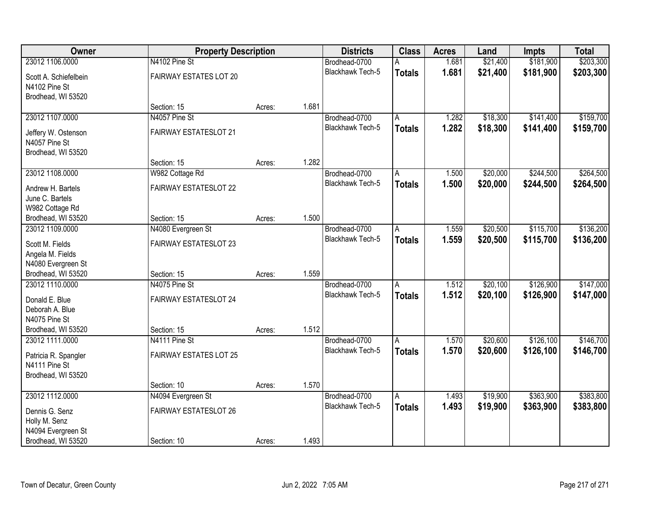| Owner                           | <b>Property Description</b>  |        |       | <b>Districts</b>        | <b>Class</b>            | <b>Acres</b> | Land     | Impts     | <b>Total</b> |
|---------------------------------|------------------------------|--------|-------|-------------------------|-------------------------|--------------|----------|-----------|--------------|
| 23012 1106.0000                 | N4102 Pine St                |        |       | Brodhead-0700           | А                       | 1.681        | \$21,400 | \$181,900 | \$203,300    |
| Scott A. Schiefelbein           | FAIRWAY ESTATES LOT 20       |        |       | <b>Blackhawk Tech-5</b> | <b>Totals</b>           | 1.681        | \$21,400 | \$181,900 | \$203,300    |
| N4102 Pine St                   |                              |        |       |                         |                         |              |          |           |              |
| Brodhead, WI 53520              |                              |        |       |                         |                         |              |          |           |              |
|                                 | Section: 15                  | Acres: | 1.681 |                         |                         |              |          |           |              |
| 23012 1107.0000                 | N4057 Pine St                |        |       | Brodhead-0700           | A                       | 1.282        | \$18,300 | \$141,400 | \$159,700    |
| Jeffery W. Ostenson             | <b>FAIRWAY ESTATESLOT 21</b> |        |       | <b>Blackhawk Tech-5</b> | <b>Totals</b>           | 1.282        | \$18,300 | \$141,400 | \$159,700    |
| N4057 Pine St                   |                              |        |       |                         |                         |              |          |           |              |
| Brodhead, WI 53520              |                              |        |       |                         |                         |              |          |           |              |
|                                 | Section: 15                  | Acres: | 1.282 |                         |                         |              |          |           |              |
| 23012 1108.0000                 | W982 Cottage Rd              |        |       | Brodhead-0700           | A                       | 1.500        | \$20,000 | \$244,500 | \$264,500    |
| Andrew H. Bartels               | FAIRWAY ESTATESLOT 22        |        |       | Blackhawk Tech-5        | <b>Totals</b>           | 1.500        | \$20,000 | \$244,500 | \$264,500    |
| June C. Bartels                 |                              |        |       |                         |                         |              |          |           |              |
| W982 Cottage Rd                 |                              |        |       |                         |                         |              |          |           |              |
| Brodhead, WI 53520              | Section: 15                  | Acres: | 1.500 |                         |                         |              |          |           |              |
| 23012 1109.0000                 | N4080 Evergreen St           |        |       | Brodhead-0700           | A                       | 1.559        | \$20,500 | \$115,700 | \$136,200    |
| Scott M. Fields                 | <b>FAIRWAY ESTATESLOT 23</b> |        |       | <b>Blackhawk Tech-5</b> | <b>Totals</b>           | 1.559        | \$20,500 | \$115,700 | \$136,200    |
| Angela M. Fields                |                              |        |       |                         |                         |              |          |           |              |
| N4080 Evergreen St              |                              |        |       |                         |                         |              |          |           |              |
| Brodhead, WI 53520              | Section: 15                  | Acres: | 1.559 |                         |                         |              |          |           |              |
| 23012 1110.0000                 | N4075 Pine St                |        |       | Brodhead-0700           | A                       | 1.512        | \$20,100 | \$126,900 | \$147,000    |
| Donald E. Blue                  | <b>FAIRWAY ESTATESLOT 24</b> |        |       | Blackhawk Tech-5        | <b>Totals</b>           | 1.512        | \$20,100 | \$126,900 | \$147,000    |
| Deborah A. Blue                 |                              |        |       |                         |                         |              |          |           |              |
| N4075 Pine St                   |                              |        |       |                         |                         |              |          |           |              |
| Brodhead, WI 53520              | Section: 15                  | Acres: | 1.512 |                         |                         |              |          |           |              |
| 23012 1111.0000                 | N4111 Pine St                |        |       | Brodhead-0700           | A                       | 1.570        | \$20,600 | \$126,100 | \$146,700    |
| Patricia R. Spangler            | FAIRWAY ESTATES LOT 25       |        |       | <b>Blackhawk Tech-5</b> | <b>Totals</b>           | 1.570        | \$20,600 | \$126,100 | \$146,700    |
| N4111 Pine St                   |                              |        |       |                         |                         |              |          |           |              |
| Brodhead, WI 53520              |                              |        |       |                         |                         |              |          |           |              |
|                                 | Section: 10                  | Acres: | 1.570 |                         |                         |              |          |           |              |
| 23012 1112.0000                 | N4094 Evergreen St           |        |       | Brodhead-0700           | $\overline{\mathsf{A}}$ | 1.493        | \$19,900 | \$363,900 | \$383,800    |
|                                 | <b>FAIRWAY ESTATESLOT 26</b> |        |       | <b>Blackhawk Tech-5</b> | <b>Totals</b>           | 1.493        | \$19,900 | \$363,900 | \$383,800    |
| Dennis G. Senz<br>Holly M. Senz |                              |        |       |                         |                         |              |          |           |              |
| N4094 Evergreen St              |                              |        |       |                         |                         |              |          |           |              |
| Brodhead, WI 53520              | Section: 10                  | Acres: | 1.493 |                         |                         |              |          |           |              |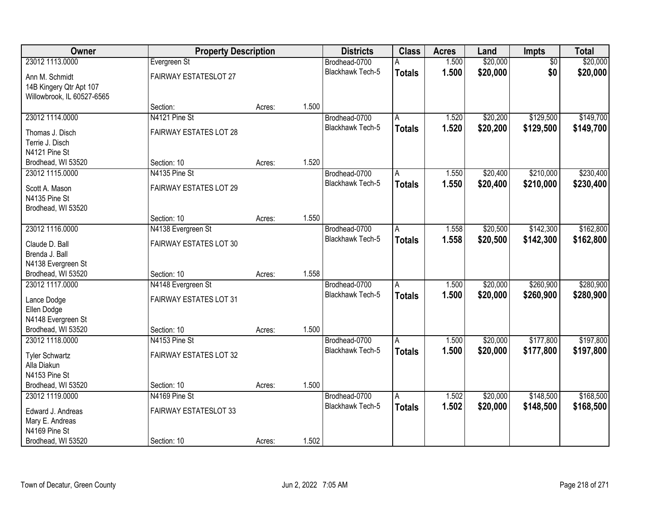| <b>Owner</b>                         | <b>Property Description</b>   |        |       | <b>Districts</b>        | <b>Class</b>   | <b>Acres</b> | Land     | Impts           | <b>Total</b> |
|--------------------------------------|-------------------------------|--------|-------|-------------------------|----------------|--------------|----------|-----------------|--------------|
| 23012 1113.0000                      | Evergreen St                  |        |       | Brodhead-0700           | A              | 1.500        | \$20,000 | $\overline{50}$ | \$20,000     |
| Ann M. Schmidt                       | FAIRWAY ESTATESLOT 27         |        |       | Blackhawk Tech-5        | <b>Totals</b>  | 1.500        | \$20,000 | \$0             | \$20,000     |
| 14B Kingery Qtr Apt 107              |                               |        |       |                         |                |              |          |                 |              |
| Willowbrook, IL 60527-6565           |                               |        |       |                         |                |              |          |                 |              |
|                                      | Section:                      | Acres: | 1.500 |                         |                |              |          |                 |              |
| 23012 1114.0000                      | N4121 Pine St                 |        |       | Brodhead-0700           | A              | 1.520        | \$20,200 | \$129,500       | \$149,700    |
| Thomas J. Disch                      | FAIRWAY ESTATES LOT 28        |        |       | Blackhawk Tech-5        | <b>Totals</b>  | 1.520        | \$20,200 | \$129,500       | \$149,700    |
| Terrie J. Disch                      |                               |        |       |                         |                |              |          |                 |              |
| N4121 Pine St                        |                               |        |       |                         |                |              |          |                 |              |
| Brodhead, WI 53520                   | Section: 10                   | Acres: | 1.520 |                         |                |              |          |                 |              |
| 23012 1115.0000                      | N4135 Pine St                 |        |       | Brodhead-0700           | l A            | 1.550        | \$20,400 | \$210,000       | \$230,400    |
| Scott A. Mason                       | FAIRWAY ESTATES LOT 29        |        |       | Blackhawk Tech-5        | <b>Totals</b>  | 1.550        | \$20,400 | \$210,000       | \$230,400    |
| N4135 Pine St                        |                               |        |       |                         |                |              |          |                 |              |
| Brodhead, WI 53520                   |                               |        |       |                         |                |              |          |                 |              |
|                                      | Section: 10                   | Acres: | 1.550 |                         |                |              |          |                 |              |
| 23012 1116.0000                      | N4138 Evergreen St            |        |       | Brodhead-0700           | A              | 1.558        | \$20,500 | \$142,300       | \$162,800    |
| Claude D. Ball                       | FAIRWAY ESTATES LOT 30        |        |       | <b>Blackhawk Tech-5</b> | <b>Totals</b>  | 1.558        | \$20,500 | \$142,300       | \$162,800    |
| Brenda J. Ball                       |                               |        |       |                         |                |              |          |                 |              |
| N4138 Evergreen St                   |                               |        |       |                         |                |              |          |                 |              |
| Brodhead, WI 53520                   | Section: 10                   | Acres: | 1.558 |                         |                |              |          |                 |              |
| 23012 1117.0000                      | N4148 Evergreen St            |        |       | Brodhead-0700           | A              | 1.500        | \$20,000 | \$260,900       | \$280,900    |
| Lance Dodge                          | <b>FAIRWAY ESTATES LOT 31</b> |        |       | <b>Blackhawk Tech-5</b> | <b>Totals</b>  | 1.500        | \$20,000 | \$260,900       | \$280,900    |
| Ellen Dodge                          |                               |        |       |                         |                |              |          |                 |              |
| N4148 Evergreen St                   |                               |        |       |                         |                |              |          |                 |              |
| Brodhead, WI 53520                   | Section: 10                   | Acres: | 1.500 |                         |                |              |          |                 |              |
| 23012 1118,0000                      | N4153 Pine St                 |        |       | Brodhead-0700           | A              | 1.500        | \$20,000 | \$177,800       | \$197,800    |
| <b>Tyler Schwartz</b>                | FAIRWAY ESTATES LOT 32        |        |       | <b>Blackhawk Tech-5</b> | <b>Totals</b>  | 1.500        | \$20,000 | \$177,800       | \$197,800    |
| Alla Diakun                          |                               |        |       |                         |                |              |          |                 |              |
| N4153 Pine St                        |                               |        |       |                         |                |              |          |                 |              |
| Brodhead, WI 53520                   | Section: 10                   | Acres: | 1.500 |                         |                |              |          |                 |              |
| 23012 1119.0000                      | N4169 Pine St                 |        |       | Brodhead-0700           | $\overline{A}$ | 1.502        | \$20,000 | \$148,500       | \$168,500    |
|                                      | FAIRWAY ESTATESLOT 33         |        |       | <b>Blackhawk Tech-5</b> | <b>Totals</b>  | 1.502        | \$20,000 | \$148,500       | \$168,500    |
| Edward J. Andreas<br>Mary E. Andreas |                               |        |       |                         |                |              |          |                 |              |
| N4169 Pine St                        |                               |        |       |                         |                |              |          |                 |              |
| Brodhead, WI 53520                   | Section: 10                   | Acres: | 1.502 |                         |                |              |          |                 |              |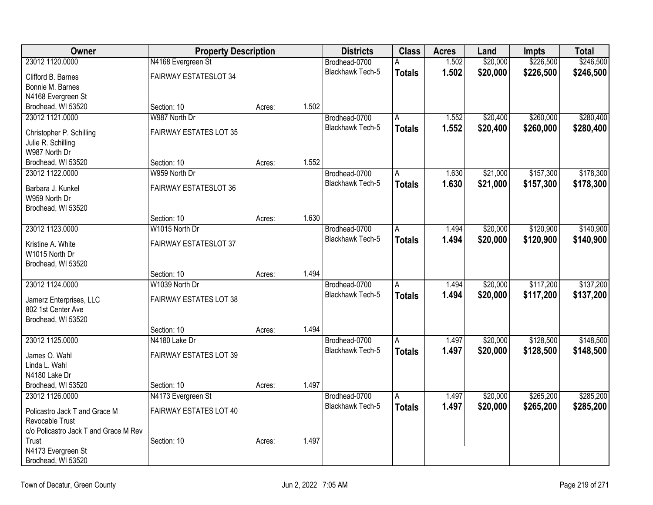| Owner                                            | <b>Property Description</b>   |        |       | <b>Districts</b>        | <b>Class</b>            | <b>Acres</b> | Land     | <b>Impts</b> | <b>Total</b> |
|--------------------------------------------------|-------------------------------|--------|-------|-------------------------|-------------------------|--------------|----------|--------------|--------------|
| 23012 1120.0000                                  | N4168 Evergreen St            |        |       | Brodhead-0700           |                         | 1.502        | \$20,000 | \$226,500    | \$246,500    |
| Clifford B. Barnes                               | <b>FAIRWAY ESTATESLOT 34</b>  |        |       | <b>Blackhawk Tech-5</b> | <b>Totals</b>           | 1.502        | \$20,000 | \$226,500    | \$246,500    |
| Bonnie M. Barnes                                 |                               |        |       |                         |                         |              |          |              |              |
| N4168 Evergreen St                               |                               |        |       |                         |                         |              |          |              |              |
| Brodhead, WI 53520                               | Section: 10                   | Acres: | 1.502 |                         |                         |              |          |              |              |
| 23012 1121.0000                                  | W987 North Dr                 |        |       | Brodhead-0700           | $\overline{A}$          | 1.552        | \$20,400 | \$260,000    | \$280,400    |
| Christopher P. Schilling                         | <b>FAIRWAY ESTATES LOT 35</b> |        |       | Blackhawk Tech-5        | <b>Totals</b>           | 1.552        | \$20,400 | \$260,000    | \$280,400    |
| Julie R. Schilling                               |                               |        |       |                         |                         |              |          |              |              |
| W987 North Dr                                    |                               |        |       |                         |                         |              |          |              |              |
| Brodhead, WI 53520                               | Section: 10                   | Acres: | 1.552 |                         |                         |              |          |              |              |
| 23012 1122.0000                                  | W959 North Dr                 |        |       | Brodhead-0700           | A                       | 1.630        | \$21,000 | \$157,300    | \$178,300    |
| Barbara J. Kunkel                                | <b>FAIRWAY ESTATESLOT 36</b>  |        |       | <b>Blackhawk Tech-5</b> | <b>Totals</b>           | 1.630        | \$21,000 | \$157,300    | \$178,300    |
| W959 North Dr                                    |                               |        |       |                         |                         |              |          |              |              |
| Brodhead, WI 53520                               |                               |        |       |                         |                         |              |          |              |              |
|                                                  | Section: 10                   | Acres: | 1.630 |                         |                         |              |          |              |              |
| 23012 1123.0000                                  | W1015 North Dr                |        |       | Brodhead-0700           | A                       | 1.494        | \$20,000 | \$120,900    | \$140,900    |
| Kristine A. White                                | FAIRWAY ESTATESLOT 37         |        |       | Blackhawk Tech-5        | <b>Totals</b>           | 1.494        | \$20,000 | \$120,900    | \$140,900    |
| W1015 North Dr                                   |                               |        |       |                         |                         |              |          |              |              |
| Brodhead, WI 53520                               |                               |        |       |                         |                         |              |          |              |              |
|                                                  | Section: 10                   | Acres: | 1.494 |                         |                         |              |          |              |              |
| 23012 1124.0000                                  | W1039 North Dr                |        |       | Brodhead-0700           | $\overline{A}$          | 1.494        | \$20,000 | \$117,200    | \$137,200    |
| Jamerz Enterprises, LLC                          | FAIRWAY ESTATES LOT 38        |        |       | <b>Blackhawk Tech-5</b> | <b>Totals</b>           | 1.494        | \$20,000 | \$117,200    | \$137,200    |
| 802 1st Center Ave                               |                               |        |       |                         |                         |              |          |              |              |
| Brodhead, WI 53520                               |                               |        |       |                         |                         |              |          |              |              |
|                                                  | Section: 10                   | Acres: | 1.494 |                         |                         |              |          |              |              |
| 23012 1125.0000                                  | N4180 Lake Dr                 |        |       | Brodhead-0700           | A                       | 1.497        | \$20,000 | \$128,500    | \$148,500    |
|                                                  | FAIRWAY ESTATES LOT 39        |        |       | Blackhawk Tech-5        | <b>Totals</b>           | 1.497        | \$20,000 | \$128,500    | \$148,500    |
| James O. Wahl<br>Linda L. Wahl                   |                               |        |       |                         |                         |              |          |              |              |
| N4180 Lake Dr                                    |                               |        |       |                         |                         |              |          |              |              |
| Brodhead, WI 53520                               | Section: 10                   | Acres: | 1.497 |                         |                         |              |          |              |              |
| 23012 1126.0000                                  | N4173 Evergreen St            |        |       | Brodhead-0700           | $\overline{\mathsf{A}}$ | 1.497        | \$20,000 | \$265,200    | \$285,200    |
|                                                  |                               |        |       | <b>Blackhawk Tech-5</b> | <b>Totals</b>           | 1.497        | \$20,000 | \$265,200    | \$285,200    |
| Policastro Jack T and Grace M<br>Revocable Trust | FAIRWAY ESTATES LOT 40        |        |       |                         |                         |              |          |              |              |
| c/o Policastro Jack T and Grace M Rev            |                               |        |       |                         |                         |              |          |              |              |
| Trust                                            | Section: 10                   | Acres: | 1.497 |                         |                         |              |          |              |              |
| N4173 Evergreen St                               |                               |        |       |                         |                         |              |          |              |              |
| Brodhead, WI 53520                               |                               |        |       |                         |                         |              |          |              |              |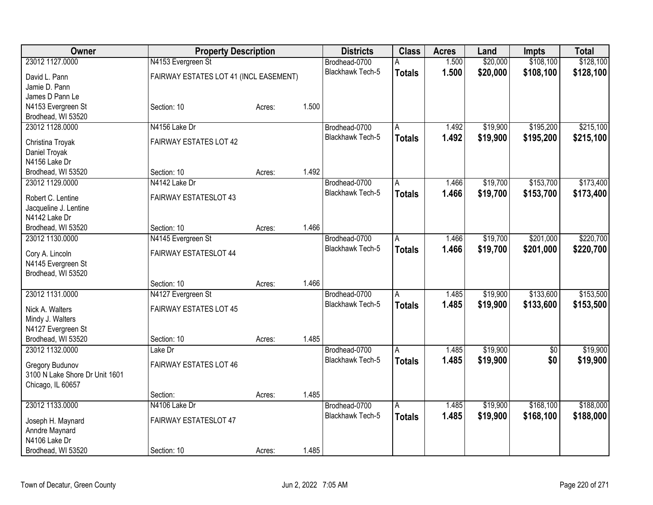| <b>Owner</b>                        | <b>Property Description</b>            |        |       | <b>Districts</b>        | <b>Class</b>   | <b>Acres</b> | Land     | Impts           | <b>Total</b> |
|-------------------------------------|----------------------------------------|--------|-------|-------------------------|----------------|--------------|----------|-----------------|--------------|
| 23012 1127.0000                     | N4153 Evergreen St                     |        |       | Brodhead-0700           |                | 1.500        | \$20,000 | \$108,100       | \$128,100    |
| David L. Pann                       | FAIRWAY ESTATES LOT 41 (INCL EASEMENT) |        |       | <b>Blackhawk Tech-5</b> | <b>Totals</b>  | 1.500        | \$20,000 | \$108,100       | \$128,100    |
| Jamie D. Pann                       |                                        |        |       |                         |                |              |          |                 |              |
| James D Pann Le                     |                                        |        |       |                         |                |              |          |                 |              |
| N4153 Evergreen St                  | Section: 10                            | Acres: | 1.500 |                         |                |              |          |                 |              |
| Brodhead, WI 53520                  |                                        |        |       |                         |                |              |          |                 |              |
| 23012 1128.0000                     | N4156 Lake Dr                          |        |       | Brodhead-0700           | A              | 1.492        | \$19,900 | \$195,200       | \$215,100    |
| Christina Troyak                    | FAIRWAY ESTATES LOT 42                 |        |       | Blackhawk Tech-5        | <b>Totals</b>  | 1.492        | \$19,900 | \$195,200       | \$215,100    |
| Daniel Troyak                       |                                        |        |       |                         |                |              |          |                 |              |
| N4156 Lake Dr                       |                                        |        |       |                         |                |              |          |                 |              |
| Brodhead, WI 53520                  | Section: 10                            | Acres: | 1.492 |                         |                |              |          |                 |              |
| 23012 1129.0000                     | N4142 Lake Dr                          |        |       | Brodhead-0700           | A              | 1.466        | \$19,700 | \$153,700       | \$173,400    |
|                                     |                                        |        |       | <b>Blackhawk Tech-5</b> | <b>Totals</b>  | 1.466        | \$19,700 | \$153,700       | \$173,400    |
| Robert C. Lentine                   | <b>FAIRWAY ESTATESLOT 43</b>           |        |       |                         |                |              |          |                 |              |
| Jacqueline J. Lentine               |                                        |        |       |                         |                |              |          |                 |              |
| N4142 Lake Dr<br>Brodhead, WI 53520 | Section: 10                            |        | 1.466 |                         |                |              |          |                 |              |
| 23012 1130.0000                     | N4145 Evergreen St                     | Acres: |       | Brodhead-0700           |                | 1.466        | \$19,700 | \$201,000       | \$220,700    |
|                                     |                                        |        |       | Blackhawk Tech-5        | Α              |              |          |                 |              |
| Cory A. Lincoln                     | FAIRWAY ESTATESLOT 44                  |        |       |                         | <b>Totals</b>  | 1.466        | \$19,700 | \$201,000       | \$220,700    |
| N4145 Evergreen St                  |                                        |        |       |                         |                |              |          |                 |              |
| Brodhead, WI 53520                  |                                        |        |       |                         |                |              |          |                 |              |
|                                     | Section: 10                            | Acres: | 1.466 |                         |                |              |          |                 |              |
| 23012 1131.0000                     | N4127 Evergreen St                     |        |       | Brodhead-0700           | A              | 1.485        | \$19,900 | \$133,600       | \$153,500    |
| Nick A. Walters                     | <b>FAIRWAY ESTATES LOT 45</b>          |        |       | <b>Blackhawk Tech-5</b> | <b>Totals</b>  | 1.485        | \$19,900 | \$133,600       | \$153,500    |
| Mindy J. Walters                    |                                        |        |       |                         |                |              |          |                 |              |
| N4127 Evergreen St                  |                                        |        |       |                         |                |              |          |                 |              |
| Brodhead, WI 53520                  | Section: 10                            | Acres: | 1.485 |                         |                |              |          |                 |              |
| 23012 1132.0000                     | Lake Dr                                |        |       | Brodhead-0700           | $\overline{A}$ | 1.485        | \$19,900 | $\overline{50}$ | \$19,900     |
| Gregory Budunov                     | <b>FAIRWAY ESTATES LOT 46</b>          |        |       | <b>Blackhawk Tech-5</b> | <b>Totals</b>  | 1.485        | \$19,900 | \$0             | \$19,900     |
| 3100 N Lake Shore Dr Unit 1601      |                                        |        |       |                         |                |              |          |                 |              |
| Chicago, IL 60657                   |                                        |        |       |                         |                |              |          |                 |              |
|                                     | Section:                               | Acres: | 1.485 |                         |                |              |          |                 |              |
| 23012 1133.0000                     | N4106 Lake Dr                          |        |       | Brodhead-0700           | А              | 1.485        | \$19,900 | \$168,100       | \$188,000    |
|                                     |                                        |        |       | <b>Blackhawk Tech-5</b> | <b>Totals</b>  | 1.485        | \$19,900 | \$168,100       | \$188,000    |
| Joseph H. Maynard                   | FAIRWAY ESTATESLOT 47                  |        |       |                         |                |              |          |                 |              |
| Anndre Maynard                      |                                        |        |       |                         |                |              |          |                 |              |
| N4106 Lake Dr                       |                                        |        |       |                         |                |              |          |                 |              |
| Brodhead, WI 53520                  | Section: 10                            | Acres: | 1.485 |                         |                |              |          |                 |              |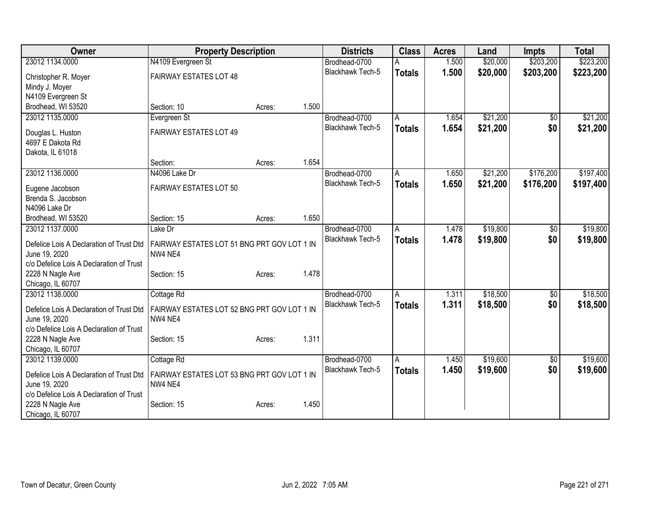| <b>Owner</b>                                              | <b>Property Description</b>                            |        | <b>Districts</b>        | <b>Class</b>            | <b>Acres</b> | Land     | <b>Impts</b>    | <b>Total</b> |
|-----------------------------------------------------------|--------------------------------------------------------|--------|-------------------------|-------------------------|--------------|----------|-----------------|--------------|
| 23012 1134.0000                                           | N4109 Evergreen St                                     |        | Brodhead-0700           |                         | 1.500        | \$20,000 | \$203,200       | \$223,200    |
| Christopher R. Moyer                                      | <b>FAIRWAY ESTATES LOT 48</b>                          |        | <b>Blackhawk Tech-5</b> | <b>Totals</b>           | 1.500        | \$20,000 | \$203,200       | \$223,200    |
| Mindy J. Moyer                                            |                                                        |        |                         |                         |              |          |                 |              |
| N4109 Evergreen St                                        |                                                        |        |                         |                         |              |          |                 |              |
| Brodhead, WI 53520                                        | Section: 10                                            | Acres: | 1.500                   |                         |              |          |                 |              |
| 23012 1135.0000                                           | Evergreen St                                           |        | Brodhead-0700           | $\overline{\mathsf{A}}$ | 1.654        | \$21,200 | $\overline{50}$ | \$21,200     |
| Douglas L. Huston                                         | <b>FAIRWAY ESTATES LOT 49</b>                          |        | <b>Blackhawk Tech-5</b> | <b>Totals</b>           | 1.654        | \$21,200 | \$0             | \$21,200     |
| 4697 E Dakota Rd                                          |                                                        |        |                         |                         |              |          |                 |              |
| Dakota, IL 61018                                          |                                                        |        |                         |                         |              |          |                 |              |
|                                                           | Section:                                               | Acres: | 1.654                   |                         |              |          |                 |              |
| 23012 1136.0000                                           | N4096 Lake Dr                                          |        | Brodhead-0700           | A                       | 1.650        | \$21,200 | \$176,200       | \$197,400    |
| Eugene Jacobson                                           | FAIRWAY ESTATES LOT 50                                 |        | <b>Blackhawk Tech-5</b> | <b>Totals</b>           | 1.650        | \$21,200 | \$176,200       | \$197,400    |
| Brenda S. Jacobson                                        |                                                        |        |                         |                         |              |          |                 |              |
| N4096 Lake Dr                                             |                                                        |        |                         |                         |              |          |                 |              |
| Brodhead, WI 53520                                        | Section: 15                                            | Acres: | 1.650                   |                         |              |          |                 |              |
| 23012 1137.0000                                           | Lake Dr                                                |        | Brodhead-0700           | Α                       | 1.478        | \$19,800 | \$0             | \$19,800     |
|                                                           |                                                        |        | Blackhawk Tech-5        | <b>Totals</b>           | 1.478        | \$19,800 | \$0             | \$19,800     |
| Defelice Lois A Declaration of Trust Dtd<br>June 19, 2020 | FAIRWAY ESTATES LOT 51 BNG PRT GOV LOT 1 IN<br>NW4 NE4 |        |                         |                         |              |          |                 |              |
| c/o Defelice Lois A Declaration of Trust                  |                                                        |        |                         |                         |              |          |                 |              |
| 2228 N Nagle Ave                                          | Section: 15                                            | Acres: | 1.478                   |                         |              |          |                 |              |
| Chicago, IL 60707                                         |                                                        |        |                         |                         |              |          |                 |              |
| 23012 1138.0000                                           | Cottage Rd                                             |        | Brodhead-0700           | A                       | 1.311        | \$18,500 | $\overline{60}$ | \$18,500     |
|                                                           |                                                        |        | <b>Blackhawk Tech-5</b> | <b>Totals</b>           | 1.311        | \$18,500 | \$0             | \$18,500     |
| Defelice Lois A Declaration of Trust Dtd<br>June 19, 2020 | FAIRWAY ESTATES LOT 52 BNG PRT GOV LOT 1 IN<br>NW4 NE4 |        |                         |                         |              |          |                 |              |
| c/o Defelice Lois A Declaration of Trust                  |                                                        |        |                         |                         |              |          |                 |              |
| 2228 N Nagle Ave                                          | Section: 15                                            | Acres: | 1.311                   |                         |              |          |                 |              |
| Chicago, IL 60707                                         |                                                        |        |                         |                         |              |          |                 |              |
| 23012 1139.0000                                           | Cottage Rd                                             |        | Brodhead-0700           | A                       | 1.450        | \$19,600 | \$0             | \$19,600     |
|                                                           | FAIRWAY ESTATES LOT 53 BNG PRT GOV LOT 1 IN            |        | Blackhawk Tech-5        | <b>Totals</b>           | 1.450        | \$19,600 | \$0             | \$19,600     |
| Defelice Lois A Declaration of Trust Dtd<br>June 19, 2020 | NW4 NE4                                                |        |                         |                         |              |          |                 |              |
| c/o Defelice Lois A Declaration of Trust                  |                                                        |        |                         |                         |              |          |                 |              |
| 2228 N Nagle Ave                                          | Section: 15                                            | Acres: | 1.450                   |                         |              |          |                 |              |
| Chicago, IL 60707                                         |                                                        |        |                         |                         |              |          |                 |              |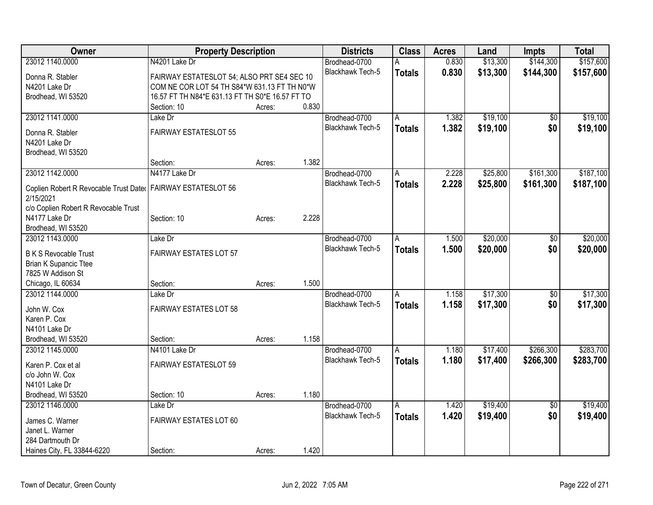| \$13,300<br>23012 1140.0000<br>N4201 Lake Dr<br>0.830<br>Brodhead-0700<br><b>Blackhawk Tech-5</b><br>0.830<br>\$13,300<br>\$144,300<br><b>Totals</b><br>FAIRWAY ESTATESLOT 54; ALSO PRT SE4 SEC 10<br>Donna R. Stabler<br>COM NE COR LOT 54 TH S84*W 631.13 FT TH N0*W<br>N4201 Lake Dr<br>16.57 FT TH N84*E 631.13 FT TH S0*E 16.57 FT TO<br>Brodhead, WI 53520<br>0.830<br>Section: 10<br>Acres:<br>23012 1141.0000<br>\$19,100<br>Lake Dr<br>Brodhead-0700<br>1.382<br>Α<br>\$0<br>1.382<br>\$0<br>Blackhawk Tech-5<br>\$19,100<br><b>Totals</b><br><b>FAIRWAY ESTATESLOT 55</b><br>Donna R. Stabler<br>N4201 Lake Dr<br>Brodhead, WI 53520<br>1.382<br>Section:<br>Acres:<br>23012 1142.0000<br>N4177 Lake Dr<br>\$25,800<br>\$161,300<br>Brodhead-0700<br>2.228<br>Α<br>Blackhawk Tech-5<br>2.228<br>\$25,800<br>\$161,300<br><b>Totals</b><br>Coplien Robert R Revocable Trust Dater   FAIRWAY ESTATESLOT 56<br>2/15/2021<br>c/o Coplien Robert R Revocable Trust<br>2.228<br>Section: 10<br>N4177 Lake Dr<br>Acres:<br>Brodhead, WI 53520<br>23012 1143.0000<br>\$20,000<br>Lake Dr<br>Brodhead-0700<br>1.500<br>\$0<br>A<br>Blackhawk Tech-5<br>\$20,000<br>\$0<br>1.500<br><b>Totals</b><br><b>FAIRWAY ESTATES LOT 57</b><br><b>B K S Revocable Trust</b><br><b>Brian K Supancic Ttee</b><br>7825 W Addison St<br>1.500<br>Chicago, IL 60634<br>Section:<br>Acres:<br>\$17,300<br>23012 1144.0000<br>Brodhead-0700<br>Lake Dr<br>1.158<br>\$0<br>A<br><b>Blackhawk Tech-5</b><br>1.158<br>\$0<br>\$17,300<br><b>Totals</b><br><b>FAIRWAY ESTATES LOT 58</b><br>John W. Cox<br>Karen P. Cox<br>N4101 Lake Dr<br>1.158<br>Brodhead, WI 53520<br>Section:<br>Acres:<br>\$17,400<br>\$266,300<br>23012 1145.0000<br>N4101 Lake Dr<br>Brodhead-0700<br>$\overline{A}$<br>1.180<br>Blackhawk Tech-5<br>1.180<br>\$266,300<br>\$17,400<br><b>Totals</b><br>FAIRWAY ESTATESLOT 59<br>Karen P. Cox et al | <b>Owner</b> | <b>Property Description</b> |  | <b>Districts</b> | <b>Class</b> | <b>Acres</b> | Land | <b>Impts</b> | <b>Total</b> |
|----------------------------------------------------------------------------------------------------------------------------------------------------------------------------------------------------------------------------------------------------------------------------------------------------------------------------------------------------------------------------------------------------------------------------------------------------------------------------------------------------------------------------------------------------------------------------------------------------------------------------------------------------------------------------------------------------------------------------------------------------------------------------------------------------------------------------------------------------------------------------------------------------------------------------------------------------------------------------------------------------------------------------------------------------------------------------------------------------------------------------------------------------------------------------------------------------------------------------------------------------------------------------------------------------------------------------------------------------------------------------------------------------------------------------------------------------------------------------------------------------------------------------------------------------------------------------------------------------------------------------------------------------------------------------------------------------------------------------------------------------------------------------------------------------------------------------------------------------------------------------------------------------------|--------------|-----------------------------|--|------------------|--------------|--------------|------|--------------|--------------|
| \$157,600<br>\$19,100<br>\$19,100<br>\$187,100<br>\$187,100<br>\$20,000<br>\$20,000<br>\$17,300<br>\$17,300<br>\$283,700<br>\$283,700                                                                                                                                                                                                                                                                                                                                                                                                                                                                                                                                                                                                                                                                                                                                                                                                                                                                                                                                                                                                                                                                                                                                                                                                                                                                                                                                                                                                                                                                                                                                                                                                                                                                                                                                                                    |              |                             |  |                  |              |              |      | \$144,300    | \$157,600    |
|                                                                                                                                                                                                                                                                                                                                                                                                                                                                                                                                                                                                                                                                                                                                                                                                                                                                                                                                                                                                                                                                                                                                                                                                                                                                                                                                                                                                                                                                                                                                                                                                                                                                                                                                                                                                                                                                                                          |              |                             |  |                  |              |              |      |              |              |
|                                                                                                                                                                                                                                                                                                                                                                                                                                                                                                                                                                                                                                                                                                                                                                                                                                                                                                                                                                                                                                                                                                                                                                                                                                                                                                                                                                                                                                                                                                                                                                                                                                                                                                                                                                                                                                                                                                          |              |                             |  |                  |              |              |      |              |              |
|                                                                                                                                                                                                                                                                                                                                                                                                                                                                                                                                                                                                                                                                                                                                                                                                                                                                                                                                                                                                                                                                                                                                                                                                                                                                                                                                                                                                                                                                                                                                                                                                                                                                                                                                                                                                                                                                                                          |              |                             |  |                  |              |              |      |              |              |
|                                                                                                                                                                                                                                                                                                                                                                                                                                                                                                                                                                                                                                                                                                                                                                                                                                                                                                                                                                                                                                                                                                                                                                                                                                                                                                                                                                                                                                                                                                                                                                                                                                                                                                                                                                                                                                                                                                          |              |                             |  |                  |              |              |      |              |              |
|                                                                                                                                                                                                                                                                                                                                                                                                                                                                                                                                                                                                                                                                                                                                                                                                                                                                                                                                                                                                                                                                                                                                                                                                                                                                                                                                                                                                                                                                                                                                                                                                                                                                                                                                                                                                                                                                                                          |              |                             |  |                  |              |              |      |              |              |
|                                                                                                                                                                                                                                                                                                                                                                                                                                                                                                                                                                                                                                                                                                                                                                                                                                                                                                                                                                                                                                                                                                                                                                                                                                                                                                                                                                                                                                                                                                                                                                                                                                                                                                                                                                                                                                                                                                          |              |                             |  |                  |              |              |      |              |              |
|                                                                                                                                                                                                                                                                                                                                                                                                                                                                                                                                                                                                                                                                                                                                                                                                                                                                                                                                                                                                                                                                                                                                                                                                                                                                                                                                                                                                                                                                                                                                                                                                                                                                                                                                                                                                                                                                                                          |              |                             |  |                  |              |              |      |              |              |
|                                                                                                                                                                                                                                                                                                                                                                                                                                                                                                                                                                                                                                                                                                                                                                                                                                                                                                                                                                                                                                                                                                                                                                                                                                                                                                                                                                                                                                                                                                                                                                                                                                                                                                                                                                                                                                                                                                          |              |                             |  |                  |              |              |      |              |              |
|                                                                                                                                                                                                                                                                                                                                                                                                                                                                                                                                                                                                                                                                                                                                                                                                                                                                                                                                                                                                                                                                                                                                                                                                                                                                                                                                                                                                                                                                                                                                                                                                                                                                                                                                                                                                                                                                                                          |              |                             |  |                  |              |              |      |              |              |
|                                                                                                                                                                                                                                                                                                                                                                                                                                                                                                                                                                                                                                                                                                                                                                                                                                                                                                                                                                                                                                                                                                                                                                                                                                                                                                                                                                                                                                                                                                                                                                                                                                                                                                                                                                                                                                                                                                          |              |                             |  |                  |              |              |      |              |              |
|                                                                                                                                                                                                                                                                                                                                                                                                                                                                                                                                                                                                                                                                                                                                                                                                                                                                                                                                                                                                                                                                                                                                                                                                                                                                                                                                                                                                                                                                                                                                                                                                                                                                                                                                                                                                                                                                                                          |              |                             |  |                  |              |              |      |              |              |
|                                                                                                                                                                                                                                                                                                                                                                                                                                                                                                                                                                                                                                                                                                                                                                                                                                                                                                                                                                                                                                                                                                                                                                                                                                                                                                                                                                                                                                                                                                                                                                                                                                                                                                                                                                                                                                                                                                          |              |                             |  |                  |              |              |      |              |              |
|                                                                                                                                                                                                                                                                                                                                                                                                                                                                                                                                                                                                                                                                                                                                                                                                                                                                                                                                                                                                                                                                                                                                                                                                                                                                                                                                                                                                                                                                                                                                                                                                                                                                                                                                                                                                                                                                                                          |              |                             |  |                  |              |              |      |              |              |
|                                                                                                                                                                                                                                                                                                                                                                                                                                                                                                                                                                                                                                                                                                                                                                                                                                                                                                                                                                                                                                                                                                                                                                                                                                                                                                                                                                                                                                                                                                                                                                                                                                                                                                                                                                                                                                                                                                          |              |                             |  |                  |              |              |      |              |              |
|                                                                                                                                                                                                                                                                                                                                                                                                                                                                                                                                                                                                                                                                                                                                                                                                                                                                                                                                                                                                                                                                                                                                                                                                                                                                                                                                                                                                                                                                                                                                                                                                                                                                                                                                                                                                                                                                                                          |              |                             |  |                  |              |              |      |              |              |
|                                                                                                                                                                                                                                                                                                                                                                                                                                                                                                                                                                                                                                                                                                                                                                                                                                                                                                                                                                                                                                                                                                                                                                                                                                                                                                                                                                                                                                                                                                                                                                                                                                                                                                                                                                                                                                                                                                          |              |                             |  |                  |              |              |      |              |              |
|                                                                                                                                                                                                                                                                                                                                                                                                                                                                                                                                                                                                                                                                                                                                                                                                                                                                                                                                                                                                                                                                                                                                                                                                                                                                                                                                                                                                                                                                                                                                                                                                                                                                                                                                                                                                                                                                                                          |              |                             |  |                  |              |              |      |              |              |
|                                                                                                                                                                                                                                                                                                                                                                                                                                                                                                                                                                                                                                                                                                                                                                                                                                                                                                                                                                                                                                                                                                                                                                                                                                                                                                                                                                                                                                                                                                                                                                                                                                                                                                                                                                                                                                                                                                          |              |                             |  |                  |              |              |      |              |              |
|                                                                                                                                                                                                                                                                                                                                                                                                                                                                                                                                                                                                                                                                                                                                                                                                                                                                                                                                                                                                                                                                                                                                                                                                                                                                                                                                                                                                                                                                                                                                                                                                                                                                                                                                                                                                                                                                                                          |              |                             |  |                  |              |              |      |              |              |
|                                                                                                                                                                                                                                                                                                                                                                                                                                                                                                                                                                                                                                                                                                                                                                                                                                                                                                                                                                                                                                                                                                                                                                                                                                                                                                                                                                                                                                                                                                                                                                                                                                                                                                                                                                                                                                                                                                          |              |                             |  |                  |              |              |      |              |              |
|                                                                                                                                                                                                                                                                                                                                                                                                                                                                                                                                                                                                                                                                                                                                                                                                                                                                                                                                                                                                                                                                                                                                                                                                                                                                                                                                                                                                                                                                                                                                                                                                                                                                                                                                                                                                                                                                                                          |              |                             |  |                  |              |              |      |              |              |
|                                                                                                                                                                                                                                                                                                                                                                                                                                                                                                                                                                                                                                                                                                                                                                                                                                                                                                                                                                                                                                                                                                                                                                                                                                                                                                                                                                                                                                                                                                                                                                                                                                                                                                                                                                                                                                                                                                          |              |                             |  |                  |              |              |      |              |              |
|                                                                                                                                                                                                                                                                                                                                                                                                                                                                                                                                                                                                                                                                                                                                                                                                                                                                                                                                                                                                                                                                                                                                                                                                                                                                                                                                                                                                                                                                                                                                                                                                                                                                                                                                                                                                                                                                                                          |              |                             |  |                  |              |              |      |              |              |
|                                                                                                                                                                                                                                                                                                                                                                                                                                                                                                                                                                                                                                                                                                                                                                                                                                                                                                                                                                                                                                                                                                                                                                                                                                                                                                                                                                                                                                                                                                                                                                                                                                                                                                                                                                                                                                                                                                          |              |                             |  |                  |              |              |      |              |              |
|                                                                                                                                                                                                                                                                                                                                                                                                                                                                                                                                                                                                                                                                                                                                                                                                                                                                                                                                                                                                                                                                                                                                                                                                                                                                                                                                                                                                                                                                                                                                                                                                                                                                                                                                                                                                                                                                                                          |              |                             |  |                  |              |              |      |              |              |
|                                                                                                                                                                                                                                                                                                                                                                                                                                                                                                                                                                                                                                                                                                                                                                                                                                                                                                                                                                                                                                                                                                                                                                                                                                                                                                                                                                                                                                                                                                                                                                                                                                                                                                                                                                                                                                                                                                          |              |                             |  |                  |              |              |      |              |              |
|                                                                                                                                                                                                                                                                                                                                                                                                                                                                                                                                                                                                                                                                                                                                                                                                                                                                                                                                                                                                                                                                                                                                                                                                                                                                                                                                                                                                                                                                                                                                                                                                                                                                                                                                                                                                                                                                                                          |              |                             |  |                  |              |              |      |              |              |
|                                                                                                                                                                                                                                                                                                                                                                                                                                                                                                                                                                                                                                                                                                                                                                                                                                                                                                                                                                                                                                                                                                                                                                                                                                                                                                                                                                                                                                                                                                                                                                                                                                                                                                                                                                                                                                                                                                          |              |                             |  |                  |              |              |      |              |              |
|                                                                                                                                                                                                                                                                                                                                                                                                                                                                                                                                                                                                                                                                                                                                                                                                                                                                                                                                                                                                                                                                                                                                                                                                                                                                                                                                                                                                                                                                                                                                                                                                                                                                                                                                                                                                                                                                                                          |              |                             |  |                  |              |              |      |              |              |
| c/o John W. Cox                                                                                                                                                                                                                                                                                                                                                                                                                                                                                                                                                                                                                                                                                                                                                                                                                                                                                                                                                                                                                                                                                                                                                                                                                                                                                                                                                                                                                                                                                                                                                                                                                                                                                                                                                                                                                                                                                          |              |                             |  |                  |              |              |      |              |              |
| N4101 Lake Dr                                                                                                                                                                                                                                                                                                                                                                                                                                                                                                                                                                                                                                                                                                                                                                                                                                                                                                                                                                                                                                                                                                                                                                                                                                                                                                                                                                                                                                                                                                                                                                                                                                                                                                                                                                                                                                                                                            |              |                             |  |                  |              |              |      |              |              |
| 1.180<br>Brodhead, WI 53520<br>Section: 10<br>Acres:                                                                                                                                                                                                                                                                                                                                                                                                                                                                                                                                                                                                                                                                                                                                                                                                                                                                                                                                                                                                                                                                                                                                                                                                                                                                                                                                                                                                                                                                                                                                                                                                                                                                                                                                                                                                                                                     |              |                             |  |                  |              |              |      |              |              |
| \$19,400<br>\$19,400<br>23012 1146.0000<br>Lake Dr<br>Brodhead-0700<br>1.420<br>$\overline{50}$<br>Α                                                                                                                                                                                                                                                                                                                                                                                                                                                                                                                                                                                                                                                                                                                                                                                                                                                                                                                                                                                                                                                                                                                                                                                                                                                                                                                                                                                                                                                                                                                                                                                                                                                                                                                                                                                                     |              |                             |  |                  |              |              |      |              |              |
| 1.420<br><b>Blackhawk Tech-5</b><br>\$19,400<br>\$0<br>\$19,400<br><b>Totals</b><br>FAIRWAY ESTATES LOT 60<br>James C. Warner                                                                                                                                                                                                                                                                                                                                                                                                                                                                                                                                                                                                                                                                                                                                                                                                                                                                                                                                                                                                                                                                                                                                                                                                                                                                                                                                                                                                                                                                                                                                                                                                                                                                                                                                                                            |              |                             |  |                  |              |              |      |              |              |
| Janet L. Warner                                                                                                                                                                                                                                                                                                                                                                                                                                                                                                                                                                                                                                                                                                                                                                                                                                                                                                                                                                                                                                                                                                                                                                                                                                                                                                                                                                                                                                                                                                                                                                                                                                                                                                                                                                                                                                                                                          |              |                             |  |                  |              |              |      |              |              |
| 284 Dartmouth Dr                                                                                                                                                                                                                                                                                                                                                                                                                                                                                                                                                                                                                                                                                                                                                                                                                                                                                                                                                                                                                                                                                                                                                                                                                                                                                                                                                                                                                                                                                                                                                                                                                                                                                                                                                                                                                                                                                         |              |                             |  |                  |              |              |      |              |              |
| 1.420<br>Haines City, FL 33844-6220<br>Section:<br>Acres:                                                                                                                                                                                                                                                                                                                                                                                                                                                                                                                                                                                                                                                                                                                                                                                                                                                                                                                                                                                                                                                                                                                                                                                                                                                                                                                                                                                                                                                                                                                                                                                                                                                                                                                                                                                                                                                |              |                             |  |                  |              |              |      |              |              |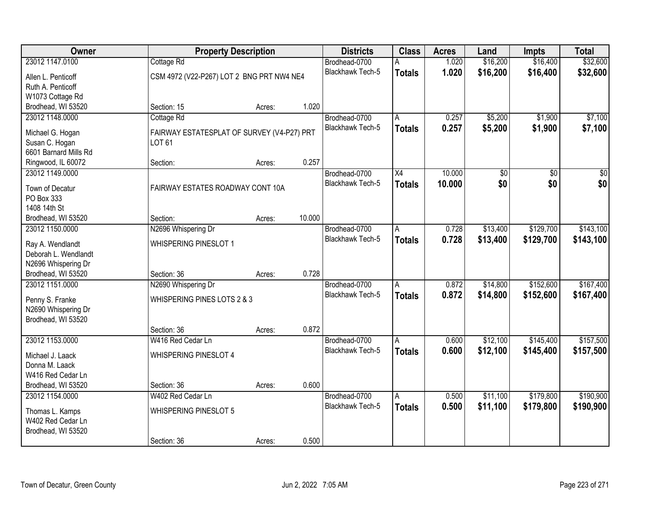| Owner                                 |                                            | <b>Property Description</b> |        | <b>Districts</b>        | <b>Class</b>            | <b>Acres</b> | Land     | <b>Impts</b>    | <b>Total</b> |
|---------------------------------------|--------------------------------------------|-----------------------------|--------|-------------------------|-------------------------|--------------|----------|-----------------|--------------|
| 23012 1147.0100                       | Cottage Rd                                 |                             |        | Brodhead-0700           |                         | 1.020        | \$16,200 | \$16,400        | \$32,600     |
| Allen L. Penticoff                    | CSM 4972 (V22-P267) LOT 2 BNG PRT NW4 NE4  |                             |        | Blackhawk Tech-5        | <b>Totals</b>           | 1.020        | \$16,200 | \$16,400        | \$32,600     |
| Ruth A. Penticoff                     |                                            |                             |        |                         |                         |              |          |                 |              |
| W1073 Cottage Rd                      |                                            |                             |        |                         |                         |              |          |                 |              |
| Brodhead, WI 53520                    | Section: 15                                | Acres:                      | 1.020  |                         |                         |              |          |                 |              |
| 23012 1148.0000                       | Cottage Rd                                 |                             |        | Brodhead-0700           | A                       | 0.257        | \$5,200  | \$1,900         | \$7,100      |
| Michael G. Hogan                      | FAIRWAY ESTATESPLAT OF SURVEY (V4-P27) PRT |                             |        | <b>Blackhawk Tech-5</b> | <b>Totals</b>           | 0.257        | \$5,200  | \$1,900         | \$7,100      |
| Susan C. Hogan                        | <b>LOT 61</b>                              |                             |        |                         |                         |              |          |                 |              |
| 6601 Barnard Mills Rd                 |                                            |                             |        |                         |                         |              |          |                 |              |
| Ringwood, IL 60072                    | Section:                                   | Acres:                      | 0.257  |                         |                         |              |          |                 |              |
| 23012 1149.0000                       |                                            |                             |        | Brodhead-0700           | $\overline{X4}$         | 10.000       | \$0      | $\overline{50}$ | \$0          |
|                                       |                                            |                             |        | <b>Blackhawk Tech-5</b> | <b>Totals</b>           | 10.000       | \$0      | \$0             | \$0          |
| Town of Decatur<br>PO Box 333         | FAIRWAY ESTATES ROADWAY CONT 10A           |                             |        |                         |                         |              |          |                 |              |
| 1408 14th St                          |                                            |                             |        |                         |                         |              |          |                 |              |
| Brodhead, WI 53520                    | Section:                                   | Acres:                      | 10.000 |                         |                         |              |          |                 |              |
| 23012 1150.0000                       | N2696 Whispering Dr                        |                             |        | Brodhead-0700           | Α                       | 0.728        | \$13,400 | \$129,700       | \$143,100    |
|                                       |                                            |                             |        | <b>Blackhawk Tech-5</b> | <b>Totals</b>           | 0.728        | \$13,400 | \$129,700       | \$143,100    |
| Ray A. Wendlandt                      | WHISPERING PINESLOT 1                      |                             |        |                         |                         |              |          |                 |              |
| Deborah L. Wendlandt                  |                                            |                             |        |                         |                         |              |          |                 |              |
| N2696 Whispering Dr                   |                                            |                             | 0.728  |                         |                         |              |          |                 |              |
| Brodhead, WI 53520<br>23012 1151.0000 | Section: 36<br>N2690 Whispering Dr         | Acres:                      |        | Brodhead-0700           | A                       | 0.872        | \$14,800 | \$152,600       | \$167,400    |
|                                       |                                            |                             |        | <b>Blackhawk Tech-5</b> |                         | 0.872        |          | \$152,600       |              |
| Penny S. Franke                       | WHISPERING PINES LOTS 2 & 3                |                             |        |                         | <b>Totals</b>           |              | \$14,800 |                 | \$167,400    |
| N2690 Whispering Dr                   |                                            |                             |        |                         |                         |              |          |                 |              |
| Brodhead, WI 53520                    |                                            |                             |        |                         |                         |              |          |                 |              |
|                                       | Section: 36                                | Acres:                      | 0.872  |                         |                         |              |          |                 |              |
| 23012 1153.0000                       | W416 Red Cedar Ln                          |                             |        | Brodhead-0700           | A                       | 0.600        | \$12,100 | \$145,400       | \$157,500    |
| Michael J. Laack                      | WHISPERING PINESLOT 4                      |                             |        | Blackhawk Tech-5        | <b>Totals</b>           | 0.600        | \$12,100 | \$145,400       | \$157,500    |
| Donna M. Laack                        |                                            |                             |        |                         |                         |              |          |                 |              |
| W416 Red Cedar Ln                     |                                            |                             |        |                         |                         |              |          |                 |              |
| Brodhead, WI 53520                    | Section: 36                                | Acres:                      | 0.600  |                         |                         |              |          |                 |              |
| 23012 1154.0000                       | W402 Red Cedar Ln                          |                             |        | Brodhead-0700           | $\overline{\mathsf{A}}$ | 0.500        | \$11,100 | \$179,800       | \$190,900    |
| Thomas L. Kamps                       | <b>WHISPERING PINESLOT 5</b>               |                             |        | <b>Blackhawk Tech-5</b> | <b>Totals</b>           | 0.500        | \$11,100 | \$179,800       | \$190,900    |
| W402 Red Cedar Ln                     |                                            |                             |        |                         |                         |              |          |                 |              |
| Brodhead, WI 53520                    |                                            |                             |        |                         |                         |              |          |                 |              |
|                                       | Section: 36                                | Acres:                      | 0.500  |                         |                         |              |          |                 |              |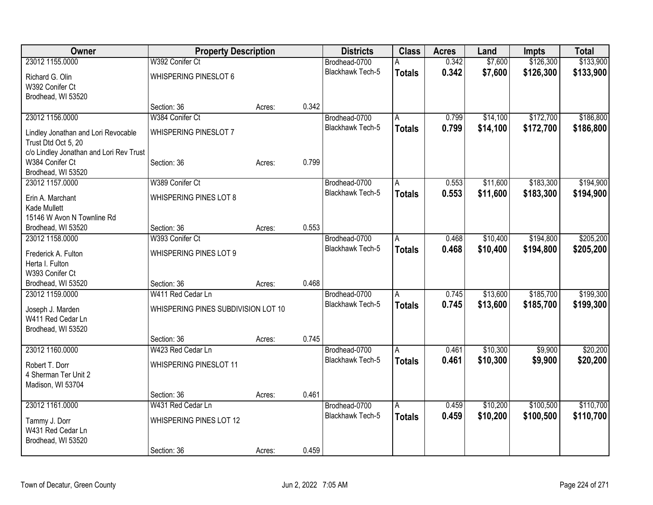| Owner                                      | <b>Property Description</b>         |        |       | <b>Districts</b>        | <b>Class</b>  | <b>Acres</b> | Land     | Impts     | <b>Total</b> |
|--------------------------------------------|-------------------------------------|--------|-------|-------------------------|---------------|--------------|----------|-----------|--------------|
| 23012 1155,0000                            | W392 Conifer Ct                     |        |       | Brodhead-0700           |               | 0.342        | \$7,600  | \$126,300 | \$133,900    |
| Richard G. Olin                            | <b>WHISPERING PINESLOT 6</b>        |        |       | Blackhawk Tech-5        | <b>Totals</b> | 0.342        | \$7,600  | \$126,300 | \$133,900    |
| W392 Conifer Ct                            |                                     |        |       |                         |               |              |          |           |              |
| Brodhead, WI 53520                         |                                     |        |       |                         |               |              |          |           |              |
|                                            | Section: 36                         | Acres: | 0.342 |                         |               |              |          |           |              |
| 23012 1156.0000                            | W384 Conifer Ct                     |        |       | Brodhead-0700           | A             | 0.799        | \$14,100 | \$172,700 | \$186,800    |
| Lindley Jonathan and Lori Revocable        | <b>WHISPERING PINESLOT 7</b>        |        |       | Blackhawk Tech-5        | <b>Totals</b> | 0.799        | \$14,100 | \$172,700 | \$186,800    |
| Trust Dtd Oct 5, 20                        |                                     |        |       |                         |               |              |          |           |              |
| c/o Lindley Jonathan and Lori Rev Trust    |                                     |        |       |                         |               |              |          |           |              |
| W384 Conifer Ct                            | Section: 36                         | Acres: | 0.799 |                         |               |              |          |           |              |
| Brodhead, WI 53520                         |                                     |        |       |                         |               |              |          |           |              |
| 23012 1157.0000                            | W389 Conifer Ct                     |        |       | Brodhead-0700           | A             | 0.553        | \$11,600 | \$183,300 | \$194,900    |
|                                            |                                     |        |       | <b>Blackhawk Tech-5</b> | <b>Totals</b> | 0.553        | \$11,600 | \$183,300 | \$194,900    |
| Erin A. Marchant                           | <b>WHISPERING PINES LOT 8</b>       |        |       |                         |               |              |          |           |              |
| Kade Mullett<br>15146 W Avon N Townline Rd |                                     |        |       |                         |               |              |          |           |              |
| Brodhead, WI 53520                         | Section: 36                         | Acres: | 0.553 |                         |               |              |          |           |              |
| 23012 1158.0000                            | W393 Conifer Ct                     |        |       | Brodhead-0700           | A             | 0.468        | \$10,400 | \$194,800 | \$205,200    |
|                                            |                                     |        |       | Blackhawk Tech-5        | <b>Totals</b> | 0.468        | \$10,400 | \$194,800 | \$205,200    |
| Frederick A. Fulton                        | WHISPERING PINES LOT 9              |        |       |                         |               |              |          |           |              |
| Herta I. Fulton                            |                                     |        |       |                         |               |              |          |           |              |
| W393 Conifer Ct                            |                                     |        |       |                         |               |              |          |           |              |
| Brodhead, WI 53520                         | Section: 36                         | Acres: | 0.468 |                         |               |              |          |           |              |
| 23012 1159.0000                            | W411 Red Cedar Ln                   |        |       | Brodhead-0700           | A             | 0.745        | \$13,600 | \$185,700 | \$199,300    |
| Joseph J. Marden                           | WHISPERING PINES SUBDIVISION LOT 10 |        |       | <b>Blackhawk Tech-5</b> | <b>Totals</b> | 0.745        | \$13,600 | \$185,700 | \$199,300    |
| W411 Red Cedar Ln                          |                                     |        |       |                         |               |              |          |           |              |
| Brodhead, WI 53520                         |                                     |        |       |                         |               |              |          |           |              |
|                                            | Section: 36                         | Acres: | 0.745 |                         |               |              |          |           |              |
| 23012 1160.0000                            | W423 Red Cedar Ln                   |        |       | Brodhead-0700           | A             | 0.461        | \$10,300 | \$9,900   | \$20,200     |
| Robert T. Dorr                             | WHISPERING PINESLOT 11              |        |       | <b>Blackhawk Tech-5</b> | <b>Totals</b> | 0.461        | \$10,300 | \$9,900   | \$20,200     |
| 4 Sherman Ter Unit 2                       |                                     |        |       |                         |               |              |          |           |              |
| Madison, WI 53704                          |                                     |        |       |                         |               |              |          |           |              |
|                                            | Section: 36                         | Acres: | 0.461 |                         |               |              |          |           |              |
| 23012 1161.0000                            | W431 Red Cedar Ln                   |        |       | Brodhead-0700           | A             | 0.459        | \$10,200 | \$100,500 | \$110,700    |
|                                            | WHISPERING PINES LOT 12             |        |       | <b>Blackhawk Tech-5</b> | <b>Totals</b> | 0.459        | \$10,200 | \$100,500 | \$110,700    |
| Tammy J. Dorr<br>W431 Red Cedar Ln         |                                     |        |       |                         |               |              |          |           |              |
| Brodhead, WI 53520                         |                                     |        |       |                         |               |              |          |           |              |
|                                            | Section: 36                         | Acres: | 0.459 |                         |               |              |          |           |              |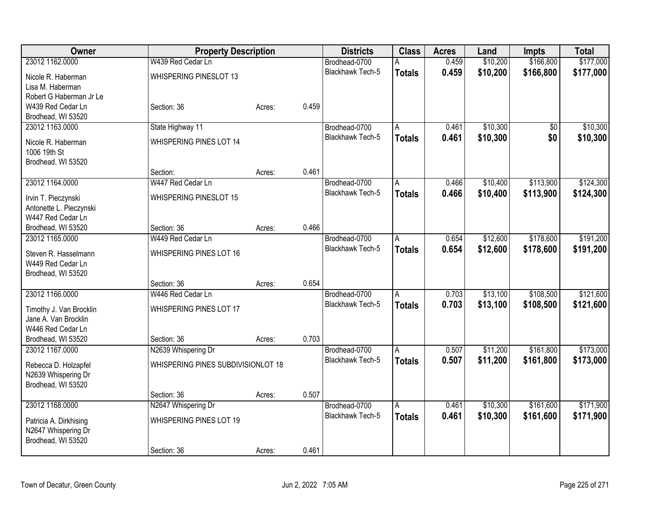| Owner                              | <b>Property Description</b>        |        |       | <b>Districts</b>        | <b>Class</b>  | <b>Acres</b> | Land     | Impts     | <b>Total</b> |
|------------------------------------|------------------------------------|--------|-------|-------------------------|---------------|--------------|----------|-----------|--------------|
| 23012 1162.0000                    | W439 Red Cedar Ln                  |        |       | Brodhead-0700           |               | 0.459        | \$10,200 | \$166,800 | \$177,000    |
| Nicole R. Haberman                 | WHISPERING PINESLOT 13             |        |       | <b>Blackhawk Tech-5</b> | <b>Totals</b> | 0.459        | \$10,200 | \$166,800 | \$177,000    |
| Lisa M. Haberman                   |                                    |        |       |                         |               |              |          |           |              |
| Robert G Haberman Jr Le            |                                    |        |       |                         |               |              |          |           |              |
| W439 Red Cedar Ln                  | Section: 36                        | Acres: | 0.459 |                         |               |              |          |           |              |
| Brodhead, WI 53520                 |                                    |        |       |                         |               |              |          |           |              |
| 23012 1163.0000                    | State Highway 11                   |        |       | Brodhead-0700           | A             | 0.461        | \$10,300 | \$0       | \$10,300     |
|                                    | <b>WHISPERING PINES LOT 14</b>     |        |       | Blackhawk Tech-5        | <b>Totals</b> | 0.461        | \$10,300 | \$0       | \$10,300     |
| Nicole R. Haberman<br>1006 19th St |                                    |        |       |                         |               |              |          |           |              |
| Brodhead, WI 53520                 |                                    |        |       |                         |               |              |          |           |              |
|                                    | Section:                           | Acres: | 0.461 |                         |               |              |          |           |              |
| 23012 1164.0000                    | W447 Red Cedar Ln                  |        |       | Brodhead-0700           | A             | 0.466        | \$10,400 | \$113,900 | \$124,300    |
|                                    |                                    |        |       | <b>Blackhawk Tech-5</b> | <b>Totals</b> | 0.466        | \$10,400 | \$113,900 | \$124,300    |
| Irvin T. Pieczynski                | <b>WHISPERING PINESLOT 15</b>      |        |       |                         |               |              |          |           |              |
| Antonette L. Pieczynski            |                                    |        |       |                         |               |              |          |           |              |
| W447 Red Cedar Ln                  |                                    |        |       |                         |               |              |          |           |              |
| Brodhead, WI 53520                 | Section: 36                        | Acres: | 0.466 |                         |               |              |          |           |              |
| 23012 1165.0000                    | W449 Red Cedar Ln                  |        |       | Brodhead-0700           | A             | 0.654        | \$12,600 | \$178,600 | \$191,200    |
| Steven R. Hasselmann               | WHISPERING PINES LOT 16            |        |       | <b>Blackhawk Tech-5</b> | <b>Totals</b> | 0.654        | \$12,600 | \$178,600 | \$191,200    |
| W449 Red Cedar Ln                  |                                    |        |       |                         |               |              |          |           |              |
| Brodhead, WI 53520                 |                                    |        |       |                         |               |              |          |           |              |
|                                    | Section: 36                        | Acres: | 0.654 |                         |               |              |          |           |              |
| 23012 1166,0000                    | W446 Red Cedar Ln                  |        |       | Brodhead-0700           | A             | 0.703        | \$13,100 | \$108,500 | \$121,600    |
| Timothy J. Van Brocklin            | WHISPERING PINES LOT 17            |        |       | Blackhawk Tech-5        | <b>Totals</b> | 0.703        | \$13,100 | \$108,500 | \$121,600    |
| Jane A. Van Brocklin               |                                    |        |       |                         |               |              |          |           |              |
| W446 Red Cedar Ln                  |                                    |        |       |                         |               |              |          |           |              |
| Brodhead, WI 53520                 | Section: 36                        | Acres: | 0.703 |                         |               |              |          |           |              |
| 23012 1167.0000                    | N2639 Whispering Dr                |        |       | Brodhead-0700           | A             | 0.507        | \$11,200 | \$161,800 | \$173,000    |
|                                    |                                    |        |       | <b>Blackhawk Tech-5</b> | <b>Totals</b> | 0.507        | \$11,200 | \$161,800 | \$173,000    |
| Rebecca D. Holzapfel               | WHISPERING PINES SUBDIVISIONLOT 18 |        |       |                         |               |              |          |           |              |
| N2639 Whispering Dr                |                                    |        |       |                         |               |              |          |           |              |
| Brodhead, WI 53520                 | Section: 36                        |        | 0.507 |                         |               |              |          |           |              |
| 23012 1168.0000                    |                                    | Acres: |       | Brodhead-0700           |               | 0.461        | \$10,300 | \$161,600 | \$171,900    |
|                                    | N2647 Whispering Dr                |        |       | <b>Blackhawk Tech-5</b> | A             |              |          |           |              |
| Patricia A. Dirkhising             | WHISPERING PINES LOT 19            |        |       |                         | <b>Totals</b> | 0.461        | \$10,300 | \$161,600 | \$171,900    |
| N2647 Whispering Dr                |                                    |        |       |                         |               |              |          |           |              |
| Brodhead, WI 53520                 |                                    |        |       |                         |               |              |          |           |              |
|                                    | Section: 36                        | Acres: | 0.461 |                         |               |              |          |           |              |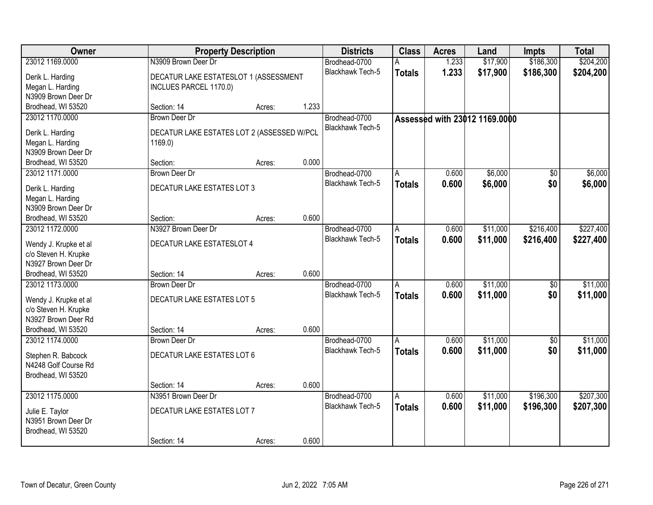| Owner                                         |                                            | <b>Property Description</b> |       | <b>Districts</b>        | <b>Class</b>            | <b>Acres</b> | Land                          | <b>Impts</b>    | <b>Total</b> |
|-----------------------------------------------|--------------------------------------------|-----------------------------|-------|-------------------------|-------------------------|--------------|-------------------------------|-----------------|--------------|
| 23012 1169.0000                               | N3909 Brown Deer Dr                        |                             |       | Brodhead-0700           | А                       | 1.233        | \$17,900                      | \$186,300       | \$204,200    |
| Derik L. Harding                              | DECATUR LAKE ESTATESLOT 1 (ASSESSMENT      |                             |       | Blackhawk Tech-5        | <b>Totals</b>           | 1.233        | \$17,900                      | \$186,300       | \$204,200    |
| Megan L. Harding                              | INCLUES PARCEL 1170.0)                     |                             |       |                         |                         |              |                               |                 |              |
| N3909 Brown Deer Dr                           |                                            |                             |       |                         |                         |              |                               |                 |              |
| Brodhead, WI 53520                            | Section: 14                                | Acres:                      | 1.233 |                         |                         |              |                               |                 |              |
| 23012 1170.0000                               | <b>Brown Deer Dr</b>                       |                             |       | Brodhead-0700           |                         |              | Assessed with 23012 1169,0000 |                 |              |
| Derik L. Harding                              | DECATUR LAKE ESTATES LOT 2 (ASSESSED W/PCL |                             |       | Blackhawk Tech-5        |                         |              |                               |                 |              |
| Megan L. Harding                              | 1169.0                                     |                             |       |                         |                         |              |                               |                 |              |
| N3909 Brown Deer Dr                           |                                            |                             |       |                         |                         |              |                               |                 |              |
| Brodhead, WI 53520                            | Section:                                   | Acres:                      | 0.000 |                         |                         |              |                               |                 |              |
| 23012 1171.0000                               | Brown Deer Dr                              |                             |       | Brodhead-0700           | A                       | 0.600        | \$6,000                       | \$0             | \$6,000      |
|                                               |                                            |                             |       | Blackhawk Tech-5        | <b>Totals</b>           | 0.600        | \$6,000                       | \$0             | \$6,000      |
| Derik L. Harding                              | DECATUR LAKE ESTATES LOT 3                 |                             |       |                         |                         |              |                               |                 |              |
| Megan L. Harding                              |                                            |                             |       |                         |                         |              |                               |                 |              |
| N3909 Brown Deer Dr                           |                                            |                             |       |                         |                         |              |                               |                 |              |
| Brodhead, WI 53520                            | Section:                                   | Acres:                      | 0.600 |                         |                         |              |                               |                 |              |
| 23012 1172.0000                               | N3927 Brown Deer Dr                        |                             |       | Brodhead-0700           | A                       | 0.600        | \$11,000                      | \$216,400       | \$227,400    |
| Wendy J. Krupke et al                         | <b>DECATUR LAKE ESTATESLOT 4</b>           |                             |       | <b>Blackhawk Tech-5</b> | <b>Totals</b>           | 0.600        | \$11,000                      | \$216,400       | \$227,400    |
| c/o Steven H. Krupke                          |                                            |                             |       |                         |                         |              |                               |                 |              |
| N3927 Brown Deer Dr                           |                                            |                             |       |                         |                         |              |                               |                 |              |
| Brodhead, WI 53520                            | Section: 14                                | Acres:                      | 0.600 |                         |                         |              |                               |                 |              |
| 23012 1173.0000                               | Brown Deer Dr                              |                             |       | Brodhead-0700           | A                       | 0.600        | \$11,000                      | $\overline{50}$ | \$11,000     |
|                                               | <b>DECATUR LAKE ESTATES LOT 5</b>          |                             |       | Blackhawk Tech-5        | <b>Totals</b>           | 0.600        | \$11,000                      | \$0             | \$11,000     |
| Wendy J. Krupke et al<br>c/o Steven H. Krupke |                                            |                             |       |                         |                         |              |                               |                 |              |
| N3927 Brown Deer Rd                           |                                            |                             |       |                         |                         |              |                               |                 |              |
| Brodhead, WI 53520                            | Section: 14                                | Acres:                      | 0.600 |                         |                         |              |                               |                 |              |
| 23012 1174.0000                               | <b>Brown Deer Dr</b>                       |                             |       | Brodhead-0700           | A                       | 0.600        | \$11,000                      | $\overline{50}$ | \$11,000     |
|                                               |                                            |                             |       | Blackhawk Tech-5        | <b>Totals</b>           | 0.600        | \$11,000                      | \$0             | \$11,000     |
| Stephen R. Babcock                            | <b>DECATUR LAKE ESTATES LOT 6</b>          |                             |       |                         |                         |              |                               |                 |              |
| N4248 Golf Course Rd                          |                                            |                             |       |                         |                         |              |                               |                 |              |
| Brodhead, WI 53520                            |                                            |                             |       |                         |                         |              |                               |                 |              |
|                                               | Section: 14                                | Acres:                      | 0.600 |                         |                         |              |                               |                 |              |
| 23012 1175.0000                               | N3951 Brown Deer Dr                        |                             |       | Brodhead-0700           | $\overline{\mathsf{A}}$ | 0.600        | \$11,000                      | \$196,300       | \$207,300    |
| Julie E. Taylor                               | DECATUR LAKE ESTATES LOT 7                 |                             |       | <b>Blackhawk Tech-5</b> | <b>Totals</b>           | 0.600        | \$11,000                      | \$196,300       | \$207,300    |
| N3951 Brown Deer Dr                           |                                            |                             |       |                         |                         |              |                               |                 |              |
| Brodhead, WI 53520                            |                                            |                             |       |                         |                         |              |                               |                 |              |
|                                               | Section: 14                                | Acres:                      | 0.600 |                         |                         |              |                               |                 |              |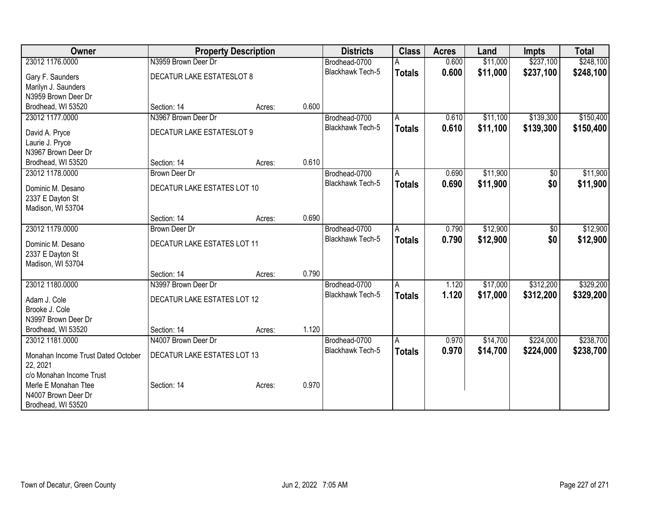| Owner                              |                             | <b>Property Description</b> |       | <b>Districts</b>        | <b>Class</b>  | <b>Acres</b> | Land     | <b>Impts</b>   | <b>Total</b> |
|------------------------------------|-----------------------------|-----------------------------|-------|-------------------------|---------------|--------------|----------|----------------|--------------|
| 23012 1176.0000                    | N3959 Brown Deer Dr         |                             |       | Brodhead-0700           |               | 0.600        | \$11,000 | \$237,100      | \$248,100    |
| Gary F. Saunders                   | DECATUR LAKE ESTATESLOT 8   |                             |       | <b>Blackhawk Tech-5</b> | <b>Totals</b> | 0.600        | \$11,000 | \$237,100      | \$248,100    |
| Marilyn J. Saunders                |                             |                             |       |                         |               |              |          |                |              |
| N3959 Brown Deer Dr                |                             |                             |       |                         |               |              |          |                |              |
| Brodhead, WI 53520                 | Section: 14                 | Acres:                      | 0.600 |                         |               |              |          |                |              |
| 23012 1177.0000                    | N3967 Brown Deer Dr         |                             |       | Brodhead-0700           | A             | 0.610        | \$11,100 | \$139,300      | \$150,400    |
|                                    | DECATUR LAKE ESTATESLOT 9   |                             |       | Blackhawk Tech-5        | <b>Totals</b> | 0.610        | \$11,100 | \$139,300      | \$150,400    |
| David A. Pryce<br>Laurie J. Pryce  |                             |                             |       |                         |               |              |          |                |              |
| N3967 Brown Deer Dr                |                             |                             |       |                         |               |              |          |                |              |
| Brodhead, WI 53520                 | Section: 14                 | Acres:                      | 0.610 |                         |               |              |          |                |              |
| 23012 1178.0000                    | Brown Deer Dr               |                             |       | Brodhead-0700           | A             | 0.690        | \$11,900 | $\sqrt[6]{30}$ | \$11,900     |
|                                    |                             |                             |       | <b>Blackhawk Tech-5</b> | <b>Totals</b> | 0.690        | \$11,900 | \$0            | \$11,900     |
| Dominic M. Desano                  | DECATUR LAKE ESTATES LOT 10 |                             |       |                         |               |              |          |                |              |
| 2337 E Dayton St                   |                             |                             |       |                         |               |              |          |                |              |
| Madison, WI 53704                  |                             |                             |       |                         |               |              |          |                |              |
|                                    | Section: 14                 | Acres:                      | 0.690 |                         |               |              |          |                |              |
| 23012 1179.0000                    | <b>Brown Deer Dr</b>        |                             |       | Brodhead-0700           | А             | 0.790        | \$12,900 | \$0            | \$12,900     |
| Dominic M. Desano                  | DECATUR LAKE ESTATES LOT 11 |                             |       | Blackhawk Tech-5        | <b>Totals</b> | 0.790        | \$12,900 | \$0            | \$12,900     |
| 2337 E Dayton St                   |                             |                             |       |                         |               |              |          |                |              |
| Madison, WI 53704                  |                             |                             |       |                         |               |              |          |                |              |
|                                    | Section: 14                 | Acres:                      | 0.790 |                         |               |              |          |                |              |
| 23012 1180.0000                    | N3997 Brown Deer Dr         |                             |       | Brodhead-0700           | Α             | 1.120        | \$17,000 | \$312,200      | \$329,200    |
| Adam J. Cole                       | DECATUR LAKE ESTATES LOT 12 |                             |       | <b>Blackhawk Tech-5</b> | <b>Totals</b> | 1.120        | \$17,000 | \$312,200      | \$329,200    |
| Brooke J. Cole                     |                             |                             |       |                         |               |              |          |                |              |
| N3997 Brown Deer Dr                |                             |                             |       |                         |               |              |          |                |              |
| Brodhead, WI 53520                 | Section: 14                 | Acres:                      | 1.120 |                         |               |              |          |                |              |
| 23012 1181.0000                    | N4007 Brown Deer Dr         |                             |       | Brodhead-0700           | Α             | 0.970        | \$14,700 | \$224,000      | \$238,700    |
|                                    |                             |                             |       | <b>Blackhawk Tech-5</b> | <b>Totals</b> | 0.970        | \$14,700 | \$224,000      | \$238,700    |
| Monahan Income Trust Dated October | DECATUR LAKE ESTATES LOT 13 |                             |       |                         |               |              |          |                |              |
| 22, 2021                           |                             |                             |       |                         |               |              |          |                |              |
| c/o Monahan Income Trust           |                             |                             |       |                         |               |              |          |                |              |
| Merle E Monahan Ttee               | Section: 14                 | Acres:                      | 0.970 |                         |               |              |          |                |              |
| N4007 Brown Deer Dr                |                             |                             |       |                         |               |              |          |                |              |
| Brodhead, WI 53520                 |                             |                             |       |                         |               |              |          |                |              |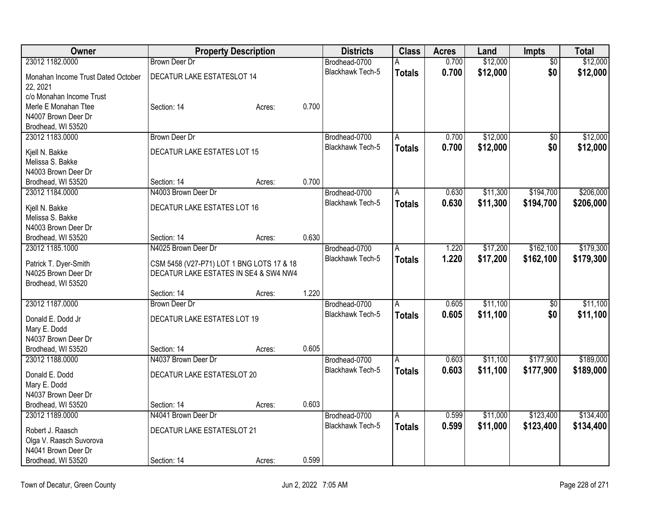| Owner                              |                                           | <b>Property Description</b> |       | <b>Districts</b>        | <b>Class</b>   | <b>Acres</b> | Land     | Impts           | <b>Total</b> |
|------------------------------------|-------------------------------------------|-----------------------------|-------|-------------------------|----------------|--------------|----------|-----------------|--------------|
| 23012 1182.0000                    | <b>Brown Deer Dr</b>                      |                             |       | Brodhead-0700           |                | 0.700        | \$12,000 | $\overline{50}$ | \$12,000     |
| Monahan Income Trust Dated October | <b>DECATUR LAKE ESTATESLOT 14</b>         |                             |       | <b>Blackhawk Tech-5</b> | <b>Totals</b>  | 0.700        | \$12,000 | \$0             | \$12,000     |
| 22, 2021                           |                                           |                             |       |                         |                |              |          |                 |              |
| c/o Monahan Income Trust           |                                           |                             |       |                         |                |              |          |                 |              |
| Merle E Monahan Ttee               | Section: 14                               | Acres:                      | 0.700 |                         |                |              |          |                 |              |
| N4007 Brown Deer Dr                |                                           |                             |       |                         |                |              |          |                 |              |
| Brodhead, WI 53520                 |                                           |                             |       |                         |                |              |          |                 |              |
| 23012 1183.0000                    | <b>Brown Deer Dr</b>                      |                             |       | Brodhead-0700           | A              | 0.700        | \$12,000 | $\overline{50}$ | \$12,000     |
| Kjell N. Bakke                     | DECATUR LAKE ESTATES LOT 15               |                             |       | Blackhawk Tech-5        | <b>Totals</b>  | 0.700        | \$12,000 | \$0             | \$12,000     |
| Melissa S. Bakke                   |                                           |                             |       |                         |                |              |          |                 |              |
| N4003 Brown Deer Dr                |                                           |                             |       |                         |                |              |          |                 |              |
| Brodhead, WI 53520                 | Section: 14                               | Acres:                      | 0.700 |                         |                |              |          |                 |              |
| 23012 1184.0000                    | N4003 Brown Deer Dr                       |                             |       | Brodhead-0700           | Α              | 0.630        | \$11,300 | \$194,700       | \$206,000    |
|                                    |                                           |                             |       | <b>Blackhawk Tech-5</b> | <b>Totals</b>  | 0.630        | \$11,300 | \$194,700       | \$206,000    |
| Kjell N. Bakke                     | DECATUR LAKE ESTATES LOT 16               |                             |       |                         |                |              |          |                 |              |
| Melissa S. Bakke                   |                                           |                             |       |                         |                |              |          |                 |              |
| N4003 Brown Deer Dr                |                                           |                             |       |                         |                |              |          |                 |              |
| Brodhead, WI 53520                 | Section: 14                               | Acres:                      | 0.630 |                         |                |              |          |                 |              |
| 23012 1185.1000                    | N4025 Brown Deer Dr                       |                             |       | Brodhead-0700           | A              | 1.220        | \$17,200 | \$162,100       | \$179,300    |
| Patrick T. Dyer-Smith              | CSM 5458 (V27-P71) LOT 1 BNG LOTS 17 & 18 |                             |       | Blackhawk Tech-5        | <b>Totals</b>  | 1.220        | \$17,200 | \$162,100       | \$179,300    |
| N4025 Brown Deer Dr                | DECATUR LAKE ESTATES IN SE4 & SW4 NW4     |                             |       |                         |                |              |          |                 |              |
| Brodhead, WI 53520                 |                                           |                             |       |                         |                |              |          |                 |              |
|                                    | Section: 14                               | Acres:                      | 1.220 |                         |                |              |          |                 |              |
| 23012 1187.0000                    | <b>Brown Deer Dr</b>                      |                             |       | Brodhead-0700           | $\overline{A}$ | 0.605        | \$11,100 | $\overline{50}$ | \$11,100     |
| Donald E. Dodd Jr                  | DECATUR LAKE ESTATES LOT 19               |                             |       | Blackhawk Tech-5        | <b>Totals</b>  | 0.605        | \$11,100 | \$0             | \$11,100     |
| Mary E. Dodd                       |                                           |                             |       |                         |                |              |          |                 |              |
| N4037 Brown Deer Dr                |                                           |                             |       |                         |                |              |          |                 |              |
| Brodhead, WI 53520                 | Section: 14                               | Acres:                      | 0.605 |                         |                |              |          |                 |              |
| 23012 1188.0000                    | N4037 Brown Deer Dr                       |                             |       | Brodhead-0700           | A              | 0.603        | \$11,100 | \$177,900       | \$189,000    |
|                                    |                                           |                             |       | <b>Blackhawk Tech-5</b> | <b>Totals</b>  | 0.603        | \$11,100 | \$177,900       | \$189,000    |
| Donald E. Dodd                     | DECATUR LAKE ESTATESLOT 20                |                             |       |                         |                |              |          |                 |              |
| Mary E. Dodd                       |                                           |                             |       |                         |                |              |          |                 |              |
| N4037 Brown Deer Dr                |                                           |                             |       |                         |                |              |          |                 |              |
| Brodhead, WI 53520                 | Section: 14                               | Acres:                      | 0.603 |                         |                |              |          |                 |              |
| 23012 1189.0000                    | N4041 Brown Deer Dr                       |                             |       | Brodhead-0700           | $\overline{A}$ | 0.599        | \$11,000 | \$123,400       | \$134,400    |
| Robert J. Raasch                   | DECATUR LAKE ESTATESLOT 21                |                             |       | <b>Blackhawk Tech-5</b> | <b>Totals</b>  | 0.599        | \$11,000 | \$123,400       | \$134,400    |
| Olga V. Raasch Suvorova            |                                           |                             |       |                         |                |              |          |                 |              |
| N4041 Brown Deer Dr                |                                           |                             |       |                         |                |              |          |                 |              |
| Brodhead, WI 53520                 | Section: 14                               | Acres:                      | 0.599 |                         |                |              |          |                 |              |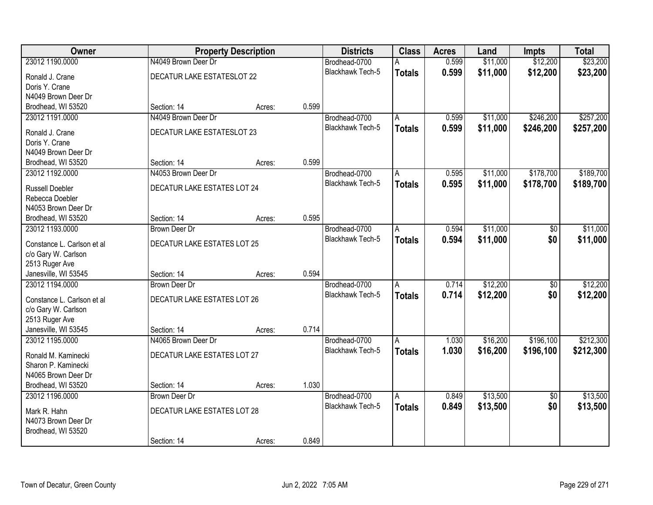| Owner                      |                             | <b>Property Description</b> |       | <b>Districts</b>        | <b>Class</b>            | <b>Acres</b> | Land     | <b>Impts</b>    | <b>Total</b> |
|----------------------------|-----------------------------|-----------------------------|-------|-------------------------|-------------------------|--------------|----------|-----------------|--------------|
| 23012 1190.0000            | N4049 Brown Deer Dr         |                             |       | Brodhead-0700           | А                       | 0.599        | \$11,000 | \$12,200        | \$23,200     |
| Ronald J. Crane            | DECATUR LAKE ESTATESLOT 22  |                             |       | Blackhawk Tech-5        | <b>Totals</b>           | 0.599        | \$11,000 | \$12,200        | \$23,200     |
| Doris Y. Crane             |                             |                             |       |                         |                         |              |          |                 |              |
| N4049 Brown Deer Dr        |                             |                             |       |                         |                         |              |          |                 |              |
| Brodhead, WI 53520         | Section: 14                 | Acres:                      | 0.599 |                         |                         |              |          |                 |              |
| 23012 1191.0000            | N4049 Brown Deer Dr         |                             |       | Brodhead-0700           | Α                       | 0.599        | \$11,000 | \$246,200       | \$257,200    |
| Ronald J. Crane            | DECATUR LAKE ESTATESLOT 23  |                             |       | <b>Blackhawk Tech-5</b> | <b>Totals</b>           | 0.599        | \$11,000 | \$246,200       | \$257,200    |
| Doris Y. Crane             |                             |                             |       |                         |                         |              |          |                 |              |
| N4049 Brown Deer Dr        |                             |                             |       |                         |                         |              |          |                 |              |
| Brodhead, WI 53520         | Section: 14                 | Acres:                      | 0.599 |                         |                         |              |          |                 |              |
| 23012 1192.0000            | N4053 Brown Deer Dr         |                             |       | Brodhead-0700           | A                       | 0.595        | \$11,000 | \$178,700       | \$189,700    |
|                            |                             |                             |       | <b>Blackhawk Tech-5</b> | <b>Totals</b>           | 0.595        | \$11,000 | \$178,700       | \$189,700    |
| <b>Russell Doebler</b>     | DECATUR LAKE ESTATES LOT 24 |                             |       |                         |                         |              |          |                 |              |
| Rebecca Doebler            |                             |                             |       |                         |                         |              |          |                 |              |
| N4053 Brown Deer Dr        |                             |                             |       |                         |                         |              |          |                 |              |
| Brodhead, WI 53520         | Section: 14                 | Acres:                      | 0.595 |                         |                         |              |          |                 |              |
| 23012 1193.0000            | <b>Brown Deer Dr</b>        |                             |       | Brodhead-0700           | Α                       | 0.594        | \$11,000 | \$0             | \$11,000     |
| Constance L. Carlson et al | DECATUR LAKE ESTATES LOT 25 |                             |       | <b>Blackhawk Tech-5</b> | <b>Totals</b>           | 0.594        | \$11,000 | \$0             | \$11,000     |
| c/o Gary W. Carlson        |                             |                             |       |                         |                         |              |          |                 |              |
| 2513 Ruger Ave             |                             |                             |       |                         |                         |              |          |                 |              |
| Janesville, WI 53545       | Section: 14                 | Acres:                      | 0.594 |                         |                         |              |          |                 |              |
| 23012 1194.0000            | <b>Brown Deer Dr</b>        |                             |       | Brodhead-0700           | $\overline{A}$          | 0.714        | \$12,200 | $\overline{60}$ | \$12,200     |
| Constance L. Carlson et al | DECATUR LAKE ESTATES LOT 26 |                             |       | <b>Blackhawk Tech-5</b> | <b>Totals</b>           | 0.714        | \$12,200 | \$0             | \$12,200     |
| c/o Gary W. Carlson        |                             |                             |       |                         |                         |              |          |                 |              |
| 2513 Ruger Ave             |                             |                             |       |                         |                         |              |          |                 |              |
| Janesville, WI 53545       | Section: 14                 | Acres:                      | 0.714 |                         |                         |              |          |                 |              |
| 23012 1195.0000            | N4065 Brown Deer Dr         |                             |       | Brodhead-0700           | A                       | 1.030        | \$16,200 | \$196,100       | \$212,300    |
|                            |                             |                             |       | Blackhawk Tech-5        | <b>Totals</b>           | 1.030        | \$16,200 | \$196,100       | \$212,300    |
| Ronald M. Kaminecki        | DECATUR LAKE ESTATES LOT 27 |                             |       |                         |                         |              |          |                 |              |
| Sharon P. Kaminecki        |                             |                             |       |                         |                         |              |          |                 |              |
| N4065 Brown Deer Dr        |                             |                             |       |                         |                         |              |          |                 |              |
| Brodhead, WI 53520         | Section: 14                 | Acres:                      | 1.030 |                         |                         |              |          |                 |              |
| 23012 1196.0000            | <b>Brown Deer Dr</b>        |                             |       | Brodhead-0700           | $\overline{\mathsf{A}}$ | 0.849        | \$13,500 | $\overline{50}$ | \$13,500     |
| Mark R. Hahn               | DECATUR LAKE ESTATES LOT 28 |                             |       | <b>Blackhawk Tech-5</b> | <b>Totals</b>           | 0.849        | \$13,500 | \$0             | \$13,500     |
| N4073 Brown Deer Dr        |                             |                             |       |                         |                         |              |          |                 |              |
| Brodhead, WI 53520         |                             |                             |       |                         |                         |              |          |                 |              |
|                            | Section: 14                 | Acres:                      | 0.849 |                         |                         |              |          |                 |              |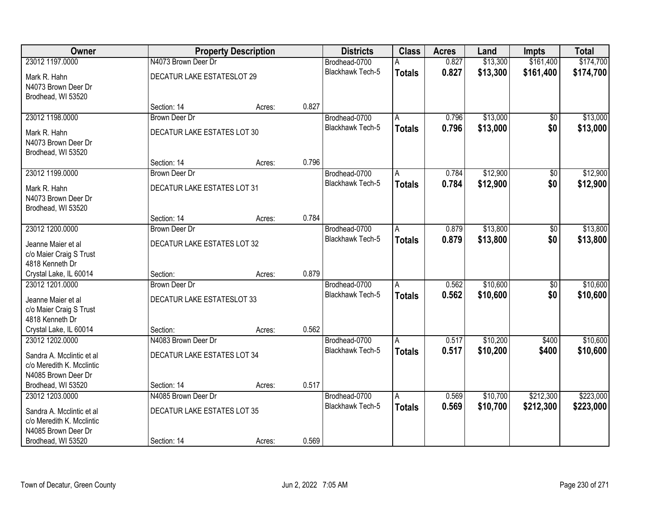| Owner                                                                                               |                                                    | <b>Property Description</b> |       | <b>Districts</b>                  | <b>Class</b>       | <b>Acres</b>   | Land                 | Impts                  | <b>Total</b>         |
|-----------------------------------------------------------------------------------------------------|----------------------------------------------------|-----------------------------|-------|-----------------------------------|--------------------|----------------|----------------------|------------------------|----------------------|
| 23012 1197.0000                                                                                     | N4073 Brown Deer Dr                                |                             |       | Brodhead-0700                     | A                  | 0.827          | \$13,300             | \$161,400              | \$174,700            |
| Mark R. Hahn<br>N4073 Brown Deer Dr<br>Brodhead, WI 53520                                           | DECATUR LAKE ESTATESLOT 29                         |                             |       | <b>Blackhawk Tech-5</b>           | <b>Totals</b>      | 0.827          | \$13,300             | \$161,400              | \$174,700            |
|                                                                                                     | Section: 14                                        | Acres:                      | 0.827 |                                   |                    |                |                      |                        |                      |
| 23012 1198.0000                                                                                     | <b>Brown Deer Dr</b>                               |                             |       | Brodhead-0700                     | A                  | 0.796          | \$13,000             | $\overline{50}$        | \$13,000             |
| Mark R. Hahn<br>N4073 Brown Deer Dr<br>Brodhead, WI 53520                                           | DECATUR LAKE ESTATES LOT 30                        |                             |       | Blackhawk Tech-5                  | <b>Totals</b>      | 0.796          | \$13,000             | \$0                    | \$13,000             |
|                                                                                                     | Section: 14                                        | Acres:                      | 0.796 |                                   |                    |                |                      |                        |                      |
| 23012 1199.0000                                                                                     | <b>Brown Deer Dr</b>                               |                             |       | Brodhead-0700                     | A                  | 0.784          | \$12,900             | $\overline{50}$        | \$12,900             |
| Mark R. Hahn<br>N4073 Brown Deer Dr<br>Brodhead, WI 53520                                           | DECATUR LAKE ESTATES LOT 31                        |                             |       | Blackhawk Tech-5                  | <b>Totals</b>      | 0.784          | \$12,900             | \$0                    | \$12,900             |
|                                                                                                     | Section: 14                                        | Acres:                      | 0.784 |                                   |                    |                |                      |                        |                      |
| 23012 1200.0000                                                                                     | <b>Brown Deer Dr</b>                               |                             |       | Brodhead-0700                     | A                  | 0.879          | \$13,800             | $\overline{50}$        | \$13,800             |
| Jeanne Maier et al<br>c/o Maier Craig S Trust<br>4818 Kenneth Dr                                    | <b>DECATUR LAKE ESTATES LOT 32</b>                 |                             |       | Blackhawk Tech-5                  | <b>Totals</b>      | 0.879          | \$13,800             | \$0                    | \$13,800             |
| Crystal Lake, IL 60014                                                                              | Section:                                           | Acres:                      | 0.879 |                                   |                    |                |                      |                        |                      |
| 23012 1201.0000<br>Jeanne Maier et al<br>c/o Maier Craig S Trust<br>4818 Kenneth Dr                 | <b>Brown Deer Dr</b><br>DECATUR LAKE ESTATESLOT 33 |                             |       | Brodhead-0700<br>Blackhawk Tech-5 | A<br><b>Totals</b> | 0.562<br>0.562 | \$10,600<br>\$10,600 | $\overline{60}$<br>\$0 | \$10,600<br>\$10,600 |
| Crystal Lake, IL 60014                                                                              | Section:                                           | Acres:                      | 0.562 |                                   |                    |                |                      |                        |                      |
| 23012 1202.0000                                                                                     | N4083 Brown Deer Dr                                |                             |       | Brodhead-0700                     | A                  | 0.517          | \$10,200             | \$400                  | \$10,600             |
| Sandra A. Mcclintic et al<br>c/o Meredith K. Mcclintic<br>N4085 Brown Deer Dr                       | DECATUR LAKE ESTATES LOT 34                        |                             |       | <b>Blackhawk Tech-5</b>           | <b>Totals</b>      | 0.517          | \$10,200             | \$400                  | \$10,600             |
| Brodhead, WI 53520                                                                                  | Section: 14                                        | Acres:                      | 0.517 |                                   |                    |                |                      |                        |                      |
| 23012 1203.0000                                                                                     | N4085 Brown Deer Dr                                |                             |       | Brodhead-0700                     | $\overline{A}$     | 0.569          | \$10,700             | \$212,300              | \$223,000            |
| Sandra A. Mcclintic et al<br>c/o Meredith K. Mcclintic<br>N4085 Brown Deer Dr<br>Brodhead, WI 53520 | DECATUR LAKE ESTATES LOT 35<br>Section: 14         | Acres:                      | 0.569 | <b>Blackhawk Tech-5</b>           | <b>Totals</b>      | 0.569          | \$10,700             | \$212,300              | \$223,000            |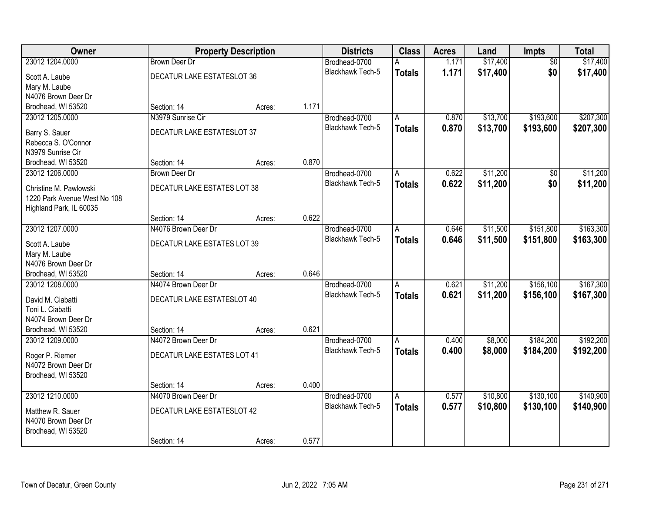| Owner                                                  |                                    | <b>Property Description</b> |       | <b>Districts</b>        | <b>Class</b>   | <b>Acres</b> | Land     | <b>Impts</b>    | <b>Total</b> |
|--------------------------------------------------------|------------------------------------|-----------------------------|-------|-------------------------|----------------|--------------|----------|-----------------|--------------|
| 23012 1204.0000                                        | <b>Brown Deer Dr</b>               |                             |       | Brodhead-0700           | A              | 1.171        | \$17,400 | $\overline{50}$ | \$17,400     |
| Scott A. Laube                                         | DECATUR LAKE ESTATESLOT 36         |                             |       | <b>Blackhawk Tech-5</b> | <b>Totals</b>  | 1.171        | \$17,400 | \$0             | \$17,400     |
| Mary M. Laube                                          |                                    |                             |       |                         |                |              |          |                 |              |
| N4076 Brown Deer Dr                                    |                                    |                             |       |                         |                |              |          |                 |              |
| Brodhead, WI 53520                                     | Section: 14                        | Acres:                      | 1.171 |                         |                |              |          |                 |              |
| 23012 1205.0000                                        | N3979 Sunrise Cir                  |                             |       | Brodhead-0700           | A              | 0.870        | \$13,700 | \$193,600       | \$207,300    |
| Barry S. Sauer                                         | DECATUR LAKE ESTATESLOT 37         |                             |       | Blackhawk Tech-5        | <b>Totals</b>  | 0.870        | \$13,700 | \$193,600       | \$207,300    |
| Rebecca S. O'Connor                                    |                                    |                             |       |                         |                |              |          |                 |              |
| N3979 Sunrise Cir                                      |                                    |                             |       |                         |                |              |          |                 |              |
| Brodhead, WI 53520                                     | Section: 14                        | Acres:                      | 0.870 |                         |                |              |          |                 |              |
| 23012 1206.0000                                        | <b>Brown Deer Dr</b>               |                             |       | Brodhead-0700           | A              | 0.622        | \$11,200 | $\overline{50}$ | \$11,200     |
|                                                        |                                    |                             |       | Blackhawk Tech-5        | <b>Totals</b>  | 0.622        | \$11,200 | \$0             | \$11,200     |
| Christine M. Pawlowski<br>1220 Park Avenue West No 108 | DECATUR LAKE ESTATES LOT 38        |                             |       |                         |                |              |          |                 |              |
| Highland Park, IL 60035                                |                                    |                             |       |                         |                |              |          |                 |              |
|                                                        | Section: 14                        | Acres:                      | 0.622 |                         |                |              |          |                 |              |
| 23012 1207.0000                                        | N4076 Brown Deer Dr                |                             |       | Brodhead-0700           | A              | 0.646        | \$11,500 | \$151,800       | \$163,300    |
|                                                        |                                    |                             |       | <b>Blackhawk Tech-5</b> | <b>Totals</b>  | 0.646        | \$11,500 | \$151,800       | \$163,300    |
| Scott A. Laube                                         | <b>DECATUR LAKE ESTATES LOT 39</b> |                             |       |                         |                |              |          |                 |              |
| Mary M. Laube                                          |                                    |                             |       |                         |                |              |          |                 |              |
| N4076 Brown Deer Dr<br>Brodhead, WI 53520              | Section: 14                        |                             | 0.646 |                         |                |              |          |                 |              |
| 23012 1208.0000                                        | N4074 Brown Deer Dr                | Acres:                      |       | Brodhead-0700           | A              | 0.621        | \$11,200 | \$156,100       | \$167,300    |
|                                                        |                                    |                             |       | <b>Blackhawk Tech-5</b> | <b>Totals</b>  | 0.621        | \$11,200 | \$156,100       | \$167,300    |
| David M. Ciabatti                                      | DECATUR LAKE ESTATESLOT 40         |                             |       |                         |                |              |          |                 |              |
| Toni L. Ciabatti                                       |                                    |                             |       |                         |                |              |          |                 |              |
| N4074 Brown Deer Dr                                    |                                    |                             |       |                         |                |              |          |                 |              |
| Brodhead, WI 53520                                     | Section: 14                        | Acres:                      | 0.621 |                         |                |              |          |                 |              |
| 23012 1209.0000                                        | N4072 Brown Deer Dr                |                             |       | Brodhead-0700           | A              | 0.400        | \$8,000  | \$184,200       | \$192,200    |
| Roger P. Riemer                                        | DECATUR LAKE ESTATES LOT 41        |                             |       | <b>Blackhawk Tech-5</b> | <b>Totals</b>  | 0.400        | \$8,000  | \$184,200       | \$192,200    |
| N4072 Brown Deer Dr                                    |                                    |                             |       |                         |                |              |          |                 |              |
| Brodhead, WI 53520                                     |                                    |                             |       |                         |                |              |          |                 |              |
|                                                        | Section: 14                        | Acres:                      | 0.400 |                         |                |              |          |                 |              |
| 23012 1210.0000                                        | N4070 Brown Deer Dr                |                             |       | Brodhead-0700           | $\overline{A}$ | 0.577        | \$10,800 | \$130,100       | \$140,900    |
| Matthew R. Sauer                                       | DECATUR LAKE ESTATESLOT 42         |                             |       | <b>Blackhawk Tech-5</b> | <b>Totals</b>  | 0.577        | \$10,800 | \$130,100       | \$140,900    |
| N4070 Brown Deer Dr                                    |                                    |                             |       |                         |                |              |          |                 |              |
| Brodhead, WI 53520                                     |                                    |                             |       |                         |                |              |          |                 |              |
|                                                        | Section: 14                        | Acres:                      | 0.577 |                         |                |              |          |                 |              |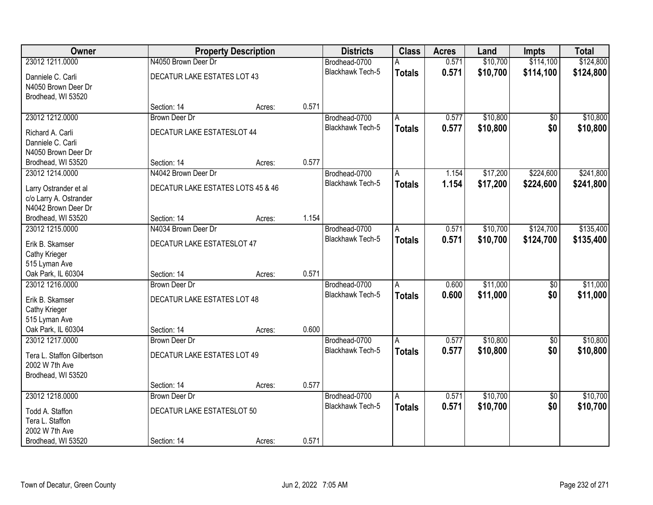| Owner                                                                  |                                     | <b>Property Description</b> |       | <b>Districts</b>                         | <b>Class</b>            | <b>Acres</b>   | Land                 | Impts                  | <b>Total</b>         |
|------------------------------------------------------------------------|-------------------------------------|-----------------------------|-------|------------------------------------------|-------------------------|----------------|----------------------|------------------------|----------------------|
| 23012 1211.0000                                                        | N4050 Brown Deer Dr                 |                             |       | Brodhead-0700                            | А                       | 0.571          | \$10,700             | \$114,100              | \$124,800            |
| Danniele C. Carli<br>N4050 Brown Deer Dr<br>Brodhead, WI 53520         | DECATUR LAKE ESTATES LOT 43         |                             |       | <b>Blackhawk Tech-5</b>                  | <b>Totals</b>           | 0.571          | \$10,700             | \$114,100              | \$124,800            |
|                                                                        | Section: 14                         | Acres:                      | 0.571 |                                          |                         |                |                      |                        |                      |
| 23012 1212.0000                                                        | <b>Brown Deer Dr</b>                |                             |       | Brodhead-0700                            | A                       | 0.577          | \$10,800             | $\overline{50}$        | \$10,800             |
| Richard A. Carli<br>Danniele C. Carli<br>N4050 Brown Deer Dr           | <b>DECATUR LAKE ESTATESLOT 44</b>   |                             |       | <b>Blackhawk Tech-5</b>                  | <b>Totals</b>           | 0.577          | \$10,800             | \$0                    | \$10,800             |
| Brodhead, WI 53520                                                     | Section: 14                         | Acres:                      | 0.577 |                                          |                         |                |                      |                        |                      |
| 23012 1214.0000                                                        | N4042 Brown Deer Dr                 |                             |       | Brodhead-0700                            | A                       | 1.154          | \$17,200             | \$224,600              | \$241,800            |
| Larry Ostrander et al<br>c/o Larry A. Ostrander<br>N4042 Brown Deer Dr | DECATUR LAKE ESTATES LOTS 45 & 46   |                             |       | Blackhawk Tech-5                         | <b>Totals</b>           | 1.154          | \$17,200             | \$224,600              | \$241,800            |
| Brodhead, WI 53520                                                     | Section: 14                         | Acres:                      | 1.154 |                                          |                         |                |                      |                        |                      |
| 23012 1215.0000                                                        | N4034 Brown Deer Dr                 |                             |       | Brodhead-0700                            | A                       | 0.571          | \$10,700             | \$124,700              | \$135,400            |
| Erik B. Skamser<br>Cathy Krieger<br>515 Lyman Ave                      | DECATUR LAKE ESTATESLOT 47          |                             |       | <b>Blackhawk Tech-5</b>                  | <b>Totals</b>           | 0.571          | \$10,700             | \$124,700              | \$135,400            |
| Oak Park, IL 60304                                                     | Section: 14                         | Acres:                      | 0.571 |                                          |                         |                |                      |                        |                      |
| 23012 1216,0000                                                        | <b>Brown Deer Dr</b>                |                             |       | Brodhead-0700<br><b>Blackhawk Tech-5</b> | A<br><b>Totals</b>      | 0.600<br>0.600 | \$11,000<br>\$11,000 | $\overline{60}$<br>\$0 | \$11,000<br>\$11,000 |
| Erik B. Skamser<br>Cathy Krieger<br>515 Lyman Ave                      | DECATUR LAKE ESTATES LOT 48         |                             | 0.600 |                                          |                         |                |                      |                        |                      |
| Oak Park, IL 60304<br>23012 1217.0000                                  | Section: 14<br><b>Brown Deer Dr</b> | Acres:                      |       | Brodhead-0700                            | A                       | 0.577          | \$10,800             | $\sqrt{6}$             | \$10,800             |
| Tera L. Staffon Gilbertson<br>2002 W 7th Ave<br>Brodhead, WI 53520     | DECATUR LAKE ESTATES LOT 49         |                             |       | <b>Blackhawk Tech-5</b>                  | <b>Totals</b>           | 0.577          | \$10,800             | \$0                    | \$10,800             |
|                                                                        | Section: 14                         | Acres:                      | 0.577 |                                          |                         |                |                      |                        |                      |
| 23012 1218.0000                                                        | <b>Brown Deer Dr</b>                |                             |       | Brodhead-0700                            | $\overline{\mathsf{A}}$ | 0.571          | \$10,700             | $\overline{50}$        | \$10,700             |
| Todd A. Staffon<br>Tera L. Staffon<br>2002 W 7th Ave                   | DECATUR LAKE ESTATESLOT 50          |                             |       | <b>Blackhawk Tech-5</b>                  | <b>Totals</b>           | 0.571          | \$10,700             | \$0                    | \$10,700             |
| Brodhead, WI 53520                                                     | Section: 14                         | Acres:                      | 0.571 |                                          |                         |                |                      |                        |                      |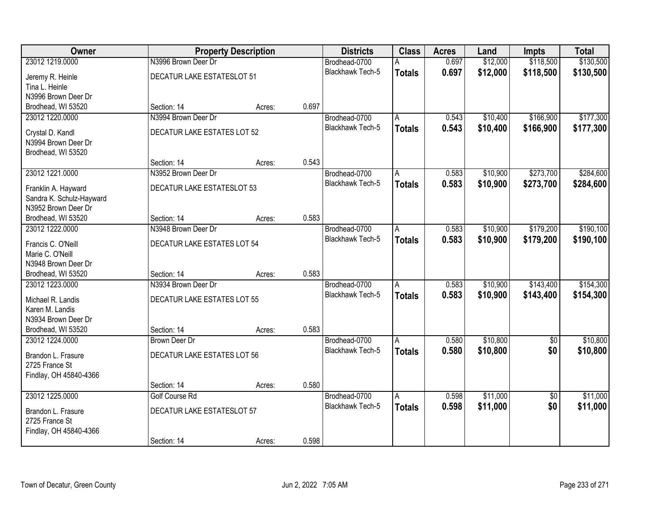| 23012 1219.0000<br>N3996 Brown Deer Dr<br>\$118,500<br>\$130,500<br>0.697<br>\$12,000<br>Brodhead-0700<br>А<br>0.697<br><b>Blackhawk Tech-5</b><br>\$12,000<br>\$118,500<br>\$130,500<br><b>Totals</b><br>DECATUR LAKE ESTATESLOT 51<br>Jeremy R. Heinle<br>Tina L. Heinle<br>N3996 Brown Deer Dr<br>0.697<br>Brodhead, WI 53520<br>Section: 14<br>Acres:<br>\$177,300<br>N3994 Brown Deer Dr<br>\$10,400<br>\$166,900<br>23012 1220.0000<br>Brodhead-0700<br>0.543<br>A<br>0.543<br><b>Blackhawk Tech-5</b><br>\$10,400<br>\$166,900<br>\$177,300<br><b>Totals</b><br>DECATUR LAKE ESTATES LOT 52<br>Crystal D. Kandl<br>N3994 Brown Deer Dr<br>Brodhead, WI 53520<br>Section: 14<br>0.543<br>Acres:<br>23012 1221.0000<br>\$10,900<br>\$273,700<br>\$284,600<br>N3952 Brown Deer Dr<br>Brodhead-0700<br>0.583<br>A<br>Blackhawk Tech-5<br>0.583<br>\$10,900<br>\$273,700<br>\$284,600<br><b>Totals</b><br>DECATUR LAKE ESTATESLOT 53<br>Franklin A. Hayward<br>Sandra K. Schulz-Hayward<br>N3952 Brown Deer Dr<br>0.583<br>Section: 14<br>Brodhead, WI 53520<br>Acres:<br>\$190,100<br>N3948 Brown Deer Dr<br>\$10,900<br>\$179,200<br>23012 1222.0000<br>Brodhead-0700<br>0.583<br>A<br><b>Blackhawk Tech-5</b><br>0.583<br>\$10,900<br>\$179,200<br>\$190,100<br><b>Totals</b><br>DECATUR LAKE ESTATES LOT 54<br>Francis C. O'Neill<br>Marie C. O'Neill<br>N3948 Brown Deer Dr<br>0.583<br>Brodhead, WI 53520<br>Section: 14<br>Acres:<br>N3934 Brown Deer Dr<br>0.583<br>\$10,900<br>\$143,400<br>\$154,300<br>23012 1223.0000<br>Brodhead-0700<br>A<br><b>Blackhawk Tech-5</b><br>0.583<br>\$10,900<br>\$143,400<br>\$154,300<br><b>Totals</b><br>DECATUR LAKE ESTATES LOT 55<br>Michael R. Landis<br>Karen M. Landis<br>N3934 Brown Deer Dr<br>0.583<br>Brodhead, WI 53520<br>Section: 14<br>Acres:<br>\$10,800<br>23012 1224.0000<br>0.580<br>\$10,800<br><b>Brown Deer Dr</b><br>Brodhead-0700<br>$\sqrt{6}$<br>A<br><b>Blackhawk Tech-5</b><br>0.580<br>\$10,800<br>\$0<br>\$10,800<br><b>Totals</b><br>DECATUR LAKE ESTATES LOT 56<br>Brandon L. Frasure<br>2725 France St<br>Findlay, OH 45840-4366<br>0.580<br>Section: 14<br>Acres:<br>23012 1225.0000<br>\$11,000<br>\$11,000<br>Golf Course Rd<br>0.598<br>$\overline{50}$<br>Brodhead-0700<br>$\overline{\mathsf{A}}$<br>0.598<br>\$11,000<br>\$0<br><b>Blackhawk Tech-5</b><br>\$11,000<br><b>Totals</b><br>DECATUR LAKE ESTATESLOT 57<br>Brandon L. Frasure<br>2725 France St | Owner                  | <b>Property Description</b> | <b>Districts</b> | <b>Class</b> | <b>Acres</b> | Land | Impts | <b>Total</b> |
|--------------------------------------------------------------------------------------------------------------------------------------------------------------------------------------------------------------------------------------------------------------------------------------------------------------------------------------------------------------------------------------------------------------------------------------------------------------------------------------------------------------------------------------------------------------------------------------------------------------------------------------------------------------------------------------------------------------------------------------------------------------------------------------------------------------------------------------------------------------------------------------------------------------------------------------------------------------------------------------------------------------------------------------------------------------------------------------------------------------------------------------------------------------------------------------------------------------------------------------------------------------------------------------------------------------------------------------------------------------------------------------------------------------------------------------------------------------------------------------------------------------------------------------------------------------------------------------------------------------------------------------------------------------------------------------------------------------------------------------------------------------------------------------------------------------------------------------------------------------------------------------------------------------------------------------------------------------------------------------------------------------------------------------------------------------------------------------------------------------------------------------------------------------------------------------------------------------------------------------------------------------------------------------------------------------------------------------------------------------------------------------------------------------------------------------------------|------------------------|-----------------------------|------------------|--------------|--------------|------|-------|--------------|
|                                                                                                                                                                                                                                                                                                                                                                                                                                                                                                                                                                                                                                                                                                                                                                                                                                                                                                                                                                                                                                                                                                                                                                                                                                                                                                                                                                                                                                                                                                                                                                                                                                                                                                                                                                                                                                                                                                                                                                                                                                                                                                                                                                                                                                                                                                                                                                                                                                                  |                        |                             |                  |              |              |      |       |              |
|                                                                                                                                                                                                                                                                                                                                                                                                                                                                                                                                                                                                                                                                                                                                                                                                                                                                                                                                                                                                                                                                                                                                                                                                                                                                                                                                                                                                                                                                                                                                                                                                                                                                                                                                                                                                                                                                                                                                                                                                                                                                                                                                                                                                                                                                                                                                                                                                                                                  |                        |                             |                  |              |              |      |       |              |
|                                                                                                                                                                                                                                                                                                                                                                                                                                                                                                                                                                                                                                                                                                                                                                                                                                                                                                                                                                                                                                                                                                                                                                                                                                                                                                                                                                                                                                                                                                                                                                                                                                                                                                                                                                                                                                                                                                                                                                                                                                                                                                                                                                                                                                                                                                                                                                                                                                                  |                        |                             |                  |              |              |      |       |              |
|                                                                                                                                                                                                                                                                                                                                                                                                                                                                                                                                                                                                                                                                                                                                                                                                                                                                                                                                                                                                                                                                                                                                                                                                                                                                                                                                                                                                                                                                                                                                                                                                                                                                                                                                                                                                                                                                                                                                                                                                                                                                                                                                                                                                                                                                                                                                                                                                                                                  |                        |                             |                  |              |              |      |       |              |
|                                                                                                                                                                                                                                                                                                                                                                                                                                                                                                                                                                                                                                                                                                                                                                                                                                                                                                                                                                                                                                                                                                                                                                                                                                                                                                                                                                                                                                                                                                                                                                                                                                                                                                                                                                                                                                                                                                                                                                                                                                                                                                                                                                                                                                                                                                                                                                                                                                                  |                        |                             |                  |              |              |      |       |              |
|                                                                                                                                                                                                                                                                                                                                                                                                                                                                                                                                                                                                                                                                                                                                                                                                                                                                                                                                                                                                                                                                                                                                                                                                                                                                                                                                                                                                                                                                                                                                                                                                                                                                                                                                                                                                                                                                                                                                                                                                                                                                                                                                                                                                                                                                                                                                                                                                                                                  |                        |                             |                  |              |              |      |       |              |
|                                                                                                                                                                                                                                                                                                                                                                                                                                                                                                                                                                                                                                                                                                                                                                                                                                                                                                                                                                                                                                                                                                                                                                                                                                                                                                                                                                                                                                                                                                                                                                                                                                                                                                                                                                                                                                                                                                                                                                                                                                                                                                                                                                                                                                                                                                                                                                                                                                                  |                        |                             |                  |              |              |      |       |              |
|                                                                                                                                                                                                                                                                                                                                                                                                                                                                                                                                                                                                                                                                                                                                                                                                                                                                                                                                                                                                                                                                                                                                                                                                                                                                                                                                                                                                                                                                                                                                                                                                                                                                                                                                                                                                                                                                                                                                                                                                                                                                                                                                                                                                                                                                                                                                                                                                                                                  |                        |                             |                  |              |              |      |       |              |
|                                                                                                                                                                                                                                                                                                                                                                                                                                                                                                                                                                                                                                                                                                                                                                                                                                                                                                                                                                                                                                                                                                                                                                                                                                                                                                                                                                                                                                                                                                                                                                                                                                                                                                                                                                                                                                                                                                                                                                                                                                                                                                                                                                                                                                                                                                                                                                                                                                                  |                        |                             |                  |              |              |      |       |              |
|                                                                                                                                                                                                                                                                                                                                                                                                                                                                                                                                                                                                                                                                                                                                                                                                                                                                                                                                                                                                                                                                                                                                                                                                                                                                                                                                                                                                                                                                                                                                                                                                                                                                                                                                                                                                                                                                                                                                                                                                                                                                                                                                                                                                                                                                                                                                                                                                                                                  |                        |                             |                  |              |              |      |       |              |
|                                                                                                                                                                                                                                                                                                                                                                                                                                                                                                                                                                                                                                                                                                                                                                                                                                                                                                                                                                                                                                                                                                                                                                                                                                                                                                                                                                                                                                                                                                                                                                                                                                                                                                                                                                                                                                                                                                                                                                                                                                                                                                                                                                                                                                                                                                                                                                                                                                                  |                        |                             |                  |              |              |      |       |              |
|                                                                                                                                                                                                                                                                                                                                                                                                                                                                                                                                                                                                                                                                                                                                                                                                                                                                                                                                                                                                                                                                                                                                                                                                                                                                                                                                                                                                                                                                                                                                                                                                                                                                                                                                                                                                                                                                                                                                                                                                                                                                                                                                                                                                                                                                                                                                                                                                                                                  |                        |                             |                  |              |              |      |       |              |
|                                                                                                                                                                                                                                                                                                                                                                                                                                                                                                                                                                                                                                                                                                                                                                                                                                                                                                                                                                                                                                                                                                                                                                                                                                                                                                                                                                                                                                                                                                                                                                                                                                                                                                                                                                                                                                                                                                                                                                                                                                                                                                                                                                                                                                                                                                                                                                                                                                                  |                        |                             |                  |              |              |      |       |              |
|                                                                                                                                                                                                                                                                                                                                                                                                                                                                                                                                                                                                                                                                                                                                                                                                                                                                                                                                                                                                                                                                                                                                                                                                                                                                                                                                                                                                                                                                                                                                                                                                                                                                                                                                                                                                                                                                                                                                                                                                                                                                                                                                                                                                                                                                                                                                                                                                                                                  |                        |                             |                  |              |              |      |       |              |
|                                                                                                                                                                                                                                                                                                                                                                                                                                                                                                                                                                                                                                                                                                                                                                                                                                                                                                                                                                                                                                                                                                                                                                                                                                                                                                                                                                                                                                                                                                                                                                                                                                                                                                                                                                                                                                                                                                                                                                                                                                                                                                                                                                                                                                                                                                                                                                                                                                                  |                        |                             |                  |              |              |      |       |              |
|                                                                                                                                                                                                                                                                                                                                                                                                                                                                                                                                                                                                                                                                                                                                                                                                                                                                                                                                                                                                                                                                                                                                                                                                                                                                                                                                                                                                                                                                                                                                                                                                                                                                                                                                                                                                                                                                                                                                                                                                                                                                                                                                                                                                                                                                                                                                                                                                                                                  |                        |                             |                  |              |              |      |       |              |
|                                                                                                                                                                                                                                                                                                                                                                                                                                                                                                                                                                                                                                                                                                                                                                                                                                                                                                                                                                                                                                                                                                                                                                                                                                                                                                                                                                                                                                                                                                                                                                                                                                                                                                                                                                                                                                                                                                                                                                                                                                                                                                                                                                                                                                                                                                                                                                                                                                                  |                        |                             |                  |              |              |      |       |              |
|                                                                                                                                                                                                                                                                                                                                                                                                                                                                                                                                                                                                                                                                                                                                                                                                                                                                                                                                                                                                                                                                                                                                                                                                                                                                                                                                                                                                                                                                                                                                                                                                                                                                                                                                                                                                                                                                                                                                                                                                                                                                                                                                                                                                                                                                                                                                                                                                                                                  |                        |                             |                  |              |              |      |       |              |
|                                                                                                                                                                                                                                                                                                                                                                                                                                                                                                                                                                                                                                                                                                                                                                                                                                                                                                                                                                                                                                                                                                                                                                                                                                                                                                                                                                                                                                                                                                                                                                                                                                                                                                                                                                                                                                                                                                                                                                                                                                                                                                                                                                                                                                                                                                                                                                                                                                                  |                        |                             |                  |              |              |      |       |              |
|                                                                                                                                                                                                                                                                                                                                                                                                                                                                                                                                                                                                                                                                                                                                                                                                                                                                                                                                                                                                                                                                                                                                                                                                                                                                                                                                                                                                                                                                                                                                                                                                                                                                                                                                                                                                                                                                                                                                                                                                                                                                                                                                                                                                                                                                                                                                                                                                                                                  |                        |                             |                  |              |              |      |       |              |
|                                                                                                                                                                                                                                                                                                                                                                                                                                                                                                                                                                                                                                                                                                                                                                                                                                                                                                                                                                                                                                                                                                                                                                                                                                                                                                                                                                                                                                                                                                                                                                                                                                                                                                                                                                                                                                                                                                                                                                                                                                                                                                                                                                                                                                                                                                                                                                                                                                                  |                        |                             |                  |              |              |      |       |              |
|                                                                                                                                                                                                                                                                                                                                                                                                                                                                                                                                                                                                                                                                                                                                                                                                                                                                                                                                                                                                                                                                                                                                                                                                                                                                                                                                                                                                                                                                                                                                                                                                                                                                                                                                                                                                                                                                                                                                                                                                                                                                                                                                                                                                                                                                                                                                                                                                                                                  |                        |                             |                  |              |              |      |       |              |
|                                                                                                                                                                                                                                                                                                                                                                                                                                                                                                                                                                                                                                                                                                                                                                                                                                                                                                                                                                                                                                                                                                                                                                                                                                                                                                                                                                                                                                                                                                                                                                                                                                                                                                                                                                                                                                                                                                                                                                                                                                                                                                                                                                                                                                                                                                                                                                                                                                                  |                        |                             |                  |              |              |      |       |              |
|                                                                                                                                                                                                                                                                                                                                                                                                                                                                                                                                                                                                                                                                                                                                                                                                                                                                                                                                                                                                                                                                                                                                                                                                                                                                                                                                                                                                                                                                                                                                                                                                                                                                                                                                                                                                                                                                                                                                                                                                                                                                                                                                                                                                                                                                                                                                                                                                                                                  |                        |                             |                  |              |              |      |       |              |
|                                                                                                                                                                                                                                                                                                                                                                                                                                                                                                                                                                                                                                                                                                                                                                                                                                                                                                                                                                                                                                                                                                                                                                                                                                                                                                                                                                                                                                                                                                                                                                                                                                                                                                                                                                                                                                                                                                                                                                                                                                                                                                                                                                                                                                                                                                                                                                                                                                                  |                        |                             |                  |              |              |      |       |              |
|                                                                                                                                                                                                                                                                                                                                                                                                                                                                                                                                                                                                                                                                                                                                                                                                                                                                                                                                                                                                                                                                                                                                                                                                                                                                                                                                                                                                                                                                                                                                                                                                                                                                                                                                                                                                                                                                                                                                                                                                                                                                                                                                                                                                                                                                                                                                                                                                                                                  |                        |                             |                  |              |              |      |       |              |
|                                                                                                                                                                                                                                                                                                                                                                                                                                                                                                                                                                                                                                                                                                                                                                                                                                                                                                                                                                                                                                                                                                                                                                                                                                                                                                                                                                                                                                                                                                                                                                                                                                                                                                                                                                                                                                                                                                                                                                                                                                                                                                                                                                                                                                                                                                                                                                                                                                                  |                        |                             |                  |              |              |      |       |              |
|                                                                                                                                                                                                                                                                                                                                                                                                                                                                                                                                                                                                                                                                                                                                                                                                                                                                                                                                                                                                                                                                                                                                                                                                                                                                                                                                                                                                                                                                                                                                                                                                                                                                                                                                                                                                                                                                                                                                                                                                                                                                                                                                                                                                                                                                                                                                                                                                                                                  |                        |                             |                  |              |              |      |       |              |
|                                                                                                                                                                                                                                                                                                                                                                                                                                                                                                                                                                                                                                                                                                                                                                                                                                                                                                                                                                                                                                                                                                                                                                                                                                                                                                                                                                                                                                                                                                                                                                                                                                                                                                                                                                                                                                                                                                                                                                                                                                                                                                                                                                                                                                                                                                                                                                                                                                                  |                        |                             |                  |              |              |      |       |              |
|                                                                                                                                                                                                                                                                                                                                                                                                                                                                                                                                                                                                                                                                                                                                                                                                                                                                                                                                                                                                                                                                                                                                                                                                                                                                                                                                                                                                                                                                                                                                                                                                                                                                                                                                                                                                                                                                                                                                                                                                                                                                                                                                                                                                                                                                                                                                                                                                                                                  |                        |                             |                  |              |              |      |       |              |
|                                                                                                                                                                                                                                                                                                                                                                                                                                                                                                                                                                                                                                                                                                                                                                                                                                                                                                                                                                                                                                                                                                                                                                                                                                                                                                                                                                                                                                                                                                                                                                                                                                                                                                                                                                                                                                                                                                                                                                                                                                                                                                                                                                                                                                                                                                                                                                                                                                                  |                        |                             |                  |              |              |      |       |              |
|                                                                                                                                                                                                                                                                                                                                                                                                                                                                                                                                                                                                                                                                                                                                                                                                                                                                                                                                                                                                                                                                                                                                                                                                                                                                                                                                                                                                                                                                                                                                                                                                                                                                                                                                                                                                                                                                                                                                                                                                                                                                                                                                                                                                                                                                                                                                                                                                                                                  |                        |                             |                  |              |              |      |       |              |
|                                                                                                                                                                                                                                                                                                                                                                                                                                                                                                                                                                                                                                                                                                                                                                                                                                                                                                                                                                                                                                                                                                                                                                                                                                                                                                                                                                                                                                                                                                                                                                                                                                                                                                                                                                                                                                                                                                                                                                                                                                                                                                                                                                                                                                                                                                                                                                                                                                                  |                        |                             |                  |              |              |      |       |              |
|                                                                                                                                                                                                                                                                                                                                                                                                                                                                                                                                                                                                                                                                                                                                                                                                                                                                                                                                                                                                                                                                                                                                                                                                                                                                                                                                                                                                                                                                                                                                                                                                                                                                                                                                                                                                                                                                                                                                                                                                                                                                                                                                                                                                                                                                                                                                                                                                                                                  | Findlay, OH 45840-4366 |                             |                  |              |              |      |       |              |
| 0.598<br>Section: 14<br>Acres:                                                                                                                                                                                                                                                                                                                                                                                                                                                                                                                                                                                                                                                                                                                                                                                                                                                                                                                                                                                                                                                                                                                                                                                                                                                                                                                                                                                                                                                                                                                                                                                                                                                                                                                                                                                                                                                                                                                                                                                                                                                                                                                                                                                                                                                                                                                                                                                                                   |                        |                             |                  |              |              |      |       |              |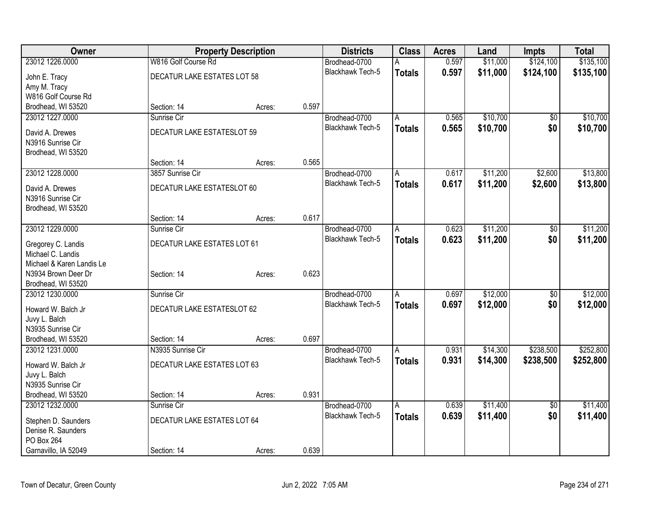| Owner                     |                             | <b>Property Description</b> |       | <b>Districts</b>        | <b>Class</b>  | <b>Acres</b> | Land     | <b>Impts</b>    | <b>Total</b> |
|---------------------------|-----------------------------|-----------------------------|-------|-------------------------|---------------|--------------|----------|-----------------|--------------|
| 23012 1226.0000           | W816 Golf Course Rd         |                             |       | Brodhead-0700           |               | 0.597        | \$11,000 | \$124,100       | \$135,100    |
| John E. Tracy             | DECATUR LAKE ESTATES LOT 58 |                             |       | <b>Blackhawk Tech-5</b> | <b>Totals</b> | 0.597        | \$11,000 | \$124,100       | \$135,100    |
| Amy M. Tracy              |                             |                             |       |                         |               |              |          |                 |              |
| W816 Golf Course Rd       |                             |                             |       |                         |               |              |          |                 |              |
| Brodhead, WI 53520        | Section: 14                 | Acres:                      | 0.597 |                         |               |              |          |                 |              |
| 23012 1227.0000           | Sunrise Cir                 |                             |       | Brodhead-0700           | Α             | 0.565        | \$10,700 | $\overline{50}$ | \$10,700     |
| David A. Drewes           | DECATUR LAKE ESTATESLOT 59  |                             |       | Blackhawk Tech-5        | <b>Totals</b> | 0.565        | \$10,700 | \$0             | \$10,700     |
| N3916 Sunrise Cir         |                             |                             |       |                         |               |              |          |                 |              |
| Brodhead, WI 53520        |                             |                             |       |                         |               |              |          |                 |              |
|                           | Section: 14                 | Acres:                      | 0.565 |                         |               |              |          |                 |              |
| 23012 1228.0000           | 3857 Sunrise Cir            |                             |       | Brodhead-0700           | Α             | 0.617        | \$11,200 | \$2,600         | \$13,800     |
| David A. Drewes           | DECATUR LAKE ESTATESLOT 60  |                             |       | <b>Blackhawk Tech-5</b> | <b>Totals</b> | 0.617        | \$11,200 | \$2,600         | \$13,800     |
| N3916 Sunrise Cir         |                             |                             |       |                         |               |              |          |                 |              |
| Brodhead, WI 53520        |                             |                             |       |                         |               |              |          |                 |              |
|                           | Section: 14                 | Acres:                      | 0.617 |                         |               |              |          |                 |              |
| 23012 1229.0000           | Sunrise Cir                 |                             |       | Brodhead-0700           | A             | 0.623        | \$11,200 | $\overline{50}$ | \$11,200     |
| Gregorey C. Landis        | DECATUR LAKE ESTATES LOT 61 |                             |       | <b>Blackhawk Tech-5</b> | <b>Totals</b> | 0.623        | \$11,200 | \$0             | \$11,200     |
| Michael C. Landis         |                             |                             |       |                         |               |              |          |                 |              |
| Michael & Karen Landis Le |                             |                             |       |                         |               |              |          |                 |              |
| N3934 Brown Deer Dr       | Section: 14                 | Acres:                      | 0.623 |                         |               |              |          |                 |              |
| Brodhead, WI 53520        |                             |                             |       |                         |               |              |          |                 |              |
| 23012 1230.0000           | Sunrise Cir                 |                             |       | Brodhead-0700           | A             | 0.697        | \$12,000 | $\overline{50}$ | \$12,000     |
| Howard W. Balch Jr        | DECATUR LAKE ESTATESLOT 62  |                             |       | <b>Blackhawk Tech-5</b> | <b>Totals</b> | 0.697        | \$12,000 | \$0             | \$12,000     |
| Juvy L. Balch             |                             |                             |       |                         |               |              |          |                 |              |
| N3935 Sunrise Cir         |                             |                             |       |                         |               |              |          |                 |              |
| Brodhead, WI 53520        | Section: 14                 | Acres:                      | 0.697 |                         |               |              |          |                 |              |
| 23012 1231.0000           | N3935 Sunrise Cir           |                             |       | Brodhead-0700           | A             | 0.931        | \$14,300 | \$238,500       | \$252,800    |
| Howard W. Balch Jr        | DECATUR LAKE ESTATES LOT 63 |                             |       | Blackhawk Tech-5        | <b>Totals</b> | 0.931        | \$14,300 | \$238,500       | \$252,800    |
| Juvy L. Balch             |                             |                             |       |                         |               |              |          |                 |              |
| N3935 Sunrise Cir         |                             |                             |       |                         |               |              |          |                 |              |
| Brodhead, WI 53520        | Section: 14                 | Acres:                      | 0.931 |                         |               |              |          |                 |              |
| 23012 1232.0000           | Sunrise Cir                 |                             |       | Brodhead-0700           | A             | 0.639        | \$11,400 | $\overline{50}$ | \$11,400     |
| Stephen D. Saunders       | DECATUR LAKE ESTATES LOT 64 |                             |       | <b>Blackhawk Tech-5</b> | <b>Totals</b> | 0.639        | \$11,400 | \$0             | \$11,400     |
| Denise R. Saunders        |                             |                             |       |                         |               |              |          |                 |              |
| PO Box 264                |                             |                             |       |                         |               |              |          |                 |              |
| Garnavillo, IA 52049      | Section: 14                 | Acres:                      | 0.639 |                         |               |              |          |                 |              |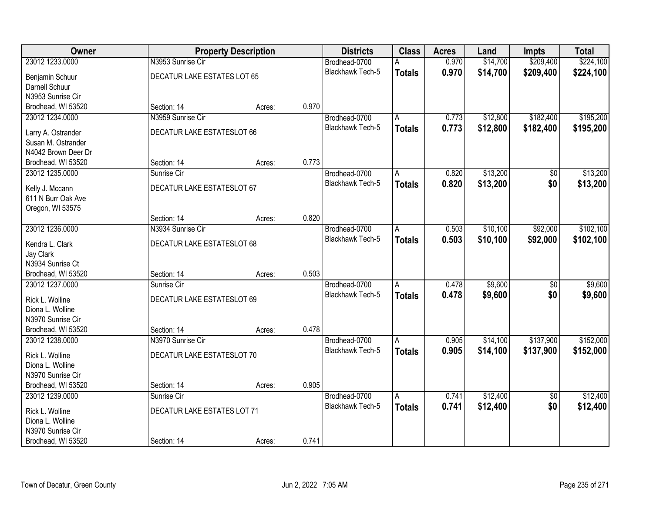| <b>Owner</b>        |                             | <b>Property Description</b> |       | <b>Districts</b>        | <b>Class</b>  | <b>Acres</b> | Land     | <b>Impts</b>    | <b>Total</b> |
|---------------------|-----------------------------|-----------------------------|-------|-------------------------|---------------|--------------|----------|-----------------|--------------|
| 23012 1233.0000     | N3953 Sunrise Cir           |                             |       | Brodhead-0700           | А             | 0.970        | \$14,700 | \$209,400       | \$224,100    |
| Benjamin Schuur     | DECATUR LAKE ESTATES LOT 65 |                             |       | Blackhawk Tech-5        | <b>Totals</b> | 0.970        | \$14,700 | \$209,400       | \$224,100    |
| Darnell Schuur      |                             |                             |       |                         |               |              |          |                 |              |
| N3953 Sunrise Cir   |                             |                             |       |                         |               |              |          |                 |              |
| Brodhead, WI 53520  | Section: 14                 | Acres:                      | 0.970 |                         |               |              |          |                 |              |
| 23012 1234.0000     | N3959 Sunrise Cir           |                             |       | Brodhead-0700           | A             | 0.773        | \$12,800 | \$182,400       | \$195,200    |
| Larry A. Ostrander  | DECATUR LAKE ESTATESLOT 66  |                             |       | <b>Blackhawk Tech-5</b> | <b>Totals</b> | 0.773        | \$12,800 | \$182,400       | \$195,200    |
| Susan M. Ostrander  |                             |                             |       |                         |               |              |          |                 |              |
| N4042 Brown Deer Dr |                             |                             |       |                         |               |              |          |                 |              |
| Brodhead, WI 53520  | Section: 14                 | Acres:                      | 0.773 |                         |               |              |          |                 |              |
| 23012 1235.0000     | Sunrise Cir                 |                             |       | Brodhead-0700           | A             | 0.820        | \$13,200 | \$0             | \$13,200     |
| Kelly J. Mccann     | DECATUR LAKE ESTATESLOT 67  |                             |       | Blackhawk Tech-5        | <b>Totals</b> | 0.820        | \$13,200 | \$0             | \$13,200     |
| 611 N Burr Oak Ave  |                             |                             |       |                         |               |              |          |                 |              |
| Oregon, WI 53575    |                             |                             |       |                         |               |              |          |                 |              |
|                     | Section: 14                 | Acres:                      | 0.820 |                         |               |              |          |                 |              |
| 23012 1236.0000     | N3934 Sunrise Cir           |                             |       | Brodhead-0700           | Α             | 0.503        | \$10,100 | \$92,000        | \$102,100    |
| Kendra L. Clark     | DECATUR LAKE ESTATESLOT 68  |                             |       | <b>Blackhawk Tech-5</b> | <b>Totals</b> | 0.503        | \$10,100 | \$92,000        | \$102,100    |
| Jay Clark           |                             |                             |       |                         |               |              |          |                 |              |
| N3934 Sunrise Ct    |                             |                             |       |                         |               |              |          |                 |              |
| Brodhead, WI 53520  | Section: 14                 | Acres:                      | 0.503 |                         |               |              |          |                 |              |
| 23012 1237.0000     | Sunrise Cir                 |                             |       | Brodhead-0700           | A             | 0.478        | \$9,600  | $\overline{50}$ | \$9,600      |
| Rick L. Wolline     | DECATUR LAKE ESTATESLOT 69  |                             |       | Blackhawk Tech-5        | <b>Totals</b> | 0.478        | \$9,600  | \$0             | \$9,600      |
| Diona L. Wolline    |                             |                             |       |                         |               |              |          |                 |              |
| N3970 Sunrise Cir   |                             |                             |       |                         |               |              |          |                 |              |
| Brodhead, WI 53520  | Section: 14                 | Acres:                      | 0.478 |                         |               |              |          |                 |              |
| 23012 1238.0000     | N3970 Sunrise Cir           |                             |       | Brodhead-0700           | A             | 0.905        | \$14,100 | \$137,900       | \$152,000    |
| Rick L. Wolline     | DECATUR LAKE ESTATESLOT 70  |                             |       | Blackhawk Tech-5        | <b>Totals</b> | 0.905        | \$14,100 | \$137,900       | \$152,000    |
| Diona L. Wolline    |                             |                             |       |                         |               |              |          |                 |              |
| N3970 Sunrise Cir   |                             |                             |       |                         |               |              |          |                 |              |
| Brodhead, WI 53520  | Section: 14                 | Acres:                      | 0.905 |                         |               |              |          |                 |              |
| 23012 1239.0000     | Sunrise Cir                 |                             |       | Brodhead-0700           | A             | 0.741        | \$12,400 | $\overline{50}$ | \$12,400     |
| Rick L. Wolline     | DECATUR LAKE ESTATES LOT 71 |                             |       | Blackhawk Tech-5        | <b>Totals</b> | 0.741        | \$12,400 | \$0             | \$12,400     |
| Diona L. Wolline    |                             |                             |       |                         |               |              |          |                 |              |
| N3970 Sunrise Cir   |                             |                             |       |                         |               |              |          |                 |              |
| Brodhead, WI 53520  | Section: 14                 | Acres:                      | 0.741 |                         |               |              |          |                 |              |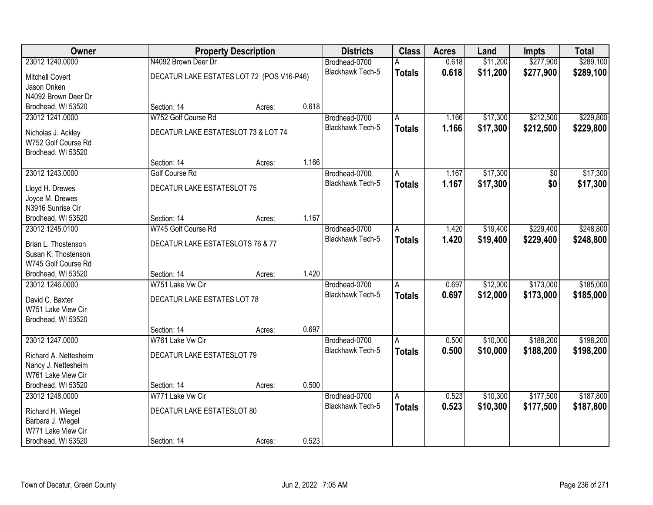| Owner                                     |                                           | <b>Property Description</b> |       | <b>Districts</b>        | <b>Class</b>  | <b>Acres</b> | Land     | <b>Impts</b> | <b>Total</b> |
|-------------------------------------------|-------------------------------------------|-----------------------------|-------|-------------------------|---------------|--------------|----------|--------------|--------------|
| 23012 1240.0000                           | N4092 Brown Deer Dr                       |                             |       | Brodhead-0700           | А             | 0.618        | \$11,200 | \$277,900    | \$289,100    |
| <b>Mitchell Covert</b>                    | DECATUR LAKE ESTATES LOT 72 (POS V16-P46) |                             |       | Blackhawk Tech-5        | <b>Totals</b> | 0.618        | \$11,200 | \$277,900    | \$289,100    |
| Jason Onken                               |                                           |                             |       |                         |               |              |          |              |              |
| N4092 Brown Deer Dr                       |                                           |                             |       |                         |               |              |          |              |              |
| Brodhead, WI 53520                        | Section: 14                               | Acres:                      | 0.618 |                         |               |              |          |              |              |
| 23012 1241.0000                           | W752 Golf Course Rd                       |                             |       | Brodhead-0700           | A             | 1.166        | \$17,300 | \$212,500    | \$229,800    |
| Nicholas J. Ackley                        | DECATUR LAKE ESTATESLOT 73 & LOT 74       |                             |       | <b>Blackhawk Tech-5</b> | <b>Totals</b> | 1.166        | \$17,300 | \$212,500    | \$229,800    |
| W752 Golf Course Rd                       |                                           |                             |       |                         |               |              |          |              |              |
| Brodhead, WI 53520                        |                                           |                             |       |                         |               |              |          |              |              |
|                                           | Section: 14                               | Acres:                      | 1.166 |                         |               |              |          |              |              |
| 23012 1243.0000                           | <b>Golf Course Rd</b>                     |                             |       | Brodhead-0700           | A             | 1.167        | \$17,300 | \$0          | \$17,300     |
| Lloyd H. Drewes                           | DECATUR LAKE ESTATESLOT 75                |                             |       | Blackhawk Tech-5        | <b>Totals</b> | 1.167        | \$17,300 | \$0          | \$17,300     |
| Joyce M. Drewes                           |                                           |                             |       |                         |               |              |          |              |              |
| N3916 Sunrise Cir                         |                                           |                             |       |                         |               |              |          |              |              |
| Brodhead, WI 53520                        | Section: 14                               | Acres:                      | 1.167 |                         |               |              |          |              |              |
| 23012 1245.0100                           | W745 Golf Course Rd                       |                             |       | Brodhead-0700           | A             | 1.420        | \$19,400 | \$229,400    | \$248,800    |
| Brian L. Thostenson                       | DECATUR LAKE ESTATESLOTS 76 & 77          |                             |       | Blackhawk Tech-5        | <b>Totals</b> | 1.420        | \$19,400 | \$229,400    | \$248,800    |
| Susan K. Thostenson                       |                                           |                             |       |                         |               |              |          |              |              |
| W745 Golf Course Rd                       |                                           |                             |       |                         |               |              |          |              |              |
| Brodhead, WI 53520                        | Section: 14                               | Acres:                      | 1.420 |                         |               |              |          |              |              |
| 23012 1246.0000                           | W751 Lake Vw Cir                          |                             |       | Brodhead-0700           | A             | 0.697        | \$12,000 | \$173,000    | \$185,000    |
|                                           |                                           |                             |       | Blackhawk Tech-5        | <b>Totals</b> | 0.697        | \$12,000 | \$173,000    | \$185,000    |
| David C. Baxter<br>W751 Lake View Cir     | DECATUR LAKE ESTATES LOT 78               |                             |       |                         |               |              |          |              |              |
| Brodhead, WI 53520                        |                                           |                             |       |                         |               |              |          |              |              |
|                                           | Section: 14                               | Acres:                      | 0.697 |                         |               |              |          |              |              |
| 23012 1247.0000                           | W761 Lake Vw Cir                          |                             |       | Brodhead-0700           | A             | 0.500        | \$10,000 | \$188,200    | \$198,200    |
|                                           |                                           |                             |       | <b>Blackhawk Tech-5</b> | <b>Totals</b> | 0.500        | \$10,000 | \$188,200    | \$198,200    |
| Richard A. Nettesheim                     | DECATUR LAKE ESTATESLOT 79                |                             |       |                         |               |              |          |              |              |
| Nancy J. Nettesheim<br>W761 Lake View Cir |                                           |                             |       |                         |               |              |          |              |              |
| Brodhead, WI 53520                        | Section: 14                               | Acres:                      | 0.500 |                         |               |              |          |              |              |
| 23012 1248,0000                           | W771 Lake Vw Cir                          |                             |       | Brodhead-0700           | A             | 0.523        | \$10,300 | \$177,500    | \$187,800    |
|                                           |                                           |                             |       | Blackhawk Tech-5        | <b>Totals</b> | 0.523        | \$10,300 | \$177,500    | \$187,800    |
| Richard H. Wiegel                         | DECATUR LAKE ESTATESLOT 80                |                             |       |                         |               |              |          |              |              |
| Barbara J. Wiegel<br>W771 Lake View Cir   |                                           |                             |       |                         |               |              |          |              |              |
| Brodhead, WI 53520                        | Section: 14                               | Acres:                      | 0.523 |                         |               |              |          |              |              |
|                                           |                                           |                             |       |                         |               |              |          |              |              |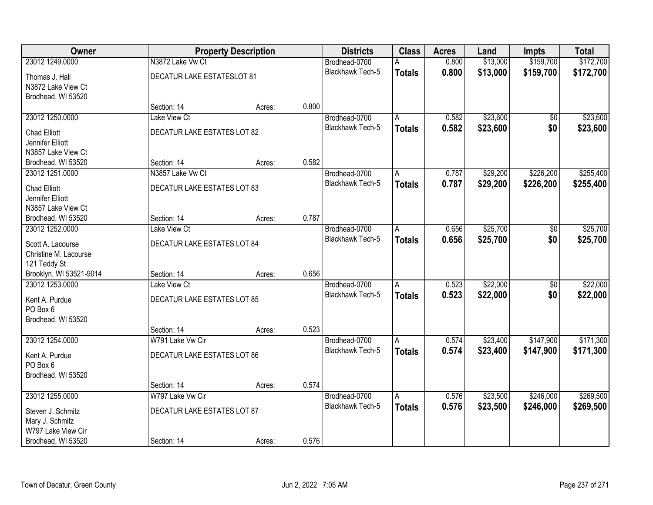| Owner                   |                             | <b>Property Description</b> |       | <b>Districts</b>        | <b>Class</b>   | <b>Acres</b> | Land     | Impts           | <b>Total</b> |
|-------------------------|-----------------------------|-----------------------------|-------|-------------------------|----------------|--------------|----------|-----------------|--------------|
| 23012 1249.0000         | N3872 Lake Vw Ct            |                             |       | Brodhead-0700           | A              | 0.800        | \$13,000 | \$159,700       | \$172,700    |
| Thomas J. Hall          | DECATUR LAKE ESTATESLOT 81  |                             |       | <b>Blackhawk Tech-5</b> | <b>Totals</b>  | 0.800        | \$13,000 | \$159,700       | \$172,700    |
| N3872 Lake View Ct      |                             |                             |       |                         |                |              |          |                 |              |
| Brodhead, WI 53520      |                             |                             |       |                         |                |              |          |                 |              |
|                         | Section: 14                 | Acres:                      | 0.800 |                         |                |              |          |                 |              |
| 23012 1250.0000         | Lake View Ct                |                             |       | Brodhead-0700           | A              | 0.582        | \$23,600 | $\overline{50}$ | \$23,600     |
| <b>Chad Elliott</b>     | DECATUR LAKE ESTATES LOT 82 |                             |       | Blackhawk Tech-5        | <b>Totals</b>  | 0.582        | \$23,600 | \$0             | \$23,600     |
| Jennifer Elliott        |                             |                             |       |                         |                |              |          |                 |              |
| N3857 Lake View Ct      |                             |                             |       |                         |                |              |          |                 |              |
| Brodhead, WI 53520      | Section: 14                 | Acres:                      | 0.582 |                         |                |              |          |                 |              |
| 23012 1251.0000         | N3857 Lake Vw Ct            |                             |       | Brodhead-0700           | A              | 0.787        | \$29,200 | \$226,200       | \$255,400    |
| <b>Chad Elliott</b>     | DECATUR LAKE ESTATES LOT 83 |                             |       | Blackhawk Tech-5        | <b>Totals</b>  | 0.787        | \$29,200 | \$226,200       | \$255,400    |
| Jennifer Elliott        |                             |                             |       |                         |                |              |          |                 |              |
| N3857 Lake View Ct      |                             |                             |       |                         |                |              |          |                 |              |
| Brodhead, WI 53520      | Section: 14                 | Acres:                      | 0.787 |                         |                |              |          |                 |              |
| 23012 1252.0000         | Lake View Ct                |                             |       | Brodhead-0700           | A              | 0.656        | \$25,700 | $\overline{50}$ | \$25,700     |
| Scott A. Lacourse       | DECATUR LAKE ESTATES LOT 84 |                             |       | Blackhawk Tech-5        | <b>Totals</b>  | 0.656        | \$25,700 | \$0             | \$25,700     |
| Christine M. Lacourse   |                             |                             |       |                         |                |              |          |                 |              |
| 121 Teddy St            |                             |                             |       |                         |                |              |          |                 |              |
| Brooklyn, WI 53521-9014 | Section: 14                 | Acres:                      | 0.656 |                         |                |              |          |                 |              |
| 23012 1253,0000         | Lake View Ct                |                             |       | Brodhead-0700           | A              | 0.523        | \$22,000 | $\overline{60}$ | \$22,000     |
| Kent A. Purdue          | DECATUR LAKE ESTATES LOT 85 |                             |       | Blackhawk Tech-5        | <b>Totals</b>  | 0.523        | \$22,000 | \$0             | \$22,000     |
| PO Box 6                |                             |                             |       |                         |                |              |          |                 |              |
| Brodhead, WI 53520      |                             |                             |       |                         |                |              |          |                 |              |
|                         | Section: 14                 | Acres:                      | 0.523 |                         |                |              |          |                 |              |
| 23012 1254.0000         | W791 Lake Vw Cir            |                             |       | Brodhead-0700           | A              | 0.574        | \$23,400 | \$147,900       | \$171,300    |
| Kent A. Purdue          | DECATUR LAKE ESTATES LOT 86 |                             |       | <b>Blackhawk Tech-5</b> | <b>Totals</b>  | 0.574        | \$23,400 | \$147,900       | \$171,300    |
| PO Box 6                |                             |                             |       |                         |                |              |          |                 |              |
| Brodhead, WI 53520      |                             |                             |       |                         |                |              |          |                 |              |
|                         | Section: 14                 | Acres:                      | 0.574 |                         |                |              |          |                 |              |
| 23012 1255.0000         | W797 Lake Vw Cir            |                             |       | Brodhead-0700           | $\overline{A}$ | 0.576        | \$23,500 | \$246,000       | \$269,500    |
| Steven J. Schmitz       | DECATUR LAKE ESTATES LOT 87 |                             |       | <b>Blackhawk Tech-5</b> | <b>Totals</b>  | 0.576        | \$23,500 | \$246,000       | \$269,500    |
| Mary J. Schmitz         |                             |                             |       |                         |                |              |          |                 |              |
| W797 Lake View Cir      |                             |                             |       |                         |                |              |          |                 |              |
| Brodhead, WI 53520      | Section: 14                 | Acres:                      | 0.576 |                         |                |              |          |                 |              |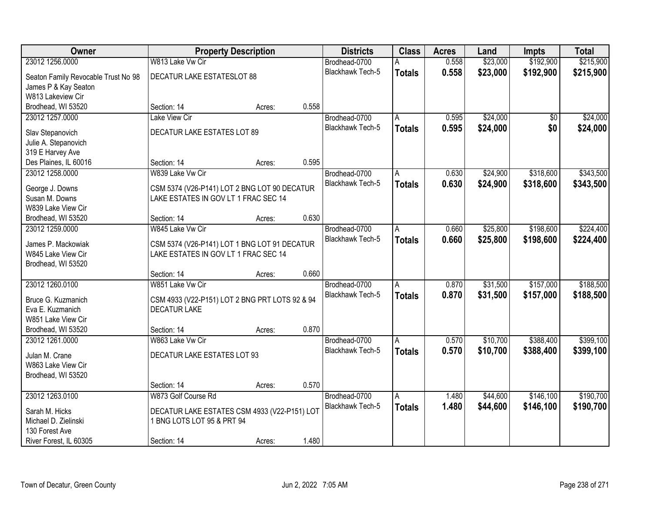| Owner                               |                                                | <b>Property Description</b> |       | <b>Districts</b>        | <b>Class</b>  | <b>Acres</b> | Land     | <b>Impts</b>    | <b>Total</b> |
|-------------------------------------|------------------------------------------------|-----------------------------|-------|-------------------------|---------------|--------------|----------|-----------------|--------------|
| 23012 1256.0000                     | W813 Lake Vw Cir                               |                             |       | Brodhead-0700           | А             | 0.558        | \$23,000 | \$192,900       | \$215,900    |
| Seaton Family Revocable Trust No 98 | DECATUR LAKE ESTATESLOT 88                     |                             |       | Blackhawk Tech-5        | <b>Totals</b> | 0.558        | \$23,000 | \$192,900       | \$215,900    |
| James P & Kay Seaton                |                                                |                             |       |                         |               |              |          |                 |              |
| W813 Lakeview Cir                   |                                                |                             |       |                         |               |              |          |                 |              |
| Brodhead, WI 53520                  | Section: 14                                    | Acres:                      | 0.558 |                         |               |              |          |                 |              |
| 23012 1257.0000                     | <b>Lake View Cir</b>                           |                             |       | Brodhead-0700           | A             | 0.595        | \$24,000 | $\overline{50}$ | \$24,000     |
| Slav Stepanovich                    | DECATUR LAKE ESTATES LOT 89                    |                             |       | <b>Blackhawk Tech-5</b> | <b>Totals</b> | 0.595        | \$24,000 | \$0             | \$24,000     |
| Julie A. Stepanovich                |                                                |                             |       |                         |               |              |          |                 |              |
| 319 E Harvey Ave                    |                                                |                             |       |                         |               |              |          |                 |              |
| Des Plaines, IL 60016               | Section: 14                                    | Acres:                      | 0.595 |                         |               |              |          |                 |              |
| 23012 1258.0000                     | W839 Lake Vw Cir                               |                             |       | Brodhead-0700           | A             | 0.630        | \$24,900 | \$318,600       | \$343,500    |
| George J. Downs                     | CSM 5374 (V26-P141) LOT 2 BNG LOT 90 DECATUR   |                             |       | Blackhawk Tech-5        | <b>Totals</b> | 0.630        | \$24,900 | \$318,600       | \$343,500    |
| Susan M. Downs                      | LAKE ESTATES IN GOV LT 1 FRAC SEC 14           |                             |       |                         |               |              |          |                 |              |
| W839 Lake View Cir                  |                                                |                             |       |                         |               |              |          |                 |              |
| Brodhead, WI 53520                  | Section: 14                                    | Acres:                      | 0.630 |                         |               |              |          |                 |              |
| 23012 1259.0000                     | W845 Lake Vw Cir                               |                             |       | Brodhead-0700           | Α             | 0.660        | \$25,800 | \$198,600       | \$224,400    |
| James P. Mackowiak                  | CSM 5374 (V26-P141) LOT 1 BNG LOT 91 DECATUR   |                             |       | <b>Blackhawk Tech-5</b> | <b>Totals</b> | 0.660        | \$25,800 | \$198,600       | \$224,400    |
| W845 Lake View Cir                  | LAKE ESTATES IN GOV LT 1 FRAC SEC 14           |                             |       |                         |               |              |          |                 |              |
| Brodhead, WI 53520                  |                                                |                             |       |                         |               |              |          |                 |              |
|                                     | Section: 14                                    | Acres:                      | 0.660 |                         |               |              |          |                 |              |
| 23012 1260.0100                     | W851 Lake Vw Cir                               |                             |       | Brodhead-0700           | A             | 0.870        | \$31,500 | \$157,000       | \$188,500    |
| Bruce G. Kuzmanich                  | CSM 4933 (V22-P151) LOT 2 BNG PRT LOTS 92 & 94 |                             |       | Blackhawk Tech-5        | <b>Totals</b> | 0.870        | \$31,500 | \$157,000       | \$188,500    |
| Eva E. Kuzmanich                    | <b>DECATUR LAKE</b>                            |                             |       |                         |               |              |          |                 |              |
| W851 Lake View Cir                  |                                                |                             |       |                         |               |              |          |                 |              |
| Brodhead, WI 53520                  | Section: 14                                    | Acres:                      | 0.870 |                         |               |              |          |                 |              |
| 23012 1261.0000                     | W863 Lake Vw Cir                               |                             |       | Brodhead-0700           | A             | 0.570        | \$10,700 | \$388,400       | \$399,100    |
| Julan M. Crane                      | DECATUR LAKE ESTATES LOT 93                    |                             |       | Blackhawk Tech-5        | <b>Totals</b> | 0.570        | \$10,700 | \$388,400       | \$399,100    |
| W863 Lake View Cir                  |                                                |                             |       |                         |               |              |          |                 |              |
| Brodhead, WI 53520                  |                                                |                             |       |                         |               |              |          |                 |              |
|                                     | Section: 14                                    | Acres:                      | 0.570 |                         |               |              |          |                 |              |
| 23012 1263.0100                     | W873 Golf Course Rd                            |                             |       | Brodhead-0700           | A             | 1.480        | \$44,600 | \$146,100       | \$190,700    |
| Sarah M. Hicks                      | DECATUR LAKE ESTATES CSM 4933 (V22-P151) LOT   |                             |       | Blackhawk Tech-5        | <b>Totals</b> | 1.480        | \$44,600 | \$146,100       | \$190,700    |
| Michael D. Zielinski                | 1 BNG LOTS LOT 95 & PRT 94                     |                             |       |                         |               |              |          |                 |              |
| 130 Forest Ave                      |                                                |                             |       |                         |               |              |          |                 |              |
| River Forest, IL 60305              | Section: 14                                    | Acres:                      | 1.480 |                         |               |              |          |                 |              |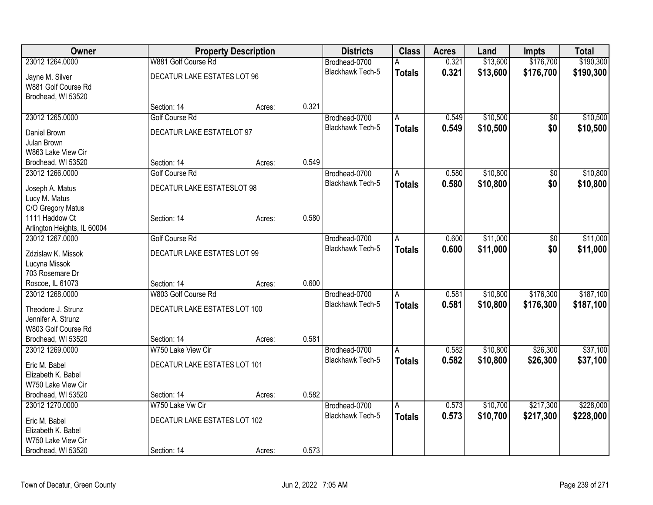| Owner                                          |                              | <b>Property Description</b> |       | <b>Districts</b>        | <b>Class</b>  | <b>Acres</b> | Land     | <b>Impts</b> | <b>Total</b> |
|------------------------------------------------|------------------------------|-----------------------------|-------|-------------------------|---------------|--------------|----------|--------------|--------------|
| 23012 1264.0000                                | W881 Golf Course Rd          |                             |       | Brodhead-0700           |               | 0.321        | \$13,600 | \$176,700    | \$190,300    |
| Jayne M. Silver                                | DECATUR LAKE ESTATES LOT 96  |                             |       | Blackhawk Tech-5        | <b>Totals</b> | 0.321        | \$13,600 | \$176,700    | \$190,300    |
| W881 Golf Course Rd                            |                              |                             |       |                         |               |              |          |              |              |
| Brodhead, WI 53520                             |                              |                             |       |                         |               |              |          |              |              |
|                                                | Section: 14                  | Acres:                      | 0.321 |                         |               |              |          |              |              |
| 23012 1265.0000                                | <b>Golf Course Rd</b>        |                             |       | Brodhead-0700           | A             | 0.549        | \$10,500 | $\sqrt{6}$   | \$10,500     |
| Daniel Brown                                   | DECATUR LAKE ESTATELOT 97    |                             |       | Blackhawk Tech-5        | <b>Totals</b> | 0.549        | \$10,500 | \$0          | \$10,500     |
| Julan Brown                                    |                              |                             |       |                         |               |              |          |              |              |
| W863 Lake View Cir                             |                              |                             |       |                         |               |              |          |              |              |
| Brodhead, WI 53520                             | Section: 14                  | Acres:                      | 0.549 |                         |               |              |          |              |              |
| 23012 1266.0000                                | <b>Golf Course Rd</b>        |                             |       | Brodhead-0700           | A             | 0.580        | \$10,800 | \$0          | \$10,800     |
|                                                |                              |                             |       | <b>Blackhawk Tech-5</b> | <b>Totals</b> | 0.580        | \$10,800 | \$0          | \$10,800     |
| Joseph A. Matus                                | DECATUR LAKE ESTATESLOT 98   |                             |       |                         |               |              |          |              |              |
| Lucy M. Matus                                  |                              |                             |       |                         |               |              |          |              |              |
| C/O Gregory Matus                              |                              |                             |       |                         |               |              |          |              |              |
| 1111 Haddow Ct                                 | Section: 14                  | Acres:                      | 0.580 |                         |               |              |          |              |              |
| Arlington Heights, IL 60004<br>23012 1267.0000 | <b>Golf Course Rd</b>        |                             |       | Brodhead-0700           | A             | 0.600        | \$11,000 | \$0          | \$11,000     |
|                                                |                              |                             |       | <b>Blackhawk Tech-5</b> |               | 0.600        | \$11,000 | \$0          | \$11,000     |
| Zdzislaw K. Missok                             | DECATUR LAKE ESTATES LOT 99  |                             |       |                         | <b>Totals</b> |              |          |              |              |
| Lucyna Missok                                  |                              |                             |       |                         |               |              |          |              |              |
| 703 Rosemare Dr                                |                              |                             |       |                         |               |              |          |              |              |
| Roscoe, IL 61073                               | Section: 14                  | Acres:                      | 0.600 |                         |               |              |          |              |              |
| 23012 1268.0000                                | W803 Golf Course Rd          |                             |       | Brodhead-0700           | A             | 0.581        | \$10,800 | \$176,300    | \$187,100    |
| Theodore J. Strunz                             | DECATUR LAKE ESTATES LOT 100 |                             |       | <b>Blackhawk Tech-5</b> | <b>Totals</b> | 0.581        | \$10,800 | \$176,300    | \$187,100    |
| Jennifer A. Strunz                             |                              |                             |       |                         |               |              |          |              |              |
| W803 Golf Course Rd                            |                              |                             |       |                         |               |              |          |              |              |
| Brodhead, WI 53520                             | Section: 14                  | Acres:                      | 0.581 |                         |               |              |          |              |              |
| 23012 1269.0000                                | W750 Lake View Cir           |                             |       | Brodhead-0700           | A             | 0.582        | \$10,800 | \$26,300     | \$37,100     |
| Eric M. Babel                                  | DECATUR LAKE ESTATES LOT 101 |                             |       | Blackhawk Tech-5        | <b>Totals</b> | 0.582        | \$10,800 | \$26,300     | \$37,100     |
| Elizabeth K. Babel                             |                              |                             |       |                         |               |              |          |              |              |
| W750 Lake View Cir                             |                              |                             |       |                         |               |              |          |              |              |
| Brodhead, WI 53520                             | Section: 14                  | Acres:                      | 0.582 |                         |               |              |          |              |              |
| 23012 1270.0000                                | W750 Lake Vw Cir             |                             |       | Brodhead-0700           | A             | 0.573        | \$10,700 | \$217,300    | \$228,000    |
|                                                |                              |                             |       | <b>Blackhawk Tech-5</b> | <b>Totals</b> | 0.573        | \$10,700 | \$217,300    | \$228,000    |
| Eric M. Babel                                  | DECATUR LAKE ESTATES LOT 102 |                             |       |                         |               |              |          |              |              |
| Elizabeth K. Babel                             |                              |                             |       |                         |               |              |          |              |              |
| W750 Lake View Cir                             |                              |                             | 0.573 |                         |               |              |          |              |              |
| Brodhead, WI 53520                             | Section: 14                  | Acres:                      |       |                         |               |              |          |              |              |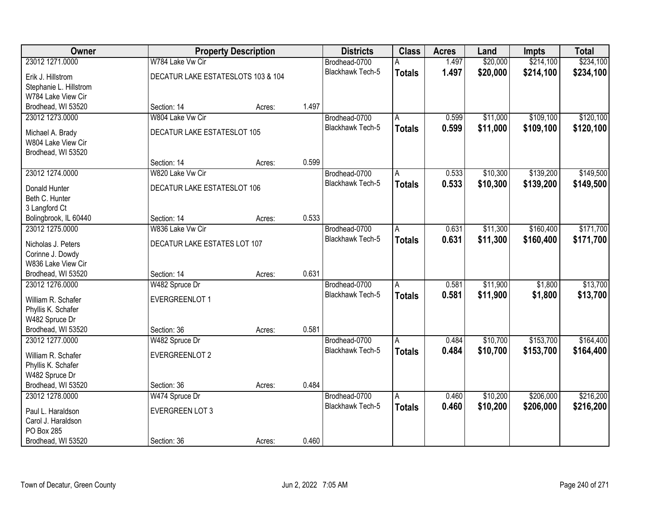| Owner                  |                                    | <b>Property Description</b> |       | <b>Districts</b>        | <b>Class</b>   | <b>Acres</b> | Land     | <b>Impts</b> | <b>Total</b> |
|------------------------|------------------------------------|-----------------------------|-------|-------------------------|----------------|--------------|----------|--------------|--------------|
| 23012 1271.0000        | W784 Lake Vw Cir                   |                             |       | Brodhead-0700           | А              | 1.497        | \$20,000 | \$214,100    | \$234,100    |
| Erik J. Hillstrom      | DECATUR LAKE ESTATESLOTS 103 & 104 |                             |       | Blackhawk Tech-5        | <b>Totals</b>  | 1.497        | \$20,000 | \$214,100    | \$234,100    |
| Stephanie L. Hillstrom |                                    |                             |       |                         |                |              |          |              |              |
| W784 Lake View Cir     |                                    |                             |       |                         |                |              |          |              |              |
| Brodhead, WI 53520     | Section: 14                        | Acres:                      | 1.497 |                         |                |              |          |              |              |
| 23012 1273.0000        | W804 Lake Vw Cir                   |                             |       | Brodhead-0700           | Α              | 0.599        | \$11,000 | \$109,100    | \$120,100    |
| Michael A. Brady       | DECATUR LAKE ESTATESLOT 105        |                             |       | <b>Blackhawk Tech-5</b> | <b>Totals</b>  | 0.599        | \$11,000 | \$109,100    | \$120,100    |
| W804 Lake View Cir     |                                    |                             |       |                         |                |              |          |              |              |
| Brodhead, WI 53520     |                                    |                             |       |                         |                |              |          |              |              |
|                        | Section: 14                        | Acres:                      | 0.599 |                         |                |              |          |              |              |
| 23012 1274.0000        | W820 Lake Vw Cir                   |                             |       | Brodhead-0700           | A              | 0.533        | \$10,300 | \$139,200    | \$149,500    |
| Donald Hunter          | <b>DECATUR LAKE ESTATESLOT 106</b> |                             |       | Blackhawk Tech-5        | <b>Totals</b>  | 0.533        | \$10,300 | \$139,200    | \$149,500    |
| Beth C. Hunter         |                                    |                             |       |                         |                |              |          |              |              |
| 3 Langford Ct          |                                    |                             |       |                         |                |              |          |              |              |
| Bolingbrook, IL 60440  | Section: 14                        | Acres:                      | 0.533 |                         |                |              |          |              |              |
| 23012 1275.0000        | W836 Lake Vw Cir                   |                             |       | Brodhead-0700           | A              | 0.631        | \$11,300 | \$160,400    | \$171,700    |
|                        |                                    |                             |       | <b>Blackhawk Tech-5</b> | <b>Totals</b>  | 0.631        | \$11,300 | \$160,400    | \$171,700    |
| Nicholas J. Peters     | DECATUR LAKE ESTATES LOT 107       |                             |       |                         |                |              |          |              |              |
| Corinne J. Dowdy       |                                    |                             |       |                         |                |              |          |              |              |
| W836 Lake View Cir     |                                    |                             |       |                         |                |              |          |              |              |
| Brodhead, WI 53520     | Section: 14                        | Acres:                      | 0.631 |                         |                |              |          |              |              |
| 23012 1276.0000        | W482 Spruce Dr                     |                             |       | Brodhead-0700           | $\overline{A}$ | 0.581        | \$11,900 | \$1,800      | \$13,700     |
| William R. Schafer     | EVERGREENLOT 1                     |                             |       | <b>Blackhawk Tech-5</b> | <b>Totals</b>  | 0.581        | \$11,900 | \$1,800      | \$13,700     |
| Phyllis K. Schafer     |                                    |                             |       |                         |                |              |          |              |              |
| W482 Spruce Dr         |                                    |                             |       |                         |                |              |          |              |              |
| Brodhead, WI 53520     | Section: 36                        | Acres:                      | 0.581 |                         |                |              |          |              |              |
| 23012 1277.0000        | W482 Spruce Dr                     |                             |       | Brodhead-0700           | A              | 0.484        | \$10,700 | \$153,700    | \$164,400    |
| William R. Schafer     | EVERGREENLOT 2                     |                             |       | Blackhawk Tech-5        | <b>Totals</b>  | 0.484        | \$10,700 | \$153,700    | \$164,400    |
| Phyllis K. Schafer     |                                    |                             |       |                         |                |              |          |              |              |
| W482 Spruce Dr         |                                    |                             |       |                         |                |              |          |              |              |
| Brodhead, WI 53520     | Section: 36                        | Acres:                      | 0.484 |                         |                |              |          |              |              |
| 23012 1278.0000        | W474 Spruce Dr                     |                             |       | Brodhead-0700           | A              | 0.460        | \$10,200 | \$206,000    | \$216,200    |
| Paul L. Haraldson      | <b>EVERGREEN LOT 3</b>             |                             |       | Blackhawk Tech-5        | <b>Totals</b>  | 0.460        | \$10,200 | \$206,000    | \$216,200    |
| Carol J. Haraldson     |                                    |                             |       |                         |                |              |          |              |              |
| PO Box 285             |                                    |                             |       |                         |                |              |          |              |              |
| Brodhead, WI 53520     | Section: 36                        | Acres:                      | 0.460 |                         |                |              |          |              |              |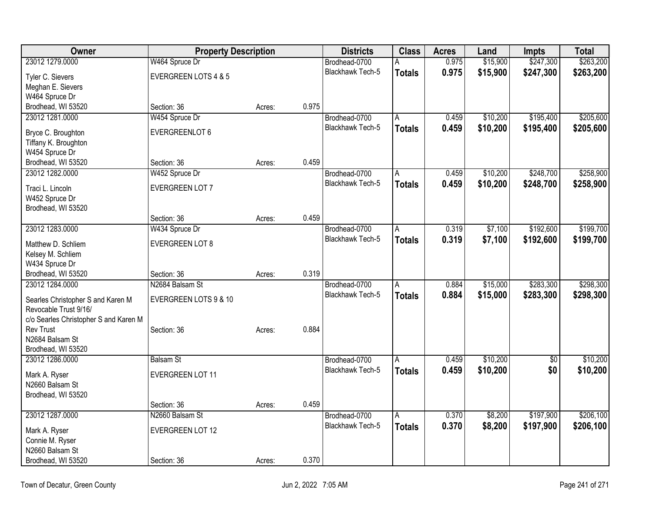| Owner                                                      | <b>Property Description</b> |        |       | <b>Districts</b>        | <b>Class</b>  | <b>Acres</b> | Land     | Impts           | <b>Total</b> |
|------------------------------------------------------------|-----------------------------|--------|-------|-------------------------|---------------|--------------|----------|-----------------|--------------|
| 23012 1279.0000                                            | W464 Spruce Dr              |        |       | Brodhead-0700           | A             | 0.975        | \$15,900 | \$247,300       | \$263,200    |
| Tyler C. Sievers                                           | EVERGREEN LOTS 4 & 5        |        |       | Blackhawk Tech-5        | <b>Totals</b> | 0.975        | \$15,900 | \$247,300       | \$263,200    |
| Meghan E. Sievers                                          |                             |        |       |                         |               |              |          |                 |              |
| W464 Spruce Dr                                             |                             |        |       |                         |               |              |          |                 |              |
| Brodhead, WI 53520                                         | Section: 36                 | Acres: | 0.975 |                         |               |              |          |                 |              |
| 23012 1281.0000                                            | W454 Spruce Dr              |        |       | Brodhead-0700           | A             | 0.459        | \$10,200 | \$195,400       | \$205,600    |
| Bryce C. Broughton                                         | EVERGREENLOT 6              |        |       | <b>Blackhawk Tech-5</b> | <b>Totals</b> | 0.459        | \$10,200 | \$195,400       | \$205,600    |
| Tiffany K. Broughton                                       |                             |        |       |                         |               |              |          |                 |              |
| W454 Spruce Dr                                             |                             |        |       |                         |               |              |          |                 |              |
| Brodhead, WI 53520                                         | Section: 36                 | Acres: | 0.459 |                         |               |              |          |                 |              |
| 23012 1282.0000                                            | W452 Spruce Dr              |        |       | Brodhead-0700           | A             | 0.459        | \$10,200 | \$248,700       | \$258,900    |
| Traci L. Lincoln                                           | EVERGREEN LOT 7             |        |       | Blackhawk Tech-5        | <b>Totals</b> | 0.459        | \$10,200 | \$248,700       | \$258,900    |
| W452 Spruce Dr                                             |                             |        |       |                         |               |              |          |                 |              |
| Brodhead, WI 53520                                         |                             |        |       |                         |               |              |          |                 |              |
|                                                            | Section: 36                 | Acres: | 0.459 |                         |               |              |          |                 |              |
| 23012 1283.0000                                            | W434 Spruce Dr              |        |       | Brodhead-0700           | Α             | 0.319        | \$7,100  | \$192,600       | \$199,700    |
| Matthew D. Schliem                                         | <b>EVERGREEN LOT 8</b>      |        |       | Blackhawk Tech-5        | <b>Totals</b> | 0.319        | \$7,100  | \$192,600       | \$199,700    |
| Kelsey M. Schliem                                          |                             |        |       |                         |               |              |          |                 |              |
| W434 Spruce Dr                                             |                             |        |       |                         |               |              |          |                 |              |
| Brodhead, WI 53520                                         | Section: 36                 | Acres: | 0.319 |                         |               |              |          |                 |              |
| 23012 1284.0000                                            | N2684 Balsam St             |        |       | Brodhead-0700           | A             | 0.884        | \$15,000 | \$283,300       | \$298,300    |
|                                                            |                             |        |       | <b>Blackhawk Tech-5</b> | <b>Totals</b> | 0.884        | \$15,000 | \$283,300       | \$298,300    |
| Searles Christopher S and Karen M<br>Revocable Trust 9/16/ | EVERGREEN LOTS 9 & 10       |        |       |                         |               |              |          |                 |              |
| c/o Searles Christopher S and Karen M                      |                             |        |       |                         |               |              |          |                 |              |
| <b>Rev Trust</b>                                           | Section: 36                 | Acres: | 0.884 |                         |               |              |          |                 |              |
| N2684 Balsam St                                            |                             |        |       |                         |               |              |          |                 |              |
| Brodhead, WI 53520                                         |                             |        |       |                         |               |              |          |                 |              |
| 23012 1286.0000                                            | <b>Balsam St</b>            |        |       | Brodhead-0700           | A             | 0.459        | \$10,200 | $\overline{60}$ | \$10,200     |
| Mark A. Ryser                                              | <b>EVERGREEN LOT 11</b>     |        |       | Blackhawk Tech-5        | <b>Totals</b> | 0.459        | \$10,200 | \$0             | \$10,200     |
| N2660 Balsam St                                            |                             |        |       |                         |               |              |          |                 |              |
| Brodhead, WI 53520                                         |                             |        |       |                         |               |              |          |                 |              |
|                                                            | Section: 36                 | Acres: | 0.459 |                         |               |              |          |                 |              |
| 23012 1287.0000                                            | N2660 Balsam St             |        |       | Brodhead-0700           | A             | 0.370        | \$8,200  | \$197,900       | \$206,100    |
| Mark A. Ryser                                              | <b>EVERGREEN LOT 12</b>     |        |       | <b>Blackhawk Tech-5</b> | <b>Totals</b> | 0.370        | \$8,200  | \$197,900       | \$206,100    |
| Connie M. Ryser                                            |                             |        |       |                         |               |              |          |                 |              |
| N2660 Balsam St                                            |                             |        |       |                         |               |              |          |                 |              |
| Brodhead, WI 53520                                         | Section: 36                 | Acres: | 0.370 |                         |               |              |          |                 |              |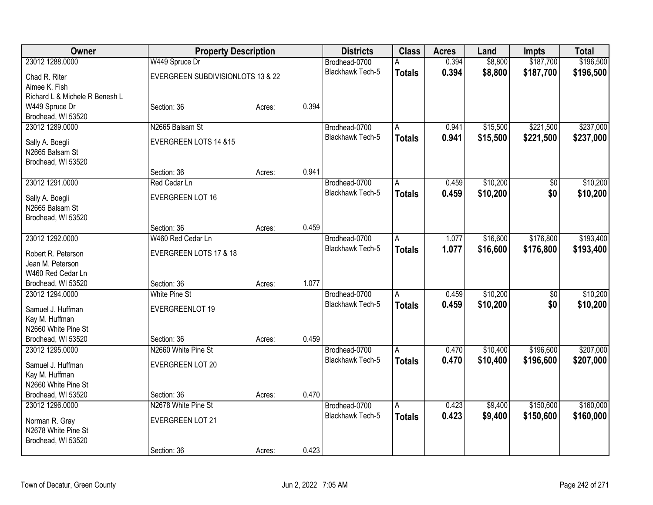| 23012 1288.0000<br>0.394<br>\$8,800<br>\$187,700<br>W449 Spruce Dr<br>Brodhead-0700<br><b>Blackhawk Tech-5</b><br>0.394<br>\$8,800<br>\$187,700<br>\$196,500<br><b>Totals</b><br>EVERGREEN SUBDIVISIONLOTS 13 & 22<br>Chad R. Riter<br>Aimee K. Fish<br>Richard L & Michele R Benesh L<br>0.394<br>W449 Spruce Dr<br>Section: 36<br>Acres:<br>Brodhead, WI 53520<br>\$221,500<br>23012 1289.0000<br>N2665 Balsam St<br>0.941<br>\$15,500<br>Brodhead-0700<br>$\overline{A}$<br>Blackhawk Tech-5<br>\$15,500<br>\$221,500<br>0.941<br><b>Totals</b><br>EVERGREEN LOTS 14 &15<br>Sally A. Boegli<br>N2665 Balsam St<br>Brodhead, WI 53520<br>0.941<br>Section: 36<br>Acres:<br>\$10,200<br>23012 1291.0000<br>Brodhead-0700<br>0.459<br>$\overline{50}$<br>Red Cedar Ln<br>A<br><b>Blackhawk Tech-5</b><br>\$10,200<br>\$0<br>0.459<br><b>Totals</b><br><b>EVERGREEN LOT 16</b><br>Sally A. Boegli<br>N2665 Balsam St<br>Brodhead, WI 53520<br>0.459<br>Section: 36<br>Acres:<br>23012 1292.0000<br>W460 Red Cedar Ln<br>Brodhead-0700<br>\$16,600<br>\$176,800<br>1.077<br>A<br><b>Blackhawk Tech-5</b><br>1.077<br>\$16,600<br>\$176,800<br><b>Totals</b><br>EVERGREEN LOTS 17 & 18<br>Robert R. Peterson<br>Jean M. Peterson<br>W460 Red Cedar Ln<br>1.077<br>Brodhead, WI 53520<br>Section: 36<br>Acres:<br>23012 1294.0000<br><b>White Pine St</b><br>\$10,200<br>$\overline{30}$<br>Brodhead-0700<br>0.459<br>A<br>\$0<br>Blackhawk Tech-5<br>0.459<br>\$10,200<br><b>Totals</b><br>Samuel J. Huffman<br>EVERGREENLOT 19<br>Kay M. Huffman<br>N2660 White Pine St<br>0.459<br>Brodhead, WI 53520<br>Section: 36<br>Acres:<br>\$196,600<br>23012 1295.0000<br>N2660 White Pine St<br>Brodhead-0700<br>0.470<br>\$10,400<br>A<br><b>Blackhawk Tech-5</b><br>0.470<br>\$10,400<br>\$196,600<br><b>Totals</b><br><b>EVERGREEN LOT 20</b><br>Samuel J. Huffman<br>Kay M. Huffman<br>N2660 White Pine St<br>0.470<br>Brodhead, WI 53520<br>Section: 36<br>Acres: | Owner           | <b>Property Description</b> |  | <b>Districts</b> | <b>Class</b> | <b>Acres</b> | Land    | <b>Impts</b> | <b>Total</b> |
|----------------------------------------------------------------------------------------------------------------------------------------------------------------------------------------------------------------------------------------------------------------------------------------------------------------------------------------------------------------------------------------------------------------------------------------------------------------------------------------------------------------------------------------------------------------------------------------------------------------------------------------------------------------------------------------------------------------------------------------------------------------------------------------------------------------------------------------------------------------------------------------------------------------------------------------------------------------------------------------------------------------------------------------------------------------------------------------------------------------------------------------------------------------------------------------------------------------------------------------------------------------------------------------------------------------------------------------------------------------------------------------------------------------------------------------------------------------------------------------------------------------------------------------------------------------------------------------------------------------------------------------------------------------------------------------------------------------------------------------------------------------------------------------------------------------------------------------------------------------------------------------------------------------------------------------------------------------|-----------------|-----------------------------|--|------------------|--------------|--------------|---------|--------------|--------------|
| \$237,000                                                                                                                                                                                                                                                                                                                                                                                                                                                                                                                                                                                                                                                                                                                                                                                                                                                                                                                                                                                                                                                                                                                                                                                                                                                                                                                                                                                                                                                                                                                                                                                                                                                                                                                                                                                                                                                                                                                                                      |                 |                             |  |                  |              |              |         |              | \$196,500    |
|                                                                                                                                                                                                                                                                                                                                                                                                                                                                                                                                                                                                                                                                                                                                                                                                                                                                                                                                                                                                                                                                                                                                                                                                                                                                                                                                                                                                                                                                                                                                                                                                                                                                                                                                                                                                                                                                                                                                                                |                 |                             |  |                  |              |              |         |              |              |
|                                                                                                                                                                                                                                                                                                                                                                                                                                                                                                                                                                                                                                                                                                                                                                                                                                                                                                                                                                                                                                                                                                                                                                                                                                                                                                                                                                                                                                                                                                                                                                                                                                                                                                                                                                                                                                                                                                                                                                |                 |                             |  |                  |              |              |         |              |              |
|                                                                                                                                                                                                                                                                                                                                                                                                                                                                                                                                                                                                                                                                                                                                                                                                                                                                                                                                                                                                                                                                                                                                                                                                                                                                                                                                                                                                                                                                                                                                                                                                                                                                                                                                                                                                                                                                                                                                                                |                 |                             |  |                  |              |              |         |              |              |
|                                                                                                                                                                                                                                                                                                                                                                                                                                                                                                                                                                                                                                                                                                                                                                                                                                                                                                                                                                                                                                                                                                                                                                                                                                                                                                                                                                                                                                                                                                                                                                                                                                                                                                                                                                                                                                                                                                                                                                |                 |                             |  |                  |              |              |         |              |              |
| \$237,000<br>\$10,200<br>\$10,200<br>\$193,400<br>\$193,400<br>\$10,200<br>\$10,200<br>\$207,000<br>\$207,000                                                                                                                                                                                                                                                                                                                                                                                                                                                                                                                                                                                                                                                                                                                                                                                                                                                                                                                                                                                                                                                                                                                                                                                                                                                                                                                                                                                                                                                                                                                                                                                                                                                                                                                                                                                                                                                  |                 |                             |  |                  |              |              |         |              |              |
|                                                                                                                                                                                                                                                                                                                                                                                                                                                                                                                                                                                                                                                                                                                                                                                                                                                                                                                                                                                                                                                                                                                                                                                                                                                                                                                                                                                                                                                                                                                                                                                                                                                                                                                                                                                                                                                                                                                                                                |                 |                             |  |                  |              |              |         |              |              |
|                                                                                                                                                                                                                                                                                                                                                                                                                                                                                                                                                                                                                                                                                                                                                                                                                                                                                                                                                                                                                                                                                                                                                                                                                                                                                                                                                                                                                                                                                                                                                                                                                                                                                                                                                                                                                                                                                                                                                                |                 |                             |  |                  |              |              |         |              |              |
|                                                                                                                                                                                                                                                                                                                                                                                                                                                                                                                                                                                                                                                                                                                                                                                                                                                                                                                                                                                                                                                                                                                                                                                                                                                                                                                                                                                                                                                                                                                                                                                                                                                                                                                                                                                                                                                                                                                                                                |                 |                             |  |                  |              |              |         |              |              |
|                                                                                                                                                                                                                                                                                                                                                                                                                                                                                                                                                                                                                                                                                                                                                                                                                                                                                                                                                                                                                                                                                                                                                                                                                                                                                                                                                                                                                                                                                                                                                                                                                                                                                                                                                                                                                                                                                                                                                                |                 |                             |  |                  |              |              |         |              |              |
|                                                                                                                                                                                                                                                                                                                                                                                                                                                                                                                                                                                                                                                                                                                                                                                                                                                                                                                                                                                                                                                                                                                                                                                                                                                                                                                                                                                                                                                                                                                                                                                                                                                                                                                                                                                                                                                                                                                                                                |                 |                             |  |                  |              |              |         |              |              |
|                                                                                                                                                                                                                                                                                                                                                                                                                                                                                                                                                                                                                                                                                                                                                                                                                                                                                                                                                                                                                                                                                                                                                                                                                                                                                                                                                                                                                                                                                                                                                                                                                                                                                                                                                                                                                                                                                                                                                                |                 |                             |  |                  |              |              |         |              |              |
|                                                                                                                                                                                                                                                                                                                                                                                                                                                                                                                                                                                                                                                                                                                                                                                                                                                                                                                                                                                                                                                                                                                                                                                                                                                                                                                                                                                                                                                                                                                                                                                                                                                                                                                                                                                                                                                                                                                                                                |                 |                             |  |                  |              |              |         |              |              |
|                                                                                                                                                                                                                                                                                                                                                                                                                                                                                                                                                                                                                                                                                                                                                                                                                                                                                                                                                                                                                                                                                                                                                                                                                                                                                                                                                                                                                                                                                                                                                                                                                                                                                                                                                                                                                                                                                                                                                                |                 |                             |  |                  |              |              |         |              |              |
|                                                                                                                                                                                                                                                                                                                                                                                                                                                                                                                                                                                                                                                                                                                                                                                                                                                                                                                                                                                                                                                                                                                                                                                                                                                                                                                                                                                                                                                                                                                                                                                                                                                                                                                                                                                                                                                                                                                                                                |                 |                             |  |                  |              |              |         |              |              |
|                                                                                                                                                                                                                                                                                                                                                                                                                                                                                                                                                                                                                                                                                                                                                                                                                                                                                                                                                                                                                                                                                                                                                                                                                                                                                                                                                                                                                                                                                                                                                                                                                                                                                                                                                                                                                                                                                                                                                                |                 |                             |  |                  |              |              |         |              |              |
|                                                                                                                                                                                                                                                                                                                                                                                                                                                                                                                                                                                                                                                                                                                                                                                                                                                                                                                                                                                                                                                                                                                                                                                                                                                                                                                                                                                                                                                                                                                                                                                                                                                                                                                                                                                                                                                                                                                                                                |                 |                             |  |                  |              |              |         |              |              |
|                                                                                                                                                                                                                                                                                                                                                                                                                                                                                                                                                                                                                                                                                                                                                                                                                                                                                                                                                                                                                                                                                                                                                                                                                                                                                                                                                                                                                                                                                                                                                                                                                                                                                                                                                                                                                                                                                                                                                                |                 |                             |  |                  |              |              |         |              |              |
|                                                                                                                                                                                                                                                                                                                                                                                                                                                                                                                                                                                                                                                                                                                                                                                                                                                                                                                                                                                                                                                                                                                                                                                                                                                                                                                                                                                                                                                                                                                                                                                                                                                                                                                                                                                                                                                                                                                                                                |                 |                             |  |                  |              |              |         |              |              |
|                                                                                                                                                                                                                                                                                                                                                                                                                                                                                                                                                                                                                                                                                                                                                                                                                                                                                                                                                                                                                                                                                                                                                                                                                                                                                                                                                                                                                                                                                                                                                                                                                                                                                                                                                                                                                                                                                                                                                                |                 |                             |  |                  |              |              |         |              |              |
|                                                                                                                                                                                                                                                                                                                                                                                                                                                                                                                                                                                                                                                                                                                                                                                                                                                                                                                                                                                                                                                                                                                                                                                                                                                                                                                                                                                                                                                                                                                                                                                                                                                                                                                                                                                                                                                                                                                                                                |                 |                             |  |                  |              |              |         |              |              |
|                                                                                                                                                                                                                                                                                                                                                                                                                                                                                                                                                                                                                                                                                                                                                                                                                                                                                                                                                                                                                                                                                                                                                                                                                                                                                                                                                                                                                                                                                                                                                                                                                                                                                                                                                                                                                                                                                                                                                                |                 |                             |  |                  |              |              |         |              |              |
|                                                                                                                                                                                                                                                                                                                                                                                                                                                                                                                                                                                                                                                                                                                                                                                                                                                                                                                                                                                                                                                                                                                                                                                                                                                                                                                                                                                                                                                                                                                                                                                                                                                                                                                                                                                                                                                                                                                                                                |                 |                             |  |                  |              |              |         |              |              |
|                                                                                                                                                                                                                                                                                                                                                                                                                                                                                                                                                                                                                                                                                                                                                                                                                                                                                                                                                                                                                                                                                                                                                                                                                                                                                                                                                                                                                                                                                                                                                                                                                                                                                                                                                                                                                                                                                                                                                                |                 |                             |  |                  |              |              |         |              |              |
|                                                                                                                                                                                                                                                                                                                                                                                                                                                                                                                                                                                                                                                                                                                                                                                                                                                                                                                                                                                                                                                                                                                                                                                                                                                                                                                                                                                                                                                                                                                                                                                                                                                                                                                                                                                                                                                                                                                                                                |                 |                             |  |                  |              |              |         |              |              |
|                                                                                                                                                                                                                                                                                                                                                                                                                                                                                                                                                                                                                                                                                                                                                                                                                                                                                                                                                                                                                                                                                                                                                                                                                                                                                                                                                                                                                                                                                                                                                                                                                                                                                                                                                                                                                                                                                                                                                                |                 |                             |  |                  |              |              |         |              |              |
|                                                                                                                                                                                                                                                                                                                                                                                                                                                                                                                                                                                                                                                                                                                                                                                                                                                                                                                                                                                                                                                                                                                                                                                                                                                                                                                                                                                                                                                                                                                                                                                                                                                                                                                                                                                                                                                                                                                                                                |                 |                             |  |                  |              |              |         |              |              |
|                                                                                                                                                                                                                                                                                                                                                                                                                                                                                                                                                                                                                                                                                                                                                                                                                                                                                                                                                                                                                                                                                                                                                                                                                                                                                                                                                                                                                                                                                                                                                                                                                                                                                                                                                                                                                                                                                                                                                                |                 |                             |  |                  |              |              |         |              |              |
|                                                                                                                                                                                                                                                                                                                                                                                                                                                                                                                                                                                                                                                                                                                                                                                                                                                                                                                                                                                                                                                                                                                                                                                                                                                                                                                                                                                                                                                                                                                                                                                                                                                                                                                                                                                                                                                                                                                                                                |                 |                             |  |                  |              |              |         |              |              |
|                                                                                                                                                                                                                                                                                                                                                                                                                                                                                                                                                                                                                                                                                                                                                                                                                                                                                                                                                                                                                                                                                                                                                                                                                                                                                                                                                                                                                                                                                                                                                                                                                                                                                                                                                                                                                                                                                                                                                                |                 |                             |  |                  |              |              |         |              |              |
|                                                                                                                                                                                                                                                                                                                                                                                                                                                                                                                                                                                                                                                                                                                                                                                                                                                                                                                                                                                                                                                                                                                                                                                                                                                                                                                                                                                                                                                                                                                                                                                                                                                                                                                                                                                                                                                                                                                                                                |                 |                             |  |                  |              |              |         |              |              |
|                                                                                                                                                                                                                                                                                                                                                                                                                                                                                                                                                                                                                                                                                                                                                                                                                                                                                                                                                                                                                                                                                                                                                                                                                                                                                                                                                                                                                                                                                                                                                                                                                                                                                                                                                                                                                                                                                                                                                                | 23012 1296.0000 | N2678 White Pine St         |  | Brodhead-0700    | A            | 0.423        | \$9,400 | \$150,600    | \$160,000    |
| 0.423<br>Blackhawk Tech-5<br>\$9,400<br>\$150,600<br>\$160,000<br><b>Totals</b>                                                                                                                                                                                                                                                                                                                                                                                                                                                                                                                                                                                                                                                                                                                                                                                                                                                                                                                                                                                                                                                                                                                                                                                                                                                                                                                                                                                                                                                                                                                                                                                                                                                                                                                                                                                                                                                                                |                 |                             |  |                  |              |              |         |              |              |
| <b>EVERGREEN LOT 21</b><br>Norman R. Gray<br>N2678 White Pine St                                                                                                                                                                                                                                                                                                                                                                                                                                                                                                                                                                                                                                                                                                                                                                                                                                                                                                                                                                                                                                                                                                                                                                                                                                                                                                                                                                                                                                                                                                                                                                                                                                                                                                                                                                                                                                                                                               |                 |                             |  |                  |              |              |         |              |              |
| Brodhead, WI 53520                                                                                                                                                                                                                                                                                                                                                                                                                                                                                                                                                                                                                                                                                                                                                                                                                                                                                                                                                                                                                                                                                                                                                                                                                                                                                                                                                                                                                                                                                                                                                                                                                                                                                                                                                                                                                                                                                                                                             |                 |                             |  |                  |              |              |         |              |              |
| 0.423<br>Section: 36<br>Acres:                                                                                                                                                                                                                                                                                                                                                                                                                                                                                                                                                                                                                                                                                                                                                                                                                                                                                                                                                                                                                                                                                                                                                                                                                                                                                                                                                                                                                                                                                                                                                                                                                                                                                                                                                                                                                                                                                                                                 |                 |                             |  |                  |              |              |         |              |              |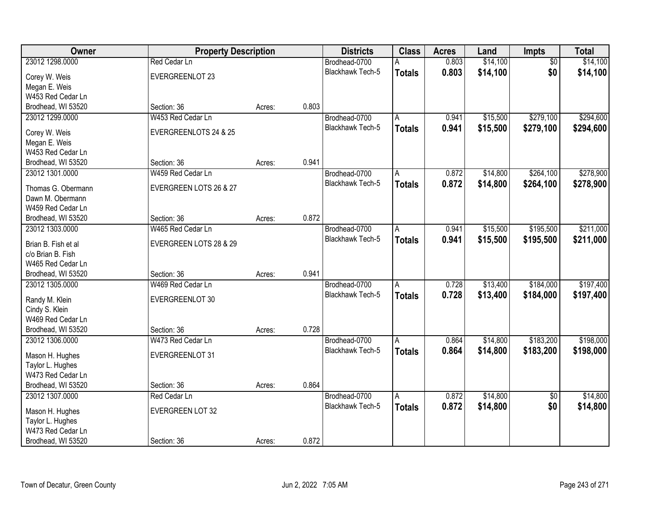| Owner                                 | <b>Property Description</b> |        |       | <b>Districts</b>                  | <b>Class</b>  | <b>Acres</b> | Land     | Impts           | <b>Total</b> |
|---------------------------------------|-----------------------------|--------|-------|-----------------------------------|---------------|--------------|----------|-----------------|--------------|
| 23012 1298.0000                       | Red Cedar Ln                |        |       | Brodhead-0700                     | А             | 0.803        | \$14,100 | $\overline{50}$ | \$14,100     |
| Corey W. Weis                         | EVERGREENLOT 23             |        |       | Blackhawk Tech-5                  | <b>Totals</b> | 0.803        | \$14,100 | \$0             | \$14,100     |
| Megan E. Weis                         |                             |        |       |                                   |               |              |          |                 |              |
| W453 Red Cedar Ln                     |                             |        |       |                                   |               |              |          |                 |              |
| Brodhead, WI 53520                    | Section: 36                 | Acres: | 0.803 |                                   |               |              |          |                 |              |
| 23012 1299.0000                       | W453 Red Cedar Ln           |        |       | Brodhead-0700                     | A             | 0.941        | \$15,500 | \$279,100       | \$294,600    |
|                                       |                             |        |       | <b>Blackhawk Tech-5</b>           | <b>Totals</b> | 0.941        | \$15,500 | \$279,100       | \$294,600    |
| Corey W. Weis                         | EVERGREENLOTS 24 & 25       |        |       |                                   |               |              |          |                 |              |
| Megan E. Weis                         |                             |        |       |                                   |               |              |          |                 |              |
| W453 Red Cedar Ln                     | Section: 36                 |        | 0.941 |                                   |               |              |          |                 |              |
| Brodhead, WI 53520<br>23012 1301.0000 | W459 Red Cedar Ln           | Acres: |       |                                   |               | 0.872        | \$14,800 | \$264,100       | \$278,900    |
|                                       |                             |        |       | Brodhead-0700<br>Blackhawk Tech-5 | A             |              |          |                 |              |
| Thomas G. Obermann                    | EVERGREEN LOTS 26 & 27      |        |       |                                   | <b>Totals</b> | 0.872        | \$14,800 | \$264,100       | \$278,900    |
| Dawn M. Obermann                      |                             |        |       |                                   |               |              |          |                 |              |
| W459 Red Cedar Ln                     |                             |        |       |                                   |               |              |          |                 |              |
| Brodhead, WI 53520                    | Section: 36                 | Acres: | 0.872 |                                   |               |              |          |                 |              |
| 23012 1303.0000                       | W465 Red Cedar Ln           |        |       | Brodhead-0700                     | A             | 0.941        | \$15,500 | \$195,500       | \$211,000    |
| Brian B. Fish et al                   | EVERGREEN LOTS 28 & 29      |        |       | <b>Blackhawk Tech-5</b>           | <b>Totals</b> | 0.941        | \$15,500 | \$195,500       | \$211,000    |
| c/o Brian B. Fish                     |                             |        |       |                                   |               |              |          |                 |              |
| W465 Red Cedar Ln                     |                             |        |       |                                   |               |              |          |                 |              |
| Brodhead, WI 53520                    | Section: 36                 | Acres: | 0.941 |                                   |               |              |          |                 |              |
| 23012 1305.0000                       | W469 Red Cedar Ln           |        |       | Brodhead-0700                     | A             | 0.728        | \$13,400 | \$184,000       | \$197,400    |
|                                       |                             |        |       | Blackhawk Tech-5                  | <b>Totals</b> | 0.728        | \$13,400 | \$184,000       | \$197,400    |
| Randy M. Klein                        | EVERGREENLOT 30             |        |       |                                   |               |              |          |                 |              |
| Cindy S. Klein                        |                             |        |       |                                   |               |              |          |                 |              |
| W469 Red Cedar Ln                     |                             |        |       |                                   |               |              |          |                 |              |
| Brodhead, WI 53520                    | Section: 36                 | Acres: | 0.728 |                                   |               |              |          |                 |              |
| 23012 1306.0000                       | W473 Red Cedar Ln           |        |       | Brodhead-0700                     | A             | 0.864        | \$14,800 | \$183,200       | \$198,000    |
| Mason H. Hughes                       | EVERGREENLOT 31             |        |       | Blackhawk Tech-5                  | <b>Totals</b> | 0.864        | \$14,800 | \$183,200       | \$198,000    |
| Taylor L. Hughes                      |                             |        |       |                                   |               |              |          |                 |              |
| W473 Red Cedar Ln                     |                             |        |       |                                   |               |              |          |                 |              |
| Brodhead, WI 53520                    | Section: 36                 | Acres: | 0.864 |                                   |               |              |          |                 |              |
| 23012 1307.0000                       | Red Cedar Ln                |        |       | Brodhead-0700                     | A             | 0.872        | \$14,800 | $\overline{50}$ | \$14,800     |
|                                       |                             |        |       | Blackhawk Tech-5                  | <b>Totals</b> | 0.872        | \$14,800 | \$0             | \$14,800     |
| Mason H. Hughes                       | <b>EVERGREEN LOT 32</b>     |        |       |                                   |               |              |          |                 |              |
| Taylor L. Hughes                      |                             |        |       |                                   |               |              |          |                 |              |
| W473 Red Cedar Ln                     |                             |        |       |                                   |               |              |          |                 |              |
| Brodhead, WI 53520                    | Section: 36                 | Acres: | 0.872 |                                   |               |              |          |                 |              |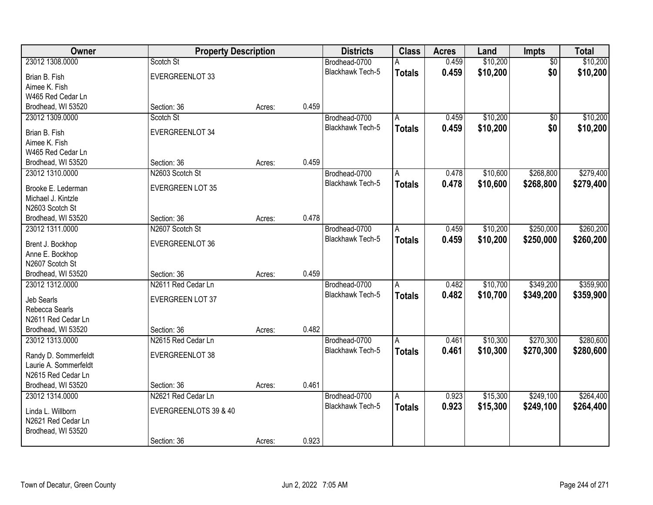| Owner                               | <b>Property Description</b> |        |       | <b>Districts</b>        | <b>Class</b>   | <b>Acres</b> | Land     | Impts           | <b>Total</b> |
|-------------------------------------|-----------------------------|--------|-------|-------------------------|----------------|--------------|----------|-----------------|--------------|
| 23012 1308.0000                     | Scotch St                   |        |       | Brodhead-0700           | A              | 0.459        | \$10,200 | $\overline{50}$ | \$10,200     |
| Brian B. Fish                       | EVERGREENLOT 33             |        |       | Blackhawk Tech-5        | <b>Totals</b>  | 0.459        | \$10,200 | \$0             | \$10,200     |
| Aimee K. Fish                       |                             |        |       |                         |                |              |          |                 |              |
| W465 Red Cedar Ln                   |                             |        |       |                         |                |              |          |                 |              |
| Brodhead, WI 53520                  | Section: 36                 | Acres: | 0.459 |                         |                |              |          |                 |              |
| 23012 1309.0000                     | Scotch St                   |        |       | Brodhead-0700           | Α              | 0.459        | \$10,200 | \$0             | \$10,200     |
|                                     |                             |        |       | <b>Blackhawk Tech-5</b> | <b>Totals</b>  | 0.459        | \$10,200 | \$0             | \$10,200     |
| Brian B. Fish                       | EVERGREENLOT 34             |        |       |                         |                |              |          |                 |              |
| Aimee K. Fish                       |                             |        |       |                         |                |              |          |                 |              |
| W465 Red Cedar Ln                   |                             |        |       |                         |                |              |          |                 |              |
| Brodhead, WI 53520                  | Section: 36                 | Acres: | 0.459 |                         |                |              |          |                 |              |
| 23012 1310.0000                     | N2603 Scotch St             |        |       | Brodhead-0700           | A              | 0.478        | \$10,600 | \$268,800       | \$279,400    |
| Brooke E. Lederman                  | <b>EVERGREEN LOT 35</b>     |        |       | Blackhawk Tech-5        | <b>Totals</b>  | 0.478        | \$10,600 | \$268,800       | \$279,400    |
| Michael J. Kintzle                  |                             |        |       |                         |                |              |          |                 |              |
| N2603 Scotch St                     |                             |        |       |                         |                |              |          |                 |              |
| Brodhead, WI 53520                  | Section: 36                 | Acres: | 0.478 |                         |                |              |          |                 |              |
| 23012 1311.0000                     | N2607 Scotch St             |        |       | Brodhead-0700           | A              | 0.459        | \$10,200 | \$250,000       | \$260,200    |
|                                     | EVERGREENLOT 36             |        |       | <b>Blackhawk Tech-5</b> | <b>Totals</b>  | 0.459        | \$10,200 | \$250,000       | \$260,200    |
| Brent J. Bockhop<br>Anne E. Bockhop |                             |        |       |                         |                |              |          |                 |              |
| N2607 Scotch St                     |                             |        |       |                         |                |              |          |                 |              |
| Brodhead, WI 53520                  | Section: 36                 | Acres: | 0.459 |                         |                |              |          |                 |              |
| 23012 1312.0000                     | N2611 Red Cedar Ln          |        |       | Brodhead-0700           | $\overline{A}$ | 0.482        | \$10,700 | \$349,200       | \$359,900    |
|                                     |                             |        |       | <b>Blackhawk Tech-5</b> | <b>Totals</b>  | 0.482        | \$10,700 | \$349,200       | \$359,900    |
| Jeb Searls                          | EVERGREEN LOT 37            |        |       |                         |                |              |          |                 |              |
| Rebecca Searls                      |                             |        |       |                         |                |              |          |                 |              |
| N2611 Red Cedar Ln                  |                             |        |       |                         |                |              |          |                 |              |
| Brodhead, WI 53520                  | Section: 36                 | Acres: | 0.482 |                         |                |              |          |                 |              |
| 23012 1313.0000                     | N2615 Red Cedar Ln          |        |       | Brodhead-0700           | Α              | 0.461        | \$10,300 | \$270,300       | \$280,600    |
| Randy D. Sommerfeldt                | EVERGREENLOT 38             |        |       | <b>Blackhawk Tech-5</b> | <b>Totals</b>  | 0.461        | \$10,300 | \$270,300       | \$280,600    |
| Laurie A. Sommerfeldt               |                             |        |       |                         |                |              |          |                 |              |
| N2615 Red Cedar Ln                  |                             |        |       |                         |                |              |          |                 |              |
| Brodhead, WI 53520                  | Section: 36                 | Acres: | 0.461 |                         |                |              |          |                 |              |
| 23012 1314.0000                     | N2621 Red Cedar Ln          |        |       | Brodhead-0700           | $\overline{A}$ | 0.923        | \$15,300 | \$249,100       | \$264,400    |
|                                     |                             |        |       | <b>Blackhawk Tech-5</b> | <b>Totals</b>  | 0.923        | \$15,300 | \$249,100       | \$264,400    |
| Linda L. Willborn                   | EVERGREENLOTS 39 & 40       |        |       |                         |                |              |          |                 |              |
| N2621 Red Cedar Ln                  |                             |        |       |                         |                |              |          |                 |              |
| Brodhead, WI 53520                  |                             |        |       |                         |                |              |          |                 |              |
|                                     | Section: 36                 | Acres: | 0.923 |                         |                |              |          |                 |              |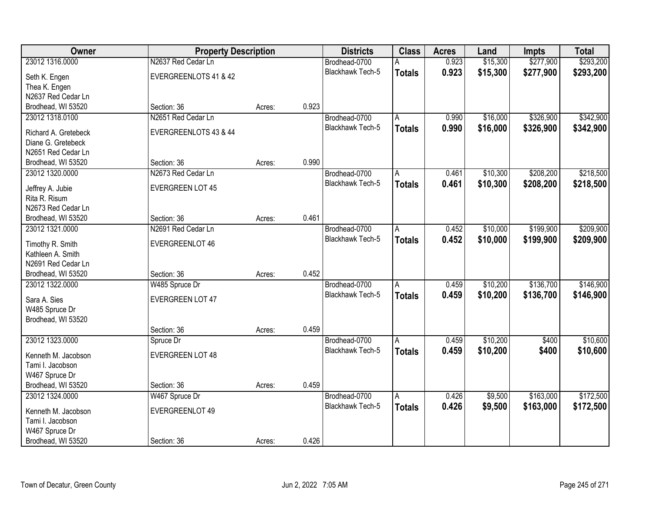| <b>Owner</b>                          | <b>Property Description</b>   |        |       | <b>Districts</b>        | <b>Class</b>  | <b>Acres</b> | Land     | <b>Impts</b> | <b>Total</b> |
|---------------------------------------|-------------------------------|--------|-------|-------------------------|---------------|--------------|----------|--------------|--------------|
| 23012 1316.0000                       | N2637 Red Cedar Ln            |        |       | Brodhead-0700           | А             | 0.923        | \$15,300 | \$277,900    | \$293,200    |
| Seth K. Engen                         | EVERGREENLOTS 41 & 42         |        |       | Blackhawk Tech-5        | <b>Totals</b> | 0.923        | \$15,300 | \$277,900    | \$293,200    |
| Thea K. Engen                         |                               |        |       |                         |               |              |          |              |              |
| N2637 Red Cedar Ln                    |                               |        |       |                         |               |              |          |              |              |
| Brodhead, WI 53520                    | Section: 36                   | Acres: | 0.923 |                         |               |              |          |              |              |
| 23012 1318.0100                       | N2651 Red Cedar Ln            |        |       | Brodhead-0700           | А             | 0.990        | \$16,000 | \$326,900    | \$342,900    |
| Richard A. Gretebeck                  | EVERGREENLOTS 43 & 44         |        |       | <b>Blackhawk Tech-5</b> | <b>Totals</b> | 0.990        | \$16,000 | \$326,900    | \$342,900    |
| Diane G. Gretebeck                    |                               |        |       |                         |               |              |          |              |              |
| N2651 Red Cedar Ln                    |                               |        |       |                         |               |              |          |              |              |
| Brodhead, WI 53520                    | Section: 36                   | Acres: | 0.990 |                         |               |              |          |              |              |
| 23012 1320.0000                       | N2673 Red Cedar Ln            |        |       | Brodhead-0700           | A             | 0.461        | \$10,300 | \$208,200    | \$218,500    |
|                                       |                               |        |       | Blackhawk Tech-5        | <b>Totals</b> | 0.461        | \$10,300 | \$208,200    | \$218,500    |
| Jeffrey A. Jubie<br>Rita R. Risum     | <b>EVERGREEN LOT 45</b>       |        |       |                         |               |              |          |              |              |
| N2673 Red Cedar Ln                    |                               |        |       |                         |               |              |          |              |              |
| Brodhead, WI 53520                    | Section: 36                   | Acres: | 0.461 |                         |               |              |          |              |              |
| 23012 1321.0000                       | N2691 Red Cedar Ln            |        |       | Brodhead-0700           | A             | 0.452        | \$10,000 | \$199,900    | \$209,900    |
|                                       |                               |        |       | <b>Blackhawk Tech-5</b> | <b>Totals</b> | 0.452        | \$10,000 | \$199,900    | \$209,900    |
| Timothy R. Smith                      | EVERGREENLOT 46               |        |       |                         |               |              |          |              |              |
| Kathleen A. Smith                     |                               |        |       |                         |               |              |          |              |              |
| N2691 Red Cedar Ln                    |                               |        | 0.452 |                         |               |              |          |              |              |
| Brodhead, WI 53520<br>23012 1322.0000 | Section: 36<br>W485 Spruce Dr | Acres: |       | Brodhead-0700           | A             | 0.459        | \$10,200 | \$136,700    | \$146,900    |
|                                       |                               |        |       | Blackhawk Tech-5        |               | 0.459        |          |              |              |
| Sara A. Sies                          | <b>EVERGREEN LOT 47</b>       |        |       |                         | <b>Totals</b> |              | \$10,200 | \$136,700    | \$146,900    |
| W485 Spruce Dr                        |                               |        |       |                         |               |              |          |              |              |
| Brodhead, WI 53520                    |                               |        |       |                         |               |              |          |              |              |
|                                       | Section: 36                   | Acres: | 0.459 |                         |               |              |          |              |              |
| 23012 1323.0000                       | Spruce Dr                     |        |       | Brodhead-0700           | A             | 0.459        | \$10,200 | \$400        | \$10,600     |
| Kenneth M. Jacobson                   | <b>EVERGREEN LOT 48</b>       |        |       | <b>Blackhawk Tech-5</b> | <b>Totals</b> | 0.459        | \$10,200 | \$400        | \$10,600     |
| Tami I. Jacobson                      |                               |        |       |                         |               |              |          |              |              |
| W467 Spruce Dr                        |                               |        |       |                         |               |              |          |              |              |
| Brodhead, WI 53520                    | Section: 36                   | Acres: | 0.459 |                         |               |              |          |              |              |
| 23012 1324.0000                       | W467 Spruce Dr                |        |       | Brodhead-0700           | A             | 0.426        | \$9,500  | \$163,000    | \$172,500    |
| Kenneth M. Jacobson                   | EVERGREENLOT 49               |        |       | Blackhawk Tech-5        | <b>Totals</b> | 0.426        | \$9,500  | \$163,000    | \$172,500    |
| Tami I. Jacobson                      |                               |        |       |                         |               |              |          |              |              |
| W467 Spruce Dr                        |                               |        |       |                         |               |              |          |              |              |
| Brodhead, WI 53520                    | Section: 36                   | Acres: | 0.426 |                         |               |              |          |              |              |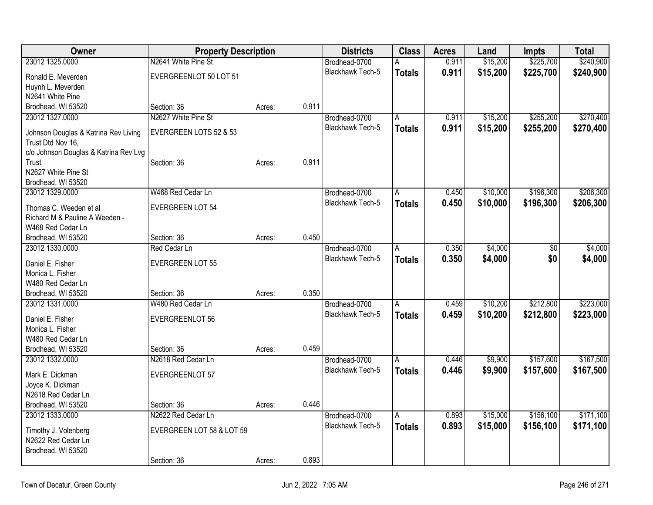| Owner                                                     | <b>Property Description</b> |        |       | <b>Districts</b>        | <b>Class</b>  | <b>Acres</b> | Land     | Impts     | <b>Total</b> |
|-----------------------------------------------------------|-----------------------------|--------|-------|-------------------------|---------------|--------------|----------|-----------|--------------|
| 23012 1325.0000                                           | N2641 White Pine St         |        |       | Brodhead-0700           | А             | 0.911        | \$15,200 | \$225,700 | \$240,900    |
| Ronald E. Meverden                                        | EVERGREENLOT 50 LOT 51      |        |       | <b>Blackhawk Tech-5</b> | <b>Totals</b> | 0.911        | \$15,200 | \$225,700 | \$240,900    |
| Huynh L. Meverden                                         |                             |        |       |                         |               |              |          |           |              |
| N2641 White Pine                                          |                             |        |       |                         |               |              |          |           |              |
| Brodhead, WI 53520                                        | Section: 36                 | Acres: | 0.911 |                         |               |              |          |           |              |
| 23012 1327.0000                                           | N2627 White Pine St         |        |       | Brodhead-0700           | A             | 0.911        | \$15,200 | \$255,200 | \$270,400    |
| Johnson Douglas & Katrina Rev Living<br>Trust Dtd Nov 16, | EVERGREEN LOTS 52 & 53      |        |       | <b>Blackhawk Tech-5</b> | <b>Totals</b> | 0.911        | \$15,200 | \$255,200 | \$270,400    |
| c/o Johnson Douglas & Katrina Rev Lvg                     |                             |        |       |                         |               |              |          |           |              |
| Trust                                                     | Section: 36                 | Acres: | 0.911 |                         |               |              |          |           |              |
| N2627 White Pine St                                       |                             |        |       |                         |               |              |          |           |              |
| Brodhead, WI 53520                                        |                             |        |       |                         |               |              |          |           |              |
| 23012 1329.0000                                           | W468 Red Cedar Ln           |        |       | Brodhead-0700           | A             | 0.450        | \$10,000 | \$196,300 | \$206,300    |
| Thomas C. Weeden et al                                    | <b>EVERGREEN LOT 54</b>     |        |       | Blackhawk Tech-5        | <b>Totals</b> | 0.450        | \$10,000 | \$196,300 | \$206,300    |
| Richard M & Pauline A Weeden -                            |                             |        |       |                         |               |              |          |           |              |
| W468 Red Cedar Ln                                         |                             |        |       |                         |               |              |          |           |              |
| Brodhead, WI 53520                                        | Section: 36                 | Acres: | 0.450 |                         |               |              |          |           |              |
| 23012 1330.0000                                           | Red Cedar Ln                |        |       | Brodhead-0700           | A             | 0.350        | \$4,000  | \$0       | \$4,000      |
| Daniel E. Fisher                                          | <b>EVERGREEN LOT 55</b>     |        |       | <b>Blackhawk Tech-5</b> | <b>Totals</b> | 0.350        | \$4,000  | \$0       | \$4,000      |
| Monica L. Fisher                                          |                             |        |       |                         |               |              |          |           |              |
| W480 Red Cedar Ln                                         |                             |        |       |                         |               |              |          |           |              |
| Brodhead, WI 53520                                        | Section: 36                 | Acres: | 0.350 |                         |               |              |          |           |              |
| 23012 1331.0000                                           | W480 Red Cedar Ln           |        |       | Brodhead-0700           | l A           | 0.459        | \$10,200 | \$212,800 | \$223,000    |
| Daniel E. Fisher                                          | EVERGREENLOT 56             |        |       | Blackhawk Tech-5        | <b>Totals</b> | 0.459        | \$10,200 | \$212,800 | \$223,000    |
| Monica L. Fisher                                          |                             |        |       |                         |               |              |          |           |              |
| W480 Red Cedar Ln                                         |                             |        |       |                         |               |              |          |           |              |
| Brodhead, WI 53520                                        | Section: 36                 | Acres: | 0.459 |                         |               |              |          |           |              |
| 23012 1332.0000                                           | N2618 Red Cedar Ln          |        |       | Brodhead-0700           | A             | 0.446        | \$9,900  | \$157,600 | \$167,500    |
|                                                           |                             |        |       | Blackhawk Tech-5        | <b>Totals</b> | 0.446        | \$9,900  | \$157,600 | \$167,500    |
| Mark E. Dickman                                           | <b>EVERGREENLOT 57</b>      |        |       |                         |               |              |          |           |              |
| Joyce K. Dickman<br>N2618 Red Cedar Ln                    |                             |        |       |                         |               |              |          |           |              |
| Brodhead, WI 53520                                        | Section: 36                 | Acres: | 0.446 |                         |               |              |          |           |              |
| 23012 1333.0000                                           | N2622 Red Cedar Ln          |        |       | Brodhead-0700           | A             | 0.893        | \$15,000 | \$156,100 | \$171,100    |
|                                                           |                             |        |       | Blackhawk Tech-5        |               | 0.893        | \$15,000 | \$156,100 | \$171,100    |
| Timothy J. Volenberg                                      | EVERGREEN LOT 58 & LOT 59   |        |       |                         | <b>Totals</b> |              |          |           |              |
| N2622 Red Cedar Ln                                        |                             |        |       |                         |               |              |          |           |              |
| Brodhead, WI 53520                                        |                             |        |       |                         |               |              |          |           |              |
|                                                           | Section: 36                 | Acres: | 0.893 |                         |               |              |          |           |              |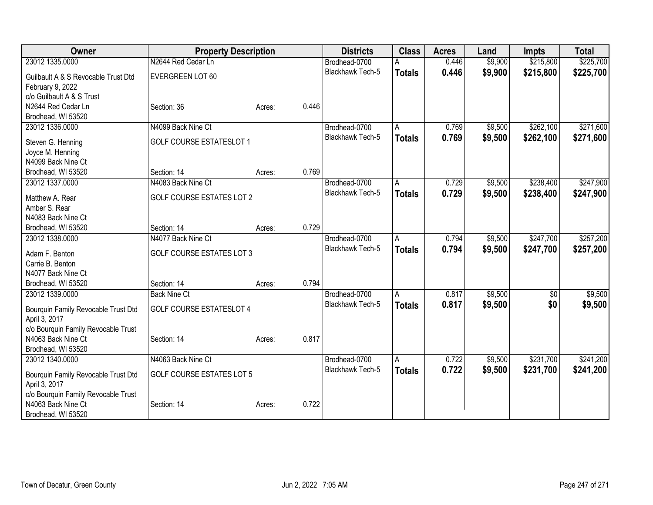| 23012 1335.0000<br>N2644 Red Cedar Ln<br>\$9,900<br>\$215,800<br>Brodhead-0700<br>0.446<br>0.446<br>\$9,900<br>\$215,800<br>Blackhawk Tech-5<br>\$225,700<br><b>Totals</b><br>EVERGREEN LOT 60<br>Guilbault A & S Revocable Trust Dtd<br>February 9, 2022<br>c/o Guilbault A & S Trust<br>N2644 Red Cedar Ln<br>0.446<br>Section: 36<br>Acres:<br>Brodhead, WI 53520<br>\$262,100<br>23012 1336.0000<br>N4099 Back Nine Ct<br>\$9,500<br>$\overline{A}$<br>0.769<br>Brodhead-0700<br>0.769<br>\$9,500<br>\$262,100<br><b>Blackhawk Tech-5</b><br><b>Totals</b><br><b>GOLF COURSE ESTATESLOT 1</b><br>Steven G. Henning<br>Joyce M. Henning<br>N4099 Back Nine Ct<br>0.769<br>Brodhead, WI 53520<br>Section: 14<br>Acres:<br>\$238,400<br>23012 1337.0000<br>N4083 Back Nine Ct<br>0.729<br>\$9,500<br>Brodhead-0700<br>A<br>Blackhawk Tech-5<br>0.729<br>\$9,500<br>\$238,400<br><b>Totals</b><br><b>GOLF COURSE ESTATES LOT 2</b><br>Matthew A. Rear<br>Amber S. Rear<br>N4083 Back Nine Ct<br>0.729<br>Section: 14<br>Brodhead, WI 53520<br>Acres:<br>\$9,500<br>\$247,700<br>23012 1338.0000<br>N4077 Back Nine Ct<br>0.794<br>Brodhead-0700<br>Α<br><b>Blackhawk Tech-5</b><br>0.794<br>\$247,700<br>\$9,500<br><b>Totals</b><br><b>GOLF COURSE ESTATES LOT 3</b><br>Adam F. Benton<br>Carrie B. Benton<br>N4077 Back Nine Ct<br>0.794<br>Brodhead, WI 53520<br>Section: 14<br>Acres:<br>\$9,500<br>23012 1339.0000<br>0.817<br><b>Back Nine Ct</b><br>Brodhead-0700<br>\$0<br>$\overline{A}$<br>Blackhawk Tech-5<br>\$9,500<br>\$0<br>0.817<br><b>Totals</b><br><b>GOLF COURSE ESTATESLOT 4</b><br>Bourquin Family Revocable Trust Dtd<br>April 3, 2017<br>c/o Bourquin Family Revocable Trust<br>N4063 Back Nine Ct<br>0.817<br>Section: 14<br>Acres:<br>Brodhead, WI 53520<br>\$231,700<br>N4063 Back Nine Ct<br>0.722<br>\$9,500<br>23012 1340.0000<br>Brodhead-0700<br>$\overline{A}$<br>0.722<br>\$231,700<br>Blackhawk Tech-5<br>\$9,500<br><b>Totals</b><br><b>GOLF COURSE ESTATES LOT 5</b><br>Bourquin Family Revocable Trust Dtd<br>April 3, 2017<br>c/o Bourquin Family Revocable Trust<br>0.722<br>N4063 Back Nine Ct<br>Section: 14<br>Acres: | Owner              | <b>Property Description</b> |  | <b>Districts</b> | <b>Class</b> | <b>Acres</b> | Land | <b>Impts</b> | <b>Total</b> |
|-----------------------------------------------------------------------------------------------------------------------------------------------------------------------------------------------------------------------------------------------------------------------------------------------------------------------------------------------------------------------------------------------------------------------------------------------------------------------------------------------------------------------------------------------------------------------------------------------------------------------------------------------------------------------------------------------------------------------------------------------------------------------------------------------------------------------------------------------------------------------------------------------------------------------------------------------------------------------------------------------------------------------------------------------------------------------------------------------------------------------------------------------------------------------------------------------------------------------------------------------------------------------------------------------------------------------------------------------------------------------------------------------------------------------------------------------------------------------------------------------------------------------------------------------------------------------------------------------------------------------------------------------------------------------------------------------------------------------------------------------------------------------------------------------------------------------------------------------------------------------------------------------------------------------------------------------------------------------------------------------------------------------------------------------------------------------------------------------------------------------------------------------------------------|--------------------|-----------------------------|--|------------------|--------------|--------------|------|--------------|--------------|
|                                                                                                                                                                                                                                                                                                                                                                                                                                                                                                                                                                                                                                                                                                                                                                                                                                                                                                                                                                                                                                                                                                                                                                                                                                                                                                                                                                                                                                                                                                                                                                                                                                                                                                                                                                                                                                                                                                                                                                                                                                                                                                                                                                 |                    |                             |  |                  |              |              |      |              | \$225,700    |
|                                                                                                                                                                                                                                                                                                                                                                                                                                                                                                                                                                                                                                                                                                                                                                                                                                                                                                                                                                                                                                                                                                                                                                                                                                                                                                                                                                                                                                                                                                                                                                                                                                                                                                                                                                                                                                                                                                                                                                                                                                                                                                                                                                 |                    |                             |  |                  |              |              |      |              |              |
|                                                                                                                                                                                                                                                                                                                                                                                                                                                                                                                                                                                                                                                                                                                                                                                                                                                                                                                                                                                                                                                                                                                                                                                                                                                                                                                                                                                                                                                                                                                                                                                                                                                                                                                                                                                                                                                                                                                                                                                                                                                                                                                                                                 |                    |                             |  |                  |              |              |      |              |              |
|                                                                                                                                                                                                                                                                                                                                                                                                                                                                                                                                                                                                                                                                                                                                                                                                                                                                                                                                                                                                                                                                                                                                                                                                                                                                                                                                                                                                                                                                                                                                                                                                                                                                                                                                                                                                                                                                                                                                                                                                                                                                                                                                                                 |                    |                             |  |                  |              |              |      |              |              |
| \$271,600<br>\$271,600<br>\$247,900<br>\$247,900<br>\$9,500                                                                                                                                                                                                                                                                                                                                                                                                                                                                                                                                                                                                                                                                                                                                                                                                                                                                                                                                                                                                                                                                                                                                                                                                                                                                                                                                                                                                                                                                                                                                                                                                                                                                                                                                                                                                                                                                                                                                                                                                                                                                                                     |                    |                             |  |                  |              |              |      |              |              |
|                                                                                                                                                                                                                                                                                                                                                                                                                                                                                                                                                                                                                                                                                                                                                                                                                                                                                                                                                                                                                                                                                                                                                                                                                                                                                                                                                                                                                                                                                                                                                                                                                                                                                                                                                                                                                                                                                                                                                                                                                                                                                                                                                                 |                    |                             |  |                  |              |              |      |              |              |
|                                                                                                                                                                                                                                                                                                                                                                                                                                                                                                                                                                                                                                                                                                                                                                                                                                                                                                                                                                                                                                                                                                                                                                                                                                                                                                                                                                                                                                                                                                                                                                                                                                                                                                                                                                                                                                                                                                                                                                                                                                                                                                                                                                 |                    |                             |  |                  |              |              |      |              |              |
|                                                                                                                                                                                                                                                                                                                                                                                                                                                                                                                                                                                                                                                                                                                                                                                                                                                                                                                                                                                                                                                                                                                                                                                                                                                                                                                                                                                                                                                                                                                                                                                                                                                                                                                                                                                                                                                                                                                                                                                                                                                                                                                                                                 |                    |                             |  |                  |              |              |      |              |              |
|                                                                                                                                                                                                                                                                                                                                                                                                                                                                                                                                                                                                                                                                                                                                                                                                                                                                                                                                                                                                                                                                                                                                                                                                                                                                                                                                                                                                                                                                                                                                                                                                                                                                                                                                                                                                                                                                                                                                                                                                                                                                                                                                                                 |                    |                             |  |                  |              |              |      |              |              |
|                                                                                                                                                                                                                                                                                                                                                                                                                                                                                                                                                                                                                                                                                                                                                                                                                                                                                                                                                                                                                                                                                                                                                                                                                                                                                                                                                                                                                                                                                                                                                                                                                                                                                                                                                                                                                                                                                                                                                                                                                                                                                                                                                                 |                    |                             |  |                  |              |              |      |              |              |
|                                                                                                                                                                                                                                                                                                                                                                                                                                                                                                                                                                                                                                                                                                                                                                                                                                                                                                                                                                                                                                                                                                                                                                                                                                                                                                                                                                                                                                                                                                                                                                                                                                                                                                                                                                                                                                                                                                                                                                                                                                                                                                                                                                 |                    |                             |  |                  |              |              |      |              |              |
| \$257,200<br>\$257,200<br>\$9,500<br>\$241,200<br>\$241,200                                                                                                                                                                                                                                                                                                                                                                                                                                                                                                                                                                                                                                                                                                                                                                                                                                                                                                                                                                                                                                                                                                                                                                                                                                                                                                                                                                                                                                                                                                                                                                                                                                                                                                                                                                                                                                                                                                                                                                                                                                                                                                     |                    |                             |  |                  |              |              |      |              |              |
|                                                                                                                                                                                                                                                                                                                                                                                                                                                                                                                                                                                                                                                                                                                                                                                                                                                                                                                                                                                                                                                                                                                                                                                                                                                                                                                                                                                                                                                                                                                                                                                                                                                                                                                                                                                                                                                                                                                                                                                                                                                                                                                                                                 |                    |                             |  |                  |              |              |      |              |              |
|                                                                                                                                                                                                                                                                                                                                                                                                                                                                                                                                                                                                                                                                                                                                                                                                                                                                                                                                                                                                                                                                                                                                                                                                                                                                                                                                                                                                                                                                                                                                                                                                                                                                                                                                                                                                                                                                                                                                                                                                                                                                                                                                                                 |                    |                             |  |                  |              |              |      |              |              |
|                                                                                                                                                                                                                                                                                                                                                                                                                                                                                                                                                                                                                                                                                                                                                                                                                                                                                                                                                                                                                                                                                                                                                                                                                                                                                                                                                                                                                                                                                                                                                                                                                                                                                                                                                                                                                                                                                                                                                                                                                                                                                                                                                                 |                    |                             |  |                  |              |              |      |              |              |
|                                                                                                                                                                                                                                                                                                                                                                                                                                                                                                                                                                                                                                                                                                                                                                                                                                                                                                                                                                                                                                                                                                                                                                                                                                                                                                                                                                                                                                                                                                                                                                                                                                                                                                                                                                                                                                                                                                                                                                                                                                                                                                                                                                 |                    |                             |  |                  |              |              |      |              |              |
|                                                                                                                                                                                                                                                                                                                                                                                                                                                                                                                                                                                                                                                                                                                                                                                                                                                                                                                                                                                                                                                                                                                                                                                                                                                                                                                                                                                                                                                                                                                                                                                                                                                                                                                                                                                                                                                                                                                                                                                                                                                                                                                                                                 |                    |                             |  |                  |              |              |      |              |              |
|                                                                                                                                                                                                                                                                                                                                                                                                                                                                                                                                                                                                                                                                                                                                                                                                                                                                                                                                                                                                                                                                                                                                                                                                                                                                                                                                                                                                                                                                                                                                                                                                                                                                                                                                                                                                                                                                                                                                                                                                                                                                                                                                                                 |                    |                             |  |                  |              |              |      |              |              |
|                                                                                                                                                                                                                                                                                                                                                                                                                                                                                                                                                                                                                                                                                                                                                                                                                                                                                                                                                                                                                                                                                                                                                                                                                                                                                                                                                                                                                                                                                                                                                                                                                                                                                                                                                                                                                                                                                                                                                                                                                                                                                                                                                                 |                    |                             |  |                  |              |              |      |              |              |
|                                                                                                                                                                                                                                                                                                                                                                                                                                                                                                                                                                                                                                                                                                                                                                                                                                                                                                                                                                                                                                                                                                                                                                                                                                                                                                                                                                                                                                                                                                                                                                                                                                                                                                                                                                                                                                                                                                                                                                                                                                                                                                                                                                 |                    |                             |  |                  |              |              |      |              |              |
|                                                                                                                                                                                                                                                                                                                                                                                                                                                                                                                                                                                                                                                                                                                                                                                                                                                                                                                                                                                                                                                                                                                                                                                                                                                                                                                                                                                                                                                                                                                                                                                                                                                                                                                                                                                                                                                                                                                                                                                                                                                                                                                                                                 |                    |                             |  |                  |              |              |      |              |              |
|                                                                                                                                                                                                                                                                                                                                                                                                                                                                                                                                                                                                                                                                                                                                                                                                                                                                                                                                                                                                                                                                                                                                                                                                                                                                                                                                                                                                                                                                                                                                                                                                                                                                                                                                                                                                                                                                                                                                                                                                                                                                                                                                                                 |                    |                             |  |                  |              |              |      |              |              |
|                                                                                                                                                                                                                                                                                                                                                                                                                                                                                                                                                                                                                                                                                                                                                                                                                                                                                                                                                                                                                                                                                                                                                                                                                                                                                                                                                                                                                                                                                                                                                                                                                                                                                                                                                                                                                                                                                                                                                                                                                                                                                                                                                                 |                    |                             |  |                  |              |              |      |              |              |
|                                                                                                                                                                                                                                                                                                                                                                                                                                                                                                                                                                                                                                                                                                                                                                                                                                                                                                                                                                                                                                                                                                                                                                                                                                                                                                                                                                                                                                                                                                                                                                                                                                                                                                                                                                                                                                                                                                                                                                                                                                                                                                                                                                 |                    |                             |  |                  |              |              |      |              |              |
|                                                                                                                                                                                                                                                                                                                                                                                                                                                                                                                                                                                                                                                                                                                                                                                                                                                                                                                                                                                                                                                                                                                                                                                                                                                                                                                                                                                                                                                                                                                                                                                                                                                                                                                                                                                                                                                                                                                                                                                                                                                                                                                                                                 |                    |                             |  |                  |              |              |      |              |              |
|                                                                                                                                                                                                                                                                                                                                                                                                                                                                                                                                                                                                                                                                                                                                                                                                                                                                                                                                                                                                                                                                                                                                                                                                                                                                                                                                                                                                                                                                                                                                                                                                                                                                                                                                                                                                                                                                                                                                                                                                                                                                                                                                                                 |                    |                             |  |                  |              |              |      |              |              |
|                                                                                                                                                                                                                                                                                                                                                                                                                                                                                                                                                                                                                                                                                                                                                                                                                                                                                                                                                                                                                                                                                                                                                                                                                                                                                                                                                                                                                                                                                                                                                                                                                                                                                                                                                                                                                                                                                                                                                                                                                                                                                                                                                                 |                    |                             |  |                  |              |              |      |              |              |
|                                                                                                                                                                                                                                                                                                                                                                                                                                                                                                                                                                                                                                                                                                                                                                                                                                                                                                                                                                                                                                                                                                                                                                                                                                                                                                                                                                                                                                                                                                                                                                                                                                                                                                                                                                                                                                                                                                                                                                                                                                                                                                                                                                 |                    |                             |  |                  |              |              |      |              |              |
|                                                                                                                                                                                                                                                                                                                                                                                                                                                                                                                                                                                                                                                                                                                                                                                                                                                                                                                                                                                                                                                                                                                                                                                                                                                                                                                                                                                                                                                                                                                                                                                                                                                                                                                                                                                                                                                                                                                                                                                                                                                                                                                                                                 |                    |                             |  |                  |              |              |      |              |              |
|                                                                                                                                                                                                                                                                                                                                                                                                                                                                                                                                                                                                                                                                                                                                                                                                                                                                                                                                                                                                                                                                                                                                                                                                                                                                                                                                                                                                                                                                                                                                                                                                                                                                                                                                                                                                                                                                                                                                                                                                                                                                                                                                                                 |                    |                             |  |                  |              |              |      |              |              |
|                                                                                                                                                                                                                                                                                                                                                                                                                                                                                                                                                                                                                                                                                                                                                                                                                                                                                                                                                                                                                                                                                                                                                                                                                                                                                                                                                                                                                                                                                                                                                                                                                                                                                                                                                                                                                                                                                                                                                                                                                                                                                                                                                                 |                    |                             |  |                  |              |              |      |              |              |
|                                                                                                                                                                                                                                                                                                                                                                                                                                                                                                                                                                                                                                                                                                                                                                                                                                                                                                                                                                                                                                                                                                                                                                                                                                                                                                                                                                                                                                                                                                                                                                                                                                                                                                                                                                                                                                                                                                                                                                                                                                                                                                                                                                 |                    |                             |  |                  |              |              |      |              |              |
|                                                                                                                                                                                                                                                                                                                                                                                                                                                                                                                                                                                                                                                                                                                                                                                                                                                                                                                                                                                                                                                                                                                                                                                                                                                                                                                                                                                                                                                                                                                                                                                                                                                                                                                                                                                                                                                                                                                                                                                                                                                                                                                                                                 | Brodhead, WI 53520 |                             |  |                  |              |              |      |              |              |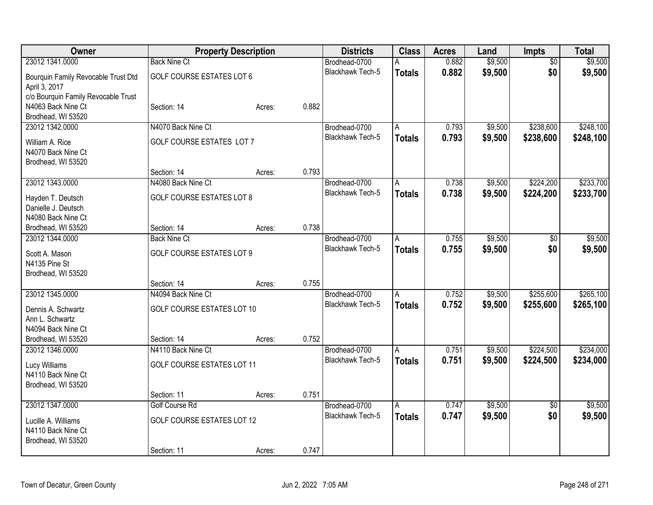| Owner                               |                                    | <b>Property Description</b> |       | <b>Districts</b>                  | <b>Class</b>   | <b>Acres</b> | Land    | Impts           | <b>Total</b> |
|-------------------------------------|------------------------------------|-----------------------------|-------|-----------------------------------|----------------|--------------|---------|-----------------|--------------|
| 23012 1341.0000                     | <b>Back Nine Ct</b>                |                             |       | Brodhead-0700                     | А              | 0.882        | \$9,500 | $\overline{50}$ | \$9,500      |
| Bourquin Family Revocable Trust Dtd | <b>GOLF COURSE ESTATES LOT 6</b>   |                             |       | <b>Blackhawk Tech-5</b>           | <b>Totals</b>  | 0.882        | \$9,500 | \$0             | \$9,500      |
| April 3, 2017                       |                                    |                             |       |                                   |                |              |         |                 |              |
| c/o Bourquin Family Revocable Trust |                                    |                             |       |                                   |                |              |         |                 |              |
| N4063 Back Nine Ct                  | Section: 14                        | Acres:                      | 0.882 |                                   |                |              |         |                 |              |
| Brodhead, WI 53520                  |                                    |                             |       |                                   |                |              |         |                 |              |
| 23012 1342.0000                     | N4070 Back Nine Ct                 |                             |       | Brodhead-0700                     | A              | 0.793        | \$9,500 | \$238,600       | \$248,100    |
| William A. Rice                     | <b>GOLF COURSE ESTATES LOT 7</b>   |                             |       | Blackhawk Tech-5                  | <b>Totals</b>  | 0.793        | \$9,500 | \$238,600       | \$248,100    |
| N4070 Back Nine Ct                  |                                    |                             |       |                                   |                |              |         |                 |              |
| Brodhead, WI 53520                  |                                    |                             |       |                                   |                |              |         |                 |              |
|                                     | Section: 14                        | Acres:                      | 0.793 |                                   |                |              |         |                 |              |
| 23012 1343.0000                     | N4080 Back Nine Ct                 |                             |       | Brodhead-0700                     | A              | 0.738        | \$9,500 | \$224,200       | \$233,700    |
|                                     |                                    |                             |       | <b>Blackhawk Tech-5</b>           | <b>Totals</b>  | 0.738        | \$9,500 | \$224,200       | \$233,700    |
| Hayden T. Deutsch                   | <b>GOLF COURSE ESTATES LOT 8</b>   |                             |       |                                   |                |              |         |                 |              |
| Danielle J. Deutsch                 |                                    |                             |       |                                   |                |              |         |                 |              |
| N4080 Back Nine Ct                  |                                    |                             | 0.738 |                                   |                |              |         |                 |              |
| Brodhead, WI 53520                  | Section: 14<br><b>Back Nine Ct</b> | Acres:                      |       |                                   |                |              |         |                 |              |
| 23012 1344.0000                     |                                    |                             |       | Brodhead-0700<br>Blackhawk Tech-5 | A              | 0.755        | \$9,500 | \$0             | \$9,500      |
| Scott A. Mason                      | <b>GOLF COURSE ESTATES LOT 9</b>   |                             |       |                                   | <b>Totals</b>  | 0.755        | \$9,500 | \$0             | \$9,500      |
| N4135 Pine St                       |                                    |                             |       |                                   |                |              |         |                 |              |
| Brodhead, WI 53520                  |                                    |                             |       |                                   |                |              |         |                 |              |
|                                     | Section: 14                        | Acres:                      | 0.755 |                                   |                |              |         |                 |              |
| 23012 1345.0000                     | N4094 Back Nine Ct                 |                             |       | Brodhead-0700                     | $\overline{A}$ | 0.752        | \$9,500 | \$255,600       | \$265,100    |
| Dennis A. Schwartz                  | GOLF COURSE ESTATES LOT 10         |                             |       | Blackhawk Tech-5                  | <b>Totals</b>  | 0.752        | \$9,500 | \$255,600       | \$265,100    |
| Ann L. Schwartz                     |                                    |                             |       |                                   |                |              |         |                 |              |
| N4094 Back Nine Ct                  |                                    |                             |       |                                   |                |              |         |                 |              |
| Brodhead, WI 53520                  | Section: 14                        | Acres:                      | 0.752 |                                   |                |              |         |                 |              |
| 23012 1346.0000                     | N4110 Back Nine Ct                 |                             |       | Brodhead-0700                     | A              | 0.751        | \$9,500 | \$224,500       | \$234,000    |
|                                     |                                    |                             |       | <b>Blackhawk Tech-5</b>           | <b>Totals</b>  | 0.751        | \$9,500 | \$224,500       | \$234,000    |
| Lucy Williams<br>N4110 Back Nine Ct | <b>GOLF COURSE ESTATES LOT 11</b>  |                             |       |                                   |                |              |         |                 |              |
|                                     |                                    |                             |       |                                   |                |              |         |                 |              |
| Brodhead, WI 53520                  | Section: 11                        | Acres:                      | 0.751 |                                   |                |              |         |                 |              |
| 23012 1347.0000                     | Golf Course Rd                     |                             |       | Brodhead-0700                     | A              | 0.747        | \$9,500 | $\overline{50}$ | \$9,500      |
|                                     |                                    |                             |       | <b>Blackhawk Tech-5</b>           |                | 0.747        | \$9,500 | \$0             | \$9,500      |
| Lucille A. Williams                 | GOLF COURSE ESTATES LOT 12         |                             |       |                                   | <b>Totals</b>  |              |         |                 |              |
| N4110 Back Nine Ct                  |                                    |                             |       |                                   |                |              |         |                 |              |
| Brodhead, WI 53520                  |                                    |                             |       |                                   |                |              |         |                 |              |
|                                     | Section: 11                        | Acres:                      | 0.747 |                                   |                |              |         |                 |              |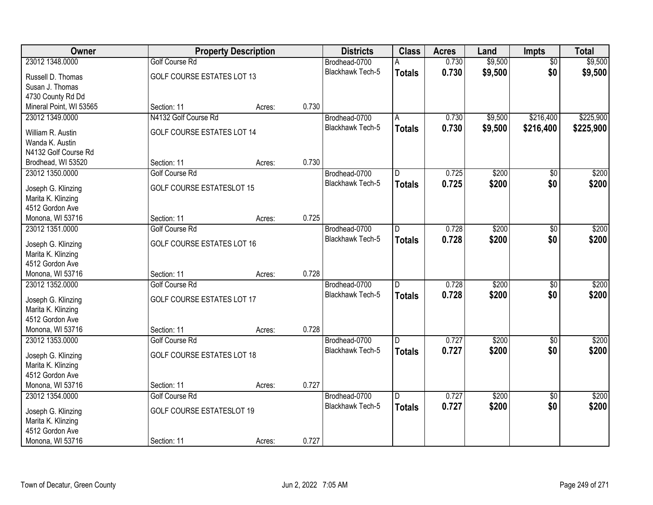| Owner                                    |                                   | <b>Property Description</b> |       | <b>Districts</b>        | <b>Class</b>   | <b>Acres</b> | Land    | <b>Impts</b>    | <b>Total</b> |
|------------------------------------------|-----------------------------------|-----------------------------|-------|-------------------------|----------------|--------------|---------|-----------------|--------------|
| 23012 1348.0000                          | <b>Golf Course Rd</b>             |                             |       | Brodhead-0700           | А              | 0.730        | \$9,500 | $\overline{50}$ | \$9,500      |
| Russell D. Thomas                        | <b>GOLF COURSE ESTATES LOT 13</b> |                             |       | Blackhawk Tech-5        | <b>Totals</b>  | 0.730        | \$9,500 | \$0             | \$9,500      |
| Susan J. Thomas                          |                                   |                             |       |                         |                |              |         |                 |              |
| 4730 County Rd Dd                        |                                   |                             |       |                         |                |              |         |                 |              |
| Mineral Point, WI 53565                  | Section: 11                       | Acres:                      | 0.730 |                         |                |              |         |                 |              |
| 23012 1349.0000                          | N4132 Golf Course Rd              |                             |       | Brodhead-0700           | Α              | 0.730        | \$9,500 | \$216,400       | \$225,900    |
|                                          |                                   |                             |       | <b>Blackhawk Tech-5</b> | <b>Totals</b>  | 0.730        | \$9,500 | \$216,400       | \$225,900    |
| William R. Austin                        | <b>GOLF COURSE ESTATES LOT 14</b> |                             |       |                         |                |              |         |                 |              |
| Wanda K. Austin                          |                                   |                             |       |                         |                |              |         |                 |              |
| N4132 Golf Course Rd                     | Section: 11                       |                             | 0.730 |                         |                |              |         |                 |              |
| Brodhead, WI 53520                       |                                   | Acres:                      |       |                         |                |              |         |                 |              |
| 23012 1350.0000                          | <b>Golf Course Rd</b>             |                             |       | Brodhead-0700           | D              | 0.725        | \$200   | \$0             | \$200        |
| Joseph G. Klinzing                       | <b>GOLF COURSE ESTATESLOT 15</b>  |                             |       | Blackhawk Tech-5        | <b>Totals</b>  | 0.725        | \$200   | \$0             | \$200        |
| Marita K. Klinzing                       |                                   |                             |       |                         |                |              |         |                 |              |
| 4512 Gordon Ave                          |                                   |                             |       |                         |                |              |         |                 |              |
| Monona, WI 53716                         | Section: 11                       | Acres:                      | 0.725 |                         |                |              |         |                 |              |
| 23012 1351.0000                          | Golf Course Rd                    |                             |       | Brodhead-0700           | D              | 0.728        | \$200   | \$0             | \$200        |
|                                          | GOLF COURSE ESTATES LOT 16        |                             |       | <b>Blackhawk Tech-5</b> | <b>Totals</b>  | 0.728        | \$200   | \$0             | \$200        |
| Joseph G. Klinzing<br>Marita K. Klinzing |                                   |                             |       |                         |                |              |         |                 |              |
| 4512 Gordon Ave                          |                                   |                             |       |                         |                |              |         |                 |              |
| Monona, WI 53716                         | Section: 11                       | Acres:                      | 0.728 |                         |                |              |         |                 |              |
| 23012 1352.0000                          | <b>Golf Course Rd</b>             |                             |       | Brodhead-0700           | $\overline{D}$ | 0.728        | \$200   | \$0             | \$200        |
|                                          |                                   |                             |       | Blackhawk Tech-5        |                | 0.728        | \$200   | \$0             | \$200        |
| Joseph G. Klinzing                       | GOLF COURSE ESTATES LOT 17        |                             |       |                         | <b>Totals</b>  |              |         |                 |              |
| Marita K. Klinzing                       |                                   |                             |       |                         |                |              |         |                 |              |
| 4512 Gordon Ave                          |                                   |                             |       |                         |                |              |         |                 |              |
| Monona, WI 53716                         | Section: 11                       | Acres:                      | 0.728 |                         |                |              |         |                 |              |
| 23012 1353.0000                          | Golf Course Rd                    |                             |       | Brodhead-0700           | D              | 0.727        | \$200   | \$0             | \$200        |
| Joseph G. Klinzing                       | GOLF COURSE ESTATES LOT 18        |                             |       | Blackhawk Tech-5        | <b>Totals</b>  | 0.727        | \$200   | \$0             | \$200        |
| Marita K. Klinzing                       |                                   |                             |       |                         |                |              |         |                 |              |
| 4512 Gordon Ave                          |                                   |                             |       |                         |                |              |         |                 |              |
| Monona, WI 53716                         | Section: 11                       | Acres:                      | 0.727 |                         |                |              |         |                 |              |
| 23012 1354.0000                          | Golf Course Rd                    |                             |       | Brodhead-0700           | $\overline{D}$ | 0.727        | \$200   | $\overline{50}$ | \$200        |
|                                          |                                   |                             |       | <b>Blackhawk Tech-5</b> | <b>Totals</b>  | 0.727        | \$200   | \$0             | \$200        |
| Joseph G. Klinzing                       | <b>GOLF COURSE ESTATESLOT 19</b>  |                             |       |                         |                |              |         |                 |              |
| Marita K. Klinzing                       |                                   |                             |       |                         |                |              |         |                 |              |
| 4512 Gordon Ave                          |                                   |                             |       |                         |                |              |         |                 |              |
| Monona, WI 53716                         | Section: 11                       | Acres:                      | 0.727 |                         |                |              |         |                 |              |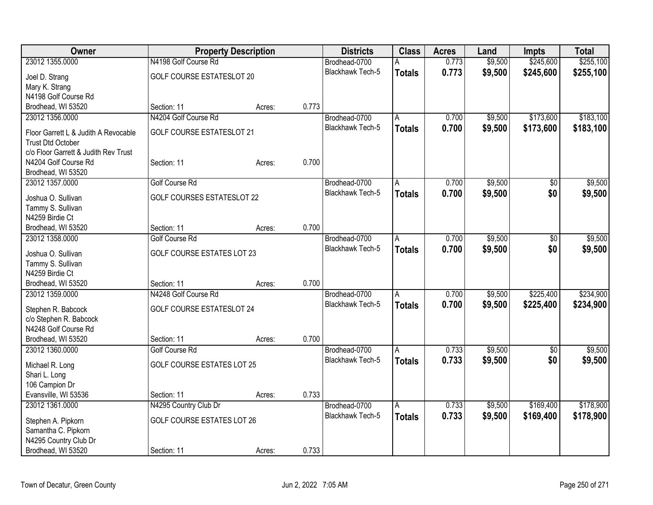| Owner                                                        |                                   | <b>Property Description</b> |       | <b>Districts</b>        | <b>Class</b>  | <b>Acres</b> | Land    | <b>Impts</b> | <b>Total</b> |
|--------------------------------------------------------------|-----------------------------------|-----------------------------|-------|-------------------------|---------------|--------------|---------|--------------|--------------|
| 23012 1355.0000                                              | N4198 Golf Course Rd              |                             |       | Brodhead-0700           | A             | 0.773        | \$9,500 | \$245,600    | \$255,100    |
| Joel D. Strang                                               | <b>GOLF COURSE ESTATESLOT 20</b>  |                             |       | Blackhawk Tech-5        | <b>Totals</b> | 0.773        | \$9,500 | \$245,600    | \$255,100    |
| Mary K. Strang                                               |                                   |                             |       |                         |               |              |         |              |              |
| N4198 Golf Course Rd                                         |                                   |                             |       |                         |               |              |         |              |              |
| Brodhead, WI 53520                                           | Section: 11                       | Acres:                      | 0.773 |                         |               |              |         |              |              |
| 23012 1356.0000                                              | N4204 Golf Course Rd              |                             |       | Brodhead-0700           | A             | 0.700        | \$9,500 | \$173,600    | \$183,100    |
|                                                              |                                   |                             |       | Blackhawk Tech-5        | <b>Totals</b> | 0.700        | \$9,500 | \$173,600    | \$183,100    |
| Floor Garrett L & Judith A Revocable                         | <b>GOLF COURSE ESTATESLOT 21</b>  |                             |       |                         |               |              |         |              |              |
| <b>Trust Dtd October</b>                                     |                                   |                             |       |                         |               |              |         |              |              |
| c/o Floor Garrett & Judith Rev Trust<br>N4204 Golf Course Rd | Section: 11                       |                             | 0.700 |                         |               |              |         |              |              |
|                                                              |                                   | Acres:                      |       |                         |               |              |         |              |              |
| Brodhead, WI 53520<br>23012 1357.0000                        | <b>Golf Course Rd</b>             |                             |       | Brodhead-0700           |               | 0.700        | \$9,500 |              | \$9,500      |
|                                                              |                                   |                             |       | <b>Blackhawk Tech-5</b> | A             |              |         | \$0          |              |
| Joshua O. Sullivan                                           | <b>GOLF COURSES ESTATESLOT 22</b> |                             |       |                         | <b>Totals</b> | 0.700        | \$9,500 | \$0          | \$9,500      |
| Tammy S. Sullivan                                            |                                   |                             |       |                         |               |              |         |              |              |
| N4259 Birdie Ct                                              |                                   |                             |       |                         |               |              |         |              |              |
| Brodhead, WI 53520                                           | Section: 11                       | Acres:                      | 0.700 |                         |               |              |         |              |              |
| 23012 1358.0000                                              | <b>Golf Course Rd</b>             |                             |       | Brodhead-0700           | A             | 0.700        | \$9,500 | \$0          | \$9,500      |
| Joshua O. Sullivan                                           | <b>GOLF COURSE ESTATES LOT 23</b> |                             |       | Blackhawk Tech-5        | <b>Totals</b> | 0.700        | \$9,500 | \$0          | \$9,500      |
| Tammy S. Sullivan                                            |                                   |                             |       |                         |               |              |         |              |              |
| N4259 Birdie Ct                                              |                                   |                             |       |                         |               |              |         |              |              |
| Brodhead, WI 53520                                           | Section: 11                       | Acres:                      | 0.700 |                         |               |              |         |              |              |
| 23012 1359.0000                                              | N4248 Golf Course Rd              |                             |       | Brodhead-0700           | A             | 0.700        | \$9,500 | \$225,400    | \$234,900    |
|                                                              |                                   |                             |       | <b>Blackhawk Tech-5</b> | <b>Totals</b> | 0.700        | \$9,500 | \$225,400    | \$234,900    |
| Stephen R. Babcock                                           | <b>GOLF COURSE ESTATESLOT 24</b>  |                             |       |                         |               |              |         |              |              |
| c/o Stephen R. Babcock                                       |                                   |                             |       |                         |               |              |         |              |              |
| N4248 Golf Course Rd                                         |                                   |                             |       |                         |               |              |         |              |              |
| Brodhead, WI 53520                                           | Section: 11                       | Acres:                      | 0.700 |                         |               |              |         |              |              |
| 23012 1360.0000                                              | Golf Course Rd                    |                             |       | Brodhead-0700           | A             | 0.733        | \$9,500 | $\sqrt{6}$   | \$9,500      |
| Michael R. Long                                              | <b>GOLF COURSE ESTATES LOT 25</b> |                             |       | Blackhawk Tech-5        | <b>Totals</b> | 0.733        | \$9,500 | \$0          | \$9,500      |
| Shari L. Long                                                |                                   |                             |       |                         |               |              |         |              |              |
| 106 Campion Dr                                               |                                   |                             |       |                         |               |              |         |              |              |
| Evansville, WI 53536                                         | Section: 11                       | Acres:                      | 0.733 |                         |               |              |         |              |              |
| 23012 1361.0000                                              | N4295 Country Club Dr             |                             |       | Brodhead-0700           | Α             | 0.733        | \$9,500 | \$169,400    | \$178,900    |
|                                                              |                                   |                             |       | <b>Blackhawk Tech-5</b> | <b>Totals</b> | 0.733        | \$9,500 | \$169,400    | \$178,900    |
| Stephen A. Pipkorn                                           | GOLF COURSE ESTATES LOT 26        |                             |       |                         |               |              |         |              |              |
| Samantha C. Pipkorn                                          |                                   |                             |       |                         |               |              |         |              |              |
| N4295 Country Club Dr                                        |                                   |                             |       |                         |               |              |         |              |              |
| Brodhead, WI 53520                                           | Section: 11                       | Acres:                      | 0.733 |                         |               |              |         |              |              |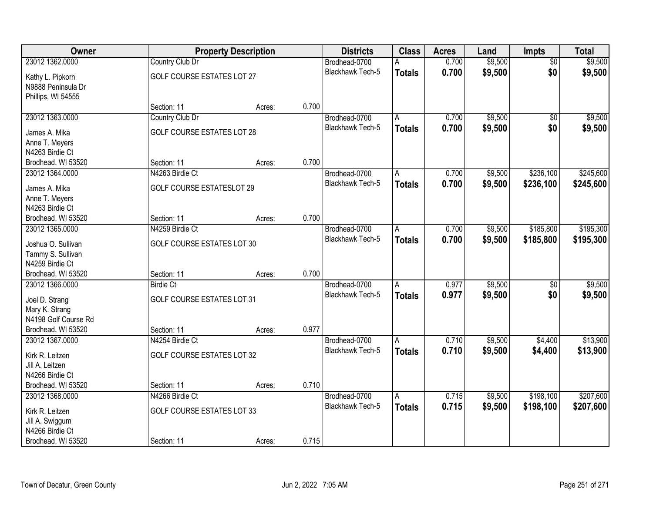| Owner                                |                                   | <b>Property Description</b> |       | <b>Districts</b>        | <b>Class</b>   | <b>Acres</b> | Land    | <b>Impts</b>    | <b>Total</b> |
|--------------------------------------|-----------------------------------|-----------------------------|-------|-------------------------|----------------|--------------|---------|-----------------|--------------|
| 23012 1362.0000                      | Country Club Dr                   |                             |       | Brodhead-0700           |                | 0.700        | \$9,500 | $\overline{50}$ | \$9,500      |
| Kathy L. Pipkorn                     | GOLF COURSE ESTATES LOT 27        |                             |       | Blackhawk Tech-5        | <b>Totals</b>  | 0.700        | \$9,500 | \$0             | \$9,500      |
| N9888 Peninsula Dr                   |                                   |                             |       |                         |                |              |         |                 |              |
| Phillips, WI 54555                   |                                   |                             |       |                         |                |              |         |                 |              |
|                                      | Section: 11                       | Acres:                      | 0.700 |                         |                |              |         |                 |              |
| 23012 1363.0000                      | Country Club Dr                   |                             |       | Brodhead-0700           | A              | 0.700        | \$9,500 | $\overline{50}$ | \$9,500      |
| James A. Mika                        | GOLF COURSE ESTATES LOT 28        |                             |       | Blackhawk Tech-5        | <b>Totals</b>  | 0.700        | \$9,500 | \$0             | \$9,500      |
| Anne T. Meyers                       |                                   |                             |       |                         |                |              |         |                 |              |
| N4263 Birdie Ct                      |                                   |                             |       |                         |                |              |         |                 |              |
| Brodhead, WI 53520                   | Section: 11                       | Acres:                      | 0.700 |                         |                |              |         |                 |              |
| 23012 1364.0000                      | N4263 Birdie Ct                   |                             |       | Brodhead-0700           | A              | 0.700        | \$9,500 | \$236,100       | \$245,600    |
| James A. Mika                        | <b>GOLF COURSE ESTATESLOT 29</b>  |                             |       | Blackhawk Tech-5        | <b>Totals</b>  | 0.700        | \$9,500 | \$236,100       | \$245,600    |
| Anne T. Meyers                       |                                   |                             |       |                         |                |              |         |                 |              |
| N4263 Birdie Ct                      |                                   |                             |       |                         |                |              |         |                 |              |
| Brodhead, WI 53520                   | Section: 11                       | Acres:                      | 0.700 |                         |                |              |         |                 |              |
| 23012 1365.0000                      | N4259 Birdie Ct                   |                             |       | Brodhead-0700           | A              | 0.700        | \$9,500 | \$185,800       | \$195,300    |
|                                      |                                   |                             |       | <b>Blackhawk Tech-5</b> | <b>Totals</b>  | 0.700        | \$9,500 | \$185,800       | \$195,300    |
| Joshua O. Sullivan                   | GOLF COURSE ESTATES LOT 30        |                             |       |                         |                |              |         |                 |              |
| Tammy S. Sullivan<br>N4259 Birdie Ct |                                   |                             |       |                         |                |              |         |                 |              |
| Brodhead, WI 53520                   | Section: 11                       | Acres:                      | 0.700 |                         |                |              |         |                 |              |
| 23012 1366.0000                      | <b>Birdie Ct</b>                  |                             |       | Brodhead-0700           | A              | 0.977        | \$9,500 | $\overline{50}$ | \$9,500      |
|                                      |                                   |                             |       | Blackhawk Tech-5        | <b>Totals</b>  | 0.977        | \$9,500 | \$0             | \$9,500      |
| Joel D. Strang                       | <b>GOLF COURSE ESTATES LOT 31</b> |                             |       |                         |                |              |         |                 |              |
| Mary K. Strang                       |                                   |                             |       |                         |                |              |         |                 |              |
| N4198 Golf Course Rd                 |                                   |                             |       |                         |                |              |         |                 |              |
| Brodhead, WI 53520                   | Section: 11                       | Acres:                      | 0.977 |                         |                |              |         |                 |              |
| 23012 1367.0000                      | N4254 Birdie Ct                   |                             |       | Brodhead-0700           | A              | 0.710        | \$9,500 | \$4,400         | \$13,900     |
| Kirk R. Leitzen                      | <b>GOLF COURSE ESTATES LOT 32</b> |                             |       | <b>Blackhawk Tech-5</b> | <b>Totals</b>  | 0.710        | \$9,500 | \$4,400         | \$13,900     |
| Jill A. Leitzen                      |                                   |                             |       |                         |                |              |         |                 |              |
| N4266 Birdie Ct                      |                                   |                             |       |                         |                |              |         |                 |              |
| Brodhead, WI 53520                   | Section: 11                       | Acres:                      | 0.710 |                         |                |              |         |                 |              |
| 23012 1368.0000                      | N4266 Birdie Ct                   |                             |       | Brodhead-0700           | $\overline{A}$ | 0.715        | \$9,500 | \$198,100       | \$207,600    |
| Kirk R. Leitzen                      | GOLF COURSE ESTATES LOT 33        |                             |       | <b>Blackhawk Tech-5</b> | <b>Totals</b>  | 0.715        | \$9,500 | \$198,100       | \$207,600    |
| Jill A. Swiggum                      |                                   |                             |       |                         |                |              |         |                 |              |
| N4266 Birdie Ct                      |                                   |                             |       |                         |                |              |         |                 |              |
| Brodhead, WI 53520                   | Section: 11                       | Acres:                      | 0.715 |                         |                |              |         |                 |              |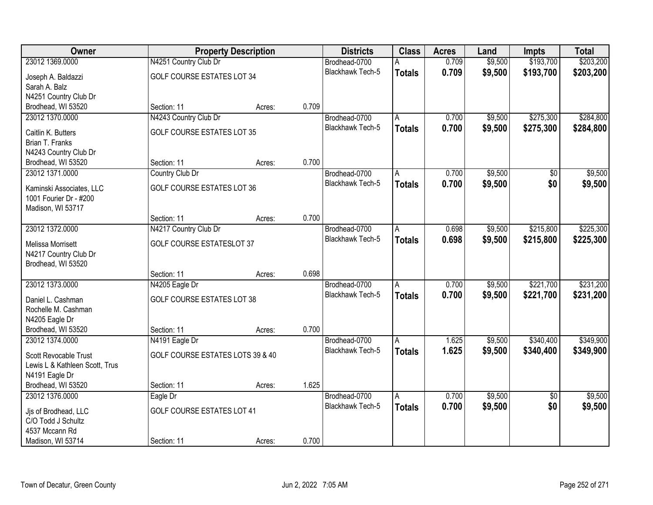| <b>Owner</b>                   |                                   | <b>Property Description</b> |       | <b>Districts</b>        | <b>Class</b>  | <b>Acres</b> | Land    | <b>Impts</b>    | <b>Total</b> |
|--------------------------------|-----------------------------------|-----------------------------|-------|-------------------------|---------------|--------------|---------|-----------------|--------------|
| 23012 1369.0000                | N4251 Country Club Dr             |                             |       | Brodhead-0700           | А             | 0.709        | \$9,500 | \$193,700       | \$203,200    |
| Joseph A. Baldazzi             | <b>GOLF COURSE ESTATES LOT 34</b> |                             |       | Blackhawk Tech-5        | <b>Totals</b> | 0.709        | \$9,500 | \$193,700       | \$203,200    |
| Sarah A. Balz                  |                                   |                             |       |                         |               |              |         |                 |              |
| N4251 Country Club Dr          |                                   |                             |       |                         |               |              |         |                 |              |
| Brodhead, WI 53520             | Section: 11                       | Acres:                      | 0.709 |                         |               |              |         |                 |              |
| 23012 1370.0000                | N4243 Country Club Dr             |                             |       | Brodhead-0700           | A             | 0.700        | \$9,500 | \$275,300       | \$284,800    |
| Caitlin K. Butters             | <b>GOLF COURSE ESTATES LOT 35</b> |                             |       | <b>Blackhawk Tech-5</b> | <b>Totals</b> | 0.700        | \$9,500 | \$275,300       | \$284,800    |
| Brian T. Franks                |                                   |                             |       |                         |               |              |         |                 |              |
| N4243 Country Club Dr          |                                   |                             |       |                         |               |              |         |                 |              |
| Brodhead, WI 53520             | Section: 11                       | Acres:                      | 0.700 |                         |               |              |         |                 |              |
| 23012 1371.0000                | Country Club Dr                   |                             |       | Brodhead-0700           | A             | 0.700        | \$9,500 | \$0             | \$9,500      |
| Kaminski Associates, LLC       | GOLF COURSE ESTATES LOT 36        |                             |       | Blackhawk Tech-5        | <b>Totals</b> | 0.700        | \$9,500 | \$0             | \$9,500      |
| 1001 Fourier Dr - #200         |                                   |                             |       |                         |               |              |         |                 |              |
| Madison, WI 53717              |                                   |                             |       |                         |               |              |         |                 |              |
|                                | Section: 11                       | Acres:                      | 0.700 |                         |               |              |         |                 |              |
| 23012 1372.0000                | N4217 Country Club Dr             |                             |       | Brodhead-0700           | A             | 0.698        | \$9,500 | \$215,800       | \$225,300    |
| <b>Melissa Morrisett</b>       | <b>GOLF COURSE ESTATESLOT 37</b>  |                             |       | <b>Blackhawk Tech-5</b> | <b>Totals</b> | 0.698        | \$9,500 | \$215,800       | \$225,300    |
| N4217 Country Club Dr          |                                   |                             |       |                         |               |              |         |                 |              |
| Brodhead, WI 53520             |                                   |                             |       |                         |               |              |         |                 |              |
|                                | Section: 11                       | Acres:                      | 0.698 |                         |               |              |         |                 |              |
| 23012 1373.0000                | N4205 Eagle Dr                    |                             |       | Brodhead-0700           | A             | 0.700        | \$9,500 | \$221,700       | \$231,200    |
| Daniel L. Cashman              | GOLF COURSE ESTATES LOT 38        |                             |       | Blackhawk Tech-5        | <b>Totals</b> | 0.700        | \$9,500 | \$221,700       | \$231,200    |
| Rochelle M. Cashman            |                                   |                             |       |                         |               |              |         |                 |              |
| N4205 Eagle Dr                 |                                   |                             |       |                         |               |              |         |                 |              |
| Brodhead, WI 53520             | Section: 11                       | Acres:                      | 0.700 |                         |               |              |         |                 |              |
| 23012 1374.0000                | N4191 Eagle Dr                    |                             |       | Brodhead-0700           | Α             | 1.625        | \$9,500 | \$340,400       | \$349,900    |
| Scott Revocable Trust          | GOLF COURSE ESTATES LOTS 39 & 40  |                             |       | <b>Blackhawk Tech-5</b> | <b>Totals</b> | 1.625        | \$9,500 | \$340,400       | \$349,900    |
| Lewis L & Kathleen Scott, Trus |                                   |                             |       |                         |               |              |         |                 |              |
| N4191 Eagle Dr                 |                                   |                             |       |                         |               |              |         |                 |              |
| Brodhead, WI 53520             | Section: 11                       | Acres:                      | 1.625 |                         |               |              |         |                 |              |
| 23012 1376.0000                | Eagle Dr                          |                             |       | Brodhead-0700           | A             | 0.700        | \$9,500 | $\overline{30}$ | \$9,500      |
| Jis of Brodhead, LLC           | <b>GOLF COURSE ESTATES LOT 41</b> |                             |       | Blackhawk Tech-5        | <b>Totals</b> | 0.700        | \$9,500 | \$0             | \$9,500      |
| C/O Todd J Schultz             |                                   |                             |       |                         |               |              |         |                 |              |
| 4537 Mccann Rd                 |                                   |                             |       |                         |               |              |         |                 |              |
| Madison, WI 53714              | Section: 11                       | Acres:                      | 0.700 |                         |               |              |         |                 |              |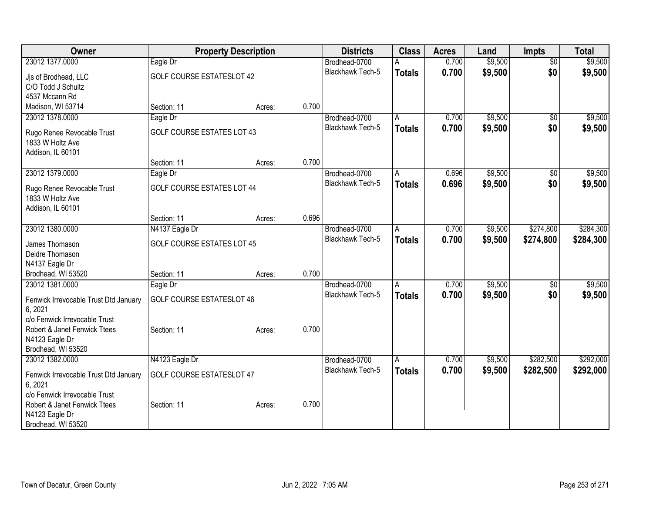| Owner                                                                                                 |                                   | <b>Property Description</b> |       | <b>Districts</b>                         | <b>Class</b>  | <b>Acres</b>   | Land    | <b>Impts</b>    | <b>Total</b> |
|-------------------------------------------------------------------------------------------------------|-----------------------------------|-----------------------------|-------|------------------------------------------|---------------|----------------|---------|-----------------|--------------|
| 23012 1377.0000                                                                                       | Eagle Dr                          |                             |       | Brodhead-0700                            | A             | 0.700          | \$9,500 | $\overline{50}$ | \$9,500      |
| Jjs of Brodhead, LLC<br>C/O Todd J Schultz<br>4537 Mccann Rd                                          | <b>GOLF COURSE ESTATESLOT 42</b>  |                             |       | Blackhawk Tech-5                         | <b>Totals</b> | 0.700          | \$9,500 | \$0             | \$9,500      |
| Madison, WI 53714                                                                                     | Section: 11                       | Acres:                      | 0.700 |                                          |               |                |         |                 |              |
| 23012 1378.0000                                                                                       | Eagle Dr                          |                             |       | Brodhead-0700                            | A             | 0.700          | \$9,500 | $\overline{50}$ | \$9,500      |
| Rugo Renee Revocable Trust<br>1833 W Holtz Ave<br>Addison, IL 60101                                   | <b>GOLF COURSE ESTATES LOT 43</b> |                             |       | <b>Blackhawk Tech-5</b>                  | <b>Totals</b> | 0.700          | \$9,500 | \$0             | \$9,500      |
|                                                                                                       | Section: 11                       | Acres:                      | 0.700 |                                          |               |                |         |                 |              |
| 23012 1379.0000                                                                                       | Eagle Dr                          |                             |       | Brodhead-0700                            | A             | 0.696          | \$9,500 | \$0             | \$9,500      |
| Rugo Renee Revocable Trust<br>1833 W Holtz Ave                                                        | GOLF COURSE ESTATES LOT 44        |                             |       | Blackhawk Tech-5                         | <b>Totals</b> | 0.696          | \$9,500 | \$0             | \$9,500      |
| Addison, IL 60101                                                                                     | Section: 11                       | Acres:                      | 0.696 |                                          |               |                |         |                 |              |
| 23012 1380.0000                                                                                       | N4137 Eagle Dr                    |                             |       | Brodhead-0700                            | Α             | 0.700          | \$9,500 | \$274,800       | \$284,300    |
| James Thomason                                                                                        | <b>GOLF COURSE ESTATES LOT 45</b> |                             |       | Blackhawk Tech-5                         | <b>Totals</b> | 0.700          | \$9,500 | \$274,800       | \$284,300    |
| Deidre Thomason                                                                                       |                                   |                             |       |                                          |               |                |         |                 |              |
| N4137 Eagle Dr                                                                                        |                                   |                             |       |                                          |               |                |         |                 |              |
| Brodhead, WI 53520                                                                                    | Section: 11                       | Acres:                      | 0.700 |                                          |               |                |         |                 |              |
| 23012 1381.0000                                                                                       | Eagle Dr                          |                             |       | Brodhead-0700<br><b>Blackhawk Tech-5</b> | A             | 0.700<br>0.700 | \$9,500 | $\overline{50}$ | \$9,500      |
| Fenwick Irrevocable Trust Dtd January<br>6, 2021                                                      | <b>GOLF COURSE ESTATESLOT 46</b>  |                             |       |                                          | <b>Totals</b> |                | \$9,500 | \$0             | \$9,500      |
| c/o Fenwick Irrevocable Trust<br>Robert & Janet Fenwick Ttees<br>N4123 Eagle Dr<br>Brodhead, WI 53520 | Section: 11                       | Acres:                      | 0.700 |                                          |               |                |         |                 |              |
| 23012 1382.0000                                                                                       | N4123 Eagle Dr                    |                             |       | Brodhead-0700                            | A             | 0.700          | \$9,500 | \$282,500       | \$292,000    |
| Fenwick Irrevocable Trust Dtd January<br>6, 2021                                                      | <b>GOLF COURSE ESTATESLOT 47</b>  |                             |       | Blackhawk Tech-5                         | <b>Totals</b> | 0.700          | \$9,500 | \$282,500       | \$292,000    |
| c/o Fenwick Irrevocable Trust<br>Robert & Janet Fenwick Ttees<br>N4123 Eagle Dr<br>Brodhead, WI 53520 | Section: 11                       | Acres:                      | 0.700 |                                          |               |                |         |                 |              |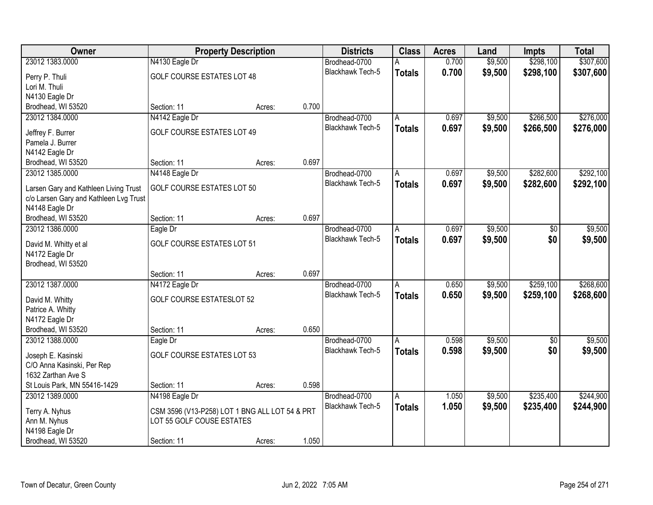| Owner                                  | <b>Property Description</b>                    |        |       | <b>Districts</b>        | <b>Class</b>  | <b>Acres</b> | Land    | <b>Impts</b>    | <b>Total</b> |
|----------------------------------------|------------------------------------------------|--------|-------|-------------------------|---------------|--------------|---------|-----------------|--------------|
| 23012 1383.0000                        | N4130 Eagle Dr                                 |        |       | Brodhead-0700           | А             | 0.700        | \$9,500 | \$298,100       | \$307,600    |
| Perry P. Thuli                         | GOLF COURSE ESTATES LOT 48                     |        |       | Blackhawk Tech-5        | <b>Totals</b> | 0.700        | \$9,500 | \$298,100       | \$307,600    |
| Lori M. Thuli                          |                                                |        |       |                         |               |              |         |                 |              |
| N4130 Eagle Dr                         |                                                |        |       |                         |               |              |         |                 |              |
| Brodhead, WI 53520                     | Section: 11                                    | Acres: | 0.700 |                         |               |              |         |                 |              |
| 23012 1384.0000                        | N4142 Eagle Dr                                 |        |       | Brodhead-0700           | A             | 0.697        | \$9,500 | \$266,500       | \$276,000    |
|                                        |                                                |        |       | <b>Blackhawk Tech-5</b> | <b>Totals</b> | 0.697        | \$9,500 | \$266,500       | \$276,000    |
| Jeffrey F. Burrer                      | GOLF COURSE ESTATES LOT 49                     |        |       |                         |               |              |         |                 |              |
| Pamela J. Burrer                       |                                                |        |       |                         |               |              |         |                 |              |
| N4142 Eagle Dr                         |                                                |        |       |                         |               |              |         |                 |              |
| Brodhead, WI 53520                     | Section: 11                                    | Acres: | 0.697 |                         |               |              |         |                 |              |
| 23012 1385.0000                        | N4148 Eagle Dr                                 |        |       | Brodhead-0700           | A             | 0.697        | \$9,500 | \$282,600       | \$292,100    |
| Larsen Gary and Kathleen Living Trust  | GOLF COURSE ESTATES LOT 50                     |        |       | Blackhawk Tech-5        | <b>Totals</b> | 0.697        | \$9,500 | \$282,600       | \$292,100    |
| c/o Larsen Gary and Kathleen Lvg Trust |                                                |        |       |                         |               |              |         |                 |              |
| N4148 Eagle Dr                         |                                                |        |       |                         |               |              |         |                 |              |
| Brodhead, WI 53520                     | Section: 11                                    | Acres: | 0.697 |                         |               |              |         |                 |              |
| 23012 1386.0000                        | Eagle Dr                                       |        |       | Brodhead-0700           | A             | 0.697        | \$9,500 | \$0             | \$9,500      |
|                                        |                                                |        |       | <b>Blackhawk Tech-5</b> | <b>Totals</b> | 0.697        | \$9,500 | \$0             | \$9,500      |
| David M. Whitty et al                  | <b>GOLF COURSE ESTATES LOT 51</b>              |        |       |                         |               |              |         |                 |              |
| N4172 Eagle Dr<br>Brodhead, WI 53520   |                                                |        |       |                         |               |              |         |                 |              |
|                                        | Section: 11                                    | Acres: | 0.697 |                         |               |              |         |                 |              |
| 23012 1387.0000                        | N4172 Eagle Dr                                 |        |       | Brodhead-0700           | A             | 0.650        | \$9,500 | \$259,100       | \$268,600    |
|                                        |                                                |        |       |                         |               |              |         |                 |              |
| David M. Whitty                        | <b>GOLF COURSE ESTATESLOT 52</b>               |        |       | Blackhawk Tech-5        | <b>Totals</b> | 0.650        | \$9,500 | \$259,100       | \$268,600    |
| Patrice A. Whitty                      |                                                |        |       |                         |               |              |         |                 |              |
| N4172 Eagle Dr                         |                                                |        |       |                         |               |              |         |                 |              |
| Brodhead, WI 53520                     | Section: 11                                    | Acres: | 0.650 |                         |               |              |         |                 |              |
| 23012 1388.0000                        | Eagle Dr                                       |        |       | Brodhead-0700           | A             | 0.598        | \$9,500 | $\overline{50}$ | \$9,500      |
| Joseph E. Kasinski                     | <b>GOLF COURSE ESTATES LOT 53</b>              |        |       | Blackhawk Tech-5        | <b>Totals</b> | 0.598        | \$9,500 | \$0             | \$9,500      |
| C/O Anna Kasinski, Per Rep             |                                                |        |       |                         |               |              |         |                 |              |
| 1632 Zarthan Ave S                     |                                                |        |       |                         |               |              |         |                 |              |
| St Louis Park, MN 55416-1429           | Section: 11                                    | Acres: | 0.598 |                         |               |              |         |                 |              |
| 23012 1389.0000                        | N4198 Eagle Dr                                 |        |       | Brodhead-0700           | A             | 1.050        | \$9,500 | \$235,400       | \$244,900    |
|                                        |                                                |        |       | Blackhawk Tech-5        | <b>Totals</b> | 1.050        | \$9,500 | \$235,400       | \$244,900    |
| Terry A. Nyhus                         | CSM 3596 (V13-P258) LOT 1 BNG ALL LOT 54 & PRT |        |       |                         |               |              |         |                 |              |
| Ann M. Nyhus                           | LOT 55 GOLF COUSE ESTATES                      |        |       |                         |               |              |         |                 |              |
| N4198 Eagle Dr                         |                                                |        |       |                         |               |              |         |                 |              |
| Brodhead, WI 53520                     | Section: 11                                    | Acres: | 1.050 |                         |               |              |         |                 |              |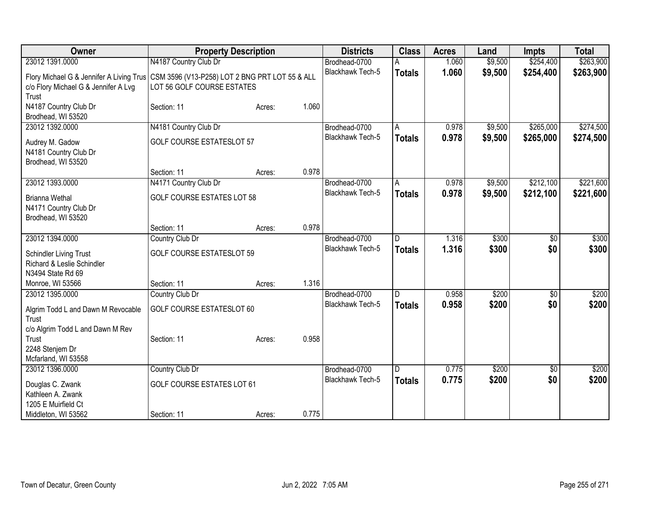| Owner                                                                               | <b>Property Description</b>                                                  |        |       | <b>Districts</b> | <b>Class</b>  | <b>Acres</b> | Land    | <b>Impts</b> | <b>Total</b> |
|-------------------------------------------------------------------------------------|------------------------------------------------------------------------------|--------|-------|------------------|---------------|--------------|---------|--------------|--------------|
| 23012 1391.0000                                                                     | N4187 Country Club Dr                                                        |        |       | Brodhead-0700    |               | 1.060        | \$9,500 | \$254,400    | \$263,900    |
| Flory Michael G & Jennifer A Living Trus<br>c/o Flory Michael G & Jennifer A Lvg    | CSM 3596 (V13-P258) LOT 2 BNG PRT LOT 55 & ALL<br>LOT 56 GOLF COURSE ESTATES |        |       | Blackhawk Tech-5 | <b>Totals</b> | 1.060        | \$9,500 | \$254,400    | \$263,900    |
| Trust<br>N4187 Country Club Dr<br>Brodhead, WI 53520                                | Section: 11                                                                  | Acres: | 1.060 |                  |               |              |         |              |              |
| 23012 1392.0000                                                                     | N4181 Country Club Dr                                                        |        |       | Brodhead-0700    | A             | 0.978        | \$9,500 | \$265,000    | \$274,500    |
| Audrey M. Gadow<br>N4181 Country Club Dr<br>Brodhead, WI 53520                      | <b>GOLF COURSE ESTATESLOT 57</b>                                             |        |       | Blackhawk Tech-5 | <b>Totals</b> | 0.978        | \$9,500 | \$265,000    | \$274,500    |
|                                                                                     | Section: 11                                                                  | Acres: | 0.978 |                  |               |              |         |              |              |
| 23012 1393.0000                                                                     | N4171 Country Club Dr                                                        |        |       | Brodhead-0700    | A             | 0.978        | \$9,500 | \$212,100    | \$221,600    |
| <b>Brianna Wethal</b><br>N4171 Country Club Dr<br>Brodhead, WI 53520                | <b>GOLF COURSE ESTATES LOT 58</b>                                            |        |       | Blackhawk Tech-5 | <b>Totals</b> | 0.978        | \$9,500 | \$212,100    | \$221,600    |
|                                                                                     | Section: 11                                                                  | Acres: | 0.978 |                  |               |              |         |              |              |
| 23012 1394.0000                                                                     | Country Club Dr                                                              |        |       | Brodhead-0700    | D             | 1.316        | \$300   | \$0          | \$300        |
| <b>Schindler Living Trust</b><br>Richard & Leslie Schindler                         | <b>GOLF COURSE ESTATESLOT 59</b>                                             |        |       | Blackhawk Tech-5 | <b>Totals</b> | 1.316        | \$300   | \$0          | \$300        |
| N3494 State Rd 69                                                                   |                                                                              |        | 1.316 |                  |               |              |         |              |              |
| Monroe, WI 53566<br>23012 1395.0000                                                 | Section: 11<br>Country Club Dr                                               | Acres: |       | Brodhead-0700    | D             | 0.958        | \$200   | \$0          | \$200        |
| Algrim Todd L and Dawn M Revocable<br>Trust<br>c/o Algrim Todd L and Dawn M Rev     | GOLF COURSE ESTATESLOT 60                                                    |        |       | Blackhawk Tech-5 | <b>Totals</b> | 0.958        | \$200   | \$0          | \$200        |
| Trust<br>2248 Stenjem Dr<br>Mcfarland, WI 53558                                     | Section: 11                                                                  | Acres: | 0.958 |                  |               |              |         |              |              |
| 23012 1396.0000                                                                     | Country Club Dr                                                              |        |       | Brodhead-0700    | D             | 0.775        | \$200   | \$0          | \$200        |
| Douglas C. Zwank<br>Kathleen A. Zwank<br>1205 E Muirfield Ct<br>Middleton, WI 53562 | <b>GOLF COURSE ESTATES LOT 61</b><br>Section: 11                             | Acres: | 0.775 | Blackhawk Tech-5 | <b>Totals</b> | 0.775        | \$200   | \$0          | \$200        |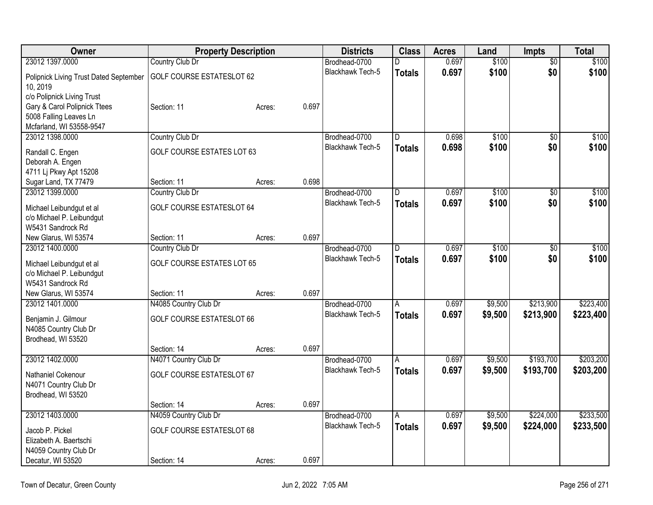| Owner                                  |                                   | <b>Property Description</b> |       | <b>Districts</b>        | <b>Class</b>   | <b>Acres</b> | Land    | <b>Impts</b>    | <b>Total</b> |
|----------------------------------------|-----------------------------------|-----------------------------|-------|-------------------------|----------------|--------------|---------|-----------------|--------------|
| 23012 1397.0000                        | Country Club Dr                   |                             |       | Brodhead-0700           | D              | 0.697        | \$100   | $\overline{50}$ | \$100        |
| Polipnick Living Trust Dated September | <b>GOLF COURSE ESTATESLOT 62</b>  |                             |       | <b>Blackhawk Tech-5</b> | <b>Totals</b>  | 0.697        | \$100   | \$0             | \$100        |
| 10, 2019                               |                                   |                             |       |                         |                |              |         |                 |              |
| c/o Polipnick Living Trust             |                                   |                             |       |                         |                |              |         |                 |              |
| Gary & Carol Polipnick Ttees           | Section: 11                       | Acres:                      | 0.697 |                         |                |              |         |                 |              |
| 5008 Falling Leaves Ln                 |                                   |                             |       |                         |                |              |         |                 |              |
| Mcfarland, WI 53558-9547               |                                   |                             |       |                         |                |              |         |                 |              |
| 23012 1398,0000                        | Country Club Dr                   |                             |       | Brodhead-0700           | D              | 0.698        | \$100   | $\overline{50}$ | \$100        |
| Randall C. Engen                       | GOLF COURSE ESTATES LOT 63        |                             |       | Blackhawk Tech-5        | <b>Totals</b>  | 0.698        | \$100   | \$0             | \$100        |
| Deborah A. Engen                       |                                   |                             |       |                         |                |              |         |                 |              |
| 4711 Lj Pkwy Apt 15208                 |                                   |                             |       |                         |                |              |         |                 |              |
| Sugar Land, TX 77479                   | Section: 11                       | Acres:                      | 0.698 |                         |                |              |         |                 |              |
| 23012 1399.0000                        | Country Club Dr                   |                             |       | Brodhead-0700           | ID.            | 0.697        | \$100   | \$0             | \$100        |
| Michael Leibundgut et al               | <b>GOLF COURSE ESTATESLOT 64</b>  |                             |       | <b>Blackhawk Tech-5</b> | <b>Totals</b>  | 0.697        | \$100   | \$0             | \$100        |
| c/o Michael P. Leibundgut              |                                   |                             |       |                         |                |              |         |                 |              |
| W5431 Sandrock Rd                      |                                   |                             |       |                         |                |              |         |                 |              |
| New Glarus, WI 53574                   | Section: 11                       | Acres:                      | 0.697 |                         |                |              |         |                 |              |
| 23012 1400.0000                        | Country Club Dr                   |                             |       | Brodhead-0700           | ID.            | 0.697        | \$100   | \$0             | \$100        |
| Michael Leibundgut et al               | <b>GOLF COURSE ESTATES LOT 65</b> |                             |       | Blackhawk Tech-5        | <b>Totals</b>  | 0.697        | \$100   | \$0             | \$100        |
| c/o Michael P. Leibundgut              |                                   |                             |       |                         |                |              |         |                 |              |
| W5431 Sandrock Rd                      |                                   |                             |       |                         |                |              |         |                 |              |
| New Glarus, WI 53574                   | Section: 11                       | Acres:                      | 0.697 |                         |                |              |         |                 |              |
| 23012 1401.0000                        | N4085 Country Club Dr             |                             |       | Brodhead-0700           | $\overline{A}$ | 0.697        | \$9,500 | \$213,900       | \$223,400    |
| Benjamin J. Gilmour                    | <b>GOLF COURSE ESTATESLOT 66</b>  |                             |       | Blackhawk Tech-5        | <b>Totals</b>  | 0.697        | \$9,500 | \$213,900       | \$223,400    |
| N4085 Country Club Dr                  |                                   |                             |       |                         |                |              |         |                 |              |
| Brodhead, WI 53520                     |                                   |                             |       |                         |                |              |         |                 |              |
|                                        | Section: 14                       | Acres:                      | 0.697 |                         |                |              |         |                 |              |
| 23012 1402.0000                        | N4071 Country Club Dr             |                             |       | Brodhead-0700           | A              | 0.697        | \$9,500 | \$193,700       | \$203,200    |
| Nathaniel Cokenour                     | <b>GOLF COURSE ESTATESLOT 67</b>  |                             |       | <b>Blackhawk Tech-5</b> | Totals         | 0.697        | \$9,500 | \$193,700       | \$203,200    |
| N4071 Country Club Dr                  |                                   |                             |       |                         |                |              |         |                 |              |
| Brodhead, WI 53520                     |                                   |                             |       |                         |                |              |         |                 |              |
|                                        | Section: 14                       | Acres:                      | 0.697 |                         |                |              |         |                 |              |
| 23012 1403.0000                        | N4059 Country Club Dr             |                             |       | Brodhead-0700           | $\overline{A}$ | 0.697        | \$9,500 | \$224,000       | \$233,500    |
| Jacob P. Pickel                        | <b>GOLF COURSE ESTATESLOT 68</b>  |                             |       | <b>Blackhawk Tech-5</b> | <b>Totals</b>  | 0.697        | \$9,500 | \$224,000       | \$233,500    |
| Elizabeth A. Baertschi                 |                                   |                             |       |                         |                |              |         |                 |              |
| N4059 Country Club Dr                  |                                   |                             |       |                         |                |              |         |                 |              |
| Decatur, WI 53520                      | Section: 14                       | Acres:                      | 0.697 |                         |                |              |         |                 |              |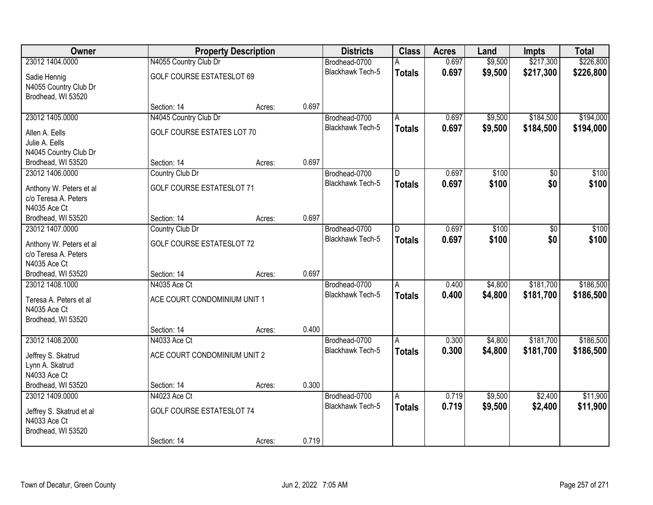| <b>Owner</b>             |                                  | <b>Property Description</b> |       | <b>Districts</b>        | <b>Class</b>            | <b>Acres</b> | Land    | <b>Impts</b> | <b>Total</b> |
|--------------------------|----------------------------------|-----------------------------|-------|-------------------------|-------------------------|--------------|---------|--------------|--------------|
| 23012 1404.0000          | N4055 Country Club Dr            |                             |       | Brodhead-0700           |                         | 0.697        | \$9,500 | \$217,300    | \$226,800    |
| Sadie Hennig             | <b>GOLF COURSE ESTATESLOT 69</b> |                             |       | Blackhawk Tech-5        | <b>Totals</b>           | 0.697        | \$9,500 | \$217,300    | \$226,800    |
| N4055 Country Club Dr    |                                  |                             |       |                         |                         |              |         |              |              |
| Brodhead, WI 53520       |                                  |                             |       |                         |                         |              |         |              |              |
|                          | Section: 14                      | Acres:                      | 0.697 |                         |                         |              |         |              |              |
| 23012 1405.0000          | N4045 Country Club Dr            |                             |       | Brodhead-0700           | Α                       | 0.697        | \$9,500 | \$184,500    | \$194,000    |
| Allen A. Eells           | GOLF COURSE ESTATES LOT 70       |                             |       | <b>Blackhawk Tech-5</b> | <b>Totals</b>           | 0.697        | \$9,500 | \$184,500    | \$194,000    |
| Julie A. Eells           |                                  |                             |       |                         |                         |              |         |              |              |
| N4045 Country Club Dr    |                                  |                             |       |                         |                         |              |         |              |              |
| Brodhead, WI 53520       | Section: 14                      | Acres:                      | 0.697 |                         |                         |              |         |              |              |
| 23012 1406.0000          | Country Club Dr                  |                             |       | Brodhead-0700           | $\overline{\mathsf{D}}$ | 0.697        | \$100   | \$0          | \$100        |
| Anthony W. Peters et al  | <b>GOLF COURSE ESTATESLOT 71</b> |                             |       | Blackhawk Tech-5        | <b>Totals</b>           | 0.697        | \$100   | \$0          | \$100        |
| c/o Teresa A. Peters     |                                  |                             |       |                         |                         |              |         |              |              |
| N4035 Ace Ct             |                                  |                             |       |                         |                         |              |         |              |              |
| Brodhead, WI 53520       | Section: 14                      | Acres:                      | 0.697 |                         |                         |              |         |              |              |
| 23012 1407.0000          | Country Club Dr                  |                             |       | Brodhead-0700           | D                       | 0.697        | \$100   | \$0          | \$100        |
| Anthony W. Peters et al  | <b>GOLF COURSE ESTATESLOT 72</b> |                             |       | <b>Blackhawk Tech-5</b> | <b>Totals</b>           | 0.697        | \$100   | \$0          | \$100        |
| c/o Teresa A. Peters     |                                  |                             |       |                         |                         |              |         |              |              |
| N4035 Ace Ct             |                                  |                             |       |                         |                         |              |         |              |              |
| Brodhead, WI 53520       | Section: 14                      | Acres:                      | 0.697 |                         |                         |              |         |              |              |
| 23012 1408.1000          | N4035 Ace Ct                     |                             |       | Brodhead-0700           | $\overline{A}$          | 0.400        | \$4,800 | \$181,700    | \$186,500    |
| Teresa A. Peters et al   | ACE COURT CONDOMINIUM UNIT 1     |                             |       | <b>Blackhawk Tech-5</b> | <b>Totals</b>           | 0.400        | \$4,800 | \$181,700    | \$186,500    |
| N4035 Ace Ct             |                                  |                             |       |                         |                         |              |         |              |              |
| Brodhead, WI 53520       |                                  |                             |       |                         |                         |              |         |              |              |
|                          | Section: 14                      | Acres:                      | 0.400 |                         |                         |              |         |              |              |
| 23012 1408.2000          | N4033 Ace Ct                     |                             |       | Brodhead-0700           | Α                       | 0.300        | \$4,800 | \$181,700    | \$186,500    |
| Jeffrey S. Skatrud       | ACE COURT CONDOMINIUM UNIT 2     |                             |       | <b>Blackhawk Tech-5</b> | <b>Totals</b>           | 0.300        | \$4,800 | \$181,700    | \$186,500    |
| Lynn A. Skatrud          |                                  |                             |       |                         |                         |              |         |              |              |
| N4033 Ace Ct             |                                  |                             |       |                         |                         |              |         |              |              |
| Brodhead, WI 53520       | Section: 14                      | Acres:                      | 0.300 |                         |                         |              |         |              |              |
| 23012 1409.0000          | N4023 Ace Ct                     |                             |       | Brodhead-0700           | $\overline{A}$          | 0.719        | \$9,500 | \$2,400      | \$11,900     |
| Jeffrey S. Skatrud et al | <b>GOLF COURSE ESTATESLOT 74</b> |                             |       | <b>Blackhawk Tech-5</b> | <b>Totals</b>           | 0.719        | \$9,500 | \$2,400      | \$11,900     |
| N4033 Ace Ct             |                                  |                             |       |                         |                         |              |         |              |              |
| Brodhead, WI 53520       |                                  |                             |       |                         |                         |              |         |              |              |
|                          | Section: 14                      | Acres:                      | 0.719 |                         |                         |              |         |              |              |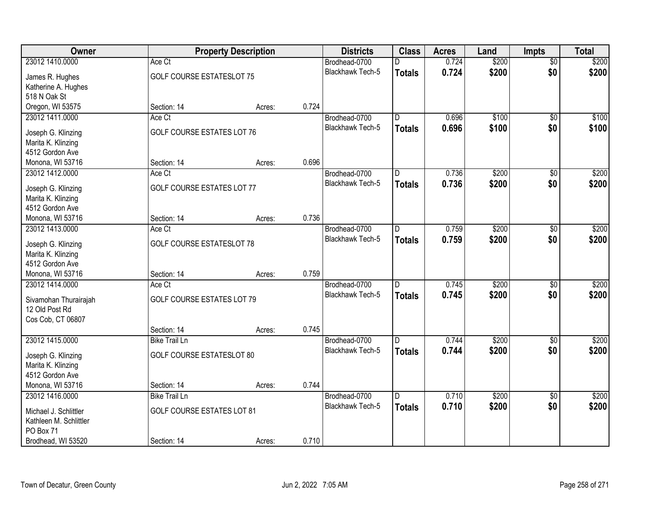| Owner                                    |                                   | <b>Property Description</b> |       | <b>Districts</b>        | <b>Class</b>   | <b>Acres</b> | Land  | <b>Impts</b>    | <b>Total</b> |
|------------------------------------------|-----------------------------------|-----------------------------|-------|-------------------------|----------------|--------------|-------|-----------------|--------------|
| 23012 1410.0000                          | Ace Ct                            |                             |       | Brodhead-0700           |                | 0.724        | \$200 | $\overline{50}$ | \$200        |
| James R. Hughes                          | <b>GOLF COURSE ESTATESLOT 75</b>  |                             |       | <b>Blackhawk Tech-5</b> | <b>Totals</b>  | 0.724        | \$200 | \$0             | \$200        |
| Katherine A. Hughes                      |                                   |                             |       |                         |                |              |       |                 |              |
| 518 N Oak St                             |                                   |                             |       |                         |                |              |       |                 |              |
| Oregon, WI 53575                         | Section: 14                       | Acres:                      | 0.724 |                         |                |              |       |                 |              |
| 23012 1411.0000                          | Ace Ct                            |                             |       | Brodhead-0700           | $\overline{D}$ | 0.696        | \$100 | $\overline{50}$ | \$100        |
| Joseph G. Klinzing                       | GOLF COURSE ESTATES LOT 76        |                             |       | Blackhawk Tech-5        | <b>Totals</b>  | 0.696        | \$100 | \$0             | \$100        |
| Marita K. Klinzing                       |                                   |                             |       |                         |                |              |       |                 |              |
| 4512 Gordon Ave                          |                                   |                             |       |                         |                |              |       |                 |              |
| Monona, WI 53716                         | Section: 14                       | Acres:                      | 0.696 |                         |                |              |       |                 |              |
| 23012 1412.0000                          | Ace Ct                            |                             |       | Brodhead-0700           | ID.            | 0.736        | \$200 | \$0             | \$200        |
| Joseph G. Klinzing                       | GOLF COURSE ESTATES LOT 77        |                             |       | Blackhawk Tech-5        | <b>Totals</b>  | 0.736        | \$200 | \$0             | \$200        |
| Marita K. Klinzing                       |                                   |                             |       |                         |                |              |       |                 |              |
| 4512 Gordon Ave                          |                                   |                             |       |                         |                |              |       |                 |              |
| Monona, WI 53716                         | Section: 14                       | Acres:                      | 0.736 |                         |                |              |       |                 |              |
| 23012 1413.0000                          | Ace Ct                            |                             |       | Brodhead-0700           | ID.            | 0.759        | \$200 | \$0             | \$200        |
|                                          | <b>GOLF COURSE ESTATESLOT 78</b>  |                             |       | Blackhawk Tech-5        | <b>Totals</b>  | 0.759        | \$200 | \$0             | \$200        |
| Joseph G. Klinzing<br>Marita K. Klinzing |                                   |                             |       |                         |                |              |       |                 |              |
| 4512 Gordon Ave                          |                                   |                             |       |                         |                |              |       |                 |              |
| Monona, WI 53716                         | Section: 14                       | Acres:                      | 0.759 |                         |                |              |       |                 |              |
| 23012 1414.0000                          | Ace Ct                            |                             |       | Brodhead-0700           | D              | 0.745        | \$200 | \$0             | \$200        |
|                                          |                                   |                             |       | <b>Blackhawk Tech-5</b> | <b>Totals</b>  | 0.745        | \$200 | \$0             | \$200        |
| Sivamohan Thurairajah<br>12 Old Post Rd  | <b>GOLF COURSE ESTATES LOT 79</b> |                             |       |                         |                |              |       |                 |              |
| Cos Cob, CT 06807                        |                                   |                             |       |                         |                |              |       |                 |              |
|                                          | Section: 14                       | Acres:                      | 0.745 |                         |                |              |       |                 |              |
| 23012 1415.0000                          | <b>Bike Trail Ln</b>              |                             |       | Brodhead-0700           | ID.            | 0.744        | \$200 | \$0             | \$200        |
|                                          |                                   |                             |       | <b>Blackhawk Tech-5</b> | <b>Totals</b>  | 0.744        | \$200 | \$0             | \$200        |
| Joseph G. Klinzing                       | <b>GOLF COURSE ESTATESLOT 80</b>  |                             |       |                         |                |              |       |                 |              |
| Marita K. Klinzing<br>4512 Gordon Ave    |                                   |                             |       |                         |                |              |       |                 |              |
| Monona, WI 53716                         | Section: 14                       | Acres:                      | 0.744 |                         |                |              |       |                 |              |
| 23012 1416.0000                          | <b>Bike Trail Ln</b>              |                             |       | Brodhead-0700           | ID.            | 0.710        | \$200 | $\overline{50}$ | \$200        |
|                                          |                                   |                             |       | <b>Blackhawk Tech-5</b> | <b>Totals</b>  | 0.710        | \$200 | \$0             | \$200        |
| Michael J. Schlittler                    | <b>GOLF COURSE ESTATES LOT 81</b> |                             |       |                         |                |              |       |                 |              |
| Kathleen M. Schlittler                   |                                   |                             |       |                         |                |              |       |                 |              |
| PO Box 71<br>Brodhead, WI 53520          | Section: 14                       |                             | 0.710 |                         |                |              |       |                 |              |
|                                          |                                   | Acres:                      |       |                         |                |              |       |                 |              |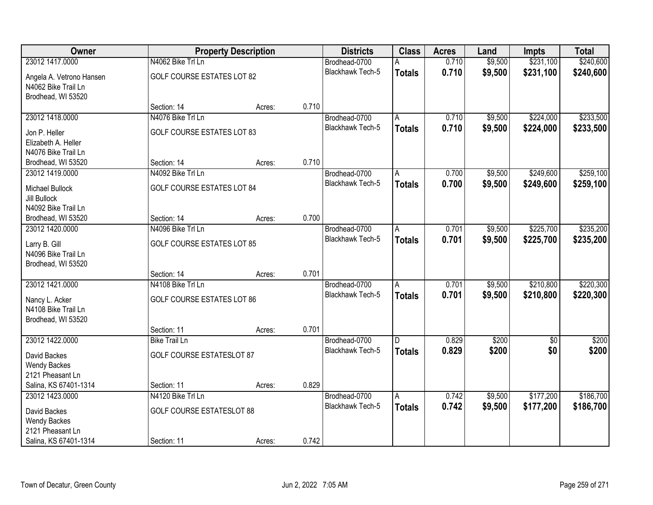| Owner                                     |                                   | <b>Property Description</b> |       | <b>Districts</b>        | <b>Class</b>   | <b>Acres</b> | Land    | <b>Impts</b>    | <b>Total</b> |
|-------------------------------------------|-----------------------------------|-----------------------------|-------|-------------------------|----------------|--------------|---------|-----------------|--------------|
| 23012 1417.0000                           | N4062 Bike Trl Ln                 |                             |       | Brodhead-0700           | A              | 0.710        | \$9,500 | \$231,100       | \$240,600    |
| Angela A. Vetrono Hansen                  | <b>GOLF COURSE ESTATES LOT 82</b> |                             |       | Blackhawk Tech-5        | <b>Totals</b>  | 0.710        | \$9,500 | \$231,100       | \$240,600    |
| N4062 Bike Trail Ln<br>Brodhead, WI 53520 |                                   |                             |       |                         |                |              |         |                 |              |
|                                           | Section: 14                       | Acres:                      | 0.710 |                         |                |              |         |                 |              |
| 23012 1418.0000                           | N4076 Bike Trl Ln                 |                             |       | Brodhead-0700           | A              | 0.710        | \$9,500 | \$224,000       | \$233,500    |
| Jon P. Heller                             | <b>GOLF COURSE ESTATES LOT 83</b> |                             |       | Blackhawk Tech-5        | <b>Totals</b>  | 0.710        | \$9,500 | \$224,000       | \$233,500    |
| Elizabeth A. Heller                       |                                   |                             |       |                         |                |              |         |                 |              |
| N4076 Bike Trail Ln                       |                                   |                             |       |                         |                |              |         |                 |              |
| Brodhead, WI 53520                        | Section: 14                       | Acres:                      | 0.710 |                         |                |              |         |                 |              |
| 23012 1419.0000                           | N4092 Bike Trl Ln                 |                             |       | Brodhead-0700           | A              | 0.700        | \$9,500 | \$249,600       | \$259,100    |
| Michael Bullock                           | <b>GOLF COURSE ESTATES LOT 84</b> |                             |       | Blackhawk Tech-5        | <b>Totals</b>  | 0.700        | \$9,500 | \$249,600       | \$259,100    |
| <b>Jill Bullock</b>                       |                                   |                             |       |                         |                |              |         |                 |              |
| N4092 Bike Trail Ln                       |                                   |                             |       |                         |                |              |         |                 |              |
| Brodhead, WI 53520                        | Section: 14                       | Acres:                      | 0.700 |                         |                |              |         |                 |              |
| 23012 1420.0000                           | N4096 Bike Trl Ln                 |                             |       | Brodhead-0700           | Α              | 0.701        | \$9,500 | \$225,700       | \$235,200    |
| Larry B. Gill                             | <b>GOLF COURSE ESTATES LOT 85</b> |                             |       | <b>Blackhawk Tech-5</b> | <b>Totals</b>  | 0.701        | \$9,500 | \$225,700       | \$235,200    |
| N4096 Bike Trail Ln                       |                                   |                             |       |                         |                |              |         |                 |              |
| Brodhead, WI 53520                        |                                   |                             |       |                         |                |              |         |                 |              |
|                                           | Section: 14                       | Acres:                      | 0.701 |                         |                |              |         |                 |              |
| 23012 1421.0000                           | N4108 Bike Trl Ln                 |                             |       | Brodhead-0700           | $\overline{A}$ | 0.701        | \$9,500 | \$210,800       | \$220,300    |
| Nancy L. Acker                            | <b>GOLF COURSE ESTATES LOT 86</b> |                             |       | Blackhawk Tech-5        | <b>Totals</b>  | 0.701        | \$9,500 | \$210,800       | \$220,300    |
| N4108 Bike Trail Ln                       |                                   |                             |       |                         |                |              |         |                 |              |
| Brodhead, WI 53520                        |                                   |                             |       |                         |                |              |         |                 |              |
|                                           | Section: 11                       | Acres:                      | 0.701 |                         |                |              |         |                 |              |
| 23012 1422.0000                           | <b>Bike Trail Ln</b>              |                             |       | Brodhead-0700           | D              | 0.829        | \$200   | $\overline{50}$ | \$200        |
| David Backes                              | <b>GOLF COURSE ESTATESLOT 87</b>  |                             |       | Blackhawk Tech-5        | <b>Totals</b>  | 0.829        | \$200   | \$0             | \$200        |
| <b>Wendy Backes</b>                       |                                   |                             |       |                         |                |              |         |                 |              |
| 2121 Pheasant Ln                          |                                   |                             |       |                         |                |              |         |                 |              |
| Salina, KS 67401-1314                     | Section: 11                       | Acres:                      | 0.829 |                         |                |              |         |                 |              |
| 23012 1423.0000                           | N4120 Bike Trl Ln                 |                             |       | Brodhead-0700           | A              | 0.742        | \$9,500 | \$177,200       | \$186,700    |
| David Backes                              | <b>GOLF COURSE ESTATESLOT 88</b>  |                             |       | Blackhawk Tech-5        | <b>Totals</b>  | 0.742        | \$9,500 | \$177,200       | \$186,700    |
| <b>Wendy Backes</b>                       |                                   |                             |       |                         |                |              |         |                 |              |
| 2121 Pheasant Ln                          |                                   |                             |       |                         |                |              |         |                 |              |
| Salina, KS 67401-1314                     | Section: 11                       | Acres:                      | 0.742 |                         |                |              |         |                 |              |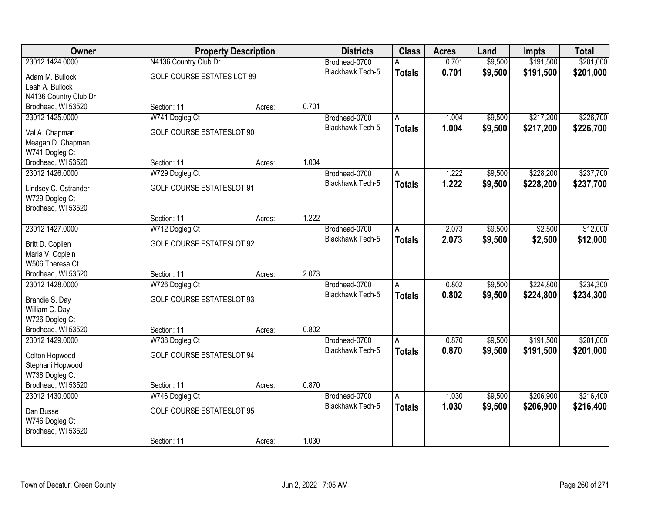| Owner                 |                                  | <b>Property Description</b> |       | <b>Districts</b>        | <b>Class</b>            | <b>Acres</b> | Land    | <b>Impts</b> | <b>Total</b> |
|-----------------------|----------------------------------|-----------------------------|-------|-------------------------|-------------------------|--------------|---------|--------------|--------------|
| 23012 1424.0000       | N4136 Country Club Dr            |                             |       | Brodhead-0700           | А                       | 0.701        | \$9,500 | \$191,500    | \$201,000    |
| Adam M. Bullock       | GOLF COURSE ESTATES LOT 89       |                             |       | Blackhawk Tech-5        | <b>Totals</b>           | 0.701        | \$9,500 | \$191,500    | \$201,000    |
| Leah A. Bullock       |                                  |                             |       |                         |                         |              |         |              |              |
| N4136 Country Club Dr |                                  |                             |       |                         |                         |              |         |              |              |
| Brodhead, WI 53520    | Section: 11                      | Acres:                      | 0.701 |                         |                         |              |         |              |              |
| 23012 1425.0000       | W741 Dogleg Ct                   |                             |       | Brodhead-0700           | A                       | 1.004        | \$9,500 | \$217,200    | \$226,700    |
| Val A. Chapman        | <b>GOLF COURSE ESTATESLOT 90</b> |                             |       | <b>Blackhawk Tech-5</b> | <b>Totals</b>           | 1.004        | \$9,500 | \$217,200    | \$226,700    |
| Meagan D. Chapman     |                                  |                             |       |                         |                         |              |         |              |              |
| W741 Dogleg Ct        |                                  |                             |       |                         |                         |              |         |              |              |
| Brodhead, WI 53520    | Section: 11                      | Acres:                      | 1.004 |                         |                         |              |         |              |              |
| 23012 1426.0000       | W729 Dogleg Ct                   |                             |       | Brodhead-0700           | A                       | 1.222        | \$9,500 | \$228,200    | \$237,700    |
|                       |                                  |                             |       | <b>Blackhawk Tech-5</b> | <b>Totals</b>           | 1.222        | \$9,500 | \$228,200    | \$237,700    |
| Lindsey C. Ostrander  | <b>GOLF COURSE ESTATESLOT 91</b> |                             |       |                         |                         |              |         |              |              |
| W729 Dogleg Ct        |                                  |                             |       |                         |                         |              |         |              |              |
| Brodhead, WI 53520    |                                  |                             | 1.222 |                         |                         |              |         |              |              |
| 23012 1427.0000       | Section: 11                      | Acres:                      |       | Brodhead-0700           |                         | 2.073        | \$9,500 | \$2,500      | \$12,000     |
|                       | W712 Dogleg Ct                   |                             |       | <b>Blackhawk Tech-5</b> | Α                       |              |         |              |              |
| Britt D. Coplien      | <b>GOLF COURSE ESTATESLOT 92</b> |                             |       |                         | <b>Totals</b>           | 2.073        | \$9,500 | \$2,500      | \$12,000     |
| Maria V. Coplein      |                                  |                             |       |                         |                         |              |         |              |              |
| W506 Theresa Ct       |                                  |                             |       |                         |                         |              |         |              |              |
| Brodhead, WI 53520    | Section: 11                      | Acres:                      | 2.073 |                         |                         |              |         |              |              |
| 23012 1428.0000       | W726 Dogleg Ct                   |                             |       | Brodhead-0700           | A                       | 0.802        | \$9,500 | \$224,800    | \$234,300    |
| Brandie S. Day        | <b>GOLF COURSE ESTATESLOT 93</b> |                             |       | <b>Blackhawk Tech-5</b> | <b>Totals</b>           | 0.802        | \$9,500 | \$224,800    | \$234,300    |
| William C. Day        |                                  |                             |       |                         |                         |              |         |              |              |
| W726 Dogleg Ct        |                                  |                             |       |                         |                         |              |         |              |              |
| Brodhead, WI 53520    | Section: 11                      | Acres:                      | 0.802 |                         |                         |              |         |              |              |
| 23012 1429.0000       | W738 Dogleg Ct                   |                             |       | Brodhead-0700           | A                       | 0.870        | \$9,500 | \$191,500    | \$201,000    |
| Colton Hopwood        | <b>GOLF COURSE ESTATESLOT 94</b> |                             |       | Blackhawk Tech-5        | <b>Totals</b>           | 0.870        | \$9,500 | \$191,500    | \$201,000    |
| Stephani Hopwood      |                                  |                             |       |                         |                         |              |         |              |              |
| W738 Dogleg Ct        |                                  |                             |       |                         |                         |              |         |              |              |
| Brodhead, WI 53520    | Section: 11                      | Acres:                      | 0.870 |                         |                         |              |         |              |              |
| 23012 1430.0000       | W746 Dogleg Ct                   |                             |       | Brodhead-0700           | $\overline{\mathsf{A}}$ | 1.030        | \$9,500 | \$206,900    | \$216,400    |
|                       |                                  |                             |       | <b>Blackhawk Tech-5</b> | <b>Totals</b>           | 1.030        | \$9,500 | \$206,900    | \$216,400    |
| Dan Busse             | <b>GOLF COURSE ESTATESLOT 95</b> |                             |       |                         |                         |              |         |              |              |
| W746 Dogleg Ct        |                                  |                             |       |                         |                         |              |         |              |              |
| Brodhead, WI 53520    | Section: 11                      |                             | 1.030 |                         |                         |              |         |              |              |
|                       |                                  | Acres:                      |       |                         |                         |              |         |              |              |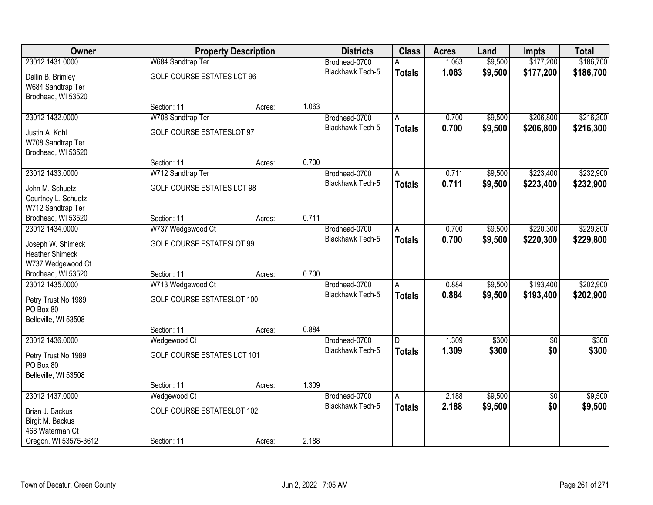| Owner                  |                                   | <b>Property Description</b> |       | <b>Districts</b>        | <b>Class</b>            | <b>Acres</b> | Land    | Impts           | <b>Total</b> |
|------------------------|-----------------------------------|-----------------------------|-------|-------------------------|-------------------------|--------------|---------|-----------------|--------------|
| 23012 1431.0000        | W684 Sandtrap Ter                 |                             |       | Brodhead-0700           | A                       | 1.063        | \$9,500 | \$177,200       | \$186,700    |
| Dallin B. Brimley      | <b>GOLF COURSE ESTATES LOT 96</b> |                             |       | <b>Blackhawk Tech-5</b> | <b>Totals</b>           | 1.063        | \$9,500 | \$177,200       | \$186,700    |
| W684 Sandtrap Ter      |                                   |                             |       |                         |                         |              |         |                 |              |
| Brodhead, WI 53520     |                                   |                             |       |                         |                         |              |         |                 |              |
|                        | Section: 11                       | Acres:                      | 1.063 |                         |                         |              |         |                 |              |
| 23012 1432.0000        | W708 Sandtrap Ter                 |                             |       | Brodhead-0700           | A                       | 0.700        | \$9,500 | \$206,800       | \$216,300    |
| Justin A. Kohl         | <b>GOLF COURSE ESTATESLOT 97</b>  |                             |       | Blackhawk Tech-5        | <b>Totals</b>           | 0.700        | \$9,500 | \$206,800       | \$216,300    |
| W708 Sandtrap Ter      |                                   |                             |       |                         |                         |              |         |                 |              |
| Brodhead, WI 53520     |                                   |                             |       |                         |                         |              |         |                 |              |
|                        | Section: 11                       | Acres:                      | 0.700 |                         |                         |              |         |                 |              |
| 23012 1433.0000        | W712 Sandtrap Ter                 |                             |       | Brodhead-0700           | A                       | 0.711        | \$9,500 | \$223,400       | \$232,900    |
| John M. Schuetz        | <b>GOLF COURSE ESTATES LOT 98</b> |                             |       | Blackhawk Tech-5        | <b>Totals</b>           | 0.711        | \$9,500 | \$223,400       | \$232,900    |
| Courtney L. Schuetz    |                                   |                             |       |                         |                         |              |         |                 |              |
| W712 Sandtrap Ter      |                                   |                             |       |                         |                         |              |         |                 |              |
| Brodhead, WI 53520     | Section: 11                       | Acres:                      | 0.711 |                         |                         |              |         |                 |              |
| 23012 1434.0000        | W737 Wedgewood Ct                 |                             |       | Brodhead-0700           | A                       | 0.700        | \$9,500 | \$220,300       | \$229,800    |
| Joseph W. Shimeck      | <b>GOLF COURSE ESTATESLOT 99</b>  |                             |       | Blackhawk Tech-5        | <b>Totals</b>           | 0.700        | \$9,500 | \$220,300       | \$229,800    |
| <b>Heather Shimeck</b> |                                   |                             |       |                         |                         |              |         |                 |              |
| W737 Wedgewood Ct      |                                   |                             |       |                         |                         |              |         |                 |              |
| Brodhead, WI 53520     | Section: 11                       | Acres:                      | 0.700 |                         |                         |              |         |                 |              |
| 23012 1435,0000        | W713 Wedgewood Ct                 |                             |       | Brodhead-0700           | A                       | 0.884        | \$9,500 | \$193,400       | \$202,900    |
| Petry Trust No 1989    | GOLF COURSE ESTATESLOT 100        |                             |       | Blackhawk Tech-5        | <b>Totals</b>           | 0.884        | \$9,500 | \$193,400       | \$202,900    |
| PO Box 80              |                                   |                             |       |                         |                         |              |         |                 |              |
| Belleville, WI 53508   |                                   |                             |       |                         |                         |              |         |                 |              |
|                        | Section: 11                       | Acres:                      | 0.884 |                         |                         |              |         |                 |              |
| 23012 1436,0000        | Wedgewood Ct                      |                             |       | Brodhead-0700           | D                       | 1.309        | \$300   | $\sqrt{6}$      | \$300        |
| Petry Trust No 1989    | GOLF COURSE ESTATES LOT 101       |                             |       | Blackhawk Tech-5        | <b>Totals</b>           | 1.309        | \$300   | \$0             | \$300        |
| PO Box 80              |                                   |                             |       |                         |                         |              |         |                 |              |
| Belleville, WI 53508   |                                   |                             |       |                         |                         |              |         |                 |              |
|                        | Section: 11                       | Acres:                      | 1.309 |                         |                         |              |         |                 |              |
| 23012 1437.0000        | Wedgewood Ct                      |                             |       | Brodhead-0700           | $\overline{\mathsf{A}}$ | 2.188        | \$9,500 | $\overline{50}$ | \$9,500      |
| Brian J. Backus        | GOLF COURSE ESTATESLOT 102        |                             |       | <b>Blackhawk Tech-5</b> | <b>Totals</b>           | 2.188        | \$9,500 | \$0             | \$9,500      |
| Birgit M. Backus       |                                   |                             |       |                         |                         |              |         |                 |              |
| 468 Waterman Ct        |                                   |                             |       |                         |                         |              |         |                 |              |
| Oregon, WI 53575-3612  | Section: 11                       | Acres:                      | 2.188 |                         |                         |              |         |                 |              |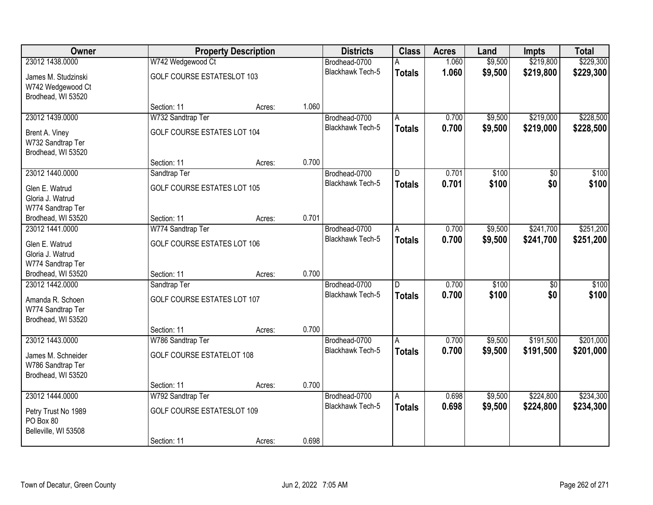| Owner                                                          |                                    | <b>Property Description</b> |       | <b>Districts</b>        | <b>Class</b>            | <b>Acres</b> | Land    | Impts           | <b>Total</b> |
|----------------------------------------------------------------|------------------------------------|-----------------------------|-------|-------------------------|-------------------------|--------------|---------|-----------------|--------------|
| 23012 1438,0000                                                | W742 Wedgewood Ct                  |                             |       | Brodhead-0700           | A                       | 1.060        | \$9,500 | \$219,800       | \$229,300    |
| James M. Studzinski<br>W742 Wedgewood Ct<br>Brodhead, WI 53520 | <b>GOLF COURSE ESTATESLOT 103</b>  |                             |       | <b>Blackhawk Tech-5</b> | <b>Totals</b>           | 1.060        | \$9,500 | \$219,800       | \$229,300    |
|                                                                | Section: 11                        | Acres:                      | 1.060 |                         |                         |              |         |                 |              |
| 23012 1439.0000                                                | W732 Sandtrap Ter                  |                             |       | Brodhead-0700           | A                       | 0.700        | \$9,500 | \$219,000       | \$228,500    |
| Brent A. Viney<br>W732 Sandtrap Ter<br>Brodhead, WI 53520      | GOLF COURSE ESTATES LOT 104        |                             |       | Blackhawk Tech-5        | <b>Totals</b>           | 0.700        | \$9,500 | \$219,000       | \$228,500    |
|                                                                | Section: 11                        | Acres:                      | 0.700 |                         |                         |              |         |                 |              |
| 23012 1440.0000                                                | Sandtrap Ter                       |                             |       | Brodhead-0700           | $\overline{\mathsf{D}}$ | 0.701        | \$100   | $\overline{50}$ | \$100        |
| Glen E. Watrud<br>Gloria J. Watrud<br>W774 Sandtrap Ter        | GOLF COURSE ESTATES LOT 105        |                             |       | Blackhawk Tech-5        | <b>Totals</b>           | 0.701        | \$100   | \$0             | \$100        |
| Brodhead, WI 53520                                             | Section: 11                        | Acres:                      | 0.701 |                         |                         |              |         |                 |              |
| 23012 1441.0000                                                | W774 Sandtrap Ter                  |                             |       | Brodhead-0700           | A                       | 0.700        | \$9,500 | \$241,700       | \$251,200    |
| Glen E. Watrud<br>Gloria J. Watrud<br>W774 Sandtrap Ter        | GOLF COURSE ESTATES LOT 106        |                             |       | <b>Blackhawk Tech-5</b> | <b>Totals</b>           | 0.700        | \$9,500 | \$241,700       | \$251,200    |
| Brodhead, WI 53520                                             | Section: 11                        | Acres:                      | 0.700 |                         |                         |              |         |                 |              |
| 23012 1442.0000                                                | Sandtrap Ter                       |                             |       | Brodhead-0700           | $\overline{D}$          | 0.700        | \$100   | $\overline{50}$ | \$100        |
| Amanda R. Schoen                                               | <b>GOLF COURSE ESTATES LOT 107</b> |                             |       | <b>Blackhawk Tech-5</b> | <b>Totals</b>           | 0.700        | \$100   | \$0             | \$100        |
| W774 Sandtrap Ter<br>Brodhead, WI 53520                        |                                    |                             |       |                         |                         |              |         |                 |              |
|                                                                | Section: 11                        | Acres:                      | 0.700 |                         |                         |              |         |                 |              |
| 23012 1443.0000                                                | W786 Sandtrap Ter                  |                             |       | Brodhead-0700           | A                       | 0.700        | \$9,500 | \$191,500       | \$201,000    |
| James M. Schneider<br>W786 Sandtrap Ter<br>Brodhead, WI 53520  | <b>GOLF COURSE ESTATELOT 108</b>   |                             |       | Blackhawk Tech-5        | <b>Totals</b>           | 0.700        | \$9,500 | \$191,500       | \$201,000    |
|                                                                | Section: 11                        | Acres:                      | 0.700 |                         |                         |              |         |                 |              |
| 23012 1444.0000                                                | W792 Sandtrap Ter                  |                             |       | Brodhead-0700           | $\overline{\mathsf{A}}$ | 0.698        | \$9,500 | \$224,800       | \$234,300    |
| Petry Trust No 1989<br>PO Box 80<br>Belleville, WI 53508       | GOLF COURSE ESTATESLOT 109         |                             |       | <b>Blackhawk Tech-5</b> | <b>Totals</b>           | 0.698        | \$9,500 | \$224,800       | \$234,300    |
|                                                                | Section: 11                        | Acres:                      | 0.698 |                         |                         |              |         |                 |              |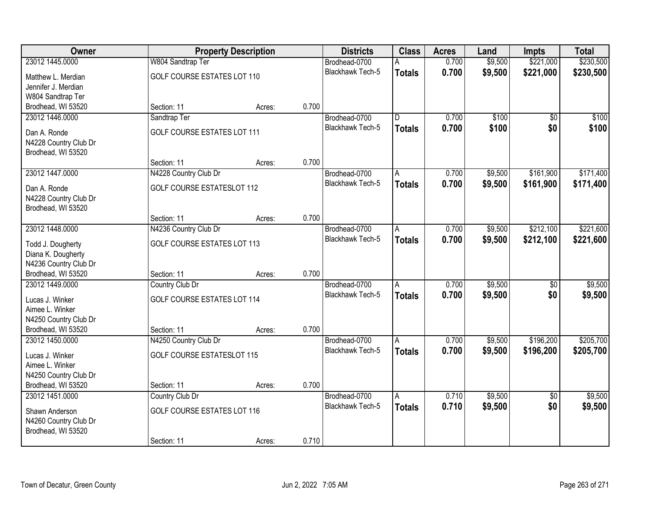| Owner                                   |                                    | <b>Property Description</b> |       | <b>Districts</b>        | <b>Class</b>  | <b>Acres</b> | Land    | Impts           | <b>Total</b> |
|-----------------------------------------|------------------------------------|-----------------------------|-------|-------------------------|---------------|--------------|---------|-----------------|--------------|
| 23012 1445.0000                         | W804 Sandtrap Ter                  |                             |       | Brodhead-0700           |               | 0.700        | \$9,500 | \$221,000       | \$230,500    |
| Matthew L. Merdian                      | GOLF COURSE ESTATES LOT 110        |                             |       | <b>Blackhawk Tech-5</b> | <b>Totals</b> | 0.700        | \$9,500 | \$221,000       | \$230,500    |
| Jennifer J. Merdian                     |                                    |                             |       |                         |               |              |         |                 |              |
| W804 Sandtrap Ter                       |                                    |                             |       |                         |               |              |         |                 |              |
| Brodhead, WI 53520                      | Section: 11                        | Acres:                      | 0.700 |                         |               |              |         |                 |              |
| 23012 1446.0000                         | Sandtrap Ter                       |                             |       | Brodhead-0700           | D             | 0.700        | \$100   | $\overline{50}$ | \$100        |
| Dan A. Ronde                            | <b>GOLF COURSE ESTATES LOT 111</b> |                             |       | <b>Blackhawk Tech-5</b> | <b>Totals</b> | 0.700        | \$100   | \$0             | \$100        |
| N4228 Country Club Dr                   |                                    |                             |       |                         |               |              |         |                 |              |
| Brodhead, WI 53520                      |                                    |                             |       |                         |               |              |         |                 |              |
|                                         | Section: 11                        | Acres:                      | 0.700 |                         |               |              |         |                 |              |
| 23012 1447.0000                         | N4228 Country Club Dr              |                             |       | Brodhead-0700           | A             | 0.700        | \$9,500 | \$161,900       | \$171,400    |
| Dan A. Ronde                            | <b>GOLF COURSE ESTATESLOT 112</b>  |                             |       | Blackhawk Tech-5        | <b>Totals</b> | 0.700        | \$9,500 | \$161,900       | \$171,400    |
| N4228 Country Club Dr                   |                                    |                             |       |                         |               |              |         |                 |              |
| Brodhead, WI 53520                      |                                    |                             |       |                         |               |              |         |                 |              |
|                                         | Section: 11                        | Acres:                      | 0.700 |                         |               |              |         |                 |              |
| 23012 1448.0000                         | N4236 Country Club Dr              |                             |       | Brodhead-0700           | A             | 0.700        | \$9,500 | \$212,100       | \$221,600    |
| Todd J. Dougherty                       | <b>GOLF COURSE ESTATES LOT 113</b> |                             |       | Blackhawk Tech-5        | <b>Totals</b> | 0.700        | \$9,500 | \$212,100       | \$221,600    |
| Diana K. Dougherty                      |                                    |                             |       |                         |               |              |         |                 |              |
| N4236 Country Club Dr                   |                                    |                             |       |                         |               |              |         |                 |              |
| Brodhead, WI 53520                      | Section: 11                        | Acres:                      | 0.700 |                         |               |              |         |                 |              |
| 23012 1449.0000                         | Country Club Dr                    |                             |       | Brodhead-0700           | A             | 0.700        | \$9,500 | \$0             | \$9,500      |
| Lucas J. Winker                         | <b>GOLF COURSE ESTATES LOT 114</b> |                             |       | <b>Blackhawk Tech-5</b> | <b>Totals</b> | 0.700        | \$9,500 | \$0             | \$9,500      |
| Aimee L. Winker                         |                                    |                             |       |                         |               |              |         |                 |              |
| N4250 Country Club Dr                   |                                    |                             |       |                         |               |              |         |                 |              |
| Brodhead, WI 53520                      | Section: 11                        | Acres:                      | 0.700 |                         |               |              |         |                 |              |
| 23012 1450,0000                         | N4250 Country Club Dr              |                             |       | Brodhead-0700           | A             | 0.700        | \$9,500 | \$196,200       | \$205,700    |
| Lucas J. Winker                         | <b>GOLF COURSE ESTATESLOT 115</b>  |                             |       | <b>Blackhawk Tech-5</b> | <b>Totals</b> | 0.700        | \$9,500 | \$196,200       | \$205,700    |
| Aimee L. Winker                         |                                    |                             |       |                         |               |              |         |                 |              |
| N4250 Country Club Dr                   |                                    |                             |       |                         |               |              |         |                 |              |
| Brodhead, WI 53520                      | Section: 11                        | Acres:                      | 0.700 |                         |               |              |         |                 |              |
| 23012 1451.0000                         | Country Club Dr                    |                             |       | Brodhead-0700           | Α             | 0.710        | \$9,500 | $\overline{50}$ | \$9,500      |
|                                         |                                    |                             |       | <b>Blackhawk Tech-5</b> | <b>Totals</b> | 0.710        | \$9,500 | \$0             | \$9,500      |
| Shawn Anderson<br>N4260 Country Club Dr | GOLF COURSE ESTATES LOT 116        |                             |       |                         |               |              |         |                 |              |
| Brodhead, WI 53520                      |                                    |                             |       |                         |               |              |         |                 |              |
|                                         | Section: 11                        | Acres:                      | 0.710 |                         |               |              |         |                 |              |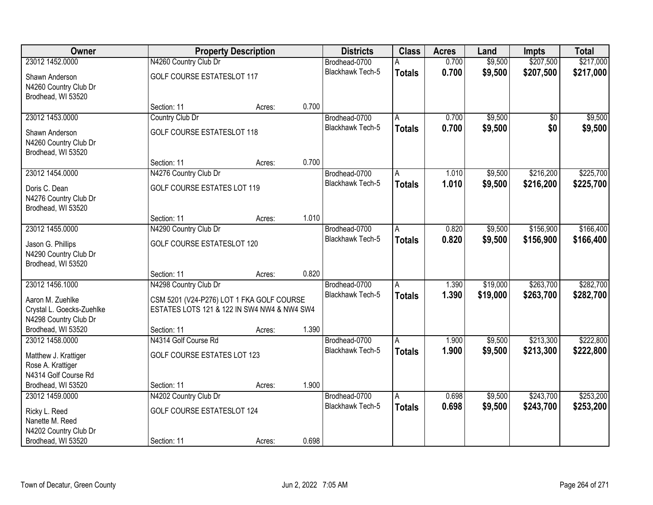| Owner                                                                                     |                                                                                                                   | <b>Property Description</b> |       | <b>Districts</b>                  | <b>Class</b>            | <b>Acres</b>   | Land                 | Impts                  | <b>Total</b>           |
|-------------------------------------------------------------------------------------------|-------------------------------------------------------------------------------------------------------------------|-----------------------------|-------|-----------------------------------|-------------------------|----------------|----------------------|------------------------|------------------------|
| 23012 1452.0000                                                                           | N4260 Country Club Dr                                                                                             |                             |       | Brodhead-0700                     | А                       | 0.700          | \$9,500              | \$207,500              | \$217,000              |
| Shawn Anderson<br>N4260 Country Club Dr<br>Brodhead, WI 53520                             | <b>GOLF COURSE ESTATESLOT 117</b>                                                                                 |                             |       | <b>Blackhawk Tech-5</b>           | <b>Totals</b>           | 0.700          | \$9,500              | \$207,500              | \$217,000              |
|                                                                                           | Section: 11                                                                                                       | Acres:                      | 0.700 |                                   |                         |                |                      |                        |                        |
| 23012 1453.0000                                                                           | Country Club Dr                                                                                                   |                             |       | Brodhead-0700                     | A                       | 0.700          | \$9,500              | \$0                    | \$9,500                |
| Shawn Anderson<br>N4260 Country Club Dr<br>Brodhead, WI 53520                             | <b>GOLF COURSE ESTATESLOT 118</b>                                                                                 |                             |       | <b>Blackhawk Tech-5</b>           | <b>Totals</b>           | 0.700          | \$9,500              | \$0                    | \$9,500                |
|                                                                                           | Section: 11                                                                                                       | Acres:                      | 0.700 |                                   |                         |                |                      |                        |                        |
| 23012 1454.0000                                                                           | N4276 Country Club Dr                                                                                             |                             |       | Brodhead-0700                     | A                       | 1.010          | \$9,500              | \$216,200              | \$225,700              |
| Doris C. Dean<br>N4276 Country Club Dr<br>Brodhead, WI 53520                              | <b>GOLF COURSE ESTATES LOT 119</b>                                                                                |                             |       | Blackhawk Tech-5                  | <b>Totals</b>           | 1.010          | \$9,500              | \$216,200              | \$225,700              |
|                                                                                           | Section: 11                                                                                                       | Acres:                      | 1.010 |                                   |                         |                |                      |                        |                        |
| 23012 1455.0000                                                                           | N4290 Country Club Dr                                                                                             |                             |       | Brodhead-0700                     | A                       | 0.820          | \$9,500              | \$156,900              | \$166,400              |
| Jason G. Phillips<br>N4290 Country Club Dr<br>Brodhead, WI 53520                          | <b>GOLF COURSE ESTATESLOT 120</b>                                                                                 |                             |       | <b>Blackhawk Tech-5</b>           | <b>Totals</b>           | 0.820          | \$9,500              | \$156,900              | \$166,400              |
|                                                                                           | Section: 11                                                                                                       | Acres:                      | 0.820 |                                   |                         |                |                      |                        |                        |
| 23012 1456.1000<br>Aaron M. Zuehlke<br>Crystal L. Goecks-Zuehlke<br>N4298 Country Club Dr | N4298 Country Club Dr<br>CSM 5201 (V24-P276) LOT 1 FKA GOLF COURSE<br>ESTATES LOTS 121 & 122 IN SW4 NW4 & NW4 SW4 |                             |       | Brodhead-0700<br>Blackhawk Tech-5 | A<br><b>Totals</b>      | 1.390<br>1.390 | \$19,000<br>\$19,000 | \$263,700<br>\$263,700 | \$282,700<br>\$282,700 |
| Brodhead, WI 53520                                                                        | Section: 11                                                                                                       | Acres:                      | 1.390 |                                   |                         |                |                      |                        |                        |
| 23012 1458,0000                                                                           | N4314 Golf Course Rd                                                                                              |                             |       | Brodhead-0700                     | A                       | 1.900          | \$9,500              | \$213,300              | \$222,800              |
| Matthew J. Krattiger<br>Rose A. Krattiger<br>N4314 Golf Course Rd                         | GOLF COURSE ESTATES LOT 123                                                                                       |                             |       | <b>Blackhawk Tech-5</b>           | <b>Totals</b>           | 1.900          | \$9,500              | \$213,300              | \$222,800              |
| Brodhead, WI 53520                                                                        | Section: 11                                                                                                       | Acres:                      | 1.900 |                                   |                         |                |                      |                        |                        |
| 23012 1459.0000                                                                           | N4202 Country Club Dr                                                                                             |                             |       | Brodhead-0700                     | $\overline{\mathsf{A}}$ | 0.698          | \$9,500              | \$243,700              | \$253,200              |
| Ricky L. Reed<br>Nanette M. Reed<br>N4202 Country Club Dr                                 | <b>GOLF COURSE ESTATESLOT 124</b>                                                                                 |                             |       | <b>Blackhawk Tech-5</b>           | <b>Totals</b>           | 0.698          | \$9,500              | \$243,700              | \$253,200              |
| Brodhead, WI 53520                                                                        | Section: 11                                                                                                       | Acres:                      | 0.698 |                                   |                         |                |                      |                        |                        |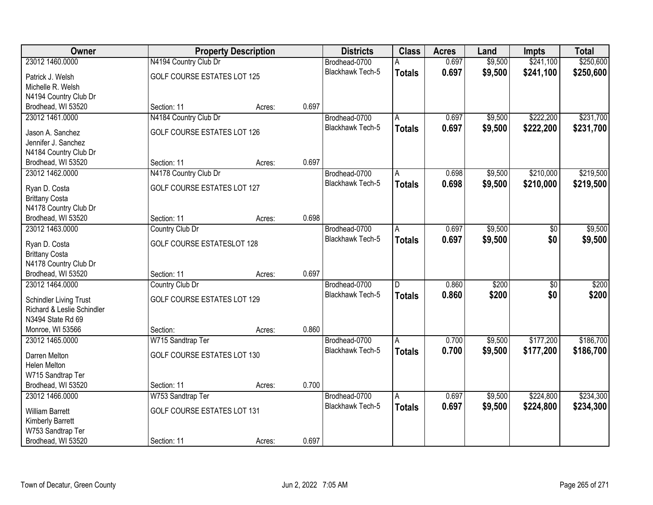| Owner                                          |                                    | <b>Property Description</b> |       | <b>Districts</b>        | <b>Class</b>   | <b>Acres</b> | Land    | <b>Impts</b>    | <b>Total</b> |
|------------------------------------------------|------------------------------------|-----------------------------|-------|-------------------------|----------------|--------------|---------|-----------------|--------------|
| 23012 1460.0000                                | N4194 Country Club Dr              |                             |       | Brodhead-0700           | А              | 0.697        | \$9,500 | \$241,100       | \$250,600    |
| Patrick J. Welsh                               | <b>GOLF COURSE ESTATES LOT 125</b> |                             |       | Blackhawk Tech-5        | <b>Totals</b>  | 0.697        | \$9,500 | \$241,100       | \$250,600    |
| Michelle R. Welsh                              |                                    |                             |       |                         |                |              |         |                 |              |
| N4194 Country Club Dr                          |                                    |                             |       |                         |                |              |         |                 |              |
| Brodhead, WI 53520                             | Section: 11                        | Acres:                      | 0.697 |                         |                |              |         |                 |              |
| 23012 1461.0000                                | N4184 Country Club Dr              |                             |       | Brodhead-0700           | A              | 0.697        | \$9,500 | \$222,200       | \$231,700    |
| Jason A. Sanchez                               | GOLF COURSE ESTATES LOT 126        |                             |       | <b>Blackhawk Tech-5</b> | <b>Totals</b>  | 0.697        | \$9,500 | \$222,200       | \$231,700    |
| Jennifer J. Sanchez                            |                                    |                             |       |                         |                |              |         |                 |              |
| N4184 Country Club Dr                          |                                    |                             |       |                         |                |              |         |                 |              |
| Brodhead, WI 53520                             | Section: 11                        | Acres:                      | 0.697 |                         |                |              |         |                 |              |
| 23012 1462.0000                                | N4178 Country Club Dr              |                             |       | Brodhead-0700           | A              | 0.698        | \$9,500 | \$210,000       | \$219,500    |
| Ryan D. Costa                                  | GOLF COURSE ESTATES LOT 127        |                             |       | Blackhawk Tech-5        | <b>Totals</b>  | 0.698        | \$9,500 | \$210,000       | \$219,500    |
| <b>Brittany Costa</b>                          |                                    |                             |       |                         |                |              |         |                 |              |
| N4178 Country Club Dr                          |                                    |                             |       |                         |                |              |         |                 |              |
| Brodhead, WI 53520                             | Section: 11                        | Acres:                      | 0.698 |                         |                |              |         |                 |              |
| 23012 1463.0000                                | Country Club Dr                    |                             |       | Brodhead-0700           | Α              | 0.697        | \$9,500 | \$0             | \$9,500      |
|                                                |                                    |                             |       |                         | <b>Totals</b>  | 0.697        | \$9,500 | \$0             | \$9,500      |
| Ryan D. Costa                                  | <b>GOLF COURSE ESTATESLOT 128</b>  |                             |       |                         |                |              |         |                 |              |
| <b>Brittany Costa</b><br>N4178 Country Club Dr |                                    |                             |       |                         |                |              |         |                 |              |
| Brodhead, WI 53520                             | Section: 11                        | Acres:                      | 0.697 |                         |                |              |         |                 |              |
| 23012 1464.0000                                | Country Club Dr                    |                             |       | Brodhead-0700           | $\overline{D}$ | 0.860        | \$200   | $\overline{50}$ | \$200        |
|                                                |                                    |                             |       | Blackhawk Tech-5        | <b>Totals</b>  | 0.860        | \$200   | \$0             | \$200        |
| <b>Schindler Living Trust</b>                  | GOLF COURSE ESTATES LOT 129        |                             |       |                         |                |              |         |                 |              |
| Richard & Leslie Schindler                     |                                    |                             |       |                         |                |              |         |                 |              |
| N3494 State Rd 69                              |                                    |                             | 0.860 |                         |                |              |         |                 |              |
| Monroe, WI 53566<br>23012 1465.0000            | Section:<br>W715 Sandtrap Ter      | Acres:                      |       | Brodhead-0700           | A              | 0.700        | \$9,500 | \$177,200       | \$186,700    |
|                                                |                                    |                             |       | Blackhawk Tech-5        | <b>Totals</b>  | 0.700        | \$9,500 | \$177,200       | \$186,700    |
| Darren Melton                                  | GOLF COURSE ESTATES LOT 130        |                             |       |                         |                |              |         |                 |              |
| Helen Melton                                   |                                    |                             |       |                         |                |              |         |                 |              |
| W715 Sandtrap Ter                              |                                    |                             |       |                         |                |              |         |                 |              |
| Brodhead, WI 53520                             | Section: 11                        | Acres:                      | 0.700 |                         |                |              |         |                 |              |
| 23012 1466.0000                                | W753 Sandtrap Ter                  |                             |       | Brodhead-0700           | A              | 0.697        | \$9,500 | \$224,800       | \$234,300    |
| <b>William Barrett</b>                         | <b>GOLF COURSE ESTATES LOT 131</b> |                             |       | <b>Blackhawk Tech-5</b> | <b>Totals</b>  | 0.697        | \$9,500 | \$224,800       | \$234,300    |
| <b>Kimberly Barrett</b>                        |                                    |                             |       |                         |                |              |         |                 |              |
| W753 Sandtrap Ter                              |                                    |                             |       |                         |                |              |         |                 |              |
| Brodhead, WI 53520                             | Section: 11                        | Acres:                      | 0.697 |                         |                |              |         |                 |              |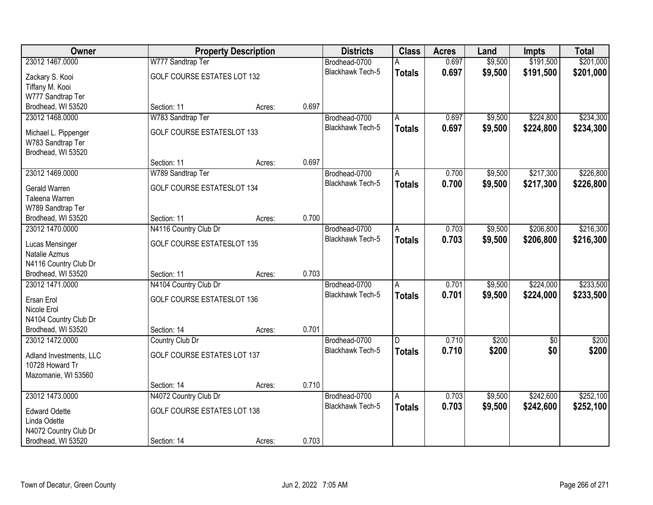| Owner                                       |                                    | <b>Property Description</b> |       | <b>Districts</b>        | <b>Class</b>            | <b>Acres</b> | Land    | Impts           | <b>Total</b> |
|---------------------------------------------|------------------------------------|-----------------------------|-------|-------------------------|-------------------------|--------------|---------|-----------------|--------------|
| 23012 1467.0000                             | W777 Sandtrap Ter                  |                             |       | Brodhead-0700           | А                       | 0.697        | \$9,500 | \$191,500       | \$201,000    |
| Zackary S. Kooi                             | GOLF COURSE ESTATES LOT 132        |                             |       | <b>Blackhawk Tech-5</b> | <b>Totals</b>           | 0.697        | \$9,500 | \$191,500       | \$201,000    |
| Tiffany M. Kooi                             |                                    |                             |       |                         |                         |              |         |                 |              |
| W777 Sandtrap Ter                           |                                    |                             |       |                         |                         |              |         |                 |              |
| Brodhead, WI 53520                          | Section: 11                        | Acres:                      | 0.697 |                         |                         |              |         |                 |              |
| 23012 1468.0000                             | W783 Sandtrap Ter                  |                             |       | Brodhead-0700           | A                       | 0.697        | \$9,500 | \$224,800       | \$234,300    |
| Michael L. Pippenger                        | <b>GOLF COURSE ESTATESLOT 133</b>  |                             |       | <b>Blackhawk Tech-5</b> | <b>Totals</b>           | 0.697        | \$9,500 | \$224,800       | \$234,300    |
| W783 Sandtrap Ter                           |                                    |                             |       |                         |                         |              |         |                 |              |
| Brodhead, WI 53520                          |                                    |                             |       |                         |                         |              |         |                 |              |
|                                             | Section: 11                        | Acres:                      | 0.697 |                         |                         |              |         |                 |              |
| 23012 1469.0000                             | W789 Sandtrap Ter                  |                             |       | Brodhead-0700           | A                       | 0.700        | \$9,500 | \$217,300       | \$226,800    |
|                                             | <b>GOLF COURSE ESTATESLOT 134</b>  |                             |       | Blackhawk Tech-5        | <b>Totals</b>           | 0.700        | \$9,500 | \$217,300       | \$226,800    |
| Gerald Warren<br>Taleena Warren             |                                    |                             |       |                         |                         |              |         |                 |              |
| W789 Sandtrap Ter                           |                                    |                             |       |                         |                         |              |         |                 |              |
| Brodhead, WI 53520                          | Section: 11                        | Acres:                      | 0.700 |                         |                         |              |         |                 |              |
| 23012 1470.0000                             | N4116 Country Club Dr              |                             |       | Brodhead-0700           | A                       | 0.703        | \$9,500 | \$206,800       | \$216,300    |
|                                             |                                    |                             |       |                         | <b>Totals</b>           | 0.703        | \$9,500 | \$206,800       | \$216,300    |
| Lucas Mensinger                             | <b>GOLF COURSE ESTATESLOT 135</b>  |                             |       | <b>Blackhawk Tech-5</b> |                         |              |         |                 |              |
| Natalie Azmus                               |                                    |                             |       |                         |                         |              |         |                 |              |
| N4116 Country Club Dr<br>Brodhead, WI 53520 | Section: 11                        |                             | 0.703 |                         |                         |              |         |                 |              |
| 23012 1471.0000                             | N4104 Country Club Dr              | Acres:                      |       | Brodhead-0700           | A                       | 0.701        | \$9,500 | \$224,000       | \$233,500    |
|                                             |                                    |                             |       | <b>Blackhawk Tech-5</b> | <b>Totals</b>           | 0.701        | \$9,500 | \$224,000       | \$233,500    |
| Ersan Erol                                  | <b>GOLF COURSE ESTATESLOT 136</b>  |                             |       |                         |                         |              |         |                 |              |
| Nicole Erol                                 |                                    |                             |       |                         |                         |              |         |                 |              |
| N4104 Country Club Dr                       |                                    |                             |       |                         |                         |              |         |                 |              |
| Brodhead, WI 53520                          | Section: 14                        | Acres:                      | 0.701 |                         |                         |              |         |                 |              |
| 23012 1472.0000                             | Country Club Dr                    |                             |       | Brodhead-0700           | D                       | 0.710        | \$200   | $\overline{30}$ | \$200        |
| Adland Investments, LLC                     | <b>GOLF COURSE ESTATES LOT 137</b> |                             |       | <b>Blackhawk Tech-5</b> | <b>Totals</b>           | 0.710        | \$200   | \$0             | \$200        |
| 10728 Howard Tr                             |                                    |                             |       |                         |                         |              |         |                 |              |
| Mazomanie, WI 53560                         |                                    |                             |       |                         |                         |              |         |                 |              |
|                                             | Section: 14                        | Acres:                      | 0.710 |                         |                         |              |         |                 |              |
| 23012 1473.0000                             | N4072 Country Club Dr              |                             |       | Brodhead-0700           | $\overline{\mathsf{A}}$ | 0.703        | \$9,500 | \$242,600       | \$252,100    |
| <b>Edward Odette</b>                        | GOLF COURSE ESTATES LOT 138        |                             |       | <b>Blackhawk Tech-5</b> | <b>Totals</b>           | 0.703        | \$9,500 | \$242,600       | \$252,100    |
| Linda Odette                                |                                    |                             |       |                         |                         |              |         |                 |              |
| N4072 Country Club Dr                       |                                    |                             |       |                         |                         |              |         |                 |              |
| Brodhead, WI 53520                          | Section: 14                        | Acres:                      | 0.703 |                         |                         |              |         |                 |              |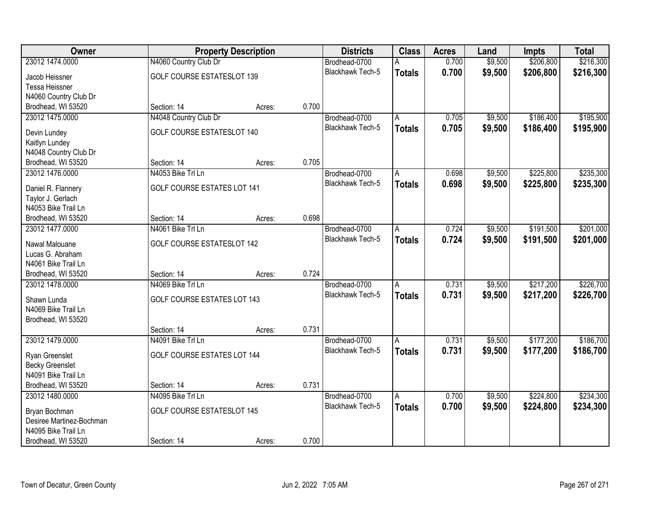| \$206,800<br>\$216,300<br>23012 1474.0000<br>N4060 Country Club Dr<br>0.700<br>\$9,500<br>Brodhead-0700<br>А<br>Blackhawk Tech-5<br>0.700<br>\$9,500<br>\$206,800<br>\$216,300<br><b>Totals</b><br>GOLF COURSE ESTATESLOT 139<br>Jacob Heissner<br><b>Tessa Heissner</b><br>N4060 Country Club Dr<br>0.700<br>Brodhead, WI 53520<br>Section: 14<br>Acres:<br>N4048 Country Club Dr<br>\$186,400<br>\$195,900<br>23012 1475.0000<br>0.705<br>\$9,500<br>Brodhead-0700<br>А<br><b>Blackhawk Tech-5</b><br>0.705<br>\$9,500<br>\$186,400<br>\$195,900<br><b>Totals</b><br>GOLF COURSE ESTATESLOT 140<br>Devin Lundey<br>Kaitlyn Lundey<br>N4048 Country Club Dr<br>0.705<br>Brodhead, WI 53520<br>Section: 14<br>Acres:<br>\$235,300<br>23012 1476.0000<br>N4053 Bike Trl Ln<br>\$9,500<br>\$225,800<br>Brodhead-0700<br>0.698<br>A<br>Blackhawk Tech-5<br>0.698<br>\$9,500<br>\$225,800<br>\$235,300<br><b>Totals</b><br><b>GOLF COURSE ESTATES LOT 141</b><br>Daniel R. Flannery<br>Taylor J. Gerlach<br>N4053 Bike Trail Ln<br>0.698<br>Brodhead, WI 53520<br>Section: 14<br>Acres:<br>\$191,500<br>\$201,000<br>23012 1477.0000<br>N4061 Bike Trl Ln<br>Brodhead-0700<br>0.724<br>\$9,500<br>Α<br>0.724<br><b>Blackhawk Tech-5</b><br>\$9,500<br>\$191,500<br>\$201,000<br><b>Totals</b><br><b>GOLF COURSE ESTATESLOT 142</b><br>Nawal Malouane<br>Lucas G. Abraham<br>N4061 Bike Trail Ln<br>0.724<br>Brodhead, WI 53520<br>Section: 14<br>Acres:<br>N4069 Bike Trl Ln<br>\$217,200<br>\$226,700<br>23012 1478.0000<br>0.731<br>\$9,500<br>Brodhead-0700<br>$\overline{A}$<br><b>Blackhawk Tech-5</b><br>0.731<br>\$9,500<br>\$217,200<br>\$226,700<br><b>Totals</b><br><b>GOLF COURSE ESTATES LOT 143</b><br>Shawn Lunda<br>N4069 Bike Trail Ln<br>Brodhead, WI 53520<br>0.731<br>Section: 14<br>Acres:<br>N4091 Bike Trl Ln<br>\$186,700<br>23012 1479.0000<br>Brodhead-0700<br>0.731<br>\$9,500<br>\$177,200<br>A<br>Blackhawk Tech-5<br>0.731<br>\$9,500<br>\$177,200<br>\$186,700<br><b>Totals</b><br><b>GOLF COURSE ESTATES LOT 144</b><br>Ryan Greenslet<br><b>Becky Greenslet</b><br>N4091 Bike Trail Ln<br>Brodhead, WI 53520<br>0.731<br>Section: 14<br>Acres:<br>\$9,500<br>\$224,800<br>\$234,300<br>23012 1480.0000<br>N4095 Bike Trl Ln<br>0.700<br>Brodhead-0700<br>$\overline{\mathsf{A}}$<br>0.700<br><b>Blackhawk Tech-5</b><br>\$9,500<br>\$224,800<br>\$234,300<br><b>Totals</b><br><b>GOLF COURSE ESTATESLOT 145</b><br>Bryan Bochman<br>Desiree Martinez-Bochman<br>N4095 Bike Trail Ln | Owner | <b>Property Description</b> |  | <b>Districts</b> | <b>Class</b> | <b>Acres</b> | Land | <b>Impts</b> | <b>Total</b> |
|-----------------------------------------------------------------------------------------------------------------------------------------------------------------------------------------------------------------------------------------------------------------------------------------------------------------------------------------------------------------------------------------------------------------------------------------------------------------------------------------------------------------------------------------------------------------------------------------------------------------------------------------------------------------------------------------------------------------------------------------------------------------------------------------------------------------------------------------------------------------------------------------------------------------------------------------------------------------------------------------------------------------------------------------------------------------------------------------------------------------------------------------------------------------------------------------------------------------------------------------------------------------------------------------------------------------------------------------------------------------------------------------------------------------------------------------------------------------------------------------------------------------------------------------------------------------------------------------------------------------------------------------------------------------------------------------------------------------------------------------------------------------------------------------------------------------------------------------------------------------------------------------------------------------------------------------------------------------------------------------------------------------------------------------------------------------------------------------------------------------------------------------------------------------------------------------------------------------------------------------------------------------------------------------------------------------------------------------------------------------------------------------------------------------------------------------------------------------------------------------------------------------|-------|-----------------------------|--|------------------|--------------|--------------|------|--------------|--------------|
|                                                                                                                                                                                                                                                                                                                                                                                                                                                                                                                                                                                                                                                                                                                                                                                                                                                                                                                                                                                                                                                                                                                                                                                                                                                                                                                                                                                                                                                                                                                                                                                                                                                                                                                                                                                                                                                                                                                                                                                                                                                                                                                                                                                                                                                                                                                                                                                                                                                                                                                 |       |                             |  |                  |              |              |      |              |              |
|                                                                                                                                                                                                                                                                                                                                                                                                                                                                                                                                                                                                                                                                                                                                                                                                                                                                                                                                                                                                                                                                                                                                                                                                                                                                                                                                                                                                                                                                                                                                                                                                                                                                                                                                                                                                                                                                                                                                                                                                                                                                                                                                                                                                                                                                                                                                                                                                                                                                                                                 |       |                             |  |                  |              |              |      |              |              |
|                                                                                                                                                                                                                                                                                                                                                                                                                                                                                                                                                                                                                                                                                                                                                                                                                                                                                                                                                                                                                                                                                                                                                                                                                                                                                                                                                                                                                                                                                                                                                                                                                                                                                                                                                                                                                                                                                                                                                                                                                                                                                                                                                                                                                                                                                                                                                                                                                                                                                                                 |       |                             |  |                  |              |              |      |              |              |
|                                                                                                                                                                                                                                                                                                                                                                                                                                                                                                                                                                                                                                                                                                                                                                                                                                                                                                                                                                                                                                                                                                                                                                                                                                                                                                                                                                                                                                                                                                                                                                                                                                                                                                                                                                                                                                                                                                                                                                                                                                                                                                                                                                                                                                                                                                                                                                                                                                                                                                                 |       |                             |  |                  |              |              |      |              |              |
|                                                                                                                                                                                                                                                                                                                                                                                                                                                                                                                                                                                                                                                                                                                                                                                                                                                                                                                                                                                                                                                                                                                                                                                                                                                                                                                                                                                                                                                                                                                                                                                                                                                                                                                                                                                                                                                                                                                                                                                                                                                                                                                                                                                                                                                                                                                                                                                                                                                                                                                 |       |                             |  |                  |              |              |      |              |              |
|                                                                                                                                                                                                                                                                                                                                                                                                                                                                                                                                                                                                                                                                                                                                                                                                                                                                                                                                                                                                                                                                                                                                                                                                                                                                                                                                                                                                                                                                                                                                                                                                                                                                                                                                                                                                                                                                                                                                                                                                                                                                                                                                                                                                                                                                                                                                                                                                                                                                                                                 |       |                             |  |                  |              |              |      |              |              |
|                                                                                                                                                                                                                                                                                                                                                                                                                                                                                                                                                                                                                                                                                                                                                                                                                                                                                                                                                                                                                                                                                                                                                                                                                                                                                                                                                                                                                                                                                                                                                                                                                                                                                                                                                                                                                                                                                                                                                                                                                                                                                                                                                                                                                                                                                                                                                                                                                                                                                                                 |       |                             |  |                  |              |              |      |              |              |
|                                                                                                                                                                                                                                                                                                                                                                                                                                                                                                                                                                                                                                                                                                                                                                                                                                                                                                                                                                                                                                                                                                                                                                                                                                                                                                                                                                                                                                                                                                                                                                                                                                                                                                                                                                                                                                                                                                                                                                                                                                                                                                                                                                                                                                                                                                                                                                                                                                                                                                                 |       |                             |  |                  |              |              |      |              |              |
|                                                                                                                                                                                                                                                                                                                                                                                                                                                                                                                                                                                                                                                                                                                                                                                                                                                                                                                                                                                                                                                                                                                                                                                                                                                                                                                                                                                                                                                                                                                                                                                                                                                                                                                                                                                                                                                                                                                                                                                                                                                                                                                                                                                                                                                                                                                                                                                                                                                                                                                 |       |                             |  |                  |              |              |      |              |              |
|                                                                                                                                                                                                                                                                                                                                                                                                                                                                                                                                                                                                                                                                                                                                                                                                                                                                                                                                                                                                                                                                                                                                                                                                                                                                                                                                                                                                                                                                                                                                                                                                                                                                                                                                                                                                                                                                                                                                                                                                                                                                                                                                                                                                                                                                                                                                                                                                                                                                                                                 |       |                             |  |                  |              |              |      |              |              |
|                                                                                                                                                                                                                                                                                                                                                                                                                                                                                                                                                                                                                                                                                                                                                                                                                                                                                                                                                                                                                                                                                                                                                                                                                                                                                                                                                                                                                                                                                                                                                                                                                                                                                                                                                                                                                                                                                                                                                                                                                                                                                                                                                                                                                                                                                                                                                                                                                                                                                                                 |       |                             |  |                  |              |              |      |              |              |
|                                                                                                                                                                                                                                                                                                                                                                                                                                                                                                                                                                                                                                                                                                                                                                                                                                                                                                                                                                                                                                                                                                                                                                                                                                                                                                                                                                                                                                                                                                                                                                                                                                                                                                                                                                                                                                                                                                                                                                                                                                                                                                                                                                                                                                                                                                                                                                                                                                                                                                                 |       |                             |  |                  |              |              |      |              |              |
|                                                                                                                                                                                                                                                                                                                                                                                                                                                                                                                                                                                                                                                                                                                                                                                                                                                                                                                                                                                                                                                                                                                                                                                                                                                                                                                                                                                                                                                                                                                                                                                                                                                                                                                                                                                                                                                                                                                                                                                                                                                                                                                                                                                                                                                                                                                                                                                                                                                                                                                 |       |                             |  |                  |              |              |      |              |              |
|                                                                                                                                                                                                                                                                                                                                                                                                                                                                                                                                                                                                                                                                                                                                                                                                                                                                                                                                                                                                                                                                                                                                                                                                                                                                                                                                                                                                                                                                                                                                                                                                                                                                                                                                                                                                                                                                                                                                                                                                                                                                                                                                                                                                                                                                                                                                                                                                                                                                                                                 |       |                             |  |                  |              |              |      |              |              |
|                                                                                                                                                                                                                                                                                                                                                                                                                                                                                                                                                                                                                                                                                                                                                                                                                                                                                                                                                                                                                                                                                                                                                                                                                                                                                                                                                                                                                                                                                                                                                                                                                                                                                                                                                                                                                                                                                                                                                                                                                                                                                                                                                                                                                                                                                                                                                                                                                                                                                                                 |       |                             |  |                  |              |              |      |              |              |
|                                                                                                                                                                                                                                                                                                                                                                                                                                                                                                                                                                                                                                                                                                                                                                                                                                                                                                                                                                                                                                                                                                                                                                                                                                                                                                                                                                                                                                                                                                                                                                                                                                                                                                                                                                                                                                                                                                                                                                                                                                                                                                                                                                                                                                                                                                                                                                                                                                                                                                                 |       |                             |  |                  |              |              |      |              |              |
|                                                                                                                                                                                                                                                                                                                                                                                                                                                                                                                                                                                                                                                                                                                                                                                                                                                                                                                                                                                                                                                                                                                                                                                                                                                                                                                                                                                                                                                                                                                                                                                                                                                                                                                                                                                                                                                                                                                                                                                                                                                                                                                                                                                                                                                                                                                                                                                                                                                                                                                 |       |                             |  |                  |              |              |      |              |              |
|                                                                                                                                                                                                                                                                                                                                                                                                                                                                                                                                                                                                                                                                                                                                                                                                                                                                                                                                                                                                                                                                                                                                                                                                                                                                                                                                                                                                                                                                                                                                                                                                                                                                                                                                                                                                                                                                                                                                                                                                                                                                                                                                                                                                                                                                                                                                                                                                                                                                                                                 |       |                             |  |                  |              |              |      |              |              |
|                                                                                                                                                                                                                                                                                                                                                                                                                                                                                                                                                                                                                                                                                                                                                                                                                                                                                                                                                                                                                                                                                                                                                                                                                                                                                                                                                                                                                                                                                                                                                                                                                                                                                                                                                                                                                                                                                                                                                                                                                                                                                                                                                                                                                                                                                                                                                                                                                                                                                                                 |       |                             |  |                  |              |              |      |              |              |
|                                                                                                                                                                                                                                                                                                                                                                                                                                                                                                                                                                                                                                                                                                                                                                                                                                                                                                                                                                                                                                                                                                                                                                                                                                                                                                                                                                                                                                                                                                                                                                                                                                                                                                                                                                                                                                                                                                                                                                                                                                                                                                                                                                                                                                                                                                                                                                                                                                                                                                                 |       |                             |  |                  |              |              |      |              |              |
|                                                                                                                                                                                                                                                                                                                                                                                                                                                                                                                                                                                                                                                                                                                                                                                                                                                                                                                                                                                                                                                                                                                                                                                                                                                                                                                                                                                                                                                                                                                                                                                                                                                                                                                                                                                                                                                                                                                                                                                                                                                                                                                                                                                                                                                                                                                                                                                                                                                                                                                 |       |                             |  |                  |              |              |      |              |              |
|                                                                                                                                                                                                                                                                                                                                                                                                                                                                                                                                                                                                                                                                                                                                                                                                                                                                                                                                                                                                                                                                                                                                                                                                                                                                                                                                                                                                                                                                                                                                                                                                                                                                                                                                                                                                                                                                                                                                                                                                                                                                                                                                                                                                                                                                                                                                                                                                                                                                                                                 |       |                             |  |                  |              |              |      |              |              |
|                                                                                                                                                                                                                                                                                                                                                                                                                                                                                                                                                                                                                                                                                                                                                                                                                                                                                                                                                                                                                                                                                                                                                                                                                                                                                                                                                                                                                                                                                                                                                                                                                                                                                                                                                                                                                                                                                                                                                                                                                                                                                                                                                                                                                                                                                                                                                                                                                                                                                                                 |       |                             |  |                  |              |              |      |              |              |
|                                                                                                                                                                                                                                                                                                                                                                                                                                                                                                                                                                                                                                                                                                                                                                                                                                                                                                                                                                                                                                                                                                                                                                                                                                                                                                                                                                                                                                                                                                                                                                                                                                                                                                                                                                                                                                                                                                                                                                                                                                                                                                                                                                                                                                                                                                                                                                                                                                                                                                                 |       |                             |  |                  |              |              |      |              |              |
|                                                                                                                                                                                                                                                                                                                                                                                                                                                                                                                                                                                                                                                                                                                                                                                                                                                                                                                                                                                                                                                                                                                                                                                                                                                                                                                                                                                                                                                                                                                                                                                                                                                                                                                                                                                                                                                                                                                                                                                                                                                                                                                                                                                                                                                                                                                                                                                                                                                                                                                 |       |                             |  |                  |              |              |      |              |              |
|                                                                                                                                                                                                                                                                                                                                                                                                                                                                                                                                                                                                                                                                                                                                                                                                                                                                                                                                                                                                                                                                                                                                                                                                                                                                                                                                                                                                                                                                                                                                                                                                                                                                                                                                                                                                                                                                                                                                                                                                                                                                                                                                                                                                                                                                                                                                                                                                                                                                                                                 |       |                             |  |                  |              |              |      |              |              |
|                                                                                                                                                                                                                                                                                                                                                                                                                                                                                                                                                                                                                                                                                                                                                                                                                                                                                                                                                                                                                                                                                                                                                                                                                                                                                                                                                                                                                                                                                                                                                                                                                                                                                                                                                                                                                                                                                                                                                                                                                                                                                                                                                                                                                                                                                                                                                                                                                                                                                                                 |       |                             |  |                  |              |              |      |              |              |
|                                                                                                                                                                                                                                                                                                                                                                                                                                                                                                                                                                                                                                                                                                                                                                                                                                                                                                                                                                                                                                                                                                                                                                                                                                                                                                                                                                                                                                                                                                                                                                                                                                                                                                                                                                                                                                                                                                                                                                                                                                                                                                                                                                                                                                                                                                                                                                                                                                                                                                                 |       |                             |  |                  |              |              |      |              |              |
|                                                                                                                                                                                                                                                                                                                                                                                                                                                                                                                                                                                                                                                                                                                                                                                                                                                                                                                                                                                                                                                                                                                                                                                                                                                                                                                                                                                                                                                                                                                                                                                                                                                                                                                                                                                                                                                                                                                                                                                                                                                                                                                                                                                                                                                                                                                                                                                                                                                                                                                 |       |                             |  |                  |              |              |      |              |              |
|                                                                                                                                                                                                                                                                                                                                                                                                                                                                                                                                                                                                                                                                                                                                                                                                                                                                                                                                                                                                                                                                                                                                                                                                                                                                                                                                                                                                                                                                                                                                                                                                                                                                                                                                                                                                                                                                                                                                                                                                                                                                                                                                                                                                                                                                                                                                                                                                                                                                                                                 |       |                             |  |                  |              |              |      |              |              |
|                                                                                                                                                                                                                                                                                                                                                                                                                                                                                                                                                                                                                                                                                                                                                                                                                                                                                                                                                                                                                                                                                                                                                                                                                                                                                                                                                                                                                                                                                                                                                                                                                                                                                                                                                                                                                                                                                                                                                                                                                                                                                                                                                                                                                                                                                                                                                                                                                                                                                                                 |       |                             |  |                  |              |              |      |              |              |
|                                                                                                                                                                                                                                                                                                                                                                                                                                                                                                                                                                                                                                                                                                                                                                                                                                                                                                                                                                                                                                                                                                                                                                                                                                                                                                                                                                                                                                                                                                                                                                                                                                                                                                                                                                                                                                                                                                                                                                                                                                                                                                                                                                                                                                                                                                                                                                                                                                                                                                                 |       |                             |  |                  |              |              |      |              |              |
|                                                                                                                                                                                                                                                                                                                                                                                                                                                                                                                                                                                                                                                                                                                                                                                                                                                                                                                                                                                                                                                                                                                                                                                                                                                                                                                                                                                                                                                                                                                                                                                                                                                                                                                                                                                                                                                                                                                                                                                                                                                                                                                                                                                                                                                                                                                                                                                                                                                                                                                 |       |                             |  |                  |              |              |      |              |              |
|                                                                                                                                                                                                                                                                                                                                                                                                                                                                                                                                                                                                                                                                                                                                                                                                                                                                                                                                                                                                                                                                                                                                                                                                                                                                                                                                                                                                                                                                                                                                                                                                                                                                                                                                                                                                                                                                                                                                                                                                                                                                                                                                                                                                                                                                                                                                                                                                                                                                                                                 |       |                             |  |                  |              |              |      |              |              |
|                                                                                                                                                                                                                                                                                                                                                                                                                                                                                                                                                                                                                                                                                                                                                                                                                                                                                                                                                                                                                                                                                                                                                                                                                                                                                                                                                                                                                                                                                                                                                                                                                                                                                                                                                                                                                                                                                                                                                                                                                                                                                                                                                                                                                                                                                                                                                                                                                                                                                                                 |       |                             |  |                  |              |              |      |              |              |
|                                                                                                                                                                                                                                                                                                                                                                                                                                                                                                                                                                                                                                                                                                                                                                                                                                                                                                                                                                                                                                                                                                                                                                                                                                                                                                                                                                                                                                                                                                                                                                                                                                                                                                                                                                                                                                                                                                                                                                                                                                                                                                                                                                                                                                                                                                                                                                                                                                                                                                                 |       |                             |  |                  |              |              |      |              |              |
| 0.700<br>Brodhead, WI 53520<br>Section: 14<br>Acres:                                                                                                                                                                                                                                                                                                                                                                                                                                                                                                                                                                                                                                                                                                                                                                                                                                                                                                                                                                                                                                                                                                                                                                                                                                                                                                                                                                                                                                                                                                                                                                                                                                                                                                                                                                                                                                                                                                                                                                                                                                                                                                                                                                                                                                                                                                                                                                                                                                                            |       |                             |  |                  |              |              |      |              |              |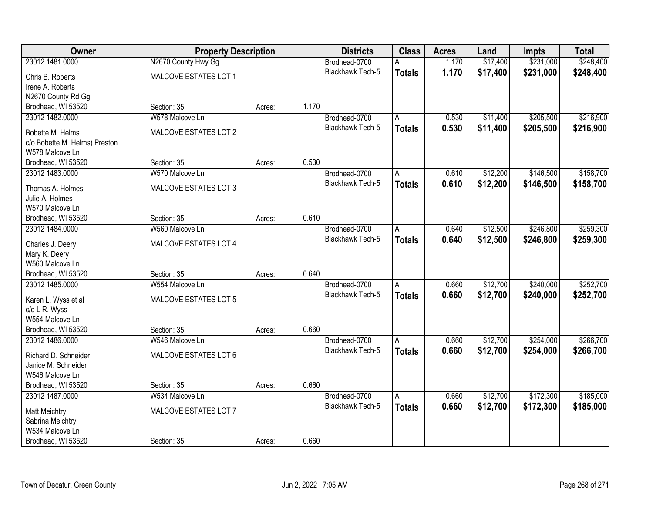| Owner                                  | <b>Property Description</b> |        |       | <b>Districts</b>        | <b>Class</b>  | <b>Acres</b> | Land     | <b>Impts</b> | <b>Total</b> |
|----------------------------------------|-----------------------------|--------|-------|-------------------------|---------------|--------------|----------|--------------|--------------|
| 23012 1481.0000                        | N2670 County Hwy Gg         |        |       | Brodhead-0700           | А             | 1.170        | \$17,400 | \$231,000    | \$248,400    |
| Chris B. Roberts                       | MALCOVE ESTATES LOT 1       |        |       | Blackhawk Tech-5        | <b>Totals</b> | 1.170        | \$17,400 | \$231,000    | \$248,400    |
| Irene A. Roberts                       |                             |        |       |                         |               |              |          |              |              |
| N2670 County Rd Gg                     |                             |        |       |                         |               |              |          |              |              |
| Brodhead, WI 53520                     | Section: 35                 | Acres: | 1.170 |                         |               |              |          |              |              |
| 23012 1482.0000                        | W578 Malcove Ln             |        |       | Brodhead-0700           | A             | 0.530        | \$11,400 | \$205,500    | \$216,900    |
| Bobette M. Helms                       | MALCOVE ESTATES LOT 2       |        |       | <b>Blackhawk Tech-5</b> | <b>Totals</b> | 0.530        | \$11,400 | \$205,500    | \$216,900    |
| c/o Bobette M. Helms) Preston          |                             |        |       |                         |               |              |          |              |              |
| W578 Malcove Ln                        |                             |        |       |                         |               |              |          |              |              |
| Brodhead, WI 53520                     | Section: 35                 | Acres: | 0.530 |                         |               |              |          |              |              |
| 23012 1483.0000                        | W570 Malcove Ln             |        |       | Brodhead-0700           | A             | 0.610        | \$12,200 | \$146,500    | \$158,700    |
| Thomas A. Holmes                       | MALCOVE ESTATES LOT 3       |        |       | <b>Blackhawk Tech-5</b> | <b>Totals</b> | 0.610        | \$12,200 | \$146,500    | \$158,700    |
| Julie A. Holmes                        |                             |        |       |                         |               |              |          |              |              |
| W570 Malcove Ln                        |                             |        |       |                         |               |              |          |              |              |
| Brodhead, WI 53520                     | Section: 35                 | Acres: | 0.610 |                         |               |              |          |              |              |
| 23012 1484.0000                        | W560 Malcove Ln             |        |       | Brodhead-0700           | A             | 0.640        | \$12,500 | \$246,800    | \$259,300    |
| Charles J. Deery                       | MALCOVE ESTATES LOT 4       |        |       | <b>Blackhawk Tech-5</b> | <b>Totals</b> | 0.640        | \$12,500 | \$246,800    | \$259,300    |
| Mary K. Deery                          |                             |        |       |                         |               |              |          |              |              |
| W560 Malcove Ln                        |                             |        |       |                         |               |              |          |              |              |
| Brodhead, WI 53520                     | Section: 35                 | Acres: | 0.640 |                         |               |              |          |              |              |
| 23012 1485.0000                        | W554 Malcove Ln             |        |       | Brodhead-0700           | A             | 0.660        | \$12,700 | \$240,000    | \$252,700    |
|                                        |                             |        |       | <b>Blackhawk Tech-5</b> | <b>Totals</b> | 0.660        | \$12,700 | \$240,000    | \$252,700    |
| Karen L. Wyss et al                    | MALCOVE ESTATES LOT 5       |        |       |                         |               |              |          |              |              |
| c/o L R. Wyss<br>W554 Malcove Ln       |                             |        |       |                         |               |              |          |              |              |
| Brodhead, WI 53520                     | Section: 35                 | Acres: | 0.660 |                         |               |              |          |              |              |
| 23012 1486.0000                        | W546 Malcove Ln             |        |       | Brodhead-0700           | Α             | 0.660        | \$12,700 | \$254,000    | \$266,700    |
|                                        |                             |        |       | <b>Blackhawk Tech-5</b> | <b>Totals</b> | 0.660        | \$12,700 | \$254,000    | \$266,700    |
| Richard D. Schneider                   | MALCOVE ESTATES LOT 6       |        |       |                         |               |              |          |              |              |
| Janice M. Schneider<br>W546 Malcove Ln |                             |        |       |                         |               |              |          |              |              |
| Brodhead, WI 53520                     | Section: 35                 | Acres: | 0.660 |                         |               |              |          |              |              |
| 23012 1487.0000                        | W534 Malcove Ln             |        |       | Brodhead-0700           | A             | 0.660        | \$12,700 | \$172,300    | \$185,000    |
|                                        |                             |        |       | Blackhawk Tech-5        | <b>Totals</b> | 0.660        | \$12,700 | \$172,300    | \$185,000    |
| <b>Matt Meichtry</b>                   | MALCOVE ESTATES LOT 7       |        |       |                         |               |              |          |              |              |
| Sabrina Meichtry                       |                             |        |       |                         |               |              |          |              |              |
| W534 Malcove Ln                        |                             |        |       |                         |               |              |          |              |              |
| Brodhead, WI 53520                     | Section: 35                 | Acres: | 0.660 |                         |               |              |          |              |              |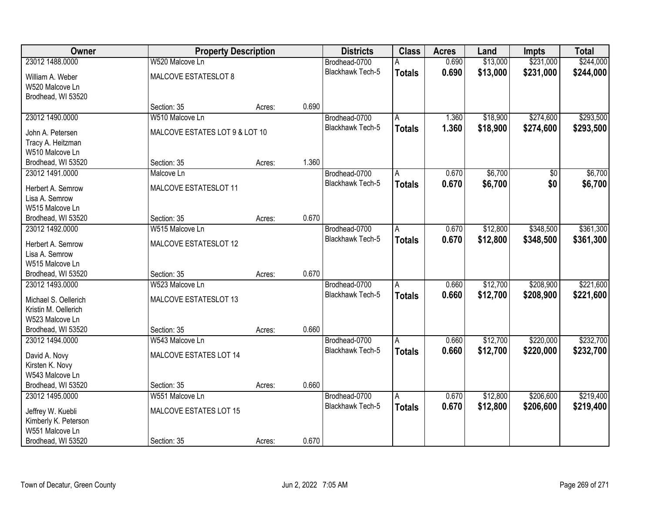| Owner                                 | <b>Property Description</b>    |        |       | <b>Districts</b> | <b>Class</b>   | <b>Acres</b> | Land     | <b>Impts</b> | <b>Total</b> |
|---------------------------------------|--------------------------------|--------|-------|------------------|----------------|--------------|----------|--------------|--------------|
| 23012 1488.0000                       | W520 Malcove Ln                |        |       | Brodhead-0700    | А              | 0.690        | \$13,000 | \$231,000    | \$244,000    |
| William A. Weber                      | MALCOVE ESTATESLOT 8           |        |       | Blackhawk Tech-5 | <b>Totals</b>  | 0.690        | \$13,000 | \$231,000    | \$244,000    |
| W520 Malcove Ln                       |                                |        |       |                  |                |              |          |              |              |
| Brodhead, WI 53520                    |                                |        |       |                  |                |              |          |              |              |
|                                       | Section: 35                    | Acres: | 0.690 |                  |                |              |          |              |              |
| 23012 1490.0000                       | W510 Malcove Ln                |        |       | Brodhead-0700    | A              | 1.360        | \$18,900 | \$274,600    | \$293,500    |
| John A. Petersen                      | MALCOVE ESTATES LOT 9 & LOT 10 |        |       | Blackhawk Tech-5 | <b>Totals</b>  | 1.360        | \$18,900 | \$274,600    | \$293,500    |
| Tracy A. Heitzman                     |                                |        |       |                  |                |              |          |              |              |
| W510 Malcove Ln                       |                                |        |       |                  |                |              |          |              |              |
| Brodhead, WI 53520                    | Section: 35                    | Acres: | 1.360 |                  |                |              |          |              |              |
| 23012 1491.0000                       | Malcove Ln                     |        |       | Brodhead-0700    | A              | 0.670        | \$6,700  | \$0          | \$6,700      |
| Herbert A. Semrow                     | MALCOVE ESTATESLOT 11          |        |       | Blackhawk Tech-5 | <b>Totals</b>  | 0.670        | \$6,700  | \$0          | \$6,700      |
| Lisa A. Semrow                        |                                |        |       |                  |                |              |          |              |              |
| W515 Malcove Ln                       |                                |        |       |                  |                |              |          |              |              |
| Brodhead, WI 53520                    | Section: 35                    | Acres: | 0.670 |                  |                |              |          |              |              |
| 23012 1492.0000                       | W515 Malcove Ln                |        |       | Brodhead-0700    | A              | 0.670        | \$12,800 | \$348,500    | \$361,300    |
|                                       |                                |        |       | Blackhawk Tech-5 | <b>Totals</b>  | 0.670        | \$12,800 | \$348,500    | \$361,300    |
| Herbert A. Semrow<br>Lisa A. Semrow   | MALCOVE ESTATESLOT 12          |        |       |                  |                |              |          |              |              |
| W515 Malcove Ln                       |                                |        |       |                  |                |              |          |              |              |
| Brodhead, WI 53520                    | Section: 35                    | Acres: | 0.670 |                  |                |              |          |              |              |
| 23012 1493.0000                       | W523 Malcove Ln                |        |       | Brodhead-0700    | A              | 0.660        | \$12,700 | \$208,900    | \$221,600    |
|                                       |                                |        |       | Blackhawk Tech-5 | <b>Totals</b>  | 0.660        | \$12,700 | \$208,900    | \$221,600    |
| Michael S. Oellerich                  | MALCOVE ESTATESLOT 13          |        |       |                  |                |              |          |              |              |
| Kristin M. Oellerich                  |                                |        |       |                  |                |              |          |              |              |
| W523 Malcove Ln                       |                                |        | 0.660 |                  |                |              |          |              |              |
| Brodhead, WI 53520<br>23012 1494.0000 | Section: 35<br>W543 Malcove Ln | Acres: |       | Brodhead-0700    | A              | 0.660        | \$12,700 | \$220,000    | \$232,700    |
|                                       |                                |        |       | Blackhawk Tech-5 |                | 0.660        | \$12,700 | \$220,000    | \$232,700    |
| David A. Novy                         | MALCOVE ESTATES LOT 14         |        |       |                  | <b>Totals</b>  |              |          |              |              |
| Kirsten K. Novy                       |                                |        |       |                  |                |              |          |              |              |
| W543 Malcove Ln                       |                                |        |       |                  |                |              |          |              |              |
| Brodhead, WI 53520                    | Section: 35                    | Acres: | 0.660 |                  |                |              |          |              |              |
| 23012 1495.0000                       | W551 Malcove Ln                |        |       | Brodhead-0700    | $\overline{A}$ | 0.670        | \$12,800 | \$206,600    | \$219,400    |
| Jeffrey W. Kuebli                     | MALCOVE ESTATES LOT 15         |        |       | Blackhawk Tech-5 | <b>Totals</b>  | 0.670        | \$12,800 | \$206,600    | \$219,400    |
| Kimberly K. Peterson                  |                                |        |       |                  |                |              |          |              |              |
| W551 Malcove Ln                       |                                |        |       |                  |                |              |          |              |              |
| Brodhead, WI 53520                    | Section: 35                    | Acres: | 0.670 |                  |                |              |          |              |              |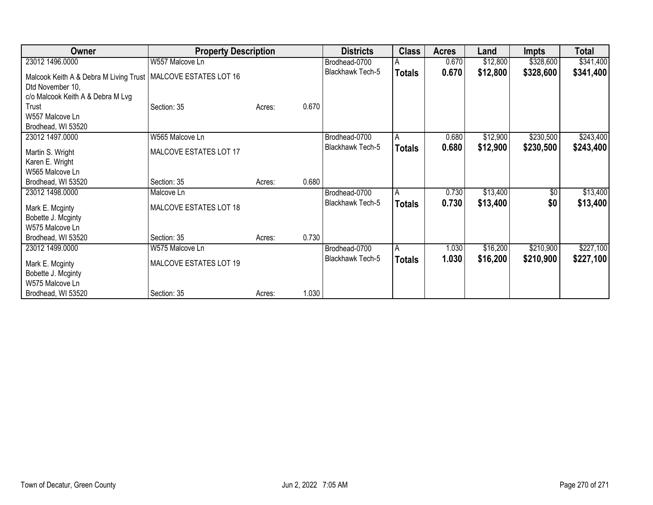| Owner                                  | <b>Property Description</b> |        |       | <b>Districts</b>        | <b>Class</b>  | <b>Acres</b> | Land     | <b>Impts</b> | <b>Total</b> |
|----------------------------------------|-----------------------------|--------|-------|-------------------------|---------------|--------------|----------|--------------|--------------|
| 23012 1496.0000                        | W557 Malcove Ln             |        |       | Brodhead-0700           | A             | 0.670        | \$12,800 | \$328,600    | \$341,400    |
| Malcook Keith A & Debra M Living Trust | MALCOVE ESTATES LOT 16      |        |       | <b>Blackhawk Tech-5</b> | <b>Totals</b> | 0.670        | \$12,800 | \$328,600    | \$341,400    |
| Dtd November 10,                       |                             |        |       |                         |               |              |          |              |              |
| c/o Malcook Keith A & Debra M Lvg      |                             |        |       |                         |               |              |          |              |              |
| Trust                                  | Section: 35                 | Acres: | 0.670 |                         |               |              |          |              |              |
| W557 Malcove Ln                        |                             |        |       |                         |               |              |          |              |              |
| Brodhead, WI 53520                     |                             |        |       |                         |               |              |          |              |              |
| 23012 1497.0000                        | W565 Malcove Ln             |        |       | Brodhead-0700           | A             | 0.680        | \$12,900 | \$230,500    | \$243,400    |
| Martin S. Wright                       | MALCOVE ESTATES LOT 17      |        |       | Blackhawk Tech-5        | <b>Totals</b> | 0.680        | \$12,900 | \$230,500    | \$243,400    |
| Karen E. Wright                        |                             |        |       |                         |               |              |          |              |              |
| W565 Malcove Ln                        |                             |        |       |                         |               |              |          |              |              |
| Brodhead, WI 53520                     | Section: 35                 | Acres: | 0.680 |                         |               |              |          |              |              |
| 23012 1498.0000                        | Malcove Ln                  |        |       | Brodhead-0700           | A             | 0.730        | \$13,400 | \$0          | \$13,400     |
| Mark E. Mcginty                        | MALCOVE ESTATES LOT 18      |        |       | Blackhawk Tech-5        | <b>Totals</b> | 0.730        | \$13,400 | \$0          | \$13,400     |
| Bobette J. Mcginty                     |                             |        |       |                         |               |              |          |              |              |
| W575 Malcove Ln                        |                             |        |       |                         |               |              |          |              |              |
| Brodhead, WI 53520                     | Section: 35                 | Acres: | 0.730 |                         |               |              |          |              |              |
| 23012 1499.0000                        | W575 Malcove Ln             |        |       | Brodhead-0700           | l A           | 1.030        | \$16,200 | \$210,900    | \$227,100    |
|                                        |                             |        |       | Blackhawk Tech-5        | <b>Totals</b> | 1.030        | \$16,200 | \$210,900    | \$227,100    |
| Mark E. Mcginty                        | MALCOVE ESTATES LOT 19      |        |       |                         |               |              |          |              |              |
| Bobette J. Mcginty                     |                             |        |       |                         |               |              |          |              |              |
| W575 Malcove Ln                        |                             |        |       |                         |               |              |          |              |              |
| Brodhead, WI 53520                     | Section: 35                 | Acres: | 1.030 |                         |               |              |          |              |              |